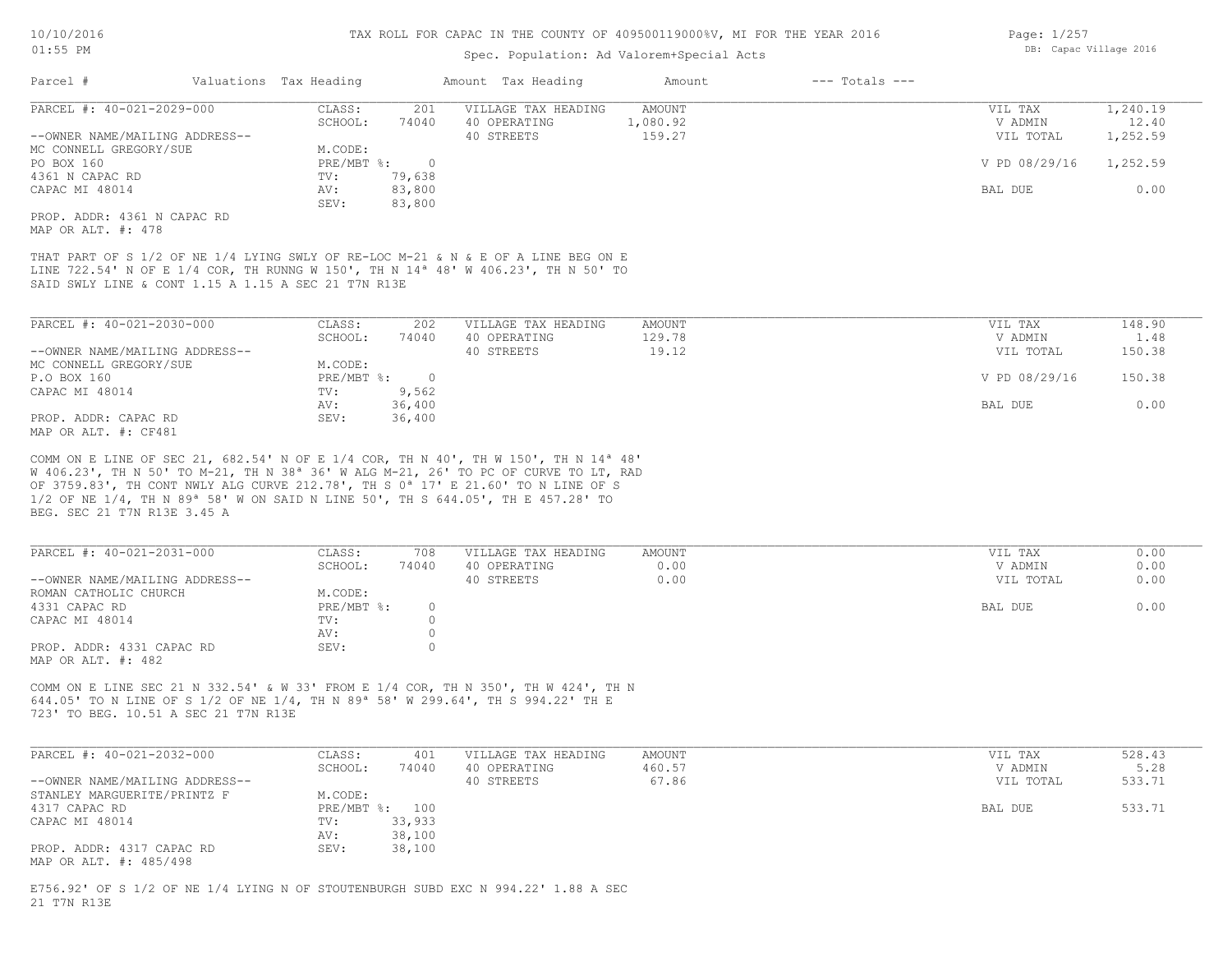#### Spec. Population: Ad Valorem+Special Acts

| Parcel #                       | Valuations Tax Heading |        | Amount Tax Heading  | Amount   | $---$ Totals $---$ |               |          |
|--------------------------------|------------------------|--------|---------------------|----------|--------------------|---------------|----------|
| PARCEL #: 40-021-2029-000      | CLASS:                 | 201    | VILLAGE TAX HEADING | AMOUNT   |                    | VIL TAX       | 1,240.19 |
|                                | SCHOOL:                | 74040  | 40 OPERATING        | 1,080.92 |                    | V ADMIN       | 12.40    |
| --OWNER NAME/MAILING ADDRESS-- |                        |        | 40 STREETS          | 159.27   |                    | VIL TOTAL     | 1,252.59 |
| MC CONNELL GREGORY/SUE         | M.CODE:                |        |                     |          |                    |               |          |
| PO BOX 160                     | PRE/MBT %:             |        |                     |          |                    | V PD 08/29/16 | 1,252.59 |
| 4361 N CAPAC RD                | TV:                    | 79,638 |                     |          |                    |               |          |
| CAPAC MI 48014                 | AV:                    | 83,800 |                     |          |                    | BAL DUE       | 0.00     |
|                                | SEV:                   | 83,800 |                     |          |                    |               |          |
| PROP. ADDR: 4361 N CAPAC RD    |                        |        |                     |          |                    |               |          |

MAP OR ALT. #: 478

SAID SWLY LINE & CONT 1.15 A 1.15 A SEC 21 T7N R13E LINE 722.54' N OF E 1/4 COR, TH RUNNG W 150', TH N 14ª 48' W 406.23', TH N 50' TO THAT PART OF S 1/2 OF NE 1/4 LYING SWLY OF RE-LOC M-21 & N & E OF A LINE BEG ON E

| PARCEL #: 40-021-2030-000      | CLASS:                    | 202      | VILLAGE TAX HEADING | AMOUNT | VIL TAX       | 148.90 |
|--------------------------------|---------------------------|----------|---------------------|--------|---------------|--------|
|                                | SCHOOL:                   | 74040    | 40 OPERATING        | 129.78 | V ADMIN       | 1.48   |
| --OWNER NAME/MAILING ADDRESS-- |                           |          | 40 STREETS          | 19.12  | VIL TOTAL     | 150.38 |
| MC CONNELL GREGORY/SUE         | M.CODE:                   |          |                     |        |               |        |
| P.O BOX 160                    | $PRE/MBT$ $\frac{1}{6}$ : | $\Omega$ |                     |        | V PD 08/29/16 | 150.38 |
| CAPAC MI 48014                 | TV:                       | 9,562    |                     |        |               |        |
|                                | AV:                       | 36,400   |                     |        | BAL DUE       | 0.00   |
| PROP. ADDR: CAPAC RD           | SEV:                      | 36,400   |                     |        |               |        |
| MAP OR ALT. #: CF481           |                           |          |                     |        |               |        |

BEG. SEC 21 T7N R13E 3.45 A 1/2 OF NE 1/4, TH N 89ª 58' W ON SAID N LINE 50', TH S 644.05', TH E 457.28' TO OF 3759.83', TH CONT NWLY ALG CURVE 212.78', TH S 0ª 17' E 21.60' TO N LINE OF S W 406.23', TH N 50' TO M-21, TH N 38ª 36' W ALG M-21, 26' TO PC OF CURVE TO LT, RAD COMM ON E LINE OF SEC 21, 682.54' N OF E 1/4 COR, TH N 40', TH W 150', TH N 14ª 48'

| PARCEL #: 40-021-2031-000      | CLASS:     | 708   | VILLAGE TAX HEADING | AMOUNT | VIL TAX   | 0.00 |
|--------------------------------|------------|-------|---------------------|--------|-----------|------|
|                                | SCHOOL:    | 74040 | 40 OPERATING        | 0.00   | V ADMIN   | 0.00 |
| --OWNER NAME/MAILING ADDRESS-- |            |       | 40 STREETS          | 0.00   | VIL TOTAL | 0.00 |
| ROMAN CATHOLIC CHURCH          | M.CODE:    |       |                     |        |           |      |
| 4331 CAPAC RD                  | PRE/MBT %: |       |                     |        | BAL DUE   | 0.00 |
| CAPAC MI 48014                 | TV:        |       |                     |        |           |      |
|                                | AV:        |       |                     |        |           |      |
| PROP. ADDR: 4331 CAPAC RD      | SEV:       |       |                     |        |           |      |
| MAP OR ALT. #: 482             |            |       |                     |        |           |      |

723' TO BEG. 10.51 A SEC 21 T7N R13E 644.05' TO N LINE OF S 1/2 OF NE 1/4, TH N 89ª 58' W 299.64', TH S 994.22' TH E COMM ON E LINE SEC 21 N 332.54' & W 33' FROM E 1/4 COR, TH N 350', TH W 424', TH N

| PARCEL #: 40-021-2032-000      | CLASS:  | 401            | VILLAGE TAX HEADING | AMOUNT | VIL TAX   | 528.43 |
|--------------------------------|---------|----------------|---------------------|--------|-----------|--------|
|                                | SCHOOL: | 74040          | 40 OPERATING        | 460.57 | V ADMIN   | 5.28   |
| --OWNER NAME/MAILING ADDRESS-- |         |                | 40 STREETS          | 67.86  | VIL TOTAL | 533.71 |
| STANLEY MARGUERITE/PRINTZ F    | M.CODE: |                |                     |        |           |        |
| 4317 CAPAC RD                  |         | PRE/MBT %: 100 |                     |        | BAL DUE   | 533.71 |
| CAPAC MI 48014                 | TV:     | 33,933         |                     |        |           |        |
|                                | AV:     | 38,100         |                     |        |           |        |
| PROP. ADDR: 4317 CAPAC RD      | SEV:    | 38,100         |                     |        |           |        |
| MAP OR ALT. #: 485/498         |         |                |                     |        |           |        |

21 T7N R13E E756.92' OF S 1/2 OF NE 1/4 LYING N OF STOUTENBURGH SUBD EXC N 994.22' 1.88 A SEC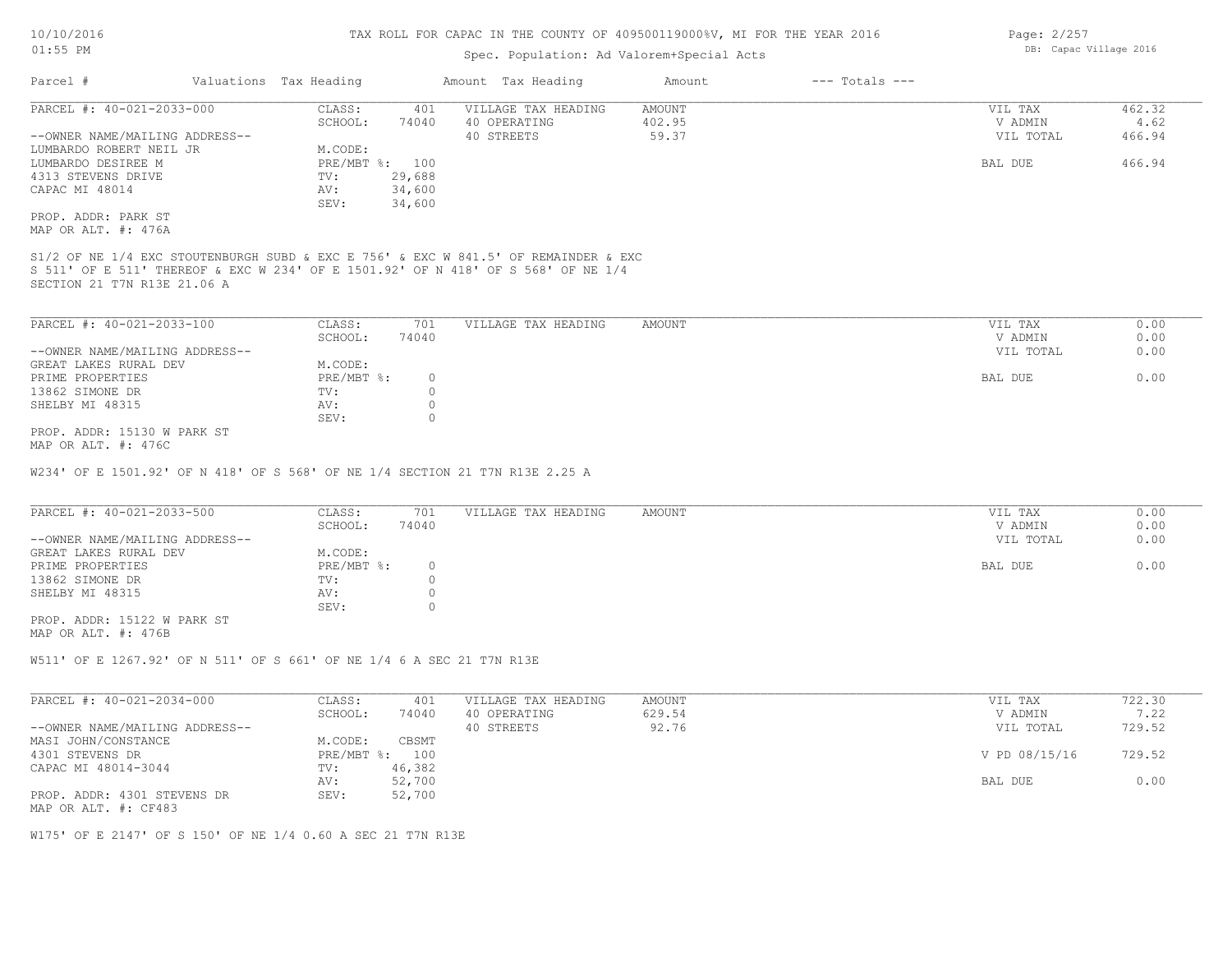#### Spec. Population: Ad Valorem+Special Acts

| Parcel #                       | Valuations Tax Heading |        | Amount Tax Heading  | Amount | $---$ Totals $---$ |           |        |
|--------------------------------|------------------------|--------|---------------------|--------|--------------------|-----------|--------|
| PARCEL #: 40-021-2033-000      | CLASS:                 | 401    | VILLAGE TAX HEADING | AMOUNT |                    | VIL TAX   | 462.32 |
|                                | SCHOOL:                | 74040  | 40 OPERATING        | 402.95 |                    | V ADMIN   | 4.62   |
| --OWNER NAME/MAILING ADDRESS-- |                        |        | 40 STREETS          | 59.37  |                    | VIL TOTAL | 466.94 |
| LUMBARDO ROBERT NEIL JR        | M.CODE:                |        |                     |        |                    |           |        |
| LUMBARDO DESIREE M             | $PRE/MBT$ %:           | 100    |                     |        |                    | BAL DUE   | 466.94 |
| 4313 STEVENS DRIVE             | TV:                    | 29,688 |                     |        |                    |           |        |
| CAPAC MI 48014                 | AV:                    | 34,600 |                     |        |                    |           |        |
|                                | SEV:                   | 34,600 |                     |        |                    |           |        |
| PROP. ADDR: PARK ST            |                        |        |                     |        |                    |           |        |
| MAP OR ALT. #: 476A            |                        |        |                     |        |                    |           |        |

SECTION 21 T7N R13E 21.06 A S 511' OF E 511' THEREOF & EXC W 234' OF E 1501.92' OF N 418' OF S 568' OF NE 1/4 S1/2 OF NE 1/4 EXC STOUTENBURGH SUBD & EXC E 756' & EXC W 841.5' OF REMAINDER & EXC

| PARCEL #: 40-021-2033-100      | CLASS:     | 701   | VILLAGE TAX HEADING | AMOUNT | VIL TAX   | 0.00 |
|--------------------------------|------------|-------|---------------------|--------|-----------|------|
|                                | SCHOOL:    | 74040 |                     |        | V ADMIN   | 0.00 |
| --OWNER NAME/MAILING ADDRESS-- |            |       |                     |        | VIL TOTAL | 0.00 |
| GREAT LAKES RURAL DEV          | M.CODE:    |       |                     |        |           |      |
| PRIME PROPERTIES               | PRE/MBT %: |       |                     |        | BAL DUE   | 0.00 |
| 13862 SIMONE DR                | TV:        |       |                     |        |           |      |
| SHELBY MI 48315                | AV:        |       |                     |        |           |      |
|                                | SEV:       |       |                     |        |           |      |
| PROP. ADDR: 15130 W PARK ST    |            |       |                     |        |           |      |

MAP OR ALT. #: 476C

W234' OF E 1501.92' OF N 418' OF S 568' OF NE 1/4 SECTION 21 T7N R13E 2.25 A

| PARCEL #: 40-021-2033-500      | CLASS:       | 701   | VILLAGE TAX HEADING | AMOUNT | VIL TAX   | 0.00 |
|--------------------------------|--------------|-------|---------------------|--------|-----------|------|
|                                | SCHOOL:      | 74040 |                     |        | V ADMIN   | 0.00 |
| --OWNER NAME/MAILING ADDRESS-- |              |       |                     |        | VIL TOTAL | 0.00 |
| GREAT LAKES RURAL DEV          | M.CODE:      |       |                     |        |           |      |
| PRIME PROPERTIES               | $PRE/MBT$ %: |       |                     |        | BAL DUE   | 0.00 |
| 13862 SIMONE DR                | TV:          |       |                     |        |           |      |
| SHELBY MI 48315                | AV:          |       |                     |        |           |      |
|                                | SEV:         |       |                     |        |           |      |

MAP OR ALT. #: 476B PROP. ADDR: 15122 W PARK ST

W511' OF E 1267.92' OF N 511' OF S 661' OF NE 1/4 6 A SEC 21 T7N R13E

| PARCEL #: 40-021-2034-000      | CLASS:  | 401            | VILLAGE TAX HEADING | AMOUNT | VIL TAX       | 722.30 |
|--------------------------------|---------|----------------|---------------------|--------|---------------|--------|
|                                | SCHOOL: | 74040          | 40 OPERATING        | 629.54 | V ADMIN       | 7.22   |
| --OWNER NAME/MAILING ADDRESS-- |         |                | 40 STREETS          | 92.76  | VIL TOTAL     | 729.52 |
| MASI JOHN/CONSTANCE            | M.CODE: | CBSMT          |                     |        |               |        |
| 4301 STEVENS DR                |         | PRE/MBT %: 100 |                     |        | V PD 08/15/16 | 729.52 |
| CAPAC MI 48014-3044            | TV:     | 46,382         |                     |        |               |        |
|                                | AV:     | 52,700         |                     |        | BAL DUE       | 0.00   |
| PROP. ADDR: 4301 STEVENS DR    | SEV:    | 52,700         |                     |        |               |        |
| MAP OR ALT. #: CF483           |         |                |                     |        |               |        |

W175' OF E 2147' OF S 150' OF NE 1/4 0.60 A SEC 21 T7N R13E

Page: 2/257 DB: Capac Village 2016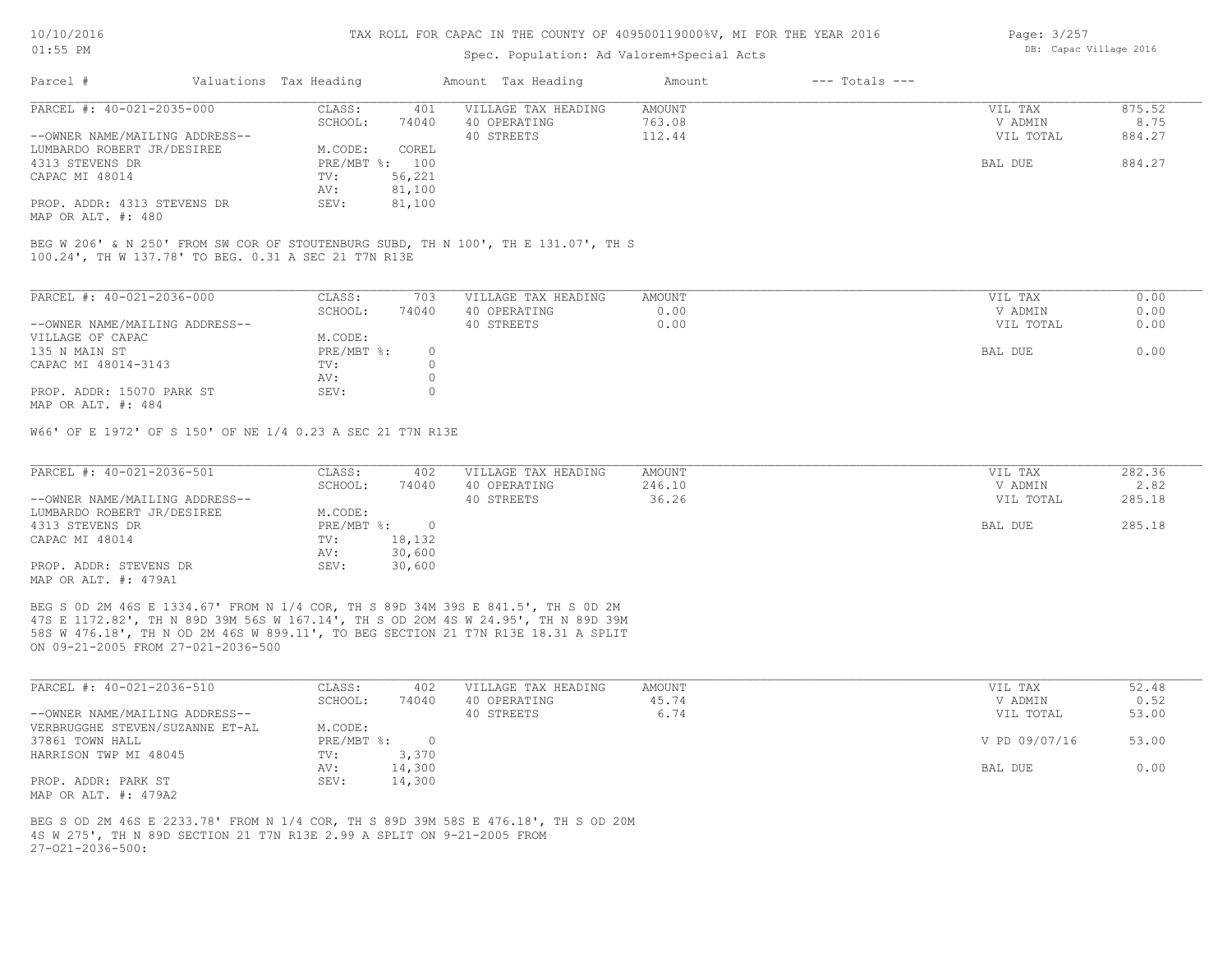#### Spec. Population: Ad Valorem+Special Acts

| Page: 3/257 |                        |  |
|-------------|------------------------|--|
|             | DB: Capac Village 2016 |  |

| Parcel #                       | Valuations Tax Heading |        | Amount Tax Heading  | Amount | $---$ Totals $---$ |           |        |
|--------------------------------|------------------------|--------|---------------------|--------|--------------------|-----------|--------|
| PARCEL #: 40-021-2035-000      | CLASS:                 | 401    | VILLAGE TAX HEADING | AMOUNT |                    | VIL TAX   | 875.52 |
|                                | SCHOOL:                | 74040  | 40 OPERATING        | 763.08 |                    | V ADMIN   | 8.75   |
| --OWNER NAME/MAILING ADDRESS-- |                        |        | 40 STREETS          | 112.44 |                    | VIL TOTAL | 884.27 |
| LUMBARDO ROBERT JR/DESIREE     | M.CODE:                | COREL  |                     |        |                    |           |        |
| 4313 STEVENS DR                | PRE/MBT %: 100         |        |                     |        |                    | BAL DUE   | 884.27 |
| CAPAC MI 48014                 | TV:                    | 56,221 |                     |        |                    |           |        |
|                                | AV:                    | 81,100 |                     |        |                    |           |        |
| PROP. ADDR: 4313 STEVENS DR    | SEV:                   | 81,100 |                     |        |                    |           |        |
| MAP OR ALT. #: 480             |                        |        |                     |        |                    |           |        |

100.24', TH W 137.78' TO BEG. 0.31 A SEC 21 T7N R13E BEG W 206' & N 250' FROM SW COR OF STOUTENBURG SUBD, TH N 100', TH E 131.07', TH S

| PARCEL #: 40-021-2036-000      | CLASS:     | 703   | VILLAGE TAX HEADING | AMOUNT | 0.00<br>VIL TAX   |
|--------------------------------|------------|-------|---------------------|--------|-------------------|
|                                | SCHOOL:    | 74040 | 40 OPERATING        | 0.00   | 0.00<br>V ADMIN   |
| --OWNER NAME/MAILING ADDRESS-- |            |       | 40 STREETS          | 0.00   | VIL TOTAL<br>0.00 |
| VILLAGE OF CAPAC               | M.CODE:    |       |                     |        |                   |
| 135 N MAIN ST                  | PRE/MBT %: |       |                     |        | 0.00<br>BAL DUE   |
| CAPAC MI 48014-3143            | TV:        |       |                     |        |                   |
|                                | AV:        |       |                     |        |                   |
| PROP. ADDR: 15070 PARK ST      | SEV:       |       |                     |        |                   |
| MAP OR ALT. #: 484             |            |       |                     |        |                   |

W66' OF E 1972' OF S 150' OF NE 1/4 0.23 A SEC 21 T7N R13E

| PARCEL #: 40-021-2036-501      | CLASS:     | 402    | VILLAGE TAX HEADING | AMOUNT | VIL TAX   | 282.36 |
|--------------------------------|------------|--------|---------------------|--------|-----------|--------|
|                                | SCHOOL:    | 74040  | 40 OPERATING        | 246.10 | V ADMIN   | 2.82   |
| --OWNER NAME/MAILING ADDRESS-- |            |        | 40 STREETS          | 36.26  | VIL TOTAL | 285.18 |
| LUMBARDO ROBERT JR/DESIREE     | M.CODE:    |        |                     |        |           |        |
| 4313 STEVENS DR                | PRE/MBT %: |        |                     |        | BAL DUE   | 285.18 |
| CAPAC MI 48014                 | TV:        | 18,132 |                     |        |           |        |
|                                | AV:        | 30,600 |                     |        |           |        |
| PROP. ADDR: STEVENS DR         | SEV:       | 30,600 |                     |        |           |        |
| MAP OR ALT. #: 479A1           |            |        |                     |        |           |        |

ON 09-21-2005 FROM 27-021-2036-500 58S W 476.18', TH N OD 2M 46S W 899.11', TO BEG SECTION 21 T7N R13E 18.31 A SPLIT 47S E 1172.82', TH N 89D 39M 56S W 167.14', TH S OD 2OM 4S W 24.95', TH N 89D 39M BEG S 0D 2M 46S E 1334.67' FROM N 1/4 COR, TH S 89D 34M 39S E 841.5', TH S 0D 2M

| PARCEL #: 40-021-2036-510       | CLASS:       | 402    | VILLAGE TAX HEADING | AMOUNT | VIL TAX       | 52.48 |
|---------------------------------|--------------|--------|---------------------|--------|---------------|-------|
|                                 | SCHOOL:      | 74040  | 40 OPERATING        | 45.74  | V ADMIN       | 0.52  |
| --OWNER NAME/MAILING ADDRESS--  |              |        | 40 STREETS          | 6.74   | VIL TOTAL     | 53.00 |
| VERBRUGGHE STEVEN/SUZANNE ET-AL | M.CODE:      |        |                     |        |               |       |
| 37861 TOWN HALL                 | $PRE/MBT$ %: |        |                     |        | V PD 09/07/16 | 53.00 |
| HARRISON TWP MI 48045           | TV:          | 3,370  |                     |        |               |       |
|                                 | AV:          | 14,300 |                     |        | BAL DUE       | 0.00  |
| PROP. ADDR: PARK ST             | SEV:         | 14,300 |                     |        |               |       |
| MAP OR ALT. #: 479A2            |              |        |                     |        |               |       |

 $27-021-2036-500$ : 4S W 275', TH N 89D SECTION 21 T7N R13E 2.99 A SPLIT ON 9-21-2005 FROM BEG S OD 2M 46S E 2233.78' FROM N 1/4 COR, TH S 89D 39M 58S E 476.18', TH S OD 20M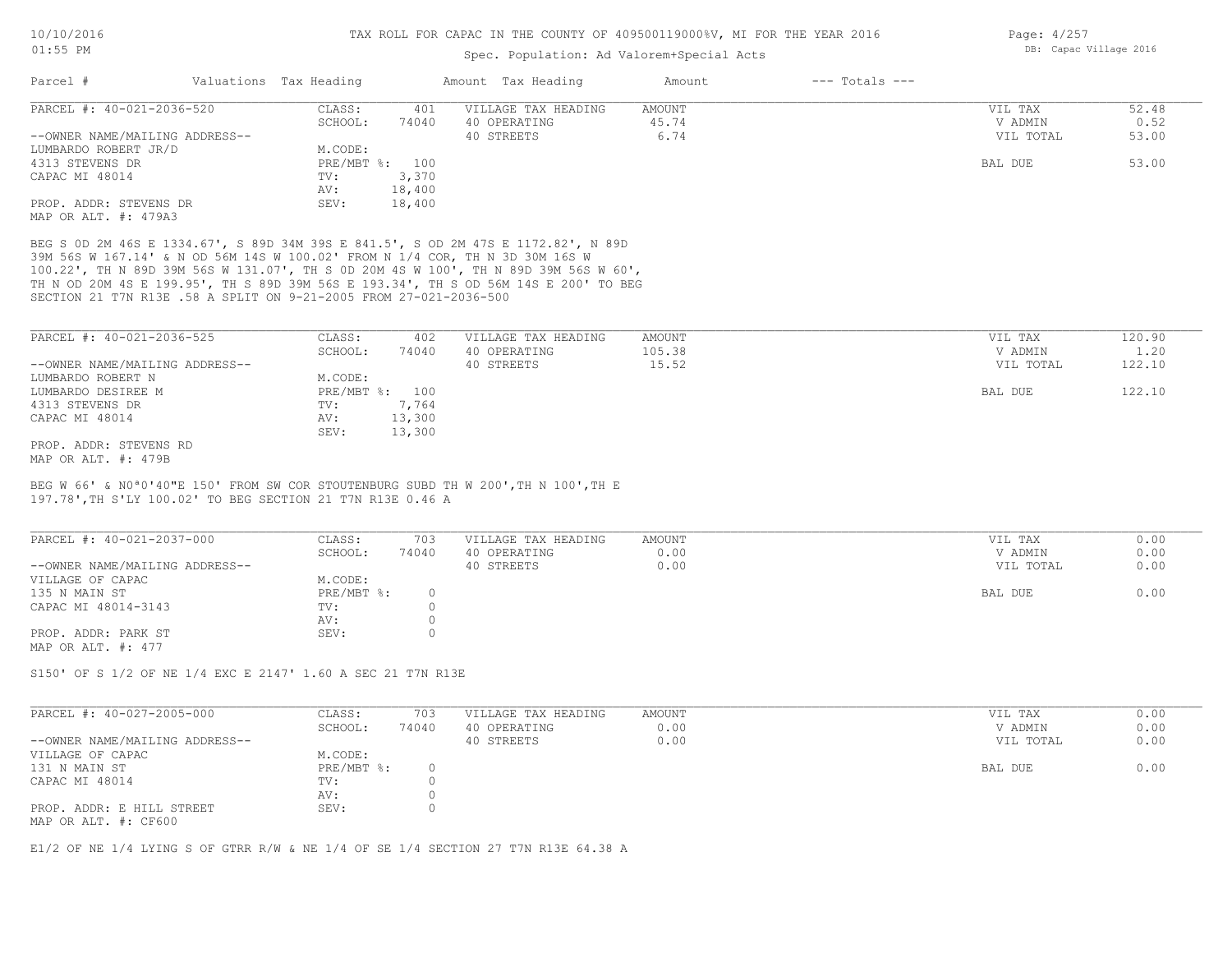#### Spec. Population: Ad Valorem+Special Acts

| Parcel #                       | Valuations Tax Heading |        | Amount Tax Heading  | Amount | $---$ Totals $---$ |           |       |
|--------------------------------|------------------------|--------|---------------------|--------|--------------------|-----------|-------|
| PARCEL #: 40-021-2036-520      | CLASS:                 | 401    | VILLAGE TAX HEADING | AMOUNT |                    | VIL TAX   | 52.48 |
|                                | SCHOOL:                | 74040  | 40 OPERATING        | 45.74  |                    | V ADMIN   | 0.52  |
| --OWNER NAME/MAILING ADDRESS-- |                        |        | 40 STREETS          | 6.74   |                    | VIL TOTAL | 53.00 |
| LUMBARDO ROBERT JR/D           | M.CODE:                |        |                     |        |                    |           |       |
| 4313 STEVENS DR                | PRE/MBT %: 100         |        |                     |        |                    | BAL DUE   | 53.00 |
| CAPAC MI 48014                 | TV:                    | 3,370  |                     |        |                    |           |       |
|                                | AV:                    | 18,400 |                     |        |                    |           |       |
| PROP. ADDR: STEVENS DR         | SEV:                   | 18,400 |                     |        |                    |           |       |
| MAP OR ALT. #: 479A3           |                        |        |                     |        |                    |           |       |

SECTION 21 T7N R13E .58 A SPLIT ON 9-21-2005 FROM 27-021-2036-500 TH N OD 20M 4S E 199.95', TH S 89D 39M 56S E 193.34', TH S OD 56M 14S E 200' TO BEG 100.22', TH N 89D 39M 56S W 131.07', TH S 0D 20M 4S W 100', TH N 89D 39M 56S W 60', 39M 56S W 167.14' & N OD 56M 14S W 100.02' FROM N 1/4 COR, TH N 3D 30M 16S W BEG S 0D 2M 46S E 1334.67', S 89D 34M 39S E 841.5', S OD 2M 47S E 1172.82', N 89D

| PARCEL #: 40-021-2036-525      | CLASS:  | 402            | VILLAGE TAX HEADING | AMOUNT | VIL TAX   | 120.90 |
|--------------------------------|---------|----------------|---------------------|--------|-----------|--------|
|                                | SCHOOL: | 74040          | 40 OPERATING        | 105.38 | V ADMIN   | 1.20   |
| --OWNER NAME/MAILING ADDRESS-- |         |                | 40 STREETS          | 15.52  | VIL TOTAL | 122.10 |
| LUMBARDO ROBERT N              | M.CODE: |                |                     |        |           |        |
| LUMBARDO DESIREE M             |         | PRE/MBT %: 100 |                     |        | BAL DUE   | 122.10 |
| 4313 STEVENS DR                | TV:     | 7,764          |                     |        |           |        |
| CAPAC MI 48014                 | AV:     | 13,300         |                     |        |           |        |
|                                | SEV:    | 13,300         |                     |        |           |        |
| PROP. ADDR: STEVENS RD         |         |                |                     |        |           |        |
| MAP OR ALT. #: 479B            |         |                |                     |        |           |        |

197.78',TH S'LY 100.02' TO BEG SECTION 21 T7N R13E 0.46 A BEG W 66' & N0ª0'40"E 150' FROM SW COR STOUTENBURG SUBD TH W 200',TH N 100',TH E

| PARCEL #: 40-021-2037-000      | CLASS:     | 703   | VILLAGE TAX HEADING | AMOUNT | VIL TAX   | 0.00 |
|--------------------------------|------------|-------|---------------------|--------|-----------|------|
|                                | SCHOOL:    | 74040 | 40 OPERATING        | 0.00   | V ADMIN   | 0.00 |
| --OWNER NAME/MAILING ADDRESS-- |            |       | 40 STREETS          | 0.00   | VIL TOTAL | 0.00 |
| VILLAGE OF CAPAC               | M.CODE:    |       |                     |        |           |      |
| 135 N MAIN ST                  | PRE/MBT %: |       |                     |        | BAL DUE   | 0.00 |
| CAPAC MI 48014-3143            | TV:        |       |                     |        |           |      |
|                                | AV:        |       |                     |        |           |      |
| PROP. ADDR: PARK ST            | SEV:       |       |                     |        |           |      |
| MAP OR ALT. #: 477             |            |       |                     |        |           |      |

S150' OF S 1/2 OF NE 1/4 EXC E 2147' 1.60 A SEC 21 T7N R13E

| PARCEL #: 40-027-2005-000                         | CLASS:     | 703   | VILLAGE TAX HEADING | AMOUNT | VIL TAX   | 0.00 |
|---------------------------------------------------|------------|-------|---------------------|--------|-----------|------|
|                                                   | SCHOOL:    | 74040 | 40 OPERATING        | 0.00   | V ADMIN   | 0.00 |
| --OWNER NAME/MAILING ADDRESS--                    |            |       | 40 STREETS          | 0.00   | VIL TOTAL | 0.00 |
| VILLAGE OF CAPAC                                  | M.CODE:    |       |                     |        |           |      |
| 131 N MAIN ST                                     | PRE/MBT %: |       |                     |        | BAL DUE   | 0.00 |
| CAPAC MI 48014                                    | TV:        |       |                     |        |           |      |
|                                                   | AV:        |       |                     |        |           |      |
| PROP. ADDR: E HILL STREET<br>MAP OR ALT. #: CF600 | SEV:       |       |                     |        |           |      |

 $\_$  , and the state of the state of the state of the state of the state of the state of the state of the state of the state of the state of the state of the state of the state of the state of the state of the state of the

E1/2 OF NE 1/4 LYING S OF GTRR R/W & NE 1/4 OF SE 1/4 SECTION 27 T7N R13E 64.38 A

Page: 4/257 DB: Capac Village 2016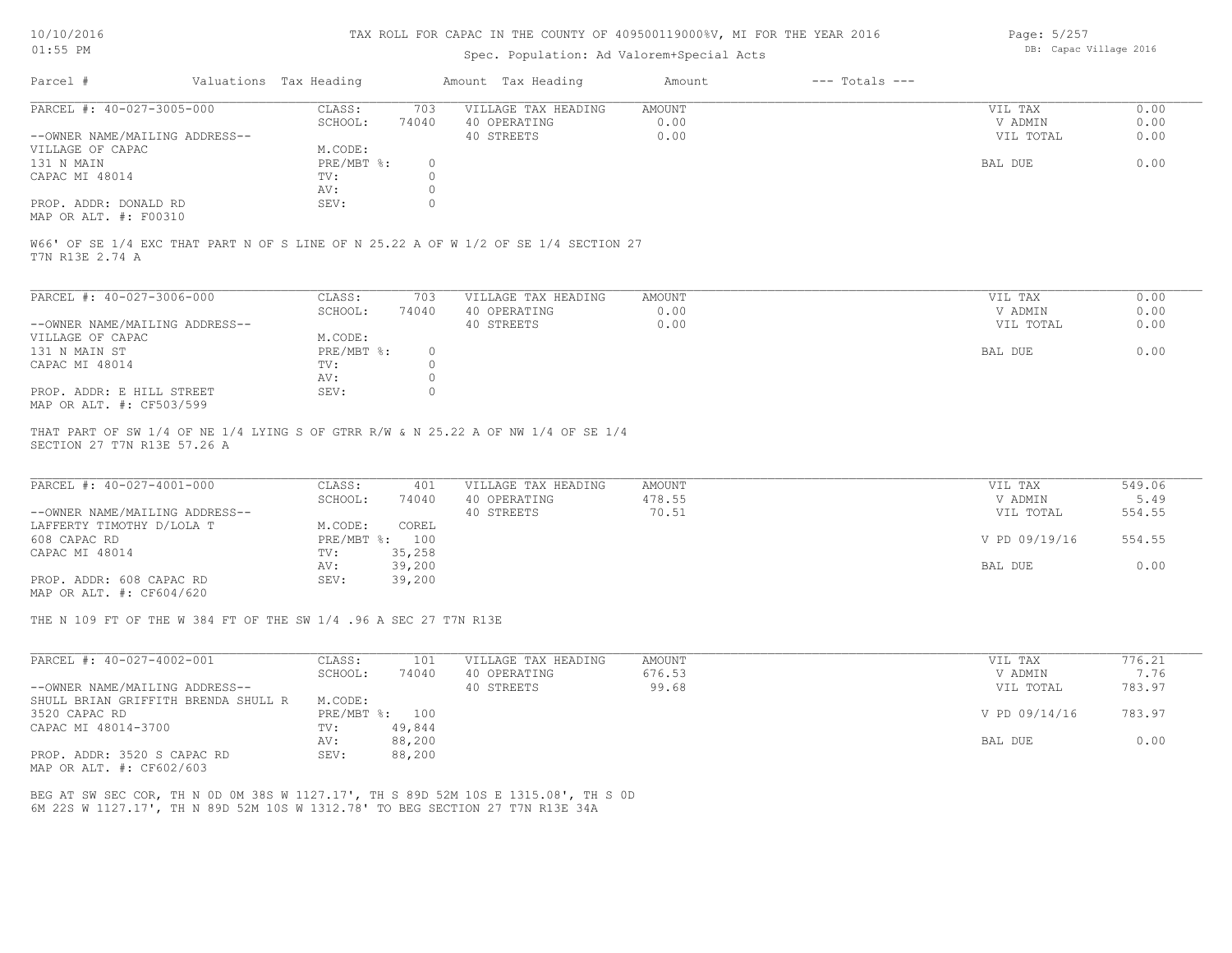#### Spec. Population: Ad Valorem+Special Acts

Page: 5/257 DB: Capac Village 2016

| Parcel #                       | Valuations Tax Heading |       | Amount Tax Heading  | Amount | $---$ Totals $---$ |           |      |
|--------------------------------|------------------------|-------|---------------------|--------|--------------------|-----------|------|
| PARCEL #: 40-027-3005-000      | CLASS:                 | 703   | VILLAGE TAX HEADING | AMOUNT |                    | VIL TAX   | 0.00 |
|                                | SCHOOL:                | 74040 | 40 OPERATING        | 0.00   |                    | V ADMIN   | 0.00 |
| --OWNER NAME/MAILING ADDRESS-- |                        |       | 40 STREETS          | 0.00   |                    | VIL TOTAL | 0.00 |
| VILLAGE OF CAPAC               | M.CODE:                |       |                     |        |                    |           |      |
| 131 N MAIN                     | PRE/MBT %:             |       |                     |        |                    | BAL DUE   | 0.00 |
| CAPAC MI 48014                 | TV:                    |       |                     |        |                    |           |      |
|                                | AV:                    |       |                     |        |                    |           |      |
| PROP. ADDR: DONALD RD          | SEV:                   |       |                     |        |                    |           |      |
| MAP OR ALT. #: F00310          |                        |       |                     |        |                    |           |      |

T7N R13E 2.74 A W66' OF SE 1/4 EXC THAT PART N OF S LINE OF N 25.22 A OF W 1/2 OF SE 1/4 SECTION 27

| PARCEL #: 40-027-3006-000      | CLASS:     | 703   | VILLAGE TAX HEADING | AMOUNT | 0.00<br>VIL TAX   |
|--------------------------------|------------|-------|---------------------|--------|-------------------|
|                                | SCHOOL:    | 74040 | 40 OPERATING        | 0.00   | 0.00<br>V ADMIN   |
| --OWNER NAME/MAILING ADDRESS-- |            |       | 40 STREETS          | 0.00   | VIL TOTAL<br>0.00 |
| VILLAGE OF CAPAC               | M.CODE:    |       |                     |        |                   |
| 131 N MAIN ST                  | PRE/MBT %: |       |                     |        | 0.00<br>BAL DUE   |
| CAPAC MI 48014                 | TV:        |       |                     |        |                   |
|                                | AV:        |       |                     |        |                   |
| PROP. ADDR: E HILL STREET      | SEV:       |       |                     |        |                   |
| MAP OR ALT. #: CF503/599       |            |       |                     |        |                   |

SECTION 27 T7N R13E 57.26 A THAT PART OF SW 1/4 OF NE 1/4 LYING S OF GTRR R/W & N 25.22 A OF NW 1/4 OF SE 1/4

| PARCEL #: 40-027-4001-000      | CLASS:  | 401            | VILLAGE TAX HEADING | AMOUNT | VIL TAX       | 549.06 |
|--------------------------------|---------|----------------|---------------------|--------|---------------|--------|
|                                | SCHOOL: | 74040          | 40 OPERATING        | 478.55 | V ADMIN       | 5.49   |
| --OWNER NAME/MAILING ADDRESS-- |         |                | 40 STREETS          | 70.51  | VIL TOTAL     | 554.55 |
| LAFFERTY TIMOTHY D/LOLA T      | M.CODE: | COREL          |                     |        |               |        |
| 608 CAPAC RD                   |         | PRE/MBT %: 100 |                     |        | V PD 09/19/16 | 554.55 |
| CAPAC MI 48014                 | TV:     | 35,258         |                     |        |               |        |
|                                | AV:     | 39,200         |                     |        | BAL DUE       | 0.00   |
| PROP. ADDR: 608 CAPAC RD       | SEV:    | 39,200         |                     |        |               |        |
| MAP OR ALT. #: CF604/620       |         |                |                     |        |               |        |

THE N 109 FT OF THE W 384 FT OF THE SW 1/4 .96 A SEC 27 T7N R13E

| PARCEL #: 40-027-4002-001           | CLASS:       | 101    | VILLAGE TAX HEADING | AMOUNT | VIL TAX       | 776.21 |
|-------------------------------------|--------------|--------|---------------------|--------|---------------|--------|
|                                     | SCHOOL:      | 74040  | 40 OPERATING        | 676.53 | V ADMIN       | 7.76   |
| --OWNER NAME/MAILING ADDRESS--      |              |        | 40 STREETS          | 99.68  | VIL TOTAL     | 783.97 |
| SHULL BRIAN GRIFFITH BRENDA SHULL R | M.CODE:      |        |                     |        |               |        |
| 3520 CAPAC RD                       | $PRE/MBT$ %: | 100    |                     |        | V PD 09/14/16 | 783.97 |
| CAPAC MI 48014-3700                 | TV:          | 49,844 |                     |        |               |        |
|                                     | AV:          | 88,200 |                     |        | BAL DUE       | 0.00   |
| PROP. ADDR: 3520 S CAPAC RD         | SEV:         | 88,200 |                     |        |               |        |

MAP OR ALT. #: CF602/603

6M 22S W 1127.17', TH N 89D 52M 10S W 1312.78' TO BEG SECTION 27 T7N R13E 34A BEG AT SW SEC COR, TH N 0D 0M 38S W 1127.17', TH S 89D 52M 10S E 1315.08', TH S 0D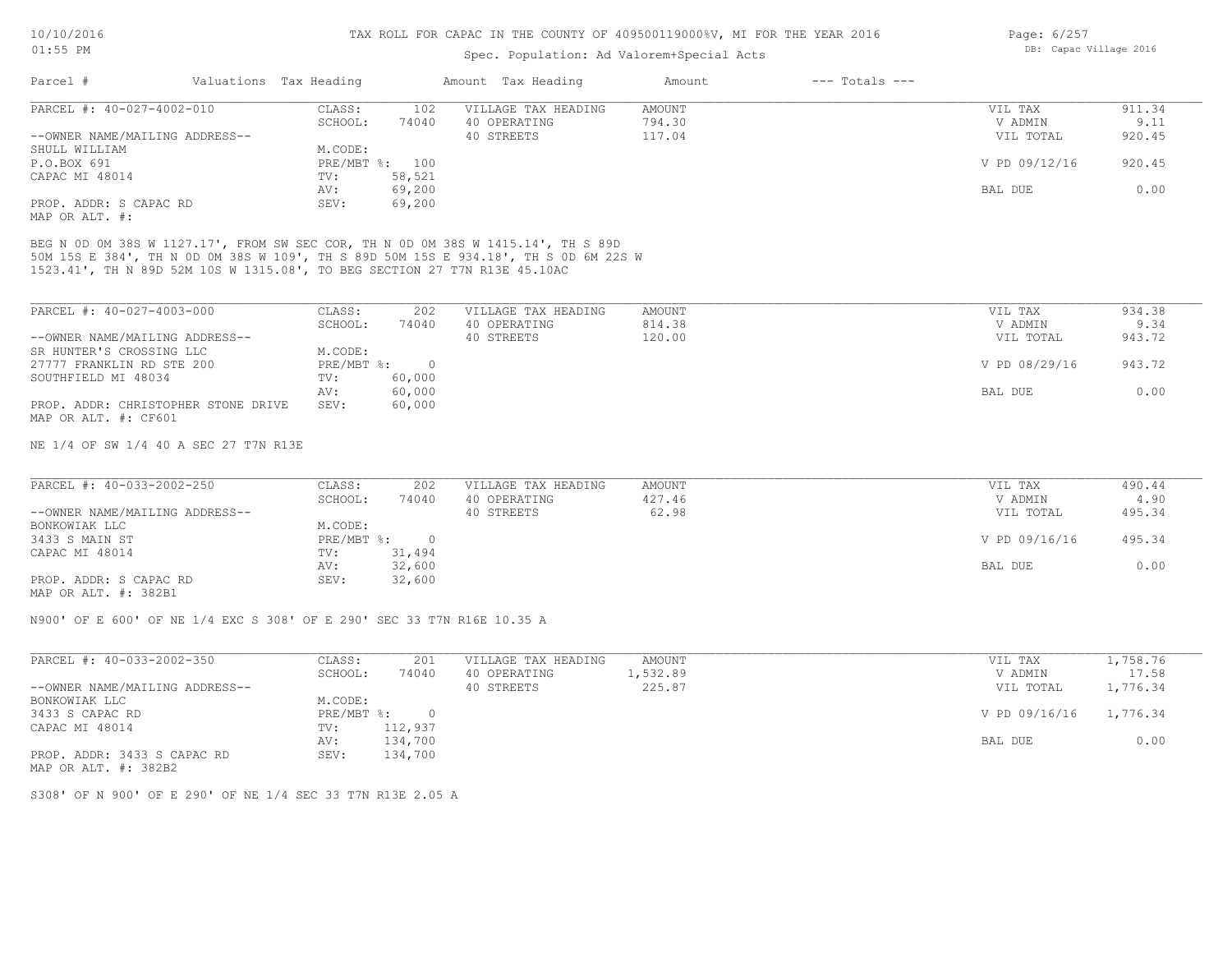## Spec. Population: Ad Valorem+Special Acts

| Page: 6/257 |                        |  |
|-------------|------------------------|--|
|             | DB: Capac Village 2016 |  |

| Parcel #                       | Valuations Tax Heading |        | Amount Tax Heading  | Amount | $---$ Totals $---$ |               |        |
|--------------------------------|------------------------|--------|---------------------|--------|--------------------|---------------|--------|
| PARCEL #: 40-027-4002-010      | CLASS:                 | 102    | VILLAGE TAX HEADING | AMOUNT |                    | VIL TAX       | 911.34 |
|                                | SCHOOL:                | 74040  | 40 OPERATING        | 794.30 |                    | V ADMIN       | 9.11   |
| --OWNER NAME/MAILING ADDRESS-- |                        |        | 40 STREETS          | 117.04 |                    | VIL TOTAL     | 920.45 |
| SHULL WILLIAM                  | M.CODE:                |        |                     |        |                    |               |        |
| P.O.BOX 691                    | PRE/MBT %: 100         |        |                     |        |                    | V PD 09/12/16 | 920.45 |
| CAPAC MI 48014                 | TV:                    | 58,521 |                     |        |                    |               |        |
|                                | AV:                    | 69,200 |                     |        |                    | BAL DUE       | 0.00   |
| PROP. ADDR: S CAPAC RD         | SEV:                   | 69,200 |                     |        |                    |               |        |
| MAP OR ALT. #:                 |                        |        |                     |        |                    |               |        |

1523.41', TH N 89D 52M 10S W 1315.08', TO BEG SECTION 27 T7N R13E 45.10AC 50M 15S E 384', TH N 0D 0M 38S W 109', TH S 89D 50M 15S E 934.18', TH S 0D 6M 22S W BEG N 0D 0M 38S W 1127.17', FROM SW SEC COR, TH N 0D 0M 38S W 1415.14', TH S 89D

| PARCEL #: 40-027-4003-000           | CLASS:     | 202    | VILLAGE TAX HEADING | AMOUNT | VIL TAX       | 934.38 |
|-------------------------------------|------------|--------|---------------------|--------|---------------|--------|
|                                     | SCHOOL:    | 74040  | 40 OPERATING        | 814.38 | V ADMIN       | 9.34   |
| --OWNER NAME/MAILING ADDRESS--      |            |        | 40 STREETS          | 120.00 | VIL TOTAL     | 943.72 |
| SR HUNTER'S CROSSING LLC            | M.CODE:    |        |                     |        |               |        |
| 27777 FRANKLIN RD STE 200           | PRE/MBT %: |        |                     |        | V PD 08/29/16 | 943.72 |
| SOUTHFIELD MI 48034                 | TV:        | 60,000 |                     |        |               |        |
|                                     | AV:        | 60,000 |                     |        | BAL DUE       | 0.00   |
| PROP. ADDR: CHRISTOPHER STONE DRIVE | SEV:       | 60,000 |                     |        |               |        |
| MAP OR ALT. #: CF601                |            |        |                     |        |               |        |

NE 1/4 OF SW 1/4 40 A SEC 27 T7N R13E

| PARCEL #: 40-033-2002-250      | CLASS:       | 202    | VILLAGE TAX HEADING | AMOUNT | VIL TAX       | 490.44 |
|--------------------------------|--------------|--------|---------------------|--------|---------------|--------|
|                                | SCHOOL:      | 74040  | 40 OPERATING        | 427.46 | V ADMIN       | 4.90   |
| --OWNER NAME/MAILING ADDRESS-- |              |        | 40 STREETS          | 62.98  | VIL TOTAL     | 495.34 |
| BONKOWIAK LLC                  | M.CODE:      |        |                     |        |               |        |
| 3433 S MAIN ST                 | $PRE/MBT$ %: |        |                     |        | V PD 09/16/16 | 495.34 |
| CAPAC MI 48014                 | TV:          | 31,494 |                     |        |               |        |
|                                | AV:          | 32,600 |                     |        | BAL DUE       | 0.00   |
| PROP. ADDR: S CAPAC RD         | SEV:         | 32,600 |                     |        |               |        |
|                                |              |        |                     |        |               |        |

MAP OR ALT. #: 382B1

N900' OF E 600' OF NE 1/4 EXC S 308' OF E 290' SEC 33 T7N R16E 10.35 A

| PARCEL #: 40-033-2002-350      | CLASS:       | 201     | VILLAGE TAX HEADING | AMOUNT   | VIL TAX                | l,758.76 |
|--------------------------------|--------------|---------|---------------------|----------|------------------------|----------|
|                                | SCHOOL:      | 74040   | 40 OPERATING        | 1,532.89 | V ADMIN                | 17.58    |
| --OWNER NAME/MAILING ADDRESS-- |              |         | 40 STREETS          | 225.87   | VIL TOTAL              | 1,776.34 |
| BONKOWIAK LLC                  | M.CODE:      |         |                     |          |                        |          |
| 3433 S CAPAC RD                | $PRE/MBT$ %: | $\Box$  |                     |          | V PD 09/16/16 1,776.34 |          |
| CAPAC MI 48014                 | TV:          | 112,937 |                     |          |                        |          |
|                                | AV:          | 134,700 |                     |          | BAL DUE                | 0.00     |
| PROP. ADDR: 3433 S CAPAC RD    | SEV:         | 134,700 |                     |          |                        |          |

MAP OR ALT. #: 382B2

S308' OF N 900' OF E 290' OF NE 1/4 SEC 33 T7N R13E 2.05 A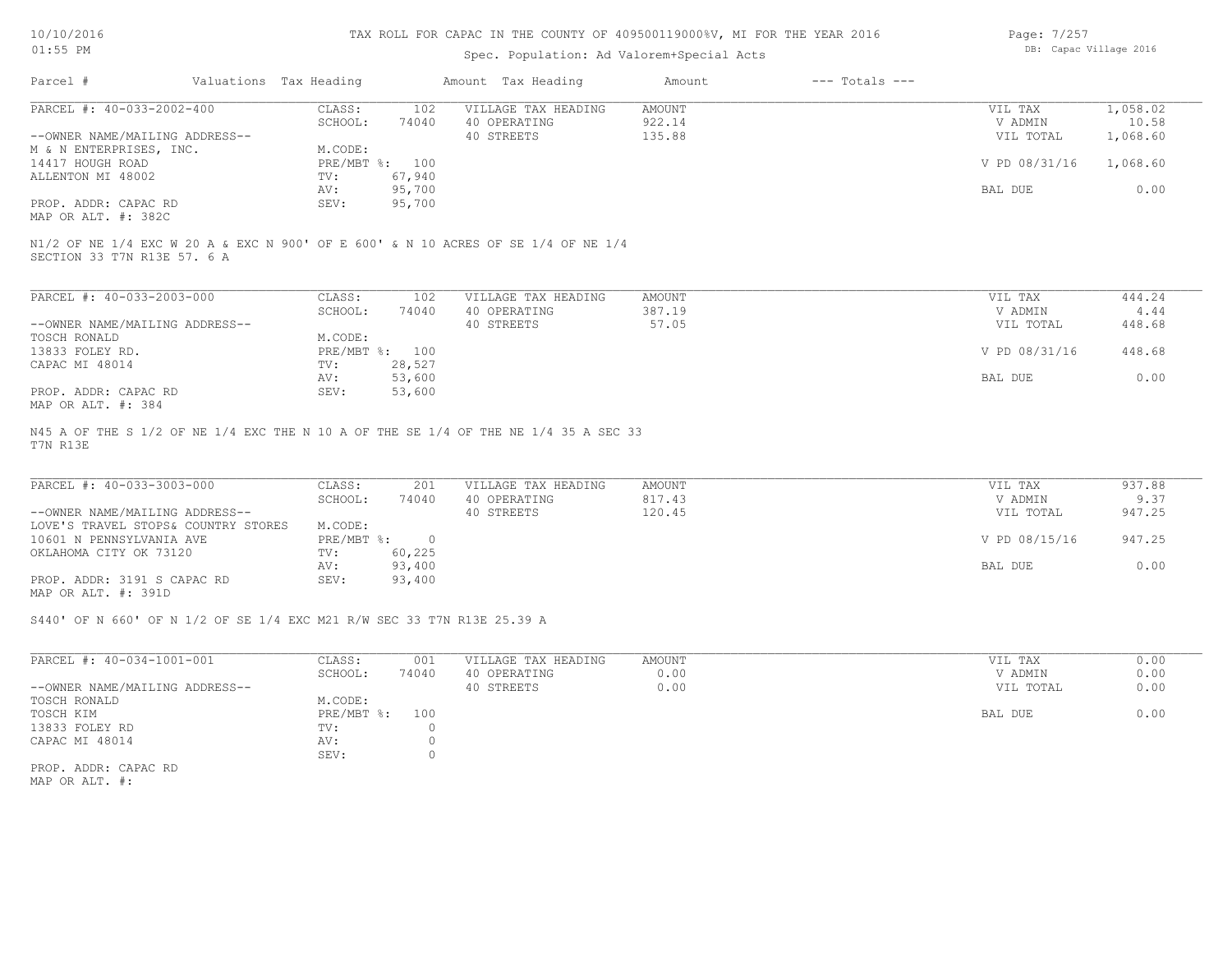| 10/10/2016 |  |
|------------|--|
| $01:55$ PM |  |

# Spec. Population: Ad Valorem+Special Acts

| Page: 7/257 |                        |  |
|-------------|------------------------|--|
|             | DB: Capac Village 2016 |  |

| Parcel #                       | Valuations Tax Heading |                | Amount Tax Heading  | Amount | $---$ Totals $---$ |               |          |
|--------------------------------|------------------------|----------------|---------------------|--------|--------------------|---------------|----------|
| PARCEL #: 40-033-2002-400      | CLASS:                 | 102            | VILLAGE TAX HEADING | AMOUNT |                    | VIL TAX       | 1,058.02 |
|                                | SCHOOL:                | 74040          | 40 OPERATING        | 922.14 |                    | V ADMIN       | 10.58    |
| --OWNER NAME/MAILING ADDRESS-- |                        |                | 40 STREETS          | 135.88 |                    | VIL TOTAL     | 1,068.60 |
| M & N ENTERPRISES, INC.        | M.CODE:                |                |                     |        |                    |               |          |
| 14417 HOUGH ROAD               |                        | PRE/MBT %: 100 |                     |        |                    | V PD 08/31/16 | 1,068.60 |
| ALLENTON MI 48002              | TV:                    | 67,940         |                     |        |                    |               |          |
|                                | AV:                    | 95,700         |                     |        |                    | BAL DUE       | 0.00     |
| PROP. ADDR: CAPAC RD           | SEV:                   | 95,700         |                     |        |                    |               |          |
| MAP OR ALT. #: 382C            |                        |                |                     |        |                    |               |          |

| PARCEL #: 40-033-2003-000      | CLASS:     | 102    | VILLAGE TAX HEADING | AMOUNT | VIL TAX       | 444.24 |
|--------------------------------|------------|--------|---------------------|--------|---------------|--------|
|                                | SCHOOL:    | 74040  | 40 OPERATING        | 387.19 | V ADMIN       | 4.44   |
| --OWNER NAME/MAILING ADDRESS-- |            |        | 40 STREETS          | 57.05  | VIL TOTAL     | 448.68 |
| TOSCH RONALD                   | M.CODE:    |        |                     |        |               |        |
| 13833 FOLEY RD.                | PRE/MBT %: | 100    |                     |        | V PD 08/31/16 | 448.68 |
| CAPAC MI 48014                 | TV:        | 28,527 |                     |        |               |        |
|                                | AV:        | 53,600 |                     |        | BAL DUE       | 0.00   |
| PROP. ADDR: CAPAC RD           | SEV:       | 53,600 |                     |        |               |        |
| MAP OR ALT. #: 384             |            |        |                     |        |               |        |

T7N R13E N45 A OF THE S 1/2 OF NE 1/4 EXC THE N 10 A OF THE SE 1/4 OF THE NE 1/4 35 A SEC 33

| PARCEL #: 40-033-3003-000           | CLASS:     | 201    | VILLAGE TAX HEADING | AMOUNT | VIL TAX       | 937.88 |
|-------------------------------------|------------|--------|---------------------|--------|---------------|--------|
|                                     | SCHOOL:    | 74040  | 40 OPERATING        | 817.43 | V ADMIN       | 9.37   |
| --OWNER NAME/MAILING ADDRESS--      |            |        | 40 STREETS          | 120.45 | VIL TOTAL     | 947.25 |
| LOVE'S TRAVEL STOPS& COUNTRY STORES | M.CODE:    |        |                     |        |               |        |
| 10601 N PENNSYLVANIA AVE            | PRE/MBT %: |        |                     |        | V PD 08/15/16 | 947.25 |
| OKLAHOMA CITY OK 73120              | TV:        | 60,225 |                     |        |               |        |
|                                     | AV:        | 93,400 |                     |        | BAL DUE       | 0.00   |
| PROP. ADDR: 3191 S CAPAC RD         | SEV:       | 93,400 |                     |        |               |        |
| MAP OR ALT. #: 391D                 |            |        |                     |        |               |        |

S440' OF N 660' OF N 1/2 OF SE 1/4 EXC M21 R/W SEC 33 T7N R13E 25.39 A

| PARCEL #: 40-034-1001-001      | CLASS:       | 001   | VILLAGE TAX HEADING | AMOUNT | VIL TAX   | 0.00 |
|--------------------------------|--------------|-------|---------------------|--------|-----------|------|
|                                | SCHOOL:      | 74040 | 40 OPERATING        | 0.00   | V ADMIN   | 0.00 |
| --OWNER NAME/MAILING ADDRESS-- |              |       | 40 STREETS          | 0.00   | VIL TOTAL | 0.00 |
| TOSCH RONALD                   | M.CODE:      |       |                     |        |           |      |
| TOSCH KIM                      | $PRE/MBT$ %: | 100   |                     |        | BAL DUE   | 0.00 |
| 13833 FOLEY RD                 | TV:          |       |                     |        |           |      |
| CAPAC MI 48014                 | AV:          |       |                     |        |           |      |
|                                | SEV:         |       |                     |        |           |      |
| PROP. ADDR: CAPAC RD           |              |       |                     |        |           |      |

MAP OR ALT. #: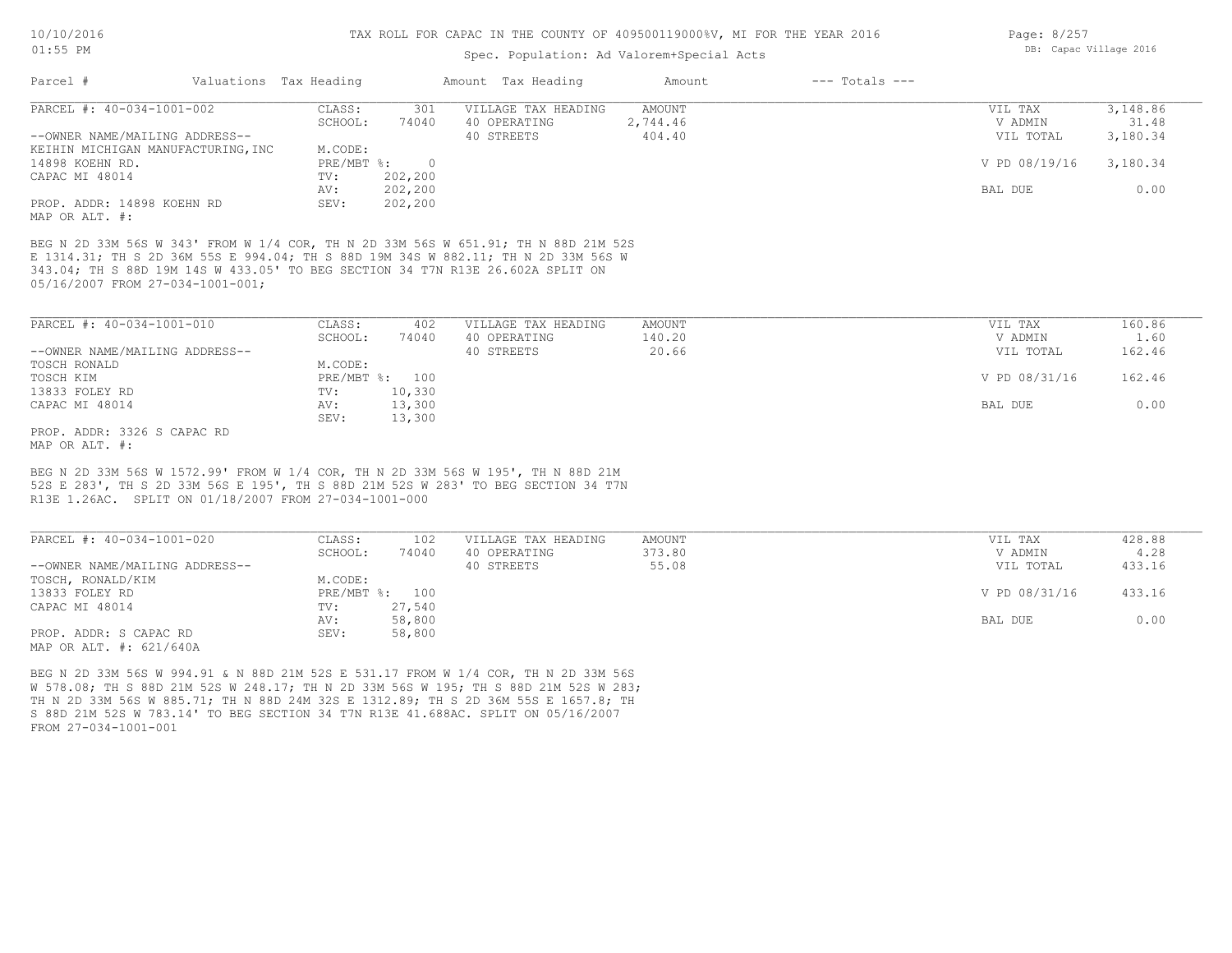#### Spec. Population: Ad Valorem+Special Acts

| Parcel #                                                                                                                                                                                                                                                                                      | Valuations Tax Heading |                | Amount Tax Heading  | Amount        | $---$ Totals $---$ |               |          |
|-----------------------------------------------------------------------------------------------------------------------------------------------------------------------------------------------------------------------------------------------------------------------------------------------|------------------------|----------------|---------------------|---------------|--------------------|---------------|----------|
| PARCEL #: 40-034-1001-002                                                                                                                                                                                                                                                                     | CLASS:                 | 301            | VILLAGE TAX HEADING | AMOUNT        |                    | VIL TAX       | 3,148.86 |
|                                                                                                                                                                                                                                                                                               | SCHOOL:                | 74040          | 40 OPERATING        | 2,744.46      |                    | V ADMIN       | 31.48    |
| --OWNER NAME/MAILING ADDRESS--                                                                                                                                                                                                                                                                |                        |                | 40 STREETS          | 404.40        |                    | VIL TOTAL     | 3,180.34 |
| KEIHIN MICHIGAN MANUFACTURING, INC                                                                                                                                                                                                                                                            | M.CODE:                |                |                     |               |                    |               |          |
| 14898 KOEHN RD.                                                                                                                                                                                                                                                                               | PRE/MBT %:             | $\overline{0}$ |                     |               |                    | V PD 08/19/16 | 3,180.34 |
| CAPAC MI 48014                                                                                                                                                                                                                                                                                | TV:                    | 202,200        |                     |               |                    |               |          |
|                                                                                                                                                                                                                                                                                               | AV:                    | 202,200        |                     |               |                    | BAL DUE       | 0.00     |
| PROP. ADDR: 14898 KOEHN RD                                                                                                                                                                                                                                                                    | SEV:                   | 202,200        |                     |               |                    |               |          |
| MAP OR ALT. #:                                                                                                                                                                                                                                                                                |                        |                |                     |               |                    |               |          |
| BEG N 2D 33M 56S W 343' FROM W 1/4 COR, TH N 2D 33M 56S W 651.91; TH N 88D 21M 52S<br>E 1314.31; TH S 2D 36M 55S E 994.04; TH S 88D 19M 34S W 882.11; TH N 2D 33M 56S W<br>343.04; TH S 88D 19M 14S W 433.05' TO BEG SECTION 34 T7N R13E 26.602A SPLIT ON<br>05/16/2007 FROM 27-034-1001-001; |                        |                |                     |               |                    |               |          |
| PARCEL #: 40-034-1001-010                                                                                                                                                                                                                                                                     | CLASS:                 | 402            | VILLAGE TAX HEADING | <b>AMOUNT</b> |                    | VIL TAX       | 160.86   |
|                                                                                                                                                                                                                                                                                               | SCHOOL:                | 74040          | 40 OPERATING        | 140.20        |                    | V ADMIN       | 1.60     |
| --OWNER NAME/MAILING ADDRESS--                                                                                                                                                                                                                                                                |                        |                | 40 STREETS          | 20.66         |                    | VIL TOTAL     | 162.46   |
| TOSCH RONALD                                                                                                                                                                                                                                                                                  | M.CODE:                |                |                     |               |                    |               |          |
| TOSCH KIM                                                                                                                                                                                                                                                                                     | PRE/MBT %: 100         |                |                     |               |                    | V PD 08/31/16 | 162.46   |
| 13833 FOLEY RD                                                                                                                                                                                                                                                                                | TV:                    | 10,330         |                     |               |                    |               |          |
| CAPAC MI 48014                                                                                                                                                                                                                                                                                | AV:                    | 13,300         |                     |               |                    | BAL DUE       | 0.00     |
|                                                                                                                                                                                                                                                                                               | SEV:                   | 13,300         |                     |               |                    |               |          |
| PROP. ADDR: 3326 S CAPAC RD                                                                                                                                                                                                                                                                   |                        |                |                     |               |                    |               |          |

R13E 1.26AC. SPLIT ON 01/18/2007 FROM 27-034-1001-000 52S E 283', TH S 2D 33M 56S E 195', TH S 88D 21M 52S W 283' TO BEG SECTION 34 T7N BEG N 2D 33M 56S W 1572.99' FROM W 1/4 COR, TH N 2D 33M 56S W 195', TH N 88D 21M

| PARCEL #: 40-034-1001-020      | CLASS:  | 102            | VILLAGE TAX HEADING | AMOUNT | VIL TAX       | 428.88 |
|--------------------------------|---------|----------------|---------------------|--------|---------------|--------|
|                                | SCHOOL: | 74040          | 40 OPERATING        | 373.80 | V ADMIN       | 4.28   |
| --OWNER NAME/MAILING ADDRESS-- |         |                | 40 STREETS          | 55.08  | VIL TOTAL     | 433.16 |
| TOSCH, RONALD/KIM              | M.CODE: |                |                     |        |               |        |
| 13833 FOLEY RD                 |         | PRE/MBT %: 100 |                     |        | V PD 08/31/16 | 433.16 |
| CAPAC MI 48014                 | TV:     | 27,540         |                     |        |               |        |
|                                | AV:     | 58,800         |                     |        | BAL DUE       | 0.00   |
| PROP. ADDR: S CAPAC RD         | SEV:    | 58,800         |                     |        |               |        |
| MAP OR ALT. #: 621/640A        |         |                |                     |        |               |        |

FROM 27-034-1001-001 S 88D 21M 52S W 783.14' TO BEG SECTION 34 T7N R13E 41.688AC. SPLIT ON 05/16/2007 TH N 2D 33M 56S W 885.71; TH N 88D 24M 32S E 1312.89; TH S 2D 36M 55S E 1657.8; TH W 578.08; TH S 88D 21M 52S W 248.17; TH N 2D 33M 56S W 195; TH S 88D 21M 52S W 283; BEG N 2D 33M 56S W 994.91 & N 88D 21M 52S E 531.17 FROM W 1/4 COR, TH N 2D 33M 56S

Page: 8/257 DB: Capac Village 2016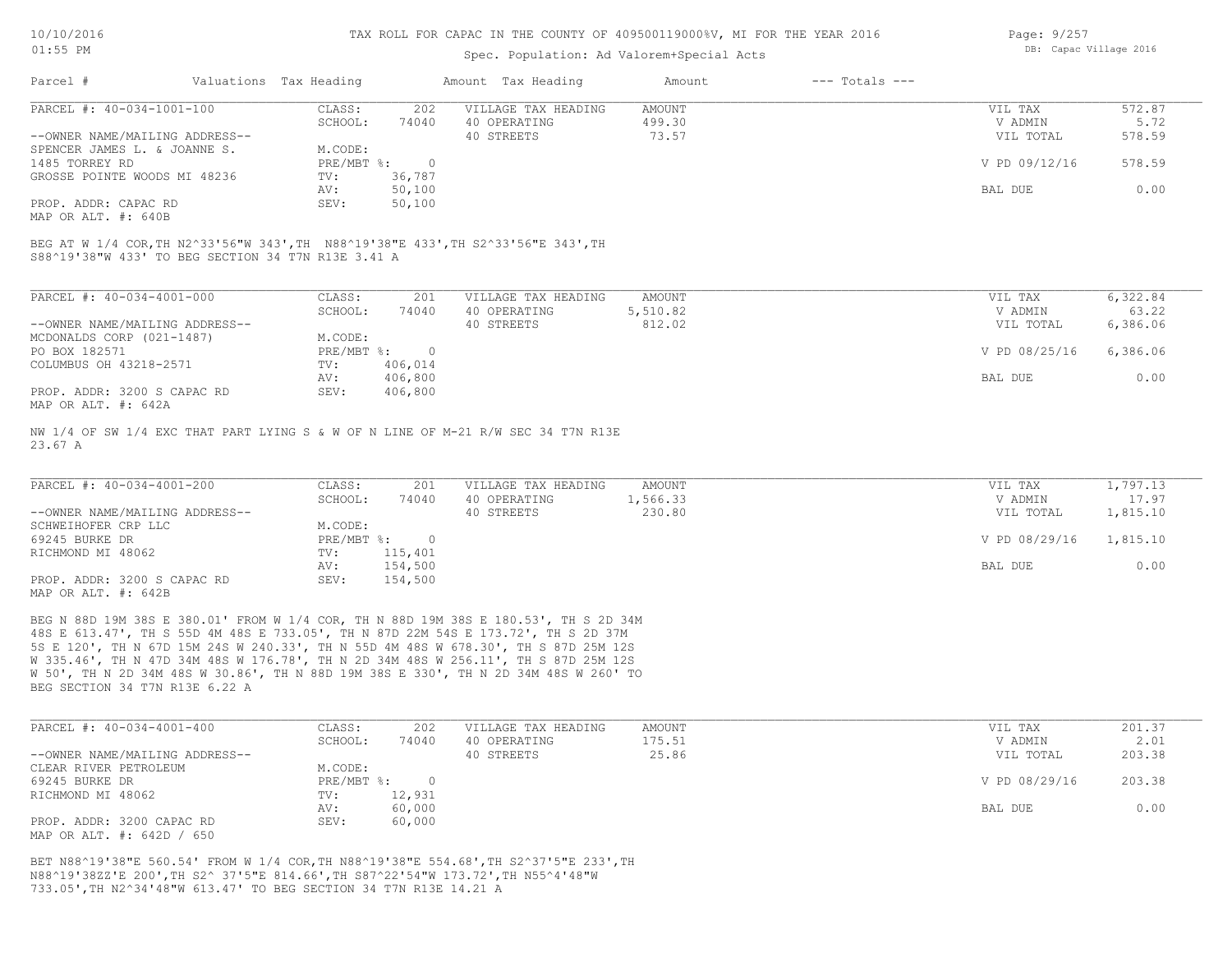#### Spec. Population: Ad Valorem+Special Acts

| Page: 9/257 |                        |  |
|-------------|------------------------|--|
|             | DB: Capac Village 2016 |  |

| Parcel #                       | Valuations Tax Heading |        | Amount Tax Heading  | Amount | $---$ Totals $---$ |               |        |
|--------------------------------|------------------------|--------|---------------------|--------|--------------------|---------------|--------|
| PARCEL #: 40-034-1001-100      | CLASS:                 | 202    | VILLAGE TAX HEADING | AMOUNT |                    | VIL TAX       | 572.87 |
|                                | SCHOOL:                | 74040  | 40 OPERATING        | 499.30 |                    | V ADMIN       | 5.72   |
| --OWNER NAME/MAILING ADDRESS-- |                        |        | 40 STREETS          | 73.57  |                    | VIL TOTAL     | 578.59 |
| SPENCER JAMES L. & JOANNE S.   | M.CODE:                |        |                     |        |                    |               |        |
| 1485 TORREY RD                 | PRE/MBT %:             |        |                     |        |                    | V PD 09/12/16 | 578.59 |
| GROSSE POINTE WOODS MI 48236   | TV:                    | 36,787 |                     |        |                    |               |        |
|                                | AV:                    | 50,100 |                     |        |                    | BAL DUE       | 0.00   |
| PROP. ADDR: CAPAC RD           | SEV:                   | 50,100 |                     |        |                    |               |        |
|                                |                        |        |                     |        |                    |               |        |

MAP OR ALT. #: 640B

S88^19'38"W 433' TO BEG SECTION 34 T7N R13E 3.41 A BEG AT W 1/4 COR,TH N2^33'56"W 343',TH N88^19'38"E 433',TH S2^33'56"E 343',TH

| PARCEL #: 40-034-4001-000      | CLASS:     | 201     | VILLAGE TAX HEADING | AMOUNT   | VIL TAX       | 6,322.84 |
|--------------------------------|------------|---------|---------------------|----------|---------------|----------|
|                                | SCHOOL:    | 74040   | 40 OPERATING        | 5,510.82 | V ADMIN       | 63.22    |
| --OWNER NAME/MAILING ADDRESS-- |            |         | 40 STREETS          | 812.02   | VIL TOTAL     | 6,386.06 |
| MCDONALDS CORP (021-1487)      | M.CODE:    |         |                     |          |               |          |
| PO BOX 182571                  | PRE/MBT %: |         |                     |          | V PD 08/25/16 | 6,386.06 |
| COLUMBUS OH 43218-2571         | TV:        | 406,014 |                     |          |               |          |
|                                | AV:        | 406,800 |                     |          | BAL DUE       | 0.00     |
| PROP. ADDR: 3200 S CAPAC RD    | SEV:       | 406,800 |                     |          |               |          |
| MAP OR ALT. #: 642A            |            |         |                     |          |               |          |

23.67 A NW 1/4 OF SW 1/4 EXC THAT PART LYING S & W OF N LINE OF M-21 R/W SEC 34 T7N R13E

| PARCEL #: 40-034-4001-200      | CLASS:     | 201     | VILLAGE TAX HEADING | AMOUNT   | VIL TAX       | 1,797.13 |
|--------------------------------|------------|---------|---------------------|----------|---------------|----------|
|                                | SCHOOL:    | 74040   | 40 OPERATING        | 1,566.33 | V ADMIN       | 17.97    |
| --OWNER NAME/MAILING ADDRESS-- |            |         | 40 STREETS          | 230.80   | VIL TOTAL     | 1,815.10 |
| SCHWEIHOFER CRP LLC            | M.CODE:    |         |                     |          |               |          |
| 69245 BURKE DR                 | PRE/MBT %: |         |                     |          | V PD 08/29/16 | 1,815.10 |
| RICHMOND MI 48062              | TV:        | 115,401 |                     |          |               |          |
|                                | AV:        | 154,500 |                     |          | BAL DUE       | 0.00     |
| PROP. ADDR: 3200 S CAPAC RD    | SEV:       | 154,500 |                     |          |               |          |
| MAP OR ALT. #: 642B            |            |         |                     |          |               |          |

BEG SECTION 34 T7N R13E 6.22 A W 50', TH N 2D 34M 48S W 30.86', TH N 88D 19M 38S E 330', TH N 2D 34M 48S W 260' TO W 335.46', TH N 47D 34M 48S W 176.78', TH N 2D 34M 48S W 256.11', TH S 87D 25M 12S 5S E 120', TH N 67D 15M 24S W 240.33', TH N 55D 4M 48S W 678.30', TH S 87D 25M 12S 48S E 613.47', TH S 55D 4M 48S E 733.05', TH N 87D 22M 54S E 173.72', TH S 2D 37M BEG N 88D 19M 38S E 380.01' FROM W 1/4 COR, TH N 88D 19M 38S E 180.53', TH S 2D 34M

| PARCEL #: 40-034-4001-400      | CLASS:       | 202    | VILLAGE TAX HEADING | AMOUNT | VIL TAX       | 201.37 |
|--------------------------------|--------------|--------|---------------------|--------|---------------|--------|
|                                | SCHOOL:      | 74040  | 40 OPERATING        | 175.51 | V ADMIN       | 2.01   |
| --OWNER NAME/MAILING ADDRESS-- |              |        | 40 STREETS          | 25.86  | VIL TOTAL     | 203.38 |
| CLEAR RIVER PETROLEUM          | M.CODE:      |        |                     |        |               |        |
| 69245 BURKE DR                 | $PRE/MBT$ %: |        |                     |        | V PD 08/29/16 | 203.38 |
| RICHMOND MI 48062              | TV:          | 12,931 |                     |        |               |        |
|                                | AV:          | 60,000 |                     |        | BAL DUE       | 0.00   |
| PROP. ADDR: 3200 CAPAC RD      | SEV:         | 60,000 |                     |        |               |        |
| MAP OR ALT. #: 642D / 650      |              |        |                     |        |               |        |

733.05',TH N2^34'48"W 613.47' TO BEG SECTION 34 T7N R13E 14.21 A N88^19'38ZZ'E 200',TH S2^ 37'5"E 814.66',TH S87^22'54"W 173.72',TH N55^4'48"W BET N88^19'38"E 560.54' FROM W 1/4 COR,TH N88^19'38"E 554.68',TH S2^37'5"E 233',TH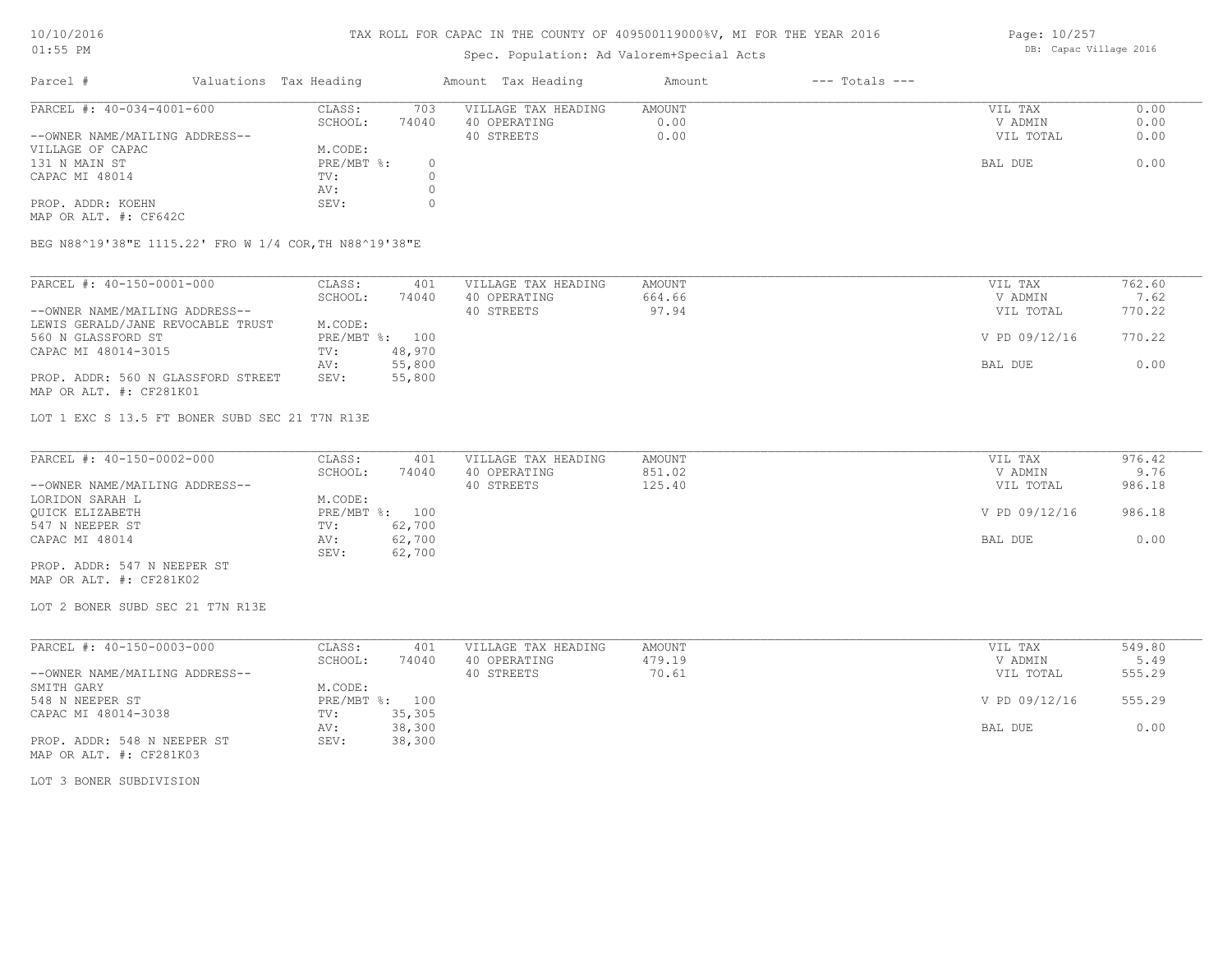# Spec. Population: Ad Valorem+Special Acts

Page: 10/257 DB: Capac Village 2016

| Parcel #                       | Valuations Tax Heading |       | Amount Tax Heading  | Amount | $---$ Totals $---$ |           |      |
|--------------------------------|------------------------|-------|---------------------|--------|--------------------|-----------|------|
| PARCEL #: 40-034-4001-600      | CLASS:                 | 703   | VILLAGE TAX HEADING | AMOUNT |                    | VIL TAX   | 0.00 |
|                                | SCHOOL:                | 74040 | 40 OPERATING        | 0.00   |                    | V ADMIN   | 0.00 |
| --OWNER NAME/MAILING ADDRESS-- |                        |       | 40 STREETS          | 0.00   |                    | VIL TOTAL | 0.00 |
| VILLAGE OF CAPAC               | M.CODE:                |       |                     |        |                    |           |      |
| 131 N MAIN ST                  | $PRE/MBT$ %:           |       |                     |        |                    | BAL DUE   | 0.00 |
| CAPAC MI 48014                 | TV:                    |       |                     |        |                    |           |      |
|                                | AV:                    |       |                     |        |                    |           |      |
| PROP. ADDR: KOEHN              | SEV:                   |       |                     |        |                    |           |      |
| MAP OR ALT. #: CF642C          |                        |       |                     |        |                    |           |      |

BEG N88^19'38"E 1115.22' FRO W 1/4 COR,TH N88^19'38"E

| PARCEL #: 40-150-0001-000          | CLASS:  | 401            | VILLAGE TAX HEADING | AMOUNT | VIL TAX       | 762.60 |
|------------------------------------|---------|----------------|---------------------|--------|---------------|--------|
|                                    | SCHOOL: | 74040          | 40 OPERATING        | 664.66 | V ADMIN       | 7.62   |
| --OWNER NAME/MAILING ADDRESS--     |         |                | 40 STREETS          | 97.94  | VIL TOTAL     | 770.22 |
| LEWIS GERALD/JANE REVOCABLE TRUST  | M.CODE: |                |                     |        |               |        |
| 560 N GLASSFORD ST                 |         | PRE/MBT %: 100 |                     |        | V PD 09/12/16 | 770.22 |
| CAPAC MI 48014-3015                | TV:     | 48,970         |                     |        |               |        |
|                                    | AV:     | 55,800         |                     |        | BAL DUE       | 0.00   |
| PROP. ADDR: 560 N GLASSFORD STREET | SEV:    | 55,800         |                     |        |               |        |
| MAP OR ALT. #: CF281K01            |         |                |                     |        |               |        |

LOT 1 EXC S 13.5 FT BONER SUBD SEC 21 T7N R13E

| PARCEL #: 40-150-0002-000      | CLASS:         | 401    | VILLAGE TAX HEADING | AMOUNT | VIL TAX       | 976.42 |
|--------------------------------|----------------|--------|---------------------|--------|---------------|--------|
|                                | SCHOOL:        | 74040  | 40 OPERATING        | 851.02 | V ADMIN       | 9.76   |
| --OWNER NAME/MAILING ADDRESS-- |                |        | 40 STREETS          | 125.40 | VIL TOTAL     | 986.18 |
| LORIDON SARAH L                | M.CODE:        |        |                     |        |               |        |
| OUICK ELIZABETH                | PRE/MBT %: 100 |        |                     |        | V PD 09/12/16 | 986.18 |
| 547 N NEEPER ST                | TV:            | 62,700 |                     |        |               |        |
| CAPAC MI 48014                 | AV:            | 62,700 |                     |        | BAL DUE       | 0.00   |
|                                | SEV:           | 62,700 |                     |        |               |        |
| PROP. ADDR: 547 N NEEPER ST    |                |        |                     |        |               |        |

MAP OR ALT. #: CF281K02

LOT 2 BONER SUBD SEC 21 T7N R13E

| PARCEL #: 40-150-0003-000      | CLASS:  | 401            | VILLAGE TAX HEADING | AMOUNT | VIL TAX       | 549.80 |
|--------------------------------|---------|----------------|---------------------|--------|---------------|--------|
|                                | SCHOOL: | 74040          | 40 OPERATING        | 479.19 | V ADMIN       | 5.49   |
| --OWNER NAME/MAILING ADDRESS-- |         |                | 40 STREETS          | 70.61  | VIL TOTAL     | 555.29 |
| SMITH GARY                     | M.CODE: |                |                     |        |               |        |
| 548 N NEEPER ST                |         | PRE/MBT %: 100 |                     |        | V PD 09/12/16 | 555.29 |
| CAPAC MI 48014-3038            | TV:     | 35,305         |                     |        |               |        |
|                                | AV:     | 38,300         |                     |        | BAL DUE       | 0.00   |
| PROP. ADDR: 548 N NEEPER ST    | SEV:    | 38,300         |                     |        |               |        |
| MAP OR ALT. #: CF281K03        |         |                |                     |        |               |        |

LOT 3 BONER SUBDIVISION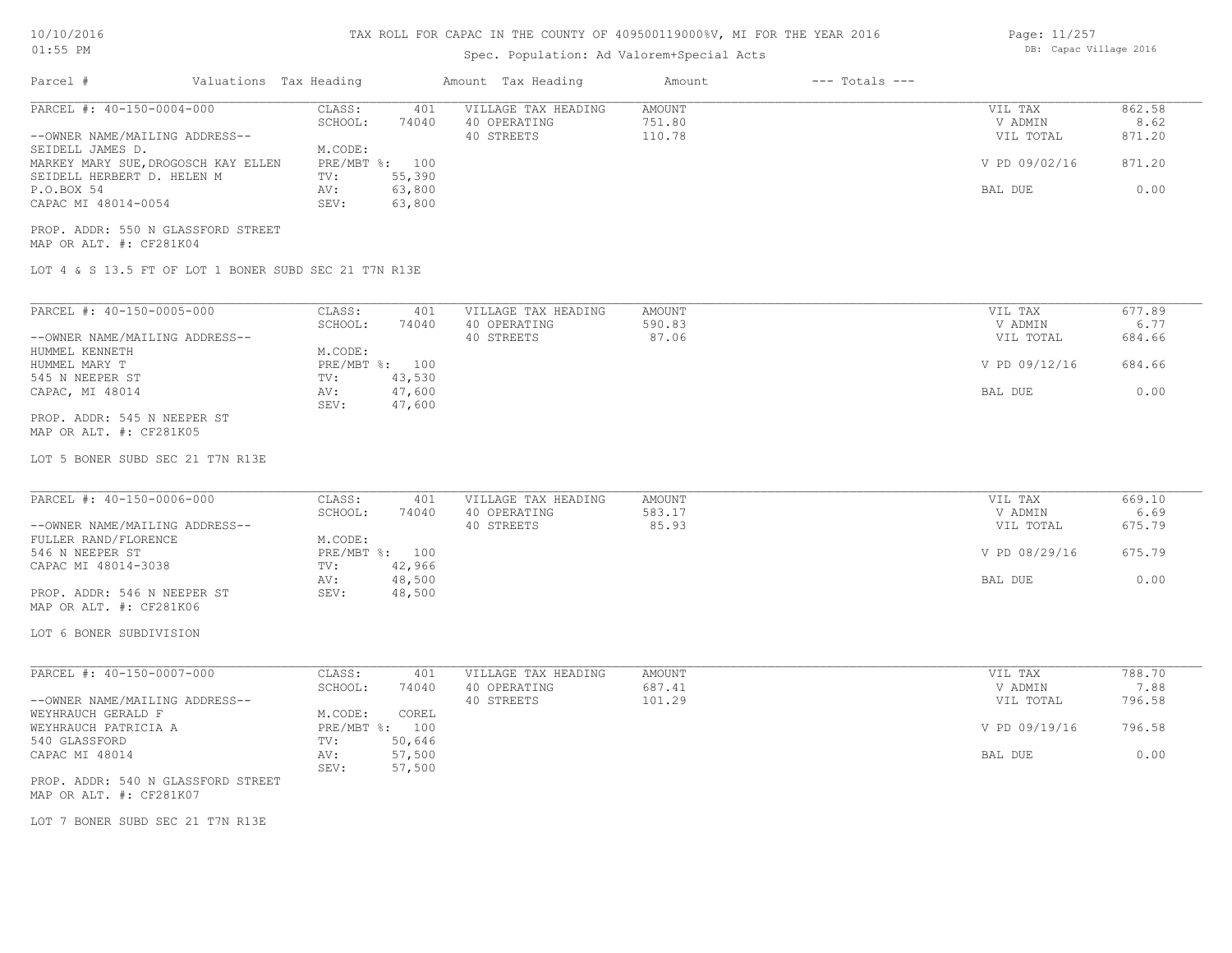# TAX ROLL FOR CAPAC IN THE COUNTY OF 409500119000%V, MI FOR THE YEAR 2016

## Spec. Population: Ad Valorem+Special Acts

| Page: 11/257 |                        |  |
|--------------|------------------------|--|
|              | DB: Capac Village 2016 |  |

| Parcel #                                                        | Valuations Tax Heading    | Amount Tax Heading                                                | Amount                            | $---$ Totals $---$ |                                 |                          |
|-----------------------------------------------------------------|---------------------------|-------------------------------------------------------------------|-----------------------------------|--------------------|---------------------------------|--------------------------|
| PARCEL #: 40-150-0004-000<br>--OWNER NAME/MAILING ADDRESS--     | CLASS:<br>SCHOOL:         | 401<br>VILLAGE TAX HEADING<br>74040<br>40 OPERATING<br>40 STREETS | <b>AMOUNT</b><br>751.80<br>110.78 |                    | VIL TAX<br>V ADMIN<br>VIL TOTAL | 862.58<br>8.62<br>871.20 |
| SEIDELL JAMES D.<br>MARKEY MARY SUE, DROGOSCH KAY ELLEN         | M.CODE:<br>PRE/MBT %: 100 |                                                                   |                                   |                    | V PD 09/02/16                   | 871.20                   |
| SEIDELL HERBERT D. HELEN M<br>P.O.BOX 54<br>CAPAC MI 48014-0054 | TV:<br>AV:<br>SEV:        | 55,390<br>63,800<br>63,800                                        |                                   |                    | BAL DUE                         | 0.00                     |
| PROP. ADDR: 550 N GLASSFORD STREET<br>MAP OR ALT. #: CF281K04   |                           |                                                                   |                                   |                    |                                 |                          |
| LOT 4 & S 13.5 FT OF LOT 1 BONER SUBD SEC 21 T7N R13E           |                           |                                                                   |                                   |                    |                                 |                          |
| PARCEL #: 40-150-0005-000                                       | CLASS:                    | VILLAGE TAX HEADING<br>401                                        | AMOUNT                            |                    | VIL TAX                         | 677.89                   |
| --OWNER NAME/MAILING ADDRESS--                                  | SCHOOL:                   | 74040<br>40 OPERATING<br>40 STREETS                               | 590.83<br>87.06                   |                    | V ADMIN<br>VIL TOTAL            | 6.77<br>684.66           |
| HUMMEL KENNETH<br>HUMMEL MARY T                                 | M.CODE:<br>PRE/MBT %: 100 |                                                                   |                                   |                    | V PD 09/12/16                   | 684.66                   |
| 545 N NEEPER ST<br>CAPAC, MI 48014                              | TV:<br>AV:                | 43,530<br>47,600                                                  |                                   |                    | BAL DUE                         | 0.00                     |
| PROP. ADDR: 545 N NEEPER ST<br>MAP OR ALT. #: CF281K05          | SEV:                      | 47,600                                                            |                                   |                    |                                 |                          |
| LOT 5 BONER SUBD SEC 21 T7N R13E                                |                           |                                                                   |                                   |                    |                                 |                          |
| PARCEL #: 40-150-0006-000                                       | CLASS:<br>SCHOOL:         | 401<br>VILLAGE TAX HEADING<br>74040<br>40 OPERATING               | AMOUNT<br>583.17                  |                    | VIL TAX<br>V ADMIN              | 669.10<br>6.69           |
| --OWNER NAME/MAILING ADDRESS--<br>FULLER RAND/FLORENCE          | M.CODE:                   | 40 STREETS                                                        | 85.93                             |                    | VIL TOTAL                       | 675.79                   |
| 546 N NEEPER ST<br>CAPAC MI 48014-3038                          | PRE/MBT %: 100<br>TV:     | 42,966                                                            |                                   |                    | V PD 08/29/16                   | 675.79                   |
| PROP. ADDR: 546 N NEEPER ST<br>MAP OR ALT. #: CF281K06          | AV:<br>SEV:               | 48,500<br>48,500                                                  |                                   |                    | BAL DUE                         | 0.00                     |
| LOT 6 BONER SUBDIVISION                                         |                           |                                                                   |                                   |                    |                                 |                          |
|                                                                 |                           |                                                                   |                                   |                    |                                 |                          |
| PARCEL #: 40-150-0007-000                                       | CLASS:<br>SCHOOL:         | VILLAGE TAX HEADING<br>401<br>74040<br>40 OPERATING               | AMOUNT<br>687.41                  |                    | VIL TAX<br>V ADMIN              | 788.70<br>7.88           |
| --OWNER NAME/MAILING ADDRESS--<br>WEYHRAUCH GERALD F            | M.CODE:                   | 40 STREETS<br>COREL                                               | 101.29                            |                    | VIL TOTAL                       | 796.58                   |
| WEYHRAUCH PATRICIA A<br>540 GLASSFORD                           | PRE/MBT %: 100<br>TV:     | 50,646                                                            |                                   |                    | V PD 09/19/16                   | 796.58                   |
| CAPAC MI 48014                                                  | AV:<br>SEV:               | 57,500<br>57,500                                                  |                                   |                    | BAL DUE                         | 0.00                     |
| PROP. ADDR: 540 N GLASSFORD STREET<br>MAP OR ALT. #: CF281K07   |                           |                                                                   |                                   |                    |                                 |                          |
| LOT 7 BONER SUBD SEC 21 T7N R13E                                |                           |                                                                   |                                   |                    |                                 |                          |
|                                                                 |                           |                                                                   |                                   |                    |                                 |                          |
|                                                                 |                           |                                                                   |                                   |                    |                                 |                          |
|                                                                 |                           |                                                                   |                                   |                    |                                 |                          |
|                                                                 |                           |                                                                   |                                   |                    |                                 |                          |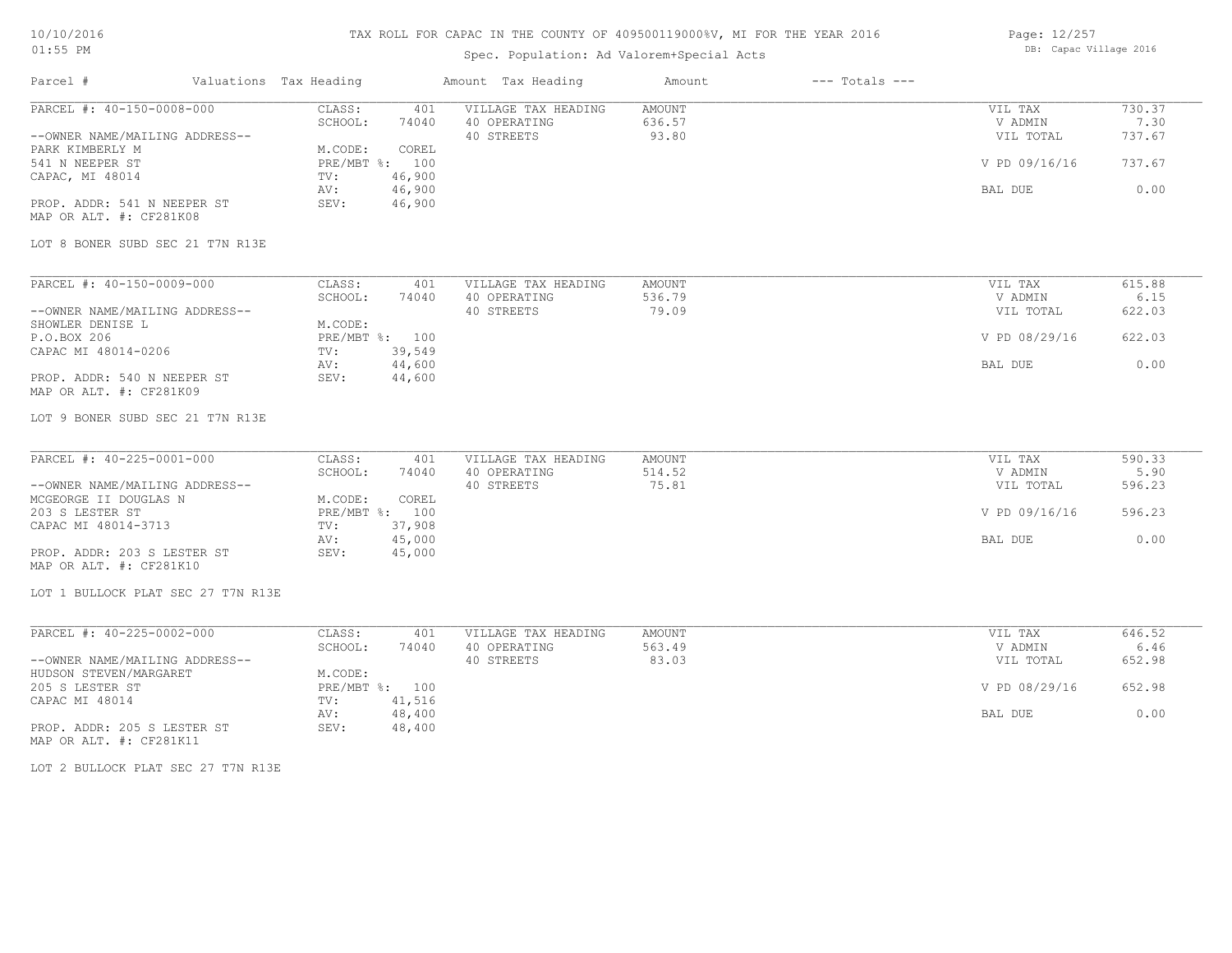# TAX ROLL FOR CAPAC IN THE COUNTY OF 409500119000%V, MI FOR THE YEAR 2016

# Spec. Population: Ad Valorem+Special Acts

Parcel # Valuations Tax Heading Amount Tax Heading Amount --- Totals ---

| Page: 12/257 |                        |  |
|--------------|------------------------|--|
|              | DB: Capac Village 2016 |  |

| PARCEL #: 40-150-0008-000                              | CLASS:<br>401<br>SCHOOL:<br>74040 | VILLAGE TAX HEADING<br>40 OPERATING | <b>AMOUNT</b><br>636.57 | VIL TAX<br>V ADMIN | 730.37<br>7.30 |
|--------------------------------------------------------|-----------------------------------|-------------------------------------|-------------------------|--------------------|----------------|
| --OWNER NAME/MAILING ADDRESS--                         |                                   | 40 STREETS                          | 93.80                   | VIL TOTAL          | 737.67         |
| PARK KIMBERLY M                                        | M.CODE:<br>COREL                  |                                     |                         |                    |                |
| 541 N NEEPER ST                                        | PRE/MBT %: 100                    |                                     |                         | V PD 09/16/16      | 737.67         |
| CAPAC, MI 48014                                        | 46,900<br>TV:                     |                                     |                         |                    |                |
|                                                        | 46,900<br>AV:                     |                                     |                         | BAL DUE            | 0.00           |
| PROP. ADDR: 541 N NEEPER ST<br>MAP OR ALT. #: CF281K08 | SEV:<br>46,900                    |                                     |                         |                    |                |
| LOT 8 BONER SUBD SEC 21 T7N R13E                       |                                   |                                     |                         |                    |                |
| PARCEL #: 40-150-0009-000                              | CLASS:<br>401                     | VILLAGE TAX HEADING                 | AMOUNT                  | VIL TAX            | 615.88         |
|                                                        | SCHOOL:<br>74040                  | 40 OPERATING                        | 536.79                  | V ADMIN            | 6.15           |
| --OWNER NAME/MAILING ADDRESS--                         |                                   | 40 STREETS                          | 79.09                   | VIL TOTAL          | 622.03         |
| SHOWLER DENISE L                                       | M.CODE:                           |                                     |                         |                    |                |
| P.O.BOX 206                                            | PRE/MBT %: 100                    |                                     |                         | V PD 08/29/16      | 622.03         |
| CAPAC MI 48014-0206                                    | 39,549<br>TV:                     |                                     |                         |                    |                |
| PROP. ADDR: 540 N NEEPER ST                            | 44,600<br>AV:<br>SEV:<br>44,600   |                                     |                         | BAL DUE            | 0.00           |
| MAP OR ALT. #: CF281K09                                |                                   |                                     |                         |                    |                |
| LOT 9 BONER SUBD SEC 21 T7N R13E                       |                                   |                                     |                         |                    |                |
| PARCEL #: 40-225-0001-000                              | CLASS:<br>401                     | VILLAGE TAX HEADING                 | AMOUNT                  | VIL TAX            | 590.33         |
|                                                        | SCHOOL:<br>74040                  | 40 OPERATING                        | 514.52                  | V ADMIN            | 5.90           |
| --OWNER NAME/MAILING ADDRESS--                         |                                   | 40 STREETS                          | 75.81                   | VIL TOTAL          | 596.23         |
| MCGEORGE II DOUGLAS N                                  | M.CODE:<br>COREL                  |                                     |                         |                    |                |
| 203 S LESTER ST                                        | PRE/MBT %: 100                    |                                     |                         | V PD 09/16/16      | 596.23         |
| CAPAC MI 48014-3713                                    | 37,908<br>TV:                     |                                     |                         |                    |                |
|                                                        | 45,000<br>AV:                     |                                     |                         | BAL DUE            | 0.00           |
| PROP. ADDR: 203 S LESTER ST                            | SEV:<br>45,000                    |                                     |                         |                    |                |
| MAP OR ALT. #: CF281K10                                |                                   |                                     |                         |                    |                |
| LOT 1 BULLOCK PLAT SEC 27 T7N R13E                     |                                   |                                     |                         |                    |                |
| PARCEL #: 40-225-0002-000                              | CLASS:<br>401                     | VILLAGE TAX HEADING                 | AMOUNT                  | VIL TAX            | 646.52         |
|                                                        | SCHOOL:<br>74040                  | 40 OPERATING                        | 563.49                  | V ADMIN            | 6.46           |
| --OWNER NAME/MAILING ADDRESS--                         |                                   | 40 STREETS                          | 83.03                   | VIL TOTAL          | 652.98         |
| HUDSON STEVEN/MARGARET                                 | M.CODE:                           |                                     |                         |                    |                |
| 205 S LESTER ST                                        | PRE/MBT %: 100                    |                                     |                         | V PD 08/29/16      | 652.98         |
| CAPAC MI 48014                                         | 41,516<br>TV:                     |                                     |                         |                    |                |
|                                                        | 48,400<br>AV:                     |                                     |                         | BAL DUE            | 0.00           |
| PROP. ADDR: 205 S LESTER ST<br>MAP OR ALT. #: CF281K11 | SEV:<br>48,400                    |                                     |                         |                    |                |

LOT 2 BULLOCK PLAT SEC 27 T7N R13E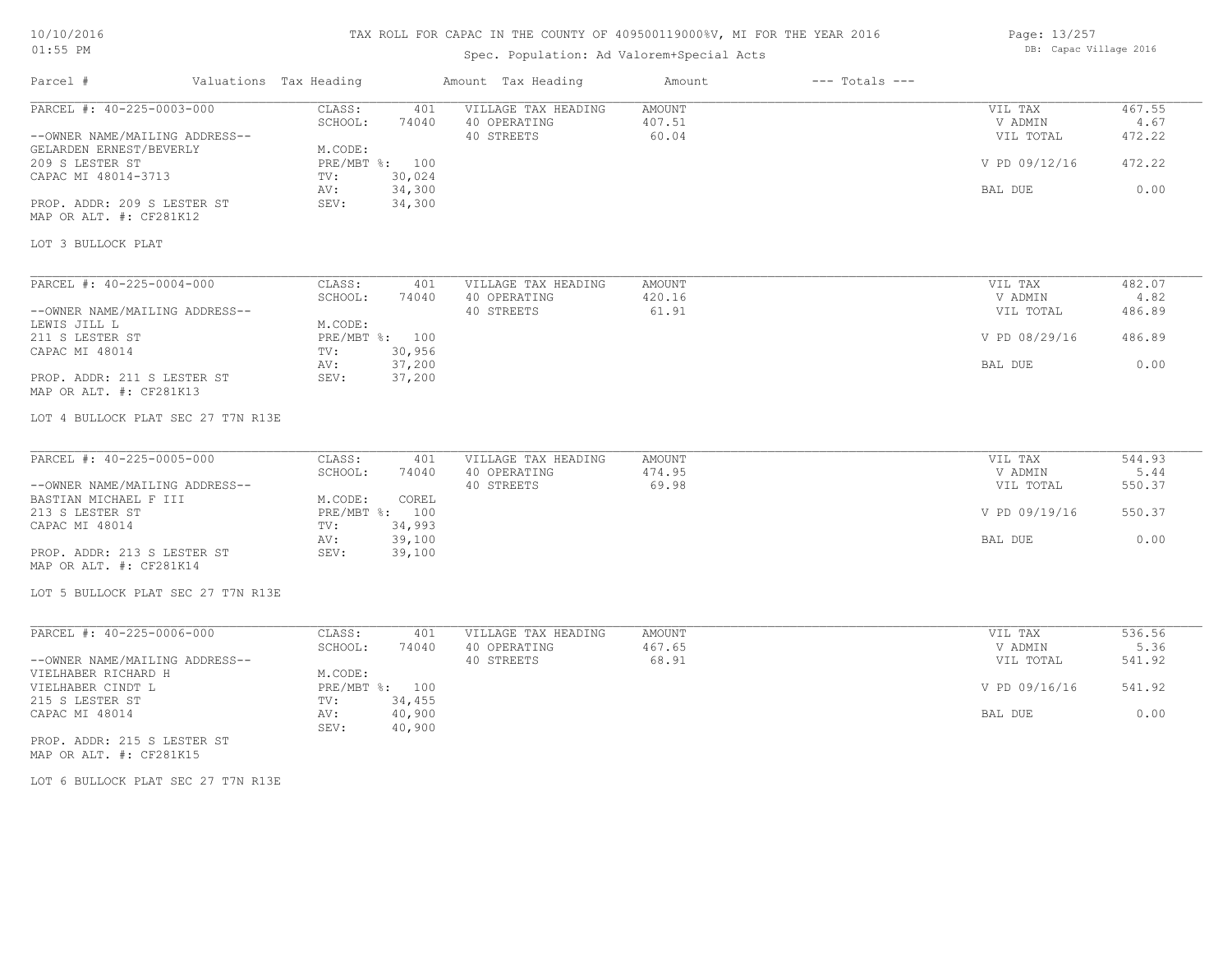#### TAX ROLL FOR CAPAC IN THE COUNTY OF 409500119000%V, MI FOR THE YEAR 2016

# Spec. Population: Ad Valorem+Special Acts

| Page: 13/257 |                        |  |
|--------------|------------------------|--|
|              | DB: Capac Village 2016 |  |

| Parcel #                                                    | Valuations Tax Heading             | Amount Tax Heading                                | Amount                           | $---$ Totals $---$ |                                 |                          |
|-------------------------------------------------------------|------------------------------------|---------------------------------------------------|----------------------------------|--------------------|---------------------------------|--------------------------|
| PARCEL #: 40-225-0003-000<br>--OWNER NAME/MAILING ADDRESS-- | CLASS:<br>401<br>SCHOOL:<br>74040  | VILLAGE TAX HEADING<br>40 OPERATING<br>40 STREETS | <b>AMOUNT</b><br>407.51<br>60.04 |                    | VIL TAX<br>V ADMIN<br>VIL TOTAL | 467.55<br>4.67<br>472.22 |
| GELARDEN ERNEST/BEVERLY                                     | M.CODE:                            |                                                   |                                  |                    |                                 |                          |
| 209 S LESTER ST<br>CAPAC MI 48014-3713                      | PRE/MBT %: 100<br>30,024<br>TV:    |                                                   |                                  |                    | V PD 09/12/16                   | 472.22                   |
|                                                             | 34,300<br>AV:                      |                                                   |                                  |                    | BAL DUE                         | 0.00                     |
| PROP. ADDR: 209 S LESTER ST<br>MAP OR ALT. #: CF281K12      | 34,300<br>SEV:                     |                                                   |                                  |                    |                                 |                          |
| LOT 3 BULLOCK PLAT                                          |                                    |                                                   |                                  |                    |                                 |                          |
| PARCEL #: 40-225-0004-000                                   | CLASS:<br>401                      | VILLAGE TAX HEADING                               | <b>AMOUNT</b>                    |                    | VIL TAX                         | 482.07                   |
|                                                             | SCHOOL:<br>74040                   | 40 OPERATING                                      | 420.16                           |                    | V ADMIN                         | 4.82                     |
| --OWNER NAME/MAILING ADDRESS--                              |                                    | 40 STREETS                                        | 61.91                            |                    | VIL TOTAL                       | 486.89                   |
| LEWIS JILL L<br>211 S LESTER ST                             | M.CODE:<br>PRE/MBT %: 100          |                                                   |                                  |                    | V PD 08/29/16                   | 486.89                   |
| CAPAC MI 48014                                              | 30,956<br>TV:<br>37,200<br>AV:     |                                                   |                                  |                    | BAL DUE                         | 0.00                     |
| PROP. ADDR: 211 S LESTER ST<br>MAP OR ALT. #: CF281K13      | 37,200<br>SEV:                     |                                                   |                                  |                    |                                 |                          |
| LOT 4 BULLOCK PLAT SEC 27 T7N R13E                          |                                    |                                                   |                                  |                    |                                 |                          |
| PARCEL #: 40-225-0005-000                                   | CLASS:<br>401                      | VILLAGE TAX HEADING                               | AMOUNT                           |                    | VIL TAX                         | 544.93                   |
|                                                             | SCHOOL:<br>74040                   | 40 OPERATING                                      | 474.95                           |                    | V ADMIN                         | 5.44                     |
| --OWNER NAME/MAILING ADDRESS--                              |                                    | 40 STREETS                                        | 69.98                            |                    | VIL TOTAL                       | 550.37                   |
| BASTIAN MICHAEL F III<br>213 S LESTER ST                    | COREL<br>M.CODE:<br>PRE/MBT %: 100 |                                                   |                                  |                    | V PD 09/19/16                   | 550.37                   |
| CAPAC MI 48014                                              | 34,993<br>TV:<br>39,100<br>AV:     |                                                   |                                  |                    | BAL DUE                         | 0.00                     |
| PROP. ADDR: 213 S LESTER ST<br>MAP OR ALT. #: CF281K14      | SEV:<br>39,100                     |                                                   |                                  |                    |                                 |                          |
| LOT 5 BULLOCK PLAT SEC 27 T7N R13E                          |                                    |                                                   |                                  |                    |                                 |                          |
| PARCEL #: 40-225-0006-000                                   | CLASS:<br>401                      | VILLAGE TAX HEADING                               | AMOUNT                           |                    | VIL TAX                         | 536.56                   |
|                                                             | SCHOOL:<br>74040                   | 40 OPERATING                                      | 467.65                           |                    | V ADMIN                         | 5.36                     |
| --OWNER NAME/MAILING ADDRESS--                              |                                    | 40 STREETS                                        | 68.91                            |                    | VIL TOTAL                       | 541.92                   |
| VIELHABER RICHARD H                                         | M.CODE:                            |                                                   |                                  |                    |                                 |                          |
| VIELHABER CINDT L                                           | PRE/MBT %: 100                     |                                                   |                                  |                    | V PD 09/16/16                   | 541.92                   |
| 215 S LESTER ST<br>CAPAC MI 48014                           | 34,455<br>TV:<br>40,900<br>AV:     |                                                   |                                  |                    | BAL DUE                         | 0.00                     |
|                                                             | SEV:<br>40,900                     |                                                   |                                  |                    |                                 |                          |
| PROP. ADDR: 215 S LESTER ST                                 |                                    |                                                   |                                  |                    |                                 |                          |

MAP OR ALT. #: CF281K15

LOT 6 BULLOCK PLAT SEC 27 T7N R13E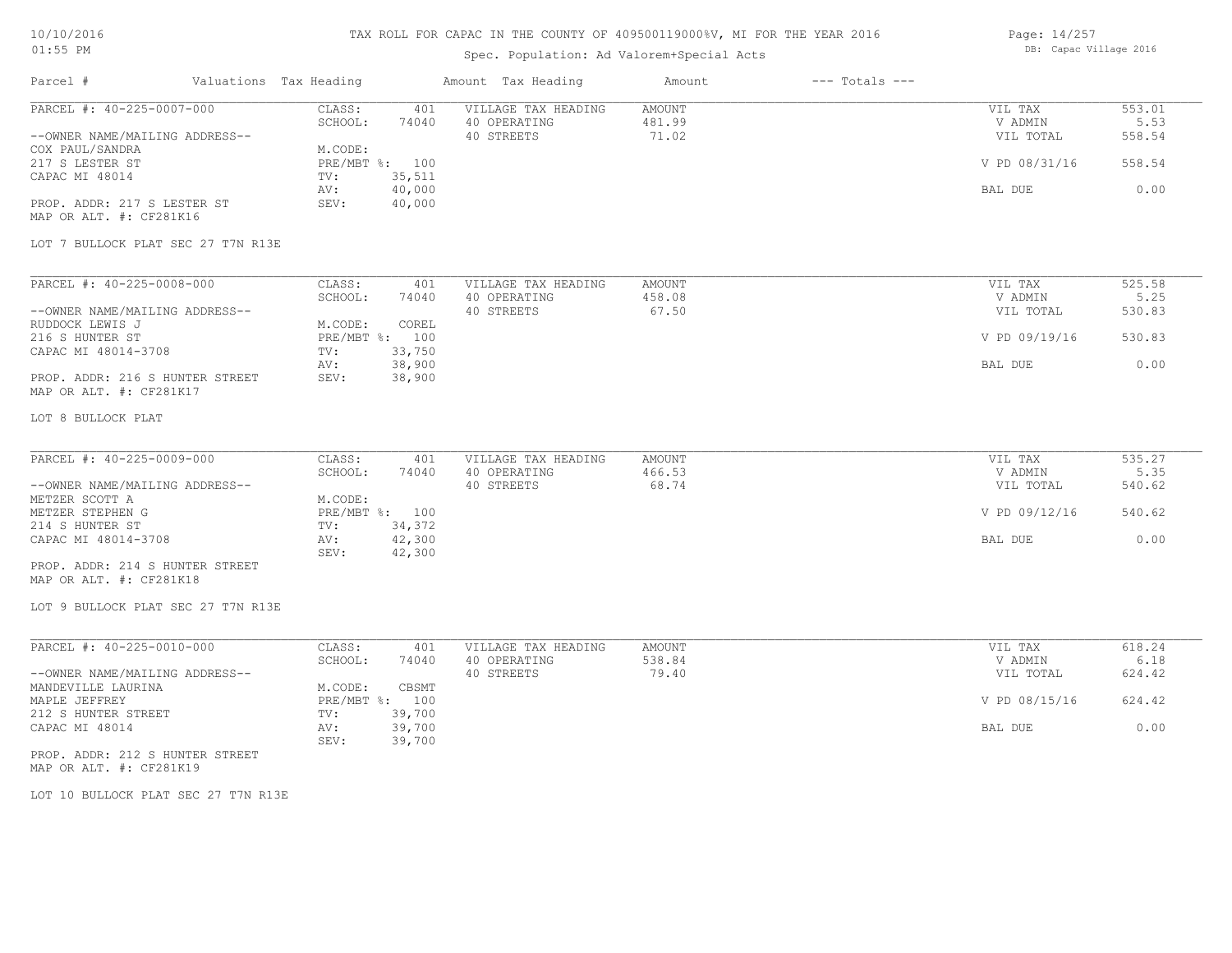# TAX ROLL FOR CAPAC IN THE COUNTY OF 409500119000%V, MI FOR THE YEAR 2016

# Spec. Population: Ad Valorem+Special Acts

| Page: 14/257 |                        |  |
|--------------|------------------------|--|
|              | DB: Capac Village 2016 |  |

| Parcel #                                                    | Valuations Tax Heading                           | Amount Tax Heading                                | Amount                    | $---$ Totals $---$ |                                 |                          |
|-------------------------------------------------------------|--------------------------------------------------|---------------------------------------------------|---------------------------|--------------------|---------------------------------|--------------------------|
| PARCEL #: 40-225-0007-000<br>--OWNER NAME/MAILING ADDRESS-- | CLASS:<br>401<br>SCHOOL:<br>74040                | VILLAGE TAX HEADING<br>40 OPERATING<br>40 STREETS | AMOUNT<br>481.99<br>71.02 |                    | VIL TAX<br>V ADMIN<br>VIL TOTAL | 553.01<br>5.53<br>558.54 |
| COX PAUL/SANDRA<br>217 S LESTER ST                          | M.CODE:<br>PRE/MBT %: 100                        |                                                   |                           |                    | V PD 08/31/16                   | 558.54                   |
| CAPAC MI 48014                                              | 35,511<br>TV:<br>40,000<br>AV:                   |                                                   |                           |                    | BAL DUE                         | 0.00                     |
| PROP. ADDR: 217 S LESTER ST<br>MAP OR ALT. #: CF281K16      | SEV:<br>40,000                                   |                                                   |                           |                    |                                 |                          |
| LOT 7 BULLOCK PLAT SEC 27 T7N R13E                          |                                                  |                                                   |                           |                    |                                 |                          |
| PARCEL #: 40-225-0008-000                                   | CLASS:<br>401                                    | VILLAGE TAX HEADING                               | AMOUNT                    |                    | VIL TAX                         | 525.58                   |
| --OWNER NAME/MAILING ADDRESS--                              | SCHOOL:<br>74040                                 | 40 OPERATING<br>40 STREETS                        | 458.08<br>67.50           |                    | V ADMIN<br>VIL TOTAL            | 5.25<br>530.83           |
| RUDDOCK LEWIS J<br>216 S HUNTER ST                          | M.CODE:<br>COREL<br>PRE/MBT %: 100               |                                                   |                           |                    | V PD 09/19/16                   | 530.83                   |
| CAPAC MI 48014-3708                                         | 33,750<br>TV:<br>38,900<br>AV:                   |                                                   |                           |                    | BAL DUE                         | 0.00                     |
| PROP. ADDR: 216 S HUNTER STREET<br>MAP OR ALT. #: CF281K17  | 38,900<br>SEV:                                   |                                                   |                           |                    |                                 |                          |
| LOT 8 BULLOCK PLAT                                          |                                                  |                                                   |                           |                    |                                 |                          |
| PARCEL #: 40-225-0009-000                                   | CLASS:<br>401                                    | VILLAGE TAX HEADING                               | AMOUNT                    |                    | VIL TAX                         | 535.27                   |
| --OWNER NAME/MAILING ADDRESS--                              | SCHOOL:<br>74040                                 | 40 OPERATING<br>40 STREETS                        | 466.53<br>68.74           |                    | V ADMIN<br>VIL TOTAL            | 5.35<br>540.62           |
| METZER SCOTT A<br>METZER STEPHEN G                          | M.CODE:<br>PRE/MBT %: 100                        |                                                   |                           |                    | V PD 09/12/16                   | 540.62                   |
| 214 S HUNTER ST<br>CAPAC MI 48014-3708                      | 34,372<br>TV:<br>42,300<br>AV:                   |                                                   |                           |                    | BAL DUE                         | 0.00                     |
| PROP. ADDR: 214 S HUNTER STREET                             | SEV:<br>42,300                                   |                                                   |                           |                    |                                 |                          |
| MAP OR ALT. #: CF281K18                                     |                                                  |                                                   |                           |                    |                                 |                          |
| LOT 9 BULLOCK PLAT SEC 27 T7N R13E                          |                                                  |                                                   |                           |                    |                                 |                          |
| PARCEL #: 40-225-0010-000                                   | CLASS:<br>401                                    | VILLAGE TAX HEADING                               | AMOUNT                    |                    | VIL TAX                         | 618.24                   |
| --OWNER NAME/MAILING ADDRESS--                              | SCHOOL:<br>74040                                 | 40 OPERATING<br>40 STREETS                        | 538.84<br>79.40           |                    | V ADMIN<br>VIL TOTAL            | 6.18<br>624.42           |
| MANDEVILLE LAURINA<br>MAPLE JEFFREY                         | M.CODE:<br>CBSMT<br>PRE/MBT %: 100               |                                                   |                           |                    | V PD 08/15/16                   | 624.42                   |
| 212 S HUNTER STREET<br>CAPAC MI 48014                       | 39,700<br>TV:<br>AV:<br>39,700<br>39,700<br>SEV: |                                                   |                           |                    | BAL DUE                         | 0.00                     |
| PROP. ADDR: 212 S HUNTER STREET<br>MAP OR ALT. #: CF281K19  |                                                  |                                                   |                           |                    |                                 |                          |

LOT 10 BULLOCK PLAT SEC 27 T7N R13E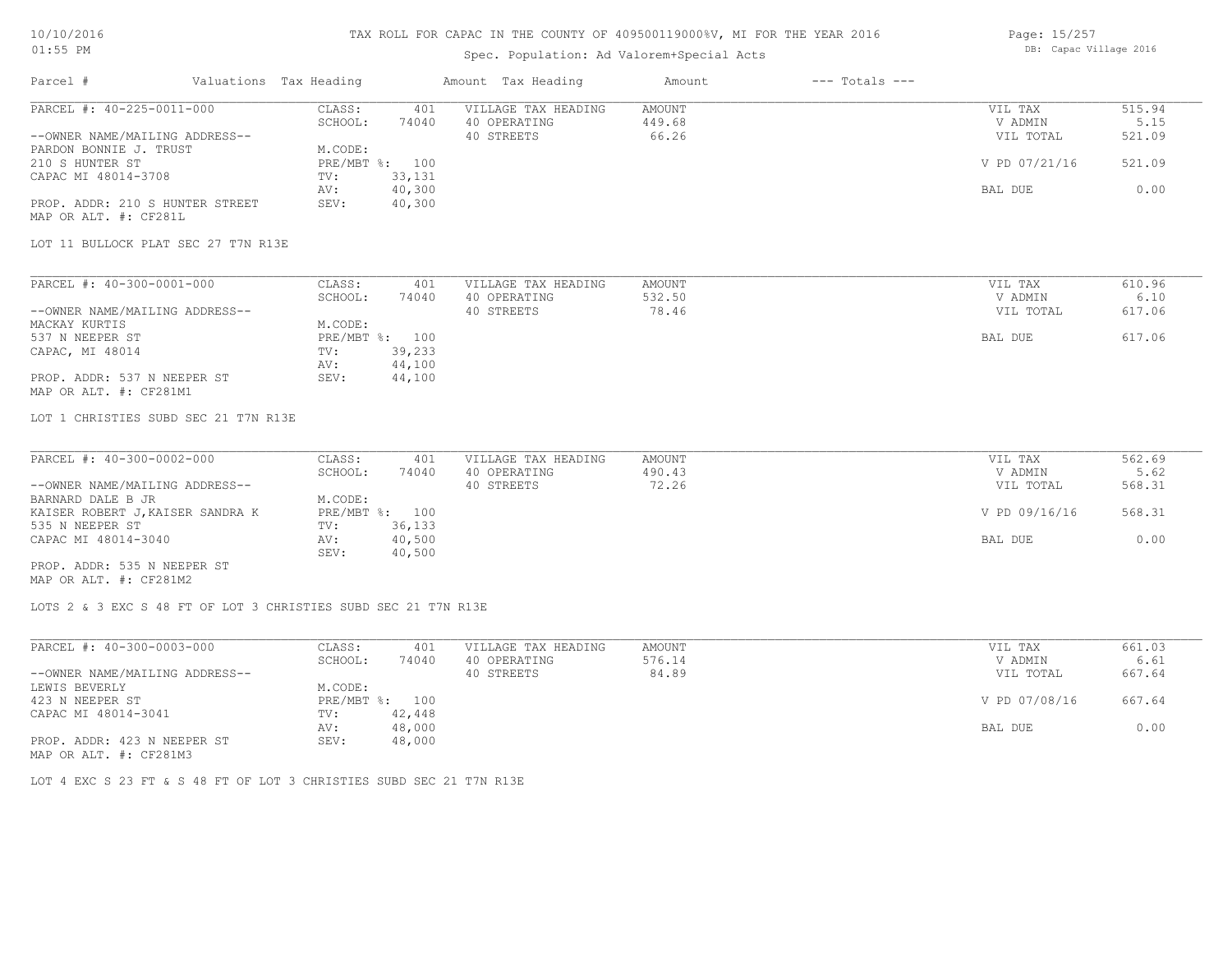#### TAX ROLL FOR CAPAC IN THE COUNTY OF 409500119000%V, MI FOR THE YEAR 2016

# Spec. Population: Ad Valorem+Special Acts

| Page: 15/257 |                        |  |
|--------------|------------------------|--|
|              | DB: Capac Village 2016 |  |

| Parcel #<br>Valuations Tax Heading                             |                  | Amount Tax Heading  | Amount        | $---$ Totals $---$ |               |        |
|----------------------------------------------------------------|------------------|---------------------|---------------|--------------------|---------------|--------|
| PARCEL #: 40-225-0011-000                                      | CLASS:<br>401    | VILLAGE TAX HEADING | <b>AMOUNT</b> |                    | VIL TAX       | 515.94 |
|                                                                | 74040<br>SCHOOL: | 40 OPERATING        | 449.68        |                    | V ADMIN       | 5.15   |
| --OWNER NAME/MAILING ADDRESS--                                 |                  | 40 STREETS          | 66.26         |                    | VIL TOTAL     | 521.09 |
| PARDON BONNIE J. TRUST                                         | M.CODE:          |                     |               |                    |               |        |
| 210 S HUNTER ST                                                | PRE/MBT %: 100   |                     |               |                    | V PD 07/21/16 | 521.09 |
| CAPAC MI 48014-3708                                            | 33,131<br>TV:    |                     |               |                    |               |        |
|                                                                | 40,300<br>AV:    |                     |               |                    | BAL DUE       | 0.00   |
| PROP. ADDR: 210 S HUNTER STREET<br>MAP OR ALT. #: CF281L       | 40,300<br>SEV:   |                     |               |                    |               |        |
| LOT 11 BULLOCK PLAT SEC 27 T7N R13E                            |                  |                     |               |                    |               |        |
| PARCEL #: 40-300-0001-000                                      | CLASS:<br>401    | VILLAGE TAX HEADING | AMOUNT        |                    | VIL TAX       | 610.96 |
|                                                                | SCHOOL:<br>74040 | 40 OPERATING        | 532.50        |                    | V ADMIN       | 6.10   |
| --OWNER NAME/MAILING ADDRESS--                                 |                  | 40 STREETS          | 78.46         |                    | VIL TOTAL     | 617.06 |
| MACKAY KURTIS                                                  | M.CODE:          |                     |               |                    |               |        |
| 537 N NEEPER ST                                                | PRE/MBT %: 100   |                     |               |                    | BAL DUE       | 617.06 |
| CAPAC, MI 48014                                                | 39,233<br>TV:    |                     |               |                    |               |        |
|                                                                | 44,100<br>AV:    |                     |               |                    |               |        |
| PROP. ADDR: 537 N NEEPER ST                                    | 44,100<br>SEV:   |                     |               |                    |               |        |
| MAP OR ALT. #: CF281M1                                         |                  |                     |               |                    |               |        |
| LOT 1 CHRISTIES SUBD SEC 21 T7N R13E                           |                  |                     |               |                    |               |        |
| PARCEL #: 40-300-0002-000                                      | CLASS:<br>401    | VILLAGE TAX HEADING | AMOUNT        |                    | VIL TAX       | 562.69 |
|                                                                | SCHOOL:<br>74040 | 40 OPERATING        | 490.43        |                    | V ADMIN       | 5.62   |
| --OWNER NAME/MAILING ADDRESS--                                 |                  | 40 STREETS          | 72.26         |                    | VIL TOTAL     | 568.31 |
| BARNARD DALE B JR                                              | M.CODE:          |                     |               |                    |               |        |
| KAISER ROBERT J, KAISER SANDRA K                               | PRE/MBT %: 100   |                     |               |                    | V PD 09/16/16 | 568.31 |
| 535 N NEEPER ST                                                | 36,133<br>TV:    |                     |               |                    |               |        |
| CAPAC MI 48014-3040                                            | 40,500<br>AV:    |                     |               |                    | BAL DUE       | 0.00   |
|                                                                | SEV:<br>40,500   |                     |               |                    |               |        |
| PROP. ADDR: 535 N NEEPER ST<br>MAP OR ALT. #: CF281M2          |                  |                     |               |                    |               |        |
| LOTS 2 & 3 EXC S 48 FT OF LOT 3 CHRISTIES SUBD SEC 21 T7N R13E |                  |                     |               |                    |               |        |
| PARCEL #: 40-300-0003-000                                      | CLASS:<br>401    | VILLAGE TAX HEADING | <b>AMOUNT</b> |                    | VIL TAX       | 661.03 |
|                                                                | SCHOOL:<br>74040 | 40 OPERATING        | 576.14        |                    | V ADMIN       | 6.61   |
| --OWNER NAME/MAILING ADDRESS--                                 |                  | 40 STREETS          | 84.89         |                    | VIL TOTAL     | 667.64 |
| LEMIS BEVERLY                                                  | M CODE.          |                     |               |                    |               |        |

MAP OR ALT. #: CF281M3 PROP. ADDR: 423 N NEEPER ST SEV: 48,000 AV: 48,000 BAL DUE 0.00 CAPAC MI 48014-3041 TV: 42,448<br>AV: 48,000 423 N NEEPER ST PRE/MBT %: 100 V PD 07/08/16 667.64 LEWIS BEVERLY M.CODE:

LOT 4 EXC S 23 FT & S 48 FT OF LOT 3 CHRISTIES SUBD SEC 21 T7N R13E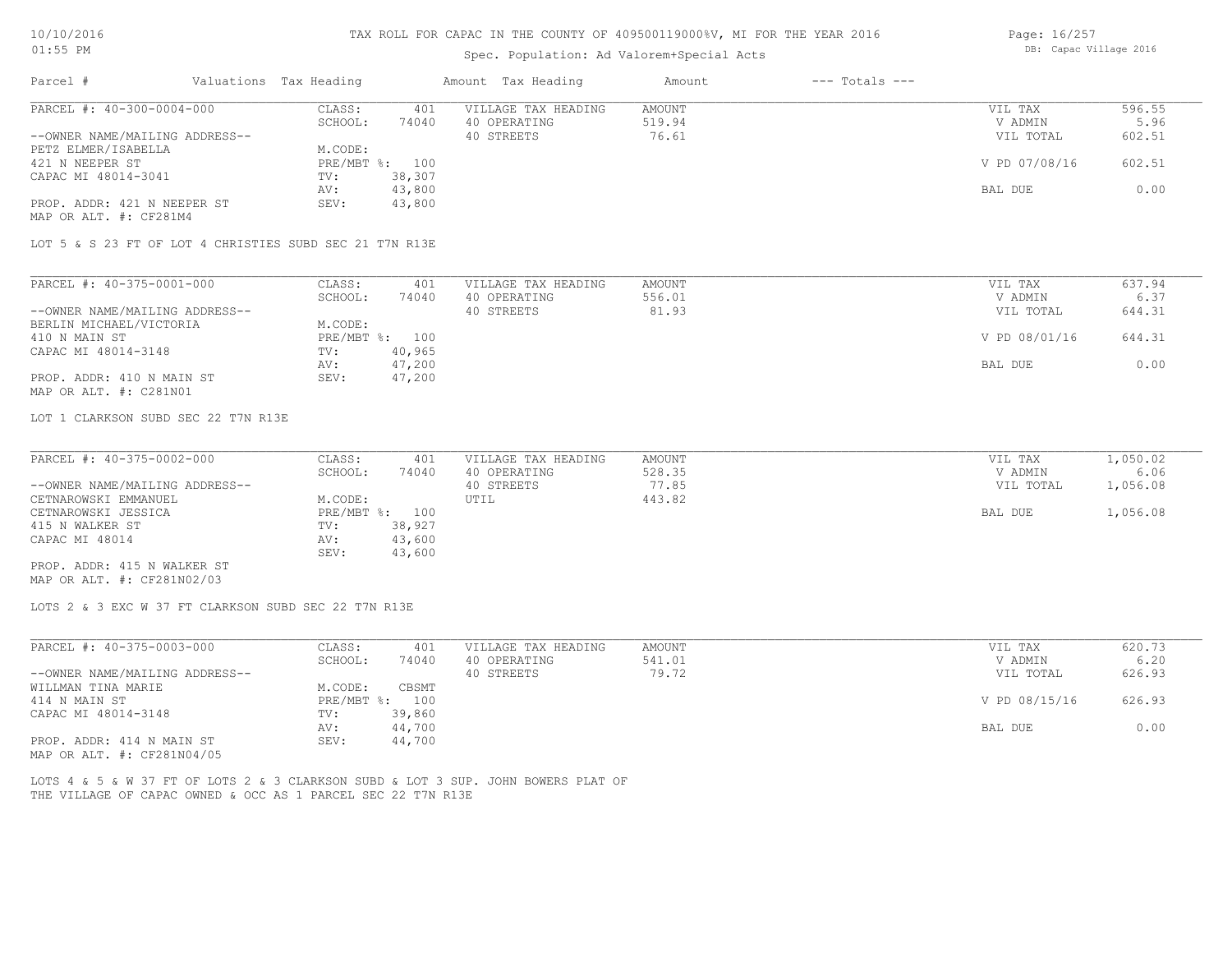#### TAX ROLL FOR CAPAC IN THE COUNTY OF 409500119000%V, MI FOR THE YEAR 2016

#### Spec. Population: Ad Valorem+Special Acts

| Page: 16/257 |                        |  |
|--------------|------------------------|--|
|              | DB: Capac Village 2016 |  |

| Parcel #                       | Valuations Tax Heading |        | Amount Tax Heading  | Amount | $---$ Totals $---$ |               |        |
|--------------------------------|------------------------|--------|---------------------|--------|--------------------|---------------|--------|
| PARCEL #: 40-300-0004-000      | CLASS:                 | 401    | VILLAGE TAX HEADING | AMOUNT |                    | VIL TAX       | 596.55 |
|                                | SCHOOL:                | 74040  | 40 OPERATING        | 519.94 |                    | V ADMIN       | 5.96   |
| --OWNER NAME/MAILING ADDRESS-- |                        |        | 40 STREETS          | 76.61  |                    | VIL TOTAL     | 602.51 |
| PETZ ELMER/ISABELLA            | M.CODE:                |        |                     |        |                    |               |        |
| 421 N NEEPER ST                | $PRE/MBT$ %:           | 100    |                     |        |                    | V PD 07/08/16 | 602.51 |
| CAPAC MI 48014-3041            | TV:                    | 38,307 |                     |        |                    |               |        |
|                                | AV:                    | 43,800 |                     |        |                    | BAL DUE       | 0.00   |
| PROP. ADDR: 421 N NEEPER ST    | SEV:                   | 43,800 |                     |        |                    |               |        |
| MAP OR ALT. #: CF281M4         |                        |        |                     |        |                    |               |        |

LOT 5 & S 23 FT OF LOT 4 CHRISTIES SUBD SEC 21 T7N R13E

| PARCEL #: 40-375-0001-000      | CLASS:  | 401            | VILLAGE TAX HEADING | AMOUNT | VIL TAX       | 637.94 |
|--------------------------------|---------|----------------|---------------------|--------|---------------|--------|
|                                | SCHOOL: | 74040          | 40 OPERATING        | 556.01 | V ADMIN       | 6.37   |
| --OWNER NAME/MAILING ADDRESS-- |         |                | 40 STREETS          | 81.93  | VIL TOTAL     | 644.31 |
| BERLIN MICHAEL/VICTORIA        | M.CODE: |                |                     |        |               |        |
| 410 N MAIN ST                  |         | PRE/MBT %: 100 |                     |        | V PD 08/01/16 | 644.31 |
| CAPAC MI 48014-3148            | TV:     | 40,965         |                     |        |               |        |
|                                | AV:     | 47,200         |                     |        | BAL DUE       | 0.00   |
| PROP. ADDR: 410 N MAIN ST      | SEV:    | 47,200         |                     |        |               |        |
| MAP OR ALT. #: C281N01         |         |                |                     |        |               |        |

LOT 1 CLARKSON SUBD SEC 22 T7N R13E

| PARCEL #: 40-375-0002-000      | CLASS:  | 401            | VILLAGE TAX HEADING | AMOUNT | VIL TAX   | 1,050.02 |
|--------------------------------|---------|----------------|---------------------|--------|-----------|----------|
|                                | SCHOOL: | 74040          | 40 OPERATING        | 528.35 | V ADMIN   | 6.06     |
| --OWNER NAME/MAILING ADDRESS-- |         |                | 40 STREETS          | 77.85  | VIL TOTAL | 1,056.08 |
| CETNAROWSKI EMMANUEL           | M.CODE: |                | UTIL                | 443.82 |           |          |
| CETNAROWSKI JESSICA            |         | PRE/MBT %: 100 |                     |        | BAL DUE   | 1,056.08 |
| 415 N WALKER ST                | TV:     | 38,927         |                     |        |           |          |
| CAPAC MI 48014                 | AV:     | 43,600         |                     |        |           |          |
|                                | SEV:    | 43,600         |                     |        |           |          |
| PROP. ADDR: 415 N WALKER ST    |         |                |                     |        |           |          |

MAP OR ALT. #: CF281N02/03

LOTS 2 & 3 EXC W 37 FT CLARKSON SUBD SEC 22 T7N R13E

| PARCEL #: 40-375-0003-000      | CLASS:     | 401    | VILLAGE TAX HEADING | AMOUNT | VIL TAX       | 620.73 |
|--------------------------------|------------|--------|---------------------|--------|---------------|--------|
|                                | SCHOOL:    | 74040  | 40 OPERATING        | 541.01 | V ADMIN       | 6.20   |
| --OWNER NAME/MAILING ADDRESS-- |            |        | 40 STREETS          | 79.72  | VIL TOTAL     | 626.93 |
| WILLMAN TINA MARIE             | M.CODE:    | CBSMT  |                     |        |               |        |
| 414 N MAIN ST                  | PRE/MBT %: | 100    |                     |        | V PD 08/15/16 | 626.93 |
| CAPAC MI 48014-3148            | TV:        | 39,860 |                     |        |               |        |
|                                | AV:        | 44,700 |                     |        | BAL DUE       | 0.00   |
| PROP. ADDR: 414 N MAIN ST      | SEV:       | 44,700 |                     |        |               |        |
| MAP OR ALT. #: CF281N04/05     |            |        |                     |        |               |        |

THE VILLAGE OF CAPAC OWNED & OCC AS 1 PARCEL SEC 22 T7N R13E LOTS 4 & 5 & W 37 FT OF LOTS 2 & 3 CLARKSON SUBD & LOT 3 SUP. JOHN BOWERS PLAT OF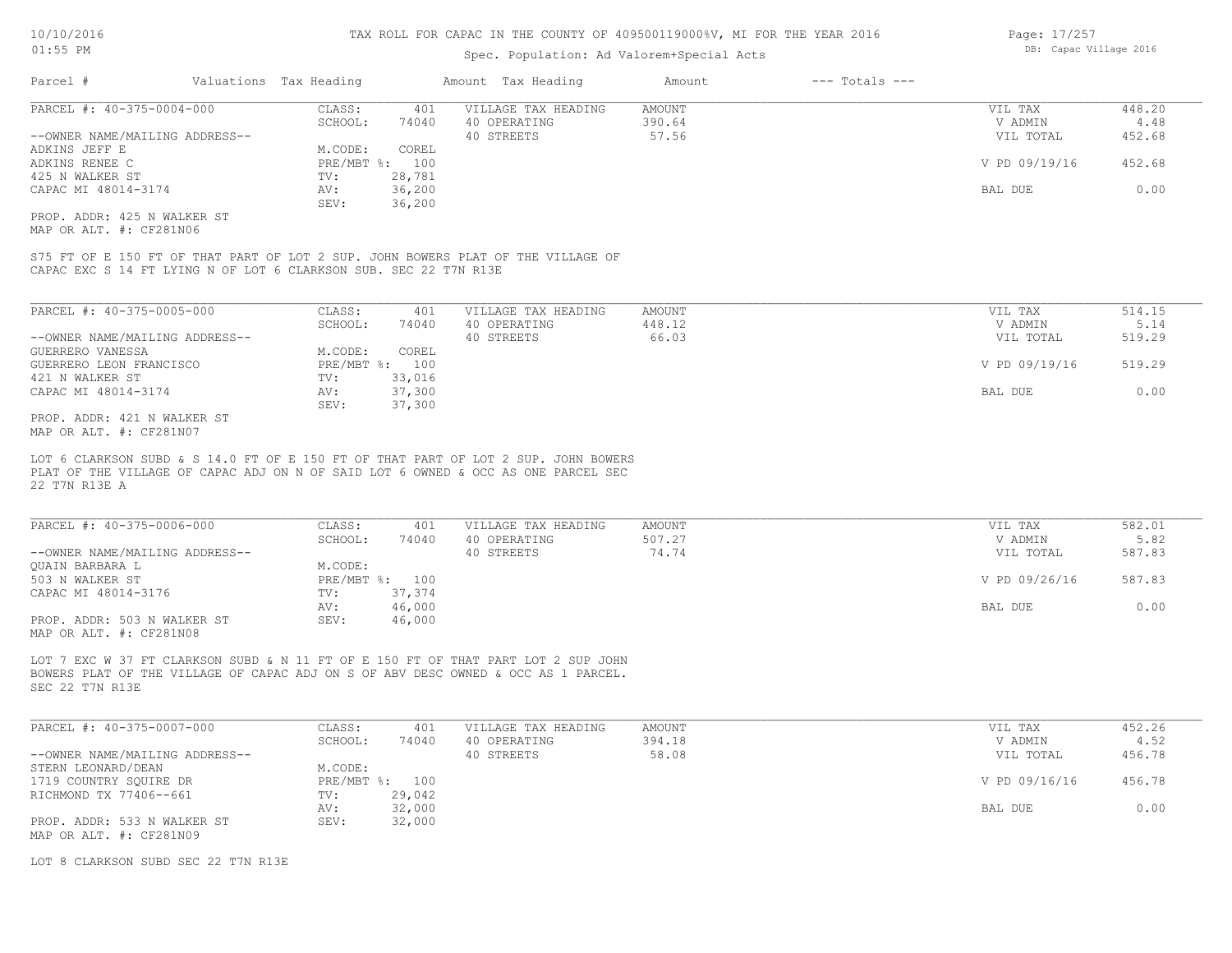#### Spec. Population: Ad Valorem+Special Acts

| Parcel #                       | Valuations Tax Heading |                | Amount Tax Heading  | Amount | $---$ Totals $---$ |               |        |
|--------------------------------|------------------------|----------------|---------------------|--------|--------------------|---------------|--------|
| PARCEL #: 40-375-0004-000      | CLASS:                 | 401            | VILLAGE TAX HEADING | AMOUNT |                    | VIL TAX       | 448.20 |
|                                | SCHOOL:                | 74040          | 40 OPERATING        | 390.64 |                    | V ADMIN       | 4.48   |
| --OWNER NAME/MAILING ADDRESS-- |                        |                | 40 STREETS          | 57.56  |                    | VIL TOTAL     | 452.68 |
| ADKINS JEFF E                  | M.CODE:                | COREL          |                     |        |                    |               |        |
| ADKINS RENEE C                 |                        | PRE/MBT %: 100 |                     |        |                    | V PD 09/19/16 | 452.68 |
| 425 N WALKER ST                | TV:                    | 28,781         |                     |        |                    |               |        |
| CAPAC MI 48014-3174            | AV:                    | 36,200         |                     |        |                    | BAL DUE       | 0.00   |
|                                | SEV:                   | 36,200         |                     |        |                    |               |        |
| PROP. ADDR: 425 N WALKER ST    |                        |                |                     |        |                    |               |        |
|                                |                        |                |                     |        |                    |               |        |

MAP OR ALT. #: CF281N06

CAPAC EXC S 14 FT LYING N OF LOT 6 CLARKSON SUB. SEC 22 T7N R13E S75 FT OF E 150 FT OF THAT PART OF LOT 2 SUP. JOHN BOWERS PLAT OF THE VILLAGE OF

| PARCEL #: 40-375-0005-000      | CLASS:  | 401            | VILLAGE TAX HEADING | AMOUNT | VIL TAX       | 514.15 |
|--------------------------------|---------|----------------|---------------------|--------|---------------|--------|
|                                | SCHOOL: | 74040          | 40 OPERATING        | 448.12 | V ADMIN       | 5.14   |
| --OWNER NAME/MAILING ADDRESS-- |         |                | 40 STREETS          | 66.03  | VIL TOTAL     | 519.29 |
| GUERRERO VANESSA               | M.CODE: | COREL          |                     |        |               |        |
| GUERRERO LEON FRANCISCO        |         | PRE/MBT %: 100 |                     |        | V PD 09/19/16 | 519.29 |
| 421 N WALKER ST                | TV:     | 33,016         |                     |        |               |        |
| CAPAC MI 48014-3174            | AV:     | 37,300         |                     |        | BAL DUE       | 0.00   |
|                                | SEV:    | 37,300         |                     |        |               |        |
| PROP. ADDR: 421 N WALKER ST    |         |                |                     |        |               |        |

MAP OR ALT. #: CF281N07

22 T7N R13E A PLAT OF THE VILLAGE OF CAPAC ADJ ON N OF SAID LOT 6 OWNED & OCC AS ONE PARCEL SEC LOT 6 CLARKSON SUBD & S 14.0 FT OF E 150 FT OF THAT PART OF LOT 2 SUP. JOHN BOWERS

| PARCEL #: 40-375-0006-000      | CLASS:  | 401            | VILLAGE TAX HEADING | AMOUNT | VIL TAX       | 582.01 |
|--------------------------------|---------|----------------|---------------------|--------|---------------|--------|
|                                | SCHOOL: | 74040          | 40 OPERATING        | 507.27 | V ADMIN       | 5.82   |
| --OWNER NAME/MAILING ADDRESS-- |         |                | 40 STREETS          | 74.74  | VIL TOTAL     | 587.83 |
| OUAIN BARBARA L                | M.CODE: |                |                     |        |               |        |
| 503 N WALKER ST                |         | PRE/MBT %: 100 |                     |        | V PD 09/26/16 | 587.83 |
| CAPAC MI 48014-3176            | TV:     | 37,374         |                     |        |               |        |
|                                | AV:     | 46,000         |                     |        | BAL DUE       | 0.00   |
| PROP. ADDR: 503 N WALKER ST    | SEV:    | 46,000         |                     |        |               |        |
| MAP OR ALT. #: CF281N08        |         |                |                     |        |               |        |

SEC 22 T7N R13E BOWERS PLAT OF THE VILLAGE OF CAPAC ADJ ON S OF ABV DESC OWNED & OCC AS 1 PARCEL. LOT 7 EXC W 37 FT CLARKSON SUBD & N 11 FT OF E 150 FT OF THAT PART LOT 2 SUP JOHN

| PARCEL #: 40-375-0007-000      | CLASS:  | 401            | VILLAGE TAX HEADING | AMOUNT | VIL TAX       | 452.26 |
|--------------------------------|---------|----------------|---------------------|--------|---------------|--------|
|                                | SCHOOL: | 74040          | 40 OPERATING        | 394.18 | V ADMIN       | 4.52   |
| --OWNER NAME/MAILING ADDRESS-- |         |                | 40 STREETS          | 58.08  | VIL TOTAL     | 456.78 |
| STERN LEONARD/DEAN             | M.CODE: |                |                     |        |               |        |
| 1719 COUNTRY SOUIRE DR         |         | PRE/MBT %: 100 |                     |        | V PD 09/16/16 | 456.78 |
| RICHMOND TX 77406--661         | TV:     | 29,042         |                     |        |               |        |
|                                | AV:     | 32,000         |                     |        | BAL DUE       | 0.00   |
| PROP. ADDR: 533 N WALKER ST    | SEV:    | 32,000         |                     |        |               |        |
| MAP OR ALT. #: CF281N09        |         |                |                     |        |               |        |

LOT 8 CLARKSON SUBD SEC 22 T7N R13E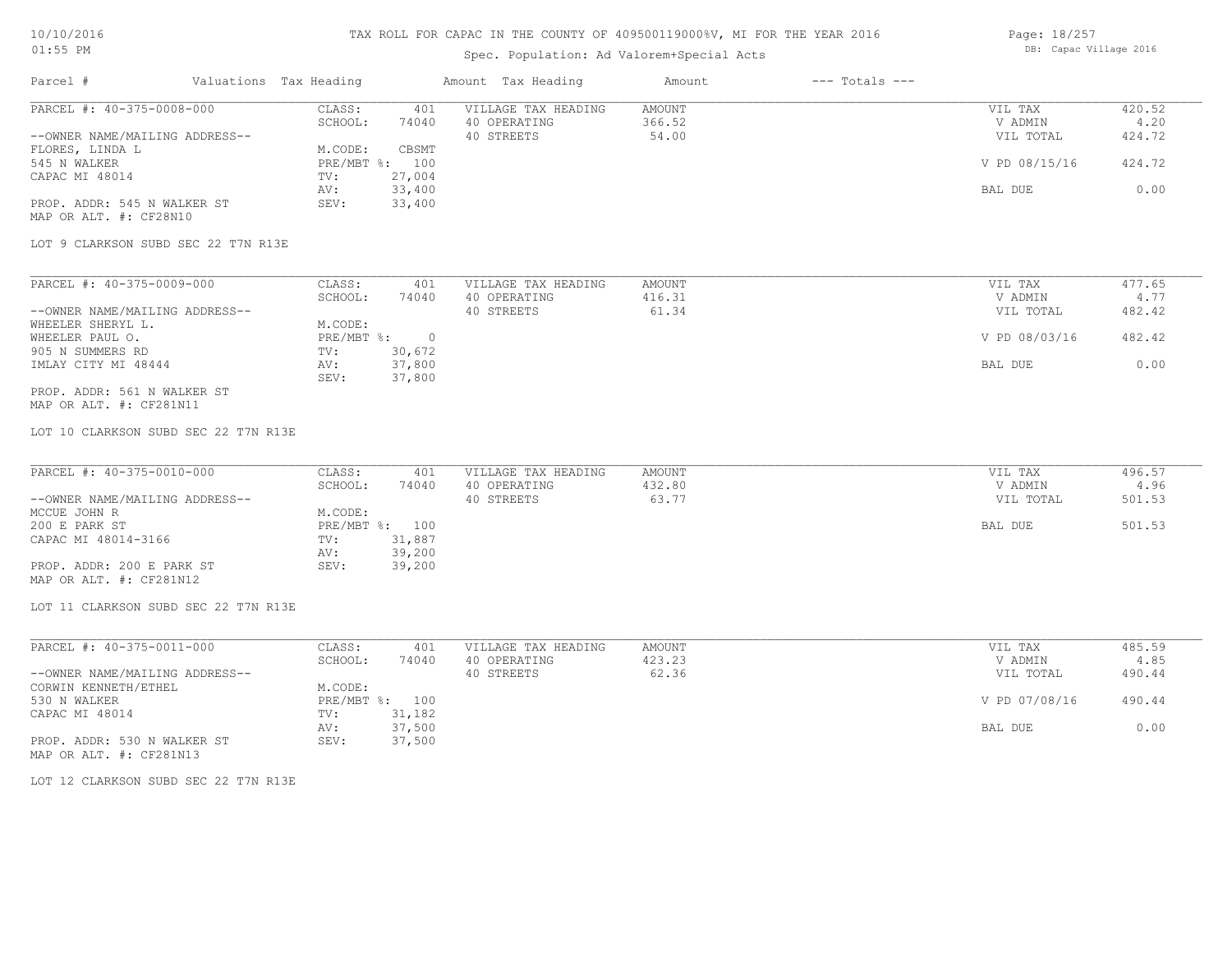## Spec. Population: Ad Valorem+Special Acts

Page: 18/257 DB: Capac Village 2016

| Parcel #                            | Valuations Tax Heading |        | Amount Tax Heading  | Amount | $---$ Totals $---$ |               |        |
|-------------------------------------|------------------------|--------|---------------------|--------|--------------------|---------------|--------|
| PARCEL #: 40-375-0008-000           | CLASS:                 | 401    | VILLAGE TAX HEADING | AMOUNT |                    | VIL TAX       | 420.52 |
|                                     | SCHOOL:                | 74040  | 40 OPERATING        | 366.52 |                    | V ADMIN       | 4.20   |
| --OWNER NAME/MAILING ADDRESS--      |                        |        | 40 STREETS          | 54.00  |                    | VIL TOTAL     | 424.72 |
| FLORES, LINDA L                     | M.CODE:                | CBSMT  |                     |        |                    |               |        |
| 545 N WALKER                        | PRE/MBT %: 100         |        |                     |        |                    | V PD 08/15/16 | 424.72 |
| CAPAC MI 48014                      | TV:                    | 27,004 |                     |        |                    |               |        |
|                                     | AV:                    | 33,400 |                     |        |                    | BAL DUE       | 0.00   |
| PROP. ADDR: 545 N WALKER ST         | SEV:                   | 33,400 |                     |        |                    |               |        |
| MAP OR ALT. #: CF28N10              |                        |        |                     |        |                    |               |        |
| LOT 9 CLARKSON SUBD SEC 22 T7N R13E |                        |        |                     |        |                    |               |        |
|                                     |                        |        |                     |        |                    |               |        |
| PARCEL #: 40-375-0009-000           | CLASS:                 | 401    | VILLAGE TAX HEADING | AMOUNT |                    | VIL TAX       | 477.65 |
|                                     | SCHOOL:                | 74040  | 40 OPERATING        | 416.31 |                    | V ADMIN       | 4.77   |
| --OWNER NAME/MAILING ADDRESS--      |                        |        | 40 STREETS          | 61.34  |                    | VIL TOTAL     | 482.42 |

| WHEELER SHERYL L.           | M.CODE:    |          |               |        |
|-----------------------------|------------|----------|---------------|--------|
| WHEELER PAUL O.             | PRE/MBT %: | $\Omega$ | V PD 08/03/16 | 482.42 |
| 905 N SUMMERS RD            | TV:        | 30,672   |               |        |
| IMLAY CITY MI 48444         | AV:        | 37,800   | BAL DUE       | 0.00   |
|                             | SEV:       | 37,800   |               |        |
| PROP. ADDR: 561 N WALKER ST |            |          |               |        |

MAP OR ALT. #: CF281N11

LOT 10 CLARKSON SUBD SEC 22 T7N R13E

| PARCEL #: 40-375-0010-000      | CLASS:  | 401            | VILLAGE TAX HEADING | AMOUNT | VIL TAX   | 496.57 |
|--------------------------------|---------|----------------|---------------------|--------|-----------|--------|
|                                | SCHOOL: | 74040          | 40 OPERATING        | 432.80 | V ADMIN   | 4.96   |
| --OWNER NAME/MAILING ADDRESS-- |         |                | 40 STREETS          | 63.77  | VIL TOTAL | 501.53 |
| MCCUE JOHN R                   | M.CODE: |                |                     |        |           |        |
| 200 E PARK ST                  |         | PRE/MBT %: 100 |                     |        | BAL DUE   | 501.53 |
| CAPAC MI 48014-3166            | TV:     | 31,887         |                     |        |           |        |
|                                | AV:     | 39,200         |                     |        |           |        |
| PROP. ADDR: 200 E PARK ST      | SEV:    | 39,200         |                     |        |           |        |
| MAP OR ALT. #: CF281N12        |         |                |                     |        |           |        |

LOT 11 CLARKSON SUBD SEC 22 T7N R13E

| PARCEL #: 40-375-0011-000      | CLASS:  | 401            | VILLAGE TAX HEADING | AMOUNT | VIL TAX       | 485.59 |
|--------------------------------|---------|----------------|---------------------|--------|---------------|--------|
|                                | SCHOOL: | 74040          | 40 OPERATING        | 423.23 | V ADMIN       | 4.85   |
| --OWNER NAME/MAILING ADDRESS-- |         |                | 40 STREETS          | 62.36  | VIL TOTAL     | 490.44 |
| CORWIN KENNETH/ETHEL           | M.CODE: |                |                     |        |               |        |
| 530 N WALKER                   |         | PRE/MBT %: 100 |                     |        | V PD 07/08/16 | 490.44 |
| CAPAC MI 48014                 | TV:     | 31,182         |                     |        |               |        |
|                                | AV:     | 37,500         |                     |        | BAL DUE       | 0.00   |
| PROP. ADDR: 530 N WALKER ST    | SEV:    | 37,500         |                     |        |               |        |
| MAP OR ALT. #: CF281N13        |         |                |                     |        |               |        |

LOT 12 CLARKSON SUBD SEC 22 T7N R13E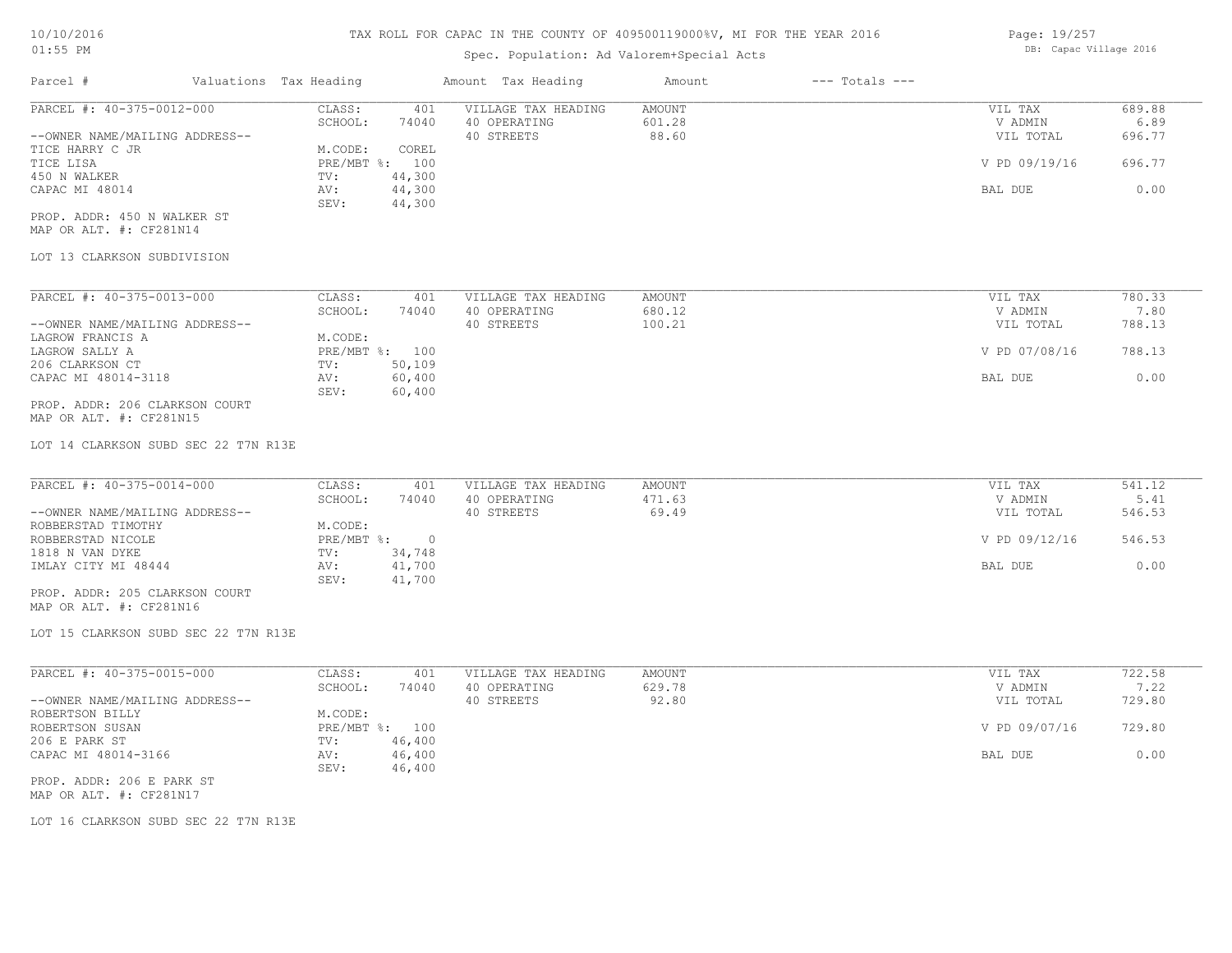## Spec. Population: Ad Valorem+Special Acts

| Parcel #                       | Valuations Tax Heading |        | Amount Tax Heading  | Amount | $---$ Totals $---$ |               |        |
|--------------------------------|------------------------|--------|---------------------|--------|--------------------|---------------|--------|
| PARCEL #: 40-375-0012-000      | CLASS:                 | 401    | VILLAGE TAX HEADING | AMOUNT |                    | VIL TAX       | 689.88 |
|                                | SCHOOL:                | 74040  | 40 OPERATING        | 601.28 |                    | V ADMIN       | 6.89   |
| --OWNER NAME/MAILING ADDRESS-- |                        |        | 40 STREETS          | 88.60  |                    | VIL TOTAL     | 696.77 |
| TICE HARRY C JR                | M.CODE:                | COREL  |                     |        |                    |               |        |
| TICE LISA                      | PRE/MBT %: 100         |        |                     |        |                    | V PD 09/19/16 | 696.77 |
| 450 N WALKER                   | TV:                    | 44,300 |                     |        |                    |               |        |
| CAPAC MI 48014                 | AV:                    | 44,300 |                     |        |                    | BAL DUE       | 0.00   |
|                                | SEV:                   | 44,300 |                     |        |                    |               |        |

MAP OR ALT. #: CF281N14 PROP. ADDR: 450 N WALKER ST

#### LOT 13 CLARKSON SUBDIVISION

| PARCEL #: 40-375-0013-000      | CLASS:       | 401    | VILLAGE TAX HEADING | AMOUNT | VIL TAX       | 780.33 |
|--------------------------------|--------------|--------|---------------------|--------|---------------|--------|
|                                | SCHOOL:      | 74040  | 40 OPERATING        | 680.12 | V ADMIN       | 7.80   |
| --OWNER NAME/MAILING ADDRESS-- |              |        | 40 STREETS          | 100.21 | VIL TOTAL     | 788.13 |
| LAGROW FRANCIS A               | M.CODE:      |        |                     |        |               |        |
| LAGROW SALLY A                 | $PRE/MBT$ %: | 100    |                     |        | V PD 07/08/16 | 788.13 |
| 206 CLARKSON CT                | TV:          | 50,109 |                     |        |               |        |
| CAPAC MI 48014-3118            | AV:          | 60,400 |                     |        | BAL DUE       | 0.00   |
|                                | SEV:         | 60,400 |                     |        |               |        |
| PROP. ADDR: 206 CLARKSON COURT |              |        |                     |        |               |        |

MAP OR ALT. #: CF281N15

LOT 14 CLARKSON SUBD SEC 22 T7N R13E

| PARCEL #: 40-375-0014-000      | CLASS:       | 401    | VILLAGE TAX HEADING | AMOUNT | VIL TAX       | 541.12 |
|--------------------------------|--------------|--------|---------------------|--------|---------------|--------|
|                                | SCHOOL:      | 74040  | 40 OPERATING        | 471.63 | V ADMIN       | 5.41   |
| --OWNER NAME/MAILING ADDRESS-- |              |        | 40 STREETS          | 69.49  | VIL TOTAL     | 546.53 |
| ROBBERSTAD TIMOTHY             | M.CODE:      |        |                     |        |               |        |
| ROBBERSTAD NICOLE              | $PRE/MBT$ %: |        |                     |        | V PD 09/12/16 | 546.53 |
| 1818 N VAN DYKE                | TV:          | 34,748 |                     |        |               |        |
| IMLAY CITY MI 48444            | AV:          | 41,700 |                     |        | BAL DUE       | 0.00   |
|                                | SEV:         | 41,700 |                     |        |               |        |
| PROP. ADDR: 205 CLARKSON COURT |              |        |                     |        |               |        |

MAP OR ALT. #: CF281N16

LOT 15 CLARKSON SUBD SEC 22 T7N R13E

| PARCEL #: 40-375-0015-000      | CLASS:     | 401    | VILLAGE TAX HEADING | AMOUNT | VIL TAX       | 722.58 |
|--------------------------------|------------|--------|---------------------|--------|---------------|--------|
|                                | SCHOOL:    | 74040  | 40 OPERATING        | 629.78 | V ADMIN       | 7.22   |
| --OWNER NAME/MAILING ADDRESS-- |            |        | 40 STREETS          | 92.80  | VIL TOTAL     | 729.80 |
| ROBERTSON BILLY                | M.CODE:    |        |                     |        |               |        |
| ROBERTSON SUSAN                | PRE/MBT %: | 100    |                     |        | V PD 09/07/16 | 729.80 |
| 206 E PARK ST                  | TV:        | 46,400 |                     |        |               |        |
| CAPAC MI 48014-3166            | AV:        | 46,400 |                     |        | BAL DUE       | 0.00   |
|                                | SEV:       | 46,400 |                     |        |               |        |
| PROP. ADDR: 206 E PARK ST      |            |        |                     |        |               |        |

 $\_$  , and the state of the state of the state of the state of the state of the state of the state of the state of the state of the state of the state of the state of the state of the state of the state of the state of the

MAP OR ALT. #: CF281N17

LOT 16 CLARKSON SUBD SEC 22 T7N R13E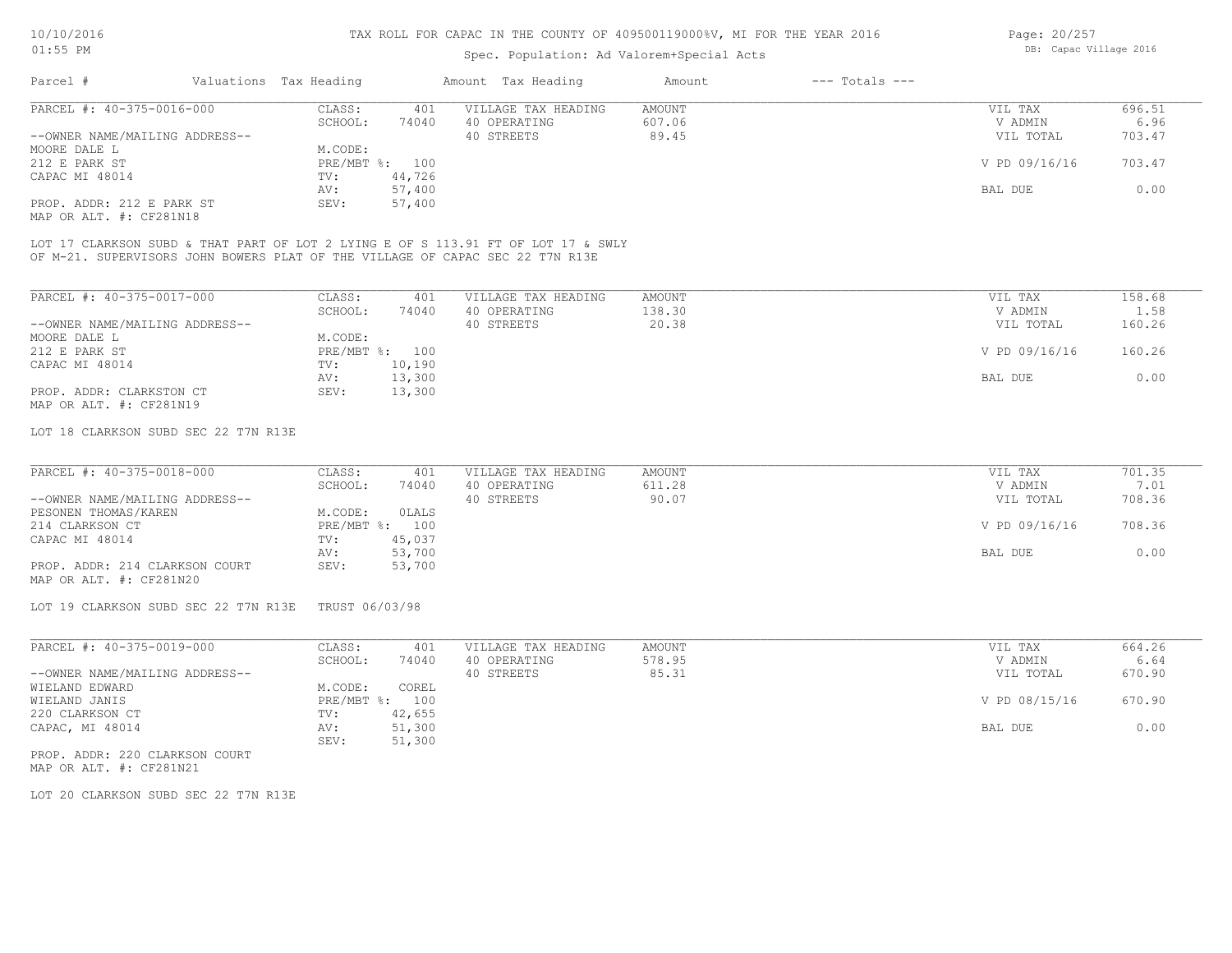#### Spec. Population: Ad Valorem+Special Acts

| Page: 20/257 |                        |  |
|--------------|------------------------|--|
|              | DB: Capac Village 2016 |  |

| Parcel #                       | Valuations Tax Heading |                | Amount Tax Heading  | Amount | $---$ Totals $---$ |               |        |
|--------------------------------|------------------------|----------------|---------------------|--------|--------------------|---------------|--------|
| PARCEL #: 40-375-0016-000      | CLASS:                 | 401            | VILLAGE TAX HEADING | AMOUNT |                    | VIL TAX       | 696.51 |
|                                | SCHOOL:                | 74040          | 40 OPERATING        | 607.06 |                    | V ADMIN       | 6.96   |
| --OWNER NAME/MAILING ADDRESS-- |                        |                | 40 STREETS          | 89.45  |                    | VIL TOTAL     | 703.47 |
| MOORE DALE L                   | M.CODE:                |                |                     |        |                    |               |        |
| 212 E PARK ST                  |                        | PRE/MBT %: 100 |                     |        |                    | V PD 09/16/16 | 703.47 |
| CAPAC MI 48014                 | TV:                    | 44,726         |                     |        |                    |               |        |
|                                | AV:                    | 57,400         |                     |        |                    | BAL DUE       | 0.00   |
| PROP. ADDR: 212 E PARK ST      | SEV:                   | 57,400         |                     |        |                    |               |        |
| MAP OR ALT. #: CF281N18        |                        |                |                     |        |                    |               |        |

OF M-21. SUPERVISORS JOHN BOWERS PLAT OF THE VILLAGE OF CAPAC SEC 22 T7N R13E LOT 17 CLARKSON SUBD & THAT PART OF LOT 2 LYING E OF S 113.91 FT OF LOT 17 & SWLY

| PARCEL #: 40-375-0017-000      | CLASS:     | 401    | VILLAGE TAX HEADING | AMOUNT | VIL TAX       | 158.68 |
|--------------------------------|------------|--------|---------------------|--------|---------------|--------|
|                                | SCHOOL:    | 74040  | 40 OPERATING        | 138.30 | V ADMIN       | 1.58   |
| --OWNER NAME/MAILING ADDRESS-- |            |        | 40 STREETS          | 20.38  | VIL TOTAL     | 160.26 |
| MOORE DALE L                   | M.CODE:    |        |                     |        |               |        |
| 212 E PARK ST                  | PRE/MBT %: | 100    |                     |        | V PD 09/16/16 | 160.26 |
| CAPAC MI 48014                 | TV:        | 10,190 |                     |        |               |        |
|                                | AV:        | 13,300 |                     |        | BAL DUE       | 0.00   |
| PROP. ADDR: CLARKSTON CT       | SEV:       | 13,300 |                     |        |               |        |
| MAP OR ALT. #: CF281N19        |            |        |                     |        |               |        |

#### LOT 18 CLARKSON SUBD SEC 22 T7N R13E

| PARCEL #: 40-375-0018-000      | CLASS:  | 401            | VILLAGE TAX HEADING | AMOUNT | VIL TAX       | 701.35 |
|--------------------------------|---------|----------------|---------------------|--------|---------------|--------|
|                                | SCHOOL: | 74040          | 40 OPERATING        | 611.28 | V ADMIN       | 7.01   |
| --OWNER NAME/MAILING ADDRESS-- |         |                | 40 STREETS          | 90.07  | VIL TOTAL     | 708.36 |
| PESONEN THOMAS/KAREN           | M.CODE: | OLALS          |                     |        |               |        |
| 214 CLARKSON CT                |         | PRE/MBT %: 100 |                     |        | V PD 09/16/16 | 708.36 |
| CAPAC MI 48014                 | TV:     | 45,037         |                     |        |               |        |
|                                | AV:     | 53,700         |                     |        | BAL DUE       | 0.00   |
| PROP. ADDR: 214 CLARKSON COURT | SEV:    | 53,700         |                     |        |               |        |
| MAP OR ALT. #: CF281N20        |         |                |                     |        |               |        |

LOT 19 CLARKSON SUBD SEC 22 T7N R13E TRUST 06/03/98

| PARCEL #: 40-375-0019-000      | CLASS:     | 401    | VILLAGE TAX HEADING | AMOUNT | VIL TAX       | 664.26 |
|--------------------------------|------------|--------|---------------------|--------|---------------|--------|
|                                | SCHOOL:    | 74040  | 40 OPERATING        | 578.95 | V ADMIN       | 6.64   |
| --OWNER NAME/MAILING ADDRESS-- |            |        | 40 STREETS          | 85.31  | VIL TOTAL     | 670.90 |
| WIELAND EDWARD                 | M.CODE:    | COREL  |                     |        |               |        |
| WIELAND JANIS                  | PRE/MBT %: | 100    |                     |        | V PD 08/15/16 | 670.90 |
| 220 CLARKSON CT                | TV:        | 42,655 |                     |        |               |        |
| CAPAC, MI 48014                | AV:        | 51,300 |                     |        | BAL DUE       | 0.00   |
|                                | SEV:       | 51,300 |                     |        |               |        |

MAP OR ALT. #: CF281N21 PROP. ADDR: 220 CLARKSON COURT

LOT 20 CLARKSON SUBD SEC 22 T7N R13E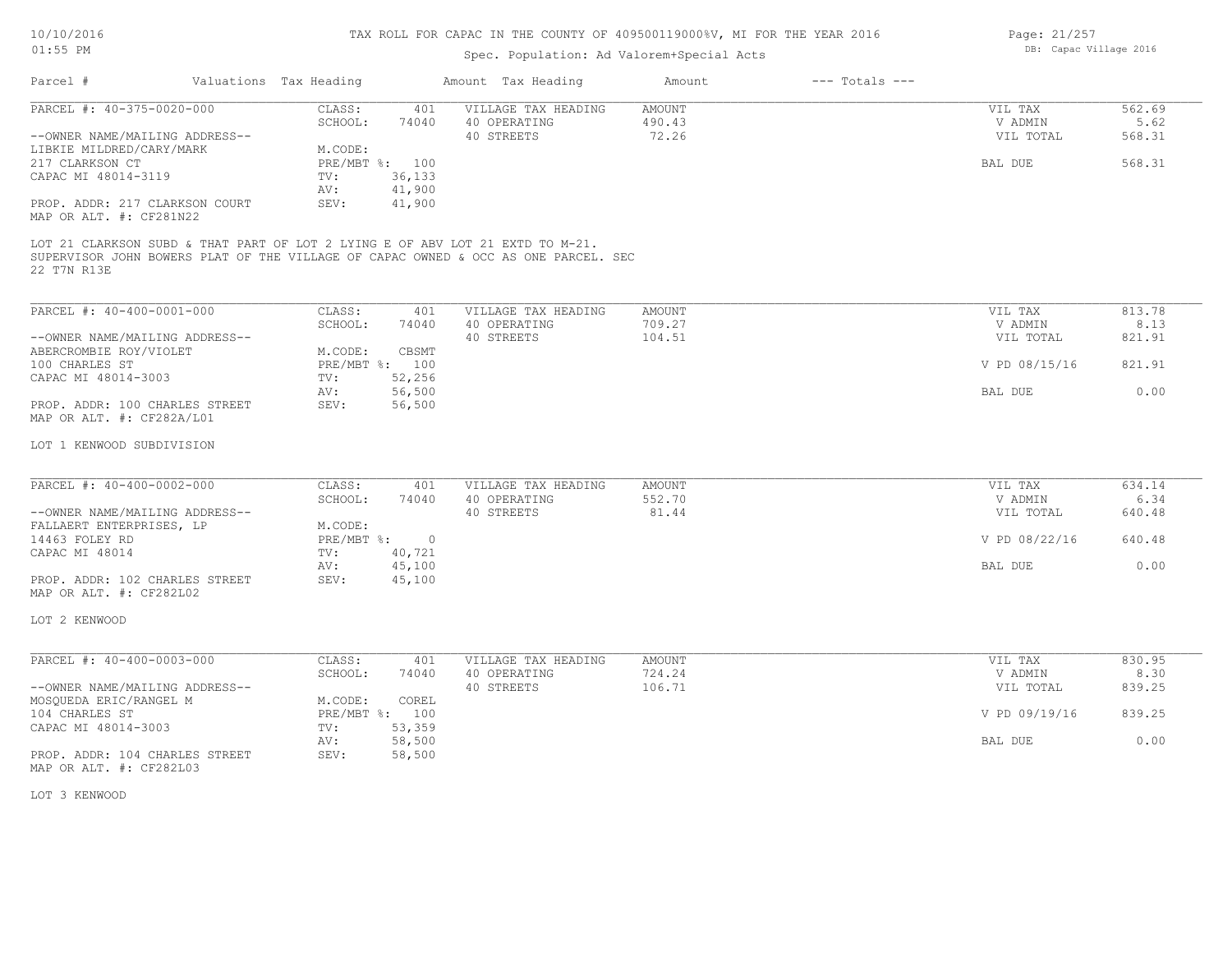| Page: 21/257 |                        |  |
|--------------|------------------------|--|
|              | DB: Capac Village 2016 |  |

| $01:55$ PM                                                                                                                                                                         |                                                                               | Spec. Population: Ad Valorem+Special Acts         | TAX ROLL FOR CAPAC IN THE COUNTI OF 409300119000%V, MI FOR THE IEAR 2010 |                    | Page: 21/20/<br>DB: Capac Village 2016 |                          |
|------------------------------------------------------------------------------------------------------------------------------------------------------------------------------------|-------------------------------------------------------------------------------|---------------------------------------------------|--------------------------------------------------------------------------|--------------------|----------------------------------------|--------------------------|
| Parcel #                                                                                                                                                                           | Valuations Tax Heading                                                        | Amount Tax Heading                                | Amount                                                                   | $---$ Totals $---$ |                                        |                          |
| PARCEL #: 40-375-0020-000<br>--OWNER NAME/MAILING ADDRESS--                                                                                                                        | CLASS:<br>401<br>SCHOOL:<br>74040                                             | VILLAGE TAX HEADING<br>40 OPERATING<br>40 STREETS | AMOUNT<br>490.43<br>72.26                                                |                    | VIL TAX<br>V ADMIN<br>VIL TOTAL        | 562.69<br>5.62<br>568.31 |
| LIBKIE MILDRED/CARY/MARK<br>217 CLARKSON CT<br>CAPAC MI 48014-3119<br>PROP. ADDR: 217 CLARKSON COURT<br>MAP OR ALT. #: CF281N22                                                    | M.CODE:<br>PRE/MBT %: 100<br>36,133<br>TV:<br>41,900<br>AV:<br>41,900<br>SEV: |                                                   |                                                                          |                    | BAL DUE                                | 568.31                   |
| LOT 21 CLARKSON SUBD & THAT PART OF LOT 2 LYING E OF ABV LOT 21 EXTD TO M-21.<br>SUPERVISOR JOHN BOWERS PLAT OF THE VILLAGE OF CAPAC OWNED & OCC AS ONE PARCEL. SEC<br>22 T7N R13E |                                                                               |                                                   |                                                                          |                    |                                        |                          |
| PARCEL #: 40-400-0001-000                                                                                                                                                          | CLASS:<br>401                                                                 | VILLAGE TAX HEADING                               | AMOUNT                                                                   |                    | VIL TAX                                | 813.78                   |
| --OWNER NAME/MAILING ADDRESS--<br>ABERCROMBIE ROY/VIOLET                                                                                                                           | SCHOOL:<br>74040<br>M.CODE:<br>CBSMT                                          | 40 OPERATING<br>40 STREETS                        | 709.27<br>104.51                                                         |                    | V ADMIN<br>VIL TOTAL                   | 8.13<br>821.91           |
| 100 CHARLES ST<br>CAPAC MI 48014-3003                                                                                                                                              | PRE/MBT %: 100<br>52,256<br>TV:                                               |                                                   |                                                                          |                    | V PD 08/15/16                          | 821.91                   |
| PROP. ADDR: 100 CHARLES STREET<br>MAP OR ALT. #: CF282A/L01                                                                                                                        | 56,500<br>AV:<br>56,500<br>SEV:                                               |                                                   |                                                                          |                    | BAL DUE                                | 0.00                     |
| LOT 1 KENWOOD SUBDIVISION                                                                                                                                                          |                                                                               |                                                   |                                                                          |                    |                                        |                          |
| PARCEL #: 40-400-0002-000                                                                                                                                                          | CLASS:<br>401                                                                 | VILLAGE TAX HEADING                               | <b>AMOUNT</b>                                                            |                    | VIL TAX                                | 634.14                   |
| --OWNER NAME/MAILING ADDRESS--                                                                                                                                                     | SCHOOL:<br>74040                                                              | 40 OPERATING<br>40 STREETS                        | 552.70<br>81.44                                                          |                    | V ADMIN<br>VIL TOTAL                   | 6.34<br>640.48           |
| FALLAERT ENTERPRISES, LP<br>14463 FOLEY RD                                                                                                                                         | M.CODE:<br>PRE/MBT %:<br>$\overline{0}$                                       |                                                   |                                                                          |                    | V PD 08/22/16                          | 640.48                   |
| CAPAC MI 48014<br>PROP. ADDR: 102 CHARLES STREET                                                                                                                                   | 40,721<br>TV:<br>45,100<br>AV:<br>45,100<br>SEV:                              |                                                   |                                                                          |                    | BAL DUE                                | 0.00                     |
| MAP OR ALT. #: CF282L02                                                                                                                                                            |                                                                               |                                                   |                                                                          |                    |                                        |                          |
| LOT 2 KENWOOD                                                                                                                                                                      |                                                                               |                                                   |                                                                          |                    |                                        |                          |
| PARCEL #: 40-400-0003-000                                                                                                                                                          | CLASS:<br>401<br>SCHOOL:<br>74040                                             | VILLAGE TAX HEADING<br>40 OPERATING               | AMOUNT<br>724.24                                                         |                    | VIL TAX<br>V ADMIN                     | 830.95<br>8.30           |
| --OWNER NAME/MAILING ADDRESS--<br>MOSQUEDA ERIC/RANGEL M                                                                                                                           | M.CODE:<br>COREL                                                              | 40 STREETS                                        | 106.71                                                                   |                    | VIL TOTAL                              | 839.25                   |
|                                                                                                                                                                                    | PRE/MBT %: 100                                                                |                                                   |                                                                          |                    | V PD 09/19/16                          | 839.25                   |
| 104 CHARLES ST                                                                                                                                                                     |                                                                               |                                                   |                                                                          |                    |                                        |                          |
| CAPAC MI 48014-3003<br>PROP. ADDR: 104 CHARLES STREET<br>MAP OR ALT. #: CF282L03                                                                                                   | 53,359<br>TV:<br>58,500<br>AV:<br>58,500<br>SEV:                              |                                                   |                                                                          |                    | BAL DUE                                | 0.00                     |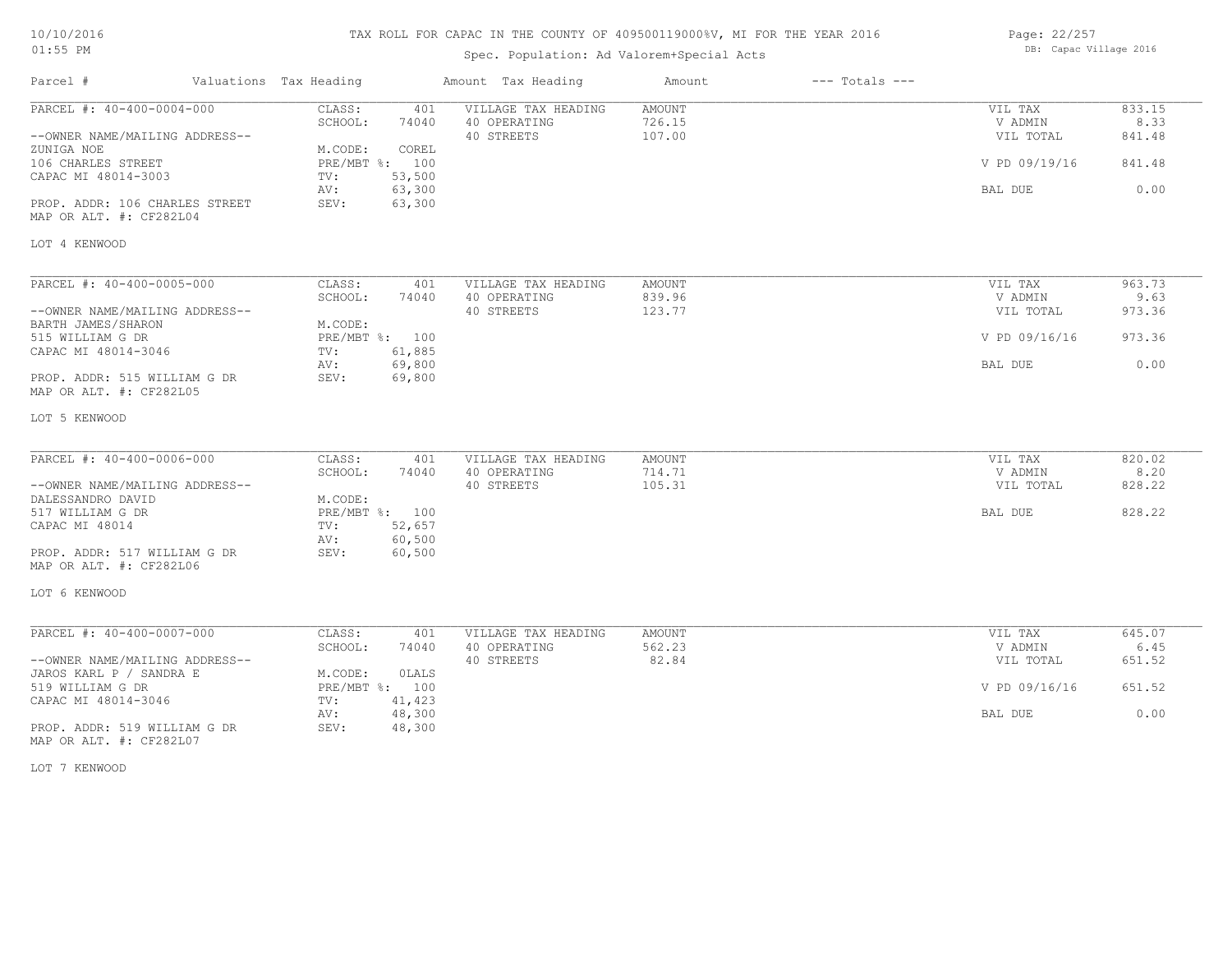# TAX ROLL FOR CAPAC IN THE COUNTY OF 409500119000%V, MI FOR THE YEAR 2016

# Spec. Population: Ad Valorem+Special Acts

| Page: 22/257 |                        |  |
|--------------|------------------------|--|
|              | DB: Capac Village 2016 |  |

| Parcel #                                                  | Valuations Tax Heading |                  | Amount Tax Heading                  | Amount           | $---$ Totals $---$ |                      |                |
|-----------------------------------------------------------|------------------------|------------------|-------------------------------------|------------------|--------------------|----------------------|----------------|
| PARCEL #: 40-400-0004-000                                 | CLASS:                 | 401              | VILLAGE TAX HEADING                 | AMOUNT           |                    | VIL TAX              | 833.15         |
| --OWNER NAME/MAILING ADDRESS--                            | SCHOOL:                | 74040            | 40 OPERATING<br>40 STREETS          | 726.15<br>107.00 |                    | V ADMIN<br>VIL TOTAL | 8.33<br>841.48 |
| ZUNIGA NOE                                                | M.CODE:                | COREL            |                                     |                  |                    |                      |                |
| 106 CHARLES STREET<br>CAPAC MI 48014-3003                 | PRE/MBT %: 100<br>TV:  | 53,500           |                                     |                  |                    | V PD 09/19/16        | 841.48         |
|                                                           | AV:                    | 63,300           |                                     |                  |                    | BAL DUE              | 0.00           |
| PROP. ADDR: 106 CHARLES STREET<br>MAP OR ALT. #: CF282L04 | SEV:                   | 63,300           |                                     |                  |                    |                      |                |
| LOT 4 KENWOOD                                             |                        |                  |                                     |                  |                    |                      |                |
|                                                           | CLASS:                 |                  |                                     |                  |                    |                      | 963.73         |
| PARCEL #: 40-400-0005-000                                 | SCHOOL:                | 401<br>74040     | VILLAGE TAX HEADING<br>40 OPERATING | AMOUNT<br>839.96 |                    | VIL TAX<br>V ADMIN   | 9.63           |
| --OWNER NAME/MAILING ADDRESS--                            |                        |                  | 40 STREETS                          | 123.77           |                    | VIL TOTAL            | 973.36         |
| BARTH JAMES/SHARON                                        | M.CODE:                |                  |                                     |                  |                    |                      |                |
| 515 WILLIAM G DR                                          | PRE/MBT %: 100         |                  |                                     |                  |                    | V PD 09/16/16        | 973.36         |
| CAPAC MI 48014-3046                                       | TV:                    | 61,885           |                                     |                  |                    |                      |                |
| PROP. ADDR: 515 WILLIAM G DR<br>MAP OR ALT. #: CF282L05   | AV:<br>SEV:            | 69,800<br>69,800 |                                     |                  |                    | BAL DUE              | 0.00           |
|                                                           |                        |                  |                                     |                  |                    |                      |                |
| LOT 5 KENWOOD                                             |                        |                  |                                     |                  |                    |                      |                |
|                                                           |                        |                  |                                     |                  |                    |                      |                |
| PARCEL #: 40-400-0006-000                                 | CLASS:                 | 401              | VILLAGE TAX HEADING                 | AMOUNT           |                    | VIL TAX              | 820.02         |
|                                                           | SCHOOL:                | 74040            | 40 OPERATING                        | 714.71           |                    | V ADMIN              | 8.20           |
| --OWNER NAME/MAILING ADDRESS--<br>DALESSANDRO DAVID       | M.CODE:                |                  | 40 STREETS                          | 105.31           |                    | VIL TOTAL            | 828.22         |
| 517 WILLIAM G DR                                          | PRE/MBT %: 100         |                  |                                     |                  |                    | BAL DUE              | 828.22         |
| CAPAC MI 48014                                            | TV:                    | 52,657           |                                     |                  |                    |                      |                |
|                                                           | AV:                    | 60,500           |                                     |                  |                    |                      |                |
| PROP. ADDR: 517 WILLIAM G DR                              | SEV:                   | 60,500           |                                     |                  |                    |                      |                |
| MAP OR ALT. #: CF282L06                                   |                        |                  |                                     |                  |                    |                      |                |
| LOT 6 KENWOOD                                             |                        |                  |                                     |                  |                    |                      |                |
| PARCEL #: 40-400-0007-000                                 | CLASS:                 | 401              | VILLAGE TAX HEADING                 | AMOUNT           |                    | VIL TAX              | 645.07         |
|                                                           | SCHOOL:                | 74040            | 40 OPERATING                        | 562.23           |                    | V ADMIN              | 6.45           |
| --OWNER NAME/MAILING ADDRESS--                            |                        |                  | 40 STREETS                          | 82.84            |                    | VIL TOTAL            | 651.52         |
| JAROS KARL P / SANDRA E                                   | M.CODE:                | <b>OLALS</b>     |                                     |                  |                    |                      |                |
| 519 WILLIAM G DR                                          | PRE/MBT %: 100         |                  |                                     |                  |                    | V PD 09/16/16        | 651.52         |
| CAPAC MI 48014-3046                                       | TV:                    | 41,423           |                                     |                  |                    |                      |                |
|                                                           | AV:                    | 48,300           |                                     |                  |                    | BAL DUE              | 0.00           |
| PROP. ADDR: 519 WILLIAM G DR<br>MAP OR ALT. #: CF282L07   | SEV:                   | 48,300           |                                     |                  |                    |                      |                |

LOT 7 KENWOOD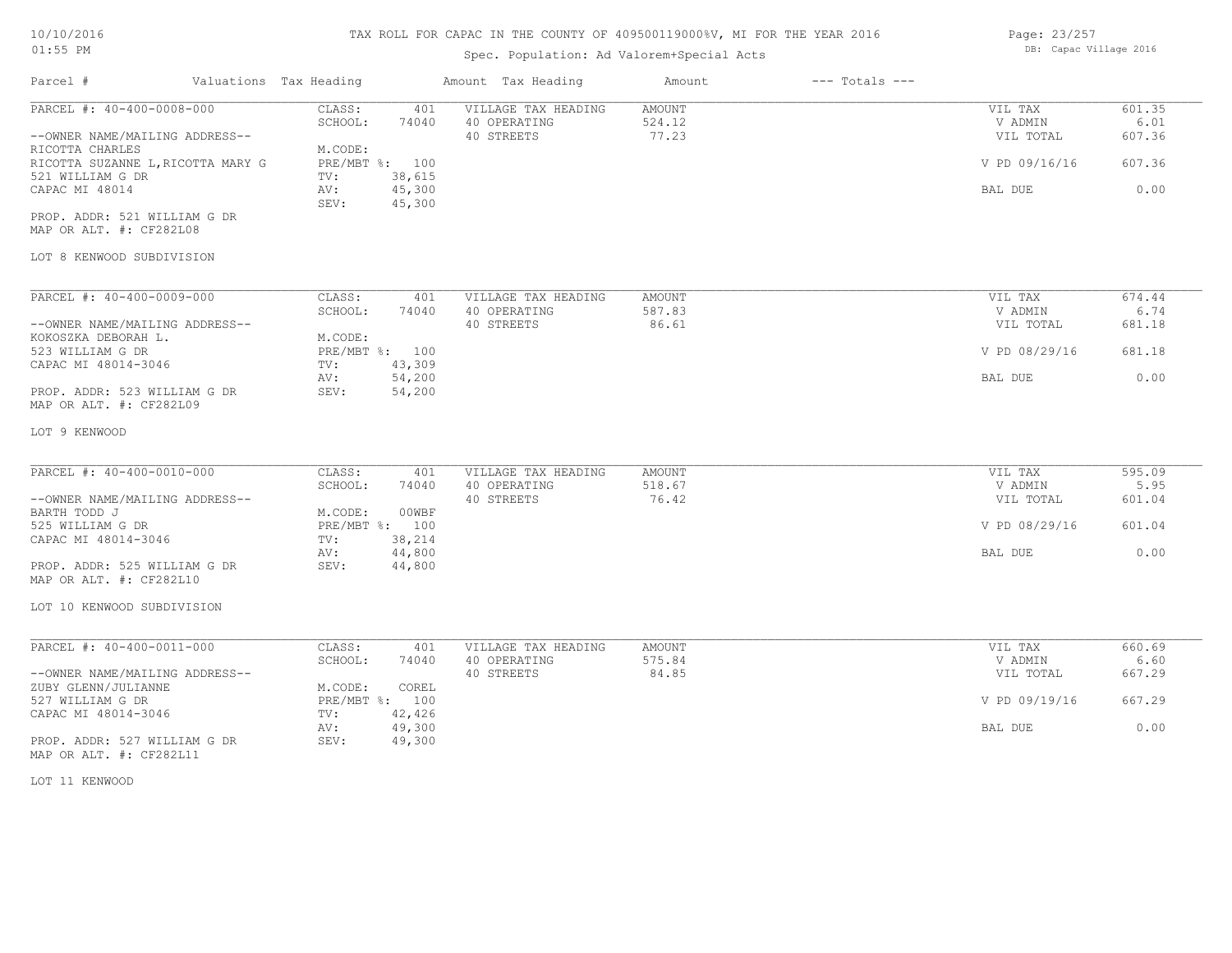# 10/10/2016

01:55 PM

# TAX ROLL FOR CAPAC IN THE COUNTY OF 409500119000%V, MI FOR THE YEAR 2016

# Spec. Population: Ad Valorem+Special Acts

Page: 23/257 DB: Capac Village 2016

| Parcel #                                                                                                                                                                                                                                          | Valuations Tax Heading                                                                                                      | Amount Tax Heading                                | Amount                           | $---$ Totals $---$ |                                                             |                                            |
|---------------------------------------------------------------------------------------------------------------------------------------------------------------------------------------------------------------------------------------------------|-----------------------------------------------------------------------------------------------------------------------------|---------------------------------------------------|----------------------------------|--------------------|-------------------------------------------------------------|--------------------------------------------|
| PARCEL #: 40-400-0008-000<br>--OWNER NAME/MAILING ADDRESS--<br>RICOTTA CHARLES<br>RICOTTA SUZANNE L, RICOTTA MARY G<br>521 WILLIAM G DR<br>CAPAC MI 48014<br>PROP. ADDR: 521 WILLIAM G DR<br>MAP OR ALT. #: CF282L08<br>LOT 8 KENWOOD SUBDIVISION | CLASS:<br>401<br>SCHOOL:<br>74040<br>M.CODE:<br>PRE/MBT %: 100<br>38,615<br>TV:<br>AV:<br>45,300<br>45,300<br>SEV:          | VILLAGE TAX HEADING<br>40 OPERATING<br>40 STREETS | <b>AMOUNT</b><br>524.12<br>77.23 |                    | VIL TAX<br>V ADMIN<br>VIL TOTAL<br>V PD 09/16/16<br>BAL DUE | 601.35<br>6.01<br>607.36<br>607.36<br>0.00 |
| PARCEL #: 40-400-0009-000<br>--OWNER NAME/MAILING ADDRESS--<br>KOKOSZKA DEBORAH L.<br>523 WILLIAM G DR<br>CAPAC MI 48014-3046<br>PROP. ADDR: 523 WILLIAM G DR<br>MAP OR ALT. #: CF282L09                                                          | CLASS:<br>401<br>SCHOOL:<br>74040<br>M.CODE:<br>PRE/MBT %: 100<br>TV:<br>43,309<br>54,200<br>AV:<br>54,200<br>SEV:          | VILLAGE TAX HEADING<br>40 OPERATING<br>40 STREETS | AMOUNT<br>587.83<br>86.61        |                    | VIL TAX<br>V ADMIN<br>VIL TOTAL<br>V PD 08/29/16<br>BAL DUE | 674.44<br>6.74<br>681.18<br>681.18<br>0.00 |
| LOT 9 KENWOOD<br>PARCEL #: 40-400-0010-000<br>--OWNER NAME/MAILING ADDRESS--<br>BARTH TODD J<br>525 WILLIAM G DR<br>CAPAC MI 48014-3046<br>PROP. ADDR: 525 WILLIAM G DR<br>MAP OR ALT. #: CF282L10<br>LOT 10 KENWOOD SUBDIVISION                  | CLASS:<br>401<br>SCHOOL:<br>74040<br>M.CODE:<br>00WBF<br>PRE/MBT %: 100<br>38,214<br>TV:<br>AV:<br>44,800<br>SEV:<br>44,800 | VILLAGE TAX HEADING<br>40 OPERATING<br>40 STREETS | <b>AMOUNT</b><br>518.67<br>76.42 |                    | VIL TAX<br>V ADMIN<br>VIL TOTAL<br>V PD 08/29/16<br>BAL DUE | 595.09<br>5.95<br>601.04<br>601.04<br>0.00 |
| PARCEL #: 40-400-0011-000<br>--OWNER NAME/MAILING ADDRESS--<br>ZUBY GLENN/JULIANNE<br>527 WILLIAM G DR<br>CAPAC MI 48014-3046<br>PROP. ADDR: 527 WILLIAM G DR<br>MAP OR ALT. #: CF282L11<br>LOT 11 KENWOOD                                        | CLASS:<br>401<br>SCHOOL:<br>74040<br>M.CODE:<br>COREL<br>PRE/MBT %: 100<br>42,426<br>TV:<br>AV:<br>49,300<br>SEV:<br>49,300 | VILLAGE TAX HEADING<br>40 OPERATING<br>40 STREETS | AMOUNT<br>575.84<br>84.85        |                    | VIL TAX<br>V ADMIN<br>VIL TOTAL<br>V PD 09/19/16<br>BAL DUE | 660.69<br>6.60<br>667.29<br>667.29<br>0.00 |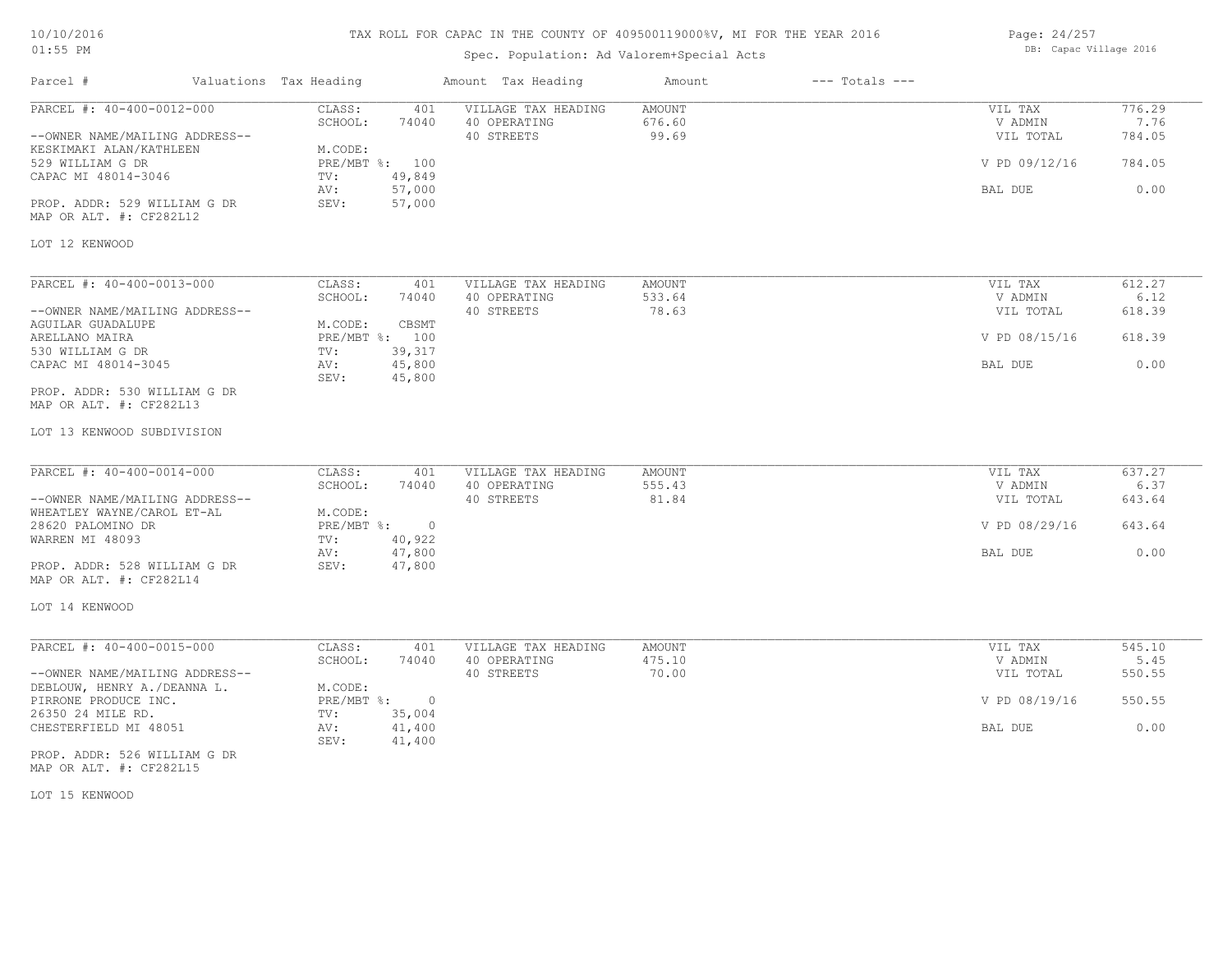# TAX ROLL FOR CAPAC IN THE COUNTY OF 409500119000%V, MI FOR THE YEAR 2016

# Spec. Population: Ad Valorem+Special Acts

Page: 24/257 DB: Capac Village 2016

| Parcel #                                                                                                                                                                                     | Valuations Tax Heading                                               |                                            | Amount Tax Heading                                | Amount                           | $---$ Totals $---$ |                                                             |                                            |
|----------------------------------------------------------------------------------------------------------------------------------------------------------------------------------------------|----------------------------------------------------------------------|--------------------------------------------|---------------------------------------------------|----------------------------------|--------------------|-------------------------------------------------------------|--------------------------------------------|
| PARCEL #: 40-400-0012-000<br>--OWNER NAME/MAILING ADDRESS--<br>KESKIMAKI ALAN/KATHLEEN<br>529 WILLIAM G DR<br>CAPAC MI 48014-3046<br>PROP. ADDR: 529 WILLIAM G DR<br>MAP OR ALT. #: CF282L12 | CLASS:<br>SCHOOL:<br>M.CODE:<br>PRE/MBT %: 100<br>TV:<br>AV:<br>SEV: | 401<br>74040<br>49,849<br>57,000<br>57,000 | VILLAGE TAX HEADING<br>40 OPERATING<br>40 STREETS | <b>AMOUNT</b><br>676.60<br>99.69 |                    | VIL TAX<br>V ADMIN<br>VIL TOTAL<br>V PD 09/12/16<br>BAL DUE | 776.29<br>7.76<br>784.05<br>784.05<br>0.00 |
| LOT 12 KENWOOD                                                                                                                                                                               |                                                                      |                                            |                                                   |                                  |                    |                                                             |                                            |
| PARCEL #: 40-400-0013-000<br>--OWNER NAME/MAILING ADDRESS--<br>AGUILAR GUADALUPE<br>ARELLANO MAIRA<br>530 WILLIAM G DR<br>CAPAC MI 48014-3045                                                | CLASS:<br>SCHOOL:<br>M.CODE:<br>PRE/MBT %: 100<br>TV:<br>AV:         | 401<br>74040<br>CBSMT<br>39,317<br>45,800  | VILLAGE TAX HEADING<br>40 OPERATING<br>40 STREETS | <b>AMOUNT</b><br>533.64<br>78.63 |                    | VIL TAX<br>V ADMIN<br>VIL TOTAL<br>V PD 08/15/16<br>BAL DUE | 612.27<br>6.12<br>618.39<br>618.39<br>0.00 |
| PROP. ADDR: 530 WILLIAM G DR<br>MAP OR ALT. #: CF282L13<br>LOT 13 KENWOOD SUBDIVISION                                                                                                        | SEV:                                                                 | 45,800                                     |                                                   |                                  |                    |                                                             |                                            |
| PARCEL #: 40-400-0014-000<br>--OWNER NAME/MAILING ADDRESS--<br>WHEATLEY WAYNE/CAROL ET-AL                                                                                                    | CLASS:<br>SCHOOL:<br>M.CODE:                                         | 401<br>74040                               | VILLAGE TAX HEADING<br>40 OPERATING<br>40 STREETS | AMOUNT<br>555.43<br>81.84        |                    | VIL TAX<br>V ADMIN<br>VIL TOTAL                             | 637.27<br>6.37<br>643.64                   |
| 28620 PALOMINO DR<br>WARREN MI 48093<br>PROP. ADDR: 528 WILLIAM G DR<br>MAP OR ALT. #: CF282L14                                                                                              | PRE/MBT %: 0<br>TV:<br>AV:<br>SEV:                                   | 40,922<br>47,800<br>47,800                 |                                                   |                                  |                    | V PD 08/29/16<br>BAL DUE                                    | 643.64<br>0.00                             |
| LOT 14 KENWOOD                                                                                                                                                                               |                                                                      |                                            |                                                   |                                  |                    |                                                             |                                            |
| PARCEL #: 40-400-0015-000<br>--OWNER NAME/MAILING ADDRESS--                                                                                                                                  | CLASS:<br>SCHOOL:<br>M.CODE:                                         | 401<br>74040                               | VILLAGE TAX HEADING<br>40 OPERATING<br>40 STREETS | <b>AMOUNT</b><br>475.10<br>70.00 |                    | VIL TAX<br>V ADMIN<br>VIL TOTAL                             | 545.10<br>5.45<br>550.55                   |
| DEBLOUW, HENRY A./DEANNA L.<br>PIRRONE PRODUCE INC.<br>26350 24 MILE RD.<br>CHESTERFIELD MI 48051<br>PROP. ADDR: 526 WILLIAM G DR<br>MAP OR ALT. #: CF282L15                                 | $PRE/MBT$ $\div$<br>TV:<br>AV:<br>SEV:                               | $\circ$<br>35,004<br>41,400<br>41,400      |                                                   |                                  |                    | V PD 08/19/16<br>BAL DUE                                    | 550.55<br>0.00                             |

LOT 15 KENWOOD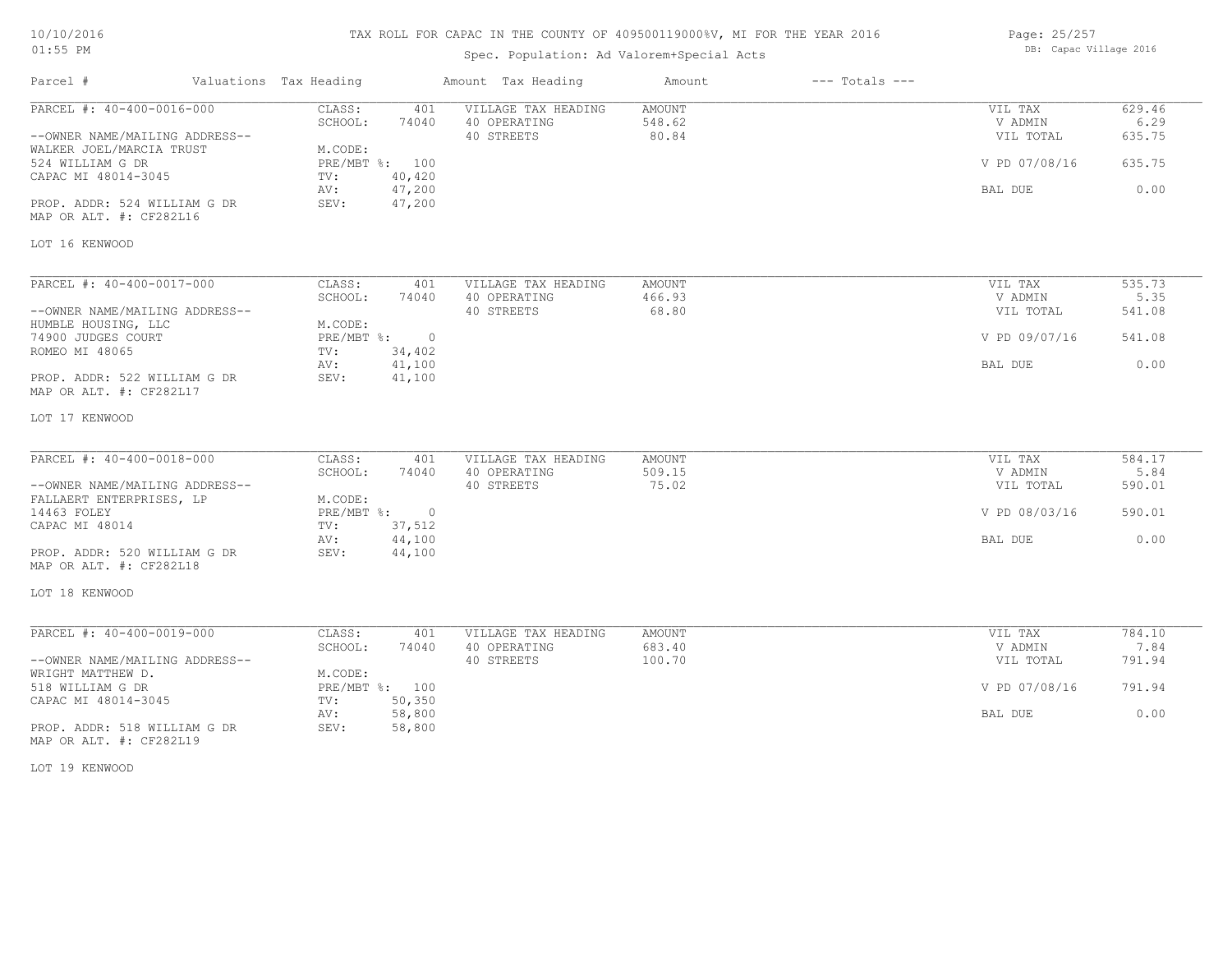# TAX ROLL FOR CAPAC IN THE COUNTY OF 409500119000%V, MI FOR THE YEAR 2016

# Spec. Population: Ad Valorem+Special Acts

Parcel # Valuations Tax Heading Amount Tax Heading Amount --- Totals ---

| Page: 25/257 |                        |  |
|--------------|------------------------|--|
|              | DB: Capac Village 2016 |  |

| PARCEL #: 40-400-0016-000                                  | CLASS:<br>401                     | VILLAGE TAX HEADING                 | AMOUNT           | VIL TAX            | 629.46         |
|------------------------------------------------------------|-----------------------------------|-------------------------------------|------------------|--------------------|----------------|
|                                                            | SCHOOL:<br>74040                  | 40 OPERATING                        | 548.62           | V ADMIN            | 6.29           |
| --OWNER NAME/MAILING ADDRESS--<br>WALKER JOEL/MARCIA TRUST | M.CODE:                           | 40 STREETS                          | 80.84            | VIL TOTAL          | 635.75         |
| 524 WILLIAM G DR                                           | PRE/MBT %: 100                    |                                     |                  | V PD 07/08/16      | 635.75         |
| CAPAC MI 48014-3045                                        | 40,420<br>TV:                     |                                     |                  |                    |                |
|                                                            | 47,200<br>AV:                     |                                     |                  | BAL DUE            | 0.00           |
| PROP. ADDR: 524 WILLIAM G DR<br>MAP OR ALT. #: CF282L16    | SEV:<br>47,200                    |                                     |                  |                    |                |
| LOT 16 KENWOOD                                             |                                   |                                     |                  |                    |                |
| PARCEL #: 40-400-0017-000                                  | CLASS:<br>401                     | VILLAGE TAX HEADING                 | <b>AMOUNT</b>    | VIL TAX            | 535.73         |
|                                                            | SCHOOL:<br>74040                  | 40 OPERATING                        | 466.93           | V ADMIN            | 5.35           |
| --OWNER NAME/MAILING ADDRESS--                             |                                   | 40 STREETS                          | 68.80            | VIL TOTAL          | 541.08         |
| HUMBLE HOUSING, LLC<br>74900 JUDGES COURT                  | M.CODE:<br>PRE/MBT %: 0           |                                     |                  | V PD 09/07/16      | 541.08         |
| ROMEO MI 48065                                             | 34,402<br>TV:                     |                                     |                  |                    |                |
|                                                            | 41,100<br>AV:                     |                                     |                  | BAL DUE            | 0.00           |
| PROP. ADDR: 522 WILLIAM G DR<br>MAP OR ALT. #: CF282L17    | SEV:<br>41,100                    |                                     |                  |                    |                |
| LOT 17 KENWOOD                                             |                                   |                                     |                  |                    |                |
|                                                            |                                   |                                     |                  |                    |                |
| PARCEL #: 40-400-0018-000                                  | CLASS:<br>401<br>SCHOOL:<br>74040 | VILLAGE TAX HEADING<br>40 OPERATING | AMOUNT<br>509.15 | VIL TAX<br>V ADMIN | 584.17<br>5.84 |
| --OWNER NAME/MAILING ADDRESS--                             |                                   | 40 STREETS                          | 75.02            | VIL TOTAL          | 590.01         |
| FALLAERT ENTERPRISES, LP                                   | M.CODE:                           |                                     |                  |                    |                |
| 14463 FOLEY                                                | PRE/MBT %: 0                      |                                     |                  | V PD 08/03/16      | 590.01         |
| CAPAC MI 48014                                             | 37,512<br>TV:                     |                                     |                  |                    |                |
|                                                            | 44,100<br>AV:                     |                                     |                  | BAL DUE            | 0.00           |
| PROP. ADDR: 520 WILLIAM G DR<br>MAP OR ALT. #: CF282L18    | SEV:<br>44,100                    |                                     |                  |                    |                |
| LOT 18 KENWOOD                                             |                                   |                                     |                  |                    |                |
| PARCEL #: 40-400-0019-000                                  | CLASS:<br>401                     | VILLAGE TAX HEADING                 | AMOUNT           | VIL TAX            | 784.10         |
|                                                            | SCHOOL:<br>74040                  | 40 OPERATING                        | 683.40           | V ADMIN            | 7.84           |
| --OWNER NAME/MAILING ADDRESS--                             |                                   | 40 STREETS                          | 100.70           | VIL TOTAL          | 791.94         |
| WRIGHT MATTHEW D.                                          | M.CODE:                           |                                     |                  |                    |                |
| 518 WILLIAM G DR                                           | PRE/MBT %: 100                    |                                     |                  | V PD 07/08/16      | 791.94         |
| CAPAC MI 48014-3045                                        | 50,350<br>TV:                     |                                     |                  |                    | 0.00           |
| PROP. ADDR: 518 WILLIAM G DR                               | 58,800<br>AV:<br>SEV:<br>58,800   |                                     |                  | BAL DUE            |                |
| MAP OR ALT. #: CF282L19                                    |                                   |                                     |                  |                    |                |

LOT 19 KENWOOD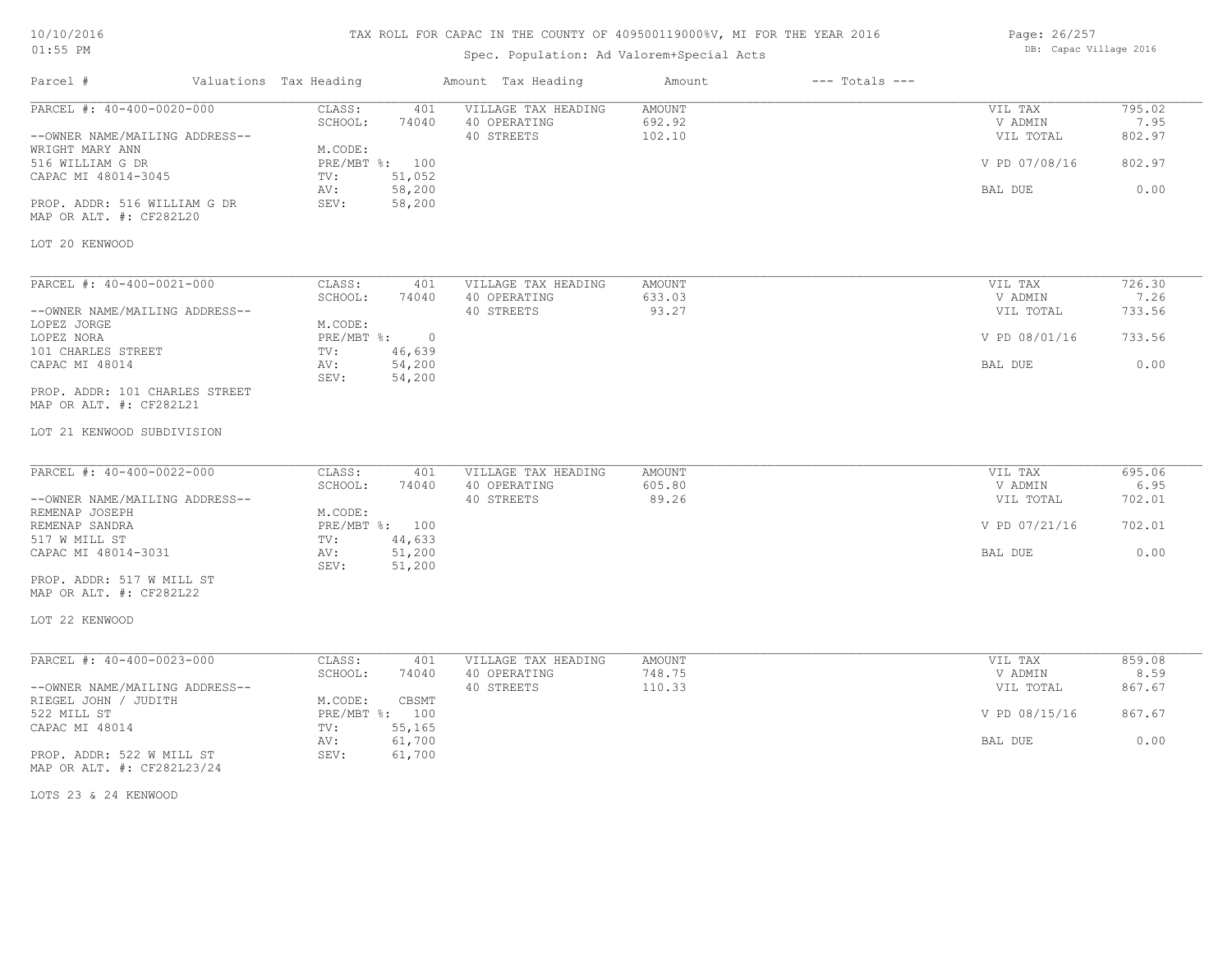# TAX ROLL FOR CAPAC IN THE COUNTY OF 409500119000%V, MI FOR THE YEAR 2016

# Spec. Population: Ad Valorem+Special Acts

| Page: 26/257           |  |
|------------------------|--|
| DB: Capac Village 2016 |  |

| Parcel #                                                                                                                                                                                               | Valuations Tax Heading                                                                                             | Amount Tax Heading                                | Amount                            | $---$ Totals $---$ |                                                             |                                            |
|--------------------------------------------------------------------------------------------------------------------------------------------------------------------------------------------------------|--------------------------------------------------------------------------------------------------------------------|---------------------------------------------------|-----------------------------------|--------------------|-------------------------------------------------------------|--------------------------------------------|
| PARCEL #: 40-400-0020-000<br>--OWNER NAME/MAILING ADDRESS--<br>WRIGHT MARY ANN<br>516 WILLIAM G DR<br>CAPAC MI 48014-3045<br>PROP. ADDR: 516 WILLIAM G DR<br>MAP OR ALT. #: CF282L20<br>LOT 20 KENWOOD | CLASS:<br>401<br>SCHOOL:<br>74040<br>M.CODE:<br>PRE/MBT %: 100<br>51,052<br>TV:<br>58,200<br>AV:<br>SEV:<br>58,200 | VILLAGE TAX HEADING<br>40 OPERATING<br>40 STREETS | <b>AMOUNT</b><br>692.92<br>102.10 |                    | VIL TAX<br>V ADMIN<br>VIL TOTAL<br>V PD 07/08/16<br>BAL DUE | 795.02<br>7.95<br>802.97<br>802.97<br>0.00 |
| PARCEL #: 40-400-0021-000                                                                                                                                                                              | CLASS:<br>401                                                                                                      | VILLAGE TAX HEADING                               | AMOUNT                            |                    | VIL TAX                                                     | 726.30                                     |
| --OWNER NAME/MAILING ADDRESS--                                                                                                                                                                         | SCHOOL:<br>74040                                                                                                   | 40 OPERATING<br>40 STREETS                        | 633.03<br>93.27                   |                    | V ADMIN<br>VIL TOTAL                                        | 7.26<br>733.56                             |
| LOPEZ JORGE<br>LOPEZ NORA<br>101 CHARLES STREET                                                                                                                                                        | M.CODE:<br>$PRE/MBT$ $\div$<br>$\circ$<br>46,639<br>TV:                                                            |                                                   |                                   |                    | V PD 08/01/16                                               | 733.56                                     |
| CAPAC MI 48014                                                                                                                                                                                         | 54,200<br>AV:<br>54,200<br>SEV:                                                                                    |                                                   |                                   |                    | BAL DUE                                                     | 0.00                                       |
| PROP. ADDR: 101 CHARLES STREET<br>MAP OR ALT. #: CF282L21                                                                                                                                              |                                                                                                                    |                                                   |                                   |                    |                                                             |                                            |
| LOT 21 KENWOOD SUBDIVISION                                                                                                                                                                             |                                                                                                                    |                                                   |                                   |                    |                                                             |                                            |
| PARCEL #: 40-400-0022-000                                                                                                                                                                              | CLASS:<br>401<br>SCHOOL:<br>74040                                                                                  | VILLAGE TAX HEADING<br>40 OPERATING               | AMOUNT<br>605.80                  |                    | VIL TAX<br>V ADMIN                                          | 695.06<br>6.95                             |
| --OWNER NAME/MAILING ADDRESS--<br>REMENAP JOSEPH<br>REMENAP SANDRA                                                                                                                                     | M.CODE:<br>PRE/MBT %: 100                                                                                          | 40 STREETS                                        | 89.26                             |                    | VIL TOTAL<br>V PD 07/21/16                                  | 702.01<br>702.01                           |
| 517 W MILL ST<br>CAPAC MI 48014-3031                                                                                                                                                                   | 44,633<br>TV:<br>51,200<br>AV:                                                                                     |                                                   |                                   |                    | BAL DUE                                                     | 0.00                                       |
| PROP. ADDR: 517 W MILL ST<br>MAP OR ALT. #: CF282L22                                                                                                                                                   | 51,200<br>SEV:                                                                                                     |                                                   |                                   |                    |                                                             |                                            |
| LOT 22 KENWOOD                                                                                                                                                                                         |                                                                                                                    |                                                   |                                   |                    |                                                             |                                            |
| PARCEL #: 40-400-0023-000                                                                                                                                                                              | CLASS:<br>401<br>SCHOOL:<br>74040                                                                                  | VILLAGE TAX HEADING<br>40 OPERATING               | AMOUNT<br>748.75                  |                    | VIL TAX<br>V ADMIN                                          | 859.08<br>8.59                             |
| --OWNER NAME/MAILING ADDRESS--<br>RIEGEL JOHN / JUDITH                                                                                                                                                 | CBSMT<br>M.CODE:                                                                                                   | 40 STREETS                                        | 110.33                            |                    | VIL TOTAL                                                   | 867.67                                     |
| 522 MILL ST<br>CAPAC MI 48014                                                                                                                                                                          | PRE/MBT %: 100<br>55,165<br>TV:                                                                                    |                                                   |                                   |                    | V PD 08/15/16                                               | 867.67                                     |
| PROP. ADDR: 522 W MILL ST<br>MAP OR ALT. #: CF282L23/24                                                                                                                                                | 61,700<br>AV:<br>61,700<br>SEV:                                                                                    |                                                   |                                   |                    | BAL DUE                                                     | 0.00                                       |

LOTS 23 & 24 KENWOOD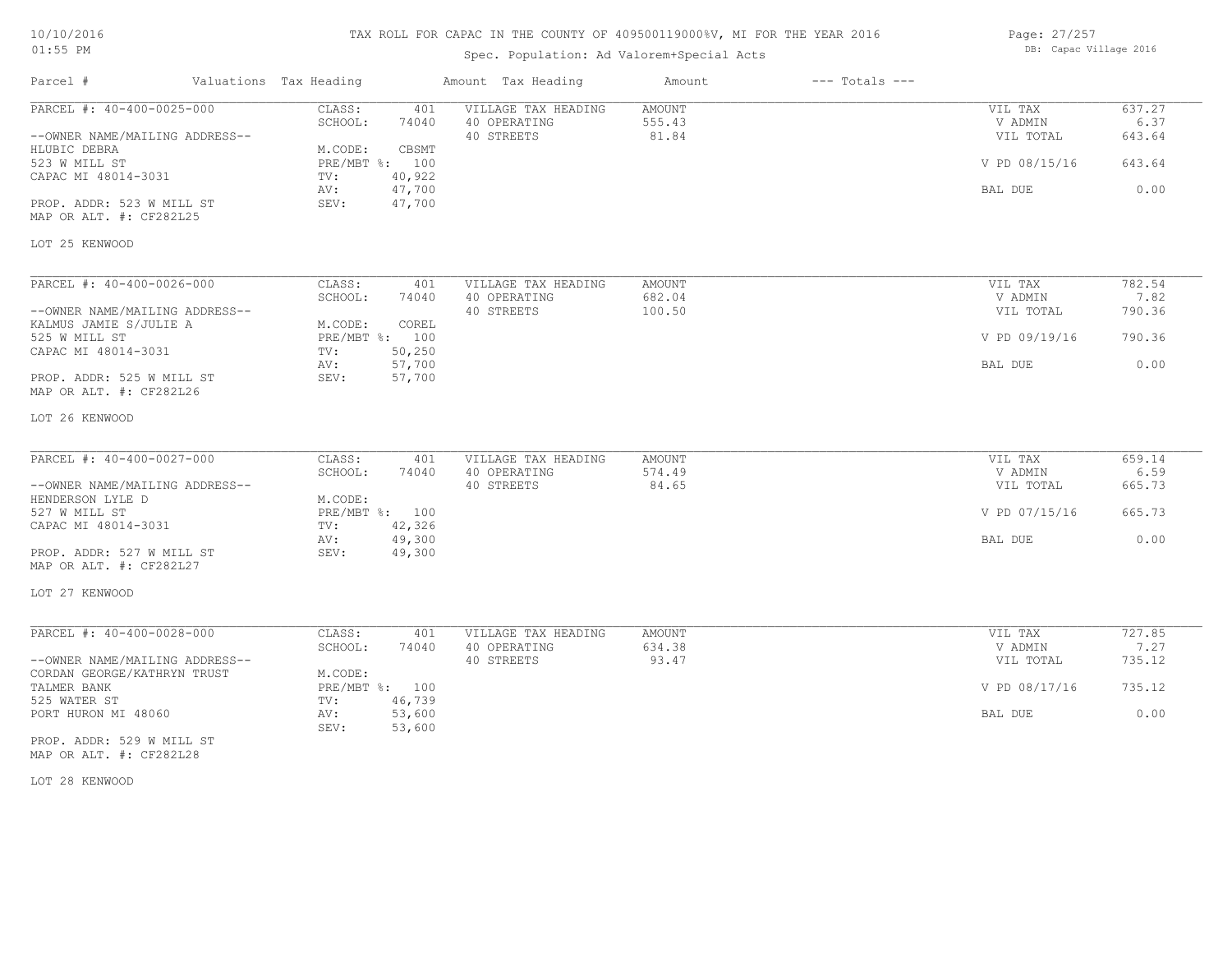| 10/10/2016 |  |
|------------|--|
| $01:55$ PM |  |

# Spec. Population: Ad Valorem+Special Acts

| Page: 27/257 |  |                        |  |
|--------------|--|------------------------|--|
|              |  | DB: Capac Village 2016 |  |

| Parcel #                                                 | Valuations Tax Heading            | Amount Tax Heading                  | Amount                  | $---$ Totals $---$ |                    |                |
|----------------------------------------------------------|-----------------------------------|-------------------------------------|-------------------------|--------------------|--------------------|----------------|
| PARCEL #: 40-400-0025-000                                | CLASS:<br>401<br>SCHOOL:<br>74040 | VILLAGE TAX HEADING<br>40 OPERATING | <b>AMOUNT</b><br>555.43 |                    | VIL TAX<br>V ADMIN | 637.27<br>6.37 |
| --OWNER NAME/MAILING ADDRESS--<br>HLUBIC DEBRA           | M.CODE:<br>CBSMT                  | 40 STREETS                          | 81.84                   |                    | VIL TOTAL          | 643.64         |
| 523 W MILL ST<br>CAPAC MI 48014-3031                     | PRE/MBT %: 100<br>40,922<br>TV:   |                                     |                         |                    | V PD 08/15/16      | 643.64         |
|                                                          | 47,700<br>AV:                     |                                     |                         |                    | BAL DUE            | 0.00           |
| PROP. ADDR: 523 W MILL ST<br>MAP OR ALT. #: CF282L25     | 47,700<br>SEV:                    |                                     |                         |                    |                    |                |
| LOT 25 KENWOOD                                           |                                   |                                     |                         |                    |                    |                |
| PARCEL #: 40-400-0026-000                                | CLASS:<br>401                     | VILLAGE TAX HEADING                 | AMOUNT                  |                    | VIL TAX            | 782.54         |
|                                                          | SCHOOL:<br>74040                  | 40 OPERATING                        | 682.04                  |                    | V ADMIN            | 7.82           |
| --OWNER NAME/MAILING ADDRESS--<br>KALMUS JAMIE S/JULIE A | M.CODE:<br>COREL                  | 40 STREETS                          | 100.50                  |                    | VIL TOTAL          | 790.36         |
| 525 W MILL ST                                            | PRE/MBT %: 100<br>TV:             |                                     |                         |                    | V PD 09/19/16      | 790.36         |
| CAPAC MI 48014-3031                                      | 50,250<br>57,700<br>AV:           |                                     |                         |                    | BAL DUE            | 0.00           |
| PROP. ADDR: 525 W MILL ST<br>MAP OR ALT. #: CF282L26     | SEV:<br>57,700                    |                                     |                         |                    |                    |                |
| LOT 26 KENWOOD                                           |                                   |                                     |                         |                    |                    |                |
| PARCEL #: 40-400-0027-000                                | CLASS:<br>401                     | VILLAGE TAX HEADING                 | AMOUNT                  |                    | VIL TAX            | 659.14         |
|                                                          | SCHOOL:<br>74040                  | 40 OPERATING                        | 574.49                  |                    | V ADMIN            | 6.59           |
| --OWNER NAME/MAILING ADDRESS--                           |                                   | 40 STREETS                          | 84.65                   |                    | VIL TOTAL          | 665.73         |
| HENDERSON LYLE D                                         | M.CODE:                           |                                     |                         |                    |                    |                |
| 527 W MILL ST                                            | PRE/MBT %: 100                    |                                     |                         |                    | V PD 07/15/16      | 665.73         |
| CAPAC MI 48014-3031                                      | TV:<br>42,326                     |                                     |                         |                    |                    |                |
| PROP. ADDR: 527 W MILL ST                                | AV:<br>49,300<br>49,300<br>SEV:   |                                     |                         |                    | BAL DUE            | 0.00           |
| MAP OR ALT. #: CF282L27                                  |                                   |                                     |                         |                    |                    |                |
| LOT 27 KENWOOD                                           |                                   |                                     |                         |                    |                    |                |
| PARCEL #: 40-400-0028-000                                | CLASS:<br>401                     | VILLAGE TAX HEADING                 | AMOUNT                  |                    | VIL TAX            | 727.85         |
|                                                          | SCHOOL:<br>74040                  | 40 OPERATING                        | 634.38                  |                    | V ADMIN            | 7.27           |
| --OWNER NAME/MAILING ADDRESS--                           |                                   | 40 STREETS                          | 93.47                   |                    | VIL TOTAL          | 735.12         |
| CORDAN GEORGE/KATHRYN TRUST                              | M.CODE:                           |                                     |                         |                    |                    |                |
| TALMER BANK                                              | PRE/MBT %: 100                    |                                     |                         |                    | V PD 08/17/16      | 735.12         |
| 525 WATER ST                                             | TV:<br>46,739                     |                                     |                         |                    |                    |                |
| PORT HURON MI 48060                                      | 53,600<br>AV:<br>SEV:<br>53,600   |                                     |                         |                    | BAL DUE            | 0.00           |
| PROP. ADDR: 529 W MILL ST                                |                                   |                                     |                         |                    |                    |                |

MAP OR ALT. #: CF282L28

LOT 28 KENWOOD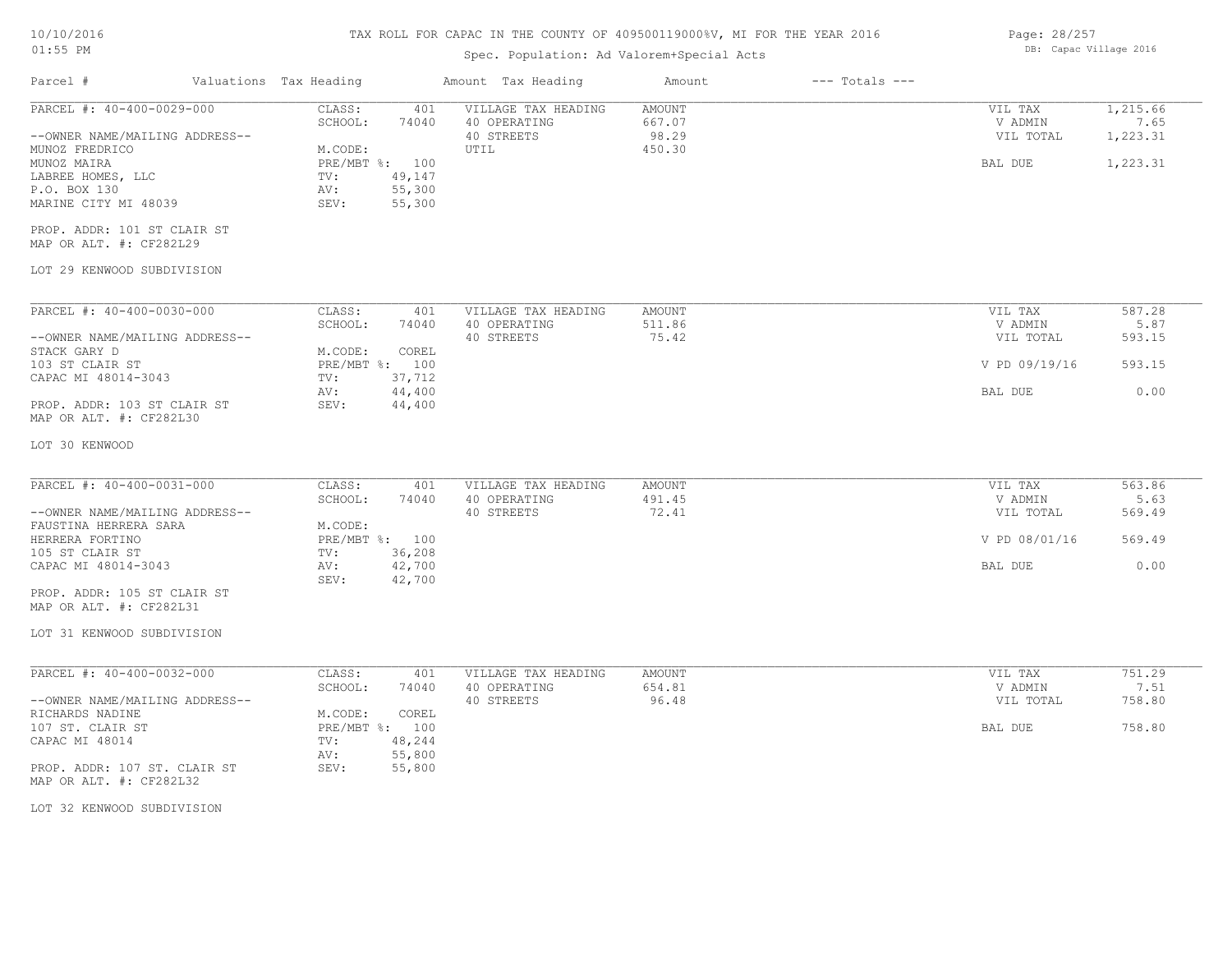# TAX ROLL FOR CAPAC IN THE COUNTY OF 409500119000%V, MI FOR THE YEAR 2016

# Spec. Population: Ad Valorem+Special Acts

| Page: 28/257 |  |                        |  |
|--------------|--|------------------------|--|
|              |  | DB: Capac Village 2016 |  |

| Parcel #                                                                                   | Valuations Tax Heading                                                        | Amount Tax Heading                                | Amount                           | $---$ Totals $---$ |                                 |                              |
|--------------------------------------------------------------------------------------------|-------------------------------------------------------------------------------|---------------------------------------------------|----------------------------------|--------------------|---------------------------------|------------------------------|
| PARCEL #: 40-400-0029-000<br>--OWNER NAME/MAILING ADDRESS--                                | CLASS:<br>401<br>SCHOOL:<br>74040                                             | VILLAGE TAX HEADING<br>40 OPERATING<br>40 STREETS | <b>AMOUNT</b><br>667.07<br>98.29 |                    | VIL TAX<br>V ADMIN<br>VIL TOTAL | 1,215.66<br>7.65<br>1,223.31 |
| MUNOZ FREDRICO<br>MUNOZ MAIRA<br>LABREE HOMES, LLC<br>P.O. BOX 130<br>MARINE CITY MI 48039 | M.CODE:<br>PRE/MBT %: 100<br>49,147<br>TV:<br>55,300<br>AV:<br>SEV:<br>55,300 | UTIL                                              | 450.30                           |                    | BAL DUE                         | 1,223.31                     |
| PROP. ADDR: 101 ST CLAIR ST<br>MAP OR ALT. #: CF282L29                                     |                                                                               |                                                   |                                  |                    |                                 |                              |
| LOT 29 KENWOOD SUBDIVISION                                                                 |                                                                               |                                                   |                                  |                    |                                 |                              |
| PARCEL #: 40-400-0030-000                                                                  | CLASS:<br>401                                                                 | VILLAGE TAX HEADING                               | AMOUNT                           |                    | VIL TAX                         | 587.28<br>5.87               |
| --OWNER NAME/MAILING ADDRESS--<br>STACK GARY D                                             | SCHOOL:<br>74040<br>M.CODE:<br>COREL                                          | 40 OPERATING<br>40 STREETS                        | 511.86<br>75.42                  |                    | V ADMIN<br>VIL TOTAL            | 593.15                       |
| 103 ST CLAIR ST<br>CAPAC MI 48014-3043                                                     | PRE/MBT %: 100<br>37,712<br>TV:                                               |                                                   |                                  |                    | V PD 09/19/16                   | 593.15                       |
| PROP. ADDR: 103 ST CLAIR ST<br>MAP OR ALT. #: CF282L30                                     | 44,400<br>AV:<br>44,400<br>SEV:                                               |                                                   |                                  |                    | BAL DUE                         | 0.00                         |
| LOT 30 KENWOOD                                                                             |                                                                               |                                                   |                                  |                    |                                 |                              |
| PARCEL #: 40-400-0031-000                                                                  | CLASS:<br>401                                                                 | VILLAGE TAX HEADING                               | AMOUNT                           |                    | VIL TAX                         | 563.86                       |
| --OWNER NAME/MAILING ADDRESS--<br>FAUSTINA HERRERA SARA                                    | SCHOOL:<br>74040<br>M.CODE:                                                   | 40 OPERATING<br>40 STREETS                        | 491.45<br>72.41                  |                    | V ADMIN<br>VIL TOTAL            | 5.63<br>569.49               |
| HERRERA FORTINO<br>105 ST CLAIR ST                                                         | PRE/MBT %: 100<br>36,208<br>TV:                                               |                                                   |                                  |                    | V PD 08/01/16                   | 569.49                       |
| CAPAC MI 48014-3043                                                                        | 42,700<br>AV:<br>SEV:<br>42,700                                               |                                                   |                                  |                    | BAL DUE                         | 0.00                         |
| PROP. ADDR: 105 ST CLAIR ST<br>MAP OR ALT. #: CF282L31                                     |                                                                               |                                                   |                                  |                    |                                 |                              |
| LOT 31 KENWOOD SUBDIVISION                                                                 |                                                                               |                                                   |                                  |                    |                                 |                              |
| PARCEL #: 40-400-0032-000                                                                  | CLASS:<br>401<br>SCHOOL:<br>74040                                             | VILLAGE TAX HEADING<br>40 OPERATING               | AMOUNT<br>654.81                 |                    | VIL TAX<br>V ADMIN              | 751.29<br>7.51               |
| --OWNER NAME/MAILING ADDRESS--<br>RICHARDS NADINE                                          | M.CODE:<br>COREL                                                              | 40 STREETS                                        | 96.48                            |                    | VIL TOTAL                       | 758.80                       |
| 107 ST. CLAIR ST<br>CAPAC MI 48014                                                         | PRE/MBT %: 100<br>TV:<br>48,244                                               |                                                   |                                  |                    | BAL DUE                         | 758.80                       |
| PROP. ADDR: 107 ST. CLAIR ST<br>MAP OR ALT. #: CF282L32                                    | 55,800<br>AV:<br>SEV:<br>55,800                                               |                                                   |                                  |                    |                                 |                              |
| LOT 32 KENWOOD SUBDIVISION                                                                 |                                                                               |                                                   |                                  |                    |                                 |                              |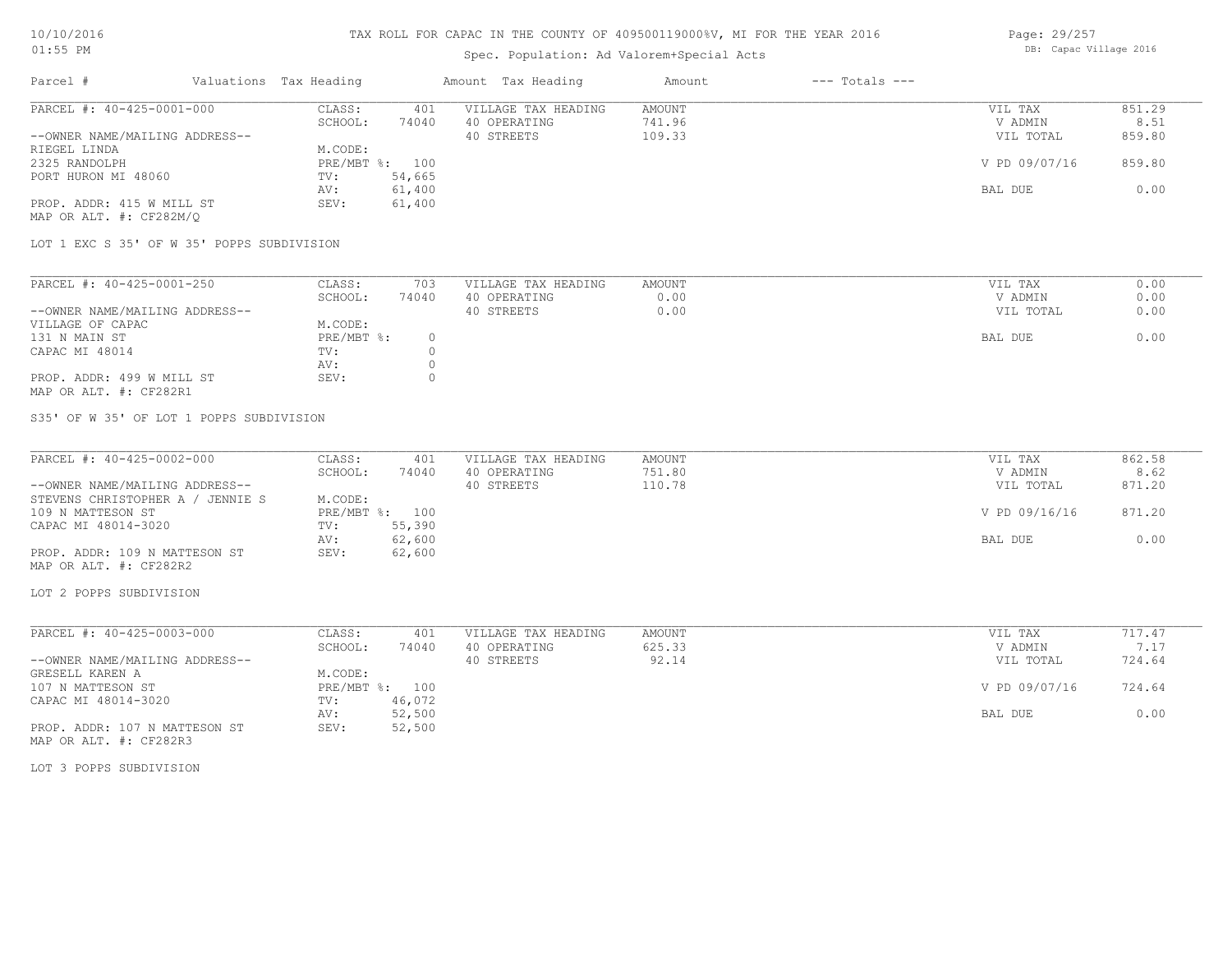# Spec. Population: Ad Valorem+Special Acts

| Page: 29/257 |  |                        |  |
|--------------|--|------------------------|--|
|              |  | DB: Capac Village 2016 |  |

| Parcel #                       | Valuations Tax Heading |        | Amount Tax Heading  | Amount | $---$ Totals $---$ |               |        |
|--------------------------------|------------------------|--------|---------------------|--------|--------------------|---------------|--------|
| PARCEL #: 40-425-0001-000      | CLASS:                 | 401    | VILLAGE TAX HEADING | AMOUNT |                    | VIL TAX       | 851.29 |
|                                | SCHOOL:                | 74040  | 40 OPERATING        | 741.96 |                    | V ADMIN       | 8.51   |
| --OWNER NAME/MAILING ADDRESS-- |                        |        | 40 STREETS          | 109.33 |                    | VIL TOTAL     | 859.80 |
| RIEGEL LINDA                   | M.CODE:                |        |                     |        |                    |               |        |
| 2325 RANDOLPH                  | PRE/MBT %: 100         |        |                     |        |                    | V PD 09/07/16 | 859.80 |
| PORT HURON MI 48060            | TV:                    | 54,665 |                     |        |                    |               |        |
|                                | AV:                    | 61,400 |                     |        |                    | BAL DUE       | 0.00   |
| PROP. ADDR: 415 W MILL ST      | SEV:                   | 61,400 |                     |        |                    |               |        |
| MAP OR ALT. #: CF282M/O        |                        |        |                     |        |                    |               |        |

LOT 1 EXC S 35' OF W 35' POPPS SUBDIVISION

| PARCEL #: 40-425-0001-250      | CLASS:     | 703   | VILLAGE TAX HEADING | AMOUNT | VIL TAX   | 0.00 |
|--------------------------------|------------|-------|---------------------|--------|-----------|------|
|                                | SCHOOL:    | 74040 | 40 OPERATING        | 0.00   | V ADMIN   | 0.00 |
| --OWNER NAME/MAILING ADDRESS-- |            |       | 40 STREETS          | 0.00   | VIL TOTAL | 0.00 |
| VILLAGE OF CAPAC               | M.CODE:    |       |                     |        |           |      |
| 131 N MAIN ST                  | PRE/MBT %: |       |                     |        | BAL DUE   | 0.00 |
| CAPAC MI 48014                 | TV:        |       |                     |        |           |      |
|                                | AV:        |       |                     |        |           |      |
| PROP. ADDR: 499 W MILL ST      | SEV:       |       |                     |        |           |      |
| MAP OR ALT. #: CF282R1         |            |       |                     |        |           |      |

S35' OF W 35' OF LOT 1 POPPS SUBDIVISION

| PARCEL #: 40-425-0002-000           | CLASS:  | 401            | VILLAGE TAX HEADING | AMOUNT | VIL TAX       | 862.58 |
|-------------------------------------|---------|----------------|---------------------|--------|---------------|--------|
|                                     | SCHOOL: | 74040          | 40 OPERATING        | 751.80 | V ADMIN       | 8.62   |
| --OWNER NAME/MAILING ADDRESS--      |         |                | 40 STREETS          | 110.78 | VIL TOTAL     | 871.20 |
| STEVENS CHRISTOPHER A /<br>JENNIE S | M.CODE: |                |                     |        |               |        |
| 109 N MATTESON ST                   |         | PRE/MBT %: 100 |                     |        | V PD 09/16/16 | 871.20 |
| CAPAC MI 48014-3020                 | TV:     | 55,390         |                     |        |               |        |
|                                     | AV:     | 62,600         |                     |        | BAL DUE       | 0.00   |
| PROP. ADDR: 109 N MATTESON ST       | SEV:    | 62,600         |                     |        |               |        |
| MAP OR ALT. #: CF282R2              |         |                |                     |        |               |        |

LOT 2 POPPS SUBDIVISION

| PARCEL #: 40-425-0003-000      | CLASS:       | 401    | VILLAGE TAX HEADING | AMOUNT | VIL TAX       | 717.47 |
|--------------------------------|--------------|--------|---------------------|--------|---------------|--------|
|                                | SCHOOL:      | 74040  | 40 OPERATING        | 625.33 | V ADMIN       | 7.17   |
| --OWNER NAME/MAILING ADDRESS-- |              |        | 40 STREETS          | 92.14  | VIL TOTAL     | 724.64 |
| GRESELL KAREN A                | M.CODE:      |        |                     |        |               |        |
| 107 N MATTESON ST              | $PRE/MBT$ %: | 100    |                     |        | V PD 09/07/16 | 724.64 |
| CAPAC MI 48014-3020            | TV:          | 46,072 |                     |        |               |        |
|                                | AV:          | 52,500 |                     |        | BAL DUE       | 0.00   |
| PROP. ADDR: 107 N MATTESON ST  | SEV:         | 52,500 |                     |        |               |        |

MAP OR ALT. #: CF282R3

LOT 3 POPPS SUBDIVISION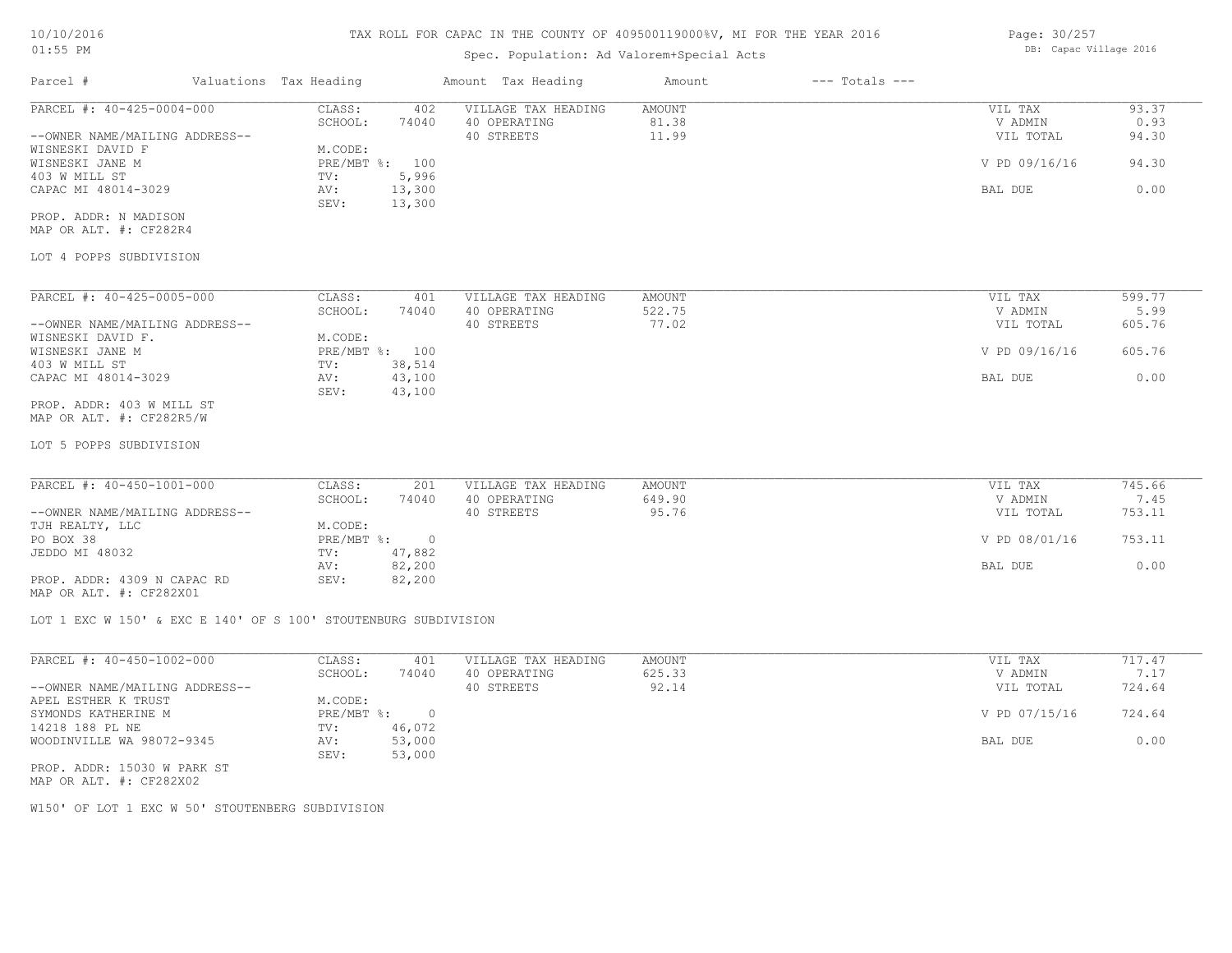## Spec. Population: Ad Valorem+Special Acts

| Page: 30/257 |  |                        |  |
|--------------|--|------------------------|--|
|              |  | DB: Capac Village 2016 |  |

| Parcel #                       | Valuations Tax Heading |                | Amount Tax Heading  | Amount | $---$ Totals $---$ |               |       |
|--------------------------------|------------------------|----------------|---------------------|--------|--------------------|---------------|-------|
| PARCEL #: 40-425-0004-000      | CLASS:                 | 402            | VILLAGE TAX HEADING | AMOUNT |                    | VIL TAX       | 93.37 |
|                                | SCHOOL:                | 74040          | 40 OPERATING        | 81.38  |                    | V ADMIN       | 0.93  |
| --OWNER NAME/MAILING ADDRESS-- |                        |                | 40 STREETS          | 11.99  |                    | VIL TOTAL     | 94.30 |
| WISNESKI DAVID F               | M.CODE:                |                |                     |        |                    |               |       |
| WISNESKI JANE M                |                        | PRE/MBT %: 100 |                     |        |                    | V PD 09/16/16 | 94.30 |
| 403 W MILL ST                  | TV:                    | 5,996          |                     |        |                    |               |       |
| CAPAC MI 48014-3029            | AV:                    | 13,300         |                     |        |                    | BAL DUE       | 0.00  |
|                                | SEV:                   | 13,300         |                     |        |                    |               |       |
| PROP. ADDR: N MADISON          |                        |                |                     |        |                    |               |       |
| MAP OR ALT. #: CF282R4         |                        |                |                     |        |                    |               |       |

#### LOT 4 POPPS SUBDIVISION

| PARCEL #: 40-425-0005-000      | CLASS:       | 401    | VILLAGE TAX HEADING | AMOUNT | VIL TAX       | 599.77 |
|--------------------------------|--------------|--------|---------------------|--------|---------------|--------|
|                                | SCHOOL:      | 74040  | 40 OPERATING        | 522.75 | V ADMIN       | 5.99   |
| --OWNER NAME/MAILING ADDRESS-- |              |        | 40 STREETS          | 77.02  | VIL TOTAL     | 605.76 |
| WISNESKI DAVID F.              | M.CODE:      |        |                     |        |               |        |
| WISNESKI JANE M                | $PRE/MBT$ %: | 100    |                     |        | V PD 09/16/16 | 605.76 |
| 403 W MILL ST                  | TV:          | 38,514 |                     |        |               |        |
| CAPAC MI 48014-3029            | AV:          | 43,100 |                     |        | BAL DUE       | 0.00   |
|                                | SEV:         | 43,100 |                     |        |               |        |
| PROP. ADDR: 403 W MILL ST      |              |        |                     |        |               |        |
| MAP OR ALT. #: CF282R5/W       |              |        |                     |        |               |        |

# LOT 5 POPPS SUBDIVISION

| PARCEL #: 40-450-1001-000      | CLASS:     | 201    | VILLAGE TAX HEADING | AMOUNT | VIL TAX       | 745.66 |
|--------------------------------|------------|--------|---------------------|--------|---------------|--------|
|                                | SCHOOL:    | 74040  | 40 OPERATING        | 649.90 | V ADMIN       | 7.45   |
| --OWNER NAME/MAILING ADDRESS-- |            |        | 40 STREETS          | 95.76  | VIL TOTAL     | 753.11 |
| TJH REALTY, LLC                | M.CODE:    |        |                     |        |               |        |
| PO BOX 38                      | PRE/MBT %: |        |                     |        | V PD 08/01/16 | 753.11 |
| JEDDO MI 48032                 | TV:        | 47,882 |                     |        |               |        |
|                                | AV:        | 82,200 |                     |        | BAL DUE       | 0.00   |
| PROP. ADDR: 4309 N CAPAC RD    | SEV:       | 82,200 |                     |        |               |        |
|                                |            |        |                     |        |               |        |

MAP OR ALT. #: CF282X01

LOT 1 EXC W 150' & EXC E 140' OF S 100' STOUTENBURG SUBDIVISION

| PARCEL #: 40-450-1002-000      | CLASS:     | 401    | VILLAGE TAX HEADING | AMOUNT | VIL TAX       | 717.47 |
|--------------------------------|------------|--------|---------------------|--------|---------------|--------|
|                                | SCHOOL:    | 74040  | 40 OPERATING        | 625.33 | V ADMIN       | 7.17   |
| --OWNER NAME/MAILING ADDRESS-- |            |        | 40 STREETS          | 92.14  | VIL TOTAL     | 724.64 |
| APEL ESTHER K TRUST            | M.CODE:    |        |                     |        |               |        |
| SYMONDS KATHERINE M            | PRE/MBT %: | $\Box$ |                     |        | V PD 07/15/16 | 724.64 |
| 14218 188 PL NE                | TV:        | 46,072 |                     |        |               |        |
| WOODINVILLE WA 98072-9345      | AV:        | 53,000 |                     |        | BAL DUE       | 0.00   |
|                                | SEV:       | 53,000 |                     |        |               |        |
| PROP. ADDR: 15030 W PARK ST    |            |        |                     |        |               |        |

MAP OR ALT. #: CF282X02

W150' OF LOT 1 EXC W 50' STOUTENBERG SUBDIVISION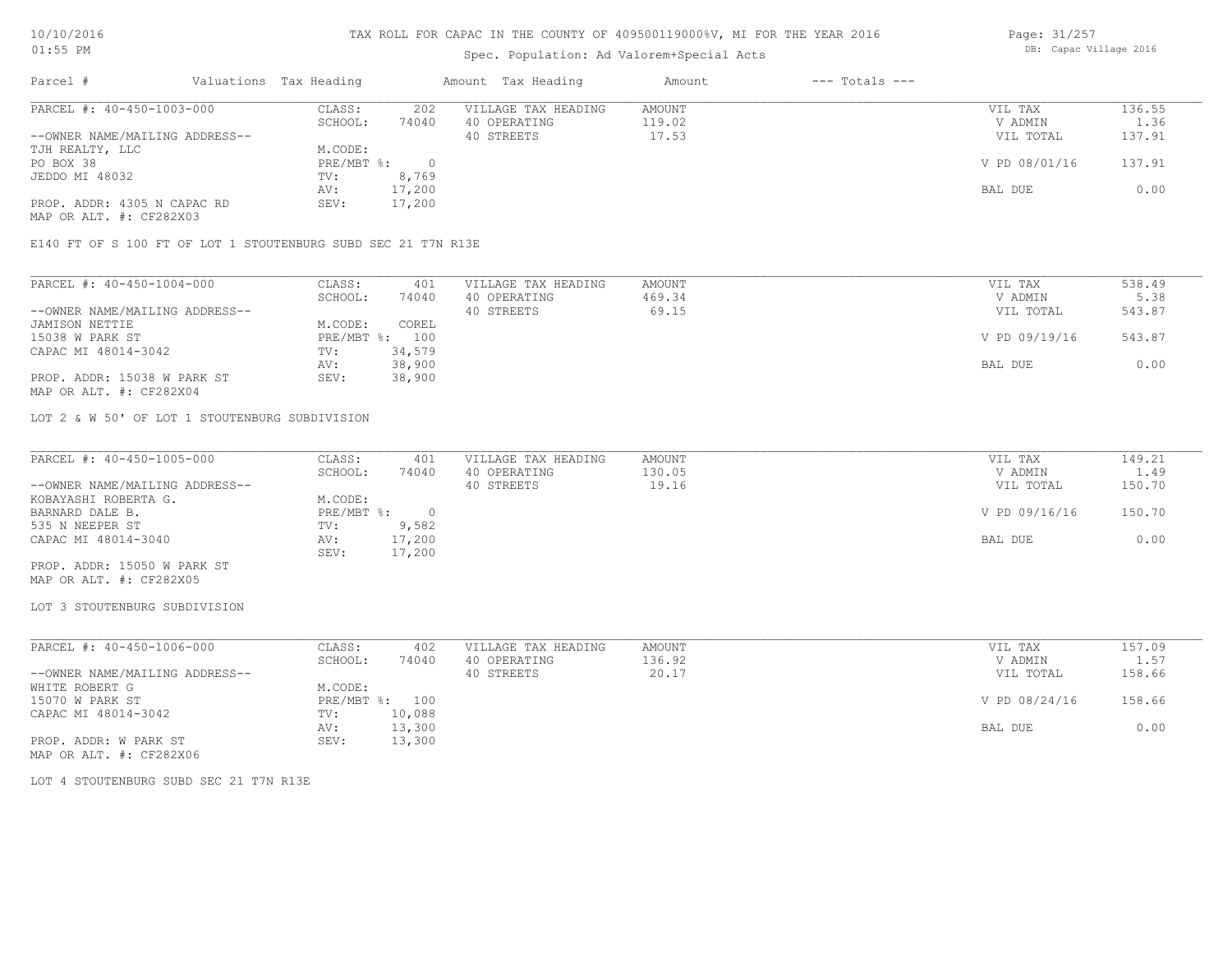## Spec. Population: Ad Valorem+Special Acts

Page: 31/257 DB: Capac Village 2016

| Parcel #                       | Valuations Tax Heading |        | Amount Tax Heading  | Amount | $---$ Totals $---$ |               |        |
|--------------------------------|------------------------|--------|---------------------|--------|--------------------|---------------|--------|
| PARCEL #: 40-450-1003-000      | CLASS:                 | 202    | VILLAGE TAX HEADING | AMOUNT |                    | VIL TAX       | 136.55 |
|                                | SCHOOL:                | 74040  | 40 OPERATING        | 119.02 |                    | V ADMIN       | 1.36   |
| --OWNER NAME/MAILING ADDRESS-- |                        |        | 40 STREETS          | 17.53  |                    | VIL TOTAL     | 137.91 |
| TJH REALTY, LLC                | M.CODE:                |        |                     |        |                    |               |        |
| PO BOX 38                      | PRE/MBT %:             |        |                     |        |                    | V PD 08/01/16 | 137.91 |
| JEDDO MI 48032                 | TV:                    | 8,769  |                     |        |                    |               |        |
|                                | AV:                    | 17,200 |                     |        |                    | BAL DUE       | 0.00   |
| PROP. ADDR: 4305 N CAPAC RD    | SEV:                   | 17,200 |                     |        |                    |               |        |
| MAP OR ALT. #: CF282X03        |                        |        |                     |        |                    |               |        |

E140 FT OF S 100 FT OF LOT 1 STOUTENBURG SUBD SEC 21 T7N R13E

| PARCEL #: 40-450-1004-000      | CLASS:  | 401            | VILLAGE TAX HEADING | AMOUNT | VIL TAX       | 538.49 |
|--------------------------------|---------|----------------|---------------------|--------|---------------|--------|
|                                | SCHOOL: | 74040          | 40 OPERATING        | 469.34 | V ADMIN       | 5.38   |
| --OWNER NAME/MAILING ADDRESS-- |         |                | 40 STREETS          | 69.15  | VIL TOTAL     | 543.87 |
| JAMISON NETTIE                 | M.CODE: | COREL          |                     |        |               |        |
| 15038 W PARK ST                |         | PRE/MBT %: 100 |                     |        | V PD 09/19/16 | 543.87 |
| CAPAC MI 48014-3042            | TV:     | 34,579         |                     |        |               |        |
|                                | AV:     | 38,900         |                     |        | BAL DUE       | 0.00   |
| PROP. ADDR: 15038 W PARK ST    | SEV:    | 38,900         |                     |        |               |        |
| MAP OR ALT. #: CF282X04        |         |                |                     |        |               |        |

LOT 2 & W 50' OF LOT 1 STOUTENBURG SUBDIVISION

| PARCEL #: 40-450-1005-000      | CLASS:     | 401    | VILLAGE TAX HEADING | AMOUNT | VIL TAX       | 149.21 |
|--------------------------------|------------|--------|---------------------|--------|---------------|--------|
|                                | SCHOOL:    | 74040  | 40 OPERATING        | 130.05 | V ADMIN       | 1.49   |
| --OWNER NAME/MAILING ADDRESS-- |            |        | 40 STREETS          | 19.16  | VIL TOTAL     | 150.70 |
| KOBAYASHI ROBERTA G.           | M.CODE:    |        |                     |        |               |        |
| BARNARD DALE B.                | PRE/MBT %: |        |                     |        | V PD 09/16/16 | 150.70 |
| 535 N NEEPER ST                | TV:        | 9,582  |                     |        |               |        |
| CAPAC MI 48014-3040            | AV:        | 17,200 |                     |        | BAL DUE       | 0.00   |
|                                | SEV:       | 17,200 |                     |        |               |        |
| PROP. ADDR: 15050 W PARK ST    |            |        |                     |        |               |        |

MAP OR ALT. #: CF282X05

#### LOT 3 STOUTENBURG SUBDIVISION

| PARCEL #: 40-450-1006-000      | CLASS:  | 402            | VILLAGE TAX HEADING | AMOUNT | VIL TAX       | 157.09 |
|--------------------------------|---------|----------------|---------------------|--------|---------------|--------|
|                                | SCHOOL: | 74040          | 40 OPERATING        | 136.92 | V ADMIN       | 1.57   |
| --OWNER NAME/MAILING ADDRESS-- |         |                | 40 STREETS          | 20.17  | VIL TOTAL     | 158.66 |
| WHITE ROBERT G                 | M.CODE: |                |                     |        |               |        |
| 15070 W PARK ST                |         | PRE/MBT %: 100 |                     |        | V PD 08/24/16 | 158.66 |
| CAPAC MI 48014-3042            | TV:     | 10,088         |                     |        |               |        |
|                                | AV:     | 13,300         |                     |        | BAL DUE       | 0.00   |
| PROP. ADDR: W PARK ST          | SEV:    | 13,300         |                     |        |               |        |
| MAP OR ALT. #: CF282X06        |         |                |                     |        |               |        |

LOT 4 STOUTENBURG SUBD SEC 21 T7N R13E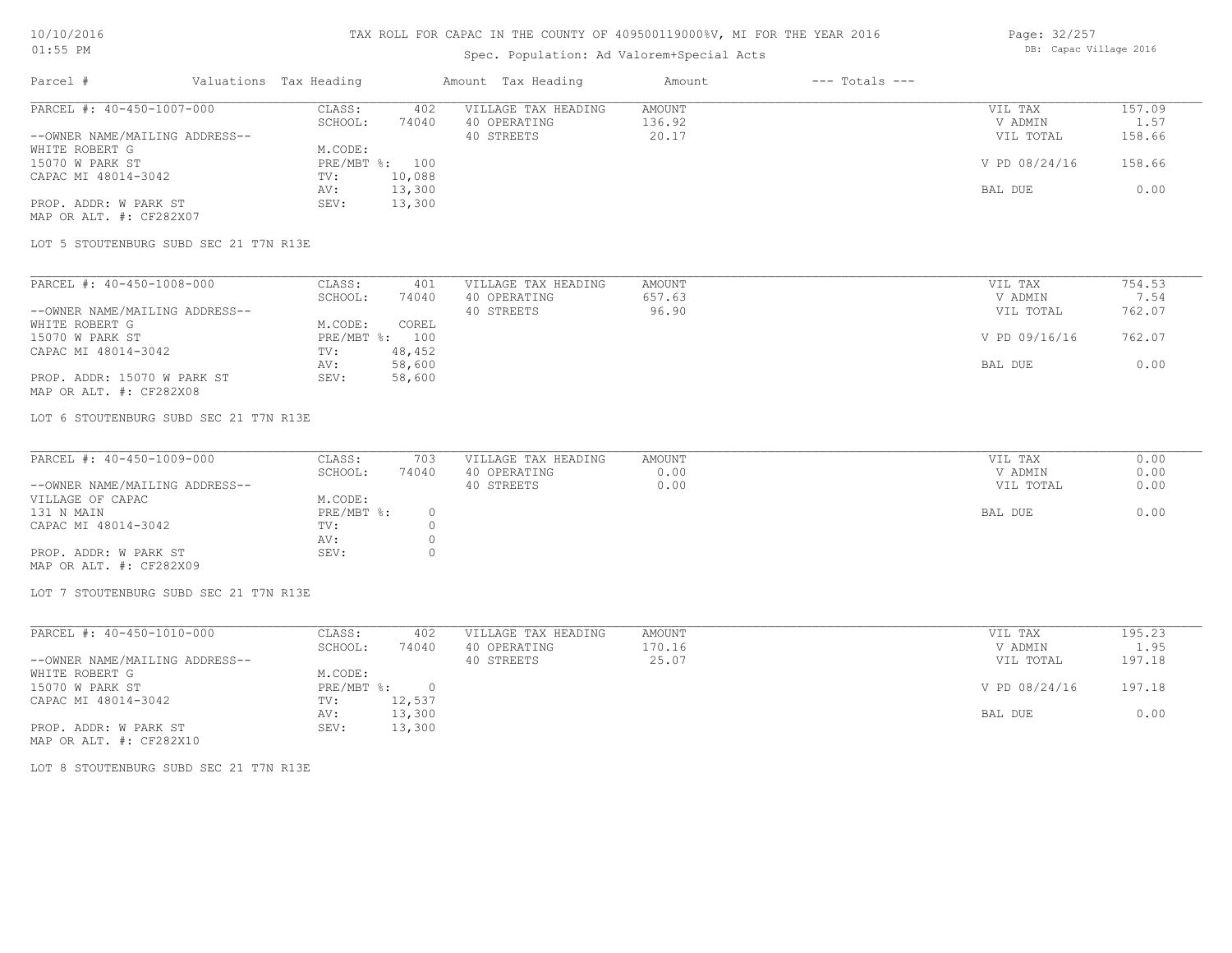## Spec. Population: Ad Valorem+Special Acts

Page: 32/257 DB: Capac Village 2016

| Parcel #                       | Valuations Tax Heading |        | Amount Tax Heading  | Amount | $---$ Totals $---$ |               |            |
|--------------------------------|------------------------|--------|---------------------|--------|--------------------|---------------|------------|
| PARCEL #: 40-450-1007-000      | CLASS:                 | 402    | VILLAGE TAX HEADING | AMOUNT |                    | VIL TAX       | 157.09     |
|                                | SCHOOL:                | 74040  | 40 OPERATING        | 136.92 |                    | V ADMIN       | $\pm 0.57$ |
| --OWNER NAME/MAILING ADDRESS-- |                        |        | 40 STREETS          | 20.17  |                    | VIL TOTAL     | 158.66     |
| WHITE ROBERT G                 | M.CODE:                |        |                     |        |                    |               |            |
| 15070 W PARK ST                | PRE/MBT %: 100         |        |                     |        |                    | V PD 08/24/16 | 158.66     |
| CAPAC MI 48014-3042            | TV:                    | 10,088 |                     |        |                    |               |            |
|                                | AV:                    | 13,300 |                     |        |                    | BAL DUE       | 0.00       |
| PROP. ADDR: W PARK ST          | SEV:                   | 13,300 |                     |        |                    |               |            |
| MAP OR ALT. #: CF282X07        |                        |        |                     |        |                    |               |            |

LOT 5 STOUTENBURG SUBD SEC 21 T7N R13E

| PARCEL #: 40-450-1008-000      | CLASS:     | 401    | VILLAGE TAX HEADING | AMOUNT | VIL TAX       | 754.53 |
|--------------------------------|------------|--------|---------------------|--------|---------------|--------|
|                                | SCHOOL:    | 74040  | 40 OPERATING        | 657.63 | V ADMIN       | 7.54   |
| --OWNER NAME/MAILING ADDRESS-- |            |        | 40 STREETS          | 96.90  | VIL TOTAL     | 762.07 |
| WHITE ROBERT G                 | M.CODE:    | COREL  |                     |        |               |        |
| 15070 W PARK ST                | PRE/MBT %: | 100    |                     |        | V PD 09/16/16 | 762.07 |
| CAPAC MI 48014-3042            | TV:        | 48,452 |                     |        |               |        |
|                                | AV:        | 58,600 |                     |        | BAL DUE       | 0.00   |
| PROP. ADDR: 15070 W PARK ST    | SEV:       | 58,600 |                     |        |               |        |
| MAP OR ALT. #: CF282X08        |            |        |                     |        |               |        |

LOT 6 STOUTENBURG SUBD SEC 21 T7N R13E

| PARCEL #: 40-450-1009-000      | CLASS:     | 703   | VILLAGE TAX HEADING | AMOUNT | VIL TAX   | 0.00 |
|--------------------------------|------------|-------|---------------------|--------|-----------|------|
|                                | SCHOOL:    | 74040 | 40 OPERATING        | 0.00   | V ADMIN   | 0.00 |
| --OWNER NAME/MAILING ADDRESS-- |            |       | 40 STREETS          | 0.00   | VIL TOTAL | 0.00 |
| VILLAGE OF CAPAC               | M.CODE:    |       |                     |        |           |      |
| 131 N MAIN                     | PRE/MBT %: |       |                     |        | BAL DUE   | 0.00 |
| CAPAC MI 48014-3042            | TV:        |       |                     |        |           |      |
|                                | AV:        |       |                     |        |           |      |
| PROP. ADDR: W PARK ST          | SEV:       |       |                     |        |           |      |
| MAP OR ALT. #: CF282X09        |            |       |                     |        |           |      |

LOT 7 STOUTENBURG SUBD SEC 21 T7N R13E

| PARCEL #: 40-450-1010-000      | CLASS:     | 402      | VILLAGE TAX HEADING | AMOUNT | VIL TAX       | 195.23 |
|--------------------------------|------------|----------|---------------------|--------|---------------|--------|
|                                | SCHOOL:    | 74040    | 40 OPERATING        | 170.16 | V ADMIN       | 1.95   |
| --OWNER NAME/MAILING ADDRESS-- |            |          | 40 STREETS          | 25.07  | VIL TOTAL     | 197.18 |
| WHITE ROBERT G                 | M.CODE:    |          |                     |        |               |        |
| 15070 W PARK ST                | PRE/MBT %: | $\Omega$ |                     |        | V PD 08/24/16 | 197.18 |
| CAPAC MI 48014-3042            | TV:        | 12,537   |                     |        |               |        |
|                                | AV:        | 13,300   |                     |        | BAL DUE       | 0.00   |
| PROP. ADDR: W PARK ST          | SEV:       | 13,300   |                     |        |               |        |

MAP OR ALT. #: CF282X10

LOT 8 STOUTENBURG SUBD SEC 21 T7N R13E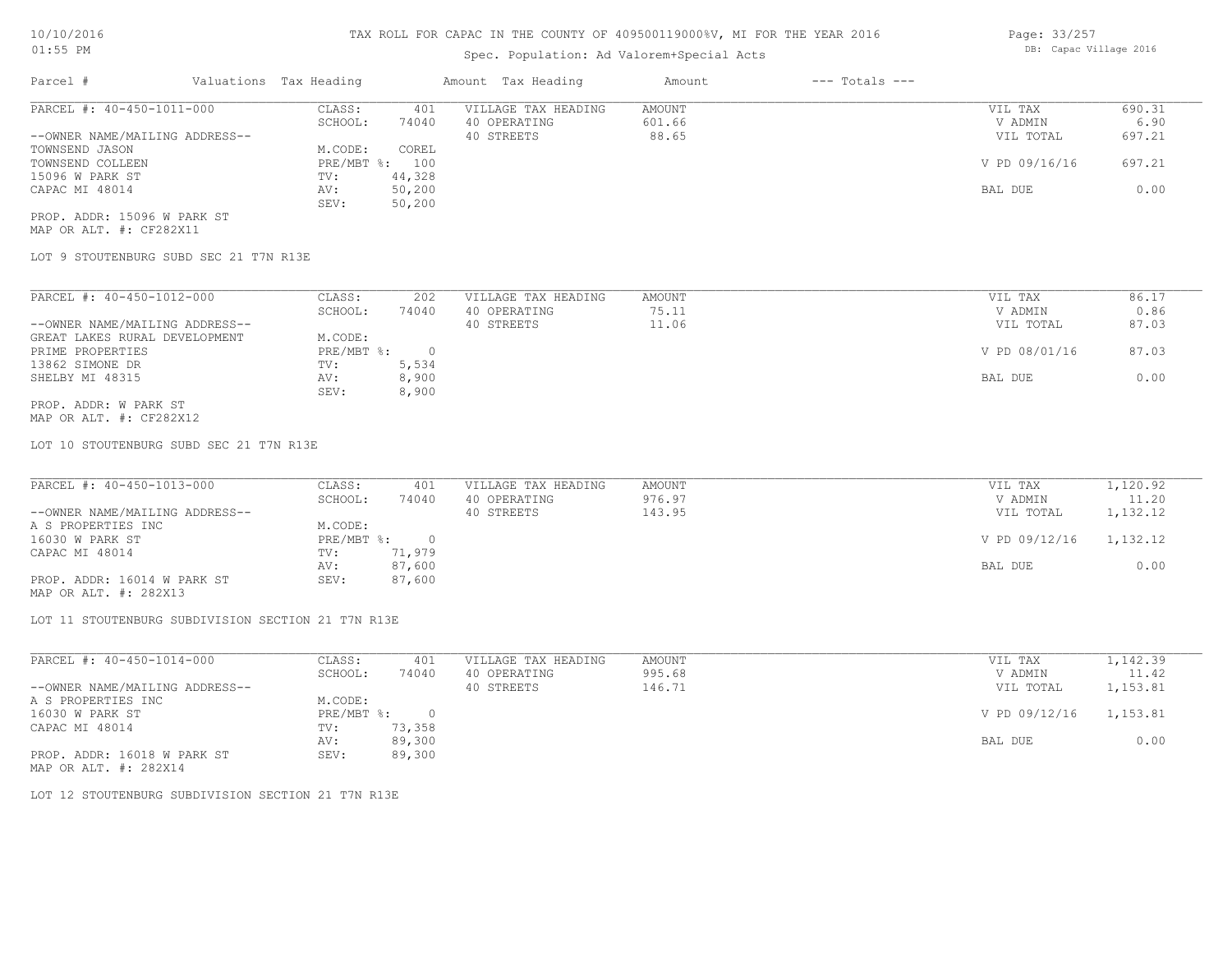## Spec. Population: Ad Valorem+Special Acts

| Parcel #                       | Valuations Tax Heading |        | Amount Tax Heading  | Amount | $---$ Totals $---$ |               |        |
|--------------------------------|------------------------|--------|---------------------|--------|--------------------|---------------|--------|
| PARCEL #: 40-450-1011-000      | CLASS:                 | 401    | VILLAGE TAX HEADING | AMOUNT |                    | VIL TAX       | 690.31 |
|                                | SCHOOL:                | 74040  | 40 OPERATING        | 601.66 |                    | V ADMIN       | 6.90   |
| --OWNER NAME/MAILING ADDRESS-- |                        |        | 40 STREETS          | 88.65  |                    | VIL TOTAL     | 697.21 |
| TOWNSEND JASON                 | M.CODE:                | COREL  |                     |        |                    |               |        |
| TOWNSEND COLLEEN               | PRE/MBT %: 100         |        |                     |        |                    | V PD 09/16/16 | 697.21 |
| 15096 W PARK ST                | TV:                    | 44,328 |                     |        |                    |               |        |
| CAPAC MI 48014                 | AV:                    | 50,200 |                     |        |                    | BAL DUE       | 0.00   |
|                                | SEV:                   | 50,200 |                     |        |                    |               |        |
|                                |                        |        |                     |        |                    |               |        |

MAP OR ALT. #: CF282X11 PROP. ADDR: 15096 W PARK ST

LOT 9 STOUTENBURG SUBD SEC 21 T7N R13E

| PARCEL #: 40-450-1012-000      | CLASS:     | 202      | VILLAGE TAX HEADING | AMOUNT | 86.17<br>VIL TAX       |
|--------------------------------|------------|----------|---------------------|--------|------------------------|
|                                | SCHOOL:    | 74040    | 40 OPERATING        | 75.11  | 0.86<br>V ADMIN        |
| --OWNER NAME/MAILING ADDRESS-- |            |          | 40 STREETS          | 11.06  | 87.03<br>VIL TOTAL     |
| GREAT LAKES RURAL DEVELOPMENT  | M.CODE:    |          |                     |        |                        |
| PRIME PROPERTIES               | PRE/MBT %: | $\Omega$ |                     |        | V PD 08/01/16<br>87.03 |
| 13862 SIMONE DR                | TV:        | 5,534    |                     |        |                        |
| SHELBY MI 48315                | AV:        | 8,900    |                     |        | 0.00<br>BAL DUE        |
|                                | SEV:       | 8,900    |                     |        |                        |
| PROP. ADDR: W PARK ST          |            |          |                     |        |                        |

MAP OR ALT. #: CF282X12

LOT 10 STOUTENBURG SUBD SEC 21 T7N R13E

| PARCEL #: 40-450-1013-000      | CLASS:     | 401    | VILLAGE TAX HEADING | AMOUNT | VIL TAX       | 1,120.92 |
|--------------------------------|------------|--------|---------------------|--------|---------------|----------|
|                                | SCHOOL:    | 74040  | 40 OPERATING        | 976.97 | V ADMIN       | 11.20    |
| --OWNER NAME/MAILING ADDRESS-- |            |        | 40 STREETS          | 143.95 | VIL TOTAL     | 1,132.12 |
| A S PROPERTIES INC             | M.CODE:    |        |                     |        |               |          |
| 16030 W PARK ST                | PRE/MBT %: |        |                     |        | V PD 09/12/16 | 1,132.12 |
| CAPAC MI 48014                 | TV:        | 71,979 |                     |        |               |          |
|                                | AV:        | 87,600 |                     |        | BAL DUE       | 0.00     |
| PROP. ADDR: 16014 W PARK ST    | SEV:       | 87,600 |                     |        |               |          |

MAP OR ALT. #: 282X13

LOT 11 STOUTENBURG SUBDIVISION SECTION 21 T7N R13E

| PARCEL #: 40-450-1014-000      | CLASS:     | 401    | VILLAGE TAX HEADING | AMOUNT | VIL TAX       | 1,142.39 |
|--------------------------------|------------|--------|---------------------|--------|---------------|----------|
|                                | SCHOOL:    | 74040  | 40 OPERATING        | 995.68 | V ADMIN       | 11.42    |
| --OWNER NAME/MAILING ADDRESS-- |            |        | 40 STREETS          | 146.71 | VIL TOTAL     | 1,153.81 |
| A S PROPERTIES INC             | M.CODE:    |        |                     |        |               |          |
| 16030 W PARK ST                | PRE/MBT %: |        |                     |        | V PD 09/12/16 | 1,153.81 |
| CAPAC MI 48014                 | TV:        | 73,358 |                     |        |               |          |
|                                | AV:        | 89,300 |                     |        | BAL DUE       | 0.00     |
| PROP. ADDR: 16018 W PARK ST    | SEV:       | 89,300 |                     |        |               |          |
|                                |            |        |                     |        |               |          |

MAP OR ALT. #: 282X14

LOT 12 STOUTENBURG SUBDIVISION SECTION 21 T7N R13E

Page: 33/257 DB: Capac Village 2016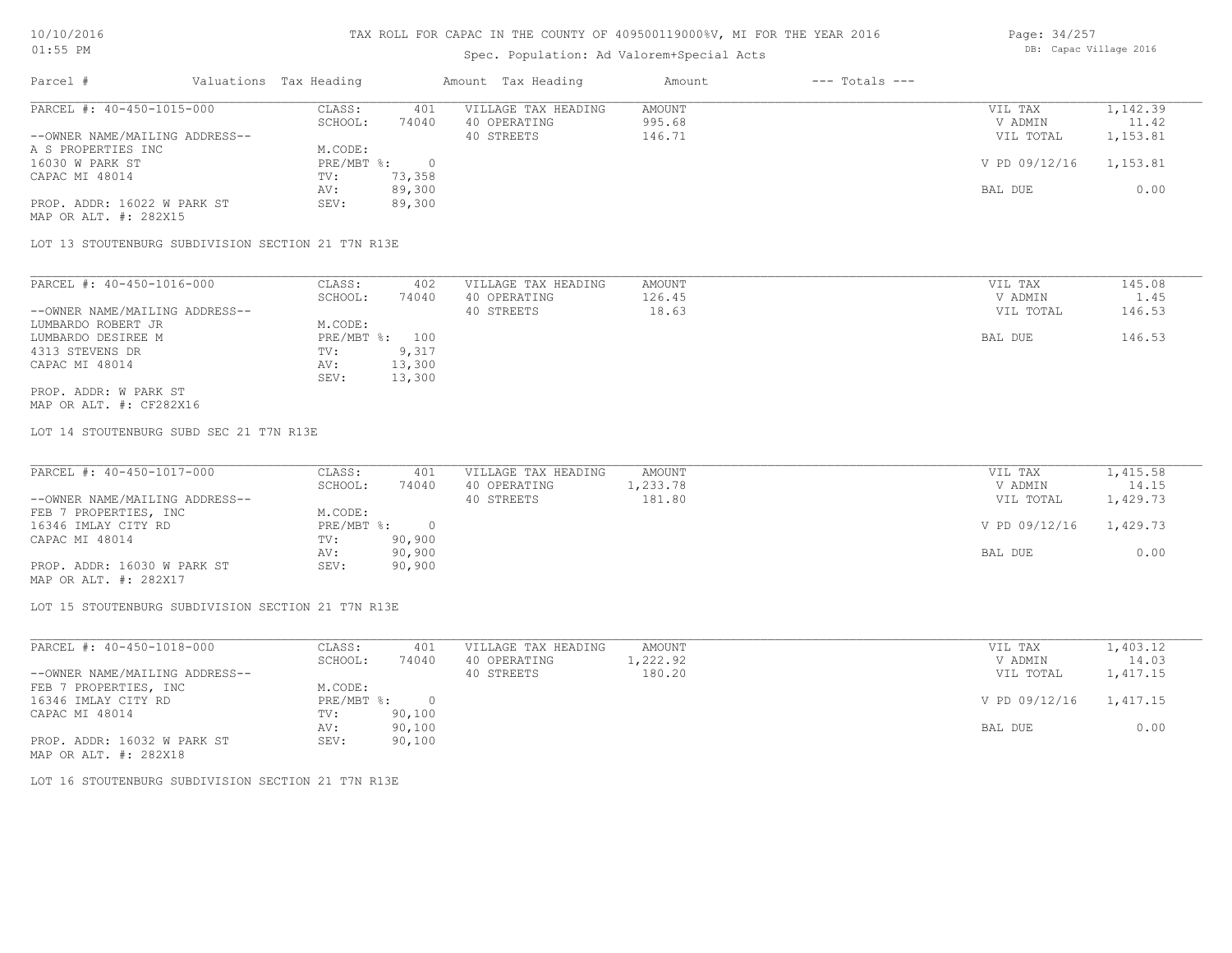## Spec. Population: Ad Valorem+Special Acts

| Page: 34/257 |                        |  |
|--------------|------------------------|--|
|              | DB: Capac Village 2016 |  |

| Parcel #                       | Valuations Tax Heading |        | Amount Tax Heading  | Amount | $---$ Totals $---$ |               |          |
|--------------------------------|------------------------|--------|---------------------|--------|--------------------|---------------|----------|
| PARCEL #: 40-450-1015-000      | CLASS:                 | 401    | VILLAGE TAX HEADING | AMOUNT |                    | VIL TAX       | 1,142.39 |
|                                | SCHOOL:                | 74040  | 40 OPERATING        | 995.68 |                    | V ADMIN       | 11.42    |
| --OWNER NAME/MAILING ADDRESS-- |                        |        | 40 STREETS          | 146.71 |                    | VIL TOTAL     | 1,153.81 |
| A S PROPERTIES INC             | M.CODE:                |        |                     |        |                    |               |          |
| 16030 W PARK ST                | PRE/MBT %:             |        |                     |        |                    | V PD 09/12/16 | 1,153.81 |
| CAPAC MI 48014                 | TV:                    | 73,358 |                     |        |                    |               |          |
|                                | AV:                    | 89,300 |                     |        |                    | BAL DUE       | 0.00     |
| PROP. ADDR: 16022 W PARK ST    | SEV:                   | 89,300 |                     |        |                    |               |          |
| MAP OR ALT. #: 282X15          |                        |        |                     |        |                    |               |          |

LOT 13 STOUTENBURG SUBDIVISION SECTION 21 T7N R13E

| PARCEL #: 40-450-1016-000      | CLASS:     | 402    | VILLAGE TAX HEADING | AMOUNT | VIL TAX   | 145.08      |
|--------------------------------|------------|--------|---------------------|--------|-----------|-------------|
|                                | SCHOOL:    | 74040  | 40 OPERATING        | 126.45 | V ADMIN   | $\perp$ .45 |
| --OWNER NAME/MAILING ADDRESS-- |            |        | 40 STREETS          | 18.63  | VIL TOTAL | 146.53      |
| LUMBARDO ROBERT JR             | M.CODE:    |        |                     |        |           |             |
| LUMBARDO DESIREE M             | PRE/MBT %: | 100    |                     |        | BAL DUE   | 146.53      |
| 4313 STEVENS DR                | TV:        | 9,317  |                     |        |           |             |
| CAPAC MI 48014                 | AV:        | 13,300 |                     |        |           |             |
|                                | SEV:       | 13,300 |                     |        |           |             |
| PROP. ADDR: W PARK ST          |            |        |                     |        |           |             |

MAP OR ALT. #: CF282X16

LOT 14 STOUTENBURG SUBD SEC 21 T7N R13E

| PARCEL #: 40-450-1017-000      | CLASS:       | 401    | VILLAGE TAX HEADING | AMOUNT   | VIL TAX       | 1,415.58 |
|--------------------------------|--------------|--------|---------------------|----------|---------------|----------|
|                                | SCHOOL:      | 74040  | 40 OPERATING        | 1,233.78 | V ADMIN       | 14.15    |
| --OWNER NAME/MAILING ADDRESS-- |              |        | 40 STREETS          | 181.80   | VIL TOTAL     | 1,429.73 |
| FEB 7 PROPERTIES, INC          | M.CODE:      |        |                     |          |               |          |
| 16346 IMLAY CITY RD            | $PRE/MBT$ %: |        |                     |          | V PD 09/12/16 | 1,429.73 |
| CAPAC MI 48014                 | TV:          | 90,900 |                     |          |               |          |
|                                | AV:          | 90,900 |                     |          | BAL DUE       | 0.00     |
| PROP. ADDR: 16030 W PARK ST    | SEV:         | 90,900 |                     |          |               |          |
| MAP OR ALT. #: 282X17          |              |        |                     |          |               |          |

LOT 15 STOUTENBURG SUBDIVISION SECTION 21 T7N R13E

| PARCEL #: 40-450-1018-000      | CLASS:       | 401    | VILLAGE TAX HEADING | AMOUNT   | VIL TAX       | 1,403.12 |
|--------------------------------|--------------|--------|---------------------|----------|---------------|----------|
|                                | SCHOOL:      | 74040  | 40 OPERATING        | 1,222.92 | V ADMIN       | 14.03    |
| --OWNER NAME/MAILING ADDRESS-- |              |        | 40 STREETS          | 180.20   | VIL TOTAL     | 1,417.15 |
| FEB 7 PROPERTIES, INC          | M.CODE:      |        |                     |          |               |          |
| 16346 IMLAY CITY RD            | $PRE/MBT$ %: |        |                     |          | V PD 09/12/16 | 1,417.15 |
| CAPAC MI 48014                 | TV:          | 90,100 |                     |          |               |          |
|                                | AV:          | 90,100 |                     |          | BAL DUE       | 0.00     |
| PROP. ADDR: 16032 W PARK ST    | SEV:         | 90,100 |                     |          |               |          |
| MAP OR ALT. #: 282X18          |              |        |                     |          |               |          |

LOT 16 STOUTENBURG SUBDIVISION SECTION 21 T7N R13E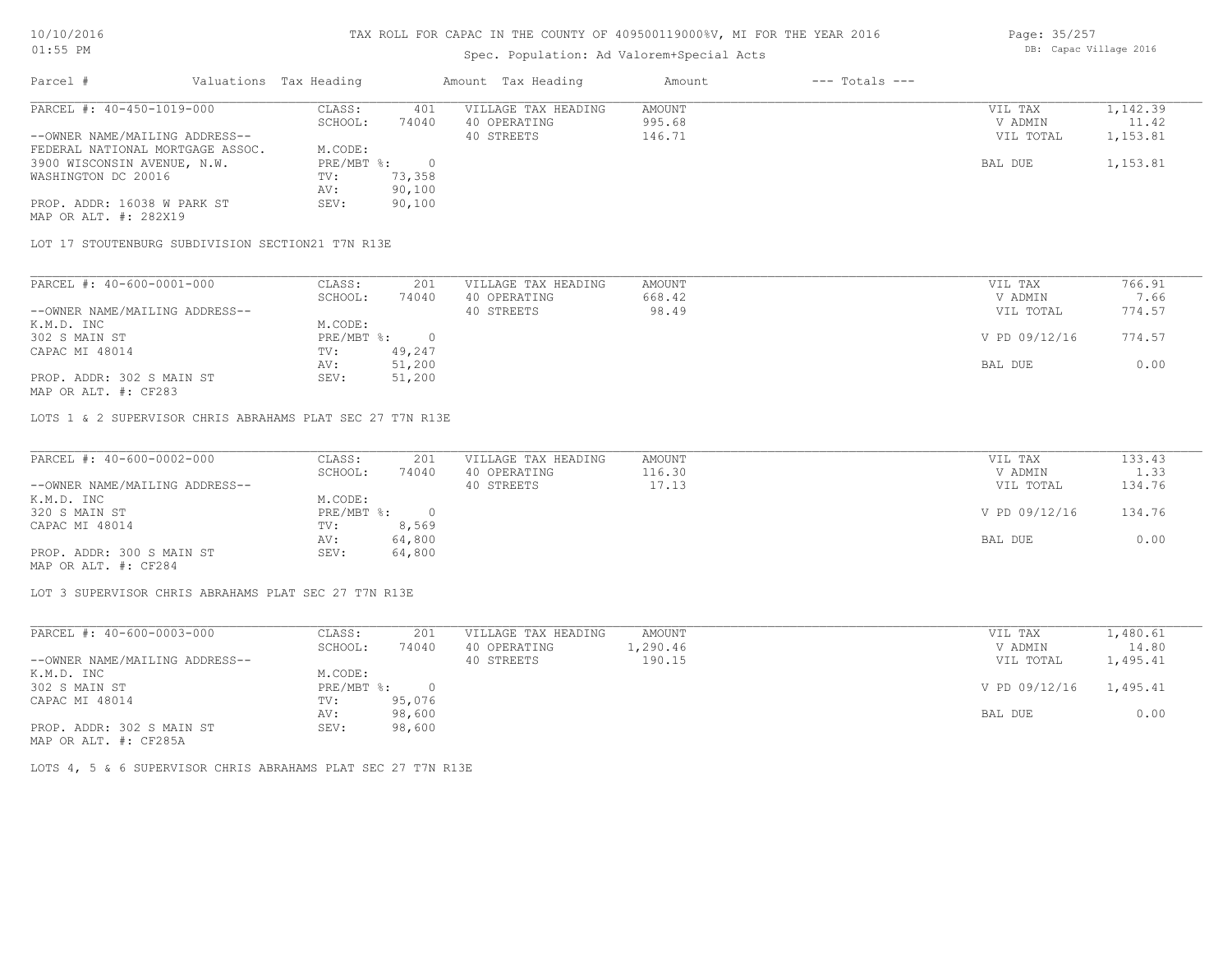# Spec. Population: Ad Valorem+Special Acts

| Page: 35/257 |                        |  |
|--------------|------------------------|--|
|              | DB: Capac Village 2016 |  |

| Parcel #                         | Valuations Tax Heading |        | Amount Tax Heading  | Amount | $---$ Totals $---$ |           |          |
|----------------------------------|------------------------|--------|---------------------|--------|--------------------|-----------|----------|
| PARCEL #: 40-450-1019-000        | CLASS:                 | 401    | VILLAGE TAX HEADING | AMOUNT |                    | VIL TAX   | 1,142.39 |
|                                  | SCHOOL:                | 74040  | 40 OPERATING        | 995.68 |                    | V ADMIN   | 11.42    |
| --OWNER NAME/MAILING ADDRESS--   |                        |        | 40 STREETS          | 146.71 |                    | VIL TOTAL | 1,153.81 |
| FEDERAL NATIONAL MORTGAGE ASSOC. | M.CODE:                |        |                     |        |                    |           |          |
| 3900 WISCONSIN AVENUE, N.W.      | $PRE/MBT$ %:           |        |                     |        |                    | BAL DUE   | 1,153.81 |
| WASHINGTON DC 20016              | TV:                    | 73,358 |                     |        |                    |           |          |
|                                  | AV:                    | 90,100 |                     |        |                    |           |          |
| PROP. ADDR: 16038 W PARK ST      | SEV:                   | 90,100 |                     |        |                    |           |          |
| MAP OR ALT. #: 282X19            |                        |        |                     |        |                    |           |          |

LOT 17 STOUTENBURG SUBDIVISION SECTION21 T7N R13E

| PARCEL #: 40-600-0001-000      | CLASS:     | 201    | VILLAGE TAX HEADING | AMOUNT | VIL TAX       | 766.91 |
|--------------------------------|------------|--------|---------------------|--------|---------------|--------|
|                                | SCHOOL:    | 74040  | 40 OPERATING        | 668.42 | V ADMIN       | 7.66   |
| --OWNER NAME/MAILING ADDRESS-- |            |        | 40 STREETS          | 98.49  | VIL TOTAL     | 774.57 |
| K.M.D. INC                     | M.CODE:    |        |                     |        |               |        |
| 302 S MAIN ST                  | PRE/MBT %: |        |                     |        | V PD 09/12/16 | 774.57 |
| CAPAC MI 48014                 | TV:        | 49,247 |                     |        |               |        |
|                                | AV:        | 51,200 |                     |        | BAL DUE       | 0.00   |
| PROP. ADDR: 302 S MAIN ST      | SEV:       | 51,200 |                     |        |               |        |
|                                |            |        |                     |        |               |        |

MAP OR ALT. #: CF283

LOTS 1 & 2 SUPERVISOR CHRIS ABRAHAMS PLAT SEC 27 T7N R13E

| PARCEL #: 40-600-0002-000      | CLASS:     | 201    | VILLAGE TAX HEADING | AMOUNT | VIL TAX       | 133.43 |
|--------------------------------|------------|--------|---------------------|--------|---------------|--------|
|                                | SCHOOL:    | 74040  | 40 OPERATING        | 116.30 | V ADMIN       | 1.33   |
| --OWNER NAME/MAILING ADDRESS-- |            |        | 40 STREETS          | 17.13  | VIL TOTAL     | 134.76 |
| K.M.D. INC                     | M.CODE:    |        |                     |        |               |        |
| 320 S MAIN ST                  | PRE/MBT %: |        |                     |        | V PD 09/12/16 | 134.76 |
| CAPAC MI 48014                 | TV:        | 8,569  |                     |        |               |        |
|                                | AV:        | 64,800 |                     |        | BAL DUE       | 0.00   |
| PROP. ADDR: 300 S MAIN ST      | SEV:       | 64,800 |                     |        |               |        |
| MAP OR ALT. #: CF284           |            |        |                     |        |               |        |

 $\_$  , and the state of the state of the state of the state of the state of the state of the state of the state of the state of the state of the state of the state of the state of the state of the state of the state of the

LOT 3 SUPERVISOR CHRIS ABRAHAMS PLAT SEC 27 T7N R13E

| PARCEL #: 40-600-0003-000      | CLASS:     | 201    | VILLAGE TAX HEADING | AMOUNT   | VIL TAX       | 1,480.61 |
|--------------------------------|------------|--------|---------------------|----------|---------------|----------|
|                                | SCHOOL:    | 74040  | 40 OPERATING        | 1,290.46 | V ADMIN       | 14.80    |
| --OWNER NAME/MAILING ADDRESS-- |            |        | 40 STREETS          | 190.15   | VIL TOTAL     | 1,495.41 |
| K.M.D. INC                     | M.CODE:    |        |                     |          |               |          |
| 302 S MAIN ST                  | PRE/MBT %: |        |                     |          | V PD 09/12/16 | 1,495.41 |
| CAPAC MI 48014                 | TV:        | 95,076 |                     |          |               |          |
|                                | AV:        | 98,600 |                     |          | BAL DUE       | 0.00     |
| PROP. ADDR: 302 S MAIN ST      | SEV:       | 98,600 |                     |          |               |          |
| MAP OR ALT. #: CF285A          |            |        |                     |          |               |          |

LOTS 4, 5 & 6 SUPERVISOR CHRIS ABRAHAMS PLAT SEC 27 T7N R13E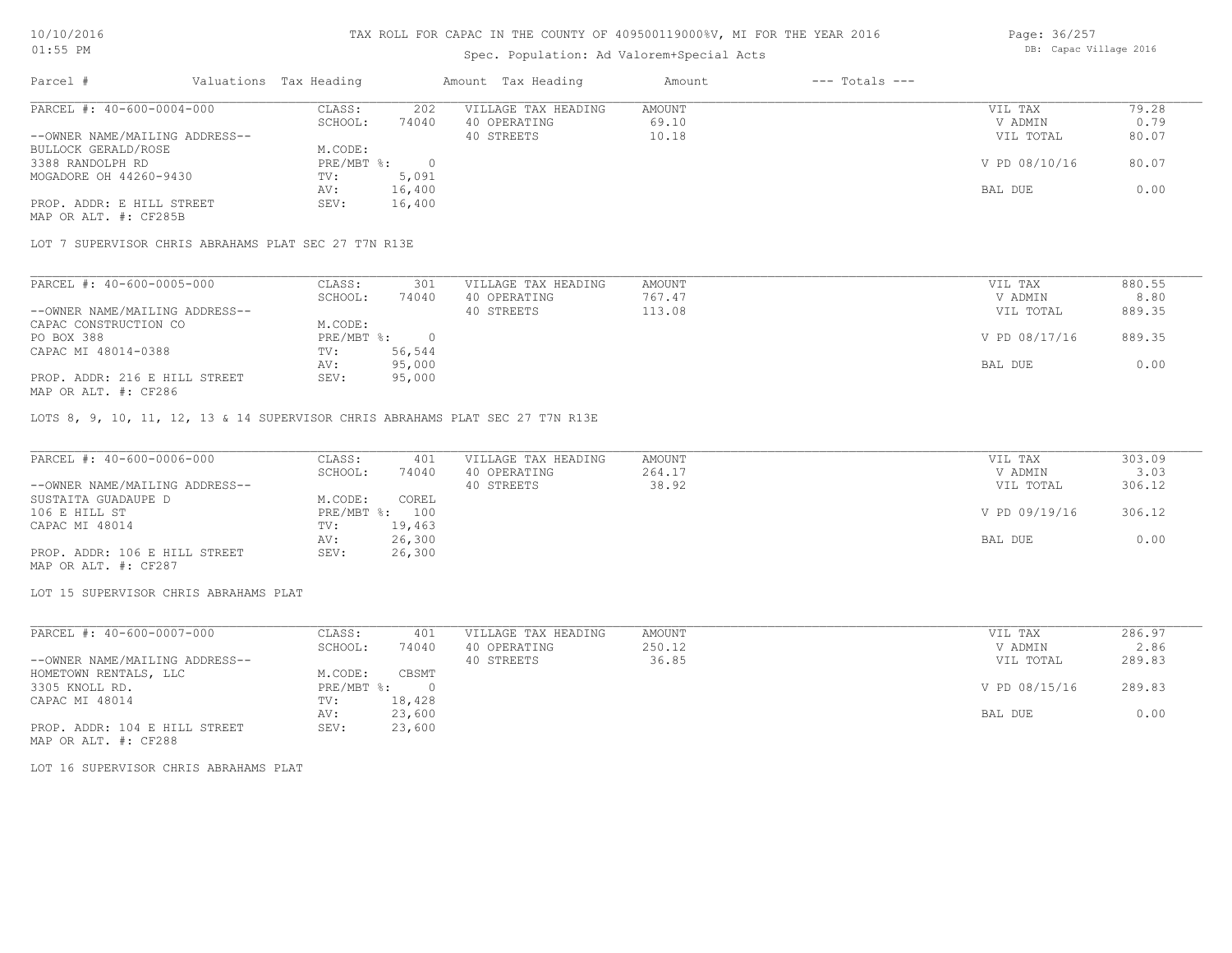#### Spec. Population: Ad Valorem+Special Acts

| Page: 36/257 |  |                        |  |
|--------------|--|------------------------|--|
|              |  | DB: Capac Village 2016 |  |

| Parcel #                       | Valuations Tax Heading |        | Amount Tax Heading  | Amount | $---$ Totals $---$ |               |       |
|--------------------------------|------------------------|--------|---------------------|--------|--------------------|---------------|-------|
| PARCEL #: 40-600-0004-000      | CLASS:                 | 202    | VILLAGE TAX HEADING | AMOUNT |                    | VIL TAX       | 79.28 |
|                                | SCHOOL:                | 74040  | 40 OPERATING        | 69.10  |                    | V ADMIN       | 0.79  |
| --OWNER NAME/MAILING ADDRESS-- |                        |        | 40 STREETS          | 10.18  |                    | VIL TOTAL     | 80.07 |
| BULLOCK GERALD/ROSE            | M.CODE:                |        |                     |        |                    |               |       |
| 3388 RANDOLPH RD               | $PRE/MBT$ %:           |        |                     |        |                    | V PD 08/10/16 | 80.07 |
| MOGADORE OH 44260-9430         | TV:                    | 5,091  |                     |        |                    |               |       |
|                                | AV:                    | 16,400 |                     |        |                    | BAL DUE       | 0.00  |
| PROP. ADDR: E HILL STREET      | SEV:                   | 16,400 |                     |        |                    |               |       |
| MAP OR ALT. #: CF285B          |                        |        |                     |        |                    |               |       |

LOT 7 SUPERVISOR CHRIS ABRAHAMS PLAT SEC 27 T7N R13E

| PARCEL #: 40-600-0005-000      | CLASS:     | 301    | VILLAGE TAX HEADING | AMOUNT | VIL TAX       | 880.55 |
|--------------------------------|------------|--------|---------------------|--------|---------------|--------|
|                                | SCHOOL:    | 74040  | 40 OPERATING        | 767.47 | V ADMIN       | 8.80   |
| --OWNER NAME/MAILING ADDRESS-- |            |        | 40 STREETS          | 113.08 | VIL TOTAL     | 889.35 |
| CAPAC CONSTRUCTION CO          | M.CODE:    |        |                     |        |               |        |
| PO BOX 388                     | PRE/MBT %: |        |                     |        | V PD 08/17/16 | 889.35 |
| CAPAC MI 48014-0388            | TV:        | 56,544 |                     |        |               |        |
|                                | AV:        | 95,000 |                     |        | BAL DUE       | 0.00   |
| PROP. ADDR: 216 E HILL STREET  | SEV:       | 95,000 |                     |        |               |        |
| MAP OR ALT. #: CF286           |            |        |                     |        |               |        |

LOTS 8, 9, 10, 11, 12, 13 & 14 SUPERVISOR CHRIS ABRAHAMS PLAT SEC 27 T7N R13E

| PARCEL #: 40-600-0006-000      | CLASS:  | 401            | VILLAGE TAX HEADING | AMOUNT | VIL TAX       | 303.09 |
|--------------------------------|---------|----------------|---------------------|--------|---------------|--------|
|                                | SCHOOL: | 74040          | 40 OPERATING        | 264.17 | V ADMIN       | 3.03   |
| --OWNER NAME/MAILING ADDRESS-- |         |                | 40 STREETS          | 38.92  | VIL TOTAL     | 306.12 |
| SUSTAITA GUADAUPE D            | M.CODE: | COREL          |                     |        |               |        |
| 106 E HILL ST                  |         | PRE/MBT %: 100 |                     |        | V PD 09/19/16 | 306.12 |
| CAPAC MI 48014                 | TV:     | 19,463         |                     |        |               |        |
|                                | AV:     | 26,300         |                     |        | BAL DUE       | 0.00   |
| PROP. ADDR: 106 E HILL STREET  | SEV:    | 26,300         |                     |        |               |        |
| MAP OR ALT. #: CF287           |         |                |                     |        |               |        |

LOT 15 SUPERVISOR CHRIS ABRAHAMS PLAT

| PARCEL #: 40-600-0007-000      | CLASS:     | 401    | VILLAGE TAX HEADING | AMOUNT | VIL TAX       | 286.97 |
|--------------------------------|------------|--------|---------------------|--------|---------------|--------|
|                                | SCHOOL:    | 74040  | 40 OPERATING        | 250.12 | V ADMIN       | 2.86   |
| --OWNER NAME/MAILING ADDRESS-- |            |        | 40 STREETS          | 36.85  | VIL TOTAL     | 289.83 |
| HOMETOWN RENTALS, LLC          | M.CODE:    | CBSMT  |                     |        |               |        |
| 3305 KNOLL RD.                 | PRE/MBT %: |        |                     |        | V PD 08/15/16 | 289.83 |
| CAPAC MI 48014                 | TV:        | 18,428 |                     |        |               |        |
|                                | AV:        | 23,600 |                     |        | BAL DUE       | 0.00   |
| PROP. ADDR: 104 E HILL STREET  | SEV:       | 23,600 |                     |        |               |        |

MAP OR ALT. #: CF288

LOT 16 SUPERVISOR CHRIS ABRAHAMS PLAT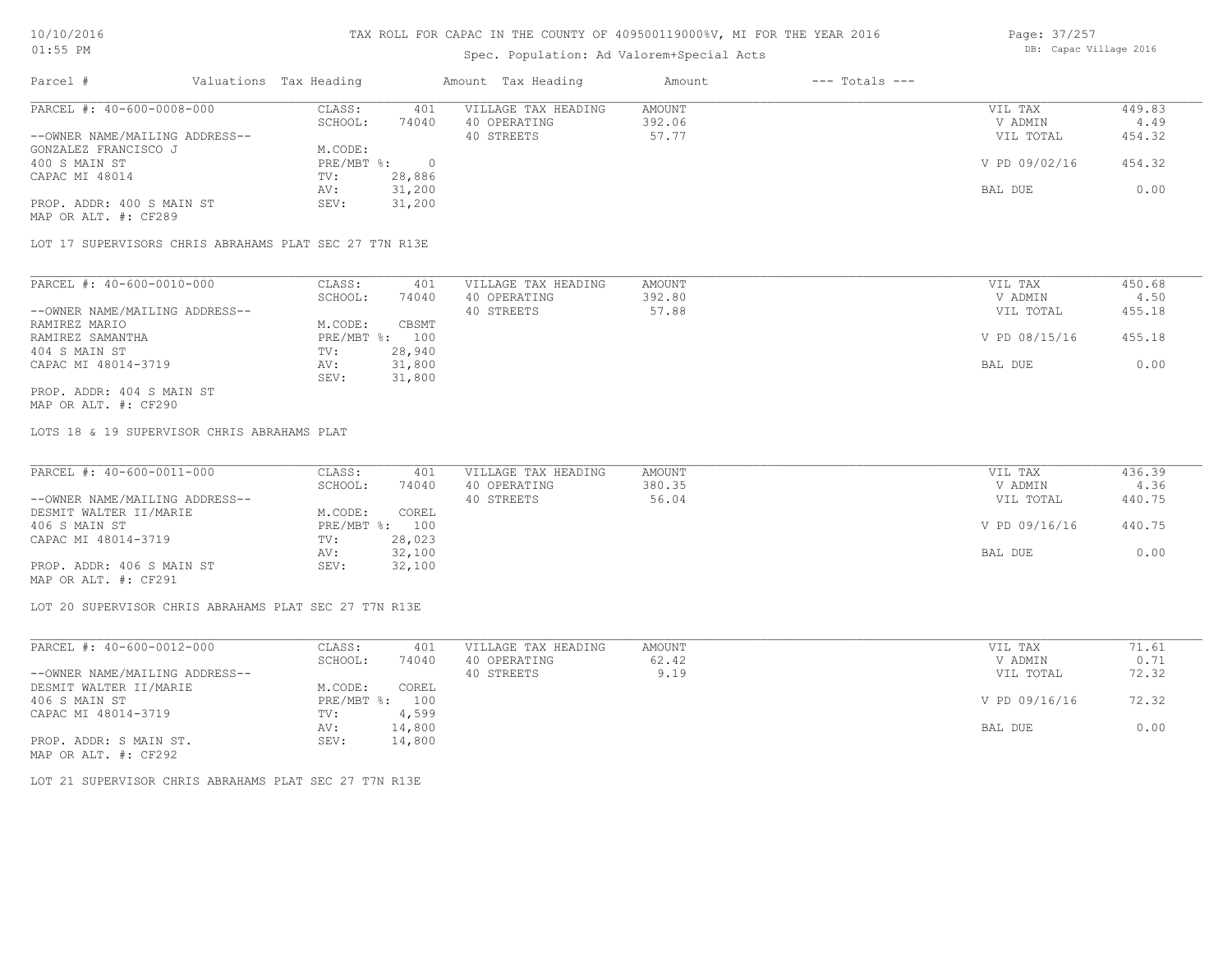## Spec. Population: Ad Valorem+Special Acts

| Page: 37/257 |                        |  |
|--------------|------------------------|--|
|              | DB: Capac Village 2016 |  |

| Parcel #                       | Valuations Tax Heading |        | Amount Tax Heading  | Amount | $---$ Totals $---$ |               |        |
|--------------------------------|------------------------|--------|---------------------|--------|--------------------|---------------|--------|
| PARCEL #: 40-600-0008-000      | CLASS:                 | 401    | VILLAGE TAX HEADING | AMOUNT |                    | VIL TAX       | 449.83 |
|                                | SCHOOL:                | 74040  | 40 OPERATING        | 392.06 |                    | V ADMIN       | 4.49   |
| --OWNER NAME/MAILING ADDRESS-- |                        |        | 40 STREETS          | 57.77  |                    | VIL TOTAL     | 454.32 |
| GONZALEZ FRANCISCO J           | M.CODE:                |        |                     |        |                    |               |        |
| 400 S MAIN ST                  | PRE/MBT %:             |        |                     |        |                    | V PD 09/02/16 | 454.32 |
| CAPAC MI 48014                 | TV:                    | 28,886 |                     |        |                    |               |        |
|                                | AV:                    | 31,200 |                     |        |                    | BAL DUE       | 0.00   |
| PROP. ADDR: 400 S MAIN ST      | SEV:                   | 31,200 |                     |        |                    |               |        |
| MAP OR ALT. #: CF289           |                        |        |                     |        |                    |               |        |

LOT 17 SUPERVISORS CHRIS ABRAHAMS PLAT SEC 27 T7N R13E

| PARCEL #: 40-600-0010-000      | CLASS:     | 401    | VILLAGE TAX HEADING | AMOUNT | VIL TAX       | 450.68 |
|--------------------------------|------------|--------|---------------------|--------|---------------|--------|
|                                | SCHOOL:    | 74040  | 40 OPERATING        | 392.80 | V ADMIN       | 4.50   |
| --OWNER NAME/MAILING ADDRESS-- |            |        | 40 STREETS          | 57.88  | VIL TOTAL     | 455.18 |
| RAMIREZ MARIO                  | M.CODE:    | CBSMT  |                     |        |               |        |
| RAMIREZ SAMANTHA               | PRE/MBT %: | 100    |                     |        | V PD 08/15/16 | 455.18 |
| 404 S MAIN ST                  | TV:        | 28,940 |                     |        |               |        |
| CAPAC MI 48014-3719            | AV:        | 31,800 |                     |        | BAL DUE       | 0.00   |
|                                | SEV:       | 31,800 |                     |        |               |        |
| PROP. ADDR: 404 S MAIN ST      |            |        |                     |        |               |        |

MAP OR ALT. #: CF290

LOTS 18 & 19 SUPERVISOR CHRIS ABRAHAMS PLAT

| PARCEL #: 40-600-0011-000      | CLASS:  | 401            | VILLAGE TAX HEADING | AMOUNT | VIL TAX       | 436.39 |
|--------------------------------|---------|----------------|---------------------|--------|---------------|--------|
|                                | SCHOOL: | 74040          | 40 OPERATING        | 380.35 | V ADMIN       | 4.36   |
| --OWNER NAME/MAILING ADDRESS-- |         |                | 40 STREETS          | 56.04  | VIL TOTAL     | 440.75 |
| DESMIT WALTER II/MARIE         | M.CODE: | COREL          |                     |        |               |        |
| 406 S MAIN ST                  |         | PRE/MBT %: 100 |                     |        | V PD 09/16/16 | 440.75 |
| CAPAC MI 48014-3719            | TV:     | 28,023         |                     |        |               |        |
|                                | AV:     | 32,100         |                     |        | BAL DUE       | 0.00   |
| PROP. ADDR: 406 S MAIN ST      | SEV:    | 32,100         |                     |        |               |        |
| MAP OR ALT. #: CF291           |         |                |                     |        |               |        |

LOT 20 SUPERVISOR CHRIS ABRAHAMS PLAT SEC 27 T7N R13E

| PARCEL #: 40-600-0012-000      | CLASS:       | 401    | VILLAGE TAX HEADING | AMOUNT | VIL TAX       | 71.61 |
|--------------------------------|--------------|--------|---------------------|--------|---------------|-------|
|                                | SCHOOL:      | 74040  | 40 OPERATING        | 62.42  | V ADMIN       | 0.71  |
| --OWNER NAME/MAILING ADDRESS-- |              |        | 40 STREETS          | 9.19   | VIL TOTAL     | 72.32 |
| DESMIT WALTER II/MARIE         | M.CODE:      | COREL  |                     |        |               |       |
| 406 S MAIN ST                  | $PRE/MBT$ %: | 100    |                     |        | V PD 09/16/16 | 72.32 |
| CAPAC MI 48014-3719            | TV:          | 4,599  |                     |        |               |       |
|                                | AV:          | 14,800 |                     |        | BAL DUE       | 0.00  |
| PROP. ADDR: S MAIN ST.         | SEV:         | 14,800 |                     |        |               |       |
| MAP OR ALT. #: CF292           |              |        |                     |        |               |       |

LOT 21 SUPERVISOR CHRIS ABRAHAMS PLAT SEC 27 T7N R13E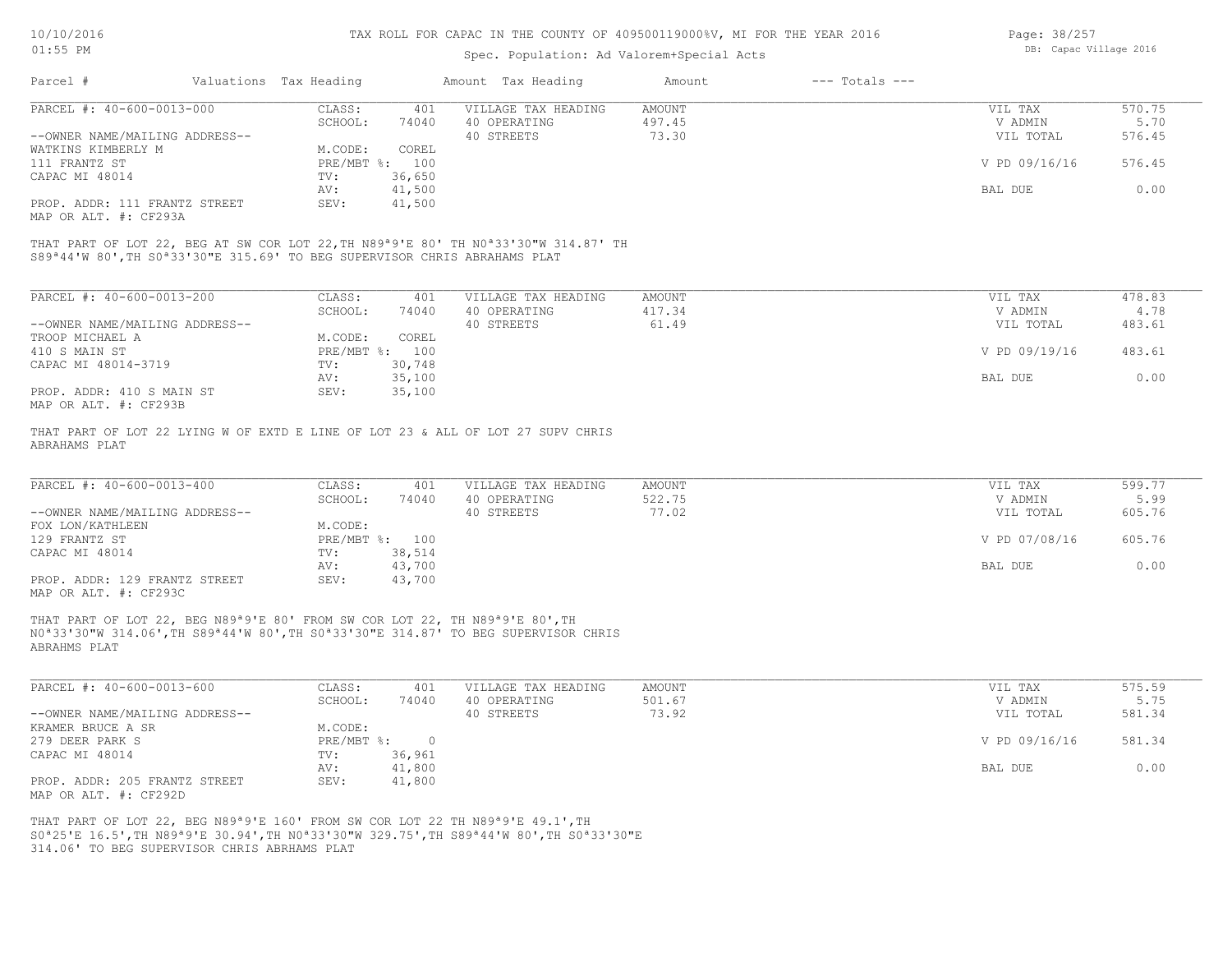#### Spec. Population: Ad Valorem+Special Acts

| Page: 38/257 |                        |  |
|--------------|------------------------|--|
|              | DB: Capac Village 2016 |  |

| 570.75 |
|--------|
| 5.70   |
| 576.45 |
|        |
| 576.45 |
|        |
| 0.00   |
|        |
|        |

MAP OR ALT. #: CF293A

S89ª44'W 80',TH S0ª33'30"E 315.69' TO BEG SUPERVISOR CHRIS ABRAHAMS PLAT THAT PART OF LOT 22, BEG AT SW COR LOT 22,TH N89ª9'E 80' TH N0ª33'30"W 314.87' TH

| PARCEL #: 40-600-0013-200      | CLASS:     | 401    | VILLAGE TAX HEADING | AMOUNT | VIL TAX       | 478.83 |
|--------------------------------|------------|--------|---------------------|--------|---------------|--------|
|                                | SCHOOL:    | 74040  | 40 OPERATING        | 417.34 | V ADMIN       | 4.78   |
| --OWNER NAME/MAILING ADDRESS-- |            |        | 40 STREETS          | 61.49  | VIL TOTAL     | 483.61 |
| TROOP MICHAEL A                | M.CODE:    | COREL  |                     |        |               |        |
| 410 S MAIN ST                  | PRE/MBT %: | 100    |                     |        | V PD 09/19/16 | 483.61 |
| CAPAC MI 48014-3719            | TV:        | 30,748 |                     |        |               |        |
|                                | AV:        | 35,100 |                     |        | BAL DUE       | 0.00   |
| PROP. ADDR: 410 S MAIN ST      | SEV:       | 35,100 |                     |        |               |        |
| MAP OR ALT. #: CF293B          |            |        |                     |        |               |        |

THAT PART OF LOT 22 LYING W OF EXTD E LINE OF LOT 23 & ALL OF LOT 27 SUPV CHRIS

ABRAHAMS PLAT

| PARCEL #: 40-600-0013-400      | CLASS:       | 401    | VILLAGE TAX HEADING | AMOUNT | VIL TAX       | 599.77 |
|--------------------------------|--------------|--------|---------------------|--------|---------------|--------|
|                                | SCHOOL:      | 74040  | 40 OPERATING        | 522.75 | V ADMIN       | 5.99   |
| --OWNER NAME/MAILING ADDRESS-- |              |        | 40 STREETS          | 77.02  | VIL TOTAL     | 605.76 |
| FOX LON/KATHLEEN               | M.CODE:      |        |                     |        |               |        |
| 129 FRANTZ ST                  | $PRE/MBT$ %: | 100    |                     |        | V PD 07/08/16 | 605.76 |
| CAPAC MI 48014                 | TV:          | 38,514 |                     |        |               |        |
|                                | AV:          | 43,700 |                     |        | BAL DUE       | 0.00   |
| PROP. ADDR: 129 FRANTZ STREET  | SEV:         | 43,700 |                     |        |               |        |

MAP OR ALT. #: CF293C

ABRAHMS PLAT N0ª33'30"W 314.06',TH S89ª44'W 80',TH S0ª33'30"E 314.87' TO BEG SUPERVISOR CHRIS THAT PART OF LOT 22, BEG N89ª9'E 80' FROM SW COR LOT 22, TH N89ª9'E 80',TH

| PARCEL #: 40-600-0013-600      | CLASS:       | 401    | VILLAGE TAX HEADING | AMOUNT | VIL TAX       | 575.59 |
|--------------------------------|--------------|--------|---------------------|--------|---------------|--------|
|                                | SCHOOL:      | 74040  | 40 OPERATING        | 501.67 | V ADMIN       | 5.75   |
| --OWNER NAME/MAILING ADDRESS-- |              |        | 40 STREETS          | 73.92  | VIL TOTAL     | 581.34 |
| KRAMER BRUCE A SR              | M.CODE:      |        |                     |        |               |        |
| 279 DEER PARK S                | $PRE/MBT$ %: |        |                     |        | V PD 09/16/16 | 581.34 |
| CAPAC MI 48014                 | TV:          | 36,961 |                     |        |               |        |
|                                | AV:          | 41,800 |                     |        | BAL DUE       | 0.00   |
| PROP. ADDR: 205 FRANTZ STREET  | SEV:         | 41,800 |                     |        |               |        |
| MAP OR ALT. #: CF292D          |              |        |                     |        |               |        |

314.06' TO BEG SUPERVISOR CHRIS ABRHAMS PLAT S0ª25'E 16.5',TH N89ª9'E 30.94',TH N0ª33'30"W 329.75',TH S89ª44'W 80',TH S0ª33'30"E THAT PART OF LOT 22, BEG N89ª9'E 160' FROM SW COR LOT 22 TH N89ª9'E 49.1',TH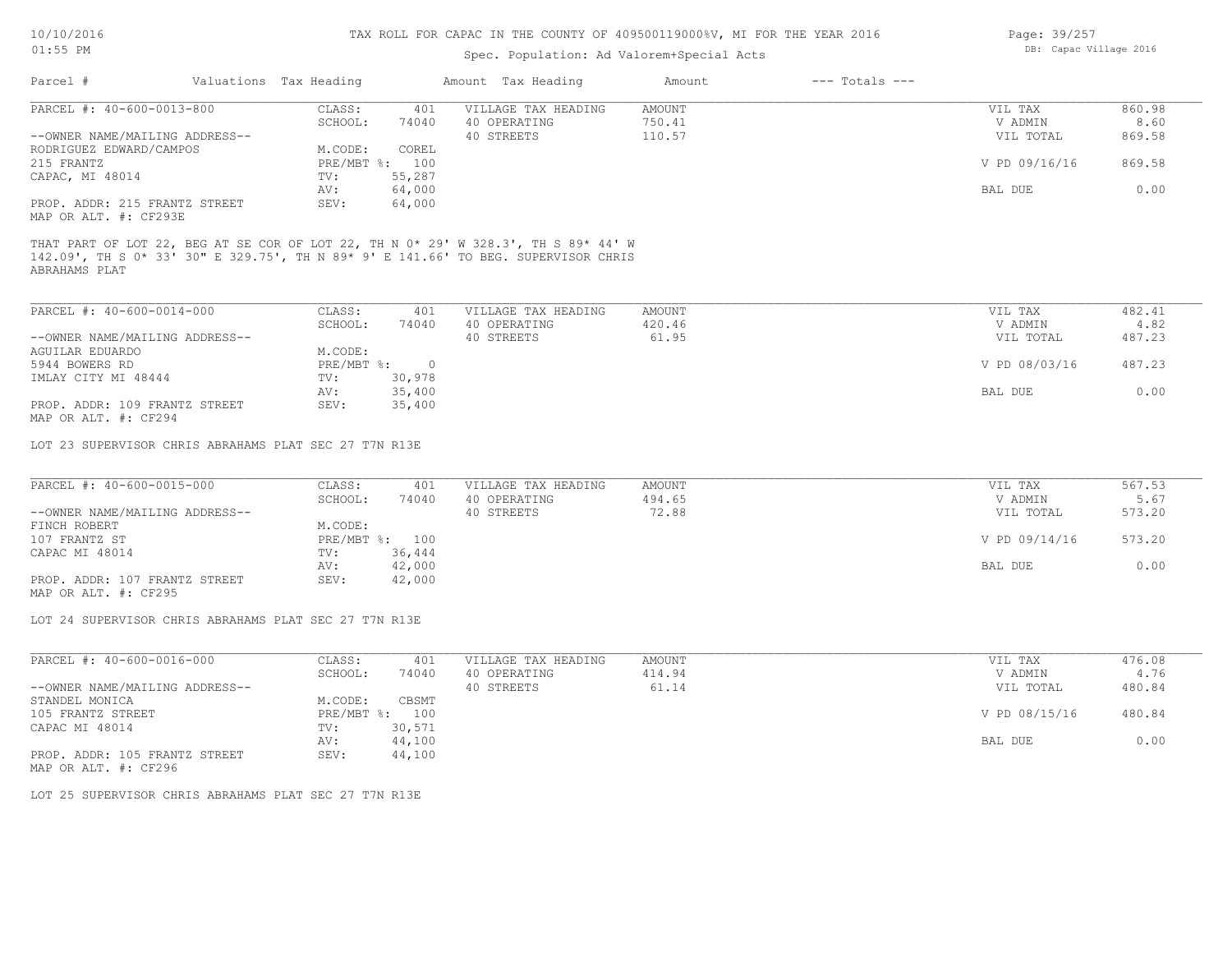## Spec. Population: Ad Valorem+Special Acts

| Page: 39/257 |                        |  |
|--------------|------------------------|--|
|              | DB: Capac Village 2016 |  |

| Parcel #                       | Valuations Tax Heading |                | Amount Tax Heading  | Amount | $---$ Totals $---$ |               |        |
|--------------------------------|------------------------|----------------|---------------------|--------|--------------------|---------------|--------|
| PARCEL #: 40-600-0013-800      | CLASS:                 | 401            | VILLAGE TAX HEADING | AMOUNT |                    | VIL TAX       | 860.98 |
|                                | SCHOOL:                | 74040          | 40 OPERATING        | 750.41 |                    | V ADMIN       | 8.60   |
| --OWNER NAME/MAILING ADDRESS-- |                        |                | 40 STREETS          | 110.57 |                    | VIL TOTAL     | 869.58 |
| RODRIGUEZ EDWARD/CAMPOS        | M.CODE:                | COREL          |                     |        |                    |               |        |
| 215 FRANTZ                     |                        | PRE/MBT %: 100 |                     |        |                    | V PD 09/16/16 | 869.58 |
| CAPAC, MI 48014                | TV:                    | 55,287         |                     |        |                    |               |        |
|                                | AV:                    | 64,000         |                     |        |                    | BAL DUE       | 0.00   |
| PROP. ADDR: 215 FRANTZ STREET  | SEV:                   | 64,000         |                     |        |                    |               |        |
| MAP OR ALT. #: CF293E          |                        |                |                     |        |                    |               |        |

ABRAHAMS PLAT 142.09', TH S 0\* 33' 30" E 329.75', TH N 89\* 9' E 141.66' TO BEG. SUPERVISOR CHRIS

| PARCEL #: 40-600-0014-000      | CLASS:       | 401    | VILLAGE TAX HEADING | AMOUNT | VIL TAX       | 482.41 |
|--------------------------------|--------------|--------|---------------------|--------|---------------|--------|
|                                | SCHOOL:      | 74040  | 40 OPERATING        | 420.46 | V ADMIN       | 4.82   |
| --OWNER NAME/MAILING ADDRESS-- |              |        | 40 STREETS          | 61.95  | VIL TOTAL     | 487.23 |
| AGUILAR EDUARDO                | M.CODE:      |        |                     |        |               |        |
| 5944 BOWERS RD                 | $PRE/MBT$ %: |        |                     |        | V PD 08/03/16 | 487.23 |
| IMLAY CITY MI 48444            | TV:          | 30,978 |                     |        |               |        |
|                                | AV:          | 35,400 |                     |        | BAL DUE       | 0.00   |
| PROP. ADDR: 109 FRANTZ STREET  | SEV:         | 35,400 |                     |        |               |        |
| MAP OR ALT. #: CF294           |              |        |                     |        |               |        |

LOT 23 SUPERVISOR CHRIS ABRAHAMS PLAT SEC 27 T7N R13E

| PARCEL #: 40-600-0015-000      | CLASS:  | 401            | VILLAGE TAX HEADING | AMOUNT | VIL TAX       | 567.53 |
|--------------------------------|---------|----------------|---------------------|--------|---------------|--------|
|                                | SCHOOL: | 74040          | 40 OPERATING        | 494.65 | V ADMIN       | 5.67   |
| --OWNER NAME/MAILING ADDRESS-- |         |                | 40 STREETS          | 72.88  | VIL TOTAL     | 573.20 |
| FINCH ROBERT                   | M.CODE: |                |                     |        |               |        |
| 107 FRANTZ ST                  |         | PRE/MBT %: 100 |                     |        | V PD 09/14/16 | 573.20 |
| CAPAC MI 48014                 | TV:     | 36,444         |                     |        |               |        |
|                                | AV:     | 42,000         |                     |        | BAL DUE       | 0.00   |
| PROP. ADDR: 107 FRANTZ STREET  | SEV:    | 42,000         |                     |        |               |        |

MAP OR ALT. #: CF295

LOT 24 SUPERVISOR CHRIS ABRAHAMS PLAT SEC 27 T7N R13E

| PARCEL #: 40-600-0016-000      | CLASS:     | 401    | VILLAGE TAX HEADING | AMOUNT | VIL TAX       | 476.08 |
|--------------------------------|------------|--------|---------------------|--------|---------------|--------|
|                                | SCHOOL:    | 74040  | 40 OPERATING        | 414.94 | V ADMIN       | 4.76   |
| --OWNER NAME/MAILING ADDRESS-- |            |        | 40 STREETS          | 61.14  | VIL TOTAL     | 480.84 |
| STANDEL MONICA                 | M.CODE:    | CBSMT  |                     |        |               |        |
| 105 FRANTZ STREET              | PRE/MBT %: | 100    |                     |        | V PD 08/15/16 | 480.84 |
| CAPAC MI 48014                 | TV:        | 30,571 |                     |        |               |        |
|                                | AV:        | 44,100 |                     |        | BAL DUE       | 0.00   |
| PROP. ADDR: 105 FRANTZ STREET  | SEV:       | 44,100 |                     |        |               |        |

MAP OR ALT. #: CF296

LOT 25 SUPERVISOR CHRIS ABRAHAMS PLAT SEC 27 T7N R13E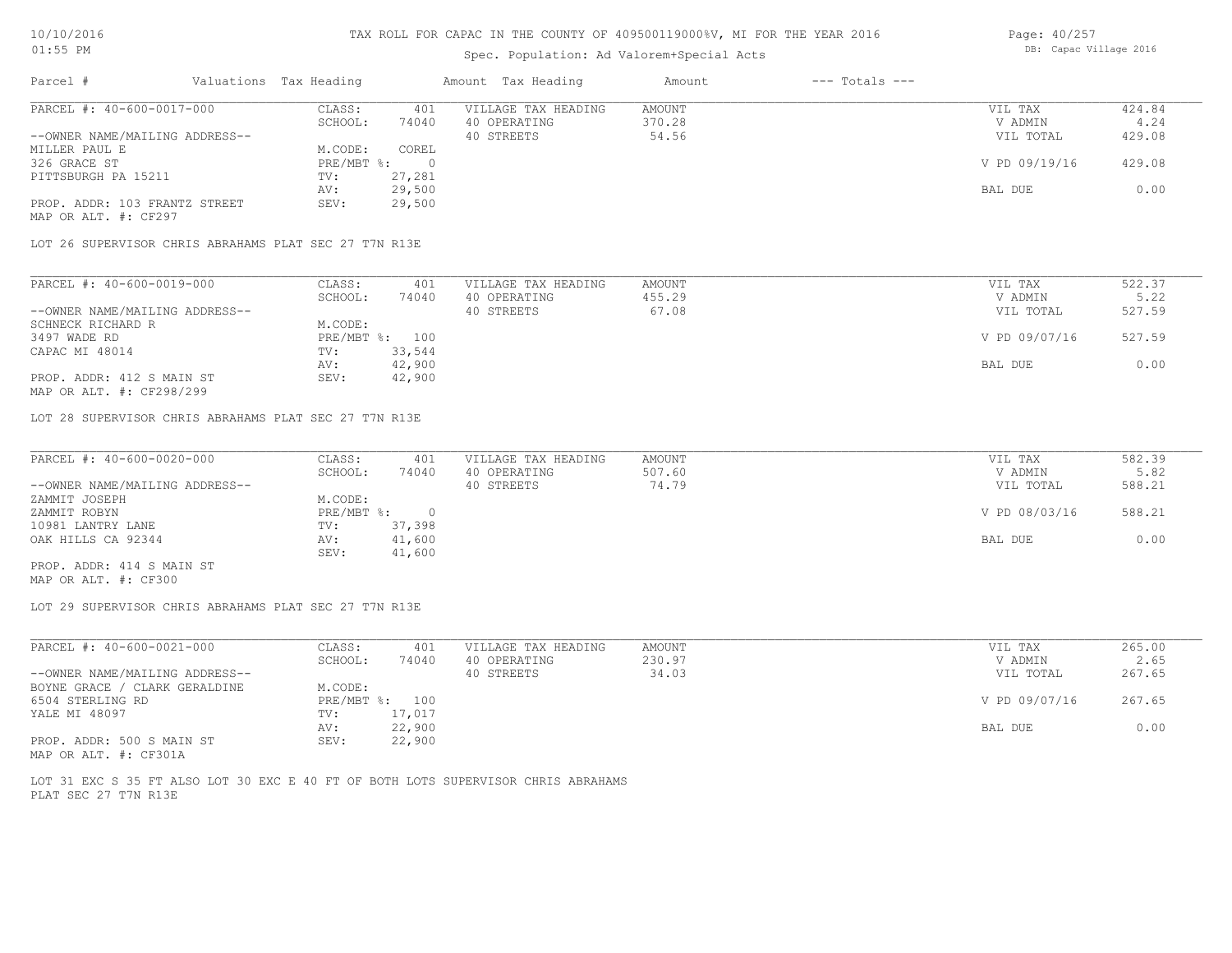#### Spec. Population: Ad Valorem+Special Acts

| Page: 40/257 |                        |  |
|--------------|------------------------|--|
|              | DB: Capac Village 2016 |  |

| Parcel #                                              | Valuations Tax Heading |        | Amount Tax Heading  | Amount | $---$ Totals $---$ |               |        |
|-------------------------------------------------------|------------------------|--------|---------------------|--------|--------------------|---------------|--------|
| PARCEL #: 40-600-0017-000                             | CLASS:                 | 401    | VILLAGE TAX HEADING | AMOUNT |                    | VIL TAX       | 424.84 |
|                                                       | SCHOOL:                | 74040  | 40 OPERATING        | 370.28 |                    | V ADMIN       | 4.24   |
| --OWNER NAME/MAILING ADDRESS--                        |                        |        | 40 STREETS          | 54.56  |                    | VIL TOTAL     | 429.08 |
| MILLER PAUL E                                         | M.CODE:                | COREL  |                     |        |                    |               |        |
| 326 GRACE ST                                          | $PRE/MBT$ %:           |        |                     |        |                    | V PD 09/19/16 | 429.08 |
| PITTSBURGH PA 15211                                   | TV:                    | 27,281 |                     |        |                    |               |        |
|                                                       | AV:                    | 29,500 |                     |        |                    | BAL DUE       | 0.00   |
| PROP. ADDR: 103 FRANTZ STREET<br>MAP OR ALT. #: CF297 | SEV:                   | 29,500 |                     |        |                    |               |        |

LOT 26 SUPERVISOR CHRIS ABRAHAMS PLAT SEC 27 T7N R13E

| PARCEL #: 40-600-0019-000      | CLASS:  | 401            | VILLAGE TAX HEADING | AMOUNT | VIL TAX       | 522.37 |
|--------------------------------|---------|----------------|---------------------|--------|---------------|--------|
|                                | SCHOOL: | 74040          | 40 OPERATING        | 455.29 | V ADMIN       | 5.22   |
| --OWNER NAME/MAILING ADDRESS-- |         |                | 40 STREETS          | 67.08  | VIL TOTAL     | 527.59 |
| SCHNECK RICHARD R              | M.CODE: |                |                     |        |               |        |
| 3497 WADE RD                   |         | PRE/MBT %: 100 |                     |        | V PD 09/07/16 | 527.59 |
| CAPAC MI 48014                 | TV:     | 33,544         |                     |        |               |        |
|                                | AV:     | 42,900         |                     |        | BAL DUE       | 0.00   |
| PROP. ADDR: 412 S MAIN ST      | SEV:    | 42,900         |                     |        |               |        |
| MAP OR ALT. #: CF298/299       |         |                |                     |        |               |        |

LOT 28 SUPERVISOR CHRIS ABRAHAMS PLAT SEC 27 T7N R13E

| PARCEL #: 40-600-0020-000      | CLASS:       | 401    | VILLAGE TAX HEADING | AMOUNT | VIL TAX       | 582.39 |
|--------------------------------|--------------|--------|---------------------|--------|---------------|--------|
|                                | SCHOOL:      | 74040  | 40 OPERATING        | 507.60 | V ADMIN       | 5.82   |
| --OWNER NAME/MAILING ADDRESS-- |              |        | 40 STREETS          | 74.79  | VIL TOTAL     | 588.21 |
| ZAMMIT JOSEPH                  | M.CODE:      |        |                     |        |               |        |
| ZAMMIT ROBYN                   | $PRE/MBT$ %: |        |                     |        | V PD 08/03/16 | 588.21 |
| 10981 LANTRY LANE              | TV:          | 37,398 |                     |        |               |        |
| OAK HILLS CA 92344             | AV:          | 41,600 |                     |        | BAL DUE       | 0.00   |
|                                | SEV:         | 41,600 |                     |        |               |        |
| PROP. ADDR: 414 S MAIN ST      |              |        |                     |        |               |        |

MAP OR ALT. #: CF300

LOT 29 SUPERVISOR CHRIS ABRAHAMS PLAT SEC 27 T7N R13E

| PARCEL #: 40-600-0021-000      | CLASS:  | 401            | VILLAGE TAX HEADING | AMOUNT | VIL TAX       | 265.00 |
|--------------------------------|---------|----------------|---------------------|--------|---------------|--------|
|                                | SCHOOL: | 74040          | 40 OPERATING        | 230.97 | V ADMIN       | 2.65   |
| --OWNER NAME/MAILING ADDRESS-- |         |                | 40 STREETS          | 34.03  | VIL TOTAL     | 267.65 |
| BOYNE GRACE / CLARK GERALDINE  | M.CODE: |                |                     |        |               |        |
| 6504 STERLING RD               |         | PRE/MBT %: 100 |                     |        | V PD 09/07/16 | 267.65 |
| YALE MI 48097                  | TV:     | 17,017         |                     |        |               |        |
|                                | AV:     | 22,900         |                     |        | BAL DUE       | 0.00   |
| PROP. ADDR: 500 S MAIN ST      | SEV:    | 22,900         |                     |        |               |        |
| MAP OR ALT. #: CF301A          |         |                |                     |        |               |        |

PLAT SEC 27 T7N R13E LOT 31 EXC S 35 FT ALSO LOT 30 EXC E 40 FT OF BOTH LOTS SUPERVISOR CHRIS ABRAHAMS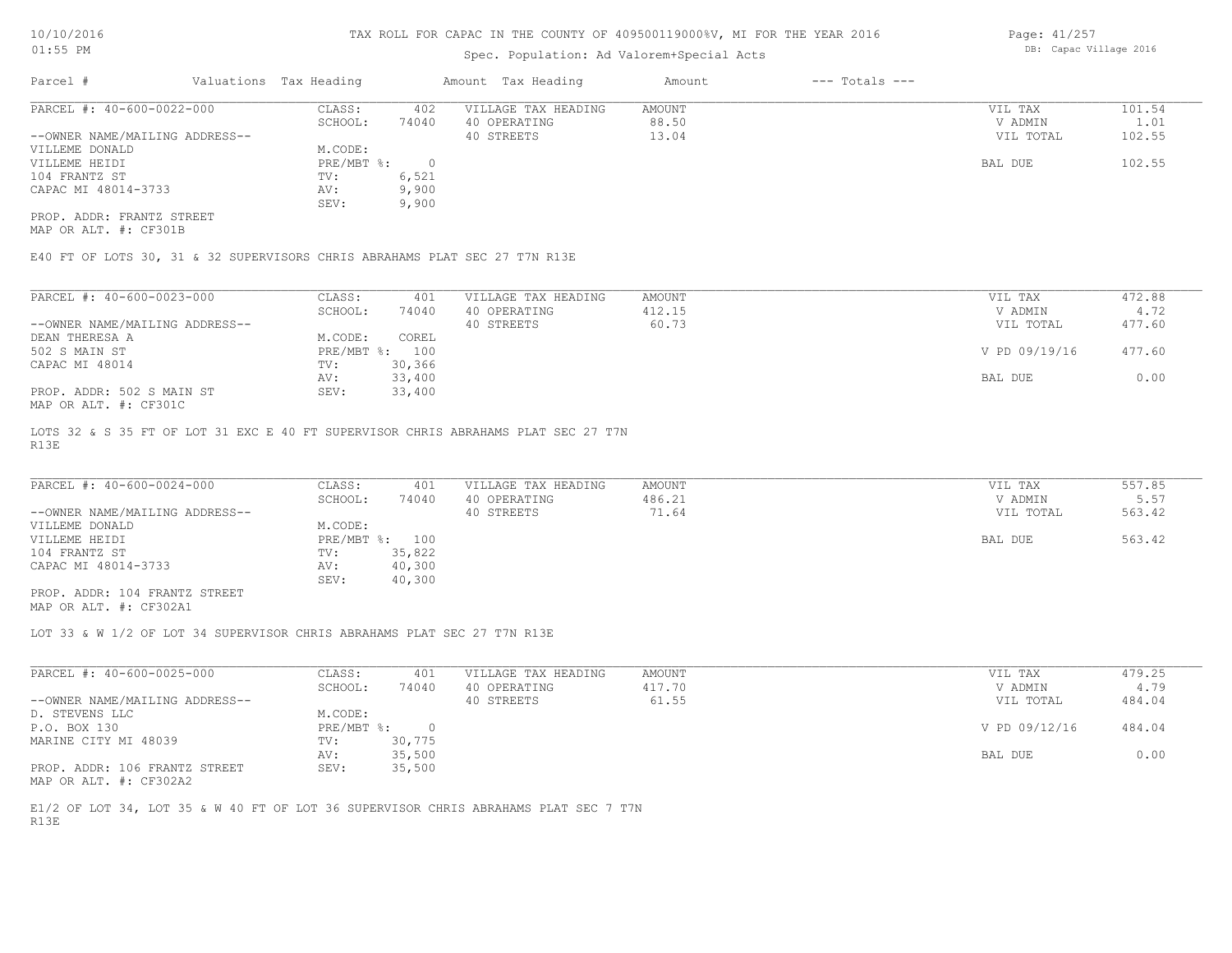#### Spec. Population: Ad Valorem+Special Acts

Page: 41/257 DB: Capac Village 2016

| Parcel #                       | Valuations Tax Heading |       | Amount Tax Heading  | Amount | $---$ Totals $---$ |           |        |
|--------------------------------|------------------------|-------|---------------------|--------|--------------------|-----------|--------|
| PARCEL #: 40-600-0022-000      | CLASS:                 | 402   | VILLAGE TAX HEADING | AMOUNT |                    | VIL TAX   | 101.54 |
|                                | SCHOOL:                | 74040 | 40 OPERATING        | 88.50  |                    | V ADMIN   | 1.01   |
| --OWNER NAME/MAILING ADDRESS-- |                        |       | 40 STREETS          | 13.04  |                    | VIL TOTAL | 102.55 |
| VILLEME DONALD                 | M.CODE:                |       |                     |        |                    |           |        |
| VILLEME HEIDI                  | PRE/MBT %:             |       |                     |        |                    | BAL DUE   | 102.55 |
| 104 FRANTZ ST                  | TV:                    | 6,521 |                     |        |                    |           |        |
| CAPAC MI 48014-3733            | AV:                    | 9,900 |                     |        |                    |           |        |
|                                | SEV:                   | 9,900 |                     |        |                    |           |        |
| PROP. ADDR: FRANTZ STREET      |                        |       |                     |        |                    |           |        |

MAP OR ALT. #: CF301B

E40 FT OF LOTS 30, 31 & 32 SUPERVISORS CHRIS ABRAHAMS PLAT SEC 27 T7N R13E

| PARCEL #: 40-600-0023-000                    | CLASS:     | 401    | VILLAGE TAX HEADING | AMOUNT | VIL TAX       | 472.88 |
|----------------------------------------------|------------|--------|---------------------|--------|---------------|--------|
|                                              | SCHOOL:    | 74040  | 40 OPERATING        | 412.15 | V ADMIN       | 4.72   |
| --OWNER NAME/MAILING ADDRESS--               |            |        | 40 STREETS          | 60.73  | VIL TOTAL     | 477.60 |
| DEAN THERESA A                               | M.CODE:    | COREL  |                     |        |               |        |
| 502 S MAIN ST                                | PRE/MBT %: | 100    |                     |        | V PD 09/19/16 | 477.60 |
| CAPAC MI 48014                               | TV:        | 30,366 |                     |        |               |        |
|                                              | AV:        | 33,400 |                     |        | BAL DUE       | 0.00   |
| PROP. ADDR: 502 S MAIN ST                    | SEV:       | 33,400 |                     |        |               |        |
| $\cdots$ $\cdots$ $\cdots$ $\cdots$ $\cdots$ |            |        |                     |        |               |        |

MAP OR ALT. #: CF301C

R13E LOTS 32 & S 35 FT OF LOT 31 EXC E 40 FT SUPERVISOR CHRIS ABRAHAMS PLAT SEC 27 T7N

| PARCEL #: 40-600-0024-000      | CLASS:  | 401            | VILLAGE TAX HEADING | AMOUNT | VIL TAX   | 557.85 |
|--------------------------------|---------|----------------|---------------------|--------|-----------|--------|
|                                | SCHOOL: | 74040          | 40 OPERATING        | 486.21 | V ADMIN   | 5.57   |
| --OWNER NAME/MAILING ADDRESS-- |         |                | 40 STREETS          | 71.64  | VIL TOTAL | 563.42 |
| VILLEME DONALD                 | M.CODE: |                |                     |        |           |        |
| VILLEME HEIDI                  |         | PRE/MBT %: 100 |                     |        | BAL DUE   | 563.42 |
| 104 FRANTZ ST                  | TV:     | 35,822         |                     |        |           |        |
| CAPAC MI 48014-3733            | AV:     | 40,300         |                     |        |           |        |
|                                | SEV:    | 40,300         |                     |        |           |        |
| PROP. ADDR: 104 FRANTZ STREET  |         |                |                     |        |           |        |

MAP OR ALT. #: CF302A1

LOT 33 & W 1/2 OF LOT 34 SUPERVISOR CHRIS ABRAHAMS PLAT SEC 27 T7N R13E

| PARCEL #: 40-600-0025-000      | CLASS:     | 401    | VILLAGE TAX HEADING | AMOUNT | VIL TAX       | 479.25 |
|--------------------------------|------------|--------|---------------------|--------|---------------|--------|
|                                | SCHOOL:    | 74040  | 40 OPERATING        | 417.70 | V ADMIN       | 4.79   |
| --OWNER NAME/MAILING ADDRESS-- |            |        | 40 STREETS          | 61.55  | VIL TOTAL     | 484.04 |
| D. STEVENS LLC                 | M.CODE:    |        |                     |        |               |        |
| P.O. BOX 130                   | PRE/MBT %: |        |                     |        | V PD 09/12/16 | 484.04 |
| MARINE CITY MI 48039           | TV:        | 30,775 |                     |        |               |        |
|                                | AV:        | 35,500 |                     |        | BAL DUE       | 0.00   |
| PROP. ADDR: 106 FRANTZ STREET  | SEV:       | 35,500 |                     |        |               |        |
| MAP OR ALT. #: CF302A2         |            |        |                     |        |               |        |

R13E E1/2 OF LOT 34, LOT 35 & W 40 FT OF LOT 36 SUPERVISOR CHRIS ABRAHAMS PLAT SEC 7 T7N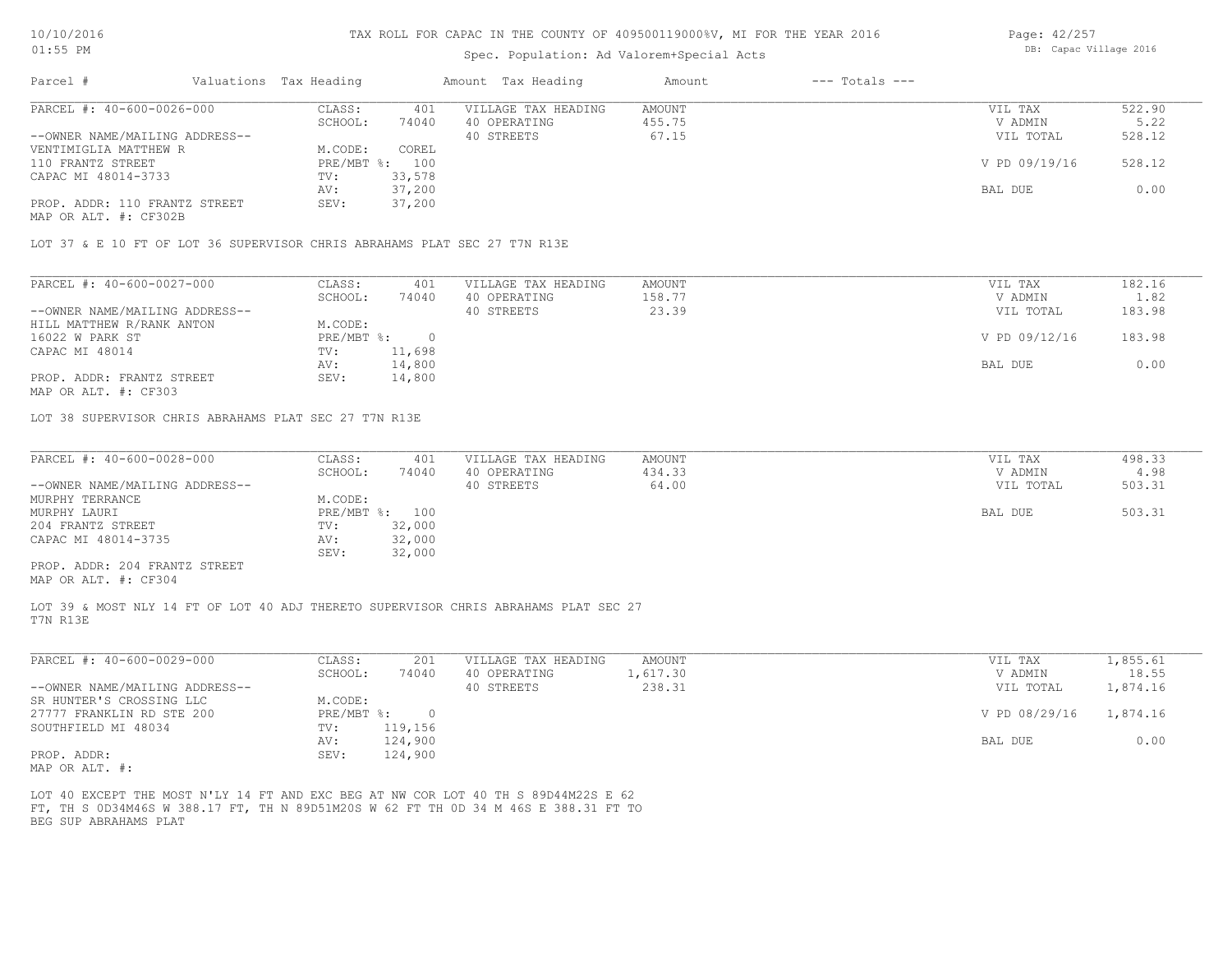#### Spec. Population: Ad Valorem+Special Acts

| Page: 42/257 |                        |  |
|--------------|------------------------|--|
|              | DB: Capac Village 2016 |  |

| Parcel #                       | Valuations Tax Heading |                | Amount Tax Heading  | Amount | $---$ Totals $---$ |               |        |
|--------------------------------|------------------------|----------------|---------------------|--------|--------------------|---------------|--------|
| PARCEL #: 40-600-0026-000      | CLASS:                 | 401            | VILLAGE TAX HEADING | AMOUNT |                    | VIL TAX       | 522.90 |
|                                | SCHOOL:                | 74040          | 40 OPERATING        | 455.75 |                    | V ADMIN       | 5.22   |
| --OWNER NAME/MAILING ADDRESS-- |                        |                | 40 STREETS          | 67.15  |                    | VIL TOTAL     | 528.12 |
| VENTIMIGLIA MATTHEW R          | M.CODE:                | COREL          |                     |        |                    |               |        |
| 110 FRANTZ STREET              |                        | PRE/MBT %: 100 |                     |        |                    | V PD 09/19/16 | 528.12 |
| CAPAC MI 48014-3733            | TV:                    | 33,578         |                     |        |                    |               |        |
|                                | AV:                    | 37,200         |                     |        |                    | BAL DUE       | 0.00   |
| PROP. ADDR: 110 FRANTZ STREET  | SEV:                   | 37,200         |                     |        |                    |               |        |
| MAP OR ALT. #: CF302B          |                        |                |                     |        |                    |               |        |

LOT 37 & E 10 FT OF LOT 36 SUPERVISOR CHRIS ABRAHAMS PLAT SEC 27 T7N R13E

| PARCEL #: 40-600-0027-000      | CLASS:     | 401    | VILLAGE TAX HEADING | AMOUNT | VIL TAX       | 182.16 |
|--------------------------------|------------|--------|---------------------|--------|---------------|--------|
|                                | SCHOOL:    | 74040  | 40 OPERATING        | 158.77 | V ADMIN       | 1.82   |
| --OWNER NAME/MAILING ADDRESS-- |            |        | 40 STREETS          | 23.39  | VIL TOTAL     | 183.98 |
| HILL MATTHEW R/RANK ANTON      | M.CODE:    |        |                     |        |               |        |
| 16022 W PARK ST                | PRE/MBT %: |        |                     |        | V PD 09/12/16 | 183.98 |
| CAPAC MI 48014                 | TV:        | 11,698 |                     |        |               |        |
|                                | AV:        | 14,800 |                     |        | BAL DUE       | 0.00   |
| PROP. ADDR: FRANTZ STREET      | SEV:       | 14,800 |                     |        |               |        |
|                                |            |        |                     |        |               |        |

MAP OR ALT. #: CF303

LOT 38 SUPERVISOR CHRIS ABRAHAMS PLAT SEC 27 T7N R13E

| PARCEL #: 40-600-0028-000      | CLASS:         | 401    | VILLAGE TAX HEADING | AMOUNT | VIL TAX   | 498.33 |
|--------------------------------|----------------|--------|---------------------|--------|-----------|--------|
|                                | SCHOOL:        | 74040  | 40 OPERATING        | 434.33 | V ADMIN   | 4.98   |
| --OWNER NAME/MAILING ADDRESS-- |                |        | 40 STREETS          | 64.00  | VIL TOTAL | 503.31 |
| MURPHY TERRANCE                | M.CODE:        |        |                     |        |           |        |
| MURPHY LAURI                   | PRE/MBT %: 100 |        |                     |        | BAL DUE   | 503.31 |
| 204 FRANTZ STREET              | TV:            | 32,000 |                     |        |           |        |
| CAPAC MI 48014-3735            | AV:            | 32,000 |                     |        |           |        |
|                                | SEV:           | 32,000 |                     |        |           |        |
| PROP. ADDR: 204 FRANTZ STREET  |                |        |                     |        |           |        |

MAP OR ALT. #: CF304

T7N R13E LOT 39 & MOST NLY 14 FT OF LOT 40 ADJ THERETO SUPERVISOR CHRIS ABRAHAMS PLAT SEC 27

| PARCEL #: 40-600-0029-000      | CLASS:     | 201     | VILLAGE TAX HEADING | AMOUNT   | VIL TAX       | 1,855.61 |
|--------------------------------|------------|---------|---------------------|----------|---------------|----------|
|                                | SCHOOL:    | 74040   | 40 OPERATING        | 1,617.30 | V ADMIN       | 18.55    |
| --OWNER NAME/MAILING ADDRESS-- |            |         | 40 STREETS          | 238.31   | VIL TOTAL     | 1,874.16 |
| SR HUNTER'S CROSSING LLC       | M.CODE:    |         |                     |          |               |          |
| 27777 FRANKLIN RD STE 200      | PRE/MBT %: |         |                     |          | V PD 08/29/16 | 1,874.16 |
| SOUTHFIELD MI 48034            | TV:        | 119,156 |                     |          |               |          |
|                                | AV:        | 124,900 |                     |          | BAL DUE       | 0.00     |
| PROP. ADDR:                    | SEV:       | 124,900 |                     |          |               |          |
| MAD OD ATHL                    |            |         |                     |          |               |          |

MAP OR ALT. #:

BEG SUP ABRAHAMS PLAT FT, TH S 0D34M46S W 388.17 FT, TH N 89D51M20S W 62 FT TH 0D 34 M 46S E 388.31 FT TO LOT 40 EXCEPT THE MOST N'LY 14 FT AND EXC BEG AT NW COR LOT 40 TH S 89D44M22S E 62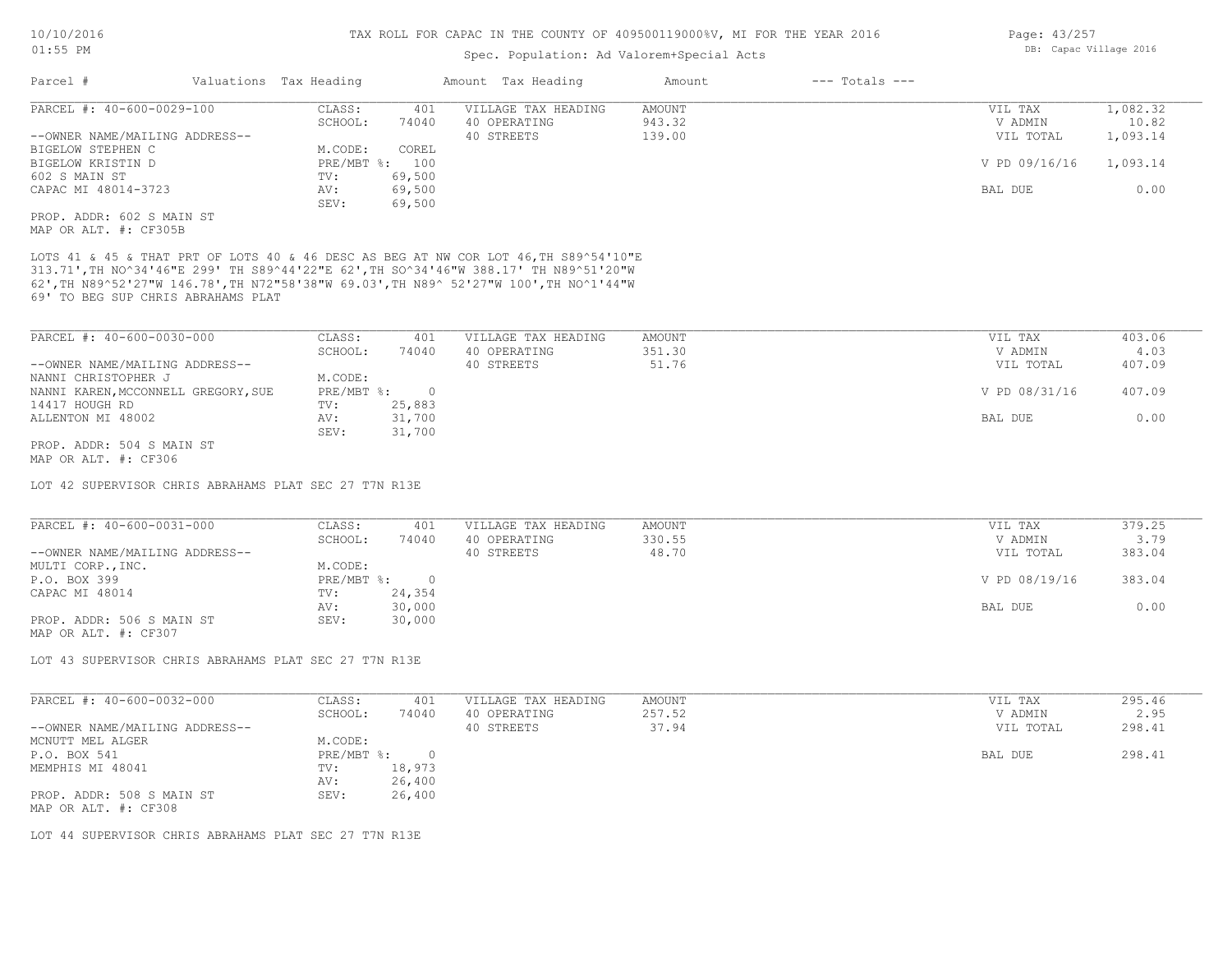#### Spec. Population: Ad Valorem+Special Acts

| Parcel #<br>$---$ Totals $---$<br>Valuations Tax Heading<br>Amount Tax Heading<br>Amount |               |          |
|------------------------------------------------------------------------------------------|---------------|----------|
| PARCEL #: 40-600-0029-100<br>AMOUNT<br>CLASS:<br>401<br>VILLAGE TAX HEADING              | VIL TAX       | 1,082.32 |
| 943.32<br>74040<br>40 OPERATING<br>SCHOOL:                                               | V ADMIN       | 10.82    |
| --OWNER NAME/MAILING ADDRESS--<br>139.00<br>40 STREETS                                   | VIL TOTAL     | 1,093.14 |
| COREL<br>BIGELOW STEPHEN C<br>M.CODE:                                                    |               |          |
| $PRE/MBT$ %:<br>BIGELOW KRISTIN D<br>100                                                 | V PD 09/16/16 | 1,093.14 |
| 602 S MAIN ST<br>69,500<br>TV:                                                           |               |          |
| CAPAC MI 48014-3723<br>69,500<br>AV:                                                     | BAL DUE       | 0.00     |
| 69,500<br>SEV:                                                                           |               |          |
| PROP. ADDR: 602 S MAIN ST                                                                |               |          |

MAP OR ALT. #: CF305B

69' TO BEG SUP CHRIS ABRAHAMS PLAT 62',TH N89^52'27"W 146.78',TH N72"58'38"W 69.03',TH N89^ 52'27"W 100',TH NO^1'44"W 313.71',TH NO^34'46"E 299' TH S89^44'22"E 62',TH SO^34'46"W 388.17' TH N89^51'20"W LOTS 41 & 45 & THAT PRT OF LOTS 40 & 46 DESC AS BEG AT NW COR LOT 46,TH S89^54'10"E

| PARCEL #: 40-600-0030-000           | CLASS:     | 401    | VILLAGE TAX HEADING | AMOUNT | VIL TAX       | 403.06 |
|-------------------------------------|------------|--------|---------------------|--------|---------------|--------|
|                                     | SCHOOL:    | 74040  | 40 OPERATING        | 351.30 | V ADMIN       | 4.03   |
| --OWNER NAME/MAILING ADDRESS--      |            |        | 40 STREETS          | 51.76  | VIL TOTAL     | 407.09 |
| NANNI CHRISTOPHER J                 | M.CODE:    |        |                     |        |               |        |
| NANNI KAREN, MCCONNELL GREGORY, SUE | PRE/MBT %: |        |                     |        | V PD 08/31/16 | 407.09 |
| 14417 HOUGH RD                      | TV:        | 25,883 |                     |        |               |        |
| ALLENTON MI 48002                   | AV:        | 31,700 |                     |        | BAL DUE       | 0.00   |
|                                     | SEV:       | 31,700 |                     |        |               |        |
| PROP. ADDR: 504 S MAIN ST           |            |        |                     |        |               |        |

MAP OR ALT. #: CF306

LOT 42 SUPERVISOR CHRIS ABRAHAMS PLAT SEC 27 T7N R13E

| PARCEL #: 40-600-0031-000      | CLASS:     | 401    | VILLAGE TAX HEADING | AMOUNT | VIL TAX       | 379.25 |
|--------------------------------|------------|--------|---------------------|--------|---------------|--------|
|                                | SCHOOL:    | 74040  | 40 OPERATING        | 330.55 | V ADMIN       | 3.79   |
| --OWNER NAME/MAILING ADDRESS-- |            |        | 40 STREETS          | 48.70  | VIL TOTAL     | 383.04 |
| MULTI CORP., INC.              | M.CODE:    |        |                     |        |               |        |
| P.O. BOX 399                   | PRE/MBT %: |        |                     |        | V PD 08/19/16 | 383.04 |
| CAPAC MI 48014                 | TV:        | 24,354 |                     |        |               |        |
|                                | AV:        | 30,000 |                     |        | BAL DUE       | 0.00   |
| PROP. ADDR: 506 S MAIN ST      | SEV:       | 30,000 |                     |        |               |        |
| MAP OR ALT. #: CF307           |            |        |                     |        |               |        |

LOT 43 SUPERVISOR CHRIS ABRAHAMS PLAT SEC 27 T7N R13E

| PARCEL #: 40-600-0032-000                         | CLASS:       | 401    | VILLAGE TAX HEADING | AMOUNT | VIL TAX   | 295.46 |
|---------------------------------------------------|--------------|--------|---------------------|--------|-----------|--------|
|                                                   | SCHOOL:      | 74040  | 40 OPERATING        | 257.52 | V ADMIN   | 2.95   |
| --OWNER NAME/MAILING ADDRESS--                    |              |        | 40 STREETS          | 37.94  | VIL TOTAL | 298.41 |
| MCNUTT MEL ALGER                                  | M.CODE:      |        |                     |        |           |        |
| P.O. BOX 541                                      | $PRE/MBT$ %: |        |                     |        | BAL DUE   | 298.41 |
| MEMPHIS MI 48041                                  | TV:          | 18,973 |                     |        |           |        |
|                                                   | AV:          | 26,400 |                     |        |           |        |
| PROP. ADDR: 508 S MAIN ST<br>MAP OR ALT. #: CF308 | SEV:         | 26,400 |                     |        |           |        |

LOT 44 SUPERVISOR CHRIS ABRAHAMS PLAT SEC 27 T7N R13E

Page: 43/257 DB: Capac Village 2016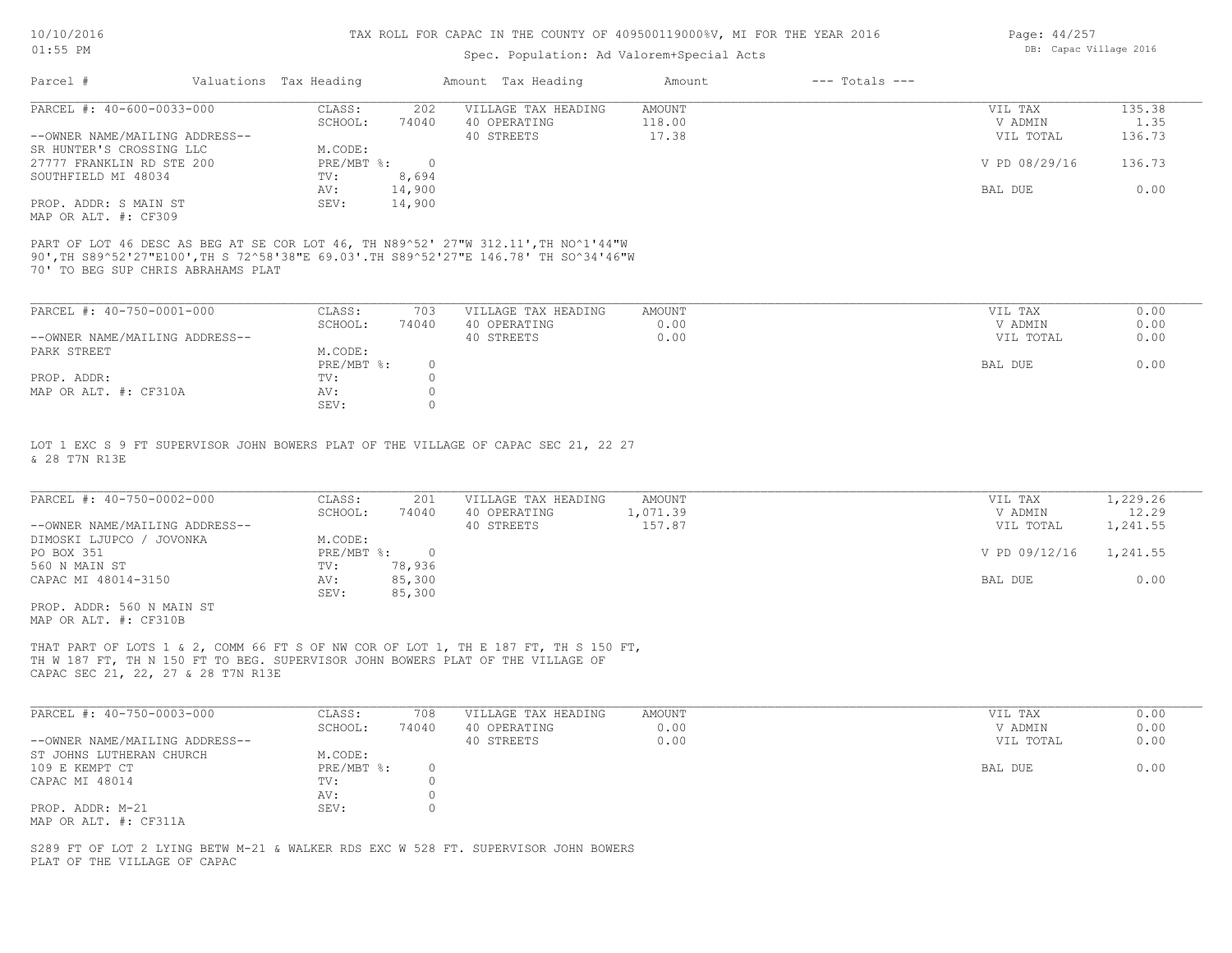#### Spec. Population: Ad Valorem+Special Acts

| Page: 44/257 |                        |  |
|--------------|------------------------|--|
|              | DB: Capac Village 2016 |  |

| Parcel #                       | Valuations Tax Heading |        | Amount Tax Heading  | Amount | $---$ Totals $---$ |               |        |
|--------------------------------|------------------------|--------|---------------------|--------|--------------------|---------------|--------|
| PARCEL #: 40-600-0033-000      | CLASS:                 | 202    | VILLAGE TAX HEADING | AMOUNT |                    | VIL TAX       | 135.38 |
|                                | SCHOOL:                | 74040  | 40 OPERATING        | 118.00 |                    | V ADMIN       | 1.35   |
| --OWNER NAME/MAILING ADDRESS-- |                        |        | 40 STREETS          | 17.38  |                    | VIL TOTAL     | 136.73 |
| SR HUNTER'S CROSSING LLC       | M.CODE:                |        |                     |        |                    |               |        |
| 27777 FRANKLIN RD STE 200      | PRE/MBT %:             |        |                     |        |                    | V PD 08/29/16 | 136.73 |
| SOUTHFIELD MI 48034            | TV:                    | 8,694  |                     |        |                    |               |        |
|                                | AV:                    | 14,900 |                     |        |                    | BAL DUE       | 0.00   |
| PROP. ADDR: S MAIN ST          | SEV:                   | 14,900 |                     |        |                    |               |        |
| MAP OR ALT. #: CF309           |                        |        |                     |        |                    |               |        |

70' TO BEG SUP CHRIS ABRAHAMS PLAT 90',TH S89^52'27"E100',TH S 72^58'38"E 69.03'.TH S89^52'27"E 146.78' TH SO^34'46"W PART OF LOT 46 DESC AS BEG AT SE COR LOT 46, TH N89^52' 27"W 312.11',TH NO^1'44"W

| PARCEL #: 40-750-0001-000      | CLASS:     | 703   | VILLAGE TAX HEADING | AMOUNT | VIL TAX   | 0.00 |
|--------------------------------|------------|-------|---------------------|--------|-----------|------|
|                                | SCHOOL:    | 74040 | 40 OPERATING        | 0.00   | V ADMIN   | 0.00 |
| --OWNER NAME/MAILING ADDRESS-- |            |       | 40 STREETS          | 0.00   | VIL TOTAL | 0.00 |
| PARK STREET                    | M.CODE:    |       |                     |        |           |      |
|                                | PRE/MBT %: |       |                     |        | BAL DUE   | 0.00 |
| PROP. ADDR:                    | TV:        |       |                     |        |           |      |
| MAP OR ALT. #: CF310A          | AV:        |       |                     |        |           |      |
|                                | SEV:       |       |                     |        |           |      |

& 28 T7N R13E LOT 1 EXC S 9 FT SUPERVISOR JOHN BOWERS PLAT OF THE VILLAGE OF CAPAC SEC 21, 22 27

| PARCEL #: 40-750-0002-000      | CLASS:     | 201    | VILLAGE TAX HEADING | AMOUNT   | VIL TAX       | 1,229.26 |
|--------------------------------|------------|--------|---------------------|----------|---------------|----------|
|                                | SCHOOL:    | 74040  | 40 OPERATING        | 1,071.39 | V ADMIN       | 12.29    |
| --OWNER NAME/MAILING ADDRESS-- |            |        | 40 STREETS          | 157.87   | VIL TOTAL     | 1,241.55 |
| DIMOSKI LJUPCO / JOVONKA       | M.CODE:    |        |                     |          |               |          |
| PO BOX 351                     | PRE/MBT %: |        |                     |          | V PD 09/12/16 | 1,241.55 |
| 560 N MAIN ST                  | TV:        | 78,936 |                     |          |               |          |
| CAPAC MI 48014-3150            | AV:        | 85,300 |                     |          | BAL DUE       | 0.00     |
|                                | SEV:       | 85,300 |                     |          |               |          |
| PROP. ADDR: 560 N MAIN ST      |            |        |                     |          |               |          |

MAP OR ALT. #: CF310B

CAPAC SEC 21, 22, 27 & 28 T7N R13E TH W 187 FT, TH N 150 FT TO BEG. SUPERVISOR JOHN BOWERS PLAT OF THE VILLAGE OF THAT PART OF LOTS 1 & 2, COMM 66 FT S OF NW COR OF LOT 1, TH E 187 FT, TH S 150 FT,

| PARCEL #: 40-750-0003-000      | CLASS:     | 708   | VILLAGE TAX HEADING | AMOUNT | VIL TAX   | 0.00 |
|--------------------------------|------------|-------|---------------------|--------|-----------|------|
|                                | SCHOOL:    | 74040 | 40 OPERATING        | 0.00   | V ADMIN   | 0.00 |
| --OWNER NAME/MAILING ADDRESS-- |            |       | 40 STREETS          | 0.00   | VIL TOTAL | 0.00 |
| ST JOHNS LUTHERAN CHURCH       | M.CODE:    |       |                     |        |           |      |
| 109 E KEMPT CT                 | PRE/MBT %: |       |                     |        | BAL DUE   | 0.00 |
| CAPAC MI 48014                 | TV:        |       |                     |        |           |      |
|                                | AV:        |       |                     |        |           |      |
| PROP. ADDR: M-21               | SEV:       |       |                     |        |           |      |
| MAP OR ALT. #: CF311A          |            |       |                     |        |           |      |

PLAT OF THE VILLAGE OF CAPAC S289 FT OF LOT 2 LYING BETW M-21 & WALKER RDS EXC W 528 FT. SUPERVISOR JOHN BOWERS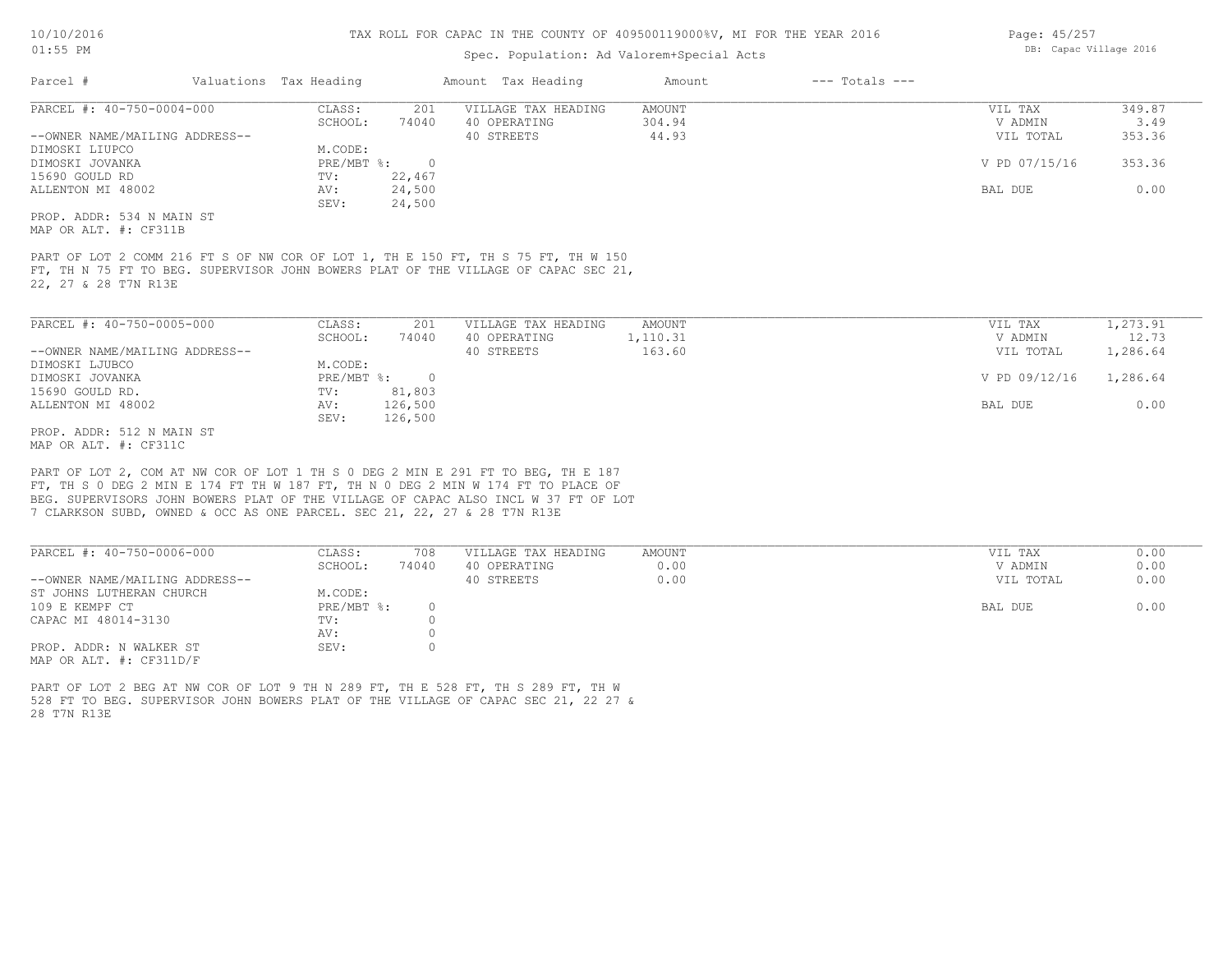#### Spec. Population: Ad Valorem+Special Acts

| Parcel #                       | Valuations Tax Heading |        | Amount Tax Heading  | Amount | $---$ Totals $---$ |               |        |
|--------------------------------|------------------------|--------|---------------------|--------|--------------------|---------------|--------|
| PARCEL #: 40-750-0004-000      | CLASS:                 | 201    | VILLAGE TAX HEADING | AMOUNT |                    | VIL TAX       | 349.87 |
|                                | SCHOOL:                | 74040  | 40 OPERATING        | 304.94 |                    | V ADMIN       | 3.49   |
| --OWNER NAME/MAILING ADDRESS-- |                        |        | 40 STREETS          | 44.93  |                    | VIL TOTAL     | 353.36 |
| DIMOSKI LIUPCO                 | M.CODE:                |        |                     |        |                    |               |        |
| DIMOSKI JOVANKA                | $PRE/MBT$ %:           |        |                     |        |                    | V PD 07/15/16 | 353.36 |
| 15690 GOULD RD                 | TV:                    | 22,467 |                     |        |                    |               |        |
| ALLENTON MI 48002              | AV:                    | 24,500 |                     |        |                    | BAL DUE       | 0.00   |
|                                | SEV:                   | 24,500 |                     |        |                    |               |        |
| PROP. ADDR: 534 N MAIN ST      |                        |        |                     |        |                    |               |        |

MAP OR ALT. #: CF311B

22, 27 & 28 T7N R13E FT, TH N 75 FT TO BEG. SUPERVISOR JOHN BOWERS PLAT OF THE VILLAGE OF CAPAC SEC 21, PART OF LOT 2 COMM 216 FT S OF NW COR OF LOT 1, TH E 150 FT, TH S 75 FT, TH W 150

| PARCEL #: 40-750-0005-000      | CLASS:     | 201      | VILLAGE TAX HEADING | AMOUNT   | VIL TAX |               | 1,273.91 |
|--------------------------------|------------|----------|---------------------|----------|---------|---------------|----------|
|                                | SCHOOL:    | 74040    | 40 OPERATING        | 1,110.31 |         | V ADMIN       | 12.73    |
| --OWNER NAME/MAILING ADDRESS-- |            |          | 40 STREETS          | 163.60   |         | VIL TOTAL     | 1,286.64 |
| DIMOSKI LJUBCO                 | M.CODE:    |          |                     |          |         |               |          |
| DIMOSKI JOVANKA                | PRE/MBT %: | $\Omega$ |                     |          |         | V PD 09/12/16 | 1,286.64 |
| 15690 GOULD RD.                | TV:        | 81,803   |                     |          |         |               |          |
| ALLENTON MI 48002              | AV:        | 126,500  |                     |          | BAL DUE |               | 0.00     |
|                                | SEV:       | 126,500  |                     |          |         |               |          |
| PROP. ADDR: 512 N MAIN ST      |            |          |                     |          |         |               |          |

MAP OR ALT. #: CF311C

7 CLARKSON SUBD, OWNED & OCC AS ONE PARCEL. SEC 21, 22, 27 & 28 T7N R13E BEG. SUPERVISORS JOHN BOWERS PLAT OF THE VILLAGE OF CAPAC ALSO INCL W 37 FT OF LOT FT, TH S 0 DEG 2 MIN E 174 FT TH W 187 FT, TH N 0 DEG 2 MIN W 174 FT TO PLACE OF PART OF LOT 2, COM AT NW COR OF LOT 1 TH S 0 DEG 2 MIN E 291 FT TO BEG, TH E 187

| PARCEL #: 40-750-0006-000      | CLASS:       | 708   | VILLAGE TAX HEADING | AMOUNT | VIL TAX   | 0.00 |
|--------------------------------|--------------|-------|---------------------|--------|-----------|------|
|                                | SCHOOL:      | 74040 | 40 OPERATING        | 0.00   | V ADMIN   | 0.00 |
| --OWNER NAME/MAILING ADDRESS-- |              |       | 40 STREETS          | 0.00   | VIL TOTAL | 0.00 |
| ST JOHNS LUTHERAN CHURCH       | M.CODE:      |       |                     |        |           |      |
| 109 E KEMPF CT                 | $PRE/MBT$ %: |       |                     |        | BAL DUE   | 0.00 |
| CAPAC MI 48014-3130            | TV:          |       |                     |        |           |      |
|                                | AV:          |       |                     |        |           |      |
| PROP. ADDR: N WALKER ST        | SEV:         |       |                     |        |           |      |
| MAP OR ALT. $\#$ : CF311D/F    |              |       |                     |        |           |      |

28 T7N R13E 528 FT TO BEG. SUPERVISOR JOHN BOWERS PLAT OF THE VILLAGE OF CAPAC SEC 21, 22 27 & PART OF LOT 2 BEG AT NW COR OF LOT 9 TH N 289 FT, TH E 528 FT, TH S 289 FT, TH W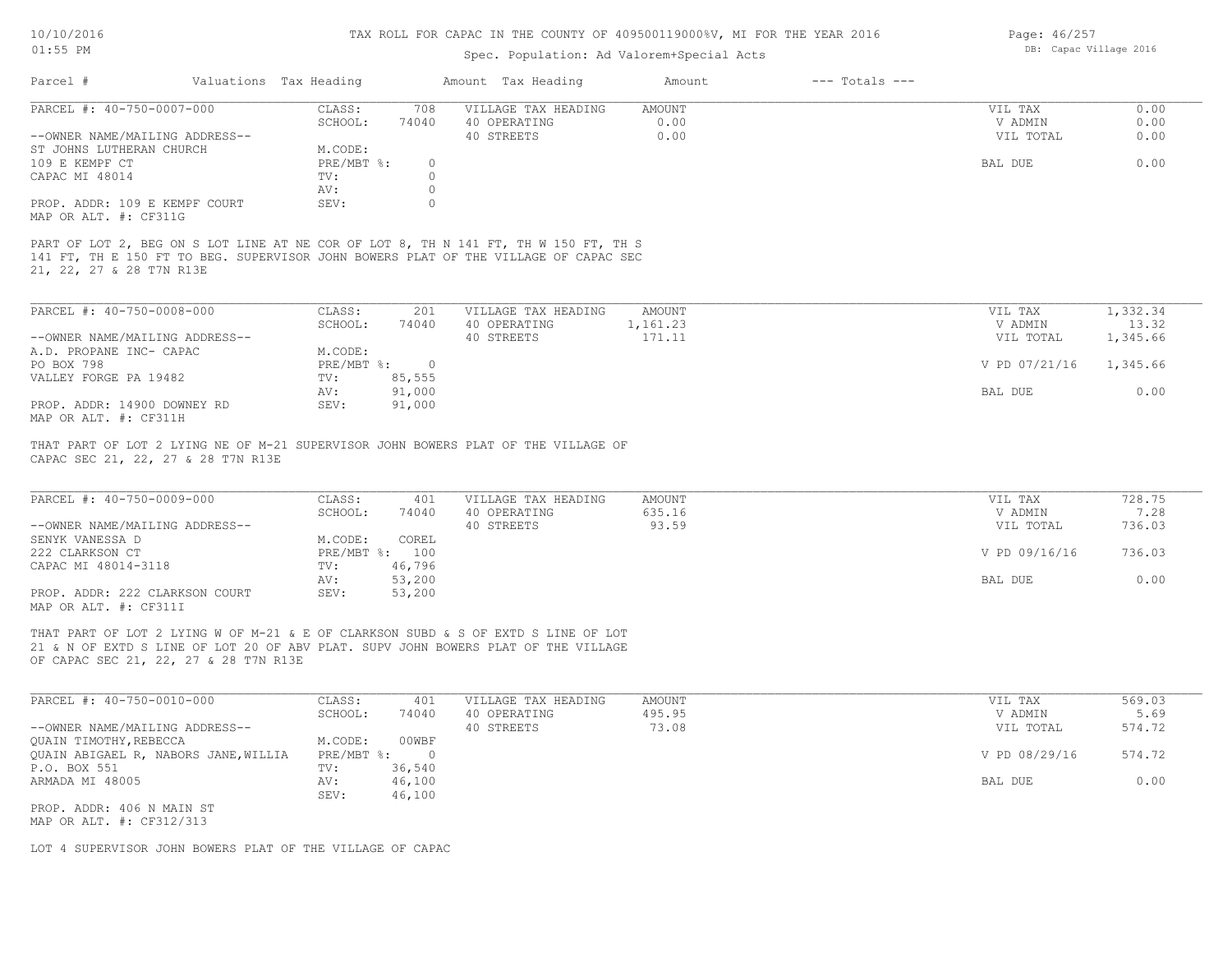## 10/10/2016 01:55 PM

#### TAX ROLL FOR CAPAC IN THE COUNTY OF 409500119000%V, MI FOR THE YEAR 2016

## Spec. Population: Ad Valorem+Special Acts

| Page: 46/257 |                        |  |
|--------------|------------------------|--|
|              | DB: Capac Village 2016 |  |

| Parcel #                       | Valuations Tax Heading |          | Amount Tax Heading                                                                                                                                                         | Amount | $---$ Totals $---$ |           |      |
|--------------------------------|------------------------|----------|----------------------------------------------------------------------------------------------------------------------------------------------------------------------------|--------|--------------------|-----------|------|
| PARCEL #: 40-750-0007-000      | CLASS:                 | 708      | VILLAGE TAX HEADING                                                                                                                                                        | AMOUNT |                    | VIL TAX   | 0.00 |
|                                | SCHOOL:                | 74040    | 40 OPERATING                                                                                                                                                               | 0.00   |                    | V ADMIN   | 0.00 |
| --OWNER NAME/MAILING ADDRESS-- |                        |          | 40 STREETS                                                                                                                                                                 | 0.00   |                    | VIL TOTAL | 0.00 |
| ST JOHNS LUTHERAN CHURCH       | M.CODE:                |          |                                                                                                                                                                            |        |                    |           |      |
| 109 E KEMPF CT                 | PRE/MBT %:             | $\Omega$ |                                                                                                                                                                            |        |                    | BAL DUE   | 0.00 |
| CAPAC MI 48014                 | TV:                    |          |                                                                                                                                                                            |        |                    |           |      |
|                                | AV:                    |          |                                                                                                                                                                            |        |                    |           |      |
| PROP. ADDR: 109 E KEMPF COURT  | SEV:                   |          |                                                                                                                                                                            |        |                    |           |      |
| MAP OR ALT. #: CF311G          |                        |          |                                                                                                                                                                            |        |                    |           |      |
| 21, 22, 27 & 28 T7N R13E       |                        |          | PART OF LOT 2, BEG ON S LOT LINE AT NE COR OF LOT 8, TH N 141 FT, TH W 150 FT, TH S<br>141 FT, TH E 150 FT TO BEG. SUPERVISOR JOHN BOWERS PLAT OF THE VILLAGE OF CAPAC SEC |        |                    |           |      |

| PARCEL #: 40-750-0008-000      | CLASS:     | 201    | VILLAGE TAX HEADING | AMOUNT   | VIL TAX                | 1,332.34 |  |
|--------------------------------|------------|--------|---------------------|----------|------------------------|----------|--|
|                                | SCHOOL:    | 74040  | 40 OPERATING        | 1,161.23 | V ADMIN                | 13.32    |  |
| --OWNER NAME/MAILING ADDRESS-- |            |        | 40 STREETS          | 171.11   | VIL TOTAL              | 1,345.66 |  |
| A.D. PROPANE INC- CAPAC        | M.CODE:    |        |                     |          |                        |          |  |
| PO BOX 798                     | PRE/MBT %: | $\Box$ |                     |          | V PD 07/21/16 1,345.66 |          |  |
| VALLEY FORGE PA 19482          | TV:        | 85,555 |                     |          |                        |          |  |
|                                | AV:        | 91,000 |                     |          | BAL DUE                | 0.00     |  |
| PROP. ADDR: 14900 DOWNEY RD    | SEV:       | 91,000 |                     |          |                        |          |  |
| MAP OR ALT. #: CF311H          |            |        |                     |          |                        |          |  |

 $\mathcal{L}_\mathcal{L} = \mathcal{L}_\mathcal{L} = \mathcal{L}_\mathcal{L} = \mathcal{L}_\mathcal{L} = \mathcal{L}_\mathcal{L} = \mathcal{L}_\mathcal{L} = \mathcal{L}_\mathcal{L} = \mathcal{L}_\mathcal{L} = \mathcal{L}_\mathcal{L} = \mathcal{L}_\mathcal{L} = \mathcal{L}_\mathcal{L} = \mathcal{L}_\mathcal{L} = \mathcal{L}_\mathcal{L} = \mathcal{L}_\mathcal{L} = \mathcal{L}_\mathcal{L} = \mathcal{L}_\mathcal{L} = \mathcal{L}_\mathcal{L}$ 

 $\mathcal{L}_\mathcal{L} = \mathcal{L}_\mathcal{L} = \mathcal{L}_\mathcal{L} = \mathcal{L}_\mathcal{L} = \mathcal{L}_\mathcal{L} = \mathcal{L}_\mathcal{L} = \mathcal{L}_\mathcal{L} = \mathcal{L}_\mathcal{L} = \mathcal{L}_\mathcal{L} = \mathcal{L}_\mathcal{L} = \mathcal{L}_\mathcal{L} = \mathcal{L}_\mathcal{L} = \mathcal{L}_\mathcal{L} = \mathcal{L}_\mathcal{L} = \mathcal{L}_\mathcal{L} = \mathcal{L}_\mathcal{L} = \mathcal{L}_\mathcal{L}$ 

CAPAC SEC 21, 22, 27 & 28 T7N R13E THAT PART OF LOT 2 LYING NE OF M-21 SUPERVISOR JOHN BOWERS PLAT OF THE VILLAGE OF

| PARCEL #: 40-750-0009-000      | CLASS:       | 401    | VILLAGE TAX HEADING | AMOUNT | VIL TAX       | 728.75 |
|--------------------------------|--------------|--------|---------------------|--------|---------------|--------|
|                                | SCHOOL:      | 74040  | 40 OPERATING        | 635.16 | V ADMIN       | 7.28   |
| --OWNER NAME/MAILING ADDRESS-- |              |        | 40 STREETS          | 93.59  | VIL TOTAL     | 736.03 |
| SENYK VANESSA D                | M.CODE:      | COREL  |                     |        |               |        |
| 222 CLARKSON CT                | $PRE/MBT$ %: | 100    |                     |        | V PD 09/16/16 | 736.03 |
| CAPAC MI 48014-3118            | TV:          | 46,796 |                     |        |               |        |
|                                | AV:          | 53,200 |                     |        | BAL DUE       | 0.00   |
| PROP. ADDR: 222 CLARKSON COURT | SEV:         | 53,200 |                     |        |               |        |
| MAP OR ALT. #: CF311I          |              |        |                     |        |               |        |

OF CAPAC SEC 21, 22, 27 & 28 T7N R13E 21 & N OF EXTD S LINE OF LOT 20 OF ABV PLAT. SUPV JOHN BOWERS PLAT OF THE VILLAGE THAT PART OF LOT 2 LYING W OF M-21 & E OF CLARKSON SUBD & S OF EXTD S LINE OF LOT

| PARCEL #: 40-750-0010-000            | CLASS:     | 401    | VILLAGE TAX HEADING | AMOUNT | VIL TAX       | 569.03 |
|--------------------------------------|------------|--------|---------------------|--------|---------------|--------|
|                                      | SCHOOL:    | 74040  | 40 OPERATING        | 495.95 | V ADMIN       | 5.69   |
| --OWNER NAME/MAILING ADDRESS--       |            |        | 40 STREETS          | 73.08  | VIL TOTAL     | 574.72 |
| QUAIN TIMOTHY, REBECCA               | M.CODE:    | 00WBF  |                     |        |               |        |
| QUAIN ABIGAEL R, NABORS JANE, WILLIA | PRE/MBT %: |        |                     |        | V PD 08/29/16 | 574.72 |
| P.O. BOX 551                         | TV:        | 36,540 |                     |        |               |        |
| ARMADA MI 48005                      | AV:        | 46,100 |                     |        | BAL DUE       | 0.00   |
|                                      | SEV:       | 46,100 |                     |        |               |        |
| PROP. ADDR: 406 N MAIN ST            |            |        |                     |        |               |        |

MAP OR ALT. #: CF312/313

LOT 4 SUPERVISOR JOHN BOWERS PLAT OF THE VILLAGE OF CAPAC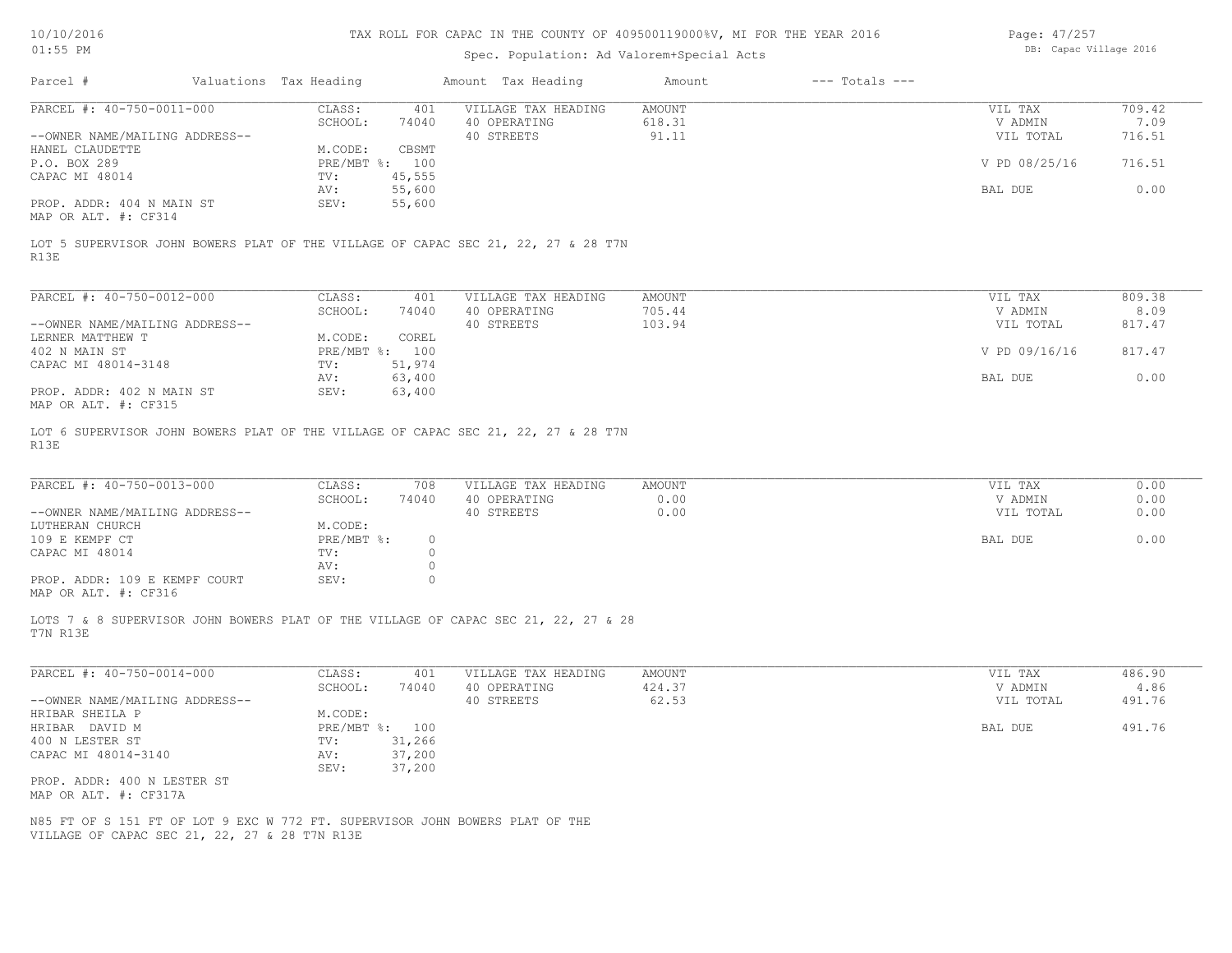## Spec. Population: Ad Valorem+Special Acts

| Page: 47/257 |                        |  |
|--------------|------------------------|--|
|              | DB: Capac Village 2016 |  |

|                                                                                                                                                         | Valuations Tax Heading         | Amount Tax Heading  | Amount<br>$---$ Totals $---$ |               |        |
|---------------------------------------------------------------------------------------------------------------------------------------------------------|--------------------------------|---------------------|------------------------------|---------------|--------|
| PARCEL #: 40-750-0011-000                                                                                                                               | CLASS:<br>401                  | VILLAGE TAX HEADING | AMOUNT                       | VIL TAX       | 709.42 |
|                                                                                                                                                         | SCHOOL:<br>74040               | 40 OPERATING        | 618.31                       | V ADMIN       | 7.09   |
| --OWNER NAME/MAILING ADDRESS--                                                                                                                          |                                | 40 STREETS          | 91.11                        | VIL TOTAL     | 716.51 |
| HANEL CLAUDETTE                                                                                                                                         | M.CODE:<br>CBSMT               |                     |                              |               |        |
| P.O. BOX 289                                                                                                                                            | PRE/MBT %: 100                 |                     |                              | V PD 08/25/16 | 716.51 |
| CAPAC MI 48014                                                                                                                                          | 45,555<br>TV:                  |                     |                              |               |        |
|                                                                                                                                                         | 55,600<br>AV:                  |                     |                              | BAL DUE       | 0.00   |
| PROP. ADDR: 404 N MAIN ST                                                                                                                               | SEV:<br>55,600                 |                     |                              |               |        |
| MAP OR ALT. #: CF314                                                                                                                                    |                                |                     |                              |               |        |
| LOT 5 SUPERVISOR JOHN BOWERS PLAT OF THE VILLAGE OF CAPAC SEC 21, 22, 27 & 28 T7N<br>R13E                                                               |                                |                     |                              |               |        |
|                                                                                                                                                         |                                |                     |                              |               |        |
| PARCEL #: 40-750-0012-000                                                                                                                               | CLASS:<br>401                  | VILLAGE TAX HEADING | <b>AMOUNT</b>                | VIL TAX       | 809.38 |
|                                                                                                                                                         | SCHOOL:<br>74040               | 40 OPERATING        | 705.44                       | V ADMIN       | 8.09   |
| --OWNER NAME/MAILING ADDRESS--                                                                                                                          |                                | 40 STREETS          | 103.94                       | VIL TOTAL     | 817.47 |
| LERNER MATTHEW T                                                                                                                                        | M.CODE:<br>COREL               |                     |                              |               |        |
| 402 N MAIN ST                                                                                                                                           | PRE/MBT %: 100                 |                     |                              | V PD 09/16/16 | 817.47 |
| CAPAC MI 48014-3148                                                                                                                                     | 51,974<br>TV:                  |                     |                              |               |        |
|                                                                                                                                                         |                                |                     |                              |               | 0.00   |
|                                                                                                                                                         | 63,400<br>AV:                  |                     |                              | BAL DUE       |        |
| PROP. ADDR: 402 N MAIN ST<br>MAP OR ALT. #: CF315                                                                                                       | SEV:<br>63,400                 |                     |                              |               |        |
| R13E                                                                                                                                                    |                                |                     |                              |               |        |
| PARCEL #: 40-750-0013-000                                                                                                                               | CLASS:<br>708                  | VILLAGE TAX HEADING | AMOUNT                       | VIL TAX       | 0.00   |
|                                                                                                                                                         | SCHOOL:<br>74040               | 40 OPERATING        | 0.00                         | V ADMIN       | 0.00   |
| --OWNER NAME/MAILING ADDRESS--                                                                                                                          |                                | 40 STREETS          | 0.00                         | VIL TOTAL     | 0.00   |
| LUTHERAN CHURCH                                                                                                                                         | M.CODE:                        |                     |                              |               |        |
| 109 E KEMPF CT                                                                                                                                          | $PRE/MBT$ %:<br>$\overline{0}$ |                     |                              | BAL DUE       | 0.00   |
|                                                                                                                                                         |                                |                     |                              |               |        |
|                                                                                                                                                         | $\circ$                        |                     |                              |               |        |
| CAPAC MI 48014                                                                                                                                          | TV:                            |                     |                              |               |        |
|                                                                                                                                                         | AV:<br>$\circ$                 |                     |                              |               |        |
|                                                                                                                                                         | SEV:<br>$\circ$                |                     |                              |               |        |
|                                                                                                                                                         |                                |                     |                              |               |        |
| PROP. ADDR: 109 E KEMPF COURT<br>MAP OR ALT. #: CF316<br>LOTS 7 & 8 SUPERVISOR JOHN BOWERS PLAT OF THE VILLAGE OF CAPAC SEC 21, 22, 27 & 28<br>T7N R13E |                                |                     |                              |               |        |
| PARCEL #: 40-750-0014-000                                                                                                                               | CLASS:<br>401                  | VILLAGE TAX HEADING | <b>AMOUNT</b>                | VIL TAX       | 486.90 |
|                                                                                                                                                         | SCHOOL:<br>74040               | 40 OPERATING        | 424.37                       | V ADMIN       | 4.86   |
|                                                                                                                                                         |                                | 40 STREETS          | 62.53                        | VIL TOTAL     | 491.76 |
|                                                                                                                                                         | M.CODE:                        |                     |                              |               |        |
|                                                                                                                                                         | PRE/MBT %: 100                 |                     |                              | BAL DUE       | 491.76 |
|                                                                                                                                                         | TV:                            |                     |                              |               |        |
|                                                                                                                                                         | 31,266                         |                     |                              |               |        |
| --OWNER NAME/MAILING ADDRESS--<br>HRIBAR SHEILA P<br>HRIBAR DAVID M<br>400 N LESTER ST<br>CAPAC MI 48014-3140                                           | 37,200<br>AV:                  |                     |                              |               |        |
|                                                                                                                                                         | SEV:<br>37,200                 |                     |                              |               |        |
| PROP. ADDR: 400 N LESTER ST                                                                                                                             |                                |                     |                              |               |        |
| MAP OR ALT. #: CF317A                                                                                                                                   |                                |                     |                              |               |        |
|                                                                                                                                                         |                                |                     |                              |               |        |
| N85 FT OF S 151 FT OF LOT 9 EXC W 772 FT. SUPERVISOR JOHN BOWERS PLAT OF THE<br>VILLAGE OF CAPAC SEC 21, 22, 27 & 28 T7N R13E                           |                                |                     |                              |               |        |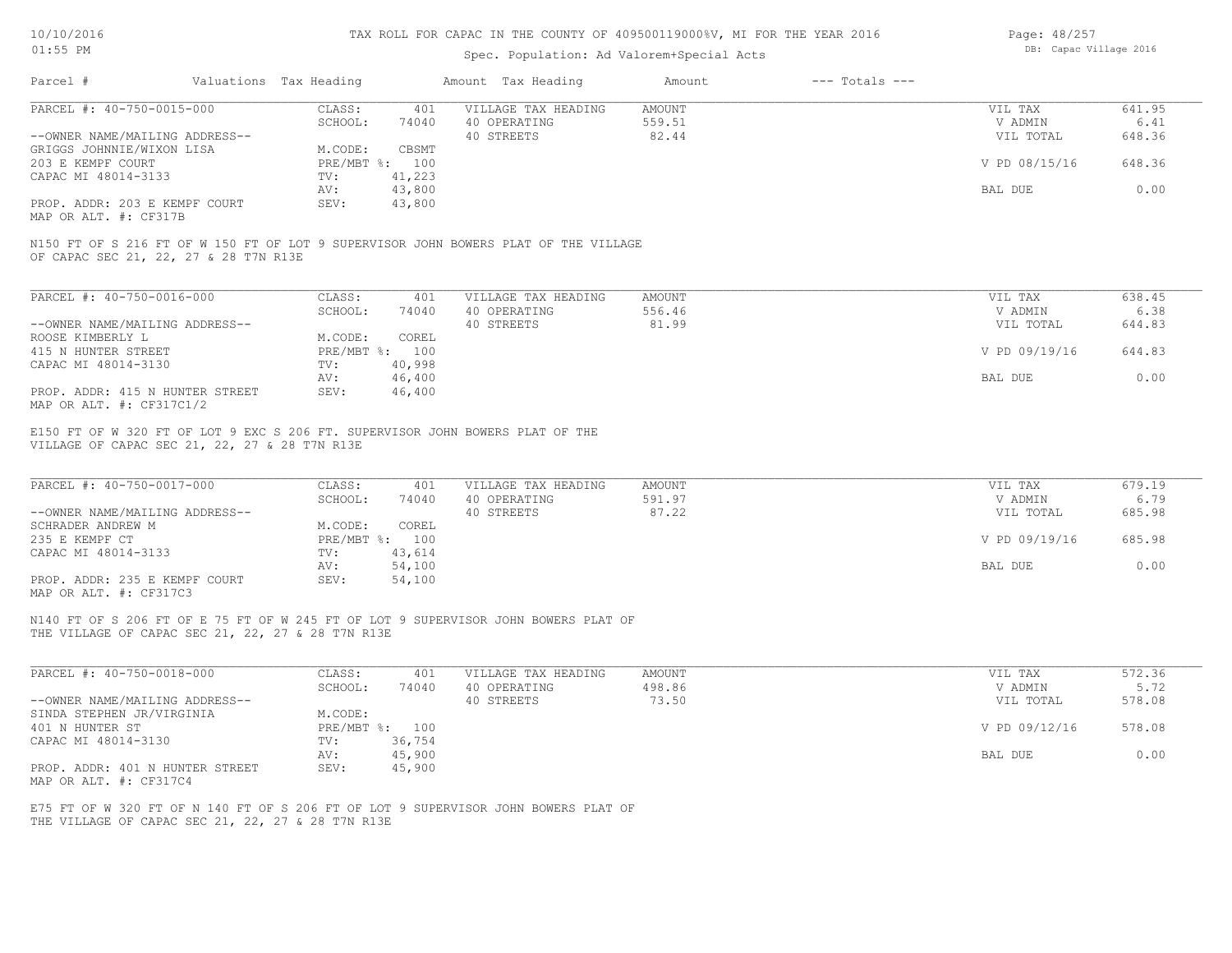| Page: 48/257           |  |
|------------------------|--|
| DB: Capac Village 2016 |  |

| $01:55$ PM                                                                                                                              |                                    | Spec. Population: Ad Valorem+Special Acts | DB: Capac Village 2016       |                    |                |
|-----------------------------------------------------------------------------------------------------------------------------------------|------------------------------------|-------------------------------------------|------------------------------|--------------------|----------------|
| Parcel #<br>Valuations Tax Heading                                                                                                      |                                    | Amount Tax Heading                        | $---$ Totals $---$<br>Amount |                    |                |
| PARCEL #: 40-750-0015-000                                                                                                               | CLASS:<br>401                      | VILLAGE TAX HEADING                       | <b>AMOUNT</b>                | VIL TAX            | 641.95         |
|                                                                                                                                         | SCHOOL:<br>74040                   | 40 OPERATING                              | 559.51                       | V ADMIN            | 6.41           |
| --OWNER NAME/MAILING ADDRESS--<br>GRIGGS JOHNNIE/WIXON LISA                                                                             | CBSMT                              | 40 STREETS                                | 82.44                        | VIL TOTAL          | 648.36         |
| 203 E KEMPF COURT                                                                                                                       | M.CODE:<br>PRE/MBT %: 100          |                                           |                              | V PD 08/15/16      | 648.36         |
| CAPAC MI 48014-3133                                                                                                                     | 41,223<br>TV:                      |                                           |                              |                    |                |
|                                                                                                                                         | 43,800<br>AV:                      |                                           |                              | BAL DUE            | 0.00           |
| PROP. ADDR: 203 E KEMPF COURT<br>MAP OR ALT. #: CF317B                                                                                  | SEV:<br>43,800                     |                                           |                              |                    |                |
| N150 FT OF S 216 FT OF W 150 FT OF LOT 9 SUPERVISOR JOHN BOWERS PLAT OF THE VILLAGE<br>OF CAPAC SEC 21, 22, 27 & 28 T7N R13E            |                                    |                                           |                              |                    |                |
| PARCEL #: 40-750-0016-000                                                                                                               | CLASS:<br>401                      | VILLAGE TAX HEADING                       | <b>AMOUNT</b>                | VIL TAX            | 638.45         |
|                                                                                                                                         | SCHOOL:<br>74040                   | 40 OPERATING                              | 556.46                       | V ADMIN            | 6.38           |
| --OWNER NAME/MAILING ADDRESS--                                                                                                          |                                    | 40 STREETS                                | 81.99                        | VIL TOTAL          | 644.83         |
| ROOSE KIMBERLY L<br>415 N HUNTER STREET                                                                                                 | M.CODE:<br>COREL<br>PRE/MBT %: 100 |                                           |                              | V PD 09/19/16      | 644.83         |
| CAPAC MI 48014-3130                                                                                                                     | 40,998<br>TV:                      |                                           |                              |                    |                |
|                                                                                                                                         | 46,400<br>AV:                      |                                           |                              | BAL DUE            | 0.00           |
| PROP. ADDR: 415 N HUNTER STREET<br>MAP OR ALT. #: CF317C1/2                                                                             | SEV:<br>46,400                     |                                           |                              |                    |                |
| VILLAGE OF CAPAC SEC 21, 22, 27 & 28 T7N R13E                                                                                           |                                    |                                           |                              |                    |                |
| PARCEL #: 40-750-0017-000                                                                                                               | CLASS:<br>401<br>SCHOOL:<br>74040  | VILLAGE TAX HEADING<br>40 OPERATING       | <b>AMOUNT</b><br>591.97      | VIL TAX<br>V ADMIN | 679.19<br>6.79 |
| --OWNER NAME/MAILING ADDRESS--                                                                                                          |                                    | 40 STREETS                                | 87.22                        | VIL TOTAL          | 685.98         |
| SCHRADER ANDREW M                                                                                                                       | M.CODE:<br>COREL                   |                                           |                              |                    |                |
| 235 E KEMPF CT                                                                                                                          | PRE/MBT %: 100                     |                                           |                              | V PD 09/19/16      | 685.98         |
| CAPAC MI 48014-3133                                                                                                                     | TV:<br>43,614<br>54,100<br>AV:     |                                           |                              | BAL DUE            | 0.00           |
| PROP. ADDR: 235 E KEMPF COURT                                                                                                           | 54,100<br>SEV:                     |                                           |                              |                    |                |
| MAP OR ALT. #: CF317C3                                                                                                                  |                                    |                                           |                              |                    |                |
| N140 FT OF S 206 FT OF E 75 FT OF W 245 FT OF LOT 9 SUPERVISOR JOHN BOWERS PLAT OF<br>THE VILLAGE OF CAPAC SEC 21, 22, 27 & 28 T7N R13E |                                    |                                           |                              |                    |                |
| PARCEL #: 40-750-0018-000                                                                                                               | CLASS:<br>401                      | VILLAGE TAX HEADING                       | <b>AMOUNT</b>                | VIL TAX            | 572.36         |
|                                                                                                                                         | SCHOOL:<br>74040                   | 40 OPERATING                              | 498.86                       | V ADMIN            | 5.72           |
| --OWNER NAME/MAILING ADDRESS--                                                                                                          |                                    | 40 STREETS                                | 73.50                        | VIL TOTAL          | 578.08         |
| SINDA STEPHEN JR/VIRGINIA<br>401 N HUNTER ST                                                                                            | M.CODE:<br>PRE/MBT %: 100          |                                           |                              | V PD 09/12/16      | 578.08         |
| CAPAC MI 48014-3130                                                                                                                     | 36,754<br>TV:                      |                                           |                              |                    |                |
|                                                                                                                                         | 45,900<br>AV:                      |                                           |                              | BAL DUE            | 0.00           |
| PROP. ADDR: 401 N HUNTER STREET                                                                                                         | SEV:<br>45,900                     |                                           |                              |                    |                |
| MAP OR ALT. #: CF317C4                                                                                                                  |                                    |                                           |                              |                    |                |
| E75 FT OF W 320 FT OF N 140 FT OF S 206 FT OF LOT 9 SUPERVISOR JOHN BOWERS PLAT OF<br>THE VILLAGE OF CAPAC SEC 21, 22, 27 & 28 T7N R13E |                                    |                                           |                              |                    |                |
|                                                                                                                                         |                                    |                                           |                              |                    |                |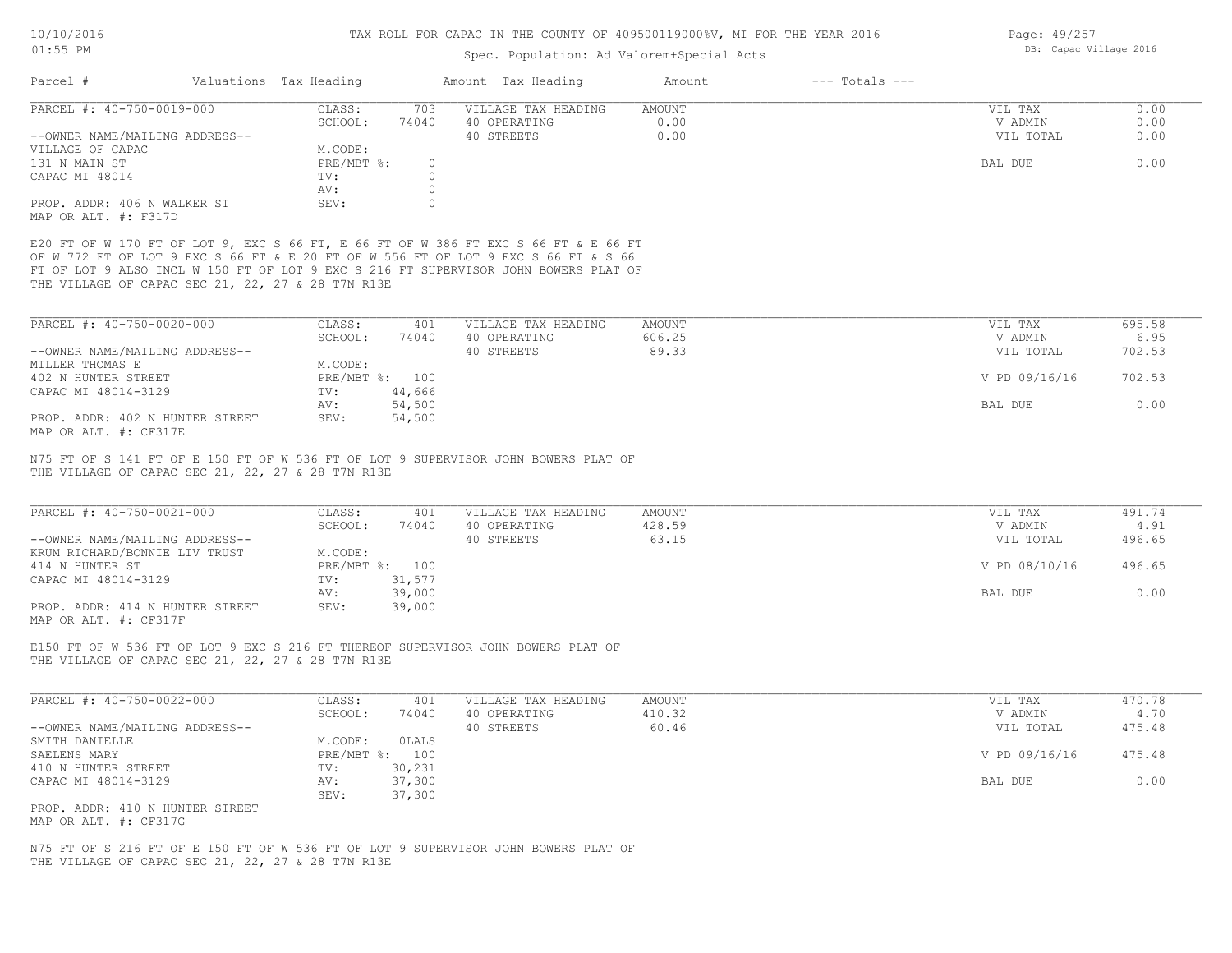## Spec. Population: Ad Valorem+Special Acts

| Parcel #                       | Valuations Tax Heading |       | Amount Tax Heading                                                                  | Amount | $---$ Totals $---$ |           |      |
|--------------------------------|------------------------|-------|-------------------------------------------------------------------------------------|--------|--------------------|-----------|------|
| PARCEL #: 40-750-0019-000      | CLASS:                 | 703   | VILLAGE TAX HEADING                                                                 | AMOUNT |                    | VIL TAX   | 0.00 |
|                                | SCHOOL:                | 74040 | 40 OPERATING                                                                        | 0.00   |                    | V ADMIN   | 0.00 |
| --OWNER NAME/MAILING ADDRESS-- |                        |       | 40 STREETS                                                                          | 0.00   |                    | VIL TOTAL | 0.00 |
| VILLAGE OF CAPAC               | M.CODE:                |       |                                                                                     |        |                    |           |      |
| 131 N MAIN ST                  | $PRE/MBT$ %:           |       |                                                                                     |        |                    | BAL DUE   | 0.00 |
| CAPAC MI 48014                 | TV:                    |       |                                                                                     |        |                    |           |      |
|                                | AV:                    |       |                                                                                     |        |                    |           |      |
| PROP. ADDR: 406 N WALKER ST    | SEV:                   |       |                                                                                     |        |                    |           |      |
| MAP OR ALT. #: F317D           |                        |       |                                                                                     |        |                    |           |      |
|                                |                        |       | E20 FT OF W 170 FT OF LOT 9, EXC S 66 FT, E 66 FT OF W 386 FT EXC S 66 FT & E 66 FT |        |                    |           |      |
|                                |                        |       | OF W 772 FT OF LOT 9 EXC S 66 FT & E 20 FT OF W 556 FT OF LOT 9 EXC S 66 FT & S 66  |        |                    |           |      |
|                                |                        |       | FT OF LOT 9 ALSO INCL W 150 FT OF LOT 9 EXC S 216 FT SUPERVISOR JOHN BOWERS PLAT OF |        |                    |           |      |

THE VILLAGE OF CAPAC SEC 21, 22, 27 & 28 T7N R13E

| PARCEL #: 40-750-0020-000       | CLASS:     | 401    | VILLAGE TAX HEADING | AMOUNT | VIL TAX       | 695.58 |
|---------------------------------|------------|--------|---------------------|--------|---------------|--------|
|                                 | SCHOOL:    | 74040  | 40 OPERATING        | 606.25 | V ADMIN       | 6.95   |
| --OWNER NAME/MAILING ADDRESS--  |            |        | 40 STREETS          | 89.33  | VIL TOTAL     | 702.53 |
| MILLER THOMAS E                 | M.CODE:    |        |                     |        |               |        |
| 402 N HUNTER STREET             | PRE/MBT %: | 100    |                     |        | V PD 09/16/16 | 702.53 |
| CAPAC MI 48014-3129             | TV:        | 44,666 |                     |        |               |        |
|                                 | AV:        | 54,500 |                     |        | BAL DUE       | 0.00   |
| PROP. ADDR: 402 N HUNTER STREET | SEV:       | 54,500 |                     |        |               |        |
| MAP OR ALT. #: CF317E           |            |        |                     |        |               |        |

THE VILLAGE OF CAPAC SEC 21, 22, 27 & 28 T7N R13E N75 FT OF S 141 FT OF E 150 FT OF W 536 FT OF LOT 9 SUPERVISOR JOHN BOWERS PLAT OF

| PARCEL #: 40-750-0021-000       | CLASS:  | 401            | VILLAGE TAX HEADING | AMOUNT | VIL TAX       | 491.74 |
|---------------------------------|---------|----------------|---------------------|--------|---------------|--------|
|                                 | SCHOOL: | 74040          | 40 OPERATING        | 428.59 | V ADMIN       | 4.91   |
| --OWNER NAME/MAILING ADDRESS--  |         |                | 40 STREETS          | 63.15  | VIL TOTAL     | 496.65 |
| KRUM RICHARD/BONNIE LIV TRUST   | M.CODE: |                |                     |        |               |        |
| 414 N HUNTER ST                 |         | PRE/MBT %: 100 |                     |        | V PD 08/10/16 | 496.65 |
| CAPAC MI 48014-3129             | TV:     | 31,577         |                     |        |               |        |
|                                 | AV:     | 39,000         |                     |        | BAL DUE       | 0.00   |
| PROP. ADDR: 414 N HUNTER STREET | SEV:    | 39,000         |                     |        |               |        |
| $\frac{1}{2}$                   |         |                |                     |        |               |        |

MAP OR ALT. #: CF317F

THE VILLAGE OF CAPAC SEC 21, 22, 27 & 28 T7N R13E E150 FT OF W 536 FT OF LOT 9 EXC S 216 FT THEREOF SUPERVISOR JOHN BOWERS PLAT OF

| PARCEL #: 40-750-0022-000       | CLASS:       | 401    | VILLAGE TAX HEADING | AMOUNT | VIL TAX       | 470.78 |
|---------------------------------|--------------|--------|---------------------|--------|---------------|--------|
|                                 | SCHOOL:      | 74040  | 40 OPERATING        | 410.32 | V ADMIN       | 4.70   |
| --OWNER NAME/MAILING ADDRESS--  |              |        | 40 STREETS          | 60.46  | VIL TOTAL     | 475.48 |
| SMITH DANIELLE                  | M.CODE:      | OLALS  |                     |        |               |        |
| SAELENS MARY                    | $PRE/MBT$ %: | 100    |                     |        | V PD 09/16/16 | 475.48 |
| 410 N HUNTER STREET             | TV:          | 30,231 |                     |        |               |        |
| CAPAC MI 48014-3129             | AV:          | 37,300 |                     |        | BAL DUE       | 0.00   |
|                                 | SEV:         | 37,300 |                     |        |               |        |
| PROP. ADDR: 410 N HUNTER STREET |              |        |                     |        |               |        |

MAP OR ALT. #: CF317G

THE VILLAGE OF CAPAC SEC 21, 22, 27 & 28 T7N R13E N75 FT OF S 216 FT OF E 150 FT OF W 536 FT OF LOT 9 SUPERVISOR JOHN BOWERS PLAT OF Page: 49/257 DB: Capac Village 2016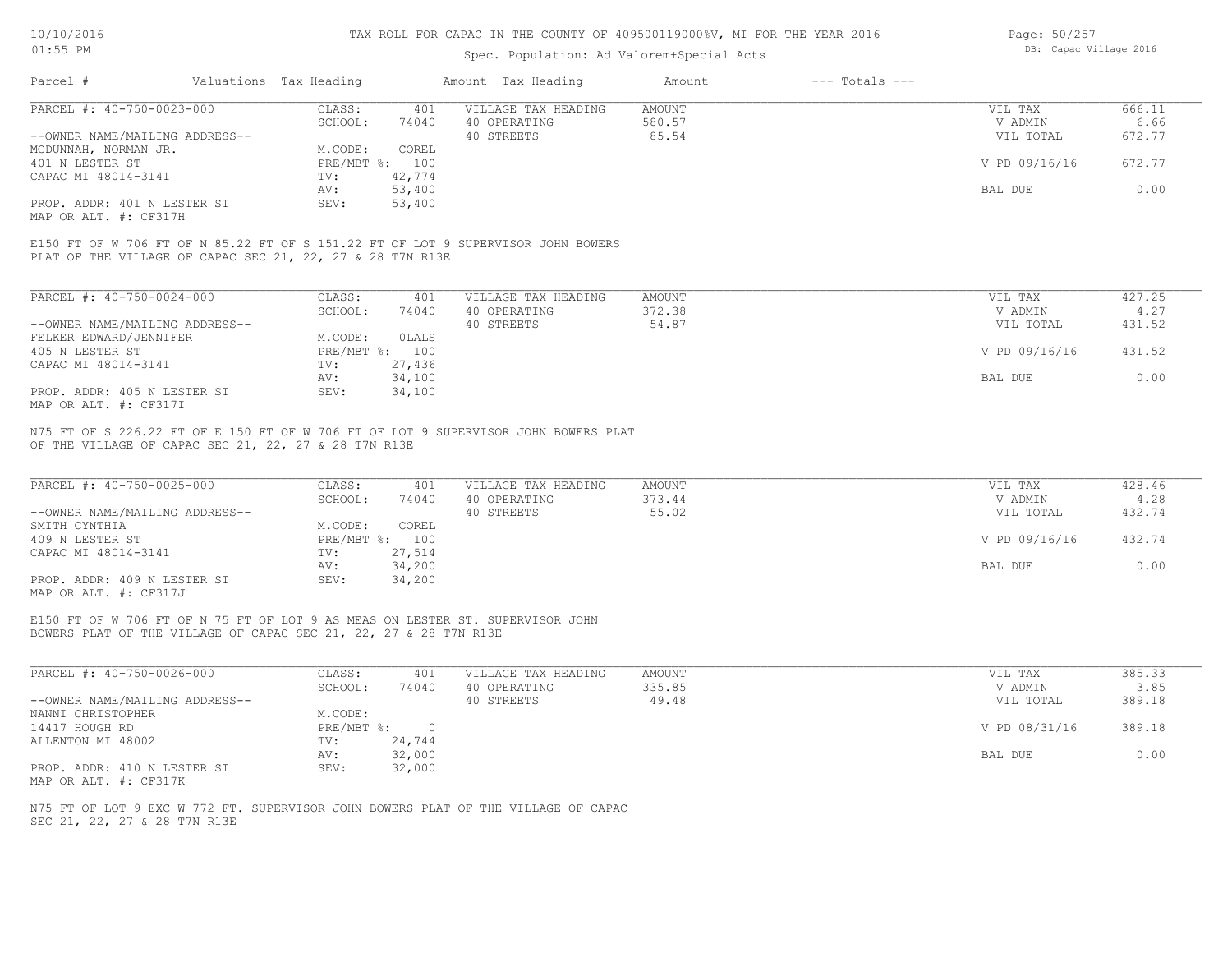#### Spec. Population: Ad Valorem+Special Acts

| Page: 50/257 |                        |  |
|--------------|------------------------|--|
|              | DB: Capac Village 2016 |  |

| Parcel #                       | Valuations Tax Heading |        | Amount Tax Heading  | Amount | $---$ Totals $---$ |               |        |
|--------------------------------|------------------------|--------|---------------------|--------|--------------------|---------------|--------|
| PARCEL #: 40-750-0023-000      | CLASS:                 | 401    | VILLAGE TAX HEADING | AMOUNT |                    | VIL TAX       | 666.11 |
|                                | SCHOOL:                | 74040  | 40 OPERATING        | 580.57 |                    | V ADMIN       | 6.66   |
| --OWNER NAME/MAILING ADDRESS-- |                        |        | 40 STREETS          | 85.54  |                    | VIL TOTAL     | 672.77 |
| MCDUNNAH, NORMAN JR.           | M.CODE:                | COREL  |                     |        |                    |               |        |
| 401 N LESTER ST                | PRE/MBT %:             | 100    |                     |        |                    | V PD 09/16/16 | 672.77 |
| CAPAC MI 48014-3141            | TV:                    | 42,774 |                     |        |                    |               |        |
|                                | AV:                    | 53,400 |                     |        |                    | BAL DUE       | 0.00   |
| PROP. ADDR: 401 N LESTER ST    | SEV:                   | 53,400 |                     |        |                    |               |        |
|                                |                        |        |                     |        |                    |               |        |

MAP OR ALT. #: CF317H

PLAT OF THE VILLAGE OF CAPAC SEC 21, 22, 27 & 28 T7N R13E E150 FT OF W 706 FT OF N 85.22 FT OF S 151.22 FT OF LOT 9 SUPERVISOR JOHN BOWERS

| PARCEL #: 40-750-0024-000      | CLASS:     | 401    | VILLAGE TAX HEADING | AMOUNT | VIL TAX       | 427.25 |
|--------------------------------|------------|--------|---------------------|--------|---------------|--------|
|                                | SCHOOL:    | 74040  | 40 OPERATING        | 372.38 | V ADMIN       | 4.27   |
| --OWNER NAME/MAILING ADDRESS-- |            |        | 40 STREETS          | 54.87  | VIL TOTAL     | 431.52 |
| FELKER EDWARD/JENNIFER         | M.CODE:    | OLALS  |                     |        |               |        |
| 405 N LESTER ST                | PRE/MBT %: | 100    |                     |        | V PD 09/16/16 | 431.52 |
| CAPAC MI 48014-3141            | TV:        | 27,436 |                     |        |               |        |
|                                | AV:        | 34,100 |                     |        | BAL DUE       | 0.00   |
| PROP. ADDR: 405 N LESTER ST    | SEV:       | 34,100 |                     |        |               |        |
| MAP OR ALT. #: CF317I          |            |        |                     |        |               |        |

OF THE VILLAGE OF CAPAC SEC 21, 22, 27 & 28 T7N R13E N75 FT OF S 226.22 FT OF E 150 FT OF W 706 FT OF LOT 9 SUPERVISOR JOHN BOWERS PLAT

| PARCEL #: 40-750-0025-000      | CLASS:  | 401            | VILLAGE TAX HEADING | AMOUNT | VIL TAX       | 428.46 |
|--------------------------------|---------|----------------|---------------------|--------|---------------|--------|
|                                | SCHOOL: | 74040          | 40 OPERATING        | 373.44 | V ADMIN       | 4.28   |
| --OWNER NAME/MAILING ADDRESS-- |         |                | 40 STREETS          | 55.02  | VIL TOTAL     | 432.74 |
| SMITH CYNTHIA                  | M.CODE: | COREL          |                     |        |               |        |
| 409 N LESTER ST                |         | PRE/MBT %: 100 |                     |        | V PD 09/16/16 | 432.74 |
| CAPAC MI 48014-3141            | TV:     | 27,514         |                     |        |               |        |
|                                | AV:     | 34,200         |                     |        | BAL DUE       | 0.00   |
| PROP. ADDR: 409 N LESTER ST    | SEV:    | 34,200         |                     |        |               |        |
| MAP OR ALT. #: CF317J          |         |                |                     |        |               |        |

BOWERS PLAT OF THE VILLAGE OF CAPAC SEC 21, 22, 27 & 28 T7N R13E E150 FT OF W 706 FT OF N 75 FT OF LOT 9 AS MEAS ON LESTER ST. SUPERVISOR JOHN

| PARCEL #: 40-750-0026-000      | CLASS:     | 401    | VILLAGE TAX HEADING | AMOUNT | VIL TAX       | 385.33 |
|--------------------------------|------------|--------|---------------------|--------|---------------|--------|
|                                | SCHOOL:    | 74040  | 40 OPERATING        | 335.85 | V ADMIN       | 3.85   |
| --OWNER NAME/MAILING ADDRESS-- |            |        | 40 STREETS          | 49.48  | VIL TOTAL     | 389.18 |
| NANNI CHRISTOPHER              | M.CODE:    |        |                     |        |               |        |
| 14417 HOUGH RD                 | PRE/MBT %: |        |                     |        | V PD 08/31/16 | 389.18 |
| ALLENTON MI 48002              | TV:        | 24,744 |                     |        |               |        |
|                                | AV:        | 32,000 |                     |        | BAL DUE       | 0.00   |
| PROP. ADDR: 410 N LESTER ST    | SEV:       | 32,000 |                     |        |               |        |
| MAP OR ALT. #: CF317K          |            |        |                     |        |               |        |

SEC 21, 22, 27 & 28 T7N R13E N75 FT OF LOT 9 EXC W 772 FT. SUPERVISOR JOHN BOWERS PLAT OF THE VILLAGE OF CAPAC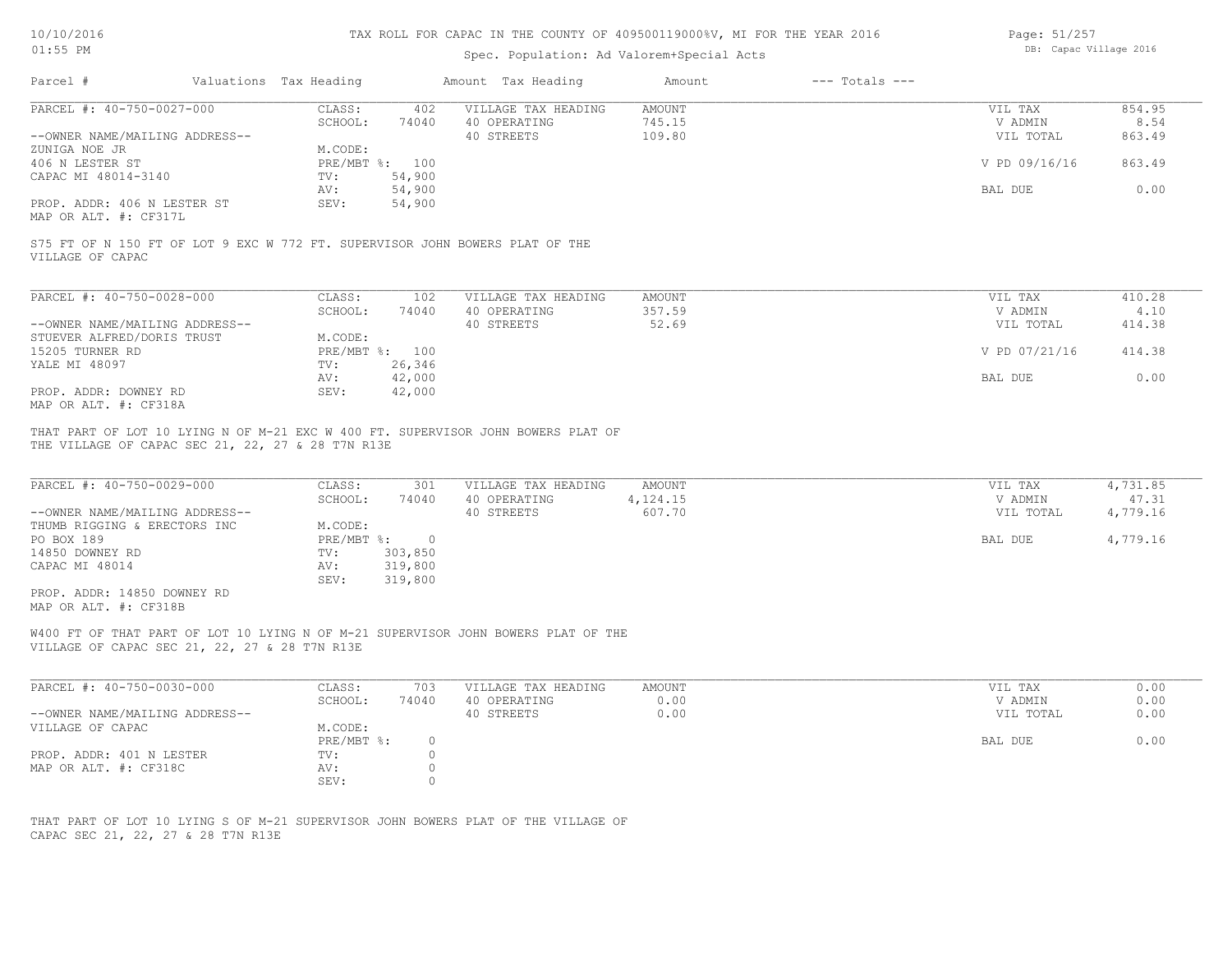# 10/10/2016

## TAX ROLL FOR CAPAC IN THE COUNTY OF 409500119000%V, MI FOR THE YEAR 2016

Page: 51/257

| $01:55$ PM                                                                                                                                                                                                                           |                        |                                               | $-244$<br>DB: Capac Village 2016                  |                               |                    |                                 |                               |
|--------------------------------------------------------------------------------------------------------------------------------------------------------------------------------------------------------------------------------------|------------------------|-----------------------------------------------|---------------------------------------------------|-------------------------------|--------------------|---------------------------------|-------------------------------|
| Parcel #                                                                                                                                                                                                                             | Valuations Tax Heading |                                               | Amount Tax Heading                                | Amount                        | $---$ Totals $---$ |                                 |                               |
| PARCEL #: 40-750-0027-000<br>--OWNER NAME/MAILING ADDRESS--                                                                                                                                                                          | CLASS:                 | 402<br>SCHOOL:<br>74040                       | VILLAGE TAX HEADING<br>40 OPERATING<br>40 STREETS | AMOUNT<br>745.15<br>109.80    |                    | VIL TAX<br>V ADMIN<br>VIL TOTAL | 854.95<br>8.54<br>863.49      |
| ZUNIGA NOE JR<br>406 N LESTER ST<br>CAPAC MI 48014-3140                                                                                                                                                                              | TV:                    | M.CODE:<br>PRE/MBT %: 100<br>54,900           |                                                   |                               |                    | V PD 09/16/16                   | 863.49                        |
| PROP. ADDR: 406 N LESTER ST<br>MAP OR ALT. #: CF317L                                                                                                                                                                                 | AV:<br>SEV:            | 54,900<br>54,900                              |                                                   |                               |                    | BAL DUE                         | 0.00                          |
| S75 FT OF N 150 FT OF LOT 9 EXC W 772 FT. SUPERVISOR JOHN BOWERS PLAT OF THE<br>VILLAGE OF CAPAC                                                                                                                                     |                        |                                               |                                                   |                               |                    |                                 |                               |
| PARCEL #: 40-750-0028-000                                                                                                                                                                                                            | CLASS:                 | 102                                           | VILLAGE TAX HEADING                               | AMOUNT                        |                    | VIL TAX                         | 410.28                        |
| --OWNER NAME/MAILING ADDRESS--<br>STUEVER ALFRED/DORIS TRUST                                                                                                                                                                         |                        | SCHOOL:<br>74040<br>M.CODE:                   | 40 OPERATING<br>40 STREETS                        | 357.59<br>52.69               |                    | V ADMIN<br>VIL TOTAL            | 4.10<br>414.38                |
| 15205 TURNER RD<br>YALE MI 48097                                                                                                                                                                                                     | TV:                    | PRE/MBT %: 100<br>26,346                      |                                                   |                               |                    | V PD 07/21/16                   | 414.38                        |
| PROP. ADDR: DOWNEY RD<br>MAP OR ALT. #: CF318A                                                                                                                                                                                       | AV:<br>SEV:            | 42,000<br>42,000                              |                                                   |                               |                    | BAL DUE                         | 0.00                          |
| THAT PART OF LOT 10 LYING N OF M-21 EXC W 400 FT. SUPERVISOR JOHN BOWERS PLAT OF<br>THE VILLAGE OF CAPAC SEC 21, 22, 27 & 28 T7N R13E<br>PARCEL #: 40-750-0029-000<br>--OWNER NAME/MAILING ADDRESS--<br>THUMB RIGGING & ERECTORS INC | CLASS:                 | 301<br>SCHOOL:<br>74040<br>M.CODE:            | VILLAGE TAX HEADING<br>40 OPERATING<br>40 STREETS | AMOUNT<br>4,124.15<br>607.70  |                    | VIL TAX<br>V ADMIN<br>VIL TOTAL | 4,731.85<br>47.31<br>4,779.16 |
| PO BOX 189<br>14850 DOWNEY RD<br>CAPAC MI 48014<br>PROP. ADDR: 14850 DOWNEY RD                                                                                                                                                       | TV:<br>AV:<br>SEV:     | PRE/MBT %: 0<br>303,850<br>319,800<br>319,800 |                                                   |                               |                    | BAL DUE                         | 4,779.16                      |
| MAP OR ALT. #: CF318B<br>W400 FT OF THAT PART OF LOT 10 LYING N OF M-21 SUPERVISOR JOHN BOWERS PLAT OF THE<br>VILLAGE OF CAPAC SEC 21, 22, 27 & 28 T7N R13E                                                                          |                        |                                               |                                                   |                               |                    |                                 |                               |
| PARCEL #: 40-750-0030-000<br>--OWNER NAME/MAILING ADDRESS--                                                                                                                                                                          | CLASS:                 | 703<br>SCHOOL:<br>74040                       | VILLAGE TAX HEADING<br>40 OPERATING<br>40 STREETS | <b>AMOUNT</b><br>0.00<br>0.00 |                    | VIL TAX<br>V ADMIN<br>VIL TOTAL | 0.00<br>0.00<br>0.00          |
| VILLAGE OF CAPAC                                                                                                                                                                                                                     |                        | M.CODE:<br>$\circ$<br>PRE/MBT %:              |                                                   |                               |                    | BAL DUE                         | 0.00                          |
| PROP. ADDR: 401 N LESTER<br>MAP OR ALT. #: CF318C                                                                                                                                                                                    | TV:<br>AV:<br>SEV:     | $\circ$<br>0<br>$\circ$                       |                                                   |                               |                    |                                 |                               |
| THAT PART OF LOT 10 LYING S OF M-21 SUPERVISOR JOHN BOWERS PLAT OF THE VILLAGE OF<br>CAPAC SEC 21, 22, 27 & 28 T7N R13E                                                                                                              |                        |                                               |                                                   |                               |                    |                                 |                               |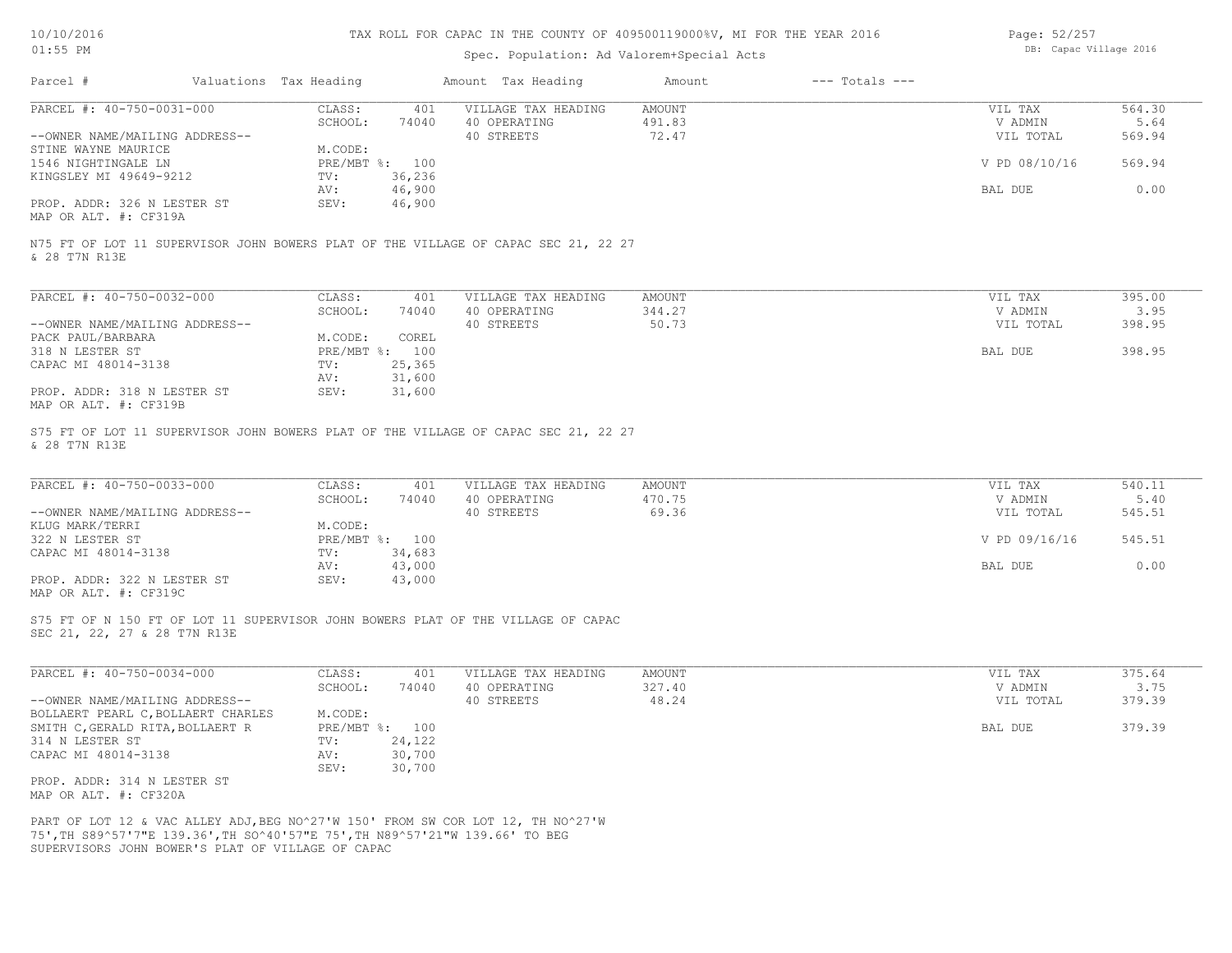| 10/10/2016 |  |
|------------|--|
| $01:55$ PM |  |

# Spec. Population: Ad Valorem+Special Acts

| Page: 52/257 |                        |  |
|--------------|------------------------|--|
|              | DB: Capac Village 2016 |  |

| Parcel #<br>Valuations Tax Heading                                                                                                |                                   | Amount Tax Heading                  | Amount           | $---$ Totals $---$ |                    |                |
|-----------------------------------------------------------------------------------------------------------------------------------|-----------------------------------|-------------------------------------|------------------|--------------------|--------------------|----------------|
| PARCEL #: 40-750-0031-000                                                                                                         | CLASS:<br>401<br>SCHOOL:<br>74040 | VILLAGE TAX HEADING<br>40 OPERATING | AMOUNT<br>491.83 |                    | VIL TAX<br>V ADMIN | 564.30<br>5.64 |
| --OWNER NAME/MAILING ADDRESS--                                                                                                    |                                   | 40 STREETS                          | 72.47            |                    | VIL TOTAL          | 569.94         |
| STINE WAYNE MAURICE                                                                                                               | M.CODE:                           |                                     |                  |                    |                    |                |
| 1546 NIGHTINGALE LN                                                                                                               | PRE/MBT %: 100                    |                                     |                  |                    | V PD 08/10/16      | 569.94         |
| KINGSLEY MI 49649-9212                                                                                                            | 36,236<br>TV:<br>46,900<br>AV:    |                                     |                  |                    | BAL DUE            | 0.00           |
| PROP. ADDR: 326 N LESTER ST                                                                                                       | SEV:<br>46,900                    |                                     |                  |                    |                    |                |
| MAP OR ALT. #: CF319A                                                                                                             |                                   |                                     |                  |                    |                    |                |
| N75 FT OF LOT 11 SUPERVISOR JOHN BOWERS PLAT OF THE VILLAGE OF CAPAC SEC 21, 22 27<br>& 28 T7N R13E                               |                                   |                                     |                  |                    |                    |                |
| PARCEL #: 40-750-0032-000                                                                                                         | CLASS:<br>401                     | VILLAGE TAX HEADING                 | AMOUNT           |                    | VIL TAX            | 395.00         |
|                                                                                                                                   | SCHOOL:<br>74040                  | 40 OPERATING                        | 344.27           |                    | V ADMIN            | 3.95           |
| --OWNER NAME/MAILING ADDRESS--                                                                                                    |                                   | 40 STREETS                          | 50.73            |                    | VIL TOTAL          | 398.95         |
| PACK PAUL/BARBARA                                                                                                                 | M.CODE:<br>COREL                  |                                     |                  |                    |                    |                |
| 318 N LESTER ST                                                                                                                   | PRE/MBT %: 100                    |                                     |                  |                    | BAL DUE            | 398.95         |
| CAPAC MI 48014-3138                                                                                                               | 25,365<br>TV:<br>31,600<br>AV:    |                                     |                  |                    |                    |                |
| PROP. ADDR: 318 N LESTER ST                                                                                                       | SEV:<br>31,600                    |                                     |                  |                    |                    |                |
| MAP OR ALT. #: CF319B                                                                                                             |                                   |                                     |                  |                    |                    |                |
| S75 FT OF LOT 11 SUPERVISOR JOHN BOWERS PLAT OF THE VILLAGE OF CAPAC SEC 21, 22 27<br>& 28 T7N R13E                               |                                   |                                     |                  |                    |                    |                |
| PARCEL #: 40-750-0033-000                                                                                                         | CLASS:<br>401<br>SCHOOL:<br>74040 | VILLAGE TAX HEADING<br>40 OPERATING | AMOUNT<br>470.75 |                    | VIL TAX<br>V ADMIN | 540.11<br>5.40 |
| --OWNER NAME/MAILING ADDRESS--                                                                                                    |                                   | 40 STREETS                          | 69.36            |                    | VIL TOTAL          | 545.51         |
| KLUG MARK/TERRI                                                                                                                   | M.CODE:                           |                                     |                  |                    |                    |                |
| 322 N LESTER ST                                                                                                                   | PRE/MBT %: 100                    |                                     |                  |                    | V PD 09/16/16      | 545.51         |
| CAPAC MI 48014-3138                                                                                                               | 34,683<br>TV:                     |                                     |                  |                    |                    |                |
|                                                                                                                                   | 43,000<br>AV:<br>SEV:             |                                     |                  |                    | BAL DUE            | 0.00           |
| PROP. ADDR: 322 N LESTER ST<br>MAP OR ALT. #: CF319C                                                                              | 43,000                            |                                     |                  |                    |                    |                |
| S75 FT OF N 150 FT OF LOT 11 SUPERVISOR JOHN BOWERS PLAT OF THE VILLAGE OF CAPAC<br>SEC 21, 22, 27 & 28 T7N R13E                  |                                   |                                     |                  |                    |                    |                |
|                                                                                                                                   |                                   |                                     |                  |                    |                    |                |
| PARCEL #: 40-750-0034-000                                                                                                         | CLASS:<br>401<br>SCHOOL:<br>74040 | VILLAGE TAX HEADING<br>40 OPERATING | AMOUNT<br>327.40 |                    | VIL TAX<br>V ADMIN | 375.64<br>3.75 |
| --OWNER NAME/MAILING ADDRESS--                                                                                                    |                                   | 40 STREETS                          | 48.24            |                    | VIL TOTAL          | 379.39         |
| BOLLAERT PEARL C, BOLLAERT CHARLES                                                                                                | M.CODE:                           |                                     |                  |                    |                    |                |
| SMITH C, GERALD RITA, BOLLAERT R                                                                                                  | PRE/MBT %: 100                    |                                     |                  |                    | BAL DUE            | 379.39         |
| 314 N LESTER ST                                                                                                                   | 24,122<br>TV:                     |                                     |                  |                    |                    |                |
| CAPAC MI 48014-3138                                                                                                               | AV: 30,700<br>SEV:<br>30,700      |                                     |                  |                    |                    |                |
| PROP. ADDR: 314 N LESTER ST                                                                                                       |                                   |                                     |                  |                    |                    |                |
| MAP OR ALT. #: CF320A                                                                                                             |                                   |                                     |                  |                    |                    |                |
|                                                                                                                                   |                                   |                                     |                  |                    |                    |                |
| PART OF LOT 12 & VAC ALLEY ADJ, BEG NO^27'W 150' FROM SW COR LOT 12, TH NO^27'W                                                   |                                   |                                     |                  |                    |                    |                |
| 75', TH S89^57'7"E 139.36', TH SO^40'57"E 75', TH N89^57'21"W 139.66' TO BEG<br>SUPERVISORS JOHN BOWER'S PLAT OF VILLAGE OF CAPAC |                                   |                                     |                  |                    |                    |                |
|                                                                                                                                   |                                   |                                     |                  |                    |                    |                |
|                                                                                                                                   |                                   |                                     |                  |                    |                    |                |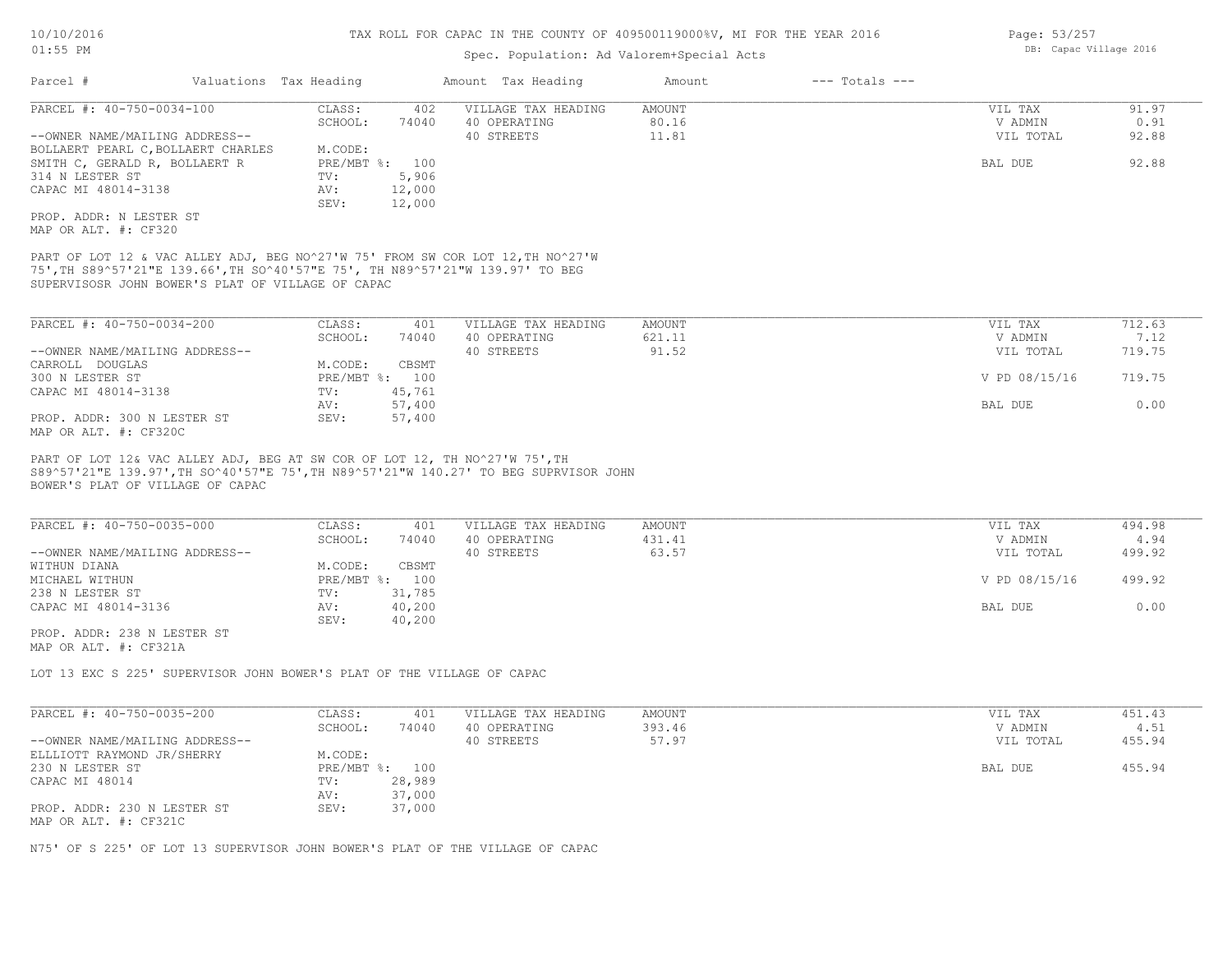## Spec. Population: Ad Valorem+Special Acts

| Parcel #                                             | Valuations Tax Heading                                                                                                                                                                                               | Amount Tax Heading                                                                   | Amount                  | $---$ Totals $---$ |                    |                |
|------------------------------------------------------|----------------------------------------------------------------------------------------------------------------------------------------------------------------------------------------------------------------------|--------------------------------------------------------------------------------------|-------------------------|--------------------|--------------------|----------------|
| PARCEL #: 40-750-0034-100                            | CLASS:                                                                                                                                                                                                               | 402<br>VILLAGE TAX HEADING                                                           | <b>AMOUNT</b>           |                    | VIL TAX            | 91.97          |
|                                                      | SCHOOL:                                                                                                                                                                                                              | 40 OPERATING<br>74040                                                                | 80.16                   |                    | V ADMIN            | 0.91           |
| --OWNER NAME/MAILING ADDRESS--                       |                                                                                                                                                                                                                      | 40 STREETS                                                                           | 11.81                   |                    | VIL TOTAL          | 92.88          |
| BOLLAERT PEARL C, BOLLAERT CHARLES                   | M.CODE:<br>PRE/MBT %: 100                                                                                                                                                                                            |                                                                                      |                         |                    | BAL DUE            | 92.88          |
| SMITH C, GERALD R, BOLLAERT R<br>314 N LESTER ST     | TV:                                                                                                                                                                                                                  | 5,906                                                                                |                         |                    |                    |                |
| CAPAC MI 48014-3138                                  | AV:                                                                                                                                                                                                                  | 12,000                                                                               |                         |                    |                    |                |
|                                                      | SEV:                                                                                                                                                                                                                 | 12,000                                                                               |                         |                    |                    |                |
| PROP. ADDR: N LESTER ST<br>MAP OR ALT. #: CF320      |                                                                                                                                                                                                                      |                                                                                      |                         |                    |                    |                |
|                                                      | PART OF LOT 12 & VAC ALLEY ADJ, BEG NO^27'W 75' FROM SW COR LOT 12, TH NO^27'W<br>75', TH S89^57'21"E 139.66', TH SO^40'57"E 75', TH N89^57'21"W 139.97' TO BEG<br>SUPERVISOSR JOHN BOWER'S PLAT OF VILLAGE OF CAPAC |                                                                                      |                         |                    |                    |                |
| PARCEL #: 40-750-0034-200                            | CLASS:                                                                                                                                                                                                               | 401<br>VILLAGE TAX HEADING                                                           | AMOUNT                  |                    | VIL TAX            | 712.63         |
|                                                      | SCHOOL:                                                                                                                                                                                                              | 74040<br>40 OPERATING                                                                | 621.11                  |                    | V ADMIN            | 7.12           |
| --OWNER NAME/MAILING ADDRESS--                       |                                                                                                                                                                                                                      | 40 STREETS                                                                           | 91.52                   |                    | VIL TOTAL          | 719.75         |
| CARROLL DOUGLAS                                      | M.CODE:                                                                                                                                                                                                              | CBSMT                                                                                |                         |                    |                    |                |
| 300 N LESTER ST                                      | PRE/MBT %: 100                                                                                                                                                                                                       |                                                                                      |                         |                    | V PD 08/15/16      | 719.75         |
| CAPAC MI 48014-3138                                  | TV:                                                                                                                                                                                                                  | 45,761                                                                               |                         |                    |                    |                |
| PROP. ADDR: 300 N LESTER ST                          | AV:<br>SEV:                                                                                                                                                                                                          | 57,400<br>57,400                                                                     |                         |                    | BAL DUE            | 0.00           |
| MAP OR ALT. #: CF320C                                |                                                                                                                                                                                                                      |                                                                                      |                         |                    |                    |                |
| BOWER'S PLAT OF VILLAGE OF CAPAC                     |                                                                                                                                                                                                                      | S89^57'21"E 139.97', TH SO^40'57"E 75', TH N89^57'21"W 140.27' TO BEG SUPRVISOR JOHN |                         |                    |                    |                |
| PARCEL #: 40-750-0035-000                            | CLASS:<br>SCHOOL:                                                                                                                                                                                                    | 401<br>VILLAGE TAX HEADING<br>40 OPERATING<br>74040                                  | <b>AMOUNT</b><br>431.41 |                    | VIL TAX<br>V ADMIN | 494.98<br>4.94 |
| --OWNER NAME/MAILING ADDRESS--                       |                                                                                                                                                                                                                      | 40 STREETS                                                                           | 63.57                   |                    | VIL TOTAL          | 499.92         |
| WITHUN DIANA                                         | M.CODE:                                                                                                                                                                                                              | CBSMT                                                                                |                         |                    |                    |                |
| MICHAEL WITHUN                                       | PRE/MBT %: 100                                                                                                                                                                                                       |                                                                                      |                         |                    | V PD 08/15/16      | 499.92         |
| 238 N LESTER ST                                      | TV:                                                                                                                                                                                                                  | 31,785                                                                               |                         |                    |                    |                |
| CAPAC MI 48014-3136                                  | AV:<br>SEV:                                                                                                                                                                                                          | 40,200<br>40,200                                                                     |                         |                    | BAL DUE            | 0.00           |
| PROP. ADDR: 238 N LESTER ST<br>MAP OR ALT. #: CF321A |                                                                                                                                                                                                                      |                                                                                      |                         |                    |                    |                |
|                                                      | LOT 13 EXC S 225' SUPERVISOR JOHN BOWER'S PLAT OF THE VILLAGE OF CAPAC                                                                                                                                               |                                                                                      |                         |                    |                    |                |
| PARCEL #: 40-750-0035-200                            | CLASS:                                                                                                                                                                                                               |                                                                                      | <b>AMOUNT</b>           |                    |                    | 451.43         |
|                                                      | SCHOOL:                                                                                                                                                                                                              | 401<br>VILLAGE TAX HEADING<br>74040<br>40 OPERATING                                  | 393.46                  |                    | VIL TAX<br>V ADMIN | 4.51           |
| --OWNER NAME/MAILING ADDRESS--                       |                                                                                                                                                                                                                      | 40 STREETS                                                                           | 57.97                   |                    | VIL TOTAL          | 455.94         |
| ELLLIOTT RAYMOND JR/SHERRY                           | M.CODE:                                                                                                                                                                                                              |                                                                                      |                         |                    |                    |                |
| 230 N LESTER ST                                      | PRE/MBT %: 100                                                                                                                                                                                                       |                                                                                      |                         |                    | BAL DUE            | 455.94         |
| CAPAC MI 48014                                       | TV:                                                                                                                                                                                                                  | 28,989                                                                               |                         |                    |                    |                |
|                                                      | AV:                                                                                                                                                                                                                  | 37,000                                                                               |                         |                    |                    |                |
| PROP. ADDR: 230 N LESTER ST<br>MAP OR ALT. #: CF321C | SEV:                                                                                                                                                                                                                 | 37,000                                                                               |                         |                    |                    |                |

N75' OF S 225' OF LOT 13 SUPERVISOR JOHN BOWER'S PLAT OF THE VILLAGE OF CAPAC

Page: 53/257 DB: Capac Village 2016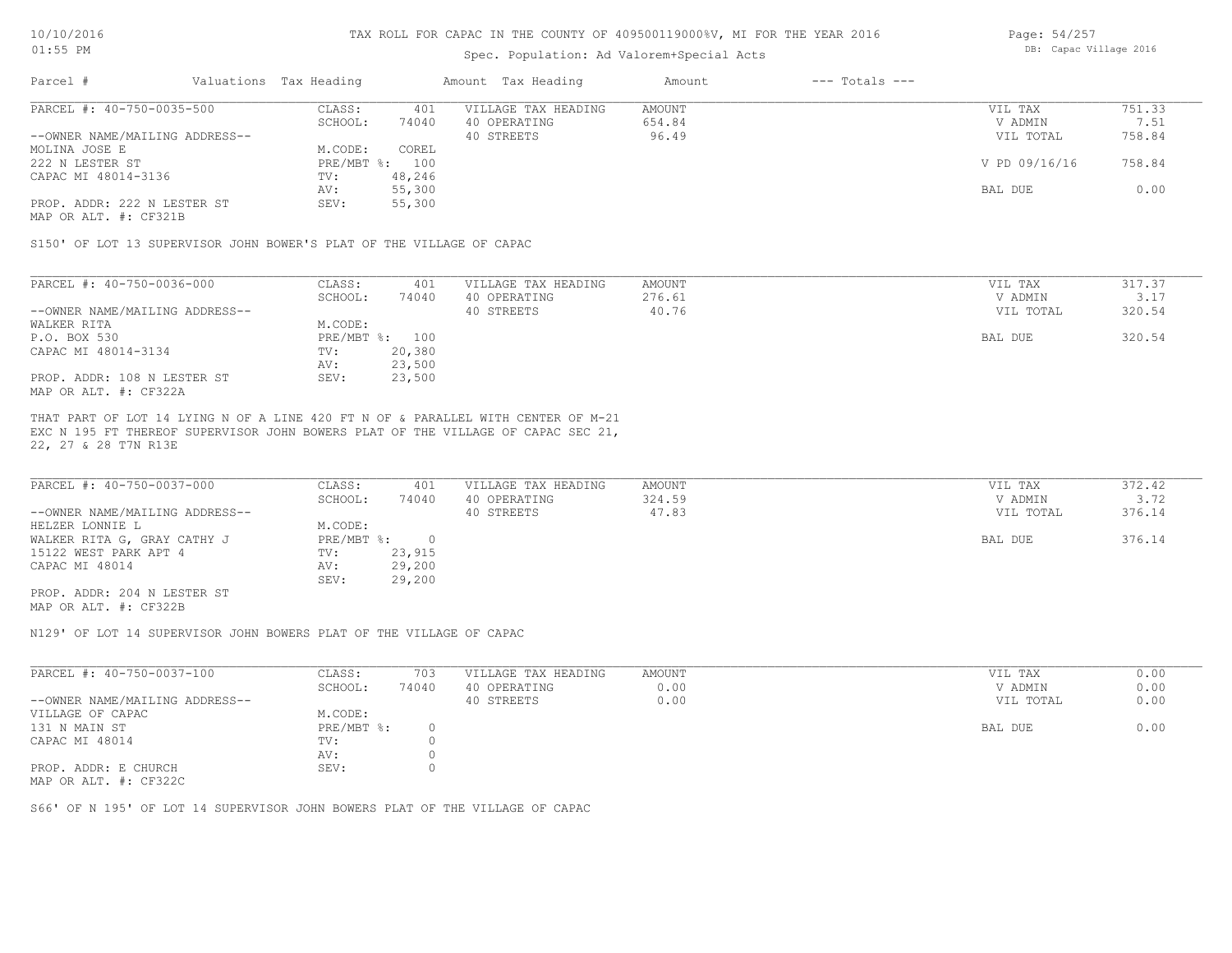#### Spec. Population: Ad Valorem+Special Acts

| Page: 54/257 |                        |  |
|--------------|------------------------|--|
|              | DB: Capac Village 2016 |  |

| Parcel #                       | Valuations Tax Heading |        | Amount Tax Heading  | Amount | $---$ Totals $---$ |               |        |
|--------------------------------|------------------------|--------|---------------------|--------|--------------------|---------------|--------|
| PARCEL #: 40-750-0035-500      | CLASS:                 | 401    | VILLAGE TAX HEADING | AMOUNT |                    | VIL TAX       | 751.33 |
|                                | SCHOOL:                | 74040  | 40 OPERATING        | 654.84 |                    | V ADMIN       | 7.51   |
| --OWNER NAME/MAILING ADDRESS-- |                        |        | 40 STREETS          | 96.49  |                    | VIL TOTAL     | 758.84 |
| MOLINA JOSE E                  | M.CODE:                | COREL  |                     |        |                    |               |        |
| 222 N LESTER ST                | PRE/MBT %: 100         |        |                     |        |                    | V PD 09/16/16 | 758.84 |
| CAPAC MI 48014-3136            | TV:                    | 48,246 |                     |        |                    |               |        |
|                                | AV:                    | 55,300 |                     |        |                    | BAL DUE       | 0.00   |
| PROP. ADDR: 222 N LESTER ST    | SEV:                   | 55,300 |                     |        |                    |               |        |
|                                |                        |        |                     |        |                    |               |        |

MAP OR ALT. #: CF321B

S150' OF LOT 13 SUPERVISOR JOHN BOWER'S PLAT OF THE VILLAGE OF CAPAC

| PARCEL #: 40-750-0036-000      | CLASS:  | 401            | VILLAGE TAX HEADING | AMOUNT | VIL TAX   | 317.37 |
|--------------------------------|---------|----------------|---------------------|--------|-----------|--------|
|                                | SCHOOL: | 74040          | 40 OPERATING        | 276.61 | V ADMIN   | 3.17   |
| --OWNER NAME/MAILING ADDRESS-- |         |                | 40 STREETS          | 40.76  | VIL TOTAL | 320.54 |
| WALKER RITA                    | M.CODE: |                |                     |        |           |        |
| P.O. BOX 530                   |         | PRE/MBT %: 100 |                     |        | BAL DUE   | 320.54 |
| CAPAC MI 48014-3134            | TV:     | 20,380         |                     |        |           |        |
|                                | AV:     | 23,500         |                     |        |           |        |
| PROP. ADDR: 108 N LESTER ST    | SEV:    | 23,500         |                     |        |           |        |
| MAP OR ALT. #: CF322A          |         |                |                     |        |           |        |

22, 27 & 28 T7N R13E EXC N 195 FT THEREOF SUPERVISOR JOHN BOWERS PLAT OF THE VILLAGE OF CAPAC SEC 21, THAT PART OF LOT 14 LYING N OF A LINE 420 FT N OF & PARALLEL WITH CENTER OF M-21

| PARCEL #: 40-750-0037-000      | CLASS:     | 401    | VILLAGE TAX HEADING | AMOUNT | VIL TAX   | 372.42 |
|--------------------------------|------------|--------|---------------------|--------|-----------|--------|
|                                | SCHOOL:    | 74040  | 40 OPERATING        | 324.59 | V ADMIN   | 3.72   |
| --OWNER NAME/MAILING ADDRESS-- |            |        | 40 STREETS          | 47.83  | VIL TOTAL | 376.14 |
| HELZER LONNIE L                | M.CODE:    |        |                     |        |           |        |
| WALKER RITA G, GRAY CATHY J    | PRE/MBT %: |        |                     |        | BAL DUE   | 376.14 |
| 15122 WEST PARK APT 4          | TV:        | 23,915 |                     |        |           |        |
| CAPAC MI 48014                 | AV:        | 29,200 |                     |        |           |        |
|                                | SEV:       | 29,200 |                     |        |           |        |
| PROP. ADDR: 204 N LESTER ST    |            |        |                     |        |           |        |

MAP OR ALT. #: CF322B

N129' OF LOT 14 SUPERVISOR JOHN BOWERS PLAT OF THE VILLAGE OF CAPAC

| PARCEL #: 40-750-0037-100      | CLASS:       | 703   | VILLAGE TAX HEADING | AMOUNT | VIL TAX   | 0.00 |
|--------------------------------|--------------|-------|---------------------|--------|-----------|------|
|                                | SCHOOL:      | 74040 | 40 OPERATING        | 0.00   | V ADMIN   | 0.00 |
| --OWNER NAME/MAILING ADDRESS-- |              |       | 40 STREETS          | 0.00   | VIL TOTAL | 0.00 |
| VILLAGE OF CAPAC               | M.CODE:      |       |                     |        |           |      |
| 131 N MAIN ST                  | $PRE/MBT$ %: |       |                     |        | BAL DUE   | 0.00 |
| CAPAC MI 48014                 | TV:          |       |                     |        |           |      |
|                                | AV:          |       |                     |        |           |      |
| PROP. ADDR: E CHURCH           | SEV:         |       |                     |        |           |      |
| MAP OR ALT. #: CF322C          |              |       |                     |        |           |      |

S66' OF N 195' OF LOT 14 SUPERVISOR JOHN BOWERS PLAT OF THE VILLAGE OF CAPAC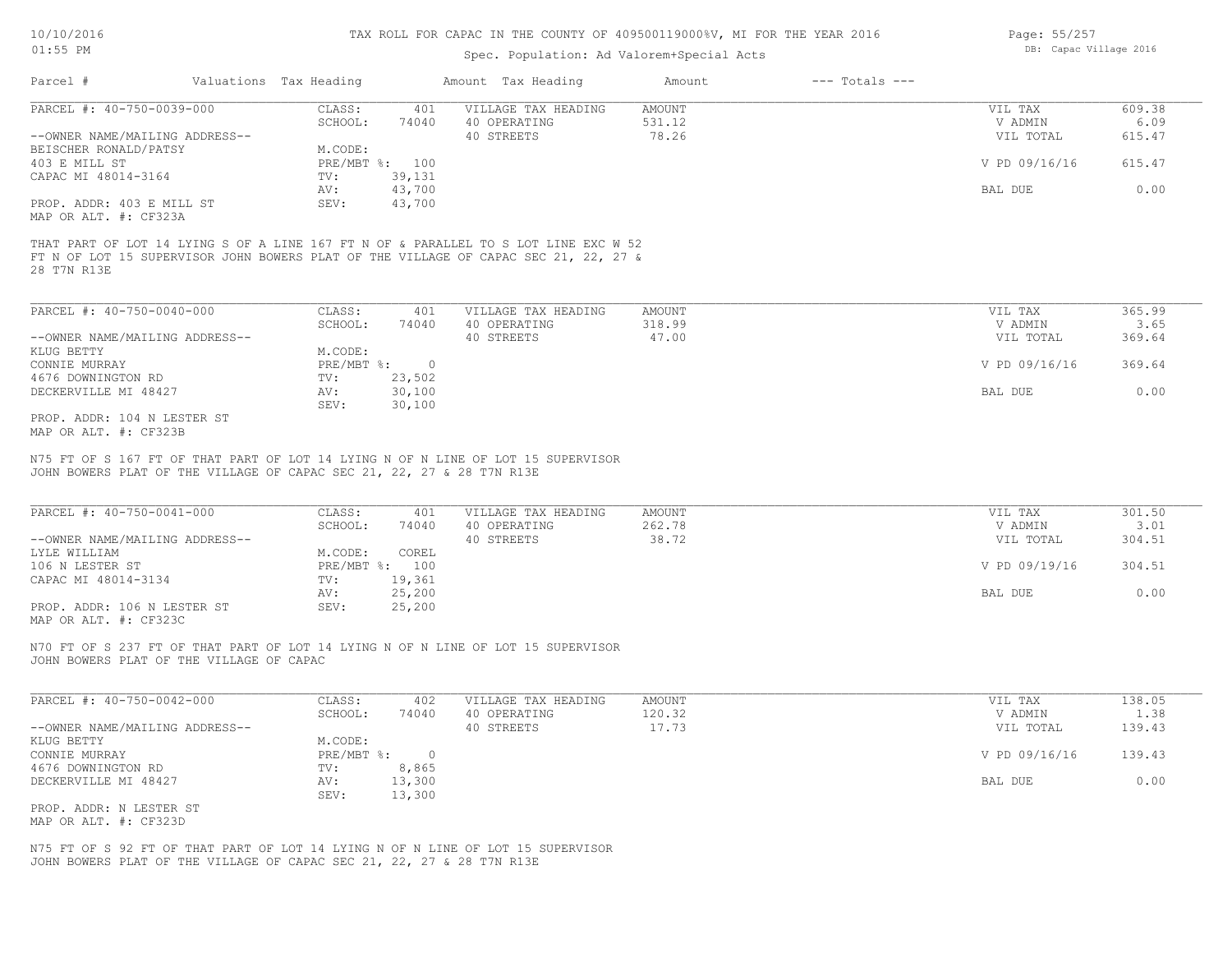## Spec. Population: Ad Valorem+Special Acts

| Page: 55/257 |                        |  |
|--------------|------------------------|--|
|              | DB: Capac Village 2016 |  |

| Parcel #                       | Valuations Tax Heading |                | Amount Tax Heading                                                                                                                                                         | Amount | $---$ Totals $---$ |               |        |
|--------------------------------|------------------------|----------------|----------------------------------------------------------------------------------------------------------------------------------------------------------------------------|--------|--------------------|---------------|--------|
| PARCEL #: 40-750-0039-000      | CLASS:                 | 401            | VILLAGE TAX HEADING                                                                                                                                                        | AMOUNT |                    | VIL TAX       | 609.38 |
|                                | SCHOOL:                | 74040          | 40 OPERATING                                                                                                                                                               | 531.12 |                    | V ADMIN       | 6.09   |
| --OWNER NAME/MAILING ADDRESS-- |                        |                | 40 STREETS                                                                                                                                                                 | 78.26  |                    | VIL TOTAL     | 615.47 |
| BEISCHER RONALD/PATSY          | M.CODE:                |                |                                                                                                                                                                            |        |                    |               |        |
| 403 E MILL ST                  |                        | PRE/MBT %: 100 |                                                                                                                                                                            |        |                    | V PD 09/16/16 | 615.47 |
| CAPAC MI 48014-3164            | TV:                    | 39,131         |                                                                                                                                                                            |        |                    |               |        |
|                                | AV:                    | 43,700         |                                                                                                                                                                            |        |                    | BAL DUE       | 0.00   |
| PROP. ADDR: 403 E MILL ST      | SEV:                   | 43,700         |                                                                                                                                                                            |        |                    |               |        |
| MAP OR ALT. #: CF323A          |                        |                |                                                                                                                                                                            |        |                    |               |        |
| 28 T7N R13E                    |                        |                | THAT PART OF LOT 14 LYING S OF A LINE 167 FT N OF & PARALLEL TO S LOT LINE EXC W 52<br>FT N OF LOT 15 SUPERVISOR JOHN BOWERS PLAT OF THE VILLAGE OF CAPAC SEC 21, 22, 27 & |        |                    |               |        |

| PARCEL #: 40-750-0040-000      | CLASS:       | 401    | VILLAGE TAX HEADING | AMOUNT | VIL TAX       | 365.99 |
|--------------------------------|--------------|--------|---------------------|--------|---------------|--------|
|                                | SCHOOL:      | 74040  | 40 OPERATING        | 318.99 | V ADMIN       | 3.65   |
| --OWNER NAME/MAILING ADDRESS-- |              |        | 40 STREETS          | 47.00  | VIL TOTAL     | 369.64 |
| KLUG BETTY                     | M.CODE:      |        |                     |        |               |        |
| CONNIE MURRAY                  | $PRE/MBT$ %: |        |                     |        | V PD 09/16/16 | 369.64 |
| 4676 DOWNINGTON RD             | TV:          | 23,502 |                     |        |               |        |
| DECKERVILLE MI 48427           | AV:          | 30,100 |                     |        | BAL DUE       | 0.00   |
|                                | SEV:         | 30,100 |                     |        |               |        |
| CE CARD . 104 M TROED OF       |              |        |                     |        |               |        |

MAP OR ALT. #: CF323B PROP. ADDR: 104 N LESTER ST

JOHN BOWERS PLAT OF THE VILLAGE OF CAPAC SEC 21, 22, 27 & 28 T7N R13E N75 FT OF S 167 FT OF THAT PART OF LOT 14 LYING N OF N LINE OF LOT 15 SUPERVISOR

| PARCEL #: 40-750-0041-000      | CLASS:  | 401            | VILLAGE TAX HEADING | AMOUNT | VIL TAX       | 301.50 |
|--------------------------------|---------|----------------|---------------------|--------|---------------|--------|
|                                | SCHOOL: | 74040          | 40 OPERATING        | 262.78 | V ADMIN       | 3.01   |
| --OWNER NAME/MAILING ADDRESS-- |         |                | 40 STREETS          | 38.72  | VIL TOTAL     | 304.51 |
| LYLE WILLIAM                   | M.CODE: | COREL          |                     |        |               |        |
| 106 N LESTER ST                |         | PRE/MBT %: 100 |                     |        | V PD 09/19/16 | 304.51 |
| CAPAC MI 48014-3134            | TV:     | 19,361         |                     |        |               |        |
|                                | AV:     | 25,200         |                     |        | BAL DUE       | 0.00   |
| PROP. ADDR: 106 N LESTER ST    | SEV:    | 25,200         |                     |        |               |        |
| MAP OR ALT. #: CF323C          |         |                |                     |        |               |        |

JOHN BOWERS PLAT OF THE VILLAGE OF CAPAC N70 FT OF S 237 FT OF THAT PART OF LOT 14 LYING N OF N LINE OF LOT 15 SUPERVISOR

| PARCEL #: 40-750-0042-000      | CLASS:       | 402    | VILLAGE TAX HEADING | AMOUNT | VIL TAX       | 138.05 |
|--------------------------------|--------------|--------|---------------------|--------|---------------|--------|
|                                | SCHOOL:      | 74040  | 40 OPERATING        | 120.32 | V ADMIN       | 1.38   |
| --OWNER NAME/MAILING ADDRESS-- |              |        | 40 STREETS          | 17.73  | VIL TOTAL     | 139.43 |
| KLUG BETTY                     | M.CODE:      |        |                     |        |               |        |
| CONNIE MURRAY                  | $PRE/MBT$ %: |        |                     |        | V PD 09/16/16 | 139.43 |
| 4676 DOWNINGTON RD             | TV:          | 8,865  |                     |        |               |        |
| DECKERVILLE MI 48427           | AV:          | 13,300 |                     |        | BAL DUE       | 0.00   |
|                                | SEV:         | 13,300 |                     |        |               |        |
| PROP. ADDR: N LESTER ST        |              |        |                     |        |               |        |

MAP OR ALT. #: CF323D

JOHN BOWERS PLAT OF THE VILLAGE OF CAPAC SEC 21, 22, 27 & 28 T7N R13E N75 FT OF S 92 FT OF THAT PART OF LOT 14 LYING N OF N LINE OF LOT 15 SUPERVISOR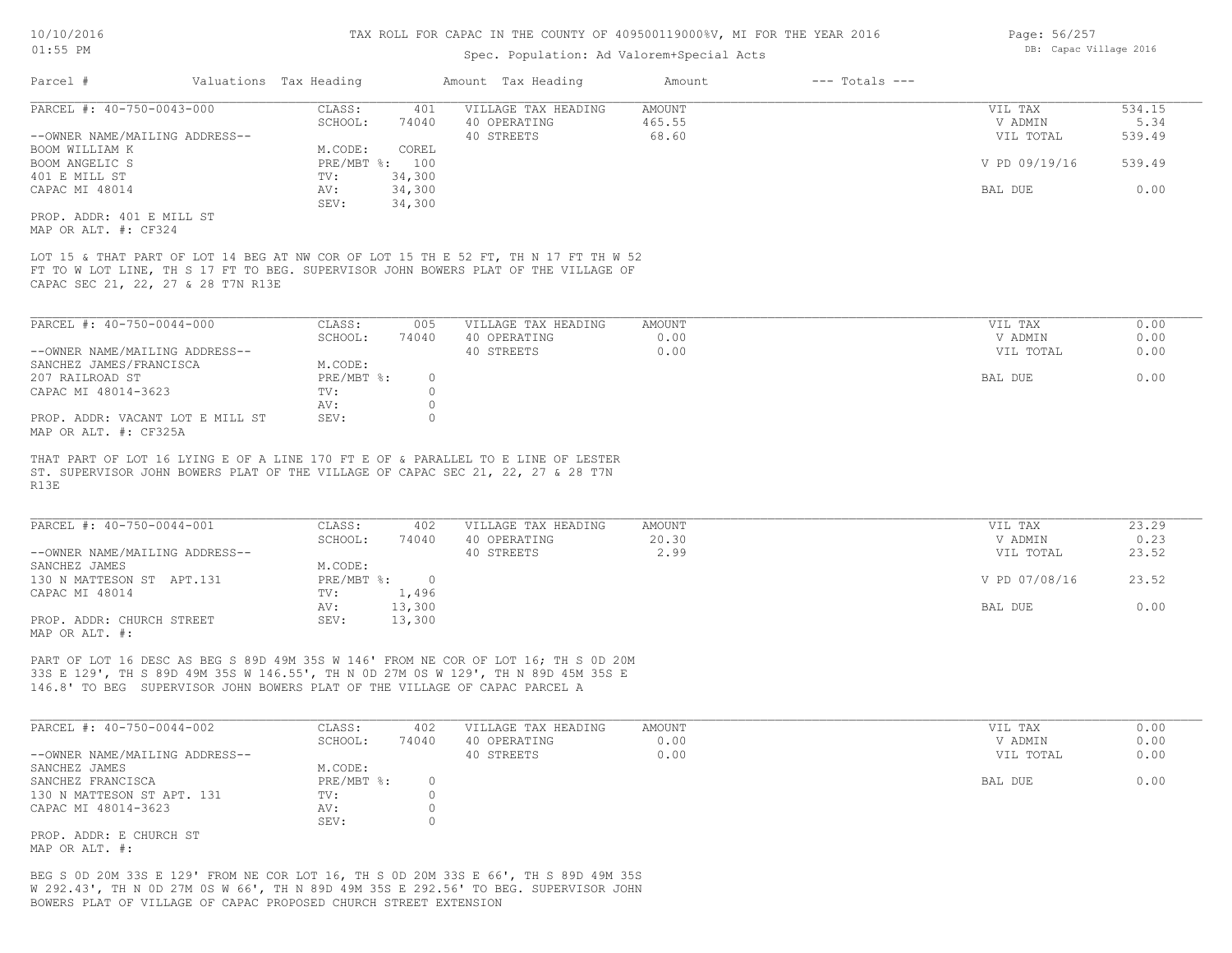#### Spec. Population: Ad Valorem+Special Acts

| Page: 56/257 |                        |  |
|--------------|------------------------|--|
|              | DB: Capac Village 2016 |  |

|                                                                                                                                                                                                                                                       | Valuations Tax Heading                                                                                               | Amount Tax Heading                                                                                   | Amount                           | $---$ Totals $---$                                          |                                            |
|-------------------------------------------------------------------------------------------------------------------------------------------------------------------------------------------------------------------------------------------------------|----------------------------------------------------------------------------------------------------------------------|------------------------------------------------------------------------------------------------------|----------------------------------|-------------------------------------------------------------|--------------------------------------------|
| PARCEL #: 40-750-0043-000<br>--OWNER NAME/MAILING ADDRESS--<br>BOOM WILLIAM K<br>BOOM ANGELIC S<br>401 E MILL ST<br>CAPAC MI 48014<br>PROP. ADDR: 401 E MILL ST<br>MAP OR ALT. #: CF324                                                               | CLASS:<br>SCHOOL:<br>74040<br>M.CODE:<br>COREL<br>PRE/MBT %: 100<br>34,300<br>TV:<br>34,300<br>AV:<br>34,300<br>SEV: | 401<br>VILLAGE TAX HEADING<br>40 OPERATING<br>40 STREETS                                             | <b>AMOUNT</b><br>465.55<br>68.60 | VIL TAX<br>V ADMIN<br>VIL TOTAL<br>V PD 09/19/16<br>BAL DUE | 534.15<br>5.34<br>539.49<br>539.49<br>0.00 |
| LOT 15 & THAT PART OF LOT 14 BEG AT NW COR OF LOT 15 TH E 52 FT, TH N 17 FT TH W 52<br>FT TO W LOT LINE, TH S 17 FT TO BEG. SUPERVISOR JOHN BOWERS PLAT OF THE VILLAGE OF<br>CAPAC SEC 21, 22, 27 & 28 T7N R13E                                       |                                                                                                                      |                                                                                                      |                                  |                                                             |                                            |
| PARCEL #: 40-750-0044-000<br>--OWNER NAME/MAILING ADDRESS--<br>SANCHEZ JAMES/FRANCISCA<br>207 RAILROAD ST<br>CAPAC MI 48014-3623<br>PROP. ADDR: VACANT LOT E MILL ST<br>MAP OR ALT. #: CF325A                                                         | CLASS:<br>SCHOOL:<br>74040<br>M.CODE:<br>PRE/MBT %:<br>TV:<br>AV:<br>SEV:                                            | VILLAGE TAX HEADING<br>005<br>40 OPERATING<br>40 STREETS<br>$\circ$<br>$\circ$<br>$\circ$<br>$\circ$ | <b>AMOUNT</b><br>0.00<br>0.00    | VIL TAX<br>V ADMIN<br>VIL TOTAL<br>BAL DUE                  | 0.00<br>0.00<br>0.00<br>0.00               |
|                                                                                                                                                                                                                                                       |                                                                                                                      |                                                                                                      |                                  |                                                             |                                            |
| THAT PART OF LOT 16 LYING E OF A LINE 170 FT E OF & PARALLEL TO E LINE OF LESTER<br>ST. SUPERVISOR JOHN BOWERS PLAT OF THE VILLAGE OF CAPAC SEC 21, 22, 27 & 28 T7N<br>R13E                                                                           |                                                                                                                      |                                                                                                      |                                  |                                                             |                                            |
| PARCEL #: 40-750-0044-001<br>--OWNER NAME/MAILING ADDRESS--<br>SANCHEZ JAMES<br>130 N MATTESON ST APT.131<br>CAPAC MI 48014<br>PROP. ADDR: CHURCH STREET<br>MAP OR ALT. #:                                                                            | CLASS:<br>SCHOOL:<br>74040<br>M.CODE:<br>PRE/MBT %: 0<br>1,496<br>TV:<br>13,300<br>AV:<br>SEV:<br>13,300             | VILLAGE TAX HEADING<br>402<br>40 OPERATING<br>40 STREETS                                             | <b>AMOUNT</b><br>20.30<br>2.99   | VIL TAX<br>V ADMIN<br>VIL TOTAL<br>V PD 07/08/16<br>BAL DUE | 23.29<br>0.23<br>23.52<br>23.52<br>0.00    |
| PART OF LOT 16 DESC AS BEG S 89D 49M 35S W 146' FROM NE COR OF LOT 16; TH S OD 20M<br>33S E 129', TH S 89D 49M 35S W 146.55', TH N OD 27M OS W 129', TH N 89D 45M 35S E<br>146.8' TO BEG SUPERVISOR JOHN BOWERS PLAT OF THE VILLAGE OF CAPAC PARCEL A |                                                                                                                      |                                                                                                      |                                  |                                                             |                                            |

MAP OR ALT. #: PROP. ADDR: E CHURCH ST

BOWERS PLAT OF VILLAGE OF CAPAC PROPOSED CHURCH STREET EXTENSION W 292.43', TH N 0D 27M 0S W 66', TH N 89D 49M 35S E 292.56' TO BEG. SUPERVISOR JOHN BEG S 0D 20M 33S E 129' FROM NE COR LOT 16, TH S 0D 20M 33S E 66', TH S 89D 49M 35S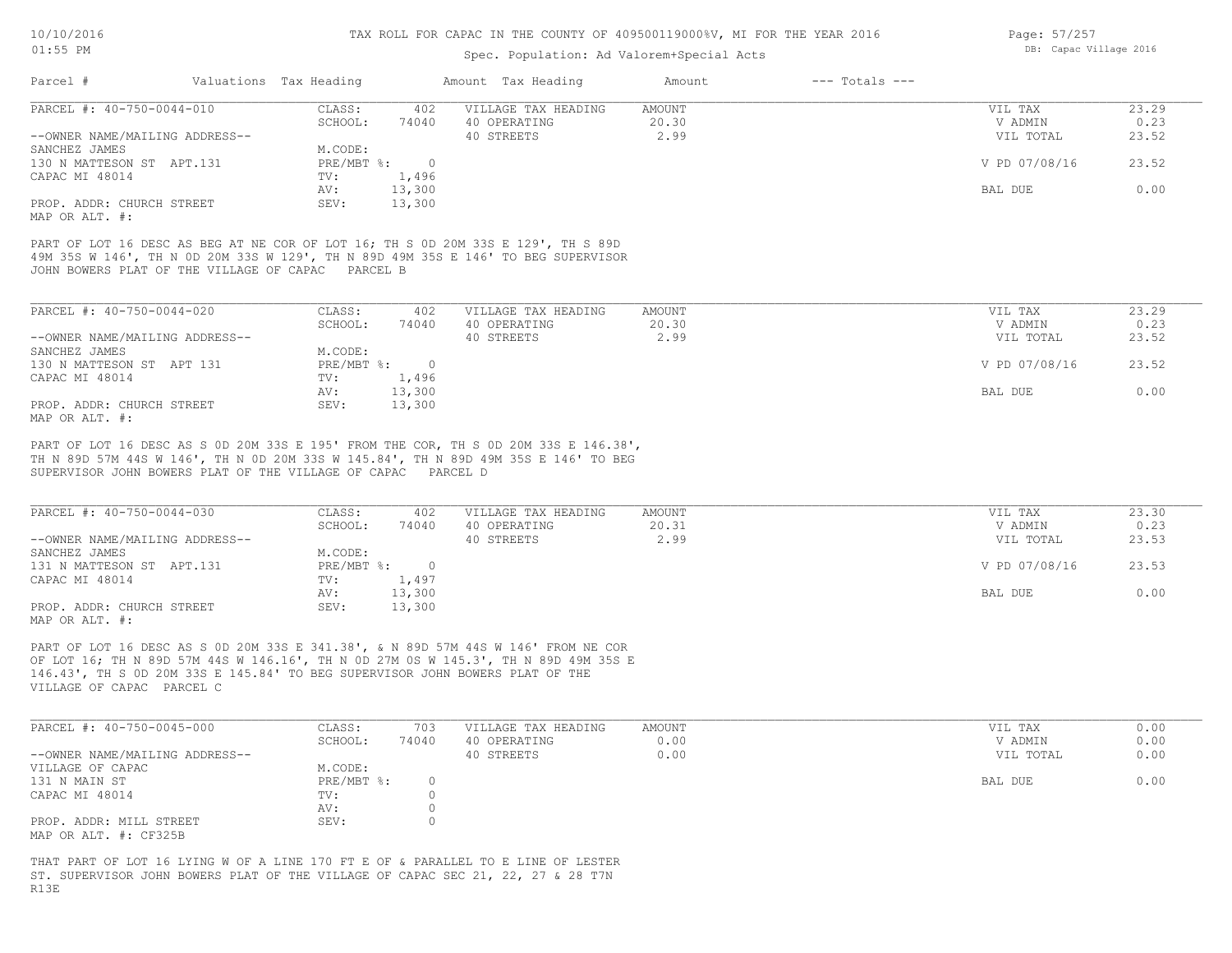#### Spec. Population: Ad Valorem+Special Acts

| Parcel #                       | Valuations Tax Heading |        | Amount Tax Heading  | Amount | $---$ Totals $---$ |               |       |
|--------------------------------|------------------------|--------|---------------------|--------|--------------------|---------------|-------|
| PARCEL #: 40-750-0044-010      | CLASS:                 | 402    | VILLAGE TAX HEADING | AMOUNT |                    | VIL TAX       | 23.29 |
|                                | SCHOOL:                | 74040  | 40 OPERATING        | 20.30  |                    | V ADMIN       | 0.23  |
| --OWNER NAME/MAILING ADDRESS-- |                        |        | 40 STREETS          | 2.99   |                    | VIL TOTAL     | 23.52 |
| SANCHEZ JAMES                  | M.CODE:                |        |                     |        |                    |               |       |
| 130 N MATTESON ST APT.131      | $PRE/MBT$ %:           |        |                     |        |                    | V PD 07/08/16 | 23.52 |
| CAPAC MI 48014                 | TV:                    | 1,496  |                     |        |                    |               |       |
|                                | AV:                    | 13,300 |                     |        |                    | BAL DUE       | 0.00  |
| PROP. ADDR: CHURCH STREET      | SEV:                   | 13,300 |                     |        |                    |               |       |
|                                |                        |        |                     |        |                    |               |       |

MAP OR ALT. #:

JOHN BOWERS PLAT OF THE VILLAGE OF CAPAC PARCEL B 49M 35S W 146', TH N 0D 20M 33S W 129', TH N 89D 49M 35S E 146' TO BEG SUPERVISOR PART OF LOT 16 DESC AS BEG AT NE COR OF LOT 16; TH S 0D 20M 33S E 129', TH S 89D

| PARCEL #: 40-750-0044-020      | CLASS:     | 402    | VILLAGE TAX HEADING | AMOUNT | VIL TAX       | 23.29 |
|--------------------------------|------------|--------|---------------------|--------|---------------|-------|
|                                | SCHOOL:    | 74040  | 40 OPERATING        | 20.30  | V ADMIN       | 0.23  |
| --OWNER NAME/MAILING ADDRESS-- |            |        | 40 STREETS          | 2.99   | VIL TOTAL     | 23.52 |
| SANCHEZ JAMES                  | M.CODE:    |        |                     |        |               |       |
| 130 N MATTESON ST APT 131      | PRE/MBT %: |        |                     |        | V PD 07/08/16 | 23.52 |
| CAPAC MI 48014                 | TV:        | 1,496  |                     |        |               |       |
|                                | AV:        | 13,300 |                     |        | BAL DUE       | 0.00  |
| PROP. ADDR: CHURCH STREET      | SEV:       | 13,300 |                     |        |               |       |
| MAP OR ALT. #:                 |            |        |                     |        |               |       |

SUPERVISOR JOHN BOWERS PLAT OF THE VILLAGE OF CAPAC PARCEL D TH N 89D 57M 44S W 146', TH N 0D 20M 33S W 145.84', TH N 89D 49M 35S E 146' TO BEG PART OF LOT 16 DESC AS S 0D 20M 33S E 195' FROM THE COR, TH S 0D 20M 33S E 146.38',

| PARCEL #: 40-750-0044-030      | CLASS:     | 402    | VILLAGE TAX HEADING | AMOUNT | VIL TAX       | 23.30 |
|--------------------------------|------------|--------|---------------------|--------|---------------|-------|
|                                | SCHOOL:    | 74040  | 40 OPERATING        | 20.31  | V ADMIN       | 0.23  |
| --OWNER NAME/MAILING ADDRESS-- |            |        | 40 STREETS          | 2.99   | VIL TOTAL     | 23.53 |
| SANCHEZ JAMES                  | M.CODE:    |        |                     |        |               |       |
| 131 N MATTESON ST APT.131      | PRE/MBT %: |        |                     |        | V PD 07/08/16 | 23.53 |
| CAPAC MI 48014                 | TV:        | 1,497  |                     |        |               |       |
|                                | AV:        | 13,300 |                     |        | BAL DUE       | 0.00  |
| PROP. ADDR: CHURCH STREET      | SEV:       | 13,300 |                     |        |               |       |
| MAP OR ALT. #:                 |            |        |                     |        |               |       |

VILLAGE OF CAPAC PARCEL C 146.43', TH S 0D 20M 33S E 145.84' TO BEG SUPERVISOR JOHN BOWERS PLAT OF THE OF LOT 16; TH N 89D 57M 44S W 146.16', TH N 0D 27M 0S W 145.3', TH N 89D 49M 35S E PART OF LOT 16 DESC AS S 0D 20M 33S E 341.38', & N 89D 57M 44S W 146' FROM NE COR

| PARCEL #: 40-750-0045-000      | CLASS:     | 703   | VILLAGE TAX HEADING | AMOUNT | VIL TAX   | 0.00 |
|--------------------------------|------------|-------|---------------------|--------|-----------|------|
|                                | SCHOOL:    | 74040 | 40 OPERATING        | 0.00   | V ADMIN   | 0.00 |
| --OWNER NAME/MAILING ADDRESS-- |            |       | 40 STREETS          | 0.00   | VIL TOTAL | 0.00 |
| VILLAGE OF CAPAC               | M.CODE:    |       |                     |        |           |      |
| 131 N MAIN ST                  | PRE/MBT %: |       |                     |        | BAL DUE   | 0.00 |
| CAPAC MI 48014                 | TV:        |       |                     |        |           |      |
|                                | AV:        |       |                     |        |           |      |
| PROP. ADDR: MILL STREET        | SEV:       |       |                     |        |           |      |
| MAP OR ALT. #: CF325B          |            |       |                     |        |           |      |

R13E ST. SUPERVISOR JOHN BOWERS PLAT OF THE VILLAGE OF CAPAC SEC 21, 22, 27 & 28 T7N THAT PART OF LOT 16 LYING W OF A LINE 170 FT E OF & PARALLEL TO E LINE OF LESTER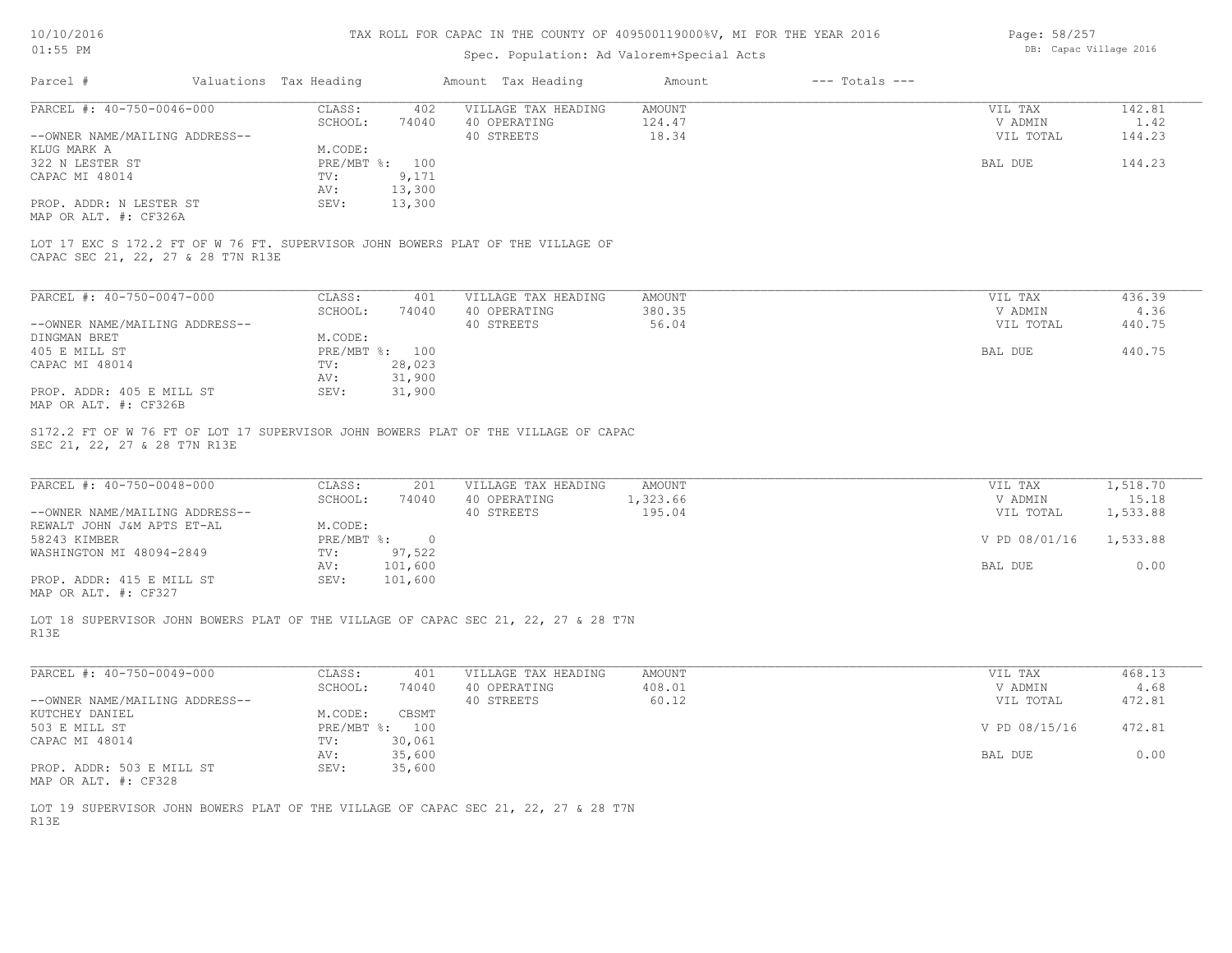| Page: 58/257 |                        |  |
|--------------|------------------------|--|
|              | DB: Capac Village 2016 |  |

| Parcel #<br>Valuations Tax Heading<br>Amount Tax Heading<br>$---$ Totals $---$<br>Amount<br>PARCEL #: 40-750-0046-000<br>CLASS:<br>402<br>VILLAGE TAX HEADING<br>AMOUNT<br>SCHOOL:<br>74040<br>40 OPERATING<br>124.47<br>40 STREETS<br>18.34<br>--OWNER NAME/MAILING ADDRESS--<br>M.CODE:<br>KLUG MARK A<br>322 N LESTER ST<br>PRE/MBT %: 100<br>9,171<br>CAPAC MI 48014<br>$\texttt{TV}$ :<br>13,300<br>AV:<br>PROP. ADDR: N LESTER ST<br>SEV:<br>13,300<br>MAP OR ALT. #: CF326A<br>LOT 17 EXC S 172.2 FT OF W 76 FT. SUPERVISOR JOHN BOWERS PLAT OF THE VILLAGE OF<br>CAPAC SEC 21, 22, 27 & 28 T7N R13E<br>PARCEL #: 40-750-0047-000<br>CLASS:<br>401<br>VILLAGE TAX HEADING<br>AMOUNT<br>380.35<br>SCHOOL:<br>74040<br>40 OPERATING<br>56.04<br>--OWNER NAME/MAILING ADDRESS--<br>40 STREETS<br>M.CODE:<br>DINGMAN BRET<br>PRE/MBT %: 100<br>405 E MILL ST<br>CAPAC MI 48014<br>28,023<br>TV:<br>31,900<br>AV:<br>31,900<br>PROP. ADDR: 405 E MILL ST<br>SEV:<br>MAP OR ALT. #: CF326B<br>S172.2 FT OF W 76 FT OF LOT 17 SUPERVISOR JOHN BOWERS PLAT OF THE VILLAGE OF CAPAC<br>SEC 21, 22, 27 & 28 T7N R13E<br>PARCEL #: 40-750-0048-000<br>CLASS:<br>VILLAGE TAX HEADING<br><b>AMOUNT</b><br>201<br>SCHOOL:<br>74040<br>40 OPERATING<br>1,323.66<br>40 STREETS<br>195.04<br>--OWNER NAME/MAILING ADDRESS--<br>M.CODE:<br>REWALT JOHN J&M APTS ET-AL<br>58243 KIMBER<br>$PRE/MBT$ %:<br>$\overline{0}$<br>WASHINGTON MI 48094-2849<br>TV:<br>97,522<br>101,600<br>AV:<br>101,600<br>PROP. ADDR: 415 E MILL ST<br>SEV:<br>MAP OR ALT. #: CF327<br>LOT 18 SUPERVISOR JOHN BOWERS PLAT OF THE VILLAGE OF CAPAC SEC 21, 22, 27 & 28 T7N<br>R13E<br>PARCEL #: 40-750-0049-000<br>CLASS:<br>401<br>VILLAGE TAX HEADING<br>AMOUNT<br>408.01<br>SCHOOL:<br>74040<br>40 OPERATING<br>60.12<br>40 STREETS<br>--OWNER NAME/MAILING ADDRESS-- | VIL TAX<br>V ADMIN<br>VIL TOTAL |                   |
|-----------------------------------------------------------------------------------------------------------------------------------------------------------------------------------------------------------------------------------------------------------------------------------------------------------------------------------------------------------------------------------------------------------------------------------------------------------------------------------------------------------------------------------------------------------------------------------------------------------------------------------------------------------------------------------------------------------------------------------------------------------------------------------------------------------------------------------------------------------------------------------------------------------------------------------------------------------------------------------------------------------------------------------------------------------------------------------------------------------------------------------------------------------------------------------------------------------------------------------------------------------------------------------------------------------------------------------------------------------------------------------------------------------------------------------------------------------------------------------------------------------------------------------------------------------------------------------------------------------------------------------------------------------------------------------------------------------------------------------------------------------------------------------------------------------------------------------------|---------------------------------|-------------------|
|                                                                                                                                                                                                                                                                                                                                                                                                                                                                                                                                                                                                                                                                                                                                                                                                                                                                                                                                                                                                                                                                                                                                                                                                                                                                                                                                                                                                                                                                                                                                                                                                                                                                                                                                                                                                                                         |                                 |                   |
|                                                                                                                                                                                                                                                                                                                                                                                                                                                                                                                                                                                                                                                                                                                                                                                                                                                                                                                                                                                                                                                                                                                                                                                                                                                                                                                                                                                                                                                                                                                                                                                                                                                                                                                                                                                                                                         |                                 | 142.81            |
|                                                                                                                                                                                                                                                                                                                                                                                                                                                                                                                                                                                                                                                                                                                                                                                                                                                                                                                                                                                                                                                                                                                                                                                                                                                                                                                                                                                                                                                                                                                                                                                                                                                                                                                                                                                                                                         |                                 | 1.42              |
|                                                                                                                                                                                                                                                                                                                                                                                                                                                                                                                                                                                                                                                                                                                                                                                                                                                                                                                                                                                                                                                                                                                                                                                                                                                                                                                                                                                                                                                                                                                                                                                                                                                                                                                                                                                                                                         |                                 | 144.23            |
|                                                                                                                                                                                                                                                                                                                                                                                                                                                                                                                                                                                                                                                                                                                                                                                                                                                                                                                                                                                                                                                                                                                                                                                                                                                                                                                                                                                                                                                                                                                                                                                                                                                                                                                                                                                                                                         |                                 |                   |
|                                                                                                                                                                                                                                                                                                                                                                                                                                                                                                                                                                                                                                                                                                                                                                                                                                                                                                                                                                                                                                                                                                                                                                                                                                                                                                                                                                                                                                                                                                                                                                                                                                                                                                                                                                                                                                         | BAL DUE                         | 144.23            |
|                                                                                                                                                                                                                                                                                                                                                                                                                                                                                                                                                                                                                                                                                                                                                                                                                                                                                                                                                                                                                                                                                                                                                                                                                                                                                                                                                                                                                                                                                                                                                                                                                                                                                                                                                                                                                                         |                                 |                   |
|                                                                                                                                                                                                                                                                                                                                                                                                                                                                                                                                                                                                                                                                                                                                                                                                                                                                                                                                                                                                                                                                                                                                                                                                                                                                                                                                                                                                                                                                                                                                                                                                                                                                                                                                                                                                                                         |                                 |                   |
|                                                                                                                                                                                                                                                                                                                                                                                                                                                                                                                                                                                                                                                                                                                                                                                                                                                                                                                                                                                                                                                                                                                                                                                                                                                                                                                                                                                                                                                                                                                                                                                                                                                                                                                                                                                                                                         |                                 |                   |
|                                                                                                                                                                                                                                                                                                                                                                                                                                                                                                                                                                                                                                                                                                                                                                                                                                                                                                                                                                                                                                                                                                                                                                                                                                                                                                                                                                                                                                                                                                                                                                                                                                                                                                                                                                                                                                         |                                 |                   |
|                                                                                                                                                                                                                                                                                                                                                                                                                                                                                                                                                                                                                                                                                                                                                                                                                                                                                                                                                                                                                                                                                                                                                                                                                                                                                                                                                                                                                                                                                                                                                                                                                                                                                                                                                                                                                                         |                                 |                   |
|                                                                                                                                                                                                                                                                                                                                                                                                                                                                                                                                                                                                                                                                                                                                                                                                                                                                                                                                                                                                                                                                                                                                                                                                                                                                                                                                                                                                                                                                                                                                                                                                                                                                                                                                                                                                                                         | VIL TAX                         | 436.39            |
|                                                                                                                                                                                                                                                                                                                                                                                                                                                                                                                                                                                                                                                                                                                                                                                                                                                                                                                                                                                                                                                                                                                                                                                                                                                                                                                                                                                                                                                                                                                                                                                                                                                                                                                                                                                                                                         | V ADMIN                         | 4.36              |
|                                                                                                                                                                                                                                                                                                                                                                                                                                                                                                                                                                                                                                                                                                                                                                                                                                                                                                                                                                                                                                                                                                                                                                                                                                                                                                                                                                                                                                                                                                                                                                                                                                                                                                                                                                                                                                         | VIL TOTAL                       | 440.75            |
|                                                                                                                                                                                                                                                                                                                                                                                                                                                                                                                                                                                                                                                                                                                                                                                                                                                                                                                                                                                                                                                                                                                                                                                                                                                                                                                                                                                                                                                                                                                                                                                                                                                                                                                                                                                                                                         |                                 |                   |
|                                                                                                                                                                                                                                                                                                                                                                                                                                                                                                                                                                                                                                                                                                                                                                                                                                                                                                                                                                                                                                                                                                                                                                                                                                                                                                                                                                                                                                                                                                                                                                                                                                                                                                                                                                                                                                         | BAL DUE                         | 440.75            |
|                                                                                                                                                                                                                                                                                                                                                                                                                                                                                                                                                                                                                                                                                                                                                                                                                                                                                                                                                                                                                                                                                                                                                                                                                                                                                                                                                                                                                                                                                                                                                                                                                                                                                                                                                                                                                                         |                                 |                   |
|                                                                                                                                                                                                                                                                                                                                                                                                                                                                                                                                                                                                                                                                                                                                                                                                                                                                                                                                                                                                                                                                                                                                                                                                                                                                                                                                                                                                                                                                                                                                                                                                                                                                                                                                                                                                                                         |                                 |                   |
|                                                                                                                                                                                                                                                                                                                                                                                                                                                                                                                                                                                                                                                                                                                                                                                                                                                                                                                                                                                                                                                                                                                                                                                                                                                                                                                                                                                                                                                                                                                                                                                                                                                                                                                                                                                                                                         |                                 |                   |
|                                                                                                                                                                                                                                                                                                                                                                                                                                                                                                                                                                                                                                                                                                                                                                                                                                                                                                                                                                                                                                                                                                                                                                                                                                                                                                                                                                                                                                                                                                                                                                                                                                                                                                                                                                                                                                         |                                 |                   |
|                                                                                                                                                                                                                                                                                                                                                                                                                                                                                                                                                                                                                                                                                                                                                                                                                                                                                                                                                                                                                                                                                                                                                                                                                                                                                                                                                                                                                                                                                                                                                                                                                                                                                                                                                                                                                                         | VIL TAX<br>V ADMIN              | 1,518.70<br>15.18 |
|                                                                                                                                                                                                                                                                                                                                                                                                                                                                                                                                                                                                                                                                                                                                                                                                                                                                                                                                                                                                                                                                                                                                                                                                                                                                                                                                                                                                                                                                                                                                                                                                                                                                                                                                                                                                                                         | VIL TOTAL                       | 1,533.88          |
|                                                                                                                                                                                                                                                                                                                                                                                                                                                                                                                                                                                                                                                                                                                                                                                                                                                                                                                                                                                                                                                                                                                                                                                                                                                                                                                                                                                                                                                                                                                                                                                                                                                                                                                                                                                                                                         |                                 |                   |
|                                                                                                                                                                                                                                                                                                                                                                                                                                                                                                                                                                                                                                                                                                                                                                                                                                                                                                                                                                                                                                                                                                                                                                                                                                                                                                                                                                                                                                                                                                                                                                                                                                                                                                                                                                                                                                         | V PD 08/01/16                   | 1,533.88          |
|                                                                                                                                                                                                                                                                                                                                                                                                                                                                                                                                                                                                                                                                                                                                                                                                                                                                                                                                                                                                                                                                                                                                                                                                                                                                                                                                                                                                                                                                                                                                                                                                                                                                                                                                                                                                                                         |                                 |                   |
|                                                                                                                                                                                                                                                                                                                                                                                                                                                                                                                                                                                                                                                                                                                                                                                                                                                                                                                                                                                                                                                                                                                                                                                                                                                                                                                                                                                                                                                                                                                                                                                                                                                                                                                                                                                                                                         | BAL DUE                         | 0.00              |
|                                                                                                                                                                                                                                                                                                                                                                                                                                                                                                                                                                                                                                                                                                                                                                                                                                                                                                                                                                                                                                                                                                                                                                                                                                                                                                                                                                                                                                                                                                                                                                                                                                                                                                                                                                                                                                         |                                 |                   |
|                                                                                                                                                                                                                                                                                                                                                                                                                                                                                                                                                                                                                                                                                                                                                                                                                                                                                                                                                                                                                                                                                                                                                                                                                                                                                                                                                                                                                                                                                                                                                                                                                                                                                                                                                                                                                                         |                                 |                   |
|                                                                                                                                                                                                                                                                                                                                                                                                                                                                                                                                                                                                                                                                                                                                                                                                                                                                                                                                                                                                                                                                                                                                                                                                                                                                                                                                                                                                                                                                                                                                                                                                                                                                                                                                                                                                                                         | VIL TAX                         | 468.13            |
|                                                                                                                                                                                                                                                                                                                                                                                                                                                                                                                                                                                                                                                                                                                                                                                                                                                                                                                                                                                                                                                                                                                                                                                                                                                                                                                                                                                                                                                                                                                                                                                                                                                                                                                                                                                                                                         | V ADMIN                         | 4.68              |
|                                                                                                                                                                                                                                                                                                                                                                                                                                                                                                                                                                                                                                                                                                                                                                                                                                                                                                                                                                                                                                                                                                                                                                                                                                                                                                                                                                                                                                                                                                                                                                                                                                                                                                                                                                                                                                         | VIL TOTAL                       | 472.81            |
| KUTCHEY DANIEL<br>M.CODE:<br>CBSMT                                                                                                                                                                                                                                                                                                                                                                                                                                                                                                                                                                                                                                                                                                                                                                                                                                                                                                                                                                                                                                                                                                                                                                                                                                                                                                                                                                                                                                                                                                                                                                                                                                                                                                                                                                                                      |                                 |                   |
| PRE/MBT %: 100<br>503 E MILL ST                                                                                                                                                                                                                                                                                                                                                                                                                                                                                                                                                                                                                                                                                                                                                                                                                                                                                                                                                                                                                                                                                                                                                                                                                                                                                                                                                                                                                                                                                                                                                                                                                                                                                                                                                                                                         | V PD 08/15/16                   | 472.81            |
| TV: 30,061<br>CAPAC MI 48014                                                                                                                                                                                                                                                                                                                                                                                                                                                                                                                                                                                                                                                                                                                                                                                                                                                                                                                                                                                                                                                                                                                                                                                                                                                                                                                                                                                                                                                                                                                                                                                                                                                                                                                                                                                                            |                                 |                   |
| 35,600<br>AV:                                                                                                                                                                                                                                                                                                                                                                                                                                                                                                                                                                                                                                                                                                                                                                                                                                                                                                                                                                                                                                                                                                                                                                                                                                                                                                                                                                                                                                                                                                                                                                                                                                                                                                                                                                                                                           | BAL DUE                         | 0.00              |
| SEV:<br>35,600<br>PROP. ADDR: 503 E MILL ST<br>MAP OR ALT. #: CF328                                                                                                                                                                                                                                                                                                                                                                                                                                                                                                                                                                                                                                                                                                                                                                                                                                                                                                                                                                                                                                                                                                                                                                                                                                                                                                                                                                                                                                                                                                                                                                                                                                                                                                                                                                     |                                 |                   |
| LOT 19 SUPERVISOR JOHN BOWERS PLAT OF THE VILLAGE OF CAPAC SEC 21, 22, 27 & 28 T7N<br>R13E                                                                                                                                                                                                                                                                                                                                                                                                                                                                                                                                                                                                                                                                                                                                                                                                                                                                                                                                                                                                                                                                                                                                                                                                                                                                                                                                                                                                                                                                                                                                                                                                                                                                                                                                              |                                 |                   |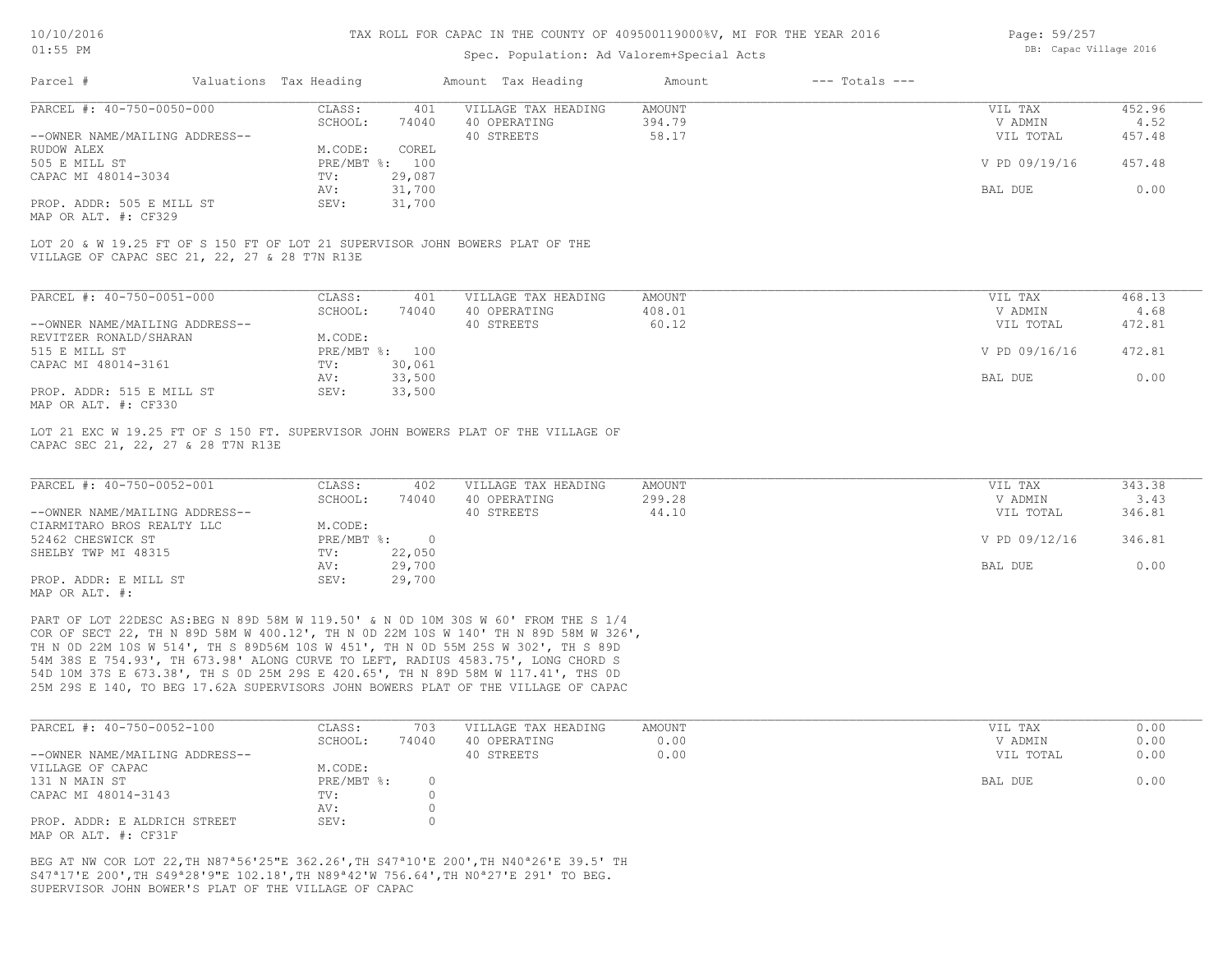#### Spec. Population: Ad Valorem+Special Acts

| Page: 59/257 |                        |  |
|--------------|------------------------|--|
|              | DB: Capac Village 2016 |  |

| Parcel #                       | Valuations Tax Heading |        | Amount Tax Heading  | Amount | $---$ Totals $---$ |               |        |
|--------------------------------|------------------------|--------|---------------------|--------|--------------------|---------------|--------|
| PARCEL #: 40-750-0050-000      | CLASS:                 | 401    | VILLAGE TAX HEADING | AMOUNT |                    | VIL TAX       | 452.96 |
|                                | SCHOOL:                | 74040  | 40 OPERATING        | 394.79 |                    | V ADMIN       | 4.52   |
| --OWNER NAME/MAILING ADDRESS-- |                        |        | 40 STREETS          | 58.17  |                    | VIL TOTAL     | 457.48 |
| RUDOW ALEX                     | M.CODE:                | COREL  |                     |        |                    |               |        |
| 505 E MILL ST                  | PRE/MBT %: 100         |        |                     |        |                    | V PD 09/19/16 | 457.48 |
| CAPAC MI 48014-3034            | TV:                    | 29,087 |                     |        |                    |               |        |
|                                | AV:                    | 31,700 |                     |        |                    | BAL DUE       | 0.00   |
| PROP. ADDR: 505 E MILL ST      | SEV:                   | 31,700 |                     |        |                    |               |        |
|                                |                        |        |                     |        |                    |               |        |

MAP OR ALT. #: CF329

VILLAGE OF CAPAC SEC 21, 22, 27 & 28 T7N R13E LOT 20 & W 19.25 FT OF S 150 FT OF LOT 21 SUPERVISOR JOHN BOWERS PLAT OF THE

| PARCEL #: 40-750-0051-000                                 | CLASS:       | 401    | VILLAGE TAX HEADING | AMOUNT | VIL TAX       | 468.13 |
|-----------------------------------------------------------|--------------|--------|---------------------|--------|---------------|--------|
|                                                           | SCHOOL:      | 74040  | 40 OPERATING        | 408.01 | V ADMIN       | 4.68   |
| --OWNER NAME/MAILING ADDRESS--                            |              |        | 40 STREETS          | 60.12  | VIL TOTAL     | 472.81 |
| REVITZER RONALD/SHARAN                                    | M.CODE:      |        |                     |        |               |        |
| 515 E MILL ST                                             | $PRE/MBT$ %: | 100    |                     |        | V PD 09/16/16 | 472.81 |
| CAPAC MI 48014-3161                                       | TV:          | 30,061 |                     |        |               |        |
|                                                           | AV:          | 33,500 |                     |        | BAL DUE       | 0.00   |
| PROP. ADDR: 515 E MILL ST<br>$MAD$ $CD$ $ATM$ $H$ , $CDQ$ | SEV:         | 33,500 |                     |        |               |        |

MAP OR ALT. #: CF330

CAPAC SEC 21, 22, 27 & 28 T7N R13E LOT 21 EXC W 19.25 FT OF S 150 FT. SUPERVISOR JOHN BOWERS PLAT OF THE VILLAGE OF

| PARCEL #: 40-750-0052-001      | CLASS:       | 402    | VILLAGE TAX HEADING | AMOUNT | VIL TAX       | 343.38 |
|--------------------------------|--------------|--------|---------------------|--------|---------------|--------|
|                                | SCHOOL:      | 74040  | 40 OPERATING        | 299.28 | V ADMIN       | 3.43   |
| --OWNER NAME/MAILING ADDRESS-- |              |        | 40 STREETS          | 44.10  | VIL TOTAL     | 346.81 |
| CIARMITARO BROS REALTY LLC     | M.CODE:      |        |                     |        |               |        |
| 52462 CHESWICK ST              | $PRE/MBT$ %: |        |                     |        | V PD 09/12/16 | 346.81 |
| SHELBY TWP MI 48315            | TV:          | 22,050 |                     |        |               |        |
|                                | AV:          | 29,700 |                     |        | BAL DUE       | 0.00   |
| PROP. ADDR: E MILL ST          | SEV:         | 29,700 |                     |        |               |        |
| MAP OR ALT. #:                 |              |        |                     |        |               |        |

25M 29S E 140, TO BEG 17.62A SUPERVISORS JOHN BOWERS PLAT OF THE VILLAGE OF CAPAC 54D 10M 37S E 673.38', TH S 0D 25M 29S E 420.65', TH N 89D 58M W 117.41', THS 0D 54M 38S E 754.93', TH 673.98' ALONG CURVE TO LEFT, RADIUS 4583.75', LONG CHORD S TH N 0D 22M 10S W 514', TH S 89D56M 10S W 451', TH N 0D 55M 25S W 302', TH S 89D COR OF SECT 22, TH N 89D 58M W 400.12', TH N 0D 22M 10S W 140' TH N 89D 58M W 326', PART OF LOT 22DESC AS:BEG N 89D 58M W 119.50' & N 0D 10M 30S W 60' FROM THE S 1/4

| PARCEL #: 40-750-0052-100      | CLASS:     | 703   | VILLAGE TAX HEADING | AMOUNT | VIL TAX   | 0.00 |
|--------------------------------|------------|-------|---------------------|--------|-----------|------|
|                                | SCHOOL:    | 74040 | 40 OPERATING        | 0.00   | V ADMIN   | 0.00 |
| --OWNER NAME/MAILING ADDRESS-- |            |       | 40 STREETS          | 0.00   | VIL TOTAL | 0.00 |
| VILLAGE OF CAPAC               | M.CODE:    |       |                     |        |           |      |
| 131 N MAIN ST                  | PRE/MBT %: |       |                     |        | BAL DUE   | 0.00 |
| CAPAC MI 48014-3143            | TV:        |       |                     |        |           |      |
|                                | AV:        |       |                     |        |           |      |
| PROP. ADDR: E ALDRICH STREET   | SEV:       |       |                     |        |           |      |
| MAP OR ALT. #: CF31F           |            |       |                     |        |           |      |

SUPERVISOR JOHN BOWER'S PLAT OF THE VILLAGE OF CAPAC S47ª17'E 200',TH S49ª28'9"E 102.18',TH N89ª42'W 756.64',TH N0ª27'E 291' TO BEG. BEG AT NW COR LOT 22,TH N87ª56'25"E 362.26',TH S47ª10'E 200',TH N40ª26'E 39.5' TH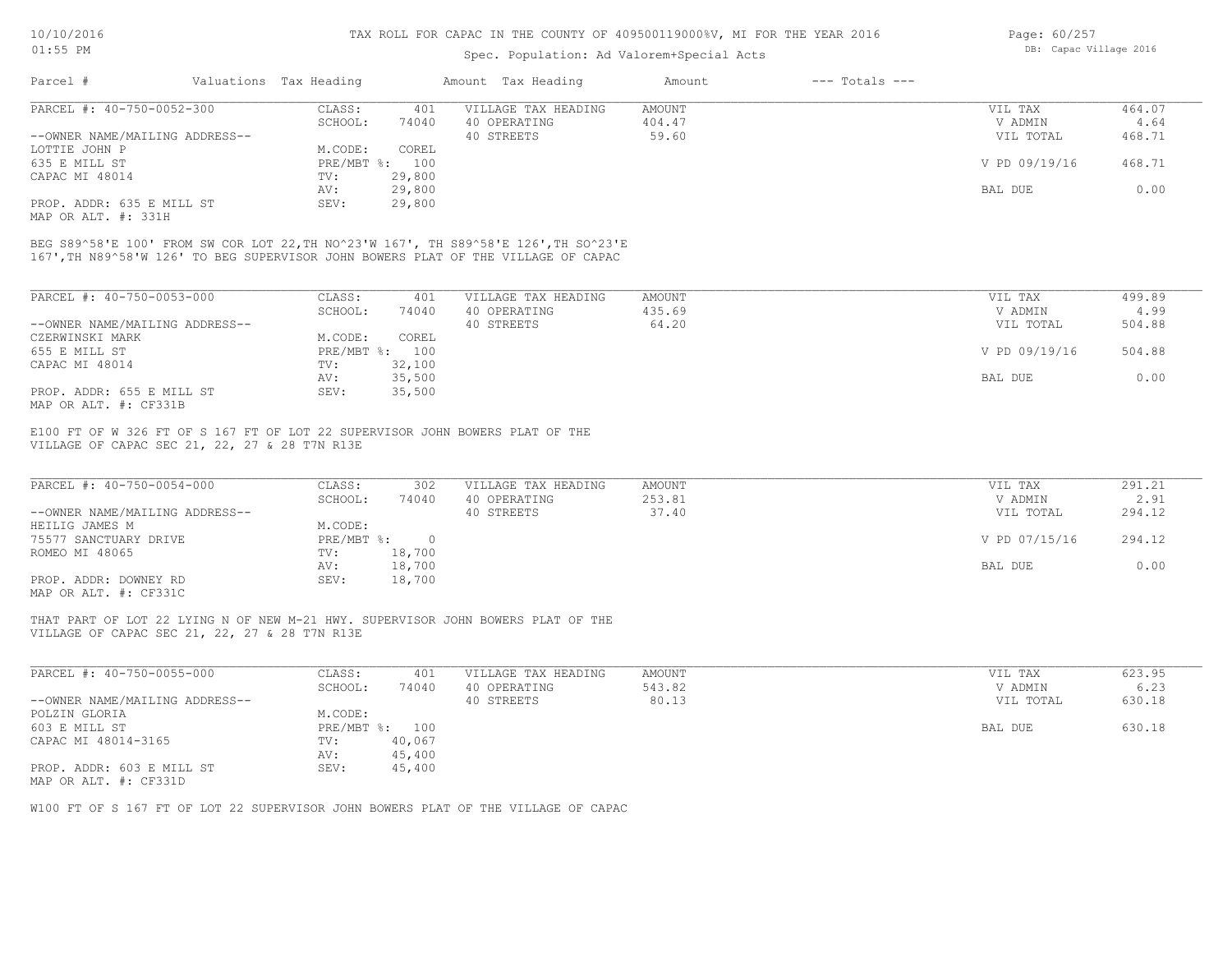#### Spec. Population: Ad Valorem+Special Acts

| Page: 60/257 |                        |  |
|--------------|------------------------|--|
|              | DB: Capac Village 2016 |  |

| Parcel #                       | Valuations Tax Heading |        | Amount Tax Heading  | Amount | $---$ Totals $---$ |               |        |
|--------------------------------|------------------------|--------|---------------------|--------|--------------------|---------------|--------|
| PARCEL #: 40-750-0052-300      | CLASS:                 | 401    | VILLAGE TAX HEADING | AMOUNT |                    | VIL TAX       | 464.07 |
|                                | SCHOOL:                | 74040  | 40 OPERATING        | 404.47 |                    | V ADMIN       | 4.64   |
| --OWNER NAME/MAILING ADDRESS-- |                        |        | 40 STREETS          | 59.60  |                    | VIL TOTAL     | 468.71 |
| LOTTIE JOHN P                  | M.CODE:                | COREL  |                     |        |                    |               |        |
| 635 E MILL ST                  | $PRE/MBT$ %:           | 100    |                     |        |                    | V PD 09/19/16 | 468.71 |
| CAPAC MI 48014                 | TV:                    | 29,800 |                     |        |                    |               |        |
|                                | AV:                    | 29,800 |                     |        |                    | BAL DUE       | 0.00   |
| PROP. ADDR: 635 E MILL ST      | SEV:                   | 29,800 |                     |        |                    |               |        |
|                                |                        |        |                     |        |                    |               |        |

MAP OR ALT. #: 331H

167',TH N89^58'W 126' TO BEG SUPERVISOR JOHN BOWERS PLAT OF THE VILLAGE OF CAPAC BEG S89^58'E 100' FROM SW COR LOT 22,TH NO^23'W 167', TH S89^58'E 126',TH SO^23'E

| PARCEL #: 40-750-0053-000      | CLASS:                    | 401    | VILLAGE TAX HEADING | AMOUNT | VIL TAX       | 499.89 |
|--------------------------------|---------------------------|--------|---------------------|--------|---------------|--------|
|                                | SCHOOL:                   | 74040  | 40 OPERATING        | 435.69 | V ADMIN       | 4.99   |
| --OWNER NAME/MAILING ADDRESS-- |                           |        | 40 STREETS          | 64.20  | VIL TOTAL     | 504.88 |
| CZERWINSKI MARK                | M.CODE:                   | COREL  |                     |        |               |        |
| 655 E MILL ST                  | $PRE/MBT$ $\frac{1}{6}$ : | 100    |                     |        | V PD 09/19/16 | 504.88 |
| CAPAC MI 48014                 | TV:                       | 32,100 |                     |        |               |        |
|                                | AV:                       | 35,500 |                     |        | BAL DUE       | 0.00   |
| PROP. ADDR: 655 E MILL ST      | SEV:                      | 35,500 |                     |        |               |        |
| סוככתים ++ חזוג מם מוזוא       |                           |        |                     |        |               |        |

MAP OR ALT. #: CF331B

VILLAGE OF CAPAC SEC 21, 22, 27 & 28 T7N R13E E100 FT OF W 326 FT OF S 167 FT OF LOT 22 SUPERVISOR JOHN BOWERS PLAT OF THE

| PARCEL #: 40-750-0054-000      | CLASS:       | 302    | VILLAGE TAX HEADING | AMOUNT | VIL TAX       | 291.21 |
|--------------------------------|--------------|--------|---------------------|--------|---------------|--------|
|                                | SCHOOL:      | 74040  | 40 OPERATING        | 253.81 | V ADMIN       | 2.91   |
| --OWNER NAME/MAILING ADDRESS-- |              |        | 40 STREETS          | 37.40  | VIL TOTAL     | 294.12 |
| HEILIG JAMES M                 | M.CODE:      |        |                     |        |               |        |
| 75577 SANCTUARY DRIVE          | $PRE/MBT$ %: |        |                     |        | V PD 07/15/16 | 294.12 |
| ROMEO MI 48065                 | TV:          | 18,700 |                     |        |               |        |
|                                | AV:          | 18,700 |                     |        | BAL DUE       | 0.00   |
| PROP. ADDR: DOWNEY RD          | SEV:         | 18,700 |                     |        |               |        |
| MAP OR ALT. #: CF331C          |              |        |                     |        |               |        |

VILLAGE OF CAPAC SEC 21, 22, 27 & 28 T7N R13E THAT PART OF LOT 22 LYING N OF NEW M-21 HWY. SUPERVISOR JOHN BOWERS PLAT OF THE

| PARCEL #: 40-750-0055-000      | CLASS:       | 401    | VILLAGE TAX HEADING | AMOUNT | VIL TAX   | 623.95 |
|--------------------------------|--------------|--------|---------------------|--------|-----------|--------|
|                                | SCHOOL:      | 74040  | 40 OPERATING        | 543.82 | V ADMIN   | 6.23   |
| --OWNER NAME/MAILING ADDRESS-- |              |        | 40 STREETS          | 80.13  | VIL TOTAL | 630.18 |
| POLZIN GLORIA                  | M.CODE:      |        |                     |        |           |        |
| 603 E MILL ST                  | $PRE/MBT$ %: | 100    |                     |        | BAL DUE   | 630.18 |
| CAPAC MI 48014-3165            | TV:          | 40,067 |                     |        |           |        |
|                                | AV:          | 45,400 |                     |        |           |        |
| PROP. ADDR: 603 E MILL ST      | SEV:         | 45,400 |                     |        |           |        |
| MAP OR ALT. #: CF331D          |              |        |                     |        |           |        |

 $\mathcal{L}_\mathcal{L} = \mathcal{L}_\mathcal{L} = \mathcal{L}_\mathcal{L} = \mathcal{L}_\mathcal{L} = \mathcal{L}_\mathcal{L} = \mathcal{L}_\mathcal{L} = \mathcal{L}_\mathcal{L} = \mathcal{L}_\mathcal{L} = \mathcal{L}_\mathcal{L} = \mathcal{L}_\mathcal{L} = \mathcal{L}_\mathcal{L} = \mathcal{L}_\mathcal{L} = \mathcal{L}_\mathcal{L} = \mathcal{L}_\mathcal{L} = \mathcal{L}_\mathcal{L} = \mathcal{L}_\mathcal{L} = \mathcal{L}_\mathcal{L}$ 

W100 FT OF S 167 FT OF LOT 22 SUPERVISOR JOHN BOWERS PLAT OF THE VILLAGE OF CAPAC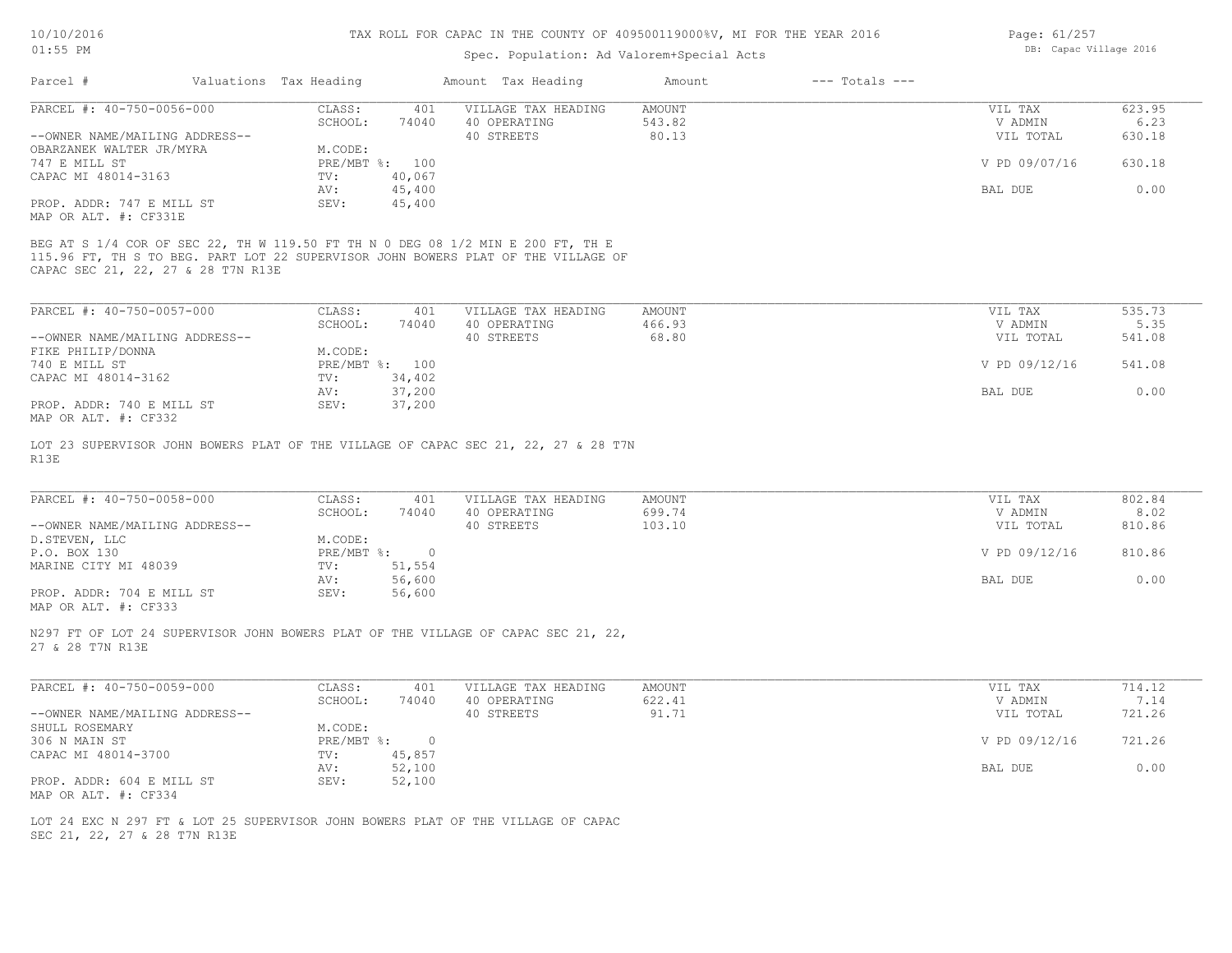#### Spec. Population: Ad Valorem+Special Acts

| Page: 61/257 |                        |  |
|--------------|------------------------|--|
|              | DB: Capac Village 2016 |  |

| Parcel #                       | Valuations Tax Heading |        | Amount Tax Heading  | Amount | $---$ Totals $---$ |               |        |
|--------------------------------|------------------------|--------|---------------------|--------|--------------------|---------------|--------|
| PARCEL #: 40-750-0056-000      | CLASS:                 | 401    | VILLAGE TAX HEADING | AMOUNT |                    | VIL TAX       | 623.95 |
|                                | SCHOOL:                | 74040  | 40 OPERATING        | 543.82 |                    | V ADMIN       | 6.23   |
| --OWNER NAME/MAILING ADDRESS-- |                        |        | 40 STREETS          | 80.13  |                    | VIL TOTAL     | 630.18 |
| OBARZANEK WALTER JR/MYRA       | M.CODE:                |        |                     |        |                    |               |        |
| 747 E MILL ST                  | PRE/MBT %:             | 100    |                     |        |                    | V PD 09/07/16 | 630.18 |
| CAPAC MI 48014-3163            | TV:                    | 40,067 |                     |        |                    |               |        |
|                                | AV:                    | 45,400 |                     |        |                    | BAL DUE       | 0.00   |
| PROP. ADDR: 747 E MILL ST      | SEV:                   | 45,400 |                     |        |                    |               |        |
| MAP OR ALT. #: CF331E          |                        |        |                     |        |                    |               |        |

CAPAC SEC 21, 22, 27 & 28 T7N R13E 115.96 FT, TH S TO BEG. PART LOT 22 SUPERVISOR JOHN BOWERS PLAT OF THE VILLAGE OF BEG AT S 1/4 COR OF SEC 22, TH W 119.50 FT TH N 0 DEG 08 1/2 MIN E 200 FT, TH E

| PARCEL #: 40-750-0057-000      | CLASS:  | 401            | VILLAGE TAX HEADING | AMOUNT | VIL TAX       | 535.73 |
|--------------------------------|---------|----------------|---------------------|--------|---------------|--------|
|                                | SCHOOL: | 74040          | 40 OPERATING        | 466.93 | V ADMIN       | 5.35   |
| --OWNER NAME/MAILING ADDRESS-- |         |                | 40 STREETS          | 68.80  | VIL TOTAL     | 541.08 |
| FIKE PHILIP/DONNA              | M.CODE: |                |                     |        |               |        |
| 740 E MILL ST                  |         | PRE/MBT %: 100 |                     |        | V PD 09/12/16 | 541.08 |
| CAPAC MI 48014-3162            | TV:     | 34,402         |                     |        |               |        |
|                                | AV:     | 37,200         |                     |        | BAL DUE       | 0.00   |
| PROP. ADDR: 740 E MILL ST      | SEV:    | 37,200         |                     |        |               |        |
| MAP OR ALT. #: CF332           |         |                |                     |        |               |        |

R13E LOT 23 SUPERVISOR JOHN BOWERS PLAT OF THE VILLAGE OF CAPAC SEC 21, 22, 27 & 28 T7N

| PARCEL #: 40-750-0058-000      | CLASS:       | 401    | VILLAGE TAX HEADING | AMOUNT | VIL TAX       | 802.84 |
|--------------------------------|--------------|--------|---------------------|--------|---------------|--------|
|                                | SCHOOL:      | 74040  | 40 OPERATING        | 699.74 | V ADMIN       | 8.02   |
| --OWNER NAME/MAILING ADDRESS-- |              |        | 40 STREETS          | 103.10 | VIL TOTAL     | 810.86 |
| D.STEVEN, LLC                  | M.CODE:      |        |                     |        |               |        |
| P.O. BOX 130                   | $PRE/MBT$ %: |        |                     |        | V PD 09/12/16 | 810.86 |
| MARINE CITY MI 48039           | TV:          | 51,554 |                     |        |               |        |
|                                | AV:          | 56,600 |                     |        | BAL DUE       | 0.00   |
| PROP. ADDR: 704 E MILL ST      | SEV:         | 56,600 |                     |        |               |        |
|                                |              |        |                     |        |               |        |

 $\mathcal{L}_\mathcal{L} = \mathcal{L}_\mathcal{L} = \mathcal{L}_\mathcal{L} = \mathcal{L}_\mathcal{L} = \mathcal{L}_\mathcal{L} = \mathcal{L}_\mathcal{L} = \mathcal{L}_\mathcal{L} = \mathcal{L}_\mathcal{L} = \mathcal{L}_\mathcal{L} = \mathcal{L}_\mathcal{L} = \mathcal{L}_\mathcal{L} = \mathcal{L}_\mathcal{L} = \mathcal{L}_\mathcal{L} = \mathcal{L}_\mathcal{L} = \mathcal{L}_\mathcal{L} = \mathcal{L}_\mathcal{L} = \mathcal{L}_\mathcal{L}$ 

MAP OR ALT. #: CF333

27 & 28 T7N R13E N297 FT OF LOT 24 SUPERVISOR JOHN BOWERS PLAT OF THE VILLAGE OF CAPAC SEC 21, 22,

| PARCEL #: 40-750-0059-000      | CLASS:     | 401    | VILLAGE TAX HEADING | AMOUNT | VIL TAX       | 714.12 |
|--------------------------------|------------|--------|---------------------|--------|---------------|--------|
|                                | SCHOOL:    | 74040  | 40 OPERATING        | 622.41 | V ADMIN       | 7.14   |
| --OWNER NAME/MAILING ADDRESS-- |            |        | 40 STREETS          | 91.71  | VIL TOTAL     | 721.26 |
| SHULL ROSEMARY                 | M.CODE:    |        |                     |        |               |        |
| 306 N MAIN ST                  | PRE/MBT %: |        |                     |        | V PD 09/12/16 | 721.26 |
| CAPAC MI 48014-3700            | TV:        | 45,857 |                     |        |               |        |
|                                | AV:        | 52,100 |                     |        | BAL DUE       | 0.00   |
| PROP. ADDR: 604 E MILL ST      | SEV:       | 52,100 |                     |        |               |        |
| MAP OR ALT. #: CF334           |            |        |                     |        |               |        |

SEC 21, 22, 27 & 28 T7N R13E LOT 24 EXC N 297 FT & LOT 25 SUPERVISOR JOHN BOWERS PLAT OF THE VILLAGE OF CAPAC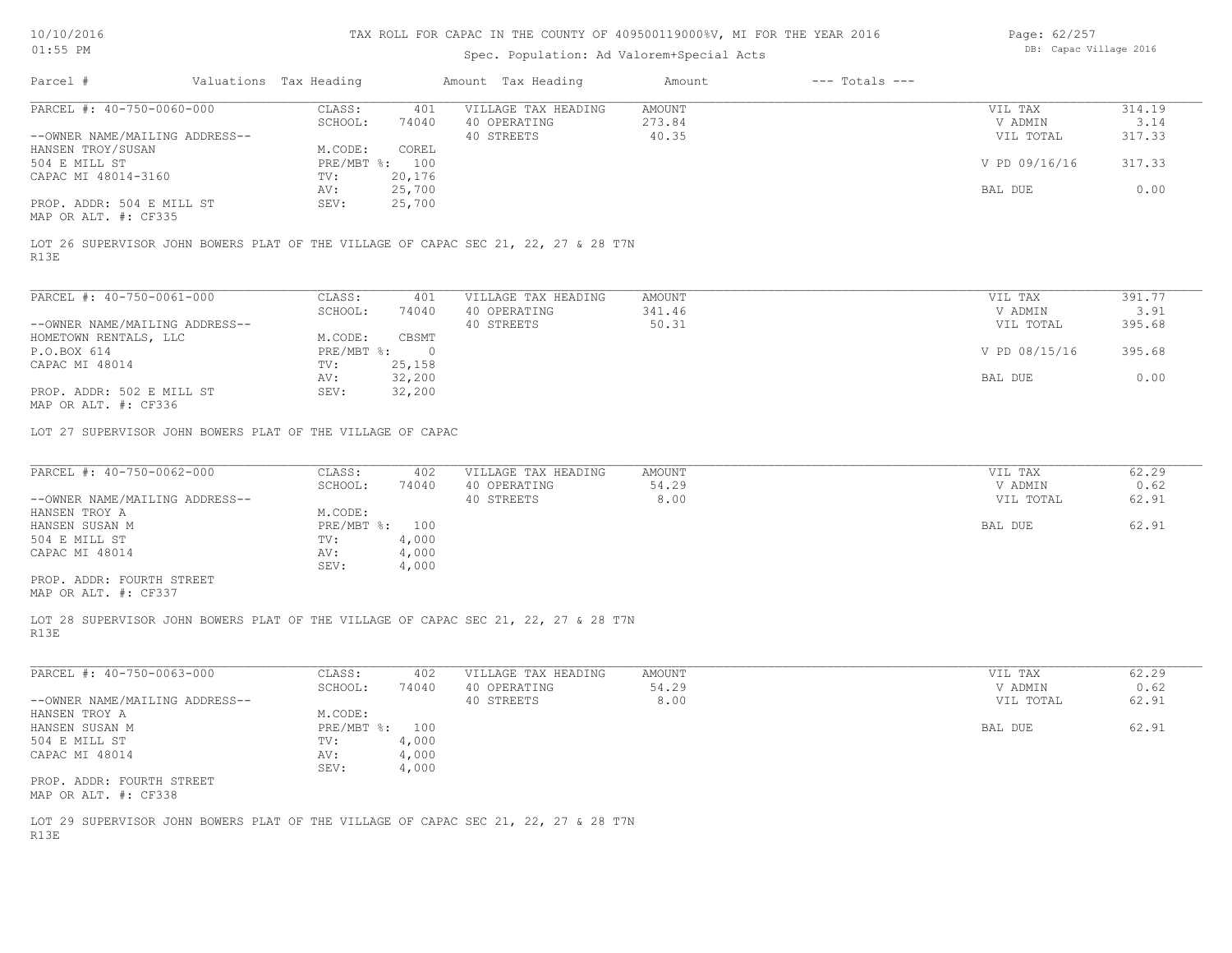| Page: 62/257 |                        |  |
|--------------|------------------------|--|
|              | DB: Capac Village 2016 |  |

|                                                                                            |                                                           |                                                                                    | Spec. Population: Ad Valorem+Special Acts |                    |                |
|--------------------------------------------------------------------------------------------|-----------------------------------------------------------|------------------------------------------------------------------------------------|-------------------------------------------|--------------------|----------------|
| Parcel #                                                                                   | Valuations Tax Heading                                    | Amount Tax Heading                                                                 | $---$ Totals $---$<br>Amount              |                    |                |
| PARCEL #: 40-750-0060-000                                                                  | CLASS:<br>401<br>SCHOOL:<br>74040                         | VILLAGE TAX HEADING<br>40 OPERATING                                                | AMOUNT<br>273.84                          | VIL TAX<br>V ADMIN | 314.19<br>3.14 |
| --OWNER NAME/MAILING ADDRESS--<br>HANSEN TROY/SUSAN                                        | M.CODE:<br>COREL                                          | 40 STREETS                                                                         | 40.35                                     | VIL TOTAL          | 317.33         |
| 504 E MILL ST<br>CAPAC MI 48014-3160                                                       | PRE/MBT %: 100<br>TV:<br>20,176                           |                                                                                    |                                           | V PD 09/16/16      | 317.33         |
| PROP. ADDR: 504 E MILL ST<br>MAP OR ALT. #: CF335                                          | 25,700<br>AV:<br>25,700<br>SEV:                           |                                                                                    |                                           | BAL DUE            | 0.00           |
| LOT 26 SUPERVISOR JOHN BOWERS PLAT OF THE VILLAGE OF CAPAC SEC 21, 22, 27 & 28 T7N<br>R13E |                                                           |                                                                                    |                                           |                    |                |
| PARCEL #: 40-750-0061-000                                                                  | CLASS:<br>401                                             | VILLAGE TAX HEADING                                                                | AMOUNT                                    | VIL TAX            | 391.77         |
|                                                                                            | SCHOOL:<br>74040                                          | 40 OPERATING                                                                       | 341.46                                    | V ADMIN            | 3.91           |
| --OWNER NAME/MAILING ADDRESS--                                                             |                                                           | 40 STREETS                                                                         | 50.31                                     | VIL TOTAL          | 395.68         |
| HOMETOWN RENTALS, LLC                                                                      | M.CODE:<br>CBSMT                                          |                                                                                    |                                           |                    | 395.68         |
| P.O.BOX 614<br>CAPAC MI 48014                                                              | $PRE/MBT$ %:<br>$\overline{\phantom{0}}$<br>TV:<br>25,158 |                                                                                    |                                           | V PD 08/15/16      |                |
|                                                                                            | 32,200<br>AV:                                             |                                                                                    |                                           | BAL DUE            | 0.00           |
| PROP. ADDR: 502 E MILL ST<br>MAP OR ALT. #: CF336                                          | 32,200<br>SEV:                                            |                                                                                    |                                           |                    |                |
| LOT 27 SUPERVISOR JOHN BOWERS PLAT OF THE VILLAGE OF CAPAC                                 |                                                           |                                                                                    |                                           |                    |                |
| PARCEL #: $40-750-0062-000$                                                                | CLASS:<br>402                                             | VILLAGE TAX HEADING                                                                | AMOUNT                                    | VIL TAX            | 62.29          |
|                                                                                            | SCHOOL:<br>74040                                          | 40 OPERATING                                                                       | 54.29                                     | V ADMIN            | 0.62           |
| --OWNER NAME/MAILING ADDRESS--                                                             |                                                           | 40 STREETS                                                                         | 8.00                                      | VIL TOTAL          | 62.91          |
| HANSEN TROY A<br>HANSEN SUSAN M                                                            | M.CODE:<br>PRE/MBT %: 100                                 |                                                                                    |                                           | BAL DUE            | 62.91          |
| 504 E MILL ST                                                                              | 4,000<br>TV:                                              |                                                                                    |                                           |                    |                |
| CAPAC MI 48014                                                                             | 4,000<br>AV:                                              |                                                                                    |                                           |                    |                |
|                                                                                            | SEV:<br>4,000                                             |                                                                                    |                                           |                    |                |
| PROP. ADDR: FOURTH STREET<br>MAP OR ALT. #: CF337                                          |                                                           |                                                                                    |                                           |                    |                |
| LOT 28 SUPERVISOR JOHN BOWERS PLAT OF THE VILLAGE OF CAPAC SEC 21, 22, 27 & 28 T7N<br>R13E |                                                           |                                                                                    |                                           |                    |                |
|                                                                                            |                                                           |                                                                                    |                                           |                    |                |
| PARCEL #: 40-750-0063-000                                                                  | CLASS:<br>402<br>SCHOOL:<br>74040                         | VILLAGE TAX HEADING<br>40 OPERATING                                                | AMOUNT<br>54.29                           | VIL TAX<br>V ADMIN | 62.29<br>0.62  |
| --OWNER NAME/MAILING ADDRESS--                                                             |                                                           | 40 STREETS                                                                         | 8.00                                      | VIL TOTAL          | 62.91          |
| HANSEN TROY A                                                                              | M.CODE:                                                   |                                                                                    |                                           |                    |                |
| HANSEN SUSAN M                                                                             | PRE/MBT %: 100                                            |                                                                                    |                                           | BAL DUE            | 62.91          |
| 504 E MILL ST                                                                              | TV:<br>4,000                                              |                                                                                    |                                           |                    |                |
| CAPAC MI 48014                                                                             | 4,000<br>AV:<br>4,000<br>SEV:                             |                                                                                    |                                           |                    |                |
| PROP. ADDR: FOURTH STREET<br>MAP OR ALT. #: CF338                                          |                                                           |                                                                                    |                                           |                    |                |
|                                                                                            |                                                           | LOT 29 SUPERVISOR JOHN BOWERS PLAT OF THE VILLAGE OF CAPAC SEC 21, 22, 27 & 28 T7N |                                           |                    |                |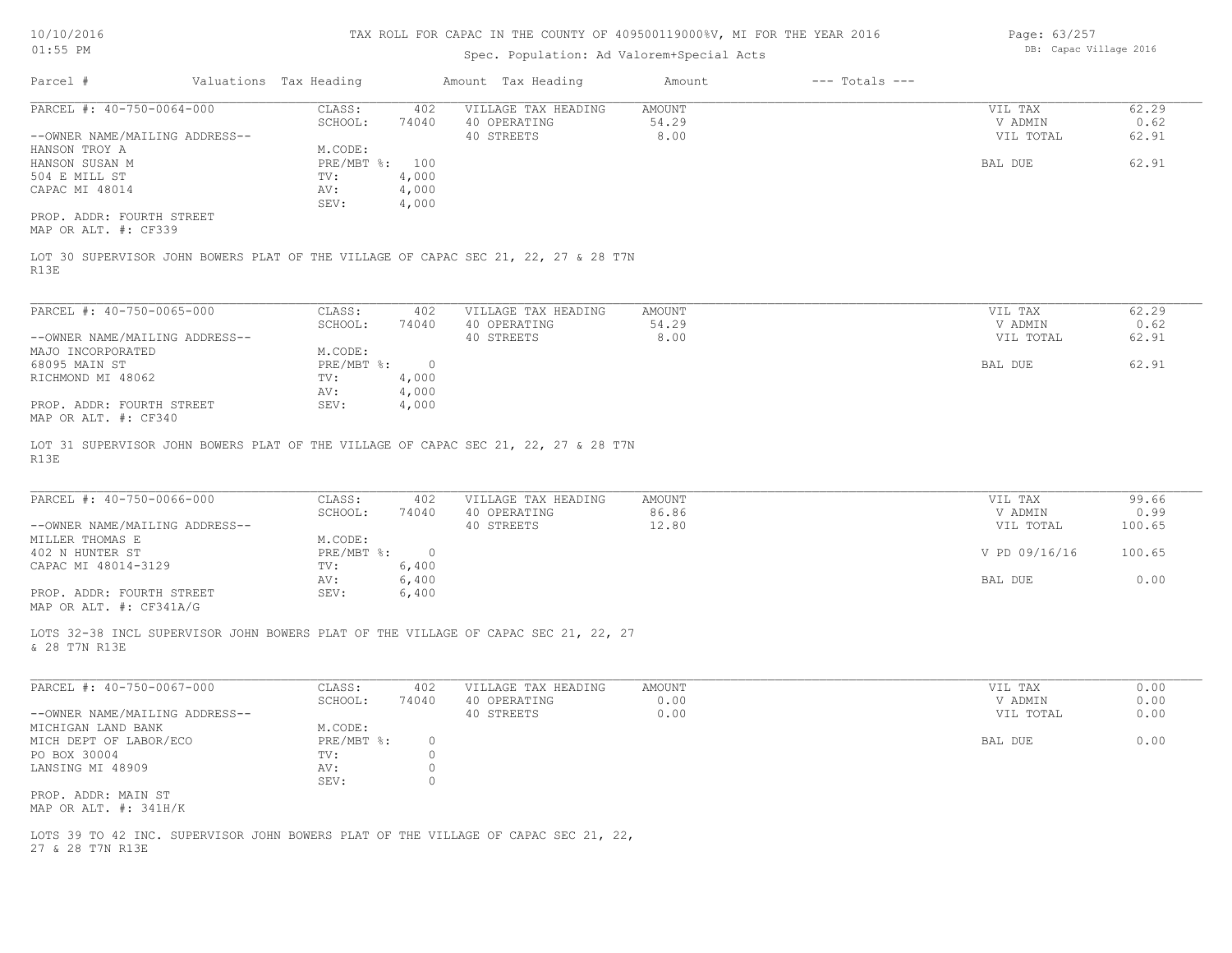# Spec. Population: Ad Valorem+Special Acts

Page: 63/257 DB: Capac Village 2016

| PARCEL #: 40-750-0064-000<br>62.29<br>CLASS:<br>402<br>VILLAGE TAX HEADING<br>AMOUNT<br>VIL TAX<br>54.29<br>SCHOOL:<br>74040<br>40 OPERATING<br>V ADMIN<br>40 STREETS<br>8.00<br>62.91<br>--OWNER NAME/MAILING ADDRESS--<br>VIL TOTAL<br>M.CODE:<br>HANSON TROY A<br>62.91<br>HANSON SUSAN M<br>PRE/MBT %: 100<br>BAL DUE<br>4,000<br>504 E MILL ST<br>TV:<br>CAPAC MI 48014<br>4,000<br>AV:<br>SEV:<br>4,000<br>PROP. ADDR: FOURTH STREET<br>MAP OR ALT. #: CF339<br>LOT 30 SUPERVISOR JOHN BOWERS PLAT OF THE VILLAGE OF CAPAC SEC 21, 22, 27 & 28 T7N<br>R13E<br>PARCEL #: 40-750-0065-000<br>62.29<br>CLASS:<br>402<br>AMOUNT<br>VILLAGE TAX HEADING<br>VIL TAX<br>54.29<br>V ADMIN<br>0.62<br>SCHOOL:<br>74040<br>40 OPERATING<br>--OWNER NAME/MAILING ADDRESS--<br>40 STREETS<br>8.00<br>VIL TOTAL<br>62.91<br>M.CODE:<br>MAJO INCORPORATED<br>62.91<br>68095 MAIN ST<br>$PRE/MBT$ %:<br>$\overline{0}$<br>BAL DUE<br>RICHMOND MI 48062<br>4,000<br>TV:<br>4,000<br>AV:<br>PROP. ADDR: FOURTH STREET<br>SEV:<br>4,000<br>MAP OR ALT. #: CF340<br>LOT 31 SUPERVISOR JOHN BOWERS PLAT OF THE VILLAGE OF CAPAC SEC 21, 22, 27 & 28 T7N<br>R13E<br>PARCEL #: 40-750-0066-000<br>CLASS:<br>VILLAGE TAX HEADING<br>VIL TAX<br>402<br>AMOUNT<br>86.86<br>SCHOOL:<br>74040<br>40 OPERATING<br>V ADMIN<br>0.99<br>12.80<br>40 STREETS<br>100.65<br>--OWNER NAME/MAILING ADDRESS--<br>VIL TOTAL<br>MILLER THOMAS E<br>M.CODE:<br>$PRE/MBT$ %:<br>402 N HUNTER ST<br>$\overline{0}$<br>V PD 09/16/16<br>100.65<br>CAPAC MI 48014-3129<br>TV:<br>6,400<br>6,400<br>BAL DUE<br>0.00<br>AV:<br>PROP. ADDR: FOURTH STREET<br>6,400<br>SEV:<br>MAP OR ALT. #: CF341A/G<br>LOTS 32-38 INCL SUPERVISOR JOHN BOWERS PLAT OF THE VILLAGE OF CAPAC SEC 21, 22, 27<br>& 28 T7N R13E<br>PARCEL #: 40-750-0067-000<br>CLASS:<br>VILLAGE TAX HEADING<br>AMOUNT<br>VIL TAX<br>0.00<br>402<br>SCHOOL:<br>40 OPERATING<br>0.00<br>V ADMIN<br>0.00<br>74040<br>0.00<br>40 STREETS<br>0.00<br>--OWNER NAME/MAILING ADDRESS--<br>VIL TOTAL<br>M.CODE:<br>MICHIGAN LAND BANK<br>0.00<br>MICH DEPT OF LABOR/ECO<br>PRE/MBT %:<br>$\circ$<br>BAL DUE<br>PO BOX 30004<br>$\overline{0}$<br>$\texttt{TV}$ :<br>LANSING MI 48909<br>0<br>AV:<br>$\circ$<br>SEV:<br>PROP. ADDR: MAIN ST<br>MAP OR ALT. $\#$ : 341H/K<br>LOTS 39 TO 42 INC. SUPERVISOR JOHN BOWERS PLAT OF THE VILLAGE OF CAPAC SEC 21, 22, | 27 & 28 T7N R13E | Parcel # | Valuations Tax Heading |  | Amount Tax Heading | Amount | $---$ Totals $---$ |  |
|----------------------------------------------------------------------------------------------------------------------------------------------------------------------------------------------------------------------------------------------------------------------------------------------------------------------------------------------------------------------------------------------------------------------------------------------------------------------------------------------------------------------------------------------------------------------------------------------------------------------------------------------------------------------------------------------------------------------------------------------------------------------------------------------------------------------------------------------------------------------------------------------------------------------------------------------------------------------------------------------------------------------------------------------------------------------------------------------------------------------------------------------------------------------------------------------------------------------------------------------------------------------------------------------------------------------------------------------------------------------------------------------------------------------------------------------------------------------------------------------------------------------------------------------------------------------------------------------------------------------------------------------------------------------------------------------------------------------------------------------------------------------------------------------------------------------------------------------------------------------------------------------------------------------------------------------------------------------------------------------------------------------------------------------------------------------------------------------------------------------------------------------------------------------------------------------------------------------------------------------------------------------------------------------------------------------------------------------------------------------------|------------------|----------|------------------------|--|--------------------|--------|--------------------|--|
| 0.62<br>99.66                                                                                                                                                                                                                                                                                                                                                                                                                                                                                                                                                                                                                                                                                                                                                                                                                                                                                                                                                                                                                                                                                                                                                                                                                                                                                                                                                                                                                                                                                                                                                                                                                                                                                                                                                                                                                                                                                                                                                                                                                                                                                                                                                                                                                                                                                                                                                              |                  |          |                        |  |                    |        |                    |  |
|                                                                                                                                                                                                                                                                                                                                                                                                                                                                                                                                                                                                                                                                                                                                                                                                                                                                                                                                                                                                                                                                                                                                                                                                                                                                                                                                                                                                                                                                                                                                                                                                                                                                                                                                                                                                                                                                                                                                                                                                                                                                                                                                                                                                                                                                                                                                                                            |                  |          |                        |  |                    |        |                    |  |
|                                                                                                                                                                                                                                                                                                                                                                                                                                                                                                                                                                                                                                                                                                                                                                                                                                                                                                                                                                                                                                                                                                                                                                                                                                                                                                                                                                                                                                                                                                                                                                                                                                                                                                                                                                                                                                                                                                                                                                                                                                                                                                                                                                                                                                                                                                                                                                            |                  |          |                        |  |                    |        |                    |  |
|                                                                                                                                                                                                                                                                                                                                                                                                                                                                                                                                                                                                                                                                                                                                                                                                                                                                                                                                                                                                                                                                                                                                                                                                                                                                                                                                                                                                                                                                                                                                                                                                                                                                                                                                                                                                                                                                                                                                                                                                                                                                                                                                                                                                                                                                                                                                                                            |                  |          |                        |  |                    |        |                    |  |
|                                                                                                                                                                                                                                                                                                                                                                                                                                                                                                                                                                                                                                                                                                                                                                                                                                                                                                                                                                                                                                                                                                                                                                                                                                                                                                                                                                                                                                                                                                                                                                                                                                                                                                                                                                                                                                                                                                                                                                                                                                                                                                                                                                                                                                                                                                                                                                            |                  |          |                        |  |                    |        |                    |  |
|                                                                                                                                                                                                                                                                                                                                                                                                                                                                                                                                                                                                                                                                                                                                                                                                                                                                                                                                                                                                                                                                                                                                                                                                                                                                                                                                                                                                                                                                                                                                                                                                                                                                                                                                                                                                                                                                                                                                                                                                                                                                                                                                                                                                                                                                                                                                                                            |                  |          |                        |  |                    |        |                    |  |
|                                                                                                                                                                                                                                                                                                                                                                                                                                                                                                                                                                                                                                                                                                                                                                                                                                                                                                                                                                                                                                                                                                                                                                                                                                                                                                                                                                                                                                                                                                                                                                                                                                                                                                                                                                                                                                                                                                                                                                                                                                                                                                                                                                                                                                                                                                                                                                            |                  |          |                        |  |                    |        |                    |  |
|                                                                                                                                                                                                                                                                                                                                                                                                                                                                                                                                                                                                                                                                                                                                                                                                                                                                                                                                                                                                                                                                                                                                                                                                                                                                                                                                                                                                                                                                                                                                                                                                                                                                                                                                                                                                                                                                                                                                                                                                                                                                                                                                                                                                                                                                                                                                                                            |                  |          |                        |  |                    |        |                    |  |
|                                                                                                                                                                                                                                                                                                                                                                                                                                                                                                                                                                                                                                                                                                                                                                                                                                                                                                                                                                                                                                                                                                                                                                                                                                                                                                                                                                                                                                                                                                                                                                                                                                                                                                                                                                                                                                                                                                                                                                                                                                                                                                                                                                                                                                                                                                                                                                            |                  |          |                        |  |                    |        |                    |  |
|                                                                                                                                                                                                                                                                                                                                                                                                                                                                                                                                                                                                                                                                                                                                                                                                                                                                                                                                                                                                                                                                                                                                                                                                                                                                                                                                                                                                                                                                                                                                                                                                                                                                                                                                                                                                                                                                                                                                                                                                                                                                                                                                                                                                                                                                                                                                                                            |                  |          |                        |  |                    |        |                    |  |
|                                                                                                                                                                                                                                                                                                                                                                                                                                                                                                                                                                                                                                                                                                                                                                                                                                                                                                                                                                                                                                                                                                                                                                                                                                                                                                                                                                                                                                                                                                                                                                                                                                                                                                                                                                                                                                                                                                                                                                                                                                                                                                                                                                                                                                                                                                                                                                            |                  |          |                        |  |                    |        |                    |  |
|                                                                                                                                                                                                                                                                                                                                                                                                                                                                                                                                                                                                                                                                                                                                                                                                                                                                                                                                                                                                                                                                                                                                                                                                                                                                                                                                                                                                                                                                                                                                                                                                                                                                                                                                                                                                                                                                                                                                                                                                                                                                                                                                                                                                                                                                                                                                                                            |                  |          |                        |  |                    |        |                    |  |
|                                                                                                                                                                                                                                                                                                                                                                                                                                                                                                                                                                                                                                                                                                                                                                                                                                                                                                                                                                                                                                                                                                                                                                                                                                                                                                                                                                                                                                                                                                                                                                                                                                                                                                                                                                                                                                                                                                                                                                                                                                                                                                                                                                                                                                                                                                                                                                            |                  |          |                        |  |                    |        |                    |  |
|                                                                                                                                                                                                                                                                                                                                                                                                                                                                                                                                                                                                                                                                                                                                                                                                                                                                                                                                                                                                                                                                                                                                                                                                                                                                                                                                                                                                                                                                                                                                                                                                                                                                                                                                                                                                                                                                                                                                                                                                                                                                                                                                                                                                                                                                                                                                                                            |                  |          |                        |  |                    |        |                    |  |
|                                                                                                                                                                                                                                                                                                                                                                                                                                                                                                                                                                                                                                                                                                                                                                                                                                                                                                                                                                                                                                                                                                                                                                                                                                                                                                                                                                                                                                                                                                                                                                                                                                                                                                                                                                                                                                                                                                                                                                                                                                                                                                                                                                                                                                                                                                                                                                            |                  |          |                        |  |                    |        |                    |  |
|                                                                                                                                                                                                                                                                                                                                                                                                                                                                                                                                                                                                                                                                                                                                                                                                                                                                                                                                                                                                                                                                                                                                                                                                                                                                                                                                                                                                                                                                                                                                                                                                                                                                                                                                                                                                                                                                                                                                                                                                                                                                                                                                                                                                                                                                                                                                                                            |                  |          |                        |  |                    |        |                    |  |
|                                                                                                                                                                                                                                                                                                                                                                                                                                                                                                                                                                                                                                                                                                                                                                                                                                                                                                                                                                                                                                                                                                                                                                                                                                                                                                                                                                                                                                                                                                                                                                                                                                                                                                                                                                                                                                                                                                                                                                                                                                                                                                                                                                                                                                                                                                                                                                            |                  |          |                        |  |                    |        |                    |  |
|                                                                                                                                                                                                                                                                                                                                                                                                                                                                                                                                                                                                                                                                                                                                                                                                                                                                                                                                                                                                                                                                                                                                                                                                                                                                                                                                                                                                                                                                                                                                                                                                                                                                                                                                                                                                                                                                                                                                                                                                                                                                                                                                                                                                                                                                                                                                                                            |                  |          |                        |  |                    |        |                    |  |
|                                                                                                                                                                                                                                                                                                                                                                                                                                                                                                                                                                                                                                                                                                                                                                                                                                                                                                                                                                                                                                                                                                                                                                                                                                                                                                                                                                                                                                                                                                                                                                                                                                                                                                                                                                                                                                                                                                                                                                                                                                                                                                                                                                                                                                                                                                                                                                            |                  |          |                        |  |                    |        |                    |  |
|                                                                                                                                                                                                                                                                                                                                                                                                                                                                                                                                                                                                                                                                                                                                                                                                                                                                                                                                                                                                                                                                                                                                                                                                                                                                                                                                                                                                                                                                                                                                                                                                                                                                                                                                                                                                                                                                                                                                                                                                                                                                                                                                                                                                                                                                                                                                                                            |                  |          |                        |  |                    |        |                    |  |
|                                                                                                                                                                                                                                                                                                                                                                                                                                                                                                                                                                                                                                                                                                                                                                                                                                                                                                                                                                                                                                                                                                                                                                                                                                                                                                                                                                                                                                                                                                                                                                                                                                                                                                                                                                                                                                                                                                                                                                                                                                                                                                                                                                                                                                                                                                                                                                            |                  |          |                        |  |                    |        |                    |  |
|                                                                                                                                                                                                                                                                                                                                                                                                                                                                                                                                                                                                                                                                                                                                                                                                                                                                                                                                                                                                                                                                                                                                                                                                                                                                                                                                                                                                                                                                                                                                                                                                                                                                                                                                                                                                                                                                                                                                                                                                                                                                                                                                                                                                                                                                                                                                                                            |                  |          |                        |  |                    |        |                    |  |
|                                                                                                                                                                                                                                                                                                                                                                                                                                                                                                                                                                                                                                                                                                                                                                                                                                                                                                                                                                                                                                                                                                                                                                                                                                                                                                                                                                                                                                                                                                                                                                                                                                                                                                                                                                                                                                                                                                                                                                                                                                                                                                                                                                                                                                                                                                                                                                            |                  |          |                        |  |                    |        |                    |  |
|                                                                                                                                                                                                                                                                                                                                                                                                                                                                                                                                                                                                                                                                                                                                                                                                                                                                                                                                                                                                                                                                                                                                                                                                                                                                                                                                                                                                                                                                                                                                                                                                                                                                                                                                                                                                                                                                                                                                                                                                                                                                                                                                                                                                                                                                                                                                                                            |                  |          |                        |  |                    |        |                    |  |
|                                                                                                                                                                                                                                                                                                                                                                                                                                                                                                                                                                                                                                                                                                                                                                                                                                                                                                                                                                                                                                                                                                                                                                                                                                                                                                                                                                                                                                                                                                                                                                                                                                                                                                                                                                                                                                                                                                                                                                                                                                                                                                                                                                                                                                                                                                                                                                            |                  |          |                        |  |                    |        |                    |  |
|                                                                                                                                                                                                                                                                                                                                                                                                                                                                                                                                                                                                                                                                                                                                                                                                                                                                                                                                                                                                                                                                                                                                                                                                                                                                                                                                                                                                                                                                                                                                                                                                                                                                                                                                                                                                                                                                                                                                                                                                                                                                                                                                                                                                                                                                                                                                                                            |                  |          |                        |  |                    |        |                    |  |
|                                                                                                                                                                                                                                                                                                                                                                                                                                                                                                                                                                                                                                                                                                                                                                                                                                                                                                                                                                                                                                                                                                                                                                                                                                                                                                                                                                                                                                                                                                                                                                                                                                                                                                                                                                                                                                                                                                                                                                                                                                                                                                                                                                                                                                                                                                                                                                            |                  |          |                        |  |                    |        |                    |  |
|                                                                                                                                                                                                                                                                                                                                                                                                                                                                                                                                                                                                                                                                                                                                                                                                                                                                                                                                                                                                                                                                                                                                                                                                                                                                                                                                                                                                                                                                                                                                                                                                                                                                                                                                                                                                                                                                                                                                                                                                                                                                                                                                                                                                                                                                                                                                                                            |                  |          |                        |  |                    |        |                    |  |
|                                                                                                                                                                                                                                                                                                                                                                                                                                                                                                                                                                                                                                                                                                                                                                                                                                                                                                                                                                                                                                                                                                                                                                                                                                                                                                                                                                                                                                                                                                                                                                                                                                                                                                                                                                                                                                                                                                                                                                                                                                                                                                                                                                                                                                                                                                                                                                            |                  |          |                        |  |                    |        |                    |  |
|                                                                                                                                                                                                                                                                                                                                                                                                                                                                                                                                                                                                                                                                                                                                                                                                                                                                                                                                                                                                                                                                                                                                                                                                                                                                                                                                                                                                                                                                                                                                                                                                                                                                                                                                                                                                                                                                                                                                                                                                                                                                                                                                                                                                                                                                                                                                                                            |                  |          |                        |  |                    |        |                    |  |
|                                                                                                                                                                                                                                                                                                                                                                                                                                                                                                                                                                                                                                                                                                                                                                                                                                                                                                                                                                                                                                                                                                                                                                                                                                                                                                                                                                                                                                                                                                                                                                                                                                                                                                                                                                                                                                                                                                                                                                                                                                                                                                                                                                                                                                                                                                                                                                            |                  |          |                        |  |                    |        |                    |  |
|                                                                                                                                                                                                                                                                                                                                                                                                                                                                                                                                                                                                                                                                                                                                                                                                                                                                                                                                                                                                                                                                                                                                                                                                                                                                                                                                                                                                                                                                                                                                                                                                                                                                                                                                                                                                                                                                                                                                                                                                                                                                                                                                                                                                                                                                                                                                                                            |                  |          |                        |  |                    |        |                    |  |
|                                                                                                                                                                                                                                                                                                                                                                                                                                                                                                                                                                                                                                                                                                                                                                                                                                                                                                                                                                                                                                                                                                                                                                                                                                                                                                                                                                                                                                                                                                                                                                                                                                                                                                                                                                                                                                                                                                                                                                                                                                                                                                                                                                                                                                                                                                                                                                            |                  |          |                        |  |                    |        |                    |  |
|                                                                                                                                                                                                                                                                                                                                                                                                                                                                                                                                                                                                                                                                                                                                                                                                                                                                                                                                                                                                                                                                                                                                                                                                                                                                                                                                                                                                                                                                                                                                                                                                                                                                                                                                                                                                                                                                                                                                                                                                                                                                                                                                                                                                                                                                                                                                                                            |                  |          |                        |  |                    |        |                    |  |
|                                                                                                                                                                                                                                                                                                                                                                                                                                                                                                                                                                                                                                                                                                                                                                                                                                                                                                                                                                                                                                                                                                                                                                                                                                                                                                                                                                                                                                                                                                                                                                                                                                                                                                                                                                                                                                                                                                                                                                                                                                                                                                                                                                                                                                                                                                                                                                            |                  |          |                        |  |                    |        |                    |  |
|                                                                                                                                                                                                                                                                                                                                                                                                                                                                                                                                                                                                                                                                                                                                                                                                                                                                                                                                                                                                                                                                                                                                                                                                                                                                                                                                                                                                                                                                                                                                                                                                                                                                                                                                                                                                                                                                                                                                                                                                                                                                                                                                                                                                                                                                                                                                                                            |                  |          |                        |  |                    |        |                    |  |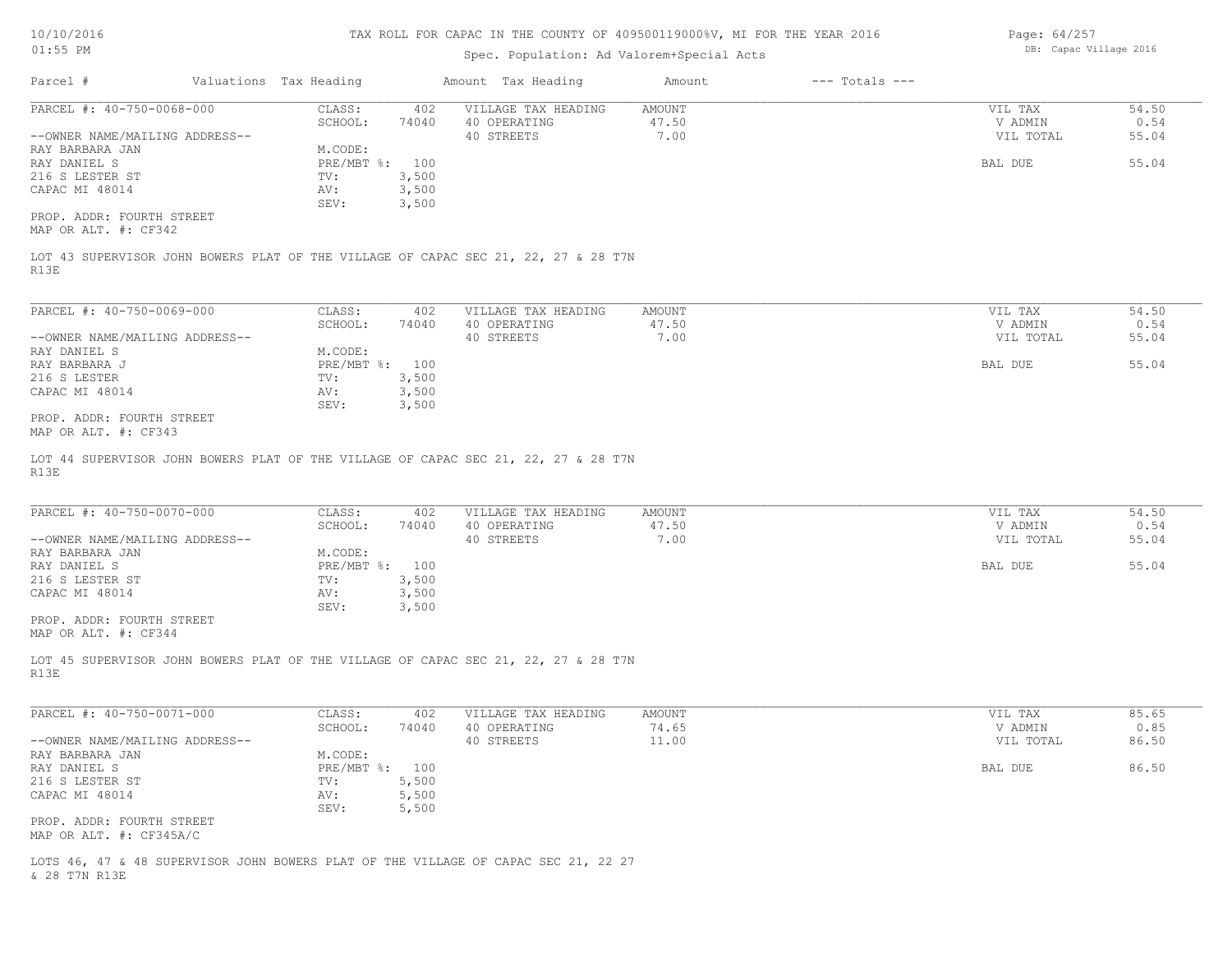| 10/10/2016                                                           |                                         |                | TAX ROLL FOR CAPAC IN THE COUNTY OF 409500119000%V, MI FOR THE YEAR 2016           |                                |                    | Page: 64/257                    |                        |
|----------------------------------------------------------------------|-----------------------------------------|----------------|------------------------------------------------------------------------------------|--------------------------------|--------------------|---------------------------------|------------------------|
| $01:55$ PM                                                           |                                         |                | Spec. Population: Ad Valorem+Special Acts                                          |                                |                    | DB: Capac Village 2016          |                        |
| Parcel #                                                             | Valuations Tax Heading                  |                | Amount Tax Heading                                                                 | Amount                         | $---$ Totals $---$ |                                 |                        |
| PARCEL #: 40-750-0068-000<br>--OWNER NAME/MAILING ADDRESS--          | CLASS:<br>SCHOOL:                       | 402<br>74040   | VILLAGE TAX HEADING<br>40 OPERATING<br>40 STREETS                                  | <b>AMOUNT</b><br>47.50<br>7.00 |                    | VIL TAX<br>V ADMIN<br>VIL TOTAL | 54.50<br>0.54<br>55.04 |
| RAY BARBARA JAN<br>RAY DANIEL S<br>216 S LESTER ST<br>CAPAC MI 48014 | M.CODE:<br>PRE/MBT %: 100<br>TV:<br>AV: | 3,500<br>3,500 |                                                                                    |                                |                    | BAL DUE                         | 55.04                  |
| PROP. ADDR: FOURTH STREET<br>MAP OR ALT. #: CF342                    | SEV:                                    | 3,500          |                                                                                    |                                |                    |                                 |                        |
| R13E                                                                 |                                         |                | LOT 43 SUPERVISOR JOHN BOWERS PLAT OF THE VILLAGE OF CAPAC SEC 21, 22, 27 & 28 T7N |                                |                    |                                 |                        |
| PARCEL #: 40-750-0069-000                                            | CLASS:                                  | 402            | VILLAGE TAX HEADING                                                                | <b>AMOUNT</b>                  |                    | VIL TAX                         | 54.50                  |
| --OWNER NAME/MAILING ADDRESS--<br>RAY DANIEL S                       | SCHOOL:<br>M.CODE:                      | 74040          | 40 OPERATING<br>40 STREETS                                                         | 47.50<br>7.00                  |                    | V ADMIN<br>VIL TOTAL            | 0.54<br>55.04          |
| RAY BARBARA J<br>216 S LESTER<br>CAPAC MI 48014                      | PRE/MBT %: 100<br>TV:<br>AV:            | 3,500<br>3,500 |                                                                                    |                                |                    | BAL DUE                         | 55.04                  |
| PROP. ADDR: FOURTH STREET<br>MAP OR ALT. #: CF343                    | SEV:                                    | 3,500          |                                                                                    |                                |                    |                                 |                        |
| R13E                                                                 |                                         |                | LOT 44 SUPERVISOR JOHN BOWERS PLAT OF THE VILLAGE OF CAPAC SEC 21, 22, 27 & 28 T7N |                                |                    |                                 |                        |
| PARCEL #: 40-750-0070-000                                            | CLASS:                                  | 402            | VILLAGE TAX HEADING                                                                | <b>AMOUNT</b><br>47.50         |                    | VIL TAX                         | 54.50                  |
| --OWNER NAME/MAILING ADDRESS--                                       | SCHOOL:                                 | 74040          | 40 OPERATING<br>40 STREETS                                                         | 7.00                           |                    | V ADMIN<br>VIL TOTAL            | 0.54<br>55.04          |
| RAY BARBARA JAN<br>RAY DANIEL S                                      | M.CODE:<br>PRE/MBT %: 100               |                |                                                                                    |                                |                    | BAL DUE                         | 55.04                  |
| 216 S LESTER ST<br>CAPAC MI 48014                                    | TV:<br>AV:                              | 3,500<br>3,500 |                                                                                    |                                |                    |                                 |                        |
| PROP. ADDR: FOURTH STREET<br>MAP OR ALT. #: CF344                    | SEV:                                    | 3,500          |                                                                                    |                                |                    |                                 |                        |
| R13E                                                                 |                                         |                | LOT 45 SUPERVISOR JOHN BOWERS PLAT OF THE VILLAGE OF CAPAC SEC 21, 22, 27 & 28 T7N |                                |                    |                                 |                        |
| PARCEL #: 40-750-0071-000                                            | CLASS:                                  | 402            | VILLAGE TAX HEADING                                                                | AMOUNT                         |                    | VIL TAX                         | 85.65                  |
| --OWNER NAME/MAILING ADDRESS--                                       | SCHOOL:                                 | 74040          | 40 OPERATING<br>40 STREETS                                                         | 74.65<br>11.00                 |                    | V ADMIN<br>VIL TOTAL            | 0.85<br>86.50          |
| RAY BARBARA JAN<br>RAY DANIEL S                                      | M.CODE:<br>PRE/MBT %: 100               |                |                                                                                    |                                |                    | BAL DUE                         | 86.50                  |
| 216 S LESTER ST<br>CAPAC MI 48014                                    | TV:<br>AV:                              | 5,500<br>5,500 |                                                                                    |                                |                    |                                 |                        |
| PROP. ADDR: FOURTH STREET<br>MAP OR ALT. #: CF345A/C                 | SEV:                                    | 5,500          |                                                                                    |                                |                    |                                 |                        |

& 28 T7N R13E LOTS 46, 47 & 48 SUPERVISOR JOHN BOWERS PLAT OF THE VILLAGE OF CAPAC SEC 21, 22 27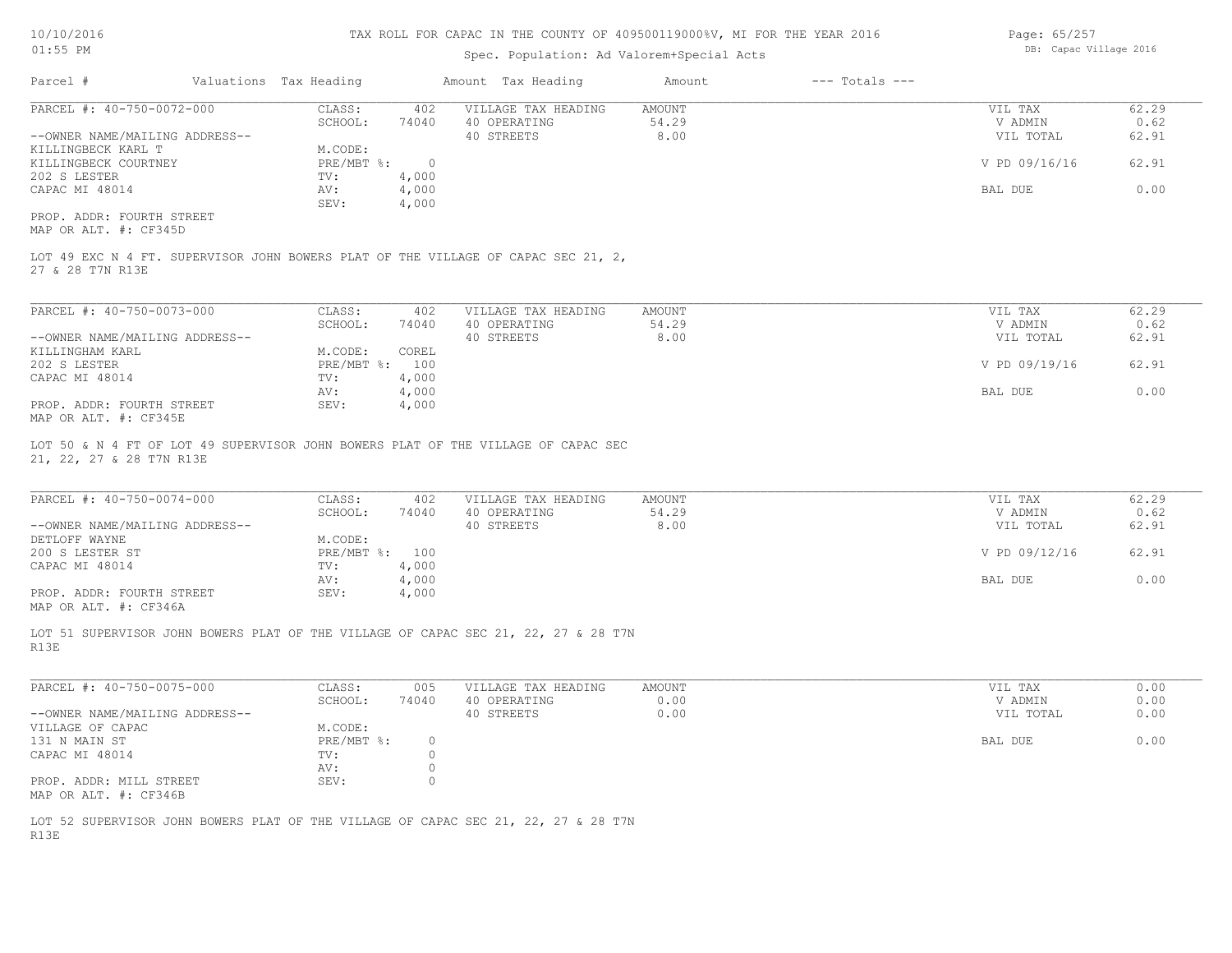#### Spec. Population: Ad Valorem+Special Acts

Page: 65/257 DB: Capac Village 2016

| Parcel #                       | Valuations Tax Heading |       | Amount Tax Heading  | Amount | $---$ Totals $---$ |               |       |
|--------------------------------|------------------------|-------|---------------------|--------|--------------------|---------------|-------|
| PARCEL #: 40-750-0072-000      | CLASS:                 | 402   | VILLAGE TAX HEADING | AMOUNT |                    | VIL TAX       | 62.29 |
|                                | SCHOOL:                | 74040 | 40 OPERATING        | 54.29  |                    | V ADMIN       | 0.62  |
| --OWNER NAME/MAILING ADDRESS-- |                        |       | 40 STREETS          | 8.00   |                    | VIL TOTAL     | 62.91 |
| KILLINGBECK KARL T             | M.CODE:                |       |                     |        |                    |               |       |
| KILLINGBECK COURTNEY           | PRE/MBT %:             |       |                     |        |                    | V PD 09/16/16 | 62.91 |
| 202 S LESTER                   | TV:                    | 4,000 |                     |        |                    |               |       |
| CAPAC MI 48014                 | AV:                    | 4,000 |                     |        |                    | BAL DUE       | 0.00  |
|                                | SEV:                   | 4,000 |                     |        |                    |               |       |
| PROP. ADDR: FOURTH STREET      |                        |       |                     |        |                    |               |       |

MAP OR ALT. #: CF345D

27 & 28 T7N R13E LOT 49 EXC N 4 FT. SUPERVISOR JOHN BOWERS PLAT OF THE VILLAGE OF CAPAC SEC 21, 2,

| PARCEL #: 40-750-0073-000      | CLASS:         | 402   | VILLAGE TAX HEADING | AMOUNT | VIL TAX       | 62.29 |
|--------------------------------|----------------|-------|---------------------|--------|---------------|-------|
|                                | SCHOOL:        | 74040 | 40 OPERATING        | 54.29  | V ADMIN       | 0.62  |
| --OWNER NAME/MAILING ADDRESS-- |                |       | 40 STREETS          | 8.00   | VIL TOTAL     | 62.91 |
| KILLINGHAM KARL                | M.CODE:        | COREL |                     |        |               |       |
| 202 S LESTER                   | PRE/MBT %: 100 |       |                     |        | V PD 09/19/16 | 62.91 |
| CAPAC MI 48014                 | TV:            | 4,000 |                     |        |               |       |
|                                | AV:            | 4,000 |                     |        | BAL DUE       | 0.00  |
| PROP. ADDR: FOURTH STREET      | SEV:           | 4,000 |                     |        |               |       |
| $\frac{1}{2}$                  |                |       |                     |        |               |       |

MAP OR ALT. #: CF345E

21, 22, 27 & 28 T7N R13E LOT 50 & N 4 FT OF LOT 49 SUPERVISOR JOHN BOWERS PLAT OF THE VILLAGE OF CAPAC SEC

| PARCEL #: 40-750-0074-000      | CLASS:       | 402   | VILLAGE TAX HEADING | AMOUNT | VIL TAX       | 62.29 |
|--------------------------------|--------------|-------|---------------------|--------|---------------|-------|
|                                | SCHOOL:      | 74040 | 40 OPERATING        | 54.29  | V ADMIN       | 0.62  |
| --OWNER NAME/MAILING ADDRESS-- |              |       | 40 STREETS          | 8.00   | VIL TOTAL     | 62.91 |
| DETLOFF WAYNE                  | M.CODE:      |       |                     |        |               |       |
| 200 S LESTER ST                | $PRE/MBT$ %: | 100   |                     |        | V PD 09/12/16 | 62.91 |
| CAPAC MI 48014                 | TV:          | 4,000 |                     |        |               |       |
|                                | AV:          | 4,000 |                     |        | BAL DUE       | 0.00  |
| PROP. ADDR: FOURTH STREET      | SEV:         | 4,000 |                     |        |               |       |
|                                |              |       |                     |        |               |       |

 $\mathcal{L}_\mathcal{L} = \mathcal{L}_\mathcal{L} = \mathcal{L}_\mathcal{L} = \mathcal{L}_\mathcal{L} = \mathcal{L}_\mathcal{L} = \mathcal{L}_\mathcal{L} = \mathcal{L}_\mathcal{L} = \mathcal{L}_\mathcal{L} = \mathcal{L}_\mathcal{L} = \mathcal{L}_\mathcal{L} = \mathcal{L}_\mathcal{L} = \mathcal{L}_\mathcal{L} = \mathcal{L}_\mathcal{L} = \mathcal{L}_\mathcal{L} = \mathcal{L}_\mathcal{L} = \mathcal{L}_\mathcal{L} = \mathcal{L}_\mathcal{L}$ 

MAP OR ALT. #: CF346A

R13E LOT 51 SUPERVISOR JOHN BOWERS PLAT OF THE VILLAGE OF CAPAC SEC 21, 22, 27 & 28 T7N

| PARCEL #: 40-750-0075-000      | CLASS:       | 005   | VILLAGE TAX HEADING | AMOUNT | VIL TAX   | 0.00 |
|--------------------------------|--------------|-------|---------------------|--------|-----------|------|
|                                | SCHOOL:      | 74040 | 40 OPERATING        | 0.00   | V ADMIN   | 0.00 |
| --OWNER NAME/MAILING ADDRESS-- |              |       | 40 STREETS          | 0.00   | VIL TOTAL | 0.00 |
| VILLAGE OF CAPAC               | M.CODE:      |       |                     |        |           |      |
| 131 N MAIN ST                  | $PRE/MBT$ %: |       |                     |        | BAL DUE   | 0.00 |
| CAPAC MI 48014                 | TV:          |       |                     |        |           |      |
|                                | AV:          |       |                     |        |           |      |
| PROP. ADDR: MILL STREET        | SEV:         |       |                     |        |           |      |
| MAP OR ALT. #: CF346B          |              |       |                     |        |           |      |

R13E LOT 52 SUPERVISOR JOHN BOWERS PLAT OF THE VILLAGE OF CAPAC SEC 21, 22, 27 & 28 T7N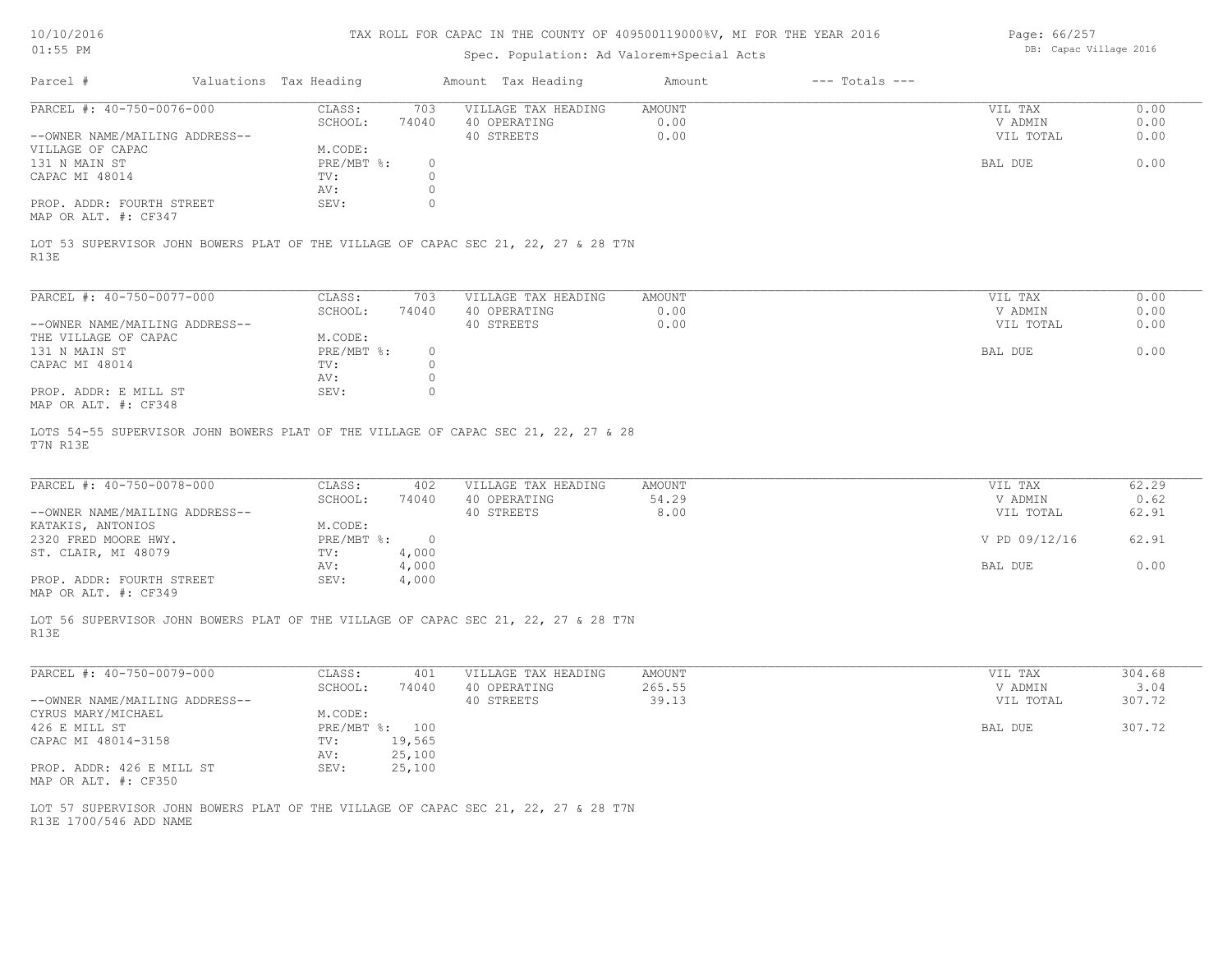#### Spec. Population: Ad Valorem+Special Acts

Page: 66/257 DB: Capac Village 2016

|                                                                                                                  |        | Amount Tax Heading  | Amount | $---$ Totals $---$ |           |      |
|------------------------------------------------------------------------------------------------------------------|--------|---------------------|--------|--------------------|-----------|------|
| CLASS:                                                                                                           | 703    | VILLAGE TAX HEADING | AMOUNT |                    | VIL TAX   | 0.00 |
| SCHOOL:                                                                                                          | 74040  | 40 OPERATING        | 0.00   |                    | V ADMIN   | 0.00 |
|                                                                                                                  |        | 40 STREETS          | 0.00   |                    | VIL TOTAL | 0.00 |
| M.CODE:                                                                                                          |        |                     |        |                    |           |      |
|                                                                                                                  | $\Box$ |                     |        |                    | BAL DUE   | 0.00 |
| TV:                                                                                                              |        |                     |        |                    |           |      |
| AV:                                                                                                              |        |                     |        |                    |           |      |
| SEV:                                                                                                             |        |                     |        |                    |           |      |
|                                                                                                                  |        |                     |        |                    |           |      |
| PARCEL #: 40-750-0076-000<br>--OWNER NAME/MAILING ADDRESS--<br>PROP. ADDR: FOURTH STREET<br>MAP OR ALT. #: CF347 |        | $PRE/MBT$ %:        |        |                    |           |      |

R13E LOT 53 SUPERVISOR JOHN BOWERS PLAT OF THE VILLAGE OF CAPAC SEC 21, 22, 27 & 28 T7N

| PARCEL #: 40-750-0077-000      | CLASS:     | 703      | VILLAGE TAX HEADING | AMOUNT | VIL TAX   | 0.00 |
|--------------------------------|------------|----------|---------------------|--------|-----------|------|
|                                | SCHOOL:    | 74040    | 40 OPERATING        | 0.00   | V ADMIN   | 0.00 |
| --OWNER NAME/MAILING ADDRESS-- |            |          | 40 STREETS          | 0.00   | VIL TOTAL | 0.00 |
| THE VILLAGE OF CAPAC           | M.CODE:    |          |                     |        |           |      |
| 131 N MAIN ST                  | PRE/MBT %: | $^{(1)}$ |                     |        | BAL DUE   | 0.00 |
| CAPAC MI 48014                 | TV:        |          |                     |        |           |      |
|                                | AV:        |          |                     |        |           |      |
| PROP. ADDR: E MILL ST          | SEV:       |          |                     |        |           |      |
| MAP OR ALT. #: CF348           |            |          |                     |        |           |      |

T7N R13E LOTS 54-55 SUPERVISOR JOHN BOWERS PLAT OF THE VILLAGE OF CAPAC SEC 21, 22, 27 & 28

| PARCEL #: 40-750-0078-000      | CLASS:     | 402   | VILLAGE TAX HEADING | AMOUNT | VIL TAX       | 62.29 |
|--------------------------------|------------|-------|---------------------|--------|---------------|-------|
|                                | SCHOOL:    | 74040 | 40 OPERATING        | 54.29  | V ADMIN       | 0.62  |
| --OWNER NAME/MAILING ADDRESS-- |            |       | 40 STREETS          | 8.00   | VIL TOTAL     | 62.91 |
| KATAKIS, ANTONIOS              | M.CODE:    |       |                     |        |               |       |
| 2320 FRED MOORE HWY.           | PRE/MBT %: |       |                     |        | V PD 09/12/16 | 62.91 |
| ST. CLAIR, MI 48079            | TV:        | 4,000 |                     |        |               |       |
|                                | AV:        | 4,000 |                     |        | BAL DUE       | 0.00  |
| PROP. ADDR: FOURTH STREET      | SEV:       | 4,000 |                     |        |               |       |
|                                |            |       |                     |        |               |       |

MAP OR ALT. #: CF349

R13E LOT 56 SUPERVISOR JOHN BOWERS PLAT OF THE VILLAGE OF CAPAC SEC 21, 22, 27 & 28 T7N

| PARCEL #: 40-750-0079-000      | CLASS:     | 401    | VILLAGE TAX HEADING | AMOUNT | VIL TAX   | 304.68 |
|--------------------------------|------------|--------|---------------------|--------|-----------|--------|
|                                | SCHOOL:    | 74040  | 40 OPERATING        | 265.55 | V ADMIN   | 3.04   |
| --OWNER NAME/MAILING ADDRESS-- |            |        | 40 STREETS          | 39.13  | VIL TOTAL | 307.72 |
| CYRUS MARY/MICHAEL             | M.CODE:    |        |                     |        |           |        |
| 426 E MILL ST                  | PRE/MBT %: | 100    |                     |        | BAL DUE   | 307.72 |
| CAPAC MI 48014-3158            | TV:        | 19,565 |                     |        |           |        |
|                                | AV:        | 25,100 |                     |        |           |        |
| PROP. ADDR: 426 E MILL ST      | SEV:       | 25,100 |                     |        |           |        |
| MAP OR ALT. #: CF350           |            |        |                     |        |           |        |

 $\mathcal{L}_\mathcal{L} = \mathcal{L}_\mathcal{L} = \mathcal{L}_\mathcal{L} = \mathcal{L}_\mathcal{L} = \mathcal{L}_\mathcal{L} = \mathcal{L}_\mathcal{L} = \mathcal{L}_\mathcal{L} = \mathcal{L}_\mathcal{L} = \mathcal{L}_\mathcal{L} = \mathcal{L}_\mathcal{L} = \mathcal{L}_\mathcal{L} = \mathcal{L}_\mathcal{L} = \mathcal{L}_\mathcal{L} = \mathcal{L}_\mathcal{L} = \mathcal{L}_\mathcal{L} = \mathcal{L}_\mathcal{L} = \mathcal{L}_\mathcal{L}$ 

R13E 1700/546 ADD NAME LOT 57 SUPERVISOR JOHN BOWERS PLAT OF THE VILLAGE OF CAPAC SEC 21, 22, 27 & 28 T7N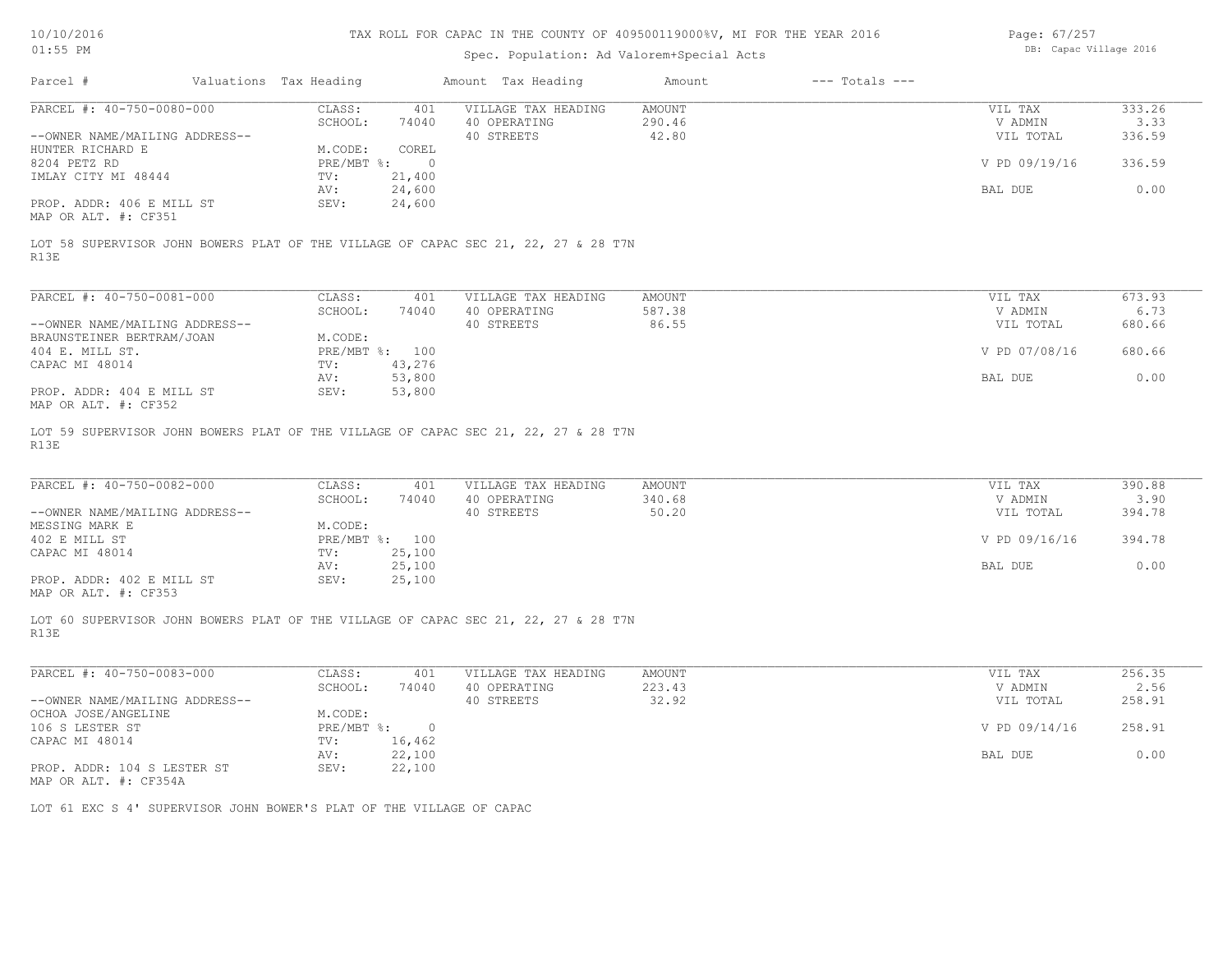| 10/10/2016 |  |
|------------|--|
| $01:55$ PM |  |

## Spec. Population: Ad Valorem+Special Acts

Page: 67/257 DB: Capac Village 2016

|                                                                                                                    | Valuations Tax Heading |                  | Amount Tax Heading  | Amount | $---$ Totals $---$ |               |        |
|--------------------------------------------------------------------------------------------------------------------|------------------------|------------------|---------------------|--------|--------------------|---------------|--------|
| PARCEL #: 40-750-0080-000                                                                                          | CLASS:                 | 401              | VILLAGE TAX HEADING | AMOUNT |                    | VIL TAX       | 333.26 |
|                                                                                                                    | SCHOOL:                | 74040            | 40 OPERATING        | 290.46 |                    | V ADMIN       | 3.33   |
| --OWNER NAME/MAILING ADDRESS--                                                                                     |                        |                  | 40 STREETS          | 42.80  |                    | VIL TOTAL     | 336.59 |
| HUNTER RICHARD E                                                                                                   | M.CODE:                | COREL            |                     |        |                    |               |        |
| 8204 PETZ RD                                                                                                       | $PRE/MBT$ %:           | $\bigcirc$       |                     |        |                    | V PD 09/19/16 | 336.59 |
| IMLAY CITY MI 48444                                                                                                | $\text{TV}$ :          | 21,400           |                     |        |                    |               |        |
|                                                                                                                    | AV:                    | 24,600           |                     |        |                    | BAL DUE       | 0.00   |
| PROP. ADDR: 406 E MILL ST                                                                                          | SEV:                   | 24,600           |                     |        |                    |               |        |
|                                                                                                                    |                        |                  |                     |        |                    |               |        |
| MAP OR ALT. #: CF351<br>LOT 58 SUPERVISOR JOHN BOWERS PLAT OF THE VILLAGE OF CAPAC SEC 21, 22, 27 & 28 T7N<br>R13E |                        |                  |                     |        |                    |               |        |
| PARCEL #: 40-750-0081-000                                                                                          | CLASS:                 | 401              | VILLAGE TAX HEADING | AMOUNT |                    | VIL TAX       | 673.93 |
|                                                                                                                    | SCHOOL:                | 74040            | 40 OPERATING        | 587.38 |                    | V ADMIN       | 6.73   |
| --OWNER NAME/MAILING ADDRESS--                                                                                     |                        |                  | 40 STREETS          | 86.55  |                    | VIL TOTAL     | 680.66 |
| BRAUNSTEINER BERTRAM/JOAN                                                                                          | M.CODE:                |                  |                     |        |                    |               |        |
| 404 E. MILL ST.                                                                                                    | PRE/MBT %: 100         |                  |                     |        |                    | V PD 07/08/16 | 680.66 |
| CAPAC MI 48014                                                                                                     | TV:                    | 43,276           |                     |        |                    |               |        |
| PROP. ADDR: 404 E MILL ST                                                                                          | AV:<br>SEV:            | 53,800<br>53,800 |                     |        |                    | BAL DUE       | 0.00   |

| PARCEL #: 40-750-0082-000      | CLASS:       | 401    | VILLAGE TAX HEADING | AMOUNT | VIL TAX       | 390.88 |
|--------------------------------|--------------|--------|---------------------|--------|---------------|--------|
|                                | SCHOOL:      | 74040  | 40 OPERATING        | 340.68 | V ADMIN       | 3.90   |
| --OWNER NAME/MAILING ADDRESS-- |              |        | 40 STREETS          | 50.20  | VIL TOTAL     | 394.78 |
| MESSING MARK E                 | M.CODE:      |        |                     |        |               |        |
| 402 E MILL ST                  | $PRE/MBT$ %: | 100    |                     |        | V PD 09/16/16 | 394.78 |
| CAPAC MI 48014                 | TV:          | 25,100 |                     |        |               |        |
|                                | AV:          | 25,100 |                     |        | BAL DUE       | 0.00   |
| PROP. ADDR: 402 E MILL ST      | SEV:         | 25,100 |                     |        |               |        |
| MAP OR ALT. #: CF353           |              |        |                     |        |               |        |

 $\mathcal{L}_\mathcal{L} = \mathcal{L}_\mathcal{L} = \mathcal{L}_\mathcal{L} = \mathcal{L}_\mathcal{L} = \mathcal{L}_\mathcal{L} = \mathcal{L}_\mathcal{L} = \mathcal{L}_\mathcal{L} = \mathcal{L}_\mathcal{L} = \mathcal{L}_\mathcal{L} = \mathcal{L}_\mathcal{L} = \mathcal{L}_\mathcal{L} = \mathcal{L}_\mathcal{L} = \mathcal{L}_\mathcal{L} = \mathcal{L}_\mathcal{L} = \mathcal{L}_\mathcal{L} = \mathcal{L}_\mathcal{L} = \mathcal{L}_\mathcal{L}$ 

 $\mathcal{L}_\mathcal{L} = \mathcal{L}_\mathcal{L} = \mathcal{L}_\mathcal{L} = \mathcal{L}_\mathcal{L} = \mathcal{L}_\mathcal{L} = \mathcal{L}_\mathcal{L} = \mathcal{L}_\mathcal{L} = \mathcal{L}_\mathcal{L} = \mathcal{L}_\mathcal{L} = \mathcal{L}_\mathcal{L} = \mathcal{L}_\mathcal{L} = \mathcal{L}_\mathcal{L} = \mathcal{L}_\mathcal{L} = \mathcal{L}_\mathcal{L} = \mathcal{L}_\mathcal{L} = \mathcal{L}_\mathcal{L} = \mathcal{L}_\mathcal{L}$ 

LOT 60 SUPERVISOR JOHN BOWERS PLAT OF THE VILLAGE OF CAPAC SEC 21, 22, 27 & 28 T7N

R13E

| PARCEL #: 40-750-0083-000      | CLASS:     | 401    | VILLAGE TAX HEADING | AMOUNT | VIL TAX       | 256.35 |
|--------------------------------|------------|--------|---------------------|--------|---------------|--------|
|                                | SCHOOL:    | 74040  | 40 OPERATING        | 223.43 | V ADMIN       | 2.56   |
| --OWNER NAME/MAILING ADDRESS-- |            |        | 40 STREETS          | 32.92  | VIL TOTAL     | 258.91 |
| OCHOA JOSE/ANGELINE            | M.CODE:    |        |                     |        |               |        |
| 106 S LESTER ST                | PRE/MBT %: |        |                     |        | V PD 09/14/16 | 258.91 |
| CAPAC MI 48014                 | TV:        | 16,462 |                     |        |               |        |
|                                | AV:        | 22,100 |                     |        | BAL DUE       | 0.00   |
| PROP. ADDR: 104 S LESTER ST    | SEV:       | 22,100 |                     |        |               |        |
| MAP OR ALT. #: CF354A          |            |        |                     |        |               |        |

LOT 61 EXC S 4' SUPERVISOR JOHN BOWER'S PLAT OF THE VILLAGE OF CAPAC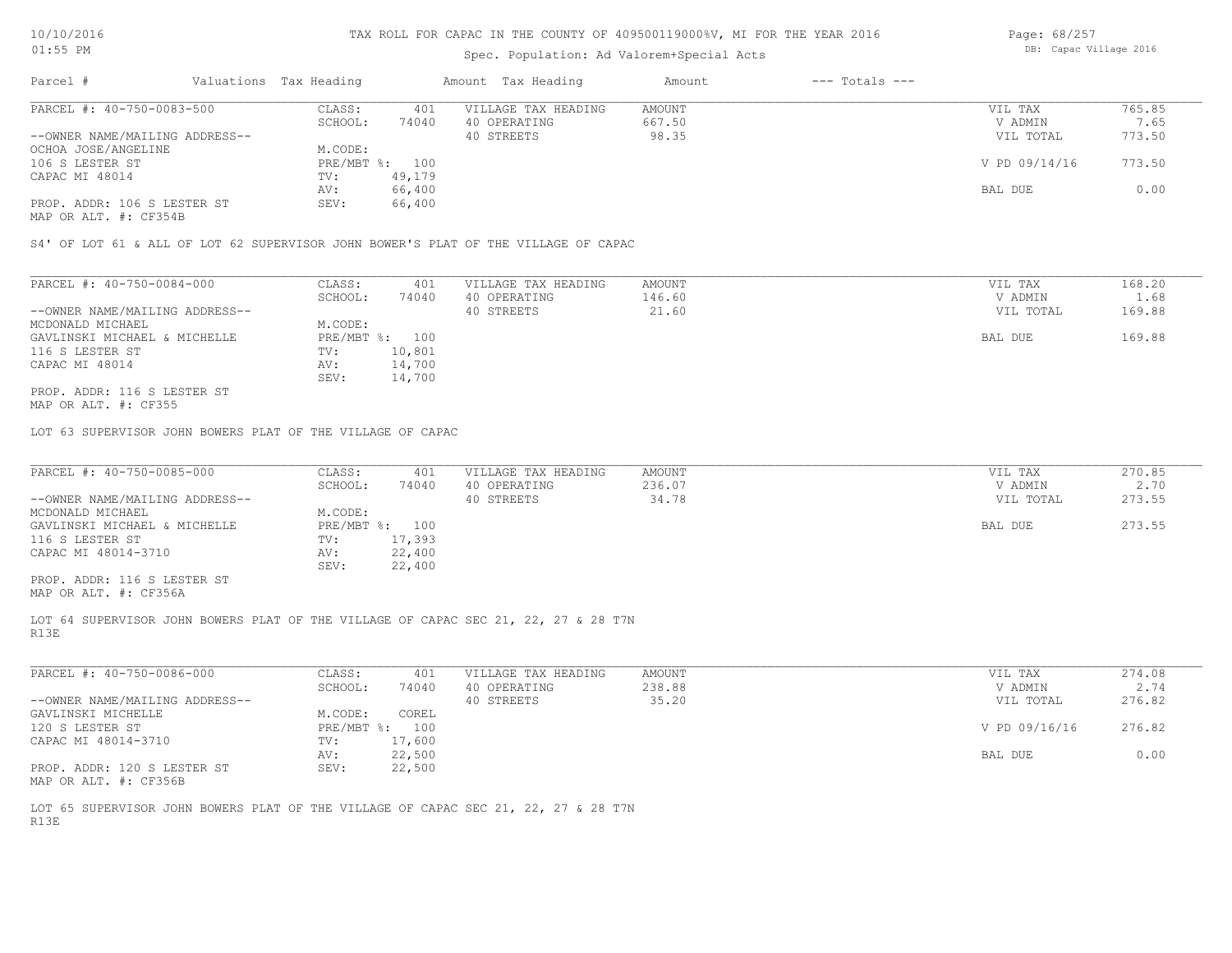#### Spec. Population: Ad Valorem+Special Acts

| Page: 68/257 |                        |  |
|--------------|------------------------|--|
|              | DB: Capac Village 2016 |  |

| Parcel #                       | Valuations Tax Heading |        | Amount Tax Heading  | Amount | $---$ Totals $---$ |               |        |
|--------------------------------|------------------------|--------|---------------------|--------|--------------------|---------------|--------|
| PARCEL #: 40-750-0083-500      | CLASS:                 | 401    | VILLAGE TAX HEADING | AMOUNT |                    | VIL TAX       | 765.85 |
|                                | SCHOOL:                | 74040  | 40 OPERATING        | 667.50 |                    | V ADMIN       | 7.65   |
| --OWNER NAME/MAILING ADDRESS-- |                        |        | 40 STREETS          | 98.35  |                    | VIL TOTAL     | 773.50 |
| OCHOA JOSE/ANGELINE            | M.CODE:                |        |                     |        |                    |               |        |
| 106 S LESTER ST                | PRE/MBT %: 100         |        |                     |        |                    | V PD 09/14/16 | 773.50 |
| CAPAC MI 48014                 | TV:                    | 49,179 |                     |        |                    |               |        |
|                                | AV:                    | 66,400 |                     |        |                    | BAL DUE       | 0.00   |
| PROP. ADDR: 106 S LESTER ST    | SEV:                   | 66,400 |                     |        |                    |               |        |
|                                |                        |        |                     |        |                    |               |        |

MAP OR ALT. #: CF354B

S4' OF LOT 61 & ALL OF LOT 62 SUPERVISOR JOHN BOWER'S PLAT OF THE VILLAGE OF CAPAC

| PARCEL #: 40-750-0084-000      | CLASS:         | 401    | VILLAGE TAX HEADING | AMOUNT | VIL TAX   | 168.20 |
|--------------------------------|----------------|--------|---------------------|--------|-----------|--------|
|                                | SCHOOL:        | 74040  | 40 OPERATING        | 146.60 | V ADMIN   | 1.68   |
| --OWNER NAME/MAILING ADDRESS-- |                |        | 40 STREETS          | 21.60  | VIL TOTAL | 169.88 |
| MCDONALD MICHAEL               | M.CODE:        |        |                     |        |           |        |
| GAVLINSKI MICHAEL & MICHELLE   | PRE/MBT %: 100 |        |                     |        | BAL DUE   | 169.88 |
| 116 S LESTER ST                | TV:            | 10,801 |                     |        |           |        |
| CAPAC MI 48014                 | AV:            | 14,700 |                     |        |           |        |
|                                | SEV:           | 14,700 |                     |        |           |        |
| PROP. ADDR: 116 S LESTER ST    |                |        |                     |        |           |        |

MAP OR ALT. #: CF355

LOT 63 SUPERVISOR JOHN BOWERS PLAT OF THE VILLAGE OF CAPAC

| PARCEL #: 40-750-0085-000      | CLASS:  | 401            | VILLAGE TAX HEADING | AMOUNT | VIL TAX   | 270.85 |
|--------------------------------|---------|----------------|---------------------|--------|-----------|--------|
|                                | SCHOOL: | 74040          | 40 OPERATING        | 236.07 | V ADMIN   | 2.70   |
| --OWNER NAME/MAILING ADDRESS-- |         |                | 40 STREETS          | 34.78  | VIL TOTAL | 273.55 |
| MCDONALD MICHAEL               | M.CODE: |                |                     |        |           |        |
| GAVLINSKI MICHAEL & MICHELLE   |         | PRE/MBT %: 100 |                     |        | BAL DUE   | 273.55 |
| 116 S LESTER ST                | TV:     | 17,393         |                     |        |           |        |
| CAPAC MI 48014-3710            | AV:     | 22,400         |                     |        |           |        |
|                                | SEV:    | 22,400         |                     |        |           |        |
| PROP. ADDR: 116 S LESTER ST    |         |                |                     |        |           |        |
|                                |         |                |                     |        |           |        |

MAP OR ALT. #: CF356A

R13E LOT 64 SUPERVISOR JOHN BOWERS PLAT OF THE VILLAGE OF CAPAC SEC 21, 22, 27 & 28 T7N

| PARCEL #: 40-750-0086-000      | CLASS:       | 401    | VILLAGE TAX HEADING | AMOUNT | VIL TAX       | 274.08 |
|--------------------------------|--------------|--------|---------------------|--------|---------------|--------|
|                                | SCHOOL:      | 74040  | 40 OPERATING        | 238.88 | V ADMIN       | 2.74   |
| --OWNER NAME/MAILING ADDRESS-- |              |        | 40 STREETS          | 35.20  | VIL TOTAL     | 276.82 |
| GAVLINSKI MICHELLE             | M.CODE:      | COREL  |                     |        |               |        |
| 120 S LESTER ST                | $PRE/MBT$ %: | 100    |                     |        | V PD 09/16/16 | 276.82 |
| CAPAC MI 48014-3710            | TV:          | 17,600 |                     |        |               |        |
|                                | AV:          | 22,500 |                     |        | BAL DUE       | 0.00   |
| PROP. ADDR: 120 S LESTER ST    | SEV:         | 22,500 |                     |        |               |        |
| MAP OR ALT. #: CF356B          |              |        |                     |        |               |        |

R13E LOT 65 SUPERVISOR JOHN BOWERS PLAT OF THE VILLAGE OF CAPAC SEC 21, 22, 27 & 28 T7N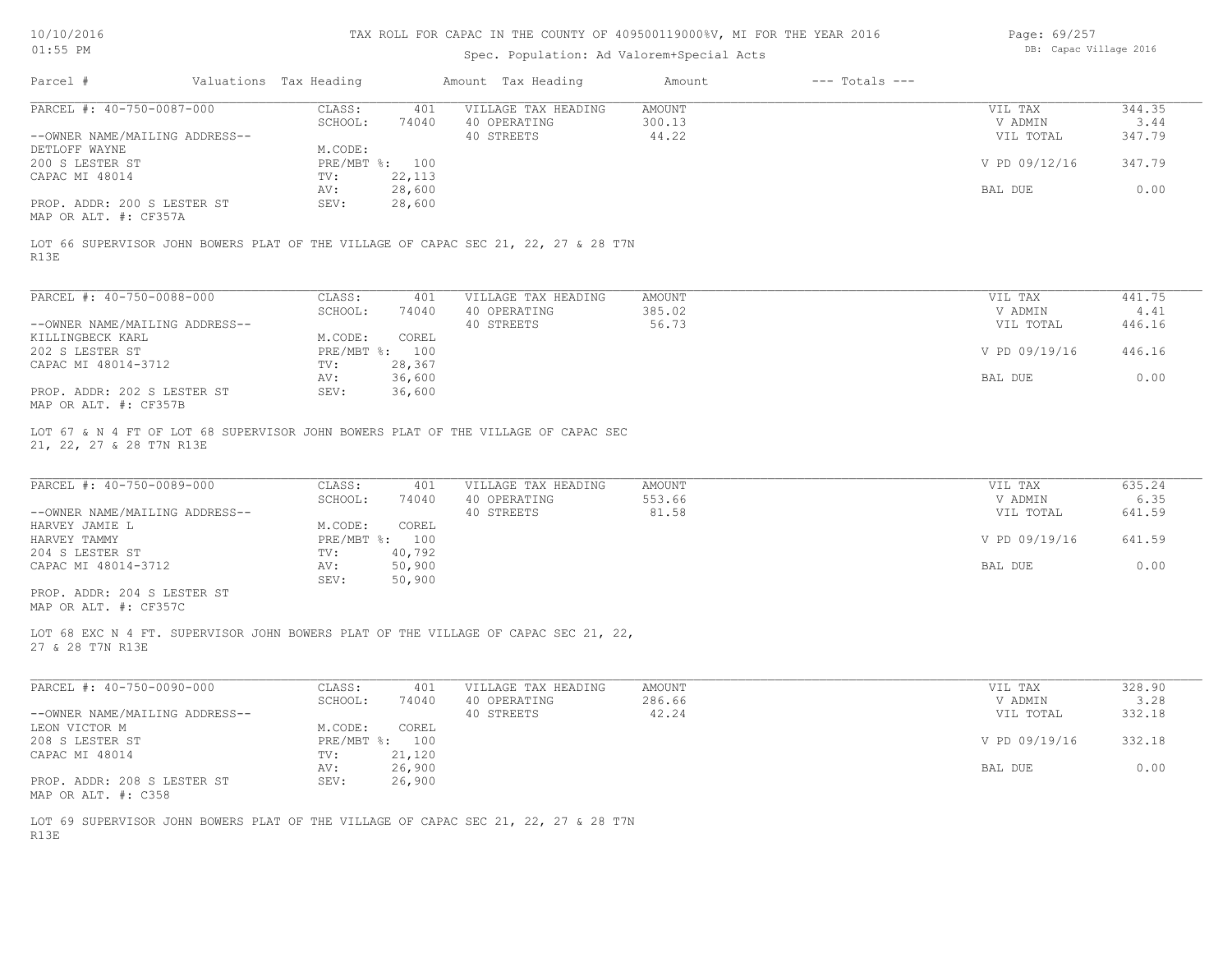| 10/10/2016 |  |
|------------|--|
| $01:55$ PM |  |

## Spec. Population: Ad Valorem+Special Acts

| Page: 69/257 |                        |  |
|--------------|------------------------|--|
|              | DB: Capac Village 2016 |  |

| Parcel #                                                                                                      | Valuations Tax Heading |                           |        | Amount Tax Heading  | Amount | $---$ Totals $---$ |               |        |
|---------------------------------------------------------------------------------------------------------------|------------------------|---------------------------|--------|---------------------|--------|--------------------|---------------|--------|
| PARCEL #: 40-750-0087-000                                                                                     |                        | CLASS:                    | 401    | VILLAGE TAX HEADING | AMOUNT |                    | VIL TAX       | 344.35 |
|                                                                                                               |                        | SCHOOL:                   | 74040  | 40 OPERATING        | 300.13 |                    | V ADMIN       | 3.44   |
| --OWNER NAME/MAILING ADDRESS--                                                                                |                        |                           |        | 40 STREETS          | 44.22  |                    | VIL TOTAL     | 347.79 |
| DETLOFF WAYNE<br>200 S LESTER ST                                                                              |                        | M.CODE:<br>PRE/MBT %: 100 |        |                     |        |                    | V PD 09/12/16 | 347.79 |
| CAPAC MI 48014                                                                                                |                        | TV:                       | 22,113 |                     |        |                    |               |        |
|                                                                                                               |                        | AV:                       | 28,600 |                     |        |                    | BAL DUE       | 0.00   |
| PROP. ADDR: 200 S LESTER ST                                                                                   |                        | SEV:                      | 28,600 |                     |        |                    |               |        |
| MAP OR ALT. #: CF357A                                                                                         |                        |                           |        |                     |        |                    |               |        |
|                                                                                                               |                        |                           |        |                     |        |                    |               |        |
| LOT 66 SUPERVISOR JOHN BOWERS PLAT OF THE VILLAGE OF CAPAC SEC 21, 22, 27 & 28 T7N<br>R13E                    |                        |                           |        |                     |        |                    |               |        |
|                                                                                                               |                        |                           |        |                     |        |                    |               |        |
| PARCEL #: 40-750-0088-000                                                                                     |                        | CLASS:                    | 401    | VILLAGE TAX HEADING | AMOUNT |                    | VIL TAX       | 441.75 |
|                                                                                                               |                        | SCHOOL:                   | 74040  | 40 OPERATING        | 385.02 |                    | V ADMIN       | 4.41   |
| --OWNER NAME/MAILING ADDRESS--                                                                                |                        |                           |        | 40 STREETS          | 56.73  |                    | VIL TOTAL     | 446.16 |
| KILLINGBECK KARL                                                                                              |                        | M.CODE:                   | COREL  |                     |        |                    |               |        |
| 202 S LESTER ST                                                                                               |                        | PRE/MBT %: 100            |        |                     |        |                    | V PD 09/19/16 | 446.16 |
| CAPAC MI 48014-3712                                                                                           |                        | TV:                       | 28,367 |                     |        |                    |               |        |
| PROP. ADDR: 202 S LESTER ST                                                                                   |                        | AV:                       | 36,600 |                     |        |                    | BAL DUE       | 0.00   |
| MAP OR ALT. #: CF357B                                                                                         |                        | SEV:                      | 36,600 |                     |        |                    |               |        |
|                                                                                                               |                        |                           |        |                     |        |                    |               |        |
| LOT 67 & N 4 FT OF LOT 68 SUPERVISOR JOHN BOWERS PLAT OF THE VILLAGE OF CAPAC SEC<br>21, 22, 27 & 28 T7N R13E |                        |                           |        |                     |        |                    |               |        |
|                                                                                                               |                        |                           |        |                     |        |                    |               |        |
| PARCEL #: 40-750-0089-000                                                                                     |                        | CLASS:                    | 401    | VILLAGE TAX HEADING | AMOUNT |                    | VIL TAX       | 635.24 |
|                                                                                                               |                        | SCHOOL:                   | 74040  | 40 OPERATING        | 553.66 |                    | V ADMIN       | 6.35   |
| --OWNER NAME/MAILING ADDRESS--                                                                                |                        |                           |        | 40 STREETS          | 81.58  |                    | VIL TOTAL     | 641.59 |
| HARVEY JAMIE L                                                                                                |                        | M.CODE:                   | COREL  |                     |        |                    |               |        |
| HARVEY TAMMY                                                                                                  |                        | PRE/MBT %: 100            |        |                     |        |                    | V PD 09/19/16 | 641.59 |
| 204 S LESTER ST                                                                                               |                        | TV:                       | 40,792 |                     |        |                    |               |        |
| CAPAC MI 48014-3712                                                                                           |                        | AV:                       | 50,900 |                     |        |                    | BAL DUE       | 0.00   |
|                                                                                                               |                        | SEV:                      | 50,900 |                     |        |                    |               |        |
| PROP. ADDR: 204 S LESTER ST<br>MAP OR ALT. #: CF357C                                                          |                        |                           |        |                     |        |                    |               |        |
|                                                                                                               |                        |                           |        |                     |        |                    |               |        |
| LOT 68 EXC N 4 FT. SUPERVISOR JOHN BOWERS PLAT OF THE VILLAGE OF CAPAC SEC 21, 22,<br>27 & 28 T7N R13E        |                        |                           |        |                     |        |                    |               |        |
|                                                                                                               |                        |                           |        |                     |        |                    |               |        |
| PARCEL #: 40-750-0090-000                                                                                     |                        | CLASS:                    | 401    | VILLAGE TAX HEADING | AMOUNT |                    | VIL TAX       | 328.90 |
|                                                                                                               |                        | SCHOOL:                   | 74040  | 40 OPERATING        | 286.66 |                    | V ADMIN       | 3.28   |
| --OWNER NAME/MAILING ADDRESS--                                                                                |                        |                           |        | 40 STREETS          | 42.24  |                    | VIL TOTAL     | 332.18 |
| LEON VICTOR M                                                                                                 |                        | M.CODE:                   | COREL  |                     |        |                    |               |        |
| 208 S LESTER ST                                                                                               |                        | PRE/MBT %: 100            |        |                     |        |                    | V PD 09/19/16 | 332.18 |
| CAPAC MI 48014                                                                                                |                        | TV: 21,120                |        |                     |        |                    |               |        |
|                                                                                                               |                        | AV:                       | 26,900 |                     |        |                    | BAL DUE       | 0.00   |
| PROP. ADDR: 208 S LESTER ST<br>MAP OR ALT. #: C358                                                            |                        | SEV:                      | 26,900 |                     |        |                    |               |        |
|                                                                                                               |                        |                           |        |                     |        |                    |               |        |
| LOT 69 SUPERVISOR JOHN BOWERS PLAT OF THE VILLAGE OF CAPAC SEC 21, 22, 27 & 28 T7N                            |                        |                           |        |                     |        |                    |               |        |
| R13E                                                                                                          |                        |                           |        |                     |        |                    |               |        |
|                                                                                                               |                        |                           |        |                     |        |                    |               |        |
|                                                                                                               |                        |                           |        |                     |        |                    |               |        |
|                                                                                                               |                        |                           |        |                     |        |                    |               |        |
|                                                                                                               |                        |                           |        |                     |        |                    |               |        |
|                                                                                                               |                        |                           |        |                     |        |                    |               |        |
|                                                                                                               |                        |                           |        |                     |        |                    |               |        |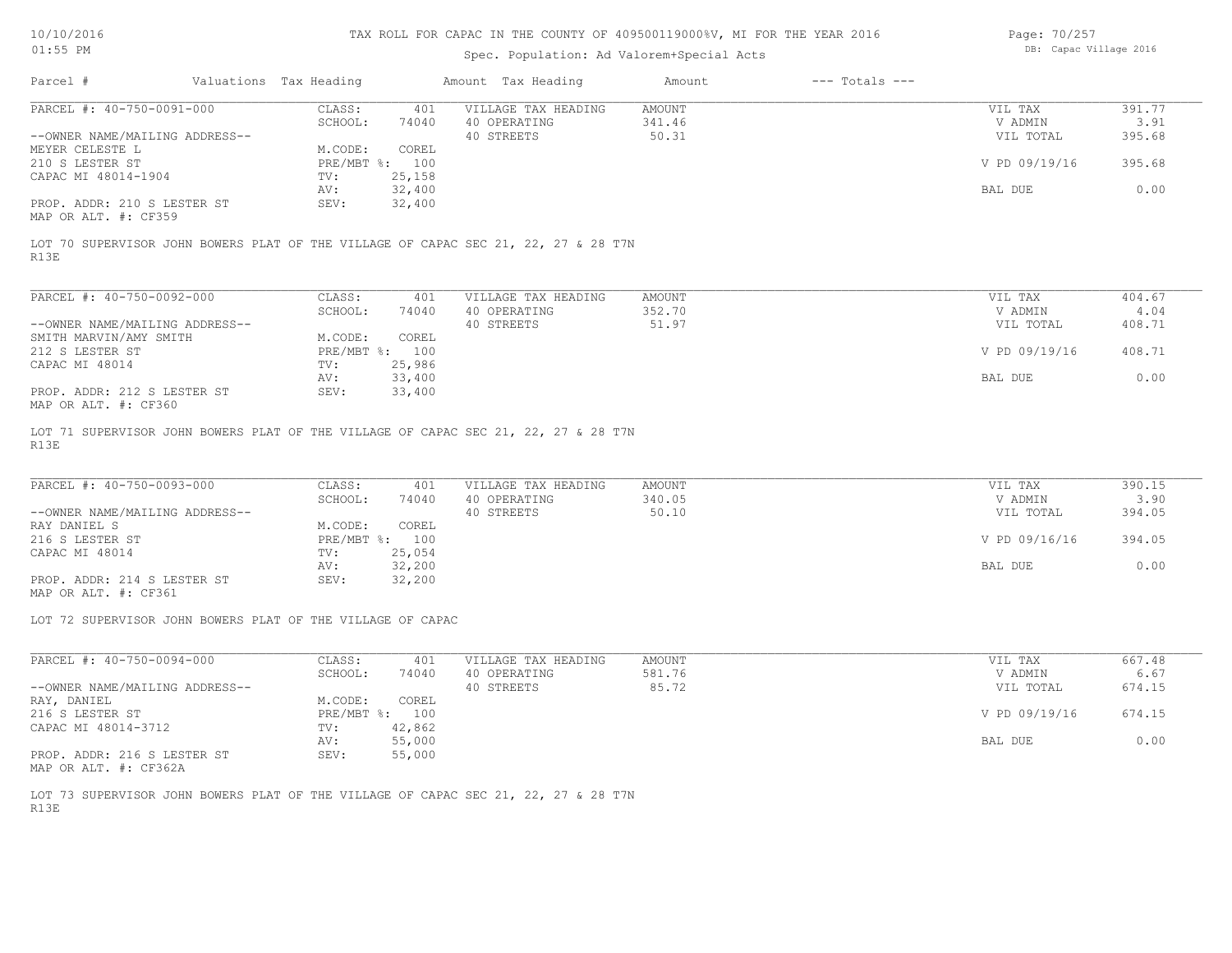#### Spec. Population: Ad Valorem+Special Acts

| Page: 70/257 |                        |  |
|--------------|------------------------|--|
|              | DB: Capac Village 2016 |  |

| Parcel #                       | Valuations Tax Heading |        | Amount Tax Heading  | Amount | $---$ Totals $---$ |               |        |
|--------------------------------|------------------------|--------|---------------------|--------|--------------------|---------------|--------|
| PARCEL #: 40-750-0091-000      | CLASS:                 | 401    | VILLAGE TAX HEADING | AMOUNT |                    | VIL TAX       | 391.77 |
|                                | SCHOOL:                | 74040  | 40 OPERATING        | 341.46 |                    | V ADMIN       | 3.91   |
| --OWNER NAME/MAILING ADDRESS-- |                        |        | 40 STREETS          | 50.31  |                    | VIL TOTAL     | 395.68 |
| MEYER CELESTE L                | M.CODE:                | COREL  |                     |        |                    |               |        |
| 210 S LESTER ST                | PRE/MBT %: 100         |        |                     |        |                    | V PD 09/19/16 | 395.68 |
| CAPAC MI 48014-1904            | TV:                    | 25,158 |                     |        |                    |               |        |
|                                | AV:                    | 32,400 |                     |        |                    | BAL DUE       | 0.00   |
| PROP. ADDR: 210 S LESTER ST    | SEV:                   | 32,400 |                     |        |                    |               |        |
| MAD OD ATHL 4. OBOED           |                        |        |                     |        |                    |               |        |

MAP OR ALT. #: CF359

R13E LOT 70 SUPERVISOR JOHN BOWERS PLAT OF THE VILLAGE OF CAPAC SEC 21, 22, 27 & 28 T7N

| PARCEL #: 40-750-0092-000                                     | CLASS:       | 401    | VILLAGE TAX HEADING | AMOUNT | VIL TAX       | 404.67 |
|---------------------------------------------------------------|--------------|--------|---------------------|--------|---------------|--------|
|                                                               | SCHOOL:      | 74040  | 40 OPERATING        | 352.70 | V ADMIN       | 4.04   |
| --OWNER NAME/MAILING ADDRESS--                                |              |        | 40 STREETS          | 51.97  | VIL TOTAL     | 408.71 |
| SMITH MARVIN/AMY SMITH                                        | M.CODE:      | COREL  |                     |        |               |        |
| 212 S LESTER ST                                               | $PRE/MBT$ %: | 100    |                     |        | V PD 09/19/16 | 408.71 |
| CAPAC MI 48014                                                | TV:          | 25,986 |                     |        |               |        |
|                                                               | AV:          | 33,400 |                     |        | BAL DUE       | 0.00   |
| PROP. ADDR: 212 S LESTER ST<br>$MAD$ $CD$ $ATH$ $H$ , $CDQCD$ | SEV:         | 33,400 |                     |        |               |        |

MAP OR ALT. #: CF360

R13E LOT 71 SUPERVISOR JOHN BOWERS PLAT OF THE VILLAGE OF CAPAC SEC 21, 22, 27 & 28 T7N

| PARCEL #: 40-750-0093-000      | CLASS:  | 401            | VILLAGE TAX HEADING | AMOUNT | VIL TAX       | 390.15 |
|--------------------------------|---------|----------------|---------------------|--------|---------------|--------|
|                                | SCHOOL: | 74040          | 40 OPERATING        | 340.05 | V ADMIN       | 3.90   |
| --OWNER NAME/MAILING ADDRESS-- |         |                | 40 STREETS          | 50.10  | VIL TOTAL     | 394.05 |
| RAY DANIEL S                   | M.CODE: | COREL          |                     |        |               |        |
| 216 S LESTER ST                |         | PRE/MBT %: 100 |                     |        | V PD 09/16/16 | 394.05 |
| CAPAC MI 48014                 | TV:     | 25,054         |                     |        |               |        |
|                                | AV:     | 32,200         |                     |        | BAL DUE       | 0.00   |
| PROP. ADDR: 214 S LESTER ST    | SEV:    | 32,200         |                     |        |               |        |

MAP OR ALT. #: CF361

LOT 72 SUPERVISOR JOHN BOWERS PLAT OF THE VILLAGE OF CAPAC

| PARCEL #: 40-750-0094-000      | CLASS:       | 401    | VILLAGE TAX HEADING | AMOUNT | VIL TAX       | 667.48 |
|--------------------------------|--------------|--------|---------------------|--------|---------------|--------|
|                                | SCHOOL:      | 74040  | 40 OPERATING        | 581.76 | V ADMIN       | 6.67   |
| --OWNER NAME/MAILING ADDRESS-- |              |        | 40 STREETS          | 85.72  | VIL TOTAL     | 674.15 |
| RAY, DANIEL                    | M.CODE:      | COREL  |                     |        |               |        |
| 216 S LESTER ST                | $PRE/MBT$ %: | 100    |                     |        | V PD 09/19/16 | 674.15 |
| CAPAC MI 48014-3712            | TV:          | 42,862 |                     |        |               |        |
|                                | AV:          | 55,000 |                     |        | BAL DUE       | 0.00   |
| PROP. ADDR: 216 S LESTER ST    | SEV:         | 55,000 |                     |        |               |        |

MAP OR ALT. #: CF362A

R13E LOT 73 SUPERVISOR JOHN BOWERS PLAT OF THE VILLAGE OF CAPAC SEC 21, 22, 27 & 28 T7N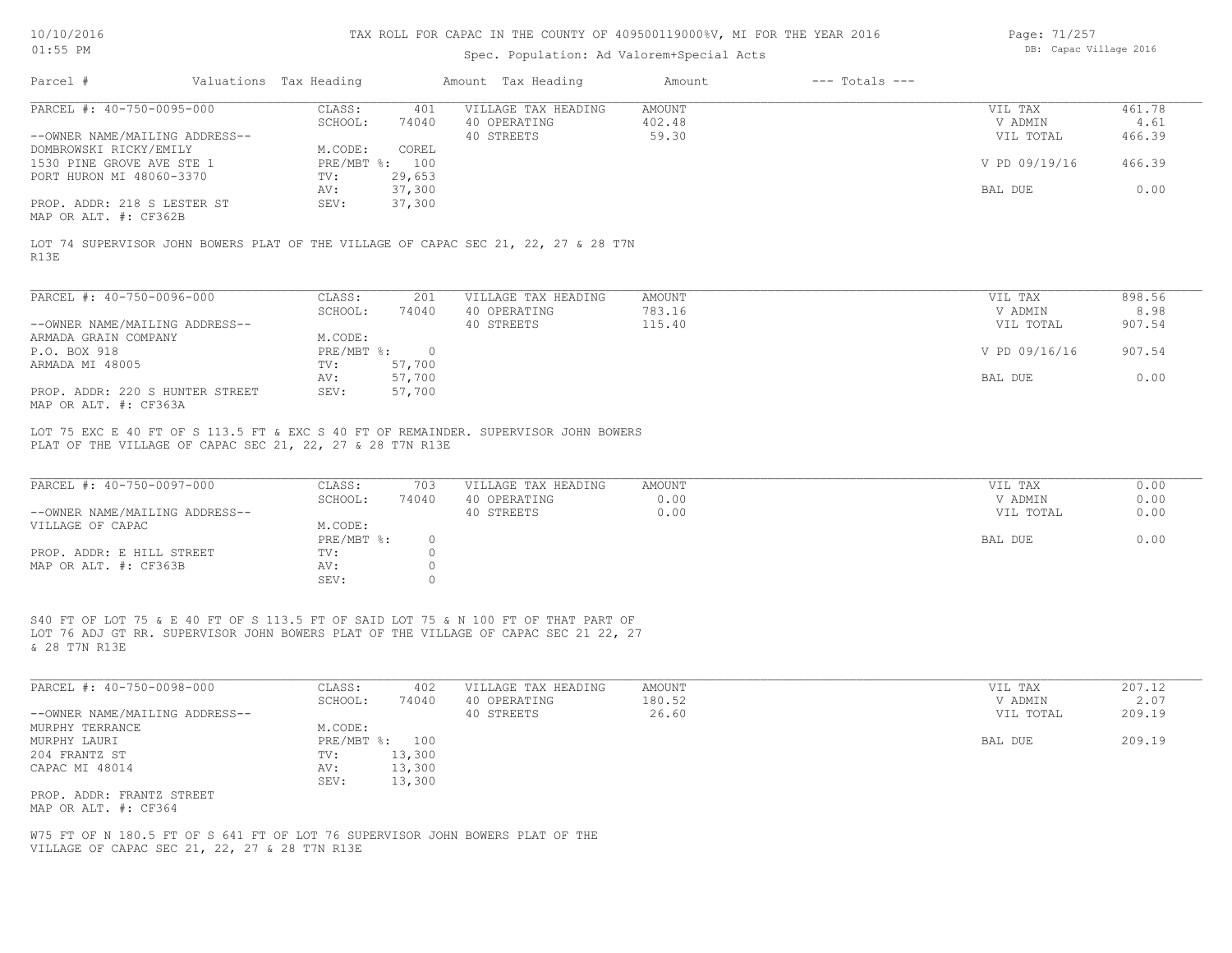# Spec. Population: Ad Valorem+Special Acts

| Page: 71/257 |                        |  |
|--------------|------------------------|--|
|              | DB: Capac Village 2016 |  |

|                                                                                                                                                                                            | Valuations Tax Heading                                  | Amount Tax Heading                                | $---$ Totals $---$<br>Amount |                                 |                          |
|--------------------------------------------------------------------------------------------------------------------------------------------------------------------------------------------|---------------------------------------------------------|---------------------------------------------------|------------------------------|---------------------------------|--------------------------|
| PARCEL #: 40-750-0095-000<br>--OWNER NAME/MAILING ADDRESS--                                                                                                                                | CLASS:<br>401<br>SCHOOL:<br>74040                       | VILLAGE TAX HEADING<br>40 OPERATING<br>40 STREETS | AMOUNT<br>402.48<br>59.30    | VIL TAX<br>V ADMIN<br>VIL TOTAL | 461.78<br>4.61<br>466.39 |
| DOMBROWSKI RICKY/EMILY<br>1530 PINE GROVE AVE STE 1                                                                                                                                        | COREL<br>M.CODE:<br>PRE/MBT %: 100                      |                                                   |                              | V PD 09/19/16                   | 466.39                   |
| PORT HURON MI 48060-3370                                                                                                                                                                   | 29,653<br>TV:<br>37,300<br>AV:                          |                                                   |                              | BAL DUE                         | 0.00                     |
| PROP. ADDR: 218 S LESTER ST<br>MAP OR ALT. #: CF362B                                                                                                                                       | 37,300<br>SEV:                                          |                                                   |                              |                                 |                          |
| LOT 74 SUPERVISOR JOHN BOWERS PLAT OF THE VILLAGE OF CAPAC SEC 21, 22, 27 & 28 T7N<br>R13E                                                                                                 |                                                         |                                                   |                              |                                 |                          |
| PARCEL #: 40-750-0096-000                                                                                                                                                                  | CLASS:<br>201                                           | VILLAGE TAX HEADING                               | AMOUNT                       | VIL TAX                         | 898.56                   |
| --OWNER NAME/MAILING ADDRESS--                                                                                                                                                             | SCHOOL:<br>74040                                        | 40 OPERATING<br>40 STREETS                        | 783.16<br>115.40             | V ADMIN<br>VIL TOTAL            | 8.98<br>907.54           |
| ARMADA GRAIN COMPANY<br>P.O. BOX 918                                                                                                                                                       | M.CODE:<br>$PRE/MBT$ $\div$<br>$\overline{\phantom{0}}$ |                                                   |                              | V PD 09/16/16                   | 907.54                   |
| ARMADA MI 48005                                                                                                                                                                            | 57,700<br>TV:<br>57,700<br>AV:                          |                                                   |                              | BAL DUE                         | 0.00                     |
| PROP. ADDR: 220 S HUNTER STREET<br>MAP OR ALT. #: CF363A                                                                                                                                   | 57,700<br>SEV:                                          |                                                   |                              |                                 |                          |
| PLAT OF THE VILLAGE OF CAPAC SEC 21, 22, 27 & 28 T7N R13E                                                                                                                                  |                                                         |                                                   |                              |                                 |                          |
|                                                                                                                                                                                            |                                                         | VILLAGE TAX HEADING                               |                              |                                 |                          |
| PARCEL #: 40-750-0097-000<br>--OWNER NAME/MAILING ADDRESS--                                                                                                                                | CLASS:<br>703<br>SCHOOL:<br>74040                       | 40 OPERATING<br>40 STREETS                        | AMOUNT<br>0.00<br>0.00       | VIL TAX<br>V ADMIN<br>VIL TOTAL | 0.00<br>0.00<br>0.00     |
| VILLAGE OF CAPAC                                                                                                                                                                           | M.CODE:<br>$PRE/MBT$ $\div$<br>$\circ$                  |                                                   |                              | BAL DUE                         | 0.00                     |
| PROP. ADDR: E HILL STREET<br>MAP OR ALT. #: CF363B                                                                                                                                         | $\circ$<br>TV:<br>$\circ$<br>AV:<br>$\circ$<br>SEV:     |                                                   |                              |                                 |                          |
| S40 FT OF LOT 75 & E 40 FT OF S 113.5 FT OF SAID LOT 75 & N 100 FT OF THAT PART OF<br>LOT 76 ADJ GT RR. SUPERVISOR JOHN BOWERS PLAT OF THE VILLAGE OF CAPAC SEC 21 22, 27<br>& 28 T7N R13E |                                                         |                                                   |                              |                                 |                          |
| PARCEL #: 40-750-0098-000                                                                                                                                                                  | CLASS:<br>402                                           | VILLAGE TAX HEADING                               | AMOUNT                       | VIL TAX                         | 207.12                   |
| --OWNER NAME/MAILING ADDRESS--                                                                                                                                                             | SCHOOL:<br>74040                                        | 40 OPERATING<br>40 STREETS                        | 180.52<br>26.60              | V ADMIN<br>VIL TOTAL            | 2.07<br>209.19           |
| MURPHY TERRANCE<br>MURPHY LAURI<br>204 FRANTZ ST                                                                                                                                           | M.CODE:<br>PRE/MBT %: 100<br>13,300<br>$\texttt{TV}$ :  |                                                   |                              | BAL DUE                         | 209.19                   |
| CAPAC MI 48014<br>PROP. ADDR: FRANTZ STREET                                                                                                                                                | 13,300<br>AV:<br>13,300<br>SEV:                         |                                                   |                              |                                 |                          |
| MAP OR ALT. #: CF364<br>W75 FT OF N 180.5 FT OF S 641 FT OF LOT 76 SUPERVISOR JOHN BOWERS PLAT OF THE                                                                                      |                                                         |                                                   |                              |                                 |                          |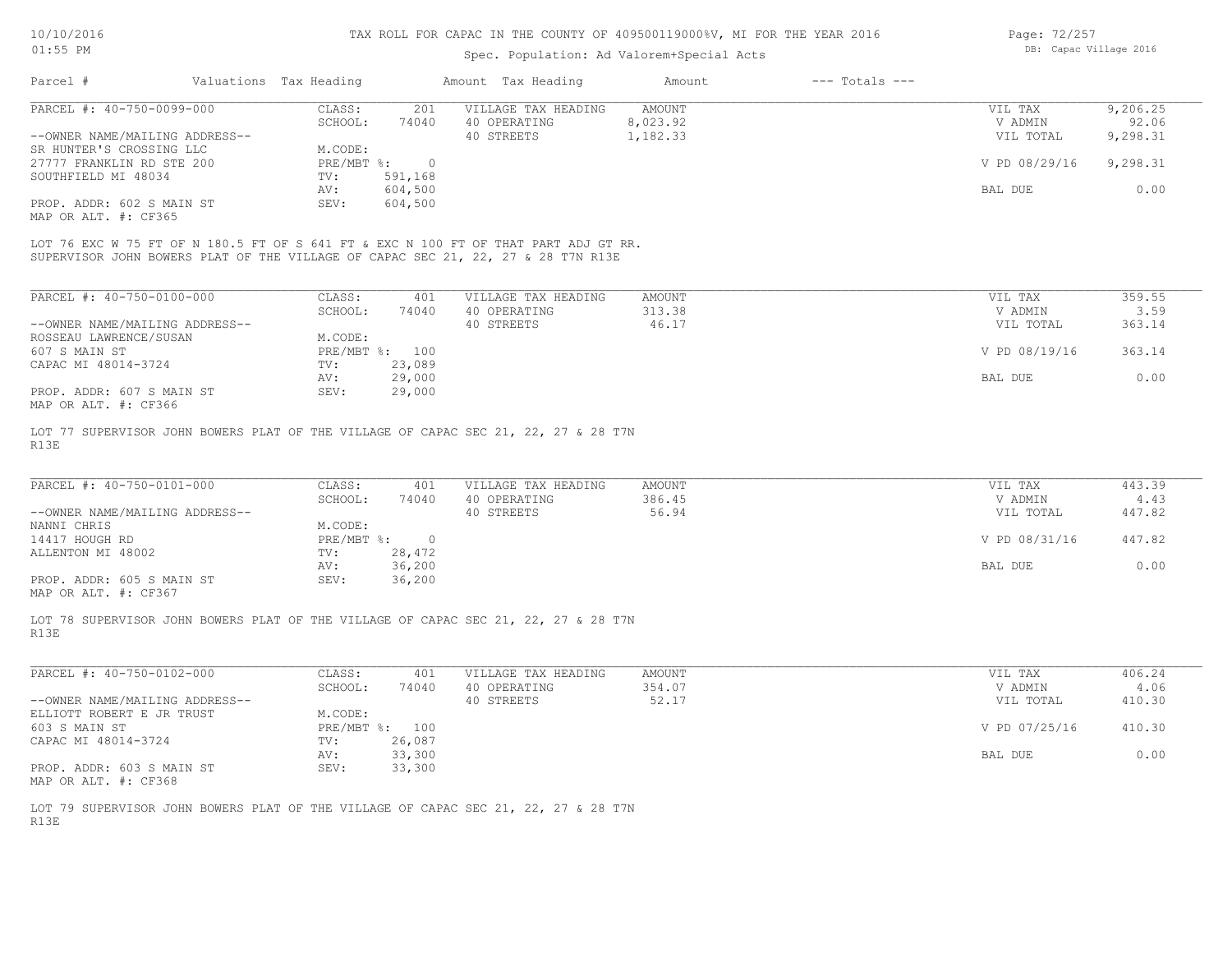#### Spec. Population: Ad Valorem+Special Acts

| Page: 72/257 |                        |  |
|--------------|------------------------|--|
|              | DB: Capac Village 2016 |  |

| Parcel #                       | Valuations Tax Heading |         | Amount Tax Heading  | Amount   | $---$ Totals $---$ |               |          |
|--------------------------------|------------------------|---------|---------------------|----------|--------------------|---------------|----------|
| PARCEL #: 40-750-0099-000      | CLASS:                 | 201     | VILLAGE TAX HEADING | AMOUNT   |                    | VIL TAX       | 9,206.25 |
|                                | SCHOOL:                | 74040   | 40 OPERATING        | 8,023.92 |                    | V ADMIN       | 92.06    |
| --OWNER NAME/MAILING ADDRESS-- |                        |         | 40 STREETS          | 1,182.33 |                    | VIL TOTAL     | 9,298.31 |
| SR HUNTER'S CROSSING LLC       | M.CODE:                |         |                     |          |                    |               |          |
| 27777 FRANKLIN RD STE 200      | PRE/MBT %:             |         |                     |          |                    | V PD 08/29/16 | 9,298.31 |
| SOUTHFIELD MI 48034            | TV:                    | 591,168 |                     |          |                    |               |          |
|                                | AV:                    | 604,500 |                     |          |                    | BAL DUE       | 0.00     |
| PROP. ADDR: 602 S MAIN ST      | SEV:                   | 604,500 |                     |          |                    |               |          |

MAP OR ALT. #: CF365

SUPERVISOR JOHN BOWERS PLAT OF THE VILLAGE OF CAPAC SEC 21, 22, 27 & 28 T7N R13E LOT 76 EXC W 75 FT OF N 180.5 FT OF S 641 FT & EXC N 100 FT OF THAT PART ADJ GT RR.

| PARCEL #: 40-750-0100-000      | CLASS:       | 401    | VILLAGE TAX HEADING | AMOUNT | 359.55<br>VIL TAX       |
|--------------------------------|--------------|--------|---------------------|--------|-------------------------|
|                                | SCHOOL:      | 74040  | 40 OPERATING        | 313.38 | 3.59<br>V ADMIN         |
| --OWNER NAME/MAILING ADDRESS-- |              |        | 40 STREETS          | 46.17  | 363.14<br>VIL TOTAL     |
| ROSSEAU LAWRENCE/SUSAN         | M.CODE:      |        |                     |        |                         |
| 607 S MAIN ST                  | $PRE/MBT$ %: | 100    |                     |        | V PD 08/19/16<br>363.14 |
| CAPAC MI 48014-3724            | TV:          | 23,089 |                     |        |                         |
|                                | AV:          | 29,000 |                     |        | 0.00<br>BAL DUE         |
| PROP. ADDR: 607 S MAIN ST      | SEV:         | 29,000 |                     |        |                         |
| MAP OR ALT. #: CF366           |              |        |                     |        |                         |

R13E LOT 77 SUPERVISOR JOHN BOWERS PLAT OF THE VILLAGE OF CAPAC SEC 21, 22, 27 & 28 T7N

| PARCEL #: 40-750-0101-000      | CLASS:     | 401    | VILLAGE TAX HEADING | AMOUNT | VIL TAX       | 443.39 |
|--------------------------------|------------|--------|---------------------|--------|---------------|--------|
|                                | SCHOOL:    | 74040  | 40 OPERATING        | 386.45 | V ADMIN       | 4.43   |
| --OWNER NAME/MAILING ADDRESS-- |            |        | 40 STREETS          | 56.94  | VIL TOTAL     | 447.82 |
| NANNI CHRIS                    | M.CODE:    |        |                     |        |               |        |
| 14417 HOUGH RD                 | PRE/MBT %: |        |                     |        | V PD 08/31/16 | 447.82 |
| ALLENTON MI 48002              | TV:        | 28,472 |                     |        |               |        |
|                                | AV:        | 36,200 |                     |        | BAL DUE       | 0.00   |
| PROP. ADDR: 605 S MAIN ST      | SEV:       | 36,200 |                     |        |               |        |
|                                |            |        |                     |        |               |        |

MAP OR ALT. #: CF367

R13E LOT 78 SUPERVISOR JOHN BOWERS PLAT OF THE VILLAGE OF CAPAC SEC 21, 22, 27 & 28 T7N

| PARCEL #: 40-750-0102-000      | CLASS:              | 401    | VILLAGE TAX HEADING | AMOUNT | VIL TAX       | 406.24 |
|--------------------------------|---------------------|--------|---------------------|--------|---------------|--------|
|                                | SCHOOL:             | 74040  | 40 OPERATING        | 354.07 | V ADMIN       | 4.06   |
| --OWNER NAME/MAILING ADDRESS-- |                     |        | 40 STREETS          | 52.17  | VIL TOTAL     | 410.30 |
| ELLIOTT ROBERT E JR TRUST      | M.CODE:             |        |                     |        |               |        |
| 603 S MAIN ST                  | $PRE/MBT$ %:<br>100 |        |                     |        | V PD 07/25/16 | 410.30 |
| CAPAC MI 48014-3724            | TV:                 | 26,087 |                     |        |               |        |
|                                | AV:                 | 33,300 |                     |        | BAL DUE       | 0.00   |
| PROP. ADDR: 603 S MAIN ST      | SEV:                | 33,300 |                     |        |               |        |
| MAP OR ALT. #: CF368           |                     |        |                     |        |               |        |

R13E LOT 79 SUPERVISOR JOHN BOWERS PLAT OF THE VILLAGE OF CAPAC SEC 21, 22, 27 & 28 T7N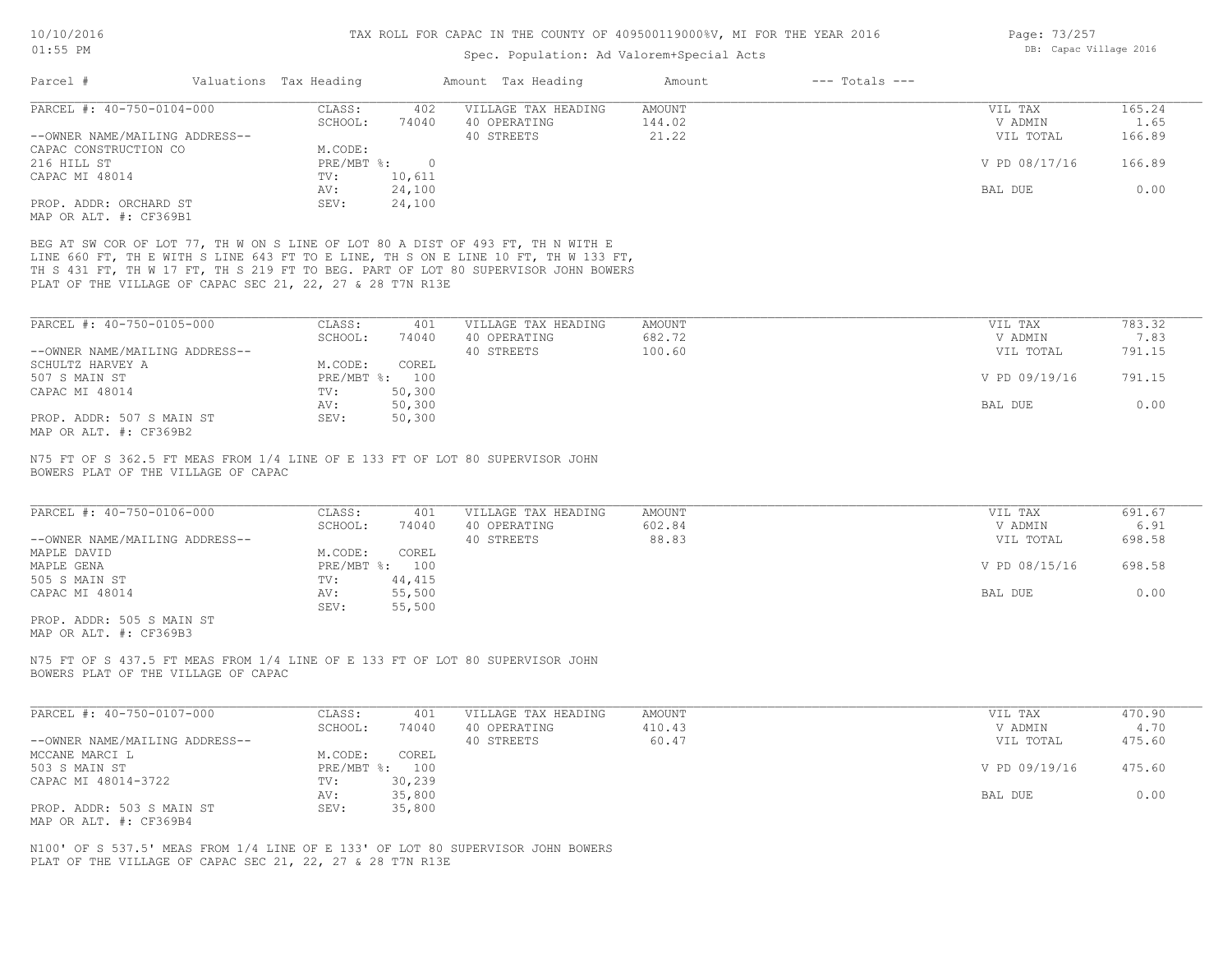| $01:55$ PM                                                                    |                        |                | Spec. Population: Ad Valorem+Special Acts                                                                                                                                                                                                                   | DB: Capac Village 2016 |                    |                    |                |
|-------------------------------------------------------------------------------|------------------------|----------------|-------------------------------------------------------------------------------------------------------------------------------------------------------------------------------------------------------------------------------------------------------------|------------------------|--------------------|--------------------|----------------|
| Parcel #                                                                      | Valuations Tax Heading |                | Amount Tax Heading                                                                                                                                                                                                                                          | Amount                 | $---$ Totals $---$ |                    |                |
| PARCEL #: 40-750-0104-000                                                     | CLASS:<br>SCHOOL:      | 402<br>74040   | VILLAGE TAX HEADING<br>40 OPERATING                                                                                                                                                                                                                         | AMOUNT<br>144.02       |                    | VIL TAX<br>V ADMIN | 165.24<br>1.65 |
| --OWNER NAME/MAILING ADDRESS--                                                |                        |                | 40 STREETS                                                                                                                                                                                                                                                  | 21.22                  |                    | VIL TOTAL          | 166.89         |
| CAPAC CONSTRUCTION CO                                                         | M.CODE:                |                |                                                                                                                                                                                                                                                             |                        |                    |                    |                |
| 216 HILL ST                                                                   | PRE/MBT %:             | $\circ$        |                                                                                                                                                                                                                                                             |                        |                    | V PD 08/17/16      | 166.89         |
| CAPAC MI 48014                                                                | TV:                    | 10,611         |                                                                                                                                                                                                                                                             |                        |                    |                    |                |
|                                                                               | AV:                    | 24,100         |                                                                                                                                                                                                                                                             |                        |                    | BAL DUE            | 0.00           |
| PROP. ADDR: ORCHARD ST                                                        | SEV:                   | 24,100         |                                                                                                                                                                                                                                                             |                        |                    |                    |                |
|                                                                               |                        |                |                                                                                                                                                                                                                                                             |                        |                    |                    |                |
| MAP OR ALT. #: CF369B1                                                        |                        |                |                                                                                                                                                                                                                                                             |                        |                    |                    |                |
| PLAT OF THE VILLAGE OF CAPAC SEC 21, 22, 27 & 28 T7N R13E                     |                        |                | BEG AT SW COR OF LOT 77, TH W ON S LINE OF LOT 80 A DIST OF 493 FT, TH N WITH E<br>LINE 660 FT, TH E WITH S LINE 643 FT TO E LINE, TH S ON E LINE 10 FT, TH W 133 FT,<br>TH S 431 FT, TH W 17 FT, TH S 219 FT TO BEG. PART OF LOT 80 SUPERVISOR JOHN BOWERS |                        |                    |                    |                |
|                                                                               |                        |                |                                                                                                                                                                                                                                                             |                        |                    |                    |                |
| PARCEL #: 40-750-0105-000                                                     | CLASS:                 | 401            | VILLAGE TAX HEADING                                                                                                                                                                                                                                         | AMOUNT                 |                    | VIL TAX            | 783.32         |
|                                                                               | SCHOOL:                | 74040          | 40 OPERATING                                                                                                                                                                                                                                                | 682.72                 |                    | V ADMIN            | 7.83           |
| --OWNER NAME/MAILING ADDRESS--                                                |                        |                | 40 STREETS                                                                                                                                                                                                                                                  | 100.60                 |                    | VIL TOTAL          | 791.15         |
| SCHULTZ HARVEY A                                                              | M.CODE:                | COREL          |                                                                                                                                                                                                                                                             |                        |                    |                    |                |
| 507 S MAIN ST                                                                 |                        | PRE/MBT %: 100 |                                                                                                                                                                                                                                                             |                        |                    | V PD 09/19/16      | 791.15         |
| CAPAC MI 48014                                                                | TV:                    | 50,300         |                                                                                                                                                                                                                                                             |                        |                    |                    |                |
|                                                                               | AV:                    | 50,300         |                                                                                                                                                                                                                                                             |                        |                    | BAL DUE            | 0.00           |
| PROP. ADDR: 507 S MAIN ST<br>MAP OR ALT. #: CF369B2                           | SEV:                   | 50,300         |                                                                                                                                                                                                                                                             |                        |                    |                    |                |
| N75 FT OF S 362.5 FT MEAS FROM 1/4 LINE OF E 133 FT OF LOT 80 SUPERVISOR JOHN |                        |                |                                                                                                                                                                                                                                                             |                        |                    |                    |                |
| BOWERS PLAT OF THE VILLAGE OF CAPAC                                           |                        |                |                                                                                                                                                                                                                                                             |                        |                    |                    |                |
| PARCEL #: 40-750-0106-000                                                     | CLASS:                 | 401            | VILLAGE TAX HEADING                                                                                                                                                                                                                                         | AMOUNT                 |                    | VIL TAX            | 691.67         |
|                                                                               | SCHOOL:                | 74040          | 40 OPERATING                                                                                                                                                                                                                                                | 602.84                 |                    | V ADMIN            | 6.91           |
| --OWNER NAME/MAILING ADDRESS--                                                |                        |                | 40 STREETS                                                                                                                                                                                                                                                  | 88.83                  |                    | VIL TOTAL          | 698.58         |
| MAPLE DAVID                                                                   | M.CODE:                | COREL          |                                                                                                                                                                                                                                                             |                        |                    |                    |                |
| MAPLE GENA                                                                    |                        | PRE/MBT %: 100 |                                                                                                                                                                                                                                                             |                        |                    | V PD 08/15/16      | 698.58         |
| 505 S MAIN ST                                                                 | TV:                    | 44,415         |                                                                                                                                                                                                                                                             |                        |                    |                    |                |
| CAPAC MI 48014                                                                | AV:                    | 55,500         |                                                                                                                                                                                                                                                             |                        |                    | BAL DUE            | 0.00           |
|                                                                               | SEV:                   | 55,500         |                                                                                                                                                                                                                                                             |                        |                    |                    |                |
| PROP. ADDR: 505 S MAIN ST                                                     |                        |                |                                                                                                                                                                                                                                                             |                        |                    |                    |                |
|                                                                               |                        |                |                                                                                                                                                                                                                                                             |                        |                    |                    |                |
| MAP OR ALT. #: CF369B3                                                        |                        |                |                                                                                                                                                                                                                                                             |                        |                    |                    |                |
| N75 FT OF S 437.5 FT MEAS FROM 1/4 LINE OF E 133 FT OF LOT 80 SUPERVISOR JOHN |                        |                |                                                                                                                                                                                                                                                             |                        |                    |                    |                |

BOWERS PLAT OF THE VILLAGE OF CAPAC

| PARCEL #: 40-750-0107-000      | CLASS:  | 401            | VILLAGE TAX HEADING | AMOUNT | VIL TAX       | 470.90 |
|--------------------------------|---------|----------------|---------------------|--------|---------------|--------|
|                                | SCHOOL: | 74040          | 40 OPERATING        | 410.43 | V ADMIN       | 4.70   |
| --OWNER NAME/MAILING ADDRESS-- |         |                | 40 STREETS          | 60.47  | VIL TOTAL     | 475.60 |
| MCCANE MARCI L                 | M.CODE: | COREL          |                     |        |               |        |
| 503 S MAIN ST                  |         | PRE/MBT %: 100 |                     |        | V PD 09/19/16 | 475.60 |
| CAPAC MI 48014-3722            | TV:     | 30,239         |                     |        |               |        |
|                                | AV:     | 35,800         |                     |        | BAL DUE       | 0.00   |
| PROP. ADDR: 503 S MAIN ST      | SEV:    | 35,800         |                     |        |               |        |
| MAP OR ALT. #: CF369B4         |         |                |                     |        |               |        |

PLAT OF THE VILLAGE OF CAPAC SEC 21, 22, 27 & 28 T7N R13E N100' OF S 537.5' MEAS FROM 1/4 LINE OF E 133' OF LOT 80 SUPERVISOR JOHN BOWERS Page: 73/257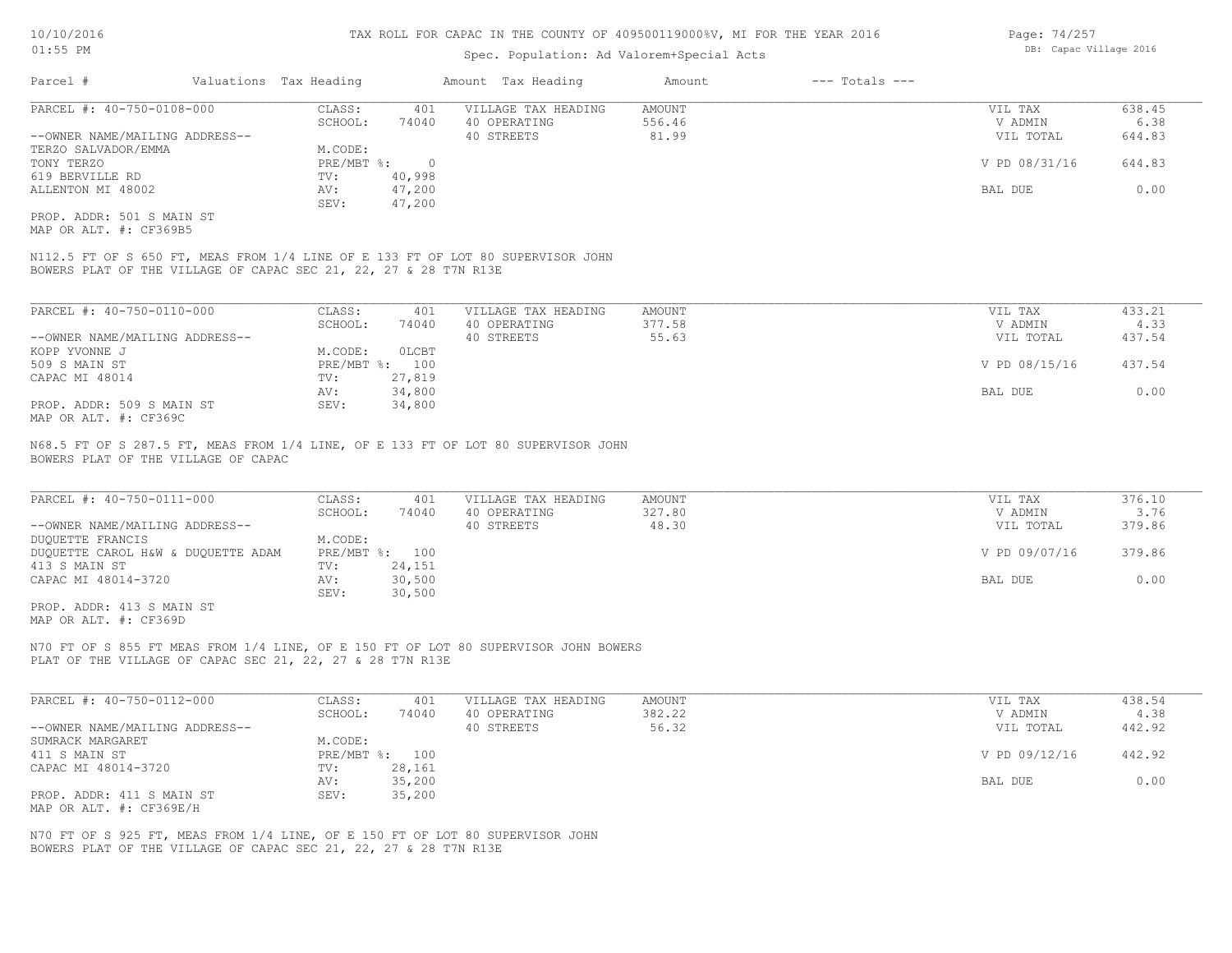#### Spec. Population: Ad Valorem+Special Acts

| Parcel #                       | Valuations Tax Heading |        | Amount Tax Heading  | Amount | $---$ Totals $---$ |               |        |
|--------------------------------|------------------------|--------|---------------------|--------|--------------------|---------------|--------|
| PARCEL #: 40-750-0108-000      | CLASS:                 | 401    | VILLAGE TAX HEADING | AMOUNT |                    | VIL TAX       | 638.45 |
|                                | SCHOOL:                | 74040  | 40 OPERATING        | 556.46 |                    | V ADMIN       | 6.38   |
| --OWNER NAME/MAILING ADDRESS-- |                        |        | 40 STREETS          | 81.99  |                    | VIL TOTAL     | 644.83 |
| TERZO SALVADOR/EMMA            | M.CODE:                |        |                     |        |                    |               |        |
| TONY TERZO                     | $PRE/MBT$ %:           |        |                     |        |                    | V PD 08/31/16 | 644.83 |
| 619 BERVILLE RD                | TV:                    | 40,998 |                     |        |                    |               |        |
| ALLENTON MI 48002              | AV:                    | 47,200 |                     |        |                    | BAL DUE       | 0.00   |
|                                | SEV:                   | 47,200 |                     |        |                    |               |        |
| PROP, ADDR: 501 S MAIN ST      |                        |        |                     |        |                    |               |        |

MAP OR ALT. #: CF369B5

BOWERS PLAT OF THE VILLAGE OF CAPAC SEC 21, 22, 27 & 28 T7N R13E N112.5 FT OF S 650 FT, MEAS FROM 1/4 LINE OF E 133 FT OF LOT 80 SUPERVISOR JOHN

| PARCEL #: 40-750-0110-000      | CLASS:  | 401            | VILLAGE TAX HEADING | AMOUNT | VIL TAX       | 433.21 |
|--------------------------------|---------|----------------|---------------------|--------|---------------|--------|
|                                | SCHOOL: | 74040          | 40 OPERATING        | 377.58 | V ADMIN       | 4.33   |
| --OWNER NAME/MAILING ADDRESS-- |         |                | 40 STREETS          | 55.63  | VIL TOTAL     | 437.54 |
| KOPP YVONNE J                  | M.CODE: | OLCBT          |                     |        |               |        |
| 509 S MAIN ST                  |         | PRE/MBT %: 100 |                     |        | V PD 08/15/16 | 437.54 |
| CAPAC MI 48014                 | TV:     | 27,819         |                     |        |               |        |
|                                | AV:     | 34,800         |                     |        | BAL DUE       | 0.00   |
| PROP. ADDR: 509 S MAIN ST      | SEV:    | 34,800         |                     |        |               |        |
| MAP OR ALT. #: CF369C          |         |                |                     |        |               |        |

BOWERS PLAT OF THE VILLAGE OF CAPAC N68.5 FT OF S 287.5 FT, MEAS FROM 1/4 LINE, OF E 133 FT OF LOT 80 SUPERVISOR JOHN

| PARCEL #: 40-750-0111-000          | CLASS:  | 401            | VILLAGE TAX HEADING | AMOUNT | VIL TAX       | 376.10 |
|------------------------------------|---------|----------------|---------------------|--------|---------------|--------|
|                                    | SCHOOL: | 74040          | 40 OPERATING        | 327.80 | V ADMIN       | 3.76   |
| --OWNER NAME/MAILING ADDRESS--     |         |                | 40 STREETS          | 48.30  | VIL TOTAL     | 379.86 |
| DUOUETTE FRANCIS                   | M.CODE: |                |                     |        |               |        |
| DUQUETTE CAROL H&W & DUQUETTE ADAM |         | PRE/MBT %: 100 |                     |        | V PD 09/07/16 | 379.86 |
| 413 S MAIN ST                      | TV:     | 24,151         |                     |        |               |        |
| CAPAC MI 48014-3720                | AV:     | 30,500         |                     |        | BAL DUE       | 0.00   |
|                                    | SEV:    | 30,500         |                     |        |               |        |
| PROP. ADDR: 413 S MAIN ST          |         |                |                     |        |               |        |

MAP OR ALT. #: CF369D

PLAT OF THE VILLAGE OF CAPAC SEC 21, 22, 27 & 28 T7N R13E N70 FT OF S 855 FT MEAS FROM 1/4 LINE, OF E 150 FT OF LOT 80 SUPERVISOR JOHN BOWERS

| PARCEL #: 40-750-0112-000      | CLASS:  | 401            | VILLAGE TAX HEADING | AMOUNT | VIL TAX       | 438.54 |
|--------------------------------|---------|----------------|---------------------|--------|---------------|--------|
|                                | SCHOOL: | 74040          | 40 OPERATING        | 382.22 | V ADMIN       | 4.38   |
| --OWNER NAME/MAILING ADDRESS-- |         |                | 40 STREETS          | 56.32  | VIL TOTAL     | 442.92 |
| SUMRACK MARGARET               | M.CODE: |                |                     |        |               |        |
| 411 S MAIN ST                  |         | PRE/MBT %: 100 |                     |        | V PD 09/12/16 | 442.92 |
| CAPAC MI 48014-3720            | TV:     | 28,161         |                     |        |               |        |
|                                | AV:     | 35,200         |                     |        | BAL DUE       | 0.00   |
| PROP. ADDR: 411 S MAIN ST      | SEV:    | 35,200         |                     |        |               |        |
| MAP OR ALT. #: CF369E/H        |         |                |                     |        |               |        |

BOWERS PLAT OF THE VILLAGE OF CAPAC SEC 21, 22, 27 & 28 T7N R13E N70 FT OF S 925 FT, MEAS FROM 1/4 LINE, OF E 150 FT OF LOT 80 SUPERVISOR JOHN Page: 74/257 DB: Capac Village 2016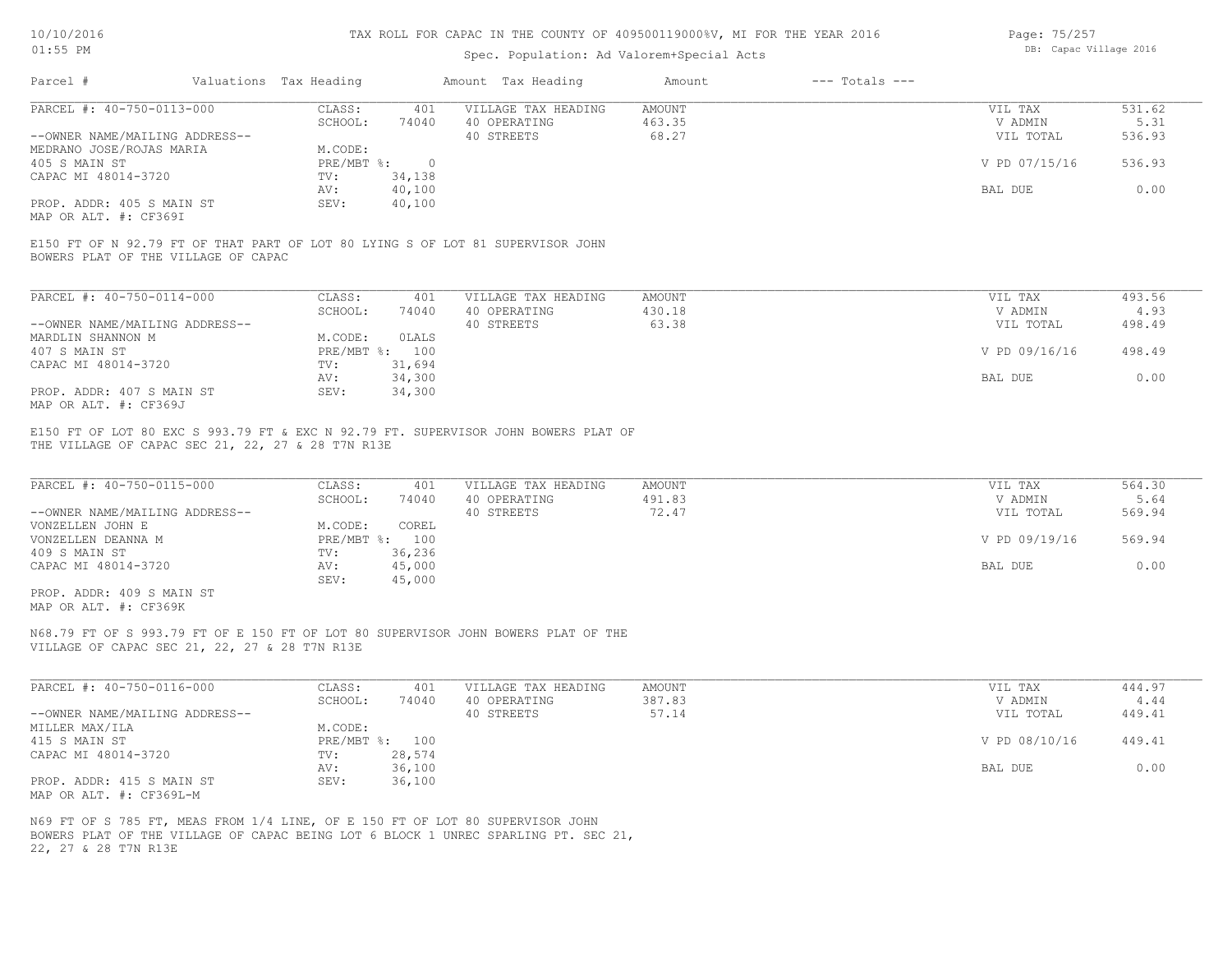## Spec. Population: Ad Valorem+Special Acts

| Page: 75/257 |                        |  |
|--------------|------------------------|--|
|              | DB: Capac Village 2016 |  |

| Parcel #                       |  | Valuations Tax Heading |        | Amount Tax Heading                                                             | Amount | $---$ Totals $---$ |               |        |
|--------------------------------|--|------------------------|--------|--------------------------------------------------------------------------------|--------|--------------------|---------------|--------|
| PARCEL #: 40-750-0113-000      |  | CLASS:                 | 401    | VILLAGE TAX HEADING                                                            | AMOUNT |                    | VIL TAX       | 531.62 |
|                                |  | SCHOOL:                | 74040  | 40 OPERATING                                                                   | 463.35 |                    | V ADMIN       | 5.31   |
| --OWNER NAME/MAILING ADDRESS-- |  |                        |        | 40 STREETS                                                                     | 68.27  |                    | VIL TOTAL     | 536.93 |
| MEDRANO JOSE/ROJAS MARIA       |  | M.CODE:                |        |                                                                                |        |                    |               |        |
| 405 S MAIN ST                  |  | PRE/MBT %:             |        |                                                                                |        |                    | V PD 07/15/16 | 536.93 |
| CAPAC MI 48014-3720            |  | TV:                    | 34,138 |                                                                                |        |                    |               |        |
|                                |  | AV:                    | 40,100 |                                                                                |        |                    | BAL DUE       | 0.00   |
| PROP. ADDR: 405 S MAIN ST      |  | SEV:                   | 40,100 |                                                                                |        |                    |               |        |
| MAP OR ALT. #: CF369I          |  |                        |        |                                                                                |        |                    |               |        |
|                                |  |                        |        |                                                                                |        |                    |               |        |
|                                |  |                        |        | E150 FT OF N 92.79 FT OF THAT PART OF LOT 80 LYING S OF LOT 81 SUPERVISOR JOHN |        |                    |               |        |

BOWERS PLAT OF THE VILLAGE OF CAPAC

| PARCEL #: 40-750-0114-000      | CLASS:     | 401    | VILLAGE TAX HEADING | AMOUNT | 493.56<br>VIL TAX       |
|--------------------------------|------------|--------|---------------------|--------|-------------------------|
|                                | SCHOOL:    | 74040  | 40 OPERATING        | 430.18 | V ADMIN<br>4.93         |
| --OWNER NAME/MAILING ADDRESS-- |            |        | 40 STREETS          | 63.38  | 498.49<br>VIL TOTAL     |
| MARDLIN SHANNON M              | M.CODE:    | OLALS  |                     |        |                         |
| 407 S MAIN ST                  | PRE/MBT %: | 100    |                     |        | V PD 09/16/16<br>498.49 |
| CAPAC MI 48014-3720            | TV:        | 31,694 |                     |        |                         |
|                                | AV:        | 34,300 |                     |        | 0.00<br>BAL DUE         |
| PROP. ADDR: 407 S MAIN ST      | SEV:       | 34,300 |                     |        |                         |
| MAP OR ALT. #: CF369J          |            |        |                     |        |                         |

THE VILLAGE OF CAPAC SEC 21, 22, 27 & 28 T7N R13E E150 FT OF LOT 80 EXC S 993.79 FT & EXC N 92.79 FT. SUPERVISOR JOHN BOWERS PLAT OF

| PARCEL #: 40-750-0115-000      | CLASS:       | 401    | VILLAGE TAX HEADING | AMOUNT | VIL TAX       | 564.30 |
|--------------------------------|--------------|--------|---------------------|--------|---------------|--------|
|                                | SCHOOL:      | 74040  | 40 OPERATING        | 491.83 | V ADMIN       | 5.64   |
| --OWNER NAME/MAILING ADDRESS-- |              |        | 40 STREETS          | 72.47  | VIL TOTAL     | 569.94 |
| VONZELLEN JOHN E               | M.CODE:      | COREL  |                     |        |               |        |
| VONZELLEN DEANNA M             | $PRE/MBT$ %: | 100    |                     |        | V PD 09/19/16 | 569.94 |
| 409 S MAIN ST                  | TV:          | 36,236 |                     |        |               |        |
| CAPAC MI 48014-3720            | AV:          | 45,000 |                     |        | BAL DUE       | 0.00   |
|                                | SEV:         | 45,000 |                     |        |               |        |

MAP OR ALT. #: CF369K PROP. ADDR: 409 S MAIN ST

VILLAGE OF CAPAC SEC 21, 22, 27 & 28 T7N R13E N68.79 FT OF S 993.79 FT OF E 150 FT OF LOT 80 SUPERVISOR JOHN BOWERS PLAT OF THE

| PARCEL #: 40-750-0116-000      | CLASS:  | 401            | VILLAGE TAX HEADING | AMOUNT | VIL TAX       | 444.97 |
|--------------------------------|---------|----------------|---------------------|--------|---------------|--------|
|                                | SCHOOL: | 74040          | 40 OPERATING        | 387.83 | V ADMIN       | 4.44   |
| --OWNER NAME/MAILING ADDRESS-- |         |                | 40 STREETS          | 57.14  | VIL TOTAL     | 449.41 |
| MILLER MAX/ILA                 | M.CODE: |                |                     |        |               |        |
| 415 S MAIN ST                  |         | PRE/MBT %: 100 |                     |        | V PD 08/10/16 | 449.41 |
| CAPAC MI 48014-3720            | TV:     | 28,574         |                     |        |               |        |
|                                | AV:     | 36,100         |                     |        | BAL DUE       | 0.00   |
| PROP. ADDR: 415 S MAIN ST      | SEV:    | 36,100         |                     |        |               |        |
| MAP OR ALT. #: CF369L-M        |         |                |                     |        |               |        |

22, 27 & 28 T7N R13E BOWERS PLAT OF THE VILLAGE OF CAPAC BEING LOT 6 BLOCK 1 UNREC SPARLING PT. SEC 21, N69 FT OF S 785 FT, MEAS FROM 1/4 LINE, OF E 150 FT OF LOT 80 SUPERVISOR JOHN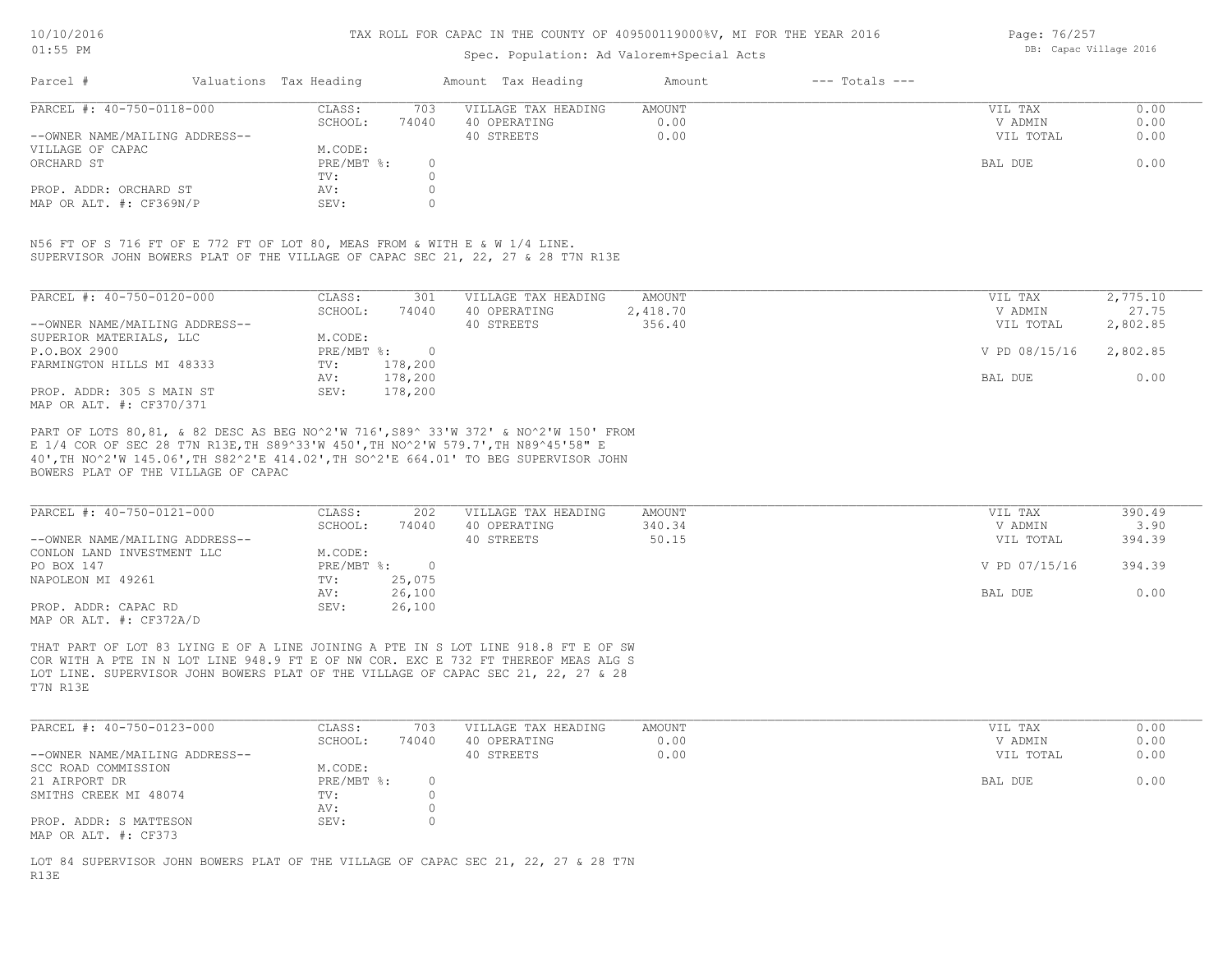## Spec. Population: Ad Valorem+Special Acts

Page: 76/257 DB: Capac Village 2016

| Parcel #                       | Valuations Tax Heading | Amount Tax Heading |                     | Amount | $---$ Totals $---$ |           |      |  |
|--------------------------------|------------------------|--------------------|---------------------|--------|--------------------|-----------|------|--|
| PARCEL #: 40-750-0118-000      | CLASS:                 | 703                | VILLAGE TAX HEADING | AMOUNT |                    | VIL TAX   | 0.00 |  |
|                                | SCHOOL:                | 74040              | 40 OPERATING        | 0.00   |                    | V ADMIN   | 0.00 |  |
| --OWNER NAME/MAILING ADDRESS-- |                        |                    | 40 STREETS          | 0.00   |                    | VIL TOTAL | 0.00 |  |
| VILLAGE OF CAPAC               | M.CODE:                |                    |                     |        |                    |           |      |  |
| ORCHARD ST                     | PRE/MBT %:             |                    |                     |        |                    | BAL DUE   | 0.00 |  |
|                                | TV:                    |                    |                     |        |                    |           |      |  |
| PROP. ADDR: ORCHARD ST         | AV:                    |                    |                     |        |                    |           |      |  |
| MAP OR ALT. #: CF369N/P        | SEV:                   |                    |                     |        |                    |           |      |  |

SUPERVISOR JOHN BOWERS PLAT OF THE VILLAGE OF CAPAC SEC 21, 22, 27 & 28 T7N R13E N56 FT OF S 716 FT OF E 772 FT OF LOT 80, MEAS FROM & WITH E & W 1/4 LINE.

| PARCEL #: 40-750-0120-000      | CLASS:     | 301     | VILLAGE TAX HEADING | AMOUNT   | VIL TAX       | 2,775.10 |
|--------------------------------|------------|---------|---------------------|----------|---------------|----------|
|                                | SCHOOL:    | 74040   | 40 OPERATING        | 2,418.70 | V ADMIN       | 27.75    |
| --OWNER NAME/MAILING ADDRESS-- |            |         | 40 STREETS          | 356.40   | VIL TOTAL     | 2,802.85 |
| SUPERIOR MATERIALS, LLC        | M.CODE:    |         |                     |          |               |          |
| P.O.BOX 2900                   | PRE/MBT %: | $\cap$  |                     |          | V PD 08/15/16 | 2,802.85 |
| FARMINGTON HILLS MI 48333      | TV:        | 178,200 |                     |          |               |          |
|                                | AV:        | 178,200 |                     |          | BAL DUE       | 0.00     |
| PROP. ADDR: 305 S MAIN ST      | SEV:       | 178,200 |                     |          |               |          |
| MAP OR ALT. #: CF370/371       |            |         |                     |          |               |          |

BOWERS PLAT OF THE VILLAGE OF CAPAC 40',TH NO^2'W 145.06',TH S82^2'E 414.02',TH SO^2'E 664.01' TO BEG SUPERVISOR JOHN E 1/4 COR OF SEC 28 T7N R13E,TH S89^33'W 450',TH NO^2'W 579.7',TH N89^45'58" E PART OF LOTS 80,81, & 82 DESC AS BEG NO^2'W 716',S89^ 33'W 372' & NO^2'W 150' FROM

| PARCEL #: 40-750-0121-000      | CLASS:     | 202    | VILLAGE TAX HEADING | AMOUNT | VIL TAX       | 390.49 |
|--------------------------------|------------|--------|---------------------|--------|---------------|--------|
|                                | SCHOOL:    | 74040  | 40 OPERATING        | 340.34 | V ADMIN       | 3.90   |
| --OWNER NAME/MAILING ADDRESS-- |            |        | 40 STREETS          | 50.15  | VIL TOTAL     | 394.39 |
| CONLON LAND INVESTMENT LLC     | M.CODE:    |        |                     |        |               |        |
| PO BOX 147                     | PRE/MBT %: |        |                     |        | V PD 07/15/16 | 394.39 |
| NAPOLEON MI 49261              | TV:        | 25,075 |                     |        |               |        |
|                                | AV:        | 26,100 |                     |        | BAL DUE       | 0.00   |
| PROP. ADDR: CAPAC RD           | SEV:       | 26,100 |                     |        |               |        |
| MAP OR ALT. #: CF372A/D        |            |        |                     |        |               |        |

T7N R13E LOT LINE. SUPERVISOR JOHN BOWERS PLAT OF THE VILLAGE OF CAPAC SEC 21, 22, 27 & 28 COR WITH A PTE IN N LOT LINE 948.9 FT E OF NW COR. EXC E 732 FT THEREOF MEAS ALG S THAT PART OF LOT 83 LYING E OF A LINE JOINING A PTE IN S LOT LINE 918.8 FT E OF SW

| PARCEL #: 40-750-0123-000      | CLASS:     | 703   | VILLAGE TAX HEADING | AMOUNT | VIL TAX   | 0.00 |
|--------------------------------|------------|-------|---------------------|--------|-----------|------|
|                                | SCHOOL:    | 74040 | 40 OPERATING        | 0.00   | V ADMIN   | 0.00 |
| --OWNER NAME/MAILING ADDRESS-- |            |       | 40 STREETS          | 0.00   | VIL TOTAL | 0.00 |
| SCC ROAD COMMISSION            | M.CODE:    |       |                     |        |           |      |
| 21 AIRPORT DR                  | PRE/MBT %: |       |                     |        | BAL DUE   | 0.00 |
| SMITHS CREEK MI 48074          | TV:        |       |                     |        |           |      |
|                                | AV:        |       |                     |        |           |      |
| PROP. ADDR: S MATTESON         | SEV:       |       |                     |        |           |      |
| MAP OR ALT. #: CF373           |            |       |                     |        |           |      |

R13E LOT 84 SUPERVISOR JOHN BOWERS PLAT OF THE VILLAGE OF CAPAC SEC 21, 22, 27 & 28 T7N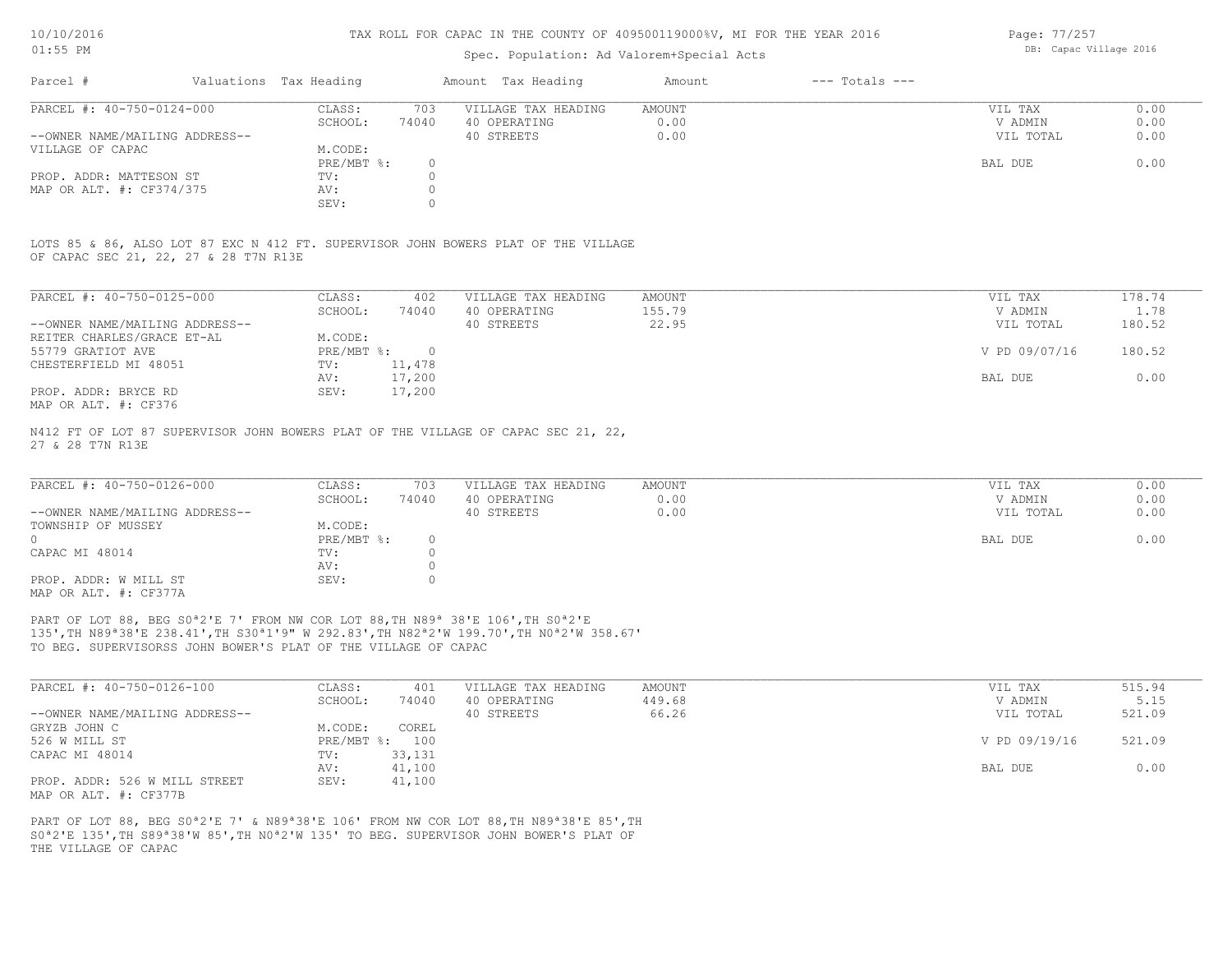## Spec. Population: Ad Valorem+Special Acts

| Page: 77/257 |                        |  |
|--------------|------------------------|--|
|              | DB: Capac Village 2016 |  |

| Parcel #                       | Valuations Tax Heading |       | Amount Tax Heading  | Amount | $---$ Totals $---$ |           |      |
|--------------------------------|------------------------|-------|---------------------|--------|--------------------|-----------|------|
| PARCEL #: 40-750-0124-000      | CLASS:                 | 703   | VILLAGE TAX HEADING | AMOUNT |                    | VIL TAX   | 0.00 |
|                                | SCHOOL:                | 74040 | 40 OPERATING        | 0.00   |                    | V ADMIN   | 0.00 |
| --OWNER NAME/MAILING ADDRESS-- |                        |       | 40 STREETS          | 0.00   |                    | VIL TOTAL | 0.00 |
| VILLAGE OF CAPAC               | M.CODE:                |       |                     |        |                    |           |      |
|                                | $PRE/MBT$ %:           |       |                     |        |                    | BAL DUE   | 0.00 |
| PROP. ADDR: MATTESON ST        | TV:                    |       |                     |        |                    |           |      |
| MAP OR ALT. #: CF374/375       | AV:                    |       |                     |        |                    |           |      |
|                                | SEV:                   |       |                     |        |                    |           |      |

OF CAPAC SEC 21, 22, 27 & 28 T7N R13E LOTS 85 & 86, ALSO LOT 87 EXC N 412 FT. SUPERVISOR JOHN BOWERS PLAT OF THE VILLAGE

| PARCEL #: 40-750-0125-000      | CLASS:     | 402    | VILLAGE TAX HEADING | AMOUNT | VIL TAX       | 178.74 |
|--------------------------------|------------|--------|---------------------|--------|---------------|--------|
|                                | SCHOOL:    | 74040  | 40 OPERATING        | 155.79 | V ADMIN       | 1.78   |
| --OWNER NAME/MAILING ADDRESS-- |            |        | 40 STREETS          | 22.95  | VIL TOTAL     | 180.52 |
| REITER CHARLES/GRACE ET-AL     | M.CODE:    |        |                     |        |               |        |
| 55779 GRATIOT AVE              | PRE/MBT %: |        |                     |        | V PD 09/07/16 | 180.52 |
| CHESTERFIELD MI 48051          | TV:        | 11,478 |                     |        |               |        |
|                                | AV:        | 17,200 |                     |        | BAL DUE       | 0.00   |
| PROP. ADDR: BRYCE RD           | SEV:       | 17,200 |                     |        |               |        |
| MAP OR ALT. #: CF376           |            |        |                     |        |               |        |

27 & 28 T7N R13E N412 FT OF LOT 87 SUPERVISOR JOHN BOWERS PLAT OF THE VILLAGE OF CAPAC SEC 21, 22,

| PARCEL #: 40-750-0126-000      | CLASS:       | 703   | VILLAGE TAX HEADING | AMOUNT | VIL TAX   | 0.00 |
|--------------------------------|--------------|-------|---------------------|--------|-----------|------|
|                                | SCHOOL:      | 74040 | 40 OPERATING        | 0.00   | V ADMIN   | 0.00 |
| --OWNER NAME/MAILING ADDRESS-- |              |       | 40 STREETS          | 0.00   | VIL TOTAL | 0.00 |
| TOWNSHIP OF MUSSEY             | M.CODE:      |       |                     |        |           |      |
|                                | $PRE/MBT$ %: |       |                     |        | BAL DUE   | 0.00 |
| CAPAC MI 48014                 | TV:          |       |                     |        |           |      |
|                                | AV:          |       |                     |        |           |      |
| PROP. ADDR: W MILL ST          | SEV:         |       |                     |        |           |      |
| MAP OR ALT. #: CF377A          |              |       |                     |        |           |      |

TO BEG. SUPERVISORSS JOHN BOWER'S PLAT OF THE VILLAGE OF CAPAC 135',TH N89ª38'E 238.41',TH S30ª1'9" W 292.83',TH N82ª2'W 199.70',TH N0ª2'W 358.67' PART OF LOT 88, BEG S0<sup>ª2'E</sup> 7' FROM NW COR LOT 88, TH N89<sup>ª</sup> 38'E 106', TH S0<sup>ª2'E</sup>

| PARCEL #: 40-750-0126-100      | CLASS:  | 401            | VILLAGE TAX HEADING | AMOUNT | VIL TAX       | 515.94 |
|--------------------------------|---------|----------------|---------------------|--------|---------------|--------|
|                                | SCHOOL: | 74040          | 40 OPERATING        | 449.68 | V ADMIN       | 5.15   |
| --OWNER NAME/MAILING ADDRESS-- |         |                | 40 STREETS          | 66.26  | VIL TOTAL     | 521.09 |
| GRYZB JOHN C                   | M.CODE: | COREL          |                     |        |               |        |
| 526 W MILL ST                  |         | PRE/MBT %: 100 |                     |        | V PD 09/19/16 | 521.09 |
| CAPAC MI 48014                 | TV:     | 33,131         |                     |        |               |        |
|                                | AV:     | 41,100         |                     |        | BAL DUE       | 0.00   |
| PROP. ADDR: 526 W MILL STREET  | SEV:    | 41,100         |                     |        |               |        |
| MAP OR ALT. #: CF377B          |         |                |                     |        |               |        |

THE VILLAGE OF CAPAC S0ª2'E 135',TH S89ª38'W 85',TH N0ª2'W 135' TO BEG. SUPERVISOR JOHN BOWER'S PLAT OF PART OF LOT 88, BEG S0<sup>a</sup>2'E 7' & N89<sup>a</sup>38'E 106' FROM NW COR LOT 88, TH N89<sup>a</sup>38'E 85', TH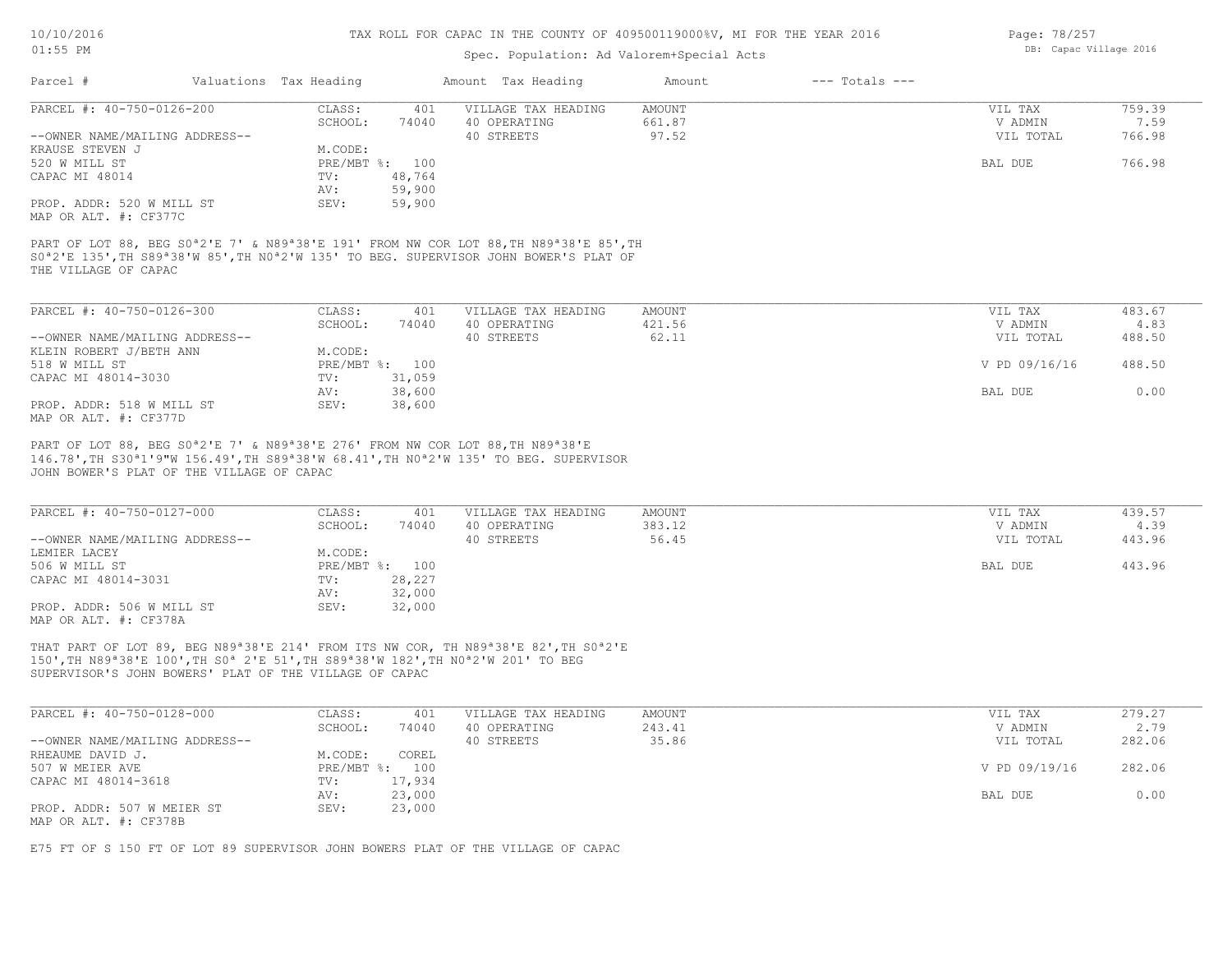## Spec. Population: Ad Valorem+Special Acts

| Page: 78/257 |                        |  |
|--------------|------------------------|--|
|              | DB: Capac Village 2016 |  |

| PARCEL #: 40-750-0126-200                          |                                                                                                                             |                  | Amount Tax Heading  | Amount        | $---$ Totals $---$ |                |        |
|----------------------------------------------------|-----------------------------------------------------------------------------------------------------------------------------|------------------|---------------------|---------------|--------------------|----------------|--------|
|                                                    | CLASS:                                                                                                                      | 401              | VILLAGE TAX HEADING | <b>AMOUNT</b> |                    | VIL TAX        | 759.39 |
|                                                    | SCHOOL:                                                                                                                     | 74040            | 40 OPERATING        | 661.87        |                    | V ADMIN        | 7.59   |
| --OWNER NAME/MAILING ADDRESS--                     |                                                                                                                             |                  | 40 STREETS          | 97.52         |                    | VIL TOTAL      | 766.98 |
| KRAUSE STEVEN J                                    | M.CODE:                                                                                                                     |                  |                     |               |                    |                |        |
| 520 W MILL ST                                      |                                                                                                                             | PRE/MBT %: 100   |                     |               |                    | BAL DUE        | 766.98 |
| CAPAC MI 48014                                     | TV:                                                                                                                         | 48,764           |                     |               |                    |                |        |
|                                                    | AV:                                                                                                                         | 59,900           |                     |               |                    |                |        |
| PROP. ADDR: 520 W MILL ST<br>MAP OR ALT. #: CF377C | SEV:                                                                                                                        | 59,900           |                     |               |                    |                |        |
|                                                    | S0 <sup>a</sup> 2'E 135', TH S89 <sup>a</sup> 38'W 85', TH N0 <sup>a</sup> 2'W 135' TO BEG. SUPERVISOR JOHN BOWER'S PLAT OF |                  |                     |               |                    |                |        |
| THE VILLAGE OF CAPAC<br>PARCEL #: 40-750-0126-300  | CLASS:                                                                                                                      | 401              | VILLAGE TAX HEADING | AMOUNT        |                    | VIL TAX        | 483.67 |
|                                                    | SCHOOL:                                                                                                                     | 74040            | 40 OPERATING        | 421.56        |                    | V ADMIN        | 4.83   |
| --OWNER NAME/MAILING ADDRESS--                     |                                                                                                                             |                  | 40 STREETS          | 62.11         |                    | VIL TOTAL      | 488.50 |
| KLEIN ROBERT J/BETH ANN                            | M.CODE:                                                                                                                     |                  |                     |               |                    |                |        |
| 518 W MILL ST                                      |                                                                                                                             | PRE/MBT %: 100   |                     |               |                    | V PD 09/16/16  | 488.50 |
| CAPAC MI 48014-3030                                | TV:                                                                                                                         | 31,059           |                     |               |                    |                |        |
| PROP. ADDR: 518 W MILL ST                          | AV:<br>SEV:                                                                                                                 | 38,600<br>38,600 |                     |               |                    | <b>BAL DUE</b> | 0.00   |

|                                | SCHOOL:    | 74040  | 40 OPERATING | 383.12 | V ADMIN   | 4.39   |
|--------------------------------|------------|--------|--------------|--------|-----------|--------|
| --OWNER NAME/MAILING ADDRESS-- |            |        | 40 STREETS   | 56.45  | VIL TOTAL | 443.96 |
| LEMIER LACEY                   | M.CODE:    |        |              |        |           |        |
| 506 W MILL ST                  | PRE/MBT %: | 100    |              |        | BAL DUE   | 443.96 |
| CAPAC MI 48014-3031            | TV:        | 28,227 |              |        |           |        |
|                                | AV:        | 32,000 |              |        |           |        |
| PROP. ADDR: 506 W MILL ST      | SEV:       | 32,000 |              |        |           |        |
| MAP OR ALT. #: CF378A          |            |        |              |        |           |        |

SUPERVISOR'S JOHN BOWERS' PLAT OF THE VILLAGE OF CAPAC 150',TH N89ª38'E 100',TH S0ª 2'E 51',TH S89ª38'W 182',TH N0ª2'W 201' TO BEG THAT PART OF LOT 89, BEG N89ª38'E 214' FROM ITS NW COR, TH N89ª38'E 82',TH S0ª2'E

| PARCEL #: 40-750-0128-000      | CLASS:     | 401    | VILLAGE TAX HEADING | AMOUNT | VIL TAX       | 279.27 |
|--------------------------------|------------|--------|---------------------|--------|---------------|--------|
|                                | SCHOOL:    | 74040  | 40 OPERATING        | 243.41 | V ADMIN       | 2.79   |
| --OWNER NAME/MAILING ADDRESS-- |            |        | 40 STREETS          | 35.86  | VIL TOTAL     | 282.06 |
| RHEAUME DAVID J.               | M.CODE:    | COREL  |                     |        |               |        |
| 507 W MEIER AVE                | PRE/MBT %: | 100    |                     |        | V PD 09/19/16 | 282.06 |
| CAPAC MI 48014-3618            | TV:        | 17,934 |                     |        |               |        |
|                                | AV:        | 23,000 |                     |        | BAL DUE       | 0.00   |
| PROP. ADDR: 507 W MEIER ST     | SEV:       | 23,000 |                     |        |               |        |
| MAP OR ALT. #: CF378B          |            |        |                     |        |               |        |

E75 FT OF S 150 FT OF LOT 89 SUPERVISOR JOHN BOWERS PLAT OF THE VILLAGE OF CAPAC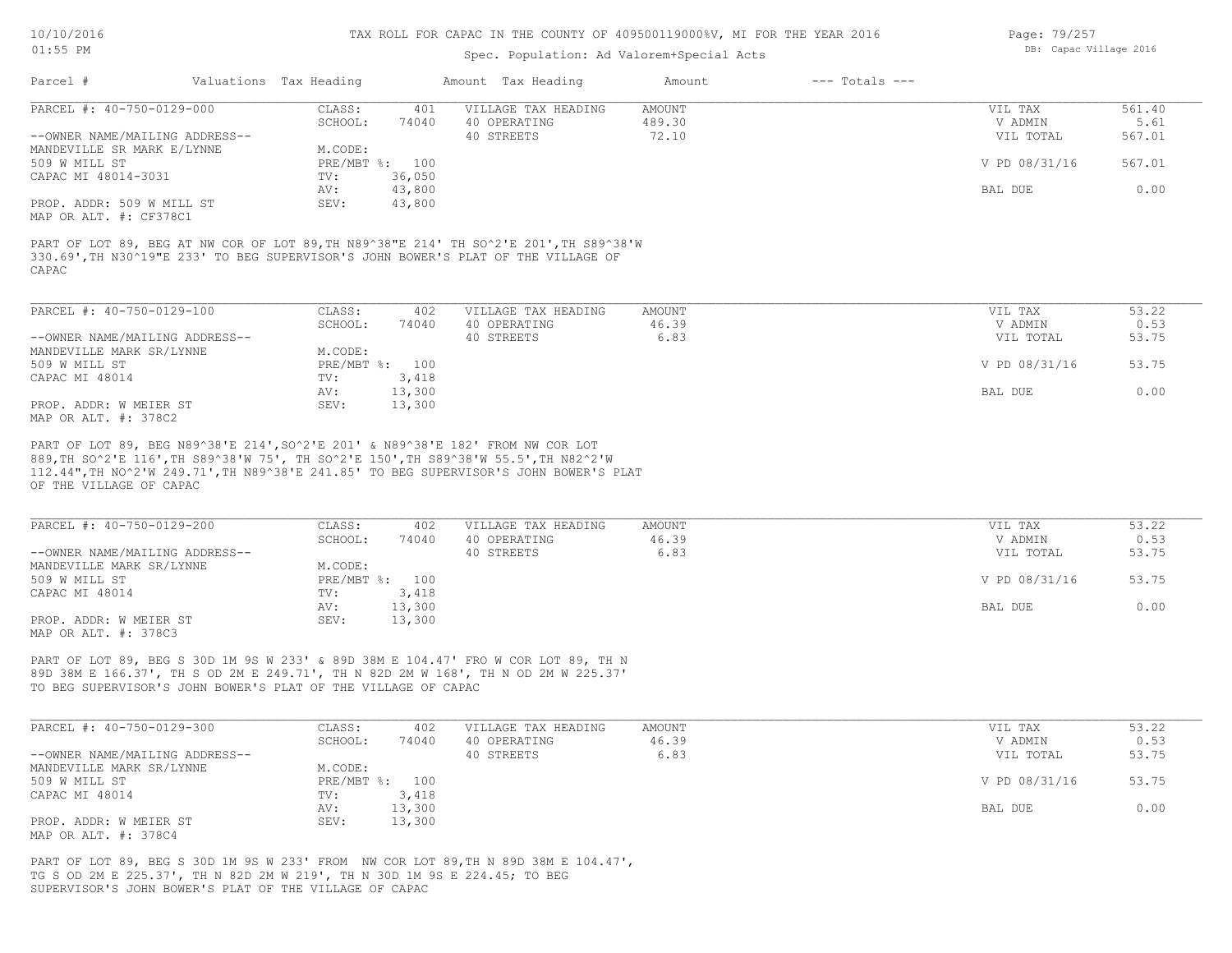## Spec. Population: Ad Valorem+Special Acts

| Page: 79/257 |                        |  |
|--------------|------------------------|--|
|              | DB: Capac Village 2016 |  |

| Parcel #                       | Valuations Tax Heading |                | Amount Tax Heading                                                                    | Amount | $---$ Totals $---$ |               |        |
|--------------------------------|------------------------|----------------|---------------------------------------------------------------------------------------|--------|--------------------|---------------|--------|
| PARCEL #: 40-750-0129-000      | CLASS:                 | 401            | VILLAGE TAX HEADING                                                                   | AMOUNT |                    | VIL TAX       | 561.40 |
|                                | SCHOOL:                | 74040          | 40 OPERATING                                                                          | 489.30 |                    | V ADMIN       | 5.61   |
| --OWNER NAME/MAILING ADDRESS-- |                        |                | 40 STREETS                                                                            | 72.10  |                    | VIL TOTAL     | 567.01 |
| MANDEVILLE SR MARK E/LYNNE     | M.CODE:                |                |                                                                                       |        |                    |               |        |
| 509 W MILL ST                  |                        | PRE/MBT %: 100 |                                                                                       |        |                    | V PD 08/31/16 | 567.01 |
| CAPAC MI 48014-3031            | TV:                    | 36,050         |                                                                                       |        |                    |               |        |
|                                | AV:                    | 43,800         |                                                                                       |        |                    | BAL DUE       | 0.00   |
| PROP. ADDR: 509 W MILL ST      | SEV:                   | 43,800         |                                                                                       |        |                    |               |        |
| MAP OR ALT. #: CF378C1         |                        |                |                                                                                       |        |                    |               |        |
|                                |                        |                |                                                                                       |        |                    |               |        |
|                                |                        |                | PART OF LOT 89, BEG AT NW COR OF LOT 89, TH N89^38"E 214' TH SO^2'E 201', TH S89^38'W |        |                    |               |        |
|                                |                        |                | 330.69', TH N30^19"E 233' TO BEG SUPERVISOR'S JOHN BOWER'S PLAT OF THE VILLAGE OF     |        |                    |               |        |
| CAPAC.                         |                        |                |                                                                                       |        |                    |               |        |

MAP OR ALT. #: 378C2 PROP. ADDR: W MEIER ST SEV: 13,300 AV: 13,300 BAL DUE 0.00 CAPAC MI 48014 TV: 3,418<br>
AV: 13,300 509 W MILL ST PRE/MBT %: 100 V PD 08/31/16 53.75 MANDEVILLE MARK SR/LYNNE M.CODE: --OWNER NAME/MAILING ADDRESS-- 40 STREETS 6.83 VIL TOTAL 53.75 SCHOOL: 74040 40 OPERATING 46.39 V ADMIN 0.53 PARCEL #: 40-750-0129-100 CLASS: 402 VILLAGE TAX HEADING AMOUNT VIL TAX VIL TAX 53.22<br>SCHOOL: 74040 40 OPERATING 46.39 VADMIN 0.53  $\mathcal{L}_\mathcal{L} = \mathcal{L}_\mathcal{L} = \mathcal{L}_\mathcal{L} = \mathcal{L}_\mathcal{L} = \mathcal{L}_\mathcal{L} = \mathcal{L}_\mathcal{L} = \mathcal{L}_\mathcal{L} = \mathcal{L}_\mathcal{L} = \mathcal{L}_\mathcal{L} = \mathcal{L}_\mathcal{L} = \mathcal{L}_\mathcal{L} = \mathcal{L}_\mathcal{L} = \mathcal{L}_\mathcal{L} = \mathcal{L}_\mathcal{L} = \mathcal{L}_\mathcal{L} = \mathcal{L}_\mathcal{L} = \mathcal{L}_\mathcal{L}$ 

OF THE VILLAGE OF CAPAC 112.44",TH NO^2'W 249.71',TH N89^38'E 241.85' TO BEG SUPERVISOR'S JOHN BOWER'S PLAT 889,TH SO^2'E 116',TH S89^38'W 75', TH SO^2'E 150',TH S89^38'W 55.5',TH N82^2'W PART OF LOT 89, BEG N89^38'E 214',SO^2'E 201' & N89^38'E 182' FROM NW COR LOT

| PARCEL #: 40-750-0129-200      | CLASS:  | 402            | VILLAGE TAX HEADING | AMOUNT | VIL TAX       | 53.22 |
|--------------------------------|---------|----------------|---------------------|--------|---------------|-------|
|                                | SCHOOL: | 74040          | 40 OPERATING        | 46.39  | V ADMIN       | 0.53  |
| --OWNER NAME/MAILING ADDRESS-- |         |                | 40 STREETS          | 6.83   | VIL TOTAL     | 53.75 |
| MANDEVILLE MARK SR/LYNNE       | M.CODE: |                |                     |        |               |       |
| 509 W MILL ST                  |         | PRE/MBT %: 100 |                     |        | V PD 08/31/16 | 53.75 |
| CAPAC MI 48014                 | TV:     | 3,418          |                     |        |               |       |
|                                | AV:     | 13,300         |                     |        | BAL DUE       | 0.00  |
| PROP. ADDR: W MEIER ST         | SEV:    | 13,300         |                     |        |               |       |
| MAP OR ALT. #: 378C3           |         |                |                     |        |               |       |

TO BEG SUPERVISOR'S JOHN BOWER'S PLAT OF THE VILLAGE OF CAPAC 89D 38M E 166.37', TH S OD 2M E 249.71', TH N 82D 2M W 168', TH N OD 2M W 225.37' PART OF LOT 89, BEG S 30D 1M 9S W 233' & 89D 38M E 104.47' FRO W COR LOT 89, TH N

| PARCEL #: 40-750-0129-300      | CLASS:         | 402    | VILLAGE TAX HEADING | AMOUNT | VIL TAX       | 53.22 |
|--------------------------------|----------------|--------|---------------------|--------|---------------|-------|
|                                | SCHOOL:        | 74040  | 40 OPERATING        | 46.39  | V ADMIN       | 0.53  |
| --OWNER NAME/MAILING ADDRESS-- |                |        | 40 STREETS          | 6.83   | VIL TOTAL     | 53.75 |
| MANDEVILLE MARK SR/LYNNE       | M.CODE:        |        |                     |        |               |       |
| 509 W MILL ST                  | PRE/MBT %: 100 |        |                     |        | V PD 08/31/16 | 53.75 |
| CAPAC MI 48014                 | TV:            | 3,418  |                     |        |               |       |
|                                | AV:            | 13,300 |                     |        | BAL DUE       | 0.00  |
| PROP. ADDR: W MEIER ST         | SEV:           | 13,300 |                     |        |               |       |
| MAP OR ALT. #: 378C4           |                |        |                     |        |               |       |

SUPERVISOR'S JOHN BOWER'S PLAT OF THE VILLAGE OF CAPAC TG S OD 2M E 225.37', TH N 82D 2M W 219', TH N 30D 1M 9S E 224.45; TO BEG PART OF LOT 89, BEG S 30D 1M 9S W 233' FROM NW COR LOT 89,TH N 89D 38M E 104.47',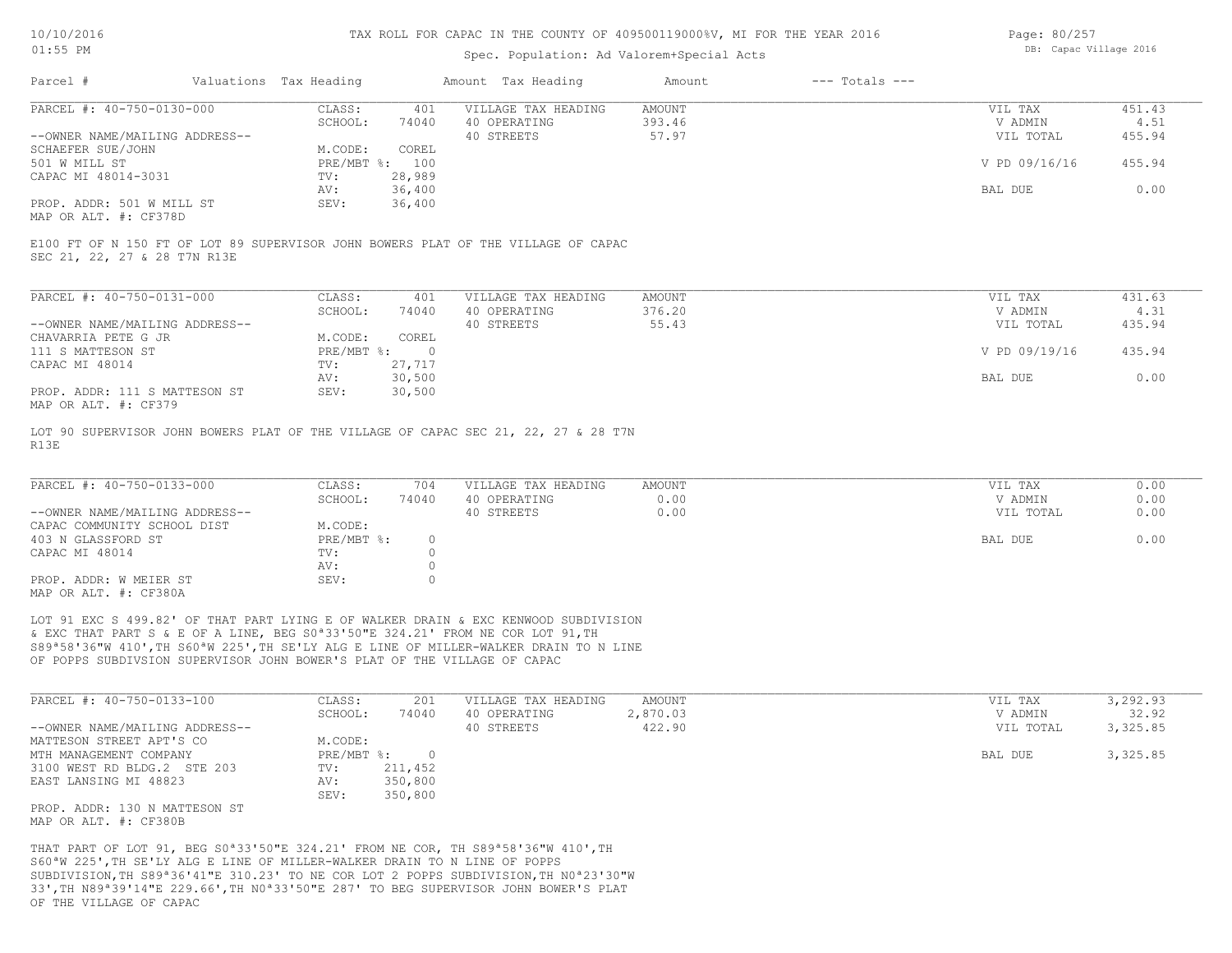## Spec. Population: Ad Valorem+Special Acts

| Page: 80/257 |                        |  |
|--------------|------------------------|--|
|              | DB: Capac Village 2016 |  |

| Parcel #                       | Valuations Tax Heading |        | Amount Tax Heading  | Amount | $---$ Totals $---$ |               |        |
|--------------------------------|------------------------|--------|---------------------|--------|--------------------|---------------|--------|
| PARCEL #: 40-750-0130-000      | CLASS:                 | 401    | VILLAGE TAX HEADING | AMOUNT |                    | VIL TAX       | 451.43 |
|                                | SCHOOL:                | 74040  | 40 OPERATING        | 393.46 |                    | V ADMIN       | 4.51   |
| --OWNER NAME/MAILING ADDRESS-- |                        |        | 40 STREETS          | 57.97  |                    | VIL TOTAL     | 455.94 |
| SCHAEFER SUE/JOHN              | M.CODE:                | COREL  |                     |        |                    |               |        |
| 501 W MILL ST                  | PRE/MBT %: 100         |        |                     |        |                    | V PD 09/16/16 | 455.94 |
| CAPAC MI 48014-3031            | TV:                    | 28,989 |                     |        |                    |               |        |
|                                | AV:                    | 36,400 |                     |        |                    | BAL DUE       | 0.00   |
| PROP. ADDR: 501 W MILL ST      | SEV:                   | 36,400 |                     |        |                    |               |        |
|                                |                        |        |                     |        |                    |               |        |

MAP OR ALT. #: CF378D

SEC 21, 22, 27 & 28 T7N R13E E100 FT OF N 150 FT OF LOT 89 SUPERVISOR JOHN BOWERS PLAT OF THE VILLAGE OF CAPAC

| PARCEL #: 40-750-0131-000      | CLASS:     | 401    | VILLAGE TAX HEADING | AMOUNT | VIL TAX       | 431.63 |
|--------------------------------|------------|--------|---------------------|--------|---------------|--------|
|                                | SCHOOL:    | 74040  | 40 OPERATING        | 376.20 | V ADMIN       | 4.31   |
| --OWNER NAME/MAILING ADDRESS-- |            |        | 40 STREETS          | 55.43  | VIL TOTAL     | 435.94 |
| CHAVARRIA PETE G JR            | M.CODE:    | COREL  |                     |        |               |        |
| 111 S MATTESON ST              | PRE/MBT %: |        |                     |        | V PD 09/19/16 | 435.94 |
| CAPAC MI 48014                 | TV:        | 27,717 |                     |        |               |        |
|                                | AV:        | 30,500 |                     |        | BAL DUE       | 0.00   |
| PROP. ADDR: 111 S MATTESON ST  | SEV:       | 30,500 |                     |        |               |        |
| MAP OR ALT. #: CF379           |            |        |                     |        |               |        |

R13E LOT 90 SUPERVISOR JOHN BOWERS PLAT OF THE VILLAGE OF CAPAC SEC 21, 22, 27 & 28 T7N

| PARCEL #: 40-750-0133-000      | CLASS:       | 704   | VILLAGE TAX HEADING | AMOUNT | VIL TAX   | 0.00 |
|--------------------------------|--------------|-------|---------------------|--------|-----------|------|
|                                | SCHOOL:      | 74040 | 40 OPERATING        | 0.00   | V ADMIN   | 0.00 |
| --OWNER NAME/MAILING ADDRESS-- |              |       | 40 STREETS          | 0.00   | VIL TOTAL | 0.00 |
| CAPAC COMMUNITY SCHOOL DIST    | M.CODE:      |       |                     |        |           |      |
| 403 N GLASSFORD ST             | $PRE/MBT$ %: |       |                     |        | BAL DUE   | 0.00 |
| CAPAC MI 48014                 | TV:          |       |                     |        |           |      |
|                                | AV:          |       |                     |        |           |      |
| PROP. ADDR: W MEIER ST         | SEV:         |       |                     |        |           |      |
| MAP OR ALT. #: CF380A          |              |       |                     |        |           |      |

OF POPPS SUBDIVSION SUPERVISOR JOHN BOWER'S PLAT OF THE VILLAGE OF CAPAC S89ª58'36"W 410',TH S60ªW 225',TH SE'LY ALG E LINE OF MILLER-WALKER DRAIN TO N LINE & EXC THAT PART S & E OF A LINE, BEG S0ª33'50"E 324.21' FROM NE COR LOT 91,TH LOT 91 EXC S 499.82' OF THAT PART LYING E OF WALKER DRAIN & EXC KENWOOD SUBDIVISION

| PARCEL #: 40-750-0133-100      | CLASS:        | 201     | VILLAGE TAX HEADING | AMOUNT   | VIL TAX   | 3,292.93 |
|--------------------------------|---------------|---------|---------------------|----------|-----------|----------|
|                                | SCHOOL:       | 74040   | 40 OPERATING        | 2,870.03 | V ADMIN   | 32.92    |
| --OWNER NAME/MAILING ADDRESS-- |               |         | 40 STREETS          | 422.90   | VIL TOTAL | 3,325.85 |
| MATTESON STREET APT'S CO       | M.CODE:       |         |                     |          |           |          |
| MTH MANAGEMENT COMPANY         | PRE/MBT %:    |         |                     |          | BAL DUE   | 3,325.85 |
| 3100 WEST RD BLDG.2 STE 203    | $\text{TV}$ : | 211,452 |                     |          |           |          |
| EAST LANSING MI 48823          | AV:           | 350,800 |                     |          |           |          |
|                                | SEV:          | 350,800 |                     |          |           |          |
| PROP. ADDR: 130 N MATTESON ST  |               |         |                     |          |           |          |
|                                |               |         |                     |          |           |          |

MAP OR ALT. #: CF380B

OF THE VILLAGE OF CAPAC 33',TH N89ª39'14"E 229.66',TH N0ª33'50"E 287' TO BEG SUPERVISOR JOHN BOWER'S PLAT SUBDIVISION,TH S89ª36'41"E 310.23' TO NE COR LOT 2 POPPS SUBDIVISION,TH N0ª23'30"W S60ªW 225',TH SE'LY ALG E LINE OF MILLER-WALKER DRAIN TO N LINE OF POPPS THAT PART OF LOT 91, BEG S0ª33'50"E 324.21' FROM NE COR, TH S89ª58'36"W 410',TH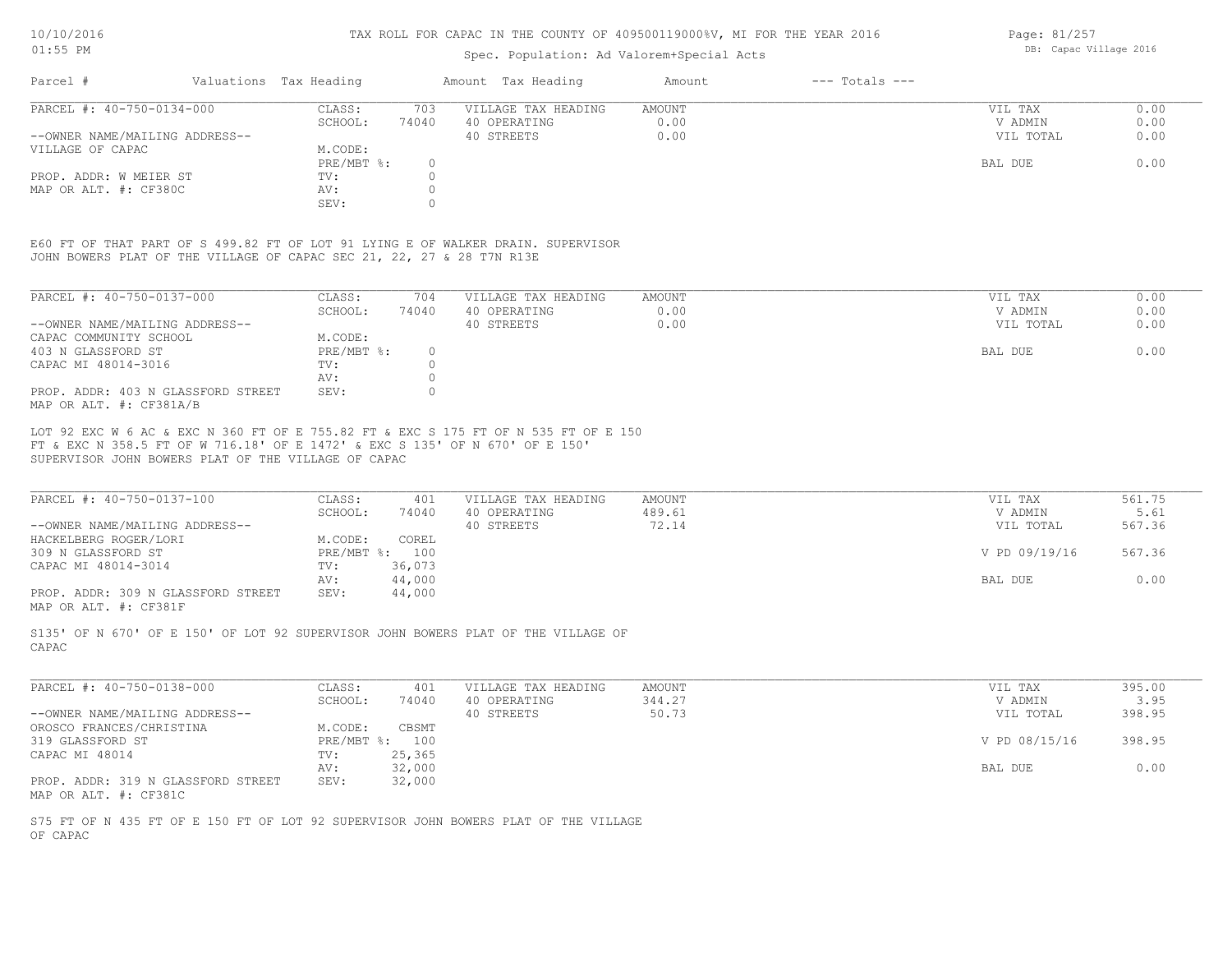### Spec. Population: Ad Valorem+Special Acts

| Parcel #                       | Valuations Tax Heading |       | Amount Tax Heading  | Amount | $---$ Totals $---$ |           |      |
|--------------------------------|------------------------|-------|---------------------|--------|--------------------|-----------|------|
| PARCEL #: 40-750-0134-000      | CLASS:                 | 703   | VILLAGE TAX HEADING | AMOUNT |                    | VIL TAX   | 0.00 |
|                                | SCHOOL:                | 74040 | 40 OPERATING        | 0.00   |                    | V ADMIN   | 0.00 |
| --OWNER NAME/MAILING ADDRESS-- |                        |       | 40 STREETS          | 0.00   |                    | VIL TOTAL | 0.00 |
| VILLAGE OF CAPAC               | M.CODE:                |       |                     |        |                    |           |      |
|                                | PRE/MBT %:             |       |                     |        |                    | BAL DUE   | 0.00 |
| PROP. ADDR: W MEIER ST         | TV:                    |       |                     |        |                    |           |      |
| MAP OR ALT. #: CF380C          | AV:                    |       |                     |        |                    |           |      |
|                                | SEV:                   |       |                     |        |                    |           |      |

JOHN BOWERS PLAT OF THE VILLAGE OF CAPAC SEC 21, 22, 27 & 28 T7N R13E E60 FT OF THAT PART OF S 499.82 FT OF LOT 91 LYING E OF WALKER DRAIN. SUPERVISOR

| PARCEL #: 40-750-0137-000                                     | CLASS:     | 704      | VILLAGE TAX HEADING | AMOUNT | VIL TAX   | 0.00 |
|---------------------------------------------------------------|------------|----------|---------------------|--------|-----------|------|
|                                                               | SCHOOL:    | 74040    | 40 OPERATING        | 0.00   | V ADMIN   | 0.00 |
| --OWNER NAME/MAILING ADDRESS--                                |            |          | 40 STREETS          | 0.00   | VIL TOTAL | 0.00 |
| CAPAC COMMUNITY SCHOOL                                        | M.CODE:    |          |                     |        |           |      |
| 403 N GLASSFORD ST                                            | PRE/MBT %: | $\Omega$ |                     |        | BAL DUE   | 0.00 |
| CAPAC MI 48014-3016                                           | TV:        |          |                     |        |           |      |
|                                                               | AV:        |          |                     |        |           |      |
| PROP. ADDR: 403 N GLASSFORD STREET<br>MAP OR ALT. #: CF381A/B | SEV:       |          |                     |        |           |      |

SUPERVISOR JOHN BOWERS PLAT OF THE VILLAGE OF CAPAC FT & EXC N 358.5 FT OF W 716.18' OF E 1472' & EXC S 135' OF N 670' OF E 150' LOT 92 EXC W 6 AC & EXC N 360 FT OF E 755.82 FT & EXC S 175 FT OF N 535 FT OF E 150

| PARCEL #: 40-750-0137-100          | CLASS:  | 401            | VILLAGE TAX HEADING | AMOUNT | VIL TAX       | 561.75 |
|------------------------------------|---------|----------------|---------------------|--------|---------------|--------|
|                                    | SCHOOL: | 74040          | 40 OPERATING        | 489.61 | V ADMIN       | 5.61   |
| --OWNER NAME/MAILING ADDRESS--     |         |                | 40 STREETS          | 72.14  | VIL TOTAL     | 567.36 |
| HACKELBERG ROGER/LORI              | M.CODE: | COREL          |                     |        |               |        |
| 309 N GLASSFORD ST                 |         | PRE/MBT %: 100 |                     |        | V PD 09/19/16 | 567.36 |
| CAPAC MI 48014-3014                | TV:     | 36,073         |                     |        |               |        |
|                                    | AV:     | 44,000         |                     |        | BAL DUE       | 0.00   |
| PROP. ADDR: 309 N GLASSFORD STREET | SEV:    | 44,000         |                     |        |               |        |
|                                    |         |                |                     |        |               |        |

MAP OR ALT. #: CF381F

CAPAC S135' OF N 670' OF E 150' OF LOT 92 SUPERVISOR JOHN BOWERS PLAT OF THE VILLAGE OF

| PARCEL #: 40-750-0138-000          | CLASS:  | 401            | VILLAGE TAX HEADING | AMOUNT | VIL TAX       | 395.00 |
|------------------------------------|---------|----------------|---------------------|--------|---------------|--------|
|                                    | SCHOOL: | 74040          | 40 OPERATING        | 344.27 | V ADMIN       | 3.95   |
| --OWNER NAME/MAILING ADDRESS--     |         |                | 40 STREETS          | 50.73  | VIL TOTAL     | 398.95 |
| OROSCO FRANCES/CHRISTINA           | M.CODE: | CBSMT          |                     |        |               |        |
| 319 GLASSFORD ST                   |         | PRE/MBT %: 100 |                     |        | V PD 08/15/16 | 398.95 |
| CAPAC MI 48014                     | TV:     | 25,365         |                     |        |               |        |
|                                    | AV:     | 32,000         |                     |        | BAL DUE       | 0.00   |
| PROP. ADDR: 319 N GLASSFORD STREET | SEV:    | 32,000         |                     |        |               |        |
| MAP OR ALT. #: CF381C              |         |                |                     |        |               |        |

OF CAPAC S75 FT OF N 435 FT OF E 150 FT OF LOT 92 SUPERVISOR JOHN BOWERS PLAT OF THE VILLAGE Page: 81/257 DB: Capac Village 2016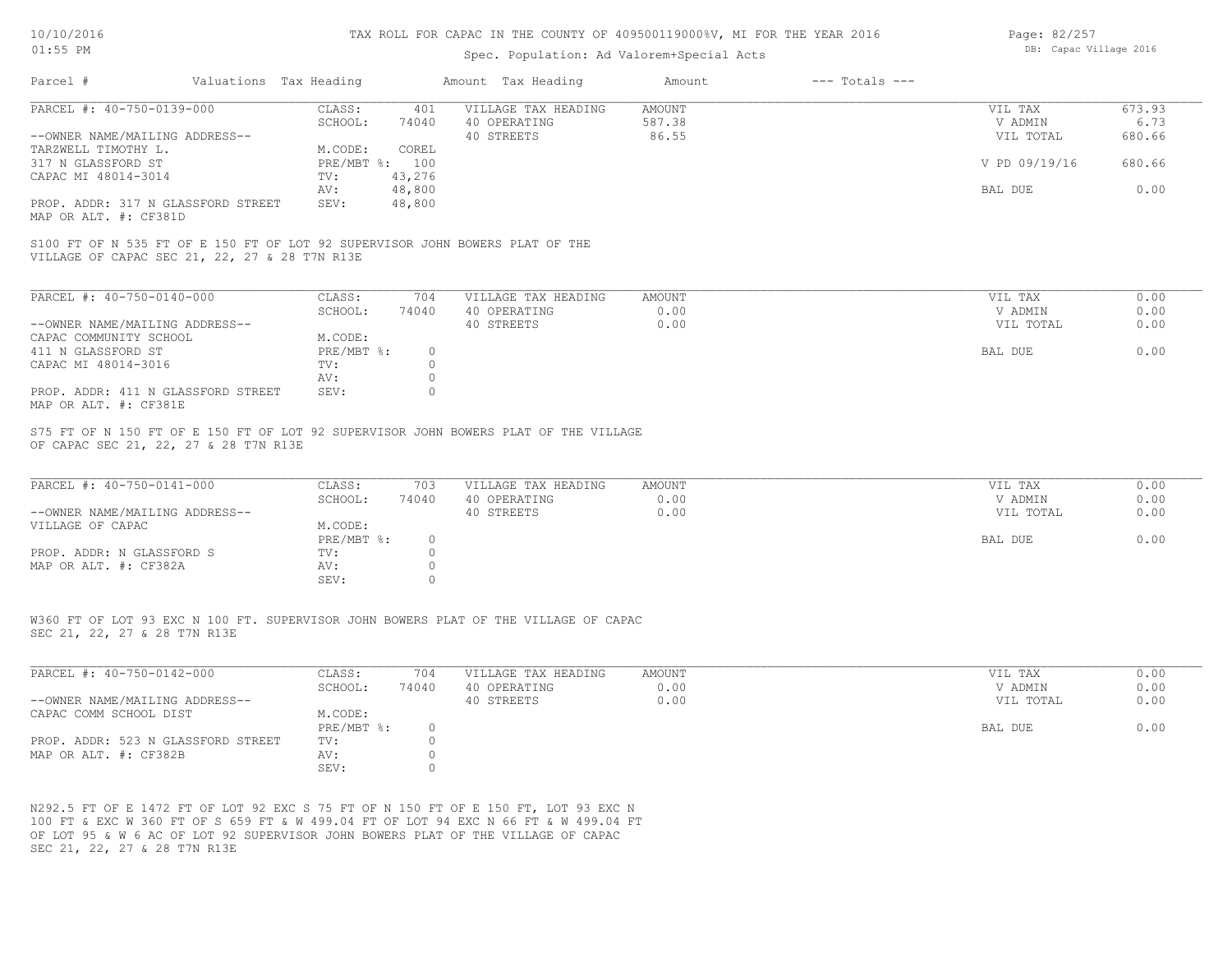### Spec. Population: Ad Valorem+Special Acts

| Page: 82/257 |                        |  |
|--------------|------------------------|--|
|              | DB: Capac Village 2016 |  |

| Parcel #                                                                     | Valuations Tax Heading |                |        | Amount Tax Heading  | Amount               | $---$ Totals $---$ |               |                      |
|------------------------------------------------------------------------------|------------------------|----------------|--------|---------------------|----------------------|--------------------|---------------|----------------------|
| PARCEL #: 40-750-0139-000                                                    |                        | CLASS:         | 401    | VILLAGE TAX HEADING | AMOUNT               |                    | VIL TAX       | 673.93               |
|                                                                              |                        | SCHOOL:        | 74040  | 40 OPERATING        | 587.38               |                    | V ADMIN       | 6.73                 |
| --OWNER NAME/MAILING ADDRESS--                                               |                        |                |        | 40 STREETS          | 86.55                |                    | VIL TOTAL     | 680.66               |
| TARZWELL TIMOTHY L.                                                          |                        | M.CODE:        | COREL  |                     |                      |                    |               |                      |
| 317 N GLASSFORD ST                                                           |                        | PRE/MBT %: 100 |        |                     |                      |                    | V PD 09/19/16 | 680.66               |
| CAPAC MI 48014-3014                                                          |                        | TV:            | 43,276 |                     |                      |                    |               |                      |
|                                                                              |                        | AV:            | 48,800 |                     |                      |                    | BAL DUE       | 0.00                 |
| PROP. ADDR: 317 N GLASSFORD STREET<br>MAP OR ALT. #: CF381D                  |                        | SEV:           | 48,800 |                     |                      |                    |               |                      |
| S100 FT OF N 535 FT OF E 150 FT OF LOT 92 SUPERVISOR JOHN BOWERS PLAT OF THE |                        |                |        |                     |                      |                    |               |                      |
| VILLAGE OF CAPAC SEC 21, 22, 27 & 28 T7N R13E                                |                        |                |        |                     |                      |                    |               |                      |
| PARCEL #: 40-750-0140-000                                                    |                        | CLASS:         | 704    | VILLAGE TAX HEADING | AMOUNT               |                    | VIL TAX       | 0.00                 |
|                                                                              |                        | SCHOOL:        | 74040  | 40 OPERATING        | 0.00                 |                    | V ADMIN       | 0.00                 |
|                                                                              |                        |                |        |                     | $\sim$ $\sim$ $\sim$ |                    |               | $\sim$ $\sim$ $\sim$ |

|                                    | SCHOOL:    | 74040 | 40 OPERATING | 0.00 | V ADMIN   | 0.00 |
|------------------------------------|------------|-------|--------------|------|-----------|------|
| --OWNER NAME/MAILING ADDRESS--     |            |       | 40 STREETS   | 0.00 | VIL TOTAL | 0.00 |
| CAPAC COMMUNITY SCHOOL             | M.CODE:    |       |              |      |           |      |
| 411 N GLASSFORD ST                 | PRE/MBT %: |       |              |      | BAL DUE   | 0.00 |
| CAPAC MI 48014-3016                | TV:        |       |              |      |           |      |
|                                    | AV:        |       |              |      |           |      |
| PROP. ADDR: 411 N GLASSFORD STREET | SEV:       |       |              |      |           |      |
| MAP OR ALT. #: CF381E              |            |       |              |      |           |      |

OF CAPAC SEC 21, 22, 27 & 28 T7N R13E S75 FT OF N 150 FT OF E 150 FT OF LOT 92 SUPERVISOR JOHN BOWERS PLAT OF THE VILLAGE

| PARCEL #: 40-750-0141-000      | CLASS:       | 703   | VILLAGE TAX HEADING | AMOUNT | VIL TAX   | 0.00 |
|--------------------------------|--------------|-------|---------------------|--------|-----------|------|
|                                | SCHOOL:      | 74040 | 40 OPERATING        | 0.00   | V ADMIN   | 0.00 |
| --OWNER NAME/MAILING ADDRESS-- |              |       | 40 STREETS          | 0.00   | VIL TOTAL | 0.00 |
| VILLAGE OF CAPAC               | M.CODE:      |       |                     |        |           |      |
|                                | $PRE/MBT$ %: |       |                     |        | BAL DUE   | 0.00 |
| PROP. ADDR: N GLASSFORD S      | TV:          |       |                     |        |           |      |
| MAP OR ALT. #: CF382A          | AV:          |       |                     |        |           |      |
|                                | SEV:         |       |                     |        |           |      |

SEC 21, 22, 27 & 28 T7N R13E W360 FT OF LOT 93 EXC N 100 FT. SUPERVISOR JOHN BOWERS PLAT OF THE VILLAGE OF CAPAC

| PARCEL #: 40-750-0142-000          | CLASS:     | 704   | VILLAGE TAX HEADING | AMOUNT | VIL TAX   | 0.00 |
|------------------------------------|------------|-------|---------------------|--------|-----------|------|
|                                    | SCHOOL:    | 74040 | 40 OPERATING        | 0.00   | V ADMIN   | 0.00 |
| --OWNER NAME/MAILING ADDRESS--     |            |       | 40 STREETS          | 0.00   | VIL TOTAL | 0.00 |
| CAPAC COMM SCHOOL DIST             | M.CODE:    |       |                     |        |           |      |
|                                    | PRE/MBT %: |       |                     |        | BAL DUE   | 0.00 |
| PROP. ADDR: 523 N GLASSFORD STREET | TV:        |       |                     |        |           |      |
| MAP OR ALT. #: CF382B              | AV:        |       |                     |        |           |      |
|                                    | SEV:       |       |                     |        |           |      |

 $\mathcal{L}_\mathcal{L} = \mathcal{L}_\mathcal{L} = \mathcal{L}_\mathcal{L} = \mathcal{L}_\mathcal{L} = \mathcal{L}_\mathcal{L} = \mathcal{L}_\mathcal{L} = \mathcal{L}_\mathcal{L} = \mathcal{L}_\mathcal{L} = \mathcal{L}_\mathcal{L} = \mathcal{L}_\mathcal{L} = \mathcal{L}_\mathcal{L} = \mathcal{L}_\mathcal{L} = \mathcal{L}_\mathcal{L} = \mathcal{L}_\mathcal{L} = \mathcal{L}_\mathcal{L} = \mathcal{L}_\mathcal{L} = \mathcal{L}_\mathcal{L}$ 

SEC 21, 22, 27 & 28 T7N R13E OF LOT 95 & W 6 AC OF LOT 92 SUPERVISOR JOHN BOWERS PLAT OF THE VILLAGE OF CAPAC 100 FT & EXC W 360 FT OF S 659 FT & W 499.04 FT OF LOT 94 EXC N 66 FT & W 499.04 FT N292.5 FT OF E 1472 FT OF LOT 92 EXC S 75 FT OF N 150 FT OF E 150 FT, LOT 93 EXC N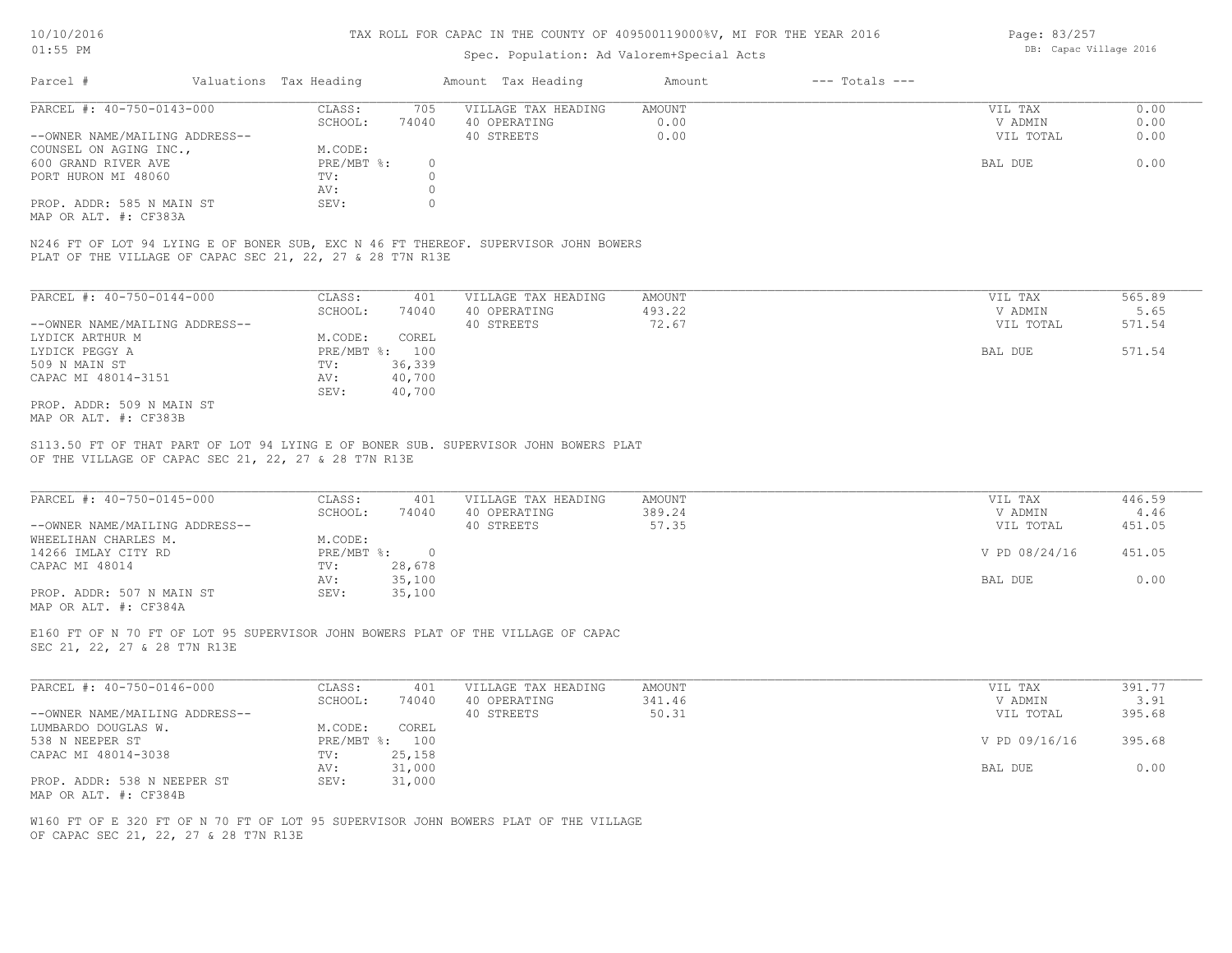## Spec. Population: Ad Valorem+Special Acts

| Page: 83/257 |                        |  |
|--------------|------------------------|--|
|              | DB: Capac Village 2016 |  |

| Parcel #                       | Valuations Tax Heading |       | Amount Tax Heading  | Amount | $---$ Totals $---$ |           |      |
|--------------------------------|------------------------|-------|---------------------|--------|--------------------|-----------|------|
| PARCEL #: 40-750-0143-000      | CLASS:                 | 705   | VILLAGE TAX HEADING | AMOUNT |                    | VIL TAX   | 0.00 |
|                                | SCHOOL:                | 74040 | 40 OPERATING        | 0.00   |                    | V ADMIN   | 0.00 |
| --OWNER NAME/MAILING ADDRESS-- |                        |       | 40 STREETS          | 0.00   |                    | VIL TOTAL | 0.00 |
| COUNSEL ON AGING INC.,         | M.CODE:                |       |                     |        |                    |           |      |
| 600 GRAND RIVER AVE            | $PRE/MBT$ %:           |       |                     |        |                    | BAL DUE   | 0.00 |
| PORT HURON MI 48060            | TV:                    |       |                     |        |                    |           |      |
|                                | AV:                    |       |                     |        |                    |           |      |
| PROP. ADDR: 585 N MAIN ST      | SEV:                   |       |                     |        |                    |           |      |
|                                |                        |       |                     |        |                    |           |      |

MAP OR ALT. #: CF383A

PLAT OF THE VILLAGE OF CAPAC SEC 21, 22, 27 & 28 T7N R13E N246 FT OF LOT 94 LYING E OF BONER SUB, EXC N 46 FT THEREOF. SUPERVISOR JOHN BOWERS

| PARCEL #: 40-750-0144-000      | CLASS:     | 401    | VILLAGE TAX HEADING | AMOUNT | 565.89<br>VIL TAX   |
|--------------------------------|------------|--------|---------------------|--------|---------------------|
|                                | SCHOOL:    | 74040  | 40 OPERATING        | 493.22 | 5.65<br>V ADMIN     |
| --OWNER NAME/MAILING ADDRESS-- |            |        | 40 STREETS          | 72.67  | 571.54<br>VIL TOTAL |
| LYDICK ARTHUR M                | M.CODE:    | COREL  |                     |        |                     |
| LYDICK PEGGY A                 | PRE/MBT %: | 100    |                     |        | 571.54<br>BAL DUE   |
| 509 N MAIN ST                  | TV:        | 36,339 |                     |        |                     |
| CAPAC MI 48014-3151            | AV:        | 40,700 |                     |        |                     |
|                                | SEV:       | 40,700 |                     |        |                     |
| PROP. ADDR: 509 N MAIN ST      |            |        |                     |        |                     |
| MAP OR ALT. #: CF383B          |            |        |                     |        |                     |

OF THE VILLAGE OF CAPAC SEC 21, 22, 27 & 28 T7N R13E S113.50 FT OF THAT PART OF LOT 94 LYING E OF BONER SUB. SUPERVISOR JOHN BOWERS PLAT

| PARCEL #: 40-750-0145-000      | CLASS:     | 401    | VILLAGE TAX HEADING | AMOUNT | VIL TAX       | 446.59 |  |
|--------------------------------|------------|--------|---------------------|--------|---------------|--------|--|
|                                | SCHOOL:    | 74040  | 40 OPERATING        | 389.24 | V ADMIN       | 4.46   |  |
| --OWNER NAME/MAILING ADDRESS-- |            |        | 40 STREETS          | 57.35  | VIL TOTAL     | 451.05 |  |
| WHEELIHAN CHARLES M.           | M.CODE:    |        |                     |        |               |        |  |
| 14266 IMLAY CITY RD            | PRE/MBT %: |        |                     |        | V PD 08/24/16 | 451.05 |  |
| CAPAC MI 48014                 | TV:        | 28,678 |                     |        |               |        |  |
|                                | AV:        | 35,100 |                     |        | BAL DUE       | 0.00   |  |
| PROP. ADDR: 507 N MAIN ST      | SEV:       | 35,100 |                     |        |               |        |  |
| MAP OR ALT. #: CF384A          |            |        |                     |        |               |        |  |

 $\mathcal{L}_\mathcal{L} = \mathcal{L}_\mathcal{L} = \mathcal{L}_\mathcal{L} = \mathcal{L}_\mathcal{L} = \mathcal{L}_\mathcal{L} = \mathcal{L}_\mathcal{L} = \mathcal{L}_\mathcal{L} = \mathcal{L}_\mathcal{L} = \mathcal{L}_\mathcal{L} = \mathcal{L}_\mathcal{L} = \mathcal{L}_\mathcal{L} = \mathcal{L}_\mathcal{L} = \mathcal{L}_\mathcal{L} = \mathcal{L}_\mathcal{L} = \mathcal{L}_\mathcal{L} = \mathcal{L}_\mathcal{L} = \mathcal{L}_\mathcal{L}$ 

SEC 21, 22, 27 & 28 T7N R13E E160 FT OF N 70 FT OF LOT 95 SUPERVISOR JOHN BOWERS PLAT OF THE VILLAGE OF CAPAC

| PARCEL #: 40-750-0146-000      | CLASS:       | 401    | VILLAGE TAX HEADING | AMOUNT | VIL TAX       | 391.77 |
|--------------------------------|--------------|--------|---------------------|--------|---------------|--------|
|                                | SCHOOL:      | 74040  | 40 OPERATING        | 341.46 | V ADMIN       | 3.91   |
| --OWNER NAME/MAILING ADDRESS-- |              |        | 40 STREETS          | 50.31  | VIL TOTAL     | 395.68 |
| LUMBARDO DOUGLAS W.            | M.CODE:      | COREL  |                     |        |               |        |
| 538 N NEEPER ST                | $PRE/MBT$ %: | 100    |                     |        | V PD 09/16/16 | 395.68 |
| CAPAC MI 48014-3038            | TV:          | 25,158 |                     |        |               |        |
|                                | AV:          | 31,000 |                     |        | BAL DUE       | 0.00   |
| PROP. ADDR: 538 N NEEPER ST    | SEV:         | 31,000 |                     |        |               |        |
| MAP OR ALT. #: CF384B          |              |        |                     |        |               |        |

OF CAPAC SEC 21, 22, 27 & 28 T7N R13E W160 FT OF E 320 FT OF N 70 FT OF LOT 95 SUPERVISOR JOHN BOWERS PLAT OF THE VILLAGE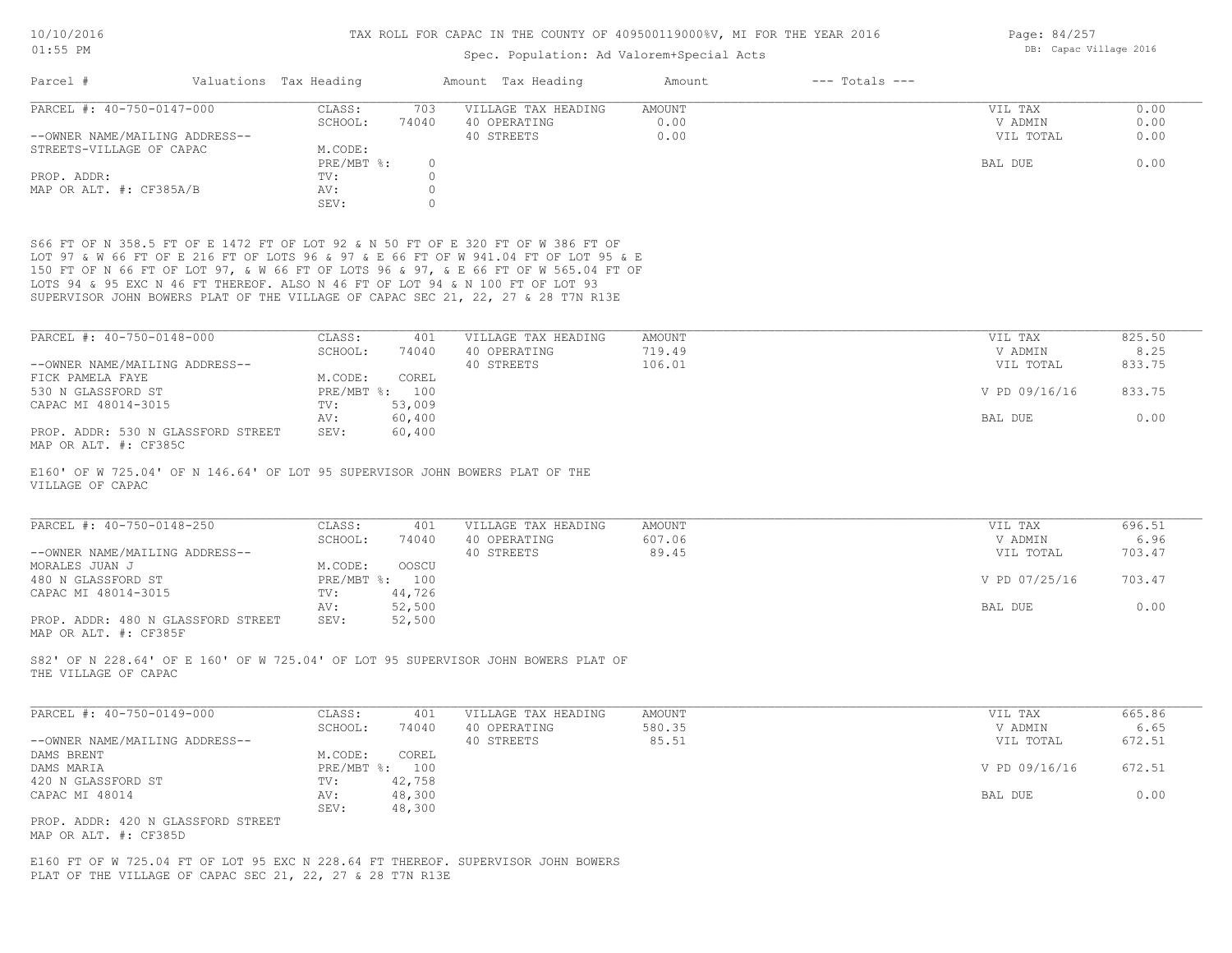### Spec. Population: Ad Valorem+Special Acts

| Parcel #                       | Valuations Tax Heading |       | Amount Tax Heading  | Amount | $---$ Totals $---$ |           |      |
|--------------------------------|------------------------|-------|---------------------|--------|--------------------|-----------|------|
| PARCEL #: 40-750-0147-000      | CLASS:                 | 703   | VILLAGE TAX HEADING | AMOUNT |                    | VIL TAX   | 0.00 |
|                                | SCHOOL:                | 74040 | 40 OPERATING        | 0.00   |                    | V ADMIN   | 0.00 |
| --OWNER NAME/MAILING ADDRESS-- |                        |       | 40 STREETS          | 0.00   |                    | VIL TOTAL | 0.00 |
| STREETS-VILLAGE OF CAPAC       | M.CODE:                |       |                     |        |                    |           |      |
|                                | $PRE/MBT$ $\div$       | 0     |                     |        |                    | BAL DUE   | 0.00 |
| PROP. ADDR:                    | TV:                    |       |                     |        |                    |           |      |
| MAP OR ALT. #: CF385A/B        | AV:                    |       |                     |        |                    |           |      |
|                                | SEV:                   |       |                     |        |                    |           |      |

SUPERVISOR JOHN BOWERS PLAT OF THE VILLAGE OF CAPAC SEC 21, 22, 27 & 28 T7N R13E LOTS 94 & 95 EXC N 46 FT THEREOF. ALSO N 46 FT OF LOT 94 & N 100 FT OF LOT 93 150 FT OF N 66 FT OF LOT 97, & W 66 FT OF LOTS 96 & 97, & E 66 FT OF W 565.04 FT OF LOT 97 & W 66 FT OF E 216 FT OF LOTS 96 & 97 & E 66 FT OF W 941.04 FT OF LOT 95 & E S66 FT OF N 358.5 FT OF E 1472 FT OF LOT 92 & N 50 FT OF E 320 FT OF W 386 FT OF

| PARCEL #: 40-750-0148-000          | CLASS:         | 401    | VILLAGE TAX HEADING | AMOUNT | VIL TAX       | 825.50 |
|------------------------------------|----------------|--------|---------------------|--------|---------------|--------|
|                                    | SCHOOL:        | 74040  | 40 OPERATING        | 719.49 | V ADMIN       | 8.25   |
| --OWNER NAME/MAILING ADDRESS--     |                |        | 40 STREETS          | 106.01 | VIL TOTAL     | 833.75 |
| FICK PAMELA FAYE                   | M.CODE:        | COREL  |                     |        |               |        |
| 530 N GLASSFORD ST                 | PRE/MBT %: 100 |        |                     |        | V PD 09/16/16 | 833.75 |
| CAPAC MI 48014-3015                | TV:            | 53,009 |                     |        |               |        |
|                                    | AV:            | 60,400 |                     |        | BAL DUE       | 0.00   |
| PROP. ADDR: 530 N GLASSFORD STREET | SEV:           | 60,400 |                     |        |               |        |

MAP OR ALT. #: CF385C

VILLAGE OF CAPAC E160' OF W 725.04' OF N 146.64' OF LOT 95 SUPERVISOR JOHN BOWERS PLAT OF THE

| PARCEL #: 40-750-0148-250          | CLASS:  | 401            | VILLAGE TAX HEADING | AMOUNT | VIL TAX       | 696.51 |
|------------------------------------|---------|----------------|---------------------|--------|---------------|--------|
|                                    | SCHOOL: | 74040          | 40 OPERATING        | 607.06 | V ADMIN       | 6.96   |
| --OWNER NAME/MAILING ADDRESS--     |         |                | 40 STREETS          | 89.45  | VIL TOTAL     | 703.47 |
| MORALES JUAN J                     | M.CODE: | OOSCU          |                     |        |               |        |
| 480 N GLASSFORD ST                 |         | PRE/MBT %: 100 |                     |        | V PD 07/25/16 | 703.47 |
| CAPAC MI 48014-3015                | TV:     | 44,726         |                     |        |               |        |
|                                    | AV:     | 52,500         |                     |        | BAL DUE       | 0.00   |
| PROP. ADDR: 480 N GLASSFORD STREET | SEV:    | 52,500         |                     |        |               |        |
| MAP OR ALT. #: CF385F              |         |                |                     |        |               |        |

THE VILLAGE OF CAPAC S82' OF N 228.64' OF E 160' OF W 725.04' OF LOT 95 SUPERVISOR JOHN BOWERS PLAT OF

| PARCEL #: 40-750-0149-000          | CLASS:       | 401    | VILLAGE TAX HEADING | AMOUNT | VIL TAX       | 665.86 |
|------------------------------------|--------------|--------|---------------------|--------|---------------|--------|
|                                    | SCHOOL:      | 74040  | 40 OPERATING        | 580.35 | V ADMIN       | 6.65   |
| --OWNER NAME/MAILING ADDRESS--     |              |        | 40 STREETS          | 85.51  | VIL TOTAL     | 672.51 |
| DAMS BRENT                         | M.CODE:      | COREL  |                     |        |               |        |
| DAMS MARIA                         | $PRE/MBT$ %: | 100    |                     |        | V PD 09/16/16 | 672.51 |
| 420 N GLASSFORD ST                 | TV:          | 42,758 |                     |        |               |        |
| CAPAC MI 48014                     | AV:          | 48,300 |                     |        | BAL DUE       | 0.00   |
|                                    | SEV:         | 48,300 |                     |        |               |        |
| PROP. ADDR: 420 N GLASSFORD STREET |              |        |                     |        |               |        |

MAP OR ALT. #: CF385D

PLAT OF THE VILLAGE OF CAPAC SEC 21, 22, 27 & 28 T7N R13E E160 FT OF W 725.04 FT OF LOT 95 EXC N 228.64 FT THEREOF. SUPERVISOR JOHN BOWERS Page: 84/257 DB: Capac Village 2016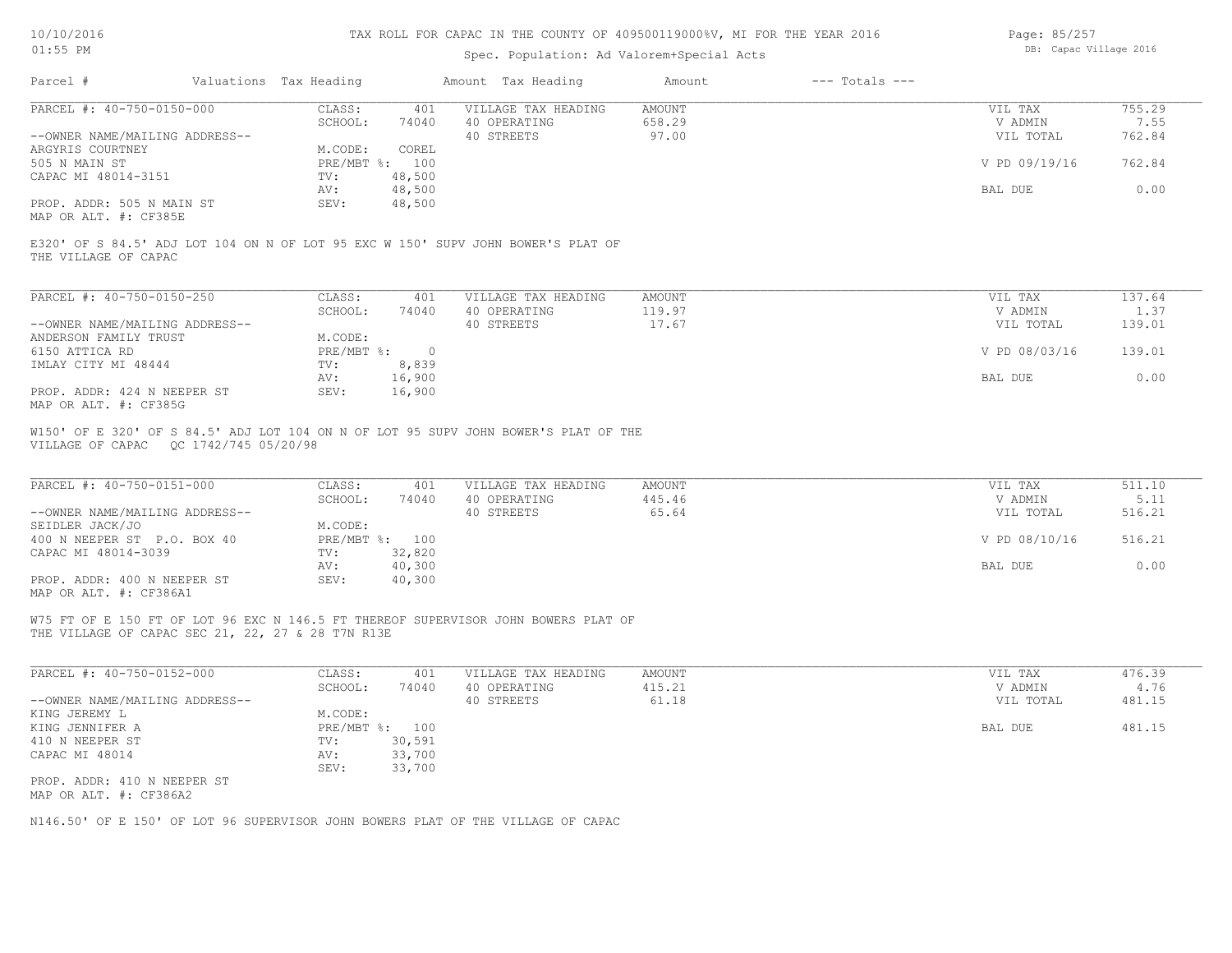| Page: 85/257 |                        |  |
|--------------|------------------------|--|
|              | DB: Capac Village 2016 |  |

| Parcel #<br>Valuations Tax Heading                                                                                                      |                                   | Amount Tax Heading                  | $---$ Totals $---$<br>Amount |                    |                |
|-----------------------------------------------------------------------------------------------------------------------------------------|-----------------------------------|-------------------------------------|------------------------------|--------------------|----------------|
| PARCEL #: 40-750-0150-000                                                                                                               | CLASS:<br>401                     | VILLAGE TAX HEADING                 | <b>AMOUNT</b>                | VIL TAX            | 755.29         |
|                                                                                                                                         | SCHOOL:<br>74040                  | 40 OPERATING                        | 658.29                       | V ADMIN            | 7.55           |
| --OWNER NAME/MAILING ADDRESS--<br>ARGYRIS COURTNEY                                                                                      | COREL<br>M.CODE:                  | 40 STREETS                          | 97.00                        | VIL TOTAL          | 762.84         |
| 505 N MAIN ST                                                                                                                           | PRE/MBT %: 100                    |                                     |                              | V PD 09/19/16      | 762.84         |
| CAPAC MI 48014-3151                                                                                                                     | 48,500<br>TV:                     |                                     |                              |                    |                |
|                                                                                                                                         | 48,500<br>AV:                     |                                     |                              | BAL DUE            | 0.00           |
| PROP. ADDR: 505 N MAIN ST<br>MAP OR ALT. #: CF385E                                                                                      | 48,500<br>SEV:                    |                                     |                              |                    |                |
| E320' OF S 84.5' ADJ LOT 104 ON N OF LOT 95 EXC W 150' SUPV JOHN BOWER'S PLAT OF<br>THE VILLAGE OF CAPAC                                |                                   |                                     |                              |                    |                |
| PARCEL #: 40-750-0150-250                                                                                                               | CLASS:<br>401                     | VILLAGE TAX HEADING                 | <b>AMOUNT</b>                | VIL TAX            | 137.64         |
|                                                                                                                                         | SCHOOL:<br>74040                  | 40 OPERATING                        | 119.97                       | V ADMIN            | 1.37           |
| --OWNER NAME/MAILING ADDRESS--                                                                                                          |                                   | 40 STREETS                          | 17.67                        | VIL TOTAL          | 139.01         |
| ANDERSON FAMILY TRUST                                                                                                                   | M.CODE:                           |                                     |                              |                    |                |
| 6150 ATTICA RD                                                                                                                          | $PRE/MBT$ $\div$ 0                |                                     |                              | V PD 08/03/16      | 139.01         |
| IMLAY CITY MI 48444                                                                                                                     | 8,839<br>TV:<br>AV:<br>16,900     |                                     |                              | BAL DUE            | 0.00           |
| PROP. ADDR: 424 N NEEPER ST<br>MAP OR ALT. #: CF385G                                                                                    | 16,900<br>SEV:                    |                                     |                              |                    |                |
| PARCEL #: 40-750-0151-000                                                                                                               | CLASS:<br>401<br>SCHOOL:<br>74040 | VILLAGE TAX HEADING<br>40 OPERATING | <b>AMOUNT</b><br>445.46      | VIL TAX<br>V ADMIN | 511.10<br>5.11 |
| --OWNER NAME/MAILING ADDRESS--<br>SEIDLER JACK/JO                                                                                       | M.CODE:                           | 40 STREETS                          | 65.64                        | VIL TOTAL          | 516.21         |
| 400 N NEEPER ST P.O. BOX 40                                                                                                             | PRE/MBT %: 100                    |                                     |                              | V PD 08/10/16      | 516.21         |
| CAPAC MI 48014-3039                                                                                                                     | 32,820<br>TV:                     |                                     |                              |                    |                |
| PROP. ADDR: 400 N NEEPER ST                                                                                                             | 40,300<br>AV:<br>SEV:<br>40,300   |                                     |                              | BAL DUE            | 0.00           |
| MAP OR ALT. #: CF386A1                                                                                                                  |                                   |                                     |                              |                    |                |
| W75 FT OF E 150 FT OF LOT 96 EXC N 146.5 FT THEREOF SUPERVISOR JOHN BOWERS PLAT OF<br>THE VILLAGE OF CAPAC SEC 21, 22, 27 & 28 T7N R13E |                                   |                                     |                              |                    |                |
|                                                                                                                                         | CLASS:<br>401                     | VILLAGE TAX HEADING                 | <b>AMOUNT</b>                | VIL TAX            | 476.39         |
|                                                                                                                                         |                                   |                                     |                              |                    |                |
| PARCEL #: 40-750-0152-000                                                                                                               | SCHOOL:<br>74040                  | 40 OPERATING                        |                              | V ADMIN            |                |
|                                                                                                                                         |                                   | 40 STREETS                          | 415.21<br>61.18              | VIL TOTAL          | 4.76<br>481.15 |
|                                                                                                                                         | M.CODE:                           |                                     |                              |                    |                |
| --OWNER NAME/MAILING ADDRESS--                                                                                                          | PRE/MBT %: 100                    |                                     |                              | BAL DUE            | 481.15         |
|                                                                                                                                         | 30,591<br>TV:                     |                                     |                              |                    |                |
| KING JEREMY L<br>KING JENNIFER A<br>410 N NEEPER ST<br>CAPAC MI 48014                                                                   | 33,700<br>AV:                     |                                     |                              |                    |                |
| PROP. ADDR: 410 N NEEPER ST<br>MAP OR ALT. #: CF386A2                                                                                   | 33,700<br>SEV:                    |                                     |                              |                    |                |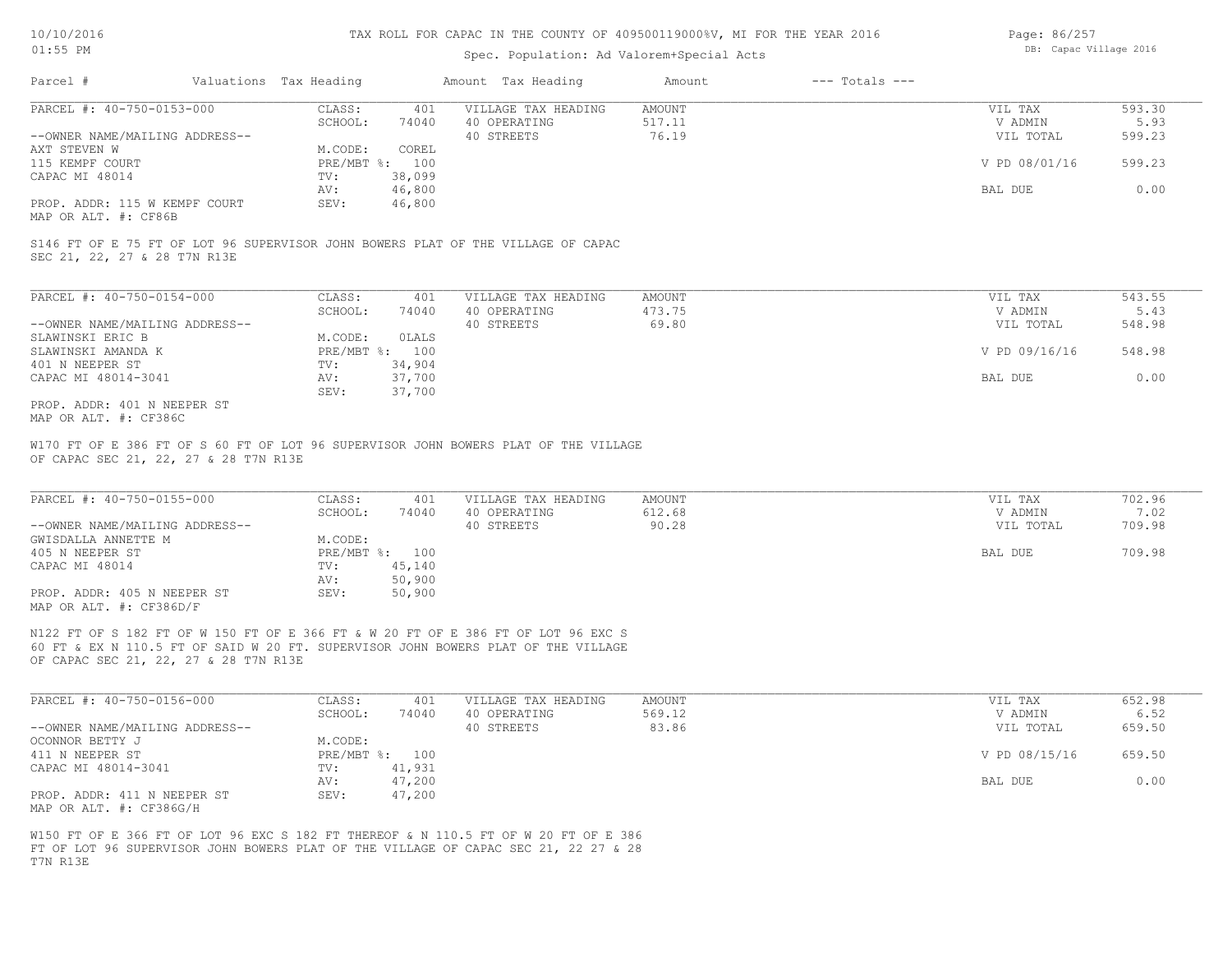## Spec. Population: Ad Valorem+Special Acts

| Page: 86/257 |                        |  |
|--------------|------------------------|--|
|              | DB: Capac Village 2016 |  |

| Parcel #                                     | Valuations Tax Heading |        | Amount Tax Heading  | Amount | $---$ Totals $---$ |               |        |
|----------------------------------------------|------------------------|--------|---------------------|--------|--------------------|---------------|--------|
| PARCEL #: 40-750-0153-000                    | CLASS:                 | 401    | VILLAGE TAX HEADING | AMOUNT |                    | VIL TAX       | 593.30 |
|                                              | SCHOOL:                | 74040  | 40 OPERATING        | 517.11 |                    | V ADMIN       | 5.93   |
| --OWNER NAME/MAILING ADDRESS--               |                        |        | 40 STREETS          | 76.19  |                    | VIL TOTAL     | 599.23 |
| AXT STEVEN W                                 | M.CODE:                | COREL  |                     |        |                    |               |        |
| 115 KEMPF COURT                              | PRE/MBT %: 100         |        |                     |        |                    | V PD 08/01/16 | 599.23 |
| CAPAC MI 48014                               | TV:                    | 38,099 |                     |        |                    |               |        |
|                                              | AV:                    | 46,800 |                     |        |                    | BAL DUE       | 0.00   |
| PROP. ADDR: 115 W KEMPF COURT                | SEV:                   | 46,800 |                     |        |                    |               |        |
| $\cdots$ $\cdots$ $\cdots$ $\cdots$ $\cdots$ |                        |        |                     |        |                    |               |        |

MAP OR ALT. #: CF86B

SEC 21, 22, 27 & 28 T7N R13E S146 FT OF E 75 FT OF LOT 96 SUPERVISOR JOHN BOWERS PLAT OF THE VILLAGE OF CAPAC

| PARCEL #: 40-750-0154-000      | CLASS:       | 401    | VILLAGE TAX HEADING | AMOUNT | VIL TAX       | 543.55 |
|--------------------------------|--------------|--------|---------------------|--------|---------------|--------|
|                                | SCHOOL:      | 74040  | 40 OPERATING        | 473.75 | V ADMIN       | 5.43   |
| --OWNER NAME/MAILING ADDRESS-- |              |        | 40 STREETS          | 69.80  | VIL TOTAL     | 548.98 |
| SLAWINSKI ERIC B               | M.CODE:      | OLALS  |                     |        |               |        |
| SLAWINSKI AMANDA K             | $PRE/MBT$ %: | 100    |                     |        | V PD 09/16/16 | 548.98 |
| 401 N NEEPER ST                | TV:          | 34,904 |                     |        |               |        |
| CAPAC MI 48014-3041            | AV:          | 37,700 |                     |        | BAL DUE       | 0.00   |
|                                | SEV:         | 37,700 |                     |        |               |        |
| PROP. ADDR: 401 N NEEPER ST    |              |        |                     |        |               |        |

MAP OR ALT. #: CF386C

OF CAPAC SEC 21, 22, 27 & 28 T7N R13E W170 FT OF E 386 FT OF S 60 FT OF LOT 96 SUPERVISOR JOHN BOWERS PLAT OF THE VILLAGE

| PARCEL #: 40-750-0155-000      | CLASS:         | 401    | VILLAGE TAX HEADING | AMOUNT | VIL TAX   | 702.96 |
|--------------------------------|----------------|--------|---------------------|--------|-----------|--------|
|                                | SCHOOL:        | 74040  | 40 OPERATING        | 612.68 | V ADMIN   | 7.02   |
| --OWNER NAME/MAILING ADDRESS-- |                |        | 40 STREETS          | 90.28  | VIL TOTAL | 709.98 |
| GWISDALLA ANNETTE M            | M.CODE:        |        |                     |        |           |        |
| 405 N NEEPER ST                | PRE/MBT %: 100 |        |                     |        | BAL DUE   | 709.98 |
| CAPAC MI 48014                 | TV:            | 45,140 |                     |        |           |        |
|                                | AV:            | 50,900 |                     |        |           |        |
| PROP. ADDR: 405 N NEEPER ST    | SEV:           | 50,900 |                     |        |           |        |
| MAP OR ALT. $\#$ : CF386D/F    |                |        |                     |        |           |        |

 $\mathcal{L}_\mathcal{L} = \mathcal{L}_\mathcal{L} = \mathcal{L}_\mathcal{L} = \mathcal{L}_\mathcal{L} = \mathcal{L}_\mathcal{L} = \mathcal{L}_\mathcal{L} = \mathcal{L}_\mathcal{L} = \mathcal{L}_\mathcal{L} = \mathcal{L}_\mathcal{L} = \mathcal{L}_\mathcal{L} = \mathcal{L}_\mathcal{L} = \mathcal{L}_\mathcal{L} = \mathcal{L}_\mathcal{L} = \mathcal{L}_\mathcal{L} = \mathcal{L}_\mathcal{L} = \mathcal{L}_\mathcal{L} = \mathcal{L}_\mathcal{L}$ 

OF CAPAC SEC 21, 22, 27 & 28 T7N R13E 60 FT & EX N 110.5 FT OF SAID W 20 FT. SUPERVISOR JOHN BOWERS PLAT OF THE VILLAGE N122 FT OF S 182 FT OF W 150 FT OF E 366 FT & W 20 FT OF E 386 FT OF LOT 96 EXC S

| PARCEL #: 40-750-0156-000      | CLASS:  | 401            | VILLAGE TAX HEADING | AMOUNT | VIL TAX       | 652.98 |
|--------------------------------|---------|----------------|---------------------|--------|---------------|--------|
|                                | SCHOOL: | 74040          | 40 OPERATING        | 569.12 | V ADMIN       | 6.52   |
| --OWNER NAME/MAILING ADDRESS-- |         |                | 40 STREETS          | 83.86  | VIL TOTAL     | 659.50 |
| OCONNOR BETTY J                | M.CODE: |                |                     |        |               |        |
| 411 N NEEPER ST                |         | PRE/MBT %: 100 |                     |        | V PD 08/15/16 | 659.50 |
| CAPAC MI 48014-3041            | TV:     | 41,931         |                     |        |               |        |
|                                | AV:     | 47,200         |                     |        | BAL DUE       | 0.00   |
| PROP. ADDR: 411 N NEEPER ST    | SEV:    | 47,200         |                     |        |               |        |
| MAP OR ALT. #: CF386G/H        |         |                |                     |        |               |        |

T7N R13E FT OF LOT 96 SUPERVISOR JOHN BOWERS PLAT OF THE VILLAGE OF CAPAC SEC 21, 22 27 & 28 W150 FT OF E 366 FT OF LOT 96 EXC S 182 FT THEREOF & N 110.5 FT OF W 20 FT OF E 386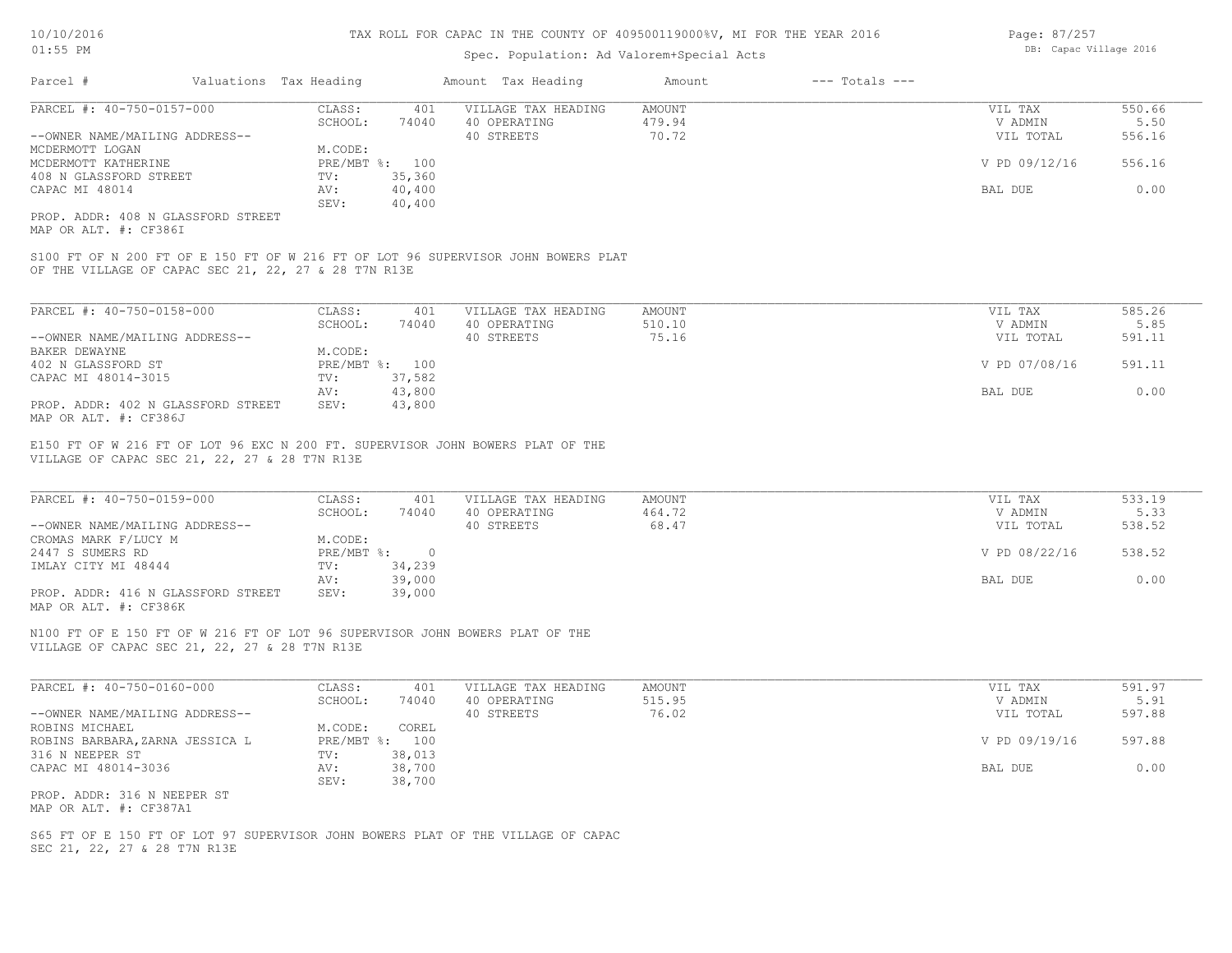### Spec. Population: Ad Valorem+Special Acts

| Parcel #                       | Valuations Tax Heading |                | Amount Tax Heading  | Amount | $---$ Totals $---$ |               |        |
|--------------------------------|------------------------|----------------|---------------------|--------|--------------------|---------------|--------|
| PARCEL #: 40-750-0157-000      | CLASS:                 | 401            | VILLAGE TAX HEADING | AMOUNT |                    | VIL TAX       | 550.66 |
|                                | SCHOOL:                | 74040          | 40 OPERATING        | 479.94 |                    | V ADMIN       | 5.50   |
| --OWNER NAME/MAILING ADDRESS-- |                        |                | 40 STREETS          | 70.72  |                    | VIL TOTAL     | 556.16 |
| MCDERMOTT LOGAN                | M.CODE:                |                |                     |        |                    |               |        |
| MCDERMOTT KATHERINE            |                        | PRE/MBT %: 100 |                     |        |                    | V PD 09/12/16 | 556.16 |
| 408 N GLASSFORD STREET         | TV:                    | 35,360         |                     |        |                    |               |        |
| CAPAC MI 48014                 | AV:                    | 40,400         |                     |        |                    | BAL DUE       | 0.00   |
|                                | SEV:                   | 40,400         |                     |        |                    |               |        |
|                                |                        |                |                     |        |                    |               |        |

MAP OR ALT. #: CF386I PROP. ADDR: 408 N GLASSFORD STREET

OF THE VILLAGE OF CAPAC SEC 21, 22, 27 & 28 T7N R13E S100 FT OF N 200 FT OF E 150 FT OF W 216 FT OF LOT 96 SUPERVISOR JOHN BOWERS PLAT

| PARCEL #: 40-750-0158-000          | CLASS:  | 401            | VILLAGE TAX HEADING | AMOUNT | VIL TAX       | 585.26 |
|------------------------------------|---------|----------------|---------------------|--------|---------------|--------|
|                                    | SCHOOL: | 74040          | 40 OPERATING        | 510.10 | V ADMIN       | 5.85   |
| --OWNER NAME/MAILING ADDRESS--     |         |                | 40 STREETS          | 75.16  | VIL TOTAL     | 591.11 |
| BAKER DEWAYNE                      | M.CODE: |                |                     |        |               |        |
| 402 N GLASSFORD ST                 |         | PRE/MBT %: 100 |                     |        | V PD 07/08/16 | 591.11 |
| CAPAC MI 48014-3015                | TV:     | 37,582         |                     |        |               |        |
|                                    | AV:     | 43,800         |                     |        | BAL DUE       | 0.00   |
| PROP. ADDR: 402 N GLASSFORD STREET | SEV:    | 43,800         |                     |        |               |        |
| MAP OR ALT. #: CF386J              |         |                |                     |        |               |        |

VILLAGE OF CAPAC SEC 21, 22, 27 & 28 T7N R13E E150 FT OF W 216 FT OF LOT 96 EXC N 200 FT. SUPERVISOR JOHN BOWERS PLAT OF THE

| PARCEL #: 40-750-0159-000          | CLASS:       | 401    | VILLAGE TAX HEADING | AMOUNT | VIL TAX       | 533.19 |
|------------------------------------|--------------|--------|---------------------|--------|---------------|--------|
|                                    | SCHOOL:      | 74040  | 40 OPERATING        | 464.72 | V ADMIN       | 5.33   |
| --OWNER NAME/MAILING ADDRESS--     |              |        | 40 STREETS          | 68.47  | VIL TOTAL     | 538.52 |
| CROMAS MARK F/LUCY M               | M.CODE:      |        |                     |        |               |        |
| 2447 S SUMERS RD                   | $PRE/MBT$ %: |        |                     |        | V PD 08/22/16 | 538.52 |
| IMLAY CITY MI 48444                | TV:          | 34,239 |                     |        |               |        |
|                                    | AV:          | 39,000 |                     |        | BAL DUE       | 0.00   |
| PROP. ADDR: 416 N GLASSFORD STREET | SEV:         | 39,000 |                     |        |               |        |
| MAP OR ALT. #: CF386K              |              |        |                     |        |               |        |

 $\mathcal{L}_\mathcal{L} = \mathcal{L}_\mathcal{L} = \mathcal{L}_\mathcal{L} = \mathcal{L}_\mathcal{L} = \mathcal{L}_\mathcal{L} = \mathcal{L}_\mathcal{L} = \mathcal{L}_\mathcal{L} = \mathcal{L}_\mathcal{L} = \mathcal{L}_\mathcal{L} = \mathcal{L}_\mathcal{L} = \mathcal{L}_\mathcal{L} = \mathcal{L}_\mathcal{L} = \mathcal{L}_\mathcal{L} = \mathcal{L}_\mathcal{L} = \mathcal{L}_\mathcal{L} = \mathcal{L}_\mathcal{L} = \mathcal{L}_\mathcal{L}$ 

VILLAGE OF CAPAC SEC 21, 22, 27 & 28 T7N R13E N100 FT OF E 150 FT OF W 216 FT OF LOT 96 SUPERVISOR JOHN BOWERS PLAT OF THE

| PARCEL #: 40-750-0160-000       | CLASS:     | 401    | VILLAGE TAX HEADING | AMOUNT | VIL TAX       | 591.97 |
|---------------------------------|------------|--------|---------------------|--------|---------------|--------|
|                                 | SCHOOL:    | 74040  | 40 OPERATING        | 515.95 | V ADMIN       | 5.91   |
| --OWNER NAME/MAILING ADDRESS--  |            |        | 40 STREETS          | 76.02  | VIL TOTAL     | 597.88 |
| ROBINS MICHAEL                  | M.CODE:    | COREL  |                     |        |               |        |
| ROBINS BARBARA, ZARNA JESSICA L | PRE/MBT %: | 100    |                     |        | V PD 09/19/16 | 597.88 |
| 316 N NEEPER ST                 | TV:        | 38,013 |                     |        |               |        |
| CAPAC MI 48014-3036             | AV:        | 38,700 |                     |        | BAL DUE       | 0.00   |
|                                 | SEV:       | 38,700 |                     |        |               |        |
| PROP. ADDR: 316 N NEEPER ST     |            |        |                     |        |               |        |

MAP OR ALT. #: CF387A1

SEC 21, 22, 27 & 28 T7N R13E S65 FT OF E 150 FT OF LOT 97 SUPERVISOR JOHN BOWERS PLAT OF THE VILLAGE OF CAPAC Page: 87/257 DB: Capac Village 2016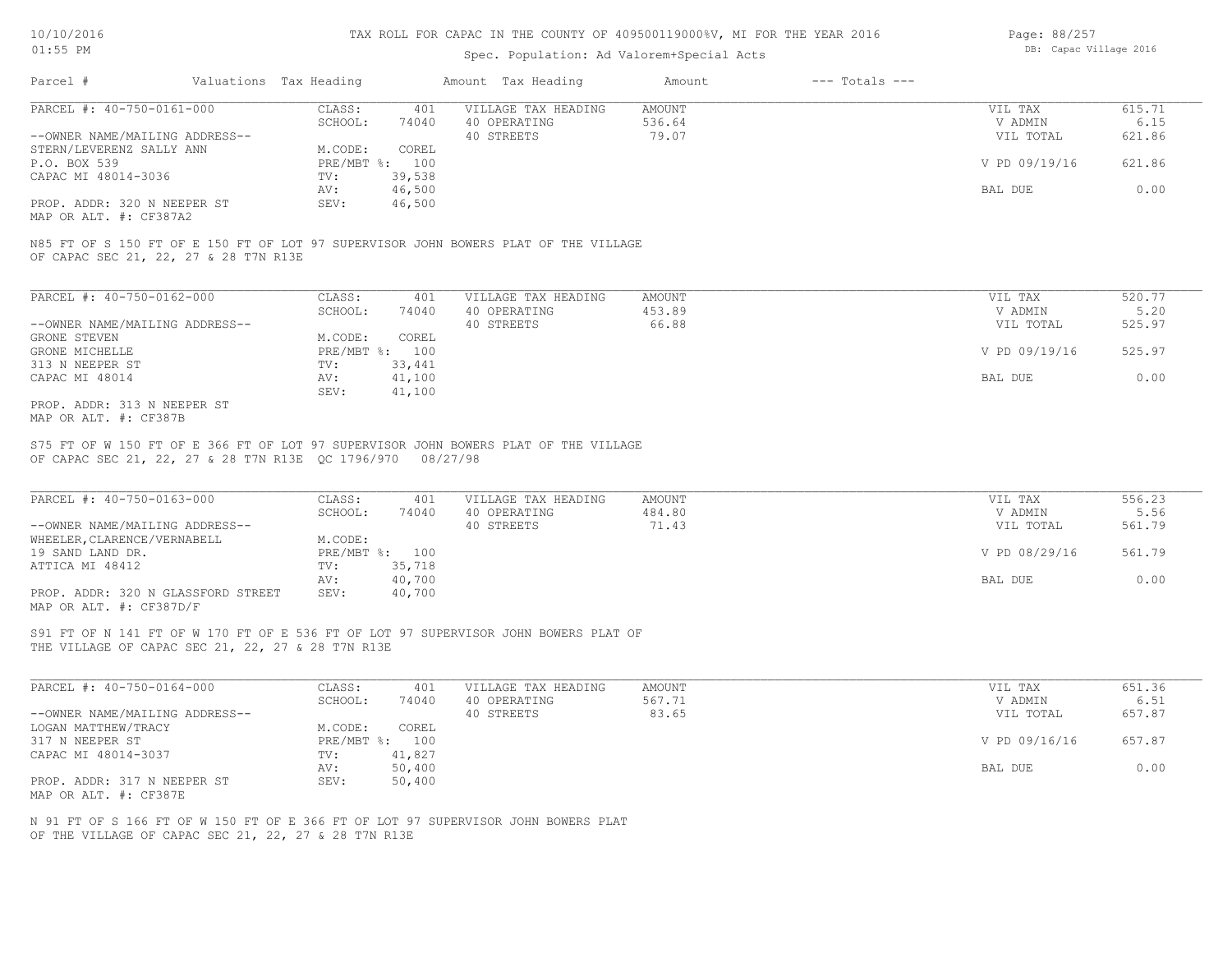### Spec. Population: Ad Valorem+Special Acts

| Page: 88/257 |                        |  |
|--------------|------------------------|--|
|              | DB: Capac Village 2016 |  |

| Parcel #                       | Valuations Tax Heading |        | Amount Tax Heading  | Amount | $---$ Totals $---$ |               |        |
|--------------------------------|------------------------|--------|---------------------|--------|--------------------|---------------|--------|
| PARCEL #: 40-750-0161-000      | CLASS:                 | 401    | VILLAGE TAX HEADING | AMOUNT |                    | VIL TAX       | 615.71 |
|                                | SCHOOL:                | 74040  | 40 OPERATING        | 536.64 |                    | V ADMIN       | 6.15   |
| --OWNER NAME/MAILING ADDRESS-- |                        |        | 40 STREETS          | 79.07  |                    | VIL TOTAL     | 621.86 |
| STERN/LEVERENZ SALLY ANN       | M.CODE:                | COREL  |                     |        |                    |               |        |
| P.O. BOX 539                   | PRE/MBT %: 100         |        |                     |        |                    | V PD 09/19/16 | 621.86 |
| CAPAC MI 48014-3036            | TV:                    | 39,538 |                     |        |                    |               |        |
|                                | AV:                    | 46,500 |                     |        |                    | BAL DUE       | 0.00   |
| PROP. ADDR: 320 N NEEPER ST    | SEV:                   | 46,500 |                     |        |                    |               |        |
|                                |                        |        |                     |        |                    |               |        |

MAP OR ALT. #: CF387A2

OF CAPAC SEC 21, 22, 27 & 28 T7N R13E N85 FT OF S 150 FT OF E 150 FT OF LOT 97 SUPERVISOR JOHN BOWERS PLAT OF THE VILLAGE

| PARCEL #: 40-750-0162-000      | CLASS:     | 401    | VILLAGE TAX HEADING | AMOUNT | VIL TAX       | 520.77 |
|--------------------------------|------------|--------|---------------------|--------|---------------|--------|
|                                | SCHOOL:    | 74040  | 40 OPERATING        | 453.89 | V ADMIN       | 5.20   |
| --OWNER NAME/MAILING ADDRESS-- |            |        | 40 STREETS          | 66.88  | VIL TOTAL     | 525.97 |
| GRONE STEVEN                   | M.CODE:    | COREL  |                     |        |               |        |
| GRONE MICHELLE                 | PRE/MBT %: | 100    |                     |        | V PD 09/19/16 | 525.97 |
| 313 N NEEPER ST                | TV:        | 33,441 |                     |        |               |        |
| CAPAC MI 48014                 | AV:        | 41,100 |                     |        | BAL DUE       | 0.00   |
|                                | SEV:       | 41,100 |                     |        |               |        |
| PROP. ADDR: 313 N NEEPER ST    |            |        |                     |        |               |        |

MAP OR ALT. #: CF387B

OF CAPAC SEC 21, 22, 27 & 28 T7N R13E QC 1796/970 08/27/98 S75 FT OF W 150 FT OF E 366 FT OF LOT 97 SUPERVISOR JOHN BOWERS PLAT OF THE VILLAGE

| PARCEL #: 40-750-0163-000          | CLASS:       | 401    | VILLAGE TAX HEADING | AMOUNT | VIL TAX       | 556.23 |
|------------------------------------|--------------|--------|---------------------|--------|---------------|--------|
|                                    | SCHOOL:      | 74040  | 40 OPERATING        | 484.80 | V ADMIN       | 5.56   |
| --OWNER NAME/MAILING ADDRESS--     |              |        | 40 STREETS          | 71.43  | VIL TOTAL     | 561.79 |
| WHEELER, CLARENCE/VERNABELL        | M.CODE:      |        |                     |        |               |        |
| 19 SAND LAND DR.                   | $PRE/MBT$ %: | 100    |                     |        | V PD 08/29/16 | 561.79 |
| ATTICA MI 48412                    | TV:          | 35,718 |                     |        |               |        |
|                                    | AV:          | 40,700 |                     |        | BAL DUE       | 0.00   |
| PROP. ADDR: 320 N GLASSFORD STREET | SEV:         | 40,700 |                     |        |               |        |
| MAP OR ALT. #: CF387D/F            |              |        |                     |        |               |        |

 $\mathcal{L}_\mathcal{L} = \mathcal{L}_\mathcal{L} = \mathcal{L}_\mathcal{L} = \mathcal{L}_\mathcal{L} = \mathcal{L}_\mathcal{L} = \mathcal{L}_\mathcal{L} = \mathcal{L}_\mathcal{L} = \mathcal{L}_\mathcal{L} = \mathcal{L}_\mathcal{L} = \mathcal{L}_\mathcal{L} = \mathcal{L}_\mathcal{L} = \mathcal{L}_\mathcal{L} = \mathcal{L}_\mathcal{L} = \mathcal{L}_\mathcal{L} = \mathcal{L}_\mathcal{L} = \mathcal{L}_\mathcal{L} = \mathcal{L}_\mathcal{L}$ 

THE VILLAGE OF CAPAC SEC 21, 22, 27 & 28 T7N R13E S91 FT OF N 141 FT OF W 170 FT OF E 536 FT OF LOT 97 SUPERVISOR JOHN BOWERS PLAT OF

| PARCEL #: 40-750-0164-000      | CLASS:  | 401            | VILLAGE TAX HEADING | AMOUNT | VIL TAX       | 651.36 |
|--------------------------------|---------|----------------|---------------------|--------|---------------|--------|
|                                | SCHOOL: | 74040          | 40 OPERATING        | 567.71 | V ADMIN       | 6.51   |
| --OWNER NAME/MAILING ADDRESS-- |         |                | 40 STREETS          | 83.65  | VIL TOTAL     | 657.87 |
| LOGAN MATTHEW/TRACY            | M.CODE: | COREL          |                     |        |               |        |
| 317 N NEEPER ST                |         | PRE/MBT %: 100 |                     |        | V PD 09/16/16 | 657.87 |
| CAPAC MI 48014-3037            | TV:     | 41,827         |                     |        |               |        |
|                                | AV:     | 50,400         |                     |        | BAL DUE       | 0.00   |
| PROP. ADDR: 317 N NEEPER ST    | SEV:    | 50,400         |                     |        |               |        |
| MAP OR ALT. #: CF387E          |         |                |                     |        |               |        |

OF THE VILLAGE OF CAPAC SEC 21, 22, 27 & 28 T7N R13E N 91 FT OF S 166 FT OF W 150 FT OF E 366 FT OF LOT 97 SUPERVISOR JOHN BOWERS PLAT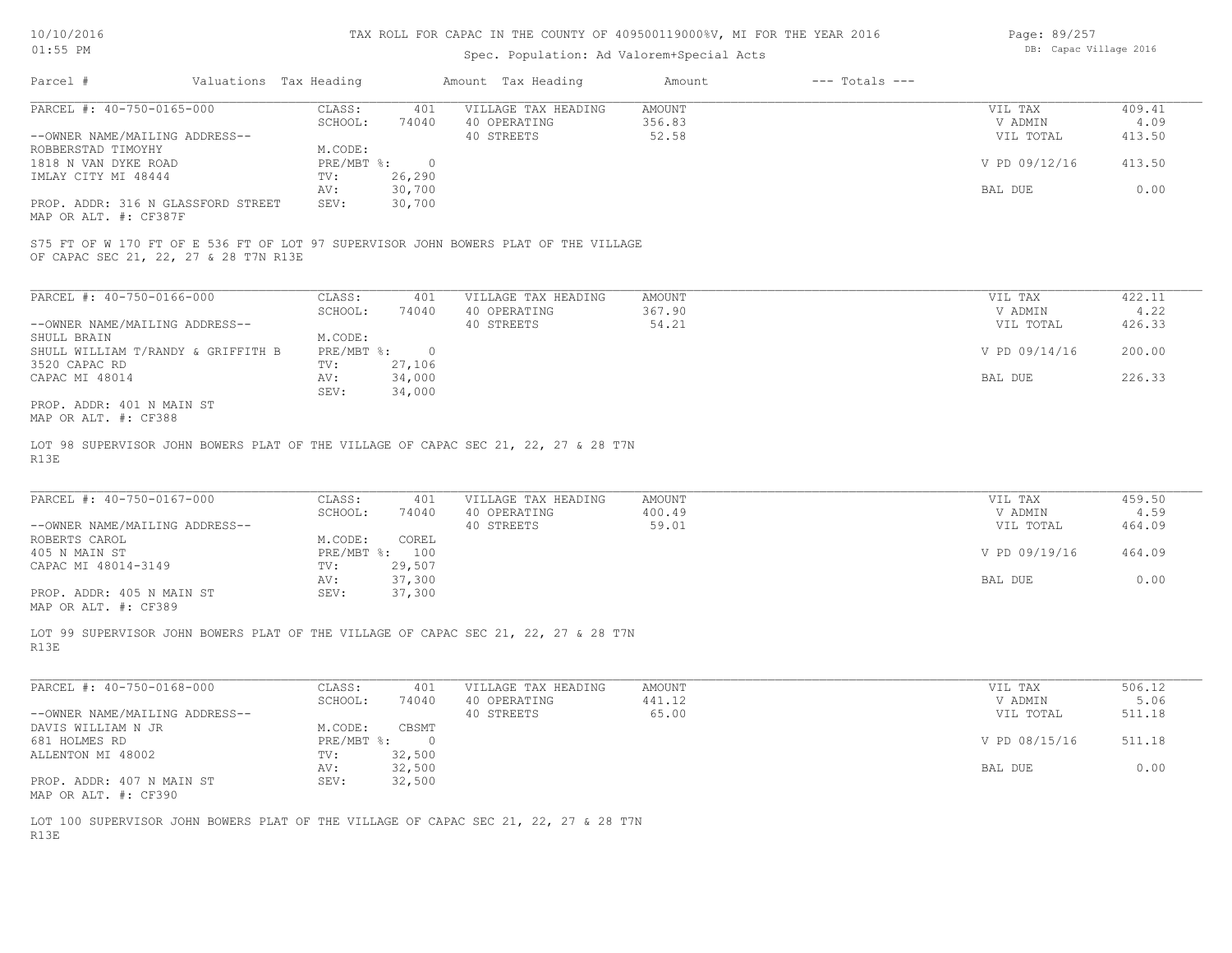### Spec. Population: Ad Valorem+Special Acts

| Page: 89/257 |                        |  |
|--------------|------------------------|--|
|              | DB: Capac Village 2016 |  |

| Parcel #                           | Valuations Tax Heading |        | Amount Tax Heading  | Amount | $---$ Totals $---$ |               |        |
|------------------------------------|------------------------|--------|---------------------|--------|--------------------|---------------|--------|
| PARCEL #: 40-750-0165-000          | CLASS:                 | 401    | VILLAGE TAX HEADING | AMOUNT |                    | VIL TAX       | 409.41 |
|                                    | SCHOOL:                | 74040  | 40 OPERATING        | 356.83 |                    | V ADMIN       | 4.09   |
| --OWNER NAME/MAILING ADDRESS--     |                        |        | 40 STREETS          | 52.58  |                    | VIL TOTAL     | 413.50 |
| ROBBERSTAD TIMOYHY                 | M.CODE:                |        |                     |        |                    |               |        |
| 1818 N VAN DYKE ROAD               | PRE/MBT %:             |        |                     |        |                    | V PD 09/12/16 | 413.50 |
| IMLAY CITY MI 48444                | TV:                    | 26,290 |                     |        |                    |               |        |
|                                    | AV:                    | 30,700 |                     |        |                    | BAL DUE       | 0.00   |
| PROP. ADDR: 316 N GLASSFORD STREET | SEV:                   | 30,700 |                     |        |                    |               |        |
| $MAD$ $CD$ $ATM$ $H$ , $CDQCD$     |                        |        |                     |        |                    |               |        |

MAP OR ALT. #: CF387F

OF CAPAC SEC 21, 22, 27 & 28 T7N R13E S75 FT OF W 170 FT OF E 536 FT OF LOT 97 SUPERVISOR JOHN BOWERS PLAT OF THE VILLAGE

| PARCEL #: 40-750-0166-000          | CLASS:     | 401    | VILLAGE TAX HEADING | AMOUNT | VIL TAX       | 422.11 |
|------------------------------------|------------|--------|---------------------|--------|---------------|--------|
|                                    | SCHOOL:    | 74040  | 40 OPERATING        | 367.90 | V ADMIN       | 4.22   |
| --OWNER NAME/MAILING ADDRESS--     |            |        | 40 STREETS          | 54.21  | VIL TOTAL     | 426.33 |
| SHULL BRAIN                        | M.CODE:    |        |                     |        |               |        |
| SHULL WILLIAM T/RANDY & GRIFFITH B | PRE/MBT %: | $\cap$ |                     |        | V PD 09/14/16 | 200.00 |
| 3520 CAPAC RD                      | TV:        | 27,106 |                     |        |               |        |
| CAPAC MI 48014                     | AV:        | 34,000 |                     |        | BAL DUE       | 226.33 |
|                                    | SEV:       | 34,000 |                     |        |               |        |
| PROP. ADDR: 401 N MAIN ST          |            |        |                     |        |               |        |

MAP OR ALT. #: CF388

R13E LOT 98 SUPERVISOR JOHN BOWERS PLAT OF THE VILLAGE OF CAPAC SEC 21, 22, 27 & 28 T7N

| PARCEL #: 40-750-0167-000      | CLASS:       | 401    | VILLAGE TAX HEADING | AMOUNT | VIL TAX       | 459.50 |
|--------------------------------|--------------|--------|---------------------|--------|---------------|--------|
|                                | SCHOOL:      | 74040  | 40 OPERATING        | 400.49 | V ADMIN       | 4.59   |
| --OWNER NAME/MAILING ADDRESS-- |              |        | 40 STREETS          | 59.01  | VIL TOTAL     | 464.09 |
| ROBERTS CAROL                  | M.CODE:      | COREL  |                     |        |               |        |
| 405 N MAIN ST                  | $PRE/MBT$ %: | 100    |                     |        | V PD 09/19/16 | 464.09 |
| CAPAC MI 48014-3149            | TV:          | 29,507 |                     |        |               |        |
|                                | AV:          | 37,300 |                     |        | BAL DUE       | 0.00   |
| PROP. ADDR: 405 N MAIN ST      | SEV:         | 37,300 |                     |        |               |        |

 $\mathcal{L}_\mathcal{L} = \mathcal{L}_\mathcal{L} = \mathcal{L}_\mathcal{L} = \mathcal{L}_\mathcal{L} = \mathcal{L}_\mathcal{L} = \mathcal{L}_\mathcal{L} = \mathcal{L}_\mathcal{L} = \mathcal{L}_\mathcal{L} = \mathcal{L}_\mathcal{L} = \mathcal{L}_\mathcal{L} = \mathcal{L}_\mathcal{L} = \mathcal{L}_\mathcal{L} = \mathcal{L}_\mathcal{L} = \mathcal{L}_\mathcal{L} = \mathcal{L}_\mathcal{L} = \mathcal{L}_\mathcal{L} = \mathcal{L}_\mathcal{L}$ 

MAP OR ALT. #: CF389

R13E LOT 99 SUPERVISOR JOHN BOWERS PLAT OF THE VILLAGE OF CAPAC SEC 21, 22, 27 & 28 T7N

| PARCEL #: 40-750-0168-000      | CLASS:     | 401    | VILLAGE TAX HEADING | AMOUNT | VIL TAX       | 506.12 |
|--------------------------------|------------|--------|---------------------|--------|---------------|--------|
|                                | SCHOOL:    | 74040  | 40 OPERATING        | 441.12 | V ADMIN       | 5.06   |
| --OWNER NAME/MAILING ADDRESS-- |            |        | 40 STREETS          | 65.00  | VIL TOTAL     | 511.18 |
| DAVIS WILLIAM N JR             | M.CODE:    | CBSMT  |                     |        |               |        |
| 681 HOLMES RD                  | PRE/MBT %: |        |                     |        | V PD 08/15/16 | 511.18 |
| ALLENTON MI 48002              | TV:        | 32,500 |                     |        |               |        |
|                                | AV:        | 32,500 |                     |        | BAL DUE       | 0.00   |
| PROP. ADDR: 407 N MAIN ST      | SEV:       | 32,500 |                     |        |               |        |
| MAP OR ALT. #: CF390           |            |        |                     |        |               |        |

R13E LOT 100 SUPERVISOR JOHN BOWERS PLAT OF THE VILLAGE OF CAPAC SEC 21, 22, 27 & 28 T7N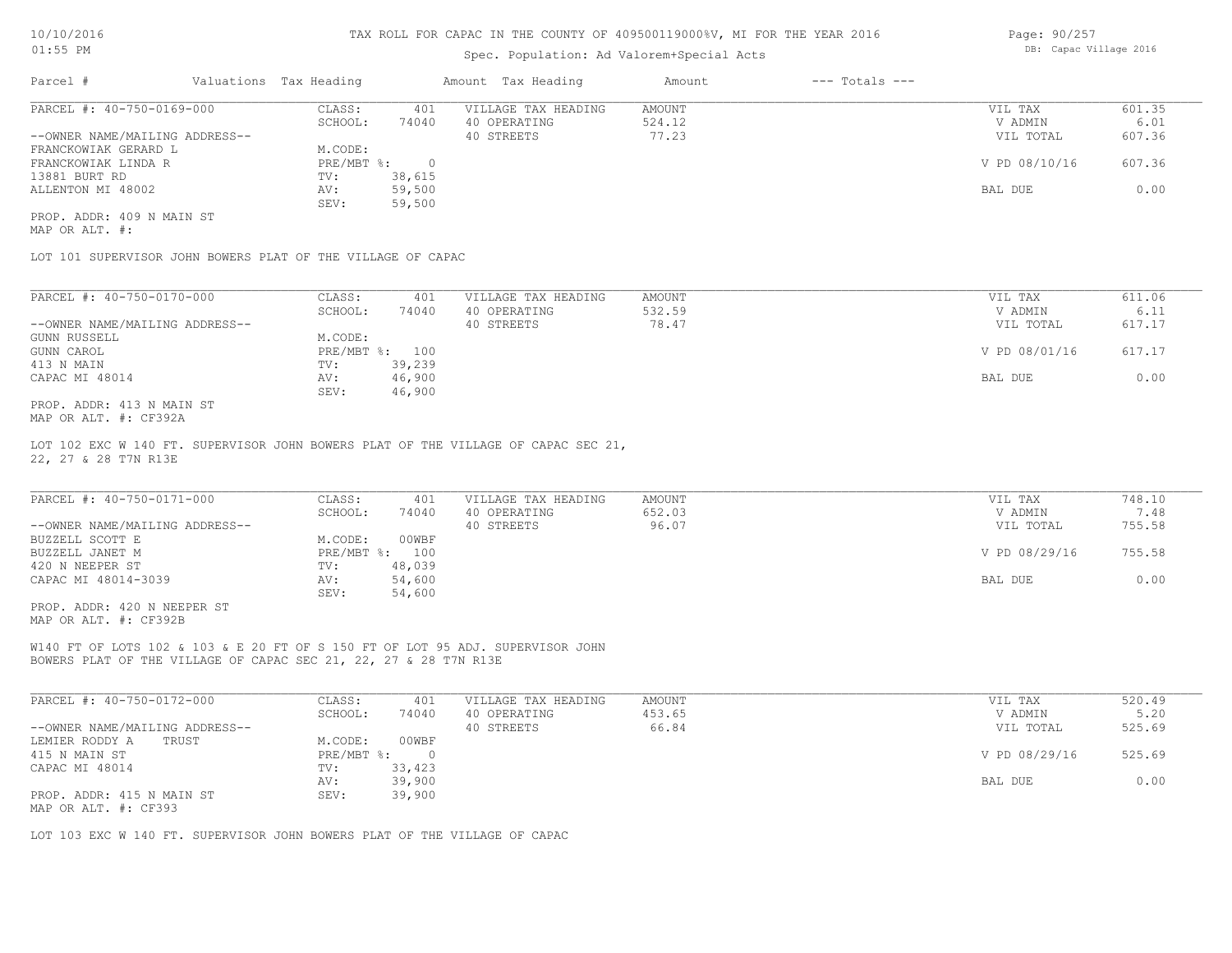### Spec. Population: Ad Valorem+Special Acts

| Page: 90/257 |                        |  |
|--------------|------------------------|--|
|              | DB: Capac Village 2016 |  |

| Parcel #                       | Valuations Tax Heading |        | Amount Tax Heading  | Amount | $---$ Totals $---$ |               |        |
|--------------------------------|------------------------|--------|---------------------|--------|--------------------|---------------|--------|
| PARCEL #: 40-750-0169-000      | CLASS:                 | 401    | VILLAGE TAX HEADING | AMOUNT |                    | VIL TAX       | 601.35 |
|                                | SCHOOL:                | 74040  | 40 OPERATING        | 524.12 |                    | V ADMIN       | 6.01   |
| --OWNER NAME/MAILING ADDRESS-- |                        |        | 40 STREETS          | 77.23  |                    | VIL TOTAL     | 607.36 |
| FRANCKOWIAK GERARD L           | M.CODE:                |        |                     |        |                    |               |        |
| FRANCKOWIAK LINDA R            | PRE/MBT %:             |        |                     |        |                    | V PD 08/10/16 | 607.36 |
| 13881 BURT RD                  | TV:                    | 38,615 |                     |        |                    |               |        |
| ALLENTON MI 48002              | AV:                    | 59,500 |                     |        |                    | BAL DUE       | 0.00   |
|                                | SEV:                   | 59,500 |                     |        |                    |               |        |
| PROP. ADDR: 409 N MAIN ST      |                        |        |                     |        |                    |               |        |

MAP OR ALT. #:

LOT 101 SUPERVISOR JOHN BOWERS PLAT OF THE VILLAGE OF CAPAC

| PARCEL #: 40-750-0170-000      | CLASS:       | 401    | VILLAGE TAX HEADING | AMOUNT | 611.06<br>VIL TAX       |  |
|--------------------------------|--------------|--------|---------------------|--------|-------------------------|--|
|                                | SCHOOL:      | 74040  | 40 OPERATING        | 532.59 | 6.11<br>V ADMIN         |  |
| --OWNER NAME/MAILING ADDRESS-- |              |        | 40 STREETS          | 78.47  | 617.17<br>VIL TOTAL     |  |
| GUNN RUSSELL                   | M.CODE:      |        |                     |        |                         |  |
| GUNN CAROL                     | $PRE/MBT$ %: | 100    |                     |        | V PD 08/01/16<br>617.17 |  |
| 413 N MAIN                     | TV:          | 39,239 |                     |        |                         |  |
| CAPAC MI 48014                 | AV:          | 46,900 |                     |        | 0.00<br>BAL DUE         |  |
|                                | SEV:         | 46,900 |                     |        |                         |  |
| PROP. ADDR: 413 N MAIN ST      |              |        |                     |        |                         |  |

MAP OR ALT. #: CF392A

22, 27 & 28 T7N R13E LOT 102 EXC W 140 FT. SUPERVISOR JOHN BOWERS PLAT OF THE VILLAGE OF CAPAC SEC 21,

| PARCEL #: 40-750-0171-000      | CLASS:       | 401    | VILLAGE TAX HEADING | AMOUNT | VIL TAX       | 748.10 |
|--------------------------------|--------------|--------|---------------------|--------|---------------|--------|
|                                | SCHOOL:      | 74040  | 40 OPERATING        | 652.03 | V ADMIN       | 7.48   |
| --OWNER NAME/MAILING ADDRESS-- |              |        | 40 STREETS          | 96.07  | VIL TOTAL     | 755.58 |
| BUZZELL SCOTT E                | M.CODE:      | 00WBF  |                     |        |               |        |
| BUZZELL JANET M                | $PRE/MBT$ %: | 100    |                     |        | V PD 08/29/16 | 755.58 |
| 420 N NEEPER ST                | TV:          | 48,039 |                     |        |               |        |
| CAPAC MI 48014-3039            | AV:          | 54,600 |                     |        | BAL DUE       | 0.00   |
|                                | SEV:         | 54,600 |                     |        |               |        |
| PROP. ADDR: 420 N NEEPER ST    |              |        |                     |        |               |        |

MAP OR ALT. #: CF392B

BOWERS PLAT OF THE VILLAGE OF CAPAC SEC 21, 22, 27 & 28 T7N R13E W140 FT OF LOTS 102 & 103 & E 20 FT OF S 150 FT OF LOT 95 ADJ. SUPERVISOR JOHN

| PARCEL #: 40-750-0172-000      | CLASS:     | 401    | VILLAGE TAX HEADING | AMOUNT | VIL TAX       | 520.49 |
|--------------------------------|------------|--------|---------------------|--------|---------------|--------|
|                                | SCHOOL:    | 74040  | 40 OPERATING        | 453.65 | V ADMIN       | 5.20   |
| --OWNER NAME/MAILING ADDRESS-- |            |        | 40 STREETS          | 66.84  | VIL TOTAL     | 525.69 |
| LEMIER RODDY A<br>TRUST        | M.CODE:    | 00WBF  |                     |        |               |        |
| 415 N MAIN ST                  | PRE/MBT %: |        |                     |        | V PD 08/29/16 | 525.69 |
| CAPAC MI 48014                 | TV:        | 33,423 |                     |        |               |        |
|                                | AV:        | 39,900 |                     |        | BAL DUE       | 0.00   |
| PROP. ADDR: 415 N MAIN ST      | SEV:       | 39,900 |                     |        |               |        |
| MAP OR ALT. #: CF393           |            |        |                     |        |               |        |

LOT 103 EXC W 140 FT. SUPERVISOR JOHN BOWERS PLAT OF THE VILLAGE OF CAPAC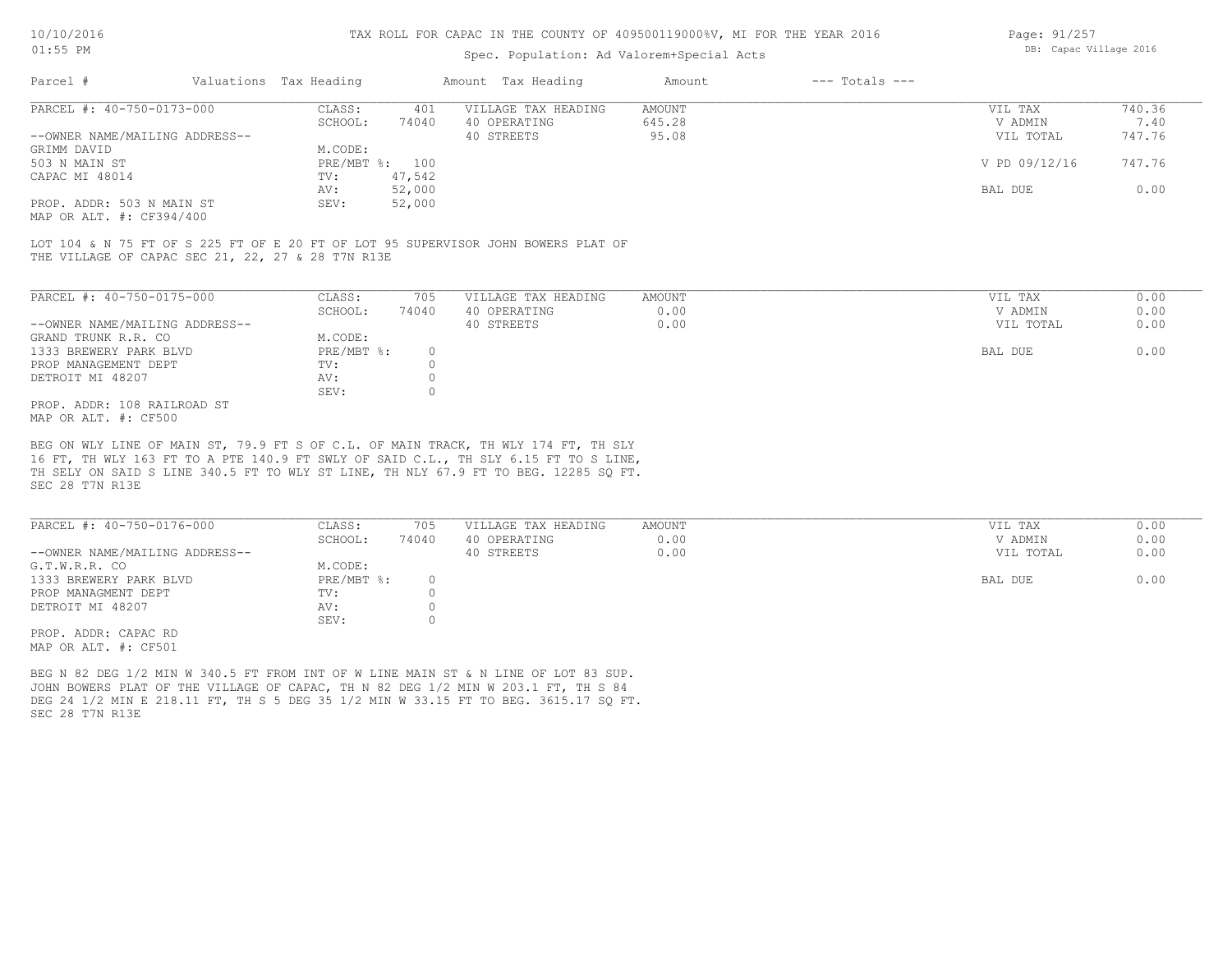### Spec. Population: Ad Valorem+Special Acts

| Page: 91/257 |                        |  |
|--------------|------------------------|--|
|              | DB: Capac Village 2016 |  |

| Parcel #                       | Valuations Tax Heading |        | Amount Tax Heading  | Amount | $---$ Totals $---$ |               |        |
|--------------------------------|------------------------|--------|---------------------|--------|--------------------|---------------|--------|
| PARCEL #: 40-750-0173-000      | CLASS:                 | 401    | VILLAGE TAX HEADING | AMOUNT |                    | VIL TAX       | 740.36 |
|                                | SCHOOL:                | 74040  | 40 OPERATING        | 645.28 |                    | V ADMIN       | 7.40   |
| --OWNER NAME/MAILING ADDRESS-- |                        |        | 40 STREETS          | 95.08  |                    | VIL TOTAL     | 747.76 |
| GRIMM DAVID                    | M.CODE:                |        |                     |        |                    |               |        |
| 503 N MAIN ST                  | PRE/MBT %: 100         |        |                     |        |                    | V PD 09/12/16 | 747.76 |
| CAPAC MI 48014                 | TV:                    | 47,542 |                     |        |                    |               |        |
|                                | AV:                    | 52,000 |                     |        |                    | BAL DUE       | 0.00   |
| PROP. ADDR: 503 N MAIN ST      | SEV:                   | 52,000 |                     |        |                    |               |        |
|                                |                        |        |                     |        |                    |               |        |

MAP OR ALT. #: CF394/400

THE VILLAGE OF CAPAC SEC 21, 22, 27 & 28 T7N R13E LOT 104 & N 75 FT OF S 225 FT OF E 20 FT OF LOT 95 SUPERVISOR JOHN BOWERS PLAT OF

| PARCEL #: 40-750-0175-000      | CLASS:     | 705   | VILLAGE TAX HEADING | AMOUNT | VIL TAX   | 0.00 |
|--------------------------------|------------|-------|---------------------|--------|-----------|------|
|                                | SCHOOL:    | 74040 | 40 OPERATING        | 0.00   | V ADMIN   | 0.00 |
| --OWNER NAME/MAILING ADDRESS-- |            |       | 40 STREETS          | 0.00   | VIL TOTAL | 0.00 |
| GRAND TRUNK R.R. CO            | M.CODE:    |       |                     |        |           |      |
| 1333 BREWERY PARK BLVD         | PRE/MBT %: |       |                     |        | BAL DUE   | 0.00 |
| PROP MANAGEMENT DEPT           | TV:        |       |                     |        |           |      |
| DETROIT MI 48207               | AV:        |       |                     |        |           |      |
|                                | SEV:       |       |                     |        |           |      |
| PROP. ADDR: 108 RAILROAD ST    |            |       |                     |        |           |      |
| MAP OR ALT. #: CF500           |            |       |                     |        |           |      |

BEG ON WLY LINE OF MAIN ST, 79.9 FT S OF C.L. OF MAIN TRACK, TH WLY 174 FT, TH SLY

SEC 28 T7N R13E TH SELY ON SAID S LINE 340.5 FT TO WLY ST LINE, TH NLY 67.9 FT TO BEG. 12285 SQ FT. 16 FT, TH WLY 163 FT TO A PTE 140.9 FT SWLY OF SAID C.L., TH SLY 6.15 FT TO S LINE,

| PARCEL #: 40-750-0176-000      | CLASS:     | 705   | VILLAGE TAX HEADING | AMOUNT | VIL TAX   | 0.00 |
|--------------------------------|------------|-------|---------------------|--------|-----------|------|
|                                | SCHOOL:    | 74040 | 40 OPERATING        | 0.00   | V ADMIN   | 0.00 |
| --OWNER NAME/MAILING ADDRESS-- |            |       | 40 STREETS          | 0.00   | VIL TOTAL | 0.00 |
| G.T.W.R.R. CO                  | M.CODE:    |       |                     |        |           |      |
| 1333 BREWERY PARK BLVD         | PRE/MBT %: |       |                     |        | BAL DUE   | 0.00 |
| PROP MANAGMENT DEPT            | TV:        |       |                     |        |           |      |
| DETROIT MI 48207               | AV:        |       |                     |        |           |      |
|                                | SEV:       |       |                     |        |           |      |
| PROP. ADDR: CAPAC RD           |            |       |                     |        |           |      |

MAP OR ALT. #: CF501

SEC 28 T7N R13E DEG 24 1/2 MIN E 218.11 FT, TH S 5 DEG 35 1/2 MIN W 33.15 FT TO BEG. 3615.17 SQ FT. JOHN BOWERS PLAT OF THE VILLAGE OF CAPAC, TH N 82 DEG 1/2 MIN W 203.1 FT, TH S 84 BEG N 82 DEG 1/2 MIN W 340.5 FT FROM INT OF W LINE MAIN ST & N LINE OF LOT 83 SUP.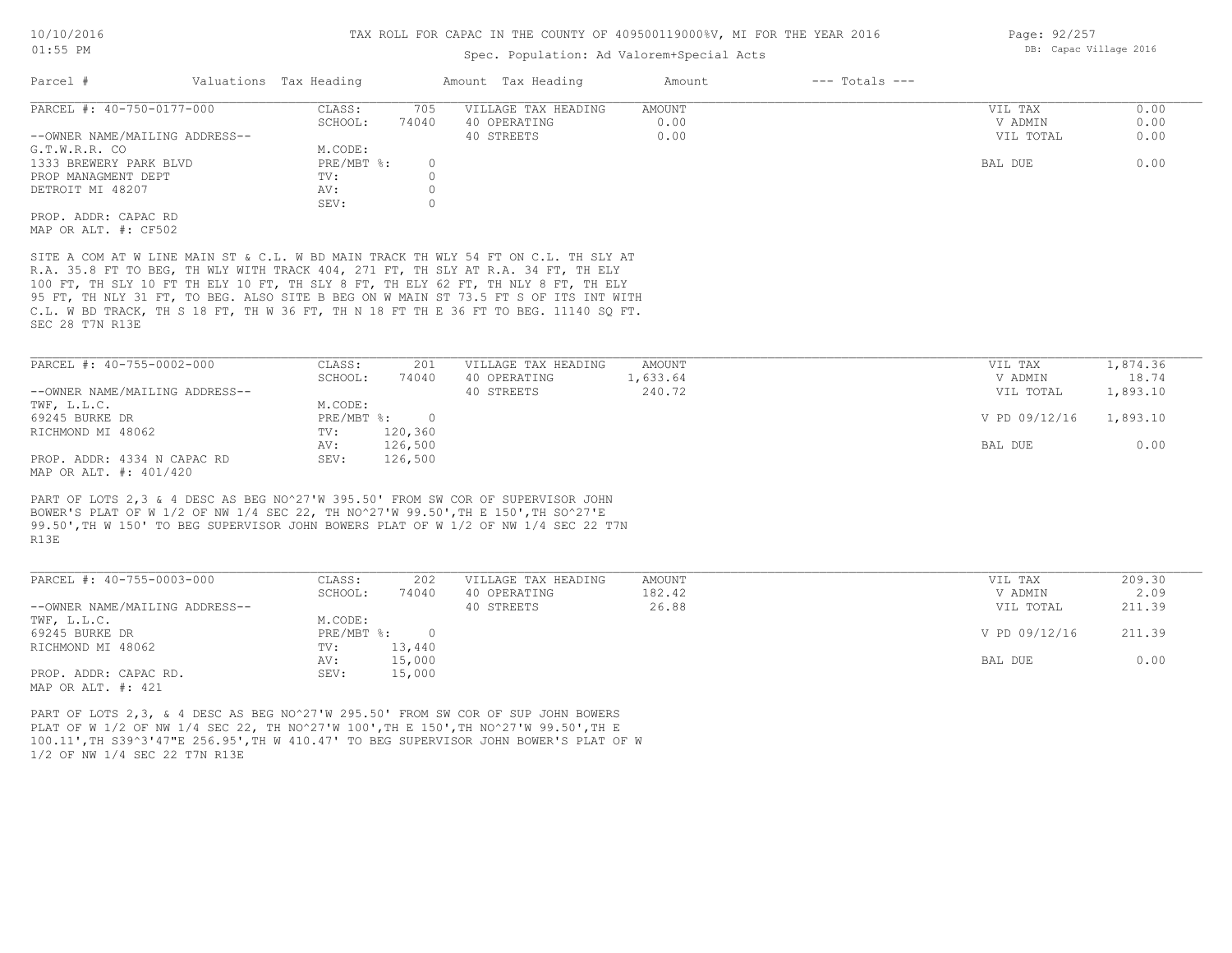#### Spec. Population: Ad Valorem+Special Acts

| Parcel #                       | Valuations Tax Heading |       | Amount Tax Heading  | Amount | $---$ Totals $---$ |           |      |
|--------------------------------|------------------------|-------|---------------------|--------|--------------------|-----------|------|
| PARCEL #: 40-750-0177-000      | CLASS:                 | 705   | VILLAGE TAX HEADING | AMOUNT |                    | VIL TAX   | 0.00 |
|                                | SCHOOL:                | 74040 | 40 OPERATING        | 0.00   |                    | V ADMIN   | 0.00 |
| --OWNER NAME/MAILING ADDRESS-- |                        |       | 40 STREETS          | 0.00   |                    | VIL TOTAL | 0.00 |
| G.T.W.R.R. CO                  | M.CODE:                |       |                     |        |                    |           |      |
| 1333 BREWERY PARK BLVD         | PRE/MBT %:             |       |                     |        |                    | BAL DUE   | 0.00 |
| PROP MANAGMENT DEPT            | TV:                    |       |                     |        |                    |           |      |
| DETROIT MI 48207               | AV:                    |       |                     |        |                    |           |      |
|                                | SEV:                   |       |                     |        |                    |           |      |
| PROP. ADDR: CAPAC RD           |                        |       |                     |        |                    |           |      |
| MAP OR ALT. #: CF502           |                        |       |                     |        |                    |           |      |
|                                |                        |       |                     |        |                    |           |      |

SEC 28 T7N R13E C.L. W BD TRACK, TH S 18 FT, TH W 36 FT, TH N 18 FT TH E 36 FT TO BEG. 11140 SQ FT. 95 FT, TH NLY 31 FT, TO BEG. ALSO SITE B BEG ON W MAIN ST 73.5 FT S OF ITS INT WITH 100 FT, TH SLY 10 FT TH ELY 10 FT, TH SLY 8 FT, TH ELY 62 FT, TH NLY 8 FT, TH ELY R.A. 35.8 FT TO BEG, TH WLY WITH TRACK 404, 271 FT, TH SLY AT R.A. 34 FT, TH ELY SITE A COM AT W LINE MAIN ST & C.L. W BD MAIN TRACK TH WLY 54 FT ON C.L. TH SLY AT

| PARCEL #: 40-755-0002-000      | CLASS:       | 201     | VILLAGE TAX HEADING | AMOUNT   | VIL TAX       | 1,874.36 |
|--------------------------------|--------------|---------|---------------------|----------|---------------|----------|
|                                | SCHOOL:      | 74040   | 40 OPERATING        | 1,633.64 | V ADMIN       | 18.74    |
| --OWNER NAME/MAILING ADDRESS-- |              |         | 40 STREETS          | 240.72   | VIL TOTAL     | 1,893.10 |
| TWF, L.L.C.                    | M.CODE:      |         |                     |          |               |          |
| 69245 BURKE DR                 | $PRE/MBT$ %: |         |                     |          | V PD 09/12/16 | 1,893.10 |
| RICHMOND MI 48062              | TV:          | 120,360 |                     |          |               |          |
|                                | AV:          | 126,500 |                     |          | BAL DUE       | 0.00     |
| PROP. ADDR: 4334 N CAPAC RD    | SEV:         | 126,500 |                     |          |               |          |
| MAP OR ALT. #: 401/420         |              |         |                     |          |               |          |

R13E 99.50',TH W 150' TO BEG SUPERVISOR JOHN BOWERS PLAT OF W 1/2 OF NW 1/4 SEC 22 T7N BOWER'S PLAT OF W 1/2 OF NW 1/4 SEC 22, TH NO^27'W 99.50',TH E 150',TH SO^27'E PART OF LOTS 2,3 & 4 DESC AS BEG NO^27'W 395.50' FROM SW COR OF SUPERVISOR JOHN

| PARCEL #: 40-755-0003-000      | CLASS:     | 202    | VILLAGE TAX HEADING | AMOUNT | VIL TAX       | 209.30 |
|--------------------------------|------------|--------|---------------------|--------|---------------|--------|
|                                | SCHOOL:    | 74040  | 40 OPERATING        | 182.42 | V ADMIN       | 2.09   |
| --OWNER NAME/MAILING ADDRESS-- |            |        | 40 STREETS          | 26.88  | VIL TOTAL     | 211.39 |
| TWF, L.L.C.                    | M.CODE:    |        |                     |        |               |        |
| 69245 BURKE DR                 | PRE/MBT %: | $\cap$ |                     |        | V PD 09/12/16 | 211.39 |
| RICHMOND MI 48062              | TV:        | 13,440 |                     |        |               |        |
|                                | AV:        | 15,000 |                     |        | BAL DUE       | 0.00   |
| PROP. ADDR: CAPAC RD.          | SEV:       | 15,000 |                     |        |               |        |
| MAP OR ALT. #: 421             |            |        |                     |        |               |        |

1/2 OF NW 1/4 SEC 22 T7N R13E 100.11',TH S39^3'47"E 256.95',TH W 410.47' TO BEG SUPERVISOR JOHN BOWER'S PLAT OF W PLAT OF W 1/2 OF NW 1/4 SEC 22, TH NO^27'W 100',TH E 150',TH NO^27'W 99.50',TH E PART OF LOTS 2,3, & 4 DESC AS BEG NO^27'W 295.50' FROM SW COR OF SUP JOHN BOWERS

Page: 92/257 DB: Capac Village 2016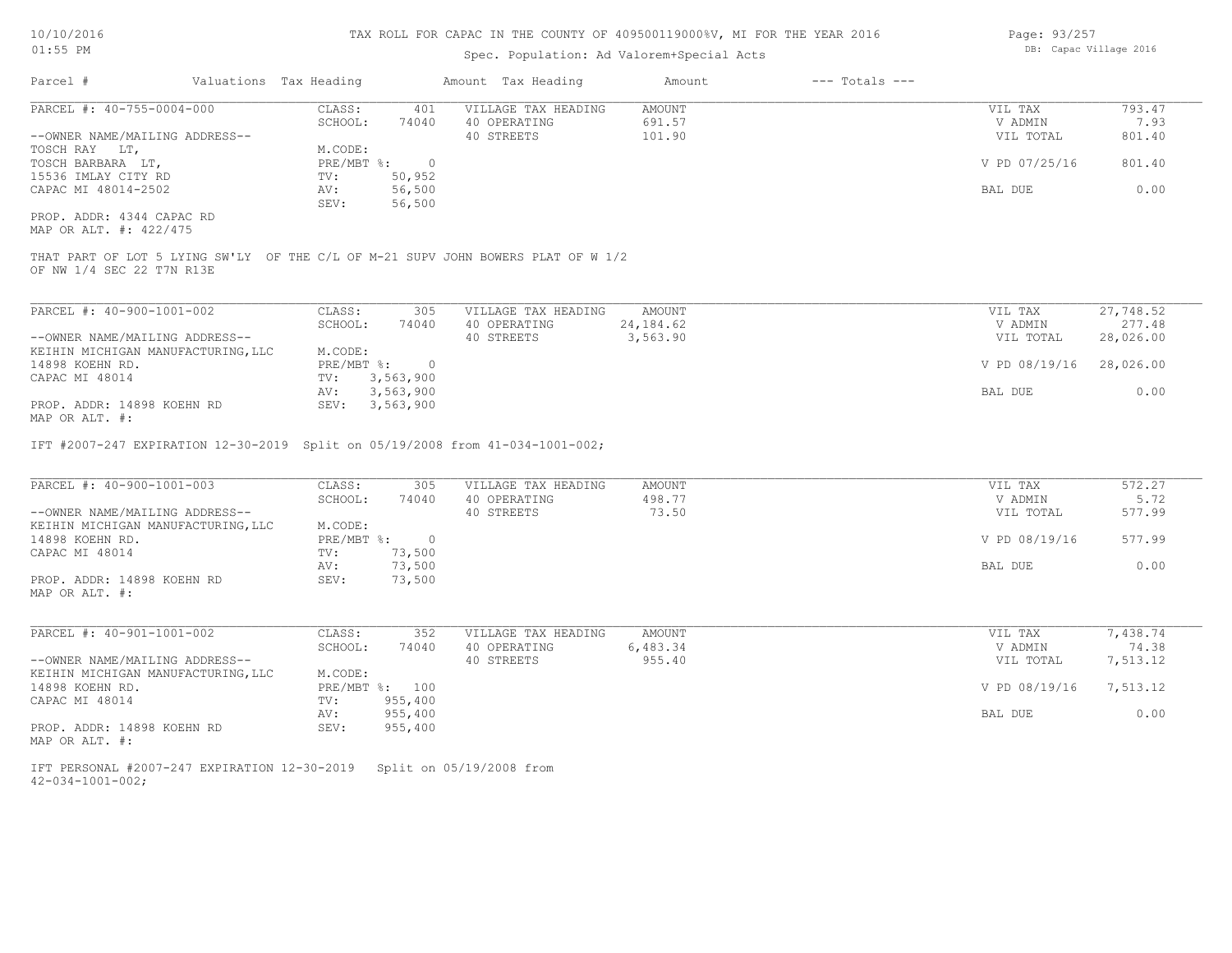| Page: 93/257 |                        |  |
|--------------|------------------------|--|
|              | DB: Capac Village 2016 |  |

| Parcel #<br>Valuations Tax Heading                                                                                                                        |                                         | Amount Tax Heading                                | Amount                           | $---$ Totals $---$ |                                 |                                    |
|-----------------------------------------------------------------------------------------------------------------------------------------------------------|-----------------------------------------|---------------------------------------------------|----------------------------------|--------------------|---------------------------------|------------------------------------|
| $PARCEL$ #: 40-755-0004-000                                                                                                                               | CLASS:<br>401                           | VILLAGE TAX HEADING                               | <b>AMOUNT</b>                    |                    | VIL TAX                         | 793.47                             |
|                                                                                                                                                           | SCHOOL:<br>74040                        | 40 OPERATING                                      | 691.57                           |                    | V ADMIN                         | 7.93                               |
| --OWNER NAME/MAILING ADDRESS--                                                                                                                            |                                         | 40 STREETS                                        | 101.90                           |                    | VIL TOTAL                       | 801.40                             |
| TOSCH RAY LT,                                                                                                                                             | M.CODE:                                 |                                                   |                                  |                    |                                 |                                    |
| TOSCH BARBARA LT,                                                                                                                                         | PRE/MBT %:<br>$\circ$                   |                                                   |                                  |                    | V PD 07/25/16                   | 801.40                             |
| 15536 IMLAY CITY RD                                                                                                                                       | TV:<br>50,952                           |                                                   |                                  |                    |                                 |                                    |
| CAPAC MI 48014-2502                                                                                                                                       | AV:<br>56,500                           |                                                   |                                  |                    | BAL DUE                         | 0.00                               |
|                                                                                                                                                           | 56,500<br>SEV:                          |                                                   |                                  |                    |                                 |                                    |
| PROP. ADDR: 4344 CAPAC RD<br>MAP OR ALT. #: 422/475                                                                                                       |                                         |                                                   |                                  |                    |                                 |                                    |
| THAT PART OF LOT 5 LYING SW'LY OF THE C/L OF M-21 SUPV JOHN BOWERS PLAT OF W 1/2<br>OF NW 1/4 SEC 22 T7N R13E                                             |                                         |                                                   |                                  |                    |                                 |                                    |
|                                                                                                                                                           |                                         |                                                   |                                  |                    |                                 |                                    |
| PARCEL #: 40-900-1001-002                                                                                                                                 | CLASS:<br>305                           | VILLAGE TAX HEADING                               | <b>AMOUNT</b>                    |                    | VIL TAX                         | 27,748.52                          |
|                                                                                                                                                           | SCHOOL:<br>74040                        | 40 OPERATING                                      | 24, 184.62                       |                    | V ADMIN                         | 277.48                             |
| --OWNER NAME/MAILING ADDRESS--                                                                                                                            |                                         | 40 STREETS                                        | 3,563.90                         |                    | VIL TOTAL                       | 28,026.00                          |
| KEIHIN MICHIGAN MANUFACTURING, LLC                                                                                                                        | M.CODE:                                 |                                                   |                                  |                    |                                 |                                    |
| 14898 KOEHN RD.                                                                                                                                           | PRE/MBT %:<br>$\overline{\phantom{0}}$  |                                                   |                                  |                    | V PD 08/19/16                   | 28,026.00                          |
| CAPAC MI 48014                                                                                                                                            | 3,563,900<br>TV:<br>3,563,900<br>AV:    |                                                   |                                  |                    | BAL DUE                         | 0.00                               |
|                                                                                                                                                           |                                         |                                                   |                                  |                    |                                 |                                    |
| PROP. ADDR: 14898 KOEHN RD<br>MAP OR ALT. #:<br>IFT #2007-247 EXPIRATION 12-30-2019 Split on 05/19/2008 from 41-034-1001-002;                             | SEV: 3,563,900                          |                                                   |                                  |                    |                                 |                                    |
| PARCEL #: 40-900-1001-003<br>--OWNER NAME/MAILING ADDRESS--                                                                                               | CLASS:<br>305<br>SCHOOL:<br>74040       | VILLAGE TAX HEADING<br>40 OPERATING<br>40 STREETS | <b>AMOUNT</b><br>498.77<br>73.50 |                    | VIL TAX<br>V ADMIN<br>VIL TOTAL |                                    |
| KEIHIN MICHIGAN MANUFACTURING, LLC<br>14898 KOEHN RD.                                                                                                     | M.CODE:<br>PRE/MBT %:<br>$\overline{0}$ |                                                   |                                  |                    | V PD 08/19/16                   | 572.27<br>5.72<br>577.99<br>577.99 |
|                                                                                                                                                           | TV:<br>73,500                           |                                                   |                                  |                    |                                 |                                    |
| CAPAC MI 48014                                                                                                                                            | AV:<br>73,500                           |                                                   |                                  |                    | BAL DUE                         |                                    |
| PROP. ADDR: 14898 KOEHN RD<br>MAP OR ALT. #:                                                                                                              | SEV:<br>73,500                          |                                                   |                                  |                    |                                 | 0.00                               |
| PARCEL #: 40-901-1001-002                                                                                                                                 | CLASS:<br>352                           | VILLAGE TAX HEADING                               | AMOUNT                           |                    | VIL TAX                         | 7,438.74                           |
|                                                                                                                                                           | SCHOOL:<br>74040                        | 40 OPERATING                                      | 6,483.34                         |                    | V ADMIN                         |                                    |
|                                                                                                                                                           |                                         | 40 STREETS                                        | 955.40                           |                    | VIL TOTAL                       | 74.38<br>7,513.12                  |
|                                                                                                                                                           | M.CODE:                                 |                                                   |                                  |                    |                                 |                                    |
|                                                                                                                                                           | PRE/MBT %: 100                          |                                                   |                                  |                    | V PD 08/19/16                   | 7,513.12                           |
|                                                                                                                                                           | 955,400<br>TV:                          |                                                   |                                  |                    |                                 |                                    |
|                                                                                                                                                           | 955,400<br>AV:                          |                                                   |                                  |                    | BAL DUE                         | 0.00                               |
| --OWNER NAME/MAILING ADDRESS--<br>KEIHIN MICHIGAN MANUFACTURING, LLC<br>14898 KOEHN RD.<br>CAPAC MI 48014<br>PROP. ADDR: 14898 KOEHN RD<br>MAP OR ALT. #: | SEV:<br>955,400                         |                                                   |                                  |                    |                                 |                                    |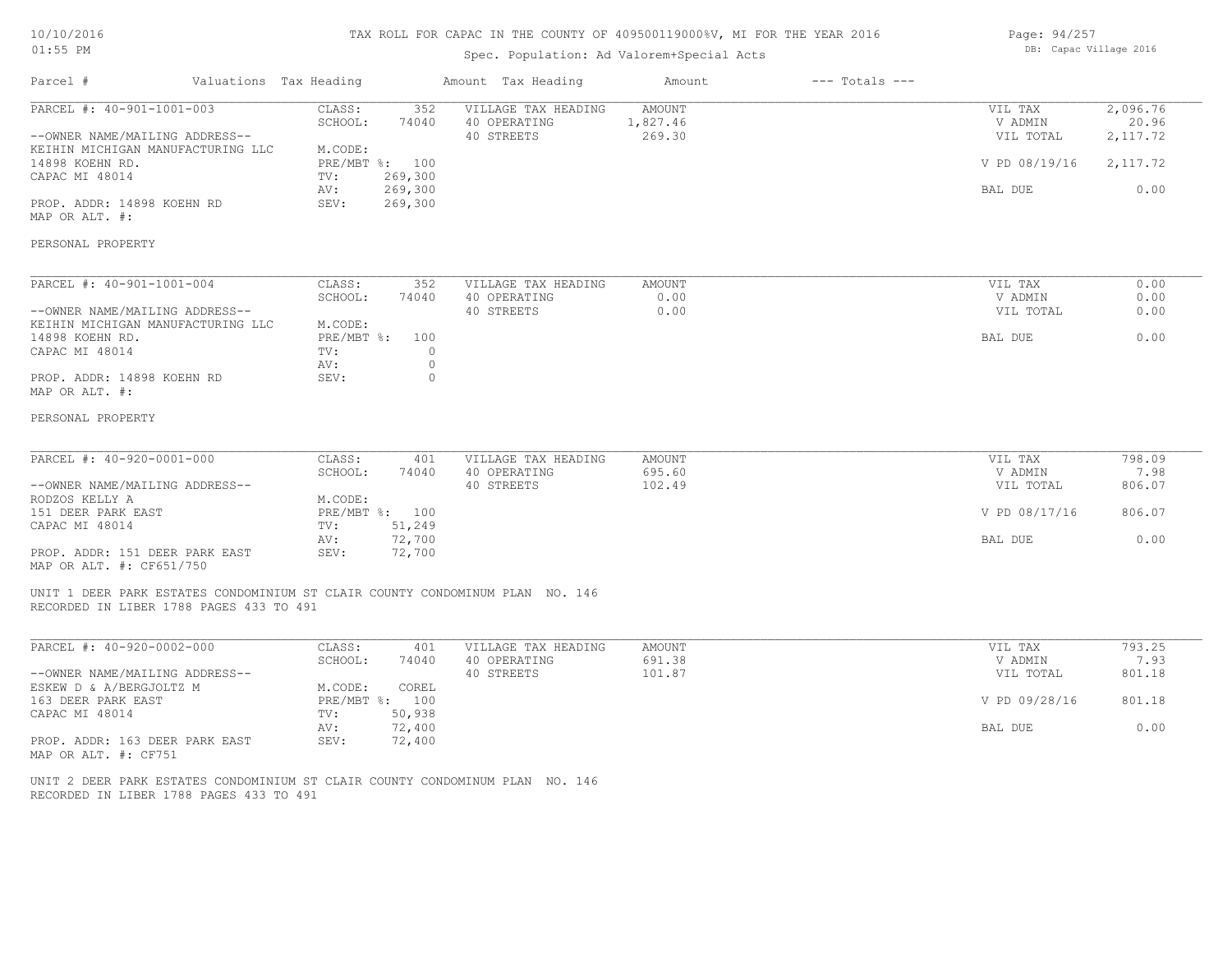## 10/10/2016 01:55 PM

#### TAX ROLL FOR CAPAC IN THE COUNTY OF 409500119000%V, MI FOR THE YEAR 2016

# Spec. Population: Ad Valorem+Special Acts

| Page: 94/257 |                        |  |
|--------------|------------------------|--|
|              | DB: Capac Village 2016 |  |

| Parcel #                                                                                                                                                                                                                       | Valuations Tax Heading |                                                                                                                                                                                                    | Amount Tax Heading                                | Amount                       | $---$ Totals $---$ |                                                             |                                                    |
|--------------------------------------------------------------------------------------------------------------------------------------------------------------------------------------------------------------------------------|------------------------|----------------------------------------------------------------------------------------------------------------------------------------------------------------------------------------------------|---------------------------------------------------|------------------------------|--------------------|-------------------------------------------------------------|----------------------------------------------------|
| PARCEL #: 40-901-1001-003<br>--OWNER NAME/MAILING ADDRESS--<br>KEIHIN MICHIGAN MANUFACTURING LLC<br>14898 KOEHN RD.<br>CAPAC MI 48014<br>PROP. ADDR: 14898 KOEHN RD<br>MAP OR ALT. #:                                          |                        | CLASS:<br>352<br>SCHOOL:<br>74040<br>M.CODE:<br>PRE/MBT %: 100<br>269,300<br>TV:<br>269,300<br>AV:<br>269,300<br>SEV:                                                                              | VILLAGE TAX HEADING<br>40 OPERATING<br>40 STREETS | AMOUNT<br>1,827.46<br>269.30 |                    | VIL TAX<br>V ADMIN<br>VIL TOTAL<br>V PD 08/19/16<br>BAL DUE | 2,096.76<br>20.96<br>2, 117.72<br>2,117.72<br>0.00 |
| PERSONAL PROPERTY                                                                                                                                                                                                              |                        |                                                                                                                                                                                                    |                                                   |                              |                    |                                                             |                                                    |
| PARCEL #: 40-901-1001-004<br>--OWNER NAME/MAILING ADDRESS--<br>KEIHIN MICHIGAN MANUFACTURING LLC<br>14898 KOEHN RD.<br>CAPAC MI 48014<br>PROP. ADDR: 14898 KOEHN RD<br>MAP OR ALT. #:<br>PERSONAL PROPERTY                     |                        | CLASS:<br>352<br>SCHOOL:<br>74040<br>M.CODE:<br>PRE/MBT %:<br>100<br>TV:<br>$\circ$<br>$\circ$<br>AV:<br>$\circ$<br>SEV:                                                                           | VILLAGE TAX HEADING<br>40 OPERATING<br>40 STREETS | AMOUNT<br>0.00<br>0.00       |                    | VIL TAX<br>V ADMIN<br>VIL TOTAL<br>BAL DUE                  | 0.00<br>0.00<br>0.00<br>0.00                       |
| PARCEL #: 40-920-0001-000<br>--OWNER NAME/MAILING ADDRESS--<br>RODZOS KELLY A<br>151 DEER PARK EAST<br>CAPAC MI 48014<br>PROP. ADDR: 151 DEER PARK EAST<br>MAP OR ALT. #: CF651/750<br>RECORDED IN LIBER 1788 PAGES 433 TO 491 |                        | CLASS:<br>401<br>SCHOOL:<br>74040<br>M.CODE:<br>PRE/MBT %: 100<br>51,249<br>TV:<br>72,700<br>AV:<br>SEV:<br>72,700<br>UNIT 1 DEER PARK ESTATES CONDOMINIUM ST CLAIR COUNTY CONDOMINUM PLAN NO. 146 | VILLAGE TAX HEADING<br>40 OPERATING<br>40 STREETS | AMOUNT<br>695.60<br>102.49   |                    | VIL TAX<br>V ADMIN<br>VIL TOTAL<br>V PD 08/17/16<br>BAL DUE | 798.09<br>7.98<br>806.07<br>806.07<br>0.00         |
| PARCEL #: 40-920-0002-000<br>--OWNER NAME/MAILING ADDRESS--<br>ESKEW D & A/BERGJOLTZ M<br>163 DEER PARK EAST<br>CAPAC MI 48014<br>PROP. ADDR: 163 DEER PARK EAST<br>MAP OR ALT. #: CF751                                       |                        | CLASS:<br>401<br>SCHOOL:<br>74040<br>M.CODE:<br>COREL<br>PRE/MBT %: 100<br>50,938<br>TV:<br>72,400<br>AV:<br>72,400<br>SEV:                                                                        | VILLAGE TAX HEADING<br>40 OPERATING<br>40 STREETS | AMOUNT<br>691.38<br>101.87   |                    | VIL TAX<br>V ADMIN<br>VIL TOTAL<br>V PD 09/28/16<br>BAL DUE | 793.25<br>7.93<br>801.18<br>801.18<br>0.00         |

RECORDED IN LIBER 1788 PAGES 433 TO 491 UNIT 2 DEER PARK ESTATES CONDOMINIUM ST CLAIR COUNTY CONDOMINUM PLAN NO. 146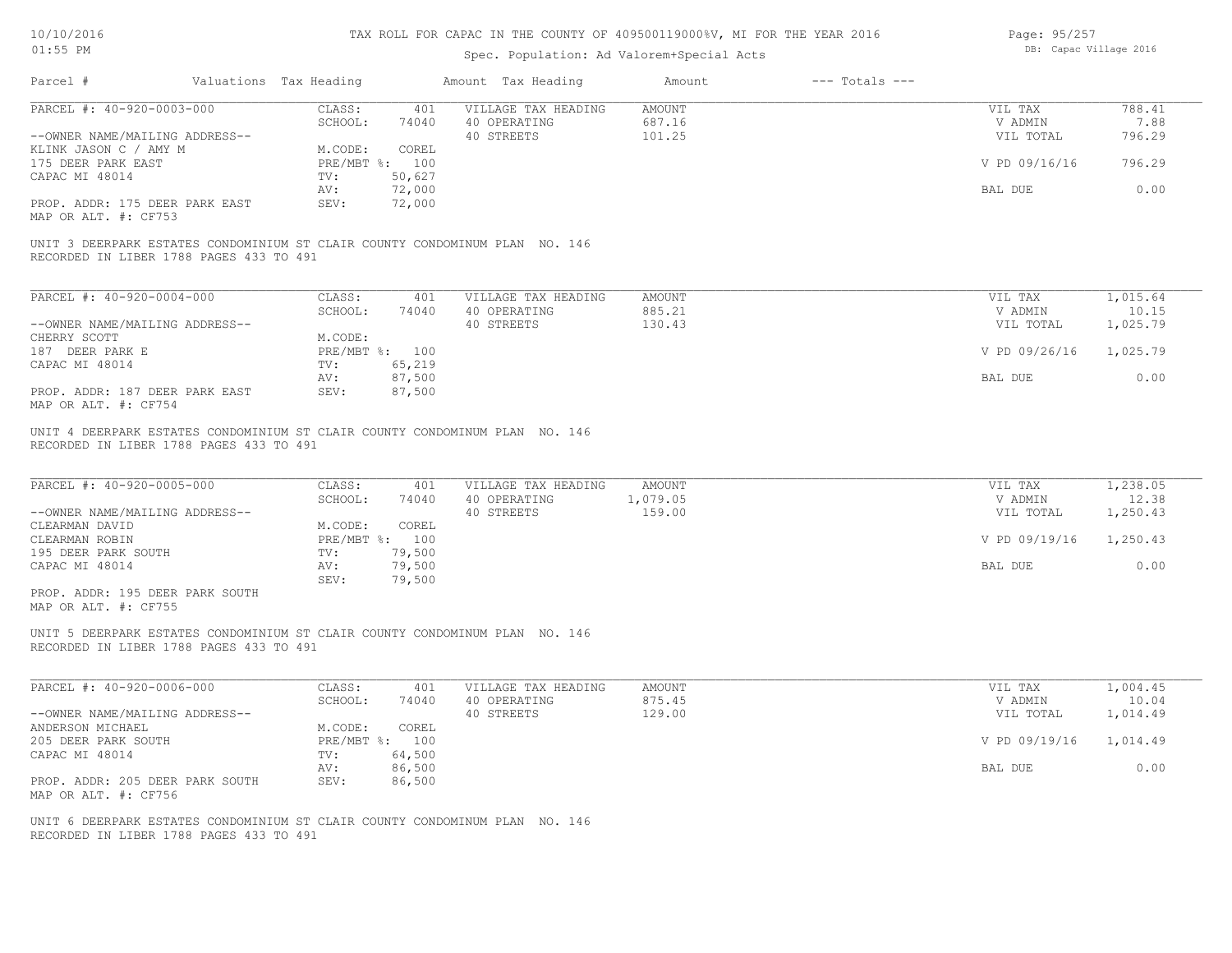| 10/10/2016 |  |
|------------|--|
| $01:55$ PM |  |

| Page: 95/257 |                        |  |
|--------------|------------------------|--|
|              | DB: Capac Village 2016 |  |

|                                                                                                                        | Valuations Tax Heading |                                   | Amount Tax Heading                  | Amount                    | $---$ Totals $---$ |                            |                               |
|------------------------------------------------------------------------------------------------------------------------|------------------------|-----------------------------------|-------------------------------------|---------------------------|--------------------|----------------------------|-------------------------------|
| PARCEL #: 40-920-0003-000                                                                                              | CLASS:                 | 401                               | VILLAGE TAX HEADING                 | <b>AMOUNT</b>             |                    | VIL TAX                    | 788.41                        |
|                                                                                                                        | SCHOOL:                | 74040                             | 40 OPERATING                        | 687.16                    |                    | V ADMIN                    | 7.88                          |
| --OWNER NAME/MAILING ADDRESS--                                                                                         |                        |                                   | 40 STREETS                          | 101.25                    |                    | VIL TOTAL                  | 796.29                        |
| KLINK JASON C / AMY M                                                                                                  | M.CODE:                | COREL<br>PRE/MBT %: 100           |                                     |                           |                    | V PD 09/16/16              | 796.29                        |
| 175 DEER PARK EAST<br>CAPAC MI 48014                                                                                   | TV:                    | 50,627                            |                                     |                           |                    |                            |                               |
|                                                                                                                        | AV:                    | 72,000                            |                                     |                           |                    | BAL DUE                    | 0.00                          |
| PROP. ADDR: 175 DEER PARK EAST<br>MAP OR ALT. #: CF753                                                                 | SEV:                   | 72,000                            |                                     |                           |                    |                            |                               |
| UNIT 3 DEERPARK ESTATES CONDOMINIUM ST CLAIR COUNTY CONDOMINUM PLAN NO. 146<br>RECORDED IN LIBER 1788 PAGES 433 TO 491 |                        |                                   |                                     |                           |                    |                            |                               |
| PARCEL #: 40-920-0004-000                                                                                              | CLASS:                 | 401                               | VILLAGE TAX HEADING                 | <b>AMOUNT</b>             |                    | VIL TAX                    | 1,015.64                      |
|                                                                                                                        | SCHOOL:                | 74040                             | 40 OPERATING                        | 885.21                    |                    | V ADMIN                    | 10.15                         |
| --OWNER NAME/MAILING ADDRESS--                                                                                         |                        |                                   | 40 STREETS                          | 130.43                    |                    | VIL TOTAL                  | 1,025.79                      |
| CHERRY SCOTT                                                                                                           | M.CODE:                |                                   |                                     |                           |                    |                            |                               |
| 187 DEER PARK E                                                                                                        |                        | PRE/MBT %: 100                    |                                     |                           |                    | V PD 09/26/16              | 1,025.79                      |
| CAPAC MI 48014                                                                                                         | TV:                    | 65,219                            |                                     |                           |                    |                            |                               |
|                                                                                                                        | AV:                    | 87,500<br>87,500                  |                                     |                           |                    | BAL DUE                    | 0.00                          |
| PROP. ADDR: 187 DEER PARK EAST<br>MAP OR ALT. #: CF754                                                                 | SEV:                   |                                   |                                     |                           |                    |                            |                               |
| PARCEL #: 40-920-0005-000<br>--OWNER NAME/MAILING ADDRESS--                                                            | CLASS:<br>SCHOOL:      | 401<br>74040                      | VILLAGE TAX HEADING<br>40 OPERATING | <b>AMOUNT</b><br>1,079.05 |                    | VIL TAX<br>V ADMIN         | 1,238.05                      |
| CLEARMAN DAVID<br>CLEARMAN ROBIN<br>195 DEER PARK SOUTH                                                                | M.CODE:<br>TV:         | COREL<br>PRE/MBT %: 100<br>79,500 | 40 STREETS                          | 159.00                    |                    | VIL TOTAL<br>V PD 09/19/16 | 12.38<br>1,250.43<br>1,250.43 |
| CAPAC MI 48014                                                                                                         | AV:<br>SEV:            | 79,500<br>79,500                  |                                     |                           |                    | BAL DUE                    | 0.00                          |
| PROP. ADDR: 195 DEER PARK SOUTH<br>MAP OR ALT. #: CF755                                                                |                        |                                   |                                     |                           |                    |                            |                               |
| UNIT 5 DEERPARK ESTATES CONDOMINIUM ST CLAIR COUNTY CONDOMINUM PLAN NO. 146<br>RECORDED IN LIBER 1788 PAGES 433 TO 491 |                        |                                   |                                     |                           |                    |                            |                               |
| PARCEL #: 40-920-0006-000                                                                                              | CLASS:                 | 401                               | VILLAGE TAX HEADING                 | <b>AMOUNT</b>             |                    | VIL TAX                    | 1,004.45                      |
|                                                                                                                        | SCHOOL:                | 74040                             | 40 OPERATING                        | 875.45                    |                    | V ADMIN                    | 10.04                         |
| --OWNER NAME/MAILING ADDRESS--                                                                                         |                        |                                   | 40 STREETS                          | 129.00                    |                    | VIL TOTAL                  | 1,014.49                      |
| ANDERSON MICHAEL                                                                                                       | M.CODE:                | COREL                             |                                     |                           |                    |                            |                               |
| 205 DEER PARK SOUTH                                                                                                    |                        | PRE/MBT %: 100                    |                                     |                           |                    | V PD 09/19/16              | 1,014.49                      |
| CAPAC MI 48014                                                                                                         | TV:                    | 64,500                            |                                     |                           |                    |                            |                               |
| PROP. ADDR: 205 DEER PARK SOUTH<br>MAP OR ALT. #: CF756                                                                | AV:<br>SEV:            | 86,500<br>86,500                  |                                     |                           |                    | BAL DUE                    | 0.00                          |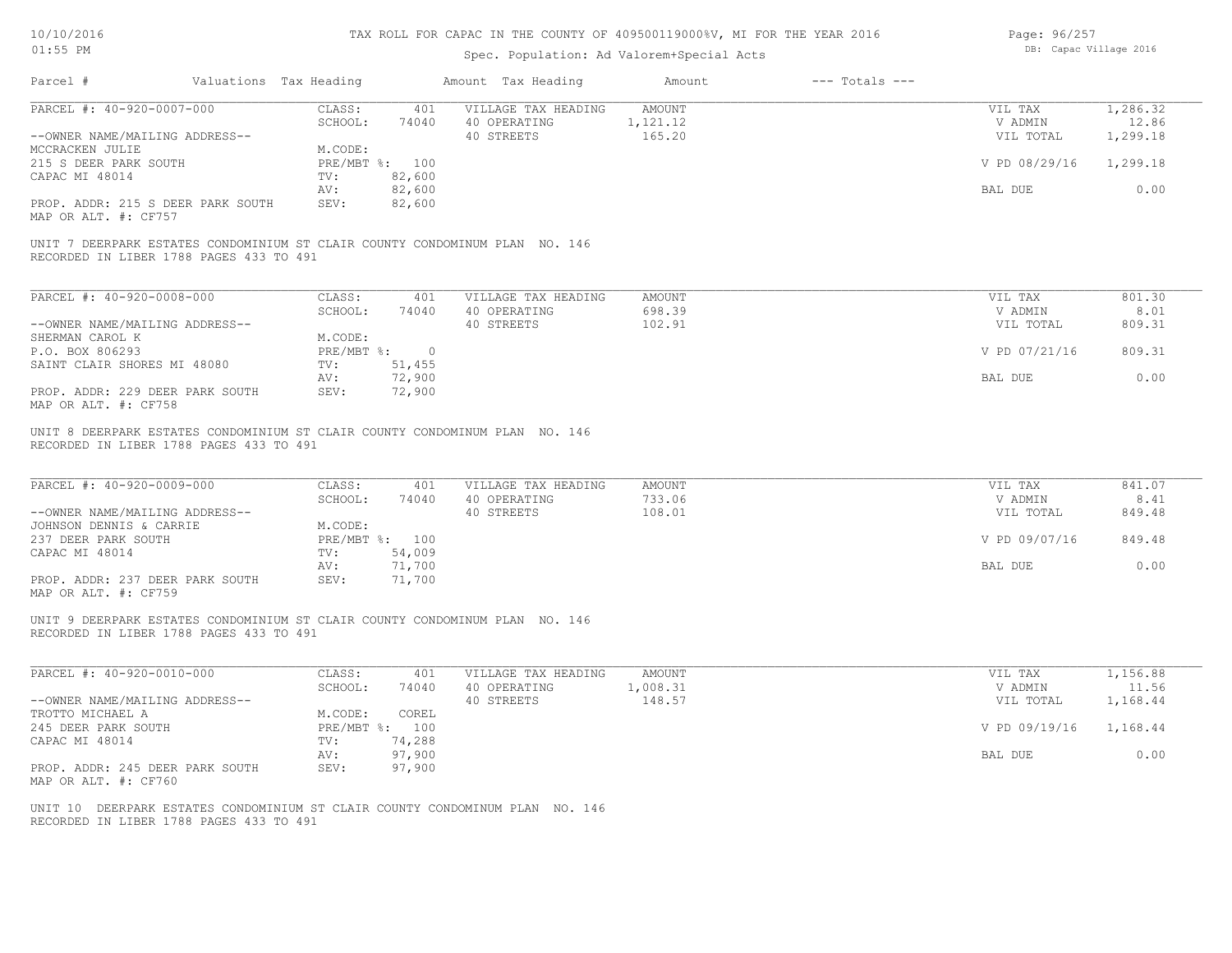| 10/10/2016 |  |
|------------|--|
| $01:55$ PM |  |

| Page: 96/257 |                        |  |
|--------------|------------------------|--|
|              | DB: Capac Village 2016 |  |

| Parcel #                                                                                                                | Valuations Tax Heading |                          | Amount Tax Heading                                | Amount                       | $---$ Totals $---$ |                                 |                               |
|-------------------------------------------------------------------------------------------------------------------------|------------------------|--------------------------|---------------------------------------------------|------------------------------|--------------------|---------------------------------|-------------------------------|
| PARCEL #: 40-920-0007-000<br>--OWNER NAME/MAILING ADDRESS--                                                             | CLASS:<br>SCHOOL:      | 401<br>74040             | VILLAGE TAX HEADING<br>40 OPERATING<br>40 STREETS | AMOUNT<br>1,121.12<br>165.20 |                    | VIL TAX<br>V ADMIN<br>VIL TOTAL | 1,286.32<br>12.86<br>1,299.18 |
| MCCRACKEN JULIE<br>215 S DEER PARK SOUTH                                                                                | M.CODE:                | PRE/MBT %: 100           |                                                   |                              |                    | V PD 08/29/16                   | 1,299.18                      |
| CAPAC MI 48014                                                                                                          | TV:<br>AV:             | 82,600<br>82,600         |                                                   |                              |                    | BAL DUE                         | 0.00                          |
| PROP. ADDR: 215 S DEER PARK SOUTH<br>MAP OR ALT. #: CF757                                                               | SEV:                   | 82,600                   |                                                   |                              |                    |                                 |                               |
| UNIT 7 DEERPARK ESTATES CONDOMINIUM ST CLAIR COUNTY CONDOMINUM PLAN NO. 146<br>RECORDED IN LIBER 1788 PAGES 433 TO 491  |                        |                          |                                                   |                              |                    |                                 |                               |
| PARCEL #: 40-920-0008-000                                                                                               | CLASS:<br>SCHOOL:      | 401<br>74040             | VILLAGE TAX HEADING<br>40 OPERATING               | <b>AMOUNT</b><br>698.39      |                    | VIL TAX<br>V ADMIN              | 801.30<br>8.01                |
| --OWNER NAME/MAILING ADDRESS--<br>SHERMAN CAROL K                                                                       | M.CODE:                |                          | 40 STREETS                                        | 102.91                       |                    | VIL TOTAL                       | 809.31                        |
| P.O. BOX 806293<br>SAINT CLAIR SHORES MI 48080                                                                          | TV:                    | PRE/MBT %: 0<br>51,455   |                                                   |                              |                    | V PD 07/21/16                   | 809.31                        |
| PROP. ADDR: 229 DEER PARK SOUTH                                                                                         | AV:<br>SEV:            | 72,900<br>72,900         |                                                   |                              |                    | BAL DUE                         | 0.00                          |
| MAP OR ALT. #: CF758                                                                                                    |                        |                          |                                                   |                              |                    |                                 |                               |
| UNIT 8 DEERPARK ESTATES CONDOMINIUM ST CLAIR COUNTY CONDOMINUM PLAN NO. 146<br>RECORDED IN LIBER 1788 PAGES 433 TO 491  |                        |                          |                                                   |                              |                    |                                 |                               |
| PARCEL #: 40-920-0009-000                                                                                               | CLASS:<br>SCHOOL:      | 401<br>74040             | VILLAGE TAX HEADING<br>40 OPERATING               | <b>AMOUNT</b><br>733.06      |                    | VIL TAX<br>V ADMIN              | 841.07<br>8.41                |
| --OWNER NAME/MAILING ADDRESS--<br>JOHNSON DENNIS & CARRIE                                                               | M.CODE:                |                          | 40 STREETS                                        | 108.01                       |                    | VIL TOTAL                       | 849.48                        |
| 237 DEER PARK SOUTH<br>CAPAC MI 48014                                                                                   | TV:                    | PRE/MBT %: 100<br>54,009 |                                                   |                              |                    | V PD 09/07/16                   | 849.48                        |
| PROP. ADDR: 237 DEER PARK SOUTH<br>MAP OR ALT. #: CF759                                                                 | AV:<br>SEV:            | 71,700<br>71,700         |                                                   |                              |                    | BAL DUE                         | 0.00                          |
| UNIT 9 DEERPARK ESTATES CONDOMINIUM ST CLAIR COUNTY CONDOMINUM PLAN NO. 146<br>RECORDED IN LIBER 1788 PAGES 433 TO 491  |                        |                          |                                                   |                              |                    |                                 |                               |
| PARCEL #: 40-920-0010-000                                                                                               | CLASS:<br>SCHOOL:      | 401<br>74040             | VILLAGE TAX HEADING<br>40 OPERATING               | <b>AMOUNT</b><br>1,008.31    |                    | VIL TAX<br>V ADMIN              | 1,156.88<br>11.56             |
| --OWNER NAME/MAILING ADDRESS--<br>TROTTO MICHAEL A                                                                      | M.CODE:                | COREL                    | 40 STREETS                                        | 148.57                       |                    | VIL TOTAL                       | 1,168.44                      |
| 245 DEER PARK SOUTH<br>CAPAC MI 48014                                                                                   | TV:                    | PRE/MBT %: 100<br>74,288 |                                                   |                              |                    | V PD 09/19/16                   | 1,168.44                      |
| PROP. ADDR: 245 DEER PARK SOUTH                                                                                         | AV:<br>SEV:            | 97,900<br>97,900         |                                                   |                              |                    | BAL DUE                         | 0.00                          |
| MAP OR ALT. #: CF760                                                                                                    |                        |                          |                                                   |                              |                    |                                 |                               |
| UNIT 10 DEERPARK ESTATES CONDOMINIUM ST CLAIR COUNTY CONDOMINUM PLAN NO. 146<br>RECORDED IN LIBER 1788 PAGES 433 TO 491 |                        |                          |                                                   |                              |                    |                                 |                               |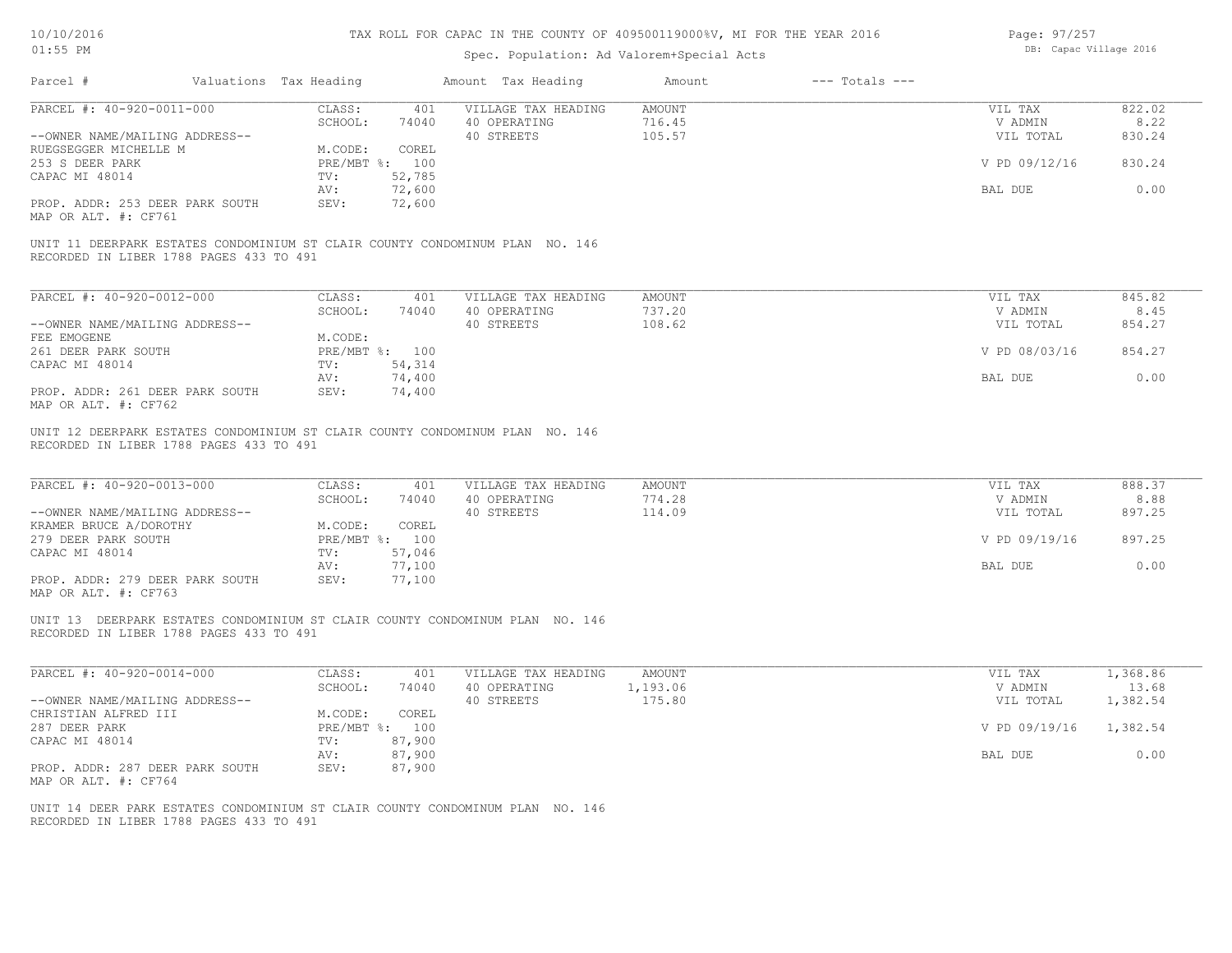| 10/10/2016 |  |
|------------|--|
| $01:55$ PM |  |

## Spec. Population: Ad Valorem+Special Acts

Page: 97/257 DB: Capac Village 2016

| Parcel #                                                                                                                | Valuations Tax Heading    |                    | Amount Tax Heading                  | Amount           | $---$ Totals $---$ |                    |                |
|-------------------------------------------------------------------------------------------------------------------------|---------------------------|--------------------|-------------------------------------|------------------|--------------------|--------------------|----------------|
| PARCEL #: 40-920-0011-000                                                                                               | CLASS:                    | 401                | VILLAGE TAX HEADING                 | AMOUNT           |                    | VIL TAX            | 822.02         |
|                                                                                                                         | SCHOOL:                   | 74040              | 40 OPERATING                        | 716.45           |                    | V ADMIN            | 8.22           |
| --OWNER NAME/MAILING ADDRESS--                                                                                          |                           |                    | 40 STREETS                          | 105.57           |                    | VIL TOTAL          | 830.24         |
| RUEGSEGGER MICHELLE M<br>253 S DEER PARK                                                                                | M.CODE:<br>PRE/MBT %: 100 | COREL              |                                     |                  |                    | V PD 09/12/16      | 830.24         |
| CAPAC MI 48014                                                                                                          | $\texttt{TV}$ :           | 52,785             |                                     |                  |                    |                    |                |
|                                                                                                                         | AV:                       | 72,600             |                                     |                  |                    | BAL DUE            | 0.00           |
| PROP. ADDR: 253 DEER PARK SOUTH                                                                                         | SEV:<br>72,600            |                    |                                     |                  |                    |                    |                |
| MAP OR ALT. #: CF761                                                                                                    |                           |                    |                                     |                  |                    |                    |                |
| UNIT 11 DEERPARK ESTATES CONDOMINIUM ST CLAIR COUNTY CONDOMINUM PLAN NO. 146<br>RECORDED IN LIBER 1788 PAGES 433 TO 491 |                           |                    |                                     |                  |                    |                    |                |
|                                                                                                                         |                           |                    |                                     |                  |                    |                    |                |
| PARCEL #: 40-920-0012-000                                                                                               | CLASS: 401                |                    | VILLAGE TAX HEADING                 | AMOUNT           |                    | VIL TAX            | 845.82         |
|                                                                                                                         | SCHOOL:                   | 74040 40 OPERATING |                                     | 737.20           |                    | V ADMIN            | 8.45           |
| --OWNER NAME/MAILING ADDRESS--                                                                                          |                           |                    | 40 STREETS                          | 108.62           |                    | VIL TOTAL          | 854.27         |
| FEE EMOGENE                                                                                                             | M.CODE:                   |                    |                                     |                  |                    |                    |                |
| 261 DEER PARK SOUTH                                                                                                     | PRE/MBT %: 100            |                    |                                     |                  |                    | V PD 08/03/16      | 854.27         |
| CAPAC MI 48014                                                                                                          | TV: 54,314                |                    |                                     |                  |                    |                    |                |
|                                                                                                                         | 74,400<br>AV:             |                    |                                     |                  |                    | BAL DUE            | 0.00           |
| PROP. ADDR: 261 DEER PARK SOUTH<br>MAP OR ALT. #: CF762                                                                 | 74,400<br>SEV:            |                    |                                     |                  |                    |                    |                |
| PARCEL #: 40-920-0013-000                                                                                               | CLASS: 401<br>SCHOOL:     | 74040              | VILLAGE TAX HEADING<br>40 OPERATING | AMOUNT<br>774.28 |                    | VIL TAX<br>V ADMIN | 888.37<br>8.88 |
| --OWNER NAME/MAILING ADDRESS--                                                                                          |                           |                    | 40 STREETS                          | 114.09           |                    | VIL TOTAL          | 897.25         |
| KRAMER BRUCE A/DOROTHY                                                                                                  | M.CODE:                   | COREL              |                                     |                  |                    |                    |                |
| 279 DEER PARK SOUTH                                                                                                     | PRE/MBT %: 100            |                    |                                     |                  |                    | V PD 09/19/16      | 897.25         |
| CAPAC MI 48014                                                                                                          | 57,046<br>TV:             |                    |                                     |                  |                    |                    |                |
|                                                                                                                         | AV:                       | 77,100             |                                     |                  |                    | BAL DUE            | 0.00           |
| PROP. ADDR: 279 DEER PARK SOUTH<br>MAP OR ALT. #: CF763                                                                 | SEV:                      | 77,100             |                                     |                  |                    |                    |                |
| UNIT 13 DEERPARK ESTATES CONDOMINIUM ST CLAIR COUNTY CONDOMINUM PLAN NO. 146                                            |                           |                    |                                     |                  |                    |                    |                |
| RECORDED IN LIBER 1788 PAGES 433 TO 491                                                                                 |                           |                    |                                     |                  |                    |                    |                |
| PARCEL #: 40-920-0014-000                                                                                               | CLASS:                    | 401                | VILLAGE TAX HEADING                 | <b>AMOUNT</b>    |                    | VIL TAX            | 1,368.86       |
|                                                                                                                         | SCHOOL:                   | 74040              | 40 OPERATING 1,193.06               |                  |                    | V ADMIN            | 13.68          |
| --OWNER NAME/MAILING ADDRESS--                                                                                          |                           |                    | 40 STREETS                          | 175.80           |                    | VIL TOTAL          | 1,382.54       |
| CHRISTIAN ALFRED III                                                                                                    | M.CODE:                   | COREL              |                                     |                  |                    |                    |                |
| 287 DEER PARK                                                                                                           | PRE/MBT %: 100            |                    |                                     |                  |                    | V PD 09/19/16      | 1,382.54       |
| CAPAC MI 48014                                                                                                          | TV:                       | 87,900             |                                     |                  |                    |                    |                |
|                                                                                                                         | AV:                       | 87,900             |                                     |                  |                    | BAL DUE            | 0.00           |
| PROP. ADDR: 287 DEER PARK SOUTH<br>MAP OR ALT. #: CF764                                                                 | SEV:                      | 87,900             |                                     |                  |                    |                    |                |
|                                                                                                                         |                           |                    |                                     |                  |                    |                    |                |
| UNIT 14 DEER PARK ESTATES CONDOMINIUM ST CLAIR COUNTY CONDOMINUM PLAN NO. 146                                           |                           |                    |                                     |                  |                    |                    |                |
| RECORDED IN LIBER 1788 PAGES 433 TO 491                                                                                 |                           |                    |                                     |                  |                    |                    |                |
|                                                                                                                         |                           |                    |                                     |                  |                    |                    |                |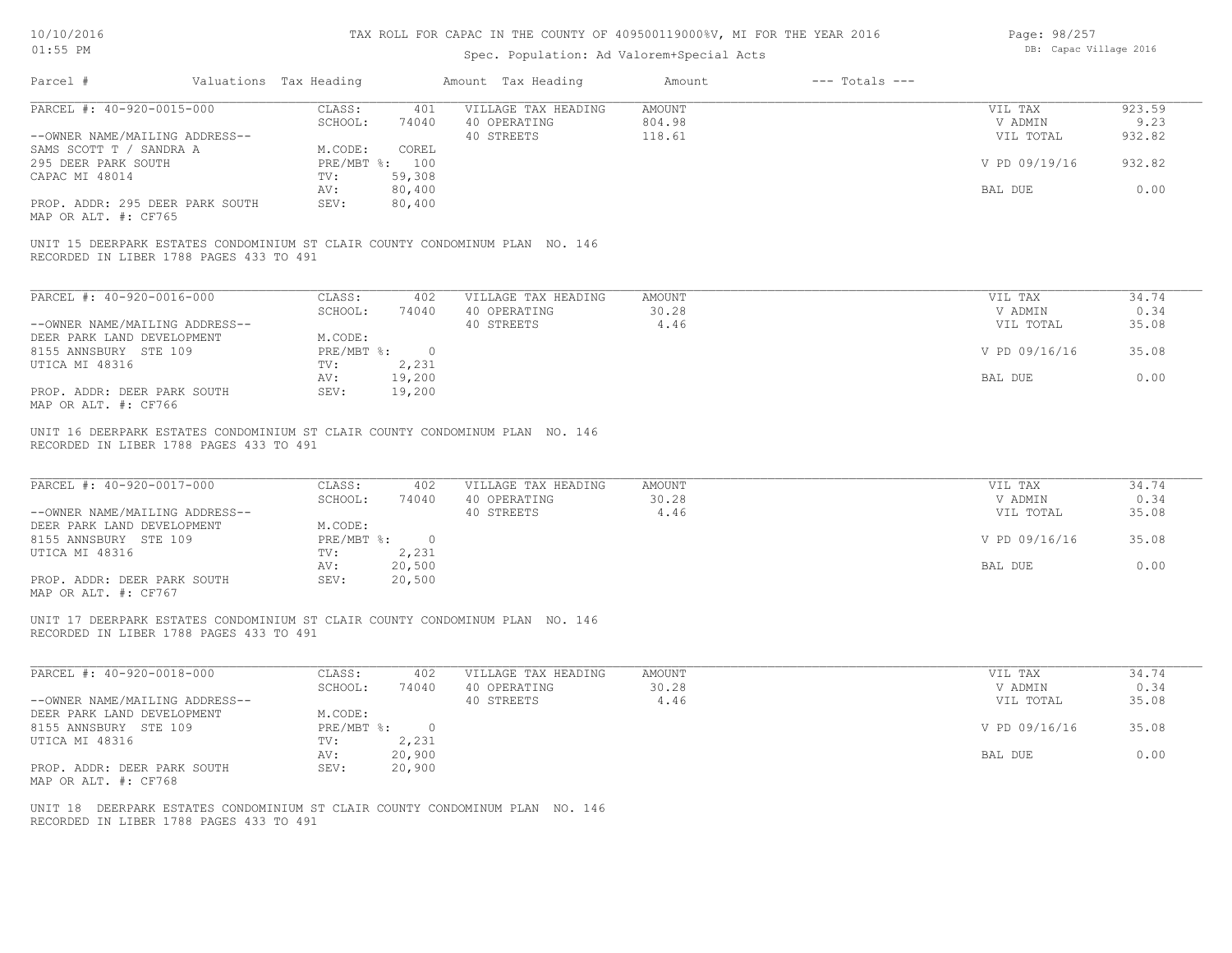| 10/10/2016 |  |
|------------|--|
| $01:55$ PM |  |

| Page: 98/257 |                        |  |
|--------------|------------------------|--|
|              | DB: Capac Village 2016 |  |

| Parcel #<br>Valuations Tax Heading                                                                                      |                                        | Amount Tax Heading                  | Amount           |                    |                |
|-------------------------------------------------------------------------------------------------------------------------|----------------------------------------|-------------------------------------|------------------|--------------------|----------------|
| PARCEL #: 40-920-0015-000                                                                                               | CLASS:<br>401<br>SCHOOL:<br>74040      | VILLAGE TAX HEADING<br>40 OPERATING | AMOUNT<br>804.98 | VIL TAX<br>V ADMIN | 923.59<br>9.23 |
| --OWNER NAME/MAILING ADDRESS--                                                                                          |                                        | 40 STREETS                          | 118.61           | VIL TOTAL          | 932.82         |
| SAMS SCOTT T / SANDRA A                                                                                                 | M.CODE:<br>COREL                       |                                     |                  |                    |                |
| 295 DEER PARK SOUTH                                                                                                     | PRE/MBT %: 100                         |                                     |                  | V PD 09/19/16      | 932.82         |
| CAPAC MI 48014                                                                                                          | TV:<br>59,308                          |                                     |                  |                    |                |
| PROP. ADDR: 295 DEER PARK SOUTH                                                                                         | 80,400<br>AV:<br>SEV:<br>80,400        |                                     |                  | BAL DUE            | 0.00           |
| MAP OR ALT. #: CF765                                                                                                    |                                        |                                     |                  |                    |                |
| UNIT 15 DEERPARK ESTATES CONDOMINIUM ST CLAIR COUNTY CONDOMINUM PLAN NO. 146<br>RECORDED IN LIBER 1788 PAGES 433 TO 491 |                                        |                                     |                  |                    |                |
|                                                                                                                         |                                        |                                     |                  |                    |                |
| PARCEL #: 40-920-0016-000                                                                                               | CLASS:<br>402                          | VILLAGE TAX HEADING                 | AMOUNT           | VIL TAX            | 34.74          |
|                                                                                                                         | SCHOOL:<br>74040                       | 40 OPERATING                        | 30.28            | V ADMIN            | 0.34           |
| --OWNER NAME/MAILING ADDRESS--<br>DEER PARK LAND DEVELOPMENT                                                            |                                        | 40 STREETS                          | 4.46             | VIL TOTAL          | 35.08          |
| 8155 ANNSBURY STE 109                                                                                                   | M.CODE:<br>$PRE/MBT$ $\textdegree$ : 0 |                                     |                  | V PD 09/16/16      | 35.08          |
| UTICA MI 48316                                                                                                          | TV: 2,231                              |                                     |                  |                    |                |
|                                                                                                                         | 19,200<br>AV:                          |                                     |                  | BAL DUE            | 0.00           |
| PROP. ADDR: DEER PARK SOUTH<br>MAP OR ALT. #: CF766                                                                     | 19,200<br>SEV:                         |                                     |                  |                    |                |
| UNIT 16 DEERPARK ESTATES CONDOMINIUM ST CLAIR COUNTY CONDOMINUM PLAN NO. 146                                            |                                        |                                     |                  |                    |                |
| RECORDED IN LIBER 1788 PAGES 433 TO 491                                                                                 |                                        |                                     |                  |                    |                |
|                                                                                                                         |                                        |                                     |                  |                    |                |
| PARCEL #: 40-920-0017-000                                                                                               | CLASS:<br>402                          | VILLAGE TAX HEADING                 | AMOUNT           | VIL TAX            | 34.74          |
|                                                                                                                         | SCHOOL:<br>74040                       | 40 OPERATING                        | 30.28            | V ADMIN            | 0.34           |
| --OWNER NAME/MAILING ADDRESS--<br>DEER PARK LAND DEVELOPMENT                                                            | M.CODE:                                | 40 STREETS                          | 4.46             | VIL TOTAL          | 35.08          |
| 8155 ANNSBURY STE 109                                                                                                   | PRE/MBT %: 0                           |                                     |                  | V PD 09/16/16      | 35.08          |
| UTICA MI 48316                                                                                                          | TV: 2,231                              |                                     |                  |                    |                |
|                                                                                                                         | 20,500<br>AV:                          |                                     |                  | BAL DUE            | 0.00           |
| PROP. ADDR: DEER PARK SOUTH<br>MAP OR ALT. #: CF767                                                                     | SEV:<br>20,500                         |                                     |                  |                    |                |
| UNIT 17 DEERPARK ESTATES CONDOMINIUM ST CLAIR COUNTY CONDOMINUM PLAN NO. 146                                            |                                        |                                     |                  |                    |                |
| RECORDED IN LIBER 1788 PAGES 433 TO 491                                                                                 |                                        |                                     |                  |                    |                |
| PARCEL #: 40-920-0018-000                                                                                               | CLASS:<br>402                          | VILLAGE TAX HEADING                 | AMOUNT           | VIL TAX            | 34.74          |
|                                                                                                                         | SCHOOL:<br>74040                       | 40 OPERATING                        | 30.28            | V ADMIN            | 0.34           |
| --OWNER NAME/MAILING ADDRESS--                                                                                          |                                        | 40 STREETS                          | 4.46             | VIL TOTAL          | 35.08          |
| DEER PARK LAND DEVELOPMENT                                                                                              | M.CODE:                                |                                     |                  |                    |                |
| 8155 ANNSBURY STE 109                                                                                                   | PRE/MBT %: 0                           |                                     |                  | V PD 09/16/16      | 35.08          |
| UTICA MI 48316                                                                                                          | 2,231<br>TV:                           |                                     |                  |                    |                |
| PROP. ADDR: DEER PARK SOUTH                                                                                             | 20,900<br>AV:<br>SEV:<br>20,900        |                                     |                  | BAL DUE            | 0.00           |
| MAP OR ALT. #: CF768                                                                                                    |                                        |                                     |                  |                    |                |
| UNIT 18 DEERPARK ESTATES CONDOMINIUM ST CLAIR COUNTY CONDOMINUM PLAN NO. 146                                            |                                        |                                     |                  |                    |                |
| RECORDED IN LIBER 1788 PAGES 433 TO 491                                                                                 |                                        |                                     |                  |                    |                |
|                                                                                                                         |                                        |                                     |                  |                    |                |
|                                                                                                                         |                                        |                                     |                  |                    |                |
|                                                                                                                         |                                        |                                     |                  |                    |                |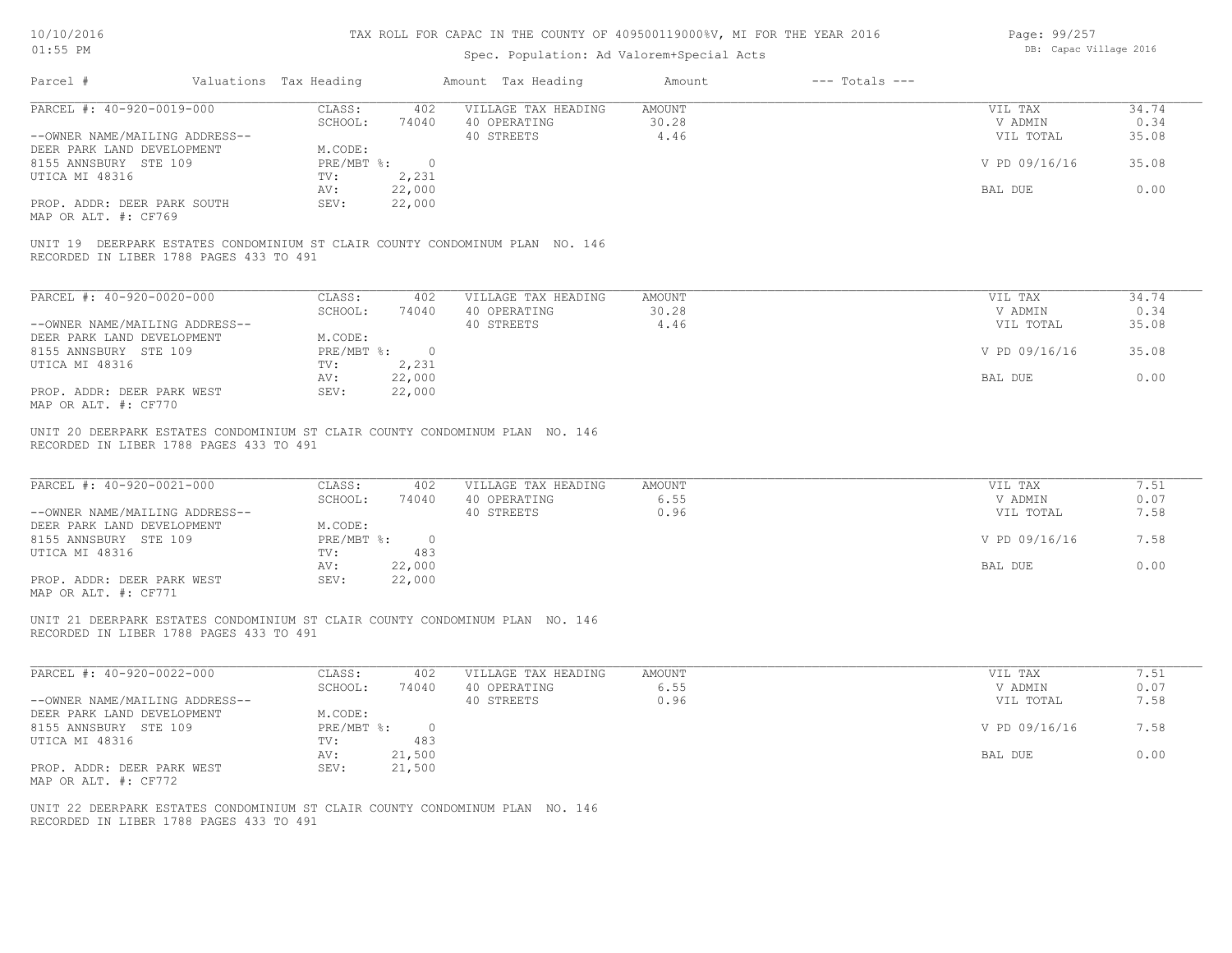| Page: 99/257 |                        |  |
|--------------|------------------------|--|
|              | DB: Capac Village 2016 |  |

| PARCEL #: 40-920-0019-000                                                                                                                                                                                   |                                                               | Amount Tax Heading                                | Amount<br>$---$ Totals $---$ |                                                  |                              |
|-------------------------------------------------------------------------------------------------------------------------------------------------------------------------------------------------------------|---------------------------------------------------------------|---------------------------------------------------|------------------------------|--------------------------------------------------|------------------------------|
|                                                                                                                                                                                                             | CLASS:<br>402<br>SCHOOL:<br>74040                             | VILLAGE TAX HEADING<br>40 OPERATING               | AMOUNT<br>30.28              | VIL TAX<br>V ADMIN                               | 34.74<br>0.34                |
| --OWNER NAME/MAILING ADDRESS--                                                                                                                                                                              |                                                               | 40 STREETS                                        | 4.46                         | VIL TOTAL                                        | 35.08                        |
| DEER PARK LAND DEVELOPMENT                                                                                                                                                                                  | M.CODE:                                                       |                                                   |                              |                                                  |                              |
| 8155 ANNSBURY STE 109<br>UTICA MI 48316                                                                                                                                                                     | $PRE/MBT$ $\frac{1}{6}$ : 0<br>2,231<br>TV:                   |                                                   |                              | V PD 09/16/16                                    | 35.08                        |
|                                                                                                                                                                                                             | 22,000<br>AV:                                                 |                                                   |                              | BAL DUE                                          | 0.00                         |
| PROP. ADDR: DEER PARK SOUTH                                                                                                                                                                                 | 22,000<br>SEV:                                                |                                                   |                              |                                                  |                              |
| MAP OR ALT. #: CF769                                                                                                                                                                                        |                                                               |                                                   |                              |                                                  |                              |
| UNIT 19 DEERPARK ESTATES CONDOMINIUM ST CLAIR COUNTY CONDOMINUM PLAN NO. 146<br>RECORDED IN LIBER 1788 PAGES 433 TO 491                                                                                     |                                                               |                                                   |                              |                                                  |                              |
| PARCEL #: 40-920-0020-000                                                                                                                                                                                   | CLASS:<br>402                                                 | VILLAGE TAX HEADING                               | <b>AMOUNT</b>                | VIL TAX                                          | 34.74                        |
|                                                                                                                                                                                                             | SCHOOL:<br>74040                                              | 40 OPERATING                                      | 30.28                        | V ADMIN                                          | 0.34                         |
| --OWNER NAME/MAILING ADDRESS--                                                                                                                                                                              |                                                               | 40 STREETS                                        | 4.46                         | VIL TOTAL                                        | 35.08                        |
| DEER PARK LAND DEVELOPMENT                                                                                                                                                                                  | M.CODE:                                                       |                                                   |                              |                                                  |                              |
| 8155 ANNSBURY STE 109<br>UTICA MI 48316                                                                                                                                                                     | $PRE/MBT$ $\frac{1}{6}$ : 0<br>TV:<br>2,231                   |                                                   |                              | V PD 09/16/16                                    | 35.08                        |
|                                                                                                                                                                                                             | 22,000<br>AV:                                                 |                                                   |                              | BAL DUE                                          | 0.00                         |
| PROP. ADDR: DEER PARK WEST<br>MAP OR ALT. #: CF770                                                                                                                                                          | 22,000<br>SEV:                                                |                                                   |                              |                                                  |                              |
| PARCEL #: 40-920-0021-000<br>--OWNER NAME/MAILING ADDRESS--                                                                                                                                                 | CLASS:<br>402<br>SCHOOL:<br>74040<br>M.CODE:                  | VILLAGE TAX HEADING<br>40 OPERATING<br>40 STREETS | AMOUNT<br>6.55<br>0.96       | VIL TAX<br>V ADMIN<br>VIL TOTAL<br>V PD 09/16/16 | 7.51<br>0.07<br>7.58<br>7.58 |
| DEER PARK LAND DEVELOPMENT<br>8155 ANNSBURY STE 109<br>UTICA MI 48316<br>PROP. ADDR: DEER PARK WEST<br>MAP OR ALT. #: CF771<br>UNIT 21 DEERPARK ESTATES CONDOMINIUM ST CLAIR COUNTY CONDOMINUM PLAN NO. 146 | PRE/MBT %: 0<br>483<br>TV:<br>22,000<br>AV:<br>22,000<br>SEV: |                                                   |                              | BAL DUE                                          | 0.00                         |
| RECORDED IN LIBER 1788 PAGES 433 TO 491                                                                                                                                                                     |                                                               |                                                   |                              |                                                  |                              |
| PARCEL #: 40-920-0022-000                                                                                                                                                                                   | CLASS:<br>402                                                 | VILLAGE TAX HEADING                               | <b>AMOUNT</b>                | VIL TAX                                          | 7.51                         |
|                                                                                                                                                                                                             | SCHOOL:<br>74040                                              | 40 OPERATING                                      | 6.55                         | V ADMIN                                          | 0.07                         |
| --OWNER NAME/MAILING ADDRESS--                                                                                                                                                                              |                                                               | 40 STREETS                                        | 0.96                         | VIL TOTAL                                        | 7.58                         |
| DEER PARK LAND DEVELOPMENT                                                                                                                                                                                  | M.CODE:                                                       |                                                   |                              |                                                  |                              |
| 8155 ANNSBURY STE 109<br>UTICA MI 48316                                                                                                                                                                     | $PRE/MBT$ $\frac{1}{6}$ : 0<br>483<br>TV:                     |                                                   |                              | V PD 09/16/16                                    | 7.58                         |
|                                                                                                                                                                                                             | 21,500<br>AV:                                                 |                                                   |                              | BAL DUE                                          | 0.00                         |
| PROP. ADDR: DEER PARK WEST<br>MAP OR ALT. #: CF772                                                                                                                                                          | 21,500<br>SEV:                                                |                                                   |                              |                                                  |                              |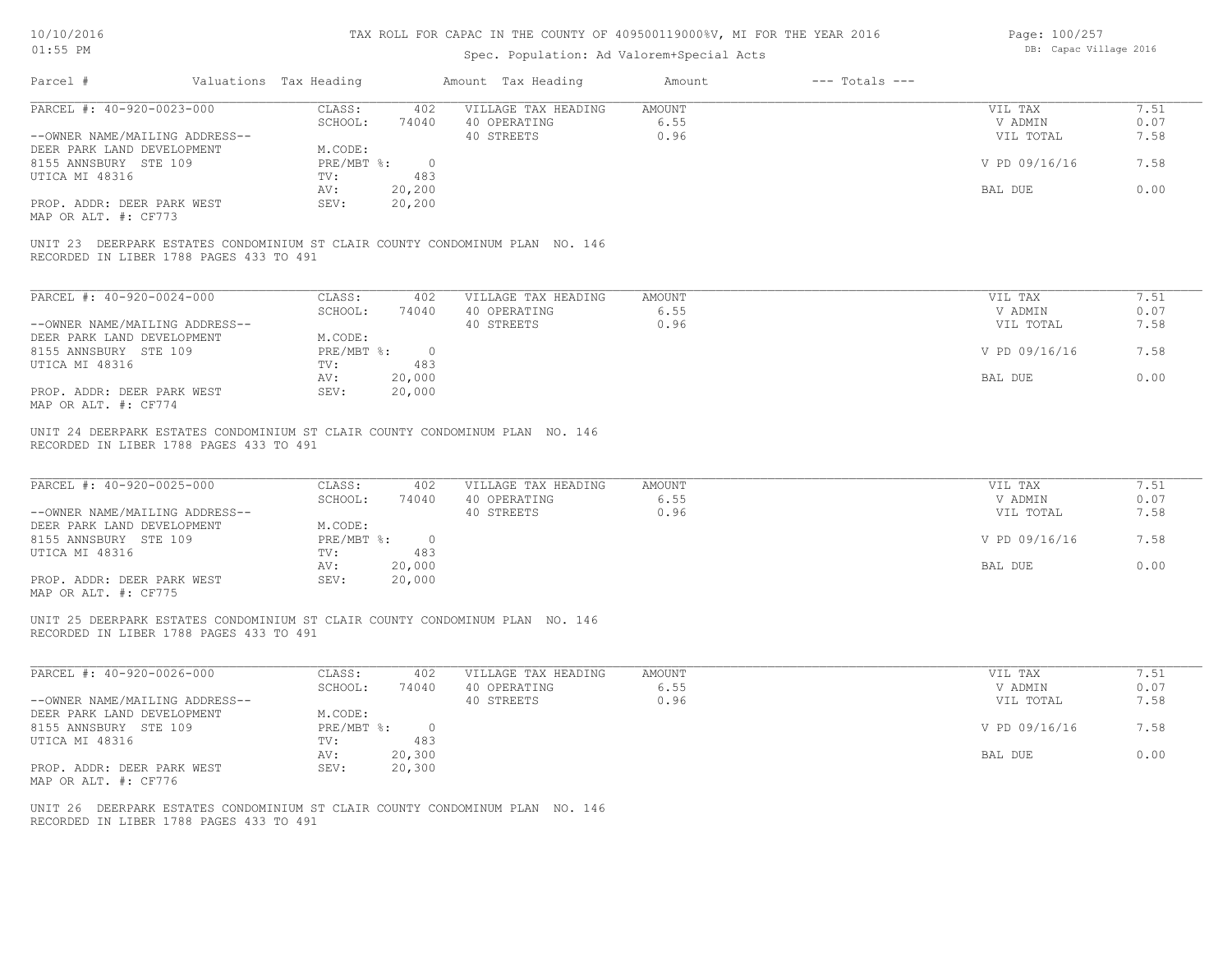| Page: 100/257 |                        |  |
|---------------|------------------------|--|
|               | DB: Capac Village 2016 |  |

| Parcel #                                                                                                                | Valuations Tax Heading          | Amount Tax Heading                           | Amount       | $---$ Totals $---$ |                      |              |
|-------------------------------------------------------------------------------------------------------------------------|---------------------------------|----------------------------------------------|--------------|--------------------|----------------------|--------------|
| PARCEL #: 40-920-0023-000                                                                                               | CLASS:                          | 402 VILLAGE TAX HEADING AMOUNT               |              |                    | VIL TAX              | 7.51         |
| --OWNER NAME/MAILING ADDRESS--                                                                                          | SCHOOL:                         | 74040 40 OPERATING<br>40 STREETS             | 6.55<br>0.96 |                    | V ADMIN<br>VIL TOTAL | 0.07<br>7.58 |
| DEER PARK LAND DEVELOPMENT                                                                                              | M.CODE:                         |                                              |              |                    |                      |              |
| 8155 ANNSBURY STE 109                                                                                                   | PRE/MBT %: 0                    |                                              |              |                    | V PD 09/16/16        | 7.58         |
| UTICA MI 48316                                                                                                          | 483<br>TV:                      |                                              |              |                    |                      |              |
|                                                                                                                         | AV:<br>20,200                   |                                              |              |                    | BAL DUE              | 0.00         |
| PROP. ADDR: DEER PARK WEST<br>MAP OR ALT. #: CF773                                                                      | 20,200<br>SEV:                  |                                              |              |                    |                      |              |
| UNIT 23 DEERPARK ESTATES CONDOMINIUM ST CLAIR COUNTY CONDOMINUM PLAN NO. 146<br>RECORDED IN LIBER 1788 PAGES 433 TO 491 |                                 |                                              |              |                    |                      |              |
|                                                                                                                         |                                 | 402                                          | AMOUNT       |                    | VIL TAX              | 7.51         |
| PARCEL #: 40-920-0024-000                                                                                               | CLASS:<br>SCHOOL:               | VILLAGE TAX HEADING<br>40 OPERATING<br>74040 | 6.55         |                    | V ADMIN              | 0.07         |
| --OWNER NAME/MAILING ADDRESS--                                                                                          |                                 | 40 STREETS                                   | 0.96         |                    | VIL TOTAL            | 7.58         |
| DEER PARK LAND DEVELOPMENT                                                                                              | M.CODE:                         |                                              |              |                    |                      |              |
| 8155 ANNSBURY STE 109                                                                                                   | PRE/MBT %: 0                    |                                              |              |                    | V PD 09/16/16        | 7.58         |
| UTICA MI 48316                                                                                                          | TV:<br>483                      |                                              |              |                    |                      |              |
| PROP. ADDR: DEER PARK WEST                                                                                              | 20,000<br>AV:<br>SEV:<br>20,000 |                                              |              |                    | BAL DUE              | 0.00         |
| MAP OR ALT. #: CF774                                                                                                    |                                 |                                              |              |                    |                      |              |
| RECORDED IN LIBER 1788 PAGES 433 TO 491<br>PARCEL #: 40-920-0025-000                                                    | CLASS:                          | 402<br>VILLAGE TAX HEADING                   | AMOUNT       |                    | VIL TAX              | 7.51         |
| --OWNER NAME/MAILING ADDRESS--                                                                                          | SCHOOL:                         | 74040<br>40 OPERATING<br>40 STREETS          | 6.55<br>0.96 |                    | V ADMIN<br>VIL TOTAL | 0.07<br>7.58 |
| DEER PARK LAND DEVELOPMENT                                                                                              | M.CODE:                         |                                              |              |                    |                      |              |
| 8155 ANNSBURY STE 109                                                                                                   | PRE/MBT %: 0                    |                                              |              |                    | V PD 09/16/16        | 7.58         |
| UTICA MI 48316                                                                                                          | TV:<br>483                      |                                              |              |                    |                      |              |
|                                                                                                                         | 20,000<br>AV:                   |                                              |              |                    | BAL DUE              | 0.00         |
| PROP. ADDR: DEER PARK WEST<br>MAP OR ALT. #: CF775                                                                      | 20,000<br>SEV:                  |                                              |              |                    |                      |              |
| UNIT 25 DEERPARK ESTATES CONDOMINIUM ST CLAIR COUNTY CONDOMINUM PLAN NO. 146<br>RECORDED IN LIBER 1788 PAGES 433 TO 491 |                                 |                                              |              |                    |                      |              |
| PARCEL #: 40-920-0026-000                                                                                               | CLASS:                          | VILLAGE TAX HEADING<br>402                   | AMOUNT       |                    | VIL TAX              | 7.51         |
|                                                                                                                         | SCHOOL:                         | 74040<br>40 OPERATING                        | 6.55         |                    | V ADMIN              | 0.07         |
| --OWNER NAME/MAILING ADDRESS--                                                                                          |                                 | 40 STREETS                                   | 0.96         |                    | VIL TOTAL            | 7.58         |
| DEER PARK LAND DEVELOPMENT                                                                                              | M.CODE:                         |                                              |              |                    |                      |              |
| 8155 ANNSBURY STE 109                                                                                                   | PRE/MBT %: 0                    |                                              |              |                    | V PD 09/16/16        | 7.58         |
| UTICA MI 48316                                                                                                          | 483<br>TV:<br>20,300<br>AV:     |                                              |              |                    | BAL DUE              | 0.00         |
| PROP. ADDR: DEER PARK WEST<br>MAP OR ALT. #: CF776                                                                      | SEV:<br>20,300                  |                                              |              |                    |                      |              |
| UNIT 26 DEERPARK ESTATES CONDOMINIUM ST CLAIR COUNTY CONDOMINUM PLAN NO. 146                                            |                                 |                                              |              |                    |                      |              |
| RECORDED IN LIBER 1788 PAGES 433 TO 491                                                                                 |                                 |                                              |              |                    |                      |              |
|                                                                                                                         |                                 |                                              |              |                    |                      |              |
|                                                                                                                         |                                 |                                              |              |                    |                      |              |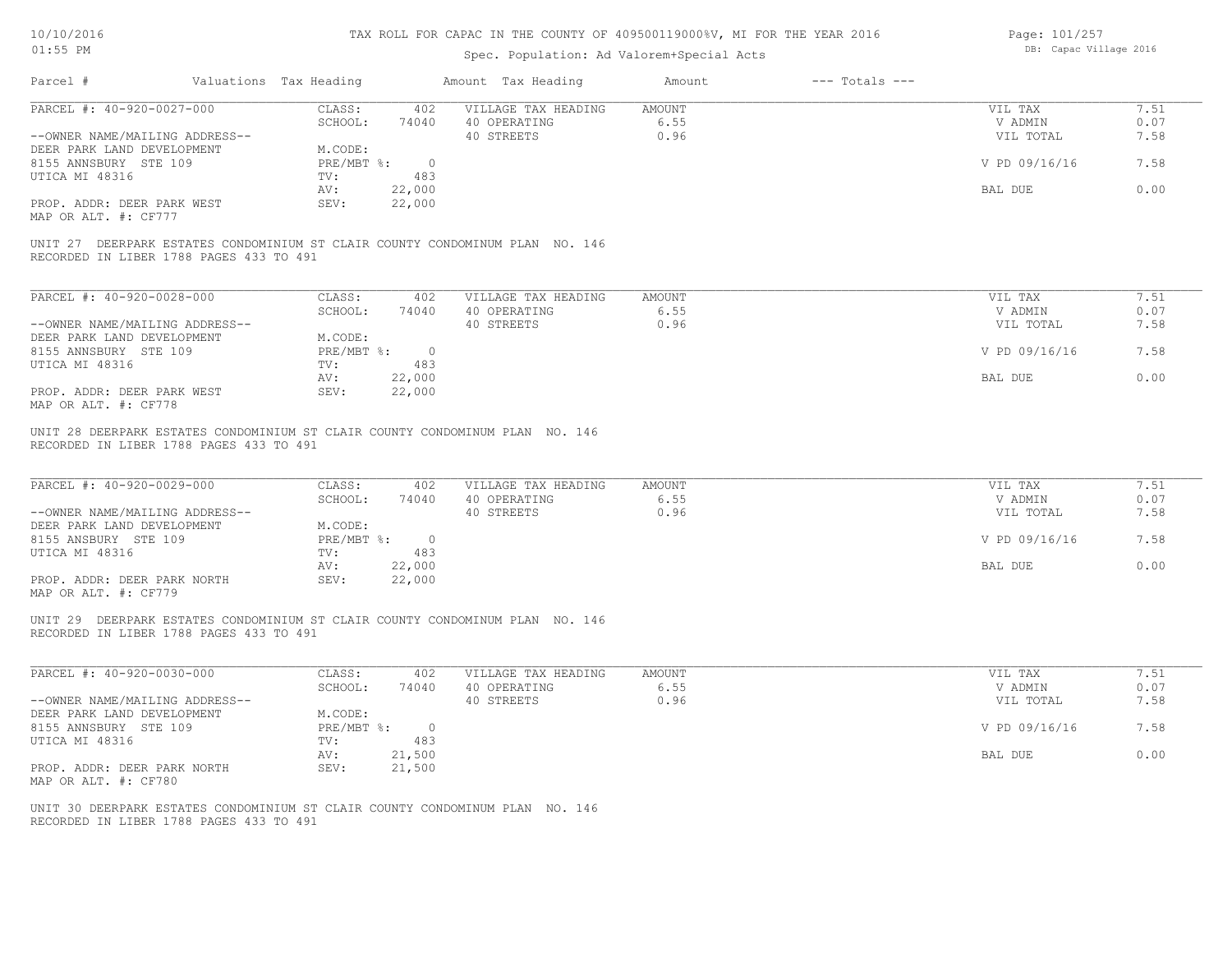| Page: 101/257 |                        |  |
|---------------|------------------------|--|
|               | DB: Capac Village 2016 |  |

| PARCEL #: 40-920-0027-000                                                                                                                                                                                                                                                              | CLASS:<br>402                                                                               | VILLAGE TAX HEADING                               | AMOUNT                        | VIL TAX                                                     | 7.51                                 |
|----------------------------------------------------------------------------------------------------------------------------------------------------------------------------------------------------------------------------------------------------------------------------------------|---------------------------------------------------------------------------------------------|---------------------------------------------------|-------------------------------|-------------------------------------------------------------|--------------------------------------|
| --OWNER NAME/MAILING ADDRESS--                                                                                                                                                                                                                                                         | SCHOOL:<br>74040                                                                            | 40 OPERATING<br>40 STREETS                        | 6.55<br>0.96                  | V ADMIN<br>VIL TOTAL                                        | 0.07<br>7.58                         |
| DEER PARK LAND DEVELOPMENT                                                                                                                                                                                                                                                             | M.CODE:                                                                                     |                                                   |                               |                                                             |                                      |
| 8155 ANNSBURY STE 109                                                                                                                                                                                                                                                                  | $PRE/MBT$ %:<br>$\overline{0}$                                                              |                                                   |                               | V PD 09/16/16                                               | 7.58                                 |
| UTICA MI 48316                                                                                                                                                                                                                                                                         | TV:<br>483                                                                                  |                                                   |                               |                                                             |                                      |
|                                                                                                                                                                                                                                                                                        | 22,000<br>AV:                                                                               |                                                   |                               | BAL DUE                                                     | 0.00                                 |
| PROP. ADDR: DEER PARK WEST                                                                                                                                                                                                                                                             | SEV:<br>22,000                                                                              |                                                   |                               |                                                             |                                      |
| MAP OR ALT. #: CF777                                                                                                                                                                                                                                                                   |                                                                                             |                                                   |                               |                                                             |                                      |
| UNIT 27 DEERPARK ESTATES CONDOMINIUM ST CLAIR COUNTY CONDOMINUM PLAN NO. 146                                                                                                                                                                                                           |                                                                                             |                                                   |                               |                                                             |                                      |
| RECORDED IN LIBER 1788 PAGES 433 TO 491                                                                                                                                                                                                                                                |                                                                                             |                                                   |                               |                                                             |                                      |
|                                                                                                                                                                                                                                                                                        |                                                                                             |                                                   |                               |                                                             |                                      |
| PARCEL #: 40-920-0028-000                                                                                                                                                                                                                                                              | CLASS:<br>402                                                                               | VILLAGE TAX HEADING                               | <b>AMOUNT</b>                 | VIL TAX                                                     | 7.51                                 |
|                                                                                                                                                                                                                                                                                        | SCHOOL:<br>74040                                                                            | 40 OPERATING                                      | 6.55                          | V ADMIN                                                     | 0.07                                 |
| --OWNER NAME/MAILING ADDRESS--                                                                                                                                                                                                                                                         |                                                                                             | 40 STREETS                                        | 0.96                          | VIL TOTAL                                                   | 7.58                                 |
| DEER PARK LAND DEVELOPMENT                                                                                                                                                                                                                                                             | M.CODE:                                                                                     |                                                   |                               |                                                             |                                      |
| 8155 ANNSBURY STE 109<br>UTICA MI 48316                                                                                                                                                                                                                                                | PRE/MBT %: 0<br>483<br>TV:                                                                  |                                                   |                               | V PD 09/16/16                                               | 7.58                                 |
|                                                                                                                                                                                                                                                                                        | AV:<br>22,000                                                                               |                                                   |                               | BAL DUE                                                     | 0.00                                 |
| PROP. ADDR: DEER PARK WEST                                                                                                                                                                                                                                                             | SEV:<br>22,000                                                                              |                                                   |                               |                                                             |                                      |
|                                                                                                                                                                                                                                                                                        |                                                                                             |                                                   |                               |                                                             |                                      |
|                                                                                                                                                                                                                                                                                        |                                                                                             |                                                   |                               |                                                             |                                      |
| MAP OR ALT. #: CF778<br>UNIT 28 DEERPARK ESTATES CONDOMINIUM ST CLAIR COUNTY CONDOMINUM PLAN NO. 146<br>RECORDED IN LIBER 1788 PAGES 433 TO 491<br>PARCEL #: 40-920-0029-000<br>--OWNER NAME/MAILING ADDRESS--<br>DEER PARK LAND DEVELOPMENT<br>8155 ANSBURY STE 109<br>UTICA MI 48316 | CLASS:<br>402<br>SCHOOL:<br>74040<br>M.CODE:<br>PRE/MBT %: 0<br>483<br>TV:<br>22,000<br>AV: | VILLAGE TAX HEADING<br>40 OPERATING<br>40 STREETS | <b>AMOUNT</b><br>6.55<br>0.96 | VIL TAX<br>V ADMIN<br>VIL TOTAL<br>V PD 09/16/16<br>BAL DUE | 7.51<br>0.07<br>7.58<br>7.58<br>0.00 |
| PROP. ADDR: DEER PARK NORTH<br>MAP OR ALT. #: CF779                                                                                                                                                                                                                                    | 22,000<br>SEV:                                                                              |                                                   |                               |                                                             |                                      |
| UNIT 29 DEERPARK ESTATES CONDOMINIUM ST CLAIR COUNTY CONDOMINUM PLAN NO. 146<br>RECORDED IN LIBER 1788 PAGES 433 TO 491                                                                                                                                                                |                                                                                             |                                                   |                               |                                                             |                                      |
| PARCEL #: 40-920-0030-000                                                                                                                                                                                                                                                              | CLASS:<br>402                                                                               | VILLAGE TAX HEADING                               | <b>AMOUNT</b>                 | VIL TAX                                                     | 7.51                                 |
|                                                                                                                                                                                                                                                                                        | SCHOOL:<br>74040                                                                            | 40 OPERATING                                      | 6.55                          | V ADMIN                                                     | 0.07                                 |
|                                                                                                                                                                                                                                                                                        |                                                                                             | 40 STREETS                                        | 0.96                          | VIL TOTAL                                                   | 7.58                                 |
|                                                                                                                                                                                                                                                                                        | M.CODE:                                                                                     |                                                   |                               | V PD 09/16/16                                               | 7.58                                 |
| --OWNER NAME/MAILING ADDRESS--<br>DEER PARK LAND DEVELOPMENT<br>8155 ANNSBURY STE 109                                                                                                                                                                                                  | PRE/MBT %: 0<br>TV:<br>483                                                                  |                                                   |                               |                                                             |                                      |
| UTICA MI 48316                                                                                                                                                                                                                                                                         | AV:<br>21,500                                                                               |                                                   |                               | BAL DUE                                                     | 0.00                                 |
| PROP. ADDR: DEER PARK NORTH<br>MAP OR ALT. #: CF780                                                                                                                                                                                                                                    | 21,500<br>SEV:                                                                              |                                                   |                               |                                                             |                                      |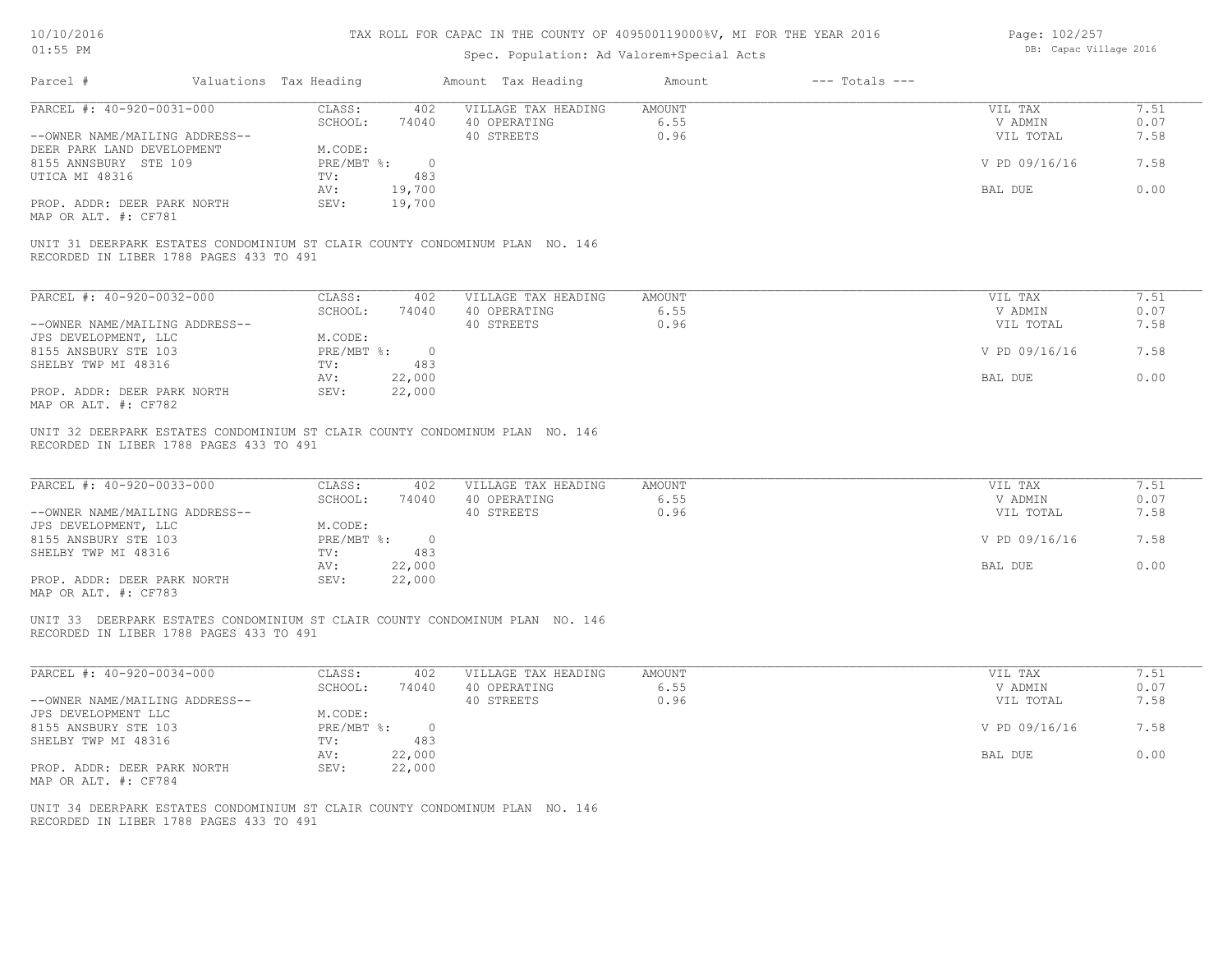| Page: 102/257 |                        |  |
|---------------|------------------------|--|
|               | DB: Capac Village 2016 |  |

| Parcel #                                                                                                                | Valuations Tax Heading             | Amount Tax Heading                                | Amount                 | $---$ Totals $---$ |                                 |                      |
|-------------------------------------------------------------------------------------------------------------------------|------------------------------------|---------------------------------------------------|------------------------|--------------------|---------------------------------|----------------------|
| PARCEL #: 40-920-0031-000                                                                                               | CLASS:<br>402                      | VILLAGE TAX HEADING                               | AMOUNT                 |                    | VIL TAX                         | 7.51                 |
|                                                                                                                         | SCHOOL:<br>74040                   | 40 OPERATING                                      | 6.55                   |                    | V ADMIN                         | 0.07                 |
| --OWNER NAME/MAILING ADDRESS--                                                                                          |                                    | 40 STREETS                                        | 0.96                   |                    | VIL TOTAL                       | 7.58                 |
| DEER PARK LAND DEVELOPMENT                                                                                              | M.CODE:                            |                                                   |                        |                    |                                 |                      |
| 8155 ANNSBURY STE 109                                                                                                   | $PRE/MBT$ %:<br>$\overline{0}$     |                                                   |                        |                    | V PD 09/16/16                   | 7.58                 |
| UTICA MI 48316                                                                                                          | TV:<br>483                         |                                                   |                        |                    |                                 |                      |
|                                                                                                                         | AV:<br>19,700                      |                                                   |                        |                    | BAL DUE                         | 0.00                 |
| PROP. ADDR: DEER PARK NORTH<br>MAP OR ALT. #: CF781                                                                     | SEV:<br>19,700                     |                                                   |                        |                    |                                 |                      |
| UNIT 31 DEERPARK ESTATES CONDOMINIUM ST CLAIR COUNTY CONDOMINUM PLAN NO. 146<br>RECORDED IN LIBER 1788 PAGES 433 TO 491 |                                    |                                                   |                        |                    |                                 |                      |
| PARCEL #: 40-920-0032-000                                                                                               | CLASS:<br>402                      | VILLAGE TAX HEADING                               | <b>AMOUNT</b>          |                    | VIL TAX                         | 7.51                 |
|                                                                                                                         | SCHOOL:<br>74040                   | 40 OPERATING                                      | 6.55                   |                    | V ADMIN                         | 0.07                 |
| --OWNER NAME/MAILING ADDRESS--                                                                                          |                                    | 40 STREETS                                        | 0.96                   |                    | VIL TOTAL                       | 7.58                 |
| JPS DEVELOPMENT, LLC                                                                                                    | M.CODE:                            |                                                   |                        |                    |                                 |                      |
| 8155 ANSBURY STE 103                                                                                                    | $PRE/MBT$ $\div$<br>$\overline{0}$ |                                                   |                        |                    | V PD 09/16/16                   | 7.58                 |
| SHELBY TWP MI 48316                                                                                                     | TV:<br>483                         |                                                   |                        |                    |                                 |                      |
|                                                                                                                         | 22,000<br>AV:                      |                                                   |                        |                    | BAL DUE                         | 0.00                 |
| PROP. ADDR: DEER PARK NORTH                                                                                             | 22,000<br>SEV:                     |                                                   |                        |                    |                                 |                      |
| MAP OR ALT. #: CF782                                                                                                    |                                    |                                                   |                        |                    |                                 |                      |
|                                                                                                                         |                                    |                                                   |                        |                    |                                 |                      |
| UNIT 32 DEERPARK ESTATES CONDOMINIUM ST CLAIR COUNTY CONDOMINUM PLAN NO. 146<br>RECORDED IN LIBER 1788 PAGES 433 TO 491 |                                    |                                                   |                        |                    |                                 |                      |
| PARCEL #: 40-920-0033-000<br>--OWNER NAME/MAILING ADDRESS--                                                             | CLASS:<br>402<br>SCHOOL:<br>74040  | VILLAGE TAX HEADING<br>40 OPERATING<br>40 STREETS | AMOUNT<br>6.55<br>0.96 |                    | VIL TAX<br>V ADMIN<br>VIL TOTAL | 7.51<br>0.07<br>7.58 |
| JPS DEVELOPMENT, LLC                                                                                                    | M.CODE:                            |                                                   |                        |                    |                                 |                      |
| 8155 ANSBURY STE 103                                                                                                    | PRE/MBT %: 0                       |                                                   |                        |                    | V PD 09/16/16                   | 7.58                 |
| SHELBY TWP MI 48316                                                                                                     | 483<br>TV:                         |                                                   |                        |                    |                                 |                      |
|                                                                                                                         | 22,000<br>AV:                      |                                                   |                        |                    | BAL DUE                         | 0.00                 |
| PROP. ADDR: DEER PARK NORTH<br>MAP OR ALT. #: CF783                                                                     | SEV:<br>22,000                     |                                                   |                        |                    |                                 |                      |
| UNIT 33 DEERPARK ESTATES CONDOMINIUM ST CLAIR COUNTY CONDOMINUM PLAN NO. 146<br>RECORDED IN LIBER 1788 PAGES 433 TO 491 |                                    |                                                   |                        |                    |                                 |                      |
| PARCEL #: 40-920-0034-000                                                                                               | CLASS:<br>402                      | VILLAGE TAX HEADING                               | <b>AMOUNT</b>          |                    | VIL TAX                         | 7.51                 |
|                                                                                                                         | SCHOOL:<br>74040                   | 40 OPERATING                                      | 6.55                   |                    | V ADMIN                         | 0.07                 |
| --OWNER NAME/MAILING ADDRESS--                                                                                          |                                    | 40 STREETS                                        | 0.96                   |                    | VIL TOTAL                       | 7.58                 |
| JPS DEVELOPMENT LLC                                                                                                     | M.CODE:                            |                                                   |                        |                    |                                 |                      |
| 8155 ANSBURY STE 103                                                                                                    | $PRE/MBT$ %:<br>$\overline{0}$     |                                                   |                        |                    | V PD 09/16/16                   | 7.58                 |
| SHELBY TWP MI 48316                                                                                                     | 483<br>TV:                         |                                                   |                        |                    |                                 |                      |
|                                                                                                                         | AV:<br>22,000                      |                                                   |                        |                    | BAL DUE                         | 0.00                 |
| PROP. ADDR: DEER PARK NORTH<br>MAP OR ALT. #: CF784                                                                     | SEV:<br>22,000                     |                                                   |                        |                    |                                 |                      |
| UNIT 34 DEERPARK ESTATES CONDOMINIUM ST CLAIR COUNTY CONDOMINUM PLAN NO. 146<br>RECORDED IN LIBER 1788 PAGES 433 TO 491 |                                    |                                                   |                        |                    |                                 |                      |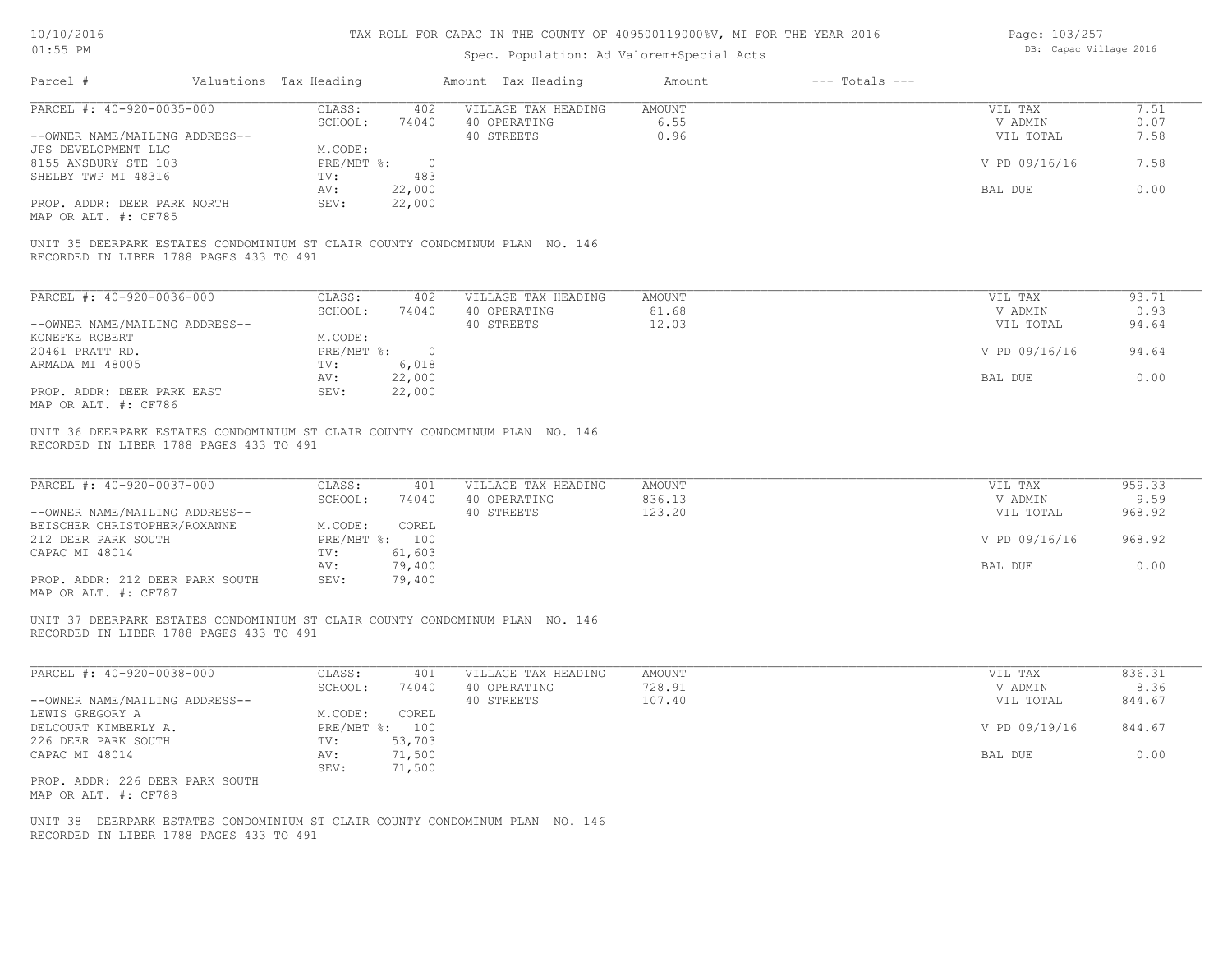| Page: 103/257 |                        |  |
|---------------|------------------------|--|
|               | DB: Capac Village 2016 |  |

| PARCEL #: 40-920-0035-000<br>CLASS:<br>402<br>SCHOOL:<br>74040<br>--OWNER NAME/MAILING ADDRESS--<br>JPS DEVELOPMENT LLC<br>M.CODE:<br>8155 ANSBURY STE 103<br>PRE/MBT %:<br>$\overline{0}$<br>483<br>SHELBY TWP MI 48316<br>TV:<br>22,000<br>AV:<br>SEV:<br>22,000<br>PROP. ADDR: DEER PARK NORTH<br>MAP OR ALT. #: CF785<br>UNIT 35 DEERPARK ESTATES CONDOMINIUM ST CLAIR COUNTY CONDOMINUM PLAN NO. 146<br>RECORDED IN LIBER 1788 PAGES 433 TO 491<br>PARCEL #: 40-920-0036-000<br>CLASS:<br>402<br>SCHOOL:<br>74040<br>--OWNER NAME/MAILING ADDRESS--<br>KONEFKE ROBERT<br>M.CODE:<br>20461 PRATT RD.<br>PRE/MBT %: 0<br>6,018<br>ARMADA MI 48005<br>TV:<br>22,000<br>AV:<br>PROP. ADDR: DEER PARK EAST<br>SEV:<br>22,000<br>MAP OR ALT. #: CF786<br>UNIT 36 DEERPARK ESTATES CONDOMINIUM ST CLAIR COUNTY CONDOMINUM PLAN NO. 146<br>RECORDED IN LIBER 1788 PAGES 433 TO 491<br>PARCEL #: 40-920-0037-000<br>CLASS:<br>401<br>SCHOOL:<br>74040<br>--OWNER NAME/MAILING ADDRESS--<br>M.CODE:<br>COREL<br>BEISCHER CHRISTOPHER/ROXANNE<br>212 DEER PARK SOUTH<br>PRE/MBT %: 100<br>61,603<br>CAPAC MI 48014<br>TV:<br>79,400<br>AV:<br>SEV:<br>PROP. ADDR: 212 DEER PARK SOUTH<br>79,400<br>MAP OR ALT. #: CF787<br>UNIT 37 DEERPARK ESTATES CONDOMINIUM ST CLAIR COUNTY CONDOMINUM PLAN NO. 146<br>RECORDED IN LIBER 1788 PAGES 433 TO 491<br>PARCEL #: 40-920-0038-000<br>CLASS:<br>401 | VILLAGE TAX HEADING<br>40 OPERATING<br>40 STREETS<br>VILLAGE TAX HEADING<br>40 OPERATING<br>40 STREETS<br>VILLAGE TAX HEADING<br>40 OPERATING<br>40 STREETS | <b>AMOUNT</b><br>6.55<br>0.96<br><b>AMOUNT</b><br>81.68<br>12.03<br>AMOUNT<br>836.13<br>123.20 | VIL TAX<br>V ADMIN<br>VIL TOTAL<br>V PD 09/16/16<br>BAL DUE<br>VIL TAX<br>V ADMIN<br>VIL TOTAL<br>V PD 09/16/16<br>BAL DUE<br>VIL TAX<br>V ADMIN | 7.51<br>0.07<br>7.58<br>7.58<br>0.00<br>93.71<br>0.93<br>94.64<br>94.64<br>0.00<br>959.33 |
|--------------------------------------------------------------------------------------------------------------------------------------------------------------------------------------------------------------------------------------------------------------------------------------------------------------------------------------------------------------------------------------------------------------------------------------------------------------------------------------------------------------------------------------------------------------------------------------------------------------------------------------------------------------------------------------------------------------------------------------------------------------------------------------------------------------------------------------------------------------------------------------------------------------------------------------------------------------------------------------------------------------------------------------------------------------------------------------------------------------------------------------------------------------------------------------------------------------------------------------------------------------------------------------------------------------------------------------------------------------------------------------------|-------------------------------------------------------------------------------------------------------------------------------------------------------------|------------------------------------------------------------------------------------------------|--------------------------------------------------------------------------------------------------------------------------------------------------|-------------------------------------------------------------------------------------------|
|                                                                                                                                                                                                                                                                                                                                                                                                                                                                                                                                                                                                                                                                                                                                                                                                                                                                                                                                                                                                                                                                                                                                                                                                                                                                                                                                                                                            |                                                                                                                                                             |                                                                                                |                                                                                                                                                  |                                                                                           |
|                                                                                                                                                                                                                                                                                                                                                                                                                                                                                                                                                                                                                                                                                                                                                                                                                                                                                                                                                                                                                                                                                                                                                                                                                                                                                                                                                                                            |                                                                                                                                                             |                                                                                                |                                                                                                                                                  |                                                                                           |
|                                                                                                                                                                                                                                                                                                                                                                                                                                                                                                                                                                                                                                                                                                                                                                                                                                                                                                                                                                                                                                                                                                                                                                                                                                                                                                                                                                                            |                                                                                                                                                             |                                                                                                |                                                                                                                                                  |                                                                                           |
|                                                                                                                                                                                                                                                                                                                                                                                                                                                                                                                                                                                                                                                                                                                                                                                                                                                                                                                                                                                                                                                                                                                                                                                                                                                                                                                                                                                            |                                                                                                                                                             |                                                                                                |                                                                                                                                                  |                                                                                           |
|                                                                                                                                                                                                                                                                                                                                                                                                                                                                                                                                                                                                                                                                                                                                                                                                                                                                                                                                                                                                                                                                                                                                                                                                                                                                                                                                                                                            |                                                                                                                                                             |                                                                                                |                                                                                                                                                  |                                                                                           |
|                                                                                                                                                                                                                                                                                                                                                                                                                                                                                                                                                                                                                                                                                                                                                                                                                                                                                                                                                                                                                                                                                                                                                                                                                                                                                                                                                                                            |                                                                                                                                                             |                                                                                                |                                                                                                                                                  |                                                                                           |
|                                                                                                                                                                                                                                                                                                                                                                                                                                                                                                                                                                                                                                                                                                                                                                                                                                                                                                                                                                                                                                                                                                                                                                                                                                                                                                                                                                                            |                                                                                                                                                             |                                                                                                |                                                                                                                                                  |                                                                                           |
|                                                                                                                                                                                                                                                                                                                                                                                                                                                                                                                                                                                                                                                                                                                                                                                                                                                                                                                                                                                                                                                                                                                                                                                                                                                                                                                                                                                            |                                                                                                                                                             |                                                                                                |                                                                                                                                                  |                                                                                           |
|                                                                                                                                                                                                                                                                                                                                                                                                                                                                                                                                                                                                                                                                                                                                                                                                                                                                                                                                                                                                                                                                                                                                                                                                                                                                                                                                                                                            |                                                                                                                                                             |                                                                                                |                                                                                                                                                  |                                                                                           |
|                                                                                                                                                                                                                                                                                                                                                                                                                                                                                                                                                                                                                                                                                                                                                                                                                                                                                                                                                                                                                                                                                                                                                                                                                                                                                                                                                                                            |                                                                                                                                                             |                                                                                                |                                                                                                                                                  |                                                                                           |
|                                                                                                                                                                                                                                                                                                                                                                                                                                                                                                                                                                                                                                                                                                                                                                                                                                                                                                                                                                                                                                                                                                                                                                                                                                                                                                                                                                                            |                                                                                                                                                             |                                                                                                |                                                                                                                                                  |                                                                                           |
|                                                                                                                                                                                                                                                                                                                                                                                                                                                                                                                                                                                                                                                                                                                                                                                                                                                                                                                                                                                                                                                                                                                                                                                                                                                                                                                                                                                            |                                                                                                                                                             |                                                                                                |                                                                                                                                                  |                                                                                           |
|                                                                                                                                                                                                                                                                                                                                                                                                                                                                                                                                                                                                                                                                                                                                                                                                                                                                                                                                                                                                                                                                                                                                                                                                                                                                                                                                                                                            |                                                                                                                                                             |                                                                                                |                                                                                                                                                  |                                                                                           |
|                                                                                                                                                                                                                                                                                                                                                                                                                                                                                                                                                                                                                                                                                                                                                                                                                                                                                                                                                                                                                                                                                                                                                                                                                                                                                                                                                                                            |                                                                                                                                                             |                                                                                                |                                                                                                                                                  |                                                                                           |
|                                                                                                                                                                                                                                                                                                                                                                                                                                                                                                                                                                                                                                                                                                                                                                                                                                                                                                                                                                                                                                                                                                                                                                                                                                                                                                                                                                                            |                                                                                                                                                             |                                                                                                |                                                                                                                                                  |                                                                                           |
|                                                                                                                                                                                                                                                                                                                                                                                                                                                                                                                                                                                                                                                                                                                                                                                                                                                                                                                                                                                                                                                                                                                                                                                                                                                                                                                                                                                            |                                                                                                                                                             |                                                                                                |                                                                                                                                                  |                                                                                           |
|                                                                                                                                                                                                                                                                                                                                                                                                                                                                                                                                                                                                                                                                                                                                                                                                                                                                                                                                                                                                                                                                                                                                                                                                                                                                                                                                                                                            |                                                                                                                                                             |                                                                                                |                                                                                                                                                  |                                                                                           |
|                                                                                                                                                                                                                                                                                                                                                                                                                                                                                                                                                                                                                                                                                                                                                                                                                                                                                                                                                                                                                                                                                                                                                                                                                                                                                                                                                                                            |                                                                                                                                                             |                                                                                                |                                                                                                                                                  | 9.59                                                                                      |
|                                                                                                                                                                                                                                                                                                                                                                                                                                                                                                                                                                                                                                                                                                                                                                                                                                                                                                                                                                                                                                                                                                                                                                                                                                                                                                                                                                                            |                                                                                                                                                             |                                                                                                | VIL TOTAL                                                                                                                                        | 968.92                                                                                    |
|                                                                                                                                                                                                                                                                                                                                                                                                                                                                                                                                                                                                                                                                                                                                                                                                                                                                                                                                                                                                                                                                                                                                                                                                                                                                                                                                                                                            |                                                                                                                                                             |                                                                                                |                                                                                                                                                  |                                                                                           |
|                                                                                                                                                                                                                                                                                                                                                                                                                                                                                                                                                                                                                                                                                                                                                                                                                                                                                                                                                                                                                                                                                                                                                                                                                                                                                                                                                                                            |                                                                                                                                                             |                                                                                                | V PD 09/16/16                                                                                                                                    | 968.92                                                                                    |
|                                                                                                                                                                                                                                                                                                                                                                                                                                                                                                                                                                                                                                                                                                                                                                                                                                                                                                                                                                                                                                                                                                                                                                                                                                                                                                                                                                                            |                                                                                                                                                             |                                                                                                | BAL DUE                                                                                                                                          | 0.00                                                                                      |
|                                                                                                                                                                                                                                                                                                                                                                                                                                                                                                                                                                                                                                                                                                                                                                                                                                                                                                                                                                                                                                                                                                                                                                                                                                                                                                                                                                                            |                                                                                                                                                             |                                                                                                |                                                                                                                                                  |                                                                                           |
|                                                                                                                                                                                                                                                                                                                                                                                                                                                                                                                                                                                                                                                                                                                                                                                                                                                                                                                                                                                                                                                                                                                                                                                                                                                                                                                                                                                            |                                                                                                                                                             |                                                                                                |                                                                                                                                                  |                                                                                           |
|                                                                                                                                                                                                                                                                                                                                                                                                                                                                                                                                                                                                                                                                                                                                                                                                                                                                                                                                                                                                                                                                                                                                                                                                                                                                                                                                                                                            | VILLAGE TAX HEADING                                                                                                                                         | <b>AMOUNT</b>                                                                                  | VIL TAX                                                                                                                                          | 836.31                                                                                    |
| SCHOOL:<br>74040                                                                                                                                                                                                                                                                                                                                                                                                                                                                                                                                                                                                                                                                                                                                                                                                                                                                                                                                                                                                                                                                                                                                                                                                                                                                                                                                                                           | 40 OPERATING                                                                                                                                                | 728.91                                                                                         | V ADMIN                                                                                                                                          | 8.36                                                                                      |
| --OWNER NAME/MAILING ADDRESS--                                                                                                                                                                                                                                                                                                                                                                                                                                                                                                                                                                                                                                                                                                                                                                                                                                                                                                                                                                                                                                                                                                                                                                                                                                                                                                                                                             | 40 STREETS                                                                                                                                                  | 107.40                                                                                         | VIL TOTAL                                                                                                                                        | 844.67                                                                                    |
| COREL<br>LEWIS GREGORY A<br>M.CODE:                                                                                                                                                                                                                                                                                                                                                                                                                                                                                                                                                                                                                                                                                                                                                                                                                                                                                                                                                                                                                                                                                                                                                                                                                                                                                                                                                        |                                                                                                                                                             |                                                                                                |                                                                                                                                                  |                                                                                           |
| PRE/MBT %: 100<br>DELCOURT KIMBERLY A.                                                                                                                                                                                                                                                                                                                                                                                                                                                                                                                                                                                                                                                                                                                                                                                                                                                                                                                                                                                                                                                                                                                                                                                                                                                                                                                                                     |                                                                                                                                                             |                                                                                                | V PD 09/19/16                                                                                                                                    | 844.67                                                                                    |
| 226 DEER PARK SOUTH<br>53,703<br>TV:<br>CAPAC MI 48014<br>71,500<br>AV:                                                                                                                                                                                                                                                                                                                                                                                                                                                                                                                                                                                                                                                                                                                                                                                                                                                                                                                                                                                                                                                                                                                                                                                                                                                                                                                    |                                                                                                                                                             |                                                                                                | BAL DUE                                                                                                                                          | 0.00                                                                                      |
| SEV:<br>71,500                                                                                                                                                                                                                                                                                                                                                                                                                                                                                                                                                                                                                                                                                                                                                                                                                                                                                                                                                                                                                                                                                                                                                                                                                                                                                                                                                                             |                                                                                                                                                             |                                                                                                |                                                                                                                                                  |                                                                                           |
| PROP. ADDR: 226 DEER PARK SOUTH<br>MAP OR ALT. #: CF788                                                                                                                                                                                                                                                                                                                                                                                                                                                                                                                                                                                                                                                                                                                                                                                                                                                                                                                                                                                                                                                                                                                                                                                                                                                                                                                                    |                                                                                                                                                             |                                                                                                |                                                                                                                                                  |                                                                                           |
| UNIT 38 DEERPARK ESTATES CONDOMINIUM ST CLAIR COUNTY CONDOMINUM PLAN NO. 146<br>RECORDED IN LIBER 1788 PAGES 433 TO 491                                                                                                                                                                                                                                                                                                                                                                                                                                                                                                                                                                                                                                                                                                                                                                                                                                                                                                                                                                                                                                                                                                                                                                                                                                                                    |                                                                                                                                                             |                                                                                                |                                                                                                                                                  |                                                                                           |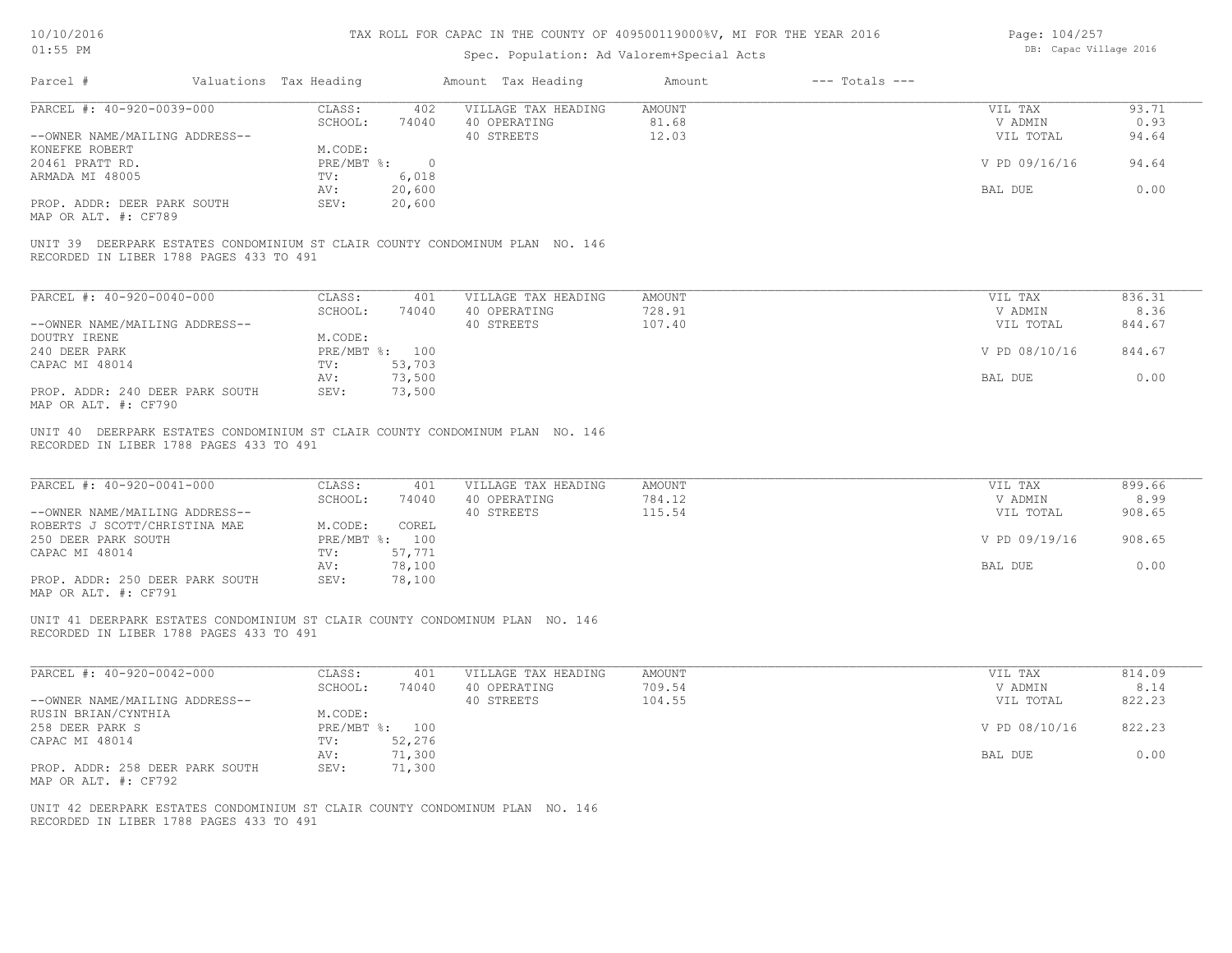| 10/10/2016 |  |
|------------|--|
| $01:55$ PM |  |

| Page: 104/257 |                        |  |
|---------------|------------------------|--|
|               | DB: Capac Village 2016 |  |

| Parcel #<br>Valuations Tax Heading                                                                                      |                                   | Amount Tax Heading                                | $---$ Totals $---$<br>Amount      |                                 |                          |
|-------------------------------------------------------------------------------------------------------------------------|-----------------------------------|---------------------------------------------------|-----------------------------------|---------------------------------|--------------------------|
| PARCEL #: 40-920-0039-000                                                                                               | CLASS:<br>402                     | VILLAGE TAX HEADING                               | AMOUNT                            | VIL TAX                         | 93.71                    |
|                                                                                                                         | SCHOOL:<br>74040                  | 40 OPERATING                                      | 81.68                             | V ADMIN                         | 0.93                     |
| --OWNER NAME/MAILING ADDRESS--                                                                                          |                                   | 40 STREETS                                        | 12.03                             | VIL TOTAL                       | 94.64                    |
| KONEFKE ROBERT                                                                                                          | M.CODE:                           |                                                   |                                   |                                 |                          |
| 20461 PRATT RD.                                                                                                         | PRE/MBT %: 0                      |                                                   |                                   | V PD 09/16/16                   | 94.64                    |
| ARMADA MI 48005                                                                                                         | 6,018<br>$\text{TV}$ :            |                                                   |                                   |                                 |                          |
|                                                                                                                         | 20,600<br>AV:                     |                                                   |                                   | BAL DUE                         | 0.00                     |
| PROP. ADDR: DEER PARK SOUTH<br>MAP OR ALT. #: CF789                                                                     | 20,600<br>SEV:                    |                                                   |                                   |                                 |                          |
| UNIT 39 DEERPARK ESTATES CONDOMINIUM ST CLAIR COUNTY CONDOMINUM PLAN NO. 146<br>RECORDED IN LIBER 1788 PAGES 433 TO 491 |                                   |                                                   |                                   |                                 |                          |
|                                                                                                                         |                                   |                                                   |                                   |                                 |                          |
| PARCEL #: 40-920-0040-000                                                                                               | CLASS:<br>401                     | VILLAGE TAX HEADING                               | <b>AMOUNT</b>                     | VIL TAX                         | 836.31                   |
|                                                                                                                         | SCHOOL:<br>74040                  | 40 OPERATING                                      | 728.91                            | V ADMIN                         | 8.36                     |
| --OWNER NAME/MAILING ADDRESS--                                                                                          |                                   | 40 STREETS                                        | 107.40                            | VIL TOTAL                       | 844.67                   |
| DOUTRY IRENE                                                                                                            | M.CODE:                           |                                                   |                                   |                                 |                          |
| 240 DEER PARK                                                                                                           | PRE/MBT %: 100                    |                                                   |                                   | V PD 08/10/16                   | 844.67                   |
| CAPAC MI 48014                                                                                                          | 53,703<br>$\text{TV}$ :           |                                                   |                                   |                                 |                          |
|                                                                                                                         | 73,500<br>AV:                     |                                                   |                                   | BAL DUE                         | 0.00                     |
| PROP. ADDR: 240 DEER PARK SOUTH<br>MAP OR ALT. #: CF790                                                                 | 73,500<br>SEV:                    |                                                   |                                   |                                 |                          |
| PARCEL #: 40-920-0041-000<br>--OWNER NAME/MAILING ADDRESS--                                                             | CLASS:<br>401<br>SCHOOL:<br>74040 | VILLAGE TAX HEADING<br>40 OPERATING<br>40 STREETS | <b>AMOUNT</b><br>784.12<br>115.54 | VIL TAX<br>V ADMIN<br>VIL TOTAL | 899.66<br>8.99<br>908.65 |
| ROBERTS J SCOTT/CHRISTINA MAE                                                                                           | M.CODE:<br>COREL                  |                                                   |                                   |                                 |                          |
| 250 DEER PARK SOUTH                                                                                                     | PRE/MBT %: 100                    |                                                   |                                   | V PD 09/19/16                   | 908.65                   |
| CAPAC MI 48014                                                                                                          | 57,771<br>$\text{TV}$ :           |                                                   |                                   |                                 |                          |
|                                                                                                                         | 78,100<br>AV:                     |                                                   |                                   | BAL DUE                         | 0.00                     |
| PROP. ADDR: 250 DEER PARK SOUTH<br>MAP OR ALT. #: CF791                                                                 | SEV:<br>78,100                    |                                                   |                                   |                                 |                          |
| UNIT 41 DEERPARK ESTATES CONDOMINIUM ST CLAIR COUNTY CONDOMINUM PLAN NO. 146<br>RECORDED IN LIBER 1788 PAGES 433 TO 491 |                                   |                                                   |                                   |                                 |                          |
| PARCEL #: 40-920-0042-000                                                                                               | CLASS:<br>401                     | VILLAGE TAX HEADING                               | <b>AMOUNT</b>                     | VIL TAX                         | 814.09                   |
|                                                                                                                         | SCHOOL:<br>74040                  | 40 OPERATING                                      | 709.54                            | V ADMIN                         | 8.14                     |
| --OWNER NAME/MAILING ADDRESS--                                                                                          |                                   | 40 STREETS                                        | 104.55                            | VIL TOTAL                       | 822.23                   |
| RUSIN BRIAN/CYNTHIA                                                                                                     | M.CODE:                           |                                                   |                                   |                                 |                          |
| 258 DEER PARK S                                                                                                         | PRE/MBT %: 100                    |                                                   |                                   | V PD 08/10/16                   | 822.23                   |
| CAPAC MI 48014                                                                                                          | 52,276<br>$\text{TV}$ :           |                                                   |                                   |                                 |                          |
|                                                                                                                         | 71,300<br>AV:                     |                                                   |                                   | BAL DUE                         | 0.00                     |
| PROP. ADDR: 258 DEER PARK SOUTH<br>MAP OR ALT. #: CF792                                                                 | 71,300<br>SEV:                    |                                                   |                                   |                                 |                          |
| UNIT 42 DEERPARK ESTATES CONDOMINIUM ST CLAIR COUNTY CONDOMINUM PLAN NO. 146<br>RECORDED IN LIBER 1788 PAGES 433 TO 491 |                                   |                                                   |                                   |                                 |                          |
|                                                                                                                         |                                   |                                                   |                                   |                                 |                          |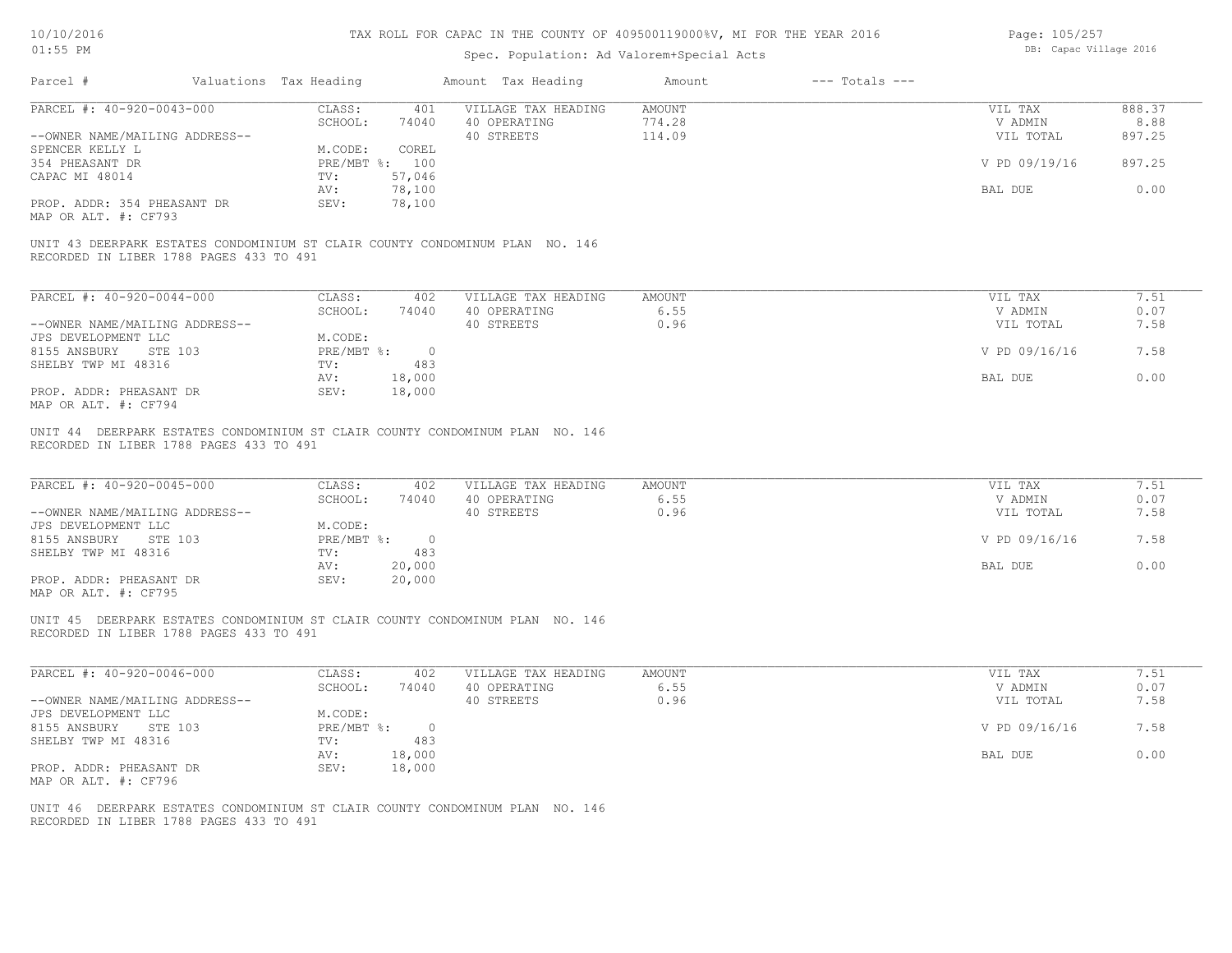| Page: 105/257 |                        |  |
|---------------|------------------------|--|
|               | DB: Capac Village 2016 |  |

| Parcel #                                                                                                                          | Valuations Tax Heading |                                                     |                             | Amount Tax Heading                                | Amount                        | $---$ Totals $---$ |                                                  |                              |
|-----------------------------------------------------------------------------------------------------------------------------------|------------------------|-----------------------------------------------------|-----------------------------|---------------------------------------------------|-------------------------------|--------------------|--------------------------------------------------|------------------------------|
| PARCEL #: 40-920-0043-000                                                                                                         |                        | CLASS:                                              |                             | 401 VILLAGE TAX HEADING                           | AMOUNT                        |                    | VIL TAX                                          | 888.37                       |
|                                                                                                                                   |                        | SCHOOL:                                             | 74040                       | 40 OPERATING                                      | 774.28                        |                    | V ADMIN                                          | 8.88                         |
| --OWNER NAME/MAILING ADDRESS--                                                                                                    |                        |                                                     |                             | 40 STREETS                                        | 114.09                        |                    | VIL TOTAL                                        | 897.25                       |
| SPENCER KELLY L                                                                                                                   |                        | M.CODE:                                             | COREL                       |                                                   |                               |                    |                                                  |                              |
| 354 PHEASANT DR                                                                                                                   |                        |                                                     | PRE/MBT %: 100              |                                                   |                               |                    | V PD 09/19/16                                    | 897.25                       |
| CAPAC MI 48014                                                                                                                    |                        | TV: 57,046                                          |                             |                                                   |                               |                    |                                                  |                              |
|                                                                                                                                   |                        | AV:                                                 | 78,100                      |                                                   |                               |                    | BAL DUE                                          | 0.00                         |
| PROP. ADDR: 354 PHEASANT DR<br>MAP OR ALT. #: CF793                                                                               |                        | SEV:                                                | 78,100                      |                                                   |                               |                    |                                                  |                              |
| UNIT 43 DEERPARK ESTATES CONDOMINIUM ST CLAIR COUNTY CONDOMINUM PLAN NO. 146                                                      |                        |                                                     |                             |                                                   |                               |                    |                                                  |                              |
| RECORDED IN LIBER 1788 PAGES 433 TO 491                                                                                           |                        |                                                     |                             |                                                   |                               |                    |                                                  |                              |
| PARCEL #: 40-920-0044-000                                                                                                         |                        |                                                     | CLASS: 402                  | VILLAGE TAX HEADING                               | AMOUNT                        |                    | VIL TAX                                          | 7.51                         |
|                                                                                                                                   |                        |                                                     | SCHOOL: 74040               | 40 OPERATING                                      | 6.55                          |                    | V ADMIN                                          | 0.07                         |
| --OWNER NAME/MAILING ADDRESS--                                                                                                    |                        |                                                     |                             | 40 STREETS                                        | 0.96                          |                    | VIL TOTAL                                        | 7.58                         |
| JPS DEVELOPMENT LLC                                                                                                               |                        | M.CODE:                                             |                             |                                                   |                               |                    |                                                  |                              |
| 8155 ANSBURY STE 103                                                                                                              |                        |                                                     | $PRE/MBT$ $\frac{1}{6}$ : 0 |                                                   |                               |                    | V PD 09/16/16                                    | 7.58                         |
| SHELBY TWP MI 48316                                                                                                               |                        | TV:                                                 | 483                         |                                                   |                               |                    |                                                  |                              |
|                                                                                                                                   |                        | AV:                                                 | 18,000                      |                                                   |                               |                    | BAL DUE                                          | 0.00                         |
| PROP. ADDR: PHEASANT DR                                                                                                           |                        | SEV:                                                | 18,000                      |                                                   |                               |                    |                                                  |                              |
| MAP OR ALT. #: CF794                                                                                                              |                        |                                                     |                             |                                                   |                               |                    |                                                  |                              |
| PARCEL #: 40-920-0045-000<br>--OWNER NAME/MAILING ADDRESS--<br>JPS DEVELOPMENT LLC<br>8155 ANSBURY STE 103<br>SHELBY TWP MI 48316 |                        | CLASS:<br>SCHOOL:<br>M.CODE:<br>PRE/MBT %: 0<br>TV: | 402<br>74040<br>483         | VILLAGE TAX HEADING<br>40 OPERATING<br>40 STREETS | <b>AMOUNT</b><br>6.55<br>0.96 |                    | VIL TAX<br>V ADMIN<br>VIL TOTAL<br>V PD 09/16/16 | 7.51<br>0.07<br>7.58<br>7.58 |
| PROP. ADDR: PHEASANT DR                                                                                                           |                        | AV:<br>SEV:                                         | 20,000<br>20,000            |                                                   |                               |                    | BAL DUE                                          | 0.00                         |
| MAP OR ALT. #: CF795                                                                                                              |                        |                                                     |                             |                                                   |                               |                    |                                                  |                              |
| UNIT 45 DEERPARK ESTATES CONDOMINIUM ST CLAIR COUNTY CONDOMINUM PLAN NO. 146<br>RECORDED IN LIBER 1788 PAGES 433 TO 491           |                        |                                                     |                             |                                                   |                               |                    |                                                  |                              |
| PARCEL #: 40-920-0046-000                                                                                                         |                        | CLASS:                                              | 402                         | VILLAGE TAX HEADING                               | AMOUNT                        |                    | VIL TAX                                          | 7.51                         |
|                                                                                                                                   |                        | SCHOOL:                                             | 74040                       | 40 OPERATING                                      | 6.55                          |                    | V ADMIN                                          | 0.07                         |
| --OWNER NAME/MAILING ADDRESS--                                                                                                    |                        |                                                     |                             | 40 STREETS                                        | 0.96                          |                    | VIL TOTAL                                        | 7.58                         |
| JPS DEVELOPMENT LLC                                                                                                               |                        | M.CODE:                                             |                             |                                                   |                               |                    |                                                  |                              |
| 8155 ANSBURY STE 103                                                                                                              |                        |                                                     | PRE/MBT %: 0                |                                                   |                               |                    | V PD 09/16/16                                    | 7.58                         |
| SHELBY TWP MI 48316                                                                                                               |                        | TV:                                                 | 483                         |                                                   |                               |                    |                                                  | 0.00                         |
| PROP. ADDR: PHEASANT DR                                                                                                           |                        | AV:<br>SEV:                                         | 18,000<br>18,000            |                                                   |                               |                    | BAL DUE                                          |                              |
| MAP OR ALT. #: CF796                                                                                                              |                        |                                                     |                             |                                                   |                               |                    |                                                  |                              |
|                                                                                                                                   |                        |                                                     |                             |                                                   |                               |                    |                                                  |                              |
| UNIT 46 DEERPARK ESTATES CONDOMINIUM ST CLAIR COUNTY CONDOMINUM PLAN NO. 146                                                      |                        |                                                     |                             |                                                   |                               |                    |                                                  |                              |
| RECORDED IN LIBER 1788 PAGES 433 TO 491                                                                                           |                        |                                                     |                             |                                                   |                               |                    |                                                  |                              |
|                                                                                                                                   |                        |                                                     |                             |                                                   |                               |                    |                                                  |                              |
|                                                                                                                                   |                        |                                                     |                             |                                                   |                               |                    |                                                  |                              |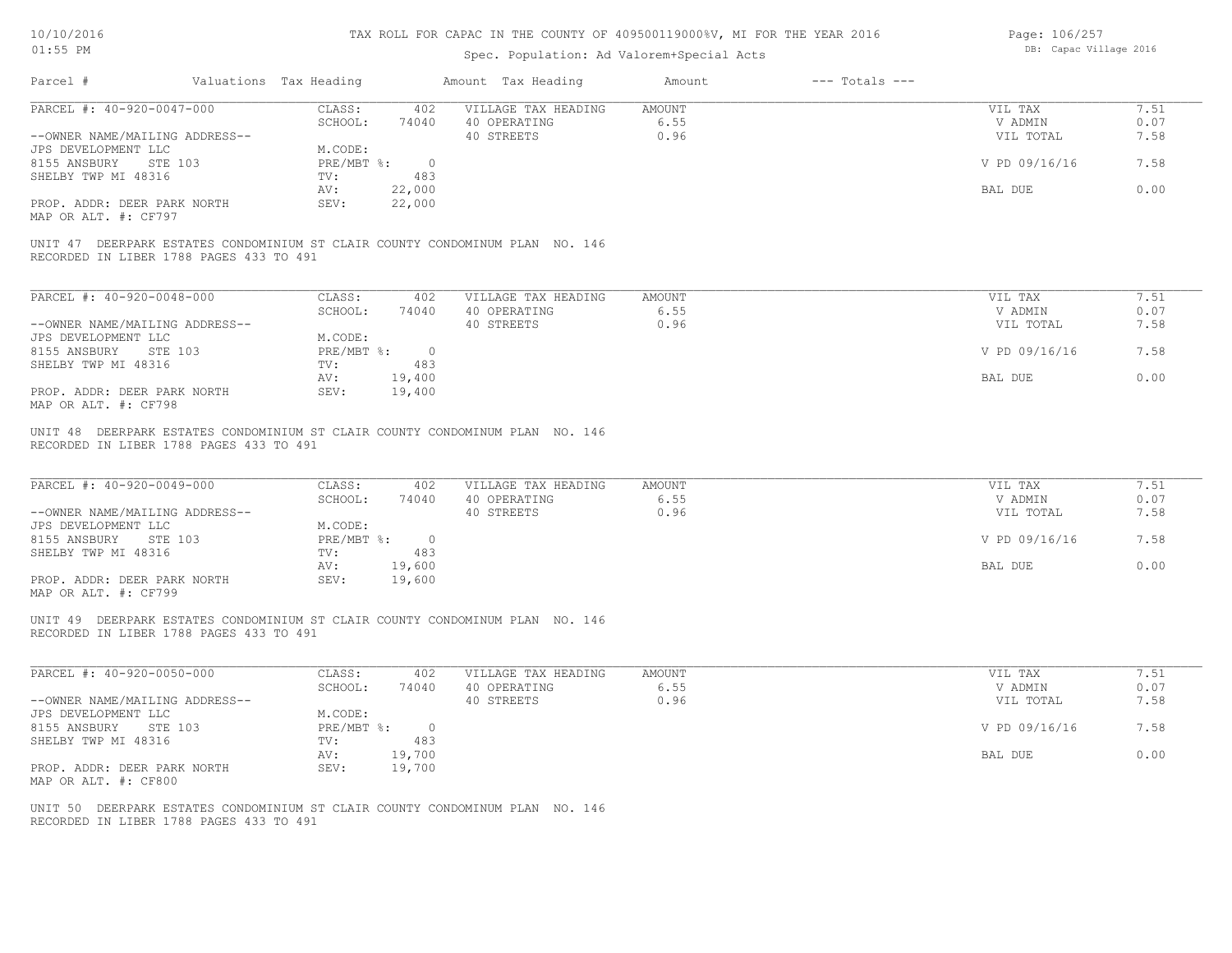| 10/10/2016 |  |
|------------|--|
| $01:55$ PM |  |

## Spec. Population: Ad Valorem+Special Acts

Page: 106/257 DB: Capac Village 2016

| PARCEL #: 40-920-0047-000<br>CLASS:<br>402<br>VILLAGE TAX HEADING<br>AMOUNT<br>VIL TAX<br>SCHOOL:<br>74040<br>40 OPERATING<br>6.55<br>V ADMIN<br>40 STREETS<br>0.96<br>--OWNER NAME/MAILING ADDRESS--<br>VIL TOTAL<br>M.CODE:<br>JPS DEVELOPMENT LLC<br>8155 ANSBURY<br>STE 103<br>PRE/MBT %: 0<br>V PD 09/16/16<br>7.58<br>SHELBY TWP MI 48316<br>483<br>TV:<br>0.00<br>AV:<br>22,000<br>BAL DUE<br>22,000<br>PROP. ADDR: DEER PARK NORTH<br>SEV:<br>MAP OR ALT. #: CF797<br>UNIT 47 DEERPARK ESTATES CONDOMINIUM ST CLAIR COUNTY CONDOMINUM PLAN NO. 146<br>RECORDED IN LIBER 1788 PAGES 433 TO 491<br>PARCEL #: 40-920-0048-000<br>CLASS:<br>402<br>VILLAGE TAX HEADING<br><b>AMOUNT</b><br>VIL TAX<br>7.51<br>SCHOOL:<br>74040<br>6.55<br>0.07<br>40 OPERATING<br>V ADMIN<br>40 STREETS<br>0.96<br>7.58<br>--OWNER NAME/MAILING ADDRESS--<br>VIL TOTAL<br>JPS DEVELOPMENT LLC<br>M.CODE:<br>8155 ANSBURY STE 103<br>PRE/MBT %: 0<br>V PD 09/16/16<br>7.58<br>SHELBY TWP MI 48316<br>483<br>TV:<br>0.00<br>19,400<br>AV:<br>BAL DUE<br>PROP. ADDR: DEER PARK NORTH<br>SEV:<br>19,400<br>MAP OR ALT. #: CF798<br>UNIT 48 DEERPARK ESTATES CONDOMINIUM ST CLAIR COUNTY CONDOMINUM PLAN NO. 146<br>RECORDED IN LIBER 1788 PAGES 433 TO 491<br>PARCEL #: 40-920-0049-000<br>CLASS:<br>402<br>VILLAGE TAX HEADING<br>AMOUNT<br>VIL TAX<br>SCHOOL:<br>74040<br>40 OPERATING<br>6.55<br>V ADMIN<br>40 STREETS<br>0.96<br>--OWNER NAME/MAILING ADDRESS--<br>VIL TOTAL<br>JPS DEVELOPMENT LLC<br>M.CODE:<br>PRE/MBT %: 0<br>8155 ANSBURY<br>STE 103<br>V PD 09/16/16<br>7.58<br>SHELBY TWP MI 48316<br>TV:<br>483<br>19,600<br>BAL DUE<br>AV:<br>PROP. ADDR: DEER PARK NORTH<br>SEV:<br>19,600<br>MAP OR ALT. #: CF799<br>UNIT 49 DEERPARK ESTATES CONDOMINIUM ST CLAIR COUNTY CONDOMINUM PLAN NO. 146<br>RECORDED IN LIBER 1788 PAGES 433 TO 491<br>PARCEL #: 40-920-0050-000<br>CLASS:<br>402<br>VILLAGE TAX HEADING<br>AMOUNT<br>VIL TAX<br>SCHOOL:<br>6.55<br>74040<br>40 OPERATING<br>V ADMIN<br>--OWNER NAME/MAILING ADDRESS--<br>40 STREETS<br>0.96<br>VIL TOTAL<br>JPS DEVELOPMENT LLC<br>M.CODE:<br>PRE/MBT %: 0<br>7.58<br>8155 ANSBURY<br>STE 103<br>V PD 09/16/16<br>SHELBY TWP MI 48316<br>483<br>TV:<br>0.00<br>19,700<br>AV:<br>BAL DUE<br>PROP. ADDR: DEER PARK NORTH<br>SEV:<br>19,700 |  | Valuations Tax Heading | Amount Tax Heading | Amount | $---$ Totals $---$ |                      |
|---------------------------------------------------------------------------------------------------------------------------------------------------------------------------------------------------------------------------------------------------------------------------------------------------------------------------------------------------------------------------------------------------------------------------------------------------------------------------------------------------------------------------------------------------------------------------------------------------------------------------------------------------------------------------------------------------------------------------------------------------------------------------------------------------------------------------------------------------------------------------------------------------------------------------------------------------------------------------------------------------------------------------------------------------------------------------------------------------------------------------------------------------------------------------------------------------------------------------------------------------------------------------------------------------------------------------------------------------------------------------------------------------------------------------------------------------------------------------------------------------------------------------------------------------------------------------------------------------------------------------------------------------------------------------------------------------------------------------------------------------------------------------------------------------------------------------------------------------------------------------------------------------------------------------------------------------------------------------------------------------------------------------------------------------------------------------------------------------------------------------------------------------------------------------------------------------------------------------------------------------------------------------------------------------|--|------------------------|--------------------|--------|--------------------|----------------------|
|                                                                                                                                                                                                                                                                                                                                                                                                                                                                                                                                                                                                                                                                                                                                                                                                                                                                                                                                                                                                                                                                                                                                                                                                                                                                                                                                                                                                                                                                                                                                                                                                                                                                                                                                                                                                                                                                                                                                                                                                                                                                                                                                                                                                                                                                                                   |  |                        |                    |        |                    | 7.51                 |
|                                                                                                                                                                                                                                                                                                                                                                                                                                                                                                                                                                                                                                                                                                                                                                                                                                                                                                                                                                                                                                                                                                                                                                                                                                                                                                                                                                                                                                                                                                                                                                                                                                                                                                                                                                                                                                                                                                                                                                                                                                                                                                                                                                                                                                                                                                   |  |                        |                    |        |                    | 0.07                 |
|                                                                                                                                                                                                                                                                                                                                                                                                                                                                                                                                                                                                                                                                                                                                                                                                                                                                                                                                                                                                                                                                                                                                                                                                                                                                                                                                                                                                                                                                                                                                                                                                                                                                                                                                                                                                                                                                                                                                                                                                                                                                                                                                                                                                                                                                                                   |  |                        |                    |        |                    | 7.58                 |
|                                                                                                                                                                                                                                                                                                                                                                                                                                                                                                                                                                                                                                                                                                                                                                                                                                                                                                                                                                                                                                                                                                                                                                                                                                                                                                                                                                                                                                                                                                                                                                                                                                                                                                                                                                                                                                                                                                                                                                                                                                                                                                                                                                                                                                                                                                   |  |                        |                    |        |                    |                      |
|                                                                                                                                                                                                                                                                                                                                                                                                                                                                                                                                                                                                                                                                                                                                                                                                                                                                                                                                                                                                                                                                                                                                                                                                                                                                                                                                                                                                                                                                                                                                                                                                                                                                                                                                                                                                                                                                                                                                                                                                                                                                                                                                                                                                                                                                                                   |  |                        |                    |        |                    |                      |
|                                                                                                                                                                                                                                                                                                                                                                                                                                                                                                                                                                                                                                                                                                                                                                                                                                                                                                                                                                                                                                                                                                                                                                                                                                                                                                                                                                                                                                                                                                                                                                                                                                                                                                                                                                                                                                                                                                                                                                                                                                                                                                                                                                                                                                                                                                   |  |                        |                    |        |                    |                      |
|                                                                                                                                                                                                                                                                                                                                                                                                                                                                                                                                                                                                                                                                                                                                                                                                                                                                                                                                                                                                                                                                                                                                                                                                                                                                                                                                                                                                                                                                                                                                                                                                                                                                                                                                                                                                                                                                                                                                                                                                                                                                                                                                                                                                                                                                                                   |  |                        |                    |        |                    |                      |
|                                                                                                                                                                                                                                                                                                                                                                                                                                                                                                                                                                                                                                                                                                                                                                                                                                                                                                                                                                                                                                                                                                                                                                                                                                                                                                                                                                                                                                                                                                                                                                                                                                                                                                                                                                                                                                                                                                                                                                                                                                                                                                                                                                                                                                                                                                   |  |                        |                    |        |                    |                      |
|                                                                                                                                                                                                                                                                                                                                                                                                                                                                                                                                                                                                                                                                                                                                                                                                                                                                                                                                                                                                                                                                                                                                                                                                                                                                                                                                                                                                                                                                                                                                                                                                                                                                                                                                                                                                                                                                                                                                                                                                                                                                                                                                                                                                                                                                                                   |  |                        |                    |        |                    |                      |
|                                                                                                                                                                                                                                                                                                                                                                                                                                                                                                                                                                                                                                                                                                                                                                                                                                                                                                                                                                                                                                                                                                                                                                                                                                                                                                                                                                                                                                                                                                                                                                                                                                                                                                                                                                                                                                                                                                                                                                                                                                                                                                                                                                                                                                                                                                   |  |                        |                    |        |                    |                      |
|                                                                                                                                                                                                                                                                                                                                                                                                                                                                                                                                                                                                                                                                                                                                                                                                                                                                                                                                                                                                                                                                                                                                                                                                                                                                                                                                                                                                                                                                                                                                                                                                                                                                                                                                                                                                                                                                                                                                                                                                                                                                                                                                                                                                                                                                                                   |  |                        |                    |        |                    |                      |
|                                                                                                                                                                                                                                                                                                                                                                                                                                                                                                                                                                                                                                                                                                                                                                                                                                                                                                                                                                                                                                                                                                                                                                                                                                                                                                                                                                                                                                                                                                                                                                                                                                                                                                                                                                                                                                                                                                                                                                                                                                                                                                                                                                                                                                                                                                   |  |                        |                    |        |                    |                      |
|                                                                                                                                                                                                                                                                                                                                                                                                                                                                                                                                                                                                                                                                                                                                                                                                                                                                                                                                                                                                                                                                                                                                                                                                                                                                                                                                                                                                                                                                                                                                                                                                                                                                                                                                                                                                                                                                                                                                                                                                                                                                                                                                                                                                                                                                                                   |  |                        |                    |        |                    |                      |
|                                                                                                                                                                                                                                                                                                                                                                                                                                                                                                                                                                                                                                                                                                                                                                                                                                                                                                                                                                                                                                                                                                                                                                                                                                                                                                                                                                                                                                                                                                                                                                                                                                                                                                                                                                                                                                                                                                                                                                                                                                                                                                                                                                                                                                                                                                   |  |                        |                    |        |                    |                      |
|                                                                                                                                                                                                                                                                                                                                                                                                                                                                                                                                                                                                                                                                                                                                                                                                                                                                                                                                                                                                                                                                                                                                                                                                                                                                                                                                                                                                                                                                                                                                                                                                                                                                                                                                                                                                                                                                                                                                                                                                                                                                                                                                                                                                                                                                                                   |  |                        |                    |        |                    |                      |
|                                                                                                                                                                                                                                                                                                                                                                                                                                                                                                                                                                                                                                                                                                                                                                                                                                                                                                                                                                                                                                                                                                                                                                                                                                                                                                                                                                                                                                                                                                                                                                                                                                                                                                                                                                                                                                                                                                                                                                                                                                                                                                                                                                                                                                                                                                   |  |                        |                    |        |                    |                      |
|                                                                                                                                                                                                                                                                                                                                                                                                                                                                                                                                                                                                                                                                                                                                                                                                                                                                                                                                                                                                                                                                                                                                                                                                                                                                                                                                                                                                                                                                                                                                                                                                                                                                                                                                                                                                                                                                                                                                                                                                                                                                                                                                                                                                                                                                                                   |  |                        |                    |        |                    |                      |
|                                                                                                                                                                                                                                                                                                                                                                                                                                                                                                                                                                                                                                                                                                                                                                                                                                                                                                                                                                                                                                                                                                                                                                                                                                                                                                                                                                                                                                                                                                                                                                                                                                                                                                                                                                                                                                                                                                                                                                                                                                                                                                                                                                                                                                                                                                   |  |                        |                    |        |                    |                      |
|                                                                                                                                                                                                                                                                                                                                                                                                                                                                                                                                                                                                                                                                                                                                                                                                                                                                                                                                                                                                                                                                                                                                                                                                                                                                                                                                                                                                                                                                                                                                                                                                                                                                                                                                                                                                                                                                                                                                                                                                                                                                                                                                                                                                                                                                                                   |  |                        |                    |        |                    |                      |
|                                                                                                                                                                                                                                                                                                                                                                                                                                                                                                                                                                                                                                                                                                                                                                                                                                                                                                                                                                                                                                                                                                                                                                                                                                                                                                                                                                                                                                                                                                                                                                                                                                                                                                                                                                                                                                                                                                                                                                                                                                                                                                                                                                                                                                                                                                   |  |                        |                    |        |                    |                      |
|                                                                                                                                                                                                                                                                                                                                                                                                                                                                                                                                                                                                                                                                                                                                                                                                                                                                                                                                                                                                                                                                                                                                                                                                                                                                                                                                                                                                                                                                                                                                                                                                                                                                                                                                                                                                                                                                                                                                                                                                                                                                                                                                                                                                                                                                                                   |  |                        |                    |        |                    | 7.51<br>0.07<br>7.58 |
|                                                                                                                                                                                                                                                                                                                                                                                                                                                                                                                                                                                                                                                                                                                                                                                                                                                                                                                                                                                                                                                                                                                                                                                                                                                                                                                                                                                                                                                                                                                                                                                                                                                                                                                                                                                                                                                                                                                                                                                                                                                                                                                                                                                                                                                                                                   |  |                        |                    |        |                    |                      |
|                                                                                                                                                                                                                                                                                                                                                                                                                                                                                                                                                                                                                                                                                                                                                                                                                                                                                                                                                                                                                                                                                                                                                                                                                                                                                                                                                                                                                                                                                                                                                                                                                                                                                                                                                                                                                                                                                                                                                                                                                                                                                                                                                                                                                                                                                                   |  |                        |                    |        |                    |                      |
|                                                                                                                                                                                                                                                                                                                                                                                                                                                                                                                                                                                                                                                                                                                                                                                                                                                                                                                                                                                                                                                                                                                                                                                                                                                                                                                                                                                                                                                                                                                                                                                                                                                                                                                                                                                                                                                                                                                                                                                                                                                                                                                                                                                                                                                                                                   |  |                        |                    |        |                    | 0.00                 |
|                                                                                                                                                                                                                                                                                                                                                                                                                                                                                                                                                                                                                                                                                                                                                                                                                                                                                                                                                                                                                                                                                                                                                                                                                                                                                                                                                                                                                                                                                                                                                                                                                                                                                                                                                                                                                                                                                                                                                                                                                                                                                                                                                                                                                                                                                                   |  |                        |                    |        |                    |                      |
|                                                                                                                                                                                                                                                                                                                                                                                                                                                                                                                                                                                                                                                                                                                                                                                                                                                                                                                                                                                                                                                                                                                                                                                                                                                                                                                                                                                                                                                                                                                                                                                                                                                                                                                                                                                                                                                                                                                                                                                                                                                                                                                                                                                                                                                                                                   |  |                        |                    |        |                    |                      |
|                                                                                                                                                                                                                                                                                                                                                                                                                                                                                                                                                                                                                                                                                                                                                                                                                                                                                                                                                                                                                                                                                                                                                                                                                                                                                                                                                                                                                                                                                                                                                                                                                                                                                                                                                                                                                                                                                                                                                                                                                                                                                                                                                                                                                                                                                                   |  |                        |                    |        |                    |                      |
|                                                                                                                                                                                                                                                                                                                                                                                                                                                                                                                                                                                                                                                                                                                                                                                                                                                                                                                                                                                                                                                                                                                                                                                                                                                                                                                                                                                                                                                                                                                                                                                                                                                                                                                                                                                                                                                                                                                                                                                                                                                                                                                                                                                                                                                                                                   |  |                        |                    |        |                    |                      |
|                                                                                                                                                                                                                                                                                                                                                                                                                                                                                                                                                                                                                                                                                                                                                                                                                                                                                                                                                                                                                                                                                                                                                                                                                                                                                                                                                                                                                                                                                                                                                                                                                                                                                                                                                                                                                                                                                                                                                                                                                                                                                                                                                                                                                                                                                                   |  |                        |                    |        |                    | 7.51                 |
|                                                                                                                                                                                                                                                                                                                                                                                                                                                                                                                                                                                                                                                                                                                                                                                                                                                                                                                                                                                                                                                                                                                                                                                                                                                                                                                                                                                                                                                                                                                                                                                                                                                                                                                                                                                                                                                                                                                                                                                                                                                                                                                                                                                                                                                                                                   |  |                        |                    |        |                    | 0.07                 |
|                                                                                                                                                                                                                                                                                                                                                                                                                                                                                                                                                                                                                                                                                                                                                                                                                                                                                                                                                                                                                                                                                                                                                                                                                                                                                                                                                                                                                                                                                                                                                                                                                                                                                                                                                                                                                                                                                                                                                                                                                                                                                                                                                                                                                                                                                                   |  |                        |                    |        |                    | 7.58                 |
|                                                                                                                                                                                                                                                                                                                                                                                                                                                                                                                                                                                                                                                                                                                                                                                                                                                                                                                                                                                                                                                                                                                                                                                                                                                                                                                                                                                                                                                                                                                                                                                                                                                                                                                                                                                                                                                                                                                                                                                                                                                                                                                                                                                                                                                                                                   |  |                        |                    |        |                    |                      |
|                                                                                                                                                                                                                                                                                                                                                                                                                                                                                                                                                                                                                                                                                                                                                                                                                                                                                                                                                                                                                                                                                                                                                                                                                                                                                                                                                                                                                                                                                                                                                                                                                                                                                                                                                                                                                                                                                                                                                                                                                                                                                                                                                                                                                                                                                                   |  |                        |                    |        |                    |                      |
|                                                                                                                                                                                                                                                                                                                                                                                                                                                                                                                                                                                                                                                                                                                                                                                                                                                                                                                                                                                                                                                                                                                                                                                                                                                                                                                                                                                                                                                                                                                                                                                                                                                                                                                                                                                                                                                                                                                                                                                                                                                                                                                                                                                                                                                                                                   |  |                        |                    |        |                    |                      |
|                                                                                                                                                                                                                                                                                                                                                                                                                                                                                                                                                                                                                                                                                                                                                                                                                                                                                                                                                                                                                                                                                                                                                                                                                                                                                                                                                                                                                                                                                                                                                                                                                                                                                                                                                                                                                                                                                                                                                                                                                                                                                                                                                                                                                                                                                                   |  |                        |                    |        |                    |                      |
|                                                                                                                                                                                                                                                                                                                                                                                                                                                                                                                                                                                                                                                                                                                                                                                                                                                                                                                                                                                                                                                                                                                                                                                                                                                                                                                                                                                                                                                                                                                                                                                                                                                                                                                                                                                                                                                                                                                                                                                                                                                                                                                                                                                                                                                                                                   |  |                        |                    |        |                    |                      |
| MAP OR ALT. #: CF800                                                                                                                                                                                                                                                                                                                                                                                                                                                                                                                                                                                                                                                                                                                                                                                                                                                                                                                                                                                                                                                                                                                                                                                                                                                                                                                                                                                                                                                                                                                                                                                                                                                                                                                                                                                                                                                                                                                                                                                                                                                                                                                                                                                                                                                                              |  |                        |                    |        |                    |                      |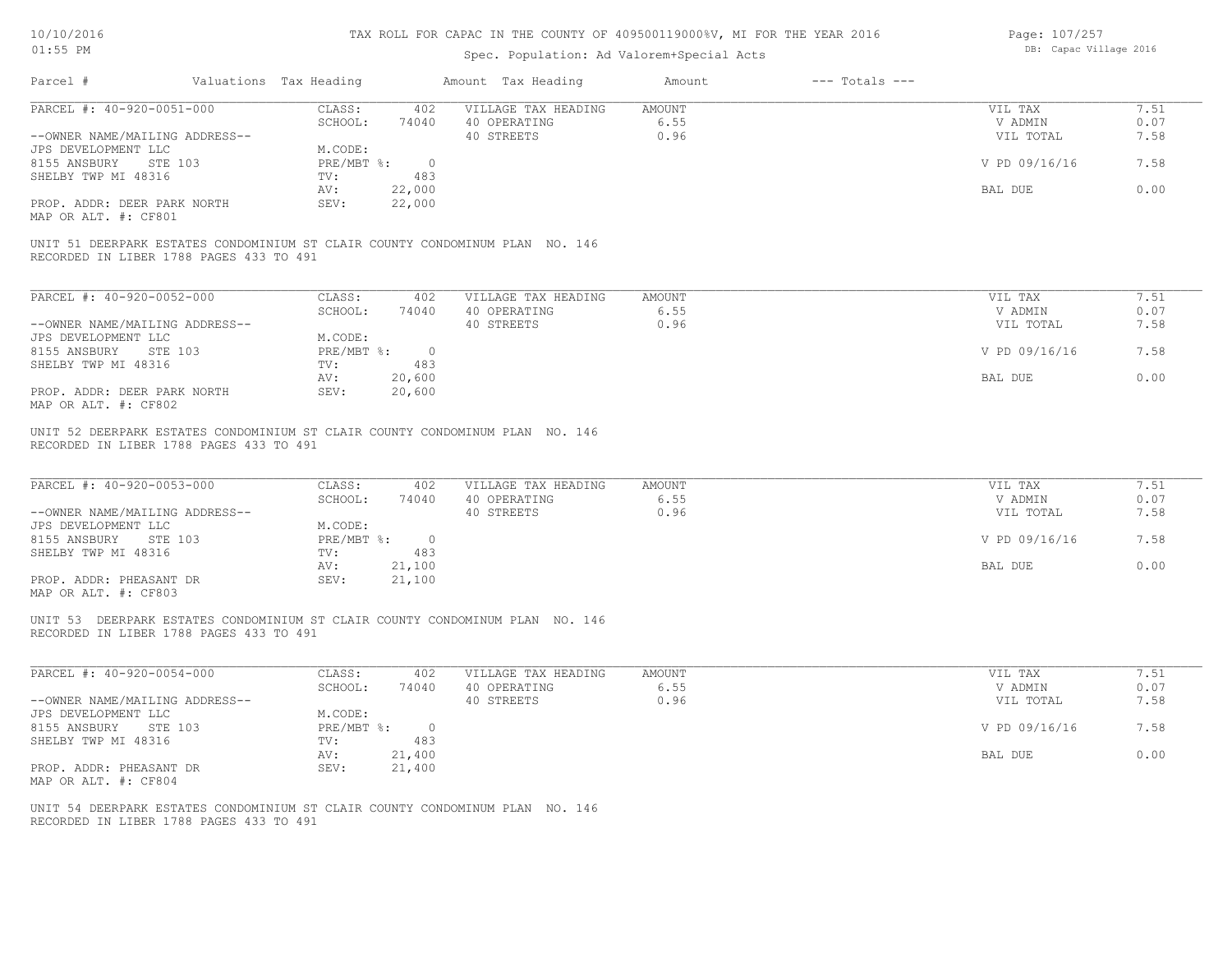| Page: 107/257 |                        |  |
|---------------|------------------------|--|
|               | DB: Capac Village 2016 |  |

| Parcel #                                                                                                                | Valuations Tax Heading      |        | Amount Tax Heading<br>Amount   |              | $---$ Totals $---$ |               |      |
|-------------------------------------------------------------------------------------------------------------------------|-----------------------------|--------|--------------------------------|--------------|--------------------|---------------|------|
| PARCEL #: 40-920-0051-000                                                                                               | CLASS:                      |        | 402 VILLAGE TAX HEADING AMOUNT |              |                    | VIL TAX       | 7.51 |
|                                                                                                                         |                             |        | SCHOOL: 74040 40 OPERATING     | 6.55         |                    | V ADMIN       | 0.07 |
| --OWNER NAME/MAILING ADDRESS--                                                                                          |                             |        | 40 STREETS                     | 0.96         |                    | VIL TOTAL     | 7.58 |
| JPS DEVELOPMENT LLC                                                                                                     | M.CODE:                     |        |                                |              |                    |               |      |
| 8155 ANSBURY STE 103                                                                                                    | $PRE/MBT$ $\textdegree$ : 0 |        |                                |              |                    | V PD 09/16/16 | 7.58 |
| SHELBY TWP MI 48316                                                                                                     | TV: 483                     |        |                                |              |                    |               |      |
|                                                                                                                         | AV:                         | 22,000 |                                |              |                    | BAL DUE       | 0.00 |
| PROP. ADDR: DEER PARK NORTH<br>MAP OR ALT. #: CF801                                                                     | SEV:                        | 22,000 |                                |              |                    |               |      |
| UNIT 51 DEERPARK ESTATES CONDOMINIUM ST CLAIR COUNTY CONDOMINUM PLAN NO. 146<br>RECORDED IN LIBER 1788 PAGES 433 TO 491 |                             |        |                                |              |                    |               |      |
|                                                                                                                         |                             |        |                                |              |                    |               |      |
| PARCEL #: 40-920-0052-000                                                                                               | CLASS: 402                  |        | VILLAGE TAX HEADING            | AMOUNT       |                    | VIL TAX       | 7.51 |
|                                                                                                                         |                             |        | SCHOOL: 74040 40 OPERATING     | 6.55         |                    | V ADMIN       | 0.07 |
| --OWNER NAME/MAILING ADDRESS--                                                                                          |                             |        | 40 STREETS                     | 0.96         |                    | VIL TOTAL     | 7.58 |
| JPS DEVELOPMENT LLC                                                                                                     | M.CODE:                     |        |                                |              |                    |               |      |
| 8155 ANSBURY STE 103                                                                                                    | $PRE/MBT$ $\div$ 0          |        |                                |              |                    | V PD 09/16/16 | 7.58 |
| SHELBY TWP MI 48316                                                                                                     | $TV$ :                      | 483    |                                |              |                    |               |      |
|                                                                                                                         | AV:                         | 20,600 |                                |              |                    | BAL DUE       | 0.00 |
| PROP. ADDR: DEER PARK NORTH                                                                                             | SEV:                        | 20,600 |                                |              |                    |               |      |
| MAP OR ALT. #: CF802                                                                                                    |                             |        |                                |              |                    |               |      |
|                                                                                                                         |                             |        |                                |              |                    |               |      |
| UNIT 52 DEERPARK ESTATES CONDOMINIUM ST CLAIR COUNTY CONDOMINUM PLAN NO. 146<br>RECORDED IN LIBER 1788 PAGES 433 TO 491 |                             |        |                                |              |                    |               |      |
| PARCEL #: 40-920-0053-000                                                                                               |                             |        | CLASS: 402 VILLAGE TAX HEADING | AMOUNT       |                    | VIL TAX       | 7.51 |
|                                                                                                                         |                             |        | SCHOOL: 74040 40 OPERATING     | 6.55         |                    | V ADMIN       | 0.07 |
| --OWNER NAME/MAILING ADDRESS--                                                                                          |                             |        | 40 STREETS                     | 0.96         |                    | VIL TOTAL     | 7.58 |
| JPS DEVELOPMENT LLC                                                                                                     | M.CODE:                     |        |                                |              |                    |               |      |
| 8155 ANSBURY STE 103                                                                                                    | PRE/MBT %: 0                |        |                                |              |                    | V PD 09/16/16 | 7.58 |
| SHELBY TWP MI 48316                                                                                                     | TV: 483                     |        |                                |              |                    |               |      |
|                                                                                                                         | AV:                         | 21,100 |                                |              |                    | BAL DUE       | 0.00 |
| PROP. ADDR: PHEASANT DR<br>MAP OR ALT. #: CF803                                                                         | SEV:                        | 21,100 |                                |              |                    |               |      |
| UNIT 53 DEERPARK ESTATES CONDOMINIUM ST CLAIR COUNTY CONDOMINUM PLAN NO. 146                                            |                             |        |                                |              |                    |               |      |
| RECORDED IN LIBER 1788 PAGES 433 TO 491                                                                                 |                             |        |                                |              |                    |               |      |
| PARCEL #: 40-920-0054-000                                                                                               | CLASS:                      |        | 402 VILLAGE TAX HEADING        | AMOUNT       |                    | VIL TAX       | 7.51 |
|                                                                                                                         | SCHOOL:                     |        | 74040 40 OPERATING             |              |                    | V ADMIN       | 0.07 |
| --OWNER NAME/MAILING ADDRESS--                                                                                          |                             |        | 40 STREETS                     | 6.55<br>0.96 |                    | VIL TOTAL     | 7.58 |
|                                                                                                                         | M.CODE:                     |        |                                |              |                    |               |      |
| JPS DEVELOPMENT LLC                                                                                                     |                             |        |                                |              |                    |               |      |
| 8155 ANSBURY STE 103                                                                                                    | PRE/MBT %: 0                |        |                                |              |                    | V PD 09/16/16 | 7.58 |
| SHELBY TWP MI 48316                                                                                                     | TV:                         | 483    |                                |              |                    |               |      |
|                                                                                                                         | AV:                         | 21,400 |                                |              |                    | BAL DUE       | 0.00 |
| PROP. ADDR: PHEASANT DR                                                                                                 | SEV:                        | 21,400 |                                |              |                    |               |      |
| MAP OR ALT. #: CF804                                                                                                    |                             |        |                                |              |                    |               |      |
| UNIT 54 DEERPARK ESTATES CONDOMINIUM ST CLAIR COUNTY CONDOMINUM PLAN NO. 146<br>RECORDED IN LIBER 1788 PAGES 433 TO 491 |                             |        |                                |              |                    |               |      |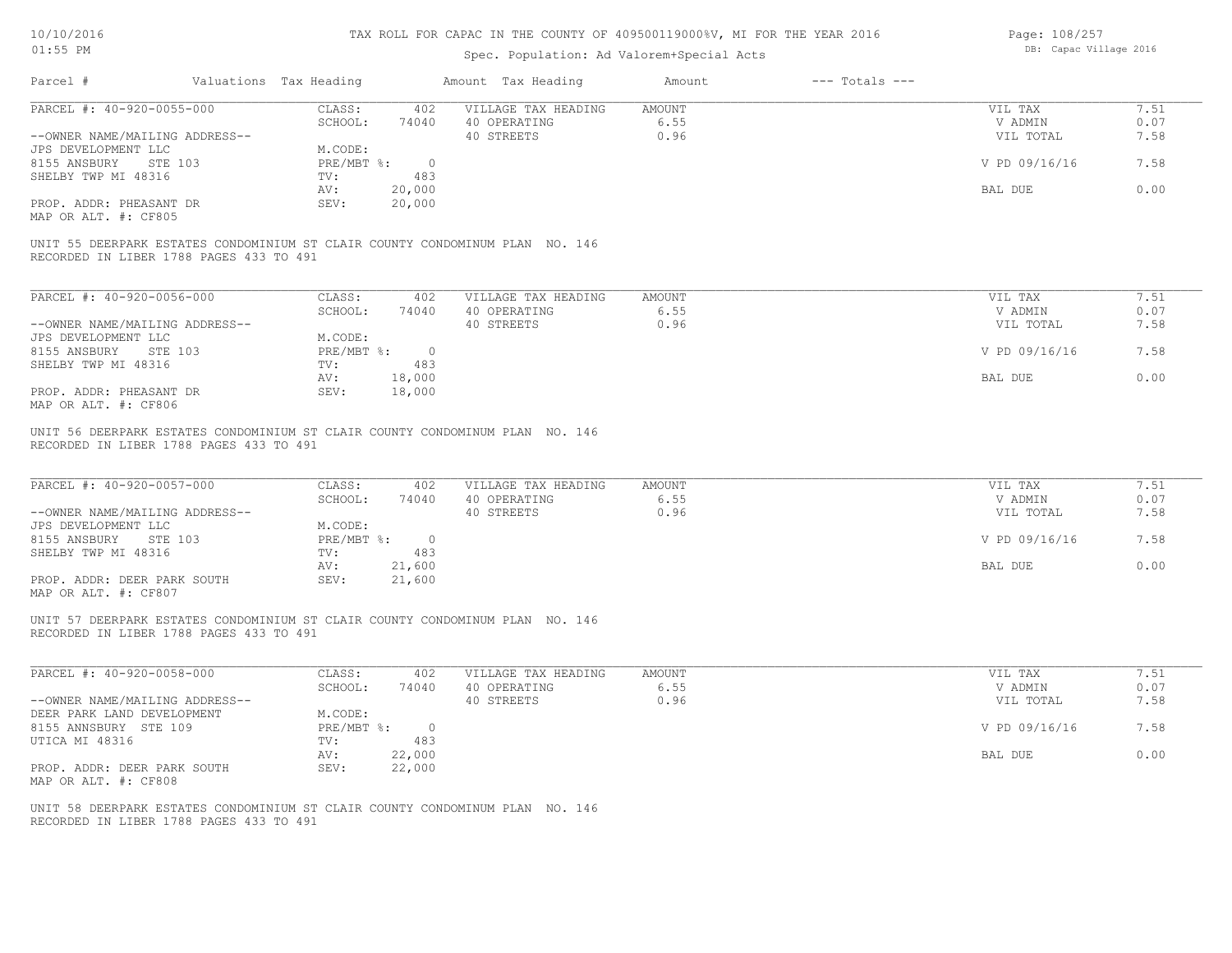| Page: 108/257 |                        |  |
|---------------|------------------------|--|
|               | DB: Capac Village 2016 |  |

| AT: JO LM                                                                                                               |                                              | Spec. Population: Ad Valorem+Special Acts         |                              | DD. Capac Viiidue 2010          |                      |
|-------------------------------------------------------------------------------------------------------------------------|----------------------------------------------|---------------------------------------------------|------------------------------|---------------------------------|----------------------|
| Parcel #                                                                                                                | Valuations Tax Heading                       | Amount Tax Heading                                | $---$ Totals $---$<br>Amount |                                 |                      |
| PARCEL #: 40-920-0055-000                                                                                               | CLASS:<br>402                                | VILLAGE TAX HEADING                               | <b>AMOUNT</b>                | VIL TAX                         | 7.51                 |
|                                                                                                                         | SCHOOL:<br>74040                             | 40 OPERATING                                      | 6.55                         | V ADMIN                         | 0.07                 |
| --OWNER NAME/MAILING ADDRESS--                                                                                          |                                              | 40 STREETS                                        | 0.96                         | VIL TOTAL                       | 7.58                 |
| JPS DEVELOPMENT LLC                                                                                                     | M.CODE:                                      |                                                   |                              |                                 |                      |
| 8155 ANSBURY<br>STE 103                                                                                                 | PRE/MBT %:<br>$\overline{0}$                 |                                                   |                              | V PD 09/16/16                   | 7.58                 |
|                                                                                                                         |                                              |                                                   |                              |                                 |                      |
| SHELBY TWP MI 48316                                                                                                     | TV:<br>483                                   |                                                   |                              |                                 |                      |
|                                                                                                                         | 20,000<br>AV:                                |                                                   |                              | BAL DUE                         | 0.00                 |
| PROP. ADDR: PHEASANT DR                                                                                                 | 20,000<br>SEV:                               |                                                   |                              |                                 |                      |
| MAP OR ALT. #: CF805                                                                                                    |                                              |                                                   |                              |                                 |                      |
| UNIT 55 DEERPARK ESTATES CONDOMINIUM ST CLAIR COUNTY CONDOMINUM PLAN NO. 146<br>RECORDED IN LIBER 1788 PAGES 433 TO 491 |                                              |                                                   |                              |                                 |                      |
| PARCEL #: 40-920-0056-000                                                                                               | CLASS:<br>402                                | VILLAGE TAX HEADING                               | AMOUNT                       | VIL TAX                         | 7.51                 |
|                                                                                                                         |                                              |                                                   |                              |                                 |                      |
|                                                                                                                         | SCHOOL:<br>74040                             | 40 OPERATING                                      | 6.55                         | V ADMIN                         | 0.07                 |
| --OWNER NAME/MAILING ADDRESS--                                                                                          |                                              | 40 STREETS                                        | 0.96                         | VIL TOTAL                       | 7.58                 |
| JPS DEVELOPMENT LLC                                                                                                     | M.CODE:                                      |                                                   |                              |                                 |                      |
| 8155 ANSBURY STE 103                                                                                                    | $PRE/MBT$ $\frac{1}{6}$ :<br>$\overline{0}$  |                                                   |                              | V PD 09/16/16                   | 7.58                 |
| SHELBY TWP MI 48316                                                                                                     | 483<br>TV:                                   |                                                   |                              |                                 |                      |
|                                                                                                                         | AV:                                          |                                                   |                              | BAL DUE                         | 0.00                 |
|                                                                                                                         | 18,000                                       |                                                   |                              |                                 |                      |
| PROP. ADDR: PHEASANT DR<br>MAP OR ALT. #: CF806                                                                         | SEV:<br>18,000                               |                                                   |                              |                                 |                      |
| PARCEL #: 40-920-0057-000<br>--OWNER NAME/MAILING ADDRESS--<br>JPS DEVELOPMENT LLC                                      | CLASS:<br>402<br>SCHOOL:<br>74040<br>M.CODE: | VILLAGE TAX HEADING<br>40 OPERATING<br>40 STREETS | AMOUNT<br>6.55<br>0.96       | VIL TAX<br>V ADMIN<br>VIL TOTAL | 7.51<br>0.07<br>7.58 |
| 8155 ANSBURY STE 103<br>SHELBY TWP MI 48316                                                                             | $PRE/MBT$ %:<br>$\overline{0}$<br>483<br>TV: |                                                   |                              | V PD 09/16/16                   | 7.58                 |
|                                                                                                                         | 21,600<br>AV:                                |                                                   |                              | BAL DUE                         | 0.00                 |
| PROP. ADDR: DEER PARK SOUTH<br>MAP OR ALT. #: CF807                                                                     | 21,600<br>SEV:                               |                                                   |                              |                                 |                      |
| UNIT 57 DEERPARK ESTATES CONDOMINIUM ST CLAIR COUNTY CONDOMINUM PLAN NO. 146<br>RECORDED IN LIBER 1788 PAGES 433 TO 491 |                                              |                                                   |                              |                                 |                      |
| PARCEL #: 40-920-0058-000                                                                                               | CLASS:<br>402                                | VILLAGE TAX HEADING                               | AMOUNT                       | VIL TAX                         | 7.51                 |
|                                                                                                                         | SCHOOL:<br>74040                             | 40 OPERATING                                      | 6.55                         | V ADMIN                         | 0.07                 |
| --OWNER NAME/MAILING ADDRESS--                                                                                          |                                              | 40 STREETS                                        | 0.96                         | VIL TOTAL                       | 7.58                 |
| DEER PARK LAND DEVELOPMENT                                                                                              |                                              |                                                   |                              |                                 |                      |
|                                                                                                                         | M.CODE:                                      |                                                   |                              |                                 |                      |
| 8155 ANNSBURY STE 109                                                                                                   | $PRE/MBT$ $\div$<br>$\overline{0}$           |                                                   |                              | V PD 09/16/16                   | 7.58                 |
| UTICA MI 48316                                                                                                          | 483<br>TV:                                   |                                                   |                              |                                 |                      |
|                                                                                                                         | 22,000<br>AV:                                |                                                   |                              | BAL DUE                         | 0.00                 |
| PROP. ADDR: DEER PARK SOUTH                                                                                             | SEV:<br>22,000                               |                                                   |                              |                                 |                      |
| MAP OR ALT. #: CF808                                                                                                    |                                              |                                                   |                              |                                 |                      |
| UNIT 58 DEERPARK ESTATES CONDOMINIUM ST CLAIR COUNTY CONDOMINUM PLAN NO. 146                                            |                                              |                                                   |                              |                                 |                      |
|                                                                                                                         |                                              |                                                   |                              |                                 |                      |
| RECORDED IN LIBER 1788 PAGES 433 TO 491                                                                                 |                                              |                                                   |                              |                                 |                      |
|                                                                                                                         |                                              |                                                   |                              |                                 |                      |
|                                                                                                                         |                                              |                                                   |                              |                                 |                      |
|                                                                                                                         |                                              |                                                   |                              |                                 |                      |
|                                                                                                                         |                                              |                                                   |                              |                                 |                      |
|                                                                                                                         |                                              |                                                   |                              |                                 |                      |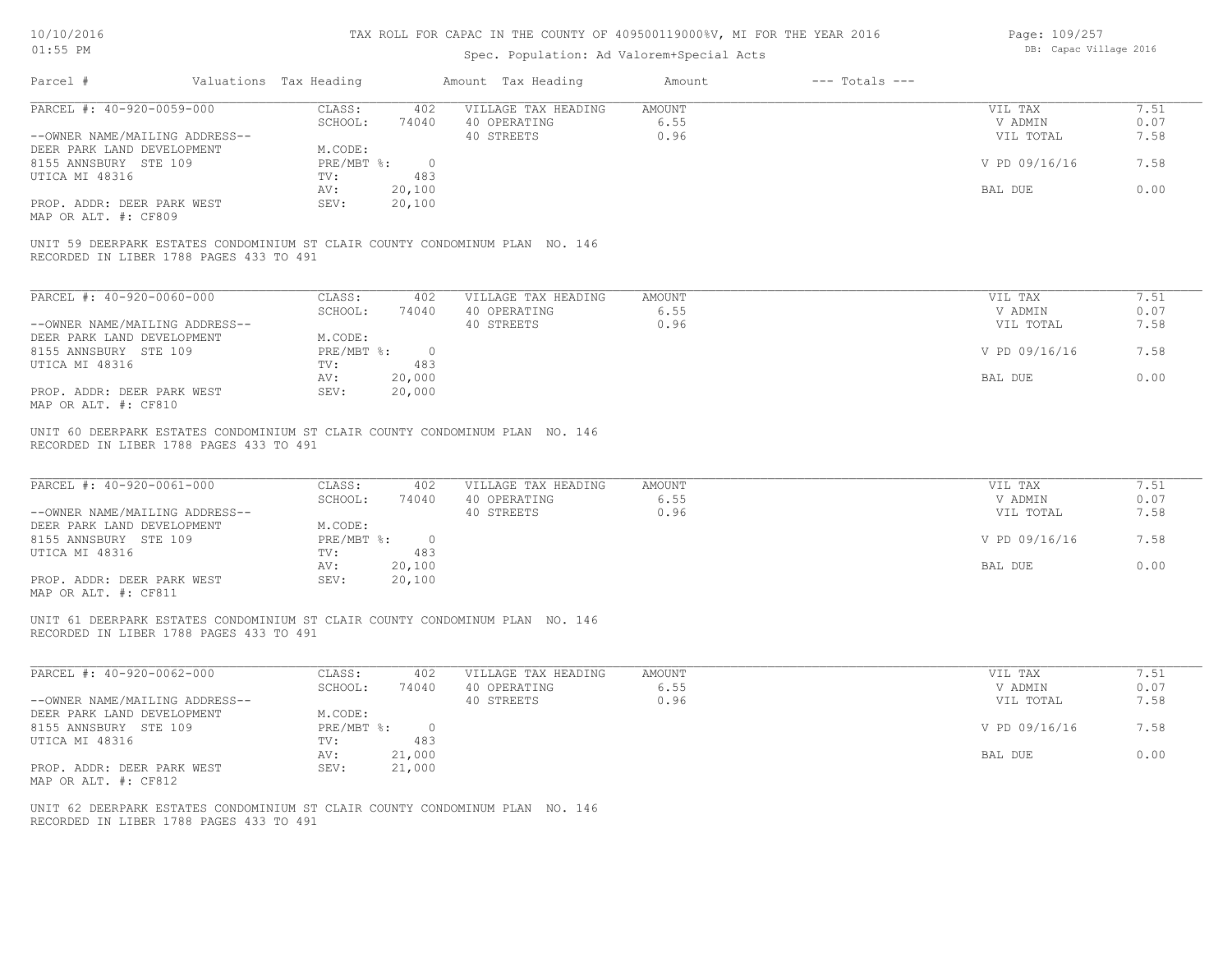# Spec. Population: Ad Valorem+Special Acts

| Page: 109/257 |                        |  |
|---------------|------------------------|--|
|               | DB: Capac Village 2016 |  |

| 7.51<br>PARCEL #: 40-920-0059-000<br>CLASS:<br>VILLAGE TAX HEADING<br><b>AMOUNT</b><br>VIL TAX<br>402<br>SCHOOL:<br>6.55<br>0.07<br>74040<br>40 OPERATING<br>V ADMIN<br>40 STREETS<br>0.96<br>7.58<br>--OWNER NAME/MAILING ADDRESS--<br>VIL TOTAL<br>DEER PARK LAND DEVELOPMENT<br>M.CODE:<br>7.58<br>8155 ANNSBURY STE 109<br>$PRE/MBT$ %:<br>$\overline{0}$<br>V PD 09/16/16<br>UTICA MI 48316<br>TV:<br>483<br>0.00<br>20,100<br>BAL DUE<br>AV:<br>PROP. ADDR: DEER PARK WEST<br>20,100<br>SEV:<br>MAP OR ALT. #: CF809<br>UNIT 59 DEERPARK ESTATES CONDOMINIUM ST CLAIR COUNTY CONDOMINUM PLAN NO. 146<br>RECORDED IN LIBER 1788 PAGES 433 TO 491<br>PARCEL #: 40-920-0060-000<br>CLASS:<br>VILLAGE TAX HEADING<br>VIL TAX<br>7.51<br>402<br>AMOUNT<br>SCHOOL:<br>40 OPERATING<br>6.55<br>0.07<br>74040<br>V ADMIN<br>40 STREETS<br>0.96<br>7.58<br>--OWNER NAME/MAILING ADDRESS--<br>VIL TOTAL<br>DEER PARK LAND DEVELOPMENT<br>M.CODE:<br>7.58<br>8155 ANNSBURY STE 109<br>$PRE/MBT$ $\div$ 0<br>V PD 09/16/16<br>UTICA MI 48316<br>483<br>TV:<br>0.00<br>20,000<br>BAL DUE<br>AV:<br>PROP. ADDR: DEER PARK WEST<br>SEV:<br>20,000<br>MAP OR ALT. #: CF810<br>UNIT 60 DEERPARK ESTATES CONDOMINIUM ST CLAIR COUNTY CONDOMINUM PLAN NO. 146<br>RECORDED IN LIBER 1788 PAGES 433 TO 491<br>PARCEL #: 40-920-0061-000<br>CLASS:<br>VILLAGE TAX HEADING<br>AMOUNT<br>7.51<br>402<br>VIL TAX<br>SCHOOL:<br>40 OPERATING<br>6.55<br>0.07<br>74040<br>V ADMIN<br>7.58<br>--OWNER NAME/MAILING ADDRESS--<br>40 STREETS<br>0.96<br>VIL TOTAL<br>DEER PARK LAND DEVELOPMENT<br>M.CODE:<br>V PD 09/16/16<br>7.58<br>8155 ANNSBURY STE 109<br>$PRE/MBT$ $\div$ 0<br>483<br>UTICA MI 48316<br>TV:<br>0.00<br>AV:<br>20,100<br>BAL DUE<br>20,100<br>PROP. ADDR: DEER PARK WEST<br>SEV:<br>MAP OR ALT. #: CF811<br>UNIT 61 DEERPARK ESTATES CONDOMINIUM ST CLAIR COUNTY CONDOMINUM PLAN NO. 146<br>RECORDED IN LIBER 1788 PAGES 433 TO 491<br>PARCEL #: 40-920-0062-000<br>CLASS:<br>VILLAGE TAX HEADING<br>AMOUNT<br>VIL TAX<br>7.51<br>402<br>6.55<br>0.07<br>SCHOOL:<br>74040<br>40 OPERATING<br>V ADMIN<br>40 STREETS<br>0.96<br>7.58<br>--OWNER NAME/MAILING ADDRESS--<br>VIL TOTAL<br>M.CODE:<br>DEER PARK LAND DEVELOPMENT<br>PRE/MBT %:<br>7.58<br>8155 ANNSBURY STE 109<br>$\overline{0}$<br>V PD 09/16/16<br>UTICA MI 48316<br>TV:<br>483<br>AV:<br>21,000<br>BAL DUE<br>0.00<br>PROP. ADDR: DEER PARK WEST<br>21,000<br>SEV:<br>MAP OR ALT. #: CF812<br>UNIT 62 DEERPARK ESTATES CONDOMINIUM ST CLAIR COUNTY CONDOMINUM PLAN NO. 146<br>RECORDED IN LIBER 1788 PAGES 433 TO 491 | Parcel # | Valuations Tax Heading | Amount Tax Heading | Amount | $---$ Totals $---$ |  |
|-----------------------------------------------------------------------------------------------------------------------------------------------------------------------------------------------------------------------------------------------------------------------------------------------------------------------------------------------------------------------------------------------------------------------------------------------------------------------------------------------------------------------------------------------------------------------------------------------------------------------------------------------------------------------------------------------------------------------------------------------------------------------------------------------------------------------------------------------------------------------------------------------------------------------------------------------------------------------------------------------------------------------------------------------------------------------------------------------------------------------------------------------------------------------------------------------------------------------------------------------------------------------------------------------------------------------------------------------------------------------------------------------------------------------------------------------------------------------------------------------------------------------------------------------------------------------------------------------------------------------------------------------------------------------------------------------------------------------------------------------------------------------------------------------------------------------------------------------------------------------------------------------------------------------------------------------------------------------------------------------------------------------------------------------------------------------------------------------------------------------------------------------------------------------------------------------------------------------------------------------------------------------------------------------------------------------------------------------------------------------------------------------------------------------------------------------------------------------------------------------------------------------------------------------------------------------------------|----------|------------------------|--------------------|--------|--------------------|--|
|                                                                                                                                                                                                                                                                                                                                                                                                                                                                                                                                                                                                                                                                                                                                                                                                                                                                                                                                                                                                                                                                                                                                                                                                                                                                                                                                                                                                                                                                                                                                                                                                                                                                                                                                                                                                                                                                                                                                                                                                                                                                                                                                                                                                                                                                                                                                                                                                                                                                                                                                                                                   |          |                        |                    |        |                    |  |
|                                                                                                                                                                                                                                                                                                                                                                                                                                                                                                                                                                                                                                                                                                                                                                                                                                                                                                                                                                                                                                                                                                                                                                                                                                                                                                                                                                                                                                                                                                                                                                                                                                                                                                                                                                                                                                                                                                                                                                                                                                                                                                                                                                                                                                                                                                                                                                                                                                                                                                                                                                                   |          |                        |                    |        |                    |  |
|                                                                                                                                                                                                                                                                                                                                                                                                                                                                                                                                                                                                                                                                                                                                                                                                                                                                                                                                                                                                                                                                                                                                                                                                                                                                                                                                                                                                                                                                                                                                                                                                                                                                                                                                                                                                                                                                                                                                                                                                                                                                                                                                                                                                                                                                                                                                                                                                                                                                                                                                                                                   |          |                        |                    |        |                    |  |
|                                                                                                                                                                                                                                                                                                                                                                                                                                                                                                                                                                                                                                                                                                                                                                                                                                                                                                                                                                                                                                                                                                                                                                                                                                                                                                                                                                                                                                                                                                                                                                                                                                                                                                                                                                                                                                                                                                                                                                                                                                                                                                                                                                                                                                                                                                                                                                                                                                                                                                                                                                                   |          |                        |                    |        |                    |  |
|                                                                                                                                                                                                                                                                                                                                                                                                                                                                                                                                                                                                                                                                                                                                                                                                                                                                                                                                                                                                                                                                                                                                                                                                                                                                                                                                                                                                                                                                                                                                                                                                                                                                                                                                                                                                                                                                                                                                                                                                                                                                                                                                                                                                                                                                                                                                                                                                                                                                                                                                                                                   |          |                        |                    |        |                    |  |
|                                                                                                                                                                                                                                                                                                                                                                                                                                                                                                                                                                                                                                                                                                                                                                                                                                                                                                                                                                                                                                                                                                                                                                                                                                                                                                                                                                                                                                                                                                                                                                                                                                                                                                                                                                                                                                                                                                                                                                                                                                                                                                                                                                                                                                                                                                                                                                                                                                                                                                                                                                                   |          |                        |                    |        |                    |  |
|                                                                                                                                                                                                                                                                                                                                                                                                                                                                                                                                                                                                                                                                                                                                                                                                                                                                                                                                                                                                                                                                                                                                                                                                                                                                                                                                                                                                                                                                                                                                                                                                                                                                                                                                                                                                                                                                                                                                                                                                                                                                                                                                                                                                                                                                                                                                                                                                                                                                                                                                                                                   |          |                        |                    |        |                    |  |
|                                                                                                                                                                                                                                                                                                                                                                                                                                                                                                                                                                                                                                                                                                                                                                                                                                                                                                                                                                                                                                                                                                                                                                                                                                                                                                                                                                                                                                                                                                                                                                                                                                                                                                                                                                                                                                                                                                                                                                                                                                                                                                                                                                                                                                                                                                                                                                                                                                                                                                                                                                                   |          |                        |                    |        |                    |  |
|                                                                                                                                                                                                                                                                                                                                                                                                                                                                                                                                                                                                                                                                                                                                                                                                                                                                                                                                                                                                                                                                                                                                                                                                                                                                                                                                                                                                                                                                                                                                                                                                                                                                                                                                                                                                                                                                                                                                                                                                                                                                                                                                                                                                                                                                                                                                                                                                                                                                                                                                                                                   |          |                        |                    |        |                    |  |
|                                                                                                                                                                                                                                                                                                                                                                                                                                                                                                                                                                                                                                                                                                                                                                                                                                                                                                                                                                                                                                                                                                                                                                                                                                                                                                                                                                                                                                                                                                                                                                                                                                                                                                                                                                                                                                                                                                                                                                                                                                                                                                                                                                                                                                                                                                                                                                                                                                                                                                                                                                                   |          |                        |                    |        |                    |  |
|                                                                                                                                                                                                                                                                                                                                                                                                                                                                                                                                                                                                                                                                                                                                                                                                                                                                                                                                                                                                                                                                                                                                                                                                                                                                                                                                                                                                                                                                                                                                                                                                                                                                                                                                                                                                                                                                                                                                                                                                                                                                                                                                                                                                                                                                                                                                                                                                                                                                                                                                                                                   |          |                        |                    |        |                    |  |
|                                                                                                                                                                                                                                                                                                                                                                                                                                                                                                                                                                                                                                                                                                                                                                                                                                                                                                                                                                                                                                                                                                                                                                                                                                                                                                                                                                                                                                                                                                                                                                                                                                                                                                                                                                                                                                                                                                                                                                                                                                                                                                                                                                                                                                                                                                                                                                                                                                                                                                                                                                                   |          |                        |                    |        |                    |  |
|                                                                                                                                                                                                                                                                                                                                                                                                                                                                                                                                                                                                                                                                                                                                                                                                                                                                                                                                                                                                                                                                                                                                                                                                                                                                                                                                                                                                                                                                                                                                                                                                                                                                                                                                                                                                                                                                                                                                                                                                                                                                                                                                                                                                                                                                                                                                                                                                                                                                                                                                                                                   |          |                        |                    |        |                    |  |
|                                                                                                                                                                                                                                                                                                                                                                                                                                                                                                                                                                                                                                                                                                                                                                                                                                                                                                                                                                                                                                                                                                                                                                                                                                                                                                                                                                                                                                                                                                                                                                                                                                                                                                                                                                                                                                                                                                                                                                                                                                                                                                                                                                                                                                                                                                                                                                                                                                                                                                                                                                                   |          |                        |                    |        |                    |  |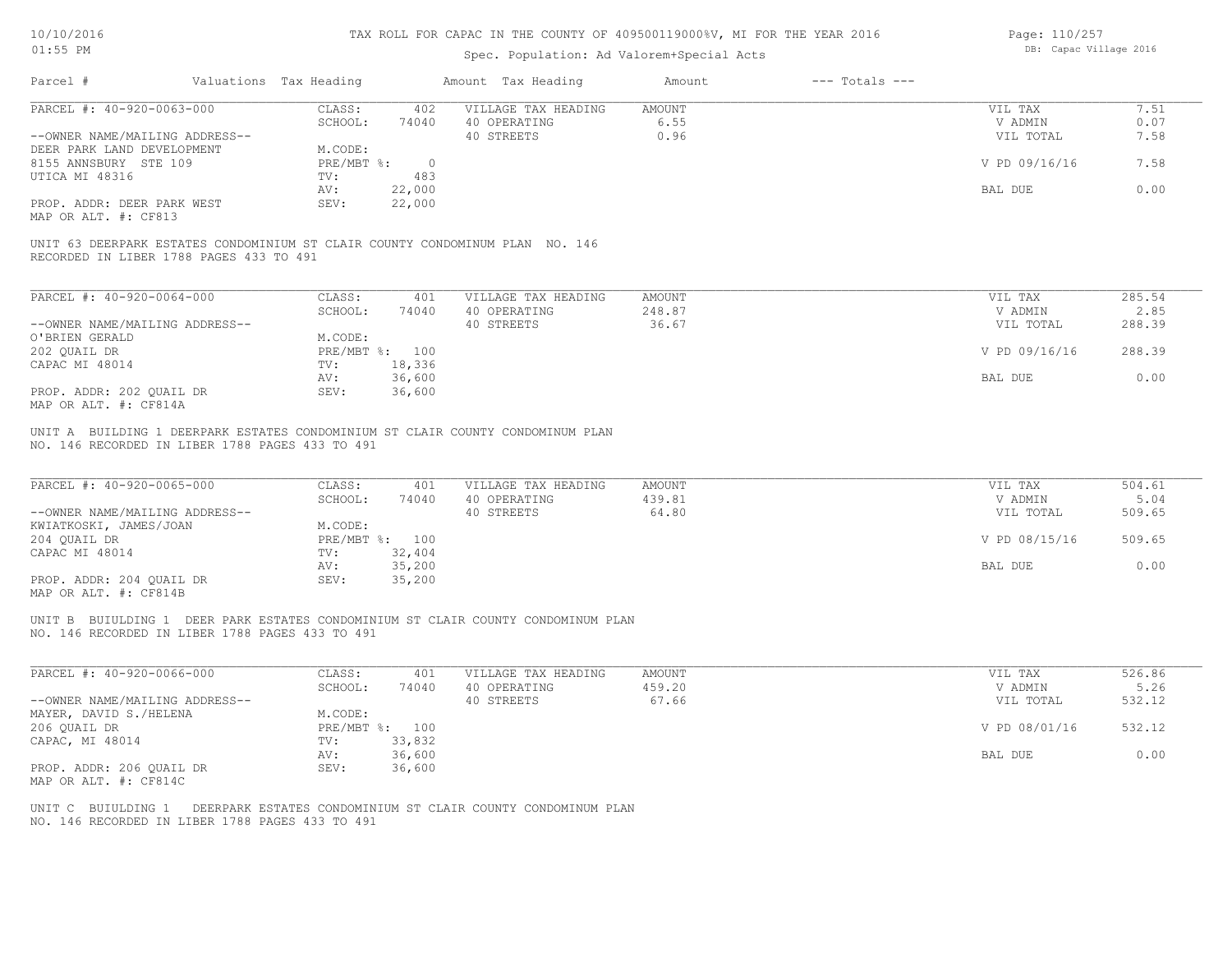| Page: 110/257 |                        |  |
|---------------|------------------------|--|
|               | DB: Capac Village 2016 |  |

| AT: JO LM                                                                                                                           |                                              | Spec. Population: Ad Valorem+Special Acts         |                              | DD. Capac Viiidue 2010          |                          |
|-------------------------------------------------------------------------------------------------------------------------------------|----------------------------------------------|---------------------------------------------------|------------------------------|---------------------------------|--------------------------|
| Parcel #                                                                                                                            | Valuations Tax Heading                       | Amount Tax Heading                                | $---$ Totals $---$<br>Amount |                                 |                          |
| PARCEL #: 40-920-0063-000                                                                                                           | CLASS:<br>402                                | VILLAGE TAX HEADING                               | <b>AMOUNT</b>                | VIL TAX                         | 7.51                     |
|                                                                                                                                     | SCHOOL:<br>74040                             | 40 OPERATING                                      | 6.55                         | V ADMIN                         | 0.07                     |
| --OWNER NAME/MAILING ADDRESS--                                                                                                      |                                              | 40 STREETS                                        | 0.96                         | VIL TOTAL                       | 7.58                     |
| DEER PARK LAND DEVELOPMENT                                                                                                          | M.CODE:                                      |                                                   |                              |                                 |                          |
| 8155 ANNSBURY STE 109                                                                                                               | $PRE/MBT$ $\div$<br>$\overline{0}$           |                                                   |                              | V PD 09/16/16                   | 7.58                     |
|                                                                                                                                     | TV:<br>483                                   |                                                   |                              |                                 |                          |
| UTICA MI 48316                                                                                                                      |                                              |                                                   |                              |                                 |                          |
|                                                                                                                                     | 22,000<br>AV:                                |                                                   |                              | BAL DUE                         | 0.00                     |
| PROP. ADDR: DEER PARK WEST<br>MAP OR ALT. #: CF813                                                                                  | 22,000<br>SEV:                               |                                                   |                              |                                 |                          |
| UNIT 63 DEERPARK ESTATES CONDOMINIUM ST CLAIR COUNTY CONDOMINUM PLAN NO. 146<br>RECORDED IN LIBER 1788 PAGES 433 TO 491             |                                              |                                                   |                              |                                 |                          |
| PARCEL #: 40-920-0064-000                                                                                                           | CLASS:<br>401                                | VILLAGE TAX HEADING                               | AMOUNT                       | VIL TAX                         | 285.54                   |
|                                                                                                                                     | SCHOOL:<br>74040                             | 40 OPERATING                                      | 248.87                       | V ADMIN                         | 2.85                     |
| --OWNER NAME/MAILING ADDRESS--                                                                                                      |                                              | 40 STREETS                                        | 36.67                        | VIL TOTAL                       | 288.39                   |
| O'BRIEN GERALD                                                                                                                      | M.CODE:                                      |                                                   |                              |                                 |                          |
|                                                                                                                                     |                                              |                                                   |                              |                                 |                          |
| 202 QUAIL DR                                                                                                                        | PRE/MBT %: 100                               |                                                   |                              | V PD 09/16/16                   | 288.39                   |
| CAPAC MI 48014                                                                                                                      | TV:<br>18,336                                |                                                   |                              |                                 |                          |
|                                                                                                                                     | 36,600<br>AV:                                |                                                   |                              | BAL DUE                         | 0.00                     |
| PROP. ADDR: 202 QUAIL DR<br>MAP OR ALT. #: CF814A                                                                                   | SEV:<br>36,600                               |                                                   |                              |                                 |                          |
| PARCEL #: 40-920-0065-000<br>--OWNER NAME/MAILING ADDRESS--<br>KWIATKOSKI, JAMES/JOAN                                               | CLASS:<br>401<br>SCHOOL:<br>74040<br>M.CODE: | VILLAGE TAX HEADING<br>40 OPERATING<br>40 STREETS | AMOUNT<br>439.81<br>64.80    | VIL TAX<br>V ADMIN<br>VIL TOTAL | 504.61<br>5.04<br>509.65 |
| 204 QUAIL DR<br>CAPAC MI 48014                                                                                                      | PRE/MBT %: 100<br>TV:<br>32,404              |                                                   |                              | V PD 08/15/16                   | 509.65                   |
|                                                                                                                                     | 35,200<br>AV:                                |                                                   |                              | BAL DUE                         | 0.00                     |
| PROP. ADDR: 204 QUAIL DR<br>MAP OR ALT. #: CF814B                                                                                   | 35,200<br>SEV:                               |                                                   |                              |                                 |                          |
| UNIT B BUIULDING 1 DEER PARK ESTATES CONDOMINIUM ST CLAIR COUNTY CONDOMINUM PLAN<br>NO. 146 RECORDED IN LIBER 1788 PAGES 433 TO 491 |                                              |                                                   |                              |                                 |                          |
| PARCEL #: 40-920-0066-000                                                                                                           | CLASS:<br>401                                | VILLAGE TAX HEADING                               | AMOUNT                       | VIL TAX                         | 526.86                   |
|                                                                                                                                     | SCHOOL:<br>74040                             | 40 OPERATING                                      | 459.20                       | V ADMIN                         | 5.26                     |
| --OWNER NAME/MAILING ADDRESS--                                                                                                      |                                              | 40 STREETS                                        | 67.66                        | VIL TOTAL                       | 532.12                   |
| MAYER, DAVID S./HELENA                                                                                                              | M.CODE:                                      |                                                   |                              |                                 |                          |
| 206 QUAIL DR                                                                                                                        | PRE/MBT %: 100                               |                                                   |                              | V PD 08/01/16                   | 532.12                   |
| CAPAC, MI 48014                                                                                                                     | 33,832<br>TV:                                |                                                   |                              |                                 |                          |
|                                                                                                                                     |                                              |                                                   |                              |                                 |                          |
|                                                                                                                                     | 36,600<br>AV:                                |                                                   |                              | BAL DUE                         | 0.00                     |
| PROP. ADDR: 206 QUAIL DR<br>MAP OR ALT. #: CF814C                                                                                   | 36,600<br>SEV:                               |                                                   |                              |                                 |                          |
| UNIT C BUIULDING 1 DEERPARK ESTATES CONDOMINIUM ST CLAIR COUNTY CONDOMINUM PLAN<br>NO. 146 RECORDED IN LIBER 1788 PAGES 433 TO 491  |                                              |                                                   |                              |                                 |                          |
|                                                                                                                                     |                                              |                                                   |                              |                                 |                          |
|                                                                                                                                     |                                              |                                                   |                              |                                 |                          |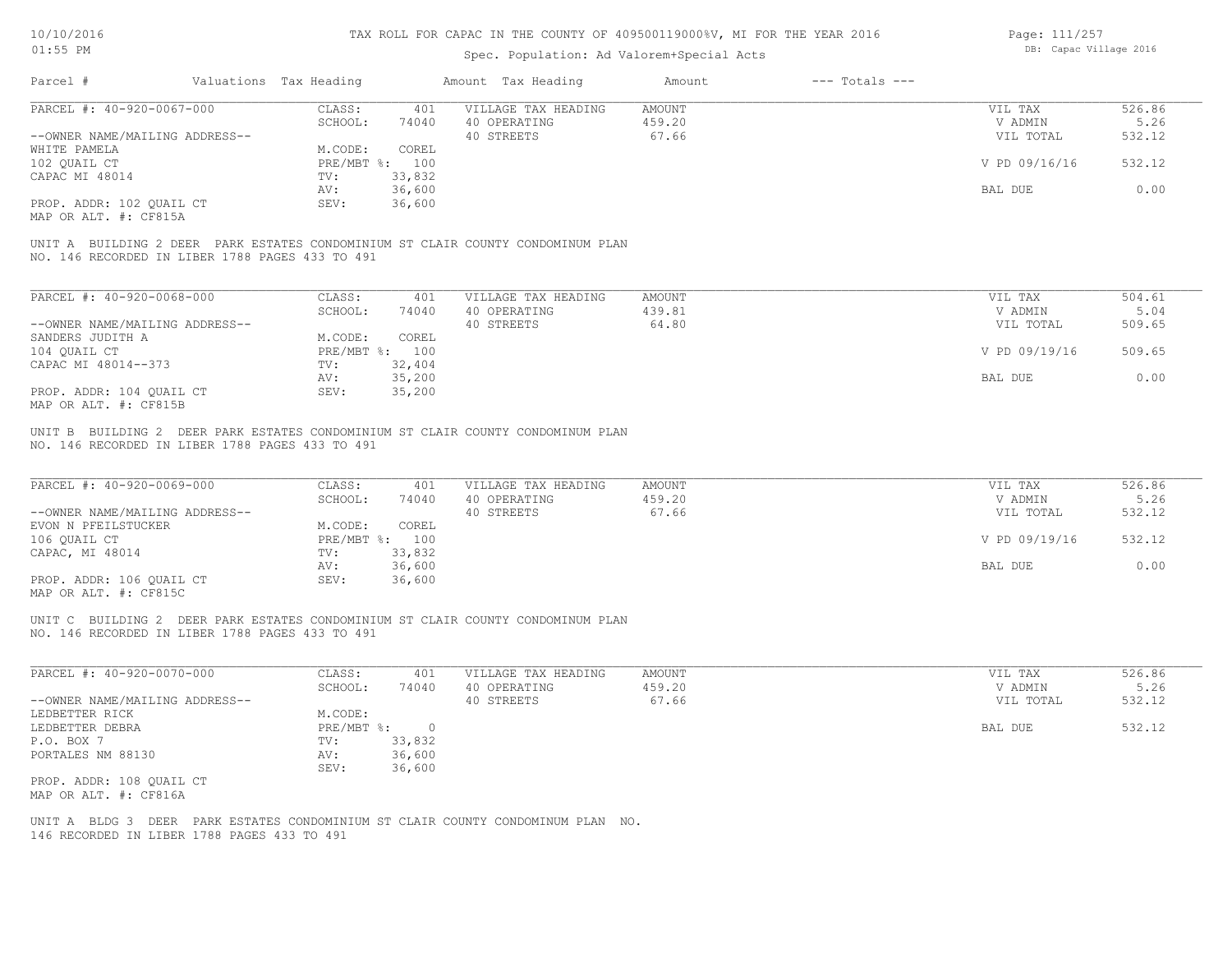# Spec. Population: Ad Valorem+Special Acts

| Page: 111/257 |                        |  |
|---------------|------------------------|--|
|               | DB: Capac Village 2016 |  |

| Parcel #                                        | Valuations Tax Heading |                | Amount Tax Heading                                                              | Amount | $---$ Totals $---$ |               |        |
|-------------------------------------------------|------------------------|----------------|---------------------------------------------------------------------------------|--------|--------------------|---------------|--------|
| PARCEL #: 40-920-0067-000                       | CLASS:                 | 401            | VILLAGE TAX HEADING                                                             | AMOUNT |                    | VIL TAX       | 526.86 |
|                                                 | SCHOOL:                | 74040          | 40 OPERATING                                                                    | 459.20 |                    | V ADMIN       | 5.26   |
| --OWNER NAME/MAILING ADDRESS--                  |                        |                | 40 STREETS                                                                      | 67.66  |                    | VIL TOTAL     | 532.12 |
| WHITE PAMELA                                    | M.CODE:                | COREL          |                                                                                 |        |                    |               |        |
| 102 QUAIL CT                                    |                        | PRE/MBT %: 100 |                                                                                 |        |                    | V PD 09/16/16 | 532.12 |
| CAPAC MI 48014                                  | TV:                    | 33,832         |                                                                                 |        |                    |               |        |
|                                                 | AV:                    | 36,600         |                                                                                 |        |                    | BAL DUE       | 0.00   |
| PROP. ADDR: 102 OUAIL CT                        | SEV:                   | 36,600         |                                                                                 |        |                    |               |        |
| MAP OR ALT. #: CF815A                           |                        |                |                                                                                 |        |                    |               |        |
| NO. 146 RECORDED IN LIBER 1788 PAGES 433 TO 491 |                        |                | UNIT A BUILDING 2 DEER PARK ESTATES CONDOMINIUM ST CLAIR COUNTY CONDOMINUM PLAN |        |                    |               |        |
|                                                 |                        |                |                                                                                 |        |                    |               |        |

| PARCEL #: 40-920-0068-000      | CLASS:     | 401    | VILLAGE TAX HEADING | AMOUNT | VIL TAX       | 504.61 |
|--------------------------------|------------|--------|---------------------|--------|---------------|--------|
|                                | SCHOOL:    | 74040  | 40 OPERATING        | 439.81 | V ADMIN       | 5.04   |
| --OWNER NAME/MAILING ADDRESS-- |            |        | 40 STREETS          | 64.80  | VIL TOTAL     | 509.65 |
| SANDERS JUDITH A               | M.CODE:    | COREL  |                     |        |               |        |
| 104 QUAIL CT                   | PRE/MBT %: | 100    |                     |        | V PD 09/19/16 | 509.65 |
| CAPAC MI 48014--373            | TV:        | 32,404 |                     |        |               |        |
|                                | AV:        | 35,200 |                     |        | BAL DUE       | 0.00   |
| PROP. ADDR: 104 OUAIL CT       | SEV:       | 35,200 |                     |        |               |        |
| MAP OR ALT. #: CF815B          |            |        |                     |        |               |        |

NO. 146 RECORDED IN LIBER 1788 PAGES 433 TO 491 UNIT B BUILDING 2 DEER PARK ESTATES CONDOMINIUM ST CLAIR COUNTY CONDOMINUM PLAN

| PARCEL #: 40-920-0069-000      | CLASS:  | 401            | VILLAGE TAX HEADING | AMOUNT | VIL TAX       | 526.86 |
|--------------------------------|---------|----------------|---------------------|--------|---------------|--------|
|                                | SCHOOL: | 74040          | 40 OPERATING        | 459.20 | V ADMIN       | 5.26   |
| --OWNER NAME/MAILING ADDRESS-- |         |                | 40 STREETS          | 67.66  | VIL TOTAL     | 532.12 |
| EVON N PFEILSTUCKER            | M.CODE: | COREL          |                     |        |               |        |
| 106 QUAIL CT                   |         | PRE/MBT %: 100 |                     |        | V PD 09/19/16 | 532.12 |
| CAPAC, MI 48014                | TV:     | 33,832         |                     |        |               |        |
|                                | AV:     | 36,600         |                     |        | BAL DUE       | 0.00   |
| PROP. ADDR: 106 QUAIL CT       | SEV:    | 36,600         |                     |        |               |        |
|                                |         |                |                     |        |               |        |

MAP OR ALT. #: CF815C

NO. 146 RECORDED IN LIBER 1788 PAGES 433 TO 491 UNIT C BUILDING 2 DEER PARK ESTATES CONDOMINIUM ST CLAIR COUNTY CONDOMINUM PLAN

| PARCEL #: 40-920-0070-000      | CLASS:       | 401      | VILLAGE TAX HEADING                                               | AMOUNT | VIL TAX   | 526.86 |
|--------------------------------|--------------|----------|-------------------------------------------------------------------|--------|-----------|--------|
|                                | SCHOOL:      | 74040    | 40 OPERATING                                                      | 459.20 | V ADMIN   | 5.26   |
| --OWNER NAME/MAILING ADDRESS-- |              |          | 40 STREETS                                                        | 67.66  | VIL TOTAL | 532.12 |
| LEDBETTER RICK                 | M.CODE:      |          |                                                                   |        |           |        |
| LEDBETTER DEBRA                | $PRE/MBT$ %: | $\Omega$ |                                                                   |        | BAL DUE   | 532.12 |
| P.O. BOX 7                     | TV:          | 33,832   |                                                                   |        |           |        |
| PORTALES NM 88130              | AV:          | 36,600   |                                                                   |        |           |        |
|                                | SEV:         | 36,600   |                                                                   |        |           |        |
| PROP. ADDR: 108 OUAIL CT       |              |          |                                                                   |        |           |        |
| MAP OR ALT. #: CF816A          |              |          |                                                                   |        |           |        |
|                                |              |          |                                                                   |        |           |        |
| UNIT A BLDG 3                  |              |          | DEER PARK ESTATES CONDOMINIUM ST CLAIR COUNTY CONDOMINUM PLAN NO. |        |           |        |

 $\mathcal{L}_\mathcal{L} = \mathcal{L}_\mathcal{L} = \mathcal{L}_\mathcal{L} = \mathcal{L}_\mathcal{L} = \mathcal{L}_\mathcal{L} = \mathcal{L}_\mathcal{L} = \mathcal{L}_\mathcal{L} = \mathcal{L}_\mathcal{L} = \mathcal{L}_\mathcal{L} = \mathcal{L}_\mathcal{L} = \mathcal{L}_\mathcal{L} = \mathcal{L}_\mathcal{L} = \mathcal{L}_\mathcal{L} = \mathcal{L}_\mathcal{L} = \mathcal{L}_\mathcal{L} = \mathcal{L}_\mathcal{L} = \mathcal{L}_\mathcal{L}$ 

146 RECORDED IN LIBER 1788 PAGES 433 TO 491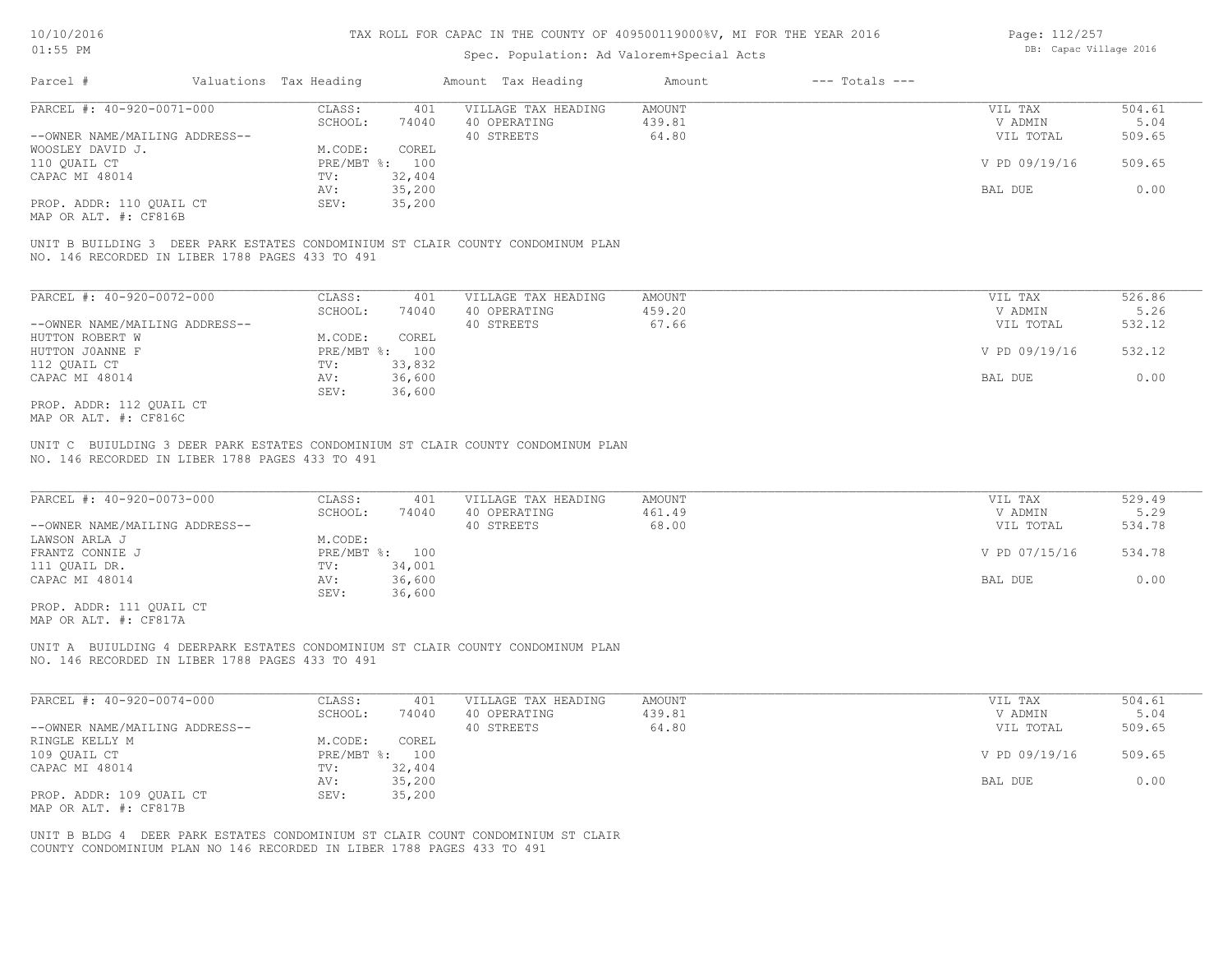## Spec. Population: Ad Valorem+Special Acts

| Page: 112/257 |                        |  |
|---------------|------------------------|--|
|               | DB: Capac Village 2016 |  |

| Parcel #                       | Valuations Tax Heading |        | Amount Tax Heading  | Amount | $---$ Totals $---$ |               |        |
|--------------------------------|------------------------|--------|---------------------|--------|--------------------|---------------|--------|
| PARCEL #: 40-920-0071-000      | CLASS:                 | 401    | VILLAGE TAX HEADING | AMOUNT |                    | VIL TAX       | 504.61 |
|                                | SCHOOL:                | 74040  | 40 OPERATING        | 439.81 |                    | V ADMIN       | 5.04   |
| --OWNER NAME/MAILING ADDRESS-- |                        |        | 40 STREETS          | 64.80  |                    | VIL TOTAL     | 509.65 |
| WOOSLEY DAVID J.               | M.CODE:                | COREL  |                     |        |                    |               |        |
| 110 OUAIL CT                   | PRE/MBT %: 100         |        |                     |        |                    | V PD 09/19/16 | 509.65 |
| CAPAC MI 48014                 | TV:                    | 32,404 |                     |        |                    |               |        |
|                                | AV:                    | 35,200 |                     |        |                    | BAL DUE       | 0.00   |
| PROP. ADDR: 110 QUAIL CT       | SEV:                   | 35,200 |                     |        |                    |               |        |
|                                |                        |        |                     |        |                    |               |        |

MAP OR ALT. #: CF816B

NO. 146 RECORDED IN LIBER 1788 PAGES 433 TO 491 UNIT B BUILDING 3 DEER PARK ESTATES CONDOMINIUM ST CLAIR COUNTY CONDOMINUM PLAN

| PARCEL #: 40-920-0072-000      | CLASS:       | 401    | VILLAGE TAX HEADING | AMOUNT | VIL TAX       | 526.86 |
|--------------------------------|--------------|--------|---------------------|--------|---------------|--------|
|                                | SCHOOL:      | 74040  | 40 OPERATING        | 459.20 | V ADMIN       | 5.26   |
| --OWNER NAME/MAILING ADDRESS-- |              |        | 40 STREETS          | 67.66  | VIL TOTAL     | 532.12 |
| HUTTON ROBERT W                | M.CODE:      | COREL  |                     |        |               |        |
| HUTTON JOANNE F                | $PRE/MBT$ %: | 100    |                     |        | V PD 09/19/16 | 532.12 |
| 112 QUAIL CT                   | TV:          | 33,832 |                     |        |               |        |
| CAPAC MI 48014                 | AV:          | 36,600 |                     |        | BAL DUE       | 0.00   |
|                                | SEV:         | 36,600 |                     |        |               |        |
| PROP. ADDR: 112 OUAIL CT       |              |        |                     |        |               |        |

MAP OR ALT. #: CF816C

NO. 146 RECORDED IN LIBER 1788 PAGES 433 TO 491 UNIT C BUIULDING 3 DEER PARK ESTATES CONDOMINIUM ST CLAIR COUNTY CONDOMINUM PLAN

| PARCEL #: 40-920-0073-000      | CLASS:  | 401            | VILLAGE TAX HEADING | AMOUNT | VIL TAX       | 529.49 |
|--------------------------------|---------|----------------|---------------------|--------|---------------|--------|
|                                | SCHOOL: | 74040          | 40 OPERATING        | 461.49 | V ADMIN       | 5.29   |
| --OWNER NAME/MAILING ADDRESS-- |         |                | 40 STREETS          | 68.00  | VIL TOTAL     | 534.78 |
| LAWSON ARLA J                  | M.CODE: |                |                     |        |               |        |
| FRANTZ CONNIE J                |         | PRE/MBT %: 100 |                     |        | V PD 07/15/16 | 534.78 |
| 111 QUAIL DR.                  | TV:     | 34,001         |                     |        |               |        |
| CAPAC MI 48014                 | AV:     | 36,600         |                     |        | BAL DUE       | 0.00   |
|                                | SEV:    | 36,600         |                     |        |               |        |
| PROP. ADDR: 111 OUAIL CT       |         |                |                     |        |               |        |

MAP OR ALT. #: CF817A

NO. 146 RECORDED IN LIBER 1788 PAGES 433 TO 491 UNIT A BUIULDING 4 DEERPARK ESTATES CONDOMINIUM ST CLAIR COUNTY CONDOMINUM PLAN

| PARCEL #: 40-920-0074-000      | CLASS:     | 401    | VILLAGE TAX HEADING | AMOUNT | VIL TAX       | 504.61 |
|--------------------------------|------------|--------|---------------------|--------|---------------|--------|
|                                | SCHOOL:    | 74040  | 40 OPERATING        | 439.81 | V ADMIN       | 5.04   |
| --OWNER NAME/MAILING ADDRESS-- |            |        | 40 STREETS          | 64.80  | VIL TOTAL     | 509.65 |
| RINGLE KELLY M                 | M.CODE:    | COREL  |                     |        |               |        |
| 109 OUAIL CT                   | PRE/MBT %: | 100    |                     |        | V PD 09/19/16 | 509.65 |
| CAPAC MI 48014                 | TV:        | 32,404 |                     |        |               |        |
|                                | AV:        | 35,200 |                     |        | BAL DUE       | 0.00   |
| PROP. ADDR: 109 OUAIL CT       | SEV:       | 35,200 |                     |        |               |        |
| MAP OR ALT. #: CF817B          |            |        |                     |        |               |        |

COUNTY CONDOMINIUM PLAN NO 146 RECORDED IN LIBER 1788 PAGES 433 TO 491 UNIT B BLDG 4 DEER PARK ESTATES CONDOMINIUM ST CLAIR COUNT CONDOMINIUM ST CLAIR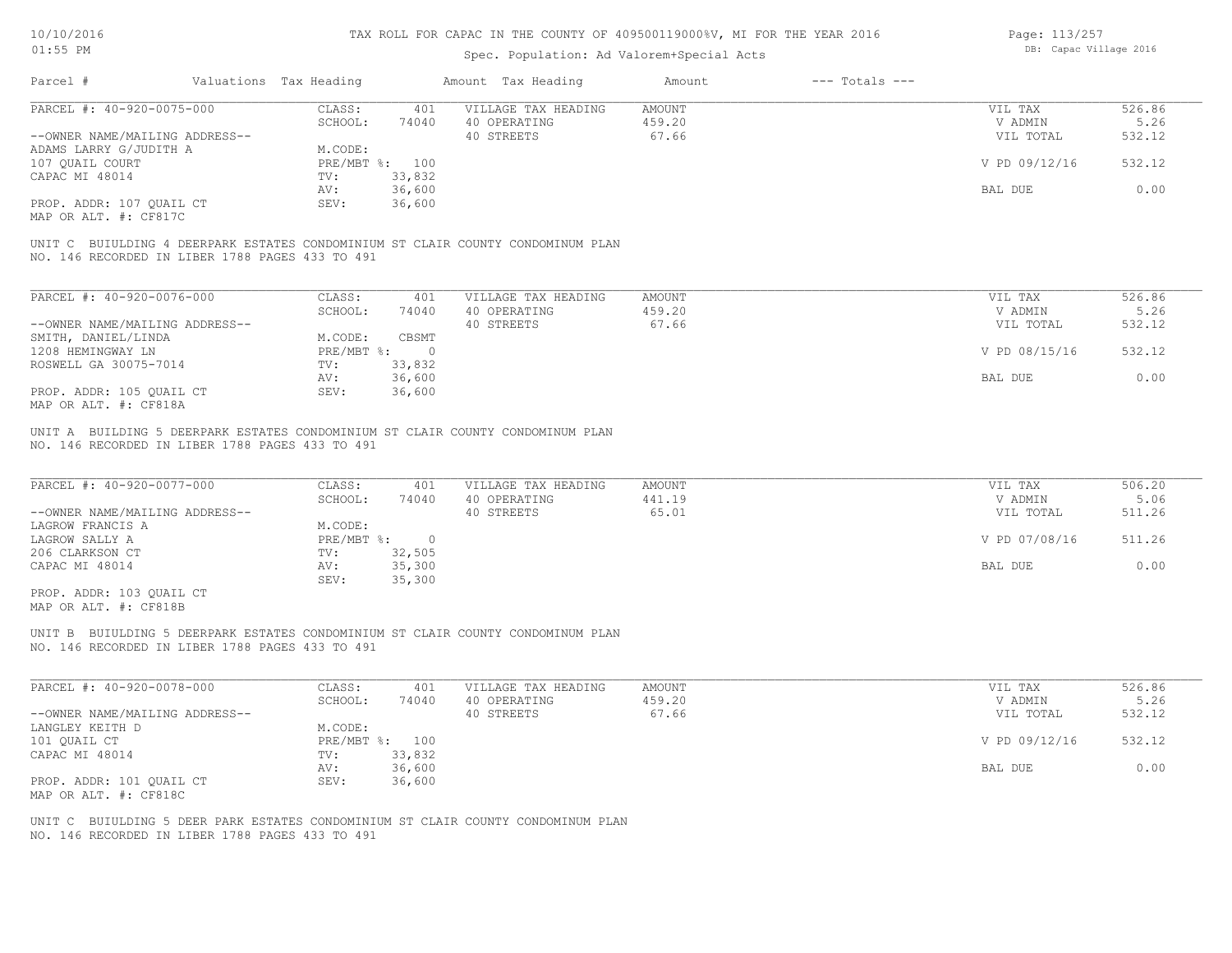Page: 113/257

|                                                                                                                                    |                                    | Page: $113/Z57$<br>DB: Capac Village 2016                       |               |                    |               |        |
|------------------------------------------------------------------------------------------------------------------------------------|------------------------------------|-----------------------------------------------------------------|---------------|--------------------|---------------|--------|
| Parcel #                                                                                                                           | Valuations Tax Heading             | Spec. Population: Ad Valorem+Special Acts<br>Amount Tax Heading | Amount        | $---$ Totals $---$ |               |        |
| PARCEL #: 40-920-0075-000                                                                                                          | CLASS:<br>401                      | VILLAGE TAX HEADING                                             | AMOUNT        |                    | VIL TAX       | 526.86 |
|                                                                                                                                    | SCHOOL:<br>74040                   | 40 OPERATING                                                    | 459.20        |                    | V ADMIN       | 5.26   |
| --OWNER NAME/MAILING ADDRESS--                                                                                                     |                                    | 40 STREETS                                                      | 67.66         |                    | VIL TOTAL     | 532.12 |
| ADAMS LARRY G/JUDITH A                                                                                                             | M.CODE:                            |                                                                 |               |                    |               |        |
| 107 QUAIL COURT                                                                                                                    | PRE/MBT %: 100                     |                                                                 |               |                    | V PD 09/12/16 | 532.12 |
| CAPAC MI 48014                                                                                                                     | 33,832<br>TV:                      |                                                                 |               |                    |               |        |
|                                                                                                                                    | 36,600<br>AV:                      |                                                                 |               |                    | BAL DUE       | 0.00   |
| PROP. ADDR: 107 QUAIL CT<br>MAP OR ALT. #: CF817C                                                                                  | 36,600<br>SEV:                     |                                                                 |               |                    |               |        |
| UNIT C BUIULDING 4 DEERPARK ESTATES CONDOMINIUM ST CLAIR COUNTY CONDOMINUM PLAN<br>NO. 146 RECORDED IN LIBER 1788 PAGES 433 TO 491 |                                    |                                                                 |               |                    |               |        |
| PARCEL #: 40-920-0076-000                                                                                                          | CLASS:<br>401                      | VILLAGE TAX HEADING                                             | <b>AMOUNT</b> |                    | VIL TAX       | 526.86 |
|                                                                                                                                    | SCHOOL:<br>74040                   | 40 OPERATING                                                    | 459.20        |                    | V ADMIN       | 5.26   |
| --OWNER NAME/MAILING ADDRESS--                                                                                                     |                                    | 40 STREETS                                                      | 67.66         |                    | VIL TOTAL     | 532.12 |
| SMITH, DANIEL/LINDA                                                                                                                | M.CODE:<br>CBSMT                   |                                                                 |               |                    |               |        |
| 1208 HEMINGWAY LN                                                                                                                  | PRE/MBT %:<br>$\overline{0}$       |                                                                 |               |                    | V PD 08/15/16 | 532.12 |
| ROSWELL GA 30075-7014                                                                                                              | 33,832<br>TV:                      |                                                                 |               |                    |               |        |
|                                                                                                                                    |                                    |                                                                 |               |                    | BAL DUE       | 0.00   |
|                                                                                                                                    | 36,600<br>AV:                      |                                                                 |               |                    |               |        |
| PROP. ADDR: 105 OUAIL CT<br>MAP OR ALT. #: CF818A                                                                                  | 36,600<br>SEV:                     |                                                                 |               |                    |               |        |
| UNIT A BUILDING 5 DEERPARK ESTATES CONDOMINIUM ST CLAIR COUNTY CONDOMINUM PLAN<br>NO. 146 RECORDED IN LIBER 1788 PAGES 433 TO 491  |                                    |                                                                 |               |                    |               |        |
| PARCEL #: 40-920-0077-000                                                                                                          | CLASS:<br>401                      | VILLAGE TAX HEADING                                             | <b>AMOUNT</b> |                    | VIL TAX       | 506.20 |
|                                                                                                                                    | SCHOOL:<br>74040                   | 40 OPERATING                                                    | 441.19        |                    | V ADMIN       | 5.06   |
| --OWNER NAME/MAILING ADDRESS--                                                                                                     |                                    | 40 STREETS                                                      | 65.01         |                    | VIL TOTAL     | 511.26 |
| LAGROW FRANCIS A                                                                                                                   | M.CODE:                            |                                                                 |               |                    |               |        |
| LAGROW SALLY A                                                                                                                     | $PRE/MBT$ $\div$<br>$\overline{0}$ |                                                                 |               |                    | V PD 07/08/16 | 511.26 |
| 206 CLARKSON CT                                                                                                                    | 32,505<br>TV:                      |                                                                 |               |                    |               |        |
| CAPAC MI 48014                                                                                                                     | 35,300<br>AV:<br>SEV:<br>35,300    |                                                                 |               |                    | BAL DUE       | 0.00   |

NO. 146 RECORDED IN LIBER 1788 PAGES 433 TO 491 UNIT B BUIULDING 5 DEERPARK ESTATES CONDOMINIUM ST CLAIR COUNTY CONDOMINUM PLAN

| PARCEL #: 40-920-0078-000      | CLASS:  | 401            | VILLAGE TAX HEADING | AMOUNT | VIL TAX       | 526.86 |
|--------------------------------|---------|----------------|---------------------|--------|---------------|--------|
|                                | SCHOOL: | 74040          | 40 OPERATING        | 459.20 | V ADMIN       | 5.26   |
| --OWNER NAME/MAILING ADDRESS-- |         |                | 40 STREETS          | 67.66  | VIL TOTAL     | 532.12 |
| LANGLEY KEITH D                | M.CODE: |                |                     |        |               |        |
| 101 QUAIL CT                   |         | PRE/MBT %: 100 |                     |        | V PD 09/12/16 | 532.12 |
| CAPAC MI 48014                 | TV:     | 33,832         |                     |        |               |        |
|                                | AV:     | 36,600         |                     |        | BAL DUE       | 0.00   |
| PROP. ADDR: 101 OUAIL CT       | SEV:    | 36,600         |                     |        |               |        |
| MAP OR ALT. #: CF818C          |         |                |                     |        |               |        |

NO. 146 RECORDED IN LIBER 1788 PAGES 433 TO 491 UNIT C BUIULDING 5 DEER PARK ESTATES CONDOMINIUM ST CLAIR COUNTY CONDOMINUM PLAN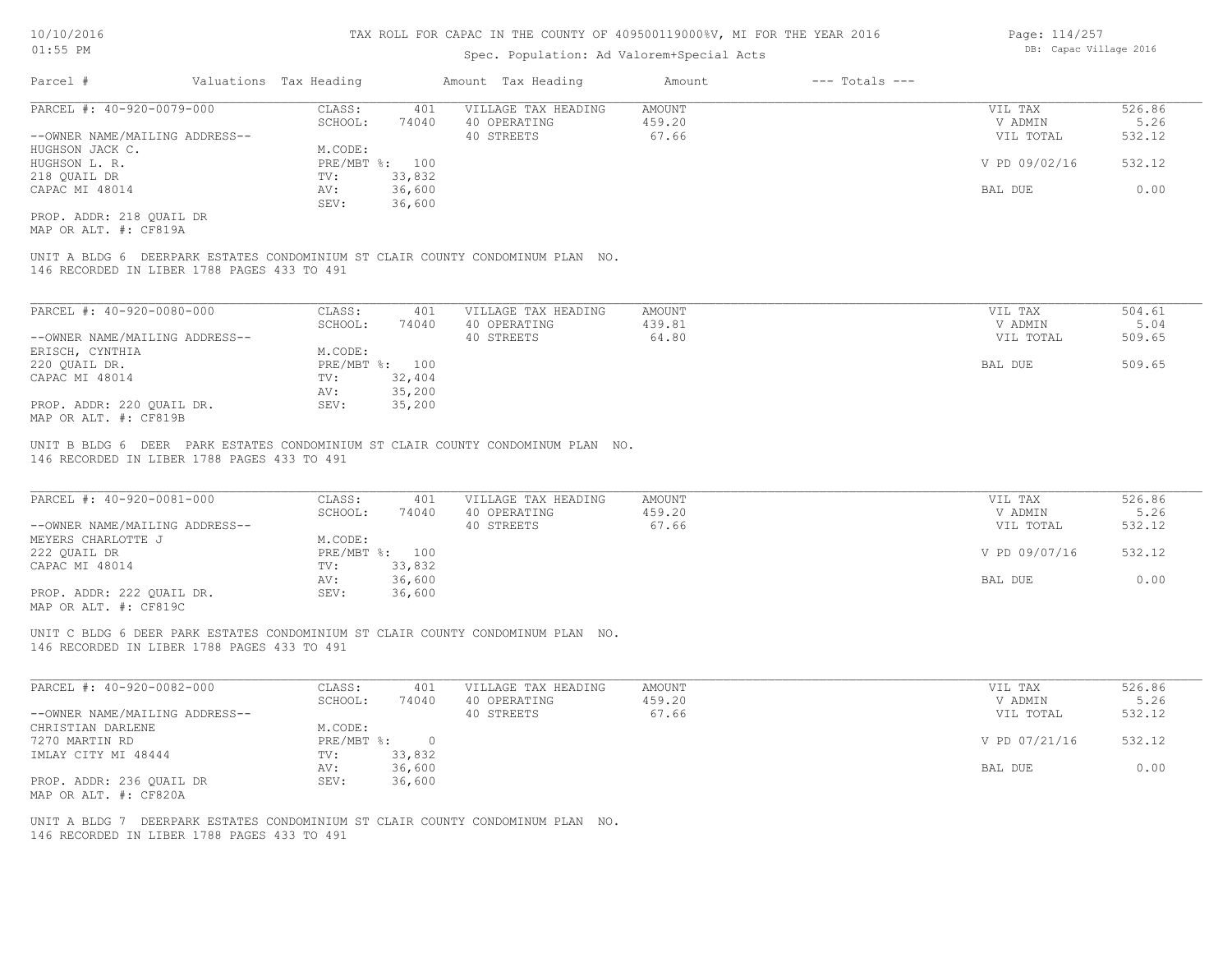## Spec. Population: Ad Valorem+Special Acts

| Parcel #                       | Valuations Tax Heading |                | Amount Tax Heading  | Amount | $---$ Totals $---$ |               |        |
|--------------------------------|------------------------|----------------|---------------------|--------|--------------------|---------------|--------|
| PARCEL #: 40-920-0079-000      | CLASS:                 | 401            | VILLAGE TAX HEADING | AMOUNT |                    | VIL TAX       | 526.86 |
|                                | SCHOOL:                | 74040          | 40 OPERATING        | 459.20 |                    | V ADMIN       | 5.26   |
| --OWNER NAME/MAILING ADDRESS-- |                        |                | 40 STREETS          | 67.66  |                    | VIL TOTAL     | 532.12 |
| HUGHSON JACK C.                | M.CODE:                |                |                     |        |                    |               |        |
| HUGHSON L. R.                  |                        | PRE/MBT %: 100 |                     |        |                    | V PD 09/02/16 | 532.12 |
| 218 QUAIL DR                   | TV:                    | 33,832         |                     |        |                    |               |        |
| CAPAC MI 48014                 | AV:                    | 36,600         |                     |        |                    | BAL DUE       | 0.00   |
|                                | SEV:                   | 36,600         |                     |        |                    |               |        |
| PROP. ADDR: 218 OUAIL DR       |                        |                |                     |        |                    |               |        |

MAP OR ALT. #: CF819A

146 RECORDED IN LIBER 1788 PAGES 433 TO 491 UNIT A BLDG 6 DEERPARK ESTATES CONDOMINIUM ST CLAIR COUNTY CONDOMINUM PLAN NO.

| PARCEL #: 40-920-0080-000      | CLASS:  | 401            | VILLAGE TAX HEADING | AMOUNT | VIL TAX   | 504.61 |
|--------------------------------|---------|----------------|---------------------|--------|-----------|--------|
|                                | SCHOOL: | 74040          | 40 OPERATING        | 439.81 | V ADMIN   | 5.04   |
| --OWNER NAME/MAILING ADDRESS-- |         |                | 40 STREETS          | 64.80  | VIL TOTAL | 509.65 |
| ERISCH, CYNTHIA                | M.CODE: |                |                     |        |           |        |
| 220 QUAIL DR.                  |         | PRE/MBT %: 100 |                     |        | BAL DUE   | 509.65 |
| CAPAC MI 48014                 | TV:     | 32,404         |                     |        |           |        |
|                                | AV:     | 35,200         |                     |        |           |        |
| PROP. ADDR: 220 QUAIL DR.      | SEV:    | 35,200         |                     |        |           |        |
| MAP OR ALT. #: CF819B          |         |                |                     |        |           |        |

146 RECORDED IN LIBER 1788 PAGES 433 TO 491 UNIT B BLDG 6 DEER PARK ESTATES CONDOMINIUM ST CLAIR COUNTY CONDOMINUM PLAN NO.

| PARCEL #: 40-920-0081-000      | CLASS:       | 401    | VILLAGE TAX HEADING | AMOUNT | VIL TAX       | 526.86 |  |
|--------------------------------|--------------|--------|---------------------|--------|---------------|--------|--|
|                                | SCHOOL:      | 74040  | 40 OPERATING        | 459.20 | V ADMIN       | 5.26   |  |
| --OWNER NAME/MAILING ADDRESS-- |              |        | 40 STREETS          | 67.66  | VIL TOTAL     | 532.12 |  |
| MEYERS CHARLOTTE J             | M.CODE:      |        |                     |        |               |        |  |
| 222 OUAIL DR                   | $PRE/MBT$ %: | 100    |                     |        | V PD 09/07/16 | 532.12 |  |
| CAPAC MI 48014                 | TV:          | 33,832 |                     |        |               |        |  |
|                                | AV:          | 36,600 |                     |        | BAL DUE       | 0.00   |  |
| PROP. ADDR: 222 OUAIL DR.      | SEV:         | 36,600 |                     |        |               |        |  |
| $\frac{1}{2}$                  |              |        |                     |        |               |        |  |

 $\mathcal{L}_\mathcal{L} = \mathcal{L}_\mathcal{L} = \mathcal{L}_\mathcal{L} = \mathcal{L}_\mathcal{L} = \mathcal{L}_\mathcal{L} = \mathcal{L}_\mathcal{L} = \mathcal{L}_\mathcal{L} = \mathcal{L}_\mathcal{L} = \mathcal{L}_\mathcal{L} = \mathcal{L}_\mathcal{L} = \mathcal{L}_\mathcal{L} = \mathcal{L}_\mathcal{L} = \mathcal{L}_\mathcal{L} = \mathcal{L}_\mathcal{L} = \mathcal{L}_\mathcal{L} = \mathcal{L}_\mathcal{L} = \mathcal{L}_\mathcal{L}$ 

MAP OR ALT. #: CF819C

146 RECORDED IN LIBER 1788 PAGES 433 TO 491 UNIT C BLDG 6 DEER PARK ESTATES CONDOMINIUM ST CLAIR COUNTY CONDOMINUM PLAN NO.

| PARCEL #: 40-920-0082-000      | CLASS:     | 401    | VILLAGE TAX HEADING | AMOUNT | VIL TAX       | 526.86 |
|--------------------------------|------------|--------|---------------------|--------|---------------|--------|
|                                | SCHOOL:    | 74040  | 40 OPERATING        | 459.20 | V ADMIN       | 5.26   |
| --OWNER NAME/MAILING ADDRESS-- |            |        | 40 STREETS          | 67.66  | VIL TOTAL     | 532.12 |
| CHRISTIAN DARLENE              | M.CODE:    |        |                     |        |               |        |
| 7270 MARTIN RD                 | PRE/MBT %: |        |                     |        | V PD 07/21/16 | 532.12 |
| IMLAY CITY MI 48444            | TV:        | 33,832 |                     |        |               |        |
|                                | AV:        | 36,600 |                     |        | BAL DUE       | 0.00   |
| PROP. ADDR: 236 OUAIL DR       | SEV:       | 36,600 |                     |        |               |        |
| MAP OR ALT. #: CF820A          |            |        |                     |        |               |        |

146 RECORDED IN LIBER 1788 PAGES 433 TO 491 UNIT A BLDG 7 DEERPARK ESTATES CONDOMINIUM ST CLAIR COUNTY CONDOMINUM PLAN NO. Page: 114/257 DB: Capac Village 2016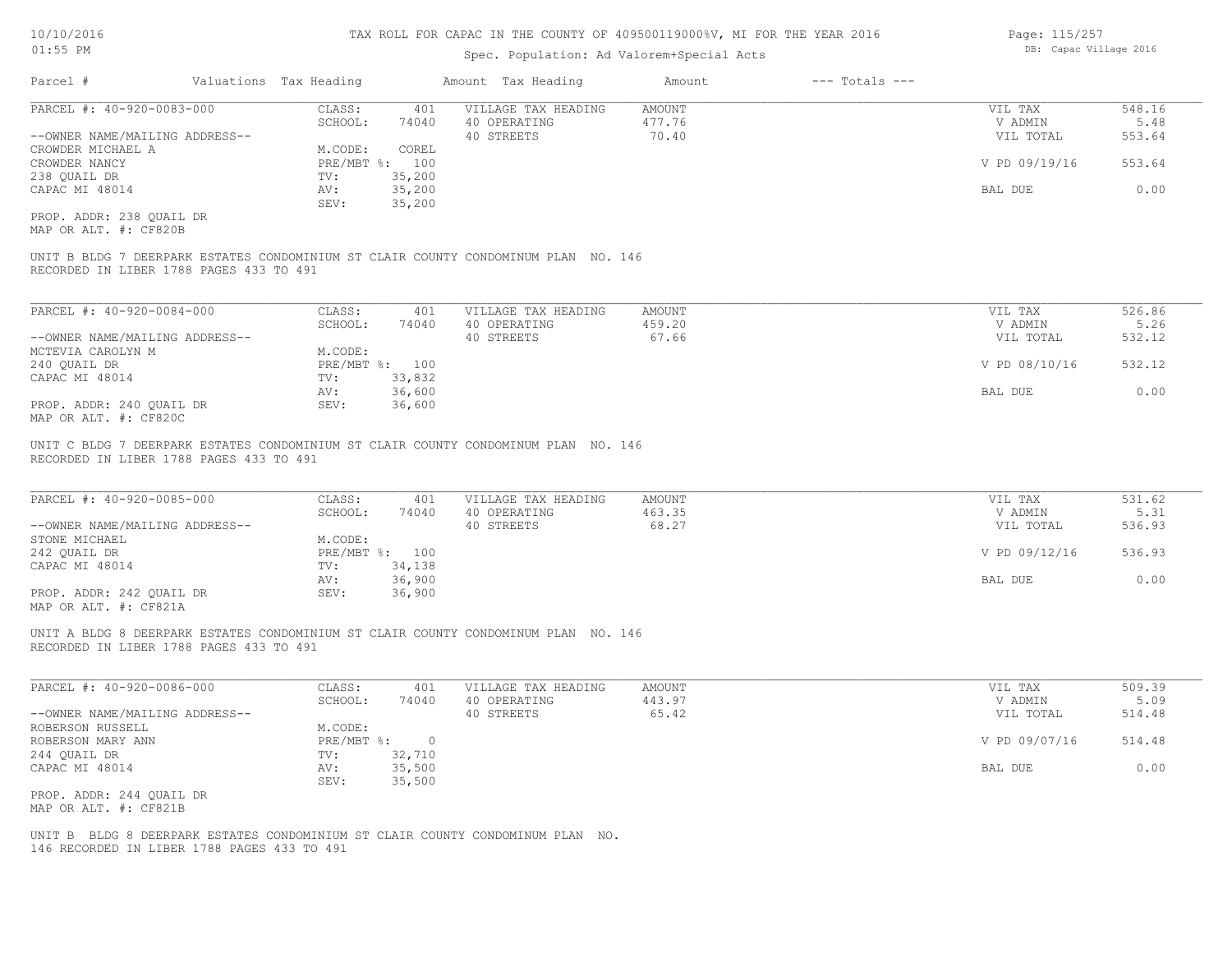## Spec. Population: Ad Valorem+Special Acts

| Page: 115/257          |  |
|------------------------|--|
| DB: Capac Village 2016 |  |

| Parcel #                       | Valuations Tax Heading |                | Amount Tax Heading  | Amount | $---$ Totals $---$ |               |        |
|--------------------------------|------------------------|----------------|---------------------|--------|--------------------|---------------|--------|
| PARCEL #: 40-920-0083-000      | CLASS:                 | 401            | VILLAGE TAX HEADING | AMOUNT |                    | VIL TAX       | 548.16 |
|                                | SCHOOL:                | 74040          | 40 OPERATING        | 477.76 |                    | V ADMIN       | 5.48   |
| --OWNER NAME/MAILING ADDRESS-- |                        |                | 40 STREETS          | 70.40  |                    | VIL TOTAL     | 553.64 |
| CROWDER MICHAEL A              | M.CODE:                | COREL          |                     |        |                    |               |        |
| CROWDER NANCY                  |                        | PRE/MBT %: 100 |                     |        |                    | V PD 09/19/16 | 553.64 |
| 238 QUAIL DR                   | TV:                    | 35,200         |                     |        |                    |               |        |
| CAPAC MI 48014                 | AV:                    | 35,200         |                     |        |                    | BAL DUE       | 0.00   |
|                                | SEV:                   | 35,200         |                     |        |                    |               |        |
| PROP. ADDR: 238 QUAIL DR       |                        |                |                     |        |                    |               |        |

MAP OR ALT. #: CF820B

RECORDED IN LIBER 1788 PAGES 433 TO 491 UNIT B BLDG 7 DEERPARK ESTATES CONDOMINIUM ST CLAIR COUNTY CONDOMINUM PLAN NO. 146

| PARCEL #: 40-920-0084-000      | CLASS:  | 401            | VILLAGE TAX HEADING | AMOUNT | VIL TAX       | 526.86 |
|--------------------------------|---------|----------------|---------------------|--------|---------------|--------|
|                                | SCHOOL: | 74040          | 40 OPERATING        | 459.20 | V ADMIN       | 5.26   |
| --OWNER NAME/MAILING ADDRESS-- |         |                | 40 STREETS          | 67.66  | VIL TOTAL     | 532.12 |
| MCTEVIA CAROLYN M              | M.CODE: |                |                     |        |               |        |
| 240 OUAIL DR                   |         | PRE/MBT %: 100 |                     |        | V PD 08/10/16 | 532.12 |
| CAPAC MI 48014                 | TV:     | 33,832         |                     |        |               |        |
|                                | AV:     | 36,600         |                     |        | BAL DUE       | 0.00   |
| PROP. ADDR: 240 OUAIL DR       | SEV:    | 36,600         |                     |        |               |        |
| MAP OR ALT. #: CF820C          |         |                |                     |        |               |        |

RECORDED IN LIBER 1788 PAGES 433 TO 491 UNIT C BLDG 7 DEERPARK ESTATES CONDOMINIUM ST CLAIR COUNTY CONDOMINUM PLAN NO. 146

| PARCEL #: 40-920-0085-000      | CLASS:     | 401    | VILLAGE TAX HEADING | AMOUNT | VIL TAX       | 531.62 |
|--------------------------------|------------|--------|---------------------|--------|---------------|--------|
|                                | SCHOOL:    | 74040  | 40 OPERATING        | 463.35 | V ADMIN       | 5.31   |
| --OWNER NAME/MAILING ADDRESS-- |            |        | 40 STREETS          | 68.27  | VIL TOTAL     | 536.93 |
| STONE MICHAEL                  | M.CODE:    |        |                     |        |               |        |
| 242 OUAIL DR                   | PRE/MBT %: | 100    |                     |        | V PD 09/12/16 | 536.93 |
| CAPAC MI 48014                 | TV:        | 34,138 |                     |        |               |        |
|                                | AV:        | 36,900 |                     |        | BAL DUE       | 0.00   |
| PROP. ADDR: 242 OUAIL DR       | SEV:       | 36,900 |                     |        |               |        |
| $\frac{1}{2}$                  |            |        |                     |        |               |        |

 $\mathcal{L}_\mathcal{L} = \mathcal{L}_\mathcal{L} = \mathcal{L}_\mathcal{L} = \mathcal{L}_\mathcal{L} = \mathcal{L}_\mathcal{L} = \mathcal{L}_\mathcal{L} = \mathcal{L}_\mathcal{L} = \mathcal{L}_\mathcal{L} = \mathcal{L}_\mathcal{L} = \mathcal{L}_\mathcal{L} = \mathcal{L}_\mathcal{L} = \mathcal{L}_\mathcal{L} = \mathcal{L}_\mathcal{L} = \mathcal{L}_\mathcal{L} = \mathcal{L}_\mathcal{L} = \mathcal{L}_\mathcal{L} = \mathcal{L}_\mathcal{L}$ 

MAP OR ALT. #: CF821A

RECORDED IN LIBER 1788 PAGES 433 TO 491 UNIT A BLDG 8 DEERPARK ESTATES CONDOMINIUM ST CLAIR COUNTY CONDOMINUM PLAN NO. 146

| PARCEL #: 40-920-0086-000      | CLASS:     | 401    | VILLAGE TAX HEADING | AMOUNT | VIL TAX       | 509.39 |
|--------------------------------|------------|--------|---------------------|--------|---------------|--------|
|                                | SCHOOL:    | 74040  | 40 OPERATING        | 443.97 | V ADMIN       | 5.09   |
| --OWNER NAME/MAILING ADDRESS-- |            |        | 40 STREETS          | 65.42  | VIL TOTAL     | 514.48 |
| ROBERSON RUSSELL               | M.CODE:    |        |                     |        |               |        |
| ROBERSON MARY ANN              | PRE/MBT %: |        |                     |        | V PD 09/07/16 | 514.48 |
| 244 QUAIL DR                   | TV:        | 32,710 |                     |        |               |        |
| CAPAC MI 48014                 | AV:        | 35,500 |                     |        | BAL DUE       | 0.00   |
|                                | SEV:       | 35,500 |                     |        |               |        |
| PROP. ADDR: 244 QUAIL DR       |            |        |                     |        |               |        |
| MAP OR ALT. #: CF821B          |            |        |                     |        |               |        |

146 RECORDED IN LIBER 1788 PAGES 433 TO 491 UNIT B BLDG 8 DEERPARK ESTATES CONDOMINIUM ST CLAIR COUNTY CONDOMINUM PLAN NO.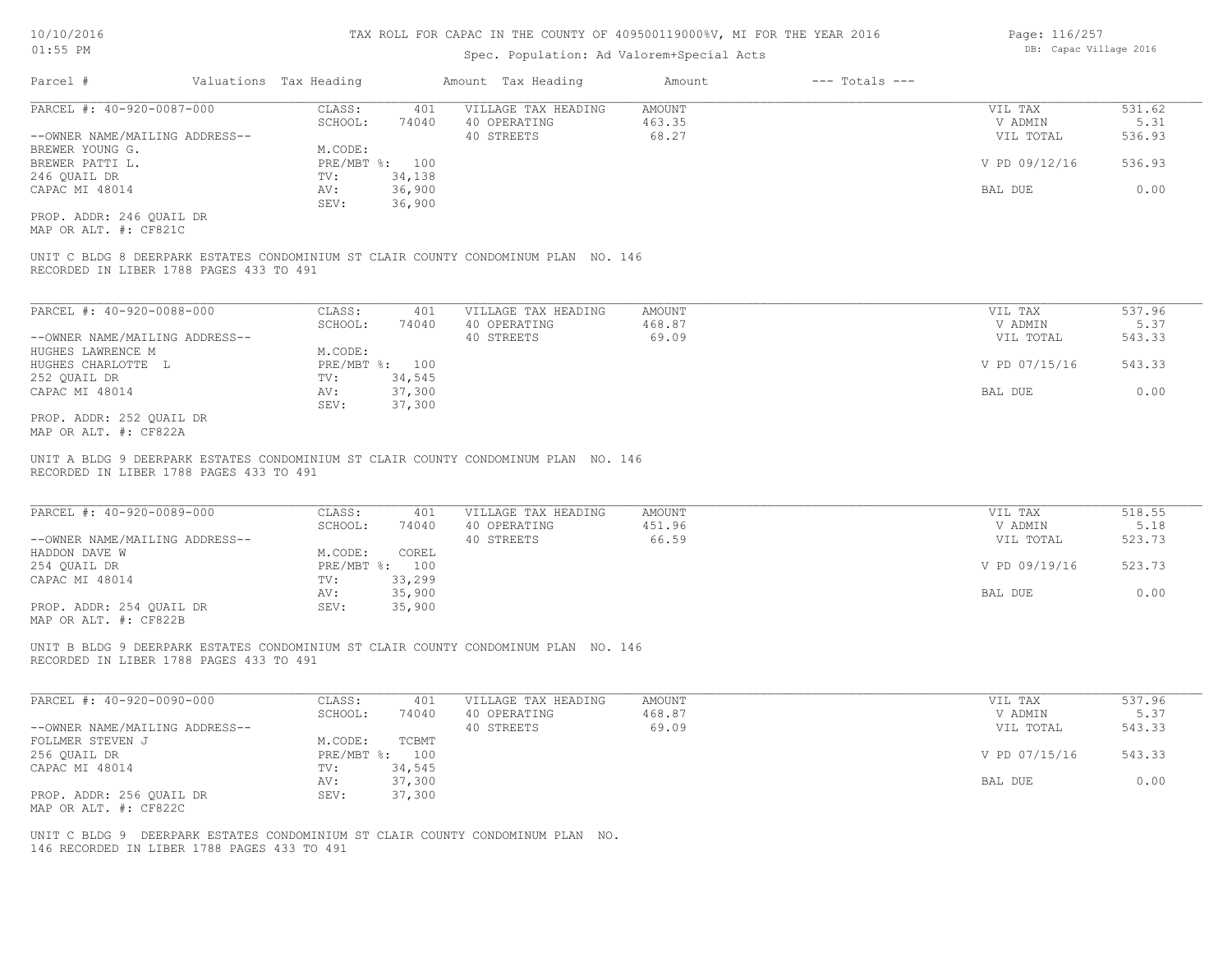#### Spec. Population: Ad Valorem+Special Acts

| Parcel #                       | Valuations Tax Heading |        | Amount Tax Heading  | Amount | $---$ Totals $---$ |               |        |
|--------------------------------|------------------------|--------|---------------------|--------|--------------------|---------------|--------|
| PARCEL #: 40-920-0087-000      | CLASS:                 | 401    | VILLAGE TAX HEADING | AMOUNT |                    | VIL TAX       | 531.62 |
|                                | SCHOOL:                | 74040  | 40 OPERATING        | 463.35 |                    | V ADMIN       | 5.31   |
| --OWNER NAME/MAILING ADDRESS-- |                        |        | 40 STREETS          | 68.27  |                    | VIL TOTAL     | 536.93 |
| BREWER YOUNG G.                | M.CODE:                |        |                     |        |                    |               |        |
| BREWER PATTI L.                | PRE/MBT %: 100         |        |                     |        |                    | V PD 09/12/16 | 536.93 |
| 246 QUAIL DR                   | TV:                    | 34,138 |                     |        |                    |               |        |
| CAPAC MI 48014                 | AV:                    | 36,900 |                     |        |                    | BAL DUE       | 0.00   |
|                                | SEV:                   | 36,900 |                     |        |                    |               |        |
| PROP. ADDR: 246 QUAIL DR       |                        |        |                     |        |                    |               |        |
| MAP OR ALT. #: CF821C          |                        |        |                     |        |                    |               |        |

RECORDED IN LIBER 1788 PAGES 433 TO 491 UNIT C BLDG 8 DEERPARK ESTATES CONDOMINIUM ST CLAIR COUNTY CONDOMINUM PLAN NO. 146

| PARCEL #: 40-920-0088-000      | CLASS:  | 401            | VILLAGE TAX HEADING | AMOUNT | VIL TAX       | 537.96 |
|--------------------------------|---------|----------------|---------------------|--------|---------------|--------|
|                                | SCHOOL: | 74040          | 40 OPERATING        | 468.87 | V ADMIN       | 5.37   |
| --OWNER NAME/MAILING ADDRESS-- |         |                | 40 STREETS          | 69.09  | VIL TOTAL     | 543.33 |
| HUGHES LAWRENCE M              | M.CODE: |                |                     |        |               |        |
| HUGHES CHARLOTTE L             |         | PRE/MBT %: 100 |                     |        | V PD 07/15/16 | 543.33 |
| 252 QUAIL DR                   | TV:     | 34,545         |                     |        |               |        |
| CAPAC MI 48014                 | AV:     | 37,300         |                     |        | BAL DUE       | 0.00   |
|                                | SEV:    | 37,300         |                     |        |               |        |
| PROP. ADDR: 252 OUAIL DR       |         |                |                     |        |               |        |

MAP OR ALT. #: CF822A

RECORDED IN LIBER 1788 PAGES 433 TO 491 UNIT A BLDG 9 DEERPARK ESTATES CONDOMINIUM ST CLAIR COUNTY CONDOMINUM PLAN NO. 146

| PARCEL #: 40-920-0089-000      | CLASS:  | 401            | VILLAGE TAX HEADING | AMOUNT | VIL TAX       | 518.55 |
|--------------------------------|---------|----------------|---------------------|--------|---------------|--------|
|                                | SCHOOL: | 74040          | 40 OPERATING        | 451.96 | V ADMIN       | 5.18   |
| --OWNER NAME/MAILING ADDRESS-- |         |                | 40 STREETS          | 66.59  | VIL TOTAL     | 523.73 |
| HADDON DAVE W                  | M.CODE: | COREL          |                     |        |               |        |
| 254 QUAIL DR                   |         | PRE/MBT %: 100 |                     |        | V PD 09/19/16 | 523.73 |
| CAPAC MI 48014                 | TV:     | 33,299         |                     |        |               |        |
|                                | AV:     | 35,900         |                     |        | BAL DUE       | 0.00   |
| PROP. ADDR: 254 QUAIL DR       | SEV:    | 35,900         |                     |        |               |        |
|                                |         |                |                     |        |               |        |

MAP OR ALT. #: CF822B

RECORDED IN LIBER 1788 PAGES 433 TO 491 UNIT B BLDG 9 DEERPARK ESTATES CONDOMINIUM ST CLAIR COUNTY CONDOMINUM PLAN NO. 146

| PARCEL #: 40-920-0090-000      | CLASS:  | 401            | VILLAGE TAX HEADING | AMOUNT | VIL TAX       | 537.96 |
|--------------------------------|---------|----------------|---------------------|--------|---------------|--------|
|                                | SCHOOL: | 74040          | 40 OPERATING        | 468.87 | V ADMIN       | 5.37   |
| --OWNER NAME/MAILING ADDRESS-- |         |                | 40 STREETS          | 69.09  | VIL TOTAL     | 543.33 |
| FOLLMER STEVEN J               | M.CODE: | TCBMT          |                     |        |               |        |
| 256 QUAIL DR                   |         | PRE/MBT %: 100 |                     |        | V PD 07/15/16 | 543.33 |
| CAPAC MI 48014                 | TV:     | 34,545         |                     |        |               |        |
|                                | AV:     | 37,300         |                     |        | BAL DUE       | 0.00   |
| PROP. ADDR: 256 QUAIL DR       | SEV:    | 37,300         |                     |        |               |        |
| MAP OR ALT. #: CF822C          |         |                |                     |        |               |        |

146 RECORDED IN LIBER 1788 PAGES 433 TO 491 UNIT C BLDG 9 DEERPARK ESTATES CONDOMINIUM ST CLAIR COUNTY CONDOMINUM PLAN NO. Page: 116/257 DB: Capac Village 2016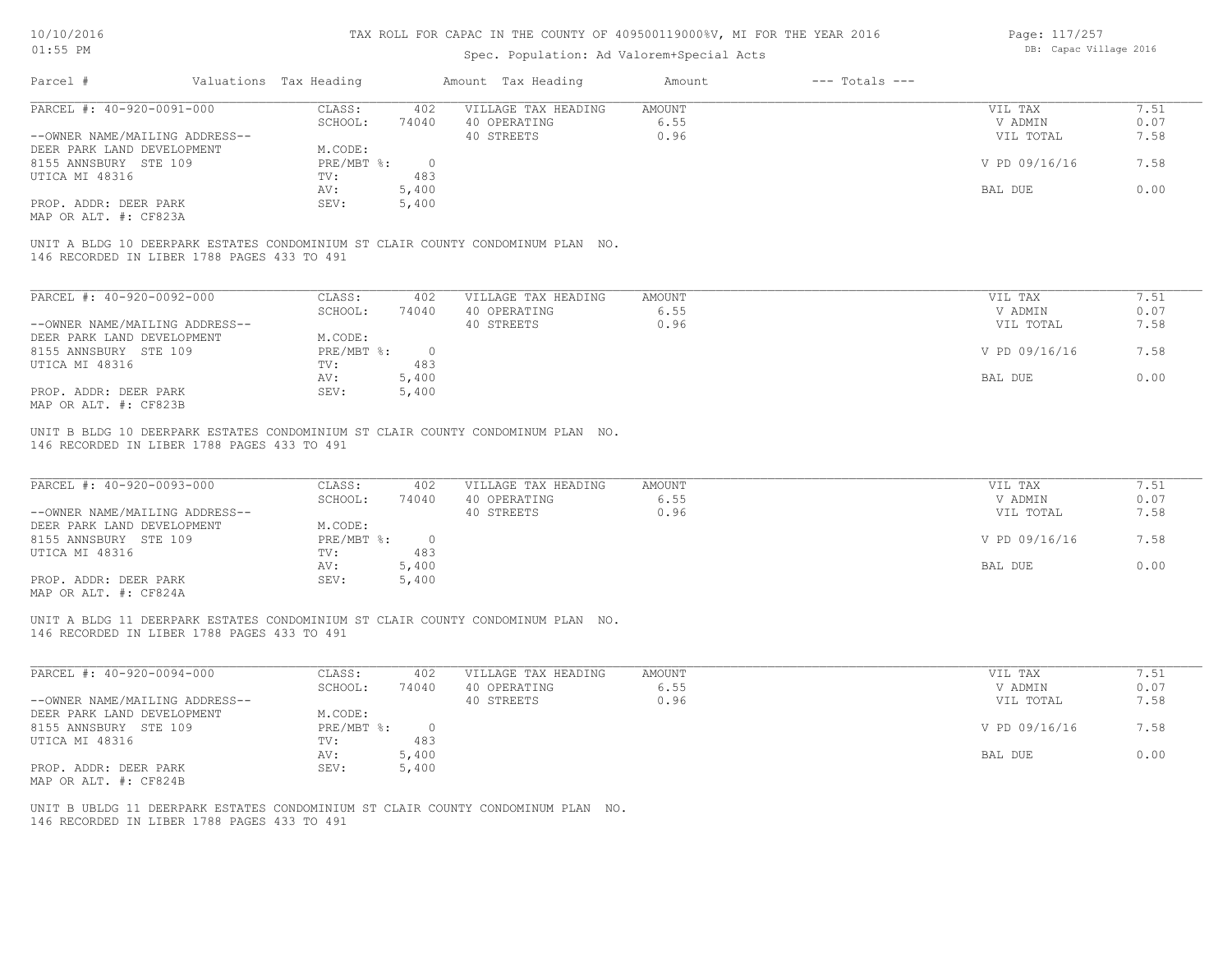## Spec. Population: Ad Valorem+Special Acts

Page: 117/257 DB: Capac Village 2016

| Parcel #                       | Valuations Tax Heading |       | Amount Tax Heading  | Amount | $---$ Totals $---$ |               |      |
|--------------------------------|------------------------|-------|---------------------|--------|--------------------|---------------|------|
| PARCEL #: 40-920-0091-000      | CLASS:                 | 402   | VILLAGE TAX HEADING | AMOUNT |                    | VIL TAX       | 7.51 |
|                                | SCHOOL:                | 74040 | 40 OPERATING        | 6.55   |                    | V ADMIN       | 0.07 |
| --OWNER NAME/MAILING ADDRESS-- |                        |       | 40 STREETS          | 0.96   |                    | VIL TOTAL     | 7.58 |
| DEER PARK LAND DEVELOPMENT     | M.CODE:                |       |                     |        |                    |               |      |
| 8155 ANNSBURY STE 109          | PRE/MBT %:             |       |                     |        |                    | V PD 09/16/16 | 7.58 |
| UTICA MI 48316                 | TV:                    | 483   |                     |        |                    |               |      |
|                                | AV:                    | 5,400 |                     |        |                    | BAL DUE       | 0.00 |
| PROP. ADDR: DEER PARK          | SEV:                   | 5,400 |                     |        |                    |               |      |
| MAP OR ALT. #: CF823A          |                        |       |                     |        |                    |               |      |
|                                |                        |       |                     |        |                    |               |      |

146 RECORDED IN LIBER 1788 PAGES 433 TO 491 UNIT A BLDG 10 DEERPARK ESTATES CONDOMINIUM ST CLAIR COUNTY CONDOMINUM PLAN NO.

| PARCEL #: 40-920-0092-000      | CLASS:     | 402   | VILLAGE TAX HEADING | AMOUNT | VIL TAX       | 7.51 |
|--------------------------------|------------|-------|---------------------|--------|---------------|------|
|                                | SCHOOL:    | 74040 | 40 OPERATING        | 6.55   | V ADMIN       | 0.07 |
| --OWNER NAME/MAILING ADDRESS-- |            |       | 40 STREETS          | 0.96   | VIL TOTAL     | 7.58 |
| DEER PARK LAND DEVELOPMENT     | M.CODE:    |       |                     |        |               |      |
| 8155 ANNSBURY STE 109          | PRE/MBT %: |       |                     |        | V PD 09/16/16 | 7.58 |
| UTICA MI 48316                 | TV:        | 483   |                     |        |               |      |
|                                | AV:        | 5,400 |                     |        | BAL DUE       | 0.00 |
| PROP. ADDR: DEER PARK          | SEV:       | 5,400 |                     |        |               |      |
| MAP OR ALT. #: CF823B          |            |       |                     |        |               |      |

146 RECORDED IN LIBER 1788 PAGES 433 TO 491 UNIT B BLDG 10 DEERPARK ESTATES CONDOMINIUM ST CLAIR COUNTY CONDOMINUM PLAN NO.

| PARCEL #: 40-920-0093-000                             | CLASS:     | 402   | VILLAGE TAX HEADING | AMOUNT | VIL TAX       | 7.51 |
|-------------------------------------------------------|------------|-------|---------------------|--------|---------------|------|
|                                                       | SCHOOL:    | 74040 | 40 OPERATING        | 6.55   | V ADMIN       | 0.07 |
| --OWNER NAME/MAILING ADDRESS--                        |            |       | 40 STREETS          | 0.96   | VIL TOTAL     | 7.58 |
| DEER PARK LAND DEVELOPMENT                            | M.CODE:    |       |                     |        |               |      |
| 8155 ANNSBURY STE 109                                 | PRE/MBT %: |       |                     |        | V PD 09/16/16 | 7.58 |
| UTICA MI 48316                                        | TV:        | 483   |                     |        |               |      |
|                                                       | AV:        | 5,400 |                     |        | BAL DUE       | 0.00 |
| PROP. ADDR: DEER PARK                                 | SEV:       | 5,400 |                     |        |               |      |
| $\cdots$ $\cdots$ $\cdots$ $\cdots$ $\cdots$ $\cdots$ |            |       |                     |        |               |      |

MAP OR ALT. #: CF824A

146 RECORDED IN LIBER 1788 PAGES 433 TO 491 UNIT A BLDG 11 DEERPARK ESTATES CONDOMINIUM ST CLAIR COUNTY CONDOMINUM PLAN NO.

| PARCEL #: 40-920-0094-000      | CLASS:     | 402   | VILLAGE TAX HEADING | AMOUNT | VIL TAX       | 1.51 |
|--------------------------------|------------|-------|---------------------|--------|---------------|------|
|                                | SCHOOL:    | 74040 | 40 OPERATING        | 6.55   | V ADMIN       | 0.07 |
| --OWNER NAME/MAILING ADDRESS-- |            |       | 40 STREETS          | 0.96   | VIL TOTAL     | 7.58 |
| DEER PARK LAND DEVELOPMENT     | M.CODE:    |       |                     |        |               |      |
| 8155 ANNSBURY STE 109          | PRE/MBT %: |       |                     |        | V PD 09/16/16 | 7.58 |
| UTICA MI 48316                 | TV:        | 483   |                     |        |               |      |
|                                | AV:        | 5,400 |                     |        | BAL DUE       | 0.00 |
| PROP. ADDR: DEER PARK          | SEV:       | 5,400 |                     |        |               |      |
| MAP OR ALT. #: CF824B          |            |       |                     |        |               |      |

146 RECORDED IN LIBER 1788 PAGES 433 TO 491 UNIT B UBLDG 11 DEERPARK ESTATES CONDOMINIUM ST CLAIR COUNTY CONDOMINUM PLAN NO.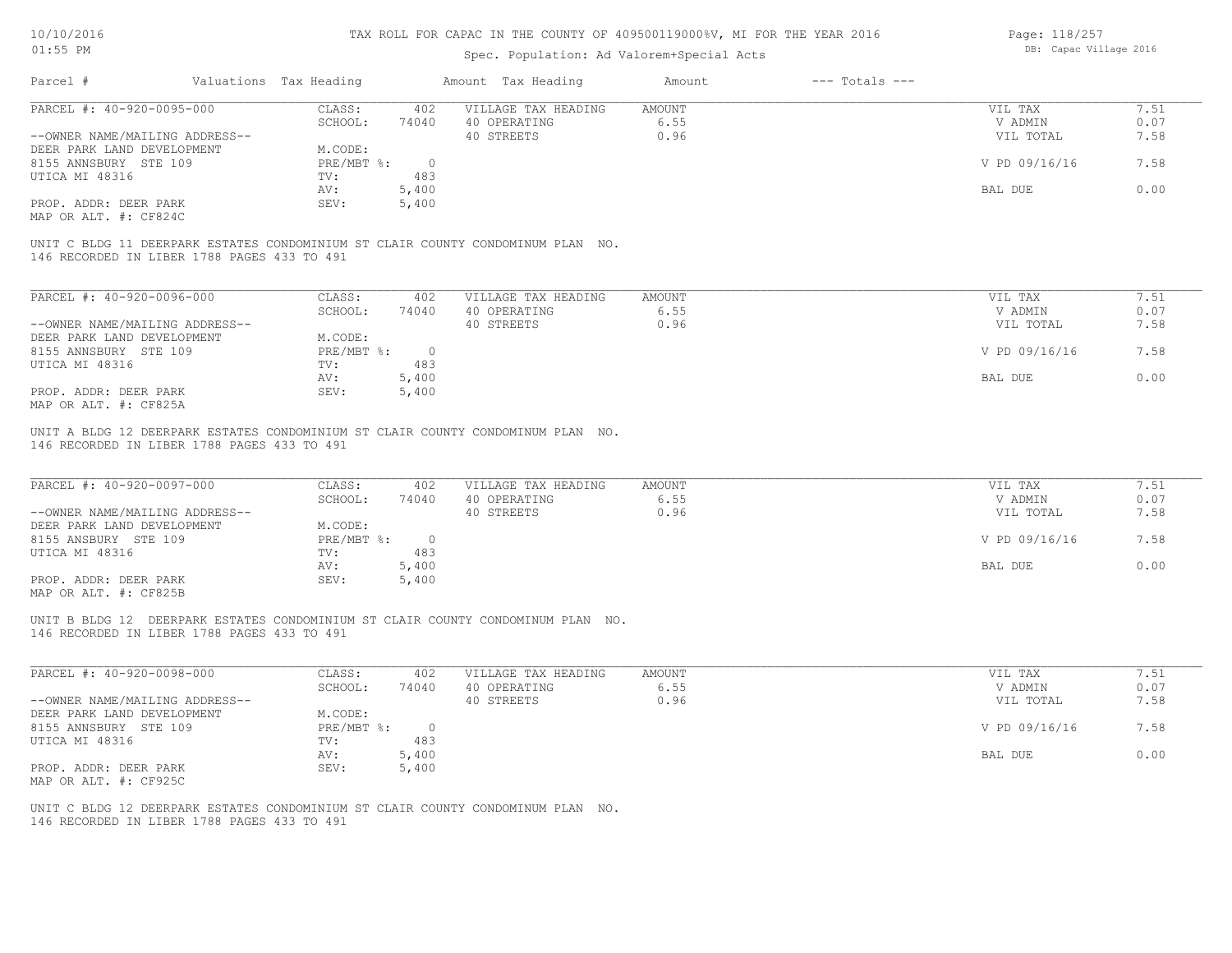## Spec. Population: Ad Valorem+Special Acts

Page: 118/257 DB: Capac Village 2016

| Parcel #                                    | Valuations Tax Heading |                | Amount Tax Heading                                                              | Amount | $---$ Totals $---$ |               |      |
|---------------------------------------------|------------------------|----------------|---------------------------------------------------------------------------------|--------|--------------------|---------------|------|
| PARCEL #: 40-920-0095-000                   | CLASS:                 | 402            | VILLAGE TAX HEADING                                                             | AMOUNT |                    | VIL TAX       | 7.51 |
|                                             | SCHOOL:                | 74040          | 40 OPERATING                                                                    | 6.55   |                    | V ADMIN       | 0.07 |
| --OWNER NAME/MAILING ADDRESS--              |                        |                | 40 STREETS                                                                      | 0.96   |                    | VIL TOTAL     | 7.58 |
| DEER PARK LAND DEVELOPMENT                  | M.CODE:                |                |                                                                                 |        |                    |               |      |
| 8155 ANNSBURY STE 109                       | $PRE/MBT$ $\div$       | $\overline{0}$ |                                                                                 |        |                    | V PD 09/16/16 | 7.58 |
| UTICA MI 48316                              | TV:                    | 483            |                                                                                 |        |                    |               |      |
|                                             | AV:                    | 5,400          |                                                                                 |        |                    | BAL DUE       | 0.00 |
| PROP. ADDR: DEER PARK                       | SEV:                   | 5,400          |                                                                                 |        |                    |               |      |
| MAP OR ALT. #: CF824C                       |                        |                |                                                                                 |        |                    |               |      |
| 146 RECORDED IN LIBER 1788 PAGES 433 TO 491 |                        |                | UNIT C BLDG 11 DEERPARK ESTATES CONDOMINIUM ST CLAIR COUNTY CONDOMINUM PLAN NO. |        |                    |               |      |
| PARCEL #: 40-920-0096-000                   | CLASS:                 | 402            | VILLAGE TAX HEADING                                                             | AMOUNT |                    | VIL TAX       | 7.51 |
|                                             | SCHOOL:                | 74040          | 40 OPERATING                                                                    | 6.55   |                    | V ADMIN       | 0.07 |
| --OWNER NAME/MAILING ADDRESS--              |                        |                | 40 STREETS                                                                      | 0.96   |                    | VIL TOTAL     | 7.58 |
| DEER PARK LAND DEVELOPMENT                  | M.CODE:                |                |                                                                                 |        |                    |               |      |
| 8155 ANNSBURY STE 109                       | $PRE/MBT$ $\div$       | $\overline{0}$ |                                                                                 |        |                    | V PD 09/16/16 | 7.58 |
| UTICA MI 48316                              | TV:                    | 483            |                                                                                 |        |                    |               |      |

AV: 5,400 BAL DUE 0.00

MAP OR ALT. #: CF825A PROP. ADDR: DEER PARK SEV: 5,400

146 RECORDED IN LIBER 1788 PAGES 433 TO 491 UNIT A BLDG 12 DEERPARK ESTATES CONDOMINIUM ST CLAIR COUNTY CONDOMINUM PLAN NO.

| PARCEL #: 40-920-0097-000      | CLASS:     | 402   | VILLAGE TAX HEADING | AMOUNT | VIL TAX       | 7.51 |
|--------------------------------|------------|-------|---------------------|--------|---------------|------|
|                                | SCHOOL:    | 74040 | 40 OPERATING        | 6.55   | V ADMIN       | 0.07 |
| --OWNER NAME/MAILING ADDRESS-- |            |       | 40 STREETS          | 0.96   | VIL TOTAL     | 7.58 |
| DEER PARK LAND DEVELOPMENT     | M.CODE:    |       |                     |        |               |      |
| 8155 ANSBURY STE 109           | PRE/MBT %: |       |                     |        | V PD 09/16/16 | 7.58 |
| UTICA MI 48316                 | TV:        | 483   |                     |        |               |      |
|                                | AV:        | 5,400 |                     |        | BAL DUE       | 0.00 |
| PROP. ADDR: DEER PARK          | SEV:       | 5,400 |                     |        |               |      |
|                                |            |       |                     |        |               |      |

MAP OR ALT. #: CF825B

146 RECORDED IN LIBER 1788 PAGES 433 TO 491 UNIT B BLDG 12 DEERPARK ESTATES CONDOMINIUM ST CLAIR COUNTY CONDOMINUM PLAN NO.

| PARCEL #: 40-920-0098-000      | CLASS:     | 402   | VILLAGE TAX HEADING | AMOUNT | VIL TAX       | 7.51 |
|--------------------------------|------------|-------|---------------------|--------|---------------|------|
|                                | SCHOOL:    | 74040 | 40 OPERATING        | 6.55   | V ADMIN       | 0.07 |
| --OWNER NAME/MAILING ADDRESS-- |            |       | 40 STREETS          | 0.96   | VIL TOTAL     | 7.58 |
| DEER PARK LAND DEVELOPMENT     | M.CODE:    |       |                     |        |               |      |
| 8155 ANNSBURY STE 109          | PRE/MBT %: |       |                     |        | V PD 09/16/16 | 7.58 |
| UTICA MI 48316                 | TV:        | 483   |                     |        |               |      |
|                                | AV:        | 5,400 |                     |        | BAL DUE       | 0.00 |
| PROP. ADDR: DEER PARK          | SEV:       | 5,400 |                     |        |               |      |
| MAP OR ALT. #: CF925C          |            |       |                     |        |               |      |

 $\mathcal{L}_\mathcal{L} = \mathcal{L}_\mathcal{L} = \mathcal{L}_\mathcal{L} = \mathcal{L}_\mathcal{L} = \mathcal{L}_\mathcal{L} = \mathcal{L}_\mathcal{L} = \mathcal{L}_\mathcal{L} = \mathcal{L}_\mathcal{L} = \mathcal{L}_\mathcal{L} = \mathcal{L}_\mathcal{L} = \mathcal{L}_\mathcal{L} = \mathcal{L}_\mathcal{L} = \mathcal{L}_\mathcal{L} = \mathcal{L}_\mathcal{L} = \mathcal{L}_\mathcal{L} = \mathcal{L}_\mathcal{L} = \mathcal{L}_\mathcal{L}$ 

146 RECORDED IN LIBER 1788 PAGES 433 TO 491 UNIT C BLDG 12 DEERPARK ESTATES CONDOMINIUM ST CLAIR COUNTY CONDOMINUM PLAN NO.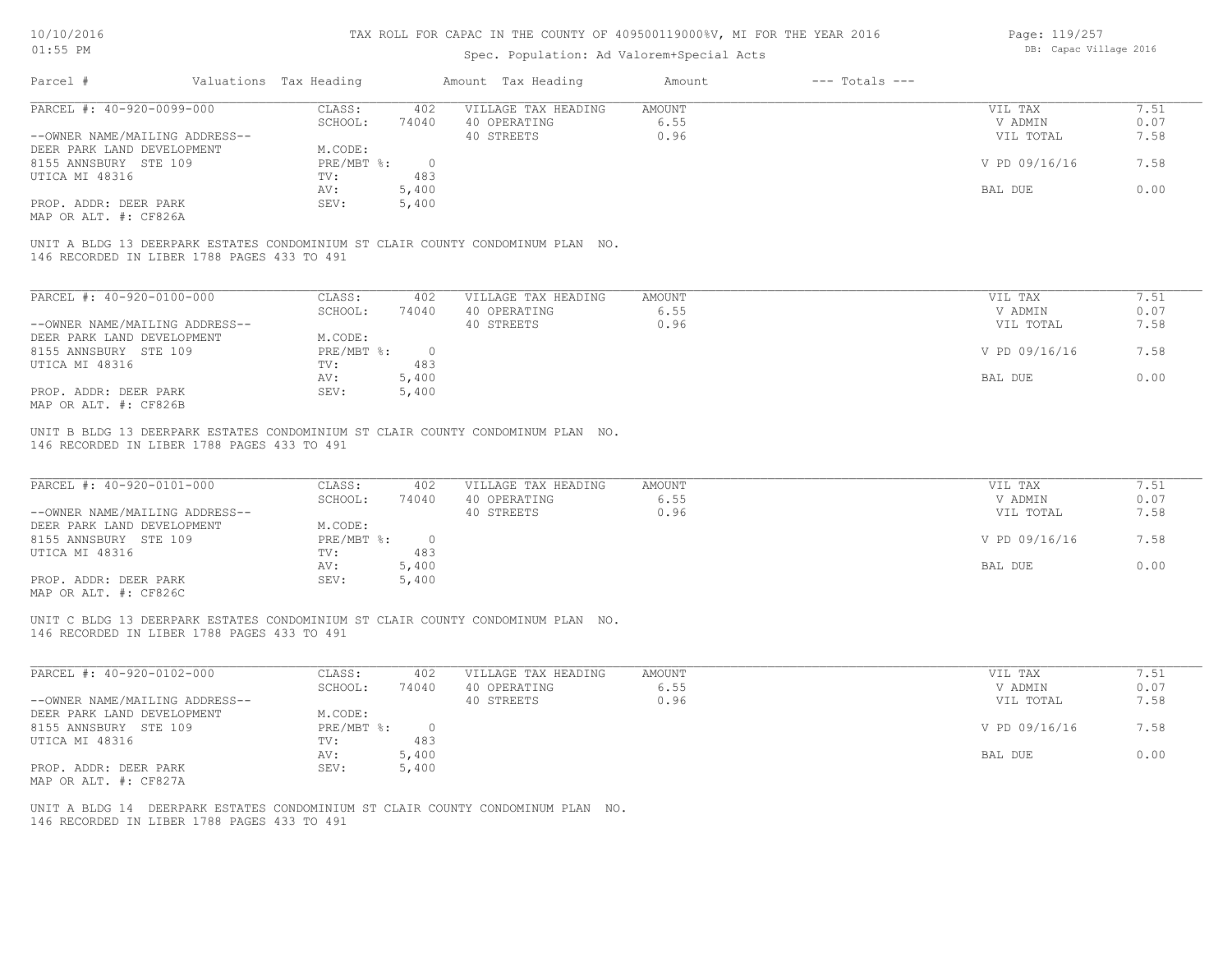## Spec. Population: Ad Valorem+Special Acts

Page: 119/257 DB: Capac Village 2016

| Parcel #                       | Valuations Tax Heading |       | Amount Tax Heading                                                              | Amount | $---$ Totals $---$ |               |      |
|--------------------------------|------------------------|-------|---------------------------------------------------------------------------------|--------|--------------------|---------------|------|
| PARCEL #: 40-920-0099-000      | CLASS:                 | 402   | VILLAGE TAX HEADING                                                             | AMOUNT |                    | VIL TAX       | 7.51 |
|                                | SCHOOL:                | 74040 | 40 OPERATING                                                                    | 6.55   |                    | V ADMIN       | 0.07 |
| --OWNER NAME/MAILING ADDRESS-- |                        |       | 40 STREETS                                                                      | 0.96   |                    | VIL TOTAL     | 7.58 |
| DEER PARK LAND DEVELOPMENT     | M.CODE:                |       |                                                                                 |        |                    |               |      |
| 8155 ANNSBURY STE 109          | PRE/MBT %:             |       |                                                                                 |        |                    | V PD 09/16/16 | 7.58 |
| UTICA MI 48316                 | TV:                    | 483   |                                                                                 |        |                    |               |      |
|                                | AV:                    | 5,400 |                                                                                 |        |                    | BAL DUE       | 0.00 |
| PROP. ADDR: DEER PARK          | SEV:                   | 5,400 |                                                                                 |        |                    |               |      |
| MAP OR ALT. #: CF826A          |                        |       |                                                                                 |        |                    |               |      |
|                                |                        |       |                                                                                 |        |                    |               |      |
|                                |                        |       | UNIT A BLDG 13 DEERPARK ESTATES CONDOMINIUM ST CLAIR COUNTY CONDOMINUM PLAN NO. |        |                    |               |      |

146 RECORDED IN LIBER 1788 PAGES 433 TO 491

| PARCEL #: 40-920-0100-000      | CLASS:     | 402   | VILLAGE TAX HEADING | AMOUNT | VIL TAX       | 7.51 |
|--------------------------------|------------|-------|---------------------|--------|---------------|------|
|                                | SCHOOL:    | 74040 | 40 OPERATING        | 6.55   | V ADMIN       | 0.07 |
| --OWNER NAME/MAILING ADDRESS-- |            |       | 40 STREETS          | 0.96   | VIL TOTAL     | 7.58 |
| DEER PARK LAND DEVELOPMENT     | M.CODE:    |       |                     |        |               |      |
| 8155 ANNSBURY STE 109          | PRE/MBT %: |       |                     |        | V PD 09/16/16 | 7.58 |
| UTICA MI 48316                 | TV:        | 483   |                     |        |               |      |
|                                | AV:        | 5,400 |                     |        | BAL DUE       | 0.00 |
| PROP. ADDR: DEER PARK          | SEV:       | 5,400 |                     |        |               |      |
| MAP OR ALT. #: CF826B          |            |       |                     |        |               |      |

146 RECORDED IN LIBER 1788 PAGES 433 TO 491 UNIT B BLDG 13 DEERPARK ESTATES CONDOMINIUM ST CLAIR COUNTY CONDOMINUM PLAN NO.

| PARCEL #: 40-920-0101-000                    | CLASS:     | 402   | VILLAGE TAX HEADING | AMOUNT | VIL TAX       | 7.51 |
|----------------------------------------------|------------|-------|---------------------|--------|---------------|------|
|                                              | SCHOOL:    | 74040 | 40 OPERATING        | 6.55   | V ADMIN       | 0.07 |
| --OWNER NAME/MAILING ADDRESS--               |            |       | 40 STREETS          | 0.96   | VIL TOTAL     | 7.58 |
| DEER PARK LAND DEVELOPMENT                   | M.CODE:    |       |                     |        |               |      |
| 8155 ANNSBURY STE 109                        | PRE/MBT %: |       |                     |        | V PD 09/16/16 | 7.58 |
| UTICA MI 48316                               | TV:        | 483   |                     |        |               |      |
|                                              | AV:        | 5,400 |                     |        | BAL DUE       | 0.00 |
| PROP. ADDR: DEER PARK                        | SEV:       | 5,400 |                     |        |               |      |
| $\cdots$ $\cdots$ $\cdots$ $\cdots$ $\cdots$ |            |       |                     |        |               |      |

MAP OR ALT. #: CF826C

146 RECORDED IN LIBER 1788 PAGES 433 TO 491 UNIT C BLDG 13 DEERPARK ESTATES CONDOMINIUM ST CLAIR COUNTY CONDOMINUM PLAN NO.

| PARCEL #: 40-920-0102-000      | CLASS:     | 402   | VILLAGE TAX HEADING | AMOUNT | 7.51<br>VIL TAX       |  |
|--------------------------------|------------|-------|---------------------|--------|-----------------------|--|
|                                | SCHOOL:    | 74040 | 40 OPERATING        | 6.55   | 0.07<br>V ADMIN       |  |
| --OWNER NAME/MAILING ADDRESS-- |            |       | 40 STREETS          | 0.96   | 7.58<br>VIL TOTAL     |  |
| DEER PARK LAND DEVELOPMENT     | M.CODE:    |       |                     |        |                       |  |
| 8155 ANNSBURY STE 109          | PRE/MBT %: |       |                     |        | V PD 09/16/16<br>7.58 |  |
| UTICA MI 48316                 | TV:        | 483   |                     |        |                       |  |
|                                | AV:        | 5,400 |                     |        | 0.00<br>BAL DUE       |  |
| PROP. ADDR: DEER PARK          | SEV:       | 5,400 |                     |        |                       |  |
| MAP OR ALT. #: CF827A          |            |       |                     |        |                       |  |

 $\mathcal{L}_\mathcal{L} = \mathcal{L}_\mathcal{L} = \mathcal{L}_\mathcal{L} = \mathcal{L}_\mathcal{L} = \mathcal{L}_\mathcal{L} = \mathcal{L}_\mathcal{L} = \mathcal{L}_\mathcal{L} = \mathcal{L}_\mathcal{L} = \mathcal{L}_\mathcal{L} = \mathcal{L}_\mathcal{L} = \mathcal{L}_\mathcal{L} = \mathcal{L}_\mathcal{L} = \mathcal{L}_\mathcal{L} = \mathcal{L}_\mathcal{L} = \mathcal{L}_\mathcal{L} = \mathcal{L}_\mathcal{L} = \mathcal{L}_\mathcal{L}$ 

146 RECORDED IN LIBER 1788 PAGES 433 TO 491 UNIT A BLDG 14 DEERPARK ESTATES CONDOMINIUM ST CLAIR COUNTY CONDOMINUM PLAN NO.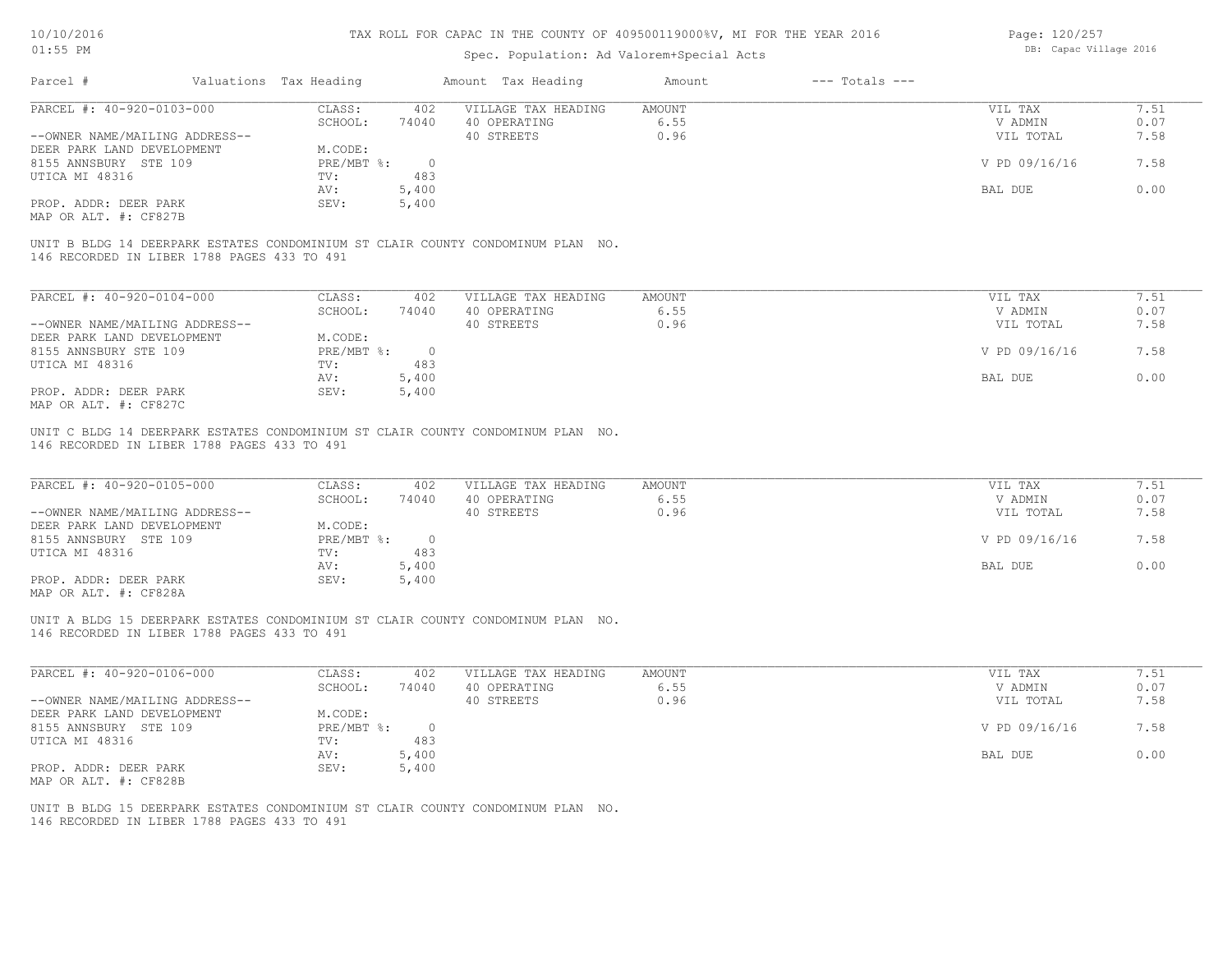## Spec. Population: Ad Valorem+Special Acts

Page: 120/257 DB: Capac Village 2016

| Parcel #                       | Valuations Tax Heading |       | Amount Tax Heading  | Amount | $---$ Totals $---$ |               |      |
|--------------------------------|------------------------|-------|---------------------|--------|--------------------|---------------|------|
| PARCEL #: 40-920-0103-000      | CLASS:                 | 402   | VILLAGE TAX HEADING | AMOUNT |                    | VIL TAX       | 7.51 |
|                                | SCHOOL:                | 74040 | 40 OPERATING        | 6.55   |                    | V ADMIN       | 0.07 |
| --OWNER NAME/MAILING ADDRESS-- |                        |       | 40 STREETS          | 0.96   |                    | VIL TOTAL     | 7.58 |
| DEER PARK LAND DEVELOPMENT     | M.CODE:                |       |                     |        |                    |               |      |
| 8155 ANNSBURY STE 109          | PRE/MBT %:             |       |                     |        |                    | V PD 09/16/16 | 7.58 |
| UTICA MI 48316                 | TV:                    | 483   |                     |        |                    |               |      |
|                                | AV:                    | 5,400 |                     |        |                    | BAL DUE       | 0.00 |
| PROP. ADDR: DEER PARK          | SEV:                   | 5,400 |                     |        |                    |               |      |
| MAP OR ALT. #: CF827B          |                        |       |                     |        |                    |               |      |

146 RECORDED IN LIBER 1788 PAGES 433 TO 491 UNIT B BLDG 14 DEERPARK ESTATES CONDOMINIUM ST CLAIR COUNTY CONDOMINUM PLAN NO.

| PARCEL #: 40-920-0104-000      | CLASS:     | 402   | VILLAGE TAX HEADING | AMOUNT | VIL TAX       | 7.51 |
|--------------------------------|------------|-------|---------------------|--------|---------------|------|
|                                | SCHOOL:    | 74040 | 40 OPERATING        | 6.55   | V ADMIN       | 0.07 |
| --OWNER NAME/MAILING ADDRESS-- |            |       | 40 STREETS          | 0.96   | VIL TOTAL     | 7.58 |
| DEER PARK LAND DEVELOPMENT     | M.CODE:    |       |                     |        |               |      |
| 8155 ANNSBURY STE 109          | PRE/MBT %: | 0.    |                     |        | V PD 09/16/16 | 7.58 |
| UTICA MI 48316                 | TV:        | 483   |                     |        |               |      |
|                                | AV:        | 5,400 |                     |        | BAL DUE       | 0.00 |
| PROP. ADDR: DEER PARK          | SEV:       | 5,400 |                     |        |               |      |
| MAP OR ALT. #: CF827C          |            |       |                     |        |               |      |

146 RECORDED IN LIBER 1788 PAGES 433 TO 491 UNIT C BLDG 14 DEERPARK ESTATES CONDOMINIUM ST CLAIR COUNTY CONDOMINUM PLAN NO.

| PARCEL #: 40-920-0105-000                             | CLASS:     | 402   | VILLAGE TAX HEADING | AMOUNT | VIL TAX       | 7.51 |
|-------------------------------------------------------|------------|-------|---------------------|--------|---------------|------|
|                                                       | SCHOOL:    | 74040 | 40 OPERATING        | 6.55   | V ADMIN       | 0.07 |
| --OWNER NAME/MAILING ADDRESS--                        |            |       | 40 STREETS          | 0.96   | VIL TOTAL     | 7.58 |
| DEER PARK LAND DEVELOPMENT                            | M.CODE:    |       |                     |        |               |      |
| 8155 ANNSBURY STE 109                                 | PRE/MBT %: |       |                     |        | V PD 09/16/16 | 7.58 |
| UTICA MI 48316                                        | TV:        | 483   |                     |        |               |      |
|                                                       | AV:        | 5,400 |                     |        | BAL DUE       | 0.00 |
| PROP. ADDR: DEER PARK                                 | SEV:       | 5,400 |                     |        |               |      |
| $\cdots$ $\cdots$ $\cdots$ $\cdots$ $\cdots$ $\cdots$ |            |       |                     |        |               |      |

MAP OR ALT. #: CF828A

146 RECORDED IN LIBER 1788 PAGES 433 TO 491 UNIT A BLDG 15 DEERPARK ESTATES CONDOMINIUM ST CLAIR COUNTY CONDOMINUM PLAN NO.

| PARCEL #: 40-920-0106-000      | CLASS:     | 402   | VILLAGE TAX HEADING | AMOUNT | VIL TAX       | 1.51 |
|--------------------------------|------------|-------|---------------------|--------|---------------|------|
|                                | SCHOOL:    | 74040 | 40 OPERATING        | 6.55   | V ADMIN       | 0.07 |
| --OWNER NAME/MAILING ADDRESS-- |            |       | 40 STREETS          | 0.96   | VIL TOTAL     | 7.58 |
| DEER PARK LAND DEVELOPMENT     | M.CODE:    |       |                     |        |               |      |
| 8155 ANNSBURY STE 109          | PRE/MBT %: |       |                     |        | V PD 09/16/16 | 7.58 |
| UTICA MI 48316                 | TV:        | 483   |                     |        |               |      |
|                                | AV:        | 5,400 |                     |        | BAL DUE       | 0.00 |
| PROP. ADDR: DEER PARK          | SEV:       | 5,400 |                     |        |               |      |
| MAP OR ALT. #: CF828B          |            |       |                     |        |               |      |

146 RECORDED IN LIBER 1788 PAGES 433 TO 491 UNIT B BLDG 15 DEERPARK ESTATES CONDOMINIUM ST CLAIR COUNTY CONDOMINUM PLAN NO.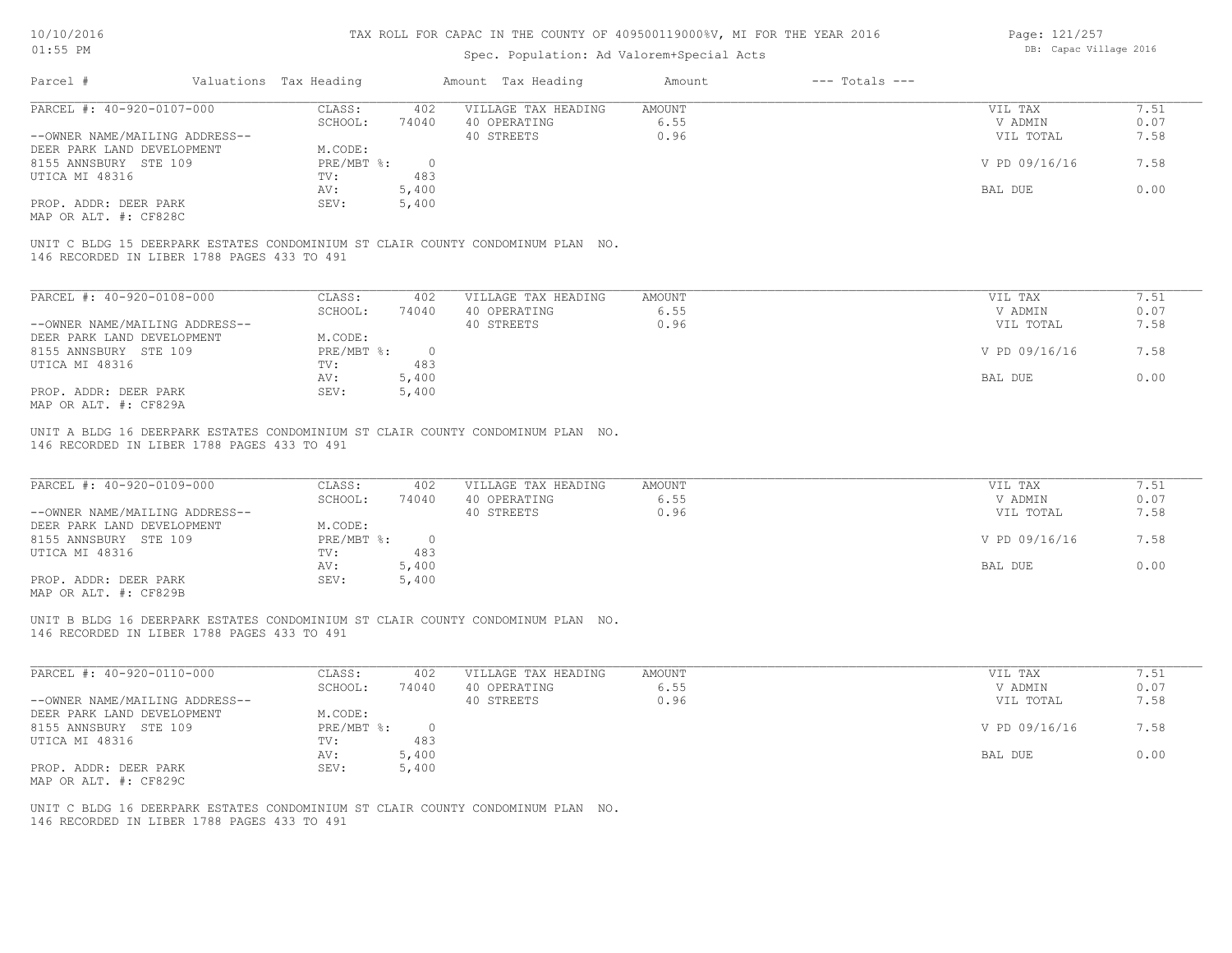## Spec. Population: Ad Valorem+Special Acts

Page: 121/257 DB: Capac Village 2016

| Parcel #                       | Valuations Tax Heading |       | Amount Tax Heading  | Amount | $---$ Totals $---$ |               |      |
|--------------------------------|------------------------|-------|---------------------|--------|--------------------|---------------|------|
| PARCEL #: 40-920-0107-000      | CLASS:                 | 402   | VILLAGE TAX HEADING | AMOUNT |                    | VIL TAX       | 7.51 |
|                                | SCHOOL:                | 74040 | 40 OPERATING        | 6.55   |                    | V ADMIN       | 0.07 |
| --OWNER NAME/MAILING ADDRESS-- |                        |       | 40 STREETS          | 0.96   |                    | VIL TOTAL     | 7.58 |
| DEER PARK LAND DEVELOPMENT     | M.CODE:                |       |                     |        |                    |               |      |
| 8155 ANNSBURY STE 109          | PRE/MBT %:             |       |                     |        |                    | V PD 09/16/16 | 7.58 |
| UTICA MI 48316                 | TV:                    | 483   |                     |        |                    |               |      |
|                                | AV:                    | 5,400 |                     |        |                    | BAL DUE       | 0.00 |
| PROP. ADDR: DEER PARK          | SEV:                   | 5,400 |                     |        |                    |               |      |
| MAP OR ALT. #: CF828C          |                        |       |                     |        |                    |               |      |
|                                |                        |       |                     |        |                    |               |      |

146 RECORDED IN LIBER 1788 PAGES 433 TO 491 UNIT C BLDG 15 DEERPARK ESTATES CONDOMINIUM ST CLAIR COUNTY CONDOMINUM PLAN NO.

| PARCEL #: 40-920-0108-000      | CLASS:     | 402    | VILLAGE TAX HEADING | AMOUNT | VIL TAX       | 7.51 |
|--------------------------------|------------|--------|---------------------|--------|---------------|------|
|                                | SCHOOL:    | 74040  | 40 OPERATING        | 6.55   | V ADMIN       | 0.07 |
| --OWNER NAME/MAILING ADDRESS-- |            |        | 40 STREETS          | 0.96   | VIL TOTAL     | 7.58 |
| DEER PARK LAND DEVELOPMENT     | M.CODE:    |        |                     |        |               |      |
| 8155 ANNSBURY STE 109          | PRE/MBT %: | $\cap$ |                     |        | V PD 09/16/16 | 7.58 |
| UTICA MI 48316                 | TV:        | 483    |                     |        |               |      |
|                                | AV:        | 5,400  |                     |        | BAL DUE       | 0.00 |
| PROP. ADDR: DEER PARK          | SEV:       | 5,400  |                     |        |               |      |
| MAP OR ALT. #: CF829A          |            |        |                     |        |               |      |

146 RECORDED IN LIBER 1788 PAGES 433 TO 491 UNIT A BLDG 16 DEERPARK ESTATES CONDOMINIUM ST CLAIR COUNTY CONDOMINUM PLAN NO.

| PARCEL #: 40-920-0109-000                             | CLASS:     | 402   | VILLAGE TAX HEADING | AMOUNT | VIL TAX       | 7.51 |
|-------------------------------------------------------|------------|-------|---------------------|--------|---------------|------|
|                                                       | SCHOOL:    | 74040 | 40 OPERATING        | 6.55   | V ADMIN       | 0.07 |
| --OWNER NAME/MAILING ADDRESS--                        |            |       | 40 STREETS          | 0.96   | VIL TOTAL     | 7.58 |
| DEER PARK LAND DEVELOPMENT                            | M.CODE:    |       |                     |        |               |      |
| 8155 ANNSBURY STE 109                                 | PRE/MBT %: |       |                     |        | V PD 09/16/16 | 7.58 |
| UTICA MI 48316                                        | TV:        | 483   |                     |        |               |      |
|                                                       | AV:        | 5,400 |                     |        | BAL DUE       | 0.00 |
| PROP. ADDR: DEER PARK                                 | SEV:       | 5,400 |                     |        |               |      |
| $\cdots$ $\cdots$ $\cdots$ $\cdots$ $\cdots$ $\cdots$ |            |       |                     |        |               |      |

MAP OR ALT. #: CF829B

146 RECORDED IN LIBER 1788 PAGES 433 TO 491 UNIT B BLDG 16 DEERPARK ESTATES CONDOMINIUM ST CLAIR COUNTY CONDOMINUM PLAN NO.

| PARCEL #: 40-920-0110-000      | CLASS:     | 402   | VILLAGE TAX HEADING | AMOUNT | 7.51<br>VIL TAX       |
|--------------------------------|------------|-------|---------------------|--------|-----------------------|
|                                | SCHOOL:    | 74040 | 40 OPERATING        | 6.55   | 0.07<br>V ADMIN       |
| --OWNER NAME/MAILING ADDRESS-- |            |       | 40 STREETS          | 0.96   | 7.58<br>VIL TOTAL     |
| DEER PARK LAND DEVELOPMENT     | M.CODE:    |       |                     |        |                       |
| 8155 ANNSBURY STE 109          | PRE/MBT %: |       |                     |        | V PD 09/16/16<br>7.58 |
| UTICA MI 48316                 | TV:        | 483   |                     |        |                       |
|                                | AV:        | 5,400 |                     |        | 0.00<br>BAL DUE       |
| PROP. ADDR: DEER PARK          | SEV:       | 5,400 |                     |        |                       |
| MAP OR ALT. #: CF829C          |            |       |                     |        |                       |

 $\mathcal{L}_\mathcal{L} = \mathcal{L}_\mathcal{L} = \mathcal{L}_\mathcal{L} = \mathcal{L}_\mathcal{L} = \mathcal{L}_\mathcal{L} = \mathcal{L}_\mathcal{L} = \mathcal{L}_\mathcal{L} = \mathcal{L}_\mathcal{L} = \mathcal{L}_\mathcal{L} = \mathcal{L}_\mathcal{L} = \mathcal{L}_\mathcal{L} = \mathcal{L}_\mathcal{L} = \mathcal{L}_\mathcal{L} = \mathcal{L}_\mathcal{L} = \mathcal{L}_\mathcal{L} = \mathcal{L}_\mathcal{L} = \mathcal{L}_\mathcal{L}$ 

146 RECORDED IN LIBER 1788 PAGES 433 TO 491 UNIT C BLDG 16 DEERPARK ESTATES CONDOMINIUM ST CLAIR COUNTY CONDOMINUM PLAN NO.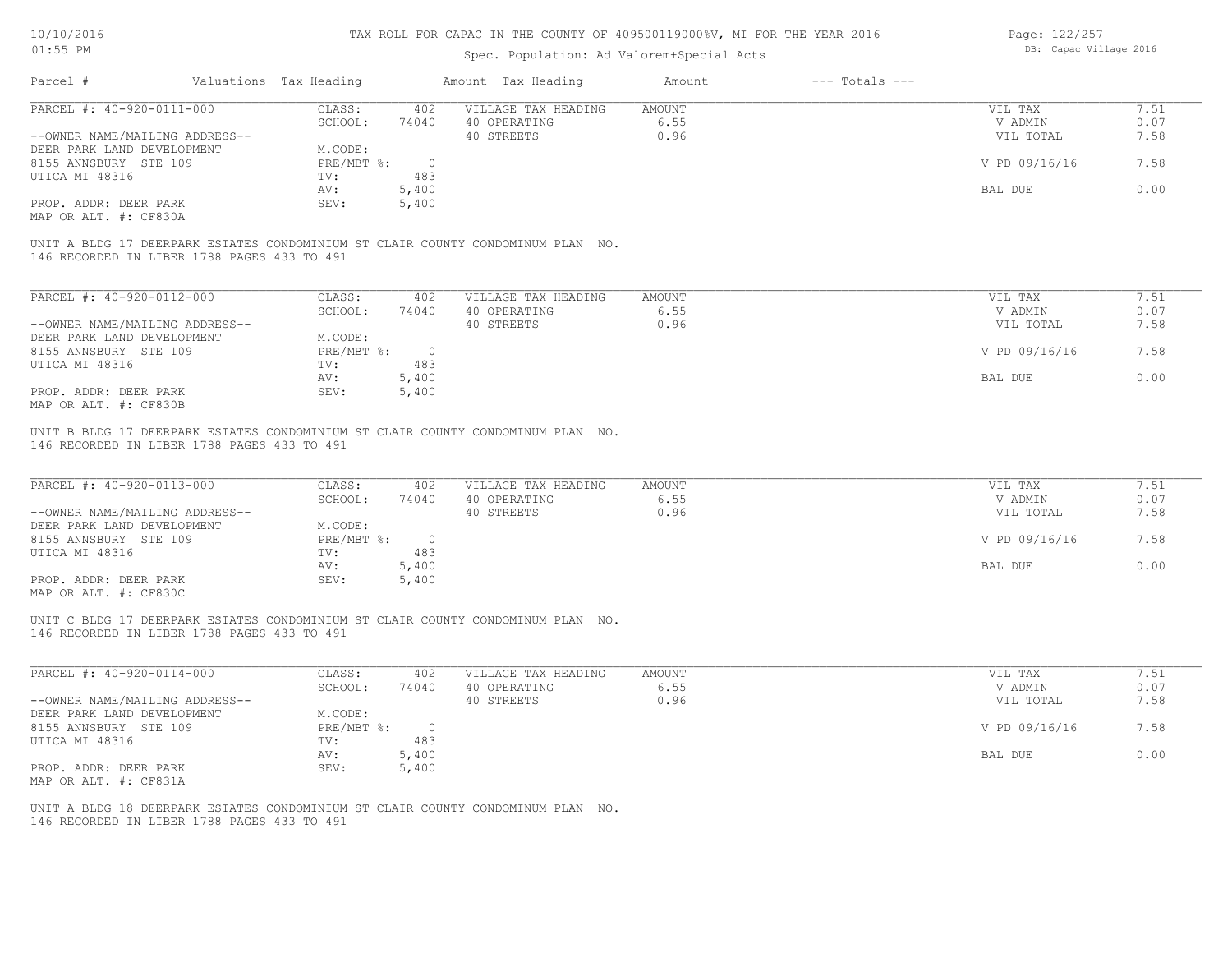# Spec. Population: Ad Valorem+Special Acts

Page: 122/257 DB: Capac Village 2016

| Parcel #                                    | Valuations Tax Heading |       | Amount Tax Heading                                                              | Amount | $---$ Totals $---$ |               |      |
|---------------------------------------------|------------------------|-------|---------------------------------------------------------------------------------|--------|--------------------|---------------|------|
| PARCEL #: 40-920-0111-000                   | CLASS:                 | 402   | VILLAGE TAX HEADING                                                             | AMOUNT |                    | VIL TAX       | 7.51 |
|                                             | SCHOOL:                | 74040 | 40 OPERATING                                                                    | 6.55   |                    | V ADMIN       | 0.07 |
| --OWNER NAME/MAILING ADDRESS--              |                        |       | 40 STREETS                                                                      | 0.96   |                    | VIL TOTAL     | 7.58 |
| DEER PARK LAND DEVELOPMENT                  | M.CODE:                |       |                                                                                 |        |                    |               |      |
| 8155 ANNSBURY STE 109                       | PRE/MBT %:             |       |                                                                                 |        |                    | V PD 09/16/16 | 7.58 |
| UTICA MI 48316                              | TV:                    | 483   |                                                                                 |        |                    |               |      |
|                                             | AV:                    | 5,400 |                                                                                 |        |                    | BAL DUE       | 0.00 |
| PROP. ADDR: DEER PARK                       | SEV:                   | 5,400 |                                                                                 |        |                    |               |      |
| MAP OR ALT. #: CF830A                       |                        |       |                                                                                 |        |                    |               |      |
|                                             |                        |       | UNIT A BLDG 17 DEERPARK ESTATES CONDOMINIUM ST CLAIR COUNTY CONDOMINUM PLAN NO. |        |                    |               |      |
| 146 RECORDED IN LIBER 1788 PAGES 433 TO 491 |                        |       |                                                                                 |        |                    |               |      |

| PARCEL #: 40-920-0112-000      | CLASS:     | 402    | VILLAGE TAX HEADING | AMOUNT | 7.51<br>VIL TAX       |  |
|--------------------------------|------------|--------|---------------------|--------|-----------------------|--|
|                                | SCHOOL:    | 74040  | 40 OPERATING        | 6.55   | 0.07<br>V ADMIN       |  |
| --OWNER NAME/MAILING ADDRESS-- |            |        | 40 STREETS          | 0.96   | 7.58<br>VIL TOTAL     |  |
| DEER PARK LAND DEVELOPMENT     | M.CODE:    |        |                     |        |                       |  |
| 8155 ANNSBURY STE 109          | PRE/MBT %: | $\cap$ |                     |        | V PD 09/16/16<br>7.58 |  |
| UTICA MI 48316                 | TV:        | 483    |                     |        |                       |  |
|                                | AV:        | 5,400  |                     |        | 0.00<br>BAL DUE       |  |
| PROP. ADDR: DEER PARK          | SEV:       | 5,400  |                     |        |                       |  |
| MAP OR ALT. #: CF830B          |            |        |                     |        |                       |  |

146 RECORDED IN LIBER 1788 PAGES 433 TO 491 UNIT B BLDG 17 DEERPARK ESTATES CONDOMINIUM ST CLAIR COUNTY CONDOMINUM PLAN NO.

| PARCEL #: 40-920-0113-000      | CLASS:       | 402   | VILLAGE TAX HEADING | AMOUNT | VIL TAX       | 7.51 |
|--------------------------------|--------------|-------|---------------------|--------|---------------|------|
|                                | SCHOOL:      | 74040 | 40 OPERATING        | 6.55   | V ADMIN       | 0.07 |
| --OWNER NAME/MAILING ADDRESS-- |              |       | 40 STREETS          | 0.96   | VIL TOTAL     | 7.58 |
| DEER PARK LAND DEVELOPMENT     | M.CODE:      |       |                     |        |               |      |
| 8155 ANNSBURY STE 109          | $PRE/MBT$ %: |       |                     |        | V PD 09/16/16 | 7.58 |
| UTICA MI 48316                 | TV:          | 483   |                     |        |               |      |
|                                | AV:          | 5,400 |                     |        | BAL DUE       | 0.00 |
| PROP. ADDR: DEER PARK          | SEV:         | 5,400 |                     |        |               |      |
| $\cdots$                       |              |       |                     |        |               |      |

MAP OR ALT. #: CF830C

146 RECORDED IN LIBER 1788 PAGES 433 TO 491 UNIT C BLDG 17 DEERPARK ESTATES CONDOMINIUM ST CLAIR COUNTY CONDOMINUM PLAN NO.

| PARCEL #: 40-920-0114-000      | CLASS:     | 402      | VILLAGE TAX HEADING | AMOUNT | 7.51<br>VIL TAX       |
|--------------------------------|------------|----------|---------------------|--------|-----------------------|
|                                | SCHOOL:    | 74040    | 40 OPERATING        | 6.55   | 0.07<br>V ADMIN       |
| --OWNER NAME/MAILING ADDRESS-- |            |          | 40 STREETS          | 0.96   | 7.58<br>VIL TOTAL     |
| DEER PARK LAND DEVELOPMENT     | M.CODE:    |          |                     |        |                       |
| 8155 ANNSBURY STE 109          | PRE/MBT %: | $\Omega$ |                     |        | V PD 09/16/16<br>7.58 |
| UTICA MI 48316                 | TV:        | 483      |                     |        |                       |
|                                | AV:        | 5,400    |                     |        | 0.00<br>BAL DUE       |
| PROP. ADDR: DEER PARK          | SEV:       | 5,400    |                     |        |                       |
| MAP OR ALT. #: CF831A          |            |          |                     |        |                       |

 $\mathcal{L}_\mathcal{L} = \mathcal{L}_\mathcal{L} = \mathcal{L}_\mathcal{L} = \mathcal{L}_\mathcal{L} = \mathcal{L}_\mathcal{L} = \mathcal{L}_\mathcal{L} = \mathcal{L}_\mathcal{L} = \mathcal{L}_\mathcal{L} = \mathcal{L}_\mathcal{L} = \mathcal{L}_\mathcal{L} = \mathcal{L}_\mathcal{L} = \mathcal{L}_\mathcal{L} = \mathcal{L}_\mathcal{L} = \mathcal{L}_\mathcal{L} = \mathcal{L}_\mathcal{L} = \mathcal{L}_\mathcal{L} = \mathcal{L}_\mathcal{L}$ 

146 RECORDED IN LIBER 1788 PAGES 433 TO 491 UNIT A BLDG 18 DEERPARK ESTATES CONDOMINIUM ST CLAIR COUNTY CONDOMINUM PLAN NO.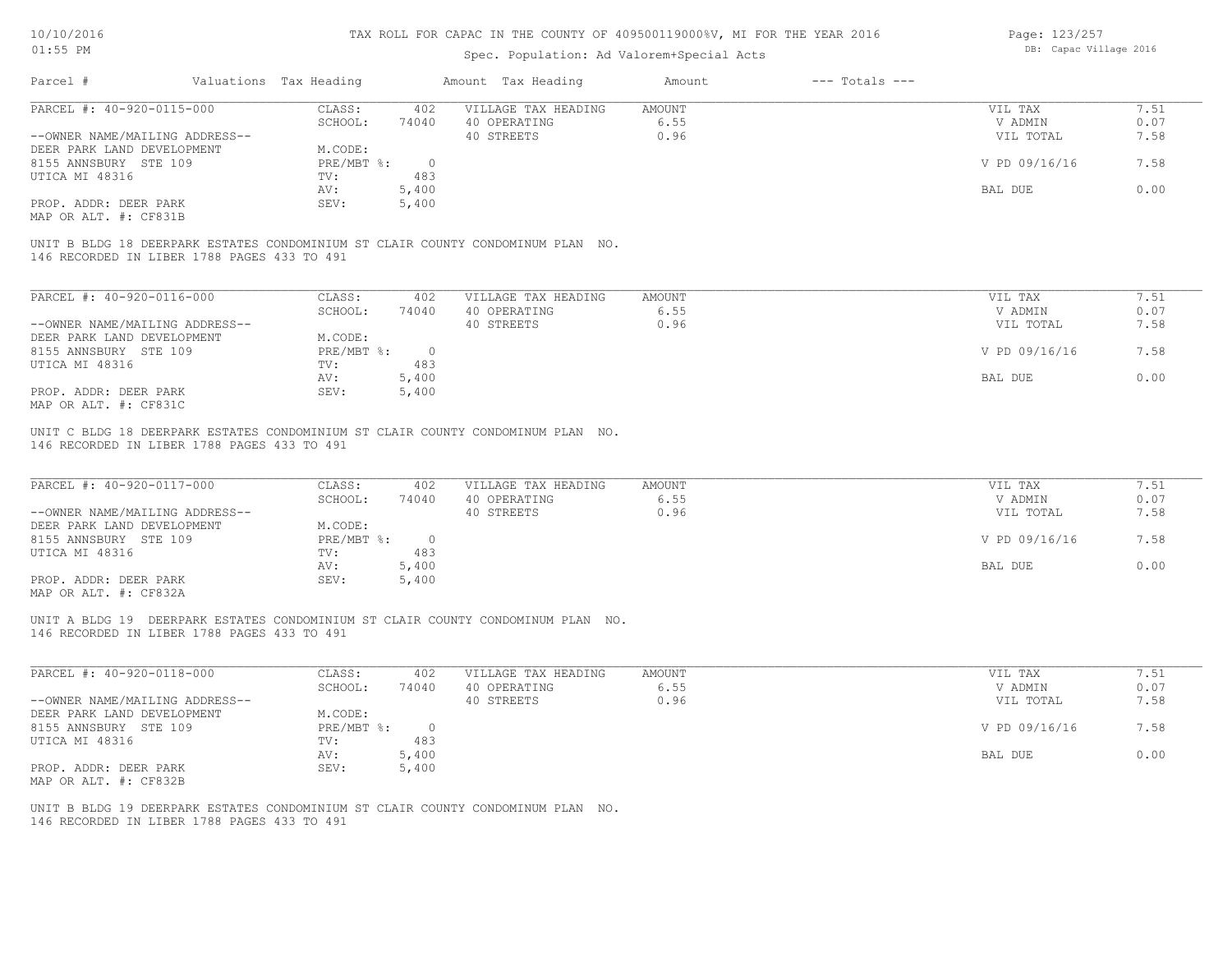## Spec. Population: Ad Valorem+Special Acts

Page: 123/257 DB: Capac Village 2016

|                                                                                                                                                                                      | Valuations Tax Heading |                | Amount Tax Heading  |               |               |      |
|--------------------------------------------------------------------------------------------------------------------------------------------------------------------------------------|------------------------|----------------|---------------------|---------------|---------------|------|
| PARCEL #: 40-920-0115-000                                                                                                                                                            | CLASS:                 | 402            | VILLAGE TAX HEADING | <b>AMOUNT</b> | VIL TAX       | 7.51 |
|                                                                                                                                                                                      | SCHOOL:                | 74040          | 40 OPERATING        | 6.55          | V ADMIN       | 0.07 |
| --OWNER NAME/MAILING ADDRESS--                                                                                                                                                       |                        |                | 40 STREETS          | 0.96          | VIL TOTAL     | 7.58 |
| DEER PARK LAND DEVELOPMENT                                                                                                                                                           | M.CODE:                |                |                     |               |               |      |
| 8155 ANNSBURY STE 109                                                                                                                                                                | PRE/MBT %:             | $\overline{0}$ |                     |               | V PD 09/16/16 | 7.58 |
| UTICA MI 48316                                                                                                                                                                       | TV:                    | 483            |                     |               |               |      |
|                                                                                                                                                                                      | AV:                    | 5,400          |                     |               | BAL DUE       | 0.00 |
| PROP. ADDR: DEER PARK                                                                                                                                                                | SEV:                   | 5,400          |                     |               |               |      |
|                                                                                                                                                                                      |                        |                |                     |               |               |      |
|                                                                                                                                                                                      |                        |                |                     |               |               |      |
| MAP OR ALT. #: CF831B<br>UNIT B BLDG 18 DEERPARK ESTATES CONDOMINIUM ST CLAIR COUNTY CONDOMINUM PLAN NO.<br>146 RECORDED IN LIBER 1788 PAGES 433 TO 491<br>PARCEL #: 40-920-0116-000 | CLASS:                 | 402            | VILLAGE TAX HEADING | <b>AMOUNT</b> | VIL TAX       | 7.51 |
|                                                                                                                                                                                      | SCHOOL:                | 74040          | 40 OPERATING        | 6.55          | V ADMIN       | 0.07 |
| --OWNER NAME/MAILING ADDRESS--                                                                                                                                                       |                        |                | 40 STREETS          | 0.96          | VIL TOTAL     | 7.58 |
| DEER PARK LAND DEVELOPMENT                                                                                                                                                           | M.CODE:                |                |                     |               |               |      |
| 8155 ANNSBURY STE 109                                                                                                                                                                | PRE/MBT %:             | $\overline{0}$ |                     |               | V PD 09/16/16 | 7.58 |
| UTICA MI 48316                                                                                                                                                                       | TV:                    | 483            |                     |               |               |      |
|                                                                                                                                                                                      | AV:                    | 5,400          |                     |               | BAL DUE       | 0.00 |
| PROP. ADDR: DEER PARK<br>MAP OR ALT. #: CF831C                                                                                                                                       | SEV:                   | 5,400          |                     |               |               |      |

MAP OR ALT. #: CF832A PROP. ADDR: DEER PARK SEV: 5,400 AV: 5,400 BAL DUE 0.00 UTICA MI 48316 TV: 483 483 8155 ANNSBURY STE 109 PRE/MBT %: 0 V PD 09/16/16 7.58 DEER PARK LAND DEVELOPMENT M.CODE: --OWNER NAME/MAILING ADDRESS-- 40 STREETS 40 STREETS 0.96 0.96 VIL TOTAL 7.58 SCHOOL: 74040 40 OPERATING 6.55 6.55 6.55 V ADMIN 0.07 PARCEL #: 40-920-0117-000 CLASS: 402 VILLAGE TAX HEADING AMOUNT AMOUNT VIL TAX VIL TAX 7.51

 $\mathcal{L}_\mathcal{L} = \mathcal{L}_\mathcal{L} = \mathcal{L}_\mathcal{L} = \mathcal{L}_\mathcal{L} = \mathcal{L}_\mathcal{L} = \mathcal{L}_\mathcal{L} = \mathcal{L}_\mathcal{L} = \mathcal{L}_\mathcal{L} = \mathcal{L}_\mathcal{L} = \mathcal{L}_\mathcal{L} = \mathcal{L}_\mathcal{L} = \mathcal{L}_\mathcal{L} = \mathcal{L}_\mathcal{L} = \mathcal{L}_\mathcal{L} = \mathcal{L}_\mathcal{L} = \mathcal{L}_\mathcal{L} = \mathcal{L}_\mathcal{L}$ 

146 RECORDED IN LIBER 1788 PAGES 433 TO 491 UNIT A BLDG 19 DEERPARK ESTATES CONDOMINIUM ST CLAIR COUNTY CONDOMINUM PLAN NO.

| PARCEL #: 40-920-0118-000      | CLASS:       | 402   | VILLAGE TAX HEADING | AMOUNT | VIL TAX       | 1.51 |
|--------------------------------|--------------|-------|---------------------|--------|---------------|------|
|                                | SCHOOL:      | 74040 | 40 OPERATING        | 6.55   | V ADMIN       | 0.07 |
| --OWNER NAME/MAILING ADDRESS-- |              |       | 40 STREETS          | 0.96   | VIL TOTAL     | 7.58 |
| DEER PARK LAND DEVELOPMENT     | M.CODE:      |       |                     |        |               |      |
| 8155 ANNSBURY STE 109          | $PRE/MBT$ %: |       |                     |        | V PD 09/16/16 | 7.58 |
| UTICA MI 48316                 | TV:          | 483   |                     |        |               |      |
|                                | AV:          | 5,400 |                     |        | BAL DUE       | 0.00 |
| PROP. ADDR: DEER PARK          | SEV:         | 5,400 |                     |        |               |      |
| MAP OR ALT. #: CF832B          |              |       |                     |        |               |      |

146 RECORDED IN LIBER 1788 PAGES 433 TO 491 UNIT B BLDG 19 DEERPARK ESTATES CONDOMINIUM ST CLAIR COUNTY CONDOMINUM PLAN NO.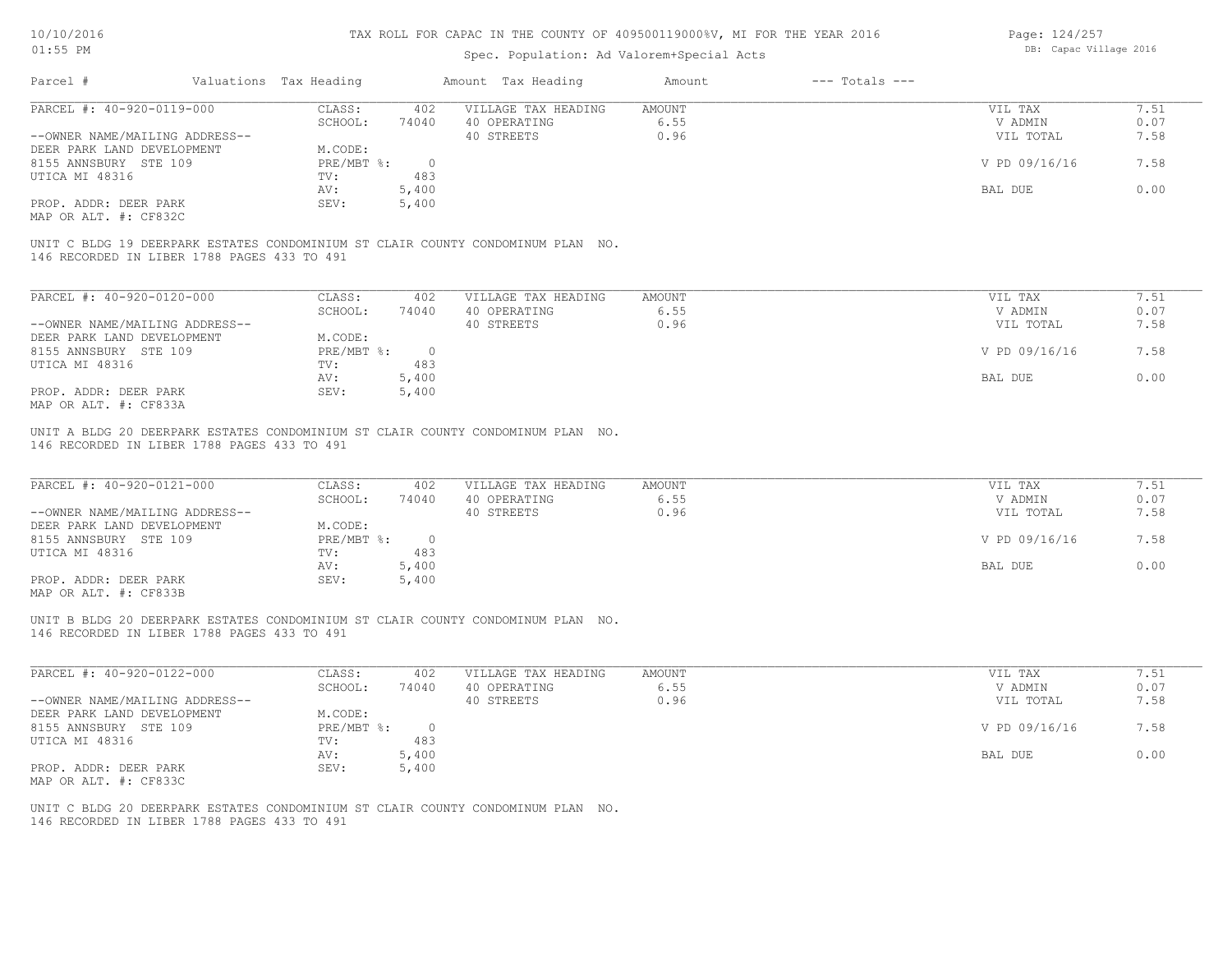## Spec. Population: Ad Valorem+Special Acts

Page: 124/257 DB: Capac Village 2016

| Parcel #                       | Valuations Tax Heading |       | Amount Tax Heading  | Amount | $---$ Totals $---$ |               |      |
|--------------------------------|------------------------|-------|---------------------|--------|--------------------|---------------|------|
| PARCEL #: 40-920-0119-000      | CLASS:                 | 402   | VILLAGE TAX HEADING | AMOUNT |                    | VIL TAX       | 7.51 |
|                                | SCHOOL:                | 74040 | 40 OPERATING        | 6.55   |                    | V ADMIN       | 0.07 |
| --OWNER NAME/MAILING ADDRESS-- |                        |       | 40 STREETS          | 0.96   |                    | VIL TOTAL     | 7.58 |
| DEER PARK LAND DEVELOPMENT     | M.CODE:                |       |                     |        |                    |               |      |
| 8155 ANNSBURY STE 109          | PRE/MBT %:             |       |                     |        |                    | V PD 09/16/16 | 7.58 |
| UTICA MI 48316                 | TV:                    | 483   |                     |        |                    |               |      |
|                                | AV:                    | 5,400 |                     |        |                    | BAL DUE       | 0.00 |
| PROP. ADDR: DEER PARK          | SEV:                   | 5,400 |                     |        |                    |               |      |
| MAP OR ALT. #: CF832C          |                        |       |                     |        |                    |               |      |
|                                |                        |       |                     |        |                    |               |      |

146 RECORDED IN LIBER 1788 PAGES 433 TO 491 UNIT C BLDG 19 DEERPARK ESTATES CONDOMINIUM ST CLAIR COUNTY CONDOMINUM PLAN NO.

| PARCEL #: 40-920-0120-000      | CLASS:     | 402   | VILLAGE TAX HEADING | AMOUNT | VIL TAX       | 7.51 |
|--------------------------------|------------|-------|---------------------|--------|---------------|------|
|                                | SCHOOL:    | 74040 | 40 OPERATING        | 6.55   | V ADMIN       | 0.07 |
| --OWNER NAME/MAILING ADDRESS-- |            |       | 40 STREETS          | 0.96   | VIL TOTAL     | 7.58 |
| DEER PARK LAND DEVELOPMENT     | M.CODE:    |       |                     |        |               |      |
| 8155 ANNSBURY STE 109          | PRE/MBT %: | 0.    |                     |        | V PD 09/16/16 | 7.58 |
| UTICA MI 48316                 | TV:        | 483   |                     |        |               |      |
|                                | AV:        | 5,400 |                     |        | BAL DUE       | 0.00 |
| PROP. ADDR: DEER PARK          | SEV:       | 5,400 |                     |        |               |      |
| MAP OR ALT. #: CF833A          |            |       |                     |        |               |      |

146 RECORDED IN LIBER 1788 PAGES 433 TO 491 UNIT A BLDG 20 DEERPARK ESTATES CONDOMINIUM ST CLAIR COUNTY CONDOMINUM PLAN NO.

| PARCEL #: 40-920-0121-000                             | CLASS:     | 402   | VILLAGE TAX HEADING | AMOUNT | VIL TAX       | 7.51 |
|-------------------------------------------------------|------------|-------|---------------------|--------|---------------|------|
|                                                       | SCHOOL:    | 74040 | 40 OPERATING        | 6.55   | V ADMIN       | 0.07 |
| --OWNER NAME/MAILING ADDRESS--                        |            |       | 40 STREETS          | 0.96   | VIL TOTAL     | 7.58 |
| DEER PARK LAND DEVELOPMENT                            | M.CODE:    |       |                     |        |               |      |
| 8155 ANNSBURY STE 109                                 | PRE/MBT %: |       |                     |        | V PD 09/16/16 | 7.58 |
| UTICA MI 48316                                        | TV:        | 483   |                     |        |               |      |
|                                                       | AV:        | 5,400 |                     |        | BAL DUE       | 0.00 |
| PROP. ADDR: DEER PARK                                 | SEV:       | 5,400 |                     |        |               |      |
| $\cdots$ $\cdots$ $\cdots$ $\cdots$ $\cdots$ $\cdots$ |            |       |                     |        |               |      |

MAP OR ALT. #: CF833B

146 RECORDED IN LIBER 1788 PAGES 433 TO 491 UNIT B BLDG 20 DEERPARK ESTATES CONDOMINIUM ST CLAIR COUNTY CONDOMINUM PLAN NO.

| PARCEL #: 40-920-0122-000      | CLASS:     | 402   | VILLAGE TAX HEADING | AMOUNT | 7.51<br>VIL TAX       |
|--------------------------------|------------|-------|---------------------|--------|-----------------------|
|                                | SCHOOL:    | 74040 | 40 OPERATING        | 6.55   | 0.07<br>V ADMIN       |
| --OWNER NAME/MAILING ADDRESS-- |            |       | 40 STREETS          | 0.96   | 7.58<br>VIL TOTAL     |
| DEER PARK LAND DEVELOPMENT     | M.CODE:    |       |                     |        |                       |
| 8155 ANNSBURY STE 109          | PRE/MBT %: |       |                     |        | V PD 09/16/16<br>7.58 |
| UTICA MI 48316                 | TV:        | 483   |                     |        |                       |
|                                | AV:        | 5,400 |                     |        | 0.00<br>BAL DUE       |
| PROP. ADDR: DEER PARK          | SEV:       | 5,400 |                     |        |                       |
| MAP OR ALT. #: CF833C          |            |       |                     |        |                       |

 $\mathcal{L}_\mathcal{L} = \mathcal{L}_\mathcal{L} = \mathcal{L}_\mathcal{L} = \mathcal{L}_\mathcal{L} = \mathcal{L}_\mathcal{L} = \mathcal{L}_\mathcal{L} = \mathcal{L}_\mathcal{L} = \mathcal{L}_\mathcal{L} = \mathcal{L}_\mathcal{L} = \mathcal{L}_\mathcal{L} = \mathcal{L}_\mathcal{L} = \mathcal{L}_\mathcal{L} = \mathcal{L}_\mathcal{L} = \mathcal{L}_\mathcal{L} = \mathcal{L}_\mathcal{L} = \mathcal{L}_\mathcal{L} = \mathcal{L}_\mathcal{L}$ 

146 RECORDED IN LIBER 1788 PAGES 433 TO 491 UNIT C BLDG 20 DEERPARK ESTATES CONDOMINIUM ST CLAIR COUNTY CONDOMINUM PLAN NO.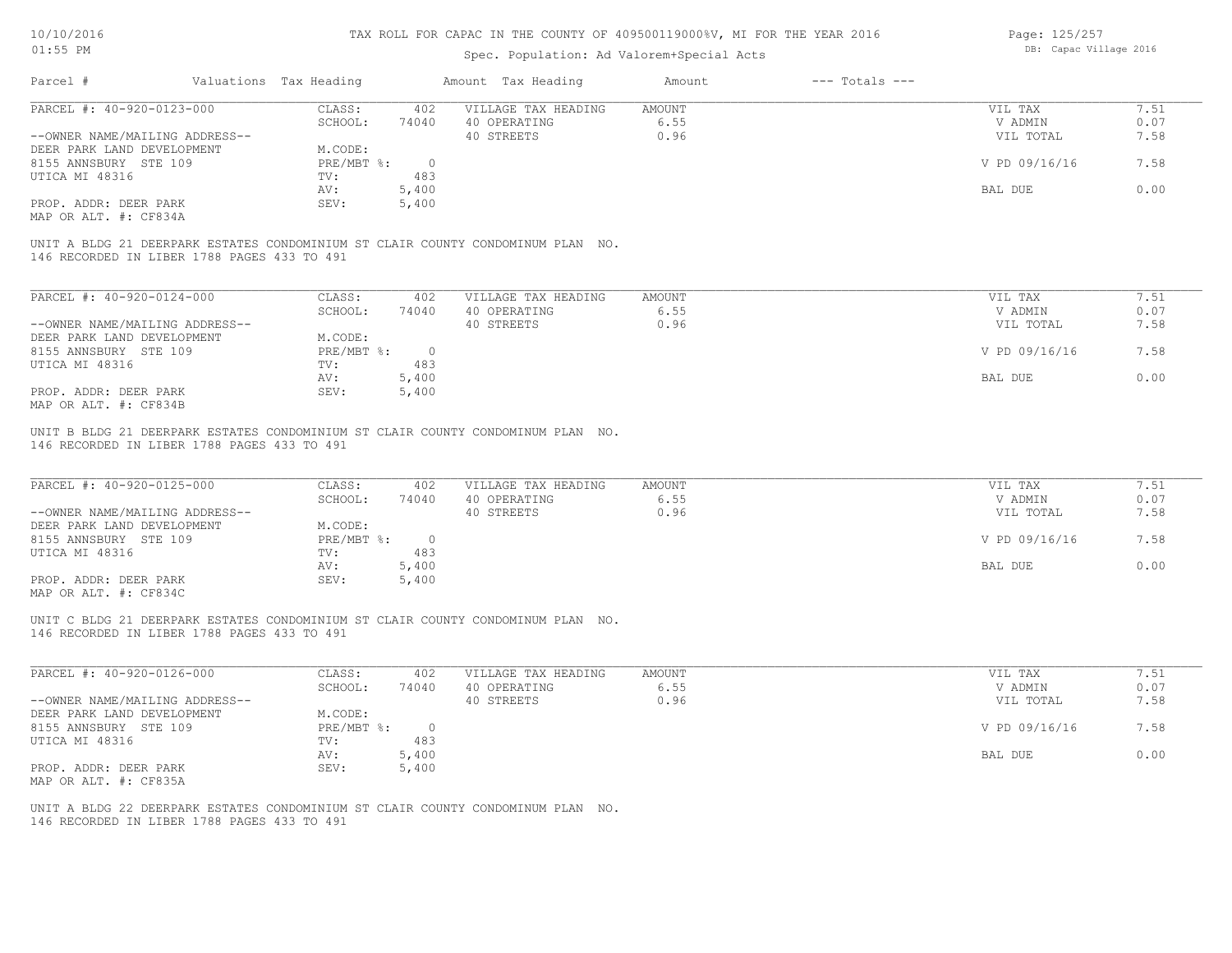## Spec. Population: Ad Valorem+Special Acts

Page: 125/257 DB: Capac Village 2016

| Parcel #                       | Valuations Tax Heading |       | Amount Tax Heading  | Amount | $---$ Totals $---$ |               |      |
|--------------------------------|------------------------|-------|---------------------|--------|--------------------|---------------|------|
| PARCEL #: 40-920-0123-000      | CLASS:                 | 402   | VILLAGE TAX HEADING | AMOUNT |                    | VIL TAX       |      |
|                                | SCHOOL:                | 74040 | 40 OPERATING        | 6.55   |                    | V ADMIN       | 0.07 |
| --OWNER NAME/MAILING ADDRESS-- |                        |       | 40 STREETS          | 0.96   |                    | VIL TOTAL     | 7.58 |
| DEER PARK LAND DEVELOPMENT     | M.CODE:                |       |                     |        |                    |               |      |
| 8155 ANNSBURY STE 109          | PRE/MBT %:             |       |                     |        |                    | V PD 09/16/16 | 7.58 |
| UTICA MI 48316                 | TV:                    | 483   |                     |        |                    |               |      |
|                                | AV:                    | 5,400 |                     |        |                    | BAL DUE       | 0.00 |
| PROP. ADDR: DEER PARK          | SEV:                   | 5,400 |                     |        |                    |               |      |
| MAP OR ALT. #: CF834A          |                        |       |                     |        |                    |               |      |

146 RECORDED IN LIBER 1788 PAGES 433 TO 491 UNIT A BLDG 21 DEERPARK ESTATES CONDOMINIUM ST CLAIR COUNTY CONDOMINUM PLAN NO.

| PARCEL #: 40-920-0124-000      | CLASS:     | 402   | VILLAGE TAX HEADING | AMOUNT | VIL TAX       | 7.51 |
|--------------------------------|------------|-------|---------------------|--------|---------------|------|
|                                | SCHOOL:    | 74040 | 40 OPERATING        | 6.55   | V ADMIN       | 0.07 |
| --OWNER NAME/MAILING ADDRESS-- |            |       | 40 STREETS          | 0.96   | VIL TOTAL     | 7.58 |
| DEER PARK LAND DEVELOPMENT     | M.CODE:    |       |                     |        |               |      |
| 8155 ANNSBURY STE 109          | PRE/MBT %: |       |                     |        | V PD 09/16/16 | 7.58 |
| UTICA MI 48316                 | TV:        | 483   |                     |        |               |      |
|                                | AV:        | 5,400 |                     |        | BAL DUE       | 0.00 |
| PROP. ADDR: DEER PARK          | SEV:       | 5,400 |                     |        |               |      |
| MAP OR ALT. #: CF834B          |            |       |                     |        |               |      |

146 RECORDED IN LIBER 1788 PAGES 433 TO 491 UNIT B BLDG 21 DEERPARK ESTATES CONDOMINIUM ST CLAIR COUNTY CONDOMINUM PLAN NO.

| PARCEL #: 40-920-0125-000      | CLASS:     | 402   | VILLAGE TAX HEADING | AMOUNT | VIL TAX       | 7.51 |
|--------------------------------|------------|-------|---------------------|--------|---------------|------|
|                                | SCHOOL:    | 74040 | 40 OPERATING        | 6.55   | V ADMIN       | 0.07 |
| --OWNER NAME/MAILING ADDRESS-- |            |       | 40 STREETS          | 0.96   | VIL TOTAL     | 7.58 |
| DEER PARK LAND DEVELOPMENT     | M.CODE:    |       |                     |        |               |      |
| 8155 ANNSBURY STE 109          | PRE/MBT %: |       |                     |        | V PD 09/16/16 | 7.58 |
| UTICA MI 48316                 | TV:        | 483   |                     |        |               |      |
|                                | AV:        | 5,400 |                     |        | BAL DUE       | 0.00 |
| PROP. ADDR: DEER PARK          | SEV:       | 5,400 |                     |        |               |      |
| MAP OR ALT. #: CF834C          |            |       |                     |        |               |      |

146 RECORDED IN LIBER 1788 PAGES 433 TO 491 UNIT C BLDG 21 DEERPARK ESTATES CONDOMINIUM ST CLAIR COUNTY CONDOMINUM PLAN NO.

| PARCEL #: 40-920-0126-000      | CLASS:     | 402   | VILLAGE TAX HEADING | AMOUNT | VIL TAX       | 1.51 |
|--------------------------------|------------|-------|---------------------|--------|---------------|------|
|                                | SCHOOL:    | 74040 | 40 OPERATING        | 6.55   | V ADMIN       | 0.07 |
| --OWNER NAME/MAILING ADDRESS-- |            |       | 40 STREETS          | 0.96   | VIL TOTAL     | 7.58 |
| DEER PARK LAND DEVELOPMENT     | M.CODE:    |       |                     |        |               |      |
| 8155 ANNSBURY STE 109          | PRE/MBT %: |       |                     |        | V PD 09/16/16 | 7.58 |
| UTICA MI 48316                 | TV:        | 483   |                     |        |               |      |
|                                | AV:        | 5,400 |                     |        | BAL DUE       | 0.00 |
| PROP. ADDR: DEER PARK          | SEV:       | 5,400 |                     |        |               |      |
| MAP OR ALT. #: CF835A          |            |       |                     |        |               |      |

146 RECORDED IN LIBER 1788 PAGES 433 TO 491 UNIT A BLDG 22 DEERPARK ESTATES CONDOMINIUM ST CLAIR COUNTY CONDOMINUM PLAN NO.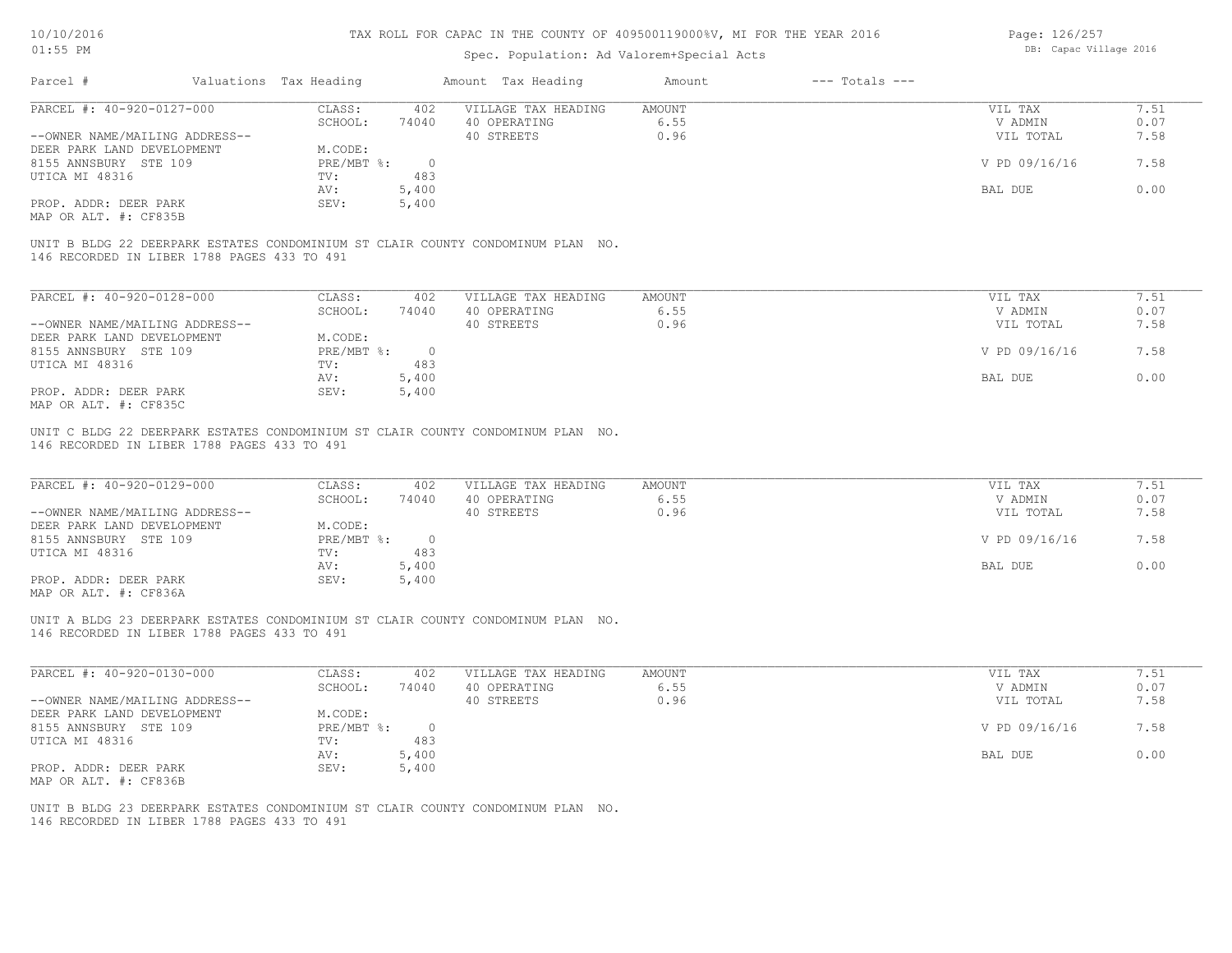## Spec. Population: Ad Valorem+Special Acts

Page: 126/257 DB: Capac Village 2016

| Parcel #                       | Valuations Tax Heading |       | Amount Tax Heading  | Amount | $---$ Totals $---$ |               |      |
|--------------------------------|------------------------|-------|---------------------|--------|--------------------|---------------|------|
| PARCEL #: 40-920-0127-000      | CLASS:                 | 402   | VILLAGE TAX HEADING | AMOUNT |                    | VIL TAX       | 7.51 |
|                                | SCHOOL:                | 74040 | 40 OPERATING        | 6.55   |                    | V ADMIN       | 0.07 |
| --OWNER NAME/MAILING ADDRESS-- |                        |       | 40 STREETS          | 0.96   |                    | VIL TOTAL     | 7.58 |
| DEER PARK LAND DEVELOPMENT     | M.CODE:                |       |                     |        |                    |               |      |
| 8155 ANNSBURY STE 109          | PRE/MBT %:             |       |                     |        |                    | V PD 09/16/16 | 7.58 |
| UTICA MI 48316                 | TV:                    | 483   |                     |        |                    |               |      |
|                                | AV:                    | 5,400 |                     |        |                    | BAL DUE       | 0.00 |
| PROP. ADDR: DEER PARK          | SEV:                   | 5,400 |                     |        |                    |               |      |
| MAP OR ALT. #: CF835B          |                        |       |                     |        |                    |               |      |

146 RECORDED IN LIBER 1788 PAGES 433 TO 491 UNIT B BLDG 22 DEERPARK ESTATES CONDOMINIUM ST CLAIR COUNTY CONDOMINUM PLAN NO.

| PARCEL #: 40-920-0128-000      | CLASS:     | 402      | VILLAGE TAX HEADING | AMOUNT | 7.51<br>VIL TAX       |  |
|--------------------------------|------------|----------|---------------------|--------|-----------------------|--|
|                                | SCHOOL:    | 74040    | 40 OPERATING        | 6.55   | 0.07<br>V ADMIN       |  |
| --OWNER NAME/MAILING ADDRESS-- |            |          | 40 STREETS          | 0.96   | 7.58<br>VIL TOTAL     |  |
| DEER PARK LAND DEVELOPMENT     | M.CODE:    |          |                     |        |                       |  |
| 8155 ANNSBURY STE 109          | PRE/MBT %: | $\Omega$ |                     |        | V PD 09/16/16<br>7.58 |  |
| UTICA MI 48316                 | TV:        | 483      |                     |        |                       |  |
|                                | AV:        | 5,400    |                     |        | 0.00<br>BAL DUE       |  |
| PROP. ADDR: DEER PARK          | SEV:       | 5,400    |                     |        |                       |  |
| MAP OR ALT. #: CF835C          |            |          |                     |        |                       |  |

146 RECORDED IN LIBER 1788 PAGES 433 TO 491 UNIT C BLDG 22 DEERPARK ESTATES CONDOMINIUM ST CLAIR COUNTY CONDOMINUM PLAN NO.

| PARCEL #: 40-920-0129-000                             | CLASS:     | 402   | VILLAGE TAX HEADING | AMOUNT | VIL TAX       | 7.51 |
|-------------------------------------------------------|------------|-------|---------------------|--------|---------------|------|
|                                                       | SCHOOL:    | 74040 | 40 OPERATING        | 6.55   | V ADMIN       | 0.07 |
| --OWNER NAME/MAILING ADDRESS--                        |            |       | 40 STREETS          | 0.96   | VIL TOTAL     | 7.58 |
| DEER PARK LAND DEVELOPMENT                            | M.CODE:    |       |                     |        |               |      |
| 8155 ANNSBURY STE 109                                 | PRE/MBT %: |       |                     |        | V PD 09/16/16 | 7.58 |
| UTICA MI 48316                                        | TV:        | 483   |                     |        |               |      |
|                                                       | AV:        | 5,400 |                     |        | BAL DUE       | 0.00 |
| PROP. ADDR: DEER PARK                                 | SEV:       | 5,400 |                     |        |               |      |
| $\cdots$ $\cdots$ $\cdots$ $\cdots$ $\cdots$ $\cdots$ |            |       |                     |        |               |      |

MAP OR ALT. #: CF836A

146 RECORDED IN LIBER 1788 PAGES 433 TO 491 UNIT A BLDG 23 DEERPARK ESTATES CONDOMINIUM ST CLAIR COUNTY CONDOMINUM PLAN NO.

| PARCEL #: 40-920-0130-000      | CLASS:     | 402   | VILLAGE TAX HEADING | AMOUNT | VIL TAX       | 1.51 |
|--------------------------------|------------|-------|---------------------|--------|---------------|------|
|                                | SCHOOL:    | 74040 | 40 OPERATING        | 6.55   | V ADMIN       | 0.07 |
| --OWNER NAME/MAILING ADDRESS-- |            |       | 40 STREETS          | 0.96   | VIL TOTAL     | 7.58 |
| DEER PARK LAND DEVELOPMENT     | M.CODE:    |       |                     |        |               |      |
| 8155 ANNSBURY STE 109          | PRE/MBT %: |       |                     |        | V PD 09/16/16 | 7.58 |
| UTICA MI 48316                 | TV:        | 483   |                     |        |               |      |
|                                | AV:        | 5,400 |                     |        | BAL DUE       | 0.00 |
| PROP. ADDR: DEER PARK          | SEV:       | 5,400 |                     |        |               |      |
| MAP OR ALT. #: CF836B          |            |       |                     |        |               |      |

146 RECORDED IN LIBER 1788 PAGES 433 TO 491 UNIT B BLDG 23 DEERPARK ESTATES CONDOMINIUM ST CLAIR COUNTY CONDOMINUM PLAN NO.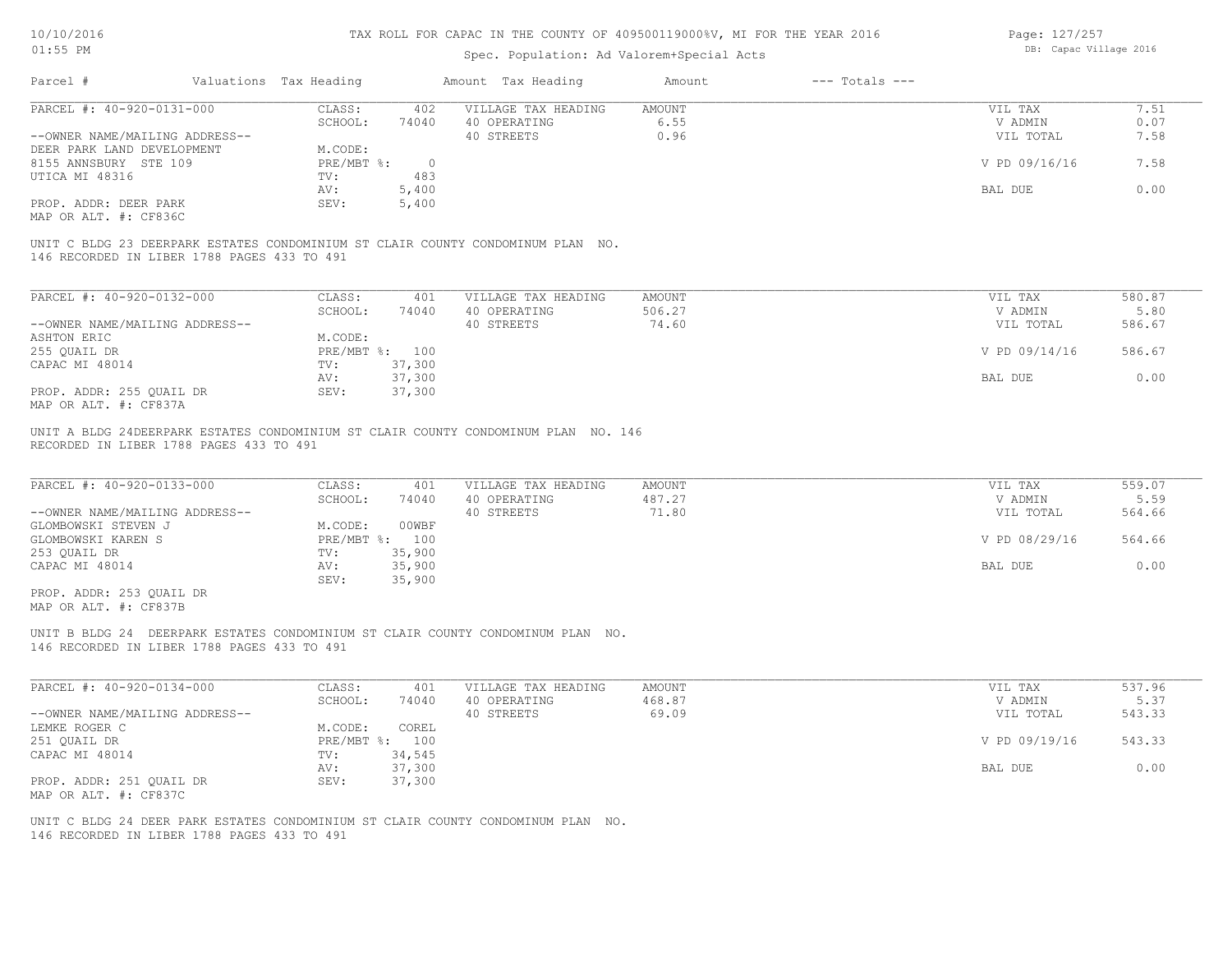## Spec. Population: Ad Valorem+Special Acts

| Page: 127/257 |                        |  |
|---------------|------------------------|--|
|               | DB: Capac Village 2016 |  |

| Parcel #                                    | Valuations Tax Heading |          | Amount Tax Heading                                                              | Amount | $---$ Totals $---$ |               |        |
|---------------------------------------------|------------------------|----------|---------------------------------------------------------------------------------|--------|--------------------|---------------|--------|
| PARCEL #: 40-920-0131-000                   | CLASS:                 | 402      | VILLAGE TAX HEADING                                                             | AMOUNT |                    | VIL TAX       | 7.51   |
|                                             | SCHOOL:                | 74040    | 40 OPERATING                                                                    | 6.55   |                    | V ADMIN       | 0.07   |
| --OWNER NAME/MAILING ADDRESS--              |                        |          | 40 STREETS                                                                      | 0.96   |                    | VIL TOTAL     | 7.58   |
| DEER PARK LAND DEVELOPMENT                  | M.CODE:                |          |                                                                                 |        |                    |               |        |
| 8155 ANNSBURY STE 109                       | PRE/MBT %:             | $\Omega$ |                                                                                 |        |                    | V PD 09/16/16 | 7.58   |
| UTICA MI 48316                              | TV:                    | 483      |                                                                                 |        |                    |               |        |
|                                             | AV:                    | 5,400    |                                                                                 |        |                    | BAL DUE       | 0.00   |
| PROP. ADDR: DEER PARK                       | SEV:                   | 5,400    |                                                                                 |        |                    |               |        |
| MAP OR ALT. #: CF836C                       |                        |          |                                                                                 |        |                    |               |        |
| 146 RECORDED IN LIBER 1788 PAGES 433 TO 491 |                        |          | UNIT C BLDG 23 DEERPARK ESTATES CONDOMINIUM ST CLAIR COUNTY CONDOMINUM PLAN NO. |        |                    |               |        |
|                                             |                        |          |                                                                                 |        |                    |               |        |
| PARCEL #: 40-920-0132-000                   | CLASS:                 | 401      | VILLAGE TAX HEADING                                                             | AMOUNT |                    | VIL TAX       | 580.87 |

| PARCEL #: 4U-9ZU-UI3Z-UUU      | JLASS:     | 4 U L  | VILLAGE TAX HEADING | AMOUNT. | VIL TAX       | <b>580.87</b> |  |
|--------------------------------|------------|--------|---------------------|---------|---------------|---------------|--|
|                                | SCHOOL:    | 74040  | 40 OPERATING        | 506.27  | V ADMIN       | 5.80          |  |
| --OWNER NAME/MAILING ADDRESS-- |            |        | 40 STREETS          | 74.60   | VIL TOTAL     | 586.67        |  |
| ASHTON ERIC                    | M.CODE:    |        |                     |         |               |               |  |
| 255 QUAIL DR                   | PRE/MBT %: | 100    |                     |         | V PD 09/14/16 | 586.67        |  |
| CAPAC MI 48014                 | TV:        | 37,300 |                     |         |               |               |  |
|                                | AV:        | 37,300 |                     |         | BAL DUE       | 0.00          |  |
| PROP. ADDR: 255 OUAIL DR       | SEV:       | 37,300 |                     |         |               |               |  |
| $MAD$ $CD$ $ATH$ $H$ , $CDQZZ$ |            |        |                     |         |               |               |  |

MAP OR ALT. #: CF837A

RECORDED IN LIBER 1788 PAGES 433 TO 491 UNIT A BLDG 24DEERPARK ESTATES CONDOMINIUM ST CLAIR COUNTY CONDOMINUM PLAN NO. 146

| PARCEL #: 40-920-0133-000      | CLASS:         | 401    | VILLAGE TAX HEADING | AMOUNT | VIL TAX       | 559.07 |
|--------------------------------|----------------|--------|---------------------|--------|---------------|--------|
|                                | SCHOOL:        | 74040  | 40 OPERATING        | 487.27 | V ADMIN       | 5.59   |
| --OWNER NAME/MAILING ADDRESS-- |                |        | 40 STREETS          | 71.80  | VIL TOTAL     | 564.66 |
| GLOMBOWSKI STEVEN J            | M.CODE:        | 00WBF  |                     |        |               |        |
| GLOMBOWSKI KAREN S             | PRE/MBT %: 100 |        |                     |        | V PD 08/29/16 | 564.66 |
| 253 QUAIL DR                   | TV:            | 35,900 |                     |        |               |        |
| CAPAC MI 48014                 | AV:            | 35,900 |                     |        | BAL DUE       | 0.00   |
|                                | SEV:           | 35,900 |                     |        |               |        |

MAP OR ALT. #: CF837B PROP. ADDR: 253 QUAIL DR

146 RECORDED IN LIBER 1788 PAGES 433 TO 491 UNIT B BLDG 24 DEERPARK ESTATES CONDOMINIUM ST CLAIR COUNTY CONDOMINUM PLAN NO.

| PARCEL #: 40-920-0134-000      | CLASS:  | 401            | VILLAGE TAX HEADING | AMOUNT | VIL TAX       | 537.96 |
|--------------------------------|---------|----------------|---------------------|--------|---------------|--------|
|                                | SCHOOL: | 74040          | 40 OPERATING        | 468.87 | V ADMIN       | 5.37   |
| --OWNER NAME/MAILING ADDRESS-- |         |                | 40 STREETS          | 69.09  | VIL TOTAL     | 543.33 |
| LEMKE ROGER C                  | M.CODE: | COREL          |                     |        |               |        |
| 251 QUAIL DR                   |         | PRE/MBT %: 100 |                     |        | V PD 09/19/16 | 543.33 |
| CAPAC MI 48014                 | TV:     | 34,545         |                     |        |               |        |
|                                | AV:     | 37,300         |                     |        | BAL DUE       | 0.00   |
| PROP. ADDR: 251 QUAIL DR       | SEV:    | 37,300         |                     |        |               |        |
| MAP OR ALT. #: CF837C          |         |                |                     |        |               |        |

146 RECORDED IN LIBER 1788 PAGES 433 TO 491 UNIT C BLDG 24 DEER PARK ESTATES CONDOMINIUM ST CLAIR COUNTY CONDOMINUM PLAN NO.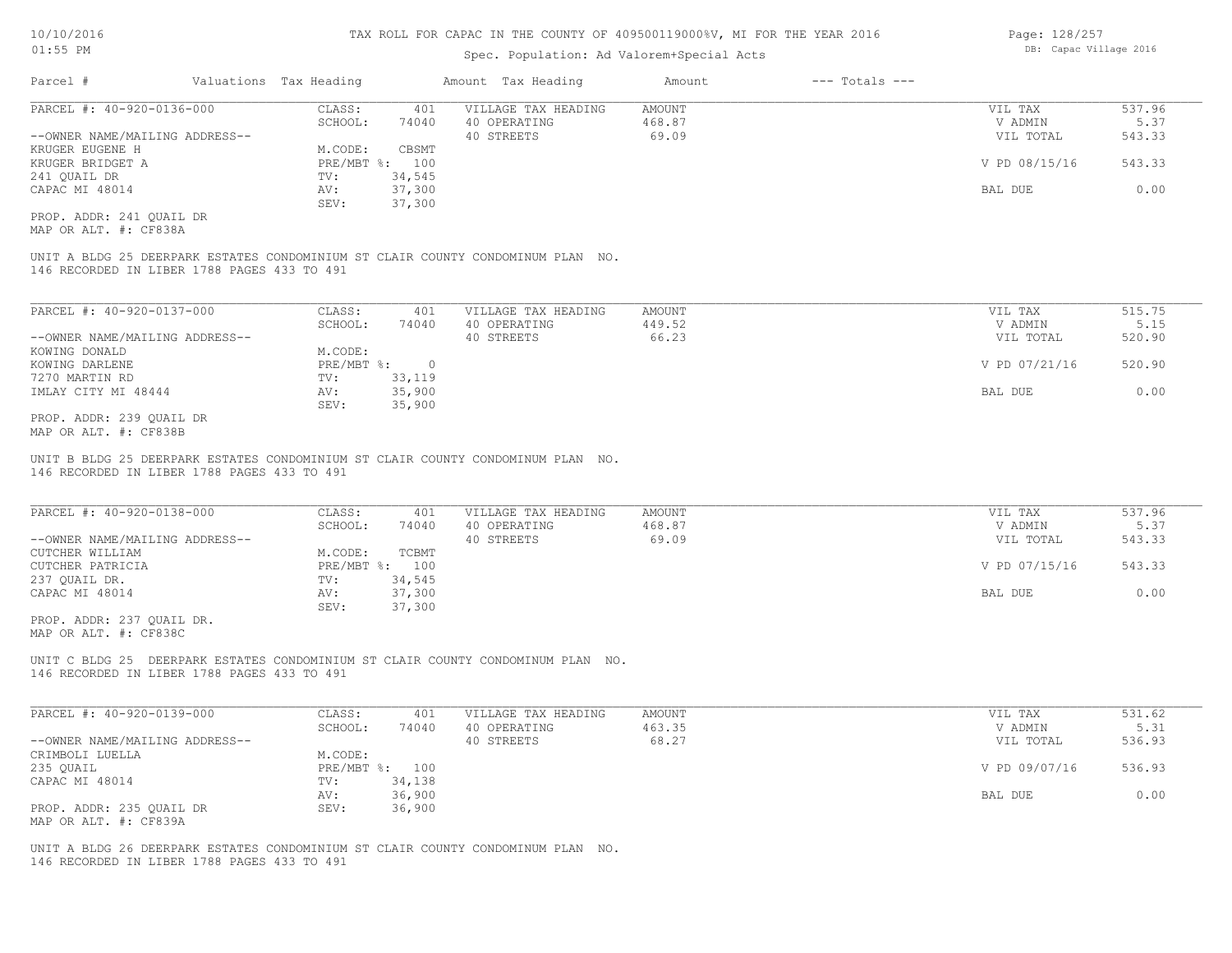## Spec. Population: Ad Valorem+Special Acts

| Parcel #                       | Valuations Tax Heading |        | Amount Tax Heading  | Amount | $---$ Totals $---$ |               |        |
|--------------------------------|------------------------|--------|---------------------|--------|--------------------|---------------|--------|
| PARCEL #: 40-920-0136-000      | CLASS:                 | 401    | VILLAGE TAX HEADING | AMOUNT |                    | VIL TAX       | 537.96 |
|                                | SCHOOL:                | 74040  | 40 OPERATING        | 468.87 |                    | V ADMIN       | 5.37   |
| --OWNER NAME/MAILING ADDRESS-- |                        |        | 40 STREETS          | 69.09  |                    | VIL TOTAL     | 543.33 |
| KRUGER EUGENE H                | M.CODE:                | CBSMT  |                     |        |                    |               |        |
| KRUGER BRIDGET A               | PRE/MBT %: 100         |        |                     |        |                    | V PD 08/15/16 | 543.33 |
| 241 QUAIL DR                   | TV:                    | 34,545 |                     |        |                    |               |        |
| CAPAC MI 48014                 | AV:                    | 37,300 |                     |        |                    | BAL DUE       | 0.00   |
|                                | SEV:                   | 37,300 |                     |        |                    |               |        |
|                                |                        |        |                     |        |                    |               |        |

MAP OR ALT. #: CF838A PROP. ADDR: 241 QUAIL DR

146 RECORDED IN LIBER 1788 PAGES 433 TO 491 UNIT A BLDG 25 DEERPARK ESTATES CONDOMINIUM ST CLAIR COUNTY CONDOMINUM PLAN NO.

| PARCEL #: 40-920-0137-000      | CLASS:       | 401    | VILLAGE TAX HEADING | AMOUNT | VIL TAX       | 515.75 |
|--------------------------------|--------------|--------|---------------------|--------|---------------|--------|
|                                | SCHOOL:      | 74040  | 40 OPERATING        | 449.52 | V ADMIN       | 5.15   |
| --OWNER NAME/MAILING ADDRESS-- |              |        | 40 STREETS          | 66.23  | VIL TOTAL     | 520.90 |
| KOWING DONALD                  | M.CODE:      |        |                     |        |               |        |
| KOWING DARLENE                 | $PRE/MBT$ %: |        |                     |        | V PD 07/21/16 | 520.90 |
| 7270 MARTIN RD                 | TV:          | 33,119 |                     |        |               |        |
| IMLAY CITY MI 48444            | AV:          | 35,900 |                     |        | BAL DUE       | 0.00   |
|                                | SEV:         | 35,900 |                     |        |               |        |
| PROP. ADDR: 239 OUAIL DR       |              |        |                     |        |               |        |

MAP OR ALT. #: CF838B

146 RECORDED IN LIBER 1788 PAGES 433 TO 491 UNIT B BLDG 25 DEERPARK ESTATES CONDOMINIUM ST CLAIR COUNTY CONDOMINUM PLAN NO.

| PARCEL #: 40-920-0138-000      | CLASS:         | 401    | VILLAGE TAX HEADING | AMOUNT | VIL TAX       | 537.96 |
|--------------------------------|----------------|--------|---------------------|--------|---------------|--------|
|                                | SCHOOL:        | 74040  | 40 OPERATING        | 468.87 | V ADMIN       | 5.37   |
| --OWNER NAME/MAILING ADDRESS-- |                |        | 40 STREETS          | 69.09  | VIL TOTAL     | 543.33 |
| CUTCHER WILLIAM                | M.CODE:        | TCBMT  |                     |        |               |        |
| CUTCHER PATRICIA               | PRE/MBT %: 100 |        |                     |        | V PD 07/15/16 | 543.33 |
| 237 OUAIL DR.                  | TV:            | 34,545 |                     |        |               |        |
| CAPAC MI 48014                 | AV:            | 37,300 |                     |        | BAL DUE       | 0.00   |
|                                | SEV:           | 37,300 |                     |        |               |        |

MAP OR ALT. #: CF838C PROP. ADDR: 237 QUAIL DR.

146 RECORDED IN LIBER 1788 PAGES 433 TO 491 UNIT C BLDG 25 DEERPARK ESTATES CONDOMINIUM ST CLAIR COUNTY CONDOMINUM PLAN NO.

| PARCEL #: 40-920-0139-000      | CLASS:  | 401            | VILLAGE TAX HEADING | AMOUNT | VIL TAX       | 531.62 |
|--------------------------------|---------|----------------|---------------------|--------|---------------|--------|
|                                | SCHOOL: | 74040          | 40 OPERATING        | 463.35 | V ADMIN       | 5.31   |
| --OWNER NAME/MAILING ADDRESS-- |         |                | 40 STREETS          | 68.27  | VIL TOTAL     | 536.93 |
| CRIMBOLI LUELLA                | M.CODE: |                |                     |        |               |        |
| 235 OUAIL                      |         | PRE/MBT %: 100 |                     |        | V PD 09/07/16 | 536.93 |
| CAPAC MI 48014                 | TV:     | 34,138         |                     |        |               |        |
|                                | AV:     | 36,900         |                     |        | BAL DUE       | 0.00   |
| PROP. ADDR: 235 OUAIL DR       | SEV:    | 36,900         |                     |        |               |        |
| MAP OR ALT. #: CF839A          |         |                |                     |        |               |        |

146 RECORDED IN LIBER 1788 PAGES 433 TO 491 UNIT A BLDG 26 DEERPARK ESTATES CONDOMINIUM ST CLAIR COUNTY CONDOMINUM PLAN NO. Page: 128/257 DB: Capac Village 2016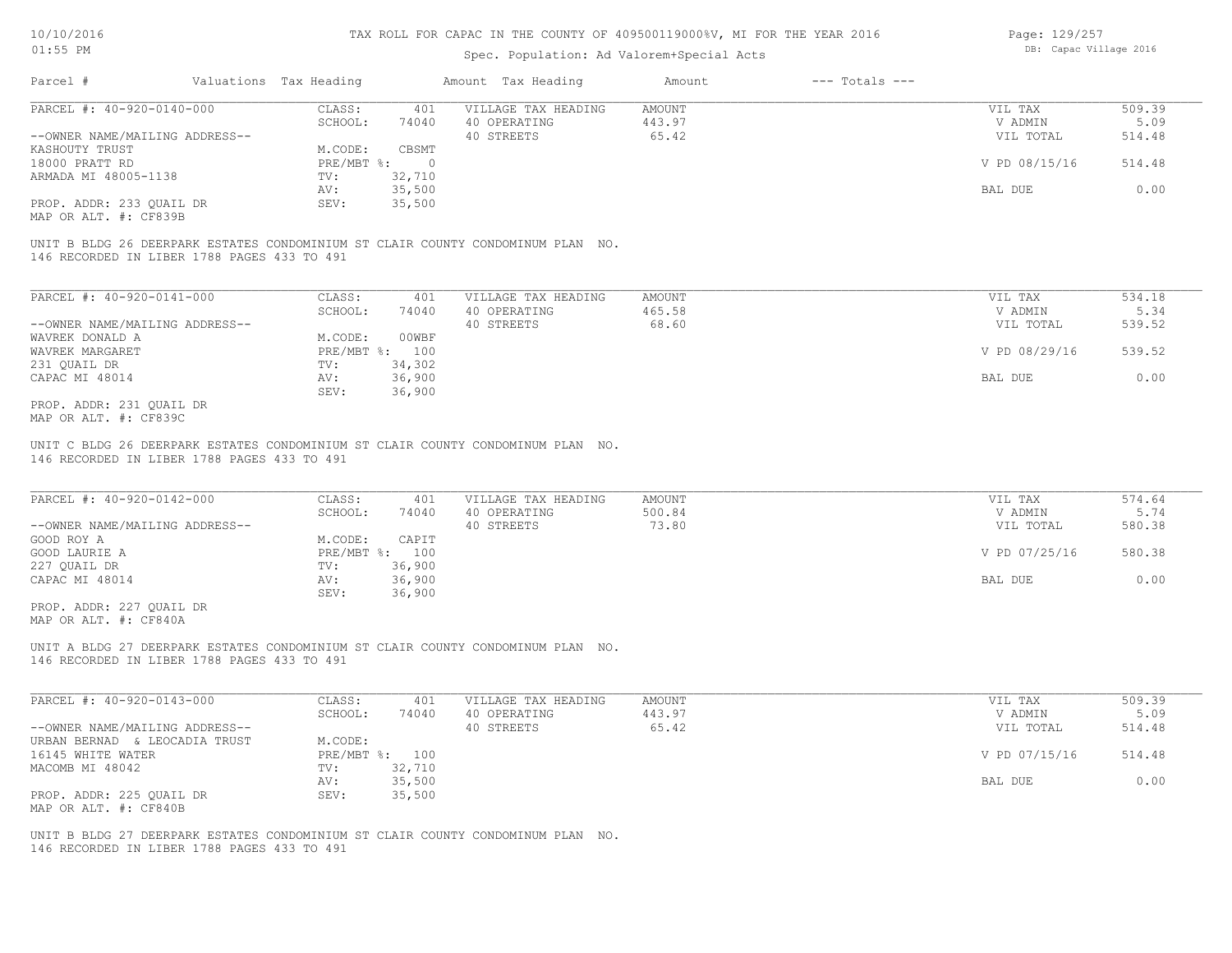## Spec. Population: Ad Valorem+Special Acts

| Page: 129/257 |                        |  |
|---------------|------------------------|--|
|               | DB: Capac Village 2016 |  |

| Parcel #                       | Valuations Tax Heading |        | Amount Tax Heading  | Amount | $---$ Totals $---$ |               |        |
|--------------------------------|------------------------|--------|---------------------|--------|--------------------|---------------|--------|
| PARCEL #: 40-920-0140-000      | CLASS:                 | 401    | VILLAGE TAX HEADING | AMOUNT |                    | VIL TAX       | 509.39 |
|                                | SCHOOL:                | 74040  | 40 OPERATING        | 443.97 |                    | V ADMIN       | 5.09   |
| --OWNER NAME/MAILING ADDRESS-- |                        |        | 40 STREETS          | 65.42  |                    | VIL TOTAL     | 514.48 |
| KASHOUTY TRUST                 | M.CODE:                | CBSMT  |                     |        |                    |               |        |
| 18000 PRATT RD                 | $PRE/MBT$ %:           |        |                     |        |                    | V PD 08/15/16 | 514.48 |
| ARMADA MI 48005-1138           | TV:                    | 32,710 |                     |        |                    |               |        |
|                                | AV:                    | 35,500 |                     |        |                    | BAL DUE       | 0.00   |
| PROP. ADDR: 233 OUAIL DR       | SEV:                   | 35,500 |                     |        |                    |               |        |
|                                |                        |        |                     |        |                    |               |        |

MAP OR ALT. #: CF839B

146 RECORDED IN LIBER 1788 PAGES 433 TO 491 UNIT B BLDG 26 DEERPARK ESTATES CONDOMINIUM ST CLAIR COUNTY CONDOMINUM PLAN NO.

| PARCEL #: 40-920-0141-000      | CLASS:       | 401    | VILLAGE TAX HEADING | AMOUNT | VIL TAX       | 534.18 |
|--------------------------------|--------------|--------|---------------------|--------|---------------|--------|
|                                | SCHOOL:      | 74040  | 40 OPERATING        | 465.58 | V ADMIN       | 5.34   |
| --OWNER NAME/MAILING ADDRESS-- |              |        | 40 STREETS          | 68.60  | VIL TOTAL     | 539.52 |
| WAVREK DONALD A                | M.CODE:      | 00WBF  |                     |        |               |        |
| WAVREK MARGARET                | $PRE/MBT$ %: | 100    |                     |        | V PD 08/29/16 | 539.52 |
| 231 QUAIL DR                   | TV:          | 34,302 |                     |        |               |        |
| CAPAC MI 48014                 | AV:          | 36,900 |                     |        | BAL DUE       | 0.00   |
|                                | SEV:         | 36,900 |                     |        |               |        |
| PROP. ADDR: 231 OUAIL DR       |              |        |                     |        |               |        |

MAP OR ALT. #: CF839C

146 RECORDED IN LIBER 1788 PAGES 433 TO 491 UNIT C BLDG 26 DEERPARK ESTATES CONDOMINIUM ST CLAIR COUNTY CONDOMINUM PLAN NO.

| PARCEL #: 40-920-0142-000      | CLASS:  | 401            | VILLAGE TAX HEADING | AMOUNT | VIL TAX       | 574.64 |
|--------------------------------|---------|----------------|---------------------|--------|---------------|--------|
|                                | SCHOOL: | 74040          | 40 OPERATING        | 500.84 | V ADMIN       | 5.74   |
| --OWNER NAME/MAILING ADDRESS-- |         |                | 40 STREETS          | 73.80  | VIL TOTAL     | 580.38 |
| GOOD ROY A                     | M.CODE: | CAPIT          |                     |        |               |        |
| GOOD LAURIE A                  |         | PRE/MBT %: 100 |                     |        | V PD 07/25/16 | 580.38 |
| 227 QUAIL DR                   | TV:     | 36,900         |                     |        |               |        |
| CAPAC MI 48014                 | AV:     | 36,900         |                     |        | BAL DUE       | 0.00   |
|                                | SEV:    | 36,900         |                     |        |               |        |
| PROP. ADDR: 227 OUAIL DR       |         |                |                     |        |               |        |

MAP OR ALT. #: CF840A

146 RECORDED IN LIBER 1788 PAGES 433 TO 491 UNIT A BLDG 27 DEERPARK ESTATES CONDOMINIUM ST CLAIR COUNTY CONDOMINUM PLAN NO.

| PARCEL #: 40-920-0143-000      | CLASS:  | 401            | VILLAGE TAX HEADING | AMOUNT | VIL TAX       | 509.39 |
|--------------------------------|---------|----------------|---------------------|--------|---------------|--------|
|                                | SCHOOL: | 74040          | 40 OPERATING        | 443.97 | V ADMIN       | 5.09   |
| --OWNER NAME/MAILING ADDRESS-- |         |                | 40 STREETS          | 65.42  | VIL TOTAL     | 514.48 |
| URBAN BERNAD & LEOCADIA TRUST  | M.CODE: |                |                     |        |               |        |
| 16145 WHITE WATER              |         | PRE/MBT %: 100 |                     |        | V PD 07/15/16 | 514.48 |
| MACOMB MI 48042                | TV:     | 32,710         |                     |        |               |        |
|                                | AV:     | 35,500         |                     |        | BAL DUE       | 0.00   |
| PROP. ADDR: 225 QUAIL DR       | SEV:    | 35,500         |                     |        |               |        |
| MAP OR ALT. #: CF840B          |         |                |                     |        |               |        |

146 RECORDED IN LIBER 1788 PAGES 433 TO 491 UNIT B BLDG 27 DEERPARK ESTATES CONDOMINIUM ST CLAIR COUNTY CONDOMINUM PLAN NO.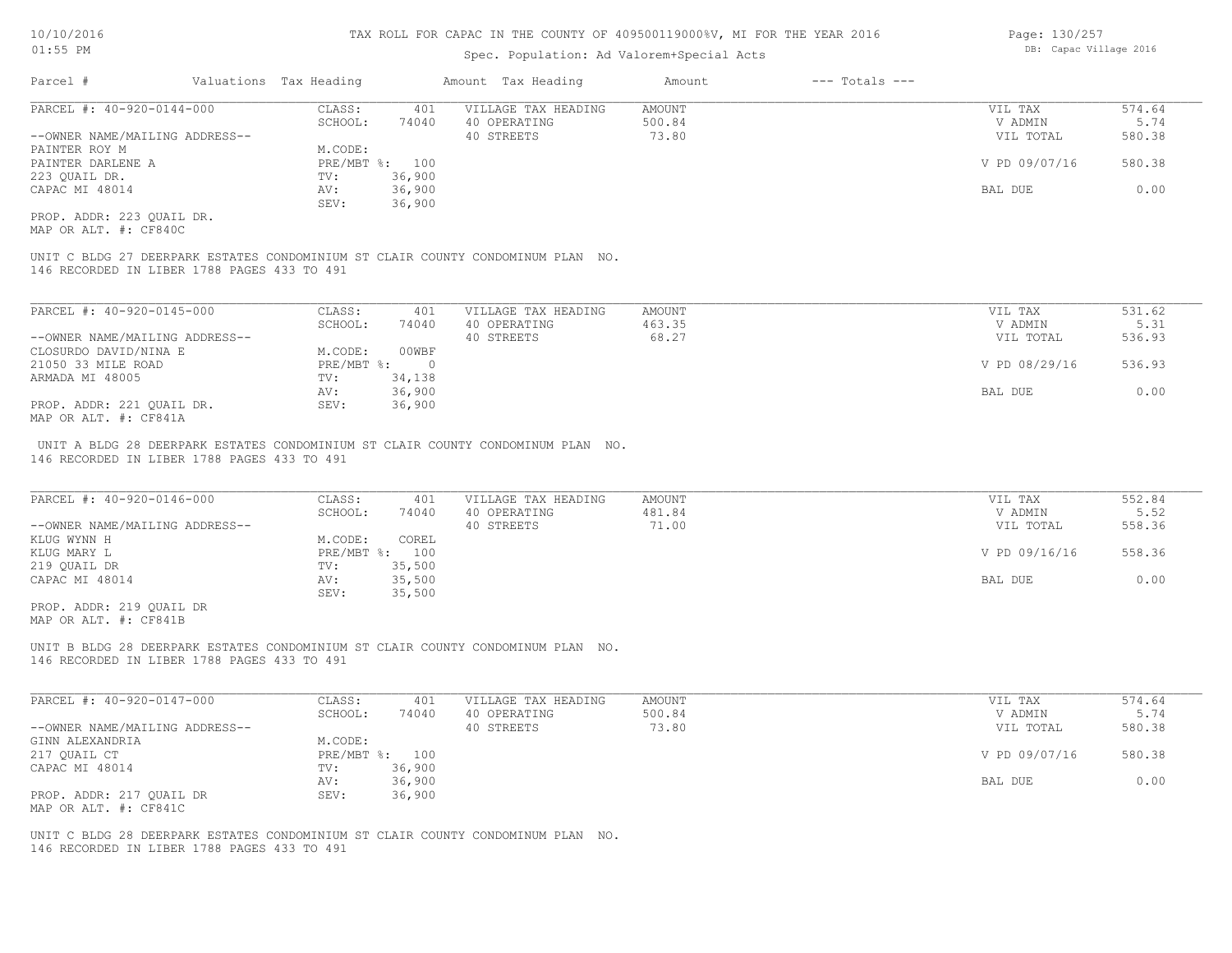## Spec. Population: Ad Valorem+Special Acts

| Parcel #                       |        | Valuations Tax Heading |                     | Amount Tax Heading | Amount | $---$ Totals $---$ |               |        |
|--------------------------------|--------|------------------------|---------------------|--------------------|--------|--------------------|---------------|--------|
| PARCEL #: 40-920-0144-000      | CLASS: | 401                    | VILLAGE TAX HEADING | AMOUNT             |        | VIL TAX            | 574.64        |        |
|                                |        | SCHOOL:                | 74040               | 40 OPERATING       | 500.84 |                    | V ADMIN       | 5.74   |
| --OWNER NAME/MAILING ADDRESS-- |        |                        |                     | 40 STREETS         | 73.80  |                    | VIL TOTAL     | 580.38 |
| PAINTER ROY M                  |        | M.CODE:                |                     |                    |        |                    |               |        |
| PAINTER DARLENE A              |        |                        | PRE/MBT %: 100      |                    |        |                    | V PD 09/07/16 | 580.38 |
| 223 QUAIL DR.                  |        | TV:                    | 36,900              |                    |        |                    |               |        |
| CAPAC MI 48014                 |        | AV:                    | 36,900              |                    |        |                    | BAL DUE       | 0.00   |
|                                |        | SEV:                   | 36,900              |                    |        |                    |               |        |
|                                |        |                        |                     |                    |        |                    |               |        |

MAP OR ALT. #: CF840C PROP. ADDR: 223 QUAIL DR.

146 RECORDED IN LIBER 1788 PAGES 433 TO 491 UNIT C BLDG 27 DEERPARK ESTATES CONDOMINIUM ST CLAIR COUNTY CONDOMINUM PLAN NO.

| PARCEL #: 40-920-0145-000      | CLASS:     | 401    | VILLAGE TAX HEADING | AMOUNT | VIL TAX       | 531.62 |
|--------------------------------|------------|--------|---------------------|--------|---------------|--------|
|                                | SCHOOL:    | 74040  | 40 OPERATING        | 463.35 | V ADMIN       | 5.31   |
| --OWNER NAME/MAILING ADDRESS-- |            |        | 40 STREETS          | 68.27  | VIL TOTAL     | 536.93 |
| CLOSURDO DAVID/NINA E          | M.CODE:    | 00WBF  |                     |        |               |        |
| 21050 33 MILE ROAD             | PRE/MBT %: |        |                     |        | V PD 08/29/16 | 536.93 |
| ARMADA MI 48005                | TV:        | 34,138 |                     |        |               |        |
|                                | AV:        | 36,900 |                     |        | BAL DUE       | 0.00   |
| PROP. ADDR: 221 OUAIL DR.      | SEV:       | 36,900 |                     |        |               |        |
| MAP OR ALT. #: CF841A          |            |        |                     |        |               |        |

146 RECORDED IN LIBER 1788 PAGES 433 TO 491 UNIT A BLDG 28 DEERPARK ESTATES CONDOMINIUM ST CLAIR COUNTY CONDOMINUM PLAN NO.

| PARCEL #: 40-920-0146-000      | CLASS:  | 401            | VILLAGE TAX HEADING | AMOUNT | VIL TAX       | 552.84 |
|--------------------------------|---------|----------------|---------------------|--------|---------------|--------|
|                                | SCHOOL: | 74040          | 40 OPERATING        | 481.84 | V ADMIN       | 5.52   |
| --OWNER NAME/MAILING ADDRESS-- |         |                | 40 STREETS          | 71.00  | VIL TOTAL     | 558.36 |
| KLUG WYNN H                    | M.CODE: | COREL          |                     |        |               |        |
| KLUG MARY L                    |         | PRE/MBT %: 100 |                     |        | V PD 09/16/16 | 558.36 |
| 219 QUAIL DR                   | TV:     | 35,500         |                     |        |               |        |
| CAPAC MI 48014                 | AV:     | 35,500         |                     |        | BAL DUE       | 0.00   |
|                                | SEV:    | 35,500         |                     |        |               |        |
| PROP. ADDR: 219 OUAIL DR       |         |                |                     |        |               |        |

MAP OR ALT. #: CF841B

146 RECORDED IN LIBER 1788 PAGES 433 TO 491 UNIT B BLDG 28 DEERPARK ESTATES CONDOMINIUM ST CLAIR COUNTY CONDOMINUM PLAN NO.

| PARCEL #: 40-920-0147-000      | CLASS:         | 401    | VILLAGE TAX HEADING | AMOUNT | VIL TAX       | 574.64 |
|--------------------------------|----------------|--------|---------------------|--------|---------------|--------|
|                                | SCHOOL:        | 74040  | 40 OPERATING        | 500.84 | V ADMIN       | 5.74   |
| --OWNER NAME/MAILING ADDRESS-- |                |        | 40 STREETS          | 73.80  | VIL TOTAL     | 580.38 |
| GINN ALEXANDRIA                | M.CODE:        |        |                     |        |               |        |
| 217 QUAIL CT                   | PRE/MBT %: 100 |        |                     |        | V PD 09/07/16 | 580.38 |
| CAPAC MI 48014                 | TV:            | 36,900 |                     |        |               |        |
|                                | AV:            | 36,900 |                     |        | BAL DUE       | 0.00   |
| PROP. ADDR: 217 QUAIL DR       | SEV:           | 36,900 |                     |        |               |        |
| MAP OR ALT. #: CF841C          |                |        |                     |        |               |        |

146 RECORDED IN LIBER 1788 PAGES 433 TO 491 UNIT C BLDG 28 DEERPARK ESTATES CONDOMINIUM ST CLAIR COUNTY CONDOMINUM PLAN NO. Page: 130/257 DB: Capac Village 2016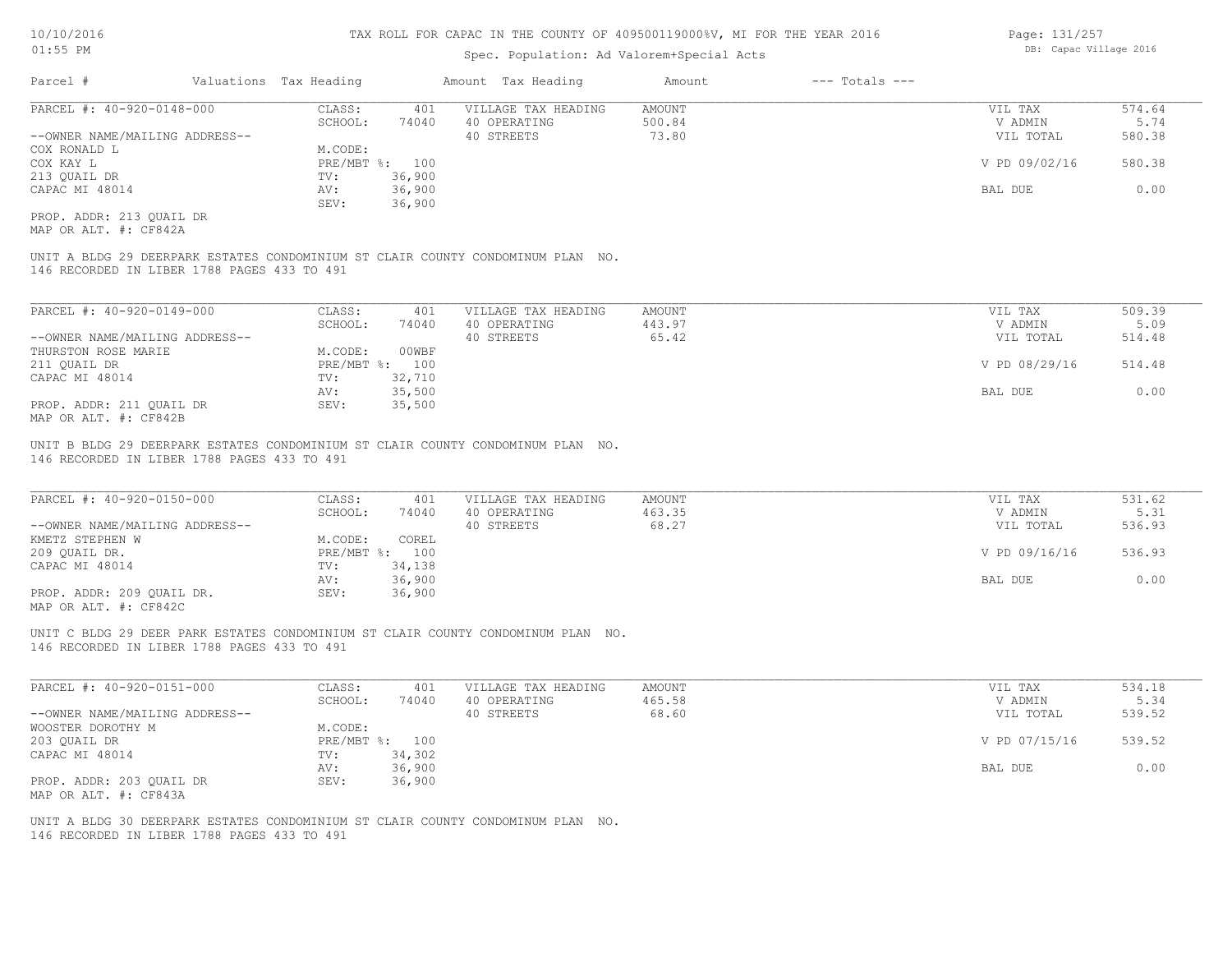## Spec. Population: Ad Valorem+Special Acts

| Parcel #                       | Valuations Tax Heading |                | Amount Tax Heading  | Amount | --- Totals --- |               |        |
|--------------------------------|------------------------|----------------|---------------------|--------|----------------|---------------|--------|
| PARCEL #: 40-920-0148-000      | CLASS:                 | 401            | VILLAGE TAX HEADING | AMOUNT |                | VIL TAX       | 574.64 |
|                                | SCHOOL:                | 74040          | 40 OPERATING        | 500.84 |                | V ADMIN       | 5.74   |
| --OWNER NAME/MAILING ADDRESS-- |                        |                | 40 STREETS          | 73.80  |                | VIL TOTAL     | 580.38 |
| COX RONALD L                   | M.CODE:                |                |                     |        |                |               |        |
| COX KAY L                      |                        | PRE/MBT %: 100 |                     |        |                | V PD 09/02/16 | 580.38 |
| 213 QUAIL DR                   | TV:                    | 36,900         |                     |        |                |               |        |
| CAPAC MI 48014                 | AV:                    | 36,900         |                     |        |                | BAL DUE       | 0.00   |
|                                | SEV:                   | 36,900         |                     |        |                |               |        |
|                                |                        |                |                     |        |                |               |        |

MAP OR ALT. #: CF842A PROP. ADDR: 213 QUAIL DR

146 RECORDED IN LIBER 1788 PAGES 433 TO 491 UNIT A BLDG 29 DEERPARK ESTATES CONDOMINIUM ST CLAIR COUNTY CONDOMINUM PLAN NO.

| PARCEL #: 40-920-0149-000      | CLASS:  | 401            | VILLAGE TAX HEADING | AMOUNT | VIL TAX       | 509.39 |
|--------------------------------|---------|----------------|---------------------|--------|---------------|--------|
|                                | SCHOOL: | 74040          | 40 OPERATING        | 443.97 | V ADMIN       | 5.09   |
| --OWNER NAME/MAILING ADDRESS-- |         |                | 40 STREETS          | 65.42  | VIL TOTAL     | 514.48 |
| THURSTON ROSE MARIE            | M.CODE: | 00WBF          |                     |        |               |        |
| 211 OUAIL DR                   |         | PRE/MBT %: 100 |                     |        | V PD 08/29/16 | 514.48 |
| CAPAC MI 48014                 | TV:     | 32,710         |                     |        |               |        |
|                                | AV:     | 35,500         |                     |        | BAL DUE       | 0.00   |
| PROP. ADDR: 211 QUAIL DR       | SEV:    | 35,500         |                     |        |               |        |
| MAP OR ALT. #: CF842B          |         |                |                     |        |               |        |

UNIT B BLDG 29 DEERPARK ESTATES CONDOMINIUM ST CLAIR COUNTY CONDOMINUM PLAN NO.

146 RECORDED IN LIBER 1788 PAGES 433 TO 491

| PARCEL #: 40-920-0150-000      | CLASS:  | 401            | VILLAGE TAX HEADING | AMOUNT | VIL TAX       | 531.62 |
|--------------------------------|---------|----------------|---------------------|--------|---------------|--------|
|                                | SCHOOL: | 74040          | 40 OPERATING        | 463.35 | V ADMIN       | 5.31   |
| --OWNER NAME/MAILING ADDRESS-- |         |                | 40 STREETS          | 68.27  | VIL TOTAL     | 536.93 |
| KMETZ STEPHEN W                | M.CODE: | COREL          |                     |        |               |        |
| 209 QUAIL DR.                  |         | PRE/MBT %: 100 |                     |        | V PD 09/16/16 | 536.93 |
| CAPAC MI 48014                 | TV:     | 34,138         |                     |        |               |        |
|                                | AV:     | 36,900         |                     |        | BAL DUE       | 0.00   |
| PROP. ADDR: 209 QUAIL DR.      | SEV:    | 36,900         |                     |        |               |        |
|                                |         |                |                     |        |               |        |

MAP OR ALT. #: CF842C

146 RECORDED IN LIBER 1788 PAGES 433 TO 491 UNIT C BLDG 29 DEER PARK ESTATES CONDOMINIUM ST CLAIR COUNTY CONDOMINUM PLAN NO.

| PARCEL #: 40-920-0151-000      | CLASS:  | 401            | VILLAGE TAX HEADING | AMOUNT | VIL TAX       | 534.18 |
|--------------------------------|---------|----------------|---------------------|--------|---------------|--------|
|                                | SCHOOL: | 74040          | 40 OPERATING        | 465.58 | V ADMIN       | 5.34   |
| --OWNER NAME/MAILING ADDRESS-- |         |                | 40 STREETS          | 68.60  | VIL TOTAL     | 539.52 |
| WOOSTER DOROTHY M              | M.CODE: |                |                     |        |               |        |
| 203 QUAIL DR                   |         | PRE/MBT %: 100 |                     |        | V PD 07/15/16 | 539.52 |
| CAPAC MI 48014                 | TV:     | 34,302         |                     |        |               |        |
|                                | AV:     | 36,900         |                     |        | BAL DUE       | 0.00   |
| PROP. ADDR: 203 QUAIL DR       | SEV:    | 36,900         |                     |        |               |        |
| MAP OR ALT. #: CF843A          |         |                |                     |        |               |        |

146 RECORDED IN LIBER 1788 PAGES 433 TO 491 UNIT A BLDG 30 DEERPARK ESTATES CONDOMINIUM ST CLAIR COUNTY CONDOMINUM PLAN NO. Page: 131/257 DB: Capac Village 2016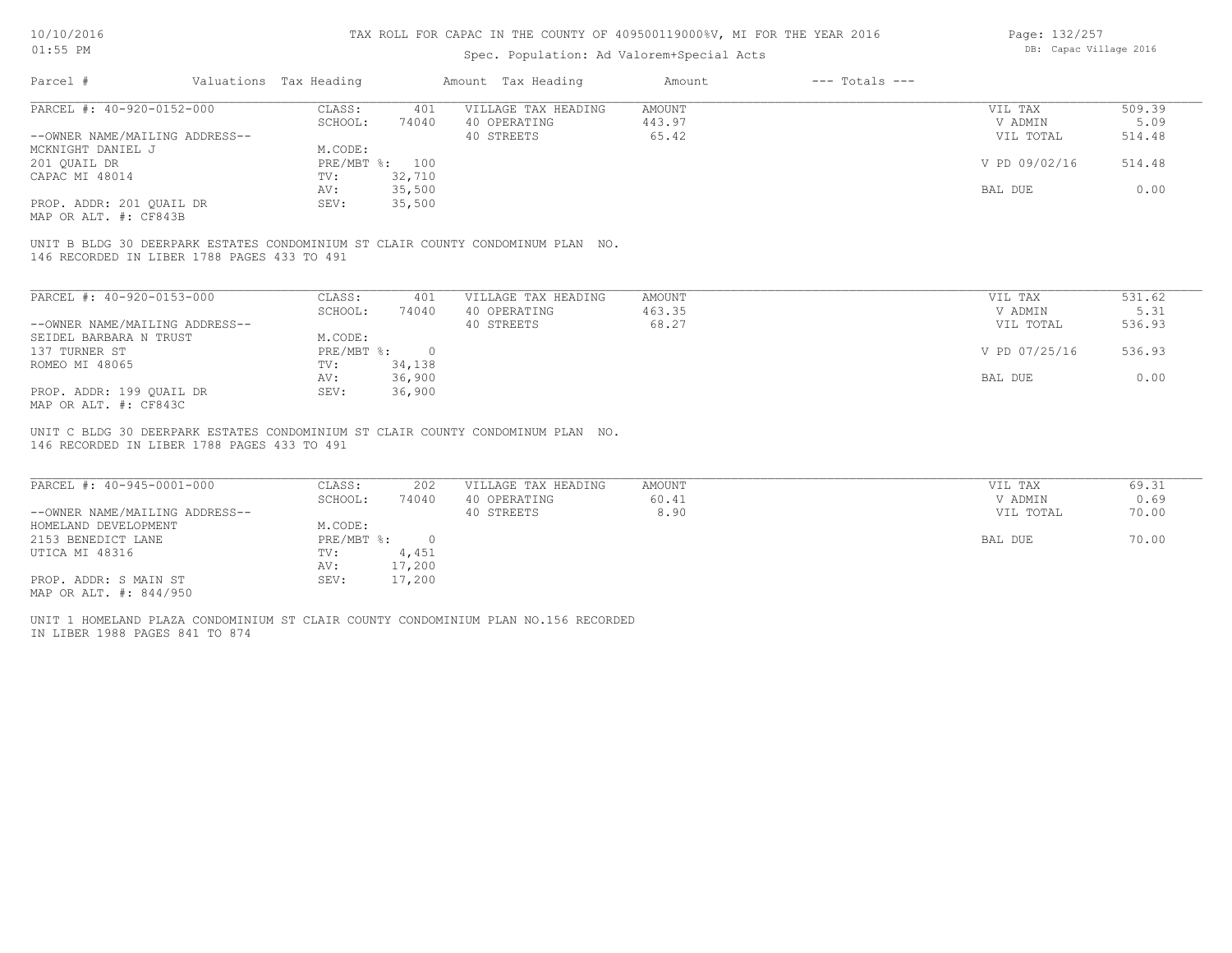# Spec. Population: Ad Valorem+Special Acts

Page: 132/257 DB: Capac Village 2016

| Parcel #                       |         | Valuations Tax Heading |              | Amount Tax Heading  | Amount | $---$ Totals $---$ |               |        |
|--------------------------------|---------|------------------------|--------------|---------------------|--------|--------------------|---------------|--------|
| PARCEL #: 40-920-0152-000      |         | CLASS:                 | 401          | VILLAGE TAX HEADING | AMOUNT |                    | VIL TAX       | 509.39 |
|                                | SCHOOL: | 74040                  | 40 OPERATING | 443.97              |        | V ADMIN            | 5.09          |        |
| --OWNER NAME/MAILING ADDRESS-- |         |                        |              | 40 STREETS          | 65.42  |                    | VIL TOTAL     | 514.48 |
| MCKNIGHT DANIEL J              |         | M.CODE:                |              |                     |        |                    |               |        |
| 201 OUAIL DR                   |         | PRE/MBT %: 100         |              |                     |        |                    | V PD 09/02/16 | 514.48 |
| CAPAC MI 48014                 |         | TV:                    | 32,710       |                     |        |                    |               |        |
|                                |         | AV:                    | 35,500       |                     |        |                    | BAL DUE       | 0.00   |
| PROP. ADDR: 201 OUAIL DR       |         | SEV:                   | 35,500       |                     |        |                    |               |        |
|                                |         |                        |              |                     |        |                    |               |        |

MAP OR ALT. #: CF843B

146 RECORDED IN LIBER 1788 PAGES 433 TO 491 UNIT B BLDG 30 DEERPARK ESTATES CONDOMINIUM ST CLAIR COUNTY CONDOMINUM PLAN NO.

| PARCEL #: 40-920-0153-000      | CLASS:     | 401    | VILLAGE TAX HEADING | AMOUNT | VIL TAX       | 531.62 |
|--------------------------------|------------|--------|---------------------|--------|---------------|--------|
|                                | SCHOOL:    | 74040  | 40 OPERATING        | 463.35 | V ADMIN       | 5.31   |
| --OWNER NAME/MAILING ADDRESS-- |            |        | 40 STREETS          | 68.27  | VIL TOTAL     | 536.93 |
| SEIDEL BARBARA N TRUST         | M.CODE:    |        |                     |        |               |        |
| 137 TURNER ST                  | PRE/MBT %: |        |                     |        | V PD 07/25/16 | 536.93 |
| ROMEO MI 48065                 | TV:        | 34,138 |                     |        |               |        |
|                                | AV:        | 36,900 |                     |        | BAL DUE       | 0.00   |
| PROP. ADDR: 199 OUAIL DR       | SEV:       | 36,900 |                     |        |               |        |
| MAP OR ALT. #: CF843C          |            |        |                     |        |               |        |

146 RECORDED IN LIBER 1788 PAGES 433 TO 491 UNIT C BLDG 30 DEERPARK ESTATES CONDOMINIUM ST CLAIR COUNTY CONDOMINUM PLAN NO.

| PARCEL #: 40-945-0001-000      | CLASS:     | 202    | VILLAGE TAX HEADING | AMOUNT | VIL TAX   | 69.31 |
|--------------------------------|------------|--------|---------------------|--------|-----------|-------|
|                                | SCHOOL:    | 74040  | 40 OPERATING        | 60.41  | V ADMIN   | 0.69  |
| --OWNER NAME/MAILING ADDRESS-- |            |        | 40 STREETS          | 8.90   | VIL TOTAL | 70.00 |
| HOMELAND DEVELOPMENT           | M.CODE:    |        |                     |        |           |       |
| 2153 BENEDICT LANE             | PRE/MBT %: |        |                     |        | BAL DUE   | 70.00 |
| UTICA MI 48316                 | TV:        | 4,451  |                     |        |           |       |
|                                | AV:        | 17,200 |                     |        |           |       |
| PROP. ADDR: S MAIN ST          | SEV:       | 17,200 |                     |        |           |       |
| MAP OR ALT. #: 844/950         |            |        |                     |        |           |       |

IN LIBER 1988 PAGES 841 TO 874 UNIT 1 HOMELAND PLAZA CONDOMINIUM ST CLAIR COUNTY CONDOMINIUM PLAN NO.156 RECORDED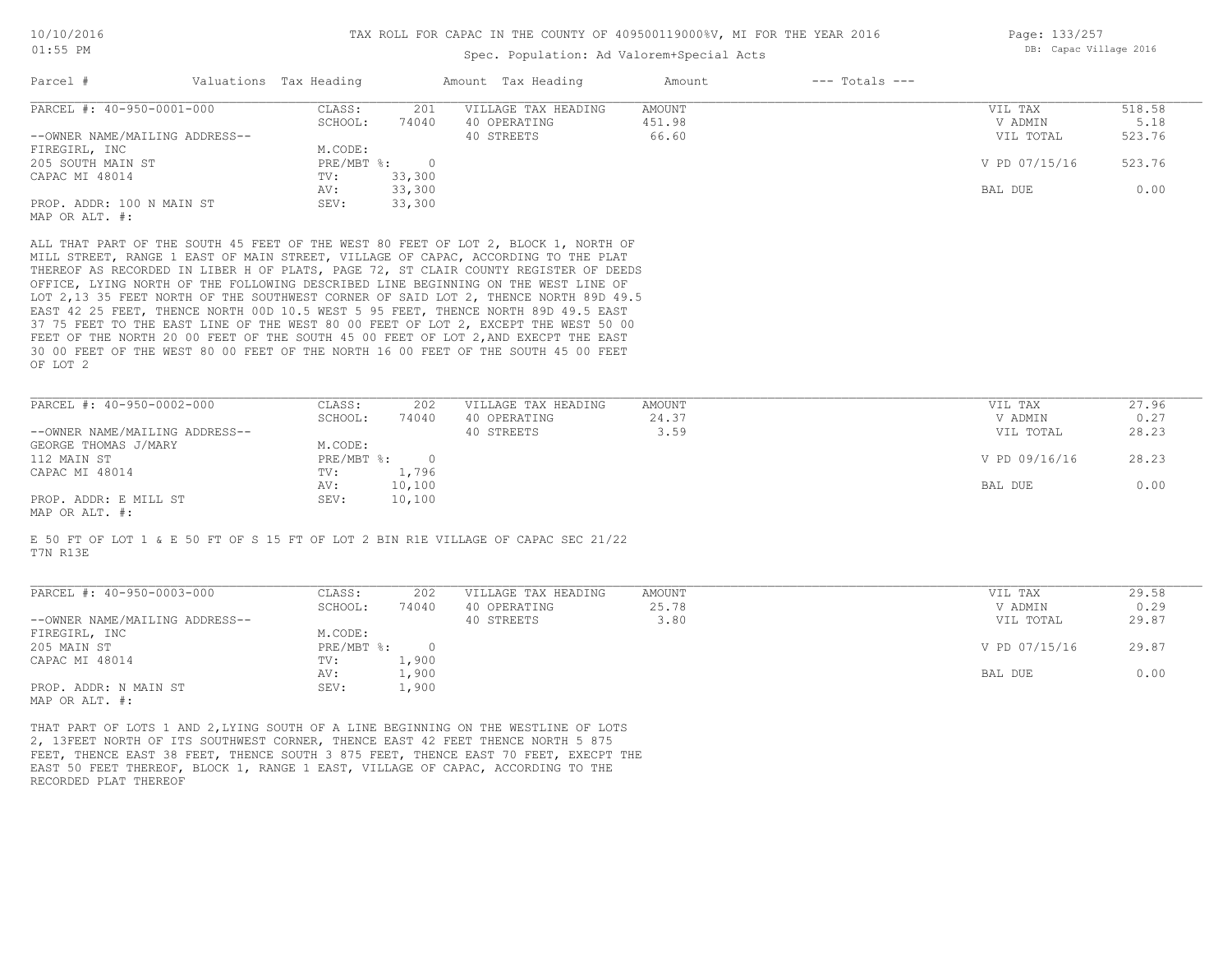## Spec. Population: Ad Valorem+Special Acts

Page: 133/257 DB: Capac Village 2016

| Parcel #                       | Valuations Tax Heading |            | Amount Tax Heading                                                                  | Amount | $---$ Totals $---$ |               |        |
|--------------------------------|------------------------|------------|-------------------------------------------------------------------------------------|--------|--------------------|---------------|--------|
| PARCEL #: 40-950-0001-000      | CLASS:                 | 201        | VILLAGE TAX HEADING                                                                 | AMOUNT |                    | VIL TAX       | 518.58 |
|                                | SCHOOL:                | 74040      | 40 OPERATING                                                                        | 451.98 |                    | V ADMIN       | 5.18   |
| --OWNER NAME/MAILING ADDRESS-- |                        |            | 40 STREETS                                                                          | 66.60  |                    | VIL TOTAL     | 523.76 |
| FIREGIRL, INC                  | M.CODE:                |            |                                                                                     |        |                    |               |        |
| 205 SOUTH MAIN ST              | PRE/MBT %:             | $\bigcirc$ |                                                                                     |        |                    | V PD 07/15/16 | 523.76 |
| CAPAC MI 48014                 | TV:                    | 33,300     |                                                                                     |        |                    |               |        |
|                                | AV:                    | 33,300     |                                                                                     |        |                    | BAL DUE       | 0.00   |
| PROP. ADDR: 100 N MAIN ST      | SEV:                   | 33,300     |                                                                                     |        |                    |               |        |
| MAP OR ALT. #:                 |                        |            |                                                                                     |        |                    |               |        |
|                                |                        |            | ALL THAT PART OF THE SOUTH 45 FEET OF THE WEST 80 FEET OF LOT 2, BLOCK 1, NORTH OF  |        |                    |               |        |
|                                |                        |            | MILL STREET, RANGE 1 EAST OF MAIN STREET, VILLAGE OF CAPAC, ACCORDING TO THE PLAT   |        |                    |               |        |
|                                |                        |            | THEREOF AS RECORDED IN LIBER H OF PLATS, PAGE 72, ST CLAIR COUNTY REGISTER OF DEEDS |        |                    |               |        |
|                                |                        |            | OFFICE, LYING NORTH OF THE FOLLOWING DESCRIBED LINE BEGINNING ON THE WEST LINE OF   |        |                    |               |        |
|                                |                        |            | LOT 2,13 35 FEET NORTH OF THE SOUTHWEST CORNER OF SAID LOT 2, THENCE NORTH 89D 49.5 |        |                    |               |        |
|                                |                        |            | EAST 42 25 FEET, THENCE NORTH 00D 10.5 WEST 5 95 FEET, THENCE NORTH 89D 49.5 EAST   |        |                    |               |        |
|                                |                        |            |                                                                                     |        |                    |               |        |

OF LOT 2 30 00 FEET OF THE WEST 80 00 FEET OF THE NORTH 16 00 FEET OF THE SOUTH 45 00 FEET FEET OF THE NORTH 20 00 FEET OF THE SOUTH 45 00 FEET OF LOT 2, AND EXECPT THE EAST 37 75 FEET TO THE EAST LINE OF THE WEST 80 00 FEET OF LOT 2, EXCEPT THE WEST 50 00

| PARCEL #: 40-950-0002-000      | CLASS:       | 202    | VILLAGE TAX HEADING | AMOUNT | VIL TAX       | 27.96 |
|--------------------------------|--------------|--------|---------------------|--------|---------------|-------|
|                                | SCHOOL:      | 74040  | 40 OPERATING        | 24.37  | V ADMIN       | 0.27  |
| --OWNER NAME/MAILING ADDRESS-- |              |        | 40 STREETS          | 3.59   | VIL TOTAL     | 28.23 |
| GEORGE THOMAS J/MARY           | M.CODE:      |        |                     |        |               |       |
| 112 MAIN ST                    | $PRE/MBT$ %: |        |                     |        | V PD 09/16/16 | 28.23 |
| CAPAC MI 48014                 | TV:          | 1,796  |                     |        |               |       |
|                                | AV:          | 10,100 |                     |        | BAL DUE       | 0.00  |
| PROP. ADDR: E MILL ST          | SEV:         | 10,100 |                     |        |               |       |
| MAP OR ALT. #:                 |              |        |                     |        |               |       |

E 50 FT OF LOT 1 & E 50 FT OF S 15 FT OF LOT 2 BIN R1E VILLAGE OF CAPAC SEC 21/22

T7N R13E

| PARCEL #: 40-950-0003-000      | CLASS:     | 202   | VILLAGE TAX HEADING | AMOUNT | VIL TAX       | 29.58 |
|--------------------------------|------------|-------|---------------------|--------|---------------|-------|
|                                | SCHOOL:    | 74040 | 40 OPERATING        | 25.78  | V ADMIN       | 0.29  |
| --OWNER NAME/MAILING ADDRESS-- |            |       | 40 STREETS          | 3.80   | VIL TOTAL     | 29.87 |
| FIREGIRL, INC                  | M.CODE:    |       |                     |        |               |       |
| 205 MAIN ST                    | PRE/MBT %: |       |                     |        | V PD 07/15/16 | 29.87 |
| CAPAC MI 48014                 | TV:        | 1,900 |                     |        |               |       |
|                                | AV:        | 1,900 |                     |        | BAL DUE       | 0.00  |
| PROP. ADDR: N MAIN ST          | SEV:       | 1,900 |                     |        |               |       |
| MAP OR ALT. #:                 |            |       |                     |        |               |       |

 $\mathcal{L}_\mathcal{L} = \mathcal{L}_\mathcal{L} = \mathcal{L}_\mathcal{L} = \mathcal{L}_\mathcal{L} = \mathcal{L}_\mathcal{L} = \mathcal{L}_\mathcal{L} = \mathcal{L}_\mathcal{L} = \mathcal{L}_\mathcal{L} = \mathcal{L}_\mathcal{L} = \mathcal{L}_\mathcal{L} = \mathcal{L}_\mathcal{L} = \mathcal{L}_\mathcal{L} = \mathcal{L}_\mathcal{L} = \mathcal{L}_\mathcal{L} = \mathcal{L}_\mathcal{L} = \mathcal{L}_\mathcal{L} = \mathcal{L}_\mathcal{L}$ 

RECORDED PLAT THEREOF EAST 50 FEET THEREOF, BLOCK 1, RANGE 1 EAST, VILLAGE OF CAPAC, ACCORDING TO THE FEET, THENCE EAST 38 FEET, THENCE SOUTH 3 875 FEET, THENCE EAST 70 FEET, EXECPT THE 2, 13FEET NORTH OF ITS SOUTHWEST CORNER, THENCE EAST 42 FEET THENCE NORTH 5 875 THAT PART OF LOTS 1 AND 2,LYING SOUTH OF A LINE BEGINNING ON THE WESTLINE OF LOTS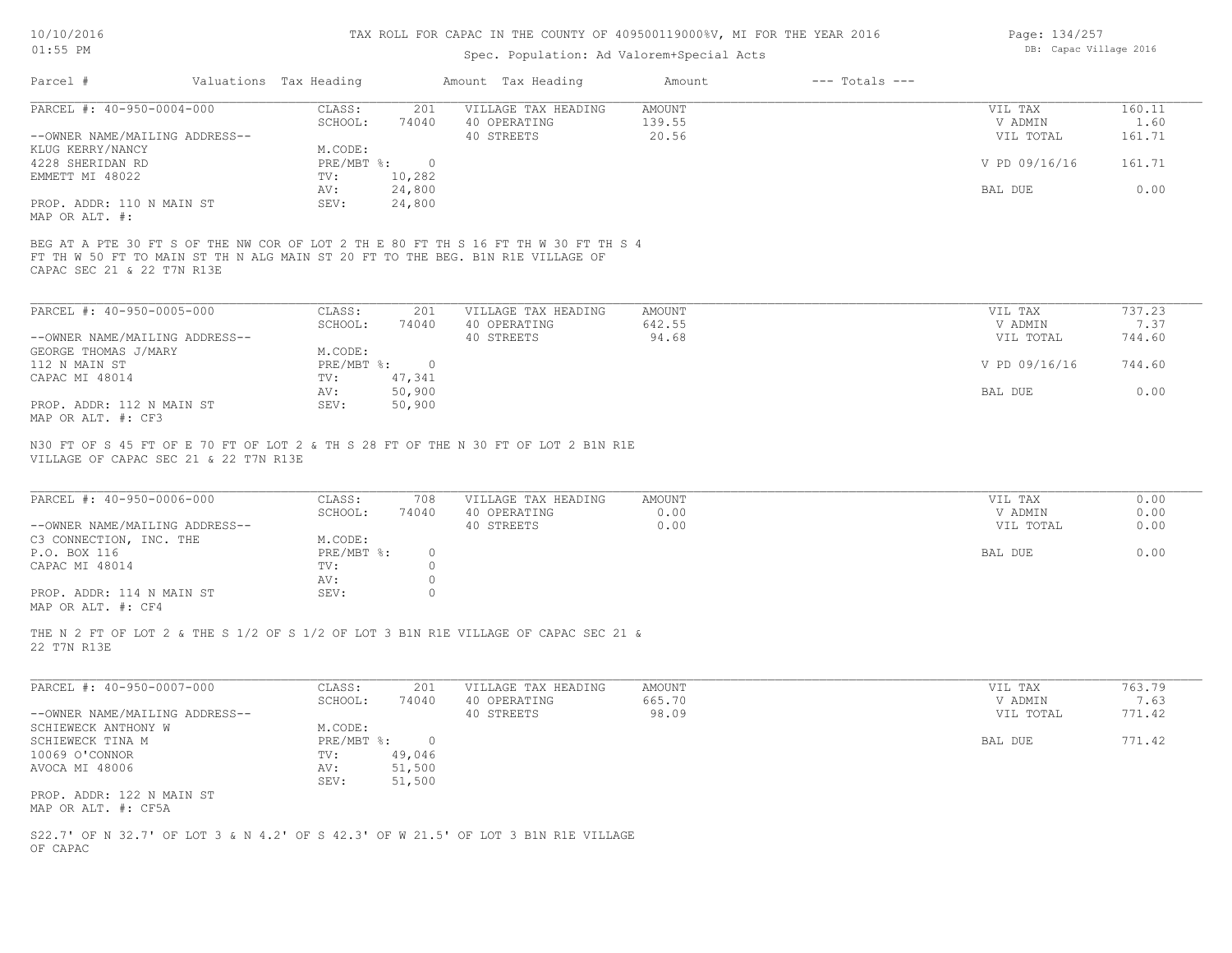## Spec. Population: Ad Valorem+Special Acts

| Page: 134/257 |                        |  |
|---------------|------------------------|--|
|               | DB: Capac Village 2016 |  |

| Parcel #                       | Valuations Tax Heading |        | Amount Tax Heading  | Amount | $---$ Totals $---$ |               |        |
|--------------------------------|------------------------|--------|---------------------|--------|--------------------|---------------|--------|
| PARCEL #: 40-950-0004-000      | CLASS:                 | 201    | VILLAGE TAX HEADING | AMOUNT |                    | VIL TAX       | 160.11 |
|                                | SCHOOL:                | 74040  | 40 OPERATING        | 139.55 |                    | V ADMIN       | 1.60   |
| --OWNER NAME/MAILING ADDRESS-- |                        |        | 40 STREETS          | 20.56  |                    | VIL TOTAL     | 161.71 |
| KLUG KERRY/NANCY               | M.CODE:                |        |                     |        |                    |               |        |
| 4228 SHERIDAN RD               | $PRE/MBT$ %:           | $\Box$ |                     |        |                    | V PD 09/16/16 | 161.71 |
| EMMETT MI 48022                | TV:                    | 10,282 |                     |        |                    |               |        |
|                                | AV:                    | 24,800 |                     |        |                    | BAL DUE       | 0.00   |
| PROP. ADDR: 110 N MAIN ST      | SEV:                   | 24,800 |                     |        |                    |               |        |
| MAP OR ALT. #:                 |                        |        |                     |        |                    |               |        |
|                                |                        |        |                     |        |                    |               |        |

CAPAC SEC 21 & 22 T7N R13E FT TH W 50 FT TO MAIN ST TH N ALG MAIN ST 20 FT TO THE BEG. B1N R1E VILLAGE OF BEG AT A PTE 30 FT S OF THE NW COR OF LOT 2 TH E 80 FT TH S 16 FT TH W 30 FT TH S 4

| PARCEL #: 40-950-0005-000      | CLASS:       | 201    | VILLAGE TAX HEADING | AMOUNT | VIL TAX       | 737.23 |
|--------------------------------|--------------|--------|---------------------|--------|---------------|--------|
|                                | SCHOOL:      | 74040  | 40 OPERATING        | 642.55 | V ADMIN       | 7.37   |
| --OWNER NAME/MAILING ADDRESS-- |              |        | 40 STREETS          | 94.68  | VIL TOTAL     | 744.60 |
| GEORGE THOMAS J/MARY           | M.CODE:      |        |                     |        |               |        |
| 112 N MAIN ST                  | $PRE/MBT$ %: |        |                     |        | V PD 09/16/16 | 744.60 |
| CAPAC MI 48014                 | TV:          | 47,341 |                     |        |               |        |
|                                | AV:          | 50,900 |                     |        | BAL DUE       | 0.00   |
| PROP. ADDR: 112 N MAIN ST      | SEV:         | 50,900 |                     |        |               |        |
| MAP OR ALT. #: CF3             |              |        |                     |        |               |        |

VILLAGE OF CAPAC SEC 21 & 22 T7N R13E N30 FT OF S 45 FT OF E 70 FT OF LOT 2 & TH S 28 FT OF THE N 30 FT OF LOT 2 B1N R1E

| PARCEL #: 40-950-0006-000                                                                                       | CLASS:     | 708   | VILLAGE TAX HEADING | AMOUNT | VIL TAX   | 0.00 |
|-----------------------------------------------------------------------------------------------------------------|------------|-------|---------------------|--------|-----------|------|
|                                                                                                                 | SCHOOL:    | 74040 | 40 OPERATING        | 0.00   | V ADMIN   | 0.00 |
| --OWNER NAME/MAILING ADDRESS--                                                                                  |            |       | 40 STREETS          | 0.00   | VIL TOTAL | 0.00 |
| C3 CONNECTION, INC. THE                                                                                         | M.CODE:    |       |                     |        |           |      |
| P.O. BOX 116                                                                                                    | PRE/MBT %: | (     |                     |        | BAL DUE   | 0.00 |
| CAPAC MI 48014                                                                                                  | TV:        |       |                     |        |           |      |
|                                                                                                                 | AV:        |       |                     |        |           |      |
| PROP. ADDR: 114 N MAIN ST                                                                                       | SEV:       |       |                     |        |           |      |
| the contract of the contract of the contract of the contract of the contract of the contract of the contract of |            |       |                     |        |           |      |

 $\mathcal{L}_\mathcal{L} = \mathcal{L}_\mathcal{L} = \mathcal{L}_\mathcal{L} = \mathcal{L}_\mathcal{L} = \mathcal{L}_\mathcal{L} = \mathcal{L}_\mathcal{L} = \mathcal{L}_\mathcal{L} = \mathcal{L}_\mathcal{L} = \mathcal{L}_\mathcal{L} = \mathcal{L}_\mathcal{L} = \mathcal{L}_\mathcal{L} = \mathcal{L}_\mathcal{L} = \mathcal{L}_\mathcal{L} = \mathcal{L}_\mathcal{L} = \mathcal{L}_\mathcal{L} = \mathcal{L}_\mathcal{L} = \mathcal{L}_\mathcal{L}$ 

MAP OR ALT. #: CF4

22 T7N R13E THE N 2 FT OF LOT 2 & THE S 1/2 OF S 1/2 OF LOT 3 B1N R1E VILLAGE OF CAPAC SEC 21 &

| PARCEL #: 40-950-0007-000      | CLASS:       | 201    | VILLAGE TAX HEADING | AMOUNT | VIL TAX   | 763.79 |
|--------------------------------|--------------|--------|---------------------|--------|-----------|--------|
|                                | SCHOOL:      | 74040  | 40 OPERATING        | 665.70 | V ADMIN   | 7.63   |
| --OWNER NAME/MAILING ADDRESS-- |              |        | 40 STREETS          | 98.09  | VIL TOTAL | 771.42 |
| SCHIEWECK ANTHONY W            | M.CODE:      |        |                     |        |           |        |
| SCHIEWECK TINA M               | $PRE/MBT$ %: |        |                     |        | BAL DUE   | 771.42 |
| 10069 O'CONNOR                 | TV:          | 49,046 |                     |        |           |        |
| AVOCA MI 48006                 | AV:          | 51,500 |                     |        |           |        |
|                                | SEV:         | 51,500 |                     |        |           |        |
| PROP. ADDR: 122 N MAIN ST      |              |        |                     |        |           |        |
| MAP OR ALT. #: CF5A            |              |        |                     |        |           |        |

OF CAPAC S22.7' OF N 32.7' OF LOT 3 & N 4.2' OF S 42.3' OF W 21.5' OF LOT 3 B1N R1E VILLAGE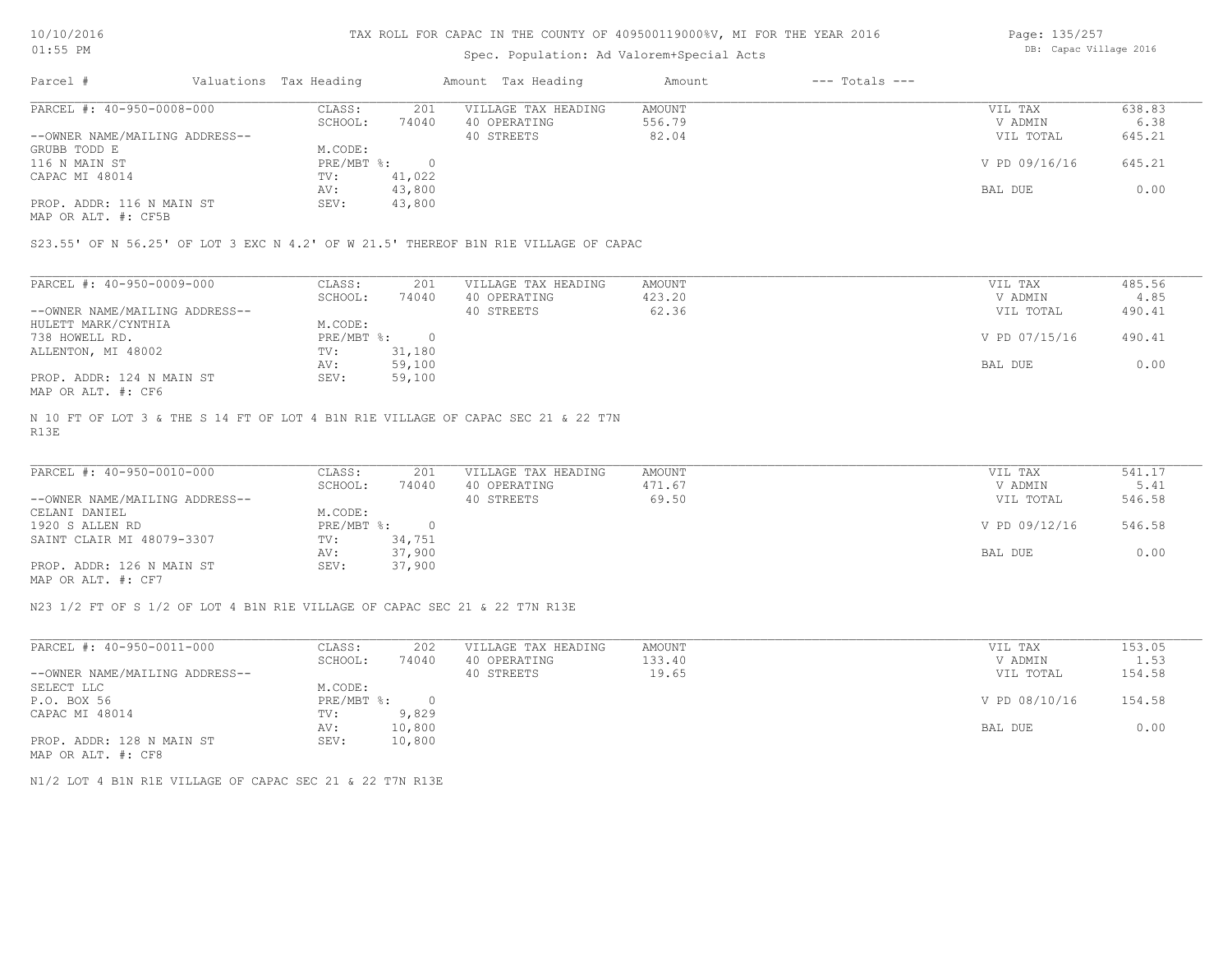# Spec. Population: Ad Valorem+Special Acts

Page: 135/257 DB: Capac Village 2016

| Parcel #                       | Valuations Tax Heading |        | Amount Tax Heading  | Amount | $---$ Totals $---$ |               |        |
|--------------------------------|------------------------|--------|---------------------|--------|--------------------|---------------|--------|
| PARCEL #: 40-950-0008-000      | CLASS:                 | 201    | VILLAGE TAX HEADING | AMOUNT |                    | VIL TAX       | 638.83 |
|                                | SCHOOL:                | 74040  | 40 OPERATING        | 556.79 |                    | V ADMIN       | 6.38   |
| --OWNER NAME/MAILING ADDRESS-- |                        |        | 40 STREETS          | 82.04  |                    | VIL TOTAL     | 645.21 |
| GRUBB TODD E                   | M.CODE:                |        |                     |        |                    |               |        |
| 116 N MAIN ST                  | PRE/MBT %:             |        |                     |        |                    | V PD 09/16/16 | 645.21 |
| CAPAC MI 48014                 | TV:                    | 41,022 |                     |        |                    |               |        |
|                                | AV:                    | 43,800 |                     |        |                    | BAL DUE       | 0.00   |
| PROP. ADDR: 116 N MAIN ST      | SEV:                   | 43,800 |                     |        |                    |               |        |
|                                |                        |        |                     |        |                    |               |        |

MAP OR ALT. #: CF5B

S23.55' OF N 56.25' OF LOT 3 EXC N 4.2' OF W 21.5' THEREOF B1N R1E VILLAGE OF CAPAC

| PARCEL #: 40-950-0009-000      | CLASS:     | 201    | VILLAGE TAX HEADING | AMOUNT | VIL TAX       | 485.56 |
|--------------------------------|------------|--------|---------------------|--------|---------------|--------|
|                                | SCHOOL:    | 74040  | 40 OPERATING        | 423.20 | V ADMIN       | 4.85   |
| --OWNER NAME/MAILING ADDRESS-- |            |        | 40 STREETS          | 62.36  | VIL TOTAL     | 490.41 |
| HULETT MARK/CYNTHIA            | M.CODE:    |        |                     |        |               |        |
| 738 HOWELL RD.                 | PRE/MBT %: |        |                     |        | V PD 07/15/16 | 490.41 |
| ALLENTON, MI 48002             | TV:        | 31,180 |                     |        |               |        |
|                                | AV:        | 59,100 |                     |        | BAL DUE       | 0.00   |
| PROP. ADDR: 124 N MAIN ST      | SEV:       | 59,100 |                     |        |               |        |
| MAP OR ALT. #: CF6             |            |        |                     |        |               |        |

R13E N 10 FT OF LOT 3 & THE S 14 FT OF LOT 4 B1N R1E VILLAGE OF CAPAC SEC 21 & 22 T7N

| PARCEL #: 40-950-0010-000      | CLASS:     | 201    | VILLAGE TAX HEADING | AMOUNT | VIL TAX       | 541.17 |
|--------------------------------|------------|--------|---------------------|--------|---------------|--------|
|                                | SCHOOL:    | 74040  | 40 OPERATING        | 471.67 | V ADMIN       | 5.41   |
| --OWNER NAME/MAILING ADDRESS-- |            |        | 40 STREETS          | 69.50  | VIL TOTAL     | 546.58 |
| CELANI DANIEL                  | M.CODE:    |        |                     |        |               |        |
| 1920 S ALLEN RD                | PRE/MBT %: |        |                     |        | V PD 09/12/16 | 546.58 |
| SAINT CLAIR MI 48079-3307      | TV:        | 34,751 |                     |        |               |        |
|                                | AV:        | 37,900 |                     |        | BAL DUE       | 0.00   |
| PROP. ADDR: 126 N MAIN ST      | SEV:       | 37,900 |                     |        |               |        |
| MAP OR ALT. #: CF7             |            |        |                     |        |               |        |

 $\mathcal{L}_\mathcal{L} = \mathcal{L}_\mathcal{L} = \mathcal{L}_\mathcal{L} = \mathcal{L}_\mathcal{L} = \mathcal{L}_\mathcal{L} = \mathcal{L}_\mathcal{L} = \mathcal{L}_\mathcal{L} = \mathcal{L}_\mathcal{L} = \mathcal{L}_\mathcal{L} = \mathcal{L}_\mathcal{L} = \mathcal{L}_\mathcal{L} = \mathcal{L}_\mathcal{L} = \mathcal{L}_\mathcal{L} = \mathcal{L}_\mathcal{L} = \mathcal{L}_\mathcal{L} = \mathcal{L}_\mathcal{L} = \mathcal{L}_\mathcal{L}$ 

N23 1/2 FT OF S 1/2 OF LOT 4 B1N R1E VILLAGE OF CAPAC SEC 21 & 22 T7N R13E

| PARCEL #: 40-950-0011-000      | CLASS:       | 202    | VILLAGE TAX HEADING | AMOUNT | VIL TAX       | 153.05 |
|--------------------------------|--------------|--------|---------------------|--------|---------------|--------|
|                                | SCHOOL:      | 74040  | 40 OPERATING        | 133.40 | V ADMIN       | 1.53   |
| --OWNER NAME/MAILING ADDRESS-- |              |        | 40 STREETS          | 19.65  | VIL TOTAL     | 154.58 |
| SELECT LLC                     | M.CODE:      |        |                     |        |               |        |
| P.O. BOX 56                    | $PRE/MBT$ %: |        |                     |        | V PD 08/10/16 | 154.58 |
| CAPAC MI 48014                 | TV:          | 9,829  |                     |        |               |        |
|                                | AV:          | 10,800 |                     |        | BAL DUE       | 0.00   |
| PROP. ADDR: 128 N MAIN ST      | SEV:         | 10,800 |                     |        |               |        |
| MAP OR ALT. #: CF8             |              |        |                     |        |               |        |

N1/2 LOT 4 B1N R1E VILLAGE OF CAPAC SEC 21 & 22 T7N R13E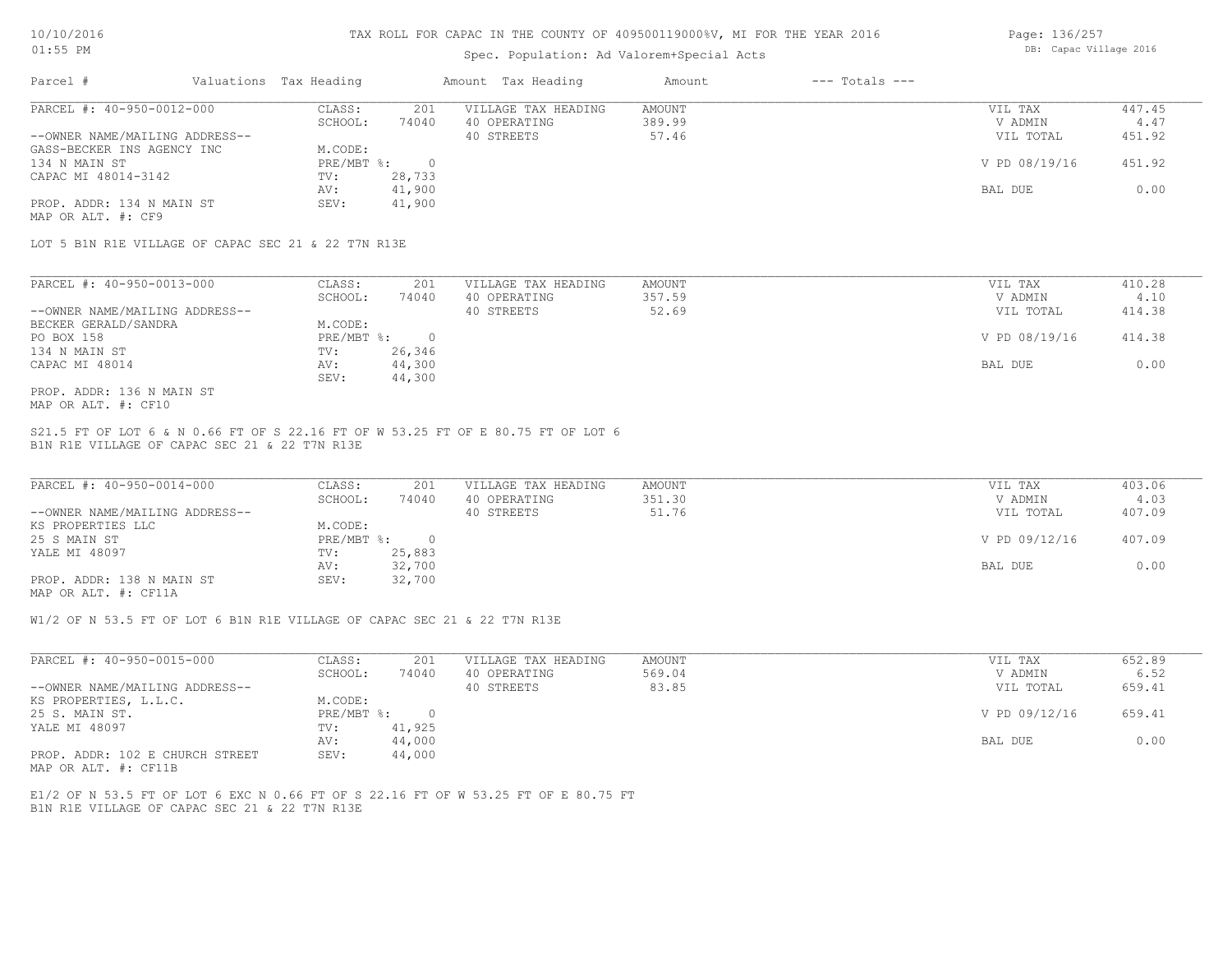## Spec. Population: Ad Valorem+Special Acts

| Page: 136/257 |                        |  |
|---------------|------------------------|--|
|               | DB: Capac Village 2016 |  |

| Parcel #                       | Valuations Tax Heading |        | Amount Tax Heading  | Amount | $---$ Totals $---$ |               |        |
|--------------------------------|------------------------|--------|---------------------|--------|--------------------|---------------|--------|
| PARCEL #: 40-950-0012-000      | CLASS:                 | 201    | VILLAGE TAX HEADING | AMOUNT |                    | VIL TAX       | 447.45 |
|                                | SCHOOL:                | 74040  | 40 OPERATING        | 389.99 |                    | V ADMIN       | 4.47   |
| --OWNER NAME/MAILING ADDRESS-- |                        |        | 40 STREETS          | 57.46  |                    | VIL TOTAL     | 451.92 |
| GASS-BECKER INS AGENCY INC     | M.CODE:                |        |                     |        |                    |               |        |
| 134 N MAIN ST                  | PRE/MBT %:             |        |                     |        |                    | V PD 08/19/16 | 451.92 |
| CAPAC MI 48014-3142            | TV:                    | 28,733 |                     |        |                    |               |        |
|                                | AV:                    | 41,900 |                     |        |                    | BAL DUE       | 0.00   |
| PROP. ADDR: 134 N MAIN ST      | SEV:                   | 41,900 |                     |        |                    |               |        |
| MAP OR ALT. #: CF9             |                        |        |                     |        |                    |               |        |

LOT 5 B1N R1E VILLAGE OF CAPAC SEC 21 & 22 T7N R13E

| PARCEL #: 40-950-0013-000      | CLASS:     | 201    | VILLAGE TAX HEADING | AMOUNT | VIL TAX       | 410.28 |
|--------------------------------|------------|--------|---------------------|--------|---------------|--------|
|                                | SCHOOL:    | 74040  | 40 OPERATING        | 357.59 | V ADMIN       | 4.10   |
| --OWNER NAME/MAILING ADDRESS-- |            |        | 40 STREETS          | 52.69  | VIL TOTAL     | 414.38 |
| BECKER GERALD/SANDRA           | M.CODE:    |        |                     |        |               |        |
| PO BOX 158                     | PRE/MBT %: |        |                     |        | V PD 08/19/16 | 414.38 |
| 134 N MAIN ST                  | TV:        | 26,346 |                     |        |               |        |
| CAPAC MI 48014                 | AV:        | 44,300 |                     |        | BAL DUE       | 0.00   |
|                                | SEV:       | 44,300 |                     |        |               |        |
| PROP. ADDR: 136 N MAIN ST      |            |        |                     |        |               |        |

MAP OR ALT. #: CF10

B1N R1E VILLAGE OF CAPAC SEC 21 & 22 T7N R13E S21.5 FT OF LOT 6 & N 0.66 FT OF S 22.16 FT OF W 53.25 FT OF E 80.75 FT OF LOT 6

| PARCEL #: 40-950-0014-000      | CLASS:     | 201    | VILLAGE TAX HEADING | AMOUNT | VIL TAX       | 403.06 |
|--------------------------------|------------|--------|---------------------|--------|---------------|--------|
|                                | SCHOOL:    | 74040  | 40 OPERATING        | 351.30 | V ADMIN       | 4.03   |
| --OWNER NAME/MAILING ADDRESS-- |            |        | 40 STREETS          | 51.76  | VIL TOTAL     | 407.09 |
| KS PROPERTIES LLC              | M.CODE:    |        |                     |        |               |        |
| 25 S MAIN ST                   | PRE/MBT %: |        |                     |        | V PD 09/12/16 | 407.09 |
| YALE MI 48097                  | TV:        | 25,883 |                     |        |               |        |
|                                | AV:        | 32,700 |                     |        | BAL DUE       | 0.00   |
| PROP. ADDR: 138 N MAIN ST      | SEV:       | 32,700 |                     |        |               |        |
|                                |            |        |                     |        |               |        |

MAP OR ALT. #: CF11A

W1/2 OF N 53.5 FT OF LOT 6 B1N R1E VILLAGE OF CAPAC SEC 21 & 22 T7N R13E

| PARCEL #: 40-950-0015-000       | CLASS:     | 201    | VILLAGE TAX HEADING | AMOUNT | VIL TAX       | 652.89 |
|---------------------------------|------------|--------|---------------------|--------|---------------|--------|
|                                 | SCHOOL:    | 74040  | 40 OPERATING        | 569.04 | V ADMIN       | 6.52   |
| --OWNER NAME/MAILING ADDRESS--  |            |        | 40 STREETS          | 83.85  | VIL TOTAL     | 659.41 |
| KS PROPERTIES, L.L.C.           | M.CODE:    |        |                     |        |               |        |
| 25 S. MAIN ST.                  | PRE/MBT %: |        |                     |        | V PD 09/12/16 | 659.41 |
| YALE MI 48097                   | TV:        | 41,925 |                     |        |               |        |
|                                 | AV:        | 44,000 |                     |        | BAL DUE       | 0.00   |
| PROP. ADDR: 102 E CHURCH STREET | SEV:       | 44,000 |                     |        |               |        |

MAP OR ALT. #: CF11B

B1N R1E VILLAGE OF CAPAC SEC 21 & 22 T7N R13E E1/2 OF N 53.5 FT OF LOT 6 EXC N 0.66 FT OF S 22.16 FT OF W 53.25 FT OF E 80.75 FT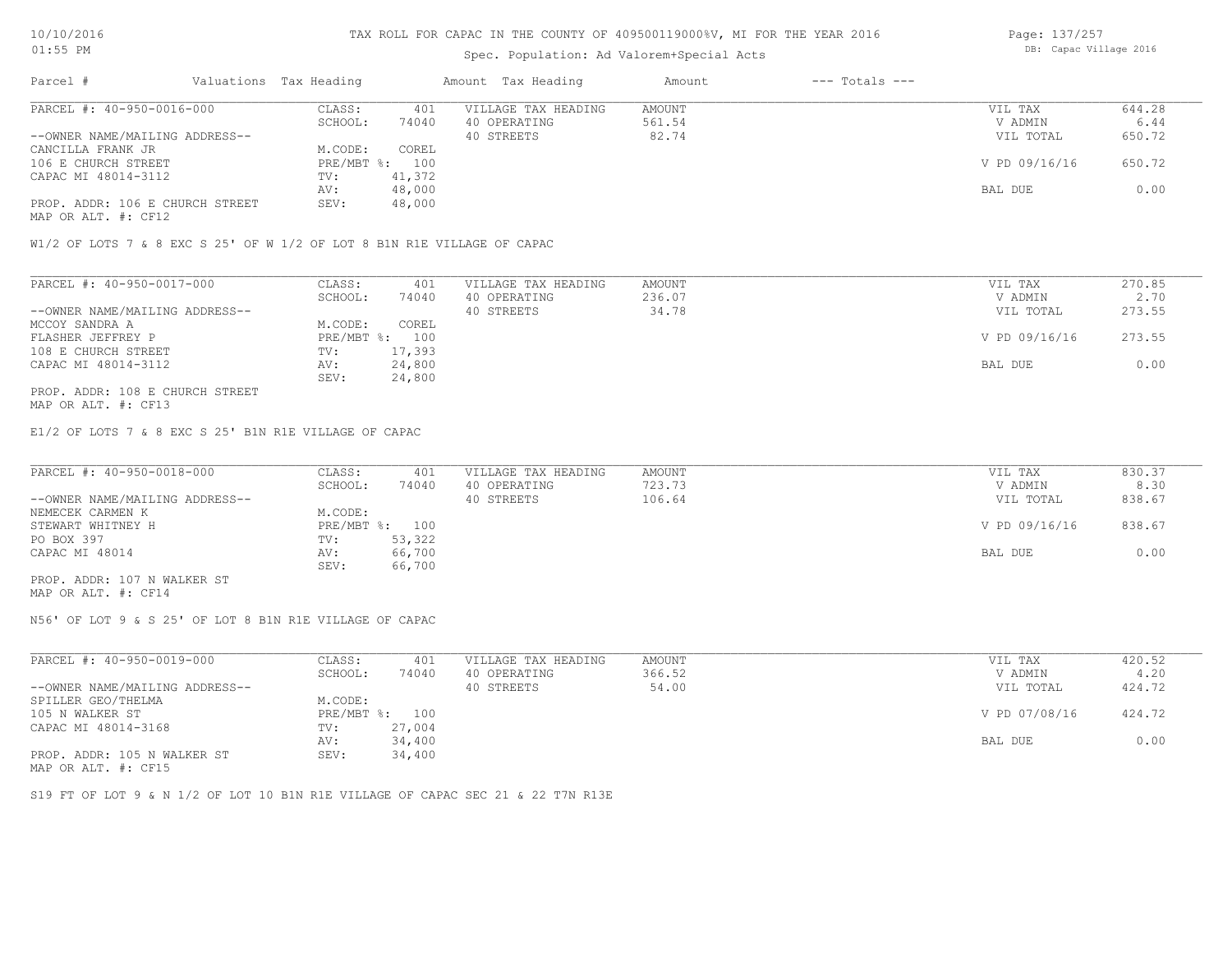# Spec. Population: Ad Valorem+Special Acts

| Page: 137/257 |                        |  |
|---------------|------------------------|--|
|               | DB: Capac Village 2016 |  |

| Parcel #                        | Valuations Tax Heading |        | Amount Tax Heading  | Amount | $---$ Totals $---$ |               |        |
|---------------------------------|------------------------|--------|---------------------|--------|--------------------|---------------|--------|
| PARCEL #: 40-950-0016-000       | CLASS:                 | 401    | VILLAGE TAX HEADING | AMOUNT |                    | VIL TAX       | 644.28 |
|                                 | SCHOOL:                | 74040  | 40 OPERATING        | 561.54 |                    | V ADMIN       | 6.44   |
| --OWNER NAME/MAILING ADDRESS--  |                        |        | 40 STREETS          | 82.74  |                    | VIL TOTAL     | 650.72 |
| CANCILLA FRANK JR               | M.CODE:                | COREL  |                     |        |                    |               |        |
| 106 E CHURCH STREET             | PRE/MBT %: 100         |        |                     |        |                    | V PD 09/16/16 | 650.72 |
| CAPAC MI 48014-3112             | TV:                    | 41,372 |                     |        |                    |               |        |
|                                 | AV:                    | 48,000 |                     |        |                    | BAL DUE       | 0.00   |
| PROP. ADDR: 106 E CHURCH STREET | SEV:                   | 48,000 |                     |        |                    |               |        |
| $\cdots$                        |                        |        |                     |        |                    |               |        |

MAP OR ALT. #: CF12

W1/2 OF LOTS 7 & 8 EXC S 25' OF W 1/2 OF LOT 8 B1N R1E VILLAGE OF CAPAC

| PARCEL #: 40-950-0017-000       | CLASS:  | 401            | VILLAGE TAX HEADING | AMOUNT | VIL TAX       | 270.85 |
|---------------------------------|---------|----------------|---------------------|--------|---------------|--------|
|                                 | SCHOOL: | 74040          | 40 OPERATING        | 236.07 | V ADMIN       | 2.70   |
| --OWNER NAME/MAILING ADDRESS--  |         |                | 40 STREETS          | 34.78  | VIL TOTAL     | 273.55 |
| MCCOY SANDRA A                  | M.CODE: | COREL          |                     |        |               |        |
| FLASHER JEFFREY P               |         | PRE/MBT %: 100 |                     |        | V PD 09/16/16 | 273.55 |
| 108 E CHURCH STREET             | TV:     | 17,393         |                     |        |               |        |
| CAPAC MI 48014-3112             | AV:     | 24,800         |                     |        | BAL DUE       | 0.00   |
|                                 | SEV:    | 24,800         |                     |        |               |        |
| PROP. ADDR: 108 E CHURCH STREET |         |                |                     |        |               |        |

MAP OR ALT. #: CF13

E1/2 OF LOTS 7 & 8 EXC S 25' B1N R1E VILLAGE OF CAPAC

| PARCEL #: 40-950-0018-000      | CLASS:  | 401            | VILLAGE TAX HEADING | AMOUNT | VIL TAX       | 830.37 |
|--------------------------------|---------|----------------|---------------------|--------|---------------|--------|
|                                | SCHOOL: | 74040          | 40 OPERATING        | 723.73 | V ADMIN       | 8.30   |
| --OWNER NAME/MAILING ADDRESS-- |         |                | 40 STREETS          | 106.64 | VIL TOTAL     | 838.67 |
| NEMECEK CARMEN K               | M.CODE: |                |                     |        |               |        |
| STEWART WHITNEY H              |         | PRE/MBT %: 100 |                     |        | V PD 09/16/16 | 838.67 |
| PO BOX 397                     | TV:     | 53,322         |                     |        |               |        |
| CAPAC MI 48014                 | AV:     | 66,700         |                     |        | BAL DUE       | 0.00   |
|                                | SEV:    | 66,700         |                     |        |               |        |
| PROP. ADDR: 107 N WALKER ST    |         |                |                     |        |               |        |

MAP OR ALT. #: CF14

N56' OF LOT 9 & S 25' OF LOT 8 B1N R1E VILLAGE OF CAPAC

| PARCEL #: 40-950-0019-000      | CLASS:       | 401    | VILLAGE TAX HEADING | AMOUNT | VIL TAX       | 420.52 |
|--------------------------------|--------------|--------|---------------------|--------|---------------|--------|
|                                | SCHOOL:      | 74040  | 40 OPERATING        | 366.52 | V ADMIN       | 4.20   |
| --OWNER NAME/MAILING ADDRESS-- |              |        | 40 STREETS          | 54.00  | VIL TOTAL     | 424.72 |
| SPILLER GEO/THELMA             | M.CODE:      |        |                     |        |               |        |
| 105 N WALKER ST                | $PRE/MBT$ %: | 100    |                     |        | V PD 07/08/16 | 424.72 |
| CAPAC MI 48014-3168            | TV:          | 27,004 |                     |        |               |        |
|                                | AV:          | 34,400 |                     |        | BAL DUE       | 0.00   |
| PROP. ADDR: 105 N WALKER ST    | SEV:         | 34,400 |                     |        |               |        |
|                                |              |        |                     |        |               |        |

MAP OR ALT. #: CF15

S19 FT OF LOT 9 & N 1/2 OF LOT 10 B1N R1E VILLAGE OF CAPAC SEC 21 & 22 T7N R13E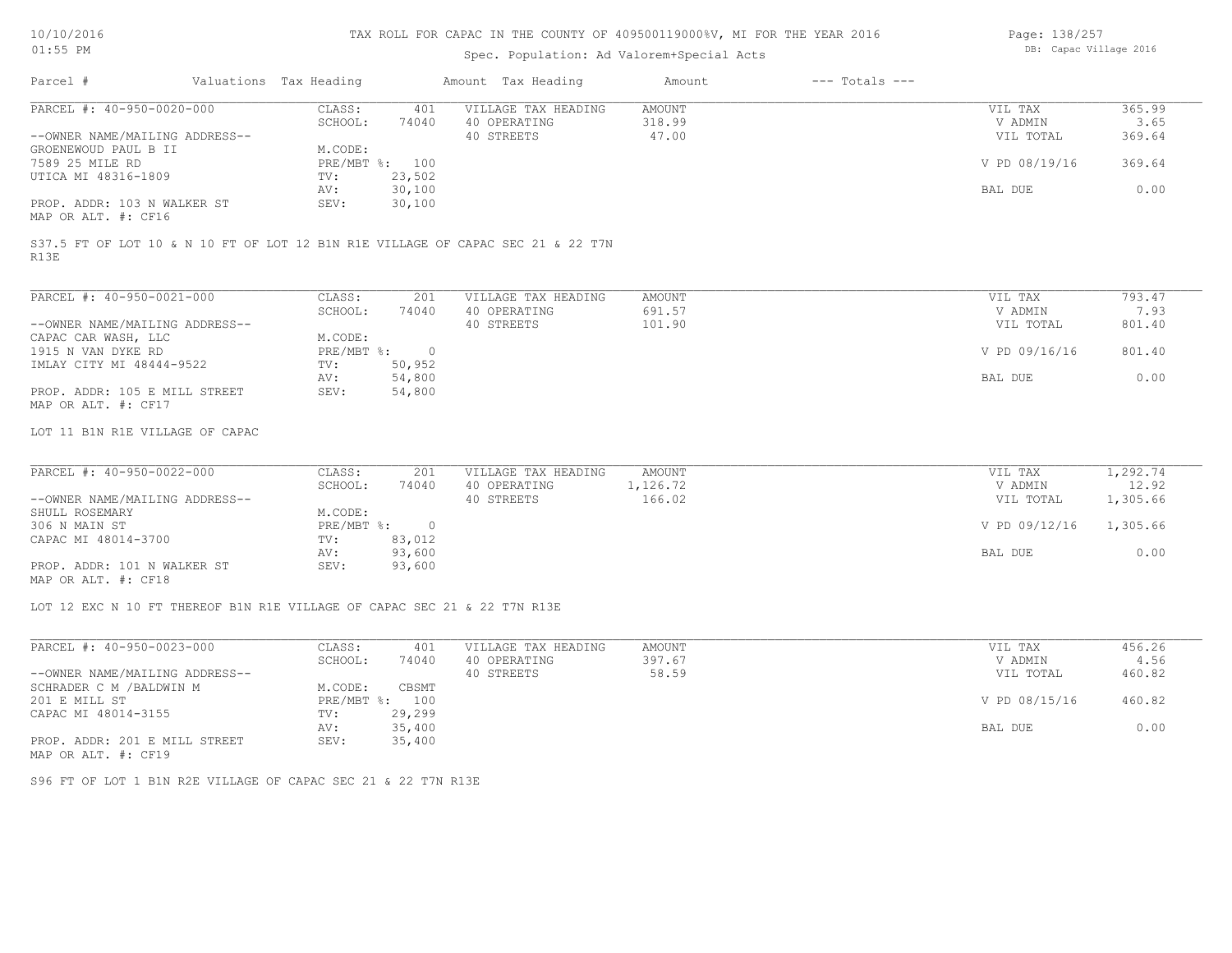# Spec. Population: Ad Valorem+Special Acts

| Page: 138/257 |                        |  |
|---------------|------------------------|--|
|               | DB: Capac Village 2016 |  |

| Valuations Tax Heading                                                                  |                              |                     |               |               |        |
|-----------------------------------------------------------------------------------------|------------------------------|---------------------|---------------|---------------|--------|
| PARCEL #: 40-950-0020-000                                                               | CLASS:<br>401                | VILLAGE TAX HEADING | <b>AMOUNT</b> | VIL TAX       | 365.99 |
|                                                                                         | 74040<br>SCHOOL:             | 40 OPERATING        | 318.99        | V ADMIN       | 3.65   |
| --OWNER NAME/MAILING ADDRESS--                                                          |                              | 40 STREETS          | 47.00         | VIL TOTAL     | 369.64 |
| GROENEWOUD PAUL B II                                                                    | M.CODE:                      |                     |               |               |        |
| 7589 25 MILE RD                                                                         | $PRE/MBT$ %:<br>100          |                     |               | V PD 08/19/16 | 369.64 |
| UTICA MI 48316-1809                                                                     | 23,502<br>TV:                |                     |               |               |        |
|                                                                                         | 30,100<br>AV:                |                     |               | BAL DUE       | 0.00   |
| PROP. ADDR: 103 N WALKER ST                                                             | 30,100<br>SEV:               |                     |               |               |        |
| MAP OR ALT. #: CF16                                                                     |                              |                     |               |               |        |
| S37.5 FT OF LOT 10 & N 10 FT OF LOT 12 B1N R1E VILLAGE OF CAPAC SEC 21 & 22 T7N<br>R13E |                              |                     |               |               |        |
| PARCEL #: 40-950-0021-000                                                               | CLASS:<br>201                | VILLAGE TAX HEADING | AMOUNT        | VIL TAX       | 793.47 |
|                                                                                         | 74040<br>SCHOOL:             | 40 OPERATING        | 691.57        | V ADMIN       | 7.93   |
| --OWNER NAME/MAILING ADDRESS--                                                          |                              | 40 STREETS          | 101.90        | VIL TOTAL     | 801.40 |
| CAPAC CAR WASH, LLC                                                                     | M.CODE:                      |                     |               |               |        |
| 1915 N VAN DYKE RD                                                                      | PRE/MBT %:<br>$\overline{0}$ |                     |               | V PD 09/16/16 | 801.40 |
| IMLAY CITY MI 48444-9522                                                                | 50,952<br>TV:                |                     |               |               |        |
|                                                                                         | 54,800<br>AV:                |                     |               | BAL DUE       | 0.00   |
| PROP. ADDR: 105 E MILL STREET<br>MAP OR ALT. #: CF17                                    | 54,800<br>SEV:               |                     |               |               |        |

| PARCEL #: 40-950-0022-000      | CLASS:     | 201    | VILLAGE TAX HEADING | AMOUNT   | VIL TAX       | 1,292.74 |  |
|--------------------------------|------------|--------|---------------------|----------|---------------|----------|--|
|                                | SCHOOL:    | 74040  | 40 OPERATING        | 1,126.72 | V ADMIN       | 12.92    |  |
| --OWNER NAME/MAILING ADDRESS-- |            |        | 40 STREETS          | 166.02   | VIL TOTAL     | 1,305.66 |  |
| SHULL ROSEMARY                 | M.CODE:    |        |                     |          |               |          |  |
| 306 N MAIN ST                  | PRE/MBT %: | $\cap$ |                     |          | V PD 09/12/16 | 1,305.66 |  |
| CAPAC MI 48014-3700            | TV:        | 83,012 |                     |          |               |          |  |
|                                | AV:        | 93,600 |                     |          | BAL DUE       | 0.00     |  |
| PROP. ADDR: 101 N WALKER ST    | SEV:       | 93,600 |                     |          |               |          |  |
| MAP OR ALT. #: CF18            |            |        |                     |          |               |          |  |

LOT 12 EXC N 10 FT THEREOF B1N R1E VILLAGE OF CAPAC SEC 21 & 22 T7N R13E

| PARCEL #: 40-950-0023-000      | CLASS:     | 401    | VILLAGE TAX HEADING | AMOUNT | VIL TAX       | 456.26 |
|--------------------------------|------------|--------|---------------------|--------|---------------|--------|
|                                | SCHOOL:    | 74040  | 40 OPERATING        | 397.67 | V ADMIN       | 4.56   |
| --OWNER NAME/MAILING ADDRESS-- |            |        | 40 STREETS          | 58.59  | VIL TOTAL     | 460.82 |
| SCHRADER C M /BALDWIN M        | M.CODE:    | CBSMT  |                     |        |               |        |
| 201 E MILL ST                  | PRE/MBT %: | 100    |                     |        | V PD 08/15/16 | 460.82 |
| CAPAC MI 48014-3155            | TV:        | 29,299 |                     |        |               |        |
|                                | AV:        | 35,400 |                     |        | BAL DUE       | 0.00   |
| PROP. ADDR: 201 E MILL STREET  | SEV:       | 35,400 |                     |        |               |        |
| MAP OR ALT. #: CF19            |            |        |                     |        |               |        |

S96 FT OF LOT 1 B1N R2E VILLAGE OF CAPAC SEC 21 & 22 T7N R13E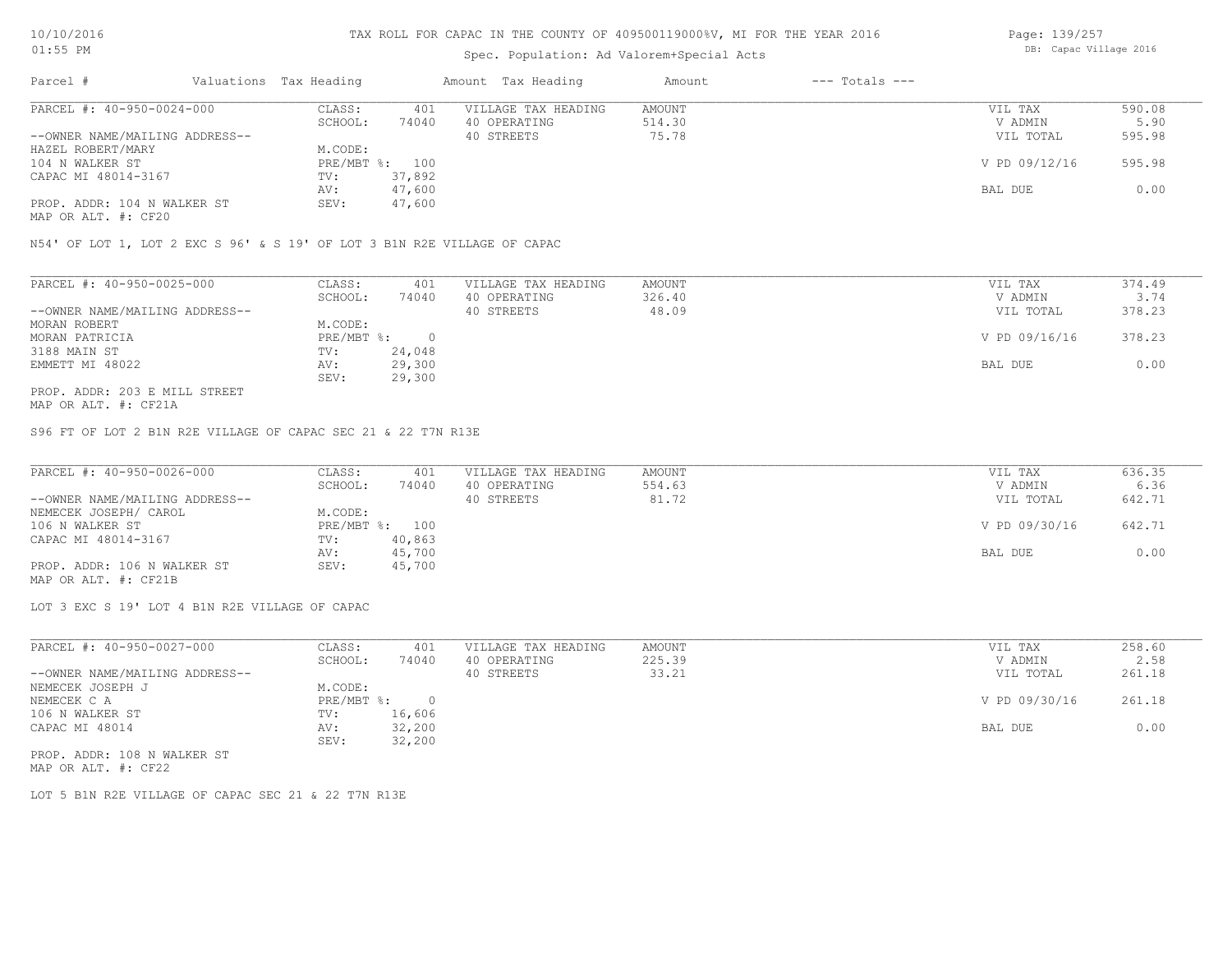# Spec. Population: Ad Valorem+Special Acts

Page: 139/257 DB: Capac Village 2016

| Parcel #                       | Valuations Tax Heading |        | Amount Tax Heading  | Amount | $---$ Totals $---$ |               |        |
|--------------------------------|------------------------|--------|---------------------|--------|--------------------|---------------|--------|
| PARCEL #: 40-950-0024-000      | CLASS:                 | 401    | VILLAGE TAX HEADING | AMOUNT |                    | VIL TAX       | 590.08 |
|                                | SCHOOL:                | 74040  | 40 OPERATING        | 514.30 |                    | V ADMIN       | 5.90   |
| --OWNER NAME/MAILING ADDRESS-- |                        |        | 40 STREETS          | 75.78  |                    | VIL TOTAL     | 595.98 |
| HAZEL ROBERT/MARY              | M.CODE:                |        |                     |        |                    |               |        |
| 104 N WALKER ST                | PRE/MBT %: 100         |        |                     |        |                    | V PD 09/12/16 | 595.98 |
| CAPAC MI 48014-3167            | TV:                    | 37,892 |                     |        |                    |               |        |
|                                | AV:                    | 47,600 |                     |        |                    | BAL DUE       | 0.00   |
| PROP. ADDR: 104 N WALKER ST    | SEV:                   | 47,600 |                     |        |                    |               |        |
|                                |                        |        |                     |        |                    |               |        |

MAP OR ALT. #: CF20

N54' OF LOT 1, LOT 2 EXC S 96' & S 19' OF LOT 3 B1N R2E VILLAGE OF CAPAC

| PARCEL #: 40-950-0025-000      | CLASS:     | 401    | VILLAGE TAX HEADING | AMOUNT | VIL TAX       | 374.49 |
|--------------------------------|------------|--------|---------------------|--------|---------------|--------|
|                                | SCHOOL:    | 74040  | 40 OPERATING        | 326.40 | V ADMIN       | 3.74   |
| --OWNER NAME/MAILING ADDRESS-- |            |        | 40 STREETS          | 48.09  | VIL TOTAL     | 378.23 |
| MORAN ROBERT                   | M.CODE:    |        |                     |        |               |        |
| MORAN PATRICIA                 | PRE/MBT %: |        |                     |        | V PD 09/16/16 | 378.23 |
| 3188 MAIN ST                   | TV:        | 24,048 |                     |        |               |        |
| EMMETT MI 48022                | AV:        | 29,300 |                     |        | BAL DUE       | 0.00   |
|                                | SEV:       | 29,300 |                     |        |               |        |
| PROP. ADDR: 203 E MILL STREET  |            |        |                     |        |               |        |

MAP OR ALT. #: CF21A

S96 FT OF LOT 2 B1N R2E VILLAGE OF CAPAC SEC 21 & 22 T7N R13E

| PARCEL #: 40-950-0026-000      | CLASS:  | 401            | VILLAGE TAX HEADING | AMOUNT | VIL TAX       | 636.35 |
|--------------------------------|---------|----------------|---------------------|--------|---------------|--------|
|                                | SCHOOL: | 74040          | 40 OPERATING        | 554.63 | V ADMIN       | 6.36   |
| --OWNER NAME/MAILING ADDRESS-- |         |                | 40 STREETS          | 81.72  | VIL TOTAL     | 642.71 |
| NEMECEK JOSEPH/ CAROL          | M.CODE: |                |                     |        |               |        |
| 106 N WALKER ST                |         | PRE/MBT %: 100 |                     |        | V PD 09/30/16 | 642.71 |
| CAPAC MI 48014-3167            | TV:     | 40,863         |                     |        |               |        |
|                                | AV:     | 45,700         |                     |        | BAL DUE       | 0.00   |
| PROP. ADDR: 106 N WALKER ST    | SEV:    | 45,700         |                     |        |               |        |
| MAP OR ALT. #: CF21B           |         |                |                     |        |               |        |

LOT 3 EXC S 19' LOT 4 B1N R2E VILLAGE OF CAPAC

| PARCEL #: 40-950-0027-000      | CLASS:       | 401    | VILLAGE TAX HEADING | AMOUNT | VIL TAX       | 258.60 |
|--------------------------------|--------------|--------|---------------------|--------|---------------|--------|
|                                | SCHOOL:      | 74040  | 40 OPERATING        | 225.39 | V ADMIN       | 2.58   |
| --OWNER NAME/MAILING ADDRESS-- |              |        | 40 STREETS          | 33.21  | VIL TOTAL     | 261.18 |
| NEMECEK JOSEPH J               | M.CODE:      |        |                     |        |               |        |
| NEMECEK C A                    | $PRE/MBT$ %: |        |                     |        | V PD 09/30/16 | 261.18 |
| 106 N WALKER ST                | TV:          | 16,606 |                     |        |               |        |
| CAPAC MI 48014                 | AV:          | 32,200 |                     |        | BAL DUE       | 0.00   |
|                                | SEV:         | 32,200 |                     |        |               |        |
| PROP. ADDR: 108 N WALKER ST    |              |        |                     |        |               |        |

MAP OR ALT. #: CF22

LOT 5 B1N R2E VILLAGE OF CAPAC SEC 21 & 22 T7N R13E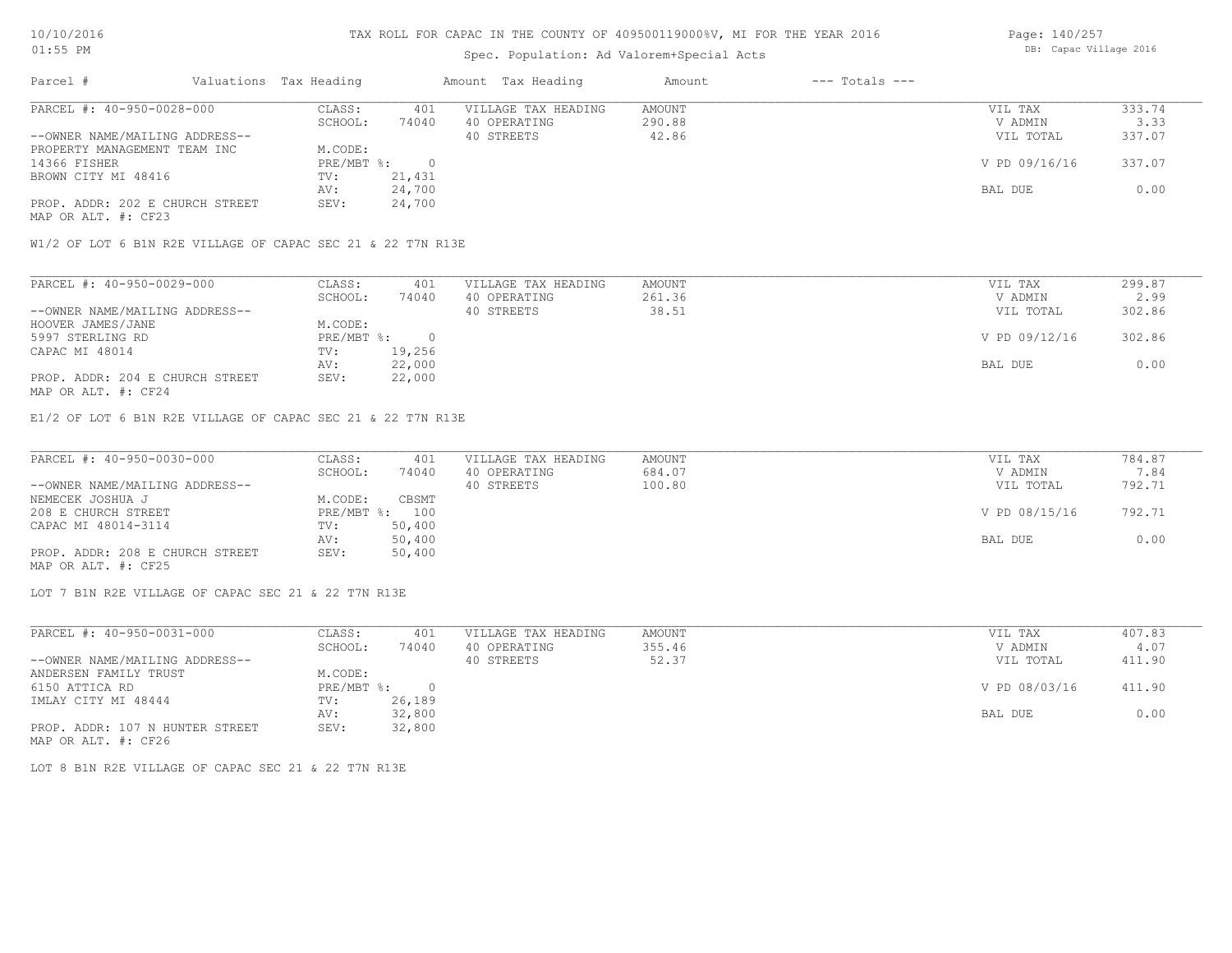# Spec. Population: Ad Valorem+Special Acts

| Page: 140/257          |  |
|------------------------|--|
| DB: Capac Village 2016 |  |

| Parcel #                        | Valuations Tax Heading |        | Amount Tax Heading  | Amount | $---$ Totals $---$ |               |        |
|---------------------------------|------------------------|--------|---------------------|--------|--------------------|---------------|--------|
| PARCEL #: 40-950-0028-000       | CLASS:                 | 401    | VILLAGE TAX HEADING | AMOUNT |                    | VIL TAX       | 333.74 |
|                                 | SCHOOL:                | 74040  | 40 OPERATING        | 290.88 |                    | V ADMIN       | 3.33   |
| --OWNER NAME/MAILING ADDRESS--  |                        |        | 40 STREETS          | 42.86  |                    | VIL TOTAL     | 337.07 |
| PROPERTY MANAGEMENT TEAM INC    | M.CODE:                |        |                     |        |                    |               |        |
| 14366 FISHER                    | PRE/MBT %:             |        |                     |        |                    | V PD 09/16/16 | 337.07 |
| BROWN CITY MI 48416             | TV:                    | 21,431 |                     |        |                    |               |        |
|                                 | AV:                    | 24,700 |                     |        |                    | BAL DUE       | 0.00   |
| PROP. ADDR: 202 E CHURCH STREET | SEV:                   | 24,700 |                     |        |                    |               |        |
| MAP OR ALT. #: CF23             |                        |        |                     |        |                    |               |        |

W1/2 OF LOT 6 B1N R2E VILLAGE OF CAPAC SEC 21 & 22 T7N R13E

| PARCEL #: 40-950-0029-000       | CLASS:     | 401    | VILLAGE TAX HEADING | AMOUNT | VIL TAX       | 299.87 |
|---------------------------------|------------|--------|---------------------|--------|---------------|--------|
|                                 | SCHOOL:    | 74040  | 40 OPERATING        | 261.36 | V ADMIN       | 2.99   |
| --OWNER NAME/MAILING ADDRESS--  |            |        | 40 STREETS          | 38.51  | VIL TOTAL     | 302.86 |
| HOOVER JAMES/JANE               | M.CODE:    |        |                     |        |               |        |
| 5997 STERLING RD                | PRE/MBT %: |        |                     |        | V PD 09/12/16 | 302.86 |
| CAPAC MI 48014                  | TV:        | 19,256 |                     |        |               |        |
|                                 | AV:        | 22,000 |                     |        | BAL DUE       | 0.00   |
| PROP. ADDR: 204 E CHURCH STREET | SEV:       | 22,000 |                     |        |               |        |
| MAP OR ALT. #: CF24             |            |        |                     |        |               |        |

E1/2 OF LOT 6 B1N R2E VILLAGE OF CAPAC SEC 21 & 22 T7N R13E

| PARCEL #: 40-950-0030-000       | CLASS:  | 401            | VILLAGE TAX HEADING | AMOUNT | VIL TAX       | 784.87 |
|---------------------------------|---------|----------------|---------------------|--------|---------------|--------|
|                                 | SCHOOL: | 74040          | 40 OPERATING        | 684.07 | V ADMIN       | 7.84   |
| --OWNER NAME/MAILING ADDRESS--  |         |                | 40 STREETS          | 100.80 | VIL TOTAL     | 792.71 |
| NEMECEK JOSHUA J                | M.CODE: | CBSMT          |                     |        |               |        |
| 208 E CHURCH STREET             |         | PRE/MBT %: 100 |                     |        | V PD 08/15/16 | 792.71 |
| CAPAC MI 48014-3114             | TV:     | 50,400         |                     |        |               |        |
|                                 | AV:     | 50,400         |                     |        | BAL DUE       | 0.00   |
| PROP. ADDR: 208 E CHURCH STREET | SEV:    | 50,400         |                     |        |               |        |
| MAP OR ALT. #: CF25             |         |                |                     |        |               |        |

LOT 7 B1N R2E VILLAGE OF CAPAC SEC 21 & 22 T7N R13E

| PARCEL #: 40-950-0031-000       | CLASS:     | 401    | VILLAGE TAX HEADING | AMOUNT | VIL TAX       | 407.83 |
|---------------------------------|------------|--------|---------------------|--------|---------------|--------|
|                                 | SCHOOL:    | 74040  | 40 OPERATING        | 355.46 | V ADMIN       | 4.07   |
| --OWNER NAME/MAILING ADDRESS--  |            |        | 40 STREETS          | 52.37  | VIL TOTAL     | 411.90 |
| ANDERSEN FAMILY TRUST           | M.CODE:    |        |                     |        |               |        |
| 6150 ATTICA RD                  | PRE/MBT %: |        |                     |        | V PD 08/03/16 | 411.90 |
| IMLAY CITY MI 48444             | TV:        | 26,189 |                     |        |               |        |
|                                 | AV:        | 32,800 |                     |        | BAL DUE       | 0.00   |
| PROP. ADDR: 107 N HUNTER STREET | SEV:       | 32,800 |                     |        |               |        |
| MAP OR ALT. #: CF26             |            |        |                     |        |               |        |

LOT 8 B1N R2E VILLAGE OF CAPAC SEC 21 & 22 T7N R13E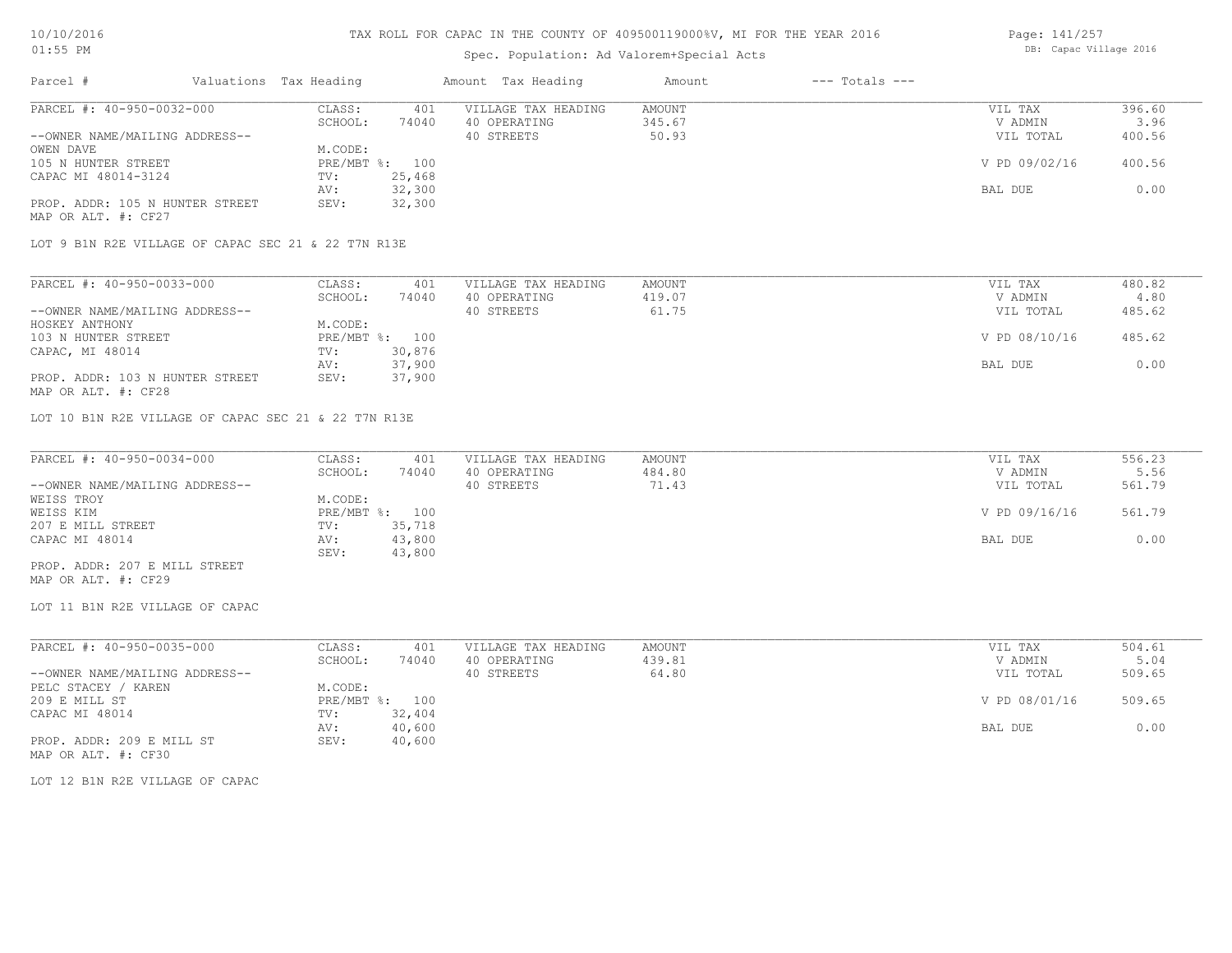# Spec. Population: Ad Valorem+Special Acts

| Page: 141/257 |                        |  |
|---------------|------------------------|--|
|               | DB: Capac Village 2016 |  |

| Parcel #                                               | Valuations Tax Heading |        | Amount Tax Heading  | Amount | $---$ Totals $---$ |               |        |
|--------------------------------------------------------|------------------------|--------|---------------------|--------|--------------------|---------------|--------|
| PARCEL #: 40-950-0032-000                              | CLASS:                 | 401    | VILLAGE TAX HEADING | AMOUNT |                    | VIL TAX       | 396.60 |
|                                                        | SCHOOL:                | 74040  | 40 OPERATING        | 345.67 |                    | V ADMIN       | 3.96   |
| --OWNER NAME/MAILING ADDRESS--                         |                        |        | 40 STREETS          | 50.93  |                    | VIL TOTAL     | 400.56 |
| OWEN DAVE                                              | M.CODE:                |        |                     |        |                    |               |        |
| 105 N HUNTER STREET                                    | PRE/MBT %: 100         |        |                     |        |                    | V PD 09/02/16 | 400.56 |
| CAPAC MI 48014-3124                                    | TV:                    | 25,468 |                     |        |                    |               |        |
|                                                        | AV:                    | 32,300 |                     |        |                    | BAL DUE       | 0.00   |
| PROP. ADDR: 105 N HUNTER STREET<br>MAP OR ALT. #: CF27 | SEV:                   | 32,300 |                     |        |                    |               |        |

LOT 9 B1N R2E VILLAGE OF CAPAC SEC 21 & 22 T7N R13E

| PARCEL #: 40-950-0033-000       | CLASS:  | 401            | VILLAGE TAX HEADING | AMOUNT | VIL TAX       | 480.82 |
|---------------------------------|---------|----------------|---------------------|--------|---------------|--------|
|                                 | SCHOOL: | 74040          | 40 OPERATING        | 419.07 | V ADMIN       | 4.80   |
| --OWNER NAME/MAILING ADDRESS--  |         |                | 40 STREETS          | 61.75  | VIL TOTAL     | 485.62 |
| HOSKEY ANTHONY                  | M.CODE: |                |                     |        |               |        |
| 103 N HUNTER STREET             |         | PRE/MBT %: 100 |                     |        | V PD 08/10/16 | 485.62 |
| CAPAC, MI 48014                 | TV:     | 30,876         |                     |        |               |        |
|                                 | AV:     | 37,900         |                     |        | BAL DUE       | 0.00   |
| PROP. ADDR: 103 N HUNTER STREET | SEV:    | 37,900         |                     |        |               |        |
| MAP OR ALT. #: CF28             |         |                |                     |        |               |        |

LOT 10 B1N R2E VILLAGE OF CAPAC SEC 21 & 22 T7N R13E

| PARCEL #: 40-950-0034-000      | CLASS:         | 401    | VILLAGE TAX HEADING | AMOUNT | VIL TAX       | 556.23 |
|--------------------------------|----------------|--------|---------------------|--------|---------------|--------|
|                                | SCHOOL:        | 74040  | 40 OPERATING        | 484.80 | V ADMIN       | 5.56   |
| --OWNER NAME/MAILING ADDRESS-- |                |        | 40 STREETS          | 71.43  | VIL TOTAL     | 561.79 |
| WEISS TROY                     | M.CODE:        |        |                     |        |               |        |
| WEISS KIM                      | PRE/MBT %: 100 |        |                     |        | V PD 09/16/16 | 561.79 |
| 207 E MILL STREET              | TV:            | 35,718 |                     |        |               |        |
| CAPAC MI 48014                 | AV:            | 43,800 |                     |        | BAL DUE       | 0.00   |
|                                | SEV:           | 43,800 |                     |        |               |        |
| PROP. ADDR: 207 E MILL STREET  |                |        |                     |        |               |        |

MAP OR ALT. #: CF29

LOT 11 B1N R2E VILLAGE OF CAPAC

| PARCEL #: 40-950-0035-000      | CLASS:  | 401            | VILLAGE TAX HEADING | AMOUNT | VIL TAX       | 504.61 |
|--------------------------------|---------|----------------|---------------------|--------|---------------|--------|
|                                | SCHOOL: | 74040          | 40 OPERATING        | 439.81 | V ADMIN       | 5.04   |
| --OWNER NAME/MAILING ADDRESS-- |         |                | 40 STREETS          | 64.80  | VIL TOTAL     | 509.65 |
| PELC STACEY / KAREN            | M.CODE: |                |                     |        |               |        |
| 209 E MILL ST                  |         | PRE/MBT %: 100 |                     |        | V PD 08/01/16 | 509.65 |
| CAPAC MI 48014                 | TV:     | 32,404         |                     |        |               |        |
|                                | AV:     | 40,600         |                     |        | BAL DUE       | 0.00   |
| PROP. ADDR: 209 E MILL ST      | SEV:    | 40,600         |                     |        |               |        |
| MAP OR ALT. #: CF30            |         |                |                     |        |               |        |

LOT 12 B1N R2E VILLAGE OF CAPAC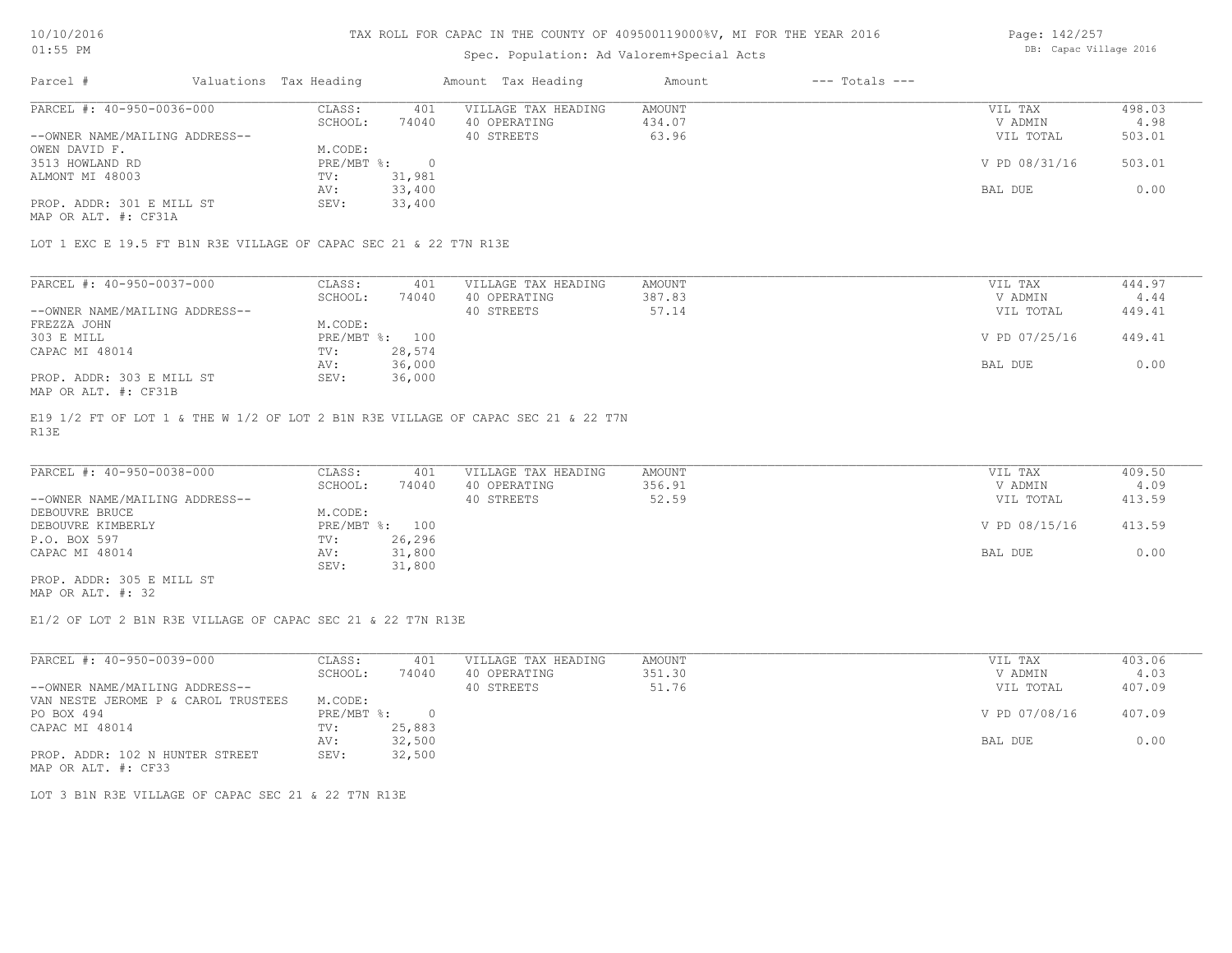# Spec. Population: Ad Valorem+Special Acts

Page: 142/257 DB: Capac Village 2016

| Parcel #                       | Valuations Tax Heading |        | Amount Tax Heading  | Amount | $---$ Totals $---$ |               |        |
|--------------------------------|------------------------|--------|---------------------|--------|--------------------|---------------|--------|
| PARCEL #: 40-950-0036-000      | CLASS:                 | 401    | VILLAGE TAX HEADING | AMOUNT |                    | VIL TAX       | 498.03 |
|                                | SCHOOL:                | 74040  | 40 OPERATING        | 434.07 |                    | V ADMIN       | 4.98   |
| --OWNER NAME/MAILING ADDRESS-- |                        |        | 40 STREETS          | 63.96  |                    | VIL TOTAL     | 503.01 |
| OWEN DAVID F.                  | M.CODE:                |        |                     |        |                    |               |        |
| 3513 HOWLAND RD                | PRE/MBT %:             |        |                     |        |                    | V PD 08/31/16 | 503.01 |
| ALMONT MI 48003                | TV:                    | 31,981 |                     |        |                    |               |        |
|                                | AV:                    | 33,400 |                     |        |                    | BAL DUE       | 0.00   |
| PROP. ADDR: 301 E MILL ST      | SEV:                   | 33,400 |                     |        |                    |               |        |
|                                |                        |        |                     |        |                    |               |        |

MAP OR ALT. #: CF31A

LOT 1 EXC E 19.5 FT B1N R3E VILLAGE OF CAPAC SEC 21 & 22 T7N R13E

| PARCEL #: 40-950-0037-000      | CLASS:     | 401    | VILLAGE TAX HEADING | AMOUNT | VIL TAX       | 444.97 |
|--------------------------------|------------|--------|---------------------|--------|---------------|--------|
|                                | SCHOOL:    | 74040  | 40 OPERATING        | 387.83 | V ADMIN       | 4.44   |
| --OWNER NAME/MAILING ADDRESS-- |            |        | 40 STREETS          | 57.14  | VIL TOTAL     | 449.41 |
| FREZZA JOHN                    | M.CODE:    |        |                     |        |               |        |
| 303 E MILL                     | PRE/MBT %: | 100    |                     |        | V PD 07/25/16 | 449.41 |
| CAPAC MI 48014                 | TV:        | 28,574 |                     |        |               |        |
|                                | AV:        | 36,000 |                     |        | BAL DUE       | 0.00   |
| PROP. ADDR: 303 E MILL ST      | SEV:       | 36,000 |                     |        |               |        |
| MAP OR ALT. #: CF31B           |            |        |                     |        |               |        |

R13E E19 1/2 FT OF LOT 1 & THE W 1/2 OF LOT 2 B1N R3E VILLAGE OF CAPAC SEC 21 & 22 T7N

| PARCEL #: 40-950-0038-000      | CLASS:  | 401            | VILLAGE TAX HEADING | AMOUNT | VIL TAX       | 409.50 |
|--------------------------------|---------|----------------|---------------------|--------|---------------|--------|
|                                | SCHOOL: | 74040          | 40 OPERATING        | 356.91 | V ADMIN       | 4.09   |
| --OWNER NAME/MAILING ADDRESS-- |         |                | 40 STREETS          | 52.59  | VIL TOTAL     | 413.59 |
| DEBOUVRE BRUCE                 | M.CODE: |                |                     |        |               |        |
| DEBOUVRE KIMBERLY              |         | PRE/MBT %: 100 |                     |        | V PD 08/15/16 | 413.59 |
| P.O. BOX 597                   | TV:     | 26,296         |                     |        |               |        |
| CAPAC MI 48014                 | AV:     | 31,800         |                     |        | BAL DUE       | 0.00   |
|                                | SEV:    | 31,800         |                     |        |               |        |
| PROP. ADDR: 305 E MILL ST      |         |                |                     |        |               |        |

MAP OR ALT. #: 32

E1/2 OF LOT 2 B1N R3E VILLAGE OF CAPAC SEC 21 & 22 T7N R13E

| PARCEL #: 40-950-0039-000           | CLASS:     | 401          | VILLAGE TAX HEADING | AMOUNT | VIL TAX       | 403.06 |
|-------------------------------------|------------|--------------|---------------------|--------|---------------|--------|
|                                     | SCHOOL:    | 74040        | 40 OPERATING        | 351.30 | V ADMIN       | 4.03   |
| --OWNER NAME/MAILING ADDRESS--      |            |              | 40 STREETS          | 51.76  | VIL TOTAL     | 407.09 |
| VAN NESTE JEROME P & CAROL TRUSTEES | M.CODE:    |              |                     |        |               |        |
| PO BOX 494                          | PRE/MBT %: | <sup>n</sup> |                     |        | V PD 07/08/16 | 407.09 |
| CAPAC MI 48014                      | TV:        | 25,883       |                     |        |               |        |
|                                     | AV:        | 32,500       |                     |        | BAL DUE       | 0.00   |
| PROP. ADDR: 102 N HUNTER STREET     | SEV:       | 32,500       |                     |        |               |        |
| MAP OR ALT. #: CF33                 |            |              |                     |        |               |        |

LOT 3 B1N R3E VILLAGE OF CAPAC SEC 21 & 22 T7N R13E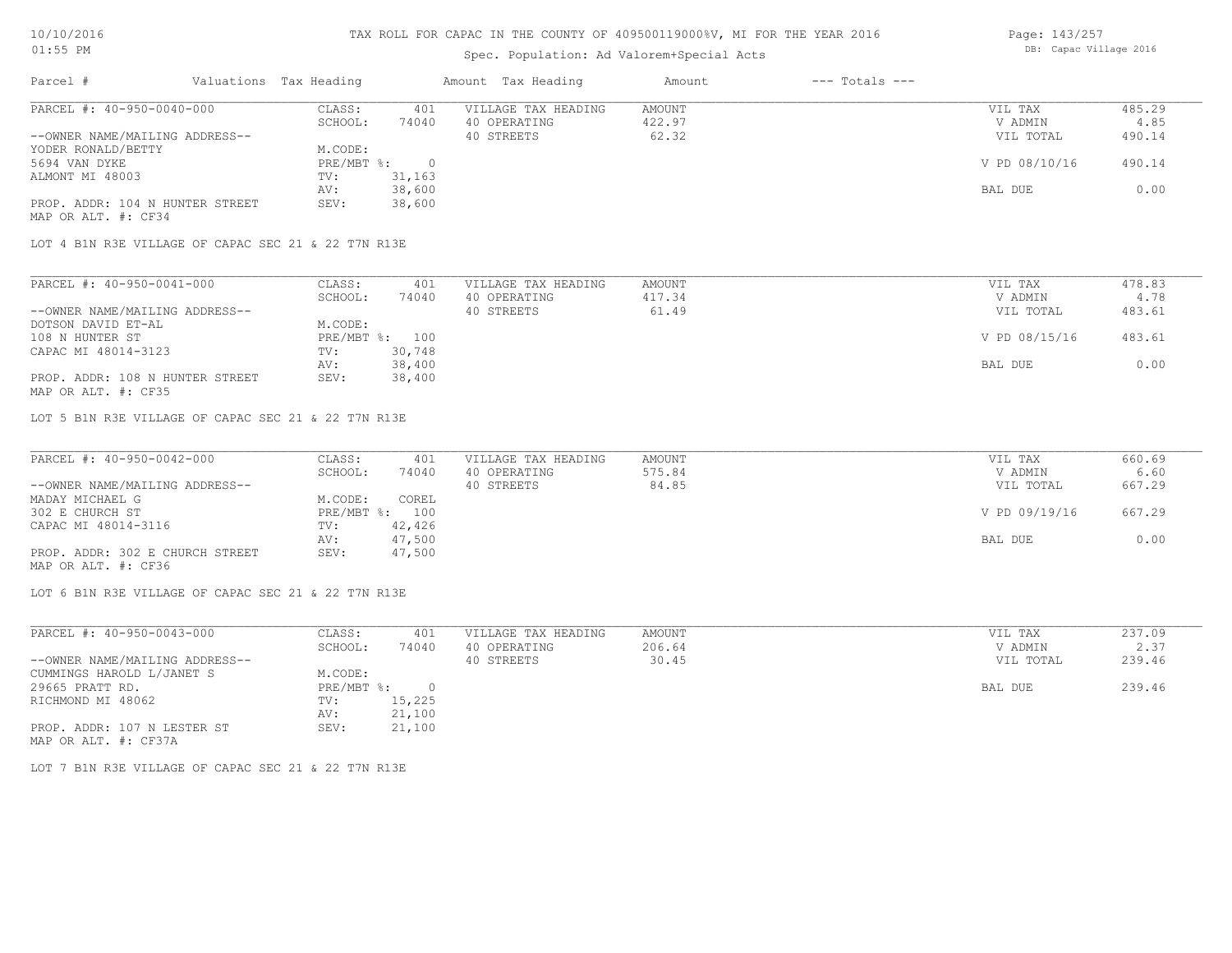# Spec. Population: Ad Valorem+Special Acts

| Page: 143/257 |                        |  |
|---------------|------------------------|--|
|               | DB: Capac Village 2016 |  |

| Parcel #                        | Valuations Tax Heading |        | Amount Tax Heading  | Amount | $---$ Totals $---$ |               |        |
|---------------------------------|------------------------|--------|---------------------|--------|--------------------|---------------|--------|
| PARCEL #: 40-950-0040-000       | CLASS:                 | 401    | VILLAGE TAX HEADING | AMOUNT |                    | VIL TAX       | 485.29 |
|                                 | SCHOOL:                | 74040  | 40 OPERATING        | 422.97 |                    | V ADMIN       | 4.85   |
| --OWNER NAME/MAILING ADDRESS--  |                        |        | 40 STREETS          | 62.32  |                    | VIL TOTAL     | 490.14 |
| YODER RONALD/BETTY              | M.CODE:                |        |                     |        |                    |               |        |
| 5694 VAN DYKE                   | $PRE/MBT$ %:           |        |                     |        |                    | V PD 08/10/16 | 490.14 |
| ALMONT MI 48003                 | TV:                    | 31,163 |                     |        |                    |               |        |
|                                 | AV:                    | 38,600 |                     |        |                    | BAL DUE       | 0.00   |
| PROP. ADDR: 104 N HUNTER STREET | SEV:                   | 38,600 |                     |        |                    |               |        |
| MAP OR ALT. #: CF34             |                        |        |                     |        |                    |               |        |

LOT 4 B1N R3E VILLAGE OF CAPAC SEC 21 & 22 T7N R13E

| PARCEL #: 40-950-0041-000       | CLASS:  | 401            | VILLAGE TAX HEADING | AMOUNT | VIL TAX       | 478.83 |
|---------------------------------|---------|----------------|---------------------|--------|---------------|--------|
|                                 | SCHOOL: | 74040          | 40 OPERATING        | 417.34 | V ADMIN       | 4.78   |
| --OWNER NAME/MAILING ADDRESS--  |         |                | 40 STREETS          | 61.49  | VIL TOTAL     | 483.61 |
| DOTSON DAVID ET-AL              | M.CODE: |                |                     |        |               |        |
| 108 N HUNTER ST                 |         | PRE/MBT %: 100 |                     |        | V PD 08/15/16 | 483.61 |
| CAPAC MI 48014-3123             | TV:     | 30,748         |                     |        |               |        |
|                                 | AV:     | 38,400         |                     |        | BAL DUE       | 0.00   |
| PROP. ADDR: 108 N HUNTER STREET | SEV:    | 38,400         |                     |        |               |        |
| MAP OR ALT. #: CF35             |         |                |                     |        |               |        |

LOT 5 B1N R3E VILLAGE OF CAPAC SEC 21 & 22 T7N R13E

| PARCEL #: 40-950-0042-000       | CLASS:  | 401            | VILLAGE TAX HEADING | AMOUNT | VIL TAX       | 660.69 |
|---------------------------------|---------|----------------|---------------------|--------|---------------|--------|
|                                 | SCHOOL: | 74040          | 40 OPERATING        | 575.84 | V ADMIN       | 6.60   |
| --OWNER NAME/MAILING ADDRESS--  |         |                | 40 STREETS          | 84.85  | VIL TOTAL     | 667.29 |
| MADAY MICHAEL G                 | M.CODE: | COREL          |                     |        |               |        |
| 302 E CHURCH ST                 |         | PRE/MBT %: 100 |                     |        | V PD 09/19/16 | 667.29 |
| CAPAC MI 48014-3116             | TV:     | 42,426         |                     |        |               |        |
|                                 | AV:     | 47,500         |                     |        | BAL DUE       | 0.00   |
| PROP. ADDR: 302 E CHURCH STREET | SEV:    | 47,500         |                     |        |               |        |
| MAP OR ALT. #: CF36             |         |                |                     |        |               |        |

LOT 6 B1N R3E VILLAGE OF CAPAC SEC 21 & 22 T7N R13E

| PARCEL #: 40-950-0043-000      | CLASS:     | 401    | VILLAGE TAX HEADING | AMOUNT | VIL TAX   | 237.09 |
|--------------------------------|------------|--------|---------------------|--------|-----------|--------|
|                                | SCHOOL:    | 74040  | 40 OPERATING        | 206.64 | V ADMIN   | 2.37   |
| --OWNER NAME/MAILING ADDRESS-- |            |        | 40 STREETS          | 30.45  | VIL TOTAL | 239.46 |
| CUMMINGS HAROLD L/JANET S      | M.CODE:    |        |                     |        |           |        |
| 29665 PRATT RD.                | PRE/MBT %: |        |                     |        | BAL DUE   | 239.46 |
| RICHMOND MI 48062              | TV:        | 15,225 |                     |        |           |        |
|                                | AV:        | 21,100 |                     |        |           |        |
| PROP. ADDR: 107 N LESTER ST    | SEV:       | 21,100 |                     |        |           |        |
| MAP OR ALT. #: CF37A           |            |        |                     |        |           |        |

LOT 7 B1N R3E VILLAGE OF CAPAC SEC 21 & 22 T7N R13E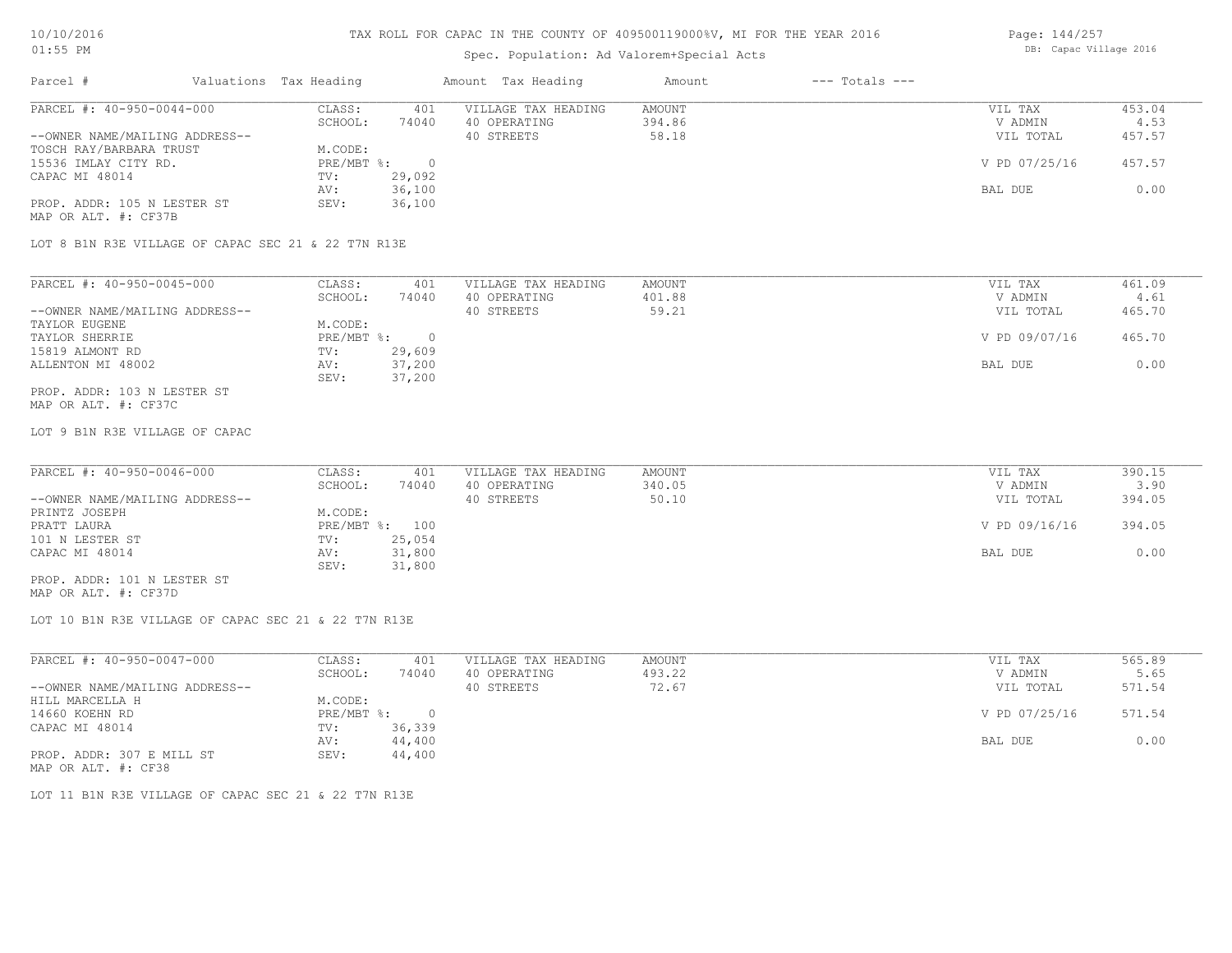## Spec. Population: Ad Valorem+Special Acts

| Page: 144/257          |  |
|------------------------|--|
| DB: Capac Village 2016 |  |

| Parcel #                       | Valuations Tax Heading |        | Amount Tax Heading  | Amount | $---$ Totals $---$ |               |        |
|--------------------------------|------------------------|--------|---------------------|--------|--------------------|---------------|--------|
| PARCEL #: 40-950-0044-000      | CLASS:                 | 401    | VILLAGE TAX HEADING | AMOUNT |                    | VIL TAX       | 453.04 |
|                                | SCHOOL:                | 74040  | 40 OPERATING        | 394.86 |                    | V ADMIN       | 4.53   |
| --OWNER NAME/MAILING ADDRESS-- |                        |        | 40 STREETS          | 58.18  |                    | VIL TOTAL     | 457.57 |
| TOSCH RAY/BARBARA TRUST        | M.CODE:                |        |                     |        |                    |               |        |
| 15536 IMLAY CITY RD.           | $PRE/MBT$ %:           |        |                     |        |                    | V PD 07/25/16 | 457.57 |
| CAPAC MI 48014                 | TV:                    | 29,092 |                     |        |                    |               |        |
|                                | AV:                    | 36,100 |                     |        |                    | BAL DUE       | 0.00   |
| PROP. ADDR: 105 N LESTER ST    | SEV:                   | 36,100 |                     |        |                    |               |        |
| MAP OR ALT. #: CF37B           |                        |        |                     |        |                    |               |        |

LOT 8 B1N R3E VILLAGE OF CAPAC SEC 21 & 22 T7N R13E

| PARCEL #: 40-950-0045-000      | CLASS:     | 401    | VILLAGE TAX HEADING | AMOUNT | VIL TAX       | 461.09 |
|--------------------------------|------------|--------|---------------------|--------|---------------|--------|
|                                | SCHOOL:    | 74040  | 40 OPERATING        | 401.88 | V ADMIN       | 4.61   |
| --OWNER NAME/MAILING ADDRESS-- |            |        | 40 STREETS          | 59.21  | VIL TOTAL     | 465.70 |
| TAYLOR EUGENE                  | M.CODE:    |        |                     |        |               |        |
| TAYLOR SHERRIE                 | PRE/MBT %: |        |                     |        | V PD 09/07/16 | 465.70 |
| 15819 ALMONT RD                | TV:        | 29,609 |                     |        |               |        |
| ALLENTON MI 48002              | AV:        | 37,200 |                     |        | BAL DUE       | 0.00   |
|                                | SEV:       | 37,200 |                     |        |               |        |
| PROP. ADDR: 103 N LESTER ST    |            |        |                     |        |               |        |

MAP OR ALT. #: CF37C

LOT 9 B1N R3E VILLAGE OF CAPAC

| PARCEL #: 40-950-0046-000      | CLASS:  | 401            | VILLAGE TAX HEADING | AMOUNT | VIL TAX       | 390.15 |
|--------------------------------|---------|----------------|---------------------|--------|---------------|--------|
|                                | SCHOOL: | 74040          | 40 OPERATING        | 340.05 | V ADMIN       | 3.90   |
| --OWNER NAME/MAILING ADDRESS-- |         |                | 40 STREETS          | 50.10  | VIL TOTAL     | 394.05 |
| PRINTZ JOSEPH                  | M.CODE: |                |                     |        |               |        |
| PRATT LAURA                    |         | PRE/MBT %: 100 |                     |        | V PD 09/16/16 | 394.05 |
| 101 N LESTER ST                | TV:     | 25,054         |                     |        |               |        |
| CAPAC MI 48014                 | AV:     | 31,800         |                     |        | BAL DUE       | 0.00   |
|                                | SEV:    | 31,800         |                     |        |               |        |
| PROP. ADDR: 101 N LESTER ST    |         |                |                     |        |               |        |

MAP OR ALT. #: CF37D

LOT 10 B1N R3E VILLAGE OF CAPAC SEC 21 & 22 T7N R13E

| PARCEL #: 40-950-0047-000      | CLASS:     | 401    | VILLAGE TAX HEADING | AMOUNT | VIL TAX       | 565.89 |
|--------------------------------|------------|--------|---------------------|--------|---------------|--------|
|                                | SCHOOL:    | 74040  | 40 OPERATING        | 493.22 | V ADMIN       | 5.65   |
| --OWNER NAME/MAILING ADDRESS-- |            |        | 40 STREETS          | 72.67  | VIL TOTAL     | 571.54 |
| HILL MARCELLA H                | M.CODE:    |        |                     |        |               |        |
| 14660 KOEHN RD                 | PRE/MBT %: |        |                     |        | V PD 07/25/16 | 571.54 |
| CAPAC MI 48014                 | TV:        | 36,339 |                     |        |               |        |
|                                | AV:        | 44,400 |                     |        | BAL DUE       | 0.00   |
| PROP. ADDR: 307 E MILL ST      | SEV:       | 44,400 |                     |        |               |        |
| MAP OR ALT. #: CF38            |            |        |                     |        |               |        |

LOT 11 B1N R3E VILLAGE OF CAPAC SEC 21 & 22 T7N R13E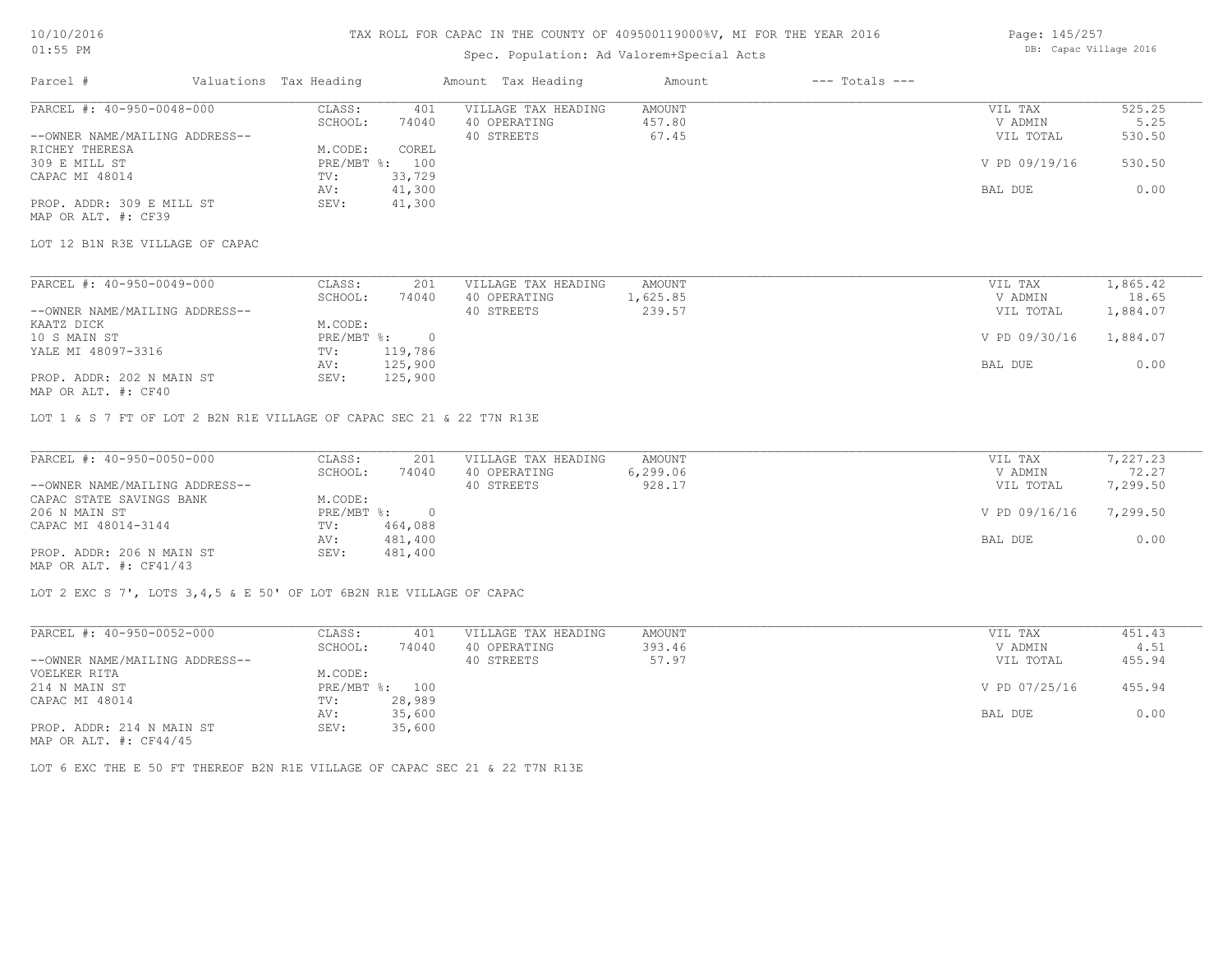### Spec. Population: Ad Valorem+Special Acts

| Page: 145/257 |                        |  |
|---------------|------------------------|--|
|               | DB: Capac Village 2016 |  |

| Parcel #                       | Valuations Tax Heading |        | Amount Tax Heading  | Amount | $---$ Totals $---$ |               |        |
|--------------------------------|------------------------|--------|---------------------|--------|--------------------|---------------|--------|
| PARCEL #: 40-950-0048-000      | CLASS:                 | 401    | VILLAGE TAX HEADING | AMOUNT |                    | VIL TAX       | 525.25 |
|                                | SCHOOL:                | 74040  | 40 OPERATING        | 457.80 |                    | V ADMIN       | 5.25   |
| --OWNER NAME/MAILING ADDRESS-- |                        |        | 40 STREETS          | 67.45  |                    | VIL TOTAL     | 530.50 |
| RICHEY THERESA                 | M.CODE:                | COREL  |                     |        |                    |               |        |
| 309 E MILL ST                  | $PRE/MBT$ %:           | 100    |                     |        |                    | V PD 09/19/16 | 530.50 |
| CAPAC MI 48014                 | TV:                    | 33,729 |                     |        |                    |               |        |
|                                | AV:                    | 41,300 |                     |        |                    | BAL DUE       | 0.00   |
| PROP. ADDR: 309 E MILL ST      | SEV:                   | 41,300 |                     |        |                    |               |        |
| MAP OR ALT. #: CF39            |                        |        |                     |        |                    |               |        |

LOT 12 B1N R3E VILLAGE OF CAPAC

| PARCEL #: 40-950-0049-000      | CLASS:     | 201     | VILLAGE TAX HEADING | AMOUNT   | VIL TAX       | 1,865.42 |
|--------------------------------|------------|---------|---------------------|----------|---------------|----------|
|                                | SCHOOL:    | 74040   | 40 OPERATING        | 1,625.85 | V ADMIN       | 18.65    |
| --OWNER NAME/MAILING ADDRESS-- |            |         | 40 STREETS          | 239.57   | VIL TOTAL     | 1,884.07 |
| KAATZ DICK                     | M.CODE:    |         |                     |          |               |          |
| 10 S MAIN ST                   | PRE/MBT %: |         |                     |          | V PD 09/30/16 | 1,884.07 |
| YALE MI 48097-3316             | TV:        | 119,786 |                     |          |               |          |
|                                | AV:        | 125,900 |                     |          | BAL DUE       | 0.00     |
| PROP. ADDR: 202 N MAIN ST      | SEV:       | 125,900 |                     |          |               |          |
|                                |            |         |                     |          |               |          |

MAP OR ALT. #: CF40

LOT 1 & S 7 FT OF LOT 2 B2N R1E VILLAGE OF CAPAC SEC 21 & 22 T7N R13E

| PARCEL #: 40-950-0050-000      | CLASS:       | 201     | VILLAGE TAX HEADING | AMOUNT   | VIL TAX       | 7,227.23 |
|--------------------------------|--------------|---------|---------------------|----------|---------------|----------|
|                                | SCHOOL:      | 74040   | 40 OPERATING        | 6,299.06 | V ADMIN       | 72.27    |
| --OWNER NAME/MAILING ADDRESS-- |              |         | 40 STREETS          | 928.17   | VIL TOTAL     | 7,299.50 |
| CAPAC STATE SAVINGS BANK       | M.CODE:      |         |                     |          |               |          |
| 206 N MAIN ST                  | $PRE/MBT$ %: |         |                     |          | V PD 09/16/16 | 7,299.50 |
| CAPAC MI 48014-3144            | TV:          | 464,088 |                     |          |               |          |
|                                | AV:          | 481,400 |                     |          | BAL DUE       | 0.00     |
| PROP. ADDR: 206 N MAIN ST      | SEV:         | 481,400 |                     |          |               |          |
| MAP OR ALT. $\#$ : CF41/43     |              |         |                     |          |               |          |

LOT 2 EXC S 7', LOTS 3,4,5 & E 50' OF LOT 6B2N R1E VILLAGE OF CAPAC

| PARCEL #: 40-950-0052-000      | CLASS:     | 401    | VILLAGE TAX HEADING | AMOUNT | VIL TAX       | 451.43 |
|--------------------------------|------------|--------|---------------------|--------|---------------|--------|
|                                | SCHOOL:    | 74040  | 40 OPERATING        | 393.46 | V ADMIN       | 4.51   |
| --OWNER NAME/MAILING ADDRESS-- |            |        | 40 STREETS          | 57.97  | VIL TOTAL     | 455.94 |
| VOELKER RITA                   | M.CODE:    |        |                     |        |               |        |
| 214 N MAIN ST                  | PRE/MBT %: | 100    |                     |        | V PD 07/25/16 | 455.94 |
| CAPAC MI 48014                 | TV:        | 28,989 |                     |        |               |        |
|                                | AV:        | 35,600 |                     |        | BAL DUE       | 0.00   |
| PROP. ADDR: 214 N MAIN ST      | SEV:       | 35,600 |                     |        |               |        |

MAP OR ALT. #: CF44/45

LOT 6 EXC THE E 50 FT THEREOF B2N R1E VILLAGE OF CAPAC SEC 21 & 22 T7N R13E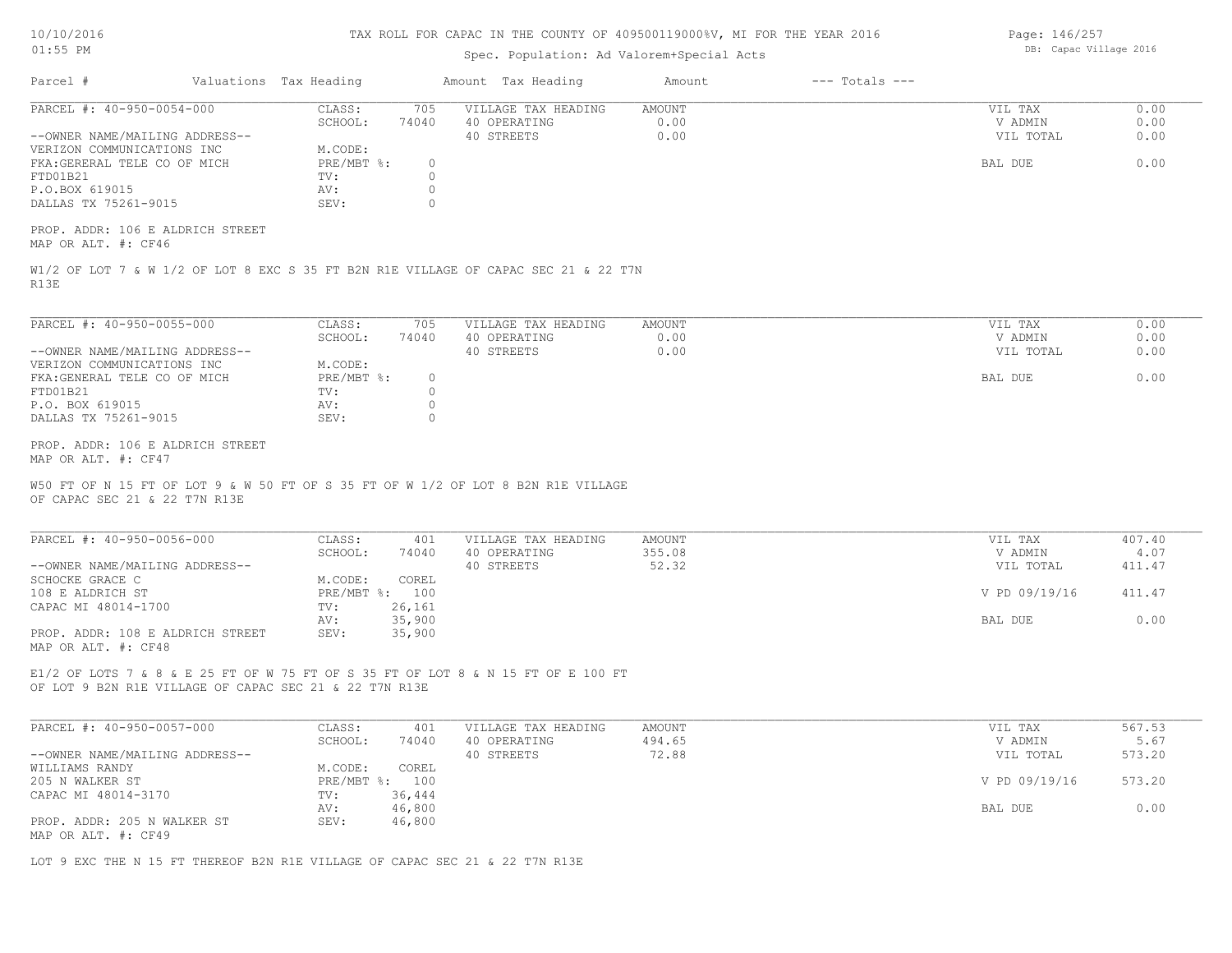| 10/10/2016 |  |
|------------|--|
| 01:55      |  |

### Spec. Population: Ad Valorem+Special Acts

Parcel # Valuations Tax Heading Amount Tax Heading Amount --- Totals ---R13E W1/2 OF LOT 7 & W 1/2 OF LOT 8 EXC S 35 FT B2N R1E VILLAGE OF CAPAC SEC 21 & 22 T7N MAP OR ALT. #: CF46 PROP. ADDR: 106 E ALDRICH STREET DALLAS TX 75261-9015 SEV: 0 P.O.BOX 619015 AV: 0 FTD01B21 TV: 0 FKA:GERERAL TELE CO OF MICH PRE/MBT %: 0 BAL DUE 0.00 VERIZON COMMUNICATIONS INC M.CODE: --OWNER NAME/MAILING ADDRESS-- 40 STREETS 0.00 VIL TOTAL 0.00 SCHOOL: 74040 40 OPERATING 0.00 V ADMIN 0.00 PARCEL #: 40-950-0054-000 CLASS: 705 VILLAGE TAX HEADING AMOUNT WIL TAX VIL TAX 0.00<br>SCHOOL: 74040 40 OPERATING 0.00 0.00 VADMIN 0.00  $\mathcal{L}_\mathcal{L} = \mathcal{L}_\mathcal{L} = \mathcal{L}_\mathcal{L} = \mathcal{L}_\mathcal{L} = \mathcal{L}_\mathcal{L} = \mathcal{L}_\mathcal{L} = \mathcal{L}_\mathcal{L} = \mathcal{L}_\mathcal{L} = \mathcal{L}_\mathcal{L} = \mathcal{L}_\mathcal{L} = \mathcal{L}_\mathcal{L} = \mathcal{L}_\mathcal{L} = \mathcal{L}_\mathcal{L} = \mathcal{L}_\mathcal{L} = \mathcal{L}_\mathcal{L} = \mathcal{L}_\mathcal{L} = \mathcal{L}_\mathcal{L}$ OF CAPAC SEC 21 & 22 T7N R13E W50 FT OF N 15 FT OF LOT 9 & W 50 FT OF S 35 FT OF W 1/2 OF LOT 8 B2N R1E VILLAGE MAP OR ALT. #: CF47 PROP. ADDR: 106 E ALDRICH STREET DALLAS TX 75261-9015 SEV: 0 P.O. BOX 619015 AV: 0 FTD01B21 TV: 0 FKA:GENERAL TELE CO OF MICH PRE/MBT %: 0<br>FTD01B21 BAL DUE 0.00 PRE/MBT %: 0 BAL DUE 0.00 VERIZON COMMUNICATIONS INC M.CODE: --OWNER NAME/MAILING ADDRESS-- 40 STREETS 0.00 VIL TOTAL 0.00 SCHOOL: 74040 40 OPERATING 0.00 V ADMIN 0.00 PARCEL #: 40-950-0055-000 CLASS: 705 VILLAGE TAX HEADING AMOUNT WIL TAX VIL TAX 0.00<br>SCHOOL: 74040 40 OPERATING 0.00 000 VADMIN 0.00 OF LOT 9 B2N R1E VILLAGE OF CAPAC SEC 21 & 22 T7N R13E E1/2 OF LOTS 7 & 8 & E 25 FT OF W 75 FT OF S 35 FT OF LOT 8 & N 15 FT OF E 100 FT MAP OR ALT. #: CF48 PROP. ADDR: 108 E ALDRICH STREET SEV: 35,900 AV: 35,900 BAL DUE 0.00 CAPAC MI 48014-1700 TV: 26,161 108 E ALDRICH ST PRE/MBT %: 100 V PD 09/19/16 411.47 SCHOCKE GRACE C<br>
M.CODE: COREL --OWNER NAME/MAILING ADDRESS-- 40 STREETS 52.32 VIL TOTAL 411.47 SCHOOL: 74040 40 OPERATING 355.08 V ADMIN 4.07 PARCEL #: 40-950-0056-000 CLASS: 401 VILLAGE TAX HEADING AMOUNT VIL TAX VIL TAX 407.40<br>SCHOOL: 74040 40 OPERATING 355.08 VADMIN 4.07  $\mathcal{L}_\mathcal{L} = \mathcal{L}_\mathcal{L} = \mathcal{L}_\mathcal{L} = \mathcal{L}_\mathcal{L} = \mathcal{L}_\mathcal{L} = \mathcal{L}_\mathcal{L} = \mathcal{L}_\mathcal{L} = \mathcal{L}_\mathcal{L} = \mathcal{L}_\mathcal{L} = \mathcal{L}_\mathcal{L} = \mathcal{L}_\mathcal{L} = \mathcal{L}_\mathcal{L} = \mathcal{L}_\mathcal{L} = \mathcal{L}_\mathcal{L} = \mathcal{L}_\mathcal{L} = \mathcal{L}_\mathcal{L} = \mathcal{L}_\mathcal{L}$ MAP OR ALT. #: CF49 PROP. ADDR: 205 N WALKER ST SEV: 46,800 AV: 46,800 BAL DUE 0.00 CAPAC MI 48014-3170 TV: 36,444<br>AV: 46,800 205 N WALKER ST PRE/MBT %: 100 V PD 09/19/16 573.20 WILLIAMS RANDY **M.CODE:** COREL 205 N WALKER ST --OWNER NAME/MAILING ADDRESS-- 40 STREETS 72.88 VIL TOTAL 573.20 SCHOOL: 74040 40 OPERATING 494.65 494.65 V ADMIN 5.67 PARCEL #: 40-950-0057-000 CLASS: 401 VILLAGE TAX HEADING AMOUNT AMOUNT VIL TAX 567.53<br>567.53 SCHOOL: 74040 40 OPERATING 494.65 VADMIN 5.67  $\mathcal{L}_\mathcal{L} = \mathcal{L}_\mathcal{L} = \mathcal{L}_\mathcal{L} = \mathcal{L}_\mathcal{L} = \mathcal{L}_\mathcal{L} = \mathcal{L}_\mathcal{L} = \mathcal{L}_\mathcal{L} = \mathcal{L}_\mathcal{L} = \mathcal{L}_\mathcal{L} = \mathcal{L}_\mathcal{L} = \mathcal{L}_\mathcal{L} = \mathcal{L}_\mathcal{L} = \mathcal{L}_\mathcal{L} = \mathcal{L}_\mathcal{L} = \mathcal{L}_\mathcal{L} = \mathcal{L}_\mathcal{L} = \mathcal{L}_\mathcal{L}$ 

LOT 9 EXC THE N 15 FT THEREOF B2N R1E VILLAGE OF CAPAC SEC 21 & 22 T7N R13E

Page: 146/257 DB: Capac Village 2016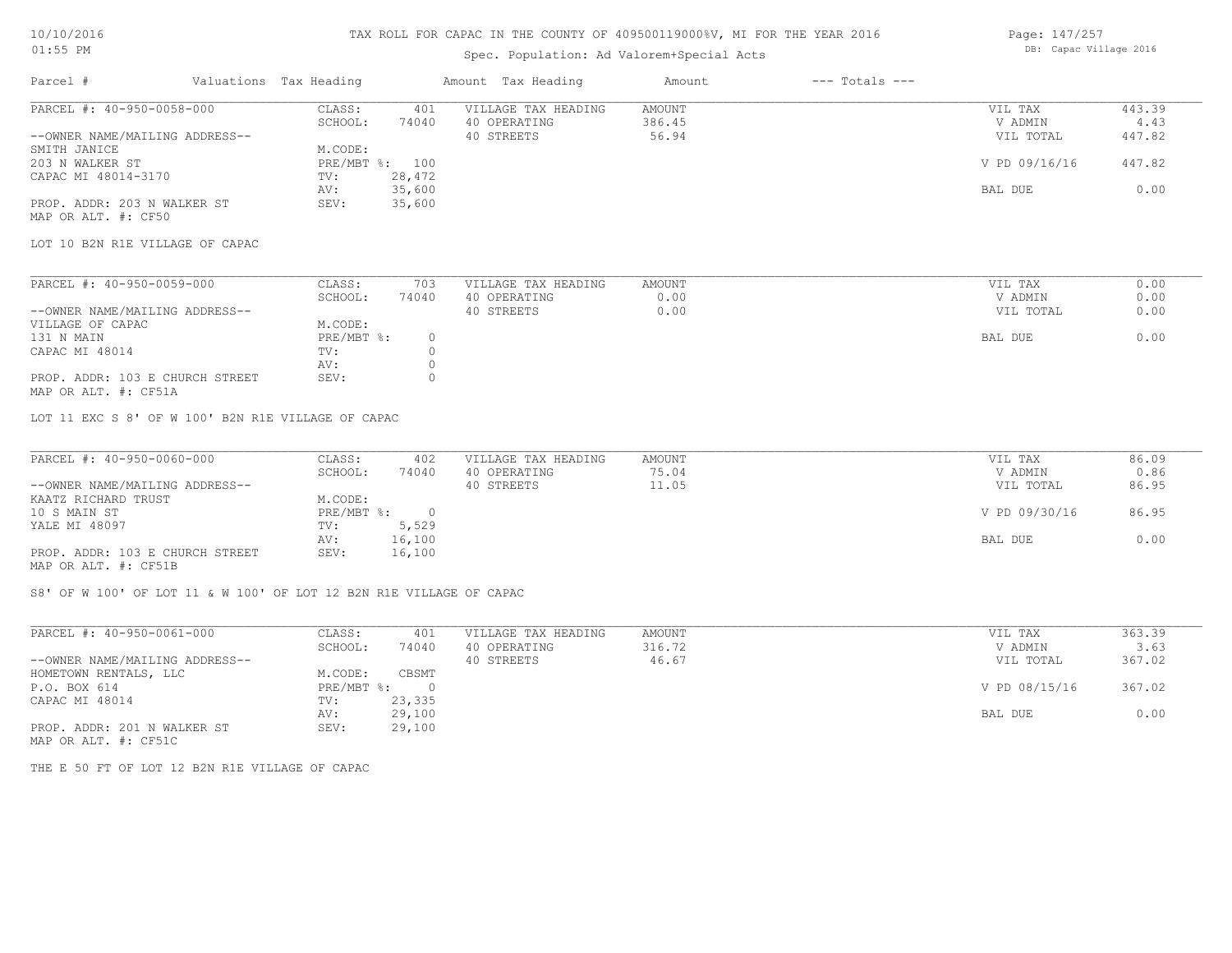## 10/10/2016 01:55 PM

### TAX ROLL FOR CAPAC IN THE COUNTY OF 409500119000%V, MI FOR THE YEAR 2016

### Spec. Population: Ad Valorem+Special Acts

Page: 147/257 DB: Capac Village 2016

| Parcel #                       | Valuations Tax Heading |        | Amount Tax Heading  | Amount | $---$ Totals $---$ |               |        |
|--------------------------------|------------------------|--------|---------------------|--------|--------------------|---------------|--------|
| PARCEL #: 40-950-0058-000      | CLASS:                 | 401    | VILLAGE TAX HEADING | AMOUNT |                    | VIL TAX       | 443.39 |
|                                | SCHOOL:                | 74040  | 40 OPERATING        | 386.45 |                    | V ADMIN       | 4.43   |
| --OWNER NAME/MAILING ADDRESS-- |                        |        | 40 STREETS          | 56.94  |                    | VIL TOTAL     | 447.82 |
| SMITH JANICE                   | M.CODE:                |        |                     |        |                    |               |        |
| 203 N WALKER ST                | $PRE/MBT$ %:           | 100    |                     |        |                    | V PD 09/16/16 | 447.82 |
| CAPAC MI 48014-3170            | TV:                    | 28,472 |                     |        |                    |               |        |
|                                | AV:                    | 35,600 |                     |        |                    | BAL DUE       | 0.00   |
| PROP. ADDR: 203 N WALKER ST    | SEV:                   | 35,600 |                     |        |                    |               |        |
| MAP OR ALT. #: CF50            |                        |        |                     |        |                    |               |        |

LOT 10 B2N R1E VILLAGE OF CAPAC

| PARCEL #: 40-950-0059-000                                                                                       | CLASS:     | 703   | VILLAGE TAX HEADING | AMOUNT | VIL TAX   | 0.00 |
|-----------------------------------------------------------------------------------------------------------------|------------|-------|---------------------|--------|-----------|------|
|                                                                                                                 | SCHOOL:    | 74040 | 40 OPERATING        | 0.00   | V ADMIN   | 0.00 |
| --OWNER NAME/MAILING ADDRESS--                                                                                  |            |       | 40 STREETS          | 0.00   | VIL TOTAL | 0.00 |
| VILLAGE OF CAPAC                                                                                                | M.CODE:    |       |                     |        |           |      |
| 131 N MAIN                                                                                                      | PRE/MBT %: |       |                     |        | BAL DUE   | 0.00 |
| CAPAC MI 48014                                                                                                  | TV:        |       |                     |        |           |      |
|                                                                                                                 | AV:        |       |                     |        |           |      |
| PROP. ADDR: 103 E CHURCH STREET                                                                                 | SEV:       |       |                     |        |           |      |
| the contract of the contract of the contract of the contract of the contract of the contract of the contract of |            |       |                     |        |           |      |

MAP OR ALT. #: CF51A

LOT 11 EXC S 8' OF W 100' B2N R1E VILLAGE OF CAPAC

| PARCEL #: 40-950-0060-000       | CLASS:     | 402    | VILLAGE TAX HEADING | AMOUNT | VIL TAX       | 86.09 |
|---------------------------------|------------|--------|---------------------|--------|---------------|-------|
|                                 | SCHOOL:    | 74040  | 40 OPERATING        | 75.04  | V ADMIN       | 0.86  |
| --OWNER NAME/MAILING ADDRESS--  |            |        | 40 STREETS          | 11.05  | VIL TOTAL     | 86.95 |
| KAATZ RICHARD TRUST             | M.CODE:    |        |                     |        |               |       |
| 10 S MAIN ST                    | PRE/MBT %: |        |                     |        | V PD 09/30/16 | 86.95 |
| YALE MI 48097                   | TV:        | 5,529  |                     |        |               |       |
|                                 | AV:        | 16,100 |                     |        | BAL DUE       | 0.00  |
| PROP. ADDR: 103 E CHURCH STREET | SEV:       | 16,100 |                     |        |               |       |
| MAP OR ALT. #: CF51B            |            |        |                     |        |               |       |

S8' OF W 100' OF LOT 11 & W 100' OF LOT 12 B2N R1E VILLAGE OF CAPAC

| PARCEL #: 40-950-0061-000                    | CLASS:     | 401      | VILLAGE TAX HEADING | AMOUNT | VIL TAX       | 363.39 |
|----------------------------------------------|------------|----------|---------------------|--------|---------------|--------|
|                                              | SCHOOL:    | 74040    | 40 OPERATING        | 316.72 | V ADMIN       | 3.63   |
| --OWNER NAME/MAILING ADDRESS--               |            |          | 40 STREETS          | 46.67  | VIL TOTAL     | 367.02 |
| HOMETOWN RENTALS, LLC                        | M.CODE:    | CBSMT    |                     |        |               |        |
| P.O. BOX 614                                 | PRE/MBT %: | $\Omega$ |                     |        | V PD 08/15/16 | 367.02 |
| CAPAC MI 48014                               | TV:        | 23,335   |                     |        |               |        |
|                                              | AV:        | 29,100   |                     |        | BAL DUE       | 0.00   |
| PROP. ADDR: 201 N WALKER ST                  | SEV:       | 29,100   |                     |        |               |        |
| $\cdots$ $\cdots$ $\cdots$ $\cdots$ $\cdots$ |            |          |                     |        |               |        |

MAP OR ALT. #: CF51C

THE E 50 FT OF LOT 12 B2N R1E VILLAGE OF CAPAC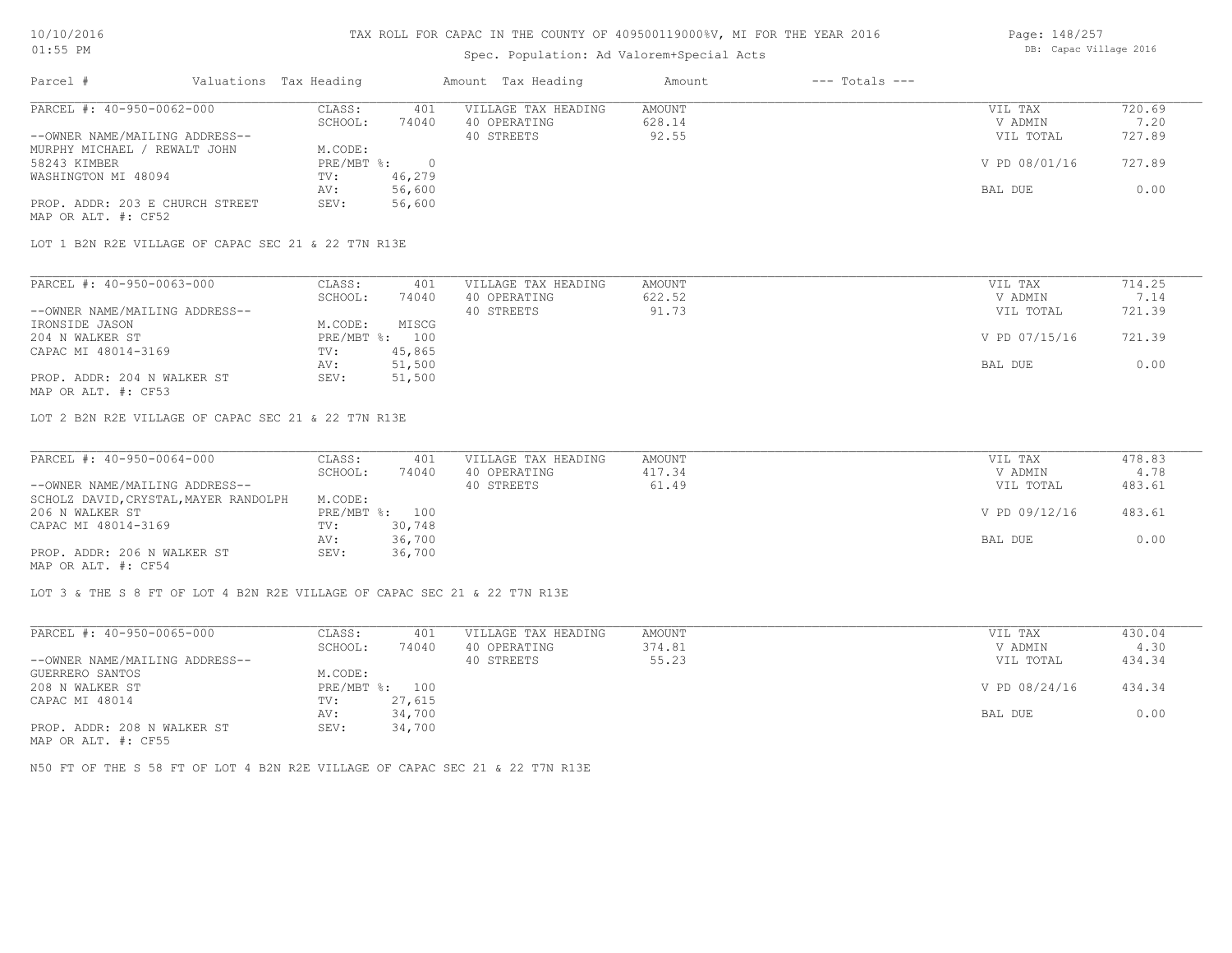# Spec. Population: Ad Valorem+Special Acts

| Page: 148/257 |                        |  |
|---------------|------------------------|--|
|               | DB: Capac Village 2016 |  |

| Parcel #                        | Valuations Tax Heading |        | Amount Tax Heading  | Amount | $---$ Totals $---$ |               |        |
|---------------------------------|------------------------|--------|---------------------|--------|--------------------|---------------|--------|
| PARCEL #: 40-950-0062-000       | CLASS:                 | 401    | VILLAGE TAX HEADING | AMOUNT |                    | VIL TAX       | 720.69 |
|                                 | SCHOOL:                | 74040  | 40 OPERATING        | 628.14 |                    | V ADMIN       | 7.20   |
| --OWNER NAME/MAILING ADDRESS--  |                        |        | 40 STREETS          | 92.55  |                    | VIL TOTAL     | 727.89 |
| MURPHY MICHAEL / REWALT JOHN    | M.CODE:                |        |                     |        |                    |               |        |
| 58243 KIMBER                    | PRE/MBT %:             |        |                     |        |                    | V PD 08/01/16 | 727.89 |
| WASHINGTON MI 48094             | TV:                    | 46,279 |                     |        |                    |               |        |
|                                 | AV:                    | 56,600 |                     |        |                    | BAL DUE       | 0.00   |
| PROP. ADDR: 203 E CHURCH STREET | SEV:                   | 56,600 |                     |        |                    |               |        |
| MAP OR ALT. #: CF52             |                        |        |                     |        |                    |               |        |

LOT 1 B2N R2E VILLAGE OF CAPAC SEC 21 & 22 T7N R13E

| PARCEL #: 40-950-0063-000      | CLASS:  | 401            | VILLAGE TAX HEADING | AMOUNT | VIL TAX       | 714.25 |
|--------------------------------|---------|----------------|---------------------|--------|---------------|--------|
|                                | SCHOOL: | 74040          | 40 OPERATING        | 622.52 | V ADMIN       | 7.14   |
| --OWNER NAME/MAILING ADDRESS-- |         |                | 40 STREETS          | 91.73  | VIL TOTAL     | 721.39 |
| IRONSIDE JASON                 | M.CODE: | MISCG          |                     |        |               |        |
| 204 N WALKER ST                |         | PRE/MBT %: 100 |                     |        | V PD 07/15/16 | 721.39 |
| CAPAC MI 48014-3169            | TV:     | 45,865         |                     |        |               |        |
|                                | AV:     | 51,500         |                     |        | BAL DUE       | 0.00   |
| PROP. ADDR: 204 N WALKER ST    | SEV:    | 51,500         |                     |        |               |        |
| MAP OR ALT. #: CF53            |         |                |                     |        |               |        |

LOT 2 B2N R2E VILLAGE OF CAPAC SEC 21 & 22 T7N R13E

| PARCEL #: 40-950-0064-000             | CLASS:  | 401            | VILLAGE TAX HEADING | AMOUNT | VIL TAX       | 478.83 |
|---------------------------------------|---------|----------------|---------------------|--------|---------------|--------|
|                                       | SCHOOL: | 74040          | 40 OPERATING        | 417.34 | V ADMIN       | 4.78   |
| --OWNER NAME/MAILING ADDRESS--        |         |                | 40 STREETS          | 61.49  | VIL TOTAL     | 483.61 |
| SCHOLZ DAVID, CRYSTAL, MAYER RANDOLPH | M.CODE: |                |                     |        |               |        |
| 206 N WALKER ST                       |         | PRE/MBT %: 100 |                     |        | V PD 09/12/16 | 483.61 |
| CAPAC MI 48014-3169                   | TV:     | 30,748         |                     |        |               |        |
|                                       | AV:     | 36,700         |                     |        | BAL DUE       | 0.00   |
| PROP. ADDR: 206 N WALKER ST           | SEV:    | 36,700         |                     |        |               |        |
| MAP OR ALT. #: CF54                   |         |                |                     |        |               |        |

LOT 3 & THE S 8 FT OF LOT 4 B2N R2E VILLAGE OF CAPAC SEC 21 & 22 T7N R13E

| PARCEL #: 40-950-0065-000                         | CLASS:     | 401    | VILLAGE TAX HEADING | AMOUNT | VIL TAX       | 430.04 |
|---------------------------------------------------|------------|--------|---------------------|--------|---------------|--------|
|                                                   | SCHOOL:    | 74040  | 40 OPERATING        | 374.81 | V ADMIN       | 4.30   |
| --OWNER NAME/MAILING ADDRESS--                    |            |        | 40 STREETS          | 55.23  | VIL TOTAL     | 434.34 |
| GUERRERO SANTOS                                   | M.CODE:    |        |                     |        |               |        |
| 208 N WALKER ST                                   | PRE/MBT %: | 100    |                     |        | V PD 08/24/16 | 434.34 |
| CAPAC MI 48014                                    | TV:        | 27,615 |                     |        |               |        |
|                                                   | AV:        | 34,700 |                     |        | BAL DUE       | 0.00   |
| PROP. ADDR: 208 N WALKER ST<br>MAD OD ATM 4. OBEE | SEV:       | 34,700 |                     |        |               |        |

MAP OR ALT. #: CF55

N50 FT OF THE S 58 FT OF LOT 4 B2N R2E VILLAGE OF CAPAC SEC 21 & 22 T7N R13E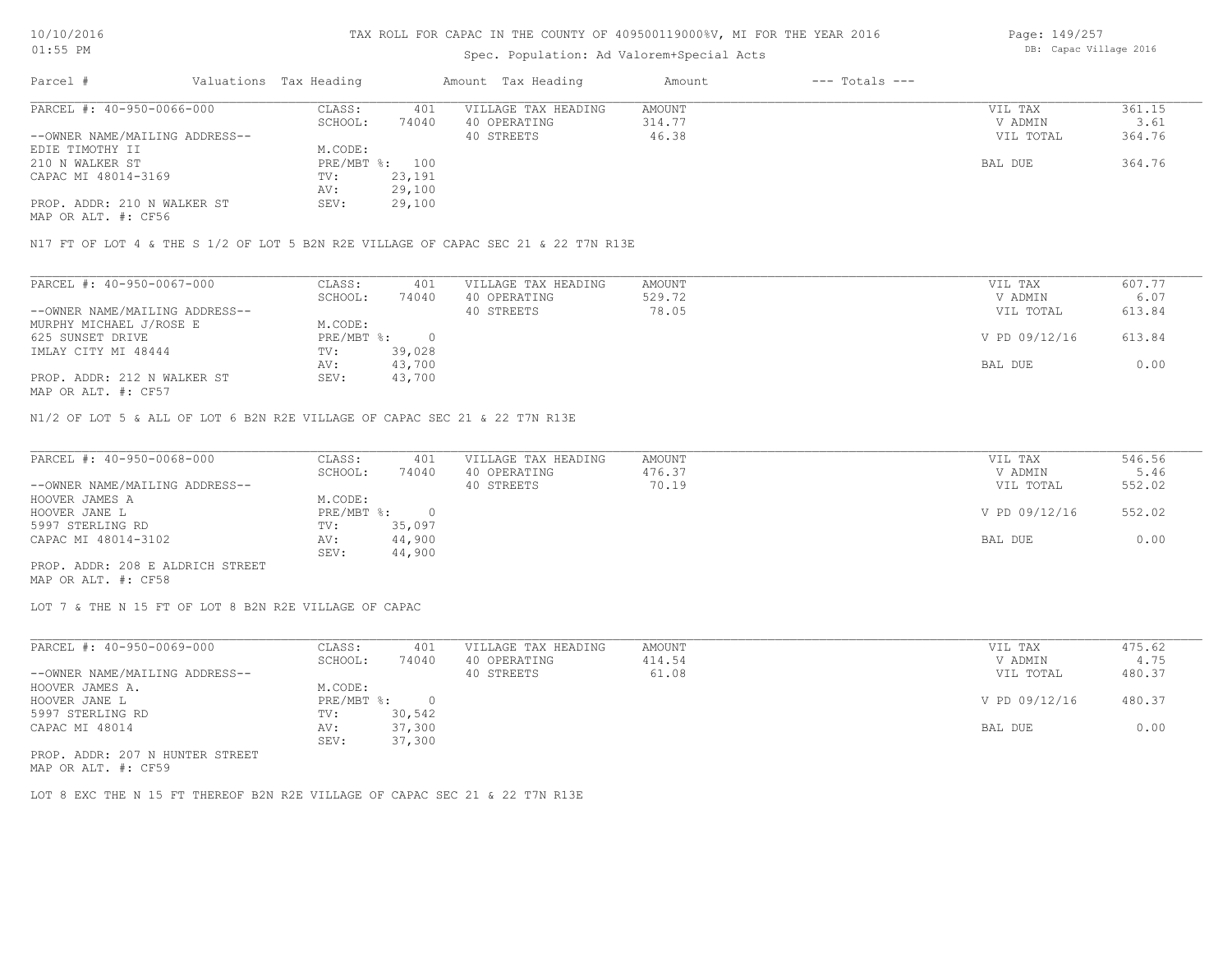# Spec. Population: Ad Valorem+Special Acts

Page: 149/257 DB: Capac Village 2016

| Parcel #                                     | Valuations Tax Heading |        | Amount Tax Heading  | Amount | $---$ Totals $---$ |           |        |
|----------------------------------------------|------------------------|--------|---------------------|--------|--------------------|-----------|--------|
| PARCEL #: 40-950-0066-000                    | CLASS:                 | 401    | VILLAGE TAX HEADING | AMOUNT |                    | VIL TAX   | 361.15 |
|                                              | SCHOOL:                | 74040  | 40 OPERATING        | 314.77 |                    | V ADMIN   | 3.61   |
| --OWNER NAME/MAILING ADDRESS--               |                        |        | 40 STREETS          | 46.38  |                    | VIL TOTAL | 364.76 |
| EDIE TIMOTHY II                              | M.CODE:                |        |                     |        |                    |           |        |
| 210 N WALKER ST                              | PRE/MBT %: 100         |        |                     |        |                    | BAL DUE   | 364.76 |
| CAPAC MI 48014-3169                          | TV:                    | 23,191 |                     |        |                    |           |        |
|                                              | AV:                    | 29,100 |                     |        |                    |           |        |
| PROP. ADDR: 210 N WALKER ST                  | SEV:                   | 29,100 |                     |        |                    |           |        |
| $\cdots$ $\cdots$ $\cdots$ $\cdots$ $\cdots$ |                        |        |                     |        |                    |           |        |

MAP OR ALT. #: CF56

N17 FT OF LOT 4 & THE S 1/2 OF LOT 5 B2N R2E VILLAGE OF CAPAC SEC 21 & 22 T7N R13E

| PARCEL #: 40-950-0067-000      | CLASS:     | 401    | VILLAGE TAX HEADING | AMOUNT | VIL TAX       | 607.77 |
|--------------------------------|------------|--------|---------------------|--------|---------------|--------|
|                                | SCHOOL:    | 74040  | 40 OPERATING        | 529.72 | V ADMIN       | 6.07   |
| --OWNER NAME/MAILING ADDRESS-- |            |        | 40 STREETS          | 78.05  | VIL TOTAL     | 613.84 |
| MURPHY MICHAEL J/ROSE E        | M.CODE:    |        |                     |        |               |        |
| 625 SUNSET DRIVE               | PRE/MBT %: |        |                     |        | V PD 09/12/16 | 613.84 |
| IMLAY CITY MI 48444            | TV:        | 39,028 |                     |        |               |        |
|                                | AV:        | 43,700 |                     |        | BAL DUE       | 0.00   |
| PROP. ADDR: 212 N WALKER ST    | SEV:       | 43,700 |                     |        |               |        |
| MAP OR ALT. #: CF57            |            |        |                     |        |               |        |

N1/2 OF LOT 5 & ALL OF LOT 6 B2N R2E VILLAGE OF CAPAC SEC 21 & 22 T7N R13E

| PARCEL #: 40-950-0068-000        | CLASS:     | 401    | VILLAGE TAX HEADING | AMOUNT | VIL TAX       | 546.56 |
|----------------------------------|------------|--------|---------------------|--------|---------------|--------|
|                                  | SCHOOL:    | 74040  | 40 OPERATING        | 476.37 | V ADMIN       | 5.46   |
| --OWNER NAME/MAILING ADDRESS--   |            |        | 40 STREETS          | 70.19  | VIL TOTAL     | 552.02 |
| HOOVER JAMES A                   | M.CODE:    |        |                     |        |               |        |
| HOOVER JANE L                    | PRE/MBT %: |        |                     |        | V PD 09/12/16 | 552.02 |
| 5997 STERLING RD                 | TV:        | 35,097 |                     |        |               |        |
| CAPAC MI 48014-3102              | AV:        | 44,900 |                     |        | BAL DUE       | 0.00   |
|                                  | SEV:       | 44,900 |                     |        |               |        |
| PROP. ADDR: 208 E ALDRICH STREET |            |        |                     |        |               |        |

MAP OR ALT. #: CF58

LOT 7 & THE N 15 FT OF LOT 8 B2N R2E VILLAGE OF CAPAC

| PARCEL #: 40-950-0069-000       | CLASS:       | 401    | VILLAGE TAX HEADING | AMOUNT | VIL TAX       | 475.62 |
|---------------------------------|--------------|--------|---------------------|--------|---------------|--------|
|                                 | SCHOOL:      | 74040  | 40 OPERATING        | 414.54 | V ADMIN       | 4.75   |
| --OWNER NAME/MAILING ADDRESS--  |              |        | 40 STREETS          | 61.08  | VIL TOTAL     | 480.37 |
| HOOVER JAMES A.                 | M.CODE:      |        |                     |        |               |        |
| HOOVER JANE L                   | $PRE/MBT$ %: |        |                     |        | V PD 09/12/16 | 480.37 |
| 5997 STERLING RD                | TV:          | 30,542 |                     |        |               |        |
| CAPAC MI 48014                  | AV:          | 37,300 |                     |        | BAL DUE       | 0.00   |
|                                 | SEV:         | 37,300 |                     |        |               |        |
| PROP. ADDR: 207 N HUNTER STREET |              |        |                     |        |               |        |

MAP OR ALT. #: CF59

LOT 8 EXC THE N 15 FT THEREOF B2N R2E VILLAGE OF CAPAC SEC 21 & 22 T7N R13E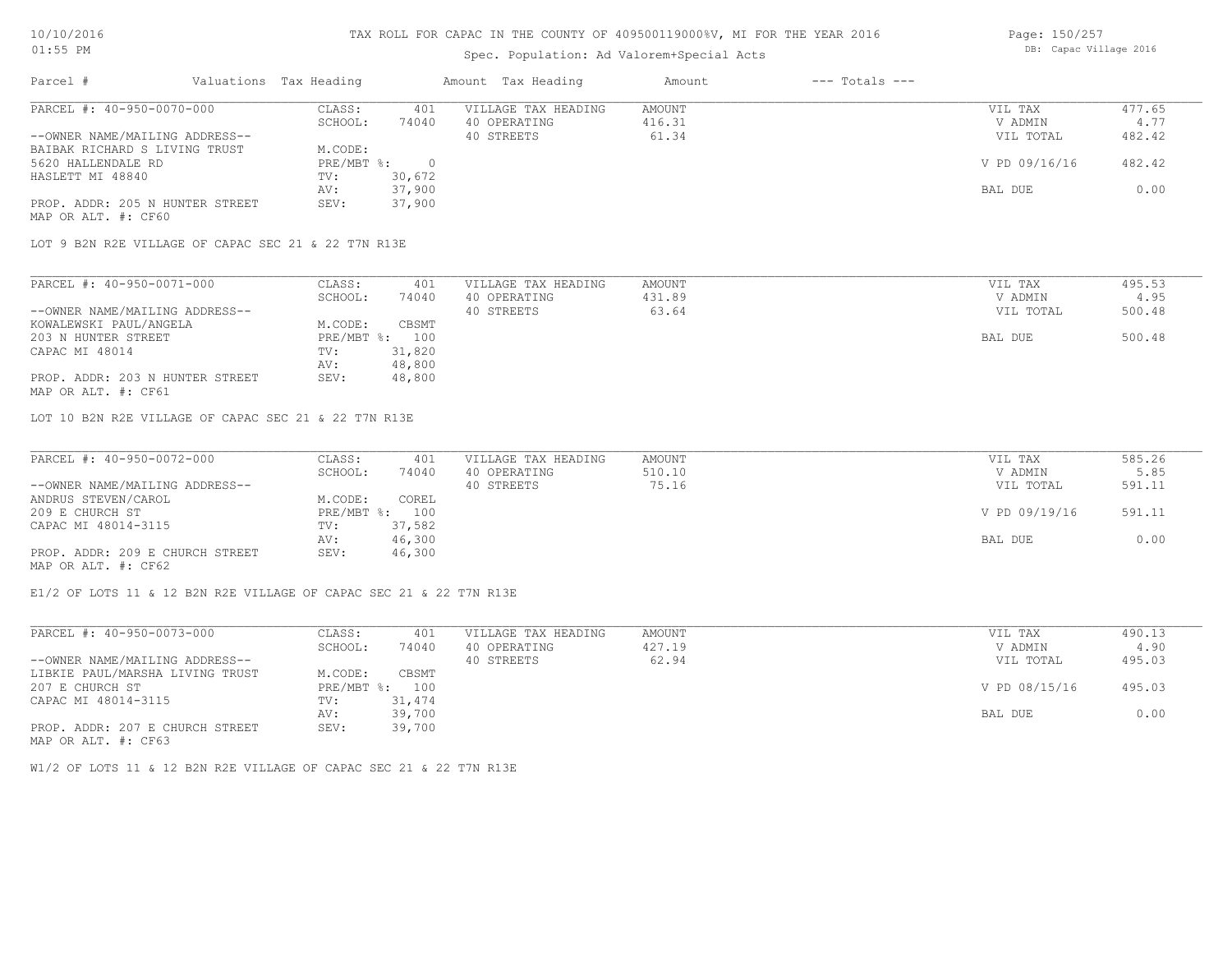## Spec. Population: Ad Valorem+Special Acts

| Page: 150/257 |                        |  |
|---------------|------------------------|--|
|               | DB: Capac Village 2016 |  |

| Parcel #                        | Valuations Tax Heading |        | Amount Tax Heading  | Amount | $---$ Totals $---$ |               |        |
|---------------------------------|------------------------|--------|---------------------|--------|--------------------|---------------|--------|
| PARCEL #: 40-950-0070-000       | CLASS:                 | 401    | VILLAGE TAX HEADING | AMOUNT |                    | VIL TAX       | 477.65 |
|                                 | SCHOOL:                | 74040  | 40 OPERATING        | 416.31 |                    | V ADMIN       | 4.77   |
| --OWNER NAME/MAILING ADDRESS--  |                        |        | 40 STREETS          | 61.34  |                    | VIL TOTAL     | 482.42 |
| BAIBAK RICHARD S LIVING TRUST   | M.CODE:                |        |                     |        |                    |               |        |
| 5620 HALLENDALE RD              | PRE/MBT %:             |        |                     |        |                    | V PD 09/16/16 | 482.42 |
| HASLETT MI 48840                | TV:                    | 30,672 |                     |        |                    |               |        |
|                                 | AV:                    | 37,900 |                     |        |                    | BAL DUE       | 0.00   |
| PROP. ADDR: 205 N HUNTER STREET | SEV:                   | 37,900 |                     |        |                    |               |        |
| MAP OR ALT. #: CF60             |                        |        |                     |        |                    |               |        |

LOT 9 B2N R2E VILLAGE OF CAPAC SEC 21 & 22 T7N R13E

| PARCEL #: 40-950-0071-000       | CLASS:  | 401            | VILLAGE TAX HEADING | AMOUNT | VIL TAX   | 495.53 |
|---------------------------------|---------|----------------|---------------------|--------|-----------|--------|
|                                 | SCHOOL: | 74040          | 40 OPERATING        | 431.89 | V ADMIN   | 4.95   |
| --OWNER NAME/MAILING ADDRESS--  |         |                | 40 STREETS          | 63.64  | VIL TOTAL | 500.48 |
| KOWALEWSKI PAUL/ANGELA          | M.CODE: | CBSMT          |                     |        |           |        |
| 203 N HUNTER STREET             |         | PRE/MBT %: 100 |                     |        | BAL DUE   | 500.48 |
| CAPAC MI 48014                  | TV:     | 31,820         |                     |        |           |        |
|                                 | AV:     | 48,800         |                     |        |           |        |
| PROP. ADDR: 203 N HUNTER STREET | SEV:    | 48,800         |                     |        |           |        |
| MAP OR ALT. #: CF61             |         |                |                     |        |           |        |

LOT 10 B2N R2E VILLAGE OF CAPAC SEC 21 & 22 T7N R13E

| PARCEL #: 40-950-0072-000       | CLASS:  | 401            | VILLAGE TAX HEADING | AMOUNT | VIL TAX       | 585.26 |
|---------------------------------|---------|----------------|---------------------|--------|---------------|--------|
|                                 | SCHOOL: | 74040          | 40 OPERATING        | 510.10 | V ADMIN       | 5.85   |
| --OWNER NAME/MAILING ADDRESS--  |         |                | 40 STREETS          | 75.16  | VIL TOTAL     | 591.11 |
| ANDRUS STEVEN/CAROL             | M.CODE: | COREL          |                     |        |               |        |
| 209 E CHURCH ST                 |         | PRE/MBT %: 100 |                     |        | V PD 09/19/16 | 591.11 |
| CAPAC MI 48014-3115             | TV:     | 37,582         |                     |        |               |        |
|                                 | AV:     | 46,300         |                     |        | BAL DUE       | 0.00   |
| PROP. ADDR: 209 E CHURCH STREET | SEV:    | 46,300         |                     |        |               |        |
| MAP OR ALT. #: CF62             |         |                |                     |        |               |        |

E1/2 OF LOTS 11 & 12 B2N R2E VILLAGE OF CAPAC SEC 21 & 22 T7N R13E

| PARCEL #: 40-950-0073-000       | CLASS:       | 401    | VILLAGE TAX HEADING | AMOUNT | VIL TAX       | 490.13 |
|---------------------------------|--------------|--------|---------------------|--------|---------------|--------|
|                                 | SCHOOL:      | 74040  | 40 OPERATING        | 427.19 | V ADMIN       | 4.90   |
| --OWNER NAME/MAILING ADDRESS--  |              |        | 40 STREETS          | 62.94  | VIL TOTAL     | 495.03 |
| LIBKIE PAUL/MARSHA LIVING TRUST | M.CODE:      | CBSMT  |                     |        |               |        |
| 207 E CHURCH ST                 | $PRE/MBT$ %: | 100    |                     |        | V PD 08/15/16 | 495.03 |
| CAPAC MI 48014-3115             | TV:          | 31,474 |                     |        |               |        |
|                                 | AV:          | 39,700 |                     |        | BAL DUE       | 0.00   |
| PROP. ADDR: 207 E CHURCH STREET | SEV:         | 39,700 |                     |        |               |        |
| MAP OR ALT. #: CF63             |              |        |                     |        |               |        |

W1/2 OF LOTS 11 & 12 B2N R2E VILLAGE OF CAPAC SEC 21 & 22 T7N R13E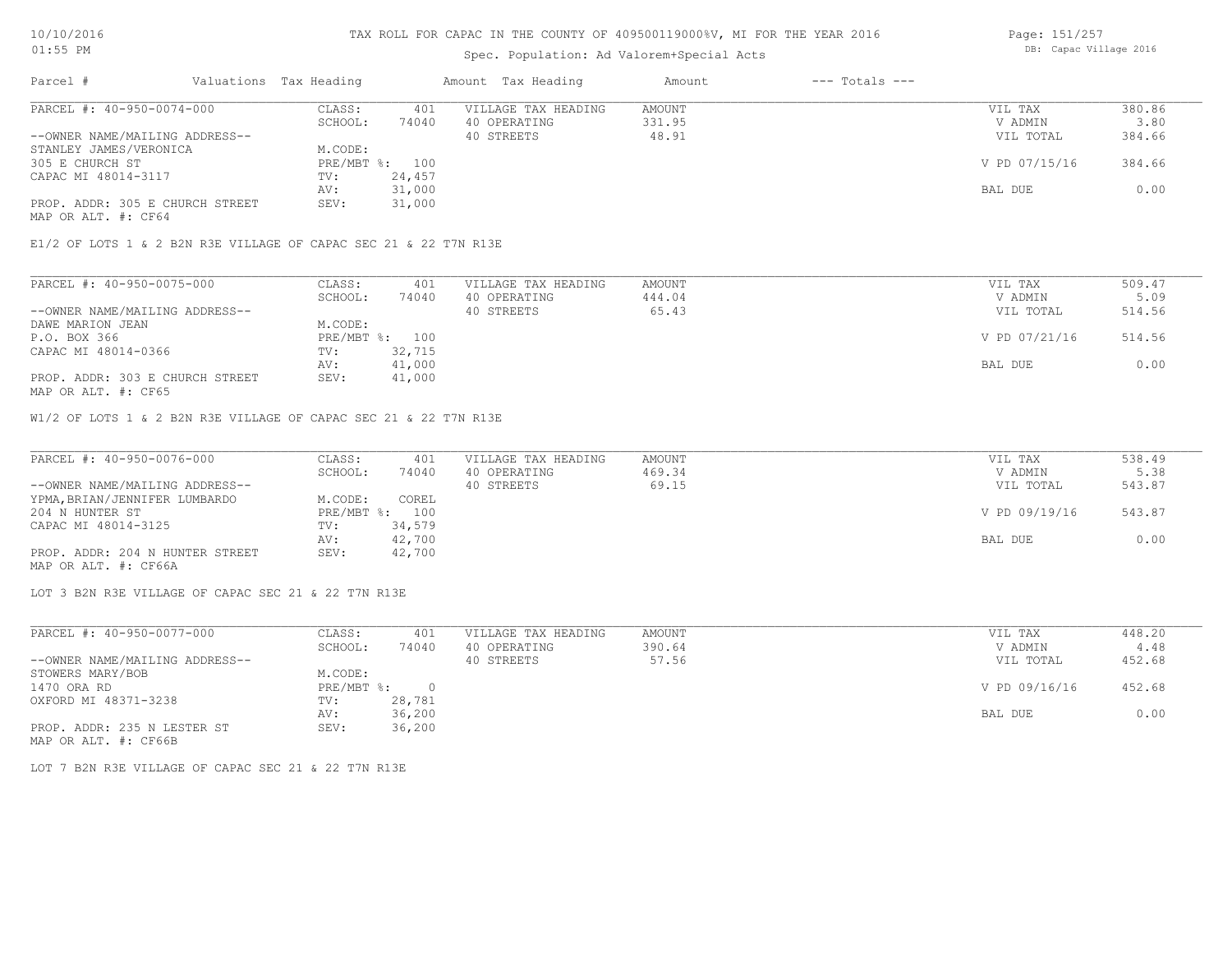# Spec. Population: Ad Valorem+Special Acts

| Page: 151/257          |  |  |  |  |  |
|------------------------|--|--|--|--|--|
| DB: Capac Village 2016 |  |  |  |  |  |

| Parcel #                        | Valuations Tax Heading |        | Amount Tax Heading  | Amount | $---$ Totals $---$ |               |        |
|---------------------------------|------------------------|--------|---------------------|--------|--------------------|---------------|--------|
| PARCEL #: 40-950-0074-000       | CLASS:                 | 401    | VILLAGE TAX HEADING | AMOUNT |                    | VIL TAX       | 380.86 |
|                                 | SCHOOL:                | 74040  | 40 OPERATING        | 331.95 |                    | V ADMIN       | 3.80   |
| --OWNER NAME/MAILING ADDRESS--  |                        |        | 40 STREETS          | 48.91  |                    | VIL TOTAL     | 384.66 |
| STANLEY JAMES/VERONICA          | M.CODE:                |        |                     |        |                    |               |        |
| 305 E CHURCH ST                 | PRE/MBT %: 100         |        |                     |        |                    | V PD 07/15/16 | 384.66 |
| CAPAC MI 48014-3117             | TV:                    | 24,457 |                     |        |                    |               |        |
|                                 | AV:                    | 31,000 |                     |        |                    | BAL DUE       | 0.00   |
| PROP. ADDR: 305 E CHURCH STREET | SEV:                   | 31,000 |                     |        |                    |               |        |
| MAP OR ALT. #: CF64             |                        |        |                     |        |                    |               |        |

E1/2 OF LOTS 1 & 2 B2N R3E VILLAGE OF CAPAC SEC 21 & 22 T7N R13E

| PARCEL #: 40-950-0075-000       | CLASS:  | 401            | VILLAGE TAX HEADING | AMOUNT | VIL TAX       | 509.47 |
|---------------------------------|---------|----------------|---------------------|--------|---------------|--------|
|                                 | SCHOOL: | 74040          | 40 OPERATING        | 444.04 | V ADMIN       | 5.09   |
| --OWNER NAME/MAILING ADDRESS--  |         |                | 40 STREETS          | 65.43  | VIL TOTAL     | 514.56 |
| DAWE MARION JEAN                | M.CODE: |                |                     |        |               |        |
| P.O. BOX 366                    |         | PRE/MBT %: 100 |                     |        | V PD 07/21/16 | 514.56 |
| CAPAC MI 48014-0366             | TV:     | 32,715         |                     |        |               |        |
|                                 | AV:     | 41,000         |                     |        | BAL DUE       | 0.00   |
| PROP. ADDR: 303 E CHURCH STREET | SEV:    | 41,000         |                     |        |               |        |
| MAP OR ALT. #: CF65             |         |                |                     |        |               |        |

W1/2 OF LOTS 1 & 2 B2N R3E VILLAGE OF CAPAC SEC 21 & 22 T7N R13E

| PARCEL #: 40-950-0076-000       | CLASS:  | 401            | VILLAGE TAX HEADING | AMOUNT | VIL TAX       | 538.49 |
|---------------------------------|---------|----------------|---------------------|--------|---------------|--------|
|                                 | SCHOOL: | 74040          | 40 OPERATING        | 469.34 | V ADMIN       | 5.38   |
| --OWNER NAME/MAILING ADDRESS--  |         |                | 40 STREETS          | 69.15  | VIL TOTAL     | 543.87 |
| YPMA, BRIAN/JENNIFER LUMBARDO   | M.CODE: | COREL          |                     |        |               |        |
| 204 N HUNTER ST                 |         | PRE/MBT %: 100 |                     |        | V PD 09/19/16 | 543.87 |
| CAPAC MI 48014-3125             | TV:     | 34,579         |                     |        |               |        |
|                                 | AV:     | 42,700         |                     |        | BAL DUE       | 0.00   |
| PROP. ADDR: 204 N HUNTER STREET | SEV:    | 42,700         |                     |        |               |        |
| MAP OR ALT. #: CF66A            |         |                |                     |        |               |        |

LOT 3 B2N R3E VILLAGE OF CAPAC SEC 21 & 22 T7N R13E

| PARCEL #: 40-950-0077-000      | CLASS:     | 401    | VILLAGE TAX HEADING | AMOUNT | VIL TAX       | 448.20 |
|--------------------------------|------------|--------|---------------------|--------|---------------|--------|
|                                | SCHOOL:    | 74040  | 40 OPERATING        | 390.64 | V ADMIN       | 4.48   |
| --OWNER NAME/MAILING ADDRESS-- |            |        | 40 STREETS          | 57.56  | VIL TOTAL     | 452.68 |
| STOWERS MARY/BOB               | M.CODE:    |        |                     |        |               |        |
| 1470 ORA RD                    | PRE/MBT %: |        |                     |        | V PD 09/16/16 | 452.68 |
| OXFORD MI 48371-3238           | TV:        | 28,781 |                     |        |               |        |
|                                | AV:        | 36,200 |                     |        | BAL DUE       | 0.00   |
| PROP. ADDR: 235 N LESTER ST    | SEV:       | 36,200 |                     |        |               |        |
| MAP OR ALT. #: CF66B           |            |        |                     |        |               |        |

LOT 7 B2N R3E VILLAGE OF CAPAC SEC 21 & 22 T7N R13E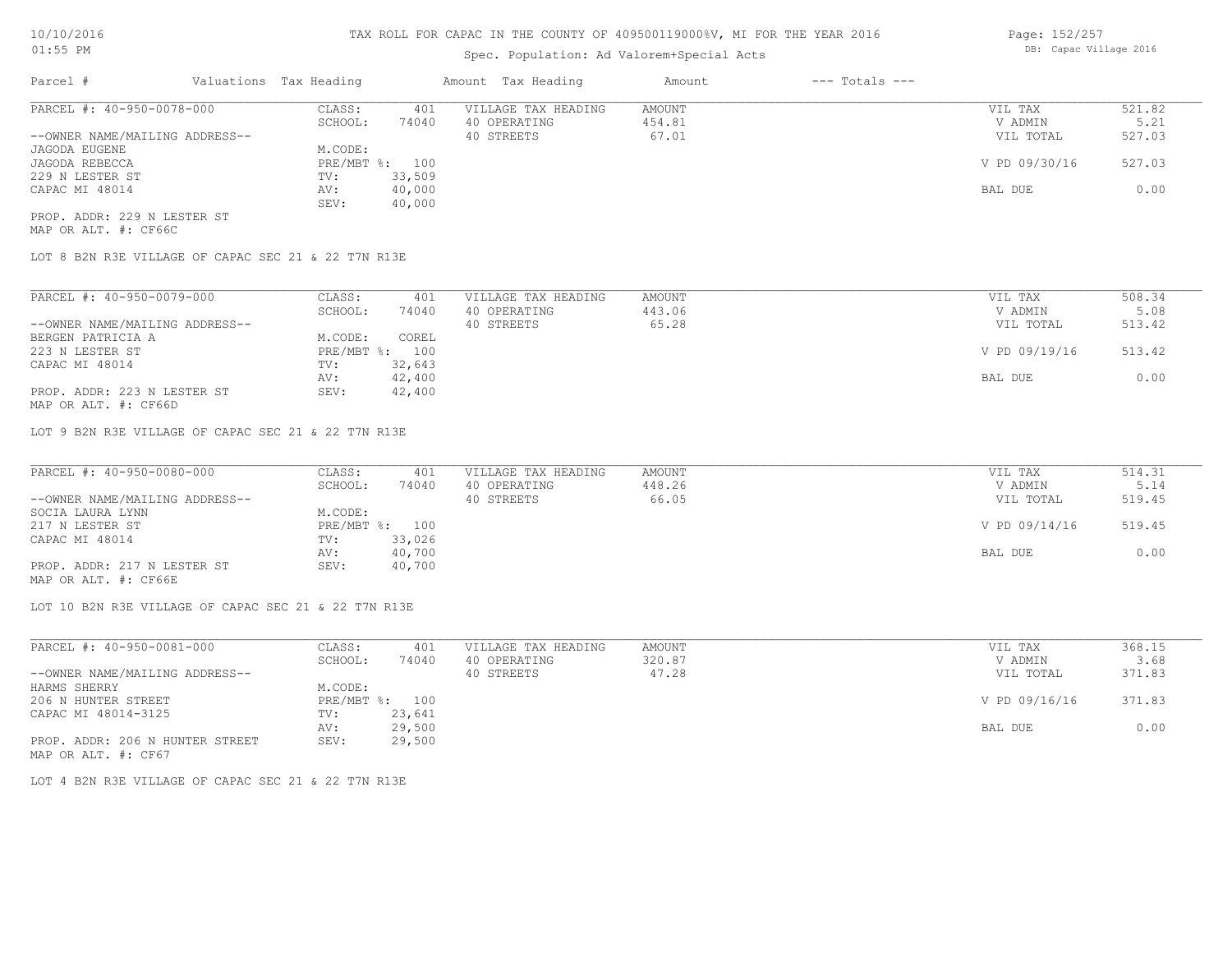# Spec. Population: Ad Valorem+Special Acts

| Page: 152/257 |                        |  |
|---------------|------------------------|--|
|               | DB: Capac Village 2016 |  |
|               |                        |  |

| Parcel #                       | Valuations Tax Heading |        | Amount Tax Heading  | Amount | $---$ Totals $---$ |               |        |
|--------------------------------|------------------------|--------|---------------------|--------|--------------------|---------------|--------|
| PARCEL #: 40-950-0078-000      | CLASS:                 | 401    | VILLAGE TAX HEADING | AMOUNT |                    | VIL TAX       | 521.82 |
|                                | SCHOOL:                | 74040  | 40 OPERATING        | 454.81 |                    | V ADMIN       | 5.21   |
| --OWNER NAME/MAILING ADDRESS-- |                        |        | 40 STREETS          | 67.01  |                    | VIL TOTAL     | 527.03 |
| JAGODA EUGENE                  | M.CODE:                |        |                     |        |                    |               |        |
| JAGODA REBECCA                 | $PRE/MBT$ %:           | 100    |                     |        |                    | V PD 09/30/16 | 527.03 |
| 229 N LESTER ST                | TV:                    | 33,509 |                     |        |                    |               |        |
| CAPAC MI 48014                 | AV:                    | 40,000 |                     |        |                    | BAL DUE       | 0.00   |
|                                | SEV:                   | 40,000 |                     |        |                    |               |        |
| PROP. ADDR: 229 N LESTER ST    |                        |        |                     |        |                    |               |        |

MAP OR ALT. #: CF66C

LOT 8 B2N R3E VILLAGE OF CAPAC SEC 21 & 22 T7N R13E

| PARCEL #: 40-950-0079-000      | CLASS:         | 401    | VILLAGE TAX HEADING | AMOUNT | VIL TAX       | 508.34 |
|--------------------------------|----------------|--------|---------------------|--------|---------------|--------|
|                                | SCHOOL:        | 74040  | 40 OPERATING        | 443.06 | V ADMIN       | 5.08   |
| --OWNER NAME/MAILING ADDRESS-- |                |        | 40 STREETS          | 65.28  | VIL TOTAL     | 513.42 |
| BERGEN PATRICIA A              | M.CODE:        | COREL  |                     |        |               |        |
| 223 N LESTER ST                | PRE/MBT %: 100 |        |                     |        | V PD 09/19/16 | 513.42 |
| CAPAC MI 48014                 | TV:            | 32,643 |                     |        |               |        |
|                                | AV:            | 42,400 |                     |        | BAL DUE       | 0.00   |
| PROP. ADDR: 223 N LESTER ST    | SEV:           | 42,400 |                     |        |               |        |

MAP OR ALT. #: CF66D

LOT 9 B2N R3E VILLAGE OF CAPAC SEC 21 & 22 T7N R13E

| PARCEL #: 40-950-0080-000      | CLASS:  | 401            | VILLAGE TAX HEADING | AMOUNT | VIL TAX       | 514.31 |
|--------------------------------|---------|----------------|---------------------|--------|---------------|--------|
|                                | SCHOOL: | 74040          | 40 OPERATING        | 448.26 | V ADMIN       | 5.14   |
| --OWNER NAME/MAILING ADDRESS-- |         |                | 40 STREETS          | 66.05  | VIL TOTAL     | 519.45 |
| SOCIA LAURA LYNN               | M.CODE: |                |                     |        |               |        |
| 217 N LESTER ST                |         | PRE/MBT %: 100 |                     |        | V PD 09/14/16 | 519.45 |
| CAPAC MI 48014                 | TV:     | 33,026         |                     |        |               |        |
|                                | AV:     | 40,700         |                     |        | BAL DUE       | 0.00   |
| PROP. ADDR: 217 N LESTER ST    | SEV:    | 40,700         |                     |        |               |        |
|                                |         |                |                     |        |               |        |

MAP OR ALT. #: CF66E

LOT 10 B2N R3E VILLAGE OF CAPAC SEC 21 & 22 T7N R13E

| PARCEL #: 40-950-0081-000       | CLASS:  | 401            | VILLAGE TAX HEADING | AMOUNT | VIL TAX       | 368.15 |
|---------------------------------|---------|----------------|---------------------|--------|---------------|--------|
|                                 | SCHOOL: | 74040          | 40 OPERATING        | 320.87 | V ADMIN       | 3.68   |
| --OWNER NAME/MAILING ADDRESS--  |         |                | 40 STREETS          | 47.28  | VIL TOTAL     | 371.83 |
| HARMS SHERRY                    | M.CODE: |                |                     |        |               |        |
| 206 N HUNTER STREET             |         | PRE/MBT %: 100 |                     |        | V PD 09/16/16 | 371.83 |
| CAPAC MI 48014-3125             | TV:     | 23,641         |                     |        |               |        |
|                                 | AV:     | 29,500         |                     |        | BAL DUE       | 0.00   |
| PROP. ADDR: 206 N HUNTER STREET | SEV:    | 29,500         |                     |        |               |        |
| MAP OR ALT. #: CF67             |         |                |                     |        |               |        |

LOT 4 B2N R3E VILLAGE OF CAPAC SEC 21 & 22 T7N R13E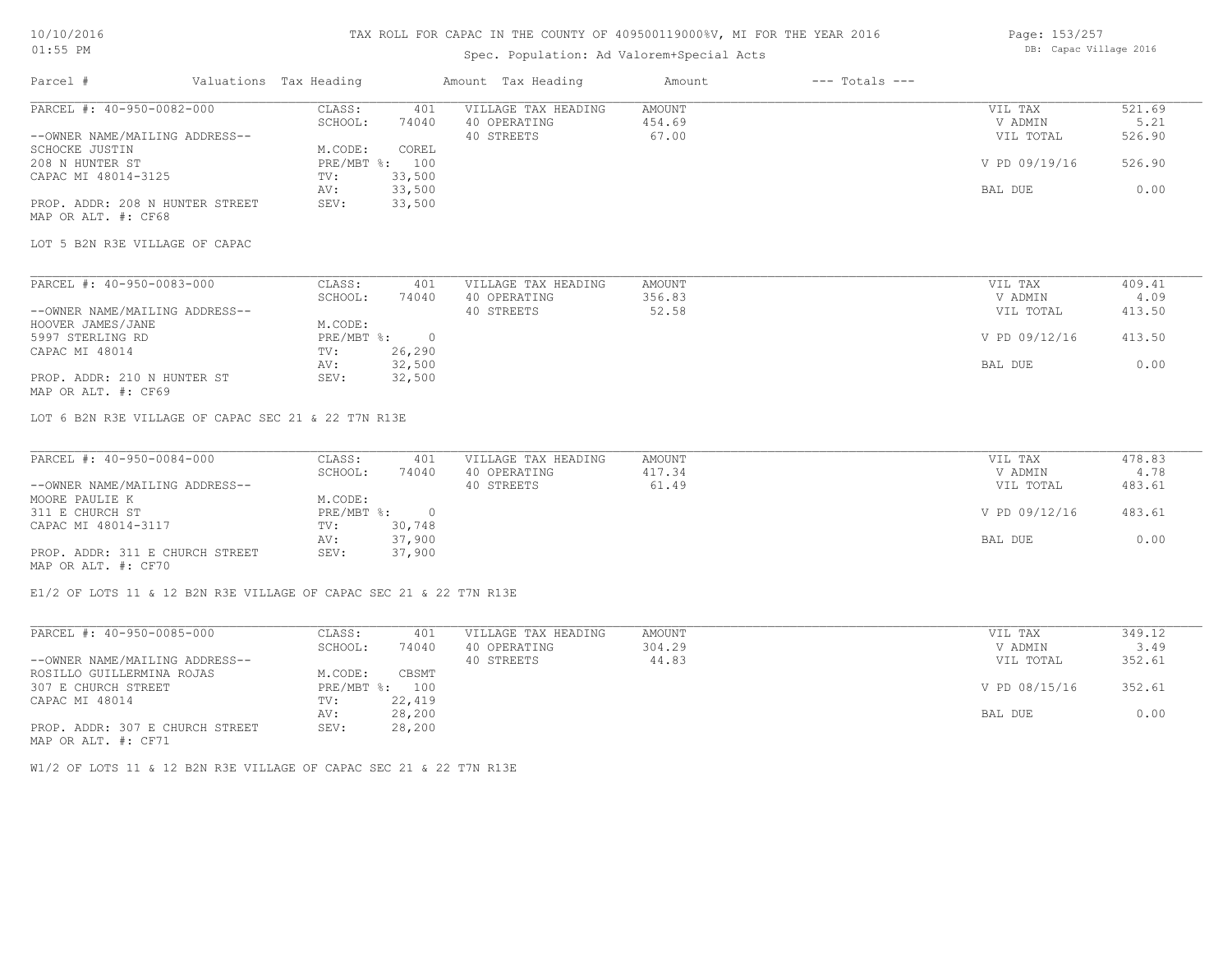## 10/10/2016 01:55 PM

## TAX ROLL FOR CAPAC IN THE COUNTY OF 409500119000%V, MI FOR THE YEAR 2016

# Spec. Population: Ad Valorem+Special Acts

Page: 153/257 DB: Capac Village 2016

| Parcel #                                               | Valuations Tax Heading |                | Amount Tax Heading  | Amount        | $---$ Totals $---$ |               |        |
|--------------------------------------------------------|------------------------|----------------|---------------------|---------------|--------------------|---------------|--------|
| PARCEL #: 40-950-0082-000                              | CLASS:                 | 401            | VILLAGE TAX HEADING | AMOUNT        |                    | VIL TAX       | 521.69 |
|                                                        | SCHOOL:                | 74040          | 40 OPERATING        | 454.69        |                    | V ADMIN       | 5.21   |
| --OWNER NAME/MAILING ADDRESS--                         |                        |                | 40 STREETS          | 67.00         |                    | VIL TOTAL     | 526.90 |
| SCHOCKE JUSTIN                                         | M.CODE:                | COREL          |                     |               |                    |               |        |
| 208 N HUNTER ST                                        | PRE/MBT %: 100         |                |                     |               |                    | V PD 09/19/16 | 526.90 |
| CAPAC MI 48014-3125                                    | TV:                    | 33,500         |                     |               |                    |               |        |
|                                                        | AV:                    | 33,500         |                     |               |                    | BAL DUE       | 0.00   |
| PROP. ADDR: 208 N HUNTER STREET<br>MAP OR ALT. #: CF68 | SEV:                   | 33,500         |                     |               |                    |               |        |
| LOT 5 B2N R3E VILLAGE OF CAPAC                         |                        |                |                     |               |                    |               |        |
| PARCEL #: 40-950-0083-000                              | CLASS:                 | 401            | VILLAGE TAX HEADING | AMOUNT        |                    | VIL TAX       | 409.41 |
|                                                        | SCHOOL:                | 74040          | 40 OPERATING        | 356.83        |                    | V ADMIN       | 4.09   |
| --OWNER NAME/MAILING ADDRESS--                         |                        |                | 40 STREETS          | 52.58         |                    | VIL TOTAL     | 413.50 |
| HOOVER JAMES/JANE                                      | M.CODE:                |                |                     |               |                    |               |        |
| 5997 STERLING RD                                       | PRE/MBT %: 0           |                |                     |               |                    | V PD 09/12/16 | 413.50 |
| CAPAC MI 48014                                         | TV:                    | 26,290         |                     |               |                    |               |        |
|                                                        | AV:                    | 32,500         |                     |               |                    | BAL DUE       | 0.00   |
| PROP. ADDR: 210 N HUNTER ST<br>MAP OR ALT. #: CF69     | SEV:                   | 32,500         |                     |               |                    |               |        |
| LOT 6 B2N R3E VILLAGE OF CAPAC SEC 21 & 22 T7N R13E    |                        |                |                     |               |                    |               |        |
| PARCEL #: 40-950-0084-000                              | CLASS:                 | 401            | VILLAGE TAX HEADING | <b>AMOUNT</b> |                    | VIL TAX       | 478.83 |
|                                                        | SCHOOL:                | 74040          | 40 OPERATING        | 417.34        |                    | V ADMIN       | 4.78   |
| --OWNER NAME/MAILING ADDRESS--                         |                        |                | 40 STREETS          | 61.49         |                    | VIL TOTAL     | 483.61 |
| MOORE PAULIE K                                         | M.CODE:                |                |                     |               |                    |               |        |
| 311 E CHURCH ST                                        | PRE/MBT %:             | $\overline{0}$ |                     |               |                    | V PD 09/12/16 | 483.61 |
| CAPAC MI 48014-3117                                    | TV:                    | 30,748         |                     |               |                    |               |        |
|                                                        | AV:                    | 37,900         |                     |               |                    | BAL DUE       | 0.00   |
| PROP. ADDR: 311 E CHURCH STREET                        | SEV:                   | 37,900         |                     |               |                    |               |        |
|                                                        |                        |                |                     |               |                    |               |        |

MAP OR ALT. #: CF70

E1/2 OF LOTS 11 & 12 B2N R3E VILLAGE OF CAPAC SEC 21 & 22 T7N R13E

| PARCEL #: 40-950-0085-000       | CLASS:       | 401    | VILLAGE TAX HEADING | AMOUNT | VIL TAX       | 349.12 |
|---------------------------------|--------------|--------|---------------------|--------|---------------|--------|
|                                 | SCHOOL:      | 74040  | 40 OPERATING        | 304.29 | V ADMIN       | 3.49   |
| --OWNER NAME/MAILING ADDRESS--  |              |        | 40 STREETS          | 44.83  | VIL TOTAL     | 352.61 |
| ROSILLO GUILLERMINA ROJAS       | M.CODE:      | CBSMT  |                     |        |               |        |
| 307 E CHURCH STREET             | $PRE/MBT$ %: | 100    |                     |        | V PD 08/15/16 | 352.61 |
| CAPAC MI 48014                  | TV:          | 22,419 |                     |        |               |        |
|                                 | AV:          | 28,200 |                     |        | BAL DUE       | 0.00   |
| PROP. ADDR: 307 E CHURCH STREET | SEV:         | 28,200 |                     |        |               |        |
| MAP OR ALT. #: CF71             |              |        |                     |        |               |        |

W1/2 OF LOTS 11 & 12 B2N R3E VILLAGE OF CAPAC SEC 21 & 22 T7N R13E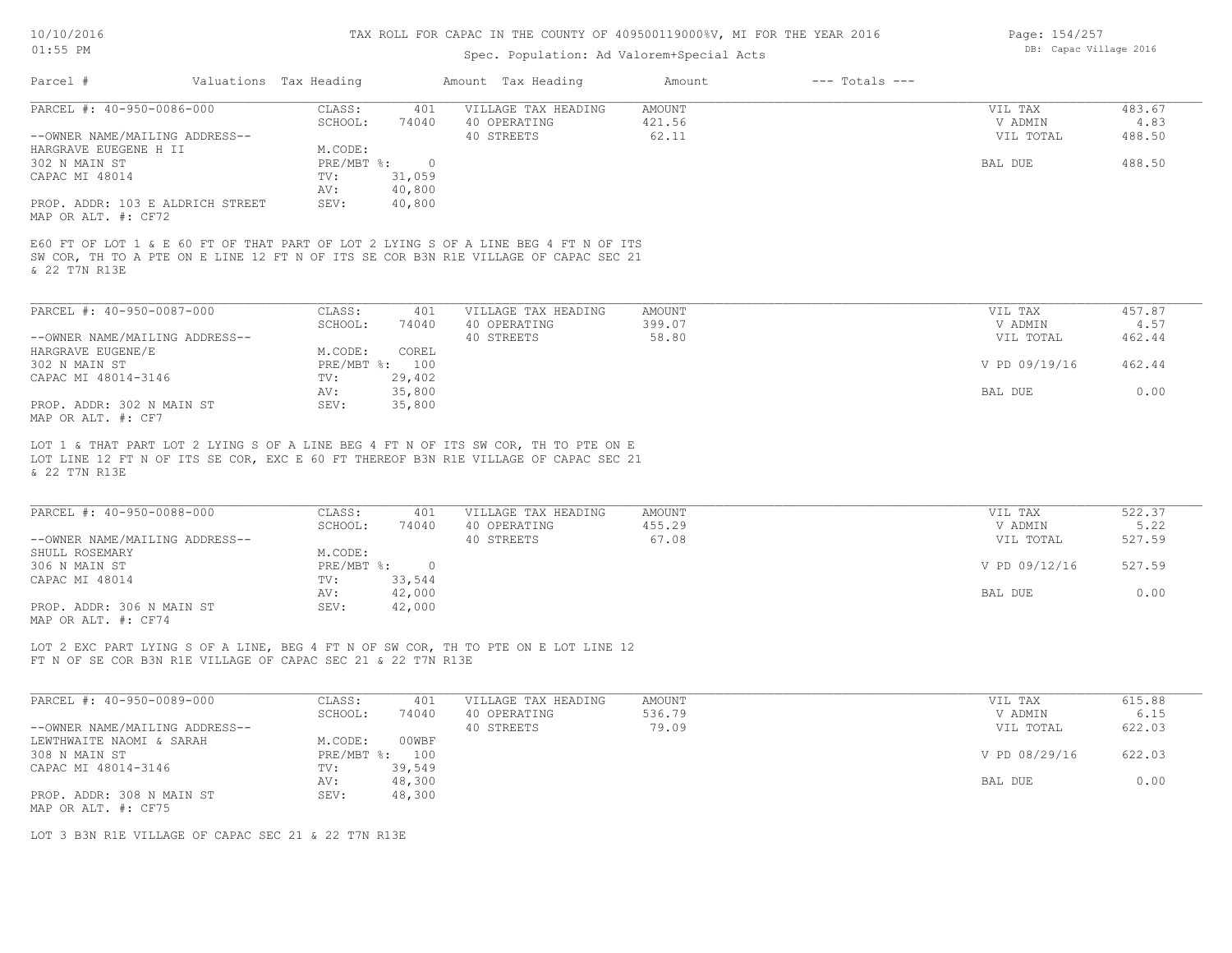# Spec. Population: Ad Valorem+Special Acts

| Page: 154/257 |                        |  |
|---------------|------------------------|--|
|               | DB: Capac Village 2016 |  |

| Parcel #                                                | Valuations Tax Heading |            |                | Amount Tax Heading                                                                                                                                                         | Amount        | $---$ Totals $---$ |               |        |
|---------------------------------------------------------|------------------------|------------|----------------|----------------------------------------------------------------------------------------------------------------------------------------------------------------------------|---------------|--------------------|---------------|--------|
| PARCEL #: 40-950-0086-000                               |                        | CLASS:     | 401            | VILLAGE TAX HEADING                                                                                                                                                        | <b>AMOUNT</b> |                    | VIL TAX       | 483.67 |
|                                                         |                        | SCHOOL:    | 74040          | 40 OPERATING                                                                                                                                                               | 421.56        |                    | V ADMIN       | 4.83   |
| --OWNER NAME/MAILING ADDRESS--                          |                        |            |                | 40 STREETS                                                                                                                                                                 | 62.11         |                    | VIL TOTAL     | 488.50 |
| HARGRAVE EUEGENE H II                                   |                        | M.CODE:    |                |                                                                                                                                                                            |               |                    |               |        |
| 302 N MAIN ST                                           |                        | PRE/MBT %: | $\overline{0}$ |                                                                                                                                                                            |               |                    | BAL DUE       | 488.50 |
| CAPAC MI 48014                                          |                        | TV:        | 31,059         |                                                                                                                                                                            |               |                    |               |        |
|                                                         |                        | AV:        | 40,800         |                                                                                                                                                                            |               |                    |               |        |
| PROP. ADDR: 103 E ALDRICH STREET<br>MAP OR ALT. #: CF72 |                        | SEV:       | 40,800         |                                                                                                                                                                            |               |                    |               |        |
| & 22 T7N R13E                                           |                        |            |                | E60 FT OF LOT 1 & E 60 FT OF THAT PART OF LOT 2 LYING S OF A LINE BEG 4 FT N OF ITS<br>SW COR, TH TO A PTE ON E LINE 12 FT N OF ITS SE COR B3N R1E VILLAGE OF CAPAC SEC 21 |               |                    |               |        |
| PARCEL #: 40-950-0087-000                               |                        | CLASS:     | 401            | VILLAGE TAX HEADING                                                                                                                                                        | <b>AMOUNT</b> |                    | VIL TAX       | 457.87 |
|                                                         |                        | SCHOOL:    | 74040          | 40 OPERATING                                                                                                                                                               | 399.07        |                    | V ADMIN       | 4.57   |
| --OWNER NAME/MAILING ADDRESS--                          |                        |            |                | 40 STREETS                                                                                                                                                                 | 58.80         |                    | VIL TOTAL     | 462.44 |
| HARGRAVE EUGENE/E                                       |                        | M.CODE:    | COREL          |                                                                                                                                                                            |               |                    |               |        |
| 302 N MAIN ST                                           |                        |            | PRE/MBT %: 100 |                                                                                                                                                                            |               |                    | V PD 09/19/16 | 462.44 |
| CAPAC MI 48014-3146                                     |                        | TV:        | 29,402         |                                                                                                                                                                            |               |                    |               |        |
|                                                         |                        | AV:        | 35,800         |                                                                                                                                                                            |               |                    | BAL DUE       | 0.00   |
| PROP. ADDR: 302 N MAIN ST<br>MAP OR ALT. #: CF7         |                        | SEV:       | 35,800         |                                                                                                                                                                            |               |                    |               |        |
|                                                         |                        |            |                | LOT 1 & THAT PART LOT 2 LYING S OF A LINE BEG 4 FT N OF ITS SW COR, TH TO PTE ON E                                                                                         |               |                    |               |        |
| & 22 T7N R13E                                           |                        |            |                | LOT LINE 12 FT N OF ITS SE COR, EXC E 60 FT THEREOF B3N R1E VILLAGE OF CAPAC SEC 21                                                                                        |               |                    |               |        |
| PARCEL #: 40-950-0088-000                               |                        | CLASS:     | 401            | VILLAGE TAX HEADING                                                                                                                                                        | <b>AMOUNT</b> |                    | VIL TAX       | 522.37 |
|                                                         |                        | SCHOOL:    | 74040          | 40 OPERATING                                                                                                                                                               | 455.29        |                    | V ADMIN       | 5.22   |
| $--$ OWNER NAME/MATIING ADDRESS-                        |                        |            |                | 40 STREETS                                                                                                                                                                 | 67 N.R        |                    | VIT. TOTAL    | 527 59 |

|                                | -------<br>.   |            | ------ | --------      | ----   |
|--------------------------------|----------------|------------|--------|---------------|--------|
| --OWNER NAME/MAILING ADDRESS-- |                | 40 STREETS | 67.08  | VIL TOTAL     | 527.59 |
| SHULL ROSEMARY                 | M.CODE:        |            |        |               |        |
| 306 N MAIN ST                  | PRE/MBT %:     |            |        | V PD 09/12/16 | 527.59 |
| CAPAC MI 48014                 | 33,544<br>TV:  |            |        |               |        |
|                                | 42,000<br>AV:  |            |        | BAL DUE       | 0.00   |
| PROP. ADDR: 306 N MAIN ST      | 42,000<br>SEV: |            |        |               |        |
| MAP OR ALT. #: CF74            |                |            |        |               |        |

FT N OF SE COR B3N R1E VILLAGE OF CAPAC SEC 21 & 22 T7N R13E LOT 2 EXC PART LYING S OF A LINE, BEG 4 FT N OF SW COR, TH TO PTE ON E LOT LINE 12

| PARCEL #: 40-950-0089-000      | CLASS:       | 401    | VILLAGE TAX HEADING | AMOUNT | VIL TAX       | 615.88 |
|--------------------------------|--------------|--------|---------------------|--------|---------------|--------|
|                                | SCHOOL:      | 74040  | 40 OPERATING        | 536.79 | V ADMIN       | 6.15   |
| --OWNER NAME/MAILING ADDRESS-- |              |        | 40 STREETS          | 79.09  | VIL TOTAL     | 622.03 |
| LEWTHWAITE NAOMI & SARAH       | M.CODE:      | 00WBF  |                     |        |               |        |
| 308 N MAIN ST                  | $PRE/MBT$ %: | 100    |                     |        | V PD 08/29/16 | 622.03 |
| CAPAC MI 48014-3146            | TV:          | 39,549 |                     |        |               |        |
|                                | AV:          | 48,300 |                     |        | BAL DUE       | 0.00   |
| PROP. ADDR: 308 N MAIN ST      | SEV:         | 48,300 |                     |        |               |        |
| MAP OR ALT. #: CF75            |              |        |                     |        |               |        |

LOT 3 B3N R1E VILLAGE OF CAPAC SEC 21 & 22 T7N R13E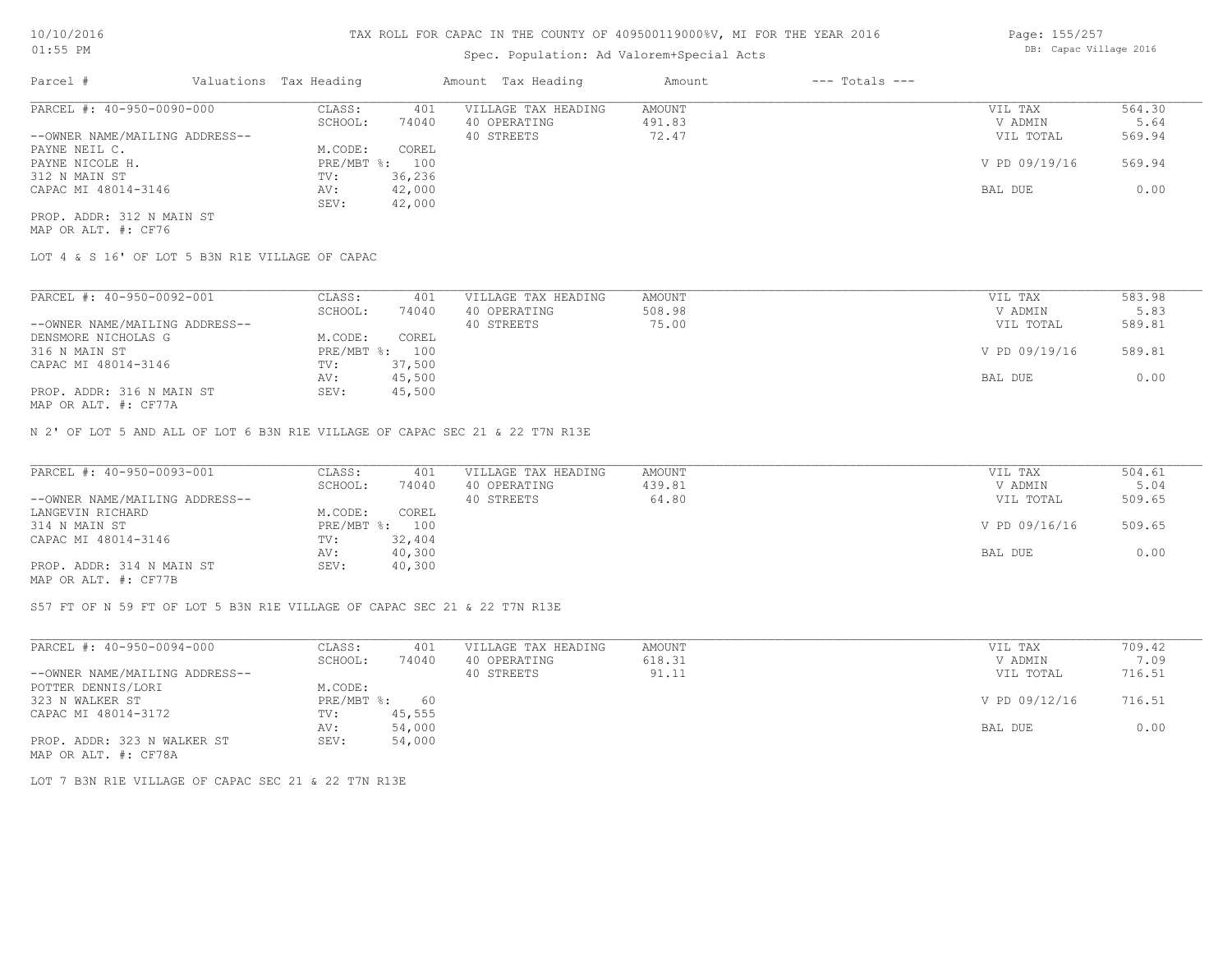## Spec. Population: Ad Valorem+Special Acts

| Page: 155/257          |
|------------------------|
| DB: Capac Village 2016 |
|                        |

| Parcel #                       | Valuations Tax Heading |        | Amount Tax Heading  | Amount | $---$ Totals $---$ |               |        |
|--------------------------------|------------------------|--------|---------------------|--------|--------------------|---------------|--------|
| PARCEL #: 40-950-0090-000      | CLASS:                 | 401    | VILLAGE TAX HEADING | AMOUNT |                    | VIL TAX       | 564.30 |
|                                | SCHOOL:                | 74040  | 40 OPERATING        | 491.83 |                    | V ADMIN       | 5.64   |
| --OWNER NAME/MAILING ADDRESS-- |                        |        | 40 STREETS          | 72.47  |                    | VIL TOTAL     | 569.94 |
| PAYNE NEIL C.                  | M.CODE:                | COREL  |                     |        |                    |               |        |
| PAYNE NICOLE H.                | PRE/MBT %: 100         |        |                     |        |                    | V PD 09/19/16 | 569.94 |
| 312 N MAIN ST                  | TV:                    | 36,236 |                     |        |                    |               |        |
| CAPAC MI 48014-3146            | AV:                    | 42,000 |                     |        |                    | BAL DUE       | 0.00   |
|                                | SEV:                   | 42,000 |                     |        |                    |               |        |
| PROP. ADDR: 312 N MAIN ST      |                        |        |                     |        |                    |               |        |

MAP OR ALT. #: CF76

LOT 4 & S 16' OF LOT 5 B3N R1E VILLAGE OF CAPAC

| PARCEL #: 40-950-0092-001                                 | CLASS:     | 401    | VILLAGE TAX HEADING | AMOUNT | VIL TAX       | 583.98 |
|-----------------------------------------------------------|------------|--------|---------------------|--------|---------------|--------|
|                                                           | SCHOOL:    | 74040  | 40 OPERATING        | 508.98 | V ADMIN       | 5.83   |
| --OWNER NAME/MAILING ADDRESS--                            |            |        | 40 STREETS          | 75.00  | VIL TOTAL     | 589.81 |
| DENSMORE NICHOLAS G                                       | M.CODE:    | COREL  |                     |        |               |        |
| 316 N MAIN ST                                             | PRE/MBT %: | 100    |                     |        | V PD 09/19/16 | 589.81 |
| CAPAC MI 48014-3146                                       | TV:        | 37,500 |                     |        |               |        |
|                                                           | AV:        | 45,500 |                     |        | BAL DUE       | 0.00   |
| PROP. ADDR: 316 N MAIN ST<br>$MAD$ $CD$ $ATH$ $L$ $CDT72$ | SEV:       | 45,500 |                     |        |               |        |

MAP OR ALT. #: CF77A

N 2' OF LOT 5 AND ALL OF LOT 6 B3N R1E VILLAGE OF CAPAC SEC 21 & 22 T7N R13E

| PARCEL #: 40-950-0093-001      | CLASS:  | 401            | VILLAGE TAX HEADING | AMOUNT | VIL TAX       | 504.61 |
|--------------------------------|---------|----------------|---------------------|--------|---------------|--------|
|                                | SCHOOL: | 74040          | 40 OPERATING        | 439.81 | V ADMIN       | 5.04   |
| --OWNER NAME/MAILING ADDRESS-- |         |                | 40 STREETS          | 64.80  | VIL TOTAL     | 509.65 |
| LANGEVIN RICHARD               | M.CODE: | COREL          |                     |        |               |        |
| 314 N MAIN ST                  |         | PRE/MBT %: 100 |                     |        | V PD 09/16/16 | 509.65 |
| CAPAC MI 48014-3146            | TV:     | 32,404         |                     |        |               |        |
|                                | AV:     | 40,300         |                     |        | BAL DUE       | 0.00   |
| PROP. ADDR: 314 N MAIN ST      | SEV:    | 40,300         |                     |        |               |        |
| MAP OR ALT. #: CF77B           |         |                |                     |        |               |        |

S57 FT OF N 59 FT OF LOT 5 B3N R1E VILLAGE OF CAPAC SEC 21 & 22 T7N R13E

| PARCEL #: 40-950-0094-000      | CLASS:       | 401    | VILLAGE TAX HEADING | AMOUNT | VIL TAX       | 709.42 |
|--------------------------------|--------------|--------|---------------------|--------|---------------|--------|
|                                | SCHOOL:      | 74040  | 40 OPERATING        | 618.31 | V ADMIN       | 7.09   |
| --OWNER NAME/MAILING ADDRESS-- |              |        | 40 STREETS          | 91.11  | VIL TOTAL     | 716.51 |
| POTTER DENNIS/LORI             | M.CODE:      |        |                     |        |               |        |
| 323 N WALKER ST                | $PRE/MBT$ %: | 60     |                     |        | V PD 09/12/16 | 716.51 |
| CAPAC MI 48014-3172            | TV:          | 45,555 |                     |        |               |        |
|                                | AV:          | 54,000 |                     |        | BAL DUE       | 0.00   |
| PROP. ADDR: 323 N WALKER ST    | SEV:         | 54,000 |                     |        |               |        |
| MAP OR ALT. #: CF78A           |              |        |                     |        |               |        |

LOT 7 B3N R1E VILLAGE OF CAPAC SEC 21 & 22 T7N R13E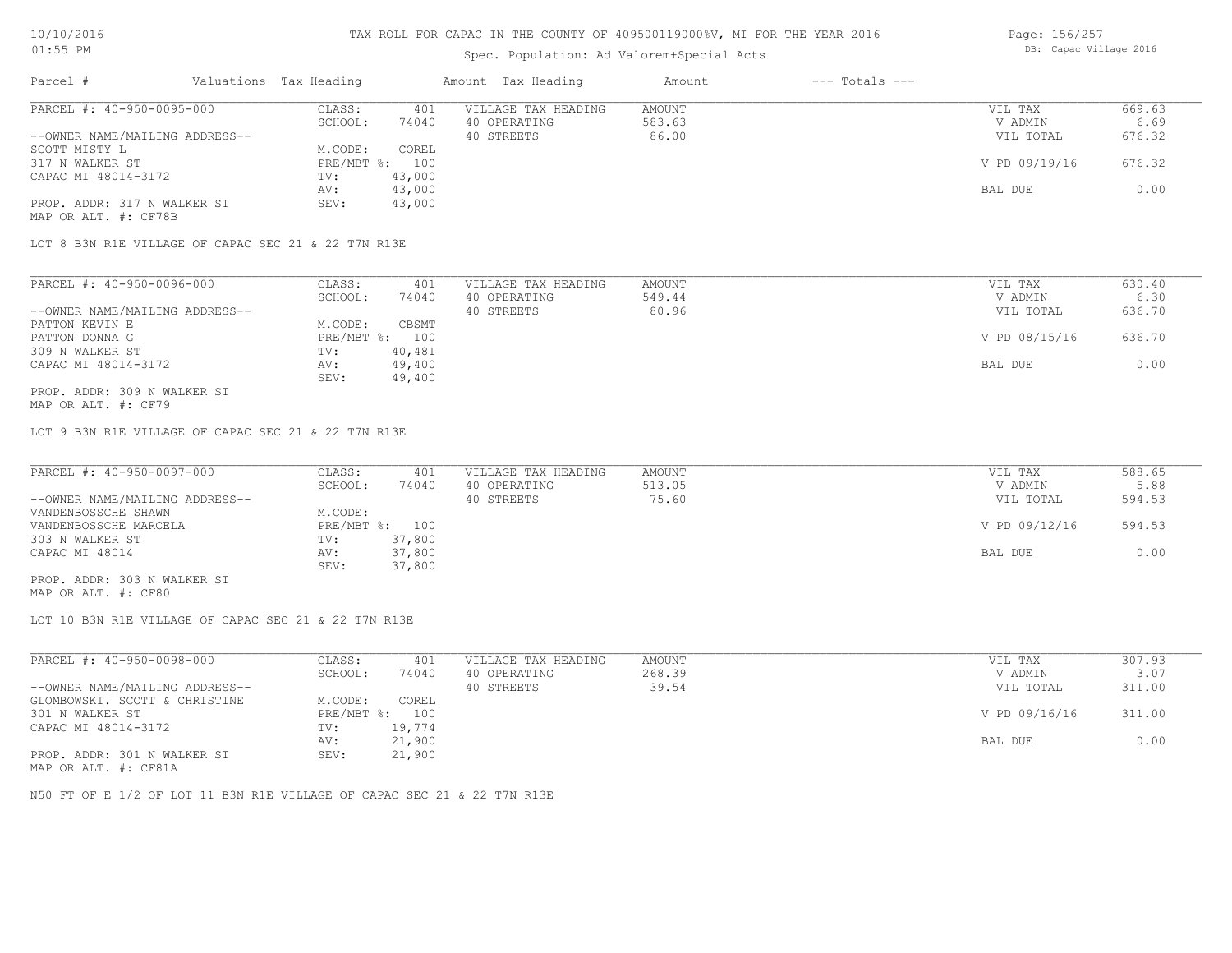# Spec. Population: Ad Valorem+Special Acts

| Page: 156/257 |                        |  |
|---------------|------------------------|--|
|               | DB: Capac Village 2016 |  |

| Parcel #                       | Valuations Tax Heading |        | Amount Tax Heading  | Amount | $---$ Totals $---$ |               |        |
|--------------------------------|------------------------|--------|---------------------|--------|--------------------|---------------|--------|
| PARCEL #: 40-950-0095-000      | CLASS:                 | 401    | VILLAGE TAX HEADING | AMOUNT |                    | VIL TAX       | 669.63 |
|                                | SCHOOL:                | 74040  | 40 OPERATING        | 583.63 |                    | V ADMIN       | 6.69   |
| --OWNER NAME/MAILING ADDRESS-- |                        |        | 40 STREETS          | 86.00  |                    | VIL TOTAL     | 676.32 |
| SCOTT MISTY L                  | M.CODE:                | COREL  |                     |        |                    |               |        |
| 317 N WALKER ST                | $PRE/MBT$ %:           | 100    |                     |        |                    | V PD 09/19/16 | 676.32 |
| CAPAC MI 48014-3172            | TV:                    | 43,000 |                     |        |                    |               |        |
|                                | AV:                    | 43,000 |                     |        |                    | BAL DUE       | 0.00   |
| PROP. ADDR: 317 N WALKER ST    | SEV:                   | 43,000 |                     |        |                    |               |        |
| MAP OR ALT. #: CF78B           |                        |        |                     |        |                    |               |        |

LOT 8 B3N R1E VILLAGE OF CAPAC SEC 21 & 22 T7N R13E

| PARCEL #: 40-950-0096-000      | CLASS:     | 401    | VILLAGE TAX HEADING | AMOUNT | VIL TAX       | 630.40 |
|--------------------------------|------------|--------|---------------------|--------|---------------|--------|
|                                | SCHOOL:    | 74040  | 40 OPERATING        | 549.44 | V ADMIN       | 6.30   |
| --OWNER NAME/MAILING ADDRESS-- |            |        | 40 STREETS          | 80.96  | VIL TOTAL     | 636.70 |
| PATTON KEVIN E                 | M.CODE:    | CBSMT  |                     |        |               |        |
| PATTON DONNA G                 | PRE/MBT %: | 100    |                     |        | V PD 08/15/16 | 636.70 |
| 309 N WALKER ST                | TV:        | 40,481 |                     |        |               |        |
| CAPAC MI 48014-3172            | AV:        | 49,400 |                     |        | BAL DUE       | 0.00   |
|                                | SEV:       | 49,400 |                     |        |               |        |
| PROP. ADDR: 309 N WALKER ST    |            |        |                     |        |               |        |

MAP OR ALT. #: CF79

LOT 9 B3N R1E VILLAGE OF CAPAC SEC 21 & 22 T7N R13E

| PARCEL #: 40-950-0097-000      | CLASS:  | 401            | VILLAGE TAX HEADING | AMOUNT | VIL TAX       | 588.65 |
|--------------------------------|---------|----------------|---------------------|--------|---------------|--------|
|                                | SCHOOL: | 74040          | 40 OPERATING        | 513.05 | V ADMIN       | 5.88   |
| --OWNER NAME/MAILING ADDRESS-- |         |                | 40 STREETS          | 75.60  | VIL TOTAL     | 594.53 |
| VANDENBOSSCHE SHAWN            | M.CODE: |                |                     |        |               |        |
| VANDENBOSSCHE MARCELA          |         | PRE/MBT %: 100 |                     |        | V PD 09/12/16 | 594.53 |
| 303 N WALKER ST                | TV:     | 37,800         |                     |        |               |        |
| CAPAC MI 48014                 | AV:     | 37,800         |                     |        | BAL DUE       | 0.00   |
|                                | SEV:    | 37,800         |                     |        |               |        |
| PROP. ADDR: 303 N WALKER ST    |         |                |                     |        |               |        |

MAP OR ALT. #: CF80

LOT 10 B3N R1E VILLAGE OF CAPAC SEC 21 & 22 T7N R13E

| PARCEL #: 40-950-0098-000      | CLASS:       | 401    | VILLAGE TAX HEADING | AMOUNT | VIL TAX       | 307.93 |
|--------------------------------|--------------|--------|---------------------|--------|---------------|--------|
|                                | SCHOOL:      | 74040  | 40 OPERATING        | 268.39 | V ADMIN       | 3.07   |
| --OWNER NAME/MAILING ADDRESS-- |              |        | 40 STREETS          | 39.54  | VIL TOTAL     | 311.00 |
| GLOMBOWSKI. SCOTT & CHRISTINE  | M.CODE:      | COREL  |                     |        |               |        |
| 301 N WALKER ST                | $PRE/MBT$ %: | 100    |                     |        | V PD 09/16/16 | 311.00 |
| CAPAC MI 48014-3172            | TV:          | 19,774 |                     |        |               |        |
|                                | AV:          | 21,900 |                     |        | BAL DUE       | 0.00   |
| PROP. ADDR: 301 N WALKER ST    | SEV:         | 21,900 |                     |        |               |        |
|                                |              |        |                     |        |               |        |

MAP OR ALT. #: CF81A

N50 FT OF E 1/2 OF LOT 11 B3N R1E VILLAGE OF CAPAC SEC 21 & 22 T7N R13E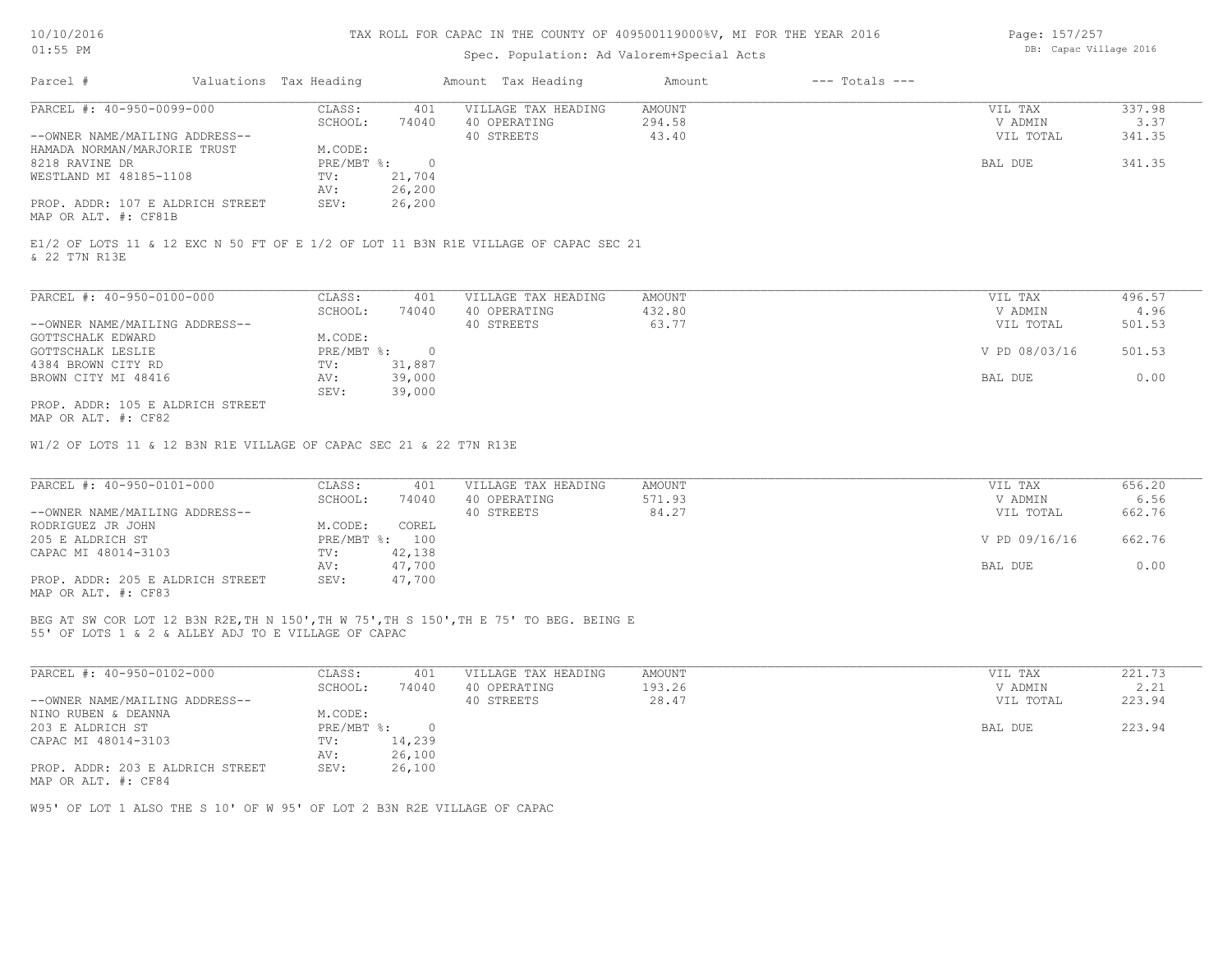# Spec. Population: Ad Valorem+Special Acts

| Page: 157/257 |                        |  |
|---------------|------------------------|--|
|               | DB: Capac Village 2016 |  |

| Parcel #                         | Valuations Tax Heading |        | Amount Tax Heading  | Amount | $---$ Totals $---$ |           |        |
|----------------------------------|------------------------|--------|---------------------|--------|--------------------|-----------|--------|
| PARCEL #: 40-950-0099-000        | CLASS:                 | 401    | VILLAGE TAX HEADING | AMOUNT |                    | VIL TAX   | 337.98 |
|                                  | SCHOOL:                | 74040  | 40 OPERATING        | 294.58 |                    | V ADMIN   | 3.37   |
| --OWNER NAME/MAILING ADDRESS--   |                        |        | 40 STREETS          | 43.40  |                    | VIL TOTAL | 341.35 |
| HAMADA NORMAN/MARJORIE TRUST     | M.CODE:                |        |                     |        |                    |           |        |
| 8218 RAVINE DR                   | $PRE/MBT$ %:           |        |                     |        |                    | BAL DUE   | 341.35 |
| WESTLAND MI 48185-1108           | TV:                    | 21,704 |                     |        |                    |           |        |
|                                  | AV:                    | 26,200 |                     |        |                    |           |        |
| PROP. ADDR: 107 E ALDRICH STREET | SEV:                   | 26,200 |                     |        |                    |           |        |
| MAP OR ALT. #: CF81B             |                        |        |                     |        |                    |           |        |

& 22 T7N R13E E1/2 OF LOTS 11 & 12 EXC N 50 FT OF E 1/2 OF LOT 11 B3N R1E VILLAGE OF CAPAC SEC 21

| PARCEL #: 40-950-0100-000        | CLASS:     | 401      | VILLAGE TAX HEADING | AMOUNT | VIL TAX       | 496.57 |
|----------------------------------|------------|----------|---------------------|--------|---------------|--------|
|                                  | SCHOOL:    | 74040    | 40 OPERATING        | 432.80 | V ADMIN       | 4.96   |
| --OWNER NAME/MAILING ADDRESS--   |            |          | 40 STREETS          | 63.77  | VIL TOTAL     | 501.53 |
| GOTTSCHALK EDWARD                | M.CODE:    |          |                     |        |               |        |
| GOTTSCHALK LESLIE                | PRE/MBT %: | $\Omega$ |                     |        | V PD 08/03/16 | 501.53 |
| 4384 BROWN CITY RD               | TV:        | 31,887   |                     |        |               |        |
| BROWN CITY MI 48416              | AV:        | 39,000   |                     |        | BAL DUE       | 0.00   |
|                                  | SEV:       | 39,000   |                     |        |               |        |
| PROP. ADDR: 105 E ALDRICH STREET |            |          |                     |        |               |        |

MAP OR ALT. #: CF82

W1/2 OF LOTS 11 & 12 B3N R1E VILLAGE OF CAPAC SEC 21 & 22 T7N R13E

| PARCEL #: 40-950-0101-000                                                        | CLASS:  | 401            | VILLAGE TAX HEADING | AMOUNT | VIL TAX       | 656.20 |
|----------------------------------------------------------------------------------|---------|----------------|---------------------|--------|---------------|--------|
|                                                                                  | SCHOOL: | 74040          | 40 OPERATING        | 571.93 | V ADMIN       | 6.56   |
| --OWNER NAME/MAILING ADDRESS--                                                   |         |                | 40 STREETS          | 84.27  | VIL TOTAL     | 662.76 |
| RODRIGUEZ JR JOHN                                                                | M.CODE: | COREL          |                     |        |               |        |
| 205 E ALDRICH ST                                                                 |         | PRE/MBT %: 100 |                     |        | V PD 09/16/16 | 662.76 |
| CAPAC MI 48014-3103                                                              | TV:     | 42,138         |                     |        |               |        |
|                                                                                  | AV:     | 47,700         |                     |        | BAL DUE       | 0.00   |
| PROP. ADDR: 205 E ALDRICH STREET<br>$\cdots$ $\cdots$ $\cdots$ $\cdots$ $\cdots$ | SEV:    | 47,700         |                     |        |               |        |

MAP OR ALT. #: CF83

55' OF LOTS 1 & 2 & ALLEY ADJ TO E VILLAGE OF CAPAC BEG AT SW COR LOT 12 B3N R2E,TH N 150',TH W 75',TH S 150',TH E 75' TO BEG. BEING E

| PARCEL #: 40-950-0102-000        | CLASS:     | 401    | VILLAGE TAX HEADING | AMOUNT | VIL TAX   | 221.73 |
|----------------------------------|------------|--------|---------------------|--------|-----------|--------|
|                                  | SCHOOL:    | 74040  | 40 OPERATING        | 193.26 | V ADMIN   | 2.21   |
| --OWNER NAME/MAILING ADDRESS--   |            |        | 40 STREETS          | 28.47  | VIL TOTAL | 223.94 |
| NINO RUBEN & DEANNA              | M.CODE:    |        |                     |        |           |        |
| 203 E ALDRICH ST                 | PRE/MBT %: |        |                     |        | BAL DUE   | 223.94 |
| CAPAC MI 48014-3103              | TV:        | 14,239 |                     |        |           |        |
|                                  | AV:        | 26,100 |                     |        |           |        |
| PROP. ADDR: 203 E ALDRICH STREET | SEV:       | 26,100 |                     |        |           |        |
| MAP OR ALT. #: CF84              |            |        |                     |        |           |        |

W95' OF LOT 1 ALSO THE S 10' OF W 95' OF LOT 2 B3N R2E VILLAGE OF CAPAC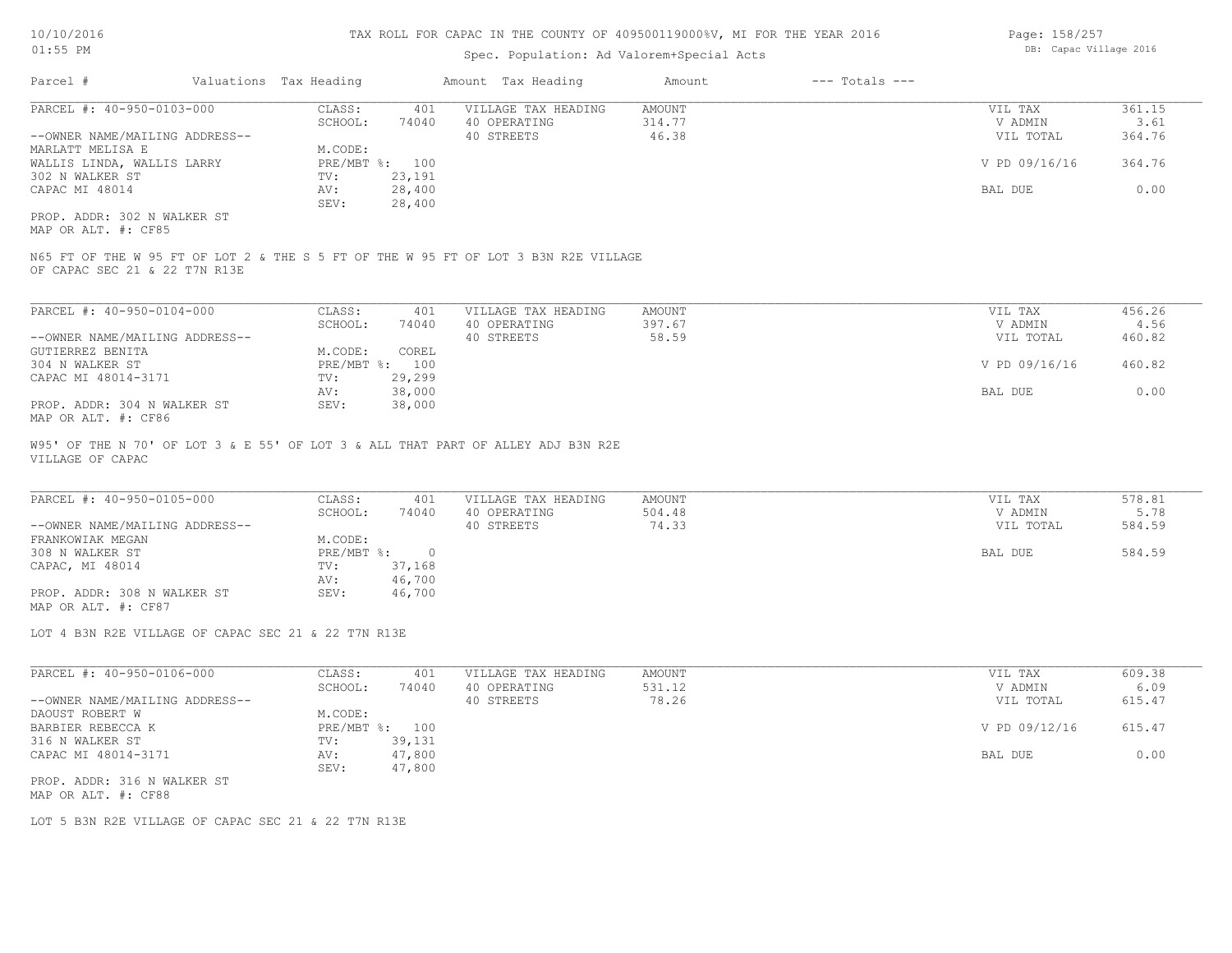# Spec. Population: Ad Valorem+Special Acts

| Page: 158/257 |                        |  |
|---------------|------------------------|--|
|               | DB: Capac Village 2016 |  |

| Parcel #                       | Valuations Tax Heading |        | Amount Tax Heading  | Amount | $---$ Totals $---$ |               |        |
|--------------------------------|------------------------|--------|---------------------|--------|--------------------|---------------|--------|
| PARCEL #: 40-950-0103-000      | CLASS:                 | 401    | VILLAGE TAX HEADING | AMOUNT |                    | VIL TAX       | 361.15 |
|                                | SCHOOL:                | 74040  | 40 OPERATING        | 314.77 |                    | V ADMIN       | 3.61   |
| --OWNER NAME/MAILING ADDRESS-- |                        |        | 40 STREETS          | 46.38  |                    | VIL TOTAL     | 364.76 |
| MARLATT MELISA E               | M.CODE:                |        |                     |        |                    |               |        |
| WALLIS LINDA, WALLIS LARRY     | PRE/MBT %: 100         |        |                     |        |                    | V PD 09/16/16 | 364.76 |
| 302 N WALKER ST                | TV:                    | 23,191 |                     |        |                    |               |        |
| CAPAC MI 48014                 | AV:                    | 28,400 |                     |        |                    | BAL DUE       | 0.00   |
|                                | SEV:                   | 28,400 |                     |        |                    |               |        |
| PROP. ADDR: 302 N WALKER ST    |                        |        |                     |        |                    |               |        |

MAP OR ALT. #: CF85

OF CAPAC SEC 21 & 22 T7N R13E N65 FT OF THE W 95 FT OF LOT 2 & THE S 5 FT OF THE W 95 FT OF LOT 3 B3N R2E VILLAGE

| PARCEL #: 40-950-0104-000      | CLASS:  | 401            | VILLAGE TAX HEADING | AMOUNT | VIL TAX       | 456.26 |
|--------------------------------|---------|----------------|---------------------|--------|---------------|--------|
|                                | SCHOOL: | 74040          | 40 OPERATING        | 397.67 | V ADMIN       | 4.56   |
| --OWNER NAME/MAILING ADDRESS-- |         |                | 40 STREETS          | 58.59  | VIL TOTAL     | 460.82 |
| GUTIERREZ BENITA               | M.CODE: | COREL          |                     |        |               |        |
| 304 N WALKER ST                |         | PRE/MBT %: 100 |                     |        | V PD 09/16/16 | 460.82 |
| CAPAC MI 48014-3171            | TV:     | 29,299         |                     |        |               |        |
|                                | AV:     | 38,000         |                     |        | BAL DUE       | 0.00   |
| PROP. ADDR: 304 N WALKER ST    | SEV:    | 38,000         |                     |        |               |        |
| MAP OR ALT. #: CF86            |         |                |                     |        |               |        |

VILLAGE OF CAPAC W95' OF THE N 70' OF LOT 3 & E 55' OF LOT 3 & ALL THAT PART OF ALLEY ADJ B3N R2E

| PARCEL #: 40-950-0105-000      | CLASS:     | 401    | VILLAGE TAX HEADING | AMOUNT | VIL TAX   | 578.81 |
|--------------------------------|------------|--------|---------------------|--------|-----------|--------|
|                                | SCHOOL:    | 74040  | 40 OPERATING        | 504.48 | V ADMIN   | 5.78   |
| --OWNER NAME/MAILING ADDRESS-- |            |        | 40 STREETS          | 74.33  | VIL TOTAL | 584.59 |
| FRANKOWIAK MEGAN               | M.CODE:    |        |                     |        |           |        |
| 308 N WALKER ST                | PRE/MBT %: |        |                     |        | BAL DUE   | 584.59 |
| CAPAC, MI 48014                | TV:        | 37,168 |                     |        |           |        |
|                                | AV:        | 46,700 |                     |        |           |        |
| PROP. ADDR: 308 N WALKER ST    | SEV:       | 46,700 |                     |        |           |        |
| MAP OR ALT. #: CF87            |            |        |                     |        |           |        |

 $\mathcal{L}_\mathcal{L} = \mathcal{L}_\mathcal{L} = \mathcal{L}_\mathcal{L} = \mathcal{L}_\mathcal{L} = \mathcal{L}_\mathcal{L} = \mathcal{L}_\mathcal{L} = \mathcal{L}_\mathcal{L} = \mathcal{L}_\mathcal{L} = \mathcal{L}_\mathcal{L} = \mathcal{L}_\mathcal{L} = \mathcal{L}_\mathcal{L} = \mathcal{L}_\mathcal{L} = \mathcal{L}_\mathcal{L} = \mathcal{L}_\mathcal{L} = \mathcal{L}_\mathcal{L} = \mathcal{L}_\mathcal{L} = \mathcal{L}_\mathcal{L}$ 

LOT 4 B3N R2E VILLAGE OF CAPAC SEC 21 & 22 T7N R13E

| PARCEL #: 40-950-0106-000      | CLASS:       | 401    | VILLAGE TAX HEADING | AMOUNT | VIL TAX       | 609.38 |
|--------------------------------|--------------|--------|---------------------|--------|---------------|--------|
|                                | SCHOOL:      | 74040  | 40 OPERATING        | 531.12 | V ADMIN       | 6.09   |
| --OWNER NAME/MAILING ADDRESS-- |              |        | 40 STREETS          | 78.26  | VIL TOTAL     | 615.47 |
| DAOUST ROBERT W                | M.CODE:      |        |                     |        |               |        |
| BARBIER REBECCA K              | $PRE/MBT$ %: | 100    |                     |        | V PD 09/12/16 | 615.47 |
| 316 N WALKER ST                | TV:          | 39,131 |                     |        |               |        |
| CAPAC MI 48014-3171            | AV:          | 47,800 |                     |        | BAL DUE       | 0.00   |
|                                | SEV:         | 47,800 |                     |        |               |        |
| PROP. ADDR: 316 N WALKER ST    |              |        |                     |        |               |        |

MAP OR ALT. #: CF88

LOT 5 B3N R2E VILLAGE OF CAPAC SEC 21 & 22 T7N R13E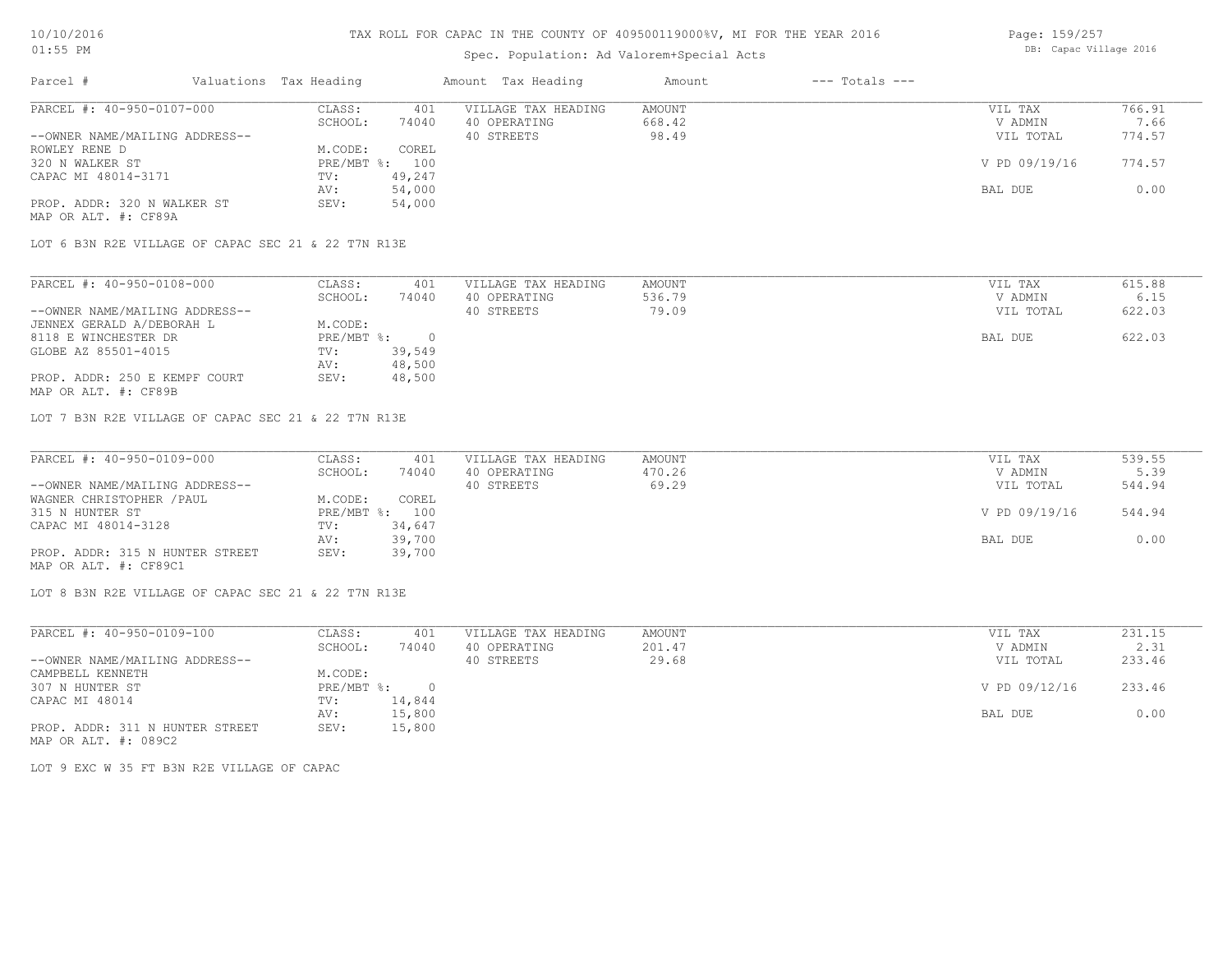# Spec. Population: Ad Valorem+Special Acts

| Page: 159/257 |                        |  |
|---------------|------------------------|--|
|               | DB: Capac Village 2016 |  |

| Parcel #                       | Valuations Tax Heading |        | Amount Tax Heading  | Amount | $---$ Totals $---$ |               |        |
|--------------------------------|------------------------|--------|---------------------|--------|--------------------|---------------|--------|
| PARCEL #: 40-950-0107-000      | CLASS:                 | 401    | VILLAGE TAX HEADING | AMOUNT |                    | VIL TAX       | 766.91 |
|                                | SCHOOL:                | 74040  | 40 OPERATING        | 668.42 |                    | V ADMIN       | 7.66   |
| --OWNER NAME/MAILING ADDRESS-- |                        |        | 40 STREETS          | 98.49  |                    | VIL TOTAL     | 774.57 |
| ROWLEY RENE D                  | M.CODE:                | COREL  |                     |        |                    |               |        |
| 320 N WALKER ST                | $PRE/MBT$ %:           | 100    |                     |        |                    | V PD 09/19/16 | 774.57 |
| CAPAC MI 48014-3171            | TV:                    | 49,247 |                     |        |                    |               |        |
|                                | AV:                    | 54,000 |                     |        |                    | BAL DUE       | 0.00   |
| PROP. ADDR: 320 N WALKER ST    | SEV:                   | 54,000 |                     |        |                    |               |        |
| MAP OR ALT. #: CF89A           |                        |        |                     |        |                    |               |        |

LOT 6 B3N R2E VILLAGE OF CAPAC SEC 21 & 22 T7N R13E

| PARCEL #: 40-950-0108-000      | CLASS:     | 401    | VILLAGE TAX HEADING | AMOUNT | VIL TAX   | 615.88 |
|--------------------------------|------------|--------|---------------------|--------|-----------|--------|
|                                | SCHOOL:    | 74040  | 40 OPERATING        | 536.79 | V ADMIN   | 6.15   |
| --OWNER NAME/MAILING ADDRESS-- |            |        | 40 STREETS          | 79.09  | VIL TOTAL | 622.03 |
| JENNEX GERALD A/DEBORAH L      | M.CODE:    |        |                     |        |           |        |
| 8118 E WINCHESTER DR           | PRE/MBT %: |        |                     |        | BAL DUE   | 622.03 |
| GLOBE AZ 85501-4015            | TV:        | 39,549 |                     |        |           |        |
|                                | AV:        | 48,500 |                     |        |           |        |
| PROP. ADDR: 250 E KEMPF COURT  | SEV:       | 48,500 |                     |        |           |        |
| MAP OR ALT. #: CF89B           |            |        |                     |        |           |        |

LOT 7 B3N R2E VILLAGE OF CAPAC SEC 21 & 22 T7N R13E

| PARCEL #: 40-950-0109-000       | CLASS:  | 401            | VILLAGE TAX HEADING | AMOUNT | VIL TAX       | 539.55 |
|---------------------------------|---------|----------------|---------------------|--------|---------------|--------|
|                                 | SCHOOL: | 74040          | 40 OPERATING        | 470.26 | V ADMIN       | 5.39   |
| --OWNER NAME/MAILING ADDRESS--  |         |                | 40 STREETS          | 69.29  | VIL TOTAL     | 544.94 |
| WAGNER CHRISTOPHER / PAUL       | M.CODE: | COREL          |                     |        |               |        |
| 315 N HUNTER ST                 |         | PRE/MBT %: 100 |                     |        | V PD 09/19/16 | 544.94 |
| CAPAC MI 48014-3128             | TV:     | 34,647         |                     |        |               |        |
|                                 | AV:     | 39,700         |                     |        | BAL DUE       | 0.00   |
| PROP. ADDR: 315 N HUNTER STREET | SEV:    | 39,700         |                     |        |               |        |
| MAP OR ALT. #: CF89C1           |         |                |                     |        |               |        |

LOT 8 B3N R2E VILLAGE OF CAPAC SEC 21 & 22 T7N R13E

| PARCEL #: 40-950-0109-100       | CLASS:     | 401    | VILLAGE TAX HEADING | AMOUNT | VIL TAX       | 231.15 |
|---------------------------------|------------|--------|---------------------|--------|---------------|--------|
|                                 | SCHOOL:    | 74040  | OPERATING<br>40     | 201.47 | V ADMIN       | 2.31   |
| --OWNER NAME/MAILING ADDRESS--  |            |        | 40 STREETS          | 29.68  | VIL TOTAL     | 233.46 |
| CAMPBELL KENNETH                | M.CODE:    |        |                     |        |               |        |
| 307 N HUNTER ST                 | PRE/MBT %: |        |                     |        | V PD 09/12/16 | 233.46 |
| CAPAC MI 48014                  | TV:        | 14,844 |                     |        |               |        |
|                                 | AV:        | 15,800 |                     |        | BAL DUE       | 0.00   |
| PROP. ADDR: 311 N HUNTER STREET | SEV:       | 15,800 |                     |        |               |        |

MAP OR ALT. #: 089C2

LOT 9 EXC W 35 FT B3N R2E VILLAGE OF CAPAC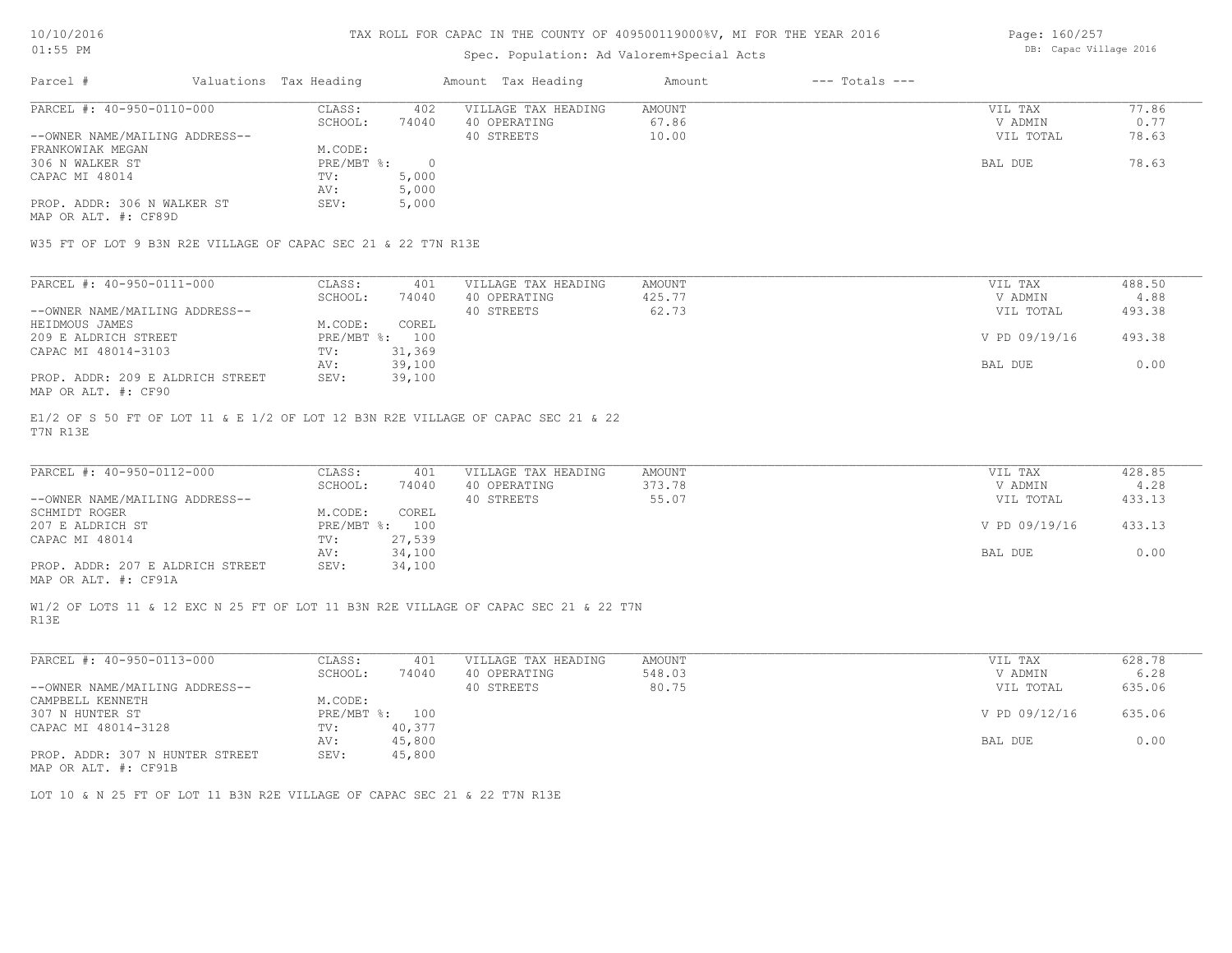### Spec. Population: Ad Valorem+Special Acts

Page: 160/257 DB: Capac Village 2016

| Parcel #                       | Valuations Tax Heading |       | Amount Tax Heading  | Amount | $---$ Totals $---$ |           |       |
|--------------------------------|------------------------|-------|---------------------|--------|--------------------|-----------|-------|
| PARCEL #: 40-950-0110-000      | CLASS:                 | 402   | VILLAGE TAX HEADING | AMOUNT |                    | VIL TAX   | 77.86 |
|                                | SCHOOL:                | 74040 | 40 OPERATING        | 67.86  |                    | V ADMIN   | 0.77  |
| --OWNER NAME/MAILING ADDRESS-- |                        |       | 40 STREETS          | 10.00  |                    | VIL TOTAL | 78.63 |
| FRANKOWIAK MEGAN               | M.CODE:                |       |                     |        |                    |           |       |
| 306 N WALKER ST                | PRE/MBT %:             |       |                     |        |                    | BAL DUE   | 78.63 |
| CAPAC MI 48014                 | TV:                    | 5,000 |                     |        |                    |           |       |
|                                | AV:                    | 5,000 |                     |        |                    |           |       |
| PROP. ADDR: 306 N WALKER ST    | SEV:                   | 5,000 |                     |        |                    |           |       |
|                                |                        |       |                     |        |                    |           |       |

MAP OR ALT. #: CF89D

W35 FT OF LOT 9 B3N R2E VILLAGE OF CAPAC SEC 21 & 22 T7N R13E

| PARCEL #: 40-950-0111-000        | CLASS:     | 401    | VILLAGE TAX HEADING | AMOUNT | VIL TAX       | 488.50 |
|----------------------------------|------------|--------|---------------------|--------|---------------|--------|
|                                  | SCHOOL:    | 74040  | 40 OPERATING        | 425.77 | V ADMIN       | 4.88   |
| --OWNER NAME/MAILING ADDRESS--   |            |        | 40 STREETS          | 62.73  | VIL TOTAL     | 493.38 |
| HEIDMOUS JAMES                   | M.CODE:    | COREL  |                     |        |               |        |
| 209 E ALDRICH STREET             | PRE/MBT %: | 100    |                     |        | V PD 09/19/16 | 493.38 |
| CAPAC MI 48014-3103              | TV:        | 31,369 |                     |        |               |        |
|                                  | AV:        | 39,100 |                     |        | BAL DUE       | 0.00   |
| PROP. ADDR: 209 E ALDRICH STREET | SEV:       | 39,100 |                     |        |               |        |
| MAP OR ALT. #: CF90              |            |        |                     |        |               |        |

T7N R13E E1/2 OF S 50 FT OF LOT 11 & E 1/2 OF LOT 12 B3N R2E VILLAGE OF CAPAC SEC 21 & 22

| PARCEL #: 40-950-0112-000                    | CLASS:     | 401    | VILLAGE TAX HEADING | AMOUNT | VIL TAX       | 428.85 |  |
|----------------------------------------------|------------|--------|---------------------|--------|---------------|--------|--|
|                                              | SCHOOL:    | 74040  | 40 OPERATING        | 373.78 | V ADMIN       | 4.28   |  |
| --OWNER NAME/MAILING ADDRESS--               |            |        | 40 STREETS          | 55.07  | VIL TOTAL     | 433.13 |  |
| SCHMIDT ROGER                                | M.CODE:    | COREL  |                     |        |               |        |  |
| 207 E ALDRICH ST                             | PRE/MBT %: | 100    |                     |        | V PD 09/19/16 | 433.13 |  |
| CAPAC MI 48014                               | TV:        | 27,539 |                     |        |               |        |  |
|                                              | AV:        | 34,100 |                     |        | BAL DUE       | 0.00   |  |
| PROP. ADDR: 207 E ALDRICH STREET             | SEV:       | 34,100 |                     |        |               |        |  |
| $\cdots$ $\cdots$ $\cdots$ $\cdots$ $\cdots$ |            |        |                     |        |               |        |  |

 $\mathcal{L}_\mathcal{L} = \mathcal{L}_\mathcal{L} = \mathcal{L}_\mathcal{L} = \mathcal{L}_\mathcal{L} = \mathcal{L}_\mathcal{L} = \mathcal{L}_\mathcal{L} = \mathcal{L}_\mathcal{L} = \mathcal{L}_\mathcal{L} = \mathcal{L}_\mathcal{L} = \mathcal{L}_\mathcal{L} = \mathcal{L}_\mathcal{L} = \mathcal{L}_\mathcal{L} = \mathcal{L}_\mathcal{L} = \mathcal{L}_\mathcal{L} = \mathcal{L}_\mathcal{L} = \mathcal{L}_\mathcal{L} = \mathcal{L}_\mathcal{L}$ 

MAP OR ALT. #: CF91A

R13E W1/2 OF LOTS 11 & 12 EXC N 25 FT OF LOT 11 B3N R2E VILLAGE OF CAPAC SEC 21 & 22 T7N

| PARCEL #: 40-950-0113-000                        | CLASS:       | 401    | VILLAGE TAX HEADING | AMOUNT | VIL TAX       | 628.78 |
|--------------------------------------------------|--------------|--------|---------------------|--------|---------------|--------|
|                                                  | SCHOOL:      | 74040  | 40 OPERATING        | 548.03 | V ADMIN       | 6.28   |
| --OWNER NAME/MAILING ADDRESS--                   |              |        | 40 STREETS          | 80.75  | VIL TOTAL     | 635.06 |
| CAMPBELL KENNETH                                 | M.CODE:      |        |                     |        |               |        |
| 307 N HUNTER ST                                  | $PRE/MBT$ %: | 100    |                     |        | V PD 09/12/16 | 635.06 |
| CAPAC MI 48014-3128                              | TV:          | 40,377 |                     |        |               |        |
|                                                  | AV:          | 45,800 |                     |        | BAL DUE       | 0.00   |
| PROP. ADDR: 307 N HUNTER STREET<br>$\frac{1}{2}$ | SEV:         | 45,800 |                     |        |               |        |

MAP OR ALT. #: CF91B

LOT 10 & N 25 FT OF LOT 11 B3N R2E VILLAGE OF CAPAC SEC 21 & 22 T7N R13E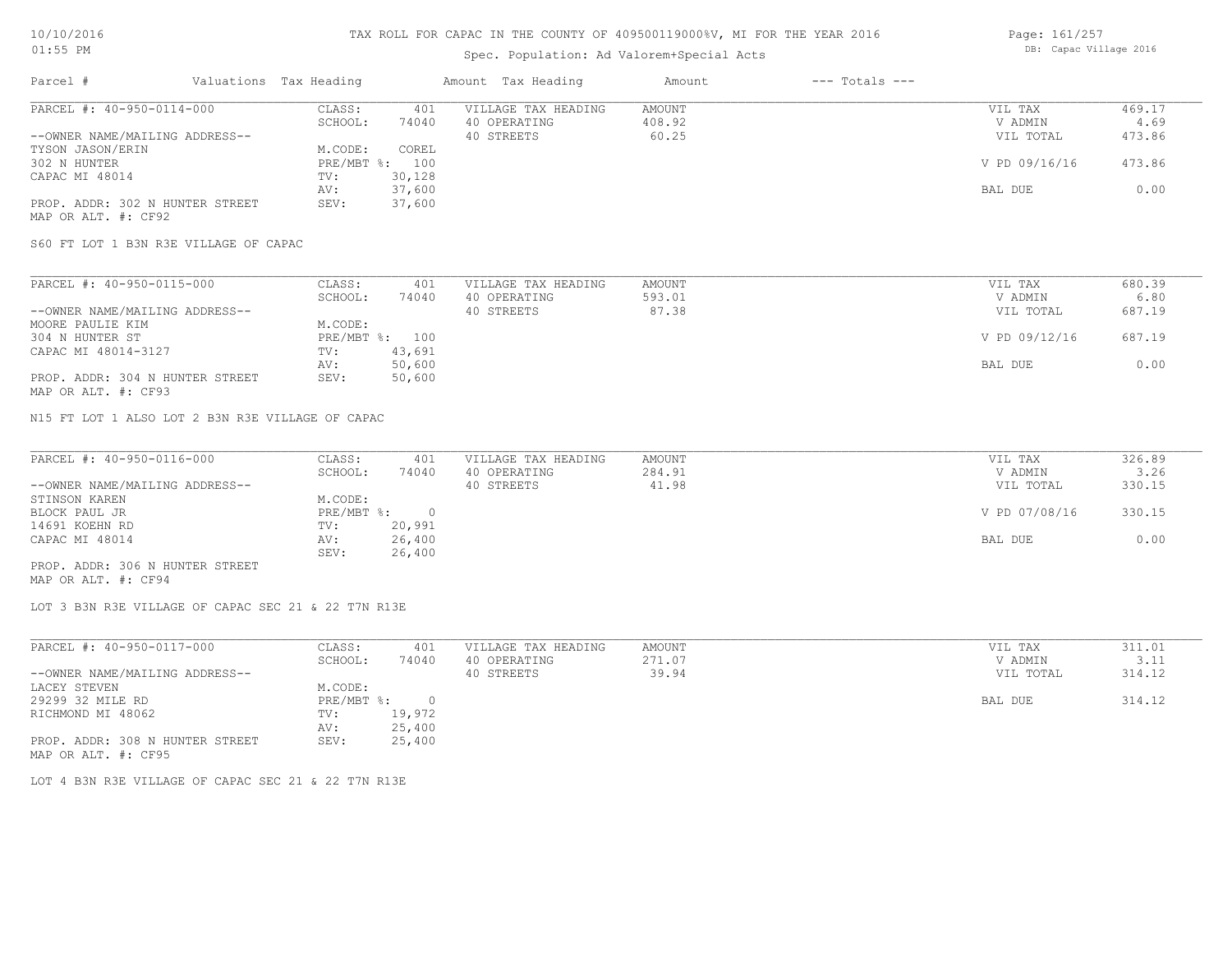# Spec. Population: Ad Valorem+Special Acts

| Page: 161/257 |                        |  |
|---------------|------------------------|--|
|               | DB: Capac Village 2016 |  |

| Parcel #                        | Valuations Tax Heading |                | Amount Tax Heading  | Amount | $---$ Totals $---$ |               |        |
|---------------------------------|------------------------|----------------|---------------------|--------|--------------------|---------------|--------|
| PARCEL #: 40-950-0114-000       | CLASS:                 | 401            | VILLAGE TAX HEADING | AMOUNT |                    | VIL TAX       | 469.17 |
|                                 | SCHOOL:                | 74040          | 40 OPERATING        | 408.92 |                    | V ADMIN       | 4.69   |
| --OWNER NAME/MAILING ADDRESS--  |                        |                | 40 STREETS          | 60.25  |                    | VIL TOTAL     | 473.86 |
| TYSON JASON/ERIN                | M.CODE:                | COREL          |                     |        |                    |               |        |
| 302 N HUNTER                    |                        | PRE/MBT %: 100 |                     |        |                    | V PD 09/16/16 | 473.86 |
| CAPAC MI 48014                  | TV:                    | 30,128         |                     |        |                    |               |        |
|                                 | AV:                    | 37,600         |                     |        |                    | BAL DUE       | 0.00   |
| PROP. ADDR: 302 N HUNTER STREET | SEV:                   | 37,600         |                     |        |                    |               |        |
| MAP OR ALT. #: CF92             |                        |                |                     |        |                    |               |        |

S60 FT LOT 1 B3N R3E VILLAGE OF CAPAC

| PARCEL #: 40-950-0115-000       | CLASS:  | 401            | VILLAGE TAX HEADING | AMOUNT | VIL TAX       | 680.39 |
|---------------------------------|---------|----------------|---------------------|--------|---------------|--------|
|                                 | SCHOOL: | 74040          | 40 OPERATING        | 593.01 | V ADMIN       | 6.80   |
| --OWNER NAME/MAILING ADDRESS--  |         |                | 40 STREETS          | 87.38  | VIL TOTAL     | 687.19 |
| MOORE PAULIE KIM                | M.CODE: |                |                     |        |               |        |
| 304 N HUNTER ST                 |         | PRE/MBT %: 100 |                     |        | V PD 09/12/16 | 687.19 |
| CAPAC MI 48014-3127             | TV:     | 43,691         |                     |        |               |        |
|                                 | AV:     | 50,600         |                     |        | BAL DUE       | 0.00   |
| PROP. ADDR: 304 N HUNTER STREET | SEV:    | 50,600         |                     |        |               |        |
| MAP OR ALT. #: CF93             |         |                |                     |        |               |        |

N15 FT LOT 1 ALSO LOT 2 B3N R3E VILLAGE OF CAPAC

| PARCEL #: 40-950-0116-000       | CLASS:     | 401    | VILLAGE TAX HEADING | AMOUNT | VIL TAX       | 326.89 |
|---------------------------------|------------|--------|---------------------|--------|---------------|--------|
|                                 | SCHOOL:    | 74040  | 40 OPERATING        | 284.91 | V ADMIN       | 3.26   |
| --OWNER NAME/MAILING ADDRESS--  |            |        | 40 STREETS          | 41.98  | VIL TOTAL     | 330.15 |
| STINSON KAREN                   | M.CODE:    |        |                     |        |               |        |
| BLOCK PAUL JR                   | PRE/MBT %: |        |                     |        | V PD 07/08/16 | 330.15 |
| 14691 KOEHN RD                  | TV:        | 20,991 |                     |        |               |        |
| CAPAC MI 48014                  | AV:        | 26,400 |                     |        | BAL DUE       | 0.00   |
|                                 | SEV:       | 26,400 |                     |        |               |        |
| PROP. ADDR: 306 N HUNTER STREET |            |        |                     |        |               |        |

MAP OR ALT. #: CF94

LOT 3 B3N R3E VILLAGE OF CAPAC SEC 21 & 22 T7N R13E

| PARCEL #: 40-950-0117-000                              | CLASS:     | 401    | VILLAGE TAX HEADING | AMOUNT | VIL TAX   | 311.01 |
|--------------------------------------------------------|------------|--------|---------------------|--------|-----------|--------|
|                                                        | SCHOOL:    | 74040  | 40 OPERATING        | 271.07 | V ADMIN   | 3.11   |
| --OWNER NAME/MAILING ADDRESS--                         |            |        | 40 STREETS          | 39.94  | VIL TOTAL | 314.12 |
| LACEY STEVEN                                           | M.CODE:    |        |                     |        |           |        |
| 29299 32 MILE RD                                       | PRE/MBT %: |        |                     |        | BAL DUE   | 314.12 |
| RICHMOND MI 48062                                      | TV:        | 19,972 |                     |        |           |        |
|                                                        | AV:        | 25,400 |                     |        |           |        |
| PROP. ADDR: 308 N HUNTER STREET<br>MAP OR ALT. #: CF95 | SEV:       | 25,400 |                     |        |           |        |

LOT 4 B3N R3E VILLAGE OF CAPAC SEC 21 & 22 T7N R13E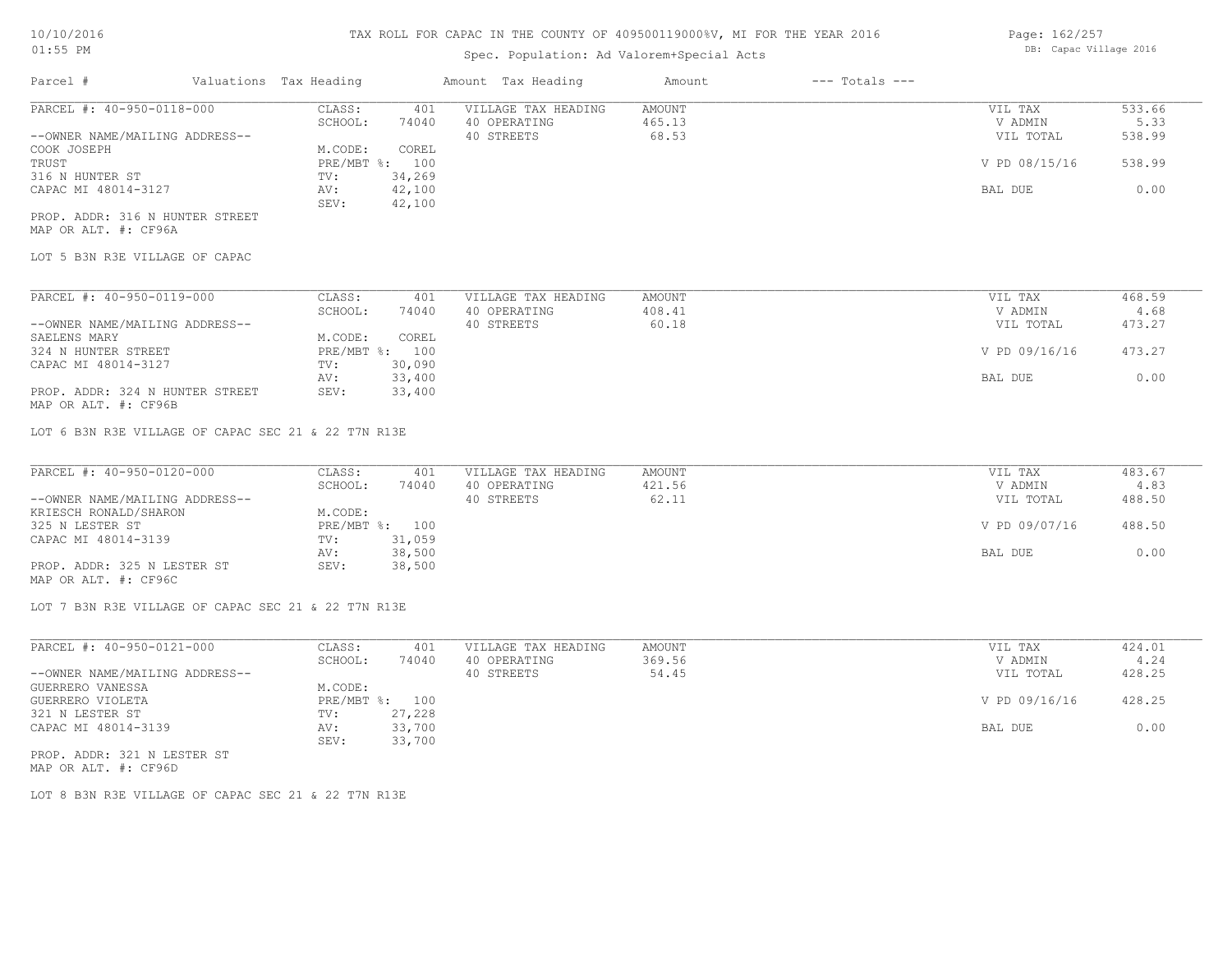# Spec. Population: Ad Valorem+Special Acts

| Page: 162/257 |                        |  |
|---------------|------------------------|--|
|               | DB: Capac Village 2016 |  |

| Parcel #                        | Valuations Tax Heading |        | Amount Tax Heading  | Amount | $---$ Totals $---$ |               |        |
|---------------------------------|------------------------|--------|---------------------|--------|--------------------|---------------|--------|
| PARCEL #: 40-950-0118-000       | CLASS:                 | 401    | VILLAGE TAX HEADING | AMOUNT |                    | VIL TAX       | 533.66 |
|                                 | SCHOOL:                | 74040  | 40 OPERATING        | 465.13 |                    | V ADMIN       | 5.33   |
| --OWNER NAME/MAILING ADDRESS--  |                        |        | 40 STREETS          | 68.53  |                    | VIL TOTAL     | 538.99 |
| COOK JOSEPH                     | M.CODE:                | COREL  |                     |        |                    |               |        |
| TRUST                           | PRE/MBT %: 100         |        |                     |        |                    | V PD 08/15/16 | 538.99 |
| 316 N HUNTER ST                 | TV:                    | 34,269 |                     |        |                    |               |        |
| CAPAC MI 48014-3127             | AV:                    | 42,100 |                     |        |                    | BAL DUE       | 0.00   |
|                                 | SEV:                   | 42,100 |                     |        |                    |               |        |
| PROP. ADDR: 316 N HUNTER STREET |                        |        |                     |        |                    |               |        |

MAP OR ALT. #: CF96A

LOT 5 B3N R3E VILLAGE OF CAPAC

| PARCEL #: 40-950-0119-000       | CLASS:       | 401    | VILLAGE TAX HEADING | AMOUNT | VIL TAX       | 468.59 |
|---------------------------------|--------------|--------|---------------------|--------|---------------|--------|
|                                 | SCHOOL:      | 74040  | 40 OPERATING        | 408.41 | V ADMIN       | 4.68   |
| --OWNER NAME/MAILING ADDRESS--  |              |        | 40 STREETS          | 60.18  | VIL TOTAL     | 473.27 |
| SAELENS MARY                    | M.CODE:      | COREL  |                     |        |               |        |
| 324 N HUNTER STREET             | $PRE/MBT$ %: | 100    |                     |        | V PD 09/16/16 | 473.27 |
| CAPAC MI 48014-3127             | TV:          | 30,090 |                     |        |               |        |
|                                 | AV:          | 33,400 |                     |        | BAL DUE       | 0.00   |
| PROP. ADDR: 324 N HUNTER STREET | SEV:         | 33,400 |                     |        |               |        |

MAP OR ALT. #: CF96B

LOT 6 B3N R3E VILLAGE OF CAPAC SEC 21 & 22 T7N R13E

| PARCEL #: 40-950-0120-000      | CLASS:  | 401            | VILLAGE TAX HEADING | AMOUNT | VIL TAX       | 483.67 |
|--------------------------------|---------|----------------|---------------------|--------|---------------|--------|
|                                | SCHOOL: | 74040          | 40 OPERATING        | 421.56 | V ADMIN       | 4.83   |
| --OWNER NAME/MAILING ADDRESS-- |         |                | 40 STREETS          | 62.11  | VIL TOTAL     | 488.50 |
| KRIESCH RONALD/SHARON          | M.CODE: |                |                     |        |               |        |
| 325 N LESTER ST                |         | PRE/MBT %: 100 |                     |        | V PD 09/07/16 | 488.50 |
| CAPAC MI 48014-3139            | TV:     | 31,059         |                     |        |               |        |
|                                | AV:     | 38,500         |                     |        | BAL DUE       | 0.00   |
| PROP. ADDR: 325 N LESTER ST    | SEV:    | 38,500         |                     |        |               |        |
| MAP OR ALT. #: CF96C           |         |                |                     |        |               |        |

LOT 7 B3N R3E VILLAGE OF CAPAC SEC 21 & 22 T7N R13E

| PARCEL #: 40-950-0121-000      | CLASS:  | 401            | VILLAGE TAX HEADING | AMOUNT | VIL TAX       | 424.01 |
|--------------------------------|---------|----------------|---------------------|--------|---------------|--------|
|                                | SCHOOL: | 74040          | 40 OPERATING        | 369.56 | V ADMIN       | 4.24   |
| --OWNER NAME/MAILING ADDRESS-- |         |                | 40 STREETS          | 54.45  | VIL TOTAL     | 428.25 |
| GUERRERO VANESSA               | M.CODE: |                |                     |        |               |        |
| GUERRERO VIOLETA               |         | PRE/MBT %: 100 |                     |        | V PD 09/16/16 | 428.25 |
| 321 N LESTER ST                | TV:     | 27,228         |                     |        |               |        |
| CAPAC MI 48014-3139            | AV:     | 33,700         |                     |        | BAL DUE       | 0.00   |
|                                | SEV:    | 33,700         |                     |        |               |        |
| PROP. ADDR: 321 N LESTER ST    |         |                |                     |        |               |        |

MAP OR ALT. #: CF96D

LOT 8 B3N R3E VILLAGE OF CAPAC SEC 21 & 22 T7N R13E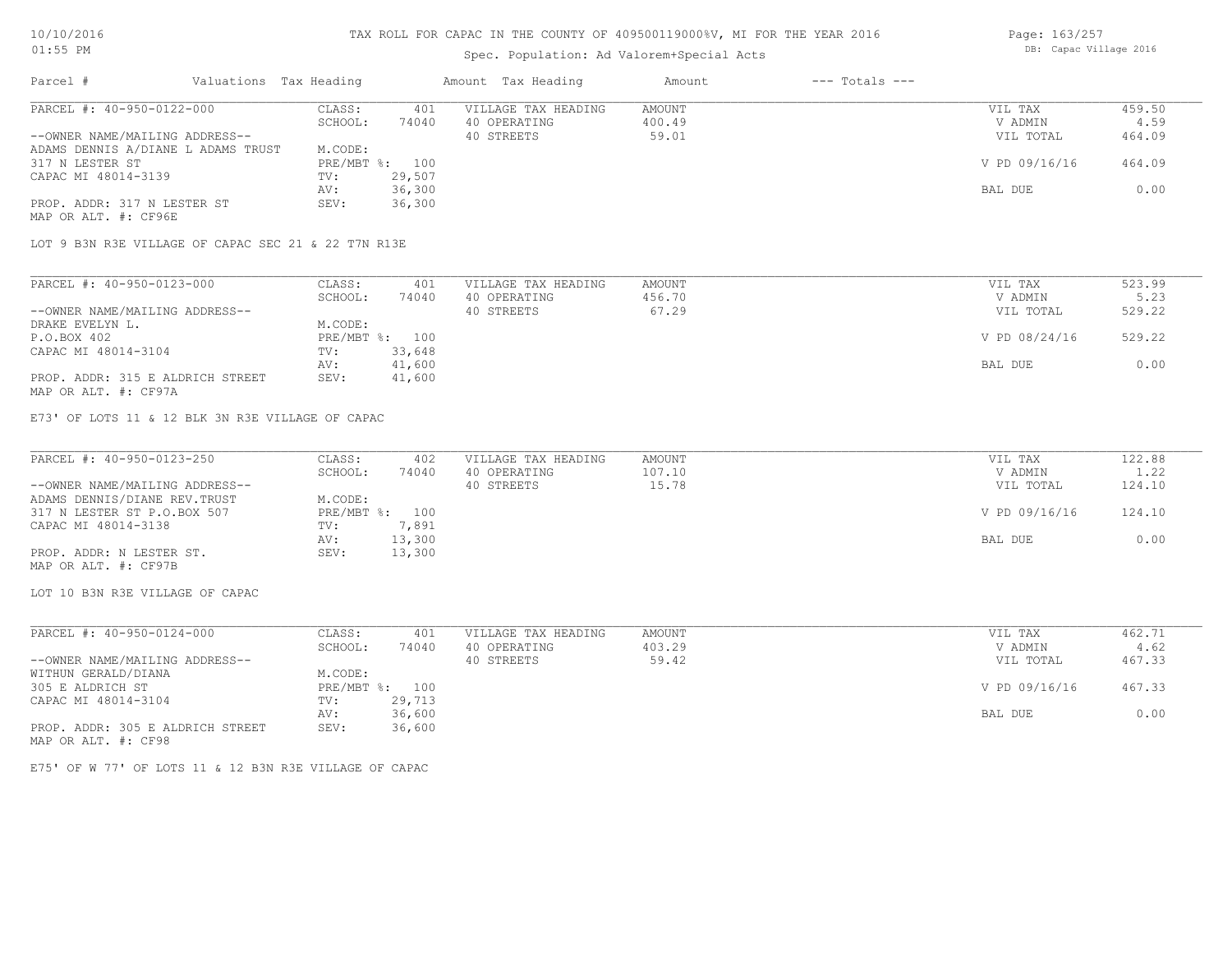### Spec. Population: Ad Valorem+Special Acts

| Page: 163/257 |                        |  |
|---------------|------------------------|--|
|               | DB: Capac Village 2016 |  |

| Parcel #                           | Valuations Tax Heading |        | Amount Tax Heading  | Amount | $---$ Totals $---$ |               |        |
|------------------------------------|------------------------|--------|---------------------|--------|--------------------|---------------|--------|
| PARCEL #: 40-950-0122-000          | CLASS:                 | 401    | VILLAGE TAX HEADING | AMOUNT |                    | VIL TAX       | 459.50 |
|                                    | SCHOOL:                | 74040  | 40 OPERATING        | 400.49 |                    | V ADMIN       | 4.59   |
| --OWNER NAME/MAILING ADDRESS--     |                        |        | 40 STREETS          | 59.01  |                    | VIL TOTAL     | 464.09 |
| ADAMS DENNIS A/DIANE L ADAMS TRUST | M.CODE:                |        |                     |        |                    |               |        |
| 317 N LESTER ST                    | PRE/MBT %:             | 100    |                     |        |                    | V PD 09/16/16 | 464.09 |
| CAPAC MI 48014-3139                | TV:                    | 29,507 |                     |        |                    |               |        |
|                                    | AV:                    | 36,300 |                     |        |                    | BAL DUE       | 0.00   |
| PROP. ADDR: 317 N LESTER ST        | SEV:                   | 36,300 |                     |        |                    |               |        |
| MAP OR ALT. #: CF96E               |                        |        |                     |        |                    |               |        |

LOT 9 B3N R3E VILLAGE OF CAPAC SEC 21 & 22 T7N R13E

| PARCEL #: 40-950-0123-000        | CLASS:  | 401            | VILLAGE TAX HEADING | AMOUNT | VIL TAX       | 523.99 |
|----------------------------------|---------|----------------|---------------------|--------|---------------|--------|
|                                  | SCHOOL: | 74040          | 40 OPERATING        | 456.70 | V ADMIN       | 5.23   |
| --OWNER NAME/MAILING ADDRESS--   |         |                | 40 STREETS          | 67.29  | VIL TOTAL     | 529.22 |
| DRAKE EVELYN L.                  | M.CODE: |                |                     |        |               |        |
| P.O.BOX 402                      |         | PRE/MBT %: 100 |                     |        | V PD 08/24/16 | 529.22 |
| CAPAC MI 48014-3104              | TV:     | 33,648         |                     |        |               |        |
|                                  | AV:     | 41,600         |                     |        | BAL DUE       | 0.00   |
| PROP. ADDR: 315 E ALDRICH STREET | SEV:    | 41,600         |                     |        |               |        |
| MAP OR ALT. #: CF97A             |         |                |                     |        |               |        |

E73' OF LOTS 11 & 12 BLK 3N R3E VILLAGE OF CAPAC

| PARCEL #: 40-950-0123-250      | CLASS:         | 402    | VILLAGE TAX HEADING | AMOUNT | VIL TAX       | 122.88 |
|--------------------------------|----------------|--------|---------------------|--------|---------------|--------|
|                                | SCHOOL:        | 74040  | 40 OPERATING        | 107.10 | V ADMIN       | 1.22   |
| --OWNER NAME/MAILING ADDRESS-- |                |        | 40 STREETS          | 15.78  | VIL TOTAL     | 124.10 |
| ADAMS DENNIS/DIANE REV. TRUST  | M.CODE:        |        |                     |        |               |        |
| 317 N LESTER ST P.O.BOX 507    | PRE/MBT %: 100 |        |                     |        | V PD 09/16/16 | 124.10 |
| CAPAC MI 48014-3138            | TV:            | 7,891  |                     |        |               |        |
|                                | AV:            | 13,300 |                     |        | BAL DUE       | 0.00   |
| PROP. ADDR: N LESTER ST.       | SEV:           | 13,300 |                     |        |               |        |
| MAP OR ALT. #: CF97B           |                |        |                     |        |               |        |

LOT 10 B3N R3E VILLAGE OF CAPAC

| PARCEL #: 40-950-0124-000        | CLASS:       | 401    | VILLAGE TAX HEADING | AMOUNT |         | VIL TAX       | 462.71 |
|----------------------------------|--------------|--------|---------------------|--------|---------|---------------|--------|
|                                  | SCHOOL:      | 74040  | 40 OPERATING        | 403.29 |         | V ADMIN       | 4.62   |
| --OWNER NAME/MAILING ADDRESS--   |              |        | 40 STREETS          | 59.42  |         | VIL TOTAL     | 467.33 |
| WITHUN GERALD/DIANA              | M.CODE:      |        |                     |        |         |               |        |
| 305 E ALDRICH ST                 | $PRE/MBT$ %: | 100    |                     |        |         | V PD 09/16/16 | 467.33 |
| CAPAC MI 48014-3104              | TV:          | 29,713 |                     |        |         |               |        |
|                                  | AV:          | 36,600 |                     |        | BAL DUE |               | 0.00   |
| PROP. ADDR: 305 E ALDRICH STREET | SEV:         | 36,600 |                     |        |         |               |        |
| MAP OR ALT. #: CF98              |              |        |                     |        |         |               |        |

E75' OF W 77' OF LOTS 11 & 12 B3N R3E VILLAGE OF CAPAC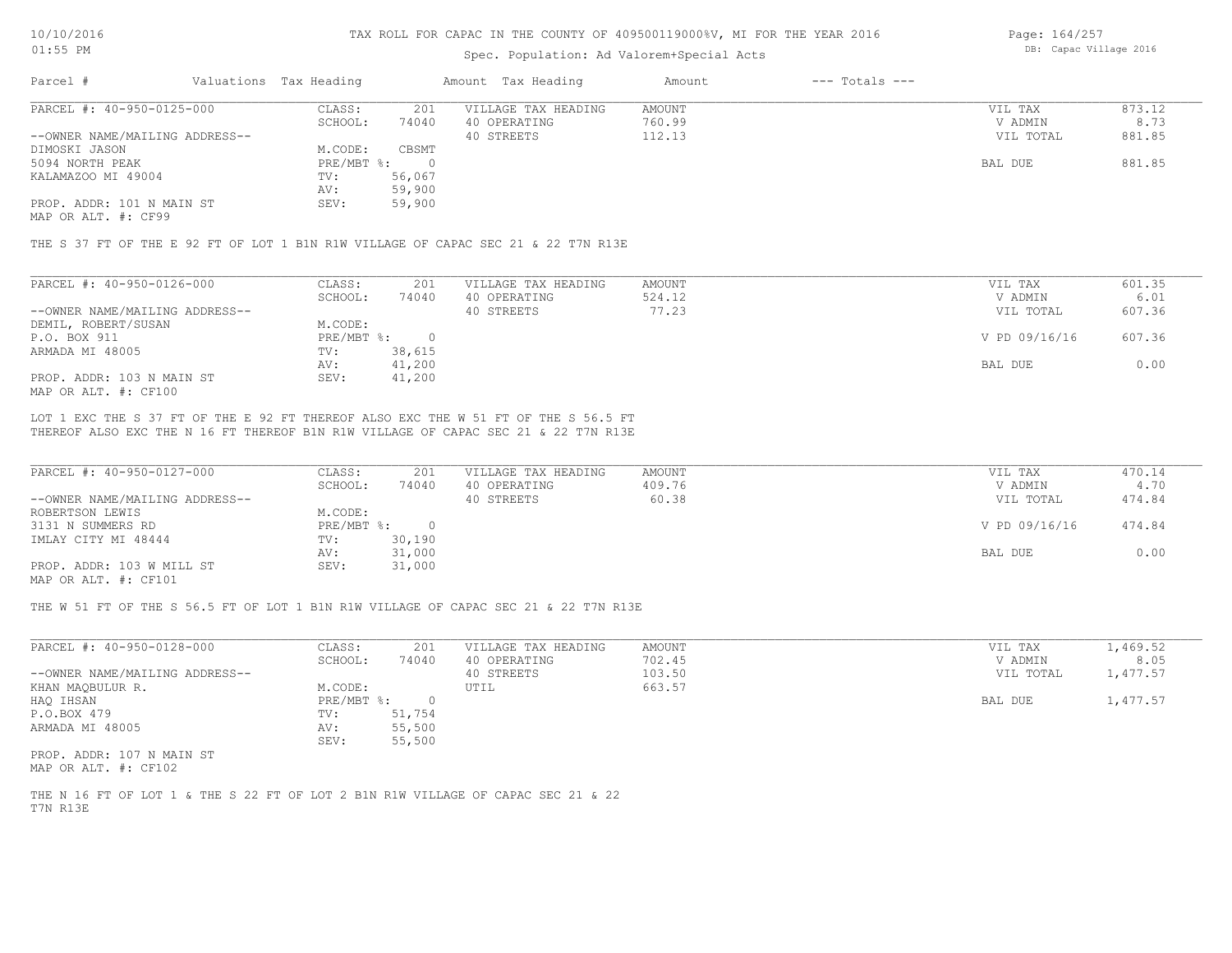### Spec. Population: Ad Valorem+Special Acts

Page: 164/257 DB: Capac Village 2016

| Parcel #                       | Valuations Tax Heading |        | Amount Tax Heading  | Amount | $---$ Totals $---$ |           |        |
|--------------------------------|------------------------|--------|---------------------|--------|--------------------|-----------|--------|
| PARCEL #: 40-950-0125-000      | CLASS:                 | 201    | VILLAGE TAX HEADING | AMOUNT |                    | VIL TAX   | 873.12 |
|                                | SCHOOL:                | 74040  | 40 OPERATING        | 760.99 |                    | V ADMIN   | 8.73   |
| --OWNER NAME/MAILING ADDRESS-- |                        |        | 40 STREETS          | 112.13 |                    | VIL TOTAL | 881.85 |
| DIMOSKI JASON                  | M.CODE:                | CBSMT  |                     |        |                    |           |        |
| 5094 NORTH PEAK                | $PRE/MBT$ %:           |        |                     |        |                    | BAL DUE   | 881.85 |
| KALAMAZOO MI 49004             | TV:                    | 56,067 |                     |        |                    |           |        |
|                                | AV:                    | 59,900 |                     |        |                    |           |        |
| PROP. ADDR: 101 N MAIN ST      | SEV:                   | 59,900 |                     |        |                    |           |        |
|                                |                        |        |                     |        |                    |           |        |

MAP OR ALT. #: CF99

THE S 37 FT OF THE E 92 FT OF LOT 1 B1N R1W VILLAGE OF CAPAC SEC 21 & 22 T7N R13E

| PARCEL #: 40-950-0126-000      | CLASS:     | 201    | VILLAGE TAX HEADING | AMOUNT | VIL TAX       | 601.35 |
|--------------------------------|------------|--------|---------------------|--------|---------------|--------|
|                                | SCHOOL:    | 74040  | 40 OPERATING        | 524.12 | V ADMIN       | 6.01   |
| --OWNER NAME/MAILING ADDRESS-- |            |        | 40 STREETS          | 77.23  | VIL TOTAL     | 607.36 |
| DEMIL, ROBERT/SUSAN            | M.CODE:    |        |                     |        |               |        |
| P.O. BOX 911                   | PRE/MBT %: |        |                     |        | V PD 09/16/16 | 607.36 |
| ARMADA MI 48005                | TV:        | 38,615 |                     |        |               |        |
|                                | AV:        | 41,200 |                     |        | BAL DUE       | 0.00   |
| PROP. ADDR: 103 N MAIN ST      | SEV:       | 41,200 |                     |        |               |        |
| MAP OR ALT. #: CF100           |            |        |                     |        |               |        |

THEREOF ALSO EXC THE N 16 FT THEREOF B1N R1W VILLAGE OF CAPAC SEC 21 & 22 T7N R13E LOT 1 EXC THE S 37 FT OF THE E 92 FT THEREOF ALSO EXC THE W 51 FT OF THE S 56.5 FT

| PARCEL #: 40-950-0127-000      | CLASS:     | 201    | VILLAGE TAX HEADING | AMOUNT | VIL TAX       | 470.14 |
|--------------------------------|------------|--------|---------------------|--------|---------------|--------|
|                                | SCHOOL:    | 74040  | 40 OPERATING        | 409.76 | V ADMIN       | 4.70   |
| --OWNER NAME/MAILING ADDRESS-- |            |        | 40 STREETS          | 60.38  | VIL TOTAL     | 474.84 |
| ROBERTSON LEWIS                | M.CODE:    |        |                     |        |               |        |
| 3131 N SUMMERS RD              | PRE/MBT %: |        |                     |        | V PD 09/16/16 | 474.84 |
| IMLAY CITY MI 48444            | TV:        | 30,190 |                     |        |               |        |
|                                | AV:        | 31,000 |                     |        | BAL DUE       | 0.00   |
| PROP. ADDR: 103 W MILL ST      | SEV:       | 31,000 |                     |        |               |        |
| $\frac{1}{2}$                  |            |        |                     |        |               |        |

MAP OR ALT. #: CF101

THE W 51 FT OF THE S 56.5 FT OF LOT 1 B1N R1W VILLAGE OF CAPAC SEC 21 & 22 T7N R13E

| PARCEL #: 40-950-0128-000      | CLASS:     | 201    | VILLAGE TAX HEADING | AMOUNT | VIL TAX   | 1,469.52 |
|--------------------------------|------------|--------|---------------------|--------|-----------|----------|
|                                | SCHOOL:    | 74040  | 40 OPERATING        | 702.45 | V ADMIN   | 8.05     |
| --OWNER NAME/MAILING ADDRESS-- |            |        | 40 STREETS          | 103.50 | VIL TOTAL | 1,477.57 |
| KHAN MAQBULUR R.               | M.CODE:    |        | UTIL                | 663.57 |           |          |
| HAO IHSAN                      | PRE/MBT %: |        |                     |        | BAL DUE   | 1,477.57 |
| P.O.BOX 479                    | TV:        | 51,754 |                     |        |           |          |
| ARMADA MI 48005                | AV:        | 55,500 |                     |        |           |          |
|                                | SEV:       | 55,500 |                     |        |           |          |
| PROP. ADDR: 107 N MAIN ST      |            |        |                     |        |           |          |

MAP OR ALT. #: CF102

T7N R13E THE N 16 FT OF LOT 1 & THE S 22 FT OF LOT 2 B1N R1W VILLAGE OF CAPAC SEC 21 & 22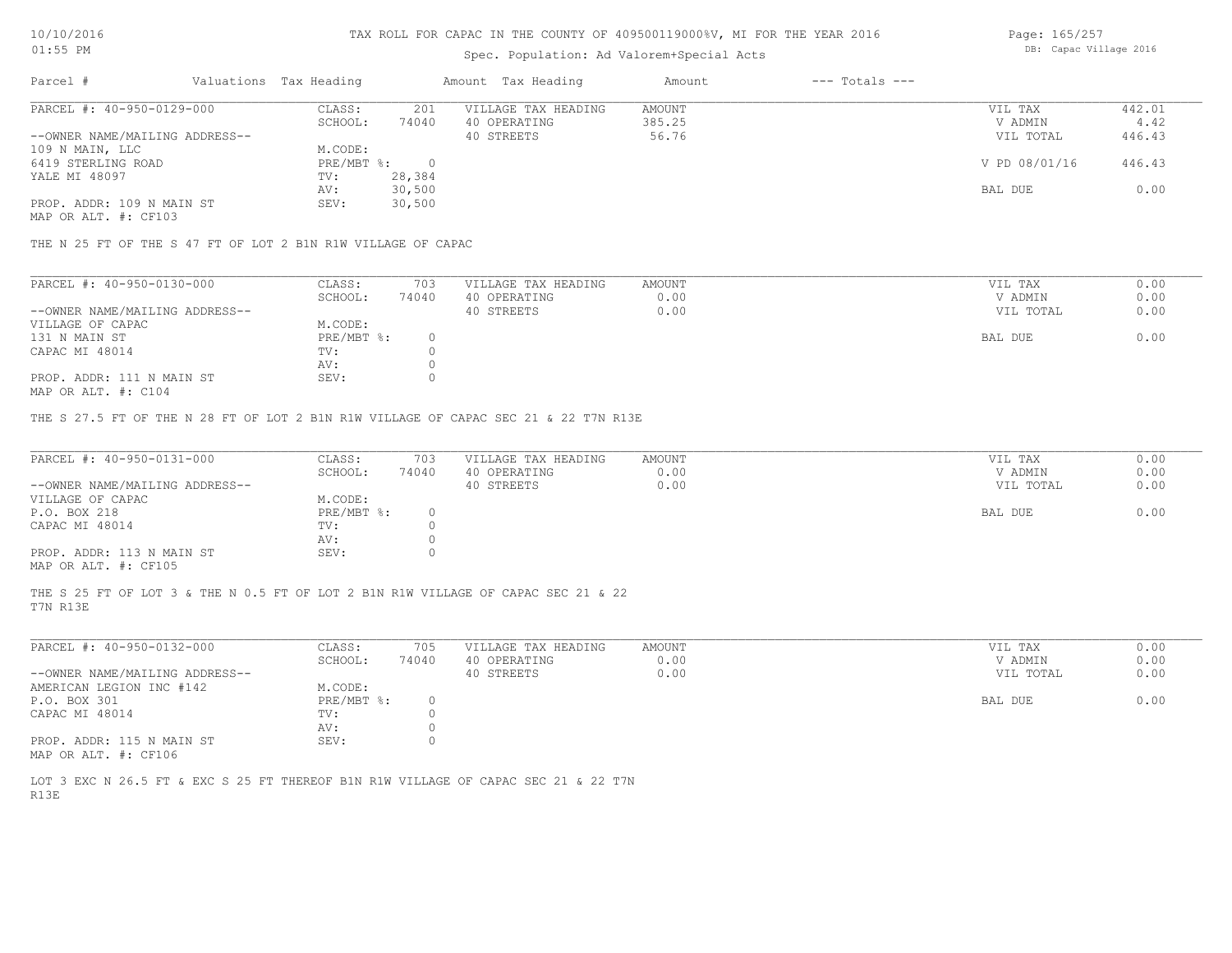# Spec. Population: Ad Valorem+Special Acts

Page: 165/257 DB: Capac Village 2016

| Parcel #                       | Valuations Tax Heading |        | Amount Tax Heading  | Amount | $---$ Totals $---$ |               |        |
|--------------------------------|------------------------|--------|---------------------|--------|--------------------|---------------|--------|
| PARCEL #: 40-950-0129-000      | CLASS:                 | 201    | VILLAGE TAX HEADING | AMOUNT |                    | VIL TAX       | 442.01 |
|                                | SCHOOL:                | 74040  | 40 OPERATING        | 385.25 |                    | V ADMIN       | 4.42   |
| --OWNER NAME/MAILING ADDRESS-- |                        |        | 40 STREETS          | 56.76  |                    | VIL TOTAL     | 446.43 |
| 109 N MAIN, LLC                | M.CODE:                |        |                     |        |                    |               |        |
| 6419 STERLING ROAD             | $PRE/MBT$ %:           |        |                     |        |                    | V PD 08/01/16 | 446.43 |
| YALE MI 48097                  | TV:                    | 28,384 |                     |        |                    |               |        |
|                                | AV:                    | 30,500 |                     |        |                    | BAL DUE       | 0.00   |
| PROP. ADDR: 109 N MAIN ST      | SEV:                   | 30,500 |                     |        |                    |               |        |
|                                |                        |        |                     |        |                    |               |        |

MAP OR ALT. #: CF103

THE N 25 FT OF THE S 47 FT OF LOT 2 B1N R1W VILLAGE OF CAPAC

| PARCEL #: 40-950-0130-000      | CLASS:     | 703   | VILLAGE TAX HEADING | AMOUNT | VIL TAX   | 0.00 |
|--------------------------------|------------|-------|---------------------|--------|-----------|------|
|                                | SCHOOL:    | 74040 | 40 OPERATING        | 0.00   | V ADMIN   | 0.00 |
| --OWNER NAME/MAILING ADDRESS-- |            |       | 40 STREETS          | 0.00   | VIL TOTAL | 0.00 |
| VILLAGE OF CAPAC               | M.CODE:    |       |                     |        |           |      |
| 131 N MAIN ST                  | PRE/MBT %: |       |                     |        | BAL DUE   | 0.00 |
| CAPAC MI 48014                 | TV:        |       |                     |        |           |      |
|                                | AV:        |       |                     |        |           |      |
| PROP. ADDR: 111 N MAIN ST      | SEV:       |       |                     |        |           |      |
|                                |            |       |                     |        |           |      |

MAP OR ALT. #: C104

THE S 27.5 FT OF THE N 28 FT OF LOT 2 B1N R1W VILLAGE OF CAPAC SEC 21 & 22 T7N R13E

| PARCEL #: 40-950-0131-000      | CLASS:       | 703   | VILLAGE TAX HEADING | AMOUNT | VIL TAX   | 0.00 |
|--------------------------------|--------------|-------|---------------------|--------|-----------|------|
|                                | SCHOOL:      | 74040 | 40 OPERATING        | 0.00   | V ADMIN   | 0.00 |
| --OWNER NAME/MAILING ADDRESS-- |              |       | 40 STREETS          | 0.00   | VIL TOTAL | 0.00 |
| VILLAGE OF CAPAC               | M.CODE:      |       |                     |        |           |      |
| P.O. BOX 218                   | $PRE/MBT$ %: |       |                     |        | BAL DUE   | 0.00 |
| CAPAC MI 48014                 | TV:          |       |                     |        |           |      |
|                                | AV:          |       |                     |        |           |      |
| PROP. ADDR: 113 N MAIN ST      | SEV:         |       |                     |        |           |      |
| MAP OR ALT. #: CF105           |              |       |                     |        |           |      |

T7N R13E THE S 25 FT OF LOT 3 & THE N 0.5 FT OF LOT 2 B1N R1W VILLAGE OF CAPAC SEC 21 & 22

| PARCEL #: 40-950-0132-000      | CLASS:     | 705   | VILLAGE TAX HEADING | AMOUNT | VIL TAX   | 0.00 |
|--------------------------------|------------|-------|---------------------|--------|-----------|------|
|                                | SCHOOL:    | 74040 | 40 OPERATING        | 0.00   | V ADMIN   | 0.00 |
| --OWNER NAME/MAILING ADDRESS-- |            |       | 40 STREETS          | 0.00   | VIL TOTAL | 0.00 |
| AMERICAN LEGION INC #142       | M.CODE:    |       |                     |        |           |      |
| P.O. BOX 301                   | PRE/MBT %: |       |                     |        | BAL DUE   | 0.00 |
| CAPAC MI 48014                 | TV:        |       |                     |        |           |      |
|                                | AV:        |       |                     |        |           |      |
| PROP. ADDR: 115 N MAIN ST      | SEV:       |       |                     |        |           |      |
| MAP OR ALT. #: CF106           |            |       |                     |        |           |      |

R13E LOT 3 EXC N 26.5 FT & EXC S 25 FT THEREOF B1N R1W VILLAGE OF CAPAC SEC 21 & 22 T7N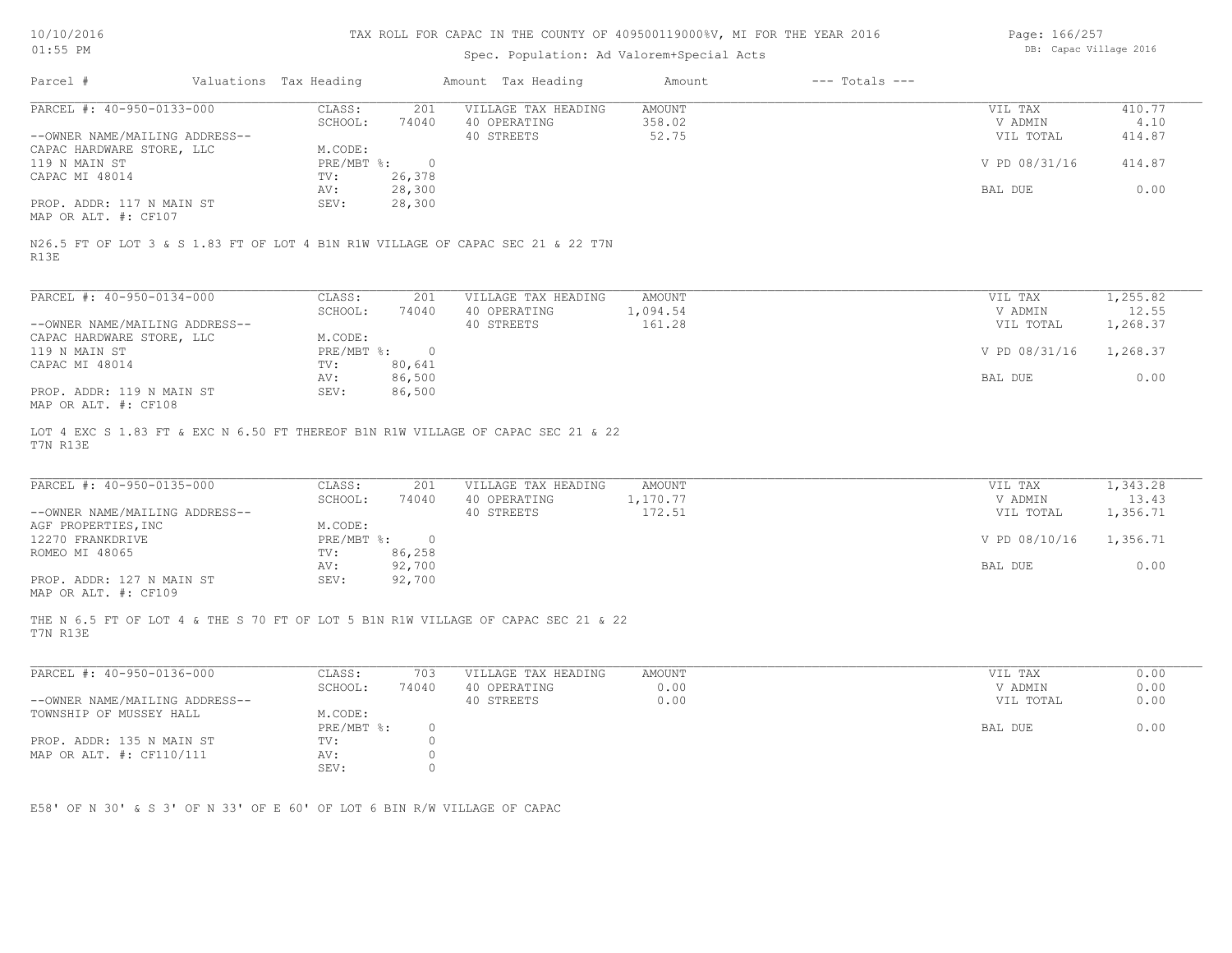| 10/10/2016 |  |
|------------|--|
|            |  |

Page: 166/257

| Parcel #                                                                                                 |                                    |                     |               |                    |               |          |
|----------------------------------------------------------------------------------------------------------|------------------------------------|---------------------|---------------|--------------------|---------------|----------|
|                                                                                                          | Valuations Tax Heading             | Amount Tax Heading  | Amount        | $---$ Totals $---$ |               |          |
| PARCEL #: 40-950-0133-000                                                                                | CLASS:<br>201                      | VILLAGE TAX HEADING | <b>AMOUNT</b> |                    | VIL TAX       | 410.77   |
|                                                                                                          | SCHOOL:<br>74040                   | 40 OPERATING        | 358.02        |                    | V ADMIN       | 4.10     |
| --OWNER NAME/MAILING ADDRESS--                                                                           |                                    | 40 STREETS          | 52.75         |                    | VIL TOTAL     | 414.87   |
| CAPAC HARDWARE STORE, LLC                                                                                | M.CODE:                            |                     |               |                    |               |          |
| 119 N MAIN ST                                                                                            | PRE/MBT %:<br>$\overline{0}$       |                     |               |                    | V PD 08/31/16 | 414.87   |
| CAPAC MI 48014                                                                                           | TV:<br>26,378                      |                     |               |                    |               |          |
|                                                                                                          | 28,300<br>AV:                      |                     |               | BAL DUE            |               | 0.00     |
| PROP. ADDR: 117 N MAIN ST<br>MAP OR ALT. #: CF107                                                        | 28,300<br>SEV:                     |                     |               |                    |               |          |
| N26.5 FT OF LOT 3 & S 1.83 FT OF LOT 4 B1N R1W VILLAGE OF CAPAC SEC 21 & 22 T7N<br>R13E                  |                                    |                     |               |                    |               |          |
| PARCEL #: 40-950-0134-000                                                                                | CLASS:<br>201                      | VILLAGE TAX HEADING | AMOUNT        |                    | VIL TAX       | 1,255.82 |
|                                                                                                          | SCHOOL:<br>74040                   | 40 OPERATING        | 1,094.54      |                    | V ADMIN       | 12.55    |
| --OWNER NAME/MAILING ADDRESS--                                                                           |                                    | 40 STREETS          | 161.28        |                    | VIL TOTAL     | 1,268.37 |
| CAPAC HARDWARE STORE, LLC                                                                                | M.CODE:                            |                     |               |                    |               |          |
| 119 N MAIN ST                                                                                            | $PRE/MBT$ %:<br>$\overline{0}$     |                     |               |                    | V PD 08/31/16 | 1,268.37 |
| CAPAC MI 48014                                                                                           | 80,641<br>TV:                      |                     |               |                    |               |          |
|                                                                                                          | 86,500<br>AV:                      |                     |               | BAL DUE            |               | 0.00     |
| PROP. ADDR: 119 N MAIN ST                                                                                | SEV:<br>86,500                     |                     |               |                    |               |          |
| MAP OR ALT. #: CF108<br>LOT 4 EXC S 1.83 FT & EXC N 6.50 FT THEREOF B1N R1W VILLAGE OF CAPAC SEC 21 & 22 |                                    |                     |               |                    |               |          |
| T7N R13E<br>PARCEL #: 40-950-0135-000                                                                    | CLASS:<br>201                      | VILLAGE TAX HEADING | AMOUNT        |                    | VIL TAX       | 1,343.28 |
|                                                                                                          | SCHOOL:<br>74040                   | 40 OPERATING        | 1,170.77      |                    | V ADMIN       | 13.43    |
| --OWNER NAME/MAILING ADDRESS--                                                                           |                                    | 40 STREETS          | 172.51        |                    | VIL TOTAL     | 1,356.71 |
| AGF PROPERTIES, INC                                                                                      | M.CODE:                            |                     |               |                    |               |          |
| 12270 FRANKDRIVE                                                                                         | PRE/MBT %:<br>$\overline{0}$       |                     |               |                    | V PD 08/10/16 | 1,356.71 |
| ROMEO MI 48065                                                                                           | 86,258<br>TV:                      |                     |               |                    |               |          |
|                                                                                                          | AV:<br>92,700                      |                     |               | BAL DUE            |               | 0.00     |
| PROP. ADDR: 127 N MAIN ST<br>MAP OR ALT. #: CF109                                                        | 92,700<br>SEV:                     |                     |               |                    |               |          |
| THE N 6.5 FT OF LOT 4 & THE S 70 FT OF LOT 5 B1N R1W VILLAGE OF CAPAC SEC 21 & 22<br>T7N R13E            |                                    |                     |               |                    |               |          |
| PARCEL #: 40-950-0136-000                                                                                | CLASS:<br>703                      | VILLAGE TAX HEADING | <b>AMOUNT</b> |                    | VIL TAX       | 0.00     |
|                                                                                                          | SCHOOL:<br>74040                   | 40 OPERATING        | 0.00          |                    | V ADMIN       | 0.00     |
| --OWNER NAME/MAILING ADDRESS--                                                                           |                                    |                     |               |                    |               |          |
|                                                                                                          |                                    | 40 STREETS          | 0.00          |                    | VIL TOTAL     | 0.00     |
| TOWNSHIP OF MUSSEY HALL                                                                                  | M.CODE:<br>PRE/MBT %:              |                     |               | BAL DUE            |               |          |
|                                                                                                          | $\circ$                            |                     |               |                    |               | 0.00     |
| PROP. ADDR: 135 N MAIN ST                                                                                | $\circ$<br>TV:                     |                     |               |                    |               |          |
| MAP OR ALT. #: CF110/111                                                                                 | $\circ$<br>AV:<br>SEV:<br>$\Omega$ |                     |               |                    |               |          |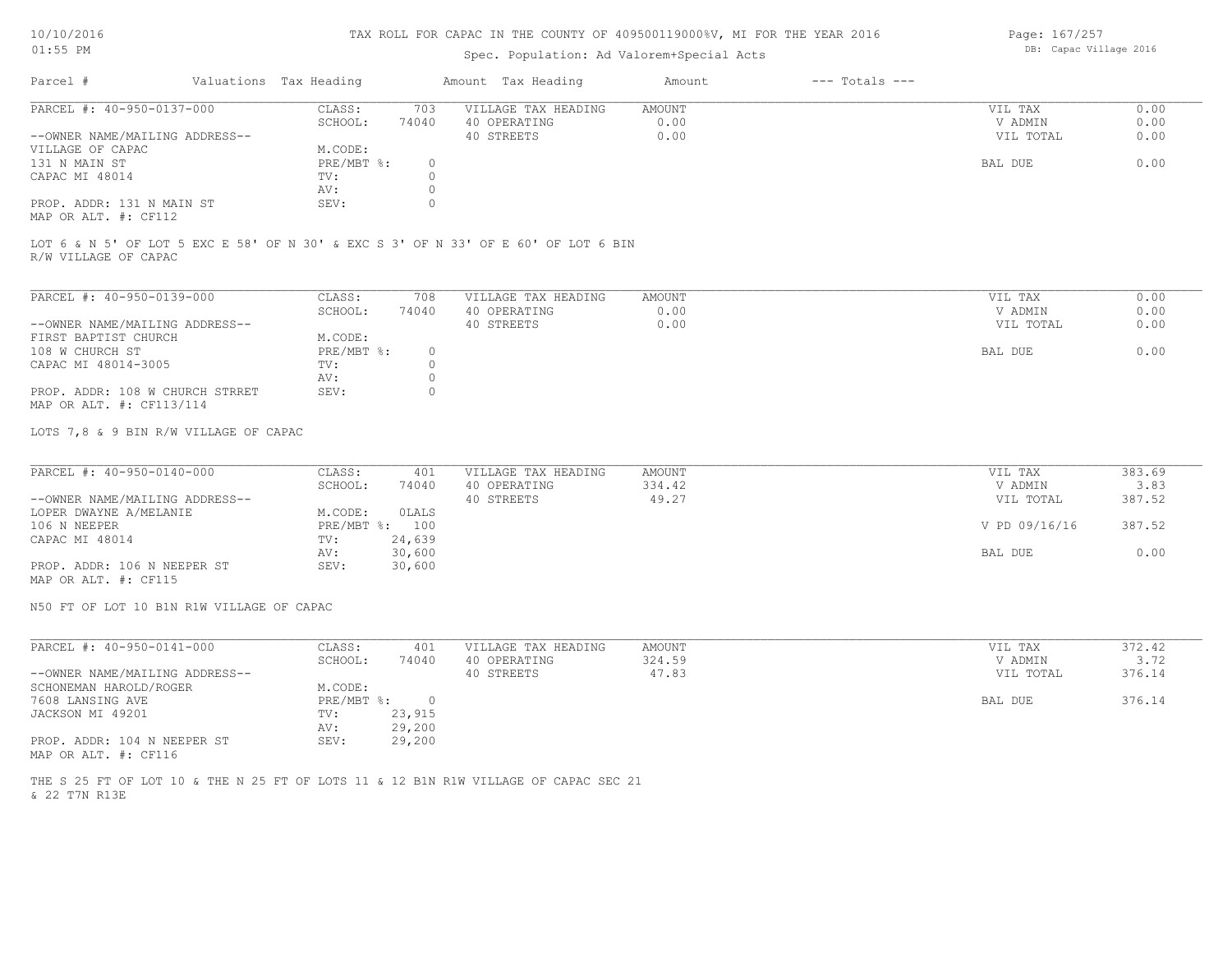# Spec. Population: Ad Valorem+Special Acts

Page: 167/257 DB: Capac Village 2016

| Parcel #                       | Valuations Tax Heading |       | Amount Tax Heading  | Amount | $---$ Totals $---$ |           |      |
|--------------------------------|------------------------|-------|---------------------|--------|--------------------|-----------|------|
| PARCEL #: 40-950-0137-000      | CLASS:                 | 703   | VILLAGE TAX HEADING | AMOUNT |                    | VIL TAX   | 0.00 |
|                                | SCHOOL:                | 74040 | 40 OPERATING        | 0.00   |                    | V ADMIN   | 0.00 |
| --OWNER NAME/MAILING ADDRESS-- |                        |       | 40 STREETS          | 0.00   |                    | VIL TOTAL | 0.00 |
| VILLAGE OF CAPAC               | M.CODE:                |       |                     |        |                    |           |      |
| 131 N MAIN ST                  | PRE/MBT %:             |       |                     |        |                    | BAL DUE   | 0.00 |
| CAPAC MI 48014                 | TV:                    |       |                     |        |                    |           |      |
|                                | AV:                    |       |                     |        |                    |           |      |
| PROP. ADDR: 131 N MAIN ST      | SEV:                   |       |                     |        |                    |           |      |
| MAP OR ALT. #: CF112           |                        |       |                     |        |                    |           |      |

R/W VILLAGE OF CAPAC LOT 6 & N 5' OF LOT 5 EXC E 58' OF N 30' & EXC S 3' OF N 33' OF E 60' OF LOT 6 BIN

| PARCEL #: 40-950-0139-000       | CLASS:     | 708   | VILLAGE TAX HEADING | AMOUNT | VIL TAX   | 0.00 |
|---------------------------------|------------|-------|---------------------|--------|-----------|------|
|                                 | SCHOOL:    | 74040 | 40 OPERATING        | 0.00   | V ADMIN   | 0.00 |
| --OWNER NAME/MAILING ADDRESS--  |            |       | 40 STREETS          | 0.00   | VIL TOTAL | 0.00 |
| FIRST BAPTIST CHURCH            | M.CODE:    |       |                     |        |           |      |
| 108 W CHURCH ST                 | PRE/MBT %: | 0.    |                     |        | BAL DUE   | 0.00 |
| CAPAC MI 48014-3005             | TV:        |       |                     |        |           |      |
|                                 | AV:        |       |                     |        |           |      |
| PROP. ADDR: 108 W CHURCH STRRET | SEV:       |       |                     |        |           |      |
| MAP OR ALT. #: CF113/114        |            |       |                     |        |           |      |

LOTS 7,8 & 9 BIN R/W VILLAGE OF CAPAC

| PARCEL #: 40-950-0140-000      | CLASS:  | 401            | VILLAGE TAX HEADING | AMOUNT | VIL TAX       | 383.69 |
|--------------------------------|---------|----------------|---------------------|--------|---------------|--------|
|                                | SCHOOL: | 74040          | 40 OPERATING        | 334.42 | V ADMIN       | 3.83   |
| --OWNER NAME/MAILING ADDRESS-- |         |                | 40 STREETS          | 49.27  | VIL TOTAL     | 387.52 |
| LOPER DWAYNE A/MELANIE         | M.CODE: | OLALS          |                     |        |               |        |
| 106 N NEEPER                   |         | PRE/MBT %: 100 |                     |        | V PD 09/16/16 | 387.52 |
| CAPAC MI 48014                 | TV:     | 24,639         |                     |        |               |        |
|                                | AV:     | 30,600         |                     |        | BAL DUE       | 0.00   |
| PROP. ADDR: 106 N NEEPER ST    | SEV:    | 30,600         |                     |        |               |        |
| MAP OR ALT. #: CF115           |         |                |                     |        |               |        |

N50 FT OF LOT 10 B1N R1W VILLAGE OF CAPAC

| PARCEL #: 40-950-0141-000      | CLASS:     | 401    | VILLAGE TAX HEADING | AMOUNT | VIL TAX   | 372.42 |
|--------------------------------|------------|--------|---------------------|--------|-----------|--------|
|                                | SCHOOL:    | 74040  | 40 OPERATING        | 324.59 | V ADMIN   | 3.72   |
| --OWNER NAME/MAILING ADDRESS-- |            |        | 40 STREETS          | 47.83  | VIL TOTAL | 376.14 |
| SCHONEMAN HAROLD/ROGER         | M.CODE:    |        |                     |        |           |        |
| 7608 LANSING AVE               | PRE/MBT %: |        |                     |        | BAL DUE   | 376.14 |
| JACKSON MI 49201               | TV:        | 23,915 |                     |        |           |        |
|                                | AV:        | 29,200 |                     |        |           |        |
| PROP. ADDR: 104 N NEEPER ST    | SEV:       | 29,200 |                     |        |           |        |
| MAP OR ALT. #: CF116           |            |        |                     |        |           |        |

& 22 T7N R13E THE S 25 FT OF LOT 10 & THE N 25 FT OF LOTS 11 & 12 B1N R1W VILLAGE OF CAPAC SEC 21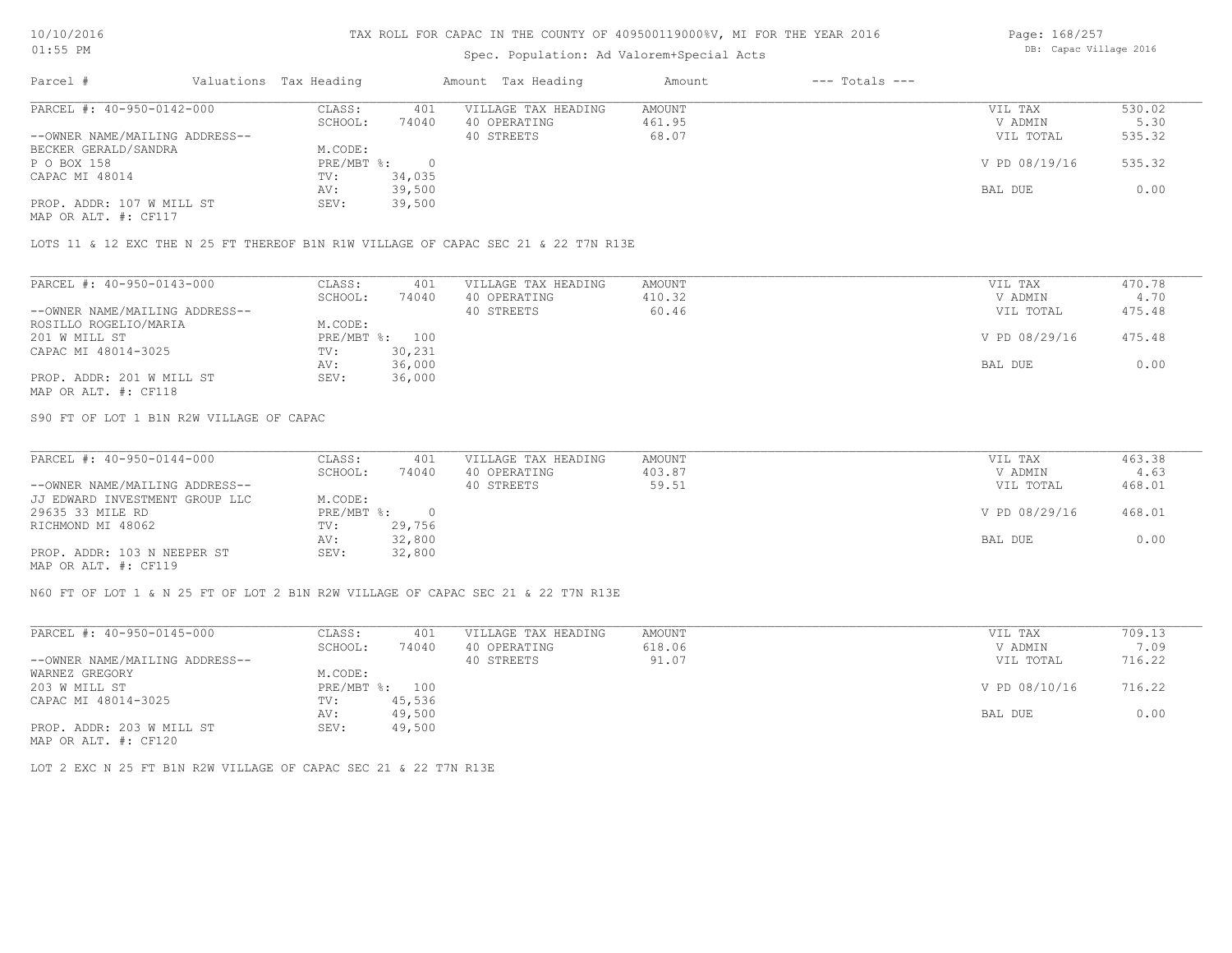# Spec. Population: Ad Valorem+Special Acts

Page: 168/257 DB: Capac Village 2016

| Parcel #                       | Valuations Tax Heading |        | Amount Tax Heading  | Amount | $---$ Totals $---$ |               |        |
|--------------------------------|------------------------|--------|---------------------|--------|--------------------|---------------|--------|
| PARCEL #: 40-950-0142-000      | CLASS:                 | 401    | VILLAGE TAX HEADING | AMOUNT |                    | VIL TAX       | 530.02 |
|                                | SCHOOL:                | 74040  | 40 OPERATING        | 461.95 |                    | V ADMIN       | 5.30   |
| --OWNER NAME/MAILING ADDRESS-- |                        |        | 40 STREETS          | 68.07  |                    | VIL TOTAL     | 535.32 |
| BECKER GERALD/SANDRA           | M.CODE:                |        |                     |        |                    |               |        |
| P O BOX 158                    | $PRE/MBT$ %:           |        |                     |        |                    | V PD 08/19/16 | 535.32 |
| CAPAC MI 48014                 | TV:                    | 34,035 |                     |        |                    |               |        |
|                                | AV:                    | 39,500 |                     |        |                    | BAL DUE       | 0.00   |
| PROP. ADDR: 107 W MILL ST      | SEV:                   | 39,500 |                     |        |                    |               |        |
| MAP OR ALT. #: CF117           |                        |        |                     |        |                    |               |        |

LOTS 11 & 12 EXC THE N 25 FT THEREOF B1N R1W VILLAGE OF CAPAC SEC 21 & 22 T7N R13E

| PARCEL #: 40-950-0143-000      | CLASS:  | 401            | VILLAGE TAX HEADING | AMOUNT | VIL TAX       | 470.78 |
|--------------------------------|---------|----------------|---------------------|--------|---------------|--------|
|                                | SCHOOL: | 74040          | 40 OPERATING        | 410.32 | V ADMIN       | 4.70   |
| --OWNER NAME/MAILING ADDRESS-- |         |                | 40 STREETS          | 60.46  | VIL TOTAL     | 475.48 |
| ROSILLO ROGELIO/MARIA          | M.CODE: |                |                     |        |               |        |
| 201 W MILL ST                  |         | PRE/MBT %: 100 |                     |        | V PD 08/29/16 | 475.48 |
| CAPAC MI 48014-3025            | TV:     | 30,231         |                     |        |               |        |
|                                | AV:     | 36,000         |                     |        | BAL DUE       | 0.00   |
| PROP. ADDR: 201 W MILL ST      | SEV:    | 36,000         |                     |        |               |        |
| MAP OR ALT. #: CF118           |         |                |                     |        |               |        |

S90 FT OF LOT 1 B1N R2W VILLAGE OF CAPAC

| PARCEL #: 40-950-0144-000      | CLASS:     | 401    | VILLAGE TAX HEADING | AMOUNT | VIL TAX       | 463.38 |
|--------------------------------|------------|--------|---------------------|--------|---------------|--------|
|                                | SCHOOL:    | 74040  | 40 OPERATING        | 403.87 | V ADMIN       | 4.63   |
| --OWNER NAME/MAILING ADDRESS-- |            |        | 40 STREETS          | 59.51  | VIL TOTAL     | 468.01 |
| JJ EDWARD INVESTMENT GROUP LLC | M.CODE:    |        |                     |        |               |        |
| 29635 33 MILE RD               | PRE/MBT %: |        |                     |        | V PD 08/29/16 | 468.01 |
| RICHMOND MI 48062              | TV:        | 29,756 |                     |        |               |        |
|                                | AV:        | 32,800 |                     |        | BAL DUE       | 0.00   |
| PROP. ADDR: 103 N NEEPER ST    | SEV:       | 32,800 |                     |        |               |        |
| MAP OR ALT. #: CF119           |            |        |                     |        |               |        |

N60 FT OF LOT 1 & N 25 FT OF LOT 2 B1N R2W VILLAGE OF CAPAC SEC 21 & 22 T7N R13E

| PARCEL #: 40-950-0145-000      | CLASS:       | 401    | VILLAGE TAX HEADING | AMOUNT | VIL TAX       | 709.13 |  |
|--------------------------------|--------------|--------|---------------------|--------|---------------|--------|--|
|                                | SCHOOL:      | 74040  | 40 OPERATING        | 618.06 | V ADMIN       | 7.09   |  |
| --OWNER NAME/MAILING ADDRESS-- |              |        | 40 STREETS          | 91.07  | VIL TOTAL     | 716.22 |  |
| WARNEZ GREGORY                 | M.CODE:      |        |                     |        |               |        |  |
| 203 W MILL ST                  | $PRE/MBT$ %: | 100    |                     |        | V PD 08/10/16 | 716.22 |  |
| CAPAC MI 48014-3025            | TV:          | 45,536 |                     |        |               |        |  |
|                                | AV:          | 49,500 |                     |        | BAL DUE       | 0.00   |  |
| PROP. ADDR: 203 W MILL ST      | SEV:         | 49,500 |                     |        |               |        |  |
| MAP OR ALT. #: CF120           |              |        |                     |        |               |        |  |

LOT 2 EXC N 25 FT B1N R2W VILLAGE OF CAPAC SEC 21 & 22 T7N R13E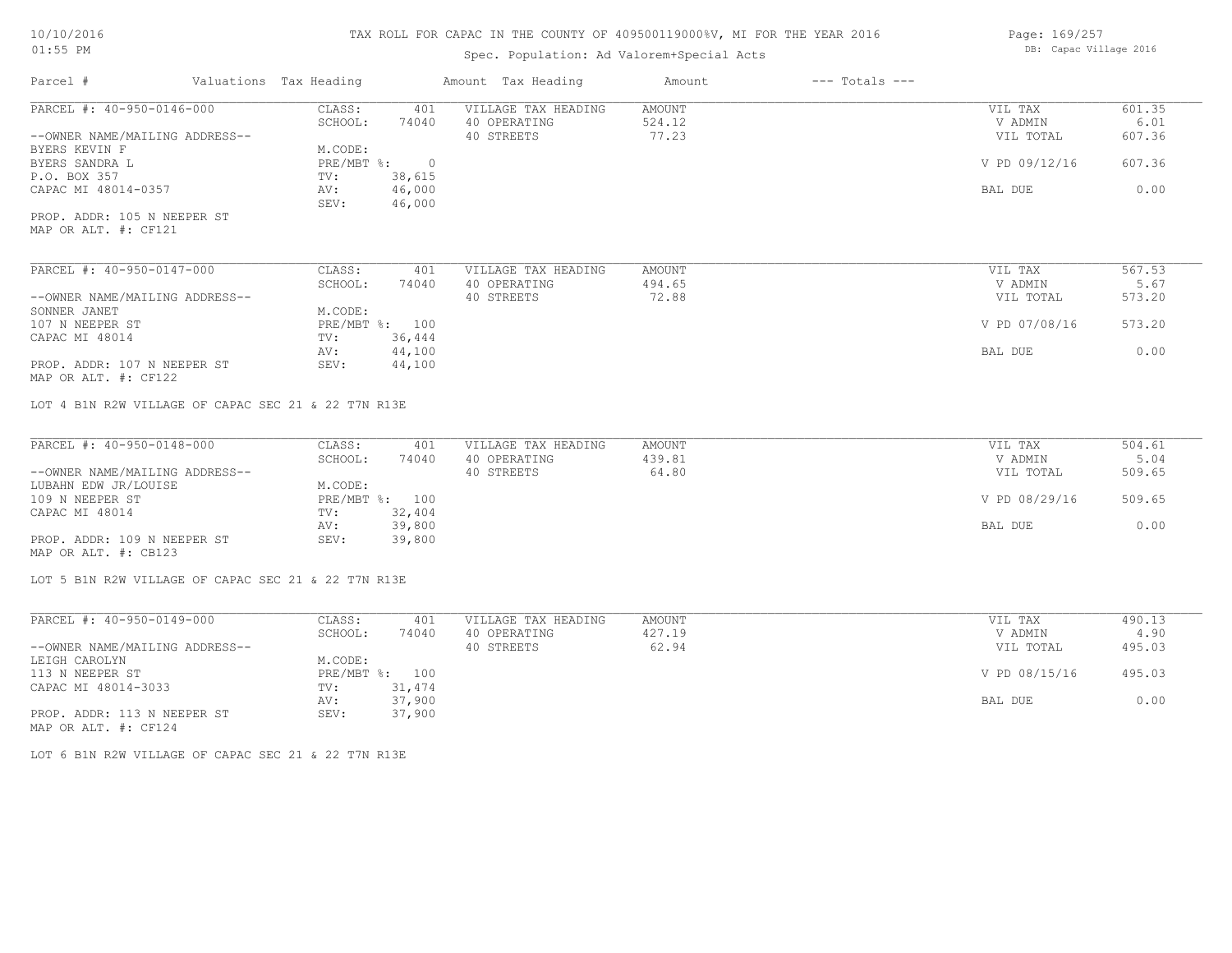# Spec. Population: Ad Valorem+Special Acts

Page: 169/257 DB: Capac Village 2016

| Parcel #                                            | Valuations Tax Heading |                  | Amount Tax Heading  | Amount        | $---$ Totals $---$ |               |        |
|-----------------------------------------------------|------------------------|------------------|---------------------|---------------|--------------------|---------------|--------|
| PARCEL #: 40-950-0146-000                           | CLASS:                 | 401              | VILLAGE TAX HEADING | AMOUNT        |                    | VIL TAX       | 601.35 |
|                                                     | SCHOOL:                | 74040            | 40 OPERATING        | 524.12        |                    | V ADMIN       | 6.01   |
| --OWNER NAME/MAILING ADDRESS--                      |                        |                  | 40 STREETS          | 77.23         |                    | VIL TOTAL     | 607.36 |
| BYERS KEVIN F                                       | M.CODE:                |                  |                     |               |                    |               |        |
| BYERS SANDRA L                                      | PRE/MBT %:             | $\overline{0}$   |                     |               |                    | V PD 09/12/16 | 607.36 |
| P.O. BOX 357                                        | TV:                    | 38,615           |                     |               |                    |               |        |
| CAPAC MI 48014-0357                                 | AV:<br>SEV:            | 46,000<br>46,000 |                     |               |                    | BAL DUE       | 0.00   |
| PROP. ADDR: 105 N NEEPER ST<br>MAP OR ALT. #: CF121 |                        |                  |                     |               |                    |               |        |
| PARCEL #: 40-950-0147-000                           | CLASS:                 | 401              | VILLAGE TAX HEADING | <b>AMOUNT</b> |                    | VIL TAX       | 567.53 |
|                                                     | SCHOOL:                | 74040            | 40 OPERATING        | 494.65        |                    | V ADMIN       | 5.67   |
| --OWNER NAME/MAILING ADDRESS--                      |                        |                  | 40 STREETS          | 72.88         |                    | VIL TOTAL     | 573.20 |
| SONNER JANET                                        | M.CODE:                |                  |                     |               |                    |               |        |
| 107 N NEEPER ST                                     |                        | PRE/MBT %: 100   |                     |               |                    | V PD 07/08/16 | 573.20 |
| CAPAC MI 48014                                      | TV:                    | 36,444           |                     |               |                    |               |        |
|                                                     | AV:                    | 44,100           |                     |               |                    | BAL DUE       | 0.00   |
| PROP. ADDR: 107 N NEEPER ST                         | SEV:                   | 44,100           |                     |               |                    |               |        |
| MAP OR ALT. #: CF122                                |                        |                  |                     |               |                    |               |        |
| LOT 4 B1N R2W VILLAGE OF CAPAC SEC 21 & 22 T7N R13E |                        |                  |                     |               |                    |               |        |
| PARCEL #: 40-950-0148-000                           | CLASS:                 | 401              | VILLAGE TAX HEADING | AMOUNT        |                    | VIL TAX       | 504.61 |
|                                                     | SCHOOL:                | 74040            | 40 OPERATING        | 439.81        |                    | V ADMIN       | 5.04   |
| --OWNER NAME/MAILING ADDRESS--                      |                        |                  | 40 STREETS          | 64.80         |                    | VIL TOTAL     | 509.65 |
| LUBAHN EDW JR/LOUISE                                | M.CODE:                |                  |                     |               |                    |               |        |
| 109 N NEEPER ST                                     |                        | PRE/MBT %: 100   |                     |               |                    | V PD 08/29/16 | 509.65 |
| CAPAC MI 48014                                      | TV:                    | 32,404           |                     |               |                    |               |        |
|                                                     | AV:                    | 39,800           |                     |               |                    | BAL DUE       | 0.00   |
| PROP. ADDR: 109 N NEEPER ST                         | SEV:                   | 39,800           |                     |               |                    |               |        |
| MAP OR ALT. #: CB123                                |                        |                  |                     |               |                    |               |        |
| LOT 5 B1N R2W VILLAGE OF CAPAC SEC 21 & 22 T7N R13E |                        |                  |                     |               |                    |               |        |

| PARCEL #: 40-950-0149-000      | CLASS:  | 401            | VILLAGE TAX HEADING | AMOUNT | VIL TAX       | 490.13 |
|--------------------------------|---------|----------------|---------------------|--------|---------------|--------|
|                                | SCHOOL: | 74040          | 40 OPERATING        | 427.19 | V ADMIN       | 4.90   |
| --OWNER NAME/MAILING ADDRESS-- |         |                | 40 STREETS          | 62.94  | VIL TOTAL     | 495.03 |
| LEIGH CAROLYN                  | M.CODE: |                |                     |        |               |        |
| 113 N NEEPER ST                |         | PRE/MBT %: 100 |                     |        | V PD 08/15/16 | 495.03 |
| CAPAC MI 48014-3033            | TV:     | 31,474         |                     |        |               |        |
|                                | AV:     | 37,900         |                     |        | BAL DUE       | 0.00   |
| PROP. ADDR: 113 N NEEPER ST    | SEV:    | 37,900         |                     |        |               |        |
| MAP OR ALT. #: CF124           |         |                |                     |        |               |        |

LOT 6 B1N R2W VILLAGE OF CAPAC SEC 21 & 22 T7N R13E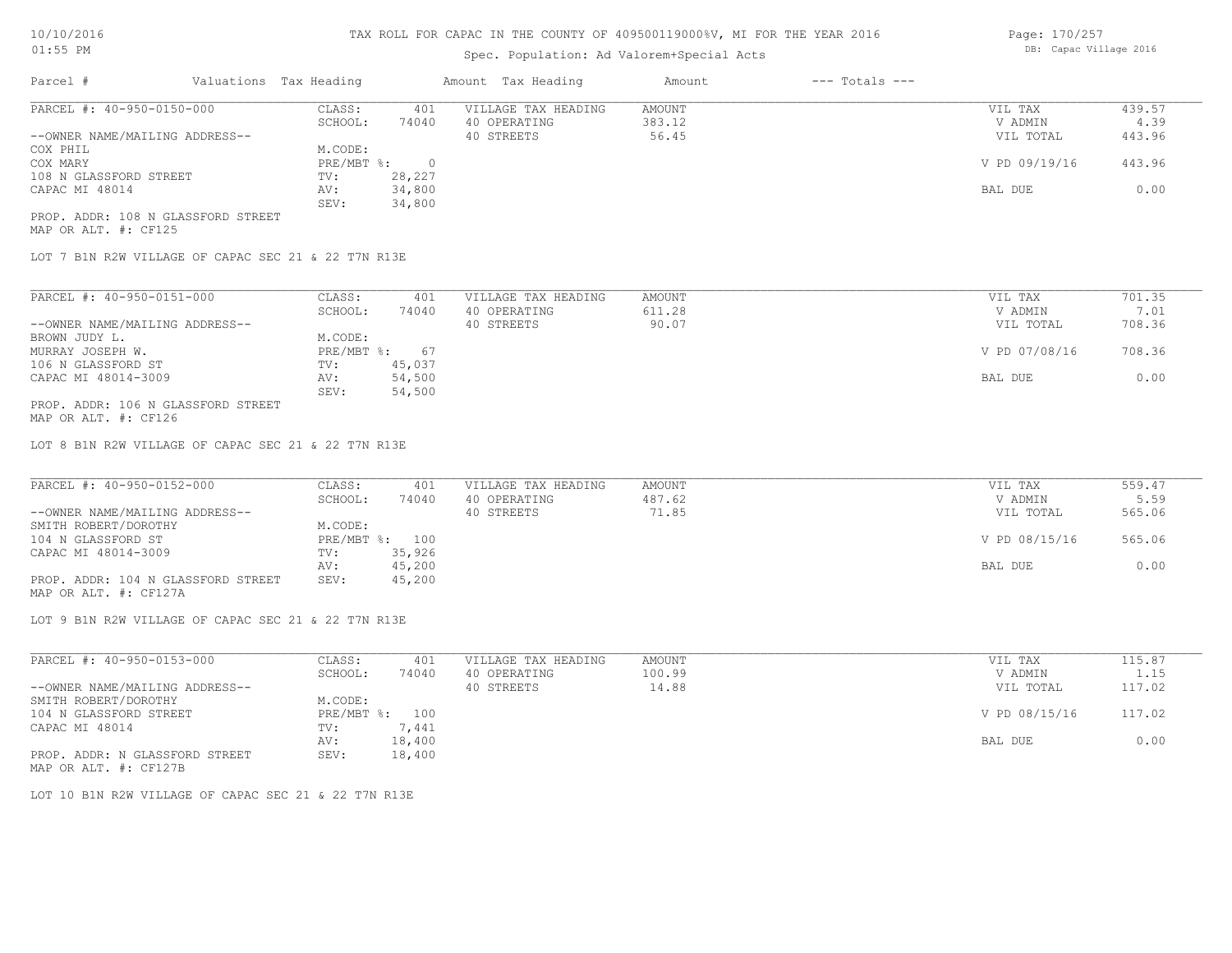# Spec. Population: Ad Valorem+Special Acts

| Page: 170/257 |                        |  |
|---------------|------------------------|--|
|               | DB: Capac Village 2016 |  |

| Parcel #                           |  | Valuations Tax Heading | Amount Tax Heading |                     | Amount | $---$ Totals $---$ |               |        |
|------------------------------------|--|------------------------|--------------------|---------------------|--------|--------------------|---------------|--------|
| PARCEL #: 40-950-0150-000          |  | CLASS:                 | 401                | VILLAGE TAX HEADING | AMOUNT |                    | VIL TAX       | 439.57 |
|                                    |  | SCHOOL:                | 74040              | 40 OPERATING        | 383.12 |                    | V ADMIN       | 4.39   |
| --OWNER NAME/MAILING ADDRESS--     |  |                        |                    | 40 STREETS          | 56.45  |                    | VIL TOTAL     | 443.96 |
| COX PHIL                           |  | M.CODE:                |                    |                     |        |                    |               |        |
| COX MARY                           |  | PRE/MBT %:             |                    |                     |        |                    | V PD 09/19/16 | 443.96 |
| 108 N GLASSFORD STREET             |  | TV:                    | 28,227             |                     |        |                    |               |        |
| CAPAC MI 48014                     |  | AV:                    | 34,800             |                     |        |                    | BAL DUE       | 0.00   |
|                                    |  | SEV:                   | 34,800             |                     |        |                    |               |        |
| PROP. ADDR: 108 N GLASSFORD STREET |  |                        |                    |                     |        |                    |               |        |

MAP OR ALT. #: CF125

LOT 7 B1N R2W VILLAGE OF CAPAC SEC 21 & 22 T7N R13E

| PARCEL #: 40-950-0151-000          | CLASS:     | 401    | VILLAGE TAX HEADING | AMOUNT | VIL TAX       | 701.35 |
|------------------------------------|------------|--------|---------------------|--------|---------------|--------|
|                                    | SCHOOL:    | 74040  | 40 OPERATING        | 611.28 | V ADMIN       | 7.01   |
| --OWNER NAME/MAILING ADDRESS--     |            |        | 40 STREETS          | 90.07  | VIL TOTAL     | 708.36 |
| BROWN JUDY L.                      | M.CODE:    |        |                     |        |               |        |
| MURRAY JOSEPH W.                   | PRE/MBT %: | 67     |                     |        | V PD 07/08/16 | 708.36 |
| 106 N GLASSFORD ST                 | TV:        | 45,037 |                     |        |               |        |
| CAPAC MI 48014-3009                | AV:        | 54,500 |                     |        | BAL DUE       | 0.00   |
|                                    | SEV:       | 54,500 |                     |        |               |        |
| PROP. ADDR: 106 N GLASSFORD STREET |            |        |                     |        |               |        |

MAP OR ALT. #: CF126

LOT 8 B1N R2W VILLAGE OF CAPAC SEC 21 & 22 T7N R13E

| PARCEL #: 40-950-0152-000          | CLASS:         | 401    | VILLAGE TAX HEADING | AMOUNT | VIL TAX       | 559.47 |
|------------------------------------|----------------|--------|---------------------|--------|---------------|--------|
|                                    | SCHOOL:        | 74040  | 40 OPERATING        | 487.62 | V ADMIN       | 5.59   |
| --OWNER NAME/MAILING ADDRESS--     |                |        | 40 STREETS          | 71.85  | VIL TOTAL     | 565.06 |
| SMITH ROBERT/DOROTHY               | M.CODE:        |        |                     |        |               |        |
| 104 N GLASSFORD ST                 | PRE/MBT %: 100 |        |                     |        | V PD 08/15/16 | 565.06 |
| CAPAC MI 48014-3009                | TV:            | 35,926 |                     |        |               |        |
|                                    | AV:            | 45,200 |                     |        | BAL DUE       | 0.00   |
| PROP. ADDR: 104 N GLASSFORD STREET | SEV:           | 45,200 |                     |        |               |        |

MAP OR ALT. #: CF127A

LOT 9 B1N R2W VILLAGE OF CAPAC SEC 21 & 22 T7N R13E

| PARCEL #: 40-950-0153-000      | CLASS:       | 401    | VILLAGE TAX HEADING | AMOUNT | VIL TAX       | 115.87 |
|--------------------------------|--------------|--------|---------------------|--------|---------------|--------|
|                                | SCHOOL:      | 74040  | 40 OPERATING        | 100.99 | V ADMIN       | 1.15   |
| --OWNER NAME/MAILING ADDRESS-- |              |        | 40 STREETS          | 14.88  | VIL TOTAL     | 117.02 |
| SMITH ROBERT/DOROTHY           | M.CODE:      |        |                     |        |               |        |
| 104 N GLASSFORD STREET         | $PRE/MBT$ %: | 100    |                     |        | V PD 08/15/16 | 117.02 |
| CAPAC MI 48014                 | TV:          | 7,441  |                     |        |               |        |
|                                | AV:          | 18,400 |                     |        | BAL DUE       | 0.00   |
| PROP. ADDR: N GLASSFORD STREET | SEV:         | 18,400 |                     |        |               |        |
| MAP OR ALT. #: CF127B          |              |        |                     |        |               |        |

LOT 10 B1N R2W VILLAGE OF CAPAC SEC 21 & 22 T7N R13E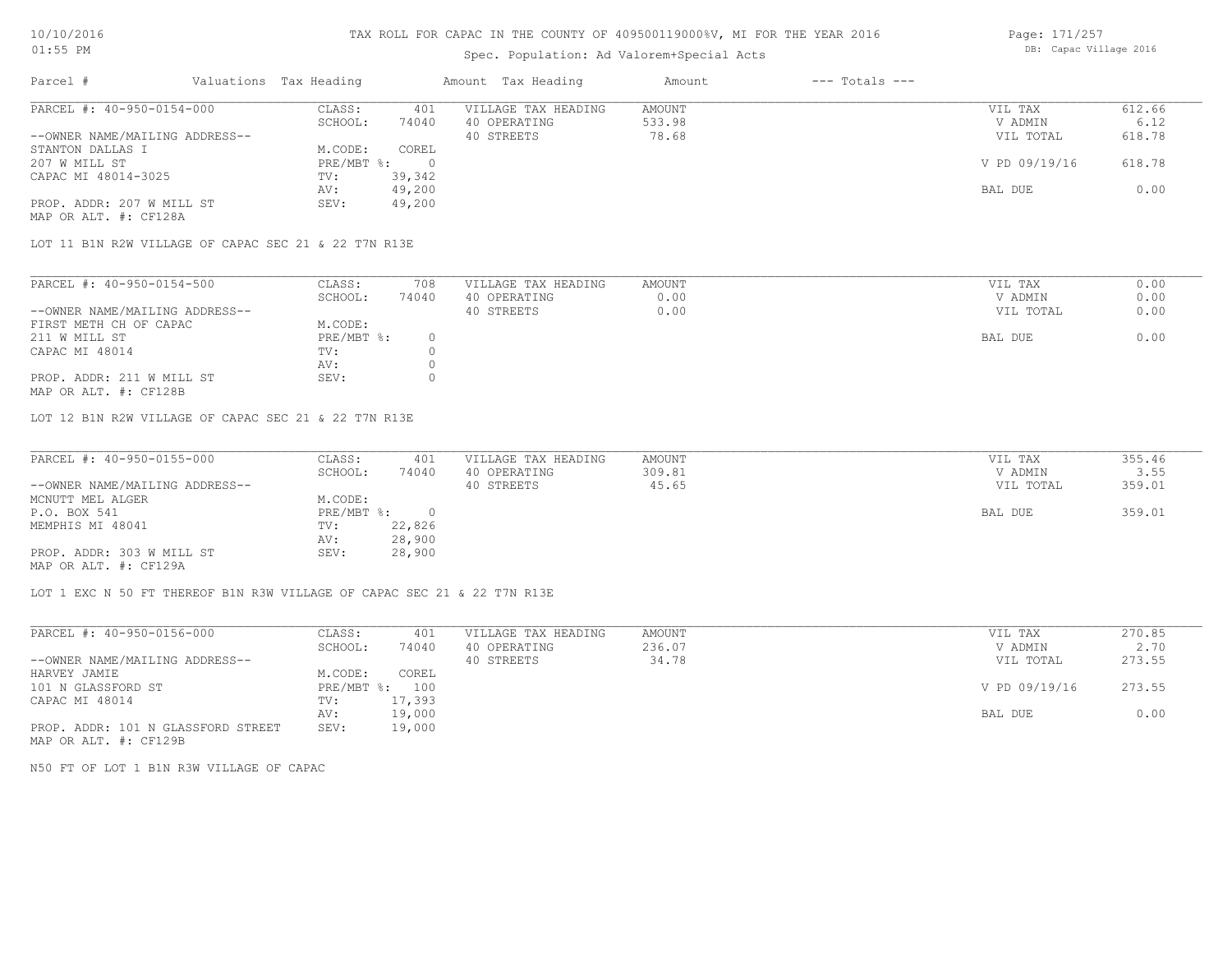# Spec. Population: Ad Valorem+Special Acts

| Page: 171/257 |                        |  |
|---------------|------------------------|--|
|               | DB: Capac Village 2016 |  |

| Parcel #                       | Valuations Tax Heading |        | Amount Tax Heading  | Amount | $---$ Totals $---$ |               |        |
|--------------------------------|------------------------|--------|---------------------|--------|--------------------|---------------|--------|
| PARCEL #: 40-950-0154-000      | CLASS:                 | 401    | VILLAGE TAX HEADING | AMOUNT |                    | VIL TAX       | 612.66 |
|                                | SCHOOL:                | 74040  | 40 OPERATING        | 533.98 |                    | V ADMIN       | 6.12   |
| --OWNER NAME/MAILING ADDRESS-- |                        |        | 40 STREETS          | 78.68  |                    | VIL TOTAL     | 618.78 |
| STANTON DALLAS I               | M.CODE:                | COREL  |                     |        |                    |               |        |
| 207 W MILL ST                  | PRE/MBT %:             |        |                     |        |                    | V PD 09/19/16 | 618.78 |
| CAPAC MI 48014-3025            | TV:                    | 39,342 |                     |        |                    |               |        |
|                                | AV:                    | 49,200 |                     |        |                    | BAL DUE       | 0.00   |
| PROP. ADDR: 207 W MILL ST      | SEV:                   | 49,200 |                     |        |                    |               |        |
| MAP OR ALT. #: CF128A          |                        |        |                     |        |                    |               |        |

LOT 11 B1N R2W VILLAGE OF CAPAC SEC 21 & 22 T7N R13E

| PARCEL #: 40-950-0154-500      | CLASS:     | 708   | VILLAGE TAX HEADING | AMOUNT | VIL TAX   | 0.00 |
|--------------------------------|------------|-------|---------------------|--------|-----------|------|
|                                | SCHOOL:    | 74040 | 40 OPERATING        | 0.00   | V ADMIN   | 0.00 |
| --OWNER NAME/MAILING ADDRESS-- |            |       | 40 STREETS          | 0.00   | VIL TOTAL | 0.00 |
| FIRST METH CH OF CAPAC         | M.CODE:    |       |                     |        |           |      |
| 211 W MILL ST                  | PRE/MBT %: |       |                     |        | BAL DUE   | 0.00 |
| CAPAC MI 48014                 | TV:        |       |                     |        |           |      |
|                                | AV:        |       |                     |        |           |      |
| PROP. ADDR: 211 W MILL ST      | SEV:       |       |                     |        |           |      |
|                                |            |       |                     |        |           |      |

MAP OR ALT. #: CF128B

LOT 12 B1N R2W VILLAGE OF CAPAC SEC 21 & 22 T7N R13E

| PARCEL #: 40-950-0155-000      | CLASS:     | 401    | VILLAGE TAX HEADING | AMOUNT | VIL TAX   | 355.46 |
|--------------------------------|------------|--------|---------------------|--------|-----------|--------|
|                                | SCHOOL:    | 74040  | 40 OPERATING        | 309.81 | V ADMIN   | 3.55   |
| --OWNER NAME/MAILING ADDRESS-- |            |        | 40 STREETS          | 45.65  | VIL TOTAL | 359.01 |
| MCNUTT MEL ALGER               | M.CODE:    |        |                     |        |           |        |
| P.O. BOX 541                   | PRE/MBT %: |        |                     |        | BAL DUE   | 359.01 |
| MEMPHIS MI 48041               | TV:        | 22,826 |                     |        |           |        |
|                                | AV:        | 28,900 |                     |        |           |        |
| PROP. ADDR: 303 W MILL ST      | SEV:       | 28,900 |                     |        |           |        |
| MAP OR ALT. #: CF129A          |            |        |                     |        |           |        |

 $\mathcal{L}_\mathcal{L} = \mathcal{L}_\mathcal{L} = \mathcal{L}_\mathcal{L} = \mathcal{L}_\mathcal{L} = \mathcal{L}_\mathcal{L} = \mathcal{L}_\mathcal{L} = \mathcal{L}_\mathcal{L} = \mathcal{L}_\mathcal{L} = \mathcal{L}_\mathcal{L} = \mathcal{L}_\mathcal{L} = \mathcal{L}_\mathcal{L} = \mathcal{L}_\mathcal{L} = \mathcal{L}_\mathcal{L} = \mathcal{L}_\mathcal{L} = \mathcal{L}_\mathcal{L} = \mathcal{L}_\mathcal{L} = \mathcal{L}_\mathcal{L}$ 

LOT 1 EXC N 50 FT THEREOF B1N R3W VILLAGE OF CAPAC SEC 21 & 22 T7N R13E

| PARCEL #: 40-950-0156-000          | CLASS:       | 401    | VILLAGE TAX HEADING | AMOUNT | VIL TAX       | 270.85 |
|------------------------------------|--------------|--------|---------------------|--------|---------------|--------|
|                                    | SCHOOL:      | 74040  | 40 OPERATING        | 236.07 | V ADMIN       | 2.70   |
| --OWNER NAME/MAILING ADDRESS--     |              |        | 40 STREETS          | 34.78  | VIL TOTAL     | 273.55 |
| HARVEY JAMIE                       | M.CODE:      | COREL  |                     |        |               |        |
| 101 N GLASSFORD ST                 | $PRE/MBT$ %: | 100    |                     |        | V PD 09/19/16 | 273.55 |
| CAPAC MI 48014                     | TV:          | 17,393 |                     |        |               |        |
|                                    | AV:          | 19,000 |                     |        | BAL DUE       | 0.00   |
| PROP. ADDR: 101 N GLASSFORD STREET | SEV:         | 19,000 |                     |        |               |        |
|                                    |              |        |                     |        |               |        |

MAP OR ALT. #: CF129B

N50 FT OF LOT 1 B1N R3W VILLAGE OF CAPAC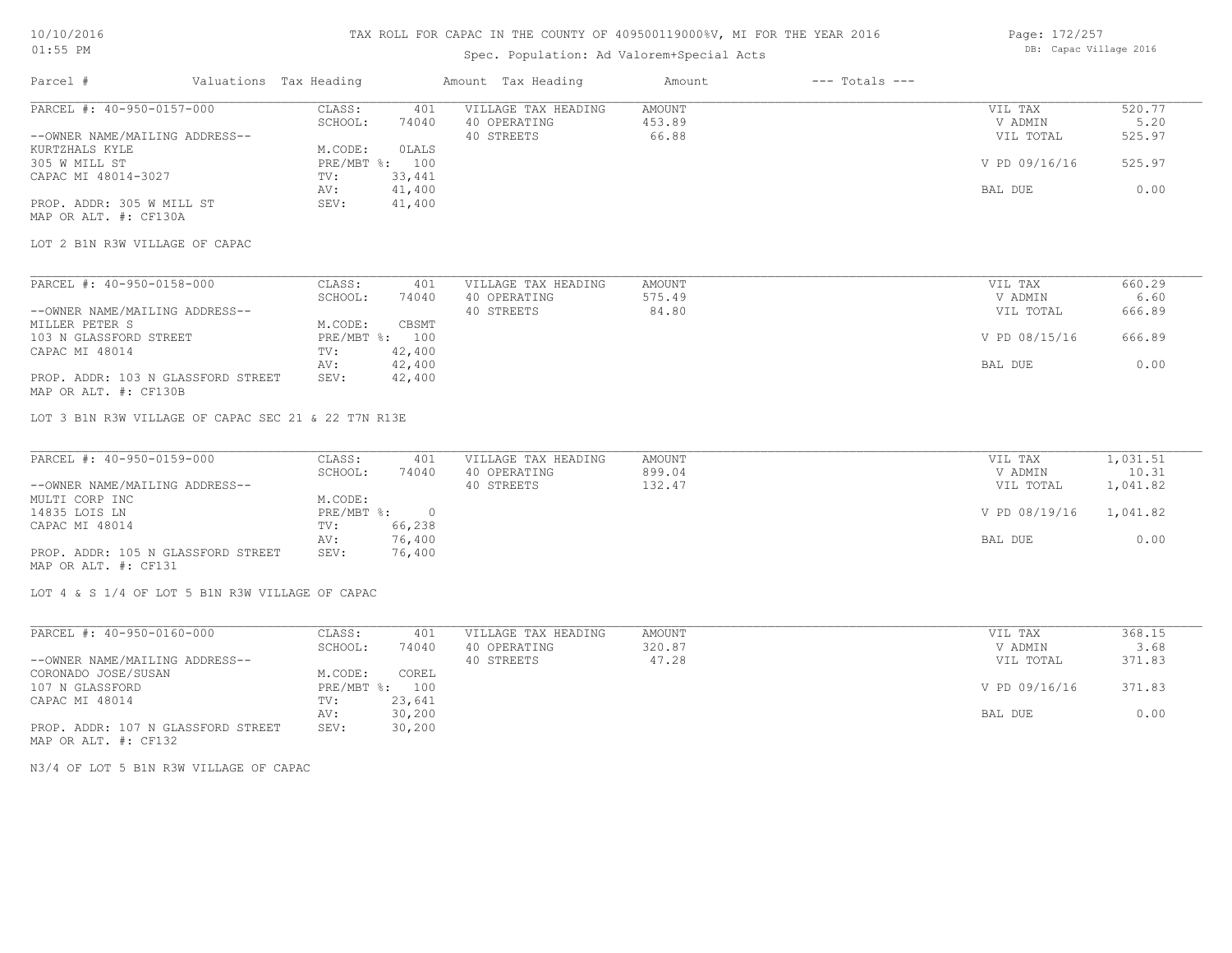# Spec. Population: Ad Valorem+Special Acts

Page: 172/257 DB: Capac Village 2016

| Parcel #                                                    | Valuations Tax Heading |            |                | Amount Tax Heading  | Amount        | $---$ Totals $---$ |               |          |
|-------------------------------------------------------------|------------------------|------------|----------------|---------------------|---------------|--------------------|---------------|----------|
| PARCEL #: 40-950-0157-000                                   |                        | CLASS:     | 401            | VILLAGE TAX HEADING | <b>AMOUNT</b> |                    | VIL TAX       | 520.77   |
|                                                             |                        | SCHOOL:    | 74040          | 40 OPERATING        | 453.89        |                    | V ADMIN       | 5.20     |
| --OWNER NAME/MAILING ADDRESS--                              |                        |            |                | 40 STREETS          | 66.88         |                    | VIL TOTAL     | 525.97   |
| KURTZHALS KYLE                                              |                        | M.CODE:    | <b>OLALS</b>   |                     |               |                    |               |          |
| 305 W MILL ST                                               |                        | PRE/MBT %: | 100            |                     |               |                    | V PD 09/16/16 | 525.97   |
| CAPAC MI 48014-3027                                         |                        | TV:        | 33,441         |                     |               |                    |               |          |
|                                                             |                        | AV:        | 41,400         |                     |               |                    | BAL DUE       | 0.00     |
| PROP. ADDR: 305 W MILL ST                                   |                        | SEV:       | 41,400         |                     |               |                    |               |          |
| MAP OR ALT. #: CF130A                                       |                        |            |                |                     |               |                    |               |          |
| LOT 2 B1N R3W VILLAGE OF CAPAC                              |                        |            |                |                     |               |                    |               |          |
|                                                             |                        |            |                |                     |               |                    |               |          |
| PARCEL #: 40-950-0158-000                                   |                        | CLASS:     | 401            | VILLAGE TAX HEADING | <b>AMOUNT</b> |                    | VIL TAX       | 660.29   |
|                                                             |                        | SCHOOL:    | 74040          | 40 OPERATING        | 575.49        |                    | V ADMIN       | 6.60     |
| --OWNER NAME/MAILING ADDRESS--                              |                        |            |                | 40 STREETS          | 84.80         |                    | VIL TOTAL     | 666.89   |
| MILLER PETER S                                              |                        | M.CODE:    | CBSMT          |                     |               |                    |               |          |
| 103 N GLASSFORD STREET                                      |                        |            | PRE/MBT %: 100 |                     |               |                    | V PD 08/15/16 | 666.89   |
| CAPAC MI 48014                                              |                        | TV:        | 42,400         |                     |               |                    |               |          |
|                                                             |                        | AV:        | 42,400         |                     |               |                    | BAL DUE       | 0.00     |
| PROP. ADDR: 103 N GLASSFORD STREET<br>MAP OR ALT. #: CF130B |                        | SEV:       | 42,400         |                     |               |                    |               |          |
| LOT 3 B1N R3W VILLAGE OF CAPAC SEC 21 & 22 T7N R13E         |                        |            |                |                     |               |                    |               |          |
| PARCEL #: 40-950-0159-000                                   |                        | CLASS:     | 401            | VILLAGE TAX HEADING | <b>AMOUNT</b> |                    | VIL TAX       | 1,031.51 |
|                                                             |                        | SCHOOL:    | 74040          | 40 OPERATING        | 899.04        |                    | V ADMIN       | 10.31    |
| --OWNER NAME/MAILING ADDRESS--                              |                        |            |                | 40 STREETS          | 132.47        |                    | VIL TOTAL     | 1,041.82 |
| MULTI CORP INC                                              |                        | M.CODE:    |                |                     |               |                    |               |          |
| 14835 LOIS LN                                               |                        | PRE/MBT %: | $\overline{0}$ |                     |               |                    | V PD 08/19/16 | 1,041.82 |
| CAPAC MI 48014                                              |                        | TV:        | 66,238         |                     |               |                    |               |          |
|                                                             |                        | AV:        | 76,400         |                     |               |                    | BAL DUE       | 0.00     |
| PROP. ADDR: 105 N GLASSFORD STREET                          |                        | SEV:       |                |                     |               |                    |               |          |
| MAP OR ALT. #: CF131                                        |                        |            | 76,400         |                     |               |                    |               |          |
| LOT 4 & S 1/4 OF LOT 5 B1N R3W VILLAGE OF CAPAC             |                        |            |                |                     |               |                    |               |          |

| PARCEL #: 40-950-0160-000          | CLASS:       | 401    | VILLAGE TAX HEADING | AMOUNT | VIL TAX       | 368.15 |
|------------------------------------|--------------|--------|---------------------|--------|---------------|--------|
|                                    | SCHOOL:      | 74040  | 40 OPERATING        | 320.87 | V ADMIN       | 3.68   |
| --OWNER NAME/MAILING ADDRESS--     |              |        | 40 STREETS          | 47.28  | VIL TOTAL     | 371.83 |
| CORONADO JOSE/SUSAN                | M.CODE:      | COREL  |                     |        |               |        |
| 107 N GLASSFORD                    | $PRE/MBT$ %: | 100    |                     |        | V PD 09/16/16 | 371.83 |
| CAPAC MI 48014                     | TV:          | 23,641 |                     |        |               |        |
|                                    | AV:          | 30,200 |                     |        | BAL DUE       | 0.00   |
| PROP. ADDR: 107 N GLASSFORD STREET | SEV:         | 30,200 |                     |        |               |        |
| MAP OR ALT. #: CF132               |              |        |                     |        |               |        |

N3/4 OF LOT 5 B1N R3W VILLAGE OF CAPAC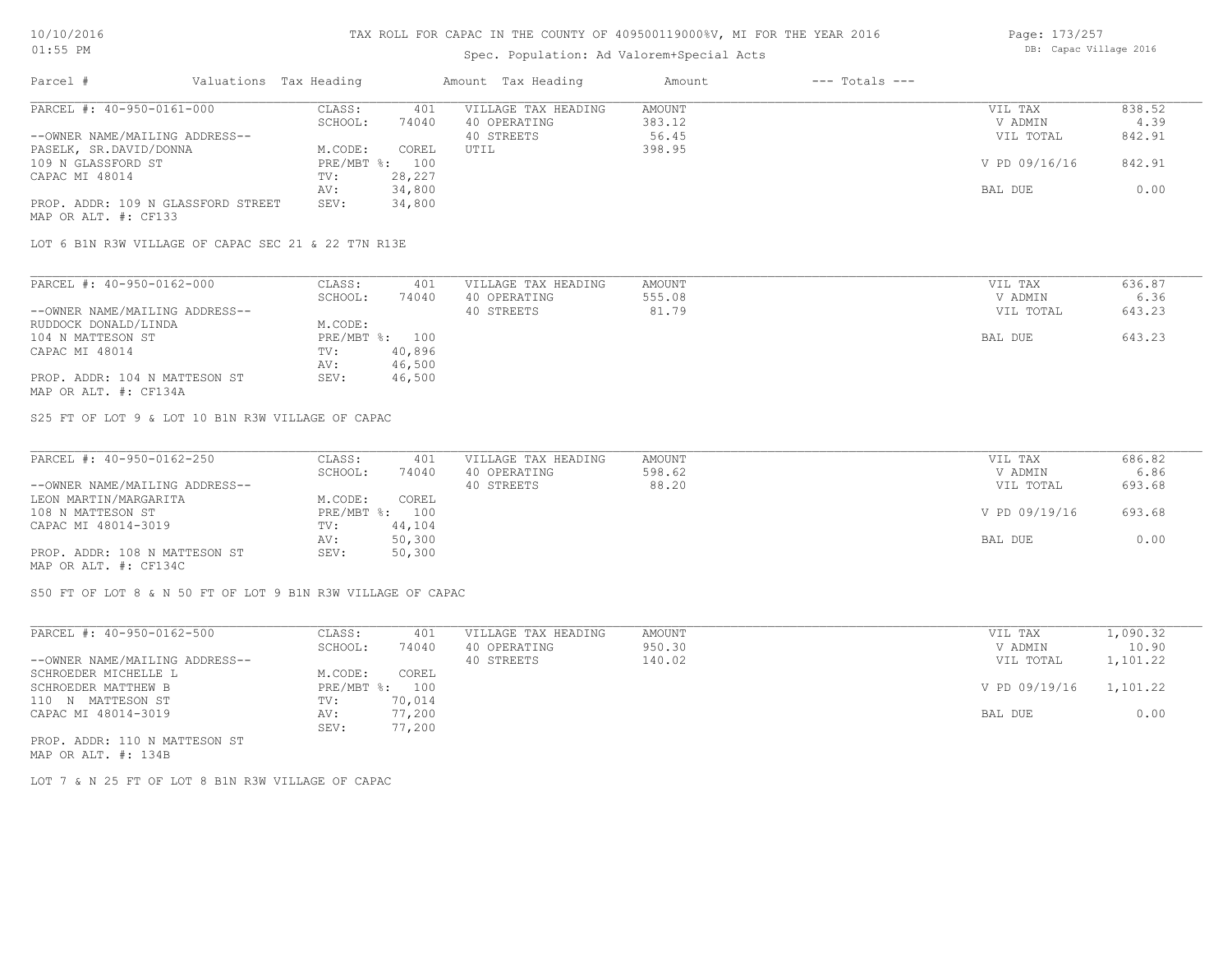## Spec. Population: Ad Valorem+Special Acts

| Page: 173/257 |                        |  |
|---------------|------------------------|--|
|               | DB: Capac Village 2016 |  |

| Parcel #                           | Valuations Tax Heading |        | Amount Tax Heading  | Amount | $---$ Totals $---$ |               |        |
|------------------------------------|------------------------|--------|---------------------|--------|--------------------|---------------|--------|
| PARCEL #: 40-950-0161-000          | CLASS:                 | 401    | VILLAGE TAX HEADING | AMOUNT |                    | VIL TAX       | 838.52 |
|                                    | SCHOOL:                | 74040  | 40 OPERATING        | 383.12 |                    | V ADMIN       | 4.39   |
| --OWNER NAME/MAILING ADDRESS--     |                        |        | 40 STREETS          | 56.45  |                    | VIL TOTAL     | 842.91 |
| PASELK, SR.DAVID/DONNA             | M.CODE:                | COREL  | UTIL                | 398.95 |                    |               |        |
| 109 N GLASSFORD ST                 | $PRE/MBT$ %:           | 100    |                     |        |                    | V PD 09/16/16 | 842.91 |
| CAPAC MI 48014                     | TV:                    | 28,227 |                     |        |                    |               |        |
|                                    | AV:                    | 34,800 |                     |        |                    | BAL DUE       | 0.00   |
| PROP. ADDR: 109 N GLASSFORD STREET | SEV:                   | 34,800 |                     |        |                    |               |        |
| MAP OR ALT. #: CF133               |                        |        |                     |        |                    |               |        |

LOT 6 B1N R3W VILLAGE OF CAPAC SEC 21 & 22 T7N R13E

| PARCEL #: 40-950-0162-000      | CLASS:  | 401            | VILLAGE TAX HEADING | AMOUNT | VIL TAX   | 636.87 |
|--------------------------------|---------|----------------|---------------------|--------|-----------|--------|
|                                | SCHOOL: | 74040          | 40 OPERATING        | 555.08 | V ADMIN   | 6.36   |
| --OWNER NAME/MAILING ADDRESS-- |         |                | 40 STREETS          | 81.79  | VIL TOTAL | 643.23 |
| RUDDOCK DONALD/LINDA           | M.CODE: |                |                     |        |           |        |
| 104 N MATTESON ST              |         | PRE/MBT %: 100 |                     |        | BAL DUE   | 643.23 |
| CAPAC MI 48014                 | TV:     | 40,896         |                     |        |           |        |
|                                | AV:     | 46,500         |                     |        |           |        |
| PROP. ADDR: 104 N MATTESON ST  | SEV:    | 46,500         |                     |        |           |        |
| MAP OR ALT. #: CF134A          |         |                |                     |        |           |        |

S25 FT OF LOT 9 & LOT 10 B1N R3W VILLAGE OF CAPAC

| PARCEL #: 40-950-0162-250      | CLASS:  | 401            | VILLAGE TAX HEADING | AMOUNT | VIL TAX       | 686.82 |
|--------------------------------|---------|----------------|---------------------|--------|---------------|--------|
|                                | SCHOOL: | 74040          | 40 OPERATING        | 598.62 | V ADMIN       | 6.86   |
| --OWNER NAME/MAILING ADDRESS-- |         |                | 40 STREETS          | 88.20  | VIL TOTAL     | 693.68 |
| LEON MARTIN/MARGARITA          | M.CODE: | COREL          |                     |        |               |        |
| 108 N MATTESON ST              |         | PRE/MBT %: 100 |                     |        | V PD 09/19/16 | 693.68 |
| CAPAC MI 48014-3019            | TV:     | 44,104         |                     |        |               |        |
|                                | AV:     | 50,300         |                     |        | BAL DUE       | 0.00   |
| PROP. ADDR: 108 N MATTESON ST  | SEV:    | 50,300         |                     |        |               |        |
| MAP OR ALT. #: CF134C          |         |                |                     |        |               |        |

S50 FT OF LOT 8 & N 50 FT OF LOT 9 B1N R3W VILLAGE OF CAPAC

| PARCEL #: 40-950-0162-500      | CLASS:     | 401    | VILLAGE TAX HEADING | AMOUNT | VIL TAX       | 1,090.32 |
|--------------------------------|------------|--------|---------------------|--------|---------------|----------|
|                                | SCHOOL:    | 74040  | 40 OPERATING        | 950.30 | V ADMIN       | 10.90    |
| --OWNER NAME/MAILING ADDRESS-- |            |        | 40 STREETS          | 140.02 | VIL TOTAL     | 1,101.22 |
| SCHROEDER MICHELLE L           | M.CODE:    | COREL  |                     |        |               |          |
| SCHROEDER MATTHEW B            | PRE/MBT %: | 100    |                     |        | V PD 09/19/16 | 1,101.22 |
| 110 N MATTESON ST              | TV:        | 70,014 |                     |        |               |          |
| CAPAC MI 48014-3019            | AV:        | 77,200 |                     |        | BAL DUE       | 0.00     |
|                                | SEV:       | 77,200 |                     |        |               |          |
| PROP. ADDR: 110 N MATTESON ST  |            |        |                     |        |               |          |

MAP OR ALT. #: 134B

LOT 7 & N 25 FT OF LOT 8 B1N R3W VILLAGE OF CAPAC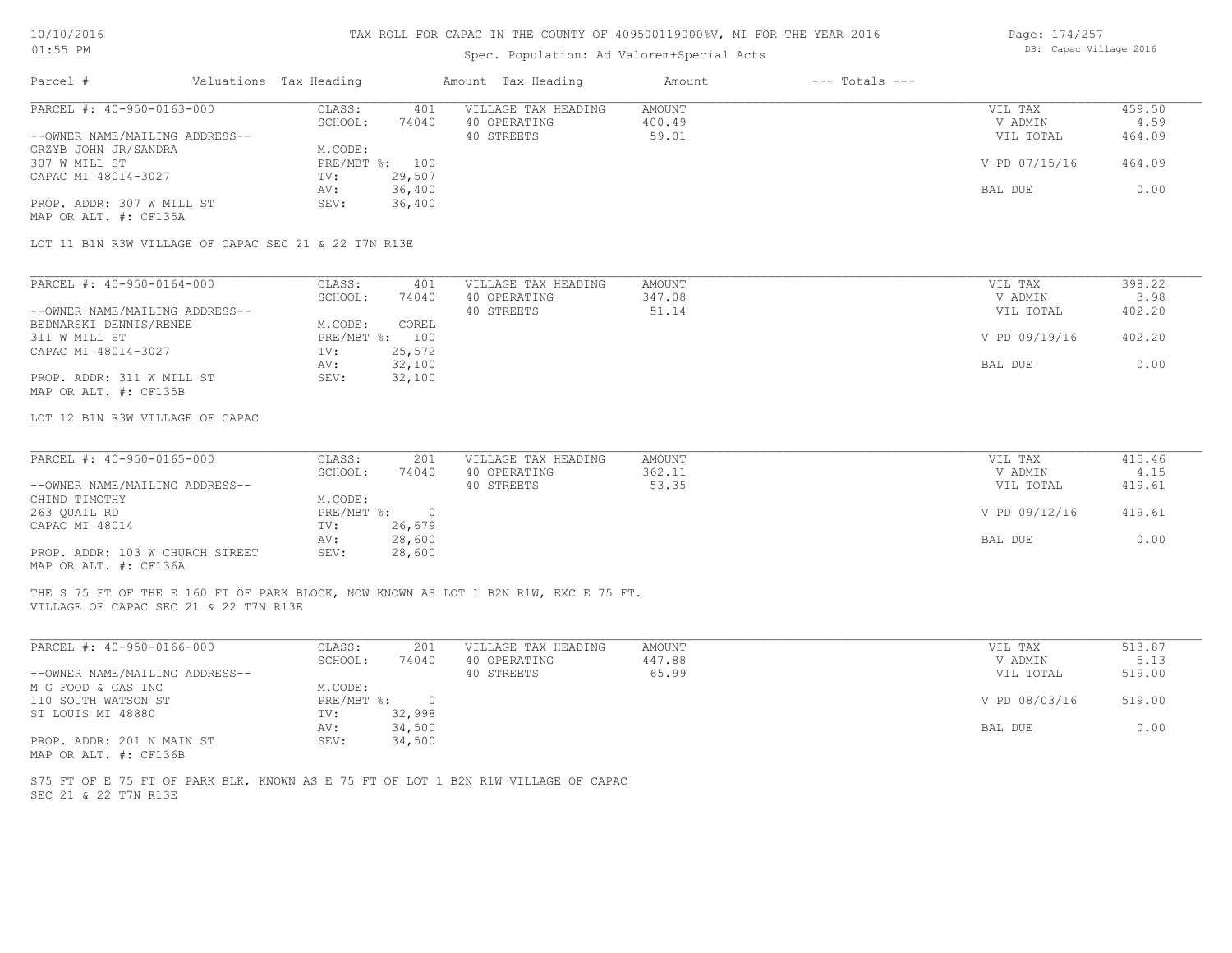| Page: 174/257 |  |                        |  |
|---------------|--|------------------------|--|
|               |  | DB: Capac Village 2016 |  |

| $01:55$ PM                                           |                           |                | Spec. Population: Ad Valorem+Special Acts                                           | DB: Capac Village 2016 |                    |               |        |
|------------------------------------------------------|---------------------------|----------------|-------------------------------------------------------------------------------------|------------------------|--------------------|---------------|--------|
| Parcel #                                             | Valuations Tax Heading    |                | Amount Tax Heading                                                                  | Amount                 | $---$ Totals $---$ |               |        |
| PARCEL #: 40-950-0163-000                            | CLASS:                    | 401            | VILLAGE TAX HEADING                                                                 | AMOUNT                 |                    | VIL TAX       | 459.50 |
|                                                      | SCHOOL:                   | 74040          | 40 OPERATING                                                                        | 400.49                 |                    | V ADMIN       | 4.59   |
| --OWNER NAME/MAILING ADDRESS--                       |                           |                | 40 STREETS                                                                          | 59.01                  |                    | VIL TOTAL     | 464.09 |
| GRZYB JOHN JR/SANDRA                                 | M.CODE:                   |                |                                                                                     |                        |                    |               |        |
| 307 W MILL ST                                        | $PRE/MBT$ $\frac{1}{6}$ : | 100            |                                                                                     |                        |                    | V PD 07/15/16 | 464.09 |
| CAPAC MI 48014-3027                                  | TV:                       | 29,507         |                                                                                     |                        |                    |               |        |
|                                                      | AV:                       | 36,400         |                                                                                     |                        |                    | BAL DUE       | 0.00   |
| PROP. ADDR: 307 W MILL ST<br>MAP OR ALT. #: CF135A   | SEV:                      | 36,400         |                                                                                     |                        |                    |               |        |
| LOT 11 B1N R3W VILLAGE OF CAPAC SEC 21 & 22 T7N R13E |                           |                |                                                                                     |                        |                    |               |        |
|                                                      |                           |                |                                                                                     |                        |                    |               |        |
| PARCEL #: 40-950-0164-000                            | CLASS:                    | 401            | VILLAGE TAX HEADING                                                                 | <b>AMOUNT</b>          |                    | VIL TAX       | 398.22 |
|                                                      | SCHOOL:                   | 74040          | 40 OPERATING                                                                        | 347.08                 |                    | V ADMIN       | 3.98   |
| --OWNER NAME/MAILING ADDRESS--                       |                           |                | 40 STREETS                                                                          | 51.14                  |                    | VIL TOTAL     | 402.20 |
| BEDNARSKI DENNIS/RENEE                               | M.CODE:                   | COREL          |                                                                                     |                        |                    |               |        |
| 311 W MILL ST                                        |                           | PRE/MBT %: 100 |                                                                                     |                        |                    | V PD 09/19/16 | 402.20 |
| CAPAC MI 48014-3027                                  | TV:                       | 25,572         |                                                                                     |                        |                    |               |        |
|                                                      | AV:                       | 32,100         |                                                                                     |                        |                    | BAL DUE       | 0.00   |
| PROP. ADDR: 311 W MILL ST                            | SEV:                      | 32,100         |                                                                                     |                        |                    |               |        |
| MAP OR ALT. #: CF135B                                |                           |                |                                                                                     |                        |                    |               |        |
| LOT 12 B1N R3W VILLAGE OF CAPAC                      |                           |                |                                                                                     |                        |                    |               |        |
| PARCEL #: 40-950-0165-000                            | CLASS:                    | 201            | VILLAGE TAX HEADING                                                                 | AMOUNT                 |                    | VIL TAX       | 415.46 |
|                                                      | SCHOOL:                   | 74040          | 40 OPERATING                                                                        | 362.11                 |                    | V ADMIN       | 4.15   |
| --OWNER NAME/MAILING ADDRESS--                       |                           |                | 40 STREETS                                                                          | 53.35                  |                    | VIL TOTAL     | 419.61 |
| CHIND TIMOTHY                                        | M.CODE:                   |                |                                                                                     |                        |                    |               |        |
| 263 QUAIL RD                                         | PRE/MBT %:                | $\overline{0}$ |                                                                                     |                        |                    | V PD 09/12/16 | 419.61 |
|                                                      |                           | 26,679         |                                                                                     |                        |                    |               |        |
| CAPAC MI 48014                                       | TV:                       | 28,600         |                                                                                     |                        |                    |               | 0.00   |
| PROP. ADDR: 103 W CHURCH STREET                      | AV:<br>SEV:               | 28,600         |                                                                                     |                        |                    | BAL DUE       |        |
| MAP OR ALT. #: CF136A                                |                           |                |                                                                                     |                        |                    |               |        |
| VILLAGE OF CAPAC SEC 21 & 22 T7N R13E                |                           |                | THE S 75 FT OF THE E 160 FT OF PARK BLOCK, NOW KNOWN AS LOT 1 B2N R1W, EXC E 75 FT. |                        |                    |               |        |
|                                                      |                           |                |                                                                                     |                        |                    |               |        |
| PARCEL #: 40-950-0166-000                            | CLASS:                    | 201            | VILLAGE TAX HEADING                                                                 | AMOUNT                 |                    | VIL TAX       | 513.87 |

| PARUBL #: 40-930-0166-000      | -LASS :    | ∠∪⊥    | VILLAGE IAA HEADING | AMOUN'I | VIL TAA       | 513.87 |
|--------------------------------|------------|--------|---------------------|---------|---------------|--------|
|                                | SCHOOL:    | 74040  | 40 OPERATING        | 447.88  | V ADMIN       | 5.13   |
| --OWNER NAME/MAILING ADDRESS-- |            |        | 40 STREETS          | 65.99   | VIL TOTAL     | 519.00 |
| M G FOOD & GAS INC             | M.CODE:    |        |                     |         |               |        |
| 110 SOUTH WATSON ST            | PRE/MBT %: | $\Box$ |                     |         | V PD 08/03/16 | 519.00 |
| ST LOUIS MI 48880              | TV:        | 32,998 |                     |         |               |        |
|                                | AV:        | 34,500 |                     |         | BAL DUE       | 0.00   |
| PROP. ADDR: 201 N MAIN ST      | SEV:       | 34,500 |                     |         |               |        |
| MAP OR ALT. #: CF136B          |            |        |                     |         |               |        |

SEC 21 & 22 T7N R13E S75 FT OF E 75 FT OF PARK BLK, KNOWN AS E 75 FT OF LOT 1 B2N R1W VILLAGE OF CAPAC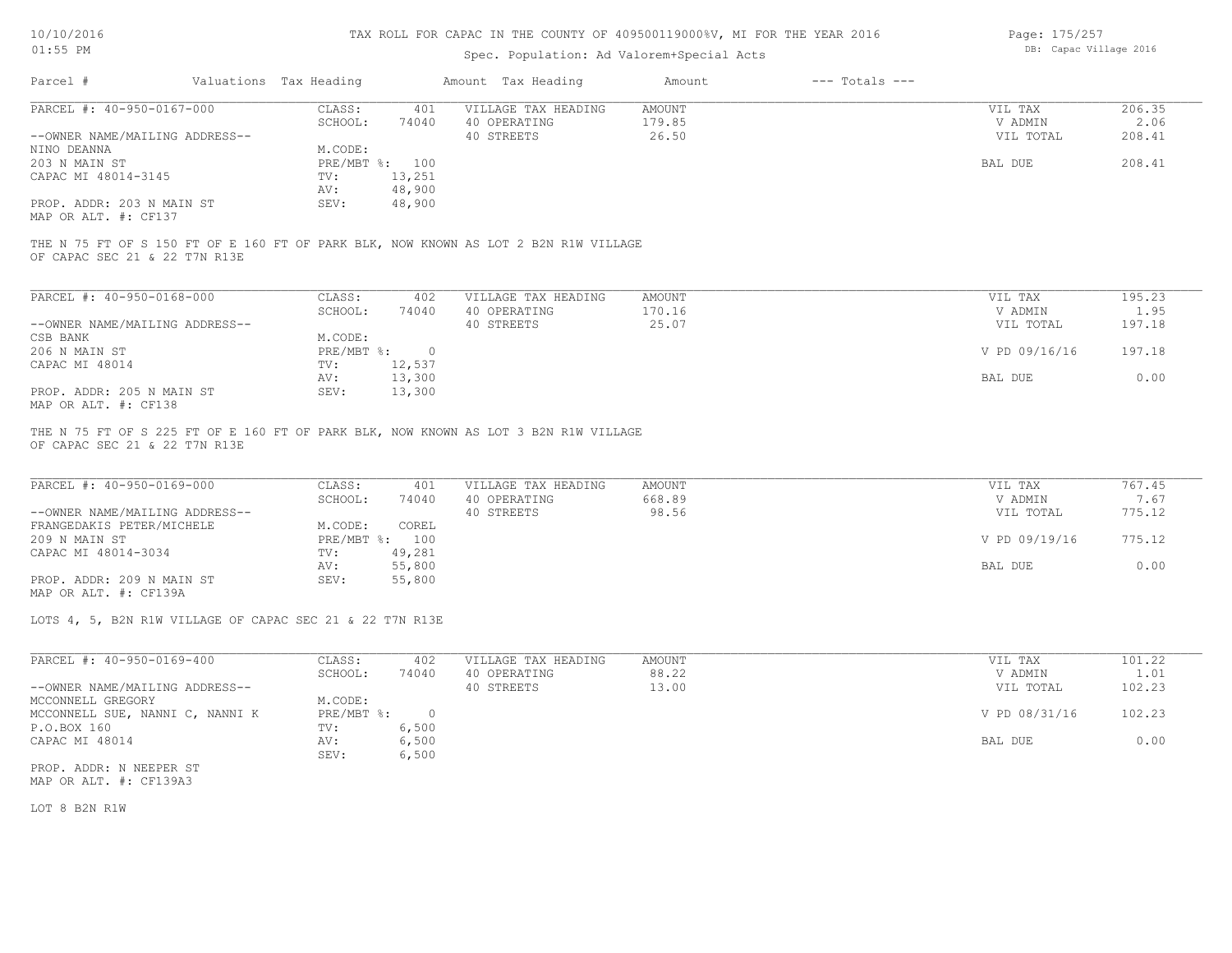## Spec. Population: Ad Valorem+Special Acts

| Page: 175/257          |  |
|------------------------|--|
| DB: Capac Village 2016 |  |

| Parcel #                       | Valuations Tax Heading |        | Amount Tax Heading  | Amount | $---$ Totals $---$ |           |        |
|--------------------------------|------------------------|--------|---------------------|--------|--------------------|-----------|--------|
| PARCEL #: 40-950-0167-000      | CLASS:                 | 401    | VILLAGE TAX HEADING | AMOUNT |                    | VIL TAX   | 206.35 |
|                                | SCHOOL:                | 74040  | 40 OPERATING        | 179.85 |                    | V ADMIN   | 2.06   |
| --OWNER NAME/MAILING ADDRESS-- |                        |        | 40 STREETS          | 26.50  |                    | VIL TOTAL | 208.41 |
| NINO DEANNA                    | M.CODE:                |        |                     |        |                    |           |        |
| 203 N MAIN ST                  | PRE/MBT %: 100         |        |                     |        |                    | BAL DUE   | 208.41 |
| CAPAC MI 48014-3145            | TV:                    | 13,251 |                     |        |                    |           |        |
|                                | AV:                    | 48,900 |                     |        |                    |           |        |
| PROP. ADDR: 203 N MAIN ST      | SEV:                   | 48,900 |                     |        |                    |           |        |
| MAP OR ALT. #: CF137           |                        |        |                     |        |                    |           |        |

OF CAPAC SEC 21 & 22 T7N R13E THE N 75 FT OF S 150 FT OF E 160 FT OF PARK BLK, NOW KNOWN AS LOT 2 B2N R1W VILLAGE

| PARCEL #: 40-950-0168-000      | CLASS:     | 402    | VILLAGE TAX HEADING | AMOUNT | VIL TAX       | 195.23 |
|--------------------------------|------------|--------|---------------------|--------|---------------|--------|
|                                | SCHOOL:    | 74040  | 40 OPERATING        | 170.16 | V ADMIN       | 1.95   |
| --OWNER NAME/MAILING ADDRESS-- |            |        | 40 STREETS          | 25.07  | VIL TOTAL     | 197.18 |
| CSB BANK                       | M.CODE:    |        |                     |        |               |        |
| 206 N MAIN ST                  | PRE/MBT %: |        |                     |        | V PD 09/16/16 | 197.18 |
| CAPAC MI 48014                 | TV:        | 12,537 |                     |        |               |        |
|                                | AV:        | 13,300 |                     |        | BAL DUE       | 0.00   |
| PROP. ADDR: 205 N MAIN ST      | SEV:       | 13,300 |                     |        |               |        |
| MAP OR ALT. #: CF138           |            |        |                     |        |               |        |

OF CAPAC SEC 21 & 22 T7N R13E THE N 75 FT OF S 225 FT OF E 160 FT OF PARK BLK, NOW KNOWN AS LOT 3 B2N R1W VILLAGE

| PARCEL #: 40-950-0169-000      | CLASS:  | 401            | VILLAGE TAX HEADING | AMOUNT | VIL TAX       | 767.45 |
|--------------------------------|---------|----------------|---------------------|--------|---------------|--------|
|                                | SCHOOL: | 74040          | 40 OPERATING        | 668.89 | V ADMIN       | 7.67   |
| --OWNER NAME/MAILING ADDRESS-- |         |                | 40 STREETS          | 98.56  | VIL TOTAL     | 775.12 |
| FRANGEDAKIS PETER/MICHELE      | M.CODE: | COREL          |                     |        |               |        |
| 209 N MAIN ST                  |         | PRE/MBT %: 100 |                     |        | V PD 09/19/16 | 775.12 |
| CAPAC MI 48014-3034            | TV:     | 49,281         |                     |        |               |        |
|                                | AV:     | 55,800         |                     |        | BAL DUE       | 0.00   |
| PROP. ADDR: 209 N MAIN ST      | SEV:    | 55,800         |                     |        |               |        |
| MAP OR ALT. #: CF139A          |         |                |                     |        |               |        |

LOTS 4, 5, B2N R1W VILLAGE OF CAPAC SEC 21 & 22 T7N R13E

| PARCEL #: 40-950-0169-400       | CLASS:     | 402      | VILLAGE TAX HEADING | AMOUNT | VIL TAX       | 101.22 |  |
|---------------------------------|------------|----------|---------------------|--------|---------------|--------|--|
|                                 | SCHOOL:    | 74040    | 40 OPERATING        | 88.22  | V ADMIN       | 1.01   |  |
| --OWNER NAME/MAILING ADDRESS--  |            |          | 40 STREETS          | 13.00  | VIL TOTAL     | 102.23 |  |
| MCCONNELL GREGORY               | M.CODE:    |          |                     |        |               |        |  |
| MCCONNELL SUE, NANNI C, NANNI K | PRE/MBT %: | $\Omega$ |                     |        | V PD 08/31/16 | 102.23 |  |
| P.O.BOX 160                     | TV:        | 6,500    |                     |        |               |        |  |
| CAPAC MI 48014                  | AV:        | 6,500    |                     |        | BAL DUE       | 0.00   |  |
|                                 | SEV:       | 6,500    |                     |        |               |        |  |
| PROP. ADDR: N NEEPER ST         |            |          |                     |        |               |        |  |

MAP OR ALT. #: CF139A3

LOT 8 B2N R1W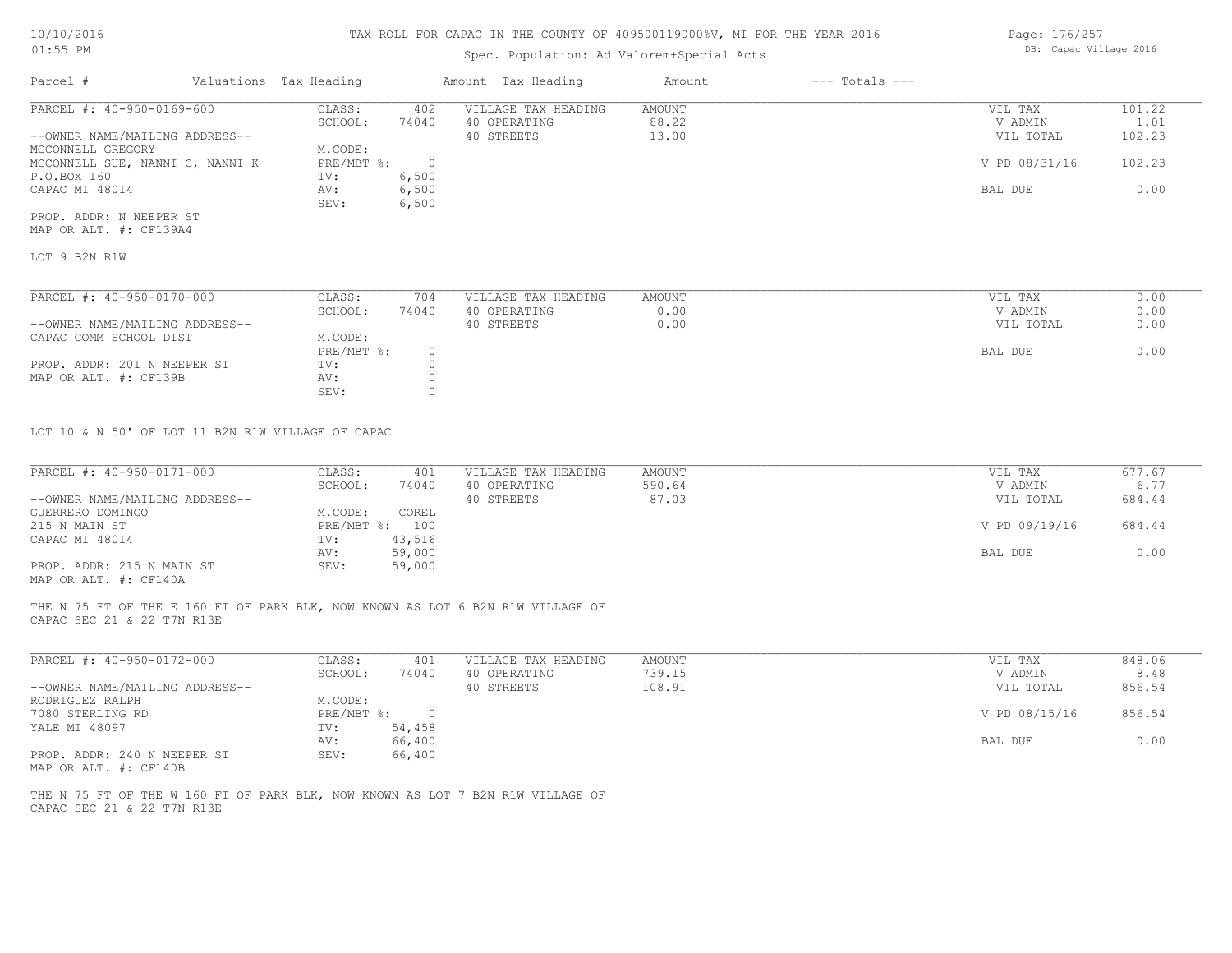## Spec. Population: Ad Valorem+Special Acts

| Page: 176/257 |                        |  |
|---------------|------------------------|--|
|               | DB: Capac Village 2016 |  |

| Parcel #                        | Valuations Tax Heading |       | Amount Tax Heading  | Amount | $---$ Totals $---$ |               |        |
|---------------------------------|------------------------|-------|---------------------|--------|--------------------|---------------|--------|
| PARCEL #: 40-950-0169-600       | CLASS:                 | 402   | VILLAGE TAX HEADING | AMOUNT |                    | VIL TAX       | 101.22 |
|                                 | SCHOOL:                | 74040 | 40 OPERATING        | 88.22  |                    | V ADMIN       | 1.01   |
| --OWNER NAME/MAILING ADDRESS--  |                        |       | 40 STREETS          | 13.00  |                    | VIL TOTAL     | 102.23 |
| MCCONNELL GREGORY               | M.CODE:                |       |                     |        |                    |               |        |
| MCCONNELL SUE, NANNI C, NANNI K | PRE/MBT %:             |       |                     |        |                    | V PD 08/31/16 | 102.23 |
| P.O.BOX 160                     | TV:                    | 6,500 |                     |        |                    |               |        |
| CAPAC MI 48014                  | AV:                    | 6,500 |                     |        |                    | BAL DUE       | 0.00   |
|                                 | SEV:                   | 6,500 |                     |        |                    |               |        |
| PROP. ADDR: N NEEPER ST         |                        |       |                     |        |                    |               |        |

MAP OR ALT. #: CF139A4

LOT 9 B2N R1W

| PARCEL #: 40-950-0170-000      | CLASS:     | 704   | VILLAGE TAX HEADING | AMOUNT | VIL TAX   | 0.00 |
|--------------------------------|------------|-------|---------------------|--------|-----------|------|
|                                | SCHOOL:    | 74040 | 40 OPERATING        | 0.00   | V ADMIN   | 0.00 |
| --OWNER NAME/MAILING ADDRESS-- |            |       | 40 STREETS          | 0.00   | VIL TOTAL | 0.00 |
| CAPAC COMM SCHOOL DIST         | M.CODE:    |       |                     |        |           |      |
|                                | PRE/MBT %: |       |                     |        | BAL DUE   | 0.00 |
| PROP. ADDR: 201 N NEEPER ST    | TV:        |       |                     |        |           |      |
| MAP OR ALT. #: CF139B          | AV:        |       |                     |        |           |      |
|                                | SEV:       |       |                     |        |           |      |

LOT 10 & N 50' OF LOT 11 B2N R1W VILLAGE OF CAPAC

| PARCEL #: 40-950-0171-000      | CLASS:         | 401    | VILLAGE TAX HEADING | AMOUNT | VIL TAX       | 677.67 |
|--------------------------------|----------------|--------|---------------------|--------|---------------|--------|
|                                | SCHOOL:        | 74040  | 40 OPERATING        | 590.64 | V ADMIN       | 6.77   |
| --OWNER NAME/MAILING ADDRESS-- |                |        | 40 STREETS          | 87.03  | VIL TOTAL     | 684.44 |
| GUERRERO DOMINGO               | M.CODE:        | COREL  |                     |        |               |        |
| 215 N MAIN ST                  | PRE/MBT %: 100 |        |                     |        | V PD 09/19/16 | 684.44 |
| CAPAC MI 48014                 | TV:            | 43,516 |                     |        |               |        |
|                                | AV:            | 59,000 |                     |        | BAL DUE       | 0.00   |
| PROP. ADDR: 215 N MAIN ST      | SEV:           | 59,000 |                     |        |               |        |
|                                |                |        |                     |        |               |        |

MAP OR ALT. #: CF140A

CAPAC SEC 21 & 22 T7N R13E THE N 75 FT OF THE E 160 FT OF PARK BLK, NOW KNOWN AS LOT 6 B2N R1W VILLAGE OF

| PARCEL #: 40-950-0172-000                                                                                                                      | CLASS:     | 401    | VILLAGE TAX HEADING | AMOUNT | VIL TAX       | 848.06 |
|------------------------------------------------------------------------------------------------------------------------------------------------|------------|--------|---------------------|--------|---------------|--------|
|                                                                                                                                                | SCHOOL:    | 74040  | OPERATING<br>40.    | 739.15 | V ADMIN       | 8.48   |
| --OWNER NAME/MAILING ADDRESS--                                                                                                                 |            |        | 40 STREETS          | 108.91 | VIL TOTAL     | 856.54 |
| RODRIGUEZ RALPH                                                                                                                                | M.CODE:    |        |                     |        |               |        |
| 7080 STERLING RD                                                                                                                               | PRE/MBT %: |        |                     |        | V PD 08/15/16 | 856.54 |
| YALE MI 48097                                                                                                                                  | TV:        | 54,458 |                     |        |               |        |
|                                                                                                                                                | AV:        | 66,400 |                     |        | BAL DUE       | 0.00   |
| PROP. ADDR: 240 N NEEPER ST<br>the contract of the contract of the contract of the contract of the contract of the contract of the contract of | SEV:       | 66,400 |                     |        |               |        |

MAP OR ALT. #: CF140B

CAPAC SEC 21 & 22 T7N R13E THE N 75 FT OF THE W 160 FT OF PARK BLK, NOW KNOWN AS LOT 7 B2N R1W VILLAGE OF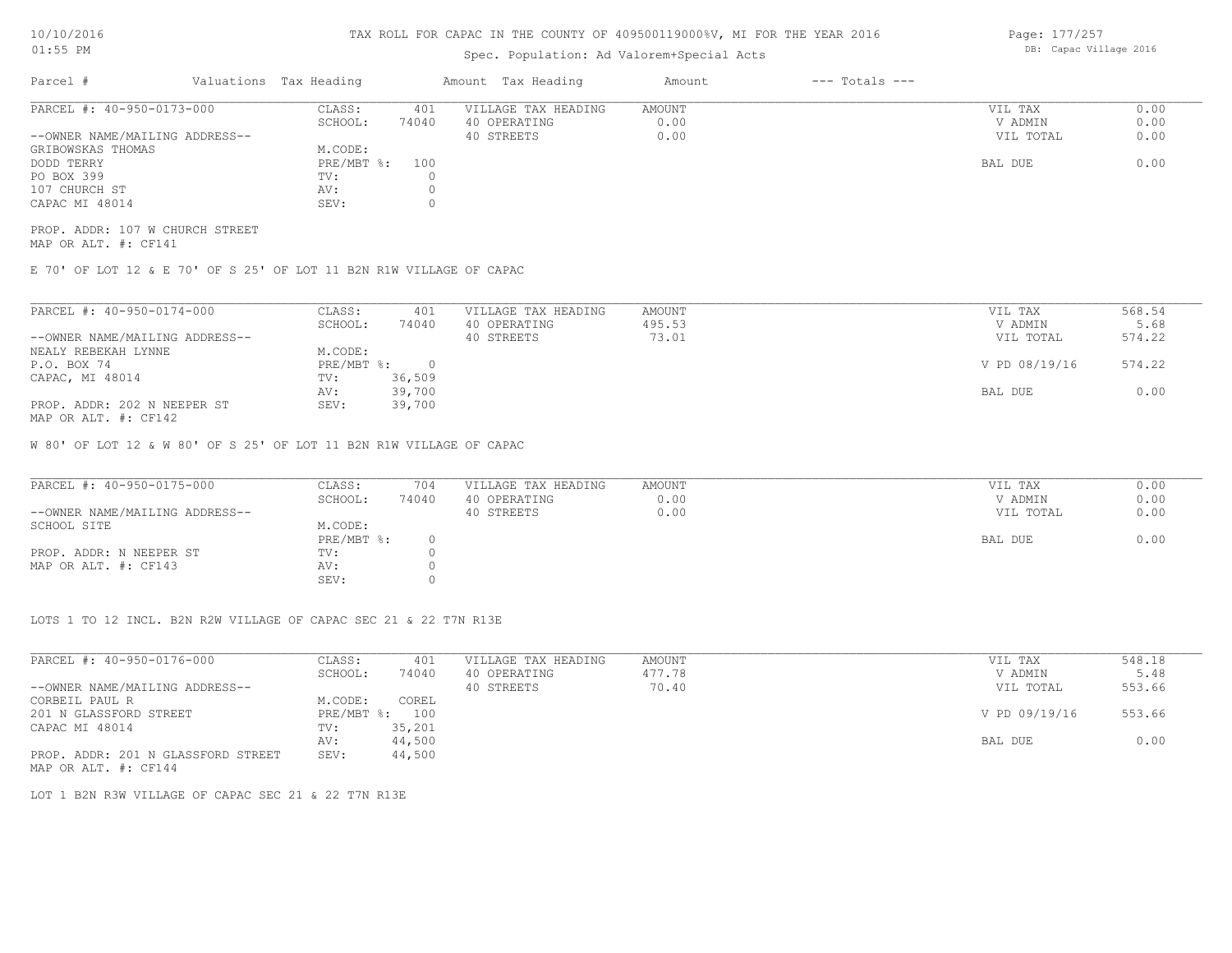# Spec. Population: Ad Valorem+Special Acts

| Parcel #                       | Valuations Tax Heading |       | Amount Tax Heading  | Amount | $---$ Totals $---$ |           |      |
|--------------------------------|------------------------|-------|---------------------|--------|--------------------|-----------|------|
| PARCEL #: 40-950-0173-000      | CLASS:                 | 401   | VILLAGE TAX HEADING | AMOUNT |                    | VIL TAX   | 0.00 |
|                                | SCHOOL:                | 74040 | 40 OPERATING        | 0.00   |                    | V ADMIN   | 0.00 |
| --OWNER NAME/MAILING ADDRESS-- |                        |       | 40 STREETS          | 0.00   |                    | VIL TOTAL | 0.00 |
| GRIBOWSKAS THOMAS              | M.CODE:                |       |                     |        |                    |           |      |
| DODD TERRY                     | PRE/MBT %: 100         |       |                     |        |                    | BAL DUE   | 0.00 |
| PO BOX 399                     | TV:                    |       |                     |        |                    |           |      |
| 107 CHURCH ST                  | AV:                    |       |                     |        |                    |           |      |
| CAPAC MI 48014                 | SEV:                   |       |                     |        |                    |           |      |
|                                |                        |       |                     |        |                    |           |      |

MAP OR ALT. #: CF141 PROP. ADDR: 107 W CHURCH STREET

E 70' OF LOT 12 & E 70' OF S 25' OF LOT 11 B2N R1W VILLAGE OF CAPAC

| PARCEL #: 40-950-0174-000      | CLASS:       | 401    | VILLAGE TAX HEADING | AMOUNT | VIL TAX       | 568.54 |
|--------------------------------|--------------|--------|---------------------|--------|---------------|--------|
|                                | SCHOOL:      | 74040  | 40 OPERATING        | 495.53 | V ADMIN       | 5.68   |
| --OWNER NAME/MAILING ADDRESS-- |              |        | 40 STREETS          | 73.01  | VIL TOTAL     | 574.22 |
| NEALY REBEKAH LYNNE            | M.CODE:      |        |                     |        |               |        |
| P.O. BOX 74                    | $PRE/MBT$ %: |        |                     |        | V PD 08/19/16 | 574.22 |
| CAPAC, MI 48014                | TV:          | 36,509 |                     |        |               |        |
|                                | AV:          | 39,700 |                     |        | BAL DUE       | 0.00   |
| PROP. ADDR: 202 N NEEPER ST    | SEV:         | 39,700 |                     |        |               |        |
| MAP OR ALT. #: CF142           |              |        |                     |        |               |        |

W 80' OF LOT 12 & W 80' OF S 25' OF LOT 11 B2N R1W VILLAGE OF CAPAC

| PARCEL #: 40-950-0175-000      | CLASS:       | 704   | VILLAGE TAX HEADING | AMOUNT | VIL TAX   | 0.00 |
|--------------------------------|--------------|-------|---------------------|--------|-----------|------|
|                                | SCHOOL:      | 74040 | 40 OPERATING        | 0.00   | V ADMIN   | 0.00 |
| --OWNER NAME/MAILING ADDRESS-- |              |       | 40 STREETS          | 0.00   | VIL TOTAL | 0.00 |
| SCHOOL SITE                    | M.CODE:      |       |                     |        |           |      |
|                                | $PRE/MBT$ %: |       |                     |        | BAL DUE   | 0.00 |
| PROP. ADDR: N NEEPER ST        | TV:          |       |                     |        |           |      |
| MAP OR ALT. #: CF143           | AV:          |       |                     |        |           |      |
|                                | SEV:         |       |                     |        |           |      |

LOTS 1 TO 12 INCL. B2N R2W VILLAGE OF CAPAC SEC 21 & 22 T7N R13E

| PARCEL #: 40-950-0176-000          | CLASS:     | 401    | VILLAGE TAX HEADING | AMOUNT | VIL TAX       | 548.18 |  |
|------------------------------------|------------|--------|---------------------|--------|---------------|--------|--|
|                                    | SCHOOL:    | 74040  | 40 OPERATING        | 477.78 | V ADMIN       | 5.48   |  |
| --OWNER NAME/MAILING ADDRESS--     |            |        | 40 STREETS          | 70.40  | VIL TOTAL     | 553.66 |  |
| CORBEIL PAUL R                     | M.CODE:    | COREL  |                     |        |               |        |  |
| 201 N GLASSFORD STREET             | PRE/MBT %: | 100    |                     |        | V PD 09/19/16 | 553.66 |  |
| CAPAC MI 48014                     | TV:        | 35,201 |                     |        |               |        |  |
|                                    | AV:        | 44,500 |                     |        | BAL DUE       | 0.00   |  |
| PROP. ADDR: 201 N GLASSFORD STREET | SEV:       | 44,500 |                     |        |               |        |  |
| MAP OR ALT. #: CF144               |            |        |                     |        |               |        |  |

LOT 1 B2N R3W VILLAGE OF CAPAC SEC 21 & 22 T7N R13E

Page: 177/257 DB: Capac Village 2016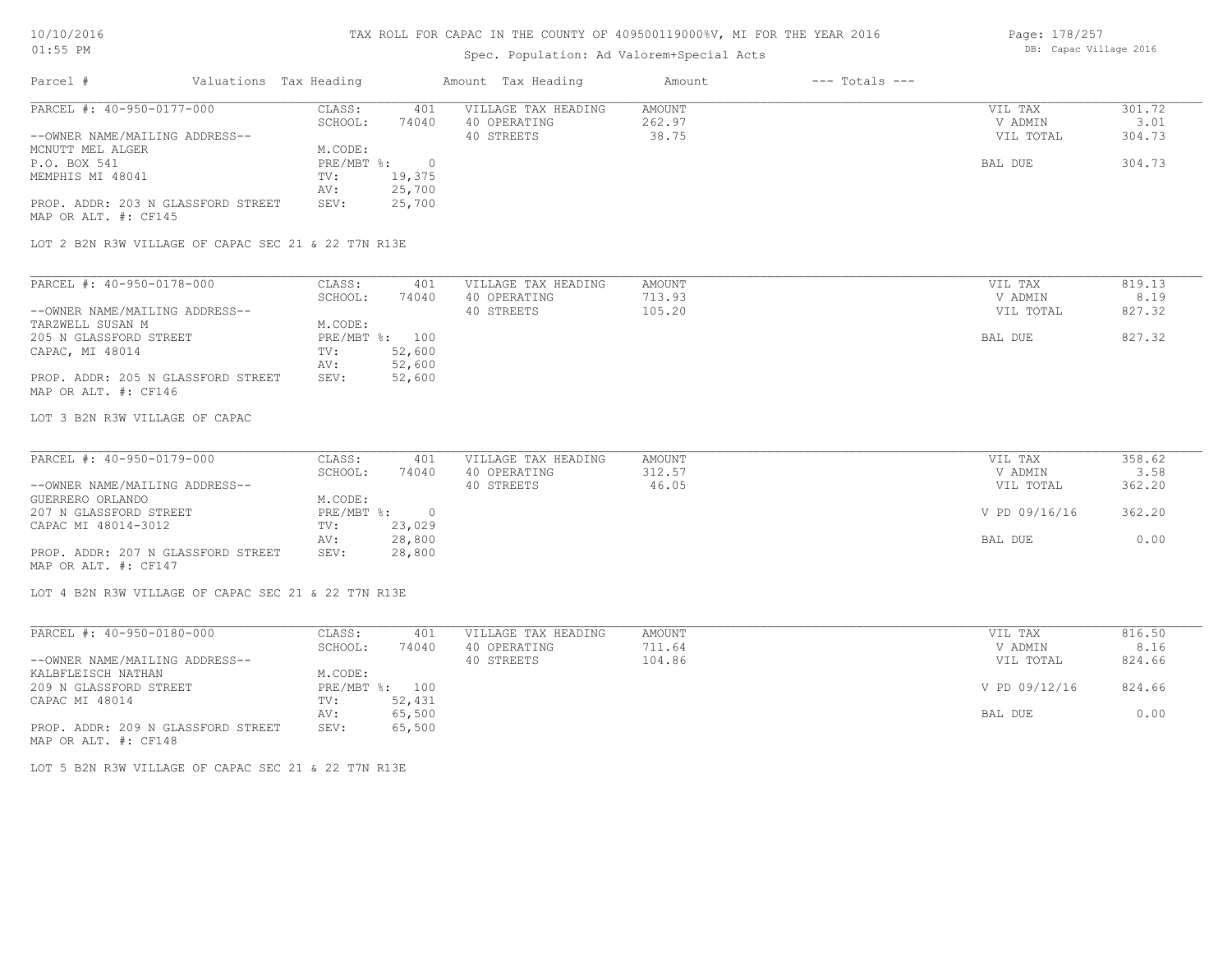## 10/10/2016 01:55 PM

### TAX ROLL FOR CAPAC IN THE COUNTY OF 409500119000%V, MI FOR THE YEAR 2016

# Spec. Population: Ad Valorem+Special Acts

Page: 178/257 DB: Capac Village 2016

| PARCEL #: 40-950-0177-000 | CLASS:                                                 | 401                                |                     |        |           |        |
|---------------------------|--------------------------------------------------------|------------------------------------|---------------------|--------|-----------|--------|
|                           |                                                        |                                    | VILLAGE TAX HEADING | AMOUNT | VIL TAX   | 301.72 |
|                           | SCHOOL:                                                | 74040                              | 40 OPERATING        | 262.97 | V ADMIN   | 3.01   |
|                           |                                                        |                                    | 40 STREETS          | 38.75  | VIL TOTAL | 304.73 |
|                           | M.CODE:                                                |                                    |                     |        |           |        |
|                           |                                                        |                                    |                     |        | BAL DUE   | 304.73 |
|                           | TV:                                                    | 19,375                             |                     |        |           |        |
|                           | AV:                                                    | 25,700                             |                     |        |           |        |
|                           | SEV:                                                   | 25,700                             |                     |        |           |        |
|                           |                                                        |                                    |                     |        |           |        |
|                           | --OWNER NAME/MAILING ADDRESS--<br>MAP OR ALT. #: CF145 | PROP. ADDR: 203 N GLASSFORD STREET | PRE/MBT %:          |        |           |        |

LOT 2 B2N R3W VILLAGE OF CAPAC SEC 21 & 22 T7N R13E

| PARCEL #: 40-950-0178-000          | CLASS:  | 401            | VILLAGE TAX HEADING | AMOUNT | VIL TAX   | 819.13 |
|------------------------------------|---------|----------------|---------------------|--------|-----------|--------|
|                                    | SCHOOL: | 74040          | 40 OPERATING        | 713.93 | V ADMIN   | 8.19   |
| --OWNER NAME/MAILING ADDRESS--     |         |                | 40 STREETS          | 105.20 | VIL TOTAL | 827.32 |
| TARZWELL SUSAN M                   | M.CODE: |                |                     |        |           |        |
| 205 N GLASSFORD STREET             |         | PRE/MBT %: 100 |                     |        | BAL DUE   | 827.32 |
| CAPAC, MI 48014                    | TV:     | 52,600         |                     |        |           |        |
|                                    | AV:     | 52,600         |                     |        |           |        |
| PROP. ADDR: 205 N GLASSFORD STREET | SEV:    | 52,600         |                     |        |           |        |
| MAP OR ALT. #: CF146               |         |                |                     |        |           |        |

LOT 3 B2N R3W VILLAGE OF CAPAC

| PARCEL #: 40-950-0179-000          | CLASS:       | 401    | VILLAGE TAX HEADING | AMOUNT | VIL TAX       | 358.62 |
|------------------------------------|--------------|--------|---------------------|--------|---------------|--------|
|                                    | SCHOOL:      | 74040  | 40 OPERATING        | 312.57 | V ADMIN       | 3.58   |
| --OWNER NAME/MAILING ADDRESS--     |              |        | 40 STREETS          | 46.05  | VIL TOTAL     | 362.20 |
| GUERRERO ORLANDO                   | M.CODE:      |        |                     |        |               |        |
| 207 N GLASSFORD STREET             | $PRE/MBT$ %: |        |                     |        | V PD 09/16/16 | 362.20 |
| CAPAC MI 48014-3012                | TV:          | 23,029 |                     |        |               |        |
|                                    | AV:          | 28,800 |                     |        | BAL DUE       | 0.00   |
| PROP. ADDR: 207 N GLASSFORD STREET | SEV:         | 28,800 |                     |        |               |        |
| MAP OR ALT. #: CF147               |              |        |                     |        |               |        |

LOT 4 B2N R3W VILLAGE OF CAPAC SEC 21 & 22 T7N R13E

| PARCEL #: 40-950-0180-000          | CLASS:       | 401    | VILLAGE TAX HEADING | AMOUNT | VIL TAX       | 816.50 |
|------------------------------------|--------------|--------|---------------------|--------|---------------|--------|
|                                    | SCHOOL:      | 74040  | 40 OPERATING        | 711.64 | V ADMIN       | 8.16   |
| --OWNER NAME/MAILING ADDRESS--     |              |        | 40 STREETS          | 104.86 | VIL TOTAL     | 824.66 |
| KALBFLEISCH NATHAN                 | M.CODE:      |        |                     |        |               |        |
| 209 N GLASSFORD STREET             | $PRE/MBT$ %: | 100    |                     |        | V PD 09/12/16 | 824.66 |
| CAPAC MI 48014                     | TV:          | 52,431 |                     |        |               |        |
|                                    | AV:          | 65,500 |                     |        | BAL DUE       | 0.00   |
| PROP. ADDR: 209 N GLASSFORD STREET | SEV:         | 65,500 |                     |        |               |        |
| MAP OR ALT. #: CF148               |              |        |                     |        |               |        |

LOT 5 B2N R3W VILLAGE OF CAPAC SEC 21 & 22 T7N R13E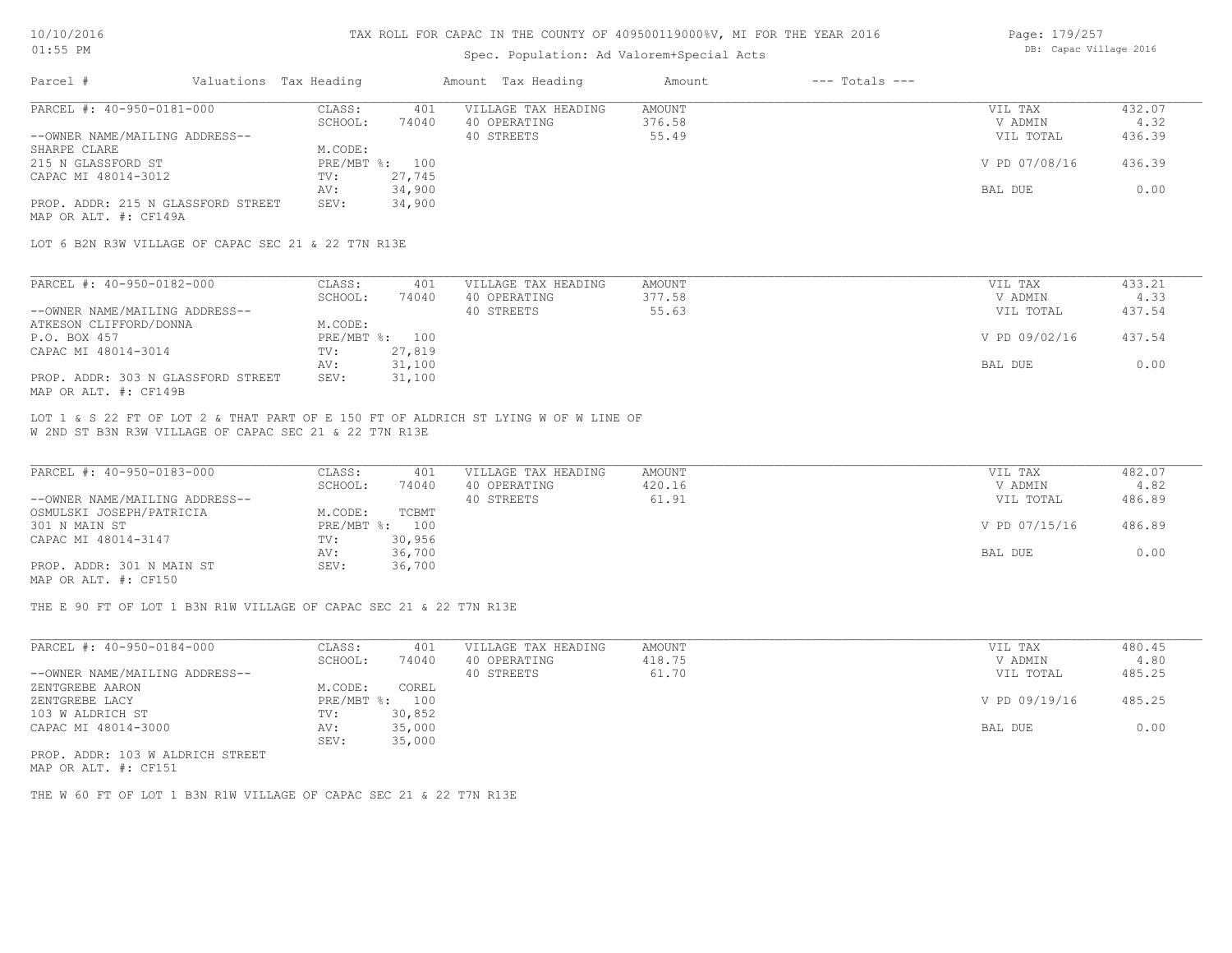### Spec. Population: Ad Valorem+Special Acts

| Page: 179/257 |                        |  |
|---------------|------------------------|--|
|               | DB: Capac Village 2016 |  |

| Parcel #                           | Valuations Tax Heading |        | Amount Tax Heading  | Amount | $---$ Totals $---$ |               |        |
|------------------------------------|------------------------|--------|---------------------|--------|--------------------|---------------|--------|
| PARCEL #: 40-950-0181-000          | CLASS:                 | 401    | VILLAGE TAX HEADING | AMOUNT |                    | VIL TAX       | 432.07 |
|                                    | SCHOOL:                | 74040  | 40 OPERATING        | 376.58 |                    | V ADMIN       | 4.32   |
| --OWNER NAME/MAILING ADDRESS--     |                        |        | 40 STREETS          | 55.49  |                    | VIL TOTAL     | 436.39 |
| SHARPE CLARE                       | M.CODE:                |        |                     |        |                    |               |        |
| 215 N GLASSFORD ST                 | PRE/MBT %: 100         |        |                     |        |                    | V PD 07/08/16 | 436.39 |
| CAPAC MI 48014-3012                | TV:                    | 27,745 |                     |        |                    |               |        |
|                                    | AV:                    | 34,900 |                     |        |                    | BAL DUE       | 0.00   |
| PROP. ADDR: 215 N GLASSFORD STREET | SEV:                   | 34,900 |                     |        |                    |               |        |
| MAP OR ALT. #: CF149A              |                        |        |                     |        |                    |               |        |

LOT 6 B2N R3W VILLAGE OF CAPAC SEC 21 & 22 T7N R13E

| PARCEL #: 40-950-0182-000          | CLASS:  | 401            | VILLAGE TAX HEADING | AMOUNT | VIL TAX       | 433.21 |
|------------------------------------|---------|----------------|---------------------|--------|---------------|--------|
|                                    | SCHOOL: | 74040          | 40 OPERATING        | 377.58 | V ADMIN       | 4.33   |
| --OWNER NAME/MAILING ADDRESS--     |         |                | 40 STREETS          | 55.63  | VIL TOTAL     | 437.54 |
| ATKESON CLIFFORD/DONNA             | M.CODE: |                |                     |        |               |        |
| P.O. BOX 457                       |         | PRE/MBT %: 100 |                     |        | V PD 09/02/16 | 437.54 |
| CAPAC MI 48014-3014                | TV:     | 27,819         |                     |        |               |        |
|                                    | AV:     | 31,100         |                     |        | BAL DUE       | 0.00   |
| PROP. ADDR: 303 N GLASSFORD STREET | SEV:    | 31,100         |                     |        |               |        |
| MAP OR ALT. #: CF149B              |         |                |                     |        |               |        |

W 2ND ST B3N R3W VILLAGE OF CAPAC SEC 21 & 22 T7N R13E LOT 1 & S 22 FT OF LOT 2 & THAT PART OF E 150 FT OF ALDRICH ST LYING W OF W LINE OF

| PARCEL #: 40-950-0183-000      | CLASS:  | 401            | VILLAGE TAX HEADING | AMOUNT | VIL TAX       | 482.07 |
|--------------------------------|---------|----------------|---------------------|--------|---------------|--------|
|                                | SCHOOL: | 74040          | 40 OPERATING        | 420.16 | V ADMIN       | 4.82   |
| --OWNER NAME/MAILING ADDRESS-- |         |                | 40 STREETS          | 61.91  | VIL TOTAL     | 486.89 |
| OSMULSKI JOSEPH/PATRICIA       | M.CODE: | TCBMT          |                     |        |               |        |
| 301 N MAIN ST                  |         | PRE/MBT %: 100 |                     |        | V PD 07/15/16 | 486.89 |
| CAPAC MI 48014-3147            | TV:     | 30,956         |                     |        |               |        |
|                                | AV:     | 36,700         |                     |        | BAL DUE       | 0.00   |
| PROP. ADDR: 301 N MAIN ST      | SEV:    | 36,700         |                     |        |               |        |
| MAP OR ALT. #: CF150           |         |                |                     |        |               |        |

THE E 90 FT OF LOT 1 B3N R1W VILLAGE OF CAPAC SEC 21 & 22 T7N R13E

| PARCEL #: 40-950-0184-000      | CLASS:  | 401            | VILLAGE TAX HEADING | AMOUNT | VIL TAX       | 480.45 |
|--------------------------------|---------|----------------|---------------------|--------|---------------|--------|
|                                | SCHOOL: | 74040          | 40 OPERATING        | 418.75 | V ADMIN       | 4.80   |
| --OWNER NAME/MAILING ADDRESS-- |         |                | 40 STREETS          | 61.70  | VIL TOTAL     | 485.25 |
| ZENTGREBE AARON                | M.CODE: | COREL          |                     |        |               |        |
| ZENTGREBE LACY                 |         | PRE/MBT %: 100 |                     |        | V PD 09/19/16 | 485.25 |
| 103 W ALDRICH ST               | TV:     | 30,852         |                     |        |               |        |
| CAPAC MI 48014-3000            | AV:     | 35,000         |                     |        | BAL DUE       | 0.00   |
|                                | SEV:    | 35,000         |                     |        |               |        |
| ppop appp 100 m atphrom omborn |         |                |                     |        |               |        |

MAP OR ALT. #: CF151 PROP. ADDR: 103 W ALDRICH STREET

THE W 60 FT OF LOT 1 B3N R1W VILLAGE OF CAPAC SEC 21 & 22 T7N R13E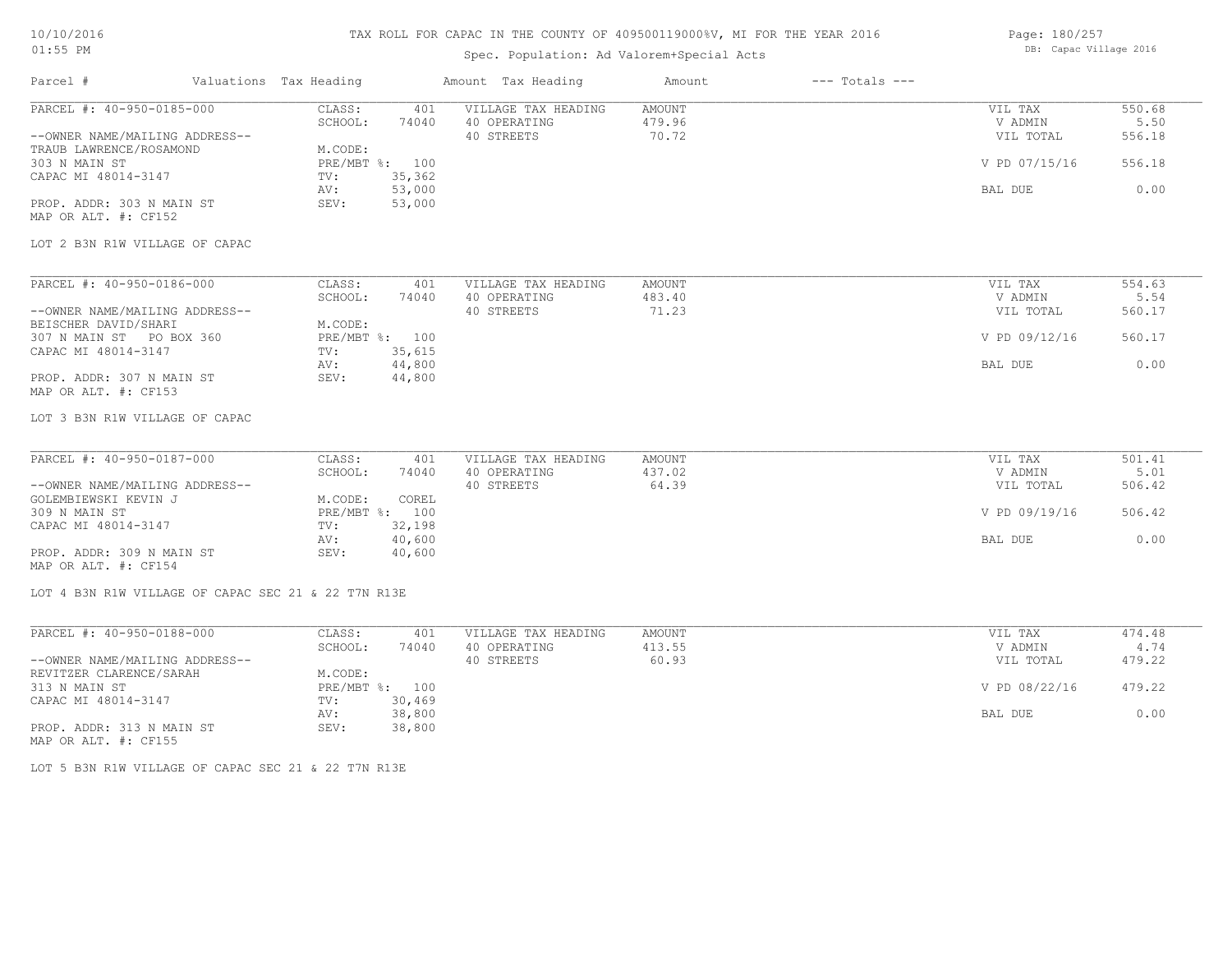## 10/10/2016 01:55 PM

# TAX ROLL FOR CAPAC IN THE COUNTY OF 409500119000%V, MI FOR THE YEAR 2016

# Spec. Population: Ad Valorem+Special Acts

Page: 180/257 DB: Capac Village 2016

| Parcel #                       | Valuations Tax Heading                              | Amount Tax Heading         | Amount        | $---$ Totals $---$ |               |        |
|--------------------------------|-----------------------------------------------------|----------------------------|---------------|--------------------|---------------|--------|
| PARCEL #: 40-950-0185-000      | CLASS:                                              | VILLAGE TAX HEADING<br>401 | <b>AMOUNT</b> |                    | VIL TAX       | 550.68 |
|                                | SCHOOL:<br>74040                                    | 40 OPERATING               | 479.96        |                    | V ADMIN       | 5.50   |
| --OWNER NAME/MAILING ADDRESS-- |                                                     | 40 STREETS                 | 70.72         |                    | VIL TOTAL     | 556.18 |
| TRAUB LAWRENCE/ROSAMOND        | M.CODE:                                             |                            |               |                    |               |        |
| 303 N MAIN ST                  | PRE/MBT %: 100                                      |                            |               |                    | V PD 07/15/16 | 556.18 |
| CAPAC MI 48014-3147            | 35,362<br>TV:                                       |                            |               |                    |               |        |
|                                | 53,000<br>AV:                                       |                            |               |                    | BAL DUE       | 0.00   |
| PROP. ADDR: 303 N MAIN ST      | 53,000<br>SEV:                                      |                            |               |                    |               |        |
| MAP OR ALT. #: CF152           |                                                     |                            |               |                    |               |        |
|                                |                                                     |                            |               |                    |               |        |
| LOT 2 B3N R1W VILLAGE OF CAPAC |                                                     |                            |               |                    |               |        |
|                                |                                                     |                            |               |                    |               |        |
| PARCEL #: 40-950-0186-000      | CLASS:                                              | VILLAGE TAX HEADING<br>401 | AMOUNT        |                    | VIL TAX       | 554.63 |
|                                | SCHOOL:<br>74040                                    | 40 OPERATING               | 483.40        |                    | V ADMIN       | 5.54   |
| --OWNER NAME/MAILING ADDRESS-- |                                                     | 40 STREETS                 | 71.23         |                    | VIL TOTAL     | 560.17 |
| BEISCHER DAVID/SHARI           | M.CODE:                                             |                            |               |                    |               |        |
| 307 N MAIN ST PO BOX 360       | PRE/MBT %: 100                                      |                            |               |                    | V PD 09/12/16 | 560.17 |
| CAPAC MI 48014-3147            | 35,615<br>TV:                                       |                            |               |                    |               |        |
|                                | 44,800<br>AV:                                       |                            |               |                    | BAL DUE       | 0.00   |
| PROP. ADDR: 307 N MAIN ST      | SEV:<br>44,800                                      |                            |               |                    |               |        |
| MAP OR ALT. #: CF153           |                                                     |                            |               |                    |               |        |
| LOT 3 B3N R1W VILLAGE OF CAPAC |                                                     |                            |               |                    |               |        |
|                                |                                                     |                            |               |                    |               |        |
| PARCEL #: 40-950-0187-000      | CLASS:                                              | VILLAGE TAX HEADING<br>401 | <b>AMOUNT</b> |                    | VIL TAX       | 501.41 |
|                                | SCHOOL:<br>74040                                    | 40 OPERATING               | 437.02        |                    | V ADMIN       | 5.01   |
| --OWNER NAME/MAILING ADDRESS-- |                                                     | 40 STREETS                 | 64.39         |                    | VIL TOTAL     | 506.42 |
| GOLEMBIEWSKI KEVIN J           | M.CODE:<br>COREL                                    |                            |               |                    |               |        |
| 309 N MAIN ST                  | PRE/MBT %: 100                                      |                            |               |                    | V PD 09/19/16 | 506.42 |
| CAPAC MI 48014-3147            | 32,198<br>TV:                                       |                            |               |                    |               |        |
|                                | 40,600<br>AV:                                       |                            |               |                    | BAL DUE       | 0.00   |
| PROP. ADDR: 309 N MAIN ST      | SEV:<br>40,600                                      |                            |               |                    |               |        |
| MAP OR ALT. #: CF154           |                                                     |                            |               |                    |               |        |
|                                |                                                     |                            |               |                    |               |        |
|                                | LOT 4 B3N R1W VILLAGE OF CAPAC SEC 21 & 22 T7N R13E |                            |               |                    |               |        |
|                                |                                                     |                            |               |                    |               |        |
| PARCEL #: 40-950-0188-000      | CLASS:                                              | VILLAGE TAX HEADING<br>401 | <b>AMOUNT</b> |                    | VIL TAX       | 474.48 |
|                                | SCHOOL:<br>74040                                    | 40 OPERATING               | 413.55        |                    | V ADMIN       | 4.74   |
| --OWNER NAME/MAILING ADDRESS-- |                                                     | 40 STREETS                 | 60.93         |                    | VIL TOTAL     | 479.22 |
| REVITZER CLARENCE/SARAH        | M.CODE:                                             |                            |               |                    |               |        |
| 313 N MAIN ST                  | PRE/MBT %: 100                                      |                            |               |                    | V PD 08/22/16 | 479.22 |
| CAPAC MI 48014-3147            | TV:<br>30,469                                       |                            |               |                    |               |        |
|                                | 38,800<br>AV:                                       |                            |               |                    | BAL DUE       | 0.00   |
| PROP. ADDR: 313 N MAIN ST      | 38,800<br>SEV:                                      |                            |               |                    |               |        |
|                                |                                                     |                            |               |                    |               |        |

MAP OR ALT. #: CF155

LOT 5 B3N R1W VILLAGE OF CAPAC SEC 21 & 22 T7N R13E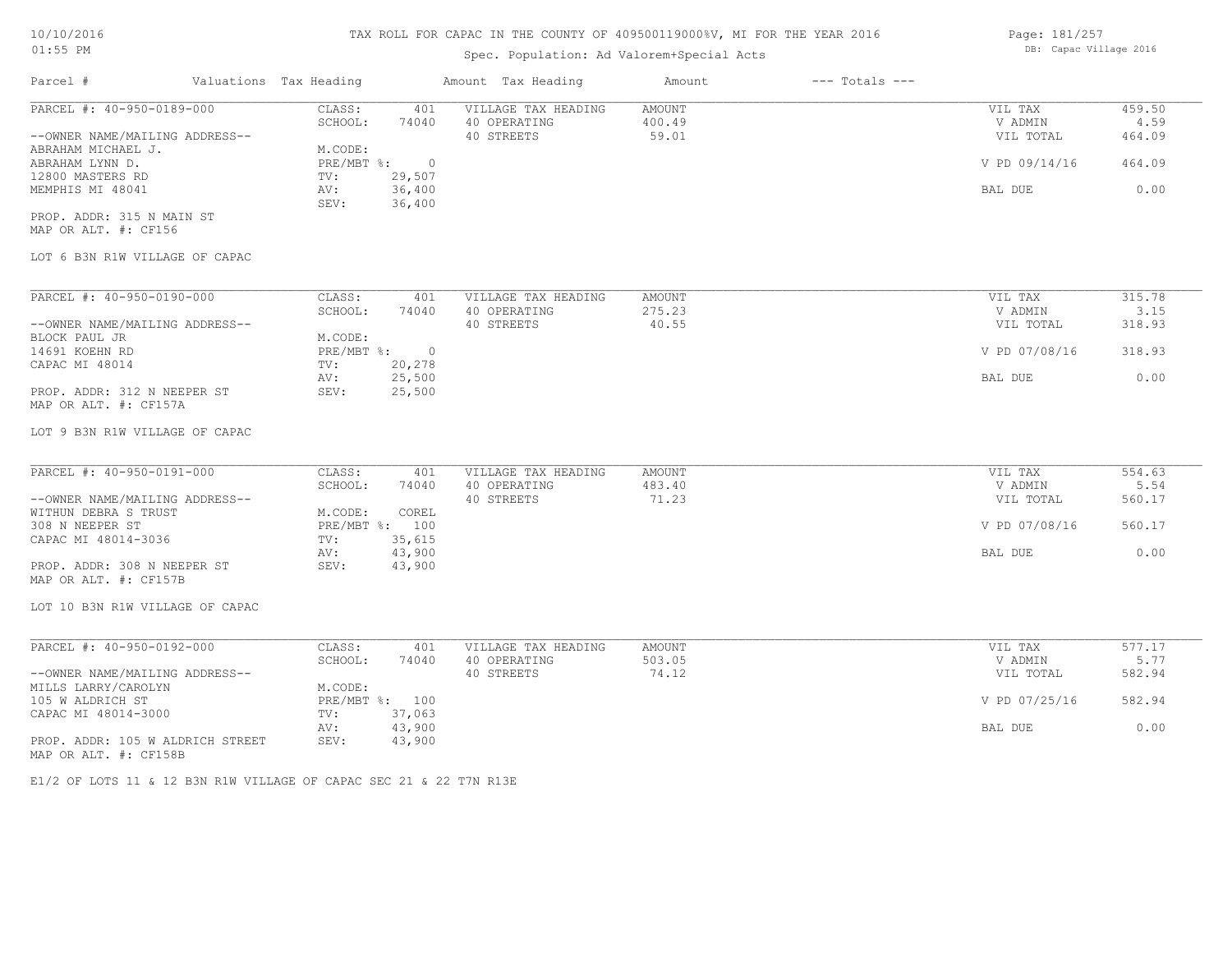# Spec. Population: Ad Valorem+Special Acts

| Page: 181/257 |                        |  |
|---------------|------------------------|--|
|               | DB: Capac Village 2016 |  |

| Parcel #                       | Valuations Tax Heading |        | Amount Tax Heading  | Amount | $---$ Totals $---$ |               |        |
|--------------------------------|------------------------|--------|---------------------|--------|--------------------|---------------|--------|
| PARCEL #: 40-950-0189-000      | CLASS:                 | 401    | VILLAGE TAX HEADING | AMOUNT |                    | VIL TAX       | 459.50 |
|                                | SCHOOL:                | 74040  | 40 OPERATING        | 400.49 |                    | V ADMIN       | 4.59   |
| --OWNER NAME/MAILING ADDRESS-- |                        |        | 40 STREETS          | 59.01  |                    | VIL TOTAL     | 464.09 |
| ABRAHAM MICHAEL J.             | M.CODE:                |        |                     |        |                    |               |        |
| ABRAHAM LYNN D.                | PRE/MBT %:             |        |                     |        |                    | V PD 09/14/16 | 464.09 |
| 12800 MASTERS RD               | TV:                    | 29,507 |                     |        |                    |               |        |
| MEMPHIS MI 48041               | AV:                    | 36,400 |                     |        |                    | BAL DUE       | 0.00   |
|                                | SEV:                   | 36,400 |                     |        |                    |               |        |
| PROP. ADDR: 315 N MAIN ST      |                        |        |                     |        |                    |               |        |
| MAP OR ALT. #: CF156           |                        |        |                     |        |                    |               |        |
| LOT 6 B3N R1W VILLAGE OF CAPAC |                        |        |                     |        |                    |               |        |

| PARCEL #: 40-950-0190-000      | CLASS:     | 401      | VILLAGE TAX HEADING | AMOUNT | VIL TAX       | 315.78 |
|--------------------------------|------------|----------|---------------------|--------|---------------|--------|
|                                | SCHOOL:    | 74040    | 40 OPERATING        | 275.23 | V ADMIN       | 3.15   |
| --OWNER NAME/MAILING ADDRESS-- |            |          | 40 STREETS          | 40.55  | VIL TOTAL     | 318.93 |
| BLOCK PAUL JR                  | M.CODE:    |          |                     |        |               |        |
| 14691 KOEHN RD                 | PRE/MBT %: | $\Omega$ |                     |        | V PD 07/08/16 | 318.93 |
| CAPAC MI 48014                 | TV:        | 20,278   |                     |        |               |        |
|                                | AV:        | 25,500   |                     |        | BAL DUE       | 0.00   |
| PROP. ADDR: 312 N NEEPER ST    | SEV:       | 25,500   |                     |        |               |        |
| MAP OR ALT. #: CF157A          |            |          |                     |        |               |        |

### LOT 9 B3N R1W VILLAGE OF CAPAC

| PARCEL #: 40-950-0191-000      | CLASS:     | 401    | VILLAGE TAX HEADING | AMOUNT | VIL TAX       | 554.63 |
|--------------------------------|------------|--------|---------------------|--------|---------------|--------|
|                                | SCHOOL:    | 74040  | 40 OPERATING        | 483.40 | V ADMIN       | 5.54   |
| --OWNER NAME/MAILING ADDRESS-- |            |        | 40 STREETS          | 71.23  | VIL TOTAL     | 560.17 |
| WITHUN DEBRA S TRUST           | M.CODE:    | COREL  |                     |        |               |        |
| 308 N NEEPER ST                | PRE/MBT %: | 100    |                     |        | V PD 07/08/16 | 560.17 |
| CAPAC MI 48014-3036            | TV:        | 35,615 |                     |        |               |        |
|                                | AV:        | 43,900 |                     |        | BAL DUE       | 0.00   |
| PROP. ADDR: 308 N NEEPER ST    | SEV:       | 43,900 |                     |        |               |        |
| MAP OR ALT. #: CF157B          |            |        |                     |        |               |        |

# LOT 10 B3N R1W VILLAGE OF CAPAC

| PARCEL #: 40-950-0192-000        | CLASS:  | 401            | VILLAGE TAX HEADING | AMOUNT | VIL TAX       | 577.17 |
|----------------------------------|---------|----------------|---------------------|--------|---------------|--------|
|                                  | SCHOOL: | 74040          | 40 OPERATING        | 503.05 | V ADMIN       | 5.77   |
| --OWNER NAME/MAILING ADDRESS--   |         |                | 40 STREETS          | 74.12  | VIL TOTAL     | 582.94 |
| MILLS LARRY/CAROLYN              | M.CODE: |                |                     |        |               |        |
| 105 W ALDRICH ST                 |         | PRE/MBT %: 100 |                     |        | V PD 07/25/16 | 582.94 |
| CAPAC MI 48014-3000              | TV:     | 37,063         |                     |        |               |        |
|                                  | AV:     | 43,900         |                     |        | BAL DUE       | 0.00   |
| PROP. ADDR: 105 W ALDRICH STREET | SEV:    | 43,900         |                     |        |               |        |
| MAP OR ALT. #: CF158B            |         |                |                     |        |               |        |

E1/2 OF LOTS 11 & 12 B3N R1W VILLAGE OF CAPAC SEC 21 & 22 T7N R13E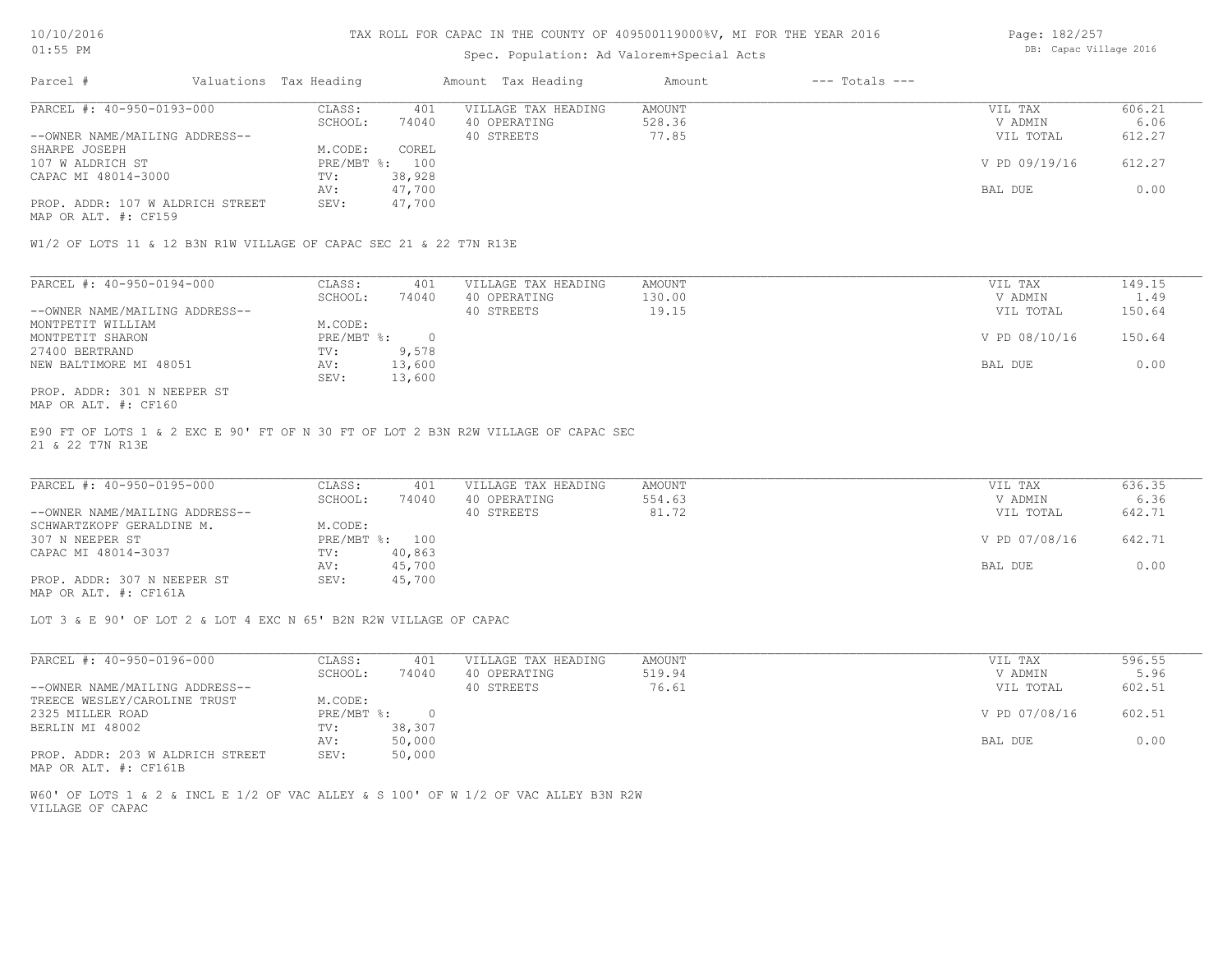## Spec. Population: Ad Valorem+Special Acts

| Page: 182/257          |  |
|------------------------|--|
| DB: Capac Village 2016 |  |

| Parcel #                         | Valuations Tax Heading |        | Amount Tax Heading  | Amount | $---$ Totals $---$ |               |        |
|----------------------------------|------------------------|--------|---------------------|--------|--------------------|---------------|--------|
| PARCEL #: 40-950-0193-000        | CLASS:                 | 401    | VILLAGE TAX HEADING | AMOUNT |                    | VIL TAX       | 606.21 |
|                                  | SCHOOL:                | 74040  | 40 OPERATING        | 528.36 |                    | V ADMIN       | 6.06   |
| --OWNER NAME/MAILING ADDRESS--   |                        |        | 40 STREETS          | 77.85  |                    | VIL TOTAL     | 612.27 |
| SHARPE JOSEPH                    | M.CODE:                | COREL  |                     |        |                    |               |        |
| 107 W ALDRICH ST                 | PRE/MBT %: 100         |        |                     |        |                    | V PD 09/19/16 | 612.27 |
| CAPAC MI 48014-3000              | TV:                    | 38,928 |                     |        |                    |               |        |
|                                  | AV:                    | 47,700 |                     |        |                    | BAL DUE       | 0.00   |
| PROP. ADDR: 107 W ALDRICH STREET | SEV:                   | 47,700 |                     |        |                    |               |        |
| MAP OR ALT. #: CF159             |                        |        |                     |        |                    |               |        |

W1/2 OF LOTS 11 & 12 B3N R1W VILLAGE OF CAPAC SEC 21 & 22 T7N R13E

| PARCEL #: 40-950-0194-000      | CLASS:     | 401    | VILLAGE TAX HEADING | AMOUNT | VIL TAX       | 149.15 |
|--------------------------------|------------|--------|---------------------|--------|---------------|--------|
|                                | SCHOOL:    | 74040  | 40 OPERATING        | 130.00 | V ADMIN       | 1.49   |
| --OWNER NAME/MAILING ADDRESS-- |            |        | 40 STREETS          | 19.15  | VIL TOTAL     | 150.64 |
| MONTPETIT WILLIAM              | M.CODE:    |        |                     |        |               |        |
| MONTPETIT SHARON               | PRE/MBT %: |        |                     |        | V PD 08/10/16 | 150.64 |
| 27400 BERTRAND                 | TV:        | 9,578  |                     |        |               |        |
| NEW BALTIMORE MI 48051         | AV:        | 13,600 |                     |        | BAL DUE       | 0.00   |
|                                | SEV:       | 13,600 |                     |        |               |        |
| PROP. ADDR: 301 N NEEPER ST    |            |        |                     |        |               |        |

MAP OR ALT. #: CF160

21 & 22 T7N R13E E90 FT OF LOTS 1 & 2 EXC E 90' FT OF N 30 FT OF LOT 2 B3N R2W VILLAGE OF CAPAC SEC

| PARCEL #: 40-950-0195-000      | CLASS:  | 401            | VILLAGE TAX HEADING | AMOUNT | VIL TAX       | 636.35 |
|--------------------------------|---------|----------------|---------------------|--------|---------------|--------|
|                                | SCHOOL: | 74040          | 40 OPERATING        | 554.63 | V ADMIN       | 6.36   |
| --OWNER NAME/MAILING ADDRESS-- |         |                | 40 STREETS          | 81.72  | VIL TOTAL     | 642.71 |
| SCHWARTZKOPF GERALDINE M.      | M.CODE: |                |                     |        |               |        |
| 307 N NEEPER ST                |         | PRE/MBT %: 100 |                     |        | V PD 07/08/16 | 642.71 |
| CAPAC MI 48014-3037            | TV:     | 40,863         |                     |        |               |        |
|                                | AV:     | 45,700         |                     |        | BAL DUE       | 0.00   |
| PROP. ADDR: 307 N NEEPER ST    | SEV:    | 45,700         |                     |        |               |        |
|                                |         |                |                     |        |               |        |

MAP OR ALT. #: CF161A

LOT 3 & E 90' OF LOT 2 & LOT 4 EXC N 65' B2N R2W VILLAGE OF CAPAC

| PARCEL #: 40-950-0196-000        | CLASS:     | 401    | VILLAGE TAX HEADING | AMOUNT | VIL TAX       | 596.55 |
|----------------------------------|------------|--------|---------------------|--------|---------------|--------|
|                                  | SCHOOL:    | 74040  | 40 OPERATING        | 519.94 | V ADMIN       | 5.96   |
| --OWNER NAME/MAILING ADDRESS--   |            |        | 40 STREETS          | 76.61  | VIL TOTAL     | 602.51 |
| TREECE WESLEY/CAROLINE TRUST     | M.CODE:    |        |                     |        |               |        |
| 2325 MILLER ROAD                 | PRE/MBT %: |        |                     |        | V PD 07/08/16 | 602.51 |
| BERLIN MI 48002                  | TV:        | 38,307 |                     |        |               |        |
|                                  | AV:        | 50,000 |                     |        | BAL DUE       | 0.00   |
| PROP. ADDR: 203 W ALDRICH STREET | SEV:       | 50,000 |                     |        |               |        |

MAP OR ALT. #: CF161B

VILLAGE OF CAPAC W60' OF LOTS 1 & 2 & INCL E 1/2 OF VAC ALLEY & S 100' OF W 1/2 OF VAC ALLEY B3N R2W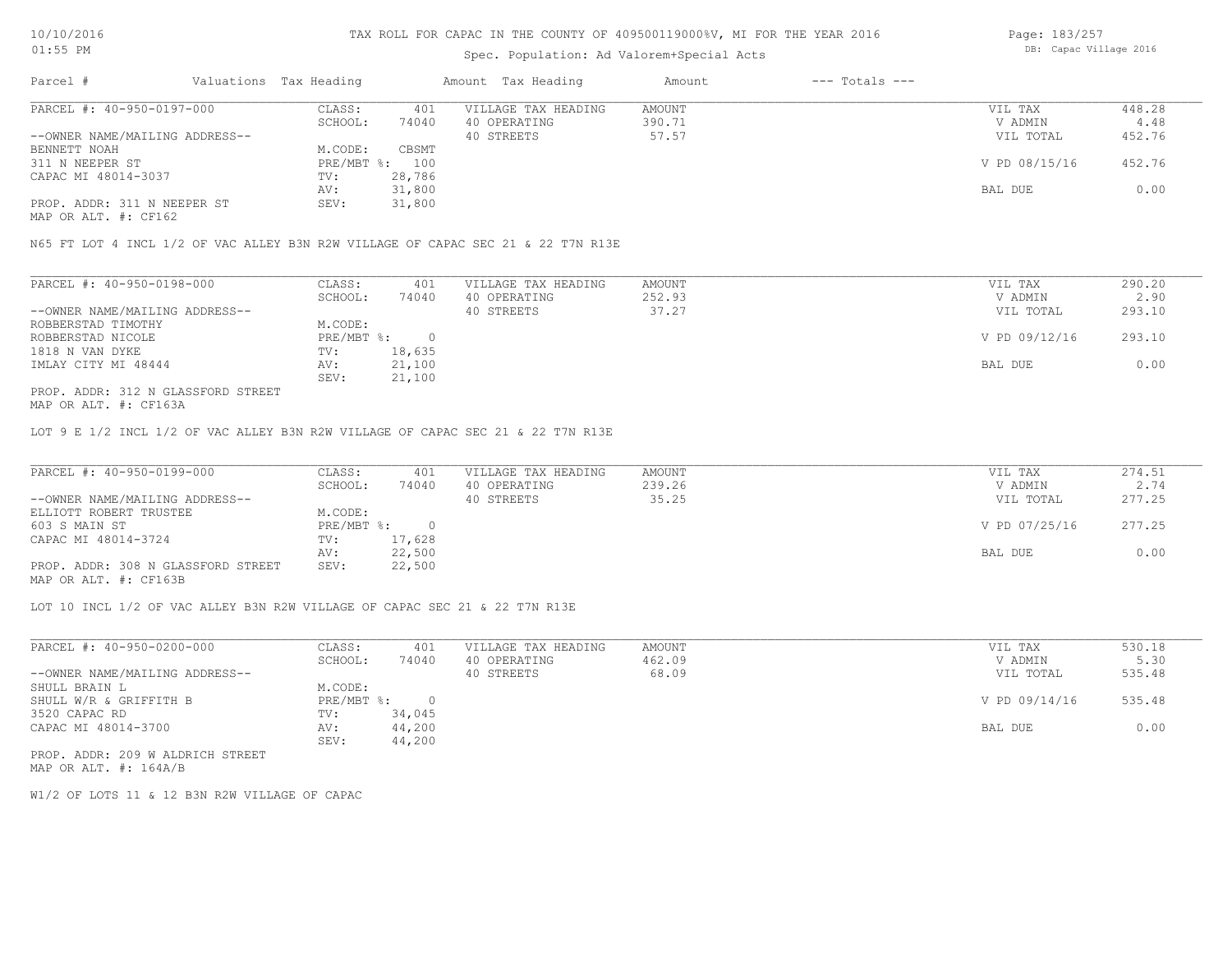## Spec. Population: Ad Valorem+Special Acts

| Page: 183/257 |                        |  |
|---------------|------------------------|--|
|               | DB: Capac Village 2016 |  |

| Parcel #                       | Valuations Tax Heading |                | Amount Tax Heading  | Amount | $---$ Totals $---$ |               |        |
|--------------------------------|------------------------|----------------|---------------------|--------|--------------------|---------------|--------|
| PARCEL #: 40-950-0197-000      | CLASS:                 | 401            | VILLAGE TAX HEADING | AMOUNT |                    | VIL TAX       | 448.28 |
|                                | SCHOOL:                | 74040          | 40 OPERATING        | 390.71 |                    | V ADMIN       | 4.48   |
| --OWNER NAME/MAILING ADDRESS-- |                        |                | 40 STREETS          | 57.57  |                    | VIL TOTAL     | 452.76 |
| BENNETT NOAH                   | M.CODE:                | CBSMT          |                     |        |                    |               |        |
| 311 N NEEPER ST                |                        | PRE/MBT %: 100 |                     |        |                    | V PD 08/15/16 | 452.76 |
| CAPAC MI 48014-3037            | TV:                    | 28,786         |                     |        |                    |               |        |
|                                | AV:                    | 31,800         |                     |        |                    | BAL DUE       | 0.00   |
| PROP. ADDR: 311 N NEEPER ST    | SEV:                   | 31,800         |                     |        |                    |               |        |
|                                |                        |                |                     |        |                    |               |        |

MAP OR ALT. #: CF162

N65 FT LOT 4 INCL 1/2 OF VAC ALLEY B3N R2W VILLAGE OF CAPAC SEC 21 & 22 T7N R13E

| PARCEL #: 40-950-0198-000          | CLASS:     | 401    | VILLAGE TAX HEADING | AMOUNT | VIL TAX       | 290.20 |
|------------------------------------|------------|--------|---------------------|--------|---------------|--------|
|                                    | SCHOOL:    | 74040  | 40 OPERATING        | 252.93 | V ADMIN       | 2.90   |
| --OWNER NAME/MAILING ADDRESS--     |            |        | 40 STREETS          | 37.27  | VIL TOTAL     | 293.10 |
| ROBBERSTAD TIMOTHY                 | M.CODE:    |        |                     |        |               |        |
| ROBBERSTAD NICOLE                  | PRE/MBT %: |        |                     |        | V PD 09/12/16 | 293.10 |
| 1818 N VAN DYKE                    | TV:        | 18,635 |                     |        |               |        |
| IMLAY CITY MI 48444                | AV:        | 21,100 |                     |        | BAL DUE       | 0.00   |
|                                    | SEV:       | 21,100 |                     |        |               |        |
| PROP. ADDR: 312 N GLASSFORD STREET |            |        |                     |        |               |        |

MAP OR ALT. #: CF163A

LOT 9 E 1/2 INCL 1/2 OF VAC ALLEY B3N R2W VILLAGE OF CAPAC SEC 21 & 22 T7N R13E

| PARCEL #: 40-950-0199-000          | CLASS:       | 401    | VILLAGE TAX HEADING | AMOUNT | VIL TAX       | 274.51 |
|------------------------------------|--------------|--------|---------------------|--------|---------------|--------|
|                                    | SCHOOL:      | 74040  | 40 OPERATING        | 239.26 | V ADMIN       | 2.74   |
| --OWNER NAME/MAILING ADDRESS--     |              |        | 40 STREETS          | 35.25  | VIL TOTAL     | 277.25 |
| ELLIOTT ROBERT TRUSTEE             | M.CODE:      |        |                     |        |               |        |
| 603 S MAIN ST                      | $PRE/MBT$ %: |        |                     |        | V PD 07/25/16 | 277.25 |
| CAPAC MI 48014-3724                | TV:          | 17,628 |                     |        |               |        |
|                                    | AV:          | 22,500 |                     |        | BAL DUE       | 0.00   |
| PROP. ADDR: 308 N GLASSFORD STREET | SEV:         | 22,500 |                     |        |               |        |
| MAP OR ALT. #: CF163B              |              |        |                     |        |               |        |

LOT 10 INCL 1/2 OF VAC ALLEY B3N R2W VILLAGE OF CAPAC SEC 21 & 22 T7N R13E

| PARCEL #: 40-950-0200-000        | CLASS:     | 401    | VILLAGE TAX HEADING | AMOUNT | VIL TAX       | 530.18 |
|----------------------------------|------------|--------|---------------------|--------|---------------|--------|
|                                  | SCHOOL:    | 74040  | 40 OPERATING        | 462.09 | V ADMIN       | 5.30   |
| --OWNER NAME/MAILING ADDRESS--   |            |        | 40 STREETS          | 68.09  | VIL TOTAL     | 535.48 |
| SHULL BRAIN L                    | M.CODE:    |        |                     |        |               |        |
| SHULL W/R & GRIFFITH B           | PRE/MBT %: |        |                     |        | V PD 09/14/16 | 535.48 |
| 3520 CAPAC RD                    | TV:        | 34,045 |                     |        |               |        |
| CAPAC MI 48014-3700              | AV:        | 44,200 |                     |        | BAL DUE       | 0.00   |
|                                  | SEV:       | 44,200 |                     |        |               |        |
| PROP. ADDR: 209 W ALDRICH STREET |            |        |                     |        |               |        |

MAP OR ALT. #: 164A/B

W1/2 OF LOTS 11 & 12 B3N R2W VILLAGE OF CAPAC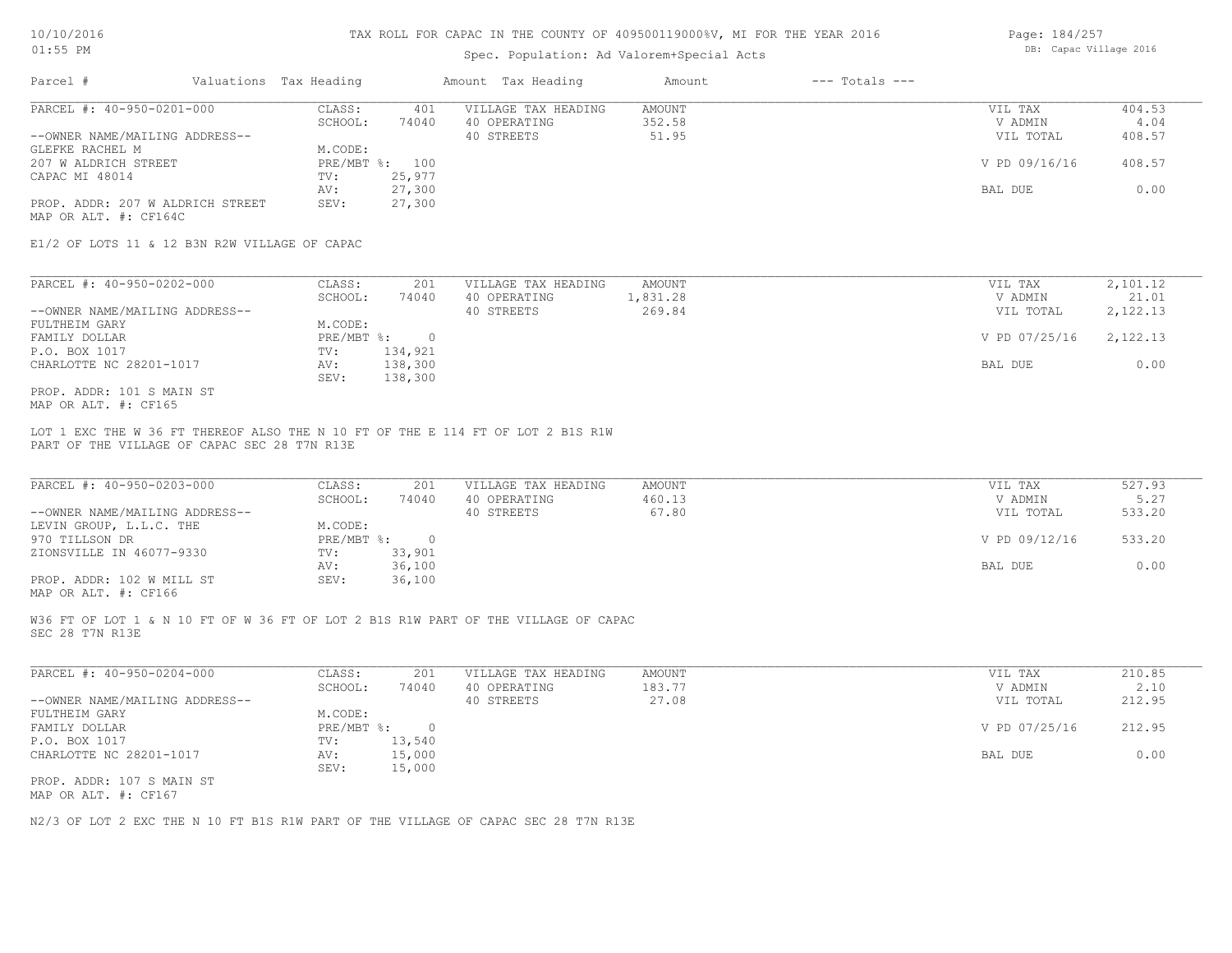### Spec. Population: Ad Valorem+Special Acts

| Page: 184/257          |  |
|------------------------|--|
| DB: Capac Village 2016 |  |

| Parcel #                         | Valuations Tax Heading |        | Amount Tax Heading  | Amount | $---$ Totals $---$ |               |        |
|----------------------------------|------------------------|--------|---------------------|--------|--------------------|---------------|--------|
| PARCEL #: 40-950-0201-000        | CLASS:                 | 401    | VILLAGE TAX HEADING | AMOUNT |                    | VIL TAX       | 404.53 |
|                                  | SCHOOL:                | 74040  | 40 OPERATING        | 352.58 |                    | V ADMIN       | 4.04   |
| --OWNER NAME/MAILING ADDRESS--   |                        |        | 40 STREETS          | 51.95  |                    | VIL TOTAL     | 408.57 |
| GLEFKE RACHEL M                  | M.CODE:                |        |                     |        |                    |               |        |
| 207 W ALDRICH STREET             | PRE/MBT %: 100         |        |                     |        |                    | V PD 09/16/16 | 408.57 |
| CAPAC MI 48014                   | TV:                    | 25,977 |                     |        |                    |               |        |
|                                  | AV:                    | 27,300 |                     |        |                    | BAL DUE       | 0.00   |
| PROP. ADDR: 207 W ALDRICH STREET | SEV:                   | 27,300 |                     |        |                    |               |        |
| MAP OR ALT. #: CF164C            |                        |        |                     |        |                    |               |        |

E1/2 OF LOTS 11 & 12 B3N R2W VILLAGE OF CAPAC

| PARCEL #: 40-950-0202-000      | CLASS:     | 201     | VILLAGE TAX HEADING | AMOUNT   | VIL TAX       | 2,101.12 |
|--------------------------------|------------|---------|---------------------|----------|---------------|----------|
|                                | SCHOOL:    | 74040   | 40 OPERATING        | 1,831.28 | V ADMIN       | 21.01    |
| --OWNER NAME/MAILING ADDRESS-- |            |         | 40 STREETS          | 269.84   | VIL TOTAL     | 2,122.13 |
| FULTHEIM GARY                  | M.CODE:    |         |                     |          |               |          |
| FAMILY DOLLAR                  | PRE/MBT %: |         |                     |          | V PD 07/25/16 | 2,122.13 |
| P.O. BOX 1017                  | TV:        | 134,921 |                     |          |               |          |
| CHARLOTTE NC 28201-1017        | AV:        | 138,300 |                     |          | BAL DUE       | 0.00     |
|                                | SEV:       | 138,300 |                     |          |               |          |
| PROP. ADDR: 101 S MAIN ST      |            |         |                     |          |               |          |

MAP OR ALT. #: CF165

PART OF THE VILLAGE OF CAPAC SEC 28 T7N R13E LOT 1 EXC THE W 36 FT THEREOF ALSO THE N 10 FT OF THE E 114 FT OF LOT 2 B1S R1W

| PARCEL #: 40-950-0203-000      | CLASS:     | 201    | VILLAGE TAX HEADING | AMOUNT | VIL TAX       | 527.93 |
|--------------------------------|------------|--------|---------------------|--------|---------------|--------|
|                                | SCHOOL:    | 74040  | 40 OPERATING        | 460.13 | V ADMIN       | 5.27   |
| --OWNER NAME/MAILING ADDRESS-- |            |        | 40 STREETS          | 67.80  | VIL TOTAL     | 533.20 |
| LEVIN GROUP, L.L.C. THE        | M.CODE:    |        |                     |        |               |        |
| 970 TILLSON DR                 | PRE/MBT %: |        |                     |        | V PD 09/12/16 | 533.20 |
| ZIONSVILLE IN 46077-9330       | TV:        | 33,901 |                     |        |               |        |
|                                | AV:        | 36,100 |                     |        | BAL DUE       | 0.00   |
| PROP. ADDR: 102 W MILL ST      | SEV:       | 36,100 |                     |        |               |        |
|                                |            |        |                     |        |               |        |

MAP OR ALT. #: CF166

SEC 28 T7N R13E W36 FT OF LOT 1 & N 10 FT OF W 36 FT OF LOT 2 B1S R1W PART OF THE VILLAGE OF CAPAC

| PARCEL #: 40-950-0204-000      | CLASS:     | 201    | VILLAGE TAX HEADING | AMOUNT | VIL TAX       | 210.85 |
|--------------------------------|------------|--------|---------------------|--------|---------------|--------|
|                                | SCHOOL:    | 74040  | 40 OPERATING        | 183.77 | V ADMIN       | 2.10   |
| --OWNER NAME/MAILING ADDRESS-- |            |        | 40 STREETS          | 27.08  | VIL TOTAL     | 212.95 |
| FULTHEIM GARY                  | M.CODE:    |        |                     |        |               |        |
| FAMILY DOLLAR                  | PRE/MBT %: |        |                     |        | V PD 07/25/16 | 212.95 |
| P.O. BOX 1017                  | TV:        | 13,540 |                     |        |               |        |
| CHARLOTTE NC 28201-1017        | AV:        | 15,000 |                     |        | BAL DUE       | 0.00   |
|                                | SEV:       | 15,000 |                     |        |               |        |
| PROP. ADDR: 107 S MAIN ST      |            |        |                     |        |               |        |
|                                |            |        |                     |        |               |        |

MAP OR ALT. #: CF167

N2/3 OF LOT 2 EXC THE N 10 FT B1S R1W PART OF THE VILLAGE OF CAPAC SEC 28 T7N R13E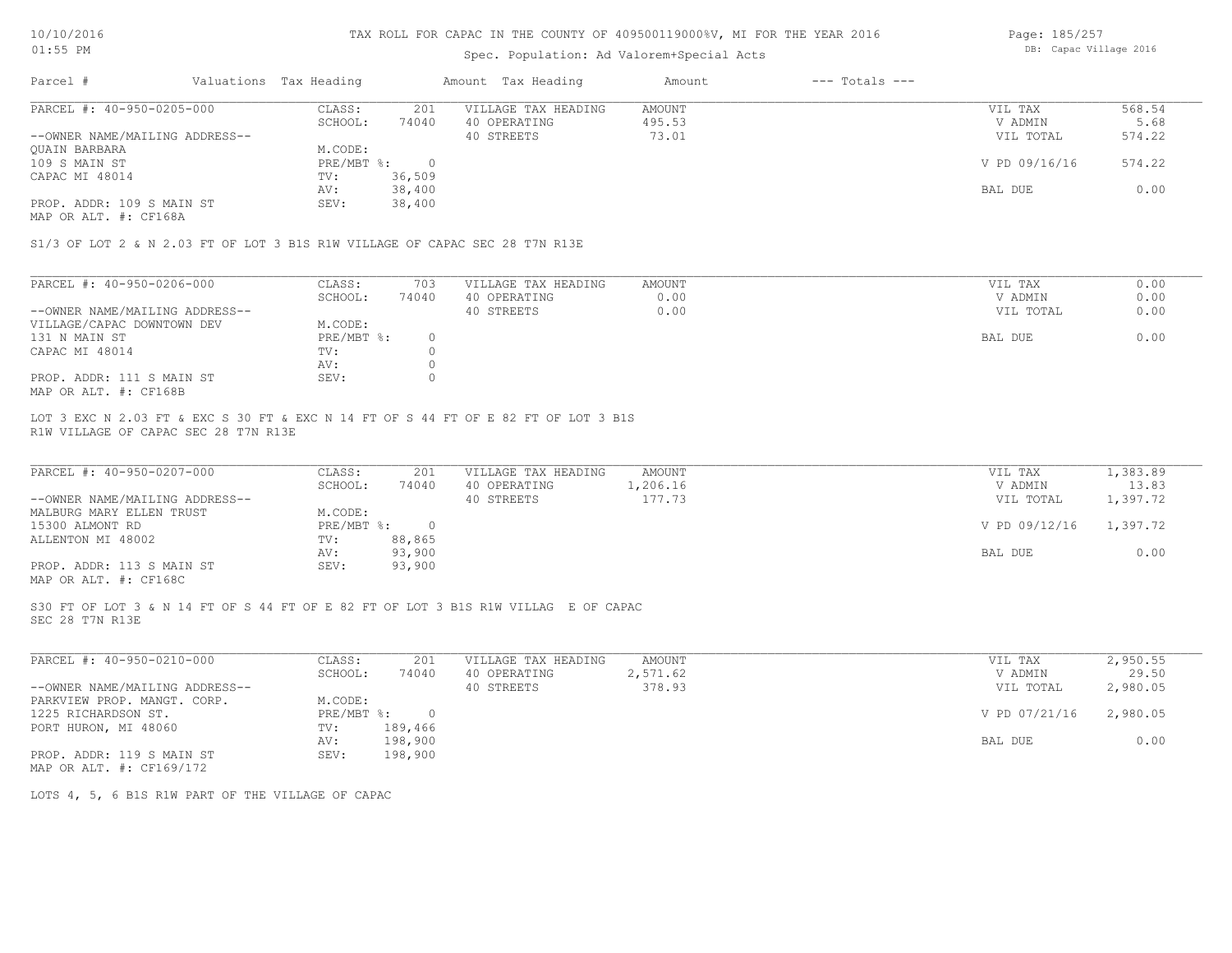## Spec. Population: Ad Valorem+Special Acts

Page: 185/257 DB: Capac Village 2016

| Parcel #                       | Valuations Tax Heading |        | Amount Tax Heading  | Amount | $---$ Totals $---$ |               |        |
|--------------------------------|------------------------|--------|---------------------|--------|--------------------|---------------|--------|
| PARCEL #: 40-950-0205-000      | CLASS:                 | 201    | VILLAGE TAX HEADING | AMOUNT |                    | VIL TAX       | 568.54 |
|                                | SCHOOL:                | 74040  | 40 OPERATING        | 495.53 |                    | V ADMIN       | 5.68   |
| --OWNER NAME/MAILING ADDRESS-- |                        |        | 40 STREETS          | 73.01  |                    | VIL TOTAL     | 574.22 |
| OUAIN BARBARA                  | M.CODE:                |        |                     |        |                    |               |        |
| 109 S MAIN ST                  | PRE/MBT %:             |        |                     |        |                    | V PD 09/16/16 | 574.22 |
| CAPAC MI 48014                 | TV:                    | 36,509 |                     |        |                    |               |        |
|                                | AV:                    | 38,400 |                     |        |                    | BAL DUE       | 0.00   |
| PROP. ADDR: 109 S MAIN ST      | SEV:                   | 38,400 |                     |        |                    |               |        |
|                                |                        |        |                     |        |                    |               |        |

MAP OR ALT. #: CF168A

S1/3 OF LOT 2 & N 2.03 FT OF LOT 3 B1S R1W VILLAGE OF CAPAC SEC 28 T7N R13E

| PARCEL #: 40-950-0206-000                             | CLASS:     | 703   | VILLAGE TAX HEADING | AMOUNT | VIL TAX   | 0.00 |
|-------------------------------------------------------|------------|-------|---------------------|--------|-----------|------|
|                                                       | SCHOOL:    | 74040 | 40 OPERATING        | 0.00   | V ADMIN   | 0.00 |
| --OWNER NAME/MAILING ADDRESS--                        |            |       | 40 STREETS          | 0.00   | VIL TOTAL | 0.00 |
| VILLAGE/CAPAC DOWNTOWN DEV                            | M.CODE:    |       |                     |        |           |      |
| 131 N MAIN ST                                         | PRE/MBT %: |       |                     |        | BAL DUE   | 0.00 |
| CAPAC MI 48014                                        | TV:        |       |                     |        |           |      |
|                                                       | AV:        |       |                     |        |           |      |
| PROP. ADDR: 111 S MAIN ST                             | SEV:       |       |                     |        |           |      |
| $\cdots$ $\cdots$ $\cdots$ $\cdots$ $\cdots$ $\cdots$ |            |       |                     |        |           |      |

MAP OR ALT. #: CF168B

R1W VILLAGE OF CAPAC SEC 28 T7N R13E LOT 3 EXC N 2.03 FT & EXC S 30 FT & EXC N 14 FT OF S 44 FT OF E 82 FT OF LOT 3 B1S

| PARCEL #: 40-950-0207-000                             | CLASS:     | 201    | VILLAGE TAX HEADING | AMOUNT   | VIL TAX       | 1,383.89 |
|-------------------------------------------------------|------------|--------|---------------------|----------|---------------|----------|
|                                                       | SCHOOL:    | 74040  | 40 OPERATING        | 1,206.16 | V ADMIN       | 13.83    |
| --OWNER NAME/MAILING ADDRESS--                        |            |        | 40 STREETS          | 177.73   | VIL TOTAL     | 1,397.72 |
| MALBURG MARY ELLEN TRUST                              | M.CODE:    |        |                     |          |               |          |
| 15300 ALMONT RD                                       | PRE/MBT %: |        |                     |          | V PD 09/12/16 | 1,397.72 |
| ALLENTON MI 48002                                     | TV:        | 88,865 |                     |          |               |          |
|                                                       | AV:        | 93,900 |                     |          | BAL DUE       | 0.00     |
| PROP. ADDR: 113 S MAIN ST                             | SEV:       | 93,900 |                     |          |               |          |
| $\cdots$ $\cdots$ $\cdots$ $\cdots$ $\cdots$ $\cdots$ |            |        |                     |          |               |          |

MAP OR ALT. #: CF168C

SEC 28 T7N R13E S30 FT OF LOT 3 & N 14 FT OF S 44 FT OF E 82 FT OF LOT 3 B1S R1W VILLAG E OF CAPAC

| PARCEL #: 40-950-0210-000      | CLASS:     | 201     | VILLAGE TAX HEADING | AMOUNT   | VIL TAX       | 2,950.55 |
|--------------------------------|------------|---------|---------------------|----------|---------------|----------|
|                                | SCHOOL:    | 74040   | 40 OPERATING        | 2,571.62 | V ADMIN       | 29.50    |
| --OWNER NAME/MAILING ADDRESS-- |            |         | 40 STREETS          | 378.93   | VIL TOTAL     | 2,980.05 |
| PARKVIEW PROP. MANGT. CORP.    | M.CODE:    |         |                     |          |               |          |
| 1225 RICHARDSON ST.            | PRE/MBT %: |         |                     |          | V PD 07/21/16 | 2,980.05 |
| PORT HURON, MI 48060           | TV:        | 189,466 |                     |          |               |          |
|                                | AV:        | 198,900 |                     |          | BAL DUE       | 0.00     |
| PROP. ADDR: 119 S MAIN ST      | SEV:       | 198,900 |                     |          |               |          |
| MAP OR ALT. #: CF169/172       |            |         |                     |          |               |          |

LOTS 4, 5, 6 B1S R1W PART OF THE VILLAGE OF CAPAC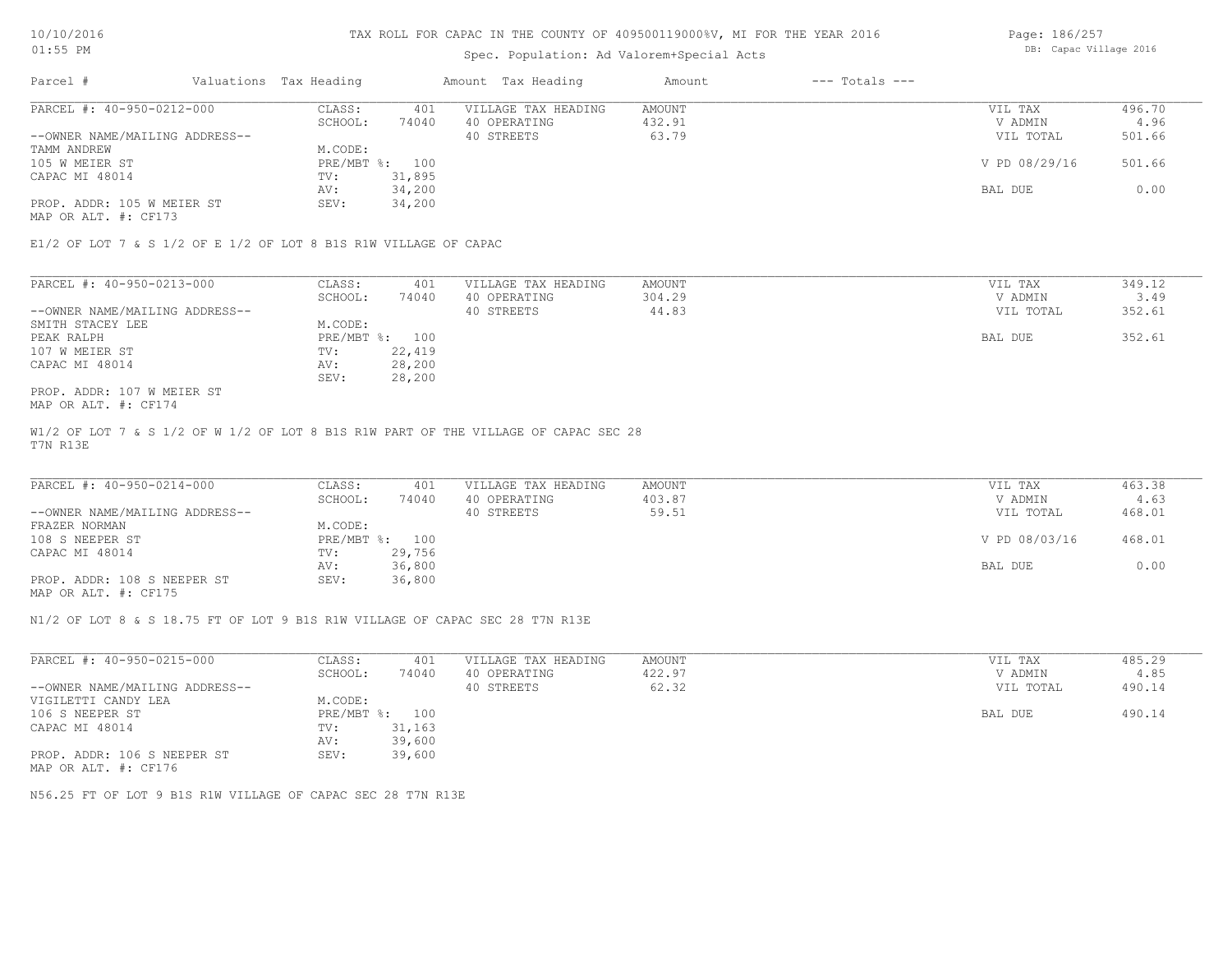## Spec. Population: Ad Valorem+Special Acts

Page: 186/257 DB: Capac Village 2016

| Parcel #                                     | Valuations Tax Heading |        | Amount Tax Heading  | Amount | $---$ Totals $---$ |               |        |
|----------------------------------------------|------------------------|--------|---------------------|--------|--------------------|---------------|--------|
| PARCEL #: 40-950-0212-000                    | CLASS:                 | 401    | VILLAGE TAX HEADING | AMOUNT |                    | VIL TAX       | 496.70 |
|                                              | SCHOOL:                | 74040  | 40 OPERATING        | 432.91 |                    | V ADMIN       | 4.96   |
| --OWNER NAME/MAILING ADDRESS--               |                        |        | 40 STREETS          | 63.79  |                    | VIL TOTAL     | 501.66 |
| TAMM ANDREW                                  | M.CODE:                |        |                     |        |                    |               |        |
| 105 W MEIER ST                               | PRE/MBT %: 100         |        |                     |        |                    | V PD 08/29/16 | 501.66 |
| CAPAC MI 48014                               | TV:                    | 31,895 |                     |        |                    |               |        |
|                                              | AV:                    | 34,200 |                     |        |                    | BAL DUE       | 0.00   |
| PROP. ADDR: 105 W MEIER ST                   | SEV:                   | 34,200 |                     |        |                    |               |        |
| $\cdots$ $\cdots$ $\cdots$ $\cdots$ $\cdots$ |                        |        |                     |        |                    |               |        |

MAP OR ALT. #: CF173

E1/2 OF LOT 7 & S 1/2 OF E 1/2 OF LOT 8 B1S R1W VILLAGE OF CAPAC

| PARCEL #: 40-950-0213-000      | CLASS:  | 401            | VILLAGE TAX HEADING | AMOUNT | VIL TAX   | 349.12 |
|--------------------------------|---------|----------------|---------------------|--------|-----------|--------|
|                                | SCHOOL: | 74040          | 40 OPERATING        | 304.29 | V ADMIN   | 3.49   |
| --OWNER NAME/MAILING ADDRESS-- |         |                | 40 STREETS          | 44.83  | VIL TOTAL | 352.61 |
| SMITH STACEY LEE               | M.CODE: |                |                     |        |           |        |
| PEAK RALPH                     |         | PRE/MBT %: 100 |                     |        | BAL DUE   | 352.61 |
| 107 W MEIER ST                 | TV:     | 22,419         |                     |        |           |        |
| CAPAC MI 48014                 | AV:     | 28,200         |                     |        |           |        |
|                                | SEV:    | 28,200         |                     |        |           |        |
| PROP. ADDR: 107 W MEIER ST     |         |                |                     |        |           |        |

MAP OR ALT. #: CF174

T7N R13E W1/2 OF LOT 7 & S 1/2 OF W 1/2 OF LOT 8 B1S R1W PART OF THE VILLAGE OF CAPAC SEC 28

| PARCEL #: 40-950-0214-000      | CLASS:  | 401            | VILLAGE TAX HEADING | AMOUNT | VIL TAX       | 463.38 |
|--------------------------------|---------|----------------|---------------------|--------|---------------|--------|
|                                | SCHOOL: | 74040          | 40 OPERATING        | 403.87 | V ADMIN       | 4.63   |
| --OWNER NAME/MAILING ADDRESS-- |         |                | 40 STREETS          | 59.51  | VIL TOTAL     | 468.01 |
| FRAZER NORMAN                  | M.CODE: |                |                     |        |               |        |
| 108 S NEEPER ST                |         | PRE/MBT %: 100 |                     |        | V PD 08/03/16 | 468.01 |
| CAPAC MI 48014                 | TV:     | 29,756         |                     |        |               |        |
|                                | AV:     | 36,800         |                     |        | BAL DUE       | 0.00   |
| PROP. ADDR: 108 S NEEPER ST    | SEV:    | 36,800         |                     |        |               |        |
|                                |         |                |                     |        |               |        |

MAP OR ALT. #: CF175

N1/2 OF LOT 8 & S 18.75 FT OF LOT 9 B1S R1W VILLAGE OF CAPAC SEC 28 T7N R13E

| PARCEL #: 40-950-0215-000      | CLASS:       | 401    | VILLAGE TAX HEADING | AMOUNT | 485.29<br>VIL TAX   |
|--------------------------------|--------------|--------|---------------------|--------|---------------------|
|                                | SCHOOL:      | 74040  | 40 OPERATING        | 422.97 | 4.85<br>V ADMIN     |
| --OWNER NAME/MAILING ADDRESS-- |              |        | 40 STREETS          | 62.32  | 490.14<br>VIL TOTAL |
| VIGILETTI CANDY LEA            | M.CODE:      |        |                     |        |                     |
| 106 S NEEPER ST                | $PRE/MBT$ %: | 100    |                     |        | 490.14<br>BAL DUE   |
| CAPAC MI 48014                 | TV:          | 31,163 |                     |        |                     |
|                                | AV:          | 39,600 |                     |        |                     |
| PROP. ADDR: 106 S NEEPER ST    | SEV:         | 39,600 |                     |        |                     |
| MAP OR ALT. #: CF176           |              |        |                     |        |                     |

N56.25 FT OF LOT 9 B1S R1W VILLAGE OF CAPAC SEC 28 T7N R13E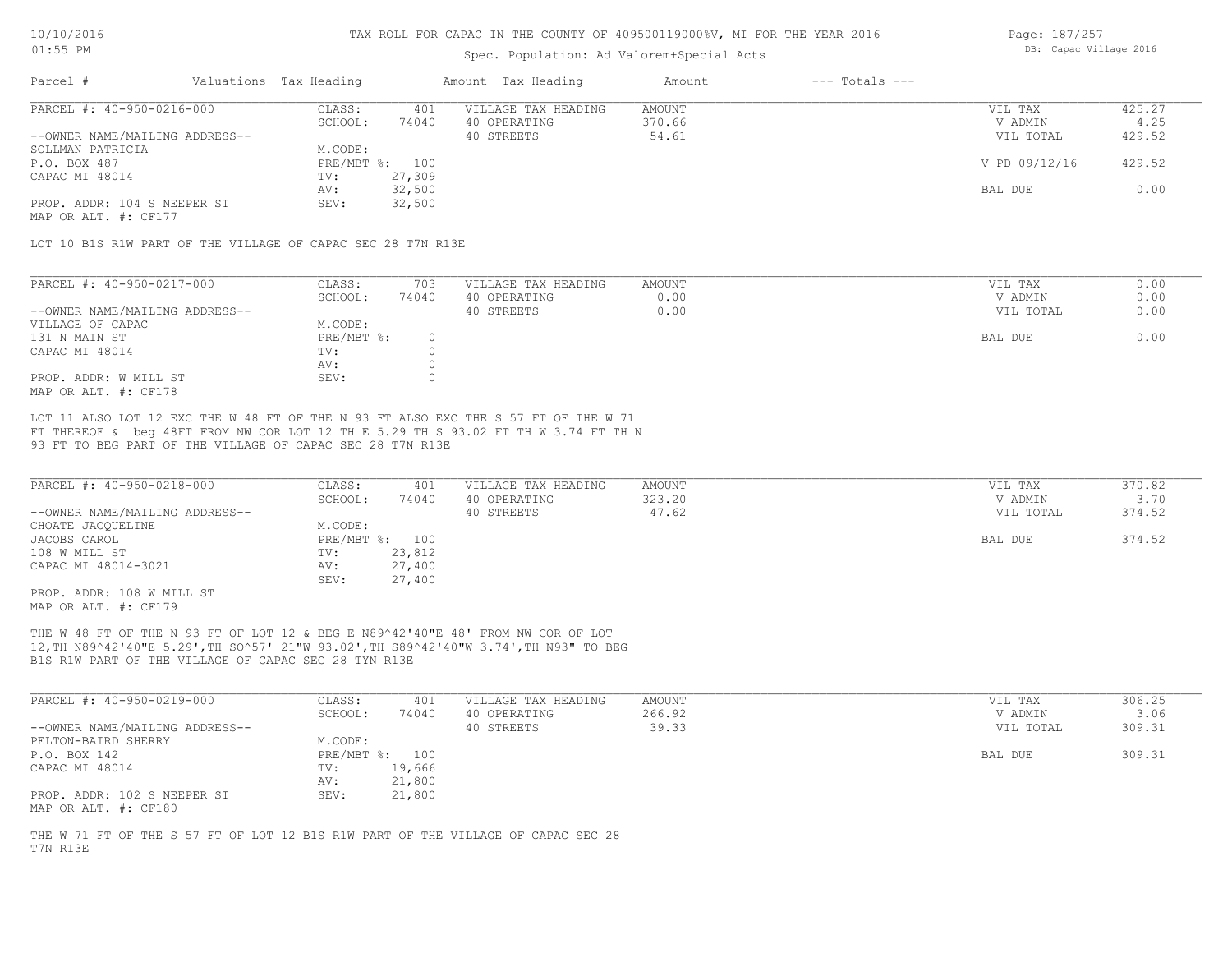### Spec. Population: Ad Valorem+Special Acts

Page: 187/257 DB: Capac Village 2016

| Parcel #                       | Valuations Tax Heading |        | Amount Tax Heading  | Amount | $---$ Totals $---$ |               |        |
|--------------------------------|------------------------|--------|---------------------|--------|--------------------|---------------|--------|
| PARCEL #: 40-950-0216-000      | CLASS:                 | 401    | VILLAGE TAX HEADING | AMOUNT |                    | VIL TAX       | 425.27 |
|                                | SCHOOL:                | 74040  | 40 OPERATING        | 370.66 |                    | V ADMIN       | 4.25   |
| --OWNER NAME/MAILING ADDRESS-- |                        |        | 40 STREETS          | 54.61  |                    | VIL TOTAL     | 429.52 |
| SOLLMAN PATRICIA               | M.CODE:                |        |                     |        |                    |               |        |
| P.O. BOX 487                   | PRE/MBT %: 100         |        |                     |        |                    | V PD 09/12/16 | 429.52 |
| CAPAC MI 48014                 | TV:                    | 27,309 |                     |        |                    |               |        |
|                                | AV:                    | 32,500 |                     |        |                    | BAL DUE       | 0.00   |
| PROP. ADDR: 104 S NEEPER ST    | SEV:                   | 32,500 |                     |        |                    |               |        |
|                                |                        |        |                     |        |                    |               |        |

MAP OR ALT. #: CF177

LOT 10 B1S R1W PART OF THE VILLAGE OF CAPAC SEC 28 T7N R13E

| PARCEL #: 40-950-0217-000      | CLASS:     | 703   | VILLAGE TAX HEADING | AMOUNT | VIL TAX   | 0.00 |
|--------------------------------|------------|-------|---------------------|--------|-----------|------|
|                                | SCHOOL:    | 74040 | 40 OPERATING        | 0.00   | V ADMIN   | 0.00 |
| --OWNER NAME/MAILING ADDRESS-- |            |       | 40 STREETS          | 0.00   | VIL TOTAL | 0.00 |
| VILLAGE OF CAPAC               | M.CODE:    |       |                     |        |           |      |
| 131 N MAIN ST                  | PRE/MBT %: |       |                     |        | BAL DUE   | 0.00 |
| CAPAC MI 48014                 | TV:        |       |                     |        |           |      |
|                                | AV:        |       |                     |        |           |      |
| PROP. ADDR: W MILL ST          | SEV:       |       |                     |        |           |      |
| MAP OR ALT. #: CF178           |            |       |                     |        |           |      |

93 FT TO BEG PART OF THE VILLAGE OF CAPAC SEC 28 T7N R13E FT THEREOF & beg 48FT FROM NW COR LOT 12 TH E 5.29 TH S 93.02 FT TH W 3.74 FT TH N LOT 11 ALSO LOT 12 EXC THE W 48 FT OF THE N 93 FT ALSO EXC THE S 57 FT OF THE W 71

| PARCEL #: 40-950-0218-000      | CLASS:       | 401    | VILLAGE TAX HEADING | AMOUNT | VIL TAX   | 370.82 |
|--------------------------------|--------------|--------|---------------------|--------|-----------|--------|
|                                | SCHOOL:      | 74040  | 40 OPERATING        | 323.20 | V ADMIN   | 3.70   |
| --OWNER NAME/MAILING ADDRESS-- |              |        | 40 STREETS          | 47.62  | VIL TOTAL | 374.52 |
| CHOATE JACQUELINE              | M.CODE:      |        |                     |        |           |        |
| JACOBS CAROL                   | $PRE/MBT$ %: | 100    |                     |        | BAL DUE   | 374.52 |
| 108 W MILL ST                  | TV:          | 23,812 |                     |        |           |        |
| CAPAC MI 48014-3021            | AV:          | 27,400 |                     |        |           |        |
|                                | SEV:         | 27,400 |                     |        |           |        |
| PROP. ADDR: 108 W MILL ST      |              |        |                     |        |           |        |

MAP OR ALT. #: CF179

B1S R1W PART OF THE VILLAGE OF CAPAC SEC 28 TYN R13E 12,TH N89^42'40"E 5.29',TH SO^57' 21"W 93.02',TH S89^42'40"W 3.74',TH N93" TO BEG THE W 48 FT OF THE N 93 FT OF LOT 12 & BEG E N89^42'40"E 48' FROM NW COR OF LOT

| PARCEL #: 40-950-0219-000                           | CLASS:  | 401            | VILLAGE TAX HEADING | AMOUNT | VIL TAX   | 306.25 |
|-----------------------------------------------------|---------|----------------|---------------------|--------|-----------|--------|
|                                                     | SCHOOL: | 74040          | 40 OPERATING        | 266.92 | V ADMIN   | 3.06   |
| --OWNER NAME/MAILING ADDRESS--                      |         |                | 40 STREETS          | 39.33  | VIL TOTAL | 309.31 |
| PELTON-BAIRD SHERRY                                 | M.CODE: |                |                     |        |           |        |
| P.O. BOX 142                                        |         | PRE/MBT %: 100 |                     |        | BAL DUE   | 309.31 |
| CAPAC MI 48014                                      | TV:     | 19,666         |                     |        |           |        |
|                                                     | AV:     | 21,800         |                     |        |           |        |
| PROP. ADDR: 102 S NEEPER ST<br>MAP OR ALT. #: CF180 | SEV:    | 21,800         |                     |        |           |        |

T7N R13E THE W 71 FT OF THE S 57 FT OF LOT 12 B1S R1W PART OF THE VILLAGE OF CAPAC SEC 28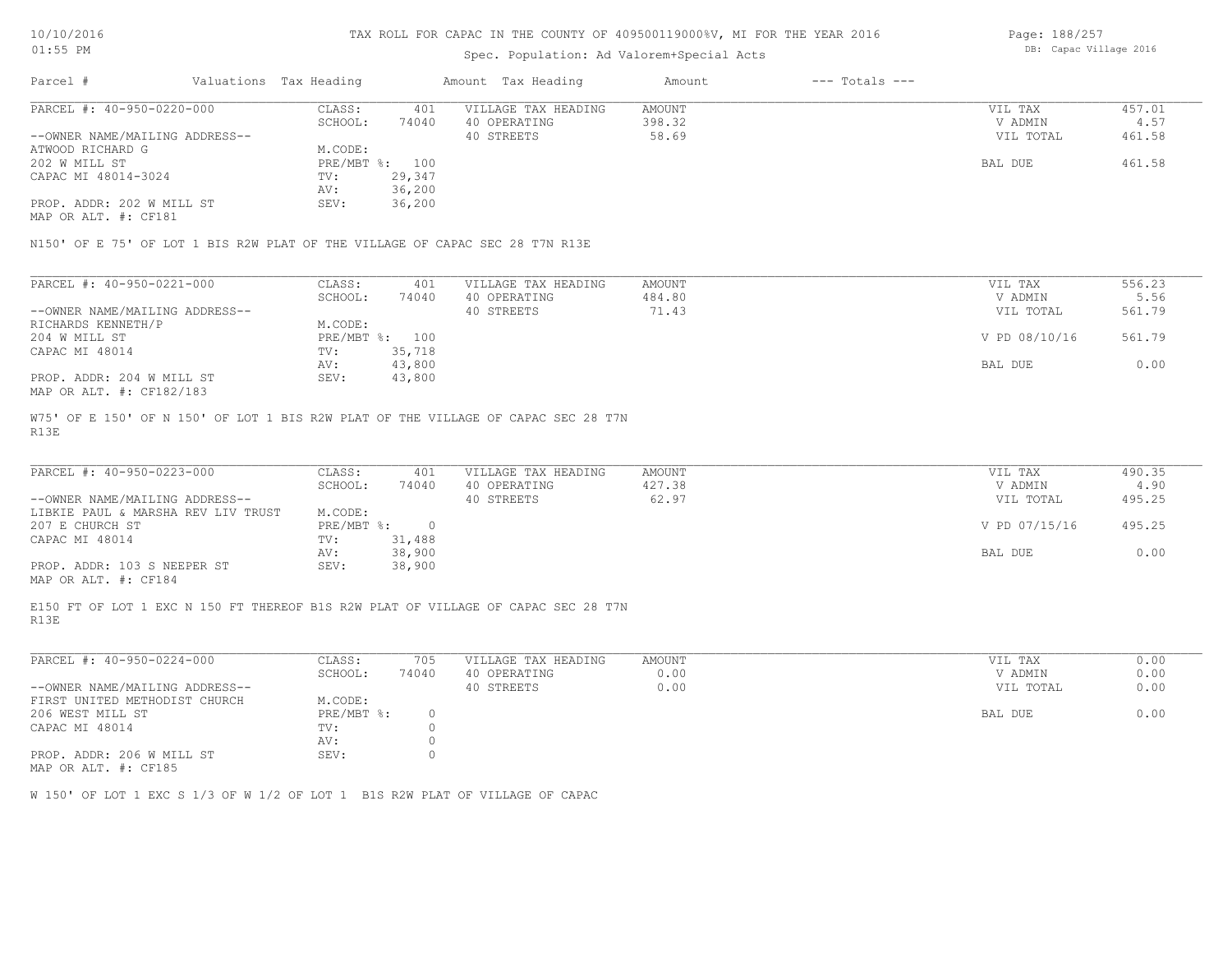### Spec. Population: Ad Valorem+Special Acts

| Page: 188/257          |  |
|------------------------|--|
| DB: Capac Village 2016 |  |

| Parcel #                       | Valuations Tax Heading |                | Amount Tax Heading  | Amount | $---$ Totals $---$ |           |        |
|--------------------------------|------------------------|----------------|---------------------|--------|--------------------|-----------|--------|
| PARCEL #: 40-950-0220-000      | CLASS:                 | 401            | VILLAGE TAX HEADING | AMOUNT |                    | VIL TAX   | 457.01 |
|                                | SCHOOL:                | 74040          | 40 OPERATING        | 398.32 |                    | V ADMIN   | 4.57   |
| --OWNER NAME/MAILING ADDRESS-- |                        |                | 40 STREETS          | 58.69  |                    | VIL TOTAL | 461.58 |
| ATWOOD RICHARD G               | M.CODE:                |                |                     |        |                    |           |        |
| 202 W MILL ST                  |                        | PRE/MBT %: 100 |                     |        |                    | BAL DUE   | 461.58 |
| CAPAC MI 48014-3024            | TV:                    | 29,347         |                     |        |                    |           |        |
|                                | AV:                    | 36,200         |                     |        |                    |           |        |
| PROP. ADDR: 202 W MILL ST      | SEV:                   | 36,200         |                     |        |                    |           |        |
|                                |                        |                |                     |        |                    |           |        |

MAP OR ALT. #: CF181

N150' OF E 75' OF LOT 1 BIS R2W PLAT OF THE VILLAGE OF CAPAC SEC 28 T7N R13E

| PARCEL #: 40-950-0221-000      | CLASS:  | 401            | VILLAGE TAX HEADING | AMOUNT | VIL TAX       | 556.23 |
|--------------------------------|---------|----------------|---------------------|--------|---------------|--------|
|                                | SCHOOL: | 74040          | 40 OPERATING        | 484.80 | V ADMIN       | 5.56   |
| --OWNER NAME/MAILING ADDRESS-- |         |                | 40 STREETS          | 71.43  | VIL TOTAL     | 561.79 |
| RICHARDS KENNETH/P             | M.CODE: |                |                     |        |               |        |
| 204 W MILL ST                  |         | PRE/MBT %: 100 |                     |        | V PD 08/10/16 | 561.79 |
| CAPAC MI 48014                 | TV:     | 35,718         |                     |        |               |        |
|                                | AV:     | 43,800         |                     |        | BAL DUE       | 0.00   |
| PROP. ADDR: 204 W MILL ST      | SEV:    | 43,800         |                     |        |               |        |
| MAP OR ALT. #: CF182/183       |         |                |                     |        |               |        |

R13E W75' OF E 150' OF N 150' OF LOT 1 BIS R2W PLAT OF THE VILLAGE OF CAPAC SEC 28 T7N

| PARCEL #: 40-950-0223-000                    | CLASS:     | 401    | VILLAGE TAX HEADING | AMOUNT | VIL TAX       | 490.35 |
|----------------------------------------------|------------|--------|---------------------|--------|---------------|--------|
|                                              | SCHOOL:    | 74040  | 40 OPERATING        | 427.38 | V ADMIN       | 4.90   |
| --OWNER NAME/MAILING ADDRESS--               |            |        | 40 STREETS          | 62.97  | VIL TOTAL     | 495.25 |
| LIBKIE PAUL & MARSHA REV LIV TRUST           | M.CODE:    |        |                     |        |               |        |
| 207 E CHURCH ST                              | PRE/MBT %: |        |                     |        | V PD 07/15/16 | 495.25 |
| CAPAC MI 48014                               | TV:        | 31,488 |                     |        |               |        |
|                                              | AV:        | 38,900 |                     |        | BAL DUE       | 0.00   |
| PROP. ADDR: 103 S NEEPER ST                  | SEV:       | 38,900 |                     |        |               |        |
| $\cdots$ $\cdots$ $\cdots$ $\cdots$ $\cdots$ |            |        |                     |        |               |        |

MAP OR ALT. #: CF184

R13E E150 FT OF LOT 1 EXC N 150 FT THEREOF B1S R2W PLAT OF VILLAGE OF CAPAC SEC 28 T7N

| PARCEL #: 40-950-0224-000      | CLASS:     | 705   | VILLAGE TAX HEADING | AMOUNT | VIL TAX<br>0.00   |
|--------------------------------|------------|-------|---------------------|--------|-------------------|
|                                | SCHOOL:    | 74040 | 40 OPERATING        | 0.00   | 0.00<br>V ADMIN   |
| --OWNER NAME/MAILING ADDRESS-- |            |       | 40 STREETS          | 0.00   | 0.00<br>VIL TOTAL |
| FIRST UNITED METHODIST CHURCH  | M.CODE:    |       |                     |        |                   |
| 206 WEST MILL ST               | PRE/MBT %: |       |                     |        | 0.00<br>BAL DUE   |
| CAPAC MI 48014                 | TV:        |       |                     |        |                   |
|                                | AV:        |       |                     |        |                   |
| PROP. ADDR: 206 W MILL ST      | SEV:       |       |                     |        |                   |
|                                |            |       |                     |        |                   |

MAP OR ALT. #: CF185

W 150' OF LOT 1 EXC S 1/3 OF W 1/2 OF LOT 1 B1S R2W PLAT OF VILLAGE OF CAPAC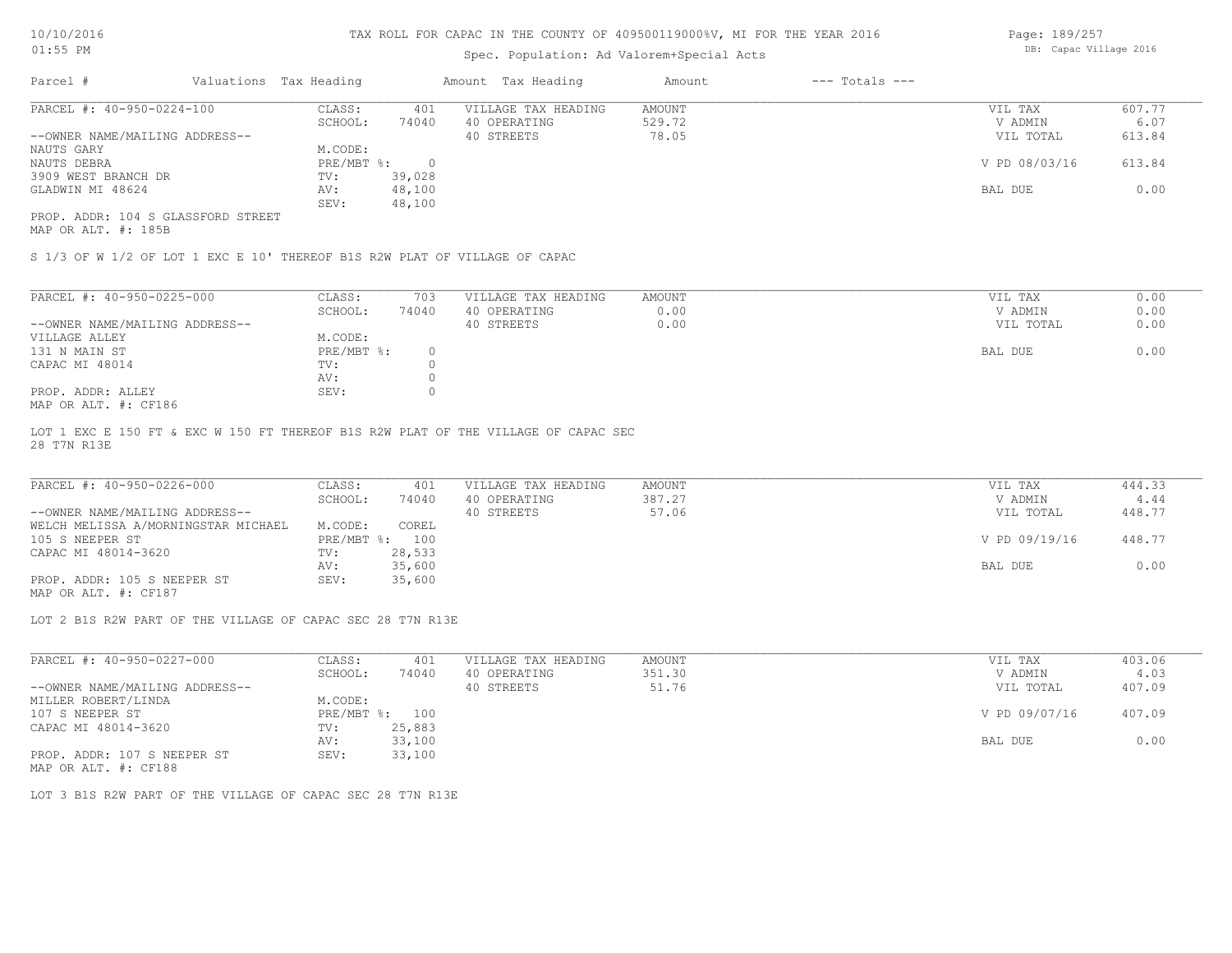## Spec. Population: Ad Valorem+Special Acts

Page: 189/257 DB: Capac Village 2016

| Parcel #                           | Valuations Tax Heading |        | Amount Tax Heading  | Amount | $---$ Totals $---$ |               |        |
|------------------------------------|------------------------|--------|---------------------|--------|--------------------|---------------|--------|
| PARCEL #: 40-950-0224-100          | CLASS:                 | 401    | VILLAGE TAX HEADING | AMOUNT |                    | VIL TAX       | 607.77 |
|                                    | SCHOOL:                | 74040  | 40 OPERATING        | 529.72 |                    | V ADMIN       | 6.07   |
| --OWNER NAME/MAILING ADDRESS--     |                        |        | 40 STREETS          | 78.05  |                    | VIL TOTAL     | 613.84 |
| NAUTS GARY                         | M.CODE:                |        |                     |        |                    |               |        |
| NAUTS DEBRA                        | PRE/MBT %:             |        |                     |        |                    | V PD 08/03/16 | 613.84 |
| 3909 WEST BRANCH DR                | TV:                    | 39,028 |                     |        |                    |               |        |
| GLADWIN MI 48624                   | AV:                    | 48,100 |                     |        |                    | BAL DUE       | 0.00   |
|                                    | SEV:                   | 48,100 |                     |        |                    |               |        |
| PROP. ADDR: 104 S GLASSFORD STREET |                        |        |                     |        |                    |               |        |

MAP OR ALT. #: 185B

S 1/3 OF W 1/2 OF LOT 1 EXC E 10' THEREOF B1S R2W PLAT OF VILLAGE OF CAPAC

| PARCEL #: 40-950-0225-000      | CLASS:     | 703   | VILLAGE TAX HEADING | AMOUNT | VIL TAX<br>0.00   |
|--------------------------------|------------|-------|---------------------|--------|-------------------|
|                                | SCHOOL:    | 74040 | 40 OPERATING        | 0.00   | 0.00<br>V ADMIN   |
| --OWNER NAME/MAILING ADDRESS-- |            |       | 40 STREETS          | 0.00   | 0.00<br>VIL TOTAL |
| VILLAGE ALLEY                  | M.CODE:    |       |                     |        |                   |
| 131 N MAIN ST                  | PRE/MBT %: |       |                     |        | 0.00<br>BAL DUE   |
| CAPAC MI 48014                 | TV:        |       |                     |        |                   |
|                                | AV:        |       |                     |        |                   |
| PROP. ADDR: ALLEY              | SEV:       |       |                     |        |                   |
| $MAD$ $CD$ $ATH$ $L$ $CD10C$   |            |       |                     |        |                   |

MAP OR ALT. #: CF186

28 T7N R13E LOT 1 EXC E 150 FT & EXC W 150 FT THEREOF B1S R2W PLAT OF THE VILLAGE OF CAPAC SEC

| PARCEL #: 40-950-0226-000           | CLASS:  | 401            | VILLAGE TAX HEADING | AMOUNT | VIL TAX       | 444.33 |
|-------------------------------------|---------|----------------|---------------------|--------|---------------|--------|
|                                     | SCHOOL: | 74040          | 40 OPERATING        | 387.27 | V ADMIN       | 4.44   |
| --OWNER NAME/MAILING ADDRESS--      |         |                | 40 STREETS          | 57.06  | VIL TOTAL     | 448.77 |
| WELCH MELISSA A/MORNINGSTAR MICHAEL | M.CODE: | COREL          |                     |        |               |        |
| 105 S NEEPER ST                     |         | PRE/MBT %: 100 |                     |        | V PD 09/19/16 | 448.77 |
| CAPAC MI 48014-3620                 | TV:     | 28,533         |                     |        |               |        |
|                                     | AV:     | 35,600         |                     |        | BAL DUE       | 0.00   |
| PROP. ADDR: 105 S NEEPER ST         | SEV:    | 35,600         |                     |        |               |        |

MAP OR ALT. #: CF187

LOT 2 B1S R2W PART OF THE VILLAGE OF CAPAC SEC 28 T7N R13E

| PARCEL #: 40-950-0227-000      | CLASS:       | 401    | VILLAGE TAX HEADING | AMOUNT | VIL TAX       | 403.06 |
|--------------------------------|--------------|--------|---------------------|--------|---------------|--------|
|                                | SCHOOL:      | 74040  | 40 OPERATING        | 351.30 | V ADMIN       | 4.03   |
| --OWNER NAME/MAILING ADDRESS-- |              |        | 40 STREETS          | 51.76  | VIL TOTAL     | 407.09 |
| MILLER ROBERT/LINDA            | M.CODE:      |        |                     |        |               |        |
| 107 S NEEPER ST                | $PRE/MBT$ %: | 100    |                     |        | V PD 09/07/16 | 407.09 |
| CAPAC MI 48014-3620            | TV:          | 25,883 |                     |        |               |        |
|                                | AV:          | 33,100 |                     |        | BAL DUE       | 0.00   |
| PROP. ADDR: 107 S NEEPER ST    | SEV:         | 33,100 |                     |        |               |        |
|                                |              |        |                     |        |               |        |

MAP OR ALT. #: CF188

LOT 3 B1S R2W PART OF THE VILLAGE OF CAPAC SEC 28 T7N R13E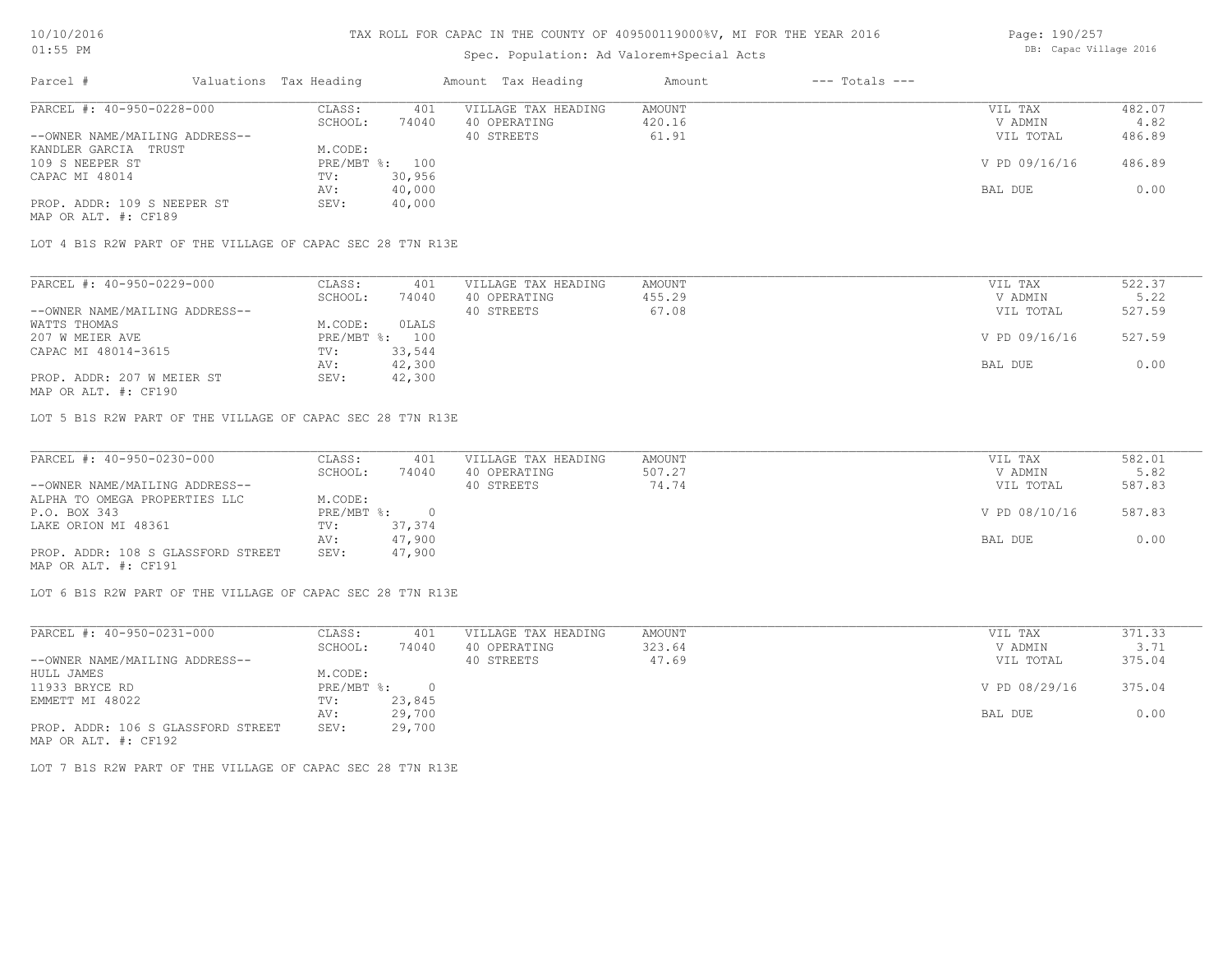## Spec. Population: Ad Valorem+Special Acts

| Page: 190/257 |                        |  |
|---------------|------------------------|--|
|               | DB: Capac Village 2016 |  |

| Parcel #                       | Valuations Tax Heading |        | Amount Tax Heading  | Amount | $---$ Totals $---$ |               |        |
|--------------------------------|------------------------|--------|---------------------|--------|--------------------|---------------|--------|
| PARCEL #: 40-950-0228-000      | CLASS:                 | 401    | VILLAGE TAX HEADING | AMOUNT |                    | VIL TAX       | 482.07 |
|                                | SCHOOL:                | 74040  | 40 OPERATING        | 420.16 |                    | V ADMIN       | 4.82   |
| --OWNER NAME/MAILING ADDRESS-- |                        |        | 40 STREETS          | 61.91  |                    | VIL TOTAL     | 486.89 |
| KANDLER GARCIA TRUST           | M.CODE:                |        |                     |        |                    |               |        |
| 109 S NEEPER ST                | $PRE/MBT$ %:           | 100    |                     |        |                    | V PD 09/16/16 | 486.89 |
| CAPAC MI 48014                 | TV:                    | 30,956 |                     |        |                    |               |        |
|                                | AV:                    | 40,000 |                     |        |                    | BAL DUE       | 0.00   |
| PROP. ADDR: 109 S NEEPER ST    | SEV:                   | 40,000 |                     |        |                    |               |        |
| MAP OR ALT. #: CF189           |                        |        |                     |        |                    |               |        |

LOT 4 B1S R2W PART OF THE VILLAGE OF CAPAC SEC 28 T7N R13E

| PARCEL #: 40-950-0229-000      | CLASS:         | 401    | VILLAGE TAX HEADING | AMOUNT | VIL TAX       | 522.37 |
|--------------------------------|----------------|--------|---------------------|--------|---------------|--------|
|                                | SCHOOL:        | 74040  | 40 OPERATING        | 455.29 | V ADMIN       | 5.22   |
| --OWNER NAME/MAILING ADDRESS-- |                |        | 40 STREETS          | 67.08  | VIL TOTAL     | 527.59 |
| WATTS THOMAS                   | M.CODE:        | OLALS  |                     |        |               |        |
| 207 W MEIER AVE                | PRE/MBT %: 100 |        |                     |        | V PD 09/16/16 | 527.59 |
| CAPAC MI 48014-3615            | TV:            | 33,544 |                     |        |               |        |
|                                | AV:            | 42,300 |                     |        | BAL DUE       | 0.00   |
| PROP. ADDR: 207 W MEIER ST     | SEV:           | 42,300 |                     |        |               |        |

MAP OR ALT. #: CF190

LOT 5 B1S R2W PART OF THE VILLAGE OF CAPAC SEC 28 T7N R13E

| PARCEL #: 40-950-0230-000          | CLASS:       | 401    | VILLAGE TAX HEADING | AMOUNT | VIL TAX       | 582.01 |
|------------------------------------|--------------|--------|---------------------|--------|---------------|--------|
|                                    | SCHOOL:      | 74040  | 40 OPERATING        | 507.27 | V ADMIN       | 5.82   |
| --OWNER NAME/MAILING ADDRESS--     |              |        | 40 STREETS          | 74.74  | VIL TOTAL     | 587.83 |
| ALPHA TO OMEGA PROPERTIES LLC      | M.CODE:      |        |                     |        |               |        |
| P.O. BOX 343                       | $PRE/MBT$ %: |        |                     |        | V PD 08/10/16 | 587.83 |
| LAKE ORION MI 48361                | TV:          | 37,374 |                     |        |               |        |
|                                    | AV:          | 47,900 |                     |        | BAL DUE       | 0.00   |
| PROP. ADDR: 108 S GLASSFORD STREET | SEV:         | 47,900 |                     |        |               |        |
| MAP OR ALT. #: CF191               |              |        |                     |        |               |        |

LOT 6 B1S R2W PART OF THE VILLAGE OF CAPAC SEC 28 T7N R13E

| PARCEL #: 40-950-0231-000          | CLASS:     | 401    | VILLAGE TAX HEADING | AMOUNT | VIL TAX       | 371.33 |
|------------------------------------|------------|--------|---------------------|--------|---------------|--------|
|                                    | SCHOOL:    | 74040  | 40 OPERATING        | 323.64 | V ADMIN       | 3.71   |
| --OWNER NAME/MAILING ADDRESS--     |            |        | 40 STREETS          | 47.69  | VIL TOTAL     | 375.04 |
| HULL JAMES                         | M.CODE:    |        |                     |        |               |        |
| 11933 BRYCE RD                     | PRE/MBT %: | $\cap$ |                     |        | V PD 08/29/16 | 375.04 |
| EMMETT MI 48022                    | TV:        | 23,845 |                     |        |               |        |
|                                    | AV:        | 29,700 |                     |        | BAL DUE       | 0.00   |
| PROP. ADDR: 106 S GLASSFORD STREET | SEV:       | 29,700 |                     |        |               |        |
| MAP OR ALT. #: CF192               |            |        |                     |        |               |        |

LOT 7 B1S R2W PART OF THE VILLAGE OF CAPAC SEC 28 T7N R13E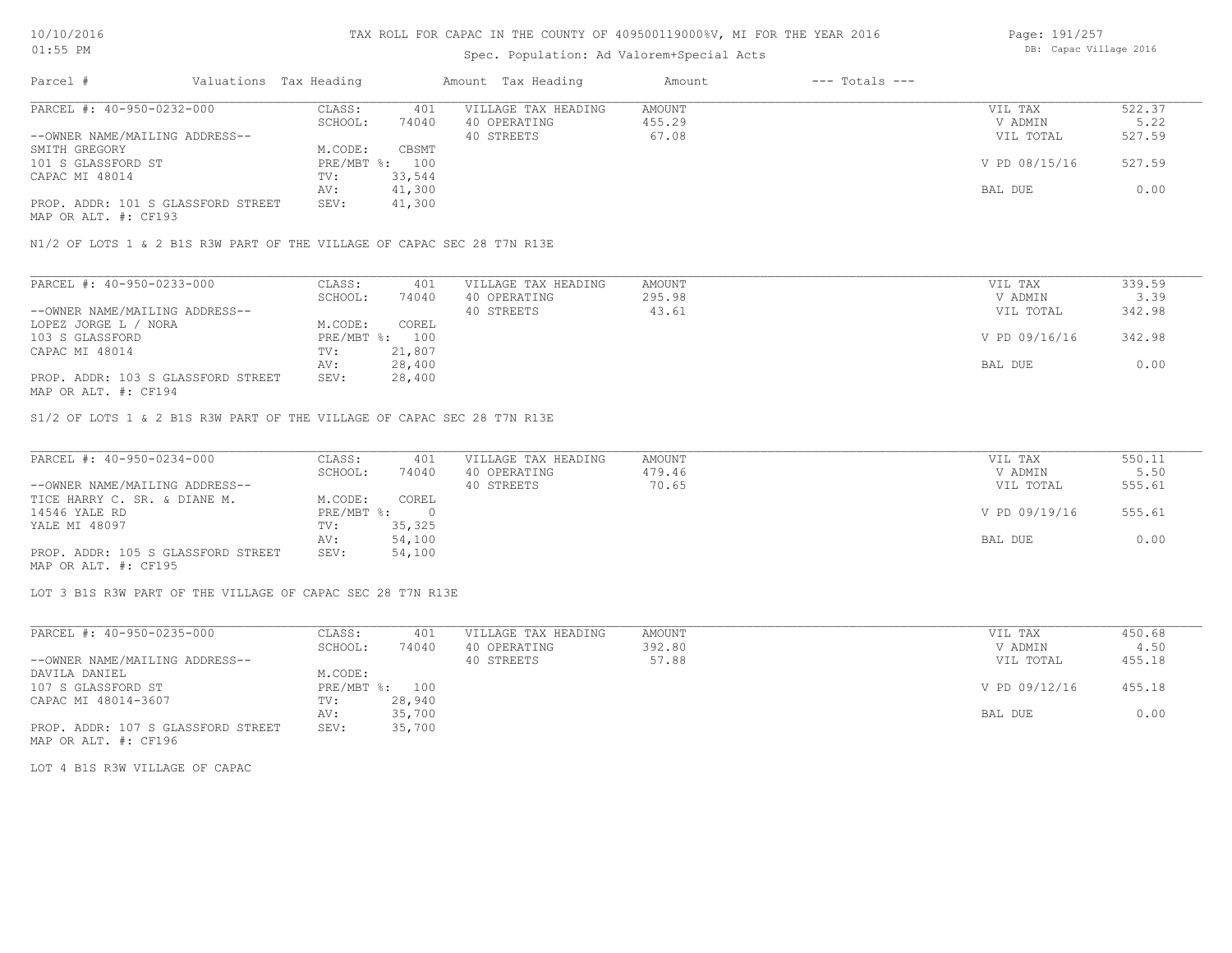## Spec. Population: Ad Valorem+Special Acts

Page: 191/257 DB: Capac Village 2016

| Parcel #                           | Valuations Tax Heading |        | Amount Tax Heading  | Amount | $---$ Totals $---$ |               |        |
|------------------------------------|------------------------|--------|---------------------|--------|--------------------|---------------|--------|
| PARCEL #: 40-950-0232-000          | CLASS:                 | 401    | VILLAGE TAX HEADING | AMOUNT |                    | VIL TAX       | 522.37 |
|                                    | SCHOOL:                | 74040  | 40 OPERATING        | 455.29 |                    | V ADMIN       | 5.22   |
| --OWNER NAME/MAILING ADDRESS--     |                        |        | 40 STREETS          | 67.08  |                    | VIL TOTAL     | 527.59 |
| SMITH GREGORY                      | M.CODE:                | CBSMT  |                     |        |                    |               |        |
| 101 S GLASSFORD ST                 | PRE/MBT %: 100         |        |                     |        |                    | V PD 08/15/16 | 527.59 |
| CAPAC MI 48014                     | TV:                    | 33,544 |                     |        |                    |               |        |
|                                    | AV:                    | 41,300 |                     |        |                    | BAL DUE       | 0.00   |
| PROP. ADDR: 101 S GLASSFORD STREET | SEV:                   | 41,300 |                     |        |                    |               |        |
| MAP OR ALT. #: CF193               |                        |        |                     |        |                    |               |        |

N1/2 OF LOTS 1 & 2 B1S R3W PART OF THE VILLAGE OF CAPAC SEC 28 T7N R13E

| PARCEL #: 40-950-0233-000          | CLASS:       | 401    | VILLAGE TAX HEADING | AMOUNT | VIL TAX       | 339.59 |
|------------------------------------|--------------|--------|---------------------|--------|---------------|--------|
|                                    | SCHOOL:      | 74040  | 40 OPERATING        | 295.98 | V ADMIN       | 3.39   |
| --OWNER NAME/MAILING ADDRESS--     |              |        | 40 STREETS          | 43.61  | VIL TOTAL     | 342.98 |
| LOPEZ JORGE L / NORA               | M.CODE:      | COREL  |                     |        |               |        |
| 103 S GLASSFORD                    | $PRE/MBT$ %: | 100    |                     |        | V PD 09/16/16 | 342.98 |
| CAPAC MI 48014                     | TV:          | 21,807 |                     |        |               |        |
|                                    | AV:          | 28,400 |                     |        | BAL DUE       | 0.00   |
| PROP. ADDR: 103 S GLASSFORD STREET | SEV:         | 28,400 |                     |        |               |        |
| MAP OR ALT. #: CF194               |              |        |                     |        |               |        |

S1/2 OF LOTS 1 & 2 B1S R3W PART OF THE VILLAGE OF CAPAC SEC 28 T7N R13E

| PARCEL #: 40-950-0234-000          | CLASS:     | 401    | VILLAGE TAX HEADING | AMOUNT | VIL TAX       | 550.11 |
|------------------------------------|------------|--------|---------------------|--------|---------------|--------|
|                                    | SCHOOL:    | 74040  | 40 OPERATING        | 479.46 | V ADMIN       | 5.50   |
| --OWNER NAME/MAILING ADDRESS--     |            |        | 40 STREETS          | 70.65  | VIL TOTAL     | 555.61 |
| TICE HARRY C. SR. & DIANE M.       | M.CODE:    | COREL  |                     |        |               |        |
| 14546 YALE RD                      | PRE/MBT %: |        |                     |        | V PD 09/19/16 | 555.61 |
| YALE MI 48097                      | TV:        | 35,325 |                     |        |               |        |
|                                    | AV:        | 54,100 |                     |        | BAL DUE       | 0.00   |
| PROP. ADDR: 105 S GLASSFORD STREET | SEV:       | 54,100 |                     |        |               |        |
| MAP OR ALT. #: CF195               |            |        |                     |        |               |        |

LOT 3 B1S R3W PART OF THE VILLAGE OF CAPAC SEC 28 T7N R13E

| PARCEL #: 40-950-0235-000          | CLASS:  | 401            | VILLAGE TAX HEADING | AMOUNT | VIL TAX       | 450.68 |
|------------------------------------|---------|----------------|---------------------|--------|---------------|--------|
|                                    | SCHOOL: | 74040          | 40 OPERATING        | 392.80 | V ADMIN       | 4.50   |
| --OWNER NAME/MAILING ADDRESS--     |         |                | 40 STREETS          | 57.88  | VIL TOTAL     | 455.18 |
| DAVILA DANIEL                      | M.CODE: |                |                     |        |               |        |
| 107 S GLASSFORD ST                 |         | PRE/MBT %: 100 |                     |        | V PD 09/12/16 | 455.18 |
| CAPAC MI 48014-3607                | TV:     | 28,940         |                     |        |               |        |
|                                    | AV:     | 35,700         |                     |        | BAL DUE       | 0.00   |
| PROP. ADDR: 107 S GLASSFORD STREET | SEV:    | 35,700         |                     |        |               |        |

MAP OR ALT. #: CF196

LOT 4 B1S R3W VILLAGE OF CAPAC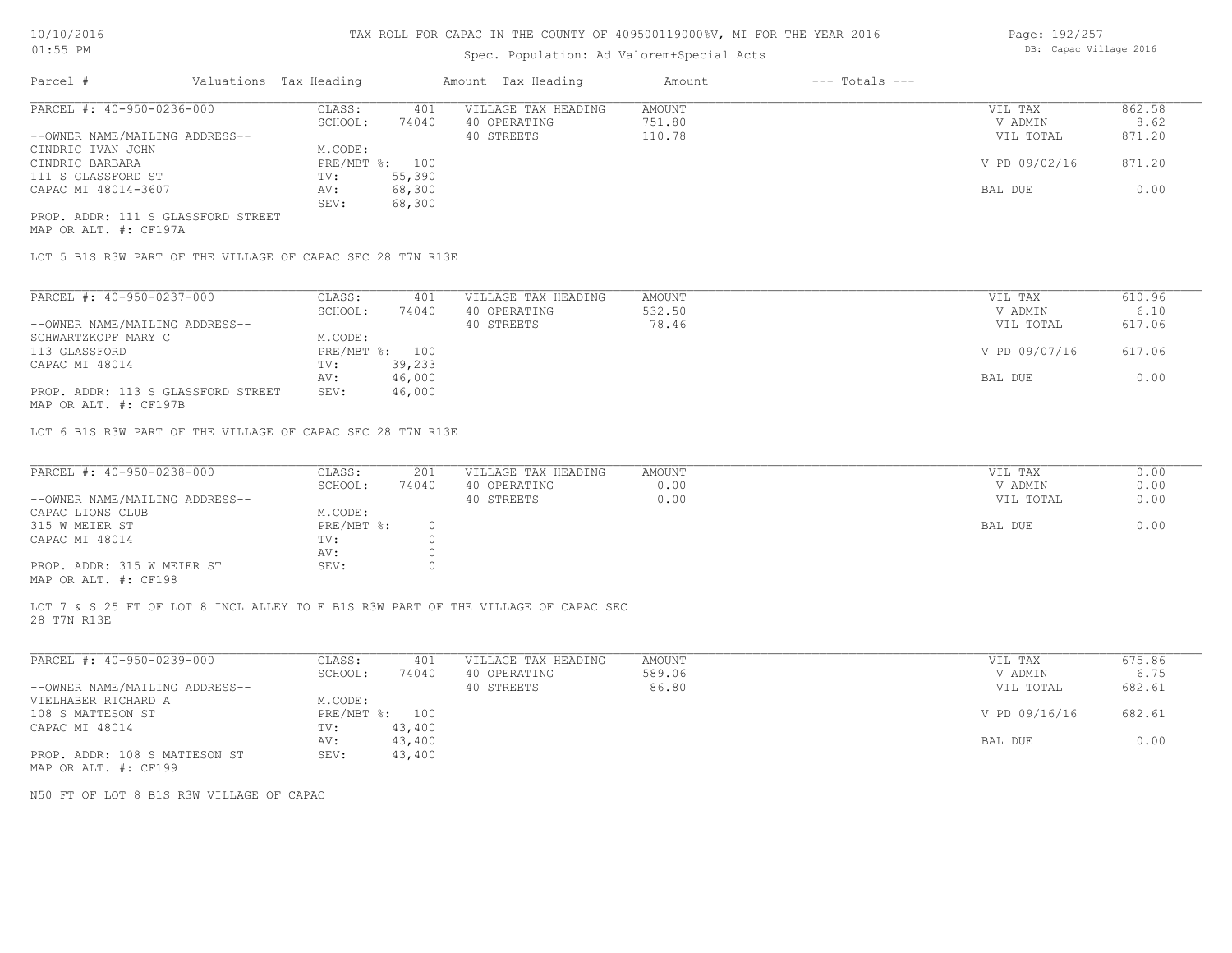## Spec. Population: Ad Valorem+Special Acts

| Page: 192/257 |  |                        |  |
|---------------|--|------------------------|--|
|               |  | DB: Capac Village 2016 |  |

| Parcel #                           | Valuations Tax Heading |        | Amount Tax Heading  | Amount | $---$ Totals $---$ |               |        |
|------------------------------------|------------------------|--------|---------------------|--------|--------------------|---------------|--------|
| PARCEL #: 40-950-0236-000          | CLASS:                 | 401    | VILLAGE TAX HEADING | AMOUNT |                    | VIL TAX       | 862.58 |
|                                    | SCHOOL:                | 74040  | 40 OPERATING        | 751.80 |                    | V ADMIN       | 8.62   |
| --OWNER NAME/MAILING ADDRESS--     |                        |        | 40 STREETS          | 110.78 |                    | VIL TOTAL     | 871.20 |
| CINDRIC IVAN JOHN                  | M.CODE:                |        |                     |        |                    |               |        |
| CINDRIC BARBARA                    | PRE/MBT %: 100         |        |                     |        |                    | V PD 09/02/16 | 871.20 |
| 111 S GLASSFORD ST                 | TV:                    | 55,390 |                     |        |                    |               |        |
| CAPAC MI 48014-3607                | AV:                    | 68,300 |                     |        |                    | BAL DUE       | 0.00   |
|                                    | SEV:                   | 68,300 |                     |        |                    |               |        |
| PROP. ADDR: 111 S GLASSFORD STREET |                        |        |                     |        |                    |               |        |

MAP OR ALT. #: CF197A

LOT 5 B1S R3W PART OF THE VILLAGE OF CAPAC SEC 28 T7N R13E

| PARCEL #: 40-950-0237-000                             | CLASS:     | 401    | VILLAGE TAX HEADING | AMOUNT | VIL TAX       | 610.96 |
|-------------------------------------------------------|------------|--------|---------------------|--------|---------------|--------|
|                                                       | SCHOOL:    | 74040  | 40 OPERATING        | 532.50 | V ADMIN       | 6.10   |
| --OWNER NAME/MAILING ADDRESS--                        |            |        | 40 STREETS          | 78.46  | VIL TOTAL     | 617.06 |
| SCHWARTZKOPF MARY C                                   | M.CODE:    |        |                     |        |               |        |
| 113 GLASSFORD                                         | PRE/MBT %: | 100    |                     |        | V PD 09/07/16 | 617.06 |
| CAPAC MI 48014                                        | TV:        | 39,233 |                     |        |               |        |
|                                                       | AV:        | 46,000 |                     |        | BAL DUE       | 0.00   |
| PROP. ADDR: 113 S GLASSFORD STREET                    | SEV:       | 46,000 |                     |        |               |        |
| $\cdots$ $\cdots$ $\cdots$ $\cdots$ $\cdots$ $\cdots$ |            |        |                     |        |               |        |

MAP OR ALT. #: CF197B

LOT 6 B1S R3W PART OF THE VILLAGE OF CAPAC SEC 28 T7N R13E

| PARCEL #: 40-950-0238-000      | CLASS:     | 201   | VILLAGE TAX HEADING | AMOUNT | VIL TAX   | 0.00 |
|--------------------------------|------------|-------|---------------------|--------|-----------|------|
|                                | SCHOOL:    | 74040 | 40 OPERATING        | 0.00   | V ADMIN   | 0.00 |
| --OWNER NAME/MAILING ADDRESS-- |            |       | 40 STREETS          | 0.00   | VIL TOTAL | 0.00 |
| CAPAC LIONS CLUB               | M.CODE:    |       |                     |        |           |      |
| 315 W MEIER ST                 | PRE/MBT %: |       |                     |        | BAL DUE   | 0.00 |
| CAPAC MI 48014                 | TV:        |       |                     |        |           |      |
|                                | AV:        |       |                     |        |           |      |
| PROP. ADDR: 315 W MEIER ST     | SEV:       |       |                     |        |           |      |
| $\frac{1}{2}$                  |            |       |                     |        |           |      |

MAP OR ALT. #: CF198

28 T7N R13E LOT 7 & S 25 FT OF LOT 8 INCL ALLEY TO E B1S R3W PART OF THE VILLAGE OF CAPAC SEC

| PARCEL #: 40-950-0239-000      | CLASS:       | 401    | VILLAGE TAX HEADING | AMOUNT | 675.86<br>VIL TAX       |  |
|--------------------------------|--------------|--------|---------------------|--------|-------------------------|--|
|                                | SCHOOL:      | 74040  | 40 OPERATING        | 589.06 | 6.75<br>V ADMIN         |  |
| --OWNER NAME/MAILING ADDRESS-- |              |        | 40 STREETS          | 86.80  | 682.61<br>VIL TOTAL     |  |
| VIELHABER RICHARD A            | M.CODE:      |        |                     |        |                         |  |
| 108 S MATTESON ST              | $PRE/MBT$ %: | 100    |                     |        | V PD 09/16/16<br>682.61 |  |
| CAPAC MI 48014                 | TV:          | 43,400 |                     |        |                         |  |
|                                | AV:          | 43,400 |                     |        | 0.00<br>BAL DUE         |  |
| PROP. ADDR: 108 S MATTESON ST  | SEV:         | 43,400 |                     |        |                         |  |
| MAP OR ALT. #: CF199           |              |        |                     |        |                         |  |

N50 FT OF LOT 8 B1S R3W VILLAGE OF CAPAC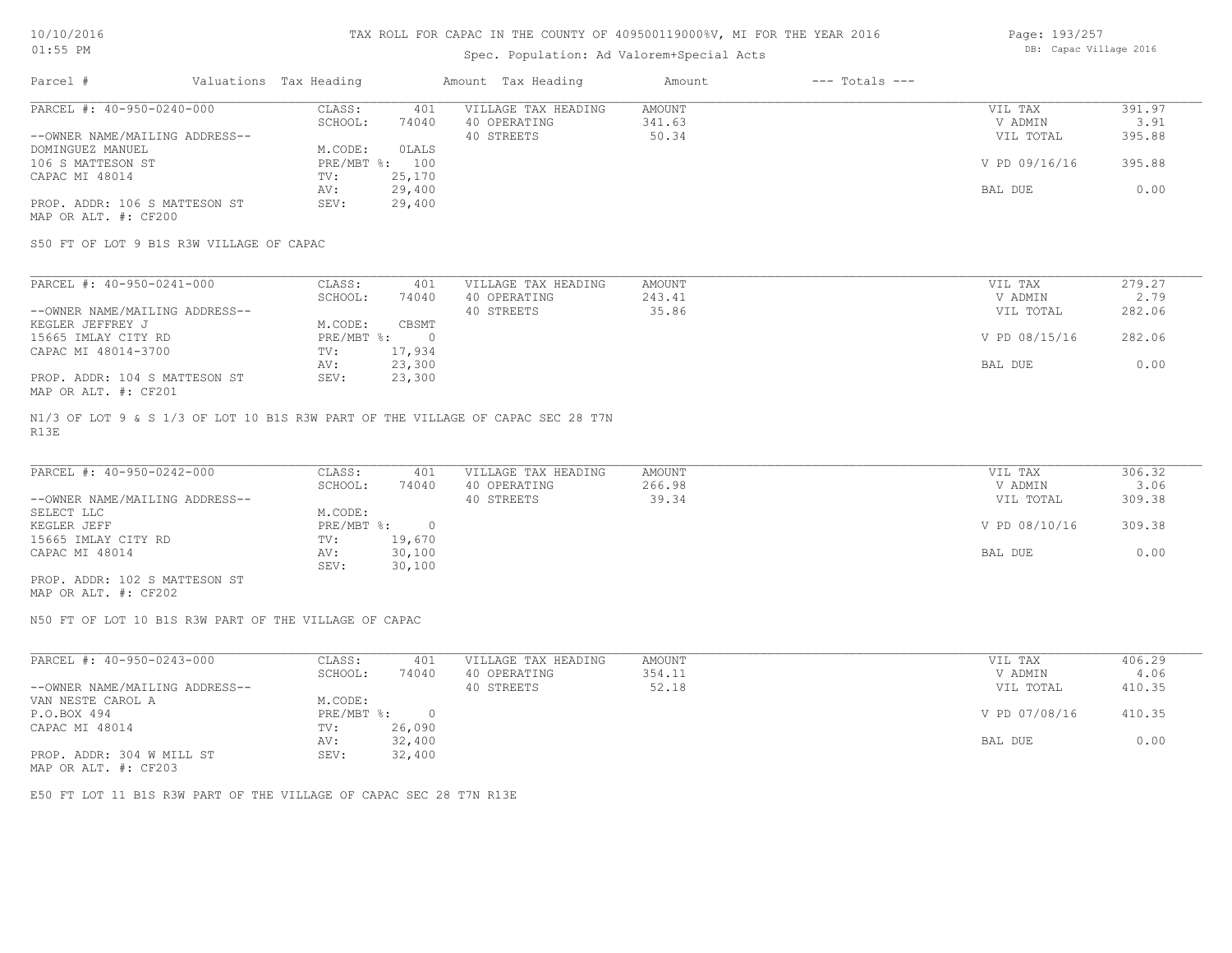## Spec. Population: Ad Valorem+Special Acts

Page: 193/257 DB: Capac Village 2016

| Parcel #                       | Valuations Tax Heading |        | Amount Tax Heading  | Amount | $---$ Totals $---$ |               |        |
|--------------------------------|------------------------|--------|---------------------|--------|--------------------|---------------|--------|
| PARCEL #: 40-950-0240-000      | CLASS:                 | 401    | VILLAGE TAX HEADING | AMOUNT |                    | VIL TAX       | 391.97 |
|                                | SCHOOL:                | 74040  | 40 OPERATING        | 341.63 |                    | V ADMIN       | 3.91   |
| --OWNER NAME/MAILING ADDRESS-- |                        |        | 40 STREETS          | 50.34  |                    | VIL TOTAL     | 395.88 |
| DOMINGUEZ MANUEL               | M.CODE:                | OLALS  |                     |        |                    |               |        |
| 106 S MATTESON ST              | $PRE/MBT$ %:           | 100    |                     |        |                    | V PD 09/16/16 | 395.88 |
| CAPAC MI 48014                 | TV:                    | 25,170 |                     |        |                    |               |        |
|                                | AV:                    | 29,400 |                     |        |                    | BAL DUE       | 0.00   |
| PROP. ADDR: 106 S MATTESON ST  | SEV:                   | 29,400 |                     |        |                    |               |        |
| MAP OR ALT. #: CF200           |                        |        |                     |        |                    |               |        |

S50 FT OF LOT 9 B1S R3W VILLAGE OF CAPAC

| PARCEL #: 40-950-0241-000      | CLASS:     | 401    | VILLAGE TAX HEADING | AMOUNT | VIL TAX       | 279.27 |
|--------------------------------|------------|--------|---------------------|--------|---------------|--------|
|                                | SCHOOL:    | 74040  | 40 OPERATING        | 243.41 | V ADMIN       | 2.79   |
| --OWNER NAME/MAILING ADDRESS-- |            |        | 40 STREETS          | 35.86  | VIL TOTAL     | 282.06 |
| KEGLER JEFFREY J               | M.CODE:    | CBSMT  |                     |        |               |        |
| 15665 IMLAY CITY RD            | PRE/MBT %: |        |                     |        | V PD 08/15/16 | 282.06 |
| CAPAC MI 48014-3700            | TV:        | 17,934 |                     |        |               |        |
|                                | AV:        | 23,300 |                     |        | BAL DUE       | 0.00   |
| PROP. ADDR: 104 S MATTESON ST  | SEV:       | 23,300 |                     |        |               |        |
| MAP OR ALT. #: CF201           |            |        |                     |        |               |        |

R13E N1/3 OF LOT 9 & S 1/3 OF LOT 10 B1S R3W PART OF THE VILLAGE OF CAPAC SEC 28 T7N

| PARCEL #: 40-950-0242-000      | CLASS:     | 401    | VILLAGE TAX HEADING | AMOUNT | VIL TAX       | 306.32 |
|--------------------------------|------------|--------|---------------------|--------|---------------|--------|
|                                | SCHOOL:    | 74040  | 40 OPERATING        | 266.98 | V ADMIN       | 3.06   |
| --OWNER NAME/MAILING ADDRESS-- |            |        | 40 STREETS          | 39.34  | VIL TOTAL     | 309.38 |
| SELECT LLC                     | M.CODE:    |        |                     |        |               |        |
| KEGLER JEFF                    | PRE/MBT %: |        |                     |        | V PD 08/10/16 | 309.38 |
| 15665 IMLAY CITY RD            | TV:        | 19,670 |                     |        |               |        |
| CAPAC MI 48014                 | AV:        | 30,100 |                     |        | BAL DUE       | 0.00   |
|                                | SEV:       | 30,100 |                     |        |               |        |
| PROP. ADDR: 102 S MATTESON ST  |            |        |                     |        |               |        |

MAP OR ALT. #: CF202

N50 FT OF LOT 10 B1S R3W PART OF THE VILLAGE OF CAPAC

| PARCEL #: 40-950-0243-000                             | CLASS:     | 401    | VILLAGE TAX HEADING | AMOUNT | VIL TAX       | 406.29 |  |
|-------------------------------------------------------|------------|--------|---------------------|--------|---------------|--------|--|
|                                                       | SCHOOL:    | 74040  | 40 OPERATING        | 354.11 | V ADMIN       | 4.06   |  |
| --OWNER NAME/MAILING ADDRESS--                        |            |        | 40 STREETS          | 52.18  | VIL TOTAL     | 410.35 |  |
| VAN NESTE CAROL A                                     | M.CODE:    |        |                     |        |               |        |  |
| P.O.BOX 494                                           | PRE/MBT %: |        |                     |        | V PD 07/08/16 | 410.35 |  |
| CAPAC MI 48014                                        | TV:        | 26,090 |                     |        |               |        |  |
|                                                       | AV:        | 32,400 |                     |        | BAL DUE       | 0.00   |  |
| PROP. ADDR: 304 W MILL ST                             | SEV:       | 32,400 |                     |        |               |        |  |
| $\cdots$ $\cdots$ $\cdots$ $\cdots$ $\cdots$ $\cdots$ |            |        |                     |        |               |        |  |

MAP OR ALT. #: CF203

E50 FT LOT 11 B1S R3W PART OF THE VILLAGE OF CAPAC SEC 28 T7N R13E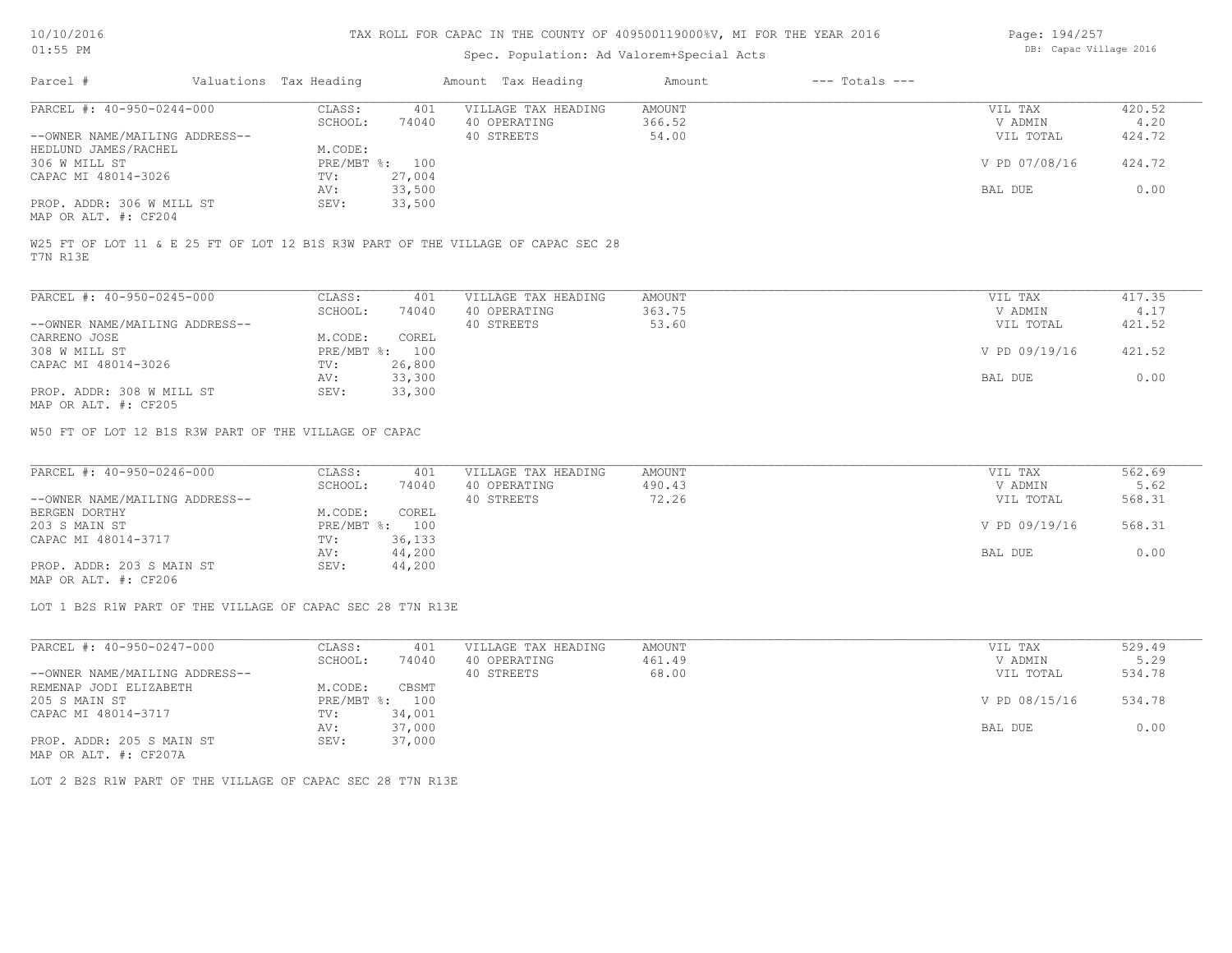# Spec. Population: Ad Valorem+Special Acts

| Page: 194/257 |  |                        |  |
|---------------|--|------------------------|--|
|               |  | DB: Capac Village 2016 |  |

| Parcel #                       | Valuations Tax Heading |        | Amount Tax Heading  | Amount | $---$ Totals $---$ |               |        |
|--------------------------------|------------------------|--------|---------------------|--------|--------------------|---------------|--------|
| PARCEL #: 40-950-0244-000      | CLASS:                 | 401    | VILLAGE TAX HEADING | AMOUNT |                    | VIL TAX       | 420.52 |
|                                | SCHOOL:                | 74040  | 40 OPERATING        | 366.52 |                    | V ADMIN       | 4.20   |
| --OWNER NAME/MAILING ADDRESS-- |                        |        | 40 STREETS          | 54.00  |                    | VIL TOTAL     | 424.72 |
| HEDLUND JAMES/RACHEL           | M.CODE:                |        |                     |        |                    |               |        |
| 306 W MILL ST                  | $PRE/MBT$ %:           | 100    |                     |        |                    | V PD 07/08/16 | 424.72 |
| CAPAC MI 48014-3026            | TV:                    | 27,004 |                     |        |                    |               |        |
|                                | AV:                    | 33,500 |                     |        |                    | BAL DUE       | 0.00   |
| PROP. ADDR: 306 W MILL ST      | SEV:                   | 33,500 |                     |        |                    |               |        |
| MAP OR ALT. #: CF204           |                        |        |                     |        |                    |               |        |

T7N R13E

| PARCEL #: 40-950-0245-000      | CLASS:       | 401    | VILLAGE TAX HEADING | AMOUNT | VIL TAX       | 417.35 |
|--------------------------------|--------------|--------|---------------------|--------|---------------|--------|
|                                | SCHOOL:      | 74040  | 40 OPERATING        | 363.75 | V ADMIN       | 4.17   |
| --OWNER NAME/MAILING ADDRESS-- |              |        | 40 STREETS          | 53.60  | VIL TOTAL     | 421.52 |
| CARRENO JOSE                   | M.CODE:      | COREL  |                     |        |               |        |
| 308 W MILL ST                  | $PRE/MBT$ %: | 100    |                     |        | V PD 09/19/16 | 421.52 |
| CAPAC MI 48014-3026            | TV:          | 26,800 |                     |        |               |        |
|                                | AV:          | 33,300 |                     |        | BAL DUE       | 0.00   |
| PROP. ADDR: 308 W MILL ST      | SEV:         | 33,300 |                     |        |               |        |
| MAP OR ALT. #: CF205           |              |        |                     |        |               |        |

W50 FT OF LOT 12 B1S R3W PART OF THE VILLAGE OF CAPAC

| PARCEL #: 40-950-0246-000      | CLASS:  | 401            | VILLAGE TAX HEADING | AMOUNT | VIL TAX       | 562.69 |
|--------------------------------|---------|----------------|---------------------|--------|---------------|--------|
|                                | SCHOOL: | 74040          | 40 OPERATING        | 490.43 | V ADMIN       | 5.62   |
| --OWNER NAME/MAILING ADDRESS-- |         |                | 40 STREETS          | 72.26  | VIL TOTAL     | 568.31 |
| BERGEN DORTHY                  | M.CODE: | COREL          |                     |        |               |        |
| 203 S MAIN ST                  |         | PRE/MBT %: 100 |                     |        | V PD 09/19/16 | 568.31 |
| CAPAC MI 48014-3717            | TV:     | 36,133         |                     |        |               |        |
|                                | AV:     | 44,200         |                     |        | BAL DUE       | 0.00   |
| PROP. ADDR: 203 S MAIN ST      | SEV:    | 44,200         |                     |        |               |        |
|                                |         |                |                     |        |               |        |

MAP OR ALT. #: CF206

LOT 1 B2S R1W PART OF THE VILLAGE OF CAPAC SEC 28 T7N R13E

| PARCEL #: 40-950-0247-000      | CLASS:  | 401            | VILLAGE TAX HEADING | AMOUNT | VIL TAX       | 529.49 |
|--------------------------------|---------|----------------|---------------------|--------|---------------|--------|
|                                | SCHOOL: | 74040          | 40 OPERATING        | 461.49 | V ADMIN       | 5.29   |
| --OWNER NAME/MAILING ADDRESS-- |         |                | 40 STREETS          | 68.00  | VIL TOTAL     | 534.78 |
| REMENAP JODI ELIZABETH         | M.CODE: | CBSMT          |                     |        |               |        |
| 205 S MAIN ST                  |         | PRE/MBT %: 100 |                     |        | V PD 08/15/16 | 534.78 |
| CAPAC MI 48014-3717            | TV:     | 34,001         |                     |        |               |        |
|                                | AV:     | 37,000         |                     |        | BAL DUE       | 0.00   |
| PROP. ADDR: 205 S MAIN ST      | SEV:    | 37,000         |                     |        |               |        |
| MAP OR ALT. #: CF207A          |         |                |                     |        |               |        |

LOT 2 B2S R1W PART OF THE VILLAGE OF CAPAC SEC 28 T7N R13E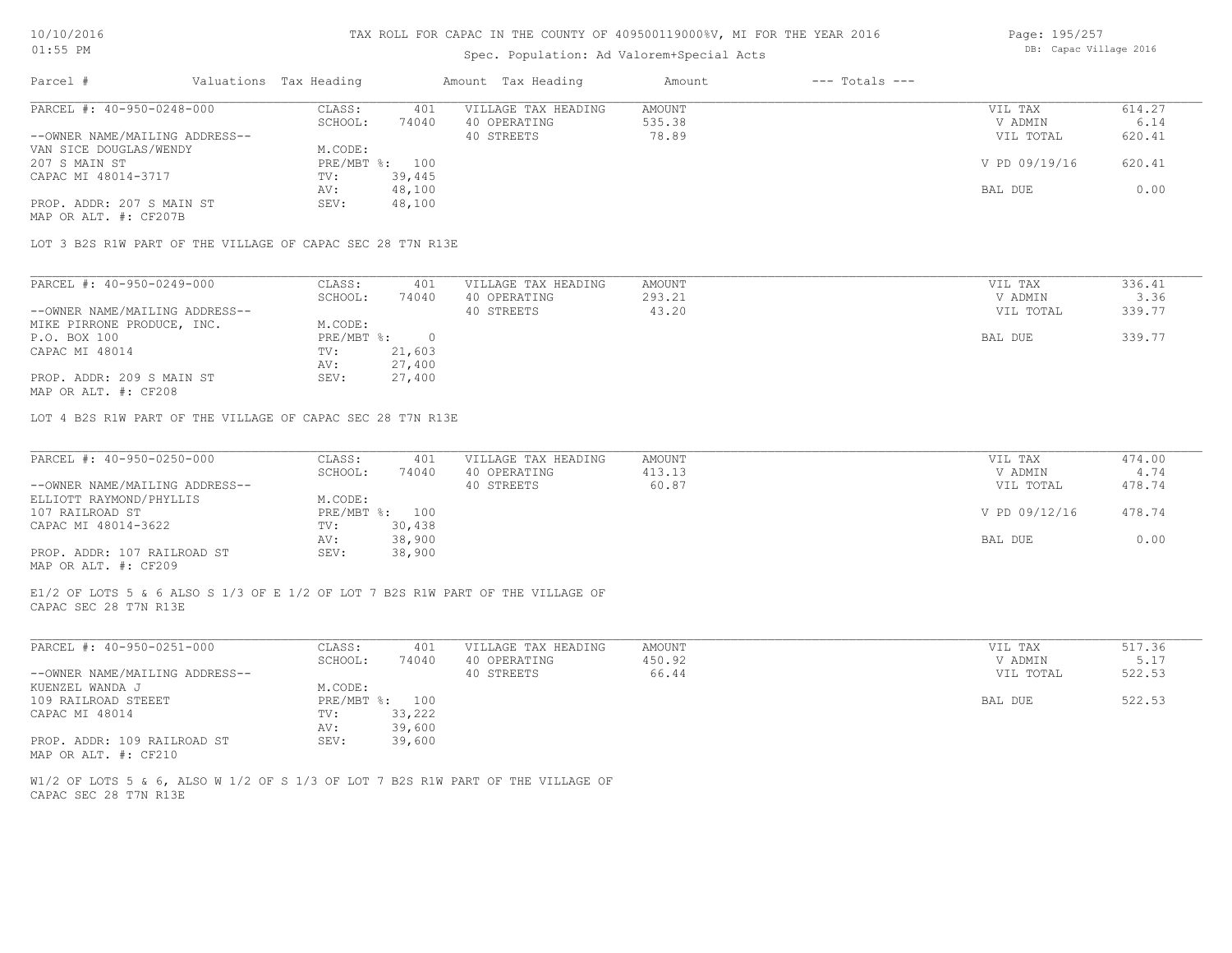### Spec. Population: Ad Valorem+Special Acts

| Page: 195/257 |                        |  |
|---------------|------------------------|--|
|               | DB: Capac Village 2016 |  |

| Parcel #                       | Valuations Tax Heading |        | Amount Tax Heading  | Amount | $---$ Totals $---$ |               |        |
|--------------------------------|------------------------|--------|---------------------|--------|--------------------|---------------|--------|
| PARCEL #: 40-950-0248-000      | CLASS:                 | 401    | VILLAGE TAX HEADING | AMOUNT |                    | VIL TAX       | 614.27 |
|                                | SCHOOL:                | 74040  | 40 OPERATING        | 535.38 |                    | V ADMIN       | 6.14   |
| --OWNER NAME/MAILING ADDRESS-- |                        |        | 40 STREETS          | 78.89  |                    | VIL TOTAL     | 620.41 |
| VAN SICE DOUGLAS/WENDY         | M.CODE:                |        |                     |        |                    |               |        |
| 207 S MAIN ST                  | $PRE/MBT$ %:           | 100    |                     |        |                    | V PD 09/19/16 | 620.41 |
| CAPAC MI 48014-3717            | TV:                    | 39,445 |                     |        |                    |               |        |
|                                | AV:                    | 48,100 |                     |        |                    | BAL DUE       | 0.00   |
| PROP. ADDR: 207 S MAIN ST      | SEV:                   | 48,100 |                     |        |                    |               |        |
| MAP OR ALT. #: CF207B          |                        |        |                     |        |                    |               |        |

LOT 3 B2S R1W PART OF THE VILLAGE OF CAPAC SEC 28 T7N R13E

| PARCEL #: 40-950-0249-000      | CLASS:     | 401    | VILLAGE TAX HEADING | AMOUNT | VIL TAX   | 336.41 |
|--------------------------------|------------|--------|---------------------|--------|-----------|--------|
|                                | SCHOOL:    | 74040  | 40 OPERATING        | 293.21 | V ADMIN   | 3.36   |
| --OWNER NAME/MAILING ADDRESS-- |            |        | 40 STREETS          | 43.20  | VIL TOTAL | 339.77 |
| MIKE PIRRONE PRODUCE, INC.     | M.CODE:    |        |                     |        |           |        |
| P.O. BOX 100                   | PRE/MBT %: |        |                     |        | BAL DUE   | 339.77 |
| CAPAC MI 48014                 | TV:        | 21,603 |                     |        |           |        |
|                                | AV:        | 27,400 |                     |        |           |        |
| PROP. ADDR: 209 S MAIN ST      | SEV:       | 27,400 |                     |        |           |        |

MAP OR ALT. #: CF208

LOT 4 B2S R1W PART OF THE VILLAGE OF CAPAC SEC 28 T7N R13E

| PARCEL #: 40-950-0250-000      | CLASS:  | 401            | VILLAGE TAX HEADING | AMOUNT | VIL TAX       | 474.00 |
|--------------------------------|---------|----------------|---------------------|--------|---------------|--------|
|                                | SCHOOL: | 74040          | 40 OPERATING        | 413.13 | V ADMIN       | 4.74   |
| --OWNER NAME/MAILING ADDRESS-- |         |                | 40 STREETS          | 60.87  | VIL TOTAL     | 478.74 |
| ELLIOTT RAYMOND/PHYLLIS        | M.CODE: |                |                     |        |               |        |
| 107 RAILROAD ST                |         | PRE/MBT %: 100 |                     |        | V PD 09/12/16 | 478.74 |
| CAPAC MI 48014-3622            | TV:     | 30,438         |                     |        |               |        |
|                                | AV:     | 38,900         |                     |        | BAL DUE       | 0.00   |
| PROP. ADDR: 107 RAILROAD ST    | SEV:    | 38,900         |                     |        |               |        |
| MAP OR ALT. #: CF209           |         |                |                     |        |               |        |

CAPAC SEC 28 T7N R13E E1/2 OF LOTS 5 & 6 ALSO S 1/3 OF E 1/2 OF LOT 7 B2S R1W PART OF THE VILLAGE OF

| PARCEL #: 40-950-0251-000      | CLASS:  | 401            | VILLAGE TAX HEADING | AMOUNT | VIL TAX   | 517.36 |
|--------------------------------|---------|----------------|---------------------|--------|-----------|--------|
|                                | SCHOOL: | 74040          | 40 OPERATING        | 450.92 | V ADMIN   | 5.17   |
| --OWNER NAME/MAILING ADDRESS-- |         |                | 40 STREETS          | 66.44  | VIL TOTAL | 522.53 |
| KUENZEL WANDA J                | M.CODE: |                |                     |        |           |        |
| 109 RAILROAD STEEET            |         | PRE/MBT %: 100 |                     |        | BAL DUE   | 522.53 |
| CAPAC MI 48014                 | TV:     | 33,222         |                     |        |           |        |
|                                | AV:     | 39,600         |                     |        |           |        |
| PROP. ADDR: 109 RAILROAD ST    | SEV:    | 39,600         |                     |        |           |        |
| MAP OR ALT. #: CF210           |         |                |                     |        |           |        |

CAPAC SEC 28 T7N R13E W1/2 OF LOTS 5 & 6, ALSO W 1/2 OF S 1/3 OF LOT 7 B2S R1W PART OF THE VILLAGE OF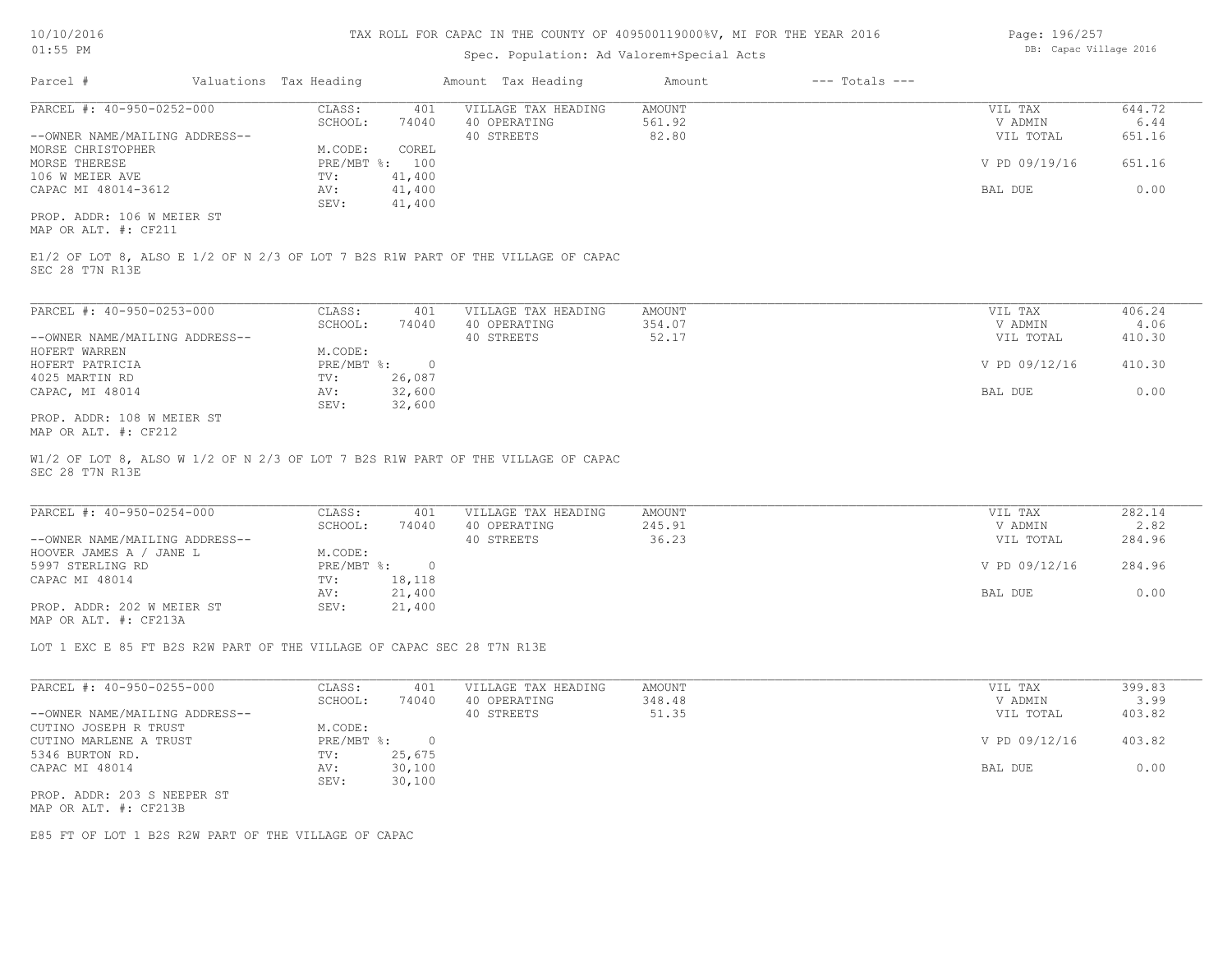## Spec. Population: Ad Valorem+Special Acts

| Page: 196/257 |                        |  |
|---------------|------------------------|--|
|               | DB: Capac Village 2016 |  |

| Parcel #                       | Valuations Tax Heading |        | Amount Tax Heading  | Amount | $---$ Totals $---$ |               |        |
|--------------------------------|------------------------|--------|---------------------|--------|--------------------|---------------|--------|
| PARCEL #: 40-950-0252-000      | CLASS:                 | 401    | VILLAGE TAX HEADING | AMOUNT |                    | VIL TAX       | 644.72 |
|                                | SCHOOL:                | 74040  | 40 OPERATING        | 561.92 |                    | V ADMIN       | 6.44   |
| --OWNER NAME/MAILING ADDRESS-- |                        |        | 40 STREETS          | 82.80  |                    | VIL TOTAL     | 651.16 |
| MORSE CHRISTOPHER              | M.CODE:                | COREL  |                     |        |                    |               |        |
| MORSE THERESE                  | $PRE/MBT$ %:           | 100    |                     |        |                    | V PD 09/19/16 | 651.16 |
| 106 W MEIER AVE                | TV:                    | 41,400 |                     |        |                    |               |        |
| CAPAC MI 48014-3612            | AV:                    | 41,400 |                     |        |                    | BAL DUE       | 0.00   |
|                                | SEV:                   | 41,400 |                     |        |                    |               |        |
| PROP. ADDR: 106 W MEIER ST     |                        |        |                     |        |                    |               |        |

MAP OR ALT. #: CF211

SEC 28 T7N R13E E1/2 OF LOT 8, ALSO E 1/2 OF N 2/3 OF LOT 7 B2S R1W PART OF THE VILLAGE OF CAPAC

| PARCEL #: 40-950-0253-000      | CLASS:       | 401    | VILLAGE TAX HEADING | AMOUNT | VIL TAX       | 406.24 |
|--------------------------------|--------------|--------|---------------------|--------|---------------|--------|
|                                | SCHOOL:      | 74040  | 40 OPERATING        | 354.07 | V ADMIN       | 4.06   |
| --OWNER NAME/MAILING ADDRESS-- |              |        | 40 STREETS          | 52.17  | VIL TOTAL     | 410.30 |
| HOFERT WARREN                  | M.CODE:      |        |                     |        |               |        |
| HOFERT PATRICIA                | $PRE/MBT$ %: |        |                     |        | V PD 09/12/16 | 410.30 |
| 4025 MARTIN RD                 | TV:          | 26,087 |                     |        |               |        |
| CAPAC, MI 48014                | AV:          | 32,600 |                     |        | BAL DUE       | 0.00   |
|                                | SEV:         | 32,600 |                     |        |               |        |
| PROP. ADDR: 108 W MEIER ST     |              |        |                     |        |               |        |

MAP OR ALT. #: CF212

SEC 28 T7N R13E W1/2 OF LOT 8, ALSO W 1/2 OF N 2/3 OF LOT 7 B2S R1W PART OF THE VILLAGE OF CAPAC

| PARCEL #: 40-950-0254-000      | CLASS:       | 401    | VILLAGE TAX HEADING | AMOUNT | VIL TAX       | 282.14 |
|--------------------------------|--------------|--------|---------------------|--------|---------------|--------|
|                                | SCHOOL:      | 74040  | 40 OPERATING        | 245.91 | V ADMIN       | 2.82   |
| --OWNER NAME/MAILING ADDRESS-- |              |        | 40 STREETS          | 36.23  | VIL TOTAL     | 284.96 |
| HOOVER JAMES A / JANE L        | M.CODE:      |        |                     |        |               |        |
| 5997 STERLING RD               | $PRE/MBT$ %: |        |                     |        | V PD 09/12/16 | 284.96 |
| CAPAC MI 48014                 | TV:          | 18,118 |                     |        |               |        |
|                                | AV:          | 21,400 |                     |        | BAL DUE       | 0.00   |
| PROP. ADDR: 202 W MEIER ST     | SEV:         | 21,400 |                     |        |               |        |
| MAP OR ALT. #: CF213A          |              |        |                     |        |               |        |

LOT 1 EXC E 85 FT B2S R2W PART OF THE VILLAGE OF CAPAC SEC 28 T7N R13E

| PARCEL #: 40-950-0255-000      | CLASS:     | 401    | VILLAGE TAX HEADING | AMOUNT | VIL TAX       | 399.83 |
|--------------------------------|------------|--------|---------------------|--------|---------------|--------|
|                                | SCHOOL:    | 74040  | 40 OPERATING        | 348.48 | V ADMIN       | 3.99   |
| --OWNER NAME/MAILING ADDRESS-- |            |        | 40 STREETS          | 51.35  | VIL TOTAL     | 403.82 |
| CUTINO JOSEPH R TRUST          | M.CODE:    |        |                     |        |               |        |
| CUTINO MARLENE A TRUST         | PRE/MBT %: |        |                     |        | V PD 09/12/16 | 403.82 |
| 5346 BURTON RD.                | TV:        | 25,675 |                     |        |               |        |
| CAPAC MI 48014                 | AV:        | 30,100 |                     |        | BAL DUE       | 0.00   |
|                                | SEV:       | 30,100 |                     |        |               |        |
| PROP. ADDR: 203 S NEEPER ST    |            |        |                     |        |               |        |
| MAP OR ALT. #: CF213B          |            |        |                     |        |               |        |

E85 FT OF LOT 1 B2S R2W PART OF THE VILLAGE OF CAPAC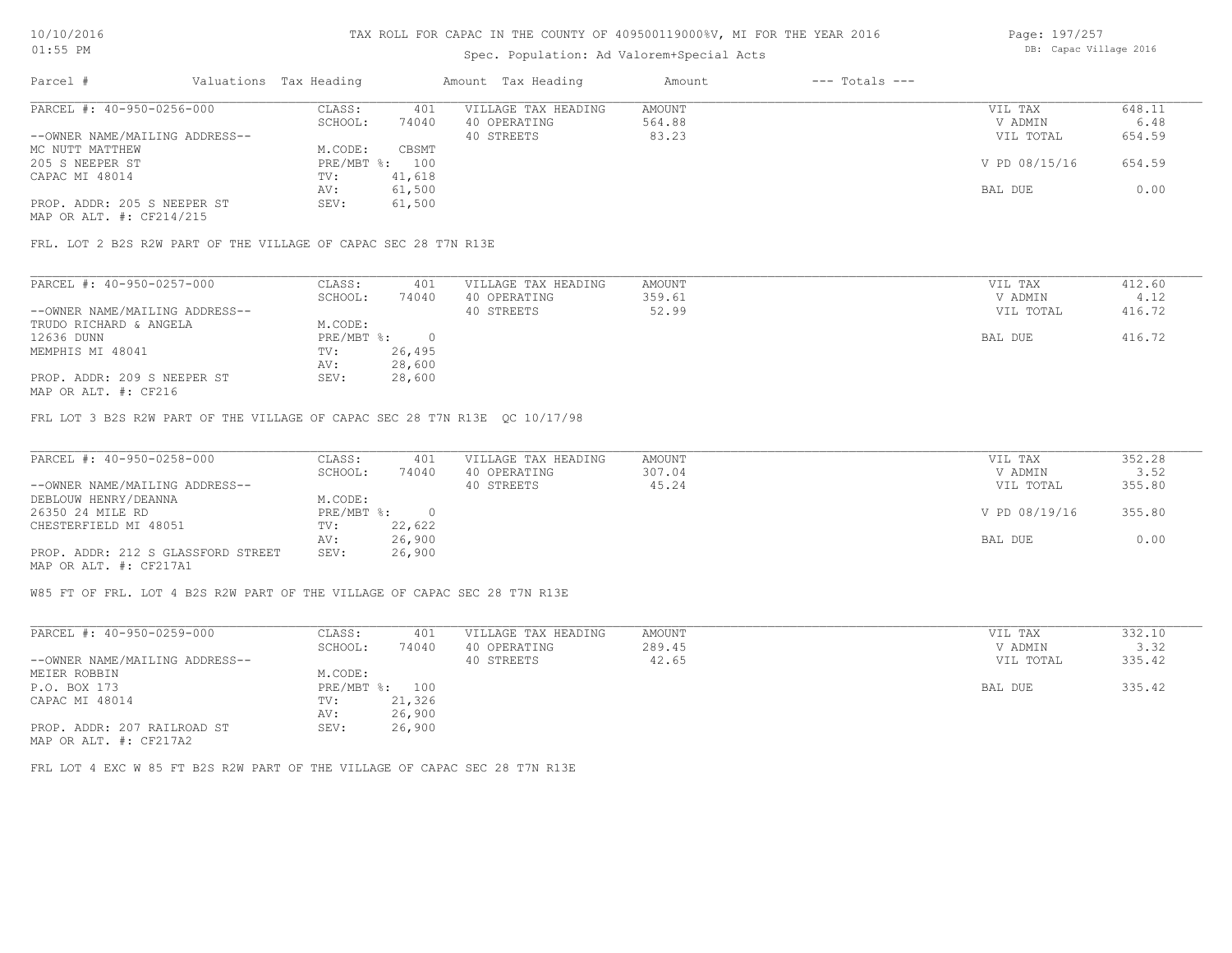## Spec. Population: Ad Valorem+Special Acts

Page: 197/257 DB: Capac Village 2016

| Parcel #                       | Valuations Tax Heading |        | Amount Tax Heading  | Amount | $---$ Totals $---$ |               |        |
|--------------------------------|------------------------|--------|---------------------|--------|--------------------|---------------|--------|
| PARCEL #: 40-950-0256-000      | CLASS:                 | 401    | VILLAGE TAX HEADING | AMOUNT |                    | VIL TAX       | 648.11 |
|                                | SCHOOL:                | 74040  | 40 OPERATING        | 564.88 |                    | V ADMIN       | 6.48   |
| --OWNER NAME/MAILING ADDRESS-- |                        |        | 40 STREETS          | 83.23  |                    | VIL TOTAL     | 654.59 |
| MC NUTT MATTHEW                | M.CODE:                | CBSMT  |                     |        |                    |               |        |
| 205 S NEEPER ST                | PRE/MBT %: 100         |        |                     |        |                    | V PD 08/15/16 | 654.59 |
| CAPAC MI 48014                 | TV:                    | 41,618 |                     |        |                    |               |        |
|                                | AV:                    | 61,500 |                     |        |                    | BAL DUE       | 0.00   |
| PROP. ADDR: 205 S NEEPER ST    | SEV:                   | 61,500 |                     |        |                    |               |        |
| MAP OR ALT. #: CF214/215       |                        |        |                     |        |                    |               |        |

FRL. LOT 2 B2S R2W PART OF THE VILLAGE OF CAPAC SEC 28 T7N R13E

| PARCEL #: 40-950-0257-000                                                                                       | CLASS:     | 401    | VILLAGE TAX HEADING | AMOUNT | VIL TAX   | 412.60 |
|-----------------------------------------------------------------------------------------------------------------|------------|--------|---------------------|--------|-----------|--------|
|                                                                                                                 | SCHOOL:    | 74040  | 40 OPERATING        | 359.61 | V ADMIN   | 4.12   |
| --OWNER NAME/MAILING ADDRESS--                                                                                  |            |        | 40 STREETS          | 52.99  | VIL TOTAL | 416.72 |
| TRUDO RICHARD & ANGELA                                                                                          | M.CODE:    |        |                     |        |           |        |
| 12636 DUNN                                                                                                      | PRE/MBT %: |        |                     |        | BAL DUE   | 416.72 |
| MEMPHIS MI 48041                                                                                                | TV:        | 26,495 |                     |        |           |        |
|                                                                                                                 | AV:        | 28,600 |                     |        |           |        |
| PROP. ADDR: 209 S NEEPER ST                                                                                     | SEV:       | 28,600 |                     |        |           |        |
| the contract of the contract of the contract of the contract of the contract of the contract of the contract of |            |        |                     |        |           |        |

MAP OR ALT. #: CF216

FRL LOT 3 B2S R2W PART OF THE VILLAGE OF CAPAC SEC 28 T7N R13E QC 10/17/98

| PARCEL #: 40-950-0258-000          | CLASS:       | 401    | VILLAGE TAX HEADING | AMOUNT | VIL TAX       | 352.28 |
|------------------------------------|--------------|--------|---------------------|--------|---------------|--------|
|                                    | SCHOOL:      | 74040  | 40 OPERATING        | 307.04 | V ADMIN       | 3.52   |
| --OWNER NAME/MAILING ADDRESS--     |              |        | 40 STREETS          | 45.24  | VIL TOTAL     | 355.80 |
| DEBLOUW HENRY/DEANNA               | M.CODE:      |        |                     |        |               |        |
| 26350 24 MILE RD                   | $PRE/MBT$ %: |        |                     |        | V PD 08/19/16 | 355.80 |
| CHESTERFIELD MI 48051              | TV:          | 22,622 |                     |        |               |        |
|                                    | AV:          | 26,900 |                     |        | BAL DUE       | 0.00   |
| PROP. ADDR: 212 S GLASSFORD STREET | SEV:         | 26,900 |                     |        |               |        |
| MAP OR ALT. #: CF217A1             |              |        |                     |        |               |        |

W85 FT OF FRL. LOT 4 B2S R2W PART OF THE VILLAGE OF CAPAC SEC 28 T7N R13E

| PARCEL #: 40-950-0259-000      | CLASS:     | 401    | VILLAGE TAX HEADING | AMOUNT | VIL TAX   | 332.10 |
|--------------------------------|------------|--------|---------------------|--------|-----------|--------|
|                                | SCHOOL:    | 74040  | 40 OPERATING        | 289.45 | V ADMIN   | 3.32   |
| --OWNER NAME/MAILING ADDRESS-- |            |        | 40 STREETS          | 42.65  | VIL TOTAL | 335.42 |
| MEIER ROBBIN                   | M.CODE:    |        |                     |        |           |        |
| P.O. BOX 173                   | PRE/MBT %: | 100    |                     |        | BAL DUE   | 335.42 |
| CAPAC MI 48014                 | TV:        | 21,326 |                     |        |           |        |
|                                | AV:        | 26,900 |                     |        |           |        |
| PROP. ADDR: 207 RAILROAD ST    | SEV:       | 26,900 |                     |        |           |        |
| MAP OR ALT. #: CF217A2         |            |        |                     |        |           |        |

FRL LOT 4 EXC W 85 FT B2S R2W PART OF THE VILLAGE OF CAPAC SEC 28 T7N R13E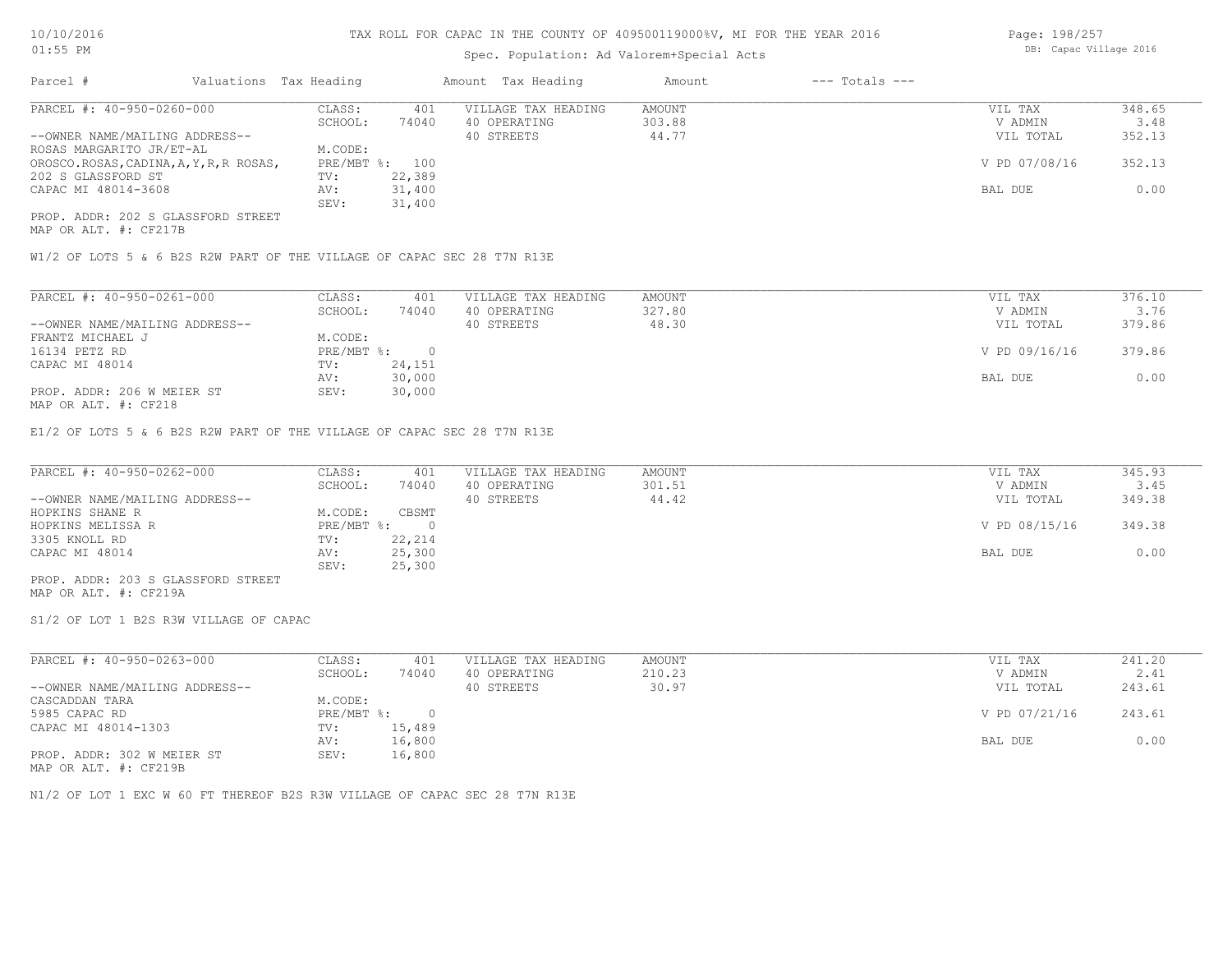## Spec. Population: Ad Valorem+Special Acts

| Page: 198/257          |  |
|------------------------|--|
| DB: Capac Village 2016 |  |

| Parcel #                                | Valuations Tax Heading |        | Amount Tax Heading  | Amount | $---$ Totals $---$ |               |        |
|-----------------------------------------|------------------------|--------|---------------------|--------|--------------------|---------------|--------|
| PARCEL #: 40-950-0260-000               | CLASS:                 | 401    | VILLAGE TAX HEADING | AMOUNT |                    | VIL TAX       | 348.65 |
|                                         | SCHOOL:                | 74040  | 40 OPERATING        | 303.88 |                    | V ADMIN       | 3.48   |
| --OWNER NAME/MAILING ADDRESS--          |                        |        | 40 STREETS          | 44.77  |                    | VIL TOTAL     | 352.13 |
| ROSAS MARGARITO JR/ET-AL                | M.CODE:                |        |                     |        |                    |               |        |
| OROSCO.ROSAS, CADINA, A, Y, R, R ROSAS, | PRE/MBT %: 100         |        |                     |        |                    | V PD 07/08/16 | 352.13 |
| 202 S GLASSFORD ST                      | TV:                    | 22,389 |                     |        |                    |               |        |
| CAPAC MI 48014-3608                     | AV:                    | 31,400 |                     |        |                    | BAL DUE       | 0.00   |
|                                         | SEV:                   | 31,400 |                     |        |                    |               |        |
| PROP. ADDR: 202 S GLASSFORD STREET      |                        |        |                     |        |                    |               |        |

MAP OR ALT. #: CF217B

W1/2 OF LOTS 5 & 6 B2S R2W PART OF THE VILLAGE OF CAPAC SEC 28 T7N R13E

| PARCEL #: 40-950-0261-000      | CLASS:     | 401    | VILLAGE TAX HEADING | AMOUNT | VIL TAX       | 376.10 |
|--------------------------------|------------|--------|---------------------|--------|---------------|--------|
|                                | SCHOOL:    | 74040  | 40 OPERATING        | 327.80 | V ADMIN       | 3.76   |
| --OWNER NAME/MAILING ADDRESS-- |            |        | 40 STREETS          | 48.30  | VIL TOTAL     | 379.86 |
| FRANTZ MICHAEL J               | M.CODE:    |        |                     |        |               |        |
| 16134 PETZ RD                  | PRE/MBT %: |        |                     |        | V PD 09/16/16 | 379.86 |
| CAPAC MI 48014                 | TV:        | 24,151 |                     |        |               |        |
|                                | AV:        | 30,000 |                     |        | BAL DUE       | 0.00   |
| PROP. ADDR: 206 W MEIER ST     | SEV:       | 30,000 |                     |        |               |        |
| 1470 המיה 4.0 תוד את המות      |            |        |                     |        |               |        |

MAP OR ALT. #: CF218

E1/2 OF LOTS 5 & 6 B2S R2W PART OF THE VILLAGE OF CAPAC SEC 28 T7N R13E

| PARCEL #: 40-950-0262-000          | CLASS:     | 401    | VILLAGE TAX HEADING | AMOUNT | VIL TAX       | 345.93 |
|------------------------------------|------------|--------|---------------------|--------|---------------|--------|
|                                    | SCHOOL:    | 74040  | 40 OPERATING        | 301.51 | V ADMIN       | 3.45   |
| --OWNER NAME/MAILING ADDRESS--     |            |        | 40 STREETS          | 44.42  | VIL TOTAL     | 349.38 |
| HOPKINS SHANE R                    | M.CODE:    | CBSMT  |                     |        |               |        |
| HOPKINS MELISSA R                  | PRE/MBT %: |        |                     |        | V PD 08/15/16 | 349.38 |
| 3305 KNOLL RD                      | TV:        | 22,214 |                     |        |               |        |
| CAPAC MI 48014                     | AV:        | 25,300 |                     |        | BAL DUE       | 0.00   |
|                                    | SEV:       | 25,300 |                     |        |               |        |
| PROP. ADDR: 203 S GLASSFORD STREET |            |        |                     |        |               |        |

MAP OR ALT. #: CF219A

S1/2 OF LOT 1 B2S R3W VILLAGE OF CAPAC

| PARCEL #: 40-950-0263-000      | CLASS:     | 401    | VILLAGE TAX HEADING | AMOUNT | VIL TAX       | 241.20 |
|--------------------------------|------------|--------|---------------------|--------|---------------|--------|
|                                | SCHOOL:    | 74040  | 40 OPERATING        | 210.23 | V ADMIN       | 2.41   |
| --OWNER NAME/MAILING ADDRESS-- |            |        | 40 STREETS          | 30.97  | VIL TOTAL     | 243.61 |
| CASCADDAN TARA                 | M.CODE:    |        |                     |        |               |        |
| 5985 CAPAC RD                  | PRE/MBT %: | $\cap$ |                     |        | V PD 07/21/16 | 243.61 |
| CAPAC MI 48014-1303            | TV:        | 15,489 |                     |        |               |        |
|                                | AV:        | 16,800 |                     |        | BAL DUE       | 0.00   |
| PROP. ADDR: 302 W MEIER ST     | SEV:       | 16,800 |                     |        |               |        |

MAP OR ALT. #: CF219B

N1/2 OF LOT 1 EXC W 60 FT THEREOF B2S R3W VILLAGE OF CAPAC SEC 28 T7N R13E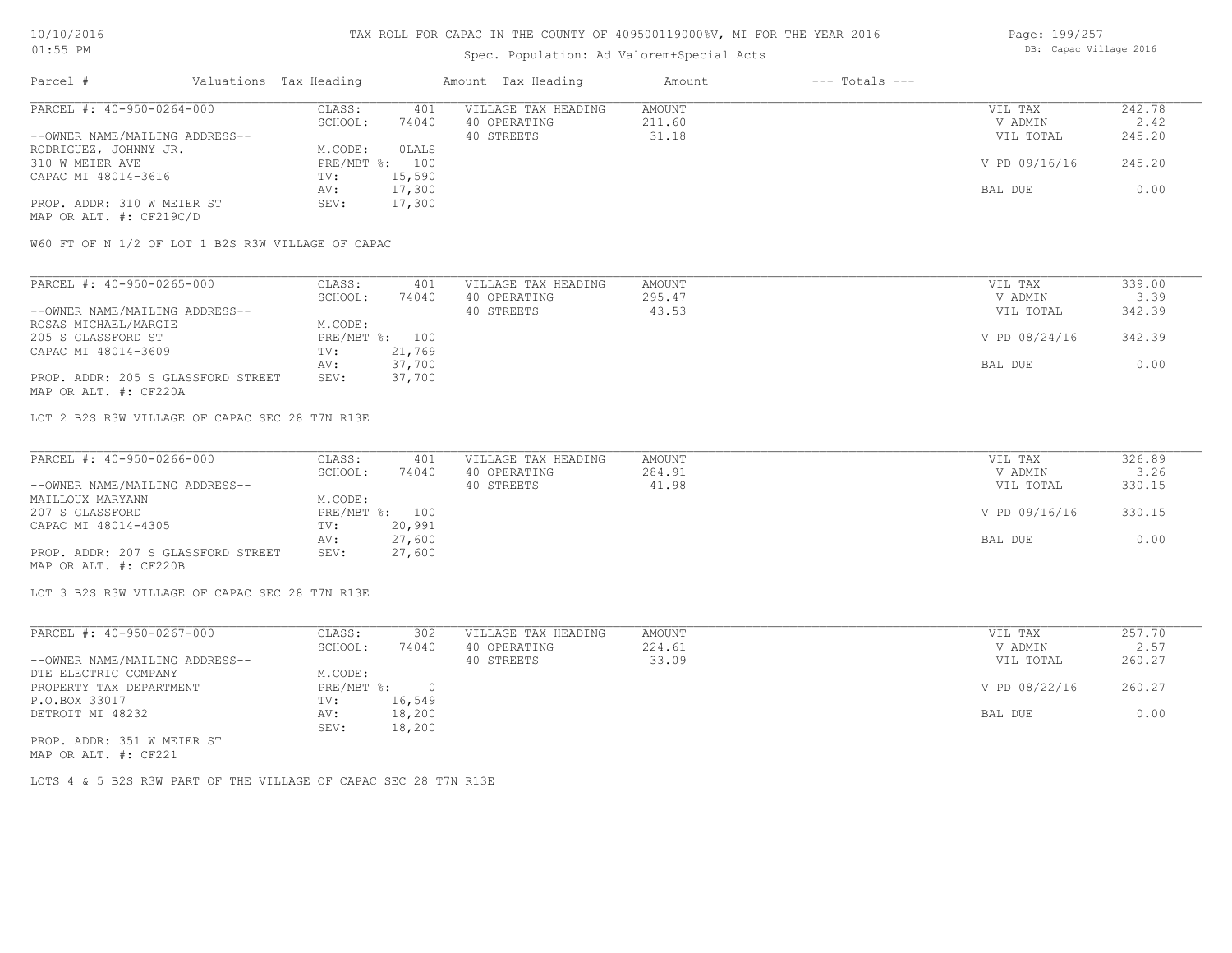## Spec. Population: Ad Valorem+Special Acts

Page: 199/257 DB: Capac Village 2016

| Parcel #                       | Valuations Tax Heading |                | Amount Tax Heading  | Amount | $---$ Totals $---$ |               |        |
|--------------------------------|------------------------|----------------|---------------------|--------|--------------------|---------------|--------|
| PARCEL #: 40-950-0264-000      | CLASS:                 | 401            | VILLAGE TAX HEADING | AMOUNT |                    | VIL TAX       | 242.78 |
|                                | SCHOOL:                | 74040          | 40 OPERATING        | 211.60 |                    | V ADMIN       | 2.42   |
| --OWNER NAME/MAILING ADDRESS-- |                        |                | 40 STREETS          | 31.18  |                    | VIL TOTAL     | 245.20 |
| RODRIGUEZ, JOHNNY JR.          | M.CODE:                | OLALS          |                     |        |                    |               |        |
| 310 W MEIER AVE                |                        | PRE/MBT %: 100 |                     |        |                    | V PD 09/16/16 | 245.20 |
| CAPAC MI 48014-3616            | TV:                    | 15,590         |                     |        |                    |               |        |
|                                | AV:                    | 17,300         |                     |        |                    | BAL DUE       | 0.00   |
| PROP. ADDR: 310 W MEIER ST     | SEV:                   | 17,300         |                     |        |                    |               |        |
| MAP OR ALT. #: CF219C/D        |                        |                |                     |        |                    |               |        |

W60 FT OF N 1/2 OF LOT 1 B2S R3W VILLAGE OF CAPAC

| PARCEL #: 40-950-0265-000          | CLASS:  | 401            | VILLAGE TAX HEADING | AMOUNT | VIL TAX       | 339.00 |
|------------------------------------|---------|----------------|---------------------|--------|---------------|--------|
|                                    | SCHOOL: | 74040          | 40 OPERATING        | 295.47 | V ADMIN       | 3.39   |
| --OWNER NAME/MAILING ADDRESS--     |         |                | 40 STREETS          | 43.53  | VIL TOTAL     | 342.39 |
| ROSAS MICHAEL/MARGIE               | M.CODE: |                |                     |        |               |        |
| 205 S GLASSFORD ST                 |         | PRE/MBT %: 100 |                     |        | V PD 08/24/16 | 342.39 |
| CAPAC MI 48014-3609                | TV:     | 21,769         |                     |        |               |        |
|                                    | AV:     | 37,700         |                     |        | BAL DUE       | 0.00   |
| PROP. ADDR: 205 S GLASSFORD STREET | SEV:    | 37,700         |                     |        |               |        |
| MAP OR ALT. #: CF220A              |         |                |                     |        |               |        |

LOT 2 B2S R3W VILLAGE OF CAPAC SEC 28 T7N R13E

| PARCEL #: 40-950-0266-000          | CLASS:  | 401            | VILLAGE TAX HEADING | AMOUNT | VIL TAX       | 326.89 |
|------------------------------------|---------|----------------|---------------------|--------|---------------|--------|
|                                    | SCHOOL: | 74040          | 40 OPERATING        | 284.91 | V ADMIN       | 3.26   |
| --OWNER NAME/MAILING ADDRESS--     |         |                | 40 STREETS          | 41.98  | VIL TOTAL     | 330.15 |
| MAILLOUX MARYANN                   | M.CODE: |                |                     |        |               |        |
| 207 S GLASSFORD                    |         | PRE/MBT %: 100 |                     |        | V PD 09/16/16 | 330.15 |
| CAPAC MI 48014-4305                | TV:     | 20,991         |                     |        |               |        |
|                                    | AV:     | 27,600         |                     |        | BAL DUE       | 0.00   |
| PROP. ADDR: 207 S GLASSFORD STREET | SEV:    | 27,600         |                     |        |               |        |
| MAP OR ALT. #: CF220B              |         |                |                     |        |               |        |

LOT 3 B2S R3W VILLAGE OF CAPAC SEC 28 T7N R13E

| PARCEL #: 40-950-0267-000      | CLASS:     | 302      | VILLAGE TAX HEADING | AMOUNT | VIL TAX       | 257.70 |
|--------------------------------|------------|----------|---------------------|--------|---------------|--------|
|                                | SCHOOL:    | 74040    | 40 OPERATING        | 224.61 | V ADMIN       | 2.57   |
| --OWNER NAME/MAILING ADDRESS-- |            |          | 40 STREETS          | 33.09  | VIL TOTAL     | 260.27 |
| DTE ELECTRIC COMPANY           | M.CODE:    |          |                     |        |               |        |
| PROPERTY TAX DEPARTMENT        | PRE/MBT %: | $\Omega$ |                     |        | V PD 08/22/16 | 260.27 |
| P.O.BOX 33017                  | TV:        | 16,549   |                     |        |               |        |
| DETROIT MI 48232               | AV:        | 18,200   |                     |        | BAL DUE       | 0.00   |
|                                | SEV:       | 18,200   |                     |        |               |        |
| PROP. ADDR: 351 W MEIER ST     |            |          |                     |        |               |        |

MAP OR ALT. #: CF221

LOTS 4 & 5 B2S R3W PART OF THE VILLAGE OF CAPAC SEC 28 T7N R13E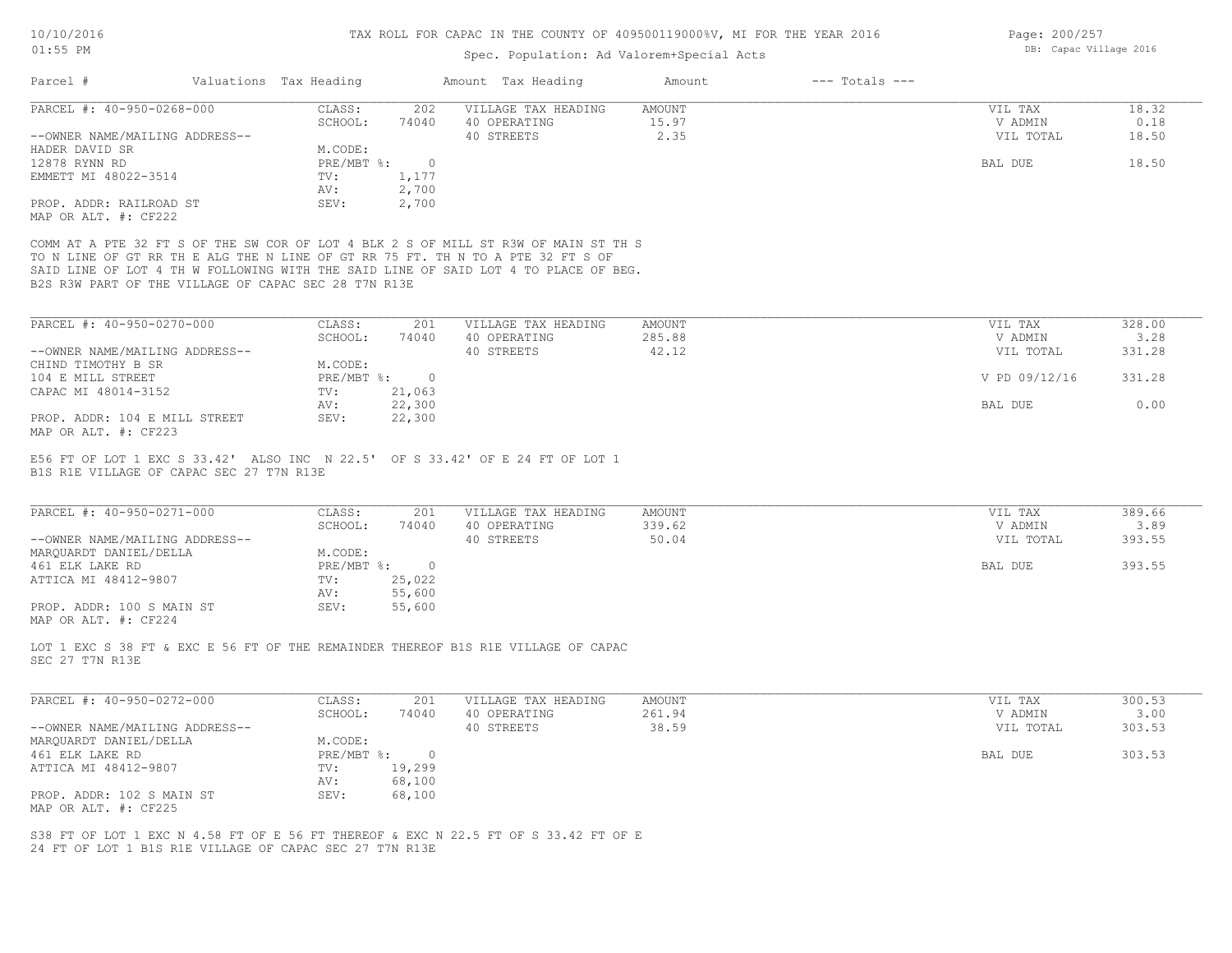Page: 200/257

# Spec. Population: Ad Valorem+Special Acts

| Parcel #<br>PARCEL #: 40-950-0268-000<br>--OWNER NAME/MAILING ADDRESS--<br>HADER DAVID SR<br>12878 RYNN RD<br>EMMETT MI 48022-3514<br>PROP. ADDR: RAILROAD ST<br>MAP OR ALT. #: CF222<br>COMM AT A PTE 32 FT S OF THE SW COR OF LOT 4 BLK 2 S OF MILL ST R3W OF MAIN ST TH S | Valuations Tax Heading<br>CLASS:<br>202<br>74040<br>SCHOOL:<br>M.CODE:<br>$PRE/MBT$ $\div$<br>$\circ$<br>1,177<br>TV:<br>2,700<br>AV: | Amount Tax Heading<br>VILLAGE TAX HEADING<br>40 OPERATING<br>40 STREETS | $---$ Totals $---$<br>Amount<br>AMOUNT<br>15.97<br>2.35 | VIL TAX<br>V ADMIN<br>VIL TOTAL |                |
|------------------------------------------------------------------------------------------------------------------------------------------------------------------------------------------------------------------------------------------------------------------------------|---------------------------------------------------------------------------------------------------------------------------------------|-------------------------------------------------------------------------|---------------------------------------------------------|---------------------------------|----------------|
|                                                                                                                                                                                                                                                                              |                                                                                                                                       |                                                                         |                                                         |                                 | 18.32<br>0.18  |
|                                                                                                                                                                                                                                                                              |                                                                                                                                       |                                                                         |                                                         |                                 |                |
|                                                                                                                                                                                                                                                                              |                                                                                                                                       |                                                                         |                                                         |                                 |                |
|                                                                                                                                                                                                                                                                              |                                                                                                                                       |                                                                         |                                                         |                                 | 18.50          |
|                                                                                                                                                                                                                                                                              |                                                                                                                                       |                                                                         |                                                         |                                 |                |
|                                                                                                                                                                                                                                                                              |                                                                                                                                       |                                                                         |                                                         | BAL DUE                         | 18.50          |
|                                                                                                                                                                                                                                                                              |                                                                                                                                       |                                                                         |                                                         |                                 |                |
|                                                                                                                                                                                                                                                                              |                                                                                                                                       |                                                                         |                                                         |                                 |                |
|                                                                                                                                                                                                                                                                              | SEV:<br>2,700                                                                                                                         |                                                                         |                                                         |                                 |                |
|                                                                                                                                                                                                                                                                              |                                                                                                                                       |                                                                         |                                                         |                                 |                |
| TO N LINE OF GT RR TH E ALG THE N LINE OF GT RR 75 FT. TH N TO A PTE 32 FT S OF<br>SAID LINE OF LOT 4 TH W FOLLOWING WITH THE SAID LINE OF SAID LOT 4 TO PLACE OF BEG.<br>B2S R3W PART OF THE VILLAGE OF CAPAC SEC 28 T7N R13E                                               |                                                                                                                                       |                                                                         |                                                         |                                 |                |
|                                                                                                                                                                                                                                                                              |                                                                                                                                       |                                                                         |                                                         |                                 | 328.00         |
| PARCEL #: 40-950-0270-000                                                                                                                                                                                                                                                    | CLASS:<br>201                                                                                                                         | VILLAGE TAX HEADING                                                     | AMOUNT                                                  | VIL TAX                         |                |
|                                                                                                                                                                                                                                                                              | SCHOOL:<br>74040                                                                                                                      | 40 OPERATING                                                            | 285.88                                                  | V ADMIN                         | 3.28           |
| --OWNER NAME/MAILING ADDRESS--                                                                                                                                                                                                                                               |                                                                                                                                       | 40 STREETS                                                              | 42.12                                                   | VIL TOTAL                       | 331.28         |
| CHIND TIMOTHY B SR                                                                                                                                                                                                                                                           | M.CODE:                                                                                                                               |                                                                         |                                                         |                                 |                |
| 104 E MILL STREET                                                                                                                                                                                                                                                            | $PRE/MBT$ $\div$<br>$\circ$                                                                                                           |                                                                         |                                                         | V PD 09/12/16                   | 331.28         |
| CAPAC MI 48014-3152                                                                                                                                                                                                                                                          | 21,063<br>TV:                                                                                                                         |                                                                         |                                                         |                                 |                |
|                                                                                                                                                                                                                                                                              | 22,300<br>AV:                                                                                                                         |                                                                         |                                                         | BAL DUE                         | 0.00           |
| PROP. ADDR: 104 E MILL STREET                                                                                                                                                                                                                                                | 22,300<br>SEV:                                                                                                                        |                                                                         |                                                         |                                 |                |
| MAP OR ALT. #: CF223                                                                                                                                                                                                                                                         |                                                                                                                                       |                                                                         |                                                         |                                 |                |
| PARCEL #: 40-950-0271-000                                                                                                                                                                                                                                                    | CLASS:<br>201                                                                                                                         | VILLAGE TAX HEADING                                                     | AMOUNT                                                  | VIL TAX                         | 389.66         |
|                                                                                                                                                                                                                                                                              | SCHOOL:<br>74040                                                                                                                      | 40 OPERATING                                                            | 339.62                                                  | V ADMIN                         | 3.89           |
| --OWNER NAME/MAILING ADDRESS--                                                                                                                                                                                                                                               |                                                                                                                                       | 40 STREETS                                                              | 50.04                                                   | VIL TOTAL                       | 393.55         |
| MARQUARDT DANIEL/DELLA                                                                                                                                                                                                                                                       | M.CODE:                                                                                                                               |                                                                         |                                                         |                                 |                |
| 461 ELK LAKE RD                                                                                                                                                                                                                                                              | $PRE/MBT$ %:<br>$\overline{0}$                                                                                                        |                                                                         |                                                         | BAL DUE                         | 393.55         |
| ATTICA MI 48412-9807                                                                                                                                                                                                                                                         | 25,022<br>TV:                                                                                                                         |                                                                         |                                                         |                                 |                |
|                                                                                                                                                                                                                                                                              | 55,600<br>AV:                                                                                                                         |                                                                         |                                                         |                                 |                |
| PROP. ADDR: 100 S MAIN ST<br>MAP OR ALT. #: CF224                                                                                                                                                                                                                            | 55,600<br>SEV:                                                                                                                        |                                                                         |                                                         |                                 |                |
| LOT 1 EXC S 38 FT & EXC E 56 FT OF THE REMAINDER THEREOF B1S R1E VILLAGE OF CAPAC<br>SEC 27 T7N R13E                                                                                                                                                                         |                                                                                                                                       |                                                                         |                                                         |                                 |                |
| PARCEL #: 40-950-0272-000                                                                                                                                                                                                                                                    | CLASS:<br>201<br>SCHOOL:<br>74040                                                                                                     | VILLAGE TAX HEADING<br>40 OPERATING                                     | AMOUNT<br>261.94                                        | VIL TAX<br>V ADMIN              | 300.53<br>3.00 |
| --OWNER NAME/MAILING ADDRESS--                                                                                                                                                                                                                                               |                                                                                                                                       | 40 STREETS                                                              | 38.59                                                   |                                 | 303.53         |
|                                                                                                                                                                                                                                                                              | M.CODE:                                                                                                                               |                                                                         |                                                         | VIL TOTAL                       |                |
| MARQUARDT DANIEL/DELLA                                                                                                                                                                                                                                                       |                                                                                                                                       |                                                                         |                                                         |                                 |                |
| 461 ELK LAKE RD                                                                                                                                                                                                                                                              | PRE/MBT %: 0                                                                                                                          |                                                                         |                                                         | BAL DUE                         | 303.53         |
| ATTICA MI 48412-9807                                                                                                                                                                                                                                                         | 19,299<br>TV:                                                                                                                         |                                                                         |                                                         |                                 |                |
|                                                                                                                                                                                                                                                                              | 68,100<br>AV:                                                                                                                         |                                                                         |                                                         |                                 |                |
| PROP. ADDR: 102 S MAIN ST                                                                                                                                                                                                                                                    | 68,100<br>SEV:                                                                                                                        |                                                                         |                                                         |                                 |                |
| MAP OR ALT. #: CF225                                                                                                                                                                                                                                                         |                                                                                                                                       |                                                                         |                                                         |                                 |                |
| S38 FT OF LOT 1 EXC N 4.58 FT OF E 56 FT THEREOF & EXC N 22.5 FT OF S 33.42 FT OF E                                                                                                                                                                                          |                                                                                                                                       |                                                                         |                                                         |                                 |                |
| 24 FT OF LOT 1 B1S R1E VILLAGE OF CAPAC SEC 27 T7N R13E                                                                                                                                                                                                                      |                                                                                                                                       |                                                                         |                                                         |                                 |                |
|                                                                                                                                                                                                                                                                              |                                                                                                                                       |                                                                         |                                                         |                                 |                |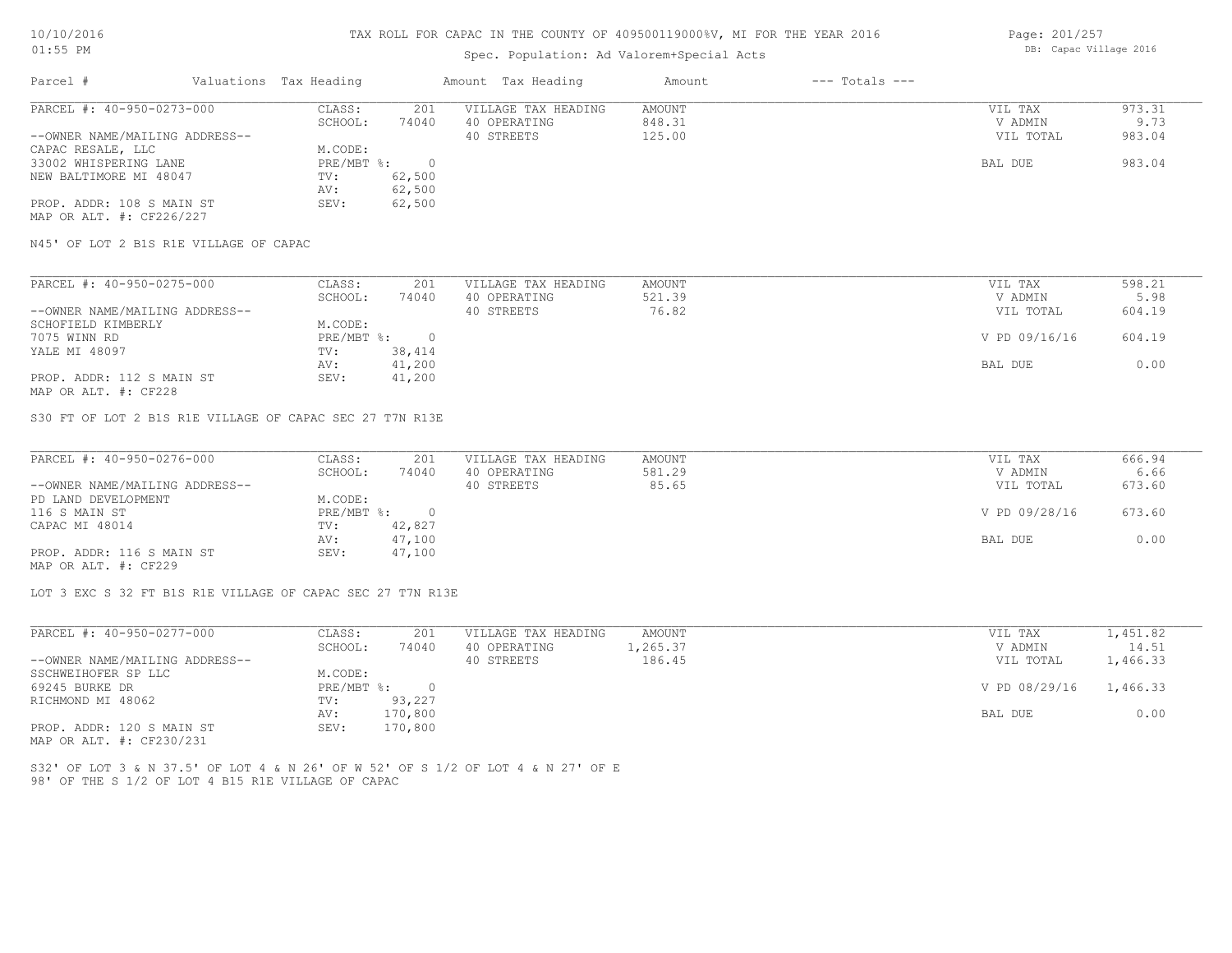## Spec. Population: Ad Valorem+Special Acts

Page: 201/257 DB: Capac Village 2016

| Parcel #                       | Valuations Tax Heading |        | Amount Tax Heading  | Amount | $---$ Totals $---$ |           |        |
|--------------------------------|------------------------|--------|---------------------|--------|--------------------|-----------|--------|
| PARCEL #: 40-950-0273-000      | CLASS:                 | 201    | VILLAGE TAX HEADING | AMOUNT |                    | VIL TAX   | 973.31 |
|                                | SCHOOL:                | 74040  | 40 OPERATING        | 848.31 |                    | V ADMIN   | 9.73   |
| --OWNER NAME/MAILING ADDRESS-- |                        |        | 40 STREETS          | 125.00 |                    | VIL TOTAL | 983.04 |
| CAPAC RESALE, LLC              | M.CODE:                |        |                     |        |                    |           |        |
| 33002 WHISPERING LANE          | PRE/MBT %:             |        |                     |        |                    | BAL DUE   | 983.04 |
| NEW BALTIMORE MI 48047         | TV:                    | 62,500 |                     |        |                    |           |        |
|                                | AV:                    | 62,500 |                     |        |                    |           |        |
| PROP. ADDR: 108 S MAIN ST      | SEV:                   | 62,500 |                     |        |                    |           |        |
| MAP OR ALT. #: CF226/227       |                        |        |                     |        |                    |           |        |

N45' OF LOT 2 B1S R1E VILLAGE OF CAPAC

| PARCEL #: 40-950-0275-000      | CLASS:     | 201    | VILLAGE TAX HEADING | AMOUNT | VIL TAX       | 598.21 |
|--------------------------------|------------|--------|---------------------|--------|---------------|--------|
|                                | SCHOOL:    | 74040  | 40 OPERATING        | 521.39 | V ADMIN       | 5.98   |
| --OWNER NAME/MAILING ADDRESS-- |            |        | 40 STREETS          | 76.82  | VIL TOTAL     | 604.19 |
| SCHOFIELD KIMBERLY             | M.CODE:    |        |                     |        |               |        |
| 7075 WINN RD                   | PRE/MBT %: |        |                     |        | V PD 09/16/16 | 604.19 |
| YALE MI 48097                  | TV:        | 38,414 |                     |        |               |        |
|                                | AV:        | 41,200 |                     |        | BAL DUE       | 0.00   |
| PROP. ADDR: 112 S MAIN ST      | SEV:       | 41,200 |                     |        |               |        |
| MAP OR ALT. #: CF228           |            |        |                     |        |               |        |

S30 FT OF LOT 2 B1S R1E VILLAGE OF CAPAC SEC 27 T7N R13E

| PARCEL #: 40-950-0276-000      | CLASS:     | 201    | VILLAGE TAX HEADING | AMOUNT | VIL TAX       | 666.94 |
|--------------------------------|------------|--------|---------------------|--------|---------------|--------|
|                                | SCHOOL:    | 74040  | 40 OPERATING        | 581.29 | V ADMIN       | 6.66   |
| --OWNER NAME/MAILING ADDRESS-- |            |        | 40 STREETS          | 85.65  | VIL TOTAL     | 673.60 |
| PD LAND DEVELOPMENT            | M.CODE:    |        |                     |        |               |        |
| 116 S MAIN ST                  | PRE/MBT %: |        |                     |        | V PD 09/28/16 | 673.60 |
| CAPAC MI 48014                 | TV:        | 42,827 |                     |        |               |        |
|                                | AV:        | 47,100 |                     |        | BAL DUE       | 0.00   |
| PROP. ADDR: 116 S MAIN ST      | SEV:       | 47,100 |                     |        |               |        |
| MAP OR ALT. #: CF229           |            |        |                     |        |               |        |

LOT 3 EXC S 32 FT B1S R1E VILLAGE OF CAPAC SEC 27 T7N R13E

| PARCEL #: 40-950-0277-000      | CLASS:     | 201     | VILLAGE TAX HEADING | AMOUNT   | VIL TAX       | 1,451.82 |
|--------------------------------|------------|---------|---------------------|----------|---------------|----------|
|                                | SCHOOL:    | 74040   | 40 OPERATING        | 1,265.37 | V ADMIN       | 14.51    |
| --OWNER NAME/MAILING ADDRESS-- |            |         | 40 STREETS          | 186.45   | VIL TOTAL     | 1,466.33 |
| SSCHWEIHOFER SP LLC            | M.CODE:    |         |                     |          |               |          |
| 69245 BURKE DR                 | PRE/MBT %: |         |                     |          | V PD 08/29/16 | 1,466.33 |
| RICHMOND MI 48062              | TV:        | 93,227  |                     |          |               |          |
|                                | AV:        | 170,800 |                     |          | BAL DUE       | 0.00     |
| PROP. ADDR: 120 S MAIN ST      | SEV:       | 170,800 |                     |          |               |          |

MAP OR ALT. #: CF230/231

98' OF THE S 1/2 OF LOT 4 B15 R1E VILLAGE OF CAPAC S32' OF LOT 3 & N 37.5' OF LOT 4 & N 26' OF W 52' OF S 1/2 OF LOT 4 & N 27' OF E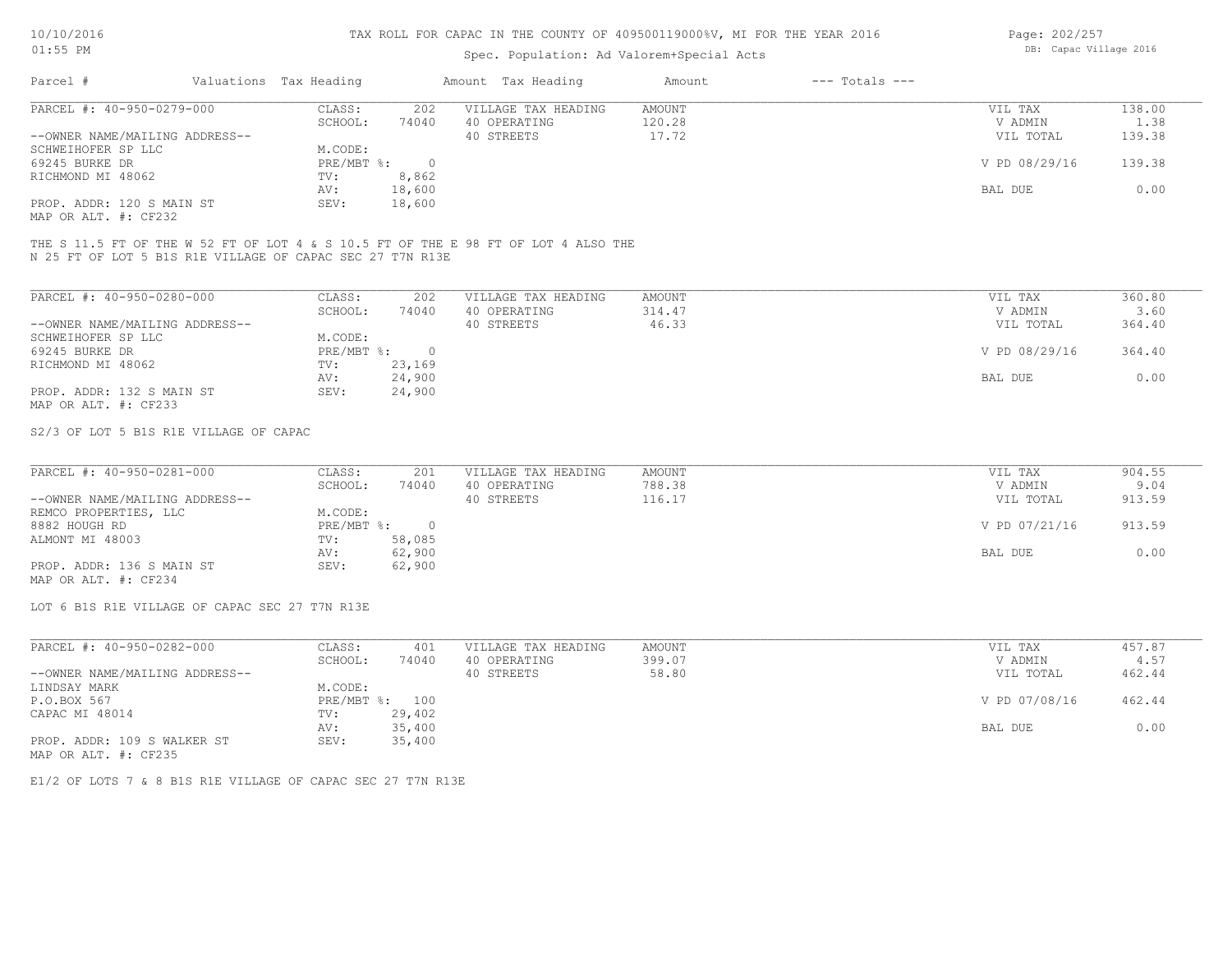## Spec. Population: Ad Valorem+Special Acts

| Page: 202/257 |                        |  |
|---------------|------------------------|--|
|               | DB: Capac Village 2016 |  |

| Parcel #                       | Valuations Tax Heading |        | Amount Tax Heading  | Amount | $---$ Totals $---$ |               |        |
|--------------------------------|------------------------|--------|---------------------|--------|--------------------|---------------|--------|
| PARCEL #: 40-950-0279-000      | CLASS:                 | 202    | VILLAGE TAX HEADING | AMOUNT |                    | VIL TAX       | 138.00 |
|                                | SCHOOL:                | 74040  | 40 OPERATING        | 120.28 |                    | V ADMIN       | 1.38   |
| --OWNER NAME/MAILING ADDRESS-- |                        |        | 40 STREETS          | 17.72  |                    | VIL TOTAL     | 139.38 |
| SCHWEIHOFER SP LLC             | M.CODE:                |        |                     |        |                    |               |        |
| 69245 BURKE DR                 | PRE/MBT %:             |        |                     |        |                    | V PD 08/29/16 | 139.38 |
| RICHMOND MI 48062              | TV:                    | 8,862  |                     |        |                    |               |        |
|                                | AV:                    | 18,600 |                     |        |                    | BAL DUE       | 0.00   |
| PROP. ADDR: 120 S MAIN ST      | SEV:                   | 18,600 |                     |        |                    |               |        |
|                                |                        |        |                     |        |                    |               |        |

MAP OR ALT. #: CF232

N 25 FT OF LOT 5 B1S R1E VILLAGE OF CAPAC SEC 27 T7N R13E THE S 11.5 FT OF THE W 52 FT OF LOT 4 & S 10.5 FT OF THE E 98 FT OF LOT 4 ALSO THE

| PARCEL #: 40-950-0280-000      | CLASS:     | 202    | VILLAGE TAX HEADING | AMOUNT | 360.80<br>VIL TAX       |
|--------------------------------|------------|--------|---------------------|--------|-------------------------|
|                                | SCHOOL:    | 74040  | 40 OPERATING        | 314.47 | V ADMIN<br>3.60         |
| --OWNER NAME/MAILING ADDRESS-- |            |        | 40 STREETS          | 46.33  | 364.40<br>VIL TOTAL     |
| SCHWEIHOFER SP LLC             | M.CODE:    |        |                     |        |                         |
| 69245 BURKE DR                 | PRE/MBT %: | $\cap$ |                     |        | V PD 08/29/16<br>364.40 |
| RICHMOND MI 48062              | TV:        | 23,169 |                     |        |                         |
|                                | AV:        | 24,900 |                     |        | 0.00<br>BAL DUE         |
| PROP. ADDR: 132 S MAIN ST      | SEV:       | 24,900 |                     |        |                         |
| MAP OR ALT. #: CF233           |            |        |                     |        |                         |

S2/3 OF LOT 5 B1S R1E VILLAGE OF CAPAC

| PARCEL #: 40-950-0281-000      | CLASS:     | 201    | VILLAGE TAX HEADING | AMOUNT | VIL TAX       | 904.55 |
|--------------------------------|------------|--------|---------------------|--------|---------------|--------|
|                                | SCHOOL:    | 74040  | 40 OPERATING        | 788.38 | V ADMIN       | 9.04   |
| --OWNER NAME/MAILING ADDRESS-- |            |        | 40 STREETS          | 116.17 | VIL TOTAL     | 913.59 |
| REMCO PROPERTIES, LLC          | M.CODE:    |        |                     |        |               |        |
| 8882 HOUGH RD                  | PRE/MBT %: |        |                     |        | V PD 07/21/16 | 913.59 |
| ALMONT MI 48003                | TV:        | 58,085 |                     |        |               |        |
|                                | AV:        | 62,900 |                     |        | BAL DUE       | 0.00   |
| PROP. ADDR: 136 S MAIN ST      | SEV:       | 62,900 |                     |        |               |        |
| MAP OR ALT. #: CF234           |            |        |                     |        |               |        |

LOT 6 B1S R1E VILLAGE OF CAPAC SEC 27 T7N R13E

| PARCEL #: 40-950-0282-000      | CLASS:  | 401            | VILLAGE TAX HEADING | AMOUNT | VIL TAX       | 457.87 |
|--------------------------------|---------|----------------|---------------------|--------|---------------|--------|
|                                | SCHOOL: | 74040          | 40 OPERATING        | 399.07 | V ADMIN       | 4.57   |
| --OWNER NAME/MAILING ADDRESS-- |         |                | 40 STREETS          | 58.80  | VIL TOTAL     | 462.44 |
| LINDSAY MARK                   | M.CODE: |                |                     |        |               |        |
| P.O.BOX 567                    |         | PRE/MBT %: 100 |                     |        | V PD 07/08/16 | 462.44 |
| CAPAC MI 48014                 | TV:     | 29,402         |                     |        |               |        |
|                                | AV:     | 35,400         |                     |        | BAL DUE       | 0.00   |
| PROP. ADDR: 109 S WALKER ST    | SEV:    | 35,400         |                     |        |               |        |
| MAP OR ALT. #: CF235           |         |                |                     |        |               |        |

E1/2 OF LOTS 7 & 8 B1S R1E VILLAGE OF CAPAC SEC 27 T7N R13E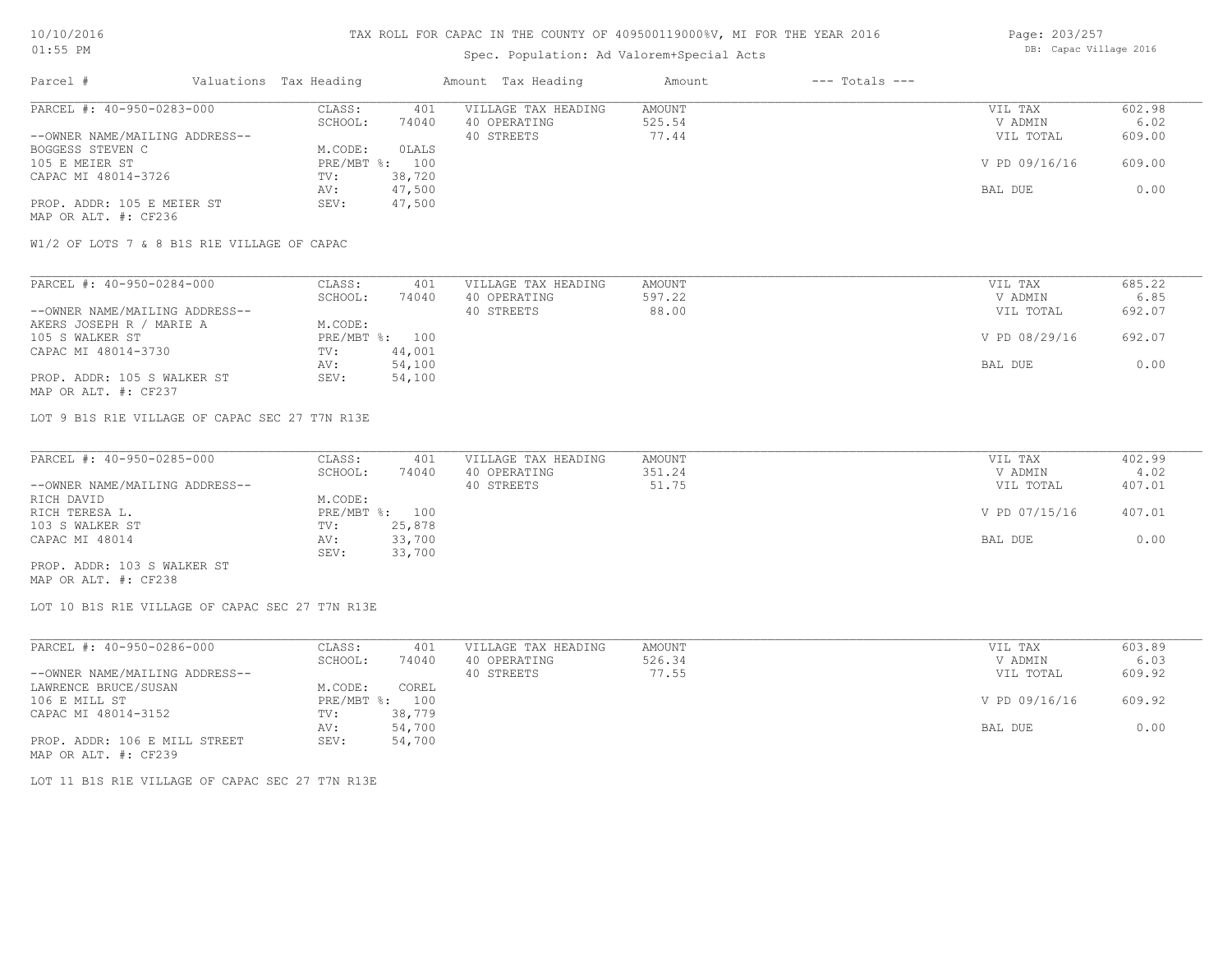## Spec. Population: Ad Valorem+Special Acts

Page: 203/257 DB: Capac Village 2016

| Parcel #                       | Valuations Tax Heading |                | Amount Tax Heading  | Amount | $---$ Totals $---$ |               |        |
|--------------------------------|------------------------|----------------|---------------------|--------|--------------------|---------------|--------|
| PARCEL #: 40-950-0283-000      | CLASS:                 | 401            | VILLAGE TAX HEADING | AMOUNT |                    | VIL TAX       | 602.98 |
|                                | SCHOOL:                | 74040          | 40 OPERATING        | 525.54 |                    | V ADMIN       | 6.02   |
| --OWNER NAME/MAILING ADDRESS-- |                        |                | 40 STREETS          | 77.44  |                    | VIL TOTAL     | 609.00 |
| BOGGESS STEVEN C               | M.CODE:                | OLALS          |                     |        |                    |               |        |
| 105 E MEIER ST                 |                        | PRE/MBT %: 100 |                     |        |                    | V PD 09/16/16 | 609.00 |
| CAPAC MI 48014-3726            | TV:                    | 38,720         |                     |        |                    |               |        |
|                                | AV:                    | 47,500         |                     |        |                    | BAL DUE       | 0.00   |
| PROP. ADDR: 105 E MEIER ST     | SEV:                   | 47,500         |                     |        |                    |               |        |
| MAP OR ALT. #: CF236           |                        |                |                     |        |                    |               |        |

W1/2 OF LOTS 7 & 8 B1S R1E VILLAGE OF CAPAC

| PARCEL #: 40-950-0284-000      | CLASS:  | 401            | VILLAGE TAX HEADING | AMOUNT | VIL TAX       | 685.22 |
|--------------------------------|---------|----------------|---------------------|--------|---------------|--------|
|                                | SCHOOL: | 74040          | 40 OPERATING        | 597.22 | V ADMIN       | 6.85   |
| --OWNER NAME/MAILING ADDRESS-- |         |                | 40 STREETS          | 88.00  | VIL TOTAL     | 692.07 |
| AKERS JOSEPH R / MARIE A       | M.CODE: |                |                     |        |               |        |
| 105 S WALKER ST                |         | PRE/MBT %: 100 |                     |        | V PD 08/29/16 | 692.07 |
| CAPAC MI 48014-3730            | TV:     | 44,001         |                     |        |               |        |
|                                | AV:     | 54,100         |                     |        | BAL DUE       | 0.00   |
| PROP. ADDR: 105 S WALKER ST    | SEV:    | 54,100         |                     |        |               |        |
| MAP OR ALT. #: CF237           |         |                |                     |        |               |        |

LOT 9 B1S R1E VILLAGE OF CAPAC SEC 27 T7N R13E

| PARCEL #: 40-950-0285-000      | CLASS:  | 401            | VILLAGE TAX HEADING | AMOUNT | VIL TAX       | 402.99 |
|--------------------------------|---------|----------------|---------------------|--------|---------------|--------|
|                                | SCHOOL: | 74040          | 40 OPERATING        | 351.24 | V ADMIN       | 4.02   |
| --OWNER NAME/MAILING ADDRESS-- |         |                | 40 STREETS          | 51.75  | VIL TOTAL     | 407.01 |
| RICH DAVID                     | M.CODE: |                |                     |        |               |        |
| RICH TERESA L.                 |         | PRE/MBT %: 100 |                     |        | V PD 07/15/16 | 407.01 |
| 103 S WALKER ST                | TV:     | 25,878         |                     |        |               |        |
| CAPAC MI 48014                 | AV:     | 33,700         |                     |        | BAL DUE       | 0.00   |
|                                | SEV:    | 33,700         |                     |        |               |        |
| PROP. ADDR: 103 S WALKER ST    |         |                |                     |        |               |        |

MAP OR ALT. #: CF238

LOT 10 B1S R1E VILLAGE OF CAPAC SEC 27 T7N R13E

| PARCEL #: 40-950-0286-000      | CLASS:       | 401    | VILLAGE TAX HEADING | AMOUNT | VIL TAX       | 603.89 |
|--------------------------------|--------------|--------|---------------------|--------|---------------|--------|
|                                | SCHOOL:      | 74040  | 40 OPERATING        | 526.34 | V ADMIN       | 6.03   |
| --OWNER NAME/MAILING ADDRESS-- |              |        | 40 STREETS          | 77.55  | VIL TOTAL     | 609.92 |
| LAWRENCE BRUCE/SUSAN           | M.CODE:      | COREL  |                     |        |               |        |
| 106 E MILL ST                  | $PRE/MBT$ %: | 100    |                     |        | V PD 09/16/16 | 609.92 |
| CAPAC MI 48014-3152            | TV:          | 38,779 |                     |        |               |        |
|                                | AV:          | 54,700 |                     |        | BAL DUE       | 0.00   |
| PROP. ADDR: 106 E MILL STREET  | SEV:         | 54,700 |                     |        |               |        |
| MAP OR ALT. #: CF239           |              |        |                     |        |               |        |

LOT 11 B1S R1E VILLAGE OF CAPAC SEC 27 T7N R13E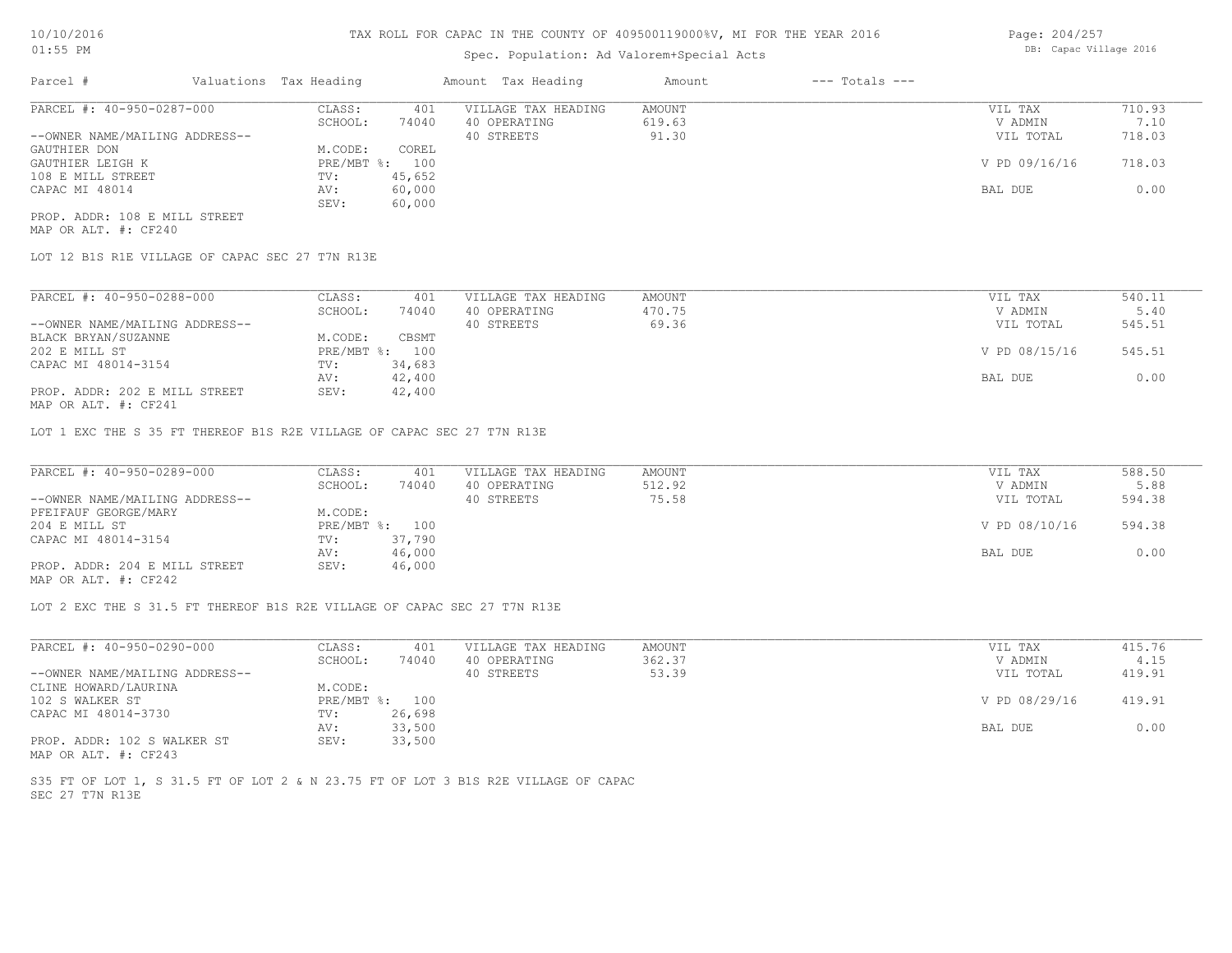## Spec. Population: Ad Valorem+Special Acts

| Page: 204/257          |  |
|------------------------|--|
| DB: Capac Village 2016 |  |

| Parcel #                       | Valuations Tax Heading |        | Amount Tax Heading  | Amount | $---$ Totals $---$ |               |        |
|--------------------------------|------------------------|--------|---------------------|--------|--------------------|---------------|--------|
| PARCEL #: 40-950-0287-000      | CLASS:                 | 401    | VILLAGE TAX HEADING | AMOUNT |                    | VIL TAX       | 710.93 |
|                                | SCHOOL:                | 74040  | 40 OPERATING        | 619.63 |                    | V ADMIN       | 7.10   |
| --OWNER NAME/MAILING ADDRESS-- |                        |        | 40 STREETS          | 91.30  |                    | VIL TOTAL     | 718.03 |
| GAUTHIER DON                   | M.CODE:                | COREL  |                     |        |                    |               |        |
| GAUTHIER LEIGH K               | $PRE/MBT$ %:           | 100    |                     |        |                    | V PD 09/16/16 | 718.03 |
| 108 E MILL STREET              | TV:                    | 45,652 |                     |        |                    |               |        |
| CAPAC MI 48014                 | AV:                    | 60,000 |                     |        |                    | BAL DUE       | 0.00   |
|                                | SEV:                   | 60,000 |                     |        |                    |               |        |
| PROP. ADDR: 108 E MILL STREET  |                        |        |                     |        |                    |               |        |

MAP OR ALT. #: CF240

LOT 12 B1S R1E VILLAGE OF CAPAC SEC 27 T7N R13E

| PARCEL #: 40-950-0288-000                      | CLASS:  | 401            | VILLAGE TAX HEADING | AMOUNT | VIL TAX       | 540.11 |
|------------------------------------------------|---------|----------------|---------------------|--------|---------------|--------|
|                                                | SCHOOL: | 74040          | 40 OPERATING        | 470.75 | V ADMIN       | 5.40   |
| --OWNER NAME/MAILING ADDRESS--                 |         |                | 40 STREETS          | 69.36  | VIL TOTAL     | 545.51 |
| BLACK BRYAN/SUZANNE                            | M.CODE: | CBSMT          |                     |        |               |        |
| 202 E MILL ST                                  |         | PRE/MBT %: 100 |                     |        | V PD 08/15/16 | 545.51 |
| CAPAC MI 48014-3154                            | TV:     | 34,683         |                     |        |               |        |
|                                                | AV:     | 42,400         |                     |        | BAL DUE       | 0.00   |
| PROP. ADDR: 202 E MILL STREET<br>$\frac{1}{2}$ | SEV:    | 42,400         |                     |        |               |        |

MAP OR ALT. #: CF241

LOT 1 EXC THE S 35 FT THEREOF B1S R2E VILLAGE OF CAPAC SEC 27 T7N R13E

| PARCEL #: 40-950-0289-000                    | CLASS:         | 401    | VILLAGE TAX HEADING | AMOUNT | VIL TAX       | 588.50 |
|----------------------------------------------|----------------|--------|---------------------|--------|---------------|--------|
|                                              | SCHOOL:        | 74040  | 40 OPERATING        | 512.92 | V ADMIN       | 5.88   |
| --OWNER NAME/MAILING ADDRESS--               |                |        | 40 STREETS          | 75.58  | VIL TOTAL     | 594.38 |
| PFEIFAUF GEORGE/MARY                         | M.CODE:        |        |                     |        |               |        |
| 204 E MILL ST                                | PRE/MBT %: 100 |        |                     |        | V PD 08/10/16 | 594.38 |
| CAPAC MI 48014-3154                          | TV:            | 37,790 |                     |        |               |        |
|                                              | AV:            | 46,000 |                     |        | BAL DUE       | 0.00   |
| PROP. ADDR: 204 E MILL STREET                | SEV:           | 46,000 |                     |        |               |        |
| $\cdots$ $\cdots$ $\cdots$ $\cdots$ $\cdots$ |                |        |                     |        |               |        |

MAP OR ALT. #: CF242

LOT 2 EXC THE S 31.5 FT THEREOF B1S R2E VILLAGE OF CAPAC SEC 27 T7N R13E

| PARCEL #: 40-950-0290-000      | CLASS:  | 401            | VILLAGE TAX HEADING | AMOUNT | VIL TAX       | 415.76 |
|--------------------------------|---------|----------------|---------------------|--------|---------------|--------|
|                                | SCHOOL: | 74040          | 40 OPERATING        | 362.37 | V ADMIN       | 4.15   |
| --OWNER NAME/MAILING ADDRESS-- |         |                | 40 STREETS          | 53.39  | VIL TOTAL     | 419.91 |
| CLINE HOWARD/LAURINA           | M.CODE: |                |                     |        |               |        |
| 102 S WALKER ST                |         | PRE/MBT %: 100 |                     |        | V PD 08/29/16 | 419.91 |
| CAPAC MI 48014-3730            | TV:     | 26,698         |                     |        |               |        |
|                                | AV:     | 33,500         |                     |        | BAL DUE       | 0.00   |
| PROP. ADDR: 102 S WALKER ST    | SEV:    | 33,500         |                     |        |               |        |
| MAP OR ALT. #: CF243           |         |                |                     |        |               |        |

SEC 27 T7N R13E S35 FT OF LOT 1, S 31.5 FT OF LOT 2 & N 23.75 FT OF LOT 3 B1S R2E VILLAGE OF CAPAC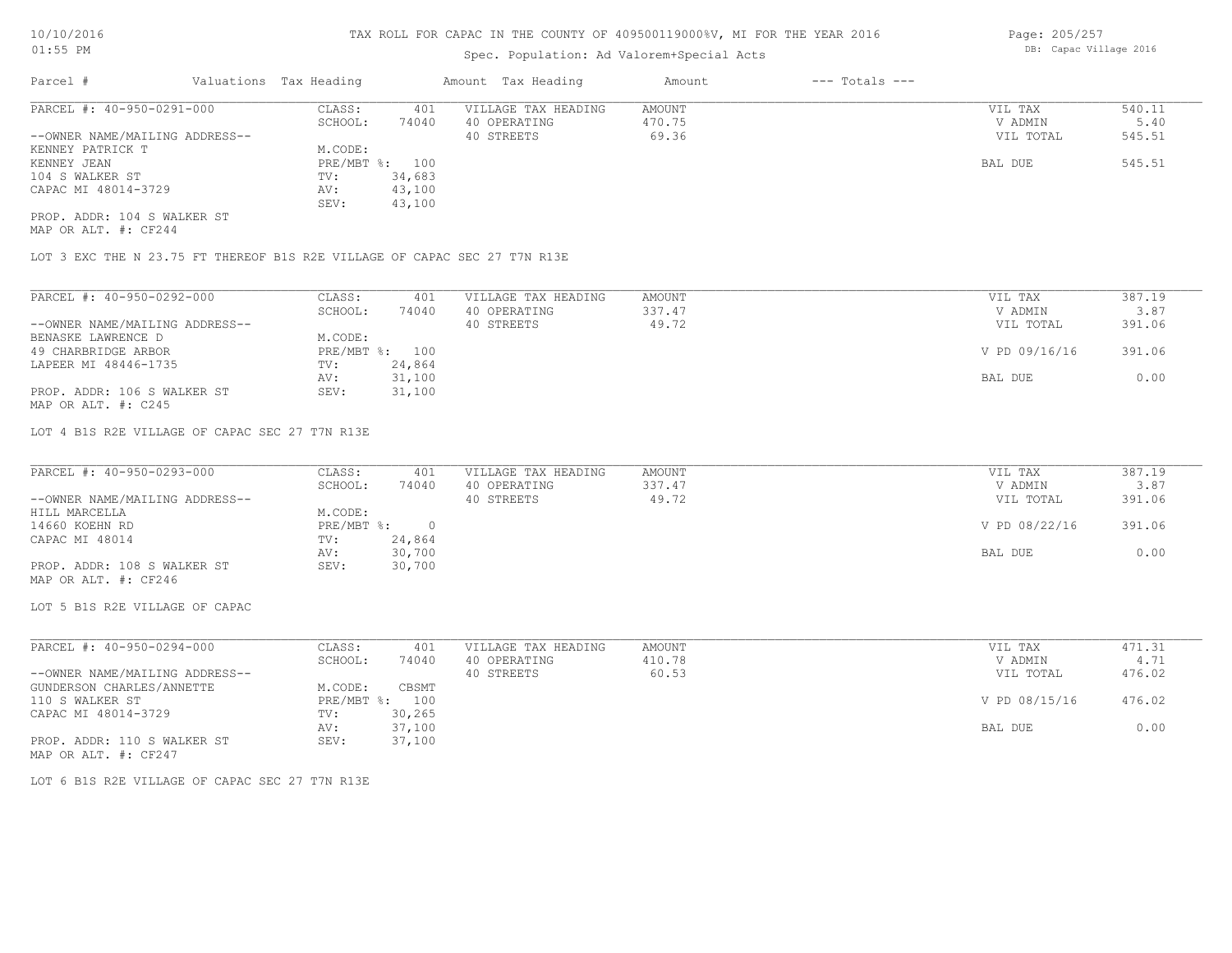## Spec. Population: Ad Valorem+Special Acts

| Parcel #                       | Valuations Tax Heading |        | Amount Tax Heading  | Amount | $---$ Totals $---$ |           |        |
|--------------------------------|------------------------|--------|---------------------|--------|--------------------|-----------|--------|
| PARCEL #: 40-950-0291-000      | CLASS:                 | 401    | VILLAGE TAX HEADING | AMOUNT |                    | VIL TAX   | 540.11 |
|                                | SCHOOL:                | 74040  | 40 OPERATING        | 470.75 |                    | V ADMIN   | 5.40   |
| --OWNER NAME/MAILING ADDRESS-- |                        |        | 40 STREETS          | 69.36  |                    | VIL TOTAL | 545.51 |
| KENNEY PATRICK T               | M.CODE:                |        |                     |        |                    |           |        |
| KENNEY JEAN                    | PRE/MBT %: 100         |        |                     |        |                    | BAL DUE   | 545.51 |
| 104 S WALKER ST                | TV:                    | 34,683 |                     |        |                    |           |        |
| CAPAC MI 48014-3729            | AV:                    | 43,100 |                     |        |                    |           |        |
|                                | SEV:                   | 43,100 |                     |        |                    |           |        |
| PROP. ADDR: 104 S WALKER ST    |                        |        |                     |        |                    |           |        |

MAP OR ALT. #: CF244

LOT 3 EXC THE N 23.75 FT THEREOF B1S R2E VILLAGE OF CAPAC SEC 27 T7N R13E

| PARCEL #: 40-950-0292-000      | CLASS:  | 401            | VILLAGE TAX HEADING | AMOUNT | 387.19<br>VIL TAX       |
|--------------------------------|---------|----------------|---------------------|--------|-------------------------|
|                                | SCHOOL: | 74040          | 40 OPERATING        | 337.47 | 3.87<br>V ADMIN         |
| --OWNER NAME/MAILING ADDRESS-- |         |                | 40 STREETS          | 49.72  | 391.06<br>VIL TOTAL     |
| BENASKE LAWRENCE D             | M.CODE: |                |                     |        |                         |
| 49 CHARBRIDGE ARBOR            |         | PRE/MBT %: 100 |                     |        | V PD 09/16/16<br>391.06 |
| LAPEER MI 48446-1735           | TV:     | 24,864         |                     |        |                         |
|                                | AV:     | 31,100         |                     |        | 0.00<br>BAL DUE         |
| PROP. ADDR: 106 S WALKER ST    | SEV:    | 31,100         |                     |        |                         |
| MAP OR ALT. $\#$ : C245        |         |                |                     |        |                         |

LOT 4 B1S R2E VILLAGE OF CAPAC SEC 27 T7N R13E

| PARCEL #: 40-950-0293-000      | CLASS:     | 401    | VILLAGE TAX HEADING | AMOUNT | VIL TAX       | 387.19 |
|--------------------------------|------------|--------|---------------------|--------|---------------|--------|
|                                | SCHOOL:    | 74040  | 40 OPERATING        | 337.47 | V ADMIN       | 3.87   |
| --OWNER NAME/MAILING ADDRESS-- |            |        | 40 STREETS          | 49.72  | VIL TOTAL     | 391.06 |
| HILL MARCELLA                  | M.CODE:    |        |                     |        |               |        |
| 14660 KOEHN RD                 | PRE/MBT %: |        |                     |        | V PD 08/22/16 | 391.06 |
| CAPAC MI 48014                 | TV:        | 24,864 |                     |        |               |        |
|                                | AV:        | 30,700 |                     |        | BAL DUE       | 0.00   |
| PROP. ADDR: 108 S WALKER ST    | SEV:       | 30,700 |                     |        |               |        |
| MAP OR ALT. #: CF246           |            |        |                     |        |               |        |

LOT 5 B1S R2E VILLAGE OF CAPAC

| PARCEL #: 40-950-0294-000      | CLASS:     | 401    | VILLAGE TAX HEADING | AMOUNT | VIL TAX       | 471.31 |
|--------------------------------|------------|--------|---------------------|--------|---------------|--------|
|                                | SCHOOL:    | 74040  | 40 OPERATING        | 410.78 | V ADMIN       | 4.71   |
| --OWNER NAME/MAILING ADDRESS-- |            |        | 40 STREETS          | 60.53  | VIL TOTAL     | 476.02 |
| GUNDERSON CHARLES/ANNETTE      | M.CODE:    | CBSMT  |                     |        |               |        |
| 110 S WALKER ST                | PRE/MBT %: | 100    |                     |        | V PD 08/15/16 | 476.02 |
| CAPAC MI 48014-3729            | TV:        | 30,265 |                     |        |               |        |
|                                | AV:        | 37,100 |                     |        | BAL DUE       | 0.00   |
| PROP. ADDR: 110 S WALKER ST    | SEV:       | 37,100 |                     |        |               |        |
| MAP OR ALT. #: CF247           |            |        |                     |        |               |        |

LOT 6 B1S R2E VILLAGE OF CAPAC SEC 27 T7N R13E

Page: 205/257 DB: Capac Village 2016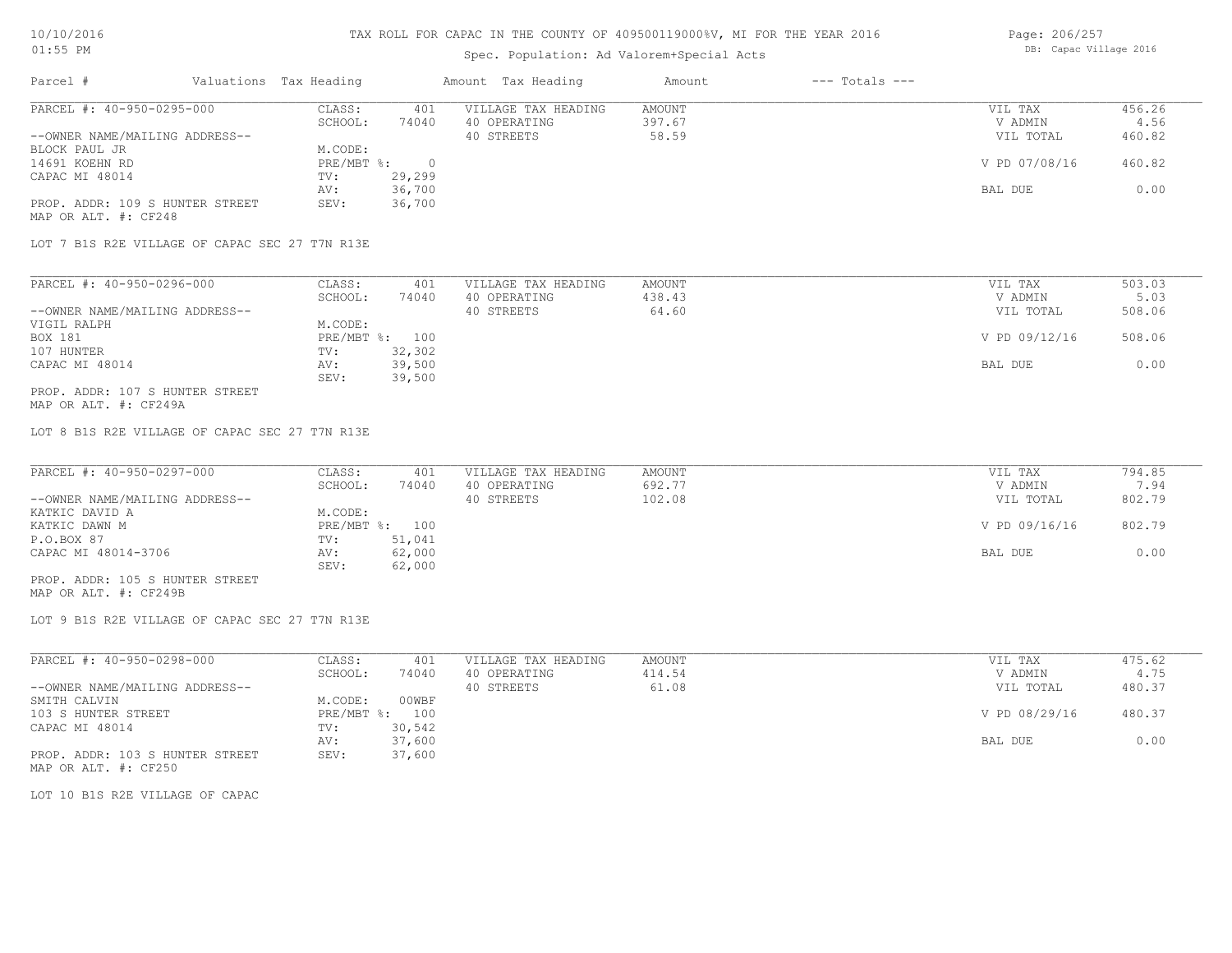## Spec. Population: Ad Valorem+Special Acts

| Page: 206/257 |                        |  |
|---------------|------------------------|--|
|               | DB: Capac Village 2016 |  |

| Parcel #                        | Valuations Tax Heading |        | Amount Tax Heading  | Amount | $---$ Totals $---$ |               |        |
|---------------------------------|------------------------|--------|---------------------|--------|--------------------|---------------|--------|
| PARCEL #: 40-950-0295-000       | CLASS:                 | 401    | VILLAGE TAX HEADING | AMOUNT |                    | VIL TAX       | 456.26 |
|                                 | SCHOOL:                | 74040  | 40 OPERATING        | 397.67 |                    | V ADMIN       | 4.56   |
| --OWNER NAME/MAILING ADDRESS--  |                        |        | 40 STREETS          | 58.59  |                    | VIL TOTAL     | 460.82 |
| BLOCK PAUL JR                   | M.CODE:                |        |                     |        |                    |               |        |
| 14691 KOEHN RD                  | PRE/MBT %:             |        |                     |        |                    | V PD 07/08/16 | 460.82 |
| CAPAC MI 48014                  | TV:                    | 29,299 |                     |        |                    |               |        |
|                                 | AV:                    | 36,700 |                     |        |                    | BAL DUE       | 0.00   |
| PROP. ADDR: 109 S HUNTER STREET | SEV:                   | 36,700 |                     |        |                    |               |        |
| MAP OR ALT. #: CF248            |                        |        |                     |        |                    |               |        |

LOT 7 B1S R2E VILLAGE OF CAPAC SEC 27 T7N R13E

| PARCEL #: 40-950-0296-000       | CLASS:  | 401            | VILLAGE TAX HEADING | AMOUNT | VIL TAX       | 503.03<br>5.03<br>508.06<br>508.06<br>0.00 |
|---------------------------------|---------|----------------|---------------------|--------|---------------|--------------------------------------------|
|                                 | SCHOOL: | 74040          | 40 OPERATING        | 438.43 | V ADMIN       |                                            |
| --OWNER NAME/MAILING ADDRESS--  |         |                | 40 STREETS          | 64.60  | VIL TOTAL     |                                            |
| VIGIL RALPH                     | M.CODE: |                |                     |        |               |                                            |
| BOX 181                         |         | PRE/MBT %: 100 |                     |        | V PD 09/12/16 |                                            |
| 107 HUNTER                      | TV:     | 32,302         |                     |        |               |                                            |
| CAPAC MI 48014                  | AV:     | 39,500         |                     |        | BAL DUE       |                                            |
|                                 | SEV:    | 39,500         |                     |        |               |                                            |
| PROP. ADDR: 107 S HUNTER STREET |         |                |                     |        |               |                                            |

MAP OR ALT. #: CF249A

LOT 8 B1S R2E VILLAGE OF CAPAC SEC 27 T7N R13E

| PARCEL #: 40-950-0297-000       | CLASS:  | 401            | VILLAGE TAX HEADING | AMOUNT | VIL TAX       | 794.85<br>7.94<br>802.79<br>802.79<br>0.00 |
|---------------------------------|---------|----------------|---------------------|--------|---------------|--------------------------------------------|
|                                 | SCHOOL: | 74040          | 40 OPERATING        | 692.77 | V ADMIN       |                                            |
| --OWNER NAME/MAILING ADDRESS--  |         |                | 40 STREETS          | 102.08 | VIL TOTAL     |                                            |
| KATKIC DAVID A                  | M.CODE: |                |                     |        |               |                                            |
| KATKIC DAWN M                   |         | PRE/MBT %: 100 |                     |        | V PD 09/16/16 |                                            |
| P.O.BOX 87                      | TV:     | 51,041         |                     |        |               |                                            |
| CAPAC MI 48014-3706             | AV:     | 62,000         |                     |        | BAL DUE       |                                            |
|                                 | SEV:    | 62,000         |                     |        |               |                                            |
| PROP. ADDR: 105 S HUNTER STREET |         |                |                     |        |               |                                            |

MAP OR ALT. #: CF249B

LOT 9 B1S R2E VILLAGE OF CAPAC SEC 27 T7N R13E

| PARCEL #: 40-950-0298-000       | CLASS:       | 401    | VILLAGE TAX HEADING | AMOUNT | VIL TAX       | 475.62 |
|---------------------------------|--------------|--------|---------------------|--------|---------------|--------|
|                                 | SCHOOL:      | 74040  | 40 OPERATING        | 414.54 | V ADMIN       | 4.75   |
| --OWNER NAME/MAILING ADDRESS--  |              |        | 40 STREETS          | 61.08  | VIL TOTAL     | 480.37 |
| SMITH CALVIN                    | M.CODE:      | 00WBF  |                     |        |               |        |
| 103 S HUNTER STREET             | $PRE/MBT$ %: | 100    |                     |        | V PD 08/29/16 | 480.37 |
| CAPAC MI 48014                  | TV:          | 30,542 |                     |        |               |        |
|                                 | AV:          | 37,600 |                     |        | BAL DUE       | 0.00   |
| PROP. ADDR: 103 S HUNTER STREET | SEV:         | 37,600 |                     |        |               |        |
| MAP OR ALT. #: CF250            |              |        |                     |        |               |        |

LOT 10 B1S R2E VILLAGE OF CAPAC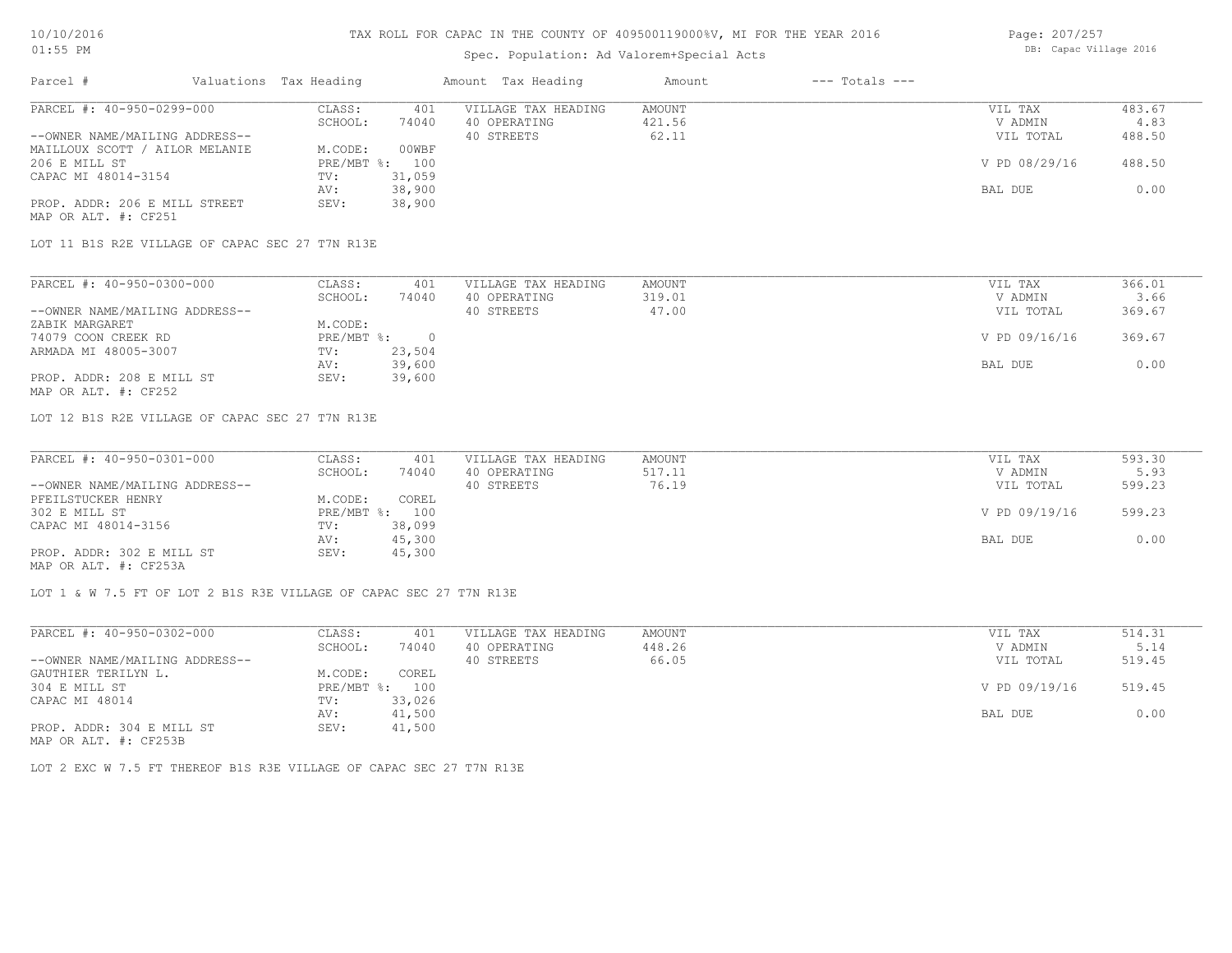# Spec. Population: Ad Valorem+Special Acts

| Page: 207/257 |                        |  |
|---------------|------------------------|--|
|               | DB: Capac Village 2016 |  |

| Parcel #                       | Valuations Tax Heading |        | Amount Tax Heading  | Amount | $---$ Totals $---$ |               |        |
|--------------------------------|------------------------|--------|---------------------|--------|--------------------|---------------|--------|
| PARCEL #: 40-950-0299-000      | CLASS:                 | 401    | VILLAGE TAX HEADING | AMOUNT |                    | VIL TAX       | 483.67 |
|                                | SCHOOL:                | 74040  | 40 OPERATING        | 421.56 |                    | V ADMIN       | 4.83   |
| --OWNER NAME/MAILING ADDRESS-- |                        |        | 40 STREETS          | 62.11  |                    | VIL TOTAL     | 488.50 |
| MAILLOUX SCOTT / AILOR MELANIE | M.CODE:                | 00WBF  |                     |        |                    |               |        |
| 206 E MILL ST                  | $PRE/MBT$ %:           | 100    |                     |        |                    | V PD 08/29/16 | 488.50 |
| CAPAC MI 48014-3154            | TV:                    | 31,059 |                     |        |                    |               |        |
|                                | AV:                    | 38,900 |                     |        |                    | BAL DUE       | 0.00   |
| PROP. ADDR: 206 E MILL STREET  | SEV:                   | 38,900 |                     |        |                    |               |        |
| MAP OR ALT. #: CF251           |                        |        |                     |        |                    |               |        |

LOT 11 B1S R2E VILLAGE OF CAPAC SEC 27 T7N R13E

| PARCEL #: 40-950-0300-000      | CLASS:     | 401    | VILLAGE TAX HEADING | AMOUNT | VIL TAX       | 366.01 |
|--------------------------------|------------|--------|---------------------|--------|---------------|--------|
|                                | SCHOOL:    | 74040  | 40 OPERATING        | 319.01 | V ADMIN       | 3.66   |
| --OWNER NAME/MAILING ADDRESS-- |            |        | 40 STREETS          | 47.00  | VIL TOTAL     | 369.67 |
| ZABIK MARGARET                 | M.CODE:    |        |                     |        |               |        |
| 74079 COON CREEK RD            | PRE/MBT %: |        |                     |        | V PD 09/16/16 | 369.67 |
| ARMADA MI 48005-3007           | TV:        | 23,504 |                     |        |               |        |
|                                | AV:        | 39,600 |                     |        | BAL DUE       | 0.00   |
| PROP. ADDR: 208 E MILL ST      | SEV:       | 39,600 |                     |        |               |        |
| MAP OR ALT. #: CF252           |            |        |                     |        |               |        |

LOT 12 B1S R2E VILLAGE OF CAPAC SEC 27 T7N R13E

| PARCEL #: 40-950-0301-000      | CLASS:  | 401            | VILLAGE TAX HEADING | AMOUNT | VIL TAX       | 593.30<br>5.93<br>599.23<br>599.23<br>0.00 |
|--------------------------------|---------|----------------|---------------------|--------|---------------|--------------------------------------------|
|                                | SCHOOL: | 74040          | 40 OPERATING        | 517.11 | V ADMIN       |                                            |
| --OWNER NAME/MAILING ADDRESS-- |         |                | 40 STREETS          | 76.19  | VIL TOTAL     |                                            |
| PFEILSTUCKER HENRY             | M.CODE: | COREL          |                     |        |               |                                            |
| 302 E MILL ST                  |         | PRE/MBT %: 100 |                     |        | V PD 09/19/16 |                                            |
| CAPAC MI 48014-3156            | TV:     | 38,099         |                     |        |               |                                            |
|                                | AV:     | 45,300         |                     |        | BAL DUE       |                                            |
| PROP. ADDR: 302 E MILL ST      | SEV:    | 45,300         |                     |        |               |                                            |
| MAP OR ALT. #: CF253A          |         |                |                     |        |               |                                            |

LOT 1 & W 7.5 FT OF LOT 2 B1S R3E VILLAGE OF CAPAC SEC 27 T7N R13E

| PARCEL #: 40-950-0302-000                  | CLASS:       | 401    | VILLAGE TAX HEADING | AMOUNT | VIL TAX       | 514.31 |
|--------------------------------------------|--------------|--------|---------------------|--------|---------------|--------|
|                                            | SCHOOL:      | 74040  | 40 OPERATING        | 448.26 | V ADMIN       | 5.14   |
| --OWNER NAME/MAILING ADDRESS--             |              |        | 40 STREETS          | 66.05  | VIL TOTAL     | 519.45 |
| GAUTHIER TERILYN L.                        | M.CODE:      | COREL  |                     |        |               |        |
| 304 E MILL ST                              | $PRE/MBT$ %: | 100    |                     |        | V PD 09/19/16 | 519.45 |
| CAPAC MI 48014                             | TV:          | 33,026 |                     |        |               |        |
|                                            | AV:          | 41,500 |                     |        | BAL DUE       | 0.00   |
| PROP. ADDR: 304 E MILL ST<br>$\frac{1}{2}$ | SEV:         | 41,500 |                     |        |               |        |

MAP OR ALT. #: CF253B

LOT 2 EXC W 7.5 FT THEREOF B1S R3E VILLAGE OF CAPAC SEC 27 T7N R13E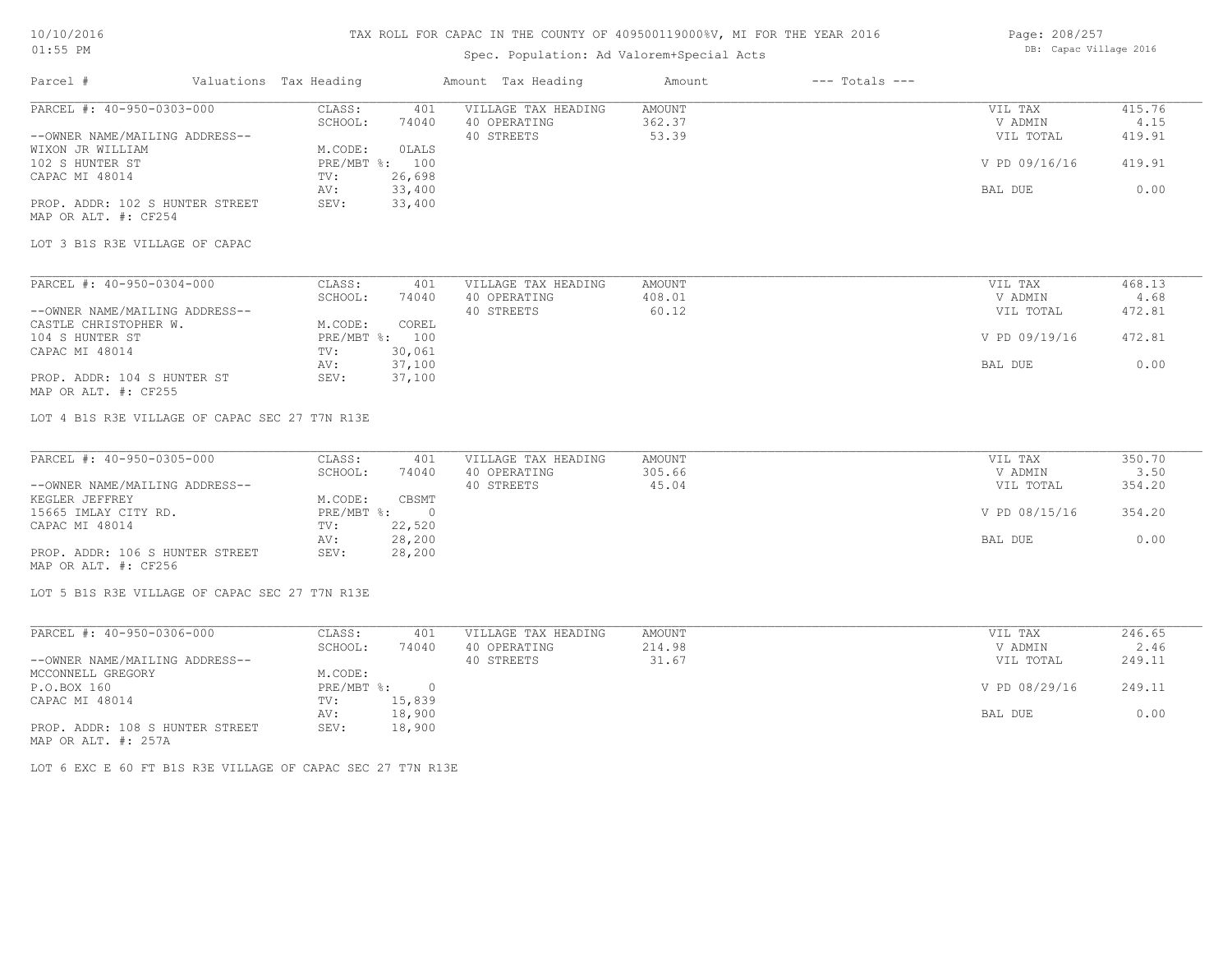## 10/10/2016 01:55 PM

## TAX ROLL FOR CAPAC IN THE COUNTY OF 409500119000%V, MI FOR THE YEAR 2016

# Spec. Population: Ad Valorem+Special Acts

Page: 208/257 DB: Capac Village 2016

BAL DUE 0.00

| Parcel #                                                | Valuations Tax Heading |                | Amount Tax Heading  | Amount        | $---$ Totals $---$ |               |        |
|---------------------------------------------------------|------------------------|----------------|---------------------|---------------|--------------------|---------------|--------|
| PARCEL #: 40-950-0303-000                               | CLASS:                 | 401            | VILLAGE TAX HEADING | <b>AMOUNT</b> |                    | VIL TAX       | 415.76 |
|                                                         | SCHOOL:                | 74040          | 40 OPERATING        | 362.37        |                    | V ADMIN       | 4.15   |
| --OWNER NAME/MAILING ADDRESS--                          |                        |                | 40 STREETS          | 53.39         |                    | VIL TOTAL     | 419.91 |
| WIXON JR WILLIAM                                        | M.CODE:                | OLALS          |                     |               |                    |               |        |
| 102 S HUNTER ST                                         |                        | PRE/MBT %: 100 |                     |               |                    | V PD 09/16/16 | 419.91 |
| CAPAC MI 48014                                          | TV:                    | 26,698         |                     |               |                    |               |        |
|                                                         | AV:                    | 33,400         |                     |               |                    | BAL DUE       | 0.00   |
| PROP. ADDR: 102 S HUNTER STREET<br>MAP OR ALT. #: CF254 | SEV:                   | 33,400         |                     |               |                    |               |        |
| LOT 3 B1S R3E VILLAGE OF CAPAC                          |                        |                |                     |               |                    |               |        |
|                                                         |                        |                |                     |               |                    |               |        |
| PARCEL #: 40-950-0304-000                               | CLASS:                 | 401            | VILLAGE TAX HEADING | <b>AMOUNT</b> |                    | VIL TAX       | 468.13 |
|                                                         | SCHOOL:                | 74040          | 40 OPERATING        | 408.01        |                    | V ADMIN       | 4.68   |
| --OWNER NAME/MAILING ADDRESS--                          |                        |                | 40 STREETS          | 60.12         |                    | VIL TOTAL     | 472.81 |
| CASTLE CHRISTOPHER W.                                   | M.CODE:                | COREL          |                     |               |                    |               |        |
| 104 S HUNTER ST                                         |                        | PRE/MBT %: 100 |                     |               |                    | V PD 09/19/16 | 472.81 |
| CAPAC MI 48014                                          | TV:                    | 30,061         |                     |               |                    |               |        |
|                                                         | AV:                    | 37,100         |                     |               |                    | BAL DUE       | 0.00   |
| PROP. ADDR: 104 S HUNTER ST                             | SEV:                   | 37,100         |                     |               |                    |               |        |
| MAP OR ALT. #: CF255                                    |                        |                |                     |               |                    |               |        |
| LOT 4 B1S R3E VILLAGE OF CAPAC SEC 27 T7N R13E          |                        |                |                     |               |                    |               |        |
| PARCEL #: 40-950-0305-000                               | CLASS:                 | 401            | VILLAGE TAX HEADING | <b>AMOUNT</b> |                    | VIL TAX       | 350.70 |
|                                                         | SCHOOL:                | 74040          | 40 OPERATING        | 305.66        |                    | V ADMIN       | 3.50   |
| --OWNER NAME/MAILING ADDRESS--                          |                        |                | 40 STREETS          | 45.04         |                    | VIL TOTAL     | 354.20 |
| KEGLER JEFFREY                                          | M.CODE:                | CBSMT          |                     |               |                    |               |        |
| 15665 IMLAY CITY RD.                                    | PRE/MBT %:             | $\circ$        |                     |               |                    | V PD 08/15/16 | 354.20 |
|                                                         |                        |                |                     |               |                    |               |        |

| KEGLER JEFFREY                  | M.CODE: | CBSMT        |
|---------------------------------|---------|--------------|
| 15665 IMLAY CITY RD.            |         | PRE/MBT %: 0 |
| CAPAC MI 48014                  | TV:     | 22,520       |
|                                 | AV:     | 28,200       |
| PROP. ADDR: 106 S HUNTER STREET | SEV:    | 28,200       |
| MAP OR ALT. #: CF256            |         |              |

LOT 5 B1S R3E VILLAGE OF CAPAC SEC 27 T7N R13E

| PARCEL #: 40-950-0306-000       | CLASS:     | 401    | VILLAGE TAX HEADING | AMOUNT | VIL TAX       | 246.65 |
|---------------------------------|------------|--------|---------------------|--------|---------------|--------|
|                                 | SCHOOL:    | 74040  | 40 OPERATING        | 214.98 | V ADMIN       | 2.46   |
| --OWNER NAME/MAILING ADDRESS--  |            |        | 40 STREETS          | 31.67  | VIL TOTAL     | 249.11 |
| MCCONNELL GREGORY               | M.CODE:    |        |                     |        |               |        |
| P.O.BOX 160                     | PRE/MBT %: | $\cap$ |                     |        | V PD 08/29/16 | 249.11 |
| CAPAC MI 48014                  | TV:        | 15,839 |                     |        |               |        |
|                                 | AV:        | 18,900 |                     |        | BAL DUE       | 0.00   |
| PROP. ADDR: 108 S HUNTER STREET | SEV:       | 18,900 |                     |        |               |        |
| MAP OR ALT. #: 257A             |            |        |                     |        |               |        |

LOT 6 EXC E 60 FT B1S R3E VILLAGE OF CAPAC SEC 27 T7N R13E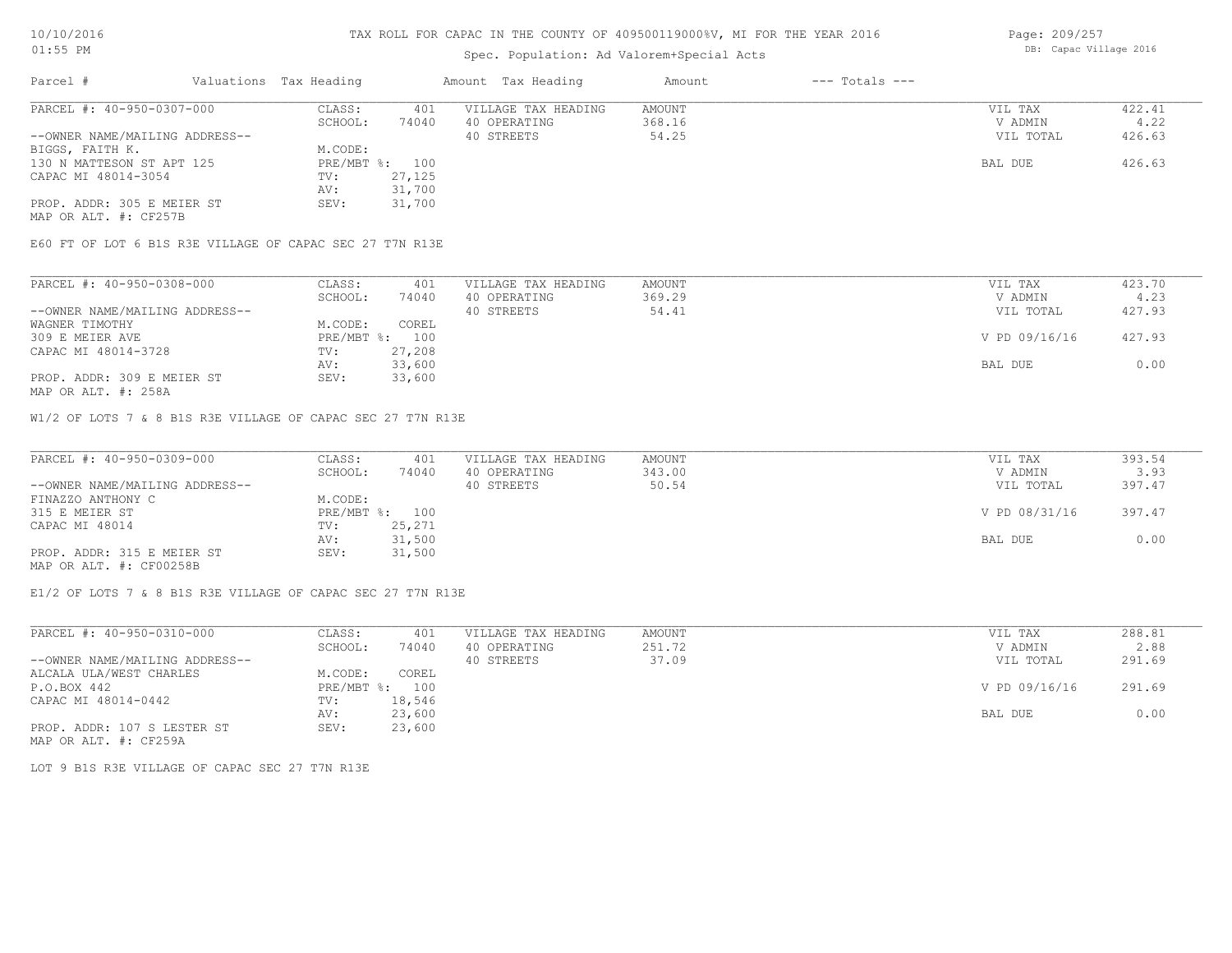# Spec. Population: Ad Valorem+Special Acts

| Parcel #                       | Valuations Tax Heading |        | Amount Tax Heading  | Amount | $---$ Totals $---$ |           |        |
|--------------------------------|------------------------|--------|---------------------|--------|--------------------|-----------|--------|
| PARCEL #: 40-950-0307-000      | CLASS:                 | 401    | VILLAGE TAX HEADING | AMOUNT |                    | VIL TAX   | 422.41 |
|                                | SCHOOL:                | 74040  | 40 OPERATING        | 368.16 |                    | V ADMIN   | 4.22   |
| --OWNER NAME/MAILING ADDRESS-- |                        |        | 40 STREETS          | 54.25  |                    | VIL TOTAL | 426.63 |
| BIGGS, FAITH K.                | M.CODE:                |        |                     |        |                    |           |        |
| 130 N MATTESON ST APT 125      | PRE/MBT %: 100         |        |                     |        |                    | BAL DUE   | 426.63 |
| CAPAC MI 48014-3054            | TV:                    | 27,125 |                     |        |                    |           |        |
|                                | AV:                    | 31,700 |                     |        |                    |           |        |
| PROP. ADDR: 305 E MEIER ST     | SEV:                   | 31,700 |                     |        |                    |           |        |

MAP OR ALT. #: CF257B

E60 FT OF LOT 6 B1S R3E VILLAGE OF CAPAC SEC 27 T7N R13E

| PARCEL #: 40-950-0308-000      | CLASS:  | 401            | VILLAGE TAX HEADING | AMOUNT | VIL TAX       | 423.70 |
|--------------------------------|---------|----------------|---------------------|--------|---------------|--------|
|                                | SCHOOL: | 74040          | 40 OPERATING        | 369.29 | V ADMIN       | 4.23   |
| --OWNER NAME/MAILING ADDRESS-- |         |                | 40 STREETS          | 54.41  | VIL TOTAL     | 427.93 |
| WAGNER TIMOTHY                 | M.CODE: | COREL          |                     |        |               |        |
| 309 E MEIER AVE                |         | PRE/MBT %: 100 |                     |        | V PD 09/16/16 | 427.93 |
| CAPAC MI 48014-3728            | TV:     | 27,208         |                     |        |               |        |
|                                | AV:     | 33,600         |                     |        | BAL DUE       | 0.00   |
| PROP. ADDR: 309 E MEIER ST     | SEV:    | 33,600         |                     |        |               |        |
|                                |         |                |                     |        |               |        |

MAP OR ALT. #: 258A

W1/2 OF LOTS 7 & 8 B1S R3E VILLAGE OF CAPAC SEC 27 T7N R13E

| PARCEL #: 40-950-0309-000      | CLASS:  | 401            | VILLAGE TAX HEADING | AMOUNT | VIL TAX       | 393.54 |
|--------------------------------|---------|----------------|---------------------|--------|---------------|--------|
|                                | SCHOOL: | 74040          | 40 OPERATING        | 343.00 | V ADMIN       | 3.93   |
| --OWNER NAME/MAILING ADDRESS-- |         |                | 40 STREETS          | 50.54  | VIL TOTAL     | 397.47 |
| FINAZZO ANTHONY C              | M.CODE: |                |                     |        |               |        |
| 315 E MEIER ST                 |         | PRE/MBT %: 100 |                     |        | V PD 08/31/16 | 397.47 |
| CAPAC MI 48014                 | TV:     | 25,271         |                     |        |               |        |
|                                | AV:     | 31,500         |                     |        | BAL DUE       | 0.00   |
| PROP. ADDR: 315 E MEIER ST     | SEV:    | 31,500         |                     |        |               |        |
| MAP OR ALT. #: CF00258B        |         |                |                     |        |               |        |

E1/2 OF LOTS 7 & 8 B1S R3E VILLAGE OF CAPAC SEC 27 T7N R13E

| PARCEL #: 40-950-0310-000      | CLASS:  | 401            | VILLAGE TAX HEADING | AMOUNT | VIL TAX       | 288.81 |
|--------------------------------|---------|----------------|---------------------|--------|---------------|--------|
|                                | SCHOOL: | 74040          | 40 OPERATING        | 251.72 | V ADMIN       | 2.88   |
| --OWNER NAME/MAILING ADDRESS-- |         |                | 40 STREETS          | 37.09  | VIL TOTAL     | 291.69 |
| ALCALA ULA/WEST CHARLES        | M.CODE: | COREL          |                     |        |               |        |
| P.O.BOX 442                    |         | PRE/MBT %: 100 |                     |        | V PD 09/16/16 | 291.69 |
| CAPAC MI 48014-0442            | TV:     | 18,546         |                     |        |               |        |
|                                | AV:     | 23,600         |                     |        | BAL DUE       | 0.00   |
| PROP. ADDR: 107 S LESTER ST    | SEV:    | 23,600         |                     |        |               |        |

MAP OR ALT. #: CF259A

LOT 9 B1S R3E VILLAGE OF CAPAC SEC 27 T7N R13E

Page: 209/257 DB: Capac Village 2016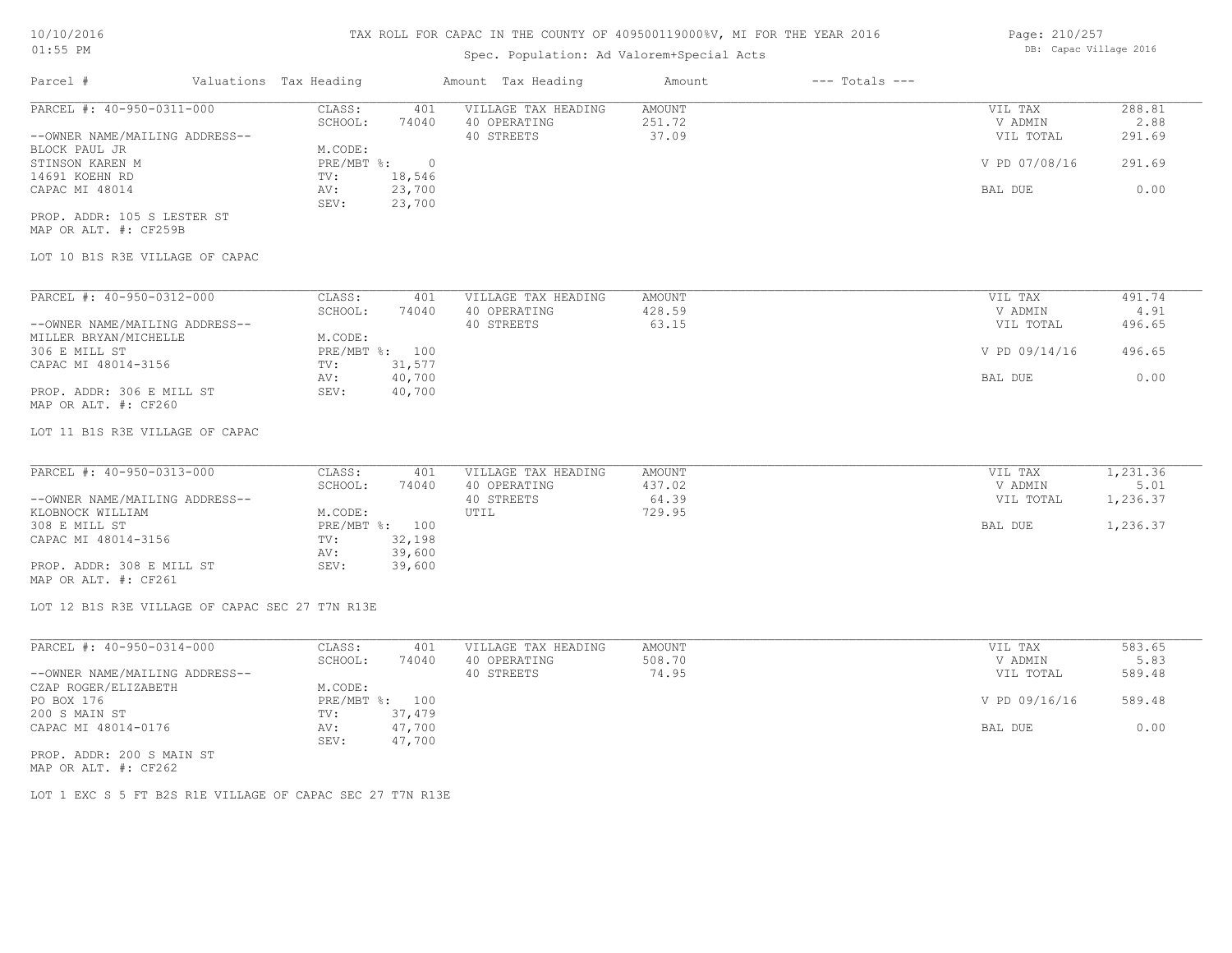## Spec. Population: Ad Valorem+Special Acts

| Page: 210/257 |                        |  |
|---------------|------------------------|--|
|               | DB: Capac Village 2016 |  |

| Parcel #                       | Valuations Tax Heading |        | Amount Tax Heading  | Amount | $---$ Totals $---$ |               |        |
|--------------------------------|------------------------|--------|---------------------|--------|--------------------|---------------|--------|
| PARCEL #: 40-950-0311-000      | CLASS:                 | 401    | VILLAGE TAX HEADING | AMOUNT |                    | VIL TAX       | 288.81 |
|                                | SCHOOL:                | 74040  | 40 OPERATING        | 251.72 |                    | V ADMIN       | 2.88   |
| --OWNER NAME/MAILING ADDRESS-- |                        |        | 40 STREETS          | 37.09  |                    | VIL TOTAL     | 291.69 |
| BLOCK PAUL JR                  | M.CODE:                |        |                     |        |                    |               |        |
| STINSON KAREN M                | PRE/MBT %:             |        |                     |        |                    | V PD 07/08/16 | 291.69 |
| 14691 KOEHN RD                 | TV:                    | 18,546 |                     |        |                    |               |        |
| CAPAC MI 48014                 | AV:                    | 23,700 |                     |        |                    | BAL DUE       | 0.00   |
|                                | SEV:                   | 23,700 |                     |        |                    |               |        |
| PROP. ADDR: 105 S LESTER ST    |                        |        |                     |        |                    |               |        |

MAP OR ALT. #: CF259B

LOT 10 B1S R3E VILLAGE OF CAPAC

| PARCEL #: 40-950-0312-000      | CLASS:     | 401    | VILLAGE TAX HEADING | AMOUNT | VIL TAX       | 491.74 |
|--------------------------------|------------|--------|---------------------|--------|---------------|--------|
|                                | SCHOOL:    | 74040  | 40 OPERATING        | 428.59 | V ADMIN       | 4.91   |
| --OWNER NAME/MAILING ADDRESS-- |            |        | 40 STREETS          | 63.15  | VIL TOTAL     | 496.65 |
| MILLER BRYAN/MICHELLE          | M.CODE:    |        |                     |        |               |        |
| 306 E MILL ST                  | PRE/MBT %: | 100    |                     |        | V PD 09/14/16 | 496.65 |
| CAPAC MI 48014-3156            | TV:        | 31,577 |                     |        |               |        |
|                                | AV:        | 40,700 |                     |        | BAL DUE       | 0.00   |
| PROP. ADDR: 306 E MILL ST      | SEV:       | 40,700 |                     |        |               |        |
| MAP OR ALT. #: CF260           |            |        |                     |        |               |        |

LOT 11 B1S R3E VILLAGE OF CAPAC

| PARCEL #: 40-950-0313-000      | CLASS:  | 401            | VILLAGE TAX HEADING | AMOUNT | VIL TAX   | 1,231.36 |
|--------------------------------|---------|----------------|---------------------|--------|-----------|----------|
|                                | SCHOOL: | 74040          | 40 OPERATING        | 437.02 | V ADMIN   | 5.01     |
| --OWNER NAME/MAILING ADDRESS-- |         |                | 40 STREETS          | 64.39  | VIL TOTAL | 1,236.37 |
| KLOBNOCK WILLIAM               | M.CODE: |                | UTIL                | 729.95 |           |          |
| 308 E MILL ST                  |         | PRE/MBT %: 100 |                     |        | BAL DUE   | 1,236.37 |
| CAPAC MI 48014-3156            | TV:     | 32,198         |                     |        |           |          |
|                                | AV:     | 39,600         |                     |        |           |          |
| PROP. ADDR: 308 E MILL ST      | SEV:    | 39,600         |                     |        |           |          |
| MAP OR ALT. #: CF261           |         |                |                     |        |           |          |

LOT 12 B1S R3E VILLAGE OF CAPAC SEC 27 T7N R13E

| PARCEL #: 40-950-0314-000      | CLASS:  | 401            | VILLAGE TAX HEADING | AMOUNT | VIL TAX       | 583.65 |
|--------------------------------|---------|----------------|---------------------|--------|---------------|--------|
|                                | SCHOOL: | 74040          | 40 OPERATING        | 508.70 | V ADMIN       | 5.83   |
| --OWNER NAME/MAILING ADDRESS-- |         |                | 40 STREETS          | 74.95  | VIL TOTAL     | 589.48 |
| CZAP ROGER/ELIZABETH           | M.CODE: |                |                     |        |               |        |
| PO BOX 176                     |         | PRE/MBT %: 100 |                     |        | V PD 09/16/16 | 589.48 |
| 200 S MAIN ST                  | TV:     | 37,479         |                     |        |               |        |
| CAPAC MI 48014-0176            | AV:     | 47,700         |                     |        | BAL DUE       | 0.00   |
|                                | SEV:    | 47,700         |                     |        |               |        |
| DDOD 3DDD: 000 0 M3 TH OF      |         |                |                     |        |               |        |

MAP OR ALT. #: CF262 PROP. ADDR: 200 S MAIN ST

LOT 1 EXC S 5 FT B2S R1E VILLAGE OF CAPAC SEC 27 T7N R13E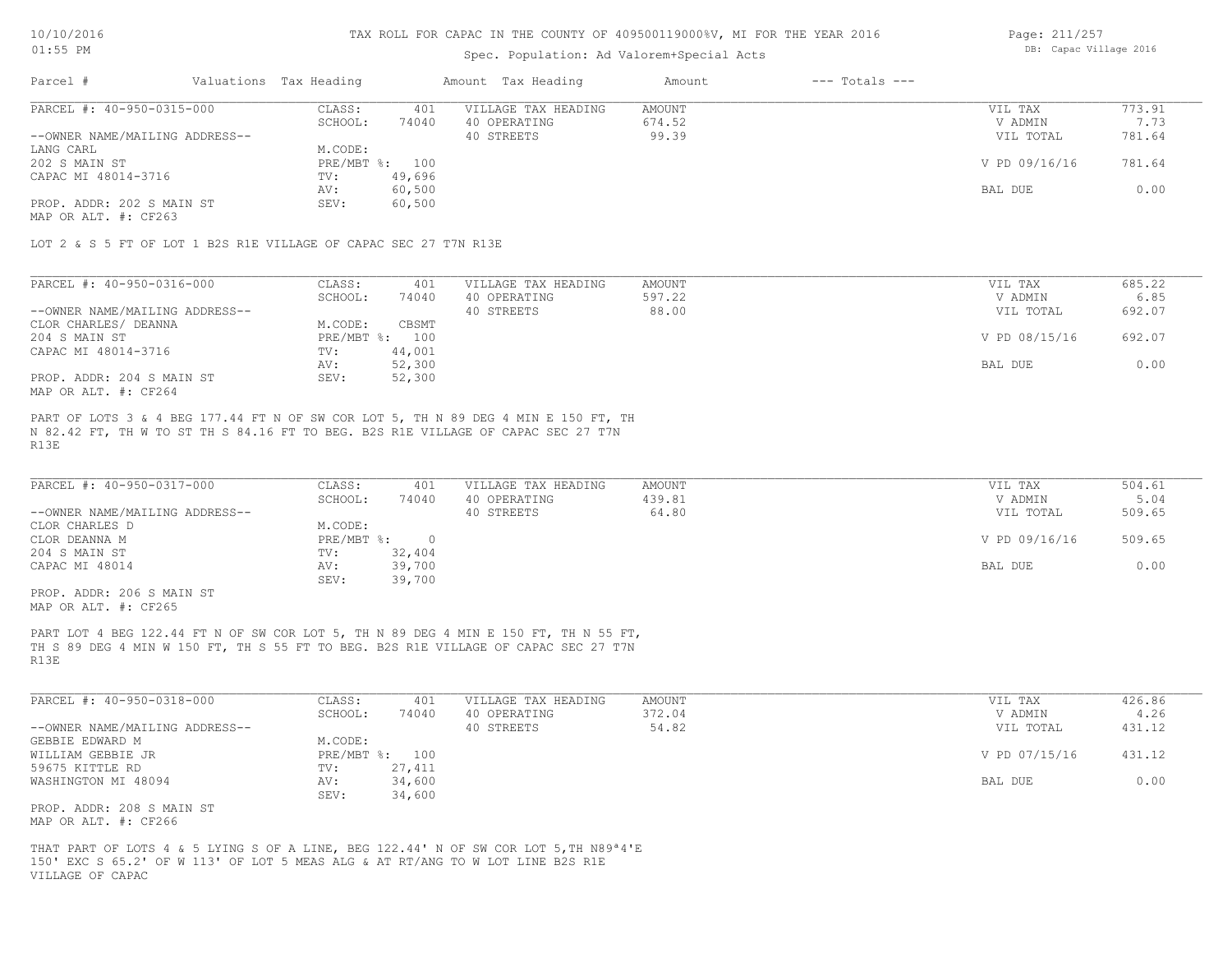### Spec. Population: Ad Valorem+Special Acts

Page: 211/257 DB: Capac Village 2016

| Parcel #                       | Valuations Tax Heading |        | Amount Tax Heading  | Amount | $---$ Totals $---$ |               |        |
|--------------------------------|------------------------|--------|---------------------|--------|--------------------|---------------|--------|
| PARCEL #: 40-950-0315-000      | CLASS:                 | 401    | VILLAGE TAX HEADING | AMOUNT |                    | VIL TAX       | 773.91 |
|                                | SCHOOL:                | 74040  | 40 OPERATING        | 674.52 |                    | V ADMIN       | 7.73   |
| --OWNER NAME/MAILING ADDRESS-- |                        |        | 40 STREETS          | 99.39  |                    | VIL TOTAL     | 781.64 |
| LANG CARL                      | M.CODE:                |        |                     |        |                    |               |        |
| 202 S MAIN ST                  | PRE/MBT %: 100         |        |                     |        |                    | V PD 09/16/16 | 781.64 |
| CAPAC MI 48014-3716            | TV:                    | 49,696 |                     |        |                    |               |        |
|                                | AV:                    | 60,500 |                     |        |                    | BAL DUE       | 0.00   |
| PROP. ADDR: 202 S MAIN ST      | SEV:                   | 60,500 |                     |        |                    |               |        |
|                                |                        |        |                     |        |                    |               |        |

MAP OR ALT. #: CF263

LOT 2 & S 5 FT OF LOT 1 B2S R1E VILLAGE OF CAPAC SEC 27 T7N R13E

| PARCEL #: 40-950-0316-000      | CLASS:     | 401    | VILLAGE TAX HEADING | AMOUNT | VIL TAX       | 685.22 |
|--------------------------------|------------|--------|---------------------|--------|---------------|--------|
|                                | SCHOOL:    | 74040  | 40 OPERATING        | 597.22 | V ADMIN       | 6.85   |
| --OWNER NAME/MAILING ADDRESS-- |            |        | 40 STREETS          | 88.00  | VIL TOTAL     | 692.07 |
| CLOR CHARLES/ DEANNA           | M.CODE:    | CBSMT  |                     |        |               |        |
| 204 S MAIN ST                  | PRE/MBT %: | 100    |                     |        | V PD 08/15/16 | 692.07 |
| CAPAC MI 48014-3716            | TV:        | 44,001 |                     |        |               |        |
|                                | AV:        | 52,300 |                     |        | BAL DUE       | 0.00   |
| PROP. ADDR: 204 S MAIN ST      | SEV:       | 52,300 |                     |        |               |        |
| MAP OR ALT. #: CF264           |            |        |                     |        |               |        |

R13E N 82.42 FT, TH W TO ST TH S 84.16 FT TO BEG. B2S R1E VILLAGE OF CAPAC SEC 27 T7N PART OF LOTS 3 & 4 BEG 177.44 FT N OF SW COR LOT 5, TH N 89 DEG 4 MIN E 150 FT, TH

| PARCEL #: 40-950-0317-000      | CLASS:     | 401    | VILLAGE TAX HEADING | AMOUNT | VIL TAX       | 504.61 |
|--------------------------------|------------|--------|---------------------|--------|---------------|--------|
|                                | SCHOOL:    | 74040  | 40 OPERATING        | 439.81 | V ADMIN       | 5.04   |
| --OWNER NAME/MAILING ADDRESS-- |            |        | 40 STREETS          | 64.80  | VIL TOTAL     | 509.65 |
| CLOR CHARLES D                 | M.CODE:    |        |                     |        |               |        |
| CLOR DEANNA M                  | PRE/MBT %: |        |                     |        | V PD 09/16/16 | 509.65 |
| 204 S MAIN ST                  | TV:        | 32,404 |                     |        |               |        |
| CAPAC MI 48014                 | AV:        | 39,700 |                     |        | BAL DUE       | 0.00   |
|                                | SEV:       | 39,700 |                     |        |               |        |

MAP OR ALT. #: CF265 PROP. ADDR: 206 S MAIN ST

R13E TH S 89 DEG 4 MIN W 150 FT, TH S 55 FT TO BEG. B2S R1E VILLAGE OF CAPAC SEC 27 T7N PART LOT 4 BEG 122.44 FT N OF SW COR LOT 5, TH N 89 DEG 4 MIN E 150 FT, TH N 55 FT,

| PARCEL #: 40-950-0318-000      | CLASS:         | 401    | VILLAGE TAX HEADING | AMOUNT | VIL TAX       | 426.86 |
|--------------------------------|----------------|--------|---------------------|--------|---------------|--------|
|                                | SCHOOL:        | 74040  | 40 OPERATING        | 372.04 | V ADMIN       | 4.26   |
| --OWNER NAME/MAILING ADDRESS-- |                |        | 40 STREETS          | 54.82  | VIL TOTAL     | 431.12 |
| GEBBIE EDWARD M                | M.CODE:        |        |                     |        |               |        |
| WILLIAM GEBBIE JR              | PRE/MBT %: 100 |        |                     |        | V PD 07/15/16 | 431.12 |
| 59675 KITTLE RD                | TV:            | 27,411 |                     |        |               |        |
| WASHINGTON MI 48094            | AV:            | 34,600 |                     |        | BAL DUE       | 0.00   |
|                                | SEV:           | 34,600 |                     |        |               |        |
| PROP. ADDR: 208 S MAIN ST      |                |        |                     |        |               |        |

MAP OR ALT. #: CF266

VILLAGE OF CAPAC 150' EXC S 65.2' OF W 113' OF LOT 5 MEAS ALG & AT RT/ANG TO W LOT LINE B2S R1E THAT PART OF LOTS 4 & 5 LYING S OF A LINE, BEG 122.44' N OF SW COR LOT 5,TH N89ª4'E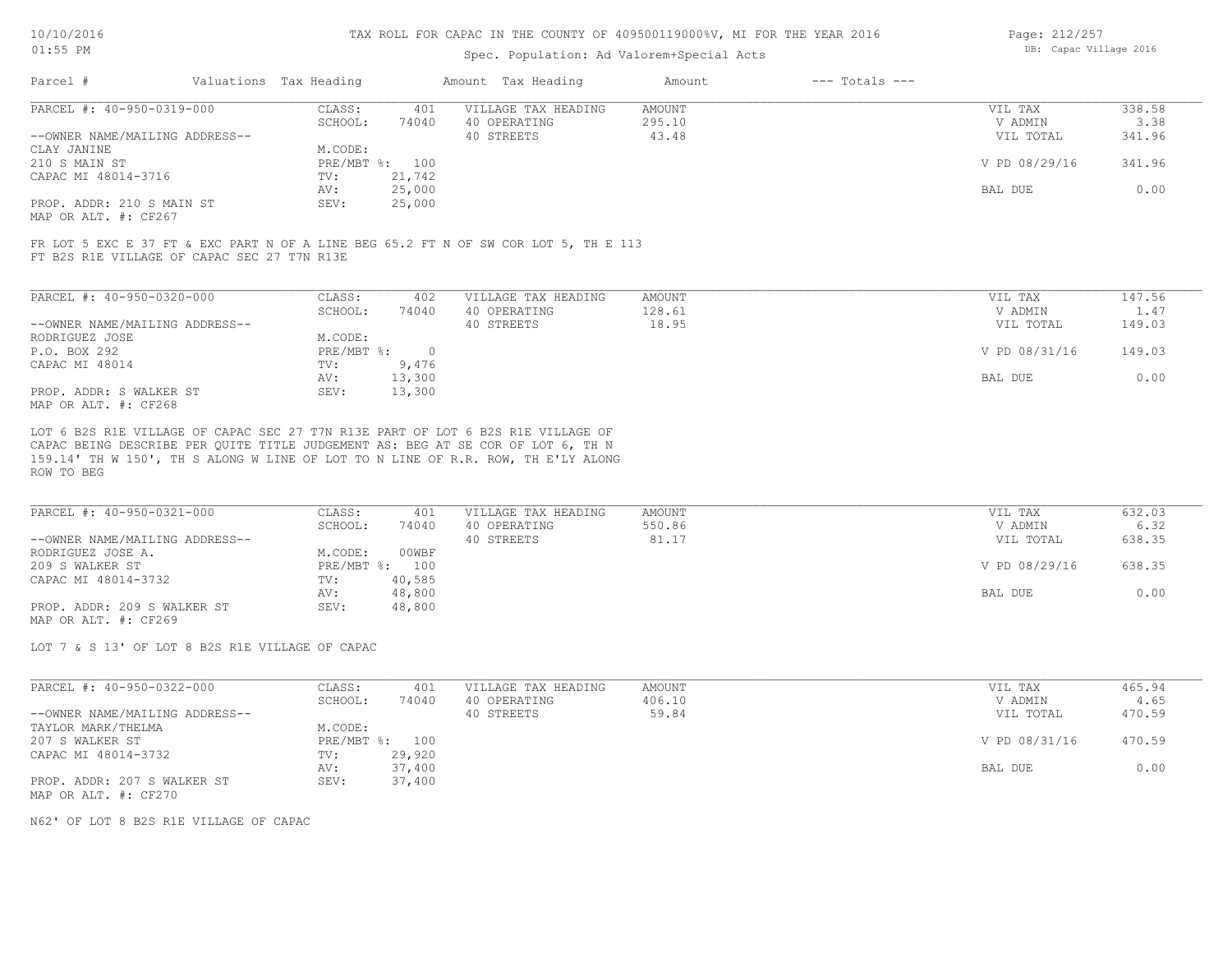### Spec. Population: Ad Valorem+Special Acts

| Page: 212/257 |                        |  |
|---------------|------------------------|--|
|               | DB: Capac Village 2016 |  |

| Parcel #                       | Valuations Tax Heading |        | Amount Tax Heading  | Amount | $---$ Totals $---$ |               |        |
|--------------------------------|------------------------|--------|---------------------|--------|--------------------|---------------|--------|
| PARCEL #: 40-950-0319-000      | CLASS:                 | 401    | VILLAGE TAX HEADING | AMOUNT |                    | VIL TAX       | 338.58 |
|                                | SCHOOL:                | 74040  | 40 OPERATING        | 295.10 |                    | V ADMIN       | 3.38   |
| --OWNER NAME/MAILING ADDRESS-- |                        |        | 40 STREETS          | 43.48  |                    | VIL TOTAL     | 341.96 |
| CLAY JANINE                    | M.CODE:                |        |                     |        |                    |               |        |
| 210 S MAIN ST                  | PRE/MBT %: 100         |        |                     |        |                    | V PD 08/29/16 | 341.96 |
| CAPAC MI 48014-3716            | TV:                    | 21,742 |                     |        |                    |               |        |
|                                | AV:                    | 25,000 |                     |        |                    | BAL DUE       | 0.00   |
| PROP. ADDR: 210 S MAIN ST      | SEV:                   | 25,000 |                     |        |                    |               |        |
| MAP OR ALT. #: CF267           |                        |        |                     |        |                    |               |        |

FT B2S R1E VILLAGE OF CAPAC SEC 27 T7N R13E FR LOT 5 EXC E 37 FT & EXC PART N OF A LINE BEG 65.2 FT N OF SW COR LOT 5, TH E 113

| PARCEL #: 40-950-0320-000      | CLASS:     | 402    | VILLAGE TAX HEADING | AMOUNT | 147.56<br>VIL TAX       |  |
|--------------------------------|------------|--------|---------------------|--------|-------------------------|--|
|                                | SCHOOL:    | 74040  | 40 OPERATING        | 128.61 | V ADMIN<br>1.47         |  |
| --OWNER NAME/MAILING ADDRESS-- |            |        | 40 STREETS          | 18.95  | 149.03<br>VIL TOTAL     |  |
| RODRIGUEZ JOSE                 | M.CODE:    |        |                     |        |                         |  |
| P.O. BOX 292                   | PRE/MBT %: |        |                     |        | V PD 08/31/16<br>149.03 |  |
| CAPAC MI 48014                 | TV:        | 9,476  |                     |        |                         |  |
|                                | AV:        | 13,300 |                     |        | 0.00<br>BAL DUE         |  |
| PROP. ADDR: S WALKER ST        | SEV:       | 13,300 |                     |        |                         |  |
| MAP OR ALT. #: CF268           |            |        |                     |        |                         |  |

ROW TO BEG 159.14' TH W 150', TH S ALONG W LINE OF LOT TO N LINE OF R.R. ROW, TH E'LY ALONG CAPAC BEING DESCRIBE PER QUITE TITLE JUDGEMENT AS: BEG AT SE COR OF LOT 6, TH N LOT 6 B2S R1E VILLAGE OF CAPAC SEC 27 T7N R13E PART OF LOT 6 B2S R1E VILLAGE OF

| PARCEL #: 40-950-0321-000      | CLASS:     | 401    | VILLAGE TAX HEADING | AMOUNT | VIL TAX       | 632.03 |
|--------------------------------|------------|--------|---------------------|--------|---------------|--------|
|                                | SCHOOL:    | 74040  | 40 OPERATING        | 550.86 | V ADMIN       | 6.32   |
| --OWNER NAME/MAILING ADDRESS-- |            |        | 40 STREETS          | 81.17  | VIL TOTAL     | 638.35 |
| RODRIGUEZ JOSE A.              | M.CODE:    | 00WBF  |                     |        |               |        |
| 209 S WALKER ST                | PRE/MBT %: | 100    |                     |        | V PD 08/29/16 | 638.35 |
| CAPAC MI 48014-3732            | TV:        | 40,585 |                     |        |               |        |
|                                | AV:        | 48,800 |                     |        | BAL DUE       | 0.00   |
| PROP. ADDR: 209 S WALKER ST    | SEV:       | 48,800 |                     |        |               |        |
| MAP OR ALT. #: CF269           |            |        |                     |        |               |        |

LOT 7 & S 13' OF LOT 8 B2S R1E VILLAGE OF CAPAC

| PARCEL #: 40-950-0322-000      | CLASS:  | 401            | VILLAGE TAX HEADING | AMOUNT | VIL TAX       | 465.94 |
|--------------------------------|---------|----------------|---------------------|--------|---------------|--------|
|                                | SCHOOL: | 74040          | 40 OPERATING        | 406.10 | V ADMIN       | 4.65   |
| --OWNER NAME/MAILING ADDRESS-- |         |                | 40 STREETS          | 59.84  | VIL TOTAL     | 470.59 |
| TAYLOR MARK/THELMA             | M.CODE: |                |                     |        |               |        |
| 207 S WALKER ST                |         | PRE/MBT %: 100 |                     |        | V PD 08/31/16 | 470.59 |
| CAPAC MI 48014-3732            | TV:     | 29,920         |                     |        |               |        |
|                                | AV:     | 37,400         |                     |        | BAL DUE       | 0.00   |
| PROP. ADDR: 207 S WALKER ST    | SEV:    | 37,400         |                     |        |               |        |
| MAP OR ALT. #: CF270           |         |                |                     |        |               |        |

N62' OF LOT 8 B2S R1E VILLAGE OF CAPAC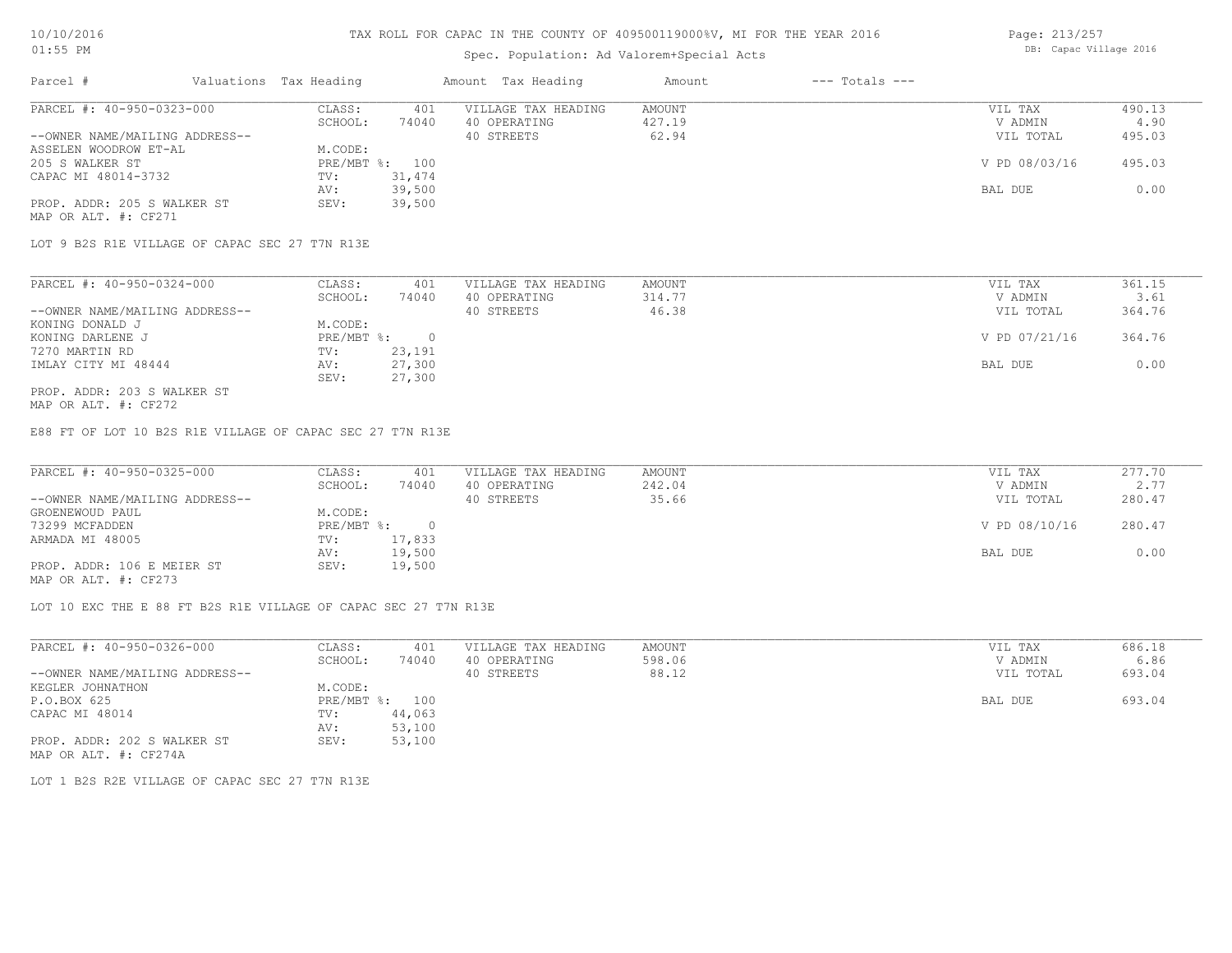# Spec. Population: Ad Valorem+Special Acts

| Page: 213/257 |                        |  |
|---------------|------------------------|--|
|               | DB: Capac Village 2016 |  |

| Parcel #                       | Valuations Tax Heading |        | Amount Tax Heading  | Amount | $---$ Totals $---$ |               |        |
|--------------------------------|------------------------|--------|---------------------|--------|--------------------|---------------|--------|
| PARCEL #: 40-950-0323-000      | CLASS:                 | 401    | VILLAGE TAX HEADING | AMOUNT |                    | VIL TAX       | 490.13 |
|                                | SCHOOL:                | 74040  | 40 OPERATING        | 427.19 |                    | V ADMIN       | 4.90   |
| --OWNER NAME/MAILING ADDRESS-- |                        |        | 40 STREETS          | 62.94  |                    | VIL TOTAL     | 495.03 |
| ASSELEN WOODROW ET-AL          | M.CODE:                |        |                     |        |                    |               |        |
| 205 S WALKER ST                | PRE/MBT %: 100         |        |                     |        |                    | V PD 08/03/16 | 495.03 |
| CAPAC MI 48014-3732            | TV:                    | 31,474 |                     |        |                    |               |        |
|                                | AV:                    | 39,500 |                     |        |                    | BAL DUE       | 0.00   |
| PROP. ADDR: 205 S WALKER ST    | SEV:                   | 39,500 |                     |        |                    |               |        |
| MAP OR ALT. #: CF271           |                        |        |                     |        |                    |               |        |

LOT 9 B2S R1E VILLAGE OF CAPAC SEC 27 T7N R13E

| PARCEL #: 40-950-0324-000      | CLASS:     | 401    | VILLAGE TAX HEADING | AMOUNT | VIL TAX       | 361.15 |
|--------------------------------|------------|--------|---------------------|--------|---------------|--------|
|                                | SCHOOL:    | 74040  | 40 OPERATING        | 314.77 | V ADMIN       | 3.61   |
| --OWNER NAME/MAILING ADDRESS-- |            |        | 40 STREETS          | 46.38  | VIL TOTAL     | 364.76 |
| KONING DONALD J                | M.CODE:    |        |                     |        |               |        |
| KONING DARLENE J               | PRE/MBT %: |        |                     |        | V PD 07/21/16 | 364.76 |
| 7270 MARTIN RD                 | TV:        | 23,191 |                     |        |               |        |
| IMLAY CITY MI 48444            | AV:        | 27,300 |                     |        | BAL DUE       | 0.00   |
|                                | SEV:       | 27,300 |                     |        |               |        |
| PROP. ADDR: 203 S WALKER ST    |            |        |                     |        |               |        |

MAP OR ALT. #: CF272

E88 FT OF LOT 10 B2S R1E VILLAGE OF CAPAC SEC 27 T7N R13E

| PARCEL #: 40-950-0325-000                             | CLASS:     | 401    | VILLAGE TAX HEADING | AMOUNT | VIL TAX       | 277.70 |
|-------------------------------------------------------|------------|--------|---------------------|--------|---------------|--------|
|                                                       | SCHOOL:    | 74040  | 40 OPERATING        | 242.04 | V ADMIN       | 2.77   |
| --OWNER NAME/MAILING ADDRESS--                        |            |        | 40 STREETS          | 35.66  | VIL TOTAL     | 280.47 |
| GROENEWOUD PAUL                                       | M.CODE:    |        |                     |        |               |        |
| 73299 MCFADDEN                                        | PRE/MBT %: |        |                     |        | V PD 08/10/16 | 280.47 |
| ARMADA MI 48005                                       | TV:        | 17,833 |                     |        |               |        |
|                                                       | AV:        | 19,500 |                     |        | BAL DUE       | 0.00   |
| PROP. ADDR: 106 E MEIER ST                            | SEV:       | 19,500 |                     |        |               |        |
| $\cdots$ $\cdots$ $\cdots$ $\cdots$ $\cdots$ $\cdots$ |            |        |                     |        |               |        |

MAP OR ALT. #: CF273

LOT 10 EXC THE E 88 FT B2S R1E VILLAGE OF CAPAC SEC 27 T7N R13E

| PARCEL #: 40-950-0326-000      | CLASS:  | 401            | VILLAGE TAX HEADING | AMOUNT | VIL TAX   | 686.18 |
|--------------------------------|---------|----------------|---------------------|--------|-----------|--------|
|                                | SCHOOL: | 74040          | 40 OPERATING        | 598.06 | V ADMIN   | 6.86   |
| --OWNER NAME/MAILING ADDRESS-- |         |                | 40 STREETS          | 88.12  | VIL TOTAL | 693.04 |
| KEGLER JOHNATHON               | M.CODE: |                |                     |        |           |        |
| P.O.BOX 625                    |         | PRE/MBT %: 100 |                     |        | BAL DUE   | 693.04 |
| CAPAC MI 48014                 | TV:     | 44,063         |                     |        |           |        |
|                                | AV:     | 53,100         |                     |        |           |        |
| PROP. ADDR: 202 S WALKER ST    | SEV:    | 53,100         |                     |        |           |        |
| MAP OR ALT. #: CF274A          |         |                |                     |        |           |        |

LOT 1 B2S R2E VILLAGE OF CAPAC SEC 27 T7N R13E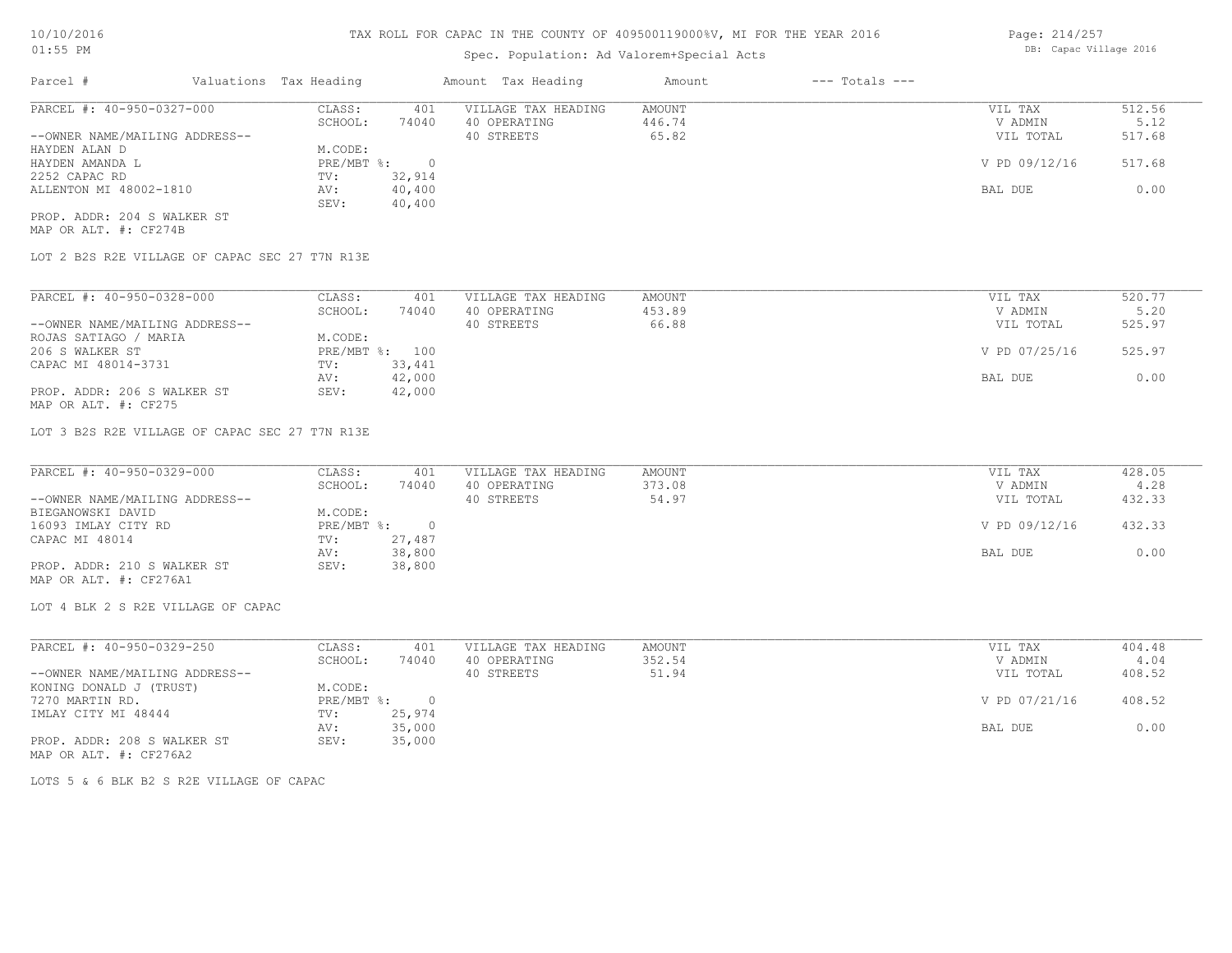## Spec. Population: Ad Valorem+Special Acts

| Page: 214/257 |                        |  |
|---------------|------------------------|--|
|               | DB: Capac Village 2016 |  |

| Parcel #                       | Valuations Tax Heading |        | Amount Tax Heading  | Amount | $---$ Totals $---$ |               |        |
|--------------------------------|------------------------|--------|---------------------|--------|--------------------|---------------|--------|
| PARCEL #: 40-950-0327-000      | CLASS:                 | 401    | VILLAGE TAX HEADING | AMOUNT |                    | VIL TAX       | 512.56 |
|                                | SCHOOL:                | 74040  | 40 OPERATING        | 446.74 |                    | V ADMIN       | 5.12   |
| --OWNER NAME/MAILING ADDRESS-- |                        |        | 40 STREETS          | 65.82  |                    | VIL TOTAL     | 517.68 |
| HAYDEN ALAN D                  | M.CODE:                |        |                     |        |                    |               |        |
| HAYDEN AMANDA L                | PRE/MBT %:             |        |                     |        |                    | V PD 09/12/16 | 517.68 |
| 2252 CAPAC RD                  | TV:                    | 32,914 |                     |        |                    |               |        |
| ALLENTON MI 48002-1810         | AV:                    | 40,400 |                     |        |                    | BAL DUE       | 0.00   |
|                                | SEV:                   | 40,400 |                     |        |                    |               |        |
| PROP. ADDR: 204 S WALKER ST    |                        |        |                     |        |                    |               |        |

MAP OR ALT. #: CF274B

LOT 2 B2S R2E VILLAGE OF CAPAC SEC 27 T7N R13E

| PARCEL #: 40-950-0328-000      | CLASS:  | 401            | VILLAGE TAX HEADING | AMOUNT | VIL TAX       | 520.77 |
|--------------------------------|---------|----------------|---------------------|--------|---------------|--------|
|                                | SCHOOL: | 74040          | 40 OPERATING        | 453.89 | V ADMIN       | 5.20   |
| --OWNER NAME/MAILING ADDRESS-- |         |                | 40 STREETS          | 66.88  | VIL TOTAL     | 525.97 |
| ROJAS SATIAGO / MARIA          | M.CODE: |                |                     |        |               |        |
| 206 S WALKER ST                |         | PRE/MBT %: 100 |                     |        | V PD 07/25/16 | 525.97 |
| CAPAC MI 48014-3731            | TV:     | 33,441         |                     |        |               |        |
|                                | AV:     | 42,000         |                     |        | BAL DUE       | 0.00   |
| PROP. ADDR: 206 S WALKER ST    | SEV:    | 42,000         |                     |        |               |        |
| MAP OR ALT. #: CF275           |         |                |                     |        |               |        |

LOT 3 B2S R2E VILLAGE OF CAPAC SEC 27 T7N R13E

| PARCEL #: 40-950-0329-000      | CLASS:     | 401    | VILLAGE TAX HEADING | AMOUNT | VIL TAX       | 428.05 |
|--------------------------------|------------|--------|---------------------|--------|---------------|--------|
|                                | SCHOOL:    | 74040  | 40 OPERATING        | 373.08 | V ADMIN       | 4.28   |
| --OWNER NAME/MAILING ADDRESS-- |            |        | 40 STREETS          | 54.97  | VIL TOTAL     | 432.33 |
| BIEGANOWSKI DAVID              | M.CODE:    |        |                     |        |               |        |
| 16093 IMLAY CITY RD            | PRE/MBT %: |        |                     |        | V PD 09/12/16 | 432.33 |
| CAPAC MI 48014                 | TV:        | 27,487 |                     |        |               |        |
|                                | AV:        | 38,800 |                     |        | BAL DUE       | 0.00   |
| PROP. ADDR: 210 S WALKER ST    | SEV:       | 38,800 |                     |        |               |        |
| MAP OR ALT. #: CF276A1         |            |        |                     |        |               |        |

LOT 4 BLK 2 S R2E VILLAGE OF CAPAC

| PARCEL #: 40-950-0329-250      | CLASS:     | 401    | VILLAGE TAX HEADING | AMOUNT | VIL TAX       | 404.48 |
|--------------------------------|------------|--------|---------------------|--------|---------------|--------|
|                                | SCHOOL:    | 74040  | 40 OPERATING        | 352.54 | V ADMIN       | 4.04   |
| --OWNER NAME/MAILING ADDRESS-- |            |        | 40 STREETS          | 51.94  | VIL TOTAL     | 408.52 |
| KONING DONALD J (TRUST)        | M.CODE:    |        |                     |        |               |        |
| 7270 MARTIN RD.                | PRE/MBT %: |        |                     |        | V PD 07/21/16 | 408.52 |
| IMLAY CITY MI 48444            | TV:        | 25,974 |                     |        |               |        |
|                                | AV:        | 35,000 |                     |        | BAL DUE       | 0.00   |
| PROP. ADDR: 208 S WALKER ST    | SEV:       | 35,000 |                     |        |               |        |
| MAP OR ALT. #: CF276A2         |            |        |                     |        |               |        |

LOTS 5 & 6 BLK B2 S R2E VILLAGE OF CAPAC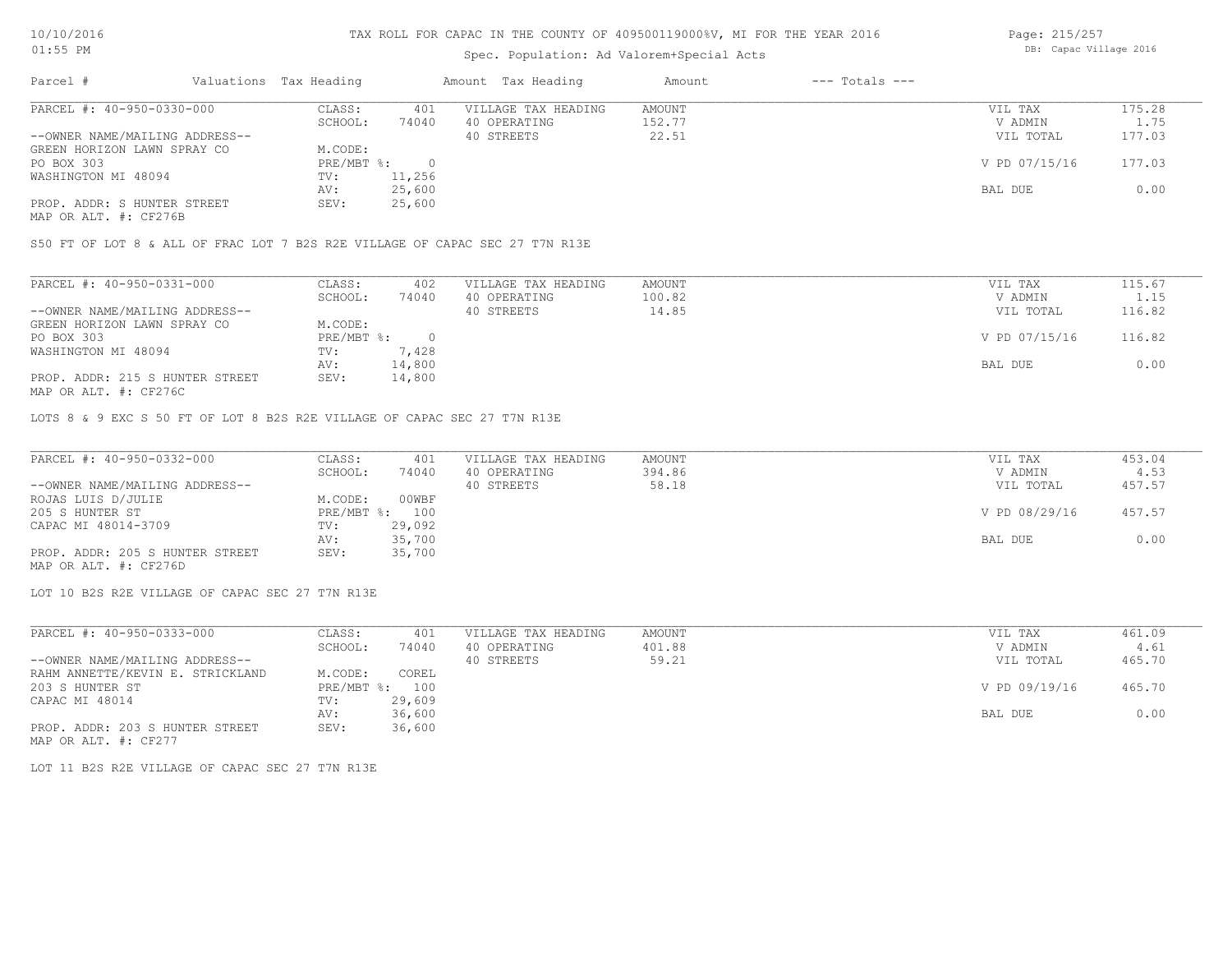## Spec. Population: Ad Valorem+Special Acts

| Page: 215/257 |                        |  |
|---------------|------------------------|--|
|               | DB: Capac Village 2016 |  |

| Parcel #                                              | Valuations Tax Heading |        | Amount Tax Heading  | Amount | $---$ Totals $---$ |               |        |
|-------------------------------------------------------|------------------------|--------|---------------------|--------|--------------------|---------------|--------|
| PARCEL #: 40-950-0330-000                             | CLASS:                 | 401    | VILLAGE TAX HEADING | AMOUNT |                    | VIL TAX       | 175.28 |
|                                                       | SCHOOL:                | 74040  | 40 OPERATING        | 152.77 |                    | V ADMIN       | 1.75   |
| --OWNER NAME/MAILING ADDRESS--                        |                        |        | 40 STREETS          | 22.51  |                    | VIL TOTAL     | 177.03 |
| GREEN HORIZON LAWN SPRAY CO                           | M.CODE:                |        |                     |        |                    |               |        |
| PO BOX 303                                            | PRE/MBT %:             |        |                     |        |                    | V PD 07/15/16 | 177.03 |
| WASHINGTON MI 48094                                   | TV:                    | 11,256 |                     |        |                    |               |        |
|                                                       | AV:                    | 25,600 |                     |        |                    | BAL DUE       | 0.00   |
| PROP. ADDR: S HUNTER STREET                           | SEV:                   | 25,600 |                     |        |                    |               |        |
| $\cdots$ $\cdots$ $\cdots$ $\cdots$ $\cdots$ $\cdots$ |                        |        |                     |        |                    |               |        |

MAP OR ALT. #: CF276B

S50 FT OF LOT 8 & ALL OF FRAC LOT 7 B2S R2E VILLAGE OF CAPAC SEC 27 T7N R13E

| PARCEL #: 40-950-0331-000       | CLASS:     | 402    | VILLAGE TAX HEADING | AMOUNT | VIL TAX       | 115.67 |
|---------------------------------|------------|--------|---------------------|--------|---------------|--------|
|                                 | SCHOOL:    | 74040  | 40 OPERATING        | 100.82 | V ADMIN       | 1.15   |
| --OWNER NAME/MAILING ADDRESS--  |            |        | 40 STREETS          | 14.85  | VIL TOTAL     | 116.82 |
| GREEN HORIZON LAWN SPRAY CO     | M.CODE:    |        |                     |        |               |        |
| PO BOX 303                      | PRE/MBT %: |        |                     |        | V PD 07/15/16 | 116.82 |
| WASHINGTON MI 48094             | TV:        | 7,428  |                     |        |               |        |
|                                 | AV:        | 14,800 |                     |        | BAL DUE       | 0.00   |
| PROP. ADDR: 215 S HUNTER STREET | SEV:       | 14,800 |                     |        |               |        |
| MAP OR ALT. #: CF276C           |            |        |                     |        |               |        |

LOTS 8 & 9 EXC S 50 FT OF LOT 8 B2S R2E VILLAGE OF CAPAC SEC 27 T7N R13E

| PARCEL #: 40-950-0332-000       | CLASS:  | 401            | VILLAGE TAX HEADING | AMOUNT | VIL TAX       | 453.04 |
|---------------------------------|---------|----------------|---------------------|--------|---------------|--------|
|                                 | SCHOOL: | 74040          | 40 OPERATING        | 394.86 | V ADMIN       | 4.53   |
| --OWNER NAME/MAILING ADDRESS--  |         |                | 40 STREETS          | 58.18  | VIL TOTAL     | 457.57 |
| ROJAS LUIS D/JULIE              | M.CODE: | 00WBF          |                     |        |               |        |
| 205 S HUNTER ST                 |         | PRE/MBT %: 100 |                     |        | V PD 08/29/16 | 457.57 |
| CAPAC MI 48014-3709             | TV:     | 29,092         |                     |        |               |        |
|                                 | AV:     | 35,700         |                     |        | BAL DUE       | 0.00   |
| PROP. ADDR: 205 S HUNTER STREET | SEV:    | 35,700         |                     |        |               |        |
| MAP OR ALT. #: CF276D           |         |                |                     |        |               |        |

LOT 10 B2S R2E VILLAGE OF CAPAC SEC 27 T7N R13E

| PARCEL #: 40-950-0333-000        | CLASS:     | 401    | VILLAGE TAX HEADING | AMOUNT | VIL TAX       | 461.09 |
|----------------------------------|------------|--------|---------------------|--------|---------------|--------|
|                                  | SCHOOL:    | 74040  | 40 OPERATING        | 401.88 | V ADMIN       | 4.61   |
| --OWNER NAME/MAILING ADDRESS--   |            |        | 40 STREETS          | 59.21  | VIL TOTAL     | 465.70 |
| RAHM ANNETTE/KEVIN E. STRICKLAND | M.CODE:    | COREL  |                     |        |               |        |
| 203 S HUNTER ST                  | PRE/MBT %: | 100    |                     |        | V PD 09/19/16 | 465.70 |
| CAPAC MI 48014                   | TV:        | 29,609 |                     |        |               |        |
|                                  | AV:        | 36,600 |                     |        | BAL DUE       | 0.00   |
| PROP. ADDR: 203 S HUNTER STREET  | SEV:       | 36,600 |                     |        |               |        |

MAP OR ALT. #: CF277

LOT 11 B2S R2E VILLAGE OF CAPAC SEC 27 T7N R13E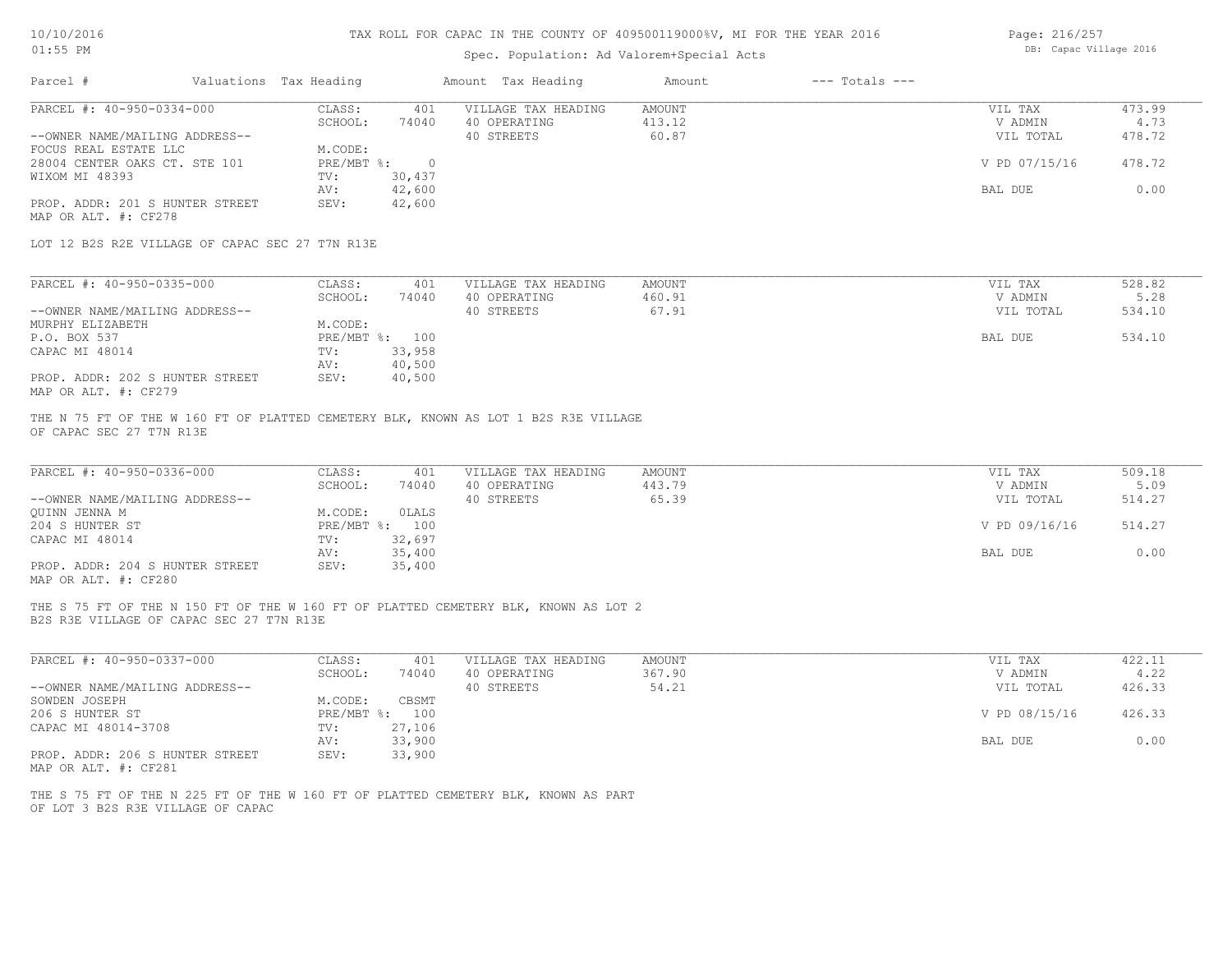## Spec. Population: Ad Valorem+Special Acts

| Page: 216/257 |                        |  |
|---------------|------------------------|--|
|               | DB: Capac Village 2016 |  |

| Valuations Tax Heading<br>Parcel #                                                                                              |                                   |                                     |                         |                    |                |
|---------------------------------------------------------------------------------------------------------------------------------|-----------------------------------|-------------------------------------|-------------------------|--------------------|----------------|
| PARCEL #: 40-950-0334-000                                                                                                       | CLASS:<br>401<br>SCHOOL:<br>74040 | VILLAGE TAX HEADING                 | AMOUNT<br>413.12        | VIL TAX<br>V ADMIN | 473.99<br>4.73 |
| --OWNER NAME/MAILING ADDRESS--                                                                                                  |                                   | 40 OPERATING<br>40 STREETS          | 60.87                   | VIL TOTAL          | 478.72         |
| FOCUS REAL ESTATE LLC                                                                                                           | M.CODE:                           |                                     |                         |                    |                |
| 28004 CENTER OAKS CT. STE 101                                                                                                   | $PRE/MBT$ $\frac{1}{6}$ : 0       |                                     |                         | V PD 07/15/16      | 478.72         |
| WIXOM MI 48393                                                                                                                  | 30,437<br>TV:                     |                                     |                         |                    |                |
|                                                                                                                                 | 42,600<br>AV:                     |                                     |                         | BAL DUE            | 0.00           |
| PROP. ADDR: 201 S HUNTER STREET<br>MAP OR ALT. #: CF278                                                                         | 42,600<br>SEV:                    |                                     |                         |                    |                |
| LOT 12 B2S R2E VILLAGE OF CAPAC SEC 27 T7N R13E                                                                                 |                                   |                                     |                         |                    |                |
| PARCEL #: 40-950-0335-000                                                                                                       | CLASS:                            | 401 VILLAGE TAX HEADING             | AMOUNT                  | VIL TAX            | 528.82         |
|                                                                                                                                 | SCHOOL:<br>74040                  | 40 OPERATING                        | 460.91                  | V ADMIN            | 5.28           |
| --OWNER NAME/MAILING ADDRESS--                                                                                                  |                                   | 40 STREETS                          | 67.91                   | VIL TOTAL          | 534.10         |
| MURPHY ELIZABETH                                                                                                                | M.CODE:                           |                                     |                         |                    |                |
| P.O. BOX 537                                                                                                                    | PRE/MBT %: 100                    |                                     |                         | BAL DUE            | 534.10         |
| CAPAC MI 48014                                                                                                                  | TV:<br>33,958                     |                                     |                         |                    |                |
|                                                                                                                                 | 40,500<br>AV:                     |                                     |                         |                    |                |
| PROP. ADDR: 202 S HUNTER STREET<br>MAP OR ALT. #: CF279                                                                         | SEV:<br>40,500                    |                                     |                         |                    |                |
| THE N 75 FT OF THE W 160 FT OF PLATTED CEMETERY BLK, KNOWN AS LOT 1 B2S R3E VILLAGE                                             |                                   |                                     |                         |                    |                |
| OF CAPAC SEC 27 T7N R13E                                                                                                        |                                   |                                     |                         |                    |                |
|                                                                                                                                 |                                   |                                     |                         |                    |                |
| PARCEL #: 40-950-0336-000                                                                                                       | CLASS:<br>401<br>SCHOOL:<br>74040 | VILLAGE TAX HEADING<br>40 OPERATING | <b>AMOUNT</b><br>443.79 | VIL TAX<br>V ADMIN | 509.18<br>5.09 |
| --OWNER NAME/MAILING ADDRESS--                                                                                                  |                                   | 40 STREETS                          | 65.39                   | VIL TOTAL          | 514.27         |
| QUINN JENNA M                                                                                                                   | M.CODE:<br>OLALS                  |                                     |                         |                    |                |
| 204 S HUNTER ST                                                                                                                 | PRE/MBT %: 100                    |                                     |                         | V PD 09/16/16      | 514.27         |
| CAPAC MI 48014                                                                                                                  | 32,697<br>TV:                     |                                     |                         |                    |                |
|                                                                                                                                 | 35,400<br>AV:<br>35,400<br>SEV:   |                                     |                         | BAL DUE            | 0.00           |
| PROP. ADDR: 204 S HUNTER STREET<br>MAP OR ALT. #: CF280                                                                         |                                   |                                     |                         |                    |                |
| THE S 75 FT OF THE N 150 FT OF THE W 160 FT OF PLATTED CEMETERY BLK, KNOWN AS LOT 2<br>B2S R3E VILLAGE OF CAPAC SEC 27 T7N R13E |                                   |                                     |                         |                    |                |
|                                                                                                                                 |                                   |                                     |                         |                    |                |
| PARCEL #: 40-950-0337-000                                                                                                       | CLASS:<br>401                     | VILLAGE TAX HEADING                 | AMOUNT                  | VIL TAX            | 422.11         |
| --OWNER NAME/MAILING ADDRESS--                                                                                                  | SCHOOL:<br>74040                  | 40 OPERATING<br>40 STREETS          | 367.90<br>54.21         | V ADMIN            | 4.22<br>426.33 |
| SOWDEN JOSEPH                                                                                                                   | M.CODE:<br>CBSMT                  |                                     |                         | VIL TOTAL          |                |
| 206 S HUNTER ST                                                                                                                 | PRE/MBT %: 100                    |                                     |                         | V PD 08/15/16      | 426.33         |
| CAPAC MI 48014-3708                                                                                                             | 27,106<br>TV:                     |                                     |                         |                    |                |
|                                                                                                                                 | 33,900<br>AV:                     |                                     |                         | BAL DUE            | 0.00           |
| PROP. ADDR: 206 S HUNTER STREET<br>MAP OR ALT. #: CF281                                                                         | SEV:<br>33,900                    |                                     |                         |                    |                |
| THE S 75 FT OF THE N 225 FT OF THE W 160 FT OF PLATTED CEMETERY BLK, KNOWN AS PART<br>OF LOT 3 B2S R3E VILLAGE OF CAPAC         |                                   |                                     |                         |                    |                |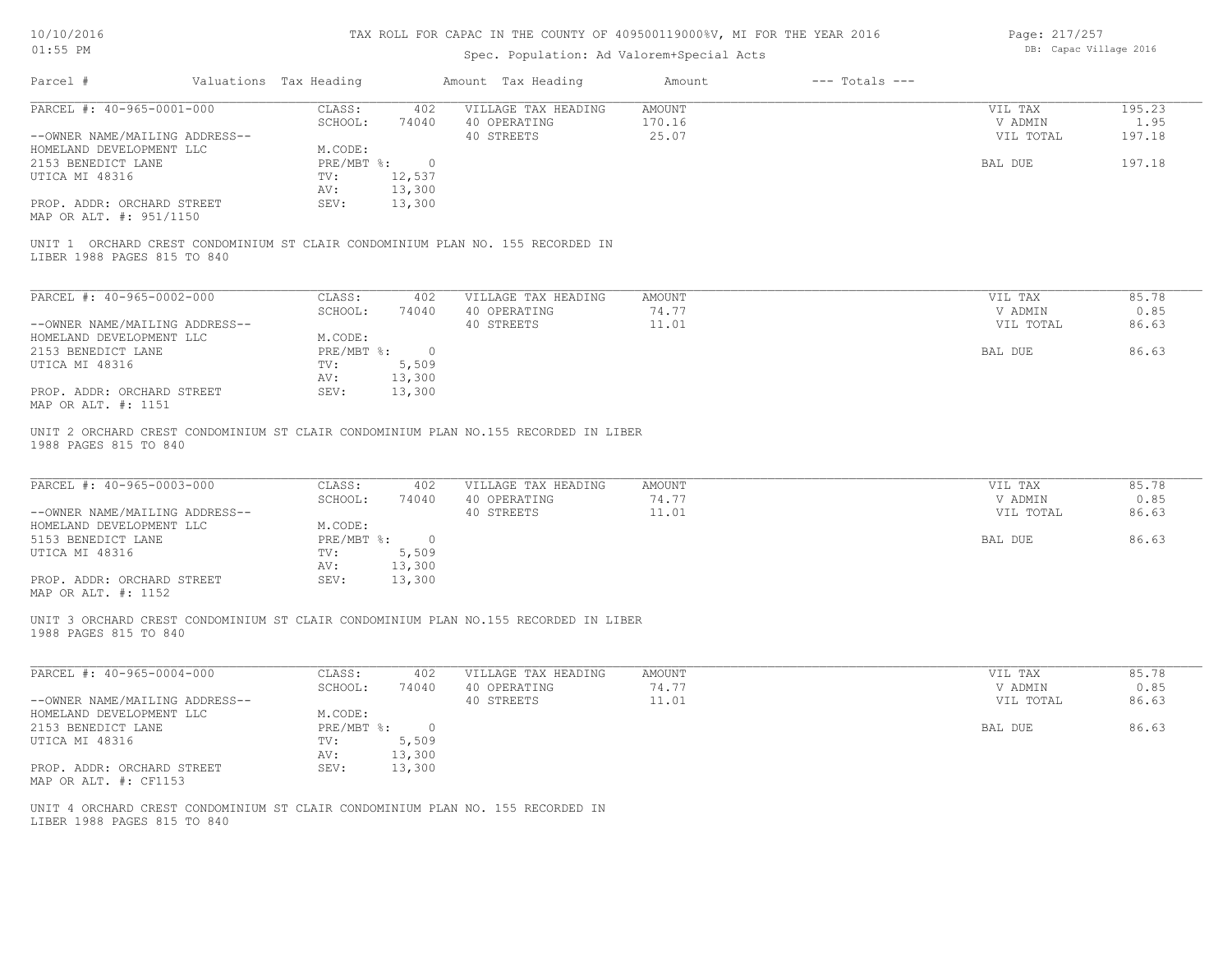| 10/10/2016 |  |
|------------|--|
| $01:55$ PM |  |

## Spec. Population: Ad Valorem+Special Acts

Page: 217/257 DB: Capac Village 2016

| Parcel #<br>Valuations Tax Heading                                                                                                  | Amount Tax Heading                                                                    |                                                                   |                          |                                            |                                 |
|-------------------------------------------------------------------------------------------------------------------------------------|---------------------------------------------------------------------------------------|-------------------------------------------------------------------|--------------------------|--------------------------------------------|---------------------------------|
| PARCEL #: 40-965-0001-000                                                                                                           | CLASS:<br>SCHOOL:                                                                     | 402 VILLAGE TAX HEADING<br>74040<br>40 OPERATING                  | AMOUNT<br>170.16         | VIL TAX<br>V ADMIN                         | 195.23<br>1.95                  |
| --OWNER NAME/MAILING ADDRESS--                                                                                                      |                                                                                       | 40 STREETS                                                        | 25.07                    | VIL TOTAL                                  | 197.18                          |
| HOMELAND DEVELOPMENT LLC                                                                                                            | M.CODE:                                                                               |                                                                   |                          |                                            |                                 |
| 2153 BENEDICT LANE                                                                                                                  | PRE/MBT %: 0                                                                          |                                                                   |                          | BAL DUE                                    | 197.18                          |
| UTICA MI 48316                                                                                                                      | 12,537<br>TV:                                                                         |                                                                   |                          |                                            |                                 |
|                                                                                                                                     | AV:<br>13,300                                                                         |                                                                   |                          |                                            |                                 |
| PROP. ADDR: ORCHARD STREET<br>MAP OR ALT. #: 951/1150                                                                               | SEV:<br>13,300                                                                        |                                                                   |                          |                                            |                                 |
| UNIT 1 ORCHARD CREST CONDOMINIUM ST CLAIR CONDOMINIUM PLAN NO. 155 RECORDED IN<br>LIBER 1988 PAGES 815 TO 840                       |                                                                                       |                                                                   |                          |                                            |                                 |
| PARCEL #: 40-965-0002-000                                                                                                           | CLASS:                                                                                | 402<br>VILLAGE TAX HEADING                                        | AMOUNT                   | VIL TAX                                    | 85.78                           |
|                                                                                                                                     | SCHOOL:<br>74040                                                                      | 40 OPERATING                                                      | 74.77                    | V ADMIN                                    | 0.85                            |
| --OWNER NAME/MAILING ADDRESS--                                                                                                      |                                                                                       | 40 STREETS                                                        | 11.01                    | VIL TOTAL                                  | 86.63                           |
| HOMELAND DEVELOPMENT LLC                                                                                                            | M.CODE:                                                                               |                                                                   |                          |                                            |                                 |
| 2153 BENEDICT LANE                                                                                                                  | PRE/MBT %: 0                                                                          |                                                                   |                          | BAL DUE                                    | 86.63                           |
| UTICA MI 48316                                                                                                                      | 5,509<br>TV:                                                                          |                                                                   |                          |                                            |                                 |
|                                                                                                                                     | 13,300<br>AV:                                                                         |                                                                   |                          |                                            |                                 |
| PROP. ADDR: ORCHARD STREET                                                                                                          | SEV:<br>13,300                                                                        |                                                                   |                          |                                            |                                 |
| MAP OR ALT. #: 1151<br>UNIT 2 ORCHARD CREST CONDOMINIUM ST CLAIR CONDOMINIUM PLAN NO.155 RECORDED IN LIBER<br>1988 PAGES 815 TO 840 |                                                                                       |                                                                   |                          |                                            |                                 |
| PARCEL #: 40-965-0003-000<br>--OWNER NAME/MAILING ADDRESS--<br>HOMELAND DEVELOPMENT LLC<br>5153 BENEDICT LANE<br>UTICA MI 48316     | CLASS:<br>SCHOOL:<br>M.CODE:<br>PRE/MBT %: 0<br>TV:<br>5,509<br>13,300<br>AV:<br>SEV: | 402<br>VILLAGE TAX HEADING<br>40 OPERATING<br>74040<br>40 STREETS | AMOUNT<br>74.77<br>11.01 | VIL TAX<br>V ADMIN<br>VIL TOTAL<br>BAL DUE | 85.78<br>0.85<br>86.63<br>86.63 |
| PROP. ADDR: ORCHARD STREET<br>MAP OR ALT. #: 1152                                                                                   | 13,300                                                                                |                                                                   |                          |                                            |                                 |
| UNIT 3 ORCHARD CREST CONDOMINIUM ST CLAIR CONDOMINIUM PLAN NO.155 RECORDED IN LIBER<br>1988 PAGES 815 TO 840                        |                                                                                       |                                                                   |                          |                                            |                                 |
| PARCEL #: 40-965-0004-000                                                                                                           | CLASS:                                                                                | 402<br>VILLAGE TAX HEADING                                        | AMOUNT                   | VIL TAX                                    | 85.78                           |
|                                                                                                                                     | SCHOOL:                                                                               | 40 OPERATING<br>74040                                             | 74.77                    | V ADMIN                                    | 0.85                            |
| --OWNER NAME/MAILING ADDRESS--                                                                                                      |                                                                                       | 40 STREETS                                                        | 11.01                    | VIL TOTAL                                  | 86.63                           |
| HOMELAND DEVELOPMENT LLC                                                                                                            | M.CODE:                                                                               |                                                                   |                          |                                            |                                 |
| 2153 BENEDICT LANE                                                                                                                  | PRE/MBT %: 0                                                                          |                                                                   |                          | BAL DUE                                    | 86.63                           |
| UTICA MI 48316                                                                                                                      | 5,509<br>TV:                                                                          |                                                                   |                          |                                            |                                 |
|                                                                                                                                     | 13,300<br>AV:                                                                         |                                                                   |                          |                                            |                                 |
| PROP. ADDR: ORCHARD STREET<br>MAP OR ALT. #: CF1153                                                                                 | SEV:<br>13,300                                                                        |                                                                   |                          |                                            |                                 |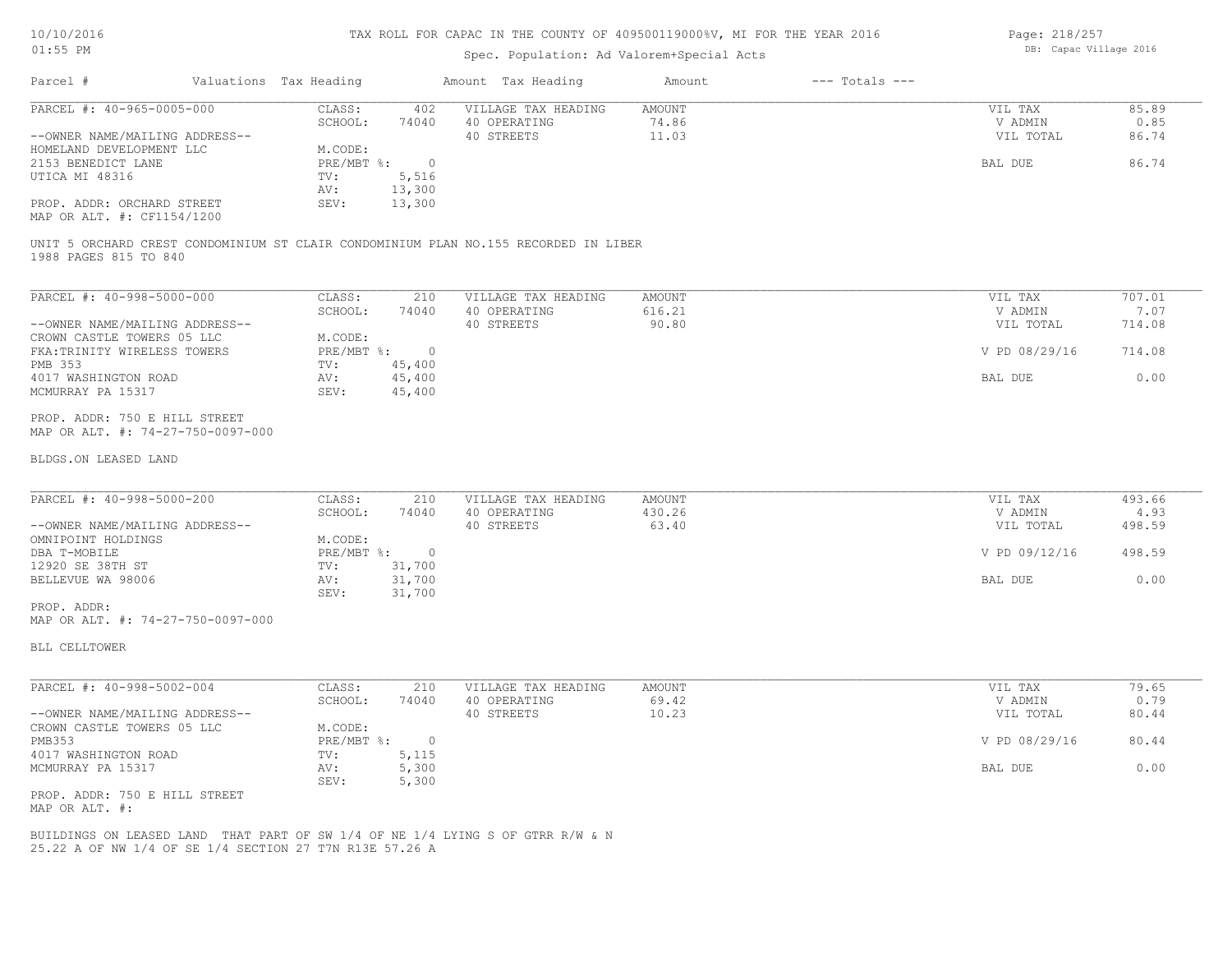#### Spec. Population: Ad Valorem+Special Acts

Page: 218/257 DB: Capac Village 2016

| 85.89 |
|-------|
| 0.85  |
| 86.74 |
|       |
| 86.74 |
|       |
|       |
|       |
|       |

MAP OR ALT. #: CF1154/1200

1988 PAGES 815 TO 840 UNIT 5 ORCHARD CREST CONDOMINIUM ST CLAIR CONDOMINIUM PLAN NO.155 RECORDED IN LIBER

| PARCEL #: 40-998-5000-000      | CLASS:     | 210      | VILLAGE TAX HEADING | AMOUNT | VIL TAX       | 707.01 |
|--------------------------------|------------|----------|---------------------|--------|---------------|--------|
|                                | SCHOOL:    | 74040    | 40 OPERATING        | 616.21 | V ADMIN       | 7.07   |
| --OWNER NAME/MAILING ADDRESS-- |            |          | 40 STREETS          | 90.80  | VIL TOTAL     | 714.08 |
| CROWN CASTLE TOWERS 05 LLC     | M.CODE:    |          |                     |        |               |        |
| FKA: TRINITY WIRELESS TOWERS   | PRE/MBT %: | $\Omega$ |                     |        | V PD 08/29/16 | 714.08 |
| PMB 353                        | TV:        | 45,400   |                     |        |               |        |
| 4017 WASHINGTON ROAD           | AV:        | 45,400   |                     |        | BAL DUE       | 0.00   |
| MCMURRAY PA 15317              | SEV:       | 45,400   |                     |        |               |        |

MAP OR ALT. #: 74-27-750-0097-000 PROP. ADDR: 750 E HILL STREET

#### BLDGS.ON LEASED LAND

| PARCEL #: 40-998-5000-200      | CLASS:     | 210    | VILLAGE TAX HEADING | AMOUNT | VIL TAX       | 493.66 |
|--------------------------------|------------|--------|---------------------|--------|---------------|--------|
|                                | SCHOOL:    | 74040  | 40 OPERATING        | 430.26 | V ADMIN       | 4.93   |
| --OWNER NAME/MAILING ADDRESS-- |            |        | 40 STREETS          | 63.40  | VIL TOTAL     | 498.59 |
| OMNIPOINT HOLDINGS             | M.CODE:    |        |                     |        |               |        |
| DBA T-MOBILE                   | PRE/MBT %: |        |                     |        | V PD 09/12/16 | 498.59 |
| 12920 SE 38TH ST               | TV:        | 31,700 |                     |        |               |        |
| BELLEVUE WA 98006              | AV:        | 31,700 |                     |        | BAL DUE       | 0.00   |
|                                | SEV:       | 31,700 |                     |        |               |        |
| PROP. ADDR:                    |            |        |                     |        |               |        |

 $\mathcal{L}_\mathcal{L} = \mathcal{L}_\mathcal{L} = \mathcal{L}_\mathcal{L} = \mathcal{L}_\mathcal{L} = \mathcal{L}_\mathcal{L} = \mathcal{L}_\mathcal{L} = \mathcal{L}_\mathcal{L} = \mathcal{L}_\mathcal{L} = \mathcal{L}_\mathcal{L} = \mathcal{L}_\mathcal{L} = \mathcal{L}_\mathcal{L} = \mathcal{L}_\mathcal{L} = \mathcal{L}_\mathcal{L} = \mathcal{L}_\mathcal{L} = \mathcal{L}_\mathcal{L} = \mathcal{L}_\mathcal{L} = \mathcal{L}_\mathcal{L}$ 

MAP OR ALT. #: 74-27-750-0097-000

BLL CELLTOWER

| PARCEL #: 40-998-5002-004      | CLASS:     | 210   | VILLAGE TAX HEADING | AMOUNT | VIL TAX       | 79.65 |
|--------------------------------|------------|-------|---------------------|--------|---------------|-------|
|                                | SCHOOL:    | 74040 | 40 OPERATING        | 69.42  | V ADMIN       | 0.79  |
| --OWNER NAME/MAILING ADDRESS-- |            |       | 40 STREETS          | 10.23  | VIL TOTAL     | 80.44 |
| CROWN CASTLE TOWERS 05 LLC     | M.CODE:    |       |                     |        |               |       |
| PMB353                         | PRE/MBT %: |       |                     |        | V PD 08/29/16 | 80.44 |
| 4017 WASHINGTON ROAD           | TV:        | 5,115 |                     |        |               |       |
| MCMURRAY PA 15317              | AV:        | 5,300 |                     |        | BAL DUE       | 0.00  |
|                                | SEV:       | 5,300 |                     |        |               |       |
| PROP. ADDR: 750 E HILL STREET  |            |       |                     |        |               |       |

MAP OR ALT. #:

25.22 A OF NW 1/4 OF SE 1/4 SECTION 27 T7N R13E 57.26 A BUILDINGS ON LEASED LAND THAT PART OF SW 1/4 OF NE 1/4 LYING S OF GTRR R/W & N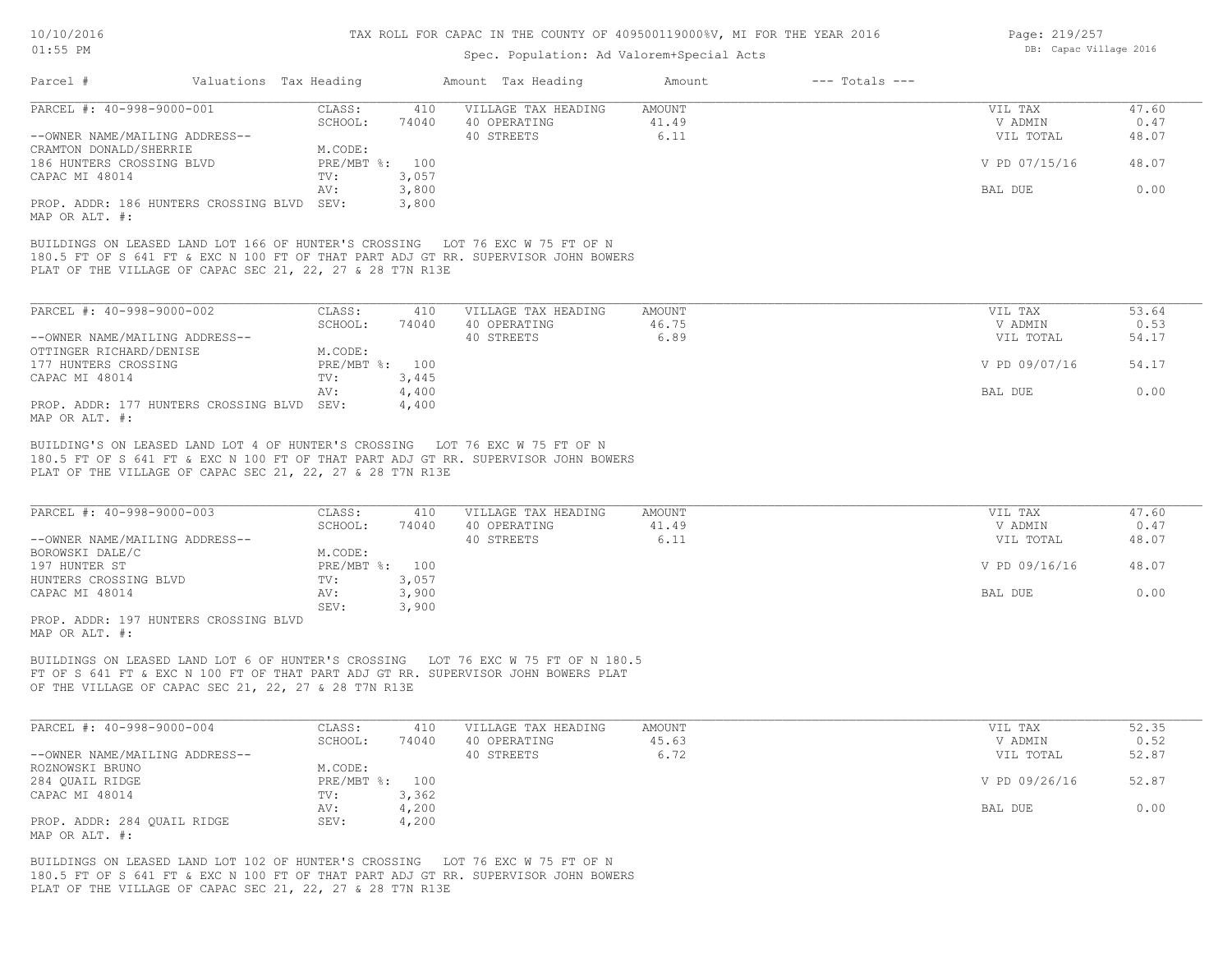#### Spec. Population: Ad Valorem+Special Acts

| Page: 219/257 |                        |  |
|---------------|------------------------|--|
|               | DB: Capac Village 2016 |  |

|                                                                                                                                                                                                                                  |                |                | Amount Tax Heading  | Amount | $---$ Totals $---$ |               |       |
|----------------------------------------------------------------------------------------------------------------------------------------------------------------------------------------------------------------------------------|----------------|----------------|---------------------|--------|--------------------|---------------|-------|
| PARCEL #: 40-998-9000-001                                                                                                                                                                                                        | CLASS:         | 410            | VILLAGE TAX HEADING | AMOUNT |                    | VIL TAX       | 47.60 |
|                                                                                                                                                                                                                                  | SCHOOL:        | 74040          | 40 OPERATING        | 41.49  |                    | V ADMIN       | 0.47  |
| --OWNER NAME/MAILING ADDRESS--                                                                                                                                                                                                   |                |                | 40 STREETS          | 6.11   |                    | VIL TOTAL     | 48.07 |
| CRAMTON DONALD/SHERRIE                                                                                                                                                                                                           | M.CODE:        |                |                     |        |                    |               |       |
| 186 HUNTERS CROSSING BLVD                                                                                                                                                                                                        | PRE/MBT %: 100 |                |                     |        |                    | V PD 07/15/16 | 48.07 |
| CAPAC MI 48014                                                                                                                                                                                                                   | TV:            | 3,057          |                     |        |                    |               |       |
|                                                                                                                                                                                                                                  | AV:            | 3,800          |                     |        |                    | BAL DUE       | 0.00  |
| PROP. ADDR: 186 HUNTERS CROSSING BLVD<br>MAP OR ALT. #:                                                                                                                                                                          | SEV:           | 3,800          |                     |        |                    |               |       |
| BUILDINGS ON LEASED LAND LOT 166 OF HUNTER'S CROSSING LOT 76 EXC W 75 FT OF N<br>180.5 FT OF S 641 FT & EXC N 100 FT OF THAT PART ADJ GT RR. SUPERVISOR JOHN BOWERS<br>PLAT OF THE VILLAGE OF CAPAC SEC 21, 22, 27 & 28 T7N R13E |                |                |                     |        |                    |               |       |
| PARCEL #: 40-998-9000-002                                                                                                                                                                                                        | CLASS:         | 410            | VILLAGE TAX HEADING | AMOUNT |                    | VIL TAX       | 53.64 |
|                                                                                                                                                                                                                                  | SCHOOL:        | 74040          | 40 OPERATING        | 46.75  |                    | V ADMIN       | 0.53  |
| --OWNER NAME/MAILING ADDRESS--                                                                                                                                                                                                   |                |                | 40 STREETS          | 6.89   |                    | VIL TOTAL     | 54.17 |
| OTTINGER RICHARD/DENISE                                                                                                                                                                                                          | M.CODE:        |                |                     |        |                    |               |       |
| 177 HUNTERS CROSSING                                                                                                                                                                                                             | PRE/MBT %: 100 |                |                     |        |                    | V PD 09/07/16 | 54.17 |
| CAPAC MI 48014                                                                                                                                                                                                                   | TV:            | 3,445          |                     |        |                    |               |       |
| PROP. ADDR: 177 HUNTERS CROSSING BLVD                                                                                                                                                                                            | AV:<br>SEV:    | 4,400<br>4,400 |                     |        |                    | BAL DUE       | 0.00  |

PLAT OF THE VILLAGE OF CAPAC SEC 21, 22, 27 & 28 T7N R13E 180.5 FT OF S 641 FT & EXC N 100 FT OF THAT PART ADJ GT RR. SUPERVISOR JOHN BOWERS BUILDING'S ON LEASED LAND LOT 4 OF HUNTER'S CROSSING LOT 76 EXC W 75 FT OF N

| PARCEL #: 40-998-9000-003            | CLASS:         | 410   | VILLAGE TAX HEADING | AMOUNT | VIL TAX       | 47.60 |
|--------------------------------------|----------------|-------|---------------------|--------|---------------|-------|
|                                      | SCHOOL:        | 74040 | 40 OPERATING        | 41.49  | V ADMIN       | 0.47  |
| --OWNER NAME/MAILING ADDRESS--       |                |       | 40 STREETS          | 6.11   | VIL TOTAL     | 48.07 |
| BOROWSKI DALE/C                      | M.CODE:        |       |                     |        |               |       |
| 197 HUNTER ST                        | PRE/MBT %: 100 |       |                     |        | V PD 09/16/16 | 48.07 |
| HUNTERS CROSSING BLVD                | TV:            | 3,057 |                     |        |               |       |
| CAPAC MI 48014                       | AV:            | 3,900 |                     |        | BAL DUE       | 0.00  |
|                                      | SEV:           | 3,900 |                     |        |               |       |
| PROP ADDR: 197 HUNTERS CROSSING RIVD |                |       |                     |        |               |       |

MAP OR ALT. #: PROP. ADDR: 197 HUNTERS CROSSING BLVD

OF THE VILLAGE OF CAPAC SEC 21, 22, 27 & 28 T7N R13E FT OF S 641 FT & EXC N 100 FT OF THAT PART ADJ GT RR. SUPERVISOR JOHN BOWERS PLAT BUILDINGS ON LEASED LAND LOT 6 OF HUNTER'S CROSSING LOT 76 EXC W 75 FT OF N 180.5

| PARCEL #: 40-998-9000-004      | CLASS:     | 410   | VILLAGE TAX HEADING | AMOUNT | VIL TAX       | 52.35 |
|--------------------------------|------------|-------|---------------------|--------|---------------|-------|
|                                | SCHOOL:    | 74040 | 40 OPERATING        | 45.63  | V ADMIN       | 0.52  |
| --OWNER NAME/MAILING ADDRESS-- |            |       | 40 STREETS          | 6.72   | VIL TOTAL     | 52.87 |
| ROZNOWSKI BRUNO                | M.CODE:    |       |                     |        |               |       |
| 284 QUAIL RIDGE                | PRE/MBT %: | 100   |                     |        | V PD 09/26/16 | 52.87 |
| CAPAC MI 48014                 | TV:        | 3,362 |                     |        |               |       |
|                                | AV:        | 4,200 |                     |        | BAL DUE       | 0.00  |
| PROP. ADDR: 284 QUAIL RIDGE    | SEV:       | 4,200 |                     |        |               |       |
| MAP OR ALT. #:                 |            |       |                     |        |               |       |

PLAT OF THE VILLAGE OF CAPAC SEC 21, 22, 27 & 28 T7N R13E 180.5 FT OF S 641 FT & EXC N 100 FT OF THAT PART ADJ GT RR. SUPERVISOR JOHN BOWERS BUILDINGS ON LEASED LAND LOT 102 OF HUNTER'S CROSSING LOT 76 EXC W 75 FT OF N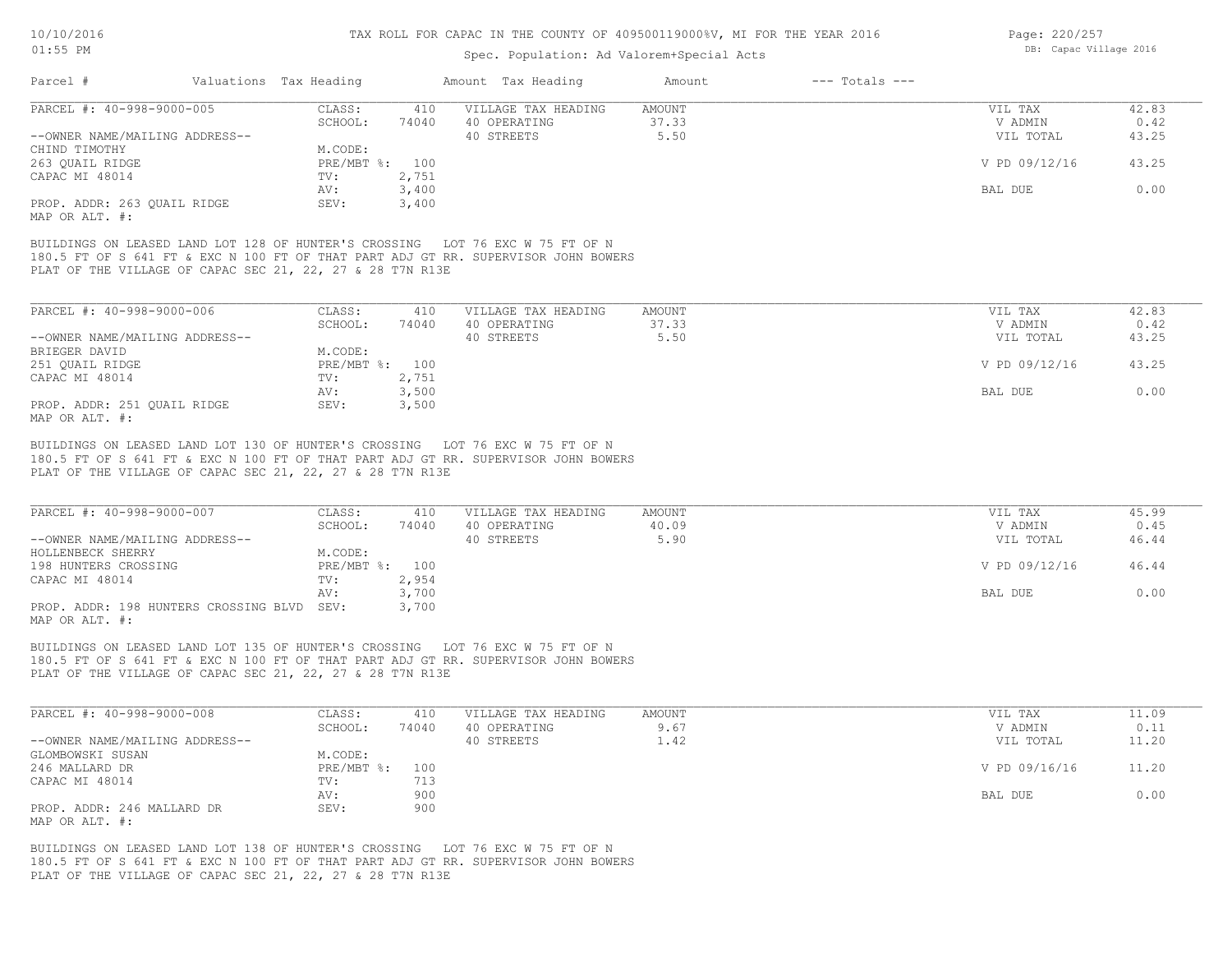#### Spec. Population: Ad Valorem+Special Acts

| Page: 220/257          |  |
|------------------------|--|
| DB: Capac Village 2016 |  |

| Parcel #                                                  | Valuations Tax Heading |       | Amount Tax Heading                                                                 | Amount | $---$ Totals $---$ |               |       |
|-----------------------------------------------------------|------------------------|-------|------------------------------------------------------------------------------------|--------|--------------------|---------------|-------|
| PARCEL #: 40-998-9000-005                                 | CLASS:                 | 410   | VILLAGE TAX HEADING                                                                | AMOUNT |                    | VIL TAX       | 42.83 |
|                                                           | SCHOOL:                | 74040 | 40 OPERATING                                                                       | 37.33  |                    | V ADMIN       | 0.42  |
| --OWNER NAME/MAILING ADDRESS--                            |                        |       | 40 STREETS                                                                         | 5.50   |                    | VIL TOTAL     | 43.25 |
| CHIND TIMOTHY                                             | M.CODE:                |       |                                                                                    |        |                    |               |       |
| 263 QUAIL RIDGE                                           | PRE/MBT %: 100         |       |                                                                                    |        |                    | V PD 09/12/16 | 43.25 |
| CAPAC MI 48014                                            | TV:                    | 2,751 |                                                                                    |        |                    |               |       |
|                                                           | AV:                    | 3,400 |                                                                                    |        |                    | BAL DUE       | 0.00  |
| PROP. ADDR: 263 QUAIL RIDGE                               | SEV:                   | 3,400 |                                                                                    |        |                    |               |       |
| MAP OR ALT. #:                                            |                        |       |                                                                                    |        |                    |               |       |
| PLAT OF THE VILLAGE OF CAPAC SEC 21, 22, 27 & 28 T7N R13E |                        |       | 180.5 FT OF S 641 FT & EXC N 100 FT OF THAT PART ADJ GT RR. SUPERVISOR JOHN BOWERS |        |                    |               |       |
| PARCEL #: 40-998-9000-006                                 | CLASS:                 | 410   | VILLAGE TAX HEADING                                                                | AMOUNT |                    | VIL TAX       | 42.83 |
|                                                           | SCHOOL:                | 74040 | 40 OPERATING                                                                       | 37.33  |                    | V ADMIN       | 0.42  |
| --OWNER NAME/MAILING ADDRESS--                            |                        |       | 40 STREETS                                                                         | 5.50   |                    | VIL TOTAL     | 43.25 |
| BRIEGER DAVID                                             | M.CODE:                |       |                                                                                    |        |                    |               |       |
| 251 QUAIL RIDGE                                           | PRE/MBT %: 100         |       |                                                                                    |        |                    | V PD 09/12/16 | 43.25 |
| CAPAC MI 48014                                            | TV:                    | 2,751 |                                                                                    |        |                    |               |       |
|                                                           | AV:                    | 3,500 |                                                                                    |        |                    | BAL DUE       | 0.00  |

180.5 FT OF S 641 FT & EXC N 100 FT OF THAT PART ADJ GT RR. SUPERVISOR JOHN BOWERS BUILDINGS ON LEASED LAND LOT 130 OF HUNTER'S CROSSING LOT 76 EXC W 75 FT OF N

PLAT OF THE VILLAGE OF CAPAC SEC 21, 22, 27 & 28 T7N R13E

PROP. ADDR: 251 OUAIL RIDGE SEV: 3,500

| PARCEL #: 40-998-9000-007                  | CLASS:         | 410   | VILLAGE TAX HEADING | AMOUNT | VIL TAX       | 45.99 |
|--------------------------------------------|----------------|-------|---------------------|--------|---------------|-------|
|                                            | SCHOOL:        | 74040 | 40 OPERATING        | 40.09  | V ADMIN       | 0.45  |
| --OWNER NAME/MAILING ADDRESS--             |                |       | 40 STREETS          | 5.90   | VIL TOTAL     | 46.44 |
| HOLLENBECK SHERRY                          | M.CODE:        |       |                     |        |               |       |
| 198 HUNTERS CROSSING                       | PRE/MBT %: 100 |       |                     |        | V PD 09/12/16 | 46.44 |
| CAPAC MI 48014                             | TV:            | 2,954 |                     |        |               |       |
|                                            | AV:            | 3,700 |                     |        | BAL DUE       | 0.00  |
| PROP. ADDR: 198 HUNTERS CROSSING BLVD SEV: |                | 3,700 |                     |        |               |       |
| $\frac{1}{2}$                              |                |       |                     |        |               |       |

MAP OR ALT. #:

MAP OR ALT. #:

PLAT OF THE VILLAGE OF CAPAC SEC 21, 22, 27 & 28 T7N R13E 180.5 FT OF S 641 FT & EXC N 100 FT OF THAT PART ADJ GT RR. SUPERVISOR JOHN BOWERS BUILDINGS ON LEASED LAND LOT 135 OF HUNTER'S CROSSING LOT 76 EXC W 75 FT OF N

| PARCEL #: 40-998-9000-008      | CLASS:         | 410   | VILLAGE TAX HEADING | AMOUNT | VIL TAX       | 11.09 |
|--------------------------------|----------------|-------|---------------------|--------|---------------|-------|
|                                | SCHOOL:        | 74040 | 40 OPERATING        | 9.67   | V ADMIN       | 0.11  |
| --OWNER NAME/MAILING ADDRESS-- |                |       | 40 STREETS          | 1.42   | VIL TOTAL     | 11.20 |
| GLOMBOWSKI SUSAN               | M.CODE:        |       |                     |        |               |       |
| 246 MALLARD DR                 | PRE/MBT %: 100 |       |                     |        | V PD 09/16/16 | 11.20 |
| CAPAC MI 48014                 | TV:            | 713   |                     |        |               |       |
|                                | AV:            | 900   |                     |        | BAL DUE       | 0.00  |
| PROP. ADDR: 246 MALLARD DR     | SEV:           | 900   |                     |        |               |       |
| MAP OR ALT. #:                 |                |       |                     |        |               |       |

PLAT OF THE VILLAGE OF CAPAC SEC 21, 22, 27 & 28 T7N R13E 180.5 FT OF S 641 FT & EXC N 100 FT OF THAT PART ADJ GT RR. SUPERVISOR JOHN BOWERS BUILDINGS ON LEASED LAND LOT 138 OF HUNTER'S CROSSING LOT 76 EXC W 75 FT OF N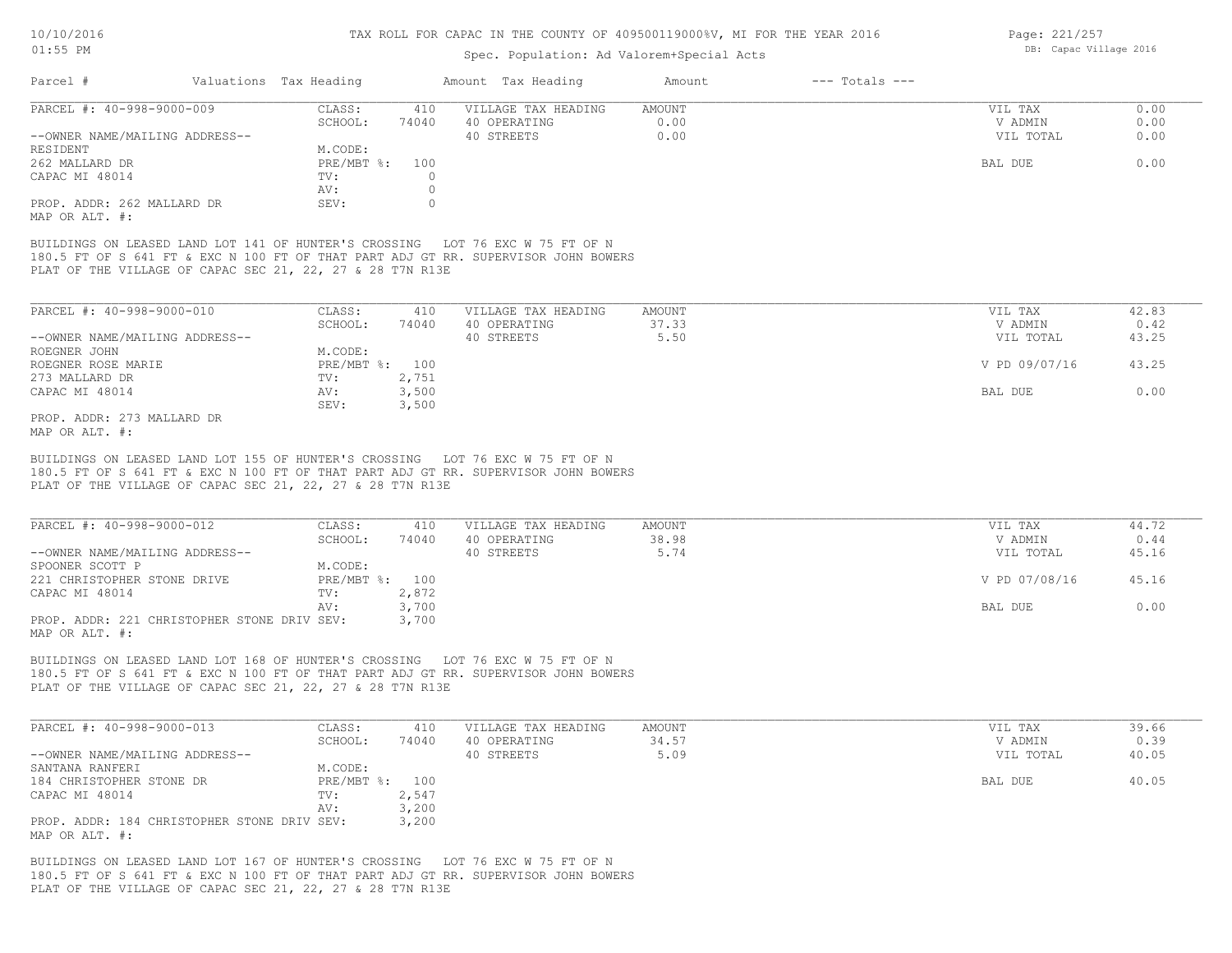#### Spec. Population: Ad Valorem+Special Acts

| Page: 221/257 |                        |  |
|---------------|------------------------|--|
|               | DB: Capac Village 2016 |  |

| Parcel #                                                     | Valuations Tax Heading |       | Amount Tax Heading  | Amount | $---$ Totals $---$ |           |      |
|--------------------------------------------------------------|------------------------|-------|---------------------|--------|--------------------|-----------|------|
| PARCEL #: 40-998-9000-009                                    | CLASS:                 | 410   | VILLAGE TAX HEADING | AMOUNT |                    | VIL TAX   | 0.00 |
|                                                              | SCHOOL:                | 74040 | 40 OPERATING        | 0.00   |                    | V ADMIN   | 0.00 |
| --OWNER NAME/MAILING ADDRESS--                               |                        |       | 40 STREETS          | 0.00   |                    | VIL TOTAL | 0.00 |
| RESIDENT                                                     | M.CODE:                |       |                     |        |                    |           |      |
| 262 MALLARD DR                                               | PRE/MBT %:             | 100   |                     |        |                    | BAL DUE   | 0.00 |
| CAPAC MI 48014                                               | TV:                    |       |                     |        |                    |           |      |
|                                                              | AV:                    |       |                     |        |                    |           |      |
| PROP. ADDR: 262 MALLARD DR<br>$M \wedge D \wedge D \wedge T$ | SEV:                   |       |                     |        |                    |           |      |

MAP OR ALT. #:

PLAT OF THE VILLAGE OF CAPAC SEC 21, 22, 27 & 28 T7N R13E 180.5 FT OF S 641 FT & EXC N 100 FT OF THAT PART ADJ GT RR. SUPERVISOR JOHN BOWERS BUILDINGS ON LEASED LAND LOT 141 OF HUNTER'S CROSSING LOT 76 EXC W 75 FT OF N

| PARCEL #: 40-998-9000-010      | CLASS:  | 410            | VILLAGE TAX HEADING | AMOUNT | VIL TAX       | 42.83 |
|--------------------------------|---------|----------------|---------------------|--------|---------------|-------|
|                                | SCHOOL: | 74040          | 40 OPERATING        | 37.33  | V ADMIN       | 0.42  |
| --OWNER NAME/MAILING ADDRESS-- |         |                | 40 STREETS          | 5.50   | VIL TOTAL     | 43.25 |
| ROEGNER JOHN                   | M.CODE: |                |                     |        |               |       |
| ROEGNER ROSE MARIE             |         | PRE/MBT %: 100 |                     |        | V PD 09/07/16 | 43.25 |
| 273 MALLARD DR                 | TV:     | 2,751          |                     |        |               |       |
| CAPAC MI 48014                 | AV:     | 3,500          |                     |        | BAL DUE       | 0.00  |
|                                | SEV:    | 3,500          |                     |        |               |       |
| PROP. ADDR: 273 MALLARD DR     |         |                |                     |        |               |       |

MAP OR ALT. #:

PLAT OF THE VILLAGE OF CAPAC SEC 21, 22, 27 & 28 T7N R13E 180.5 FT OF S 641 FT & EXC N 100 FT OF THAT PART ADJ GT RR. SUPERVISOR JOHN BOWERS BUILDINGS ON LEASED LAND LOT 155 OF HUNTER'S CROSSING LOT 76 EXC W 75 FT OF N

| PARCEL #: 40-998-9000-012                   | CLASS:         | 410   | VILLAGE TAX HEADING | AMOUNT | VIL TAX       | 44.72 |
|---------------------------------------------|----------------|-------|---------------------|--------|---------------|-------|
|                                             | SCHOOL:        | 74040 | 40 OPERATING        | 38.98  | V ADMIN       | 0.44  |
| --OWNER NAME/MAILING ADDRESS--              |                |       | 40 STREETS          | 5.74   | VIL TOTAL     | 45.16 |
| SPOONER SCOTT P                             | M.CODE:        |       |                     |        |               |       |
| 221 CHRISTOPHER STONE DRIVE                 | PRE/MBT %: 100 |       |                     |        | V PD 07/08/16 | 45.16 |
| CAPAC MI 48014                              | TV:            | 2,872 |                     |        |               |       |
|                                             | AV:            | 3,700 |                     |        | BAL DUE       | 0.00  |
| PROP. ADDR: 221 CHRISTOPHER STONE DRIV SEV: |                | 3,700 |                     |        |               |       |
| MAP OR ALT. #:                              |                |       |                     |        |               |       |

PLAT OF THE VILLAGE OF CAPAC SEC 21, 22, 27 & 28 T7N R13E 180.5 FT OF S 641 FT & EXC N 100 FT OF THAT PART ADJ GT RR. SUPERVISOR JOHN BOWERS BUILDINGS ON LEASED LAND LOT 168 OF HUNTER'S CROSSING LOT 76 EXC W 75 FT OF N

| PARCEL #: 40-998-9000-013                   | CLASS:         | 410   | VILLAGE TAX HEADING | AMOUNT | VIL TAX   | 39.66 |
|---------------------------------------------|----------------|-------|---------------------|--------|-----------|-------|
|                                             | SCHOOL:        | 74040 | 40 OPERATING        | 34.57  | V ADMIN   | 0.39  |
| --OWNER NAME/MAILING ADDRESS--              |                |       | 40 STREETS          | 5.09   | VIL TOTAL | 40.05 |
| SANTANA RANFERI                             | M.CODE:        |       |                     |        |           |       |
| 184 CHRISTOPHER STONE DR                    | PRE/MBT %: 100 |       |                     |        | BAL DUE   | 40.05 |
| CAPAC MI 48014                              | TV:            | 2,547 |                     |        |           |       |
|                                             | AV:            | 3,200 |                     |        |           |       |
| PROP. ADDR: 184 CHRISTOPHER STONE DRIV SEV: |                | 3,200 |                     |        |           |       |
| MAP OR ALT. #:                              |                |       |                     |        |           |       |

PLAT OF THE VILLAGE OF CAPAC SEC 21, 22, 27 & 28 T7N R13E 180.5 FT OF S 641 FT & EXC N 100 FT OF THAT PART ADJ GT RR. SUPERVISOR JOHN BOWERS BUILDINGS ON LEASED LAND LOT 167 OF HUNTER'S CROSSING LOT 76 EXC W 75 FT OF N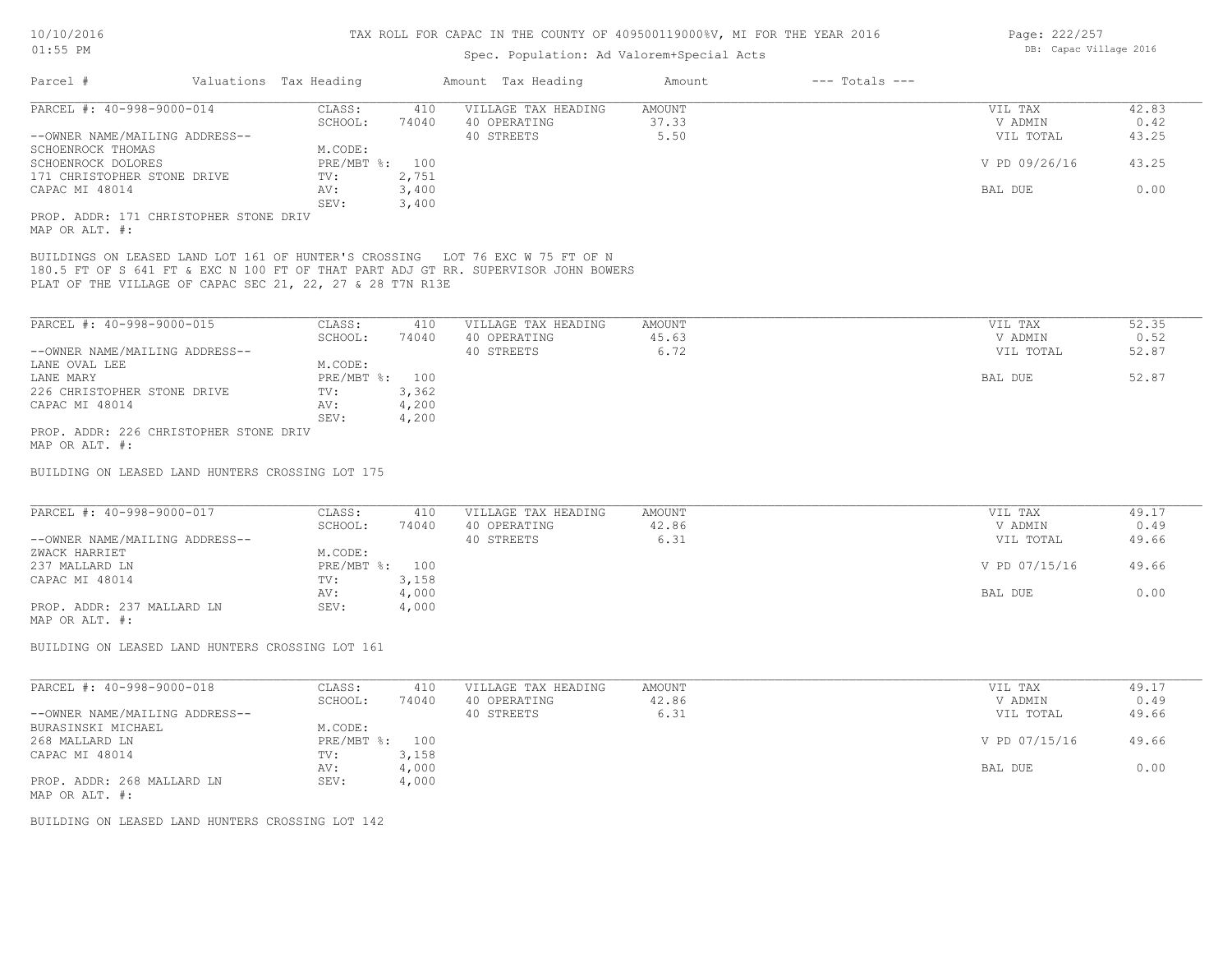| AT:22 RM                                                                                                                                                                                                                         |                        | Spec. Population: Ad Valorem+Special Acts |        |                    | np. capac vittage culu |       |
|----------------------------------------------------------------------------------------------------------------------------------------------------------------------------------------------------------------------------------|------------------------|-------------------------------------------|--------|--------------------|------------------------|-------|
| Parcel #                                                                                                                                                                                                                         | Valuations Tax Heading | Amount Tax Heading                        | Amount | $---$ Totals $---$ |                        |       |
| PARCEL #: 40-998-9000-014                                                                                                                                                                                                        | CLASS:<br>410          | VILLAGE TAX HEADING                       | AMOUNT |                    | VIL TAX                | 42.83 |
|                                                                                                                                                                                                                                  | SCHOOL:<br>74040       | 40 OPERATING                              | 37.33  |                    | V ADMIN                | 0.42  |
| --OWNER NAME/MAILING ADDRESS--                                                                                                                                                                                                   |                        | 40 STREETS                                | 5.50   |                    | VIL TOTAL              | 43.25 |
| SCHOENROCK THOMAS                                                                                                                                                                                                                | M.CODE:                |                                           |        |                    |                        |       |
| SCHOENROCK DOLORES                                                                                                                                                                                                               | PRE/MBT %: 100         |                                           |        |                    | V PD 09/26/16          | 43.25 |
| 171 CHRISTOPHER STONE DRIVE                                                                                                                                                                                                      | 2,751<br>TV:           |                                           |        |                    |                        |       |
| CAPAC MI 48014                                                                                                                                                                                                                   | AV:<br>3,400           |                                           |        |                    | BAL DUE                | 0.00  |
|                                                                                                                                                                                                                                  | SEV:<br>3,400          |                                           |        |                    |                        |       |
| PROP. ADDR: 171 CHRISTOPHER STONE DRIV                                                                                                                                                                                           |                        |                                           |        |                    |                        |       |
| MAP OR ALT. #:                                                                                                                                                                                                                   |                        |                                           |        |                    |                        |       |
| BUILDINGS ON LEASED LAND LOT 161 OF HUNTER'S CROSSING LOT 76 EXC W 75 FT OF N<br>180.5 FT OF S 641 FT & EXC N 100 FT OF THAT PART ADJ GT RR. SUPERVISOR JOHN BOWERS<br>PLAT OF THE VILLAGE OF CAPAC SEC 21, 22, 27 & 28 T7N R13E |                        |                                           |        |                    |                        |       |
| PARCEL #: 40-998-9000-015                                                                                                                                                                                                        | CLASS:<br>410          | VILLAGE TAX HEADING                       | AMOUNT |                    | VIL TAX                | 52.35 |
|                                                                                                                                                                                                                                  | SCHOOL:<br>74040       | 40 OPERATING                              | 45.63  |                    | V ADMIN                | 0.52  |
| --OWNER NAME/MAILING ADDRESS--                                                                                                                                                                                                   |                        | 40 STREETS                                | 6.72   |                    | VIL TOTAL              | 52.87 |
|                                                                                                                                                                                                                                  |                        |                                           |        |                    |                        |       |
| LANE OVAL LEE                                                                                                                                                                                                                    | M.CODE:                |                                           |        |                    |                        |       |
| LANE MARY                                                                                                                                                                                                                        | PRE/MBT %: 100         |                                           |        |                    | BAL DUE                | 52.87 |
| 226 CHRISTOPHER STONE DRIVE                                                                                                                                                                                                      | 3,362<br>TV:           |                                           |        |                    |                        |       |
| CAPAC MI 48014                                                                                                                                                                                                                   | AV:<br>4,200           |                                           |        |                    |                        |       |
|                                                                                                                                                                                                                                  | 4,200<br>SEV:          |                                           |        |                    |                        |       |
| PROP. ADDR: 226 CHRISTOPHER STONE DRIV<br>MAP OR ALT. #:                                                                                                                                                                         |                        |                                           |        |                    |                        |       |
| BUILDING ON LEASED LAND HUNTERS CROSSING LOT 175                                                                                                                                                                                 |                        |                                           |        |                    |                        |       |
| PARCEL #: 40-998-9000-017                                                                                                                                                                                                        | CLASS:<br>410          | VILLAGE TAX HEADING                       | AMOUNT |                    | VIL TAX                | 49.17 |
|                                                                                                                                                                                                                                  | SCHOOL:<br>74040       | 40 OPERATING                              | 42.86  |                    | V ADMIN                | 0.49  |
| --OWNER NAME/MAILING ADDRESS--                                                                                                                                                                                                   |                        | 40 STREETS                                | 6.31   |                    | VIL TOTAL              | 49.66 |
| ZWACK HARRIET                                                                                                                                                                                                                    | M.CODE:                |                                           |        |                    |                        |       |
| 237 MALLARD LN                                                                                                                                                                                                                   | PRE/MBT %: 100         |                                           |        |                    | V PD 07/15/16          | 49.66 |
| CAPAC MI 48014                                                                                                                                                                                                                   | 3,158<br>TV:           |                                           |        |                    |                        |       |
|                                                                                                                                                                                                                                  | 4,000<br>AV:           |                                           |        |                    | BAL DUE                | 0.00  |
|                                                                                                                                                                                                                                  | SEV:                   |                                           |        |                    |                        |       |
| PROP. ADDR: 237 MALLARD LN                                                                                                                                                                                                       | 4,000                  |                                           |        |                    |                        |       |
| MAP OR ALT. #:                                                                                                                                                                                                                   |                        |                                           |        |                    |                        |       |
| BUILDING ON LEASED LAND HUNTERS CROSSING LOT 161                                                                                                                                                                                 |                        |                                           |        |                    |                        |       |
| PARCEL #: 40-998-9000-018                                                                                                                                                                                                        | CLASS:<br>410          | VILLAGE TAX HEADING                       | AMOUNT |                    | VIL TAX                | 49.17 |
|                                                                                                                                                                                                                                  |                        |                                           |        |                    |                        |       |
|                                                                                                                                                                                                                                  | SCHOOL:<br>74040       | 40 OPERATING                              | 42.86  |                    | V ADMIN                | 0.49  |
| --OWNER NAME/MAILING ADDRESS--                                                                                                                                                                                                   |                        | 40 STREETS                                | 6.31   |                    | VIL TOTAL              | 49.66 |
| BURASINSKI MICHAEL                                                                                                                                                                                                               | M.CODE:                |                                           |        |                    |                        |       |
| 268 MALLARD LN                                                                                                                                                                                                                   | PRE/MBT %: 100         |                                           |        |                    | V PD 07/15/16          | 49.66 |
| CAPAC MI 48014                                                                                                                                                                                                                   | 3,158<br>TV:           |                                           |        |                    |                        |       |
|                                                                                                                                                                                                                                  | 4,000<br>AV:           |                                           |        |                    | BAL DUE                | 0.00  |
| PROP. ADDR: 268 MALLARD LN                                                                                                                                                                                                       | SEV:<br>4,000          |                                           |        |                    |                        |       |
|                                                                                                                                                                                                                                  |                        |                                           |        |                    |                        |       |

MAP OR ALT. #:

BUILDING ON LEASED LAND HUNTERS CROSSING LOT 142

Page: 222/257 DB: Capac Village 2016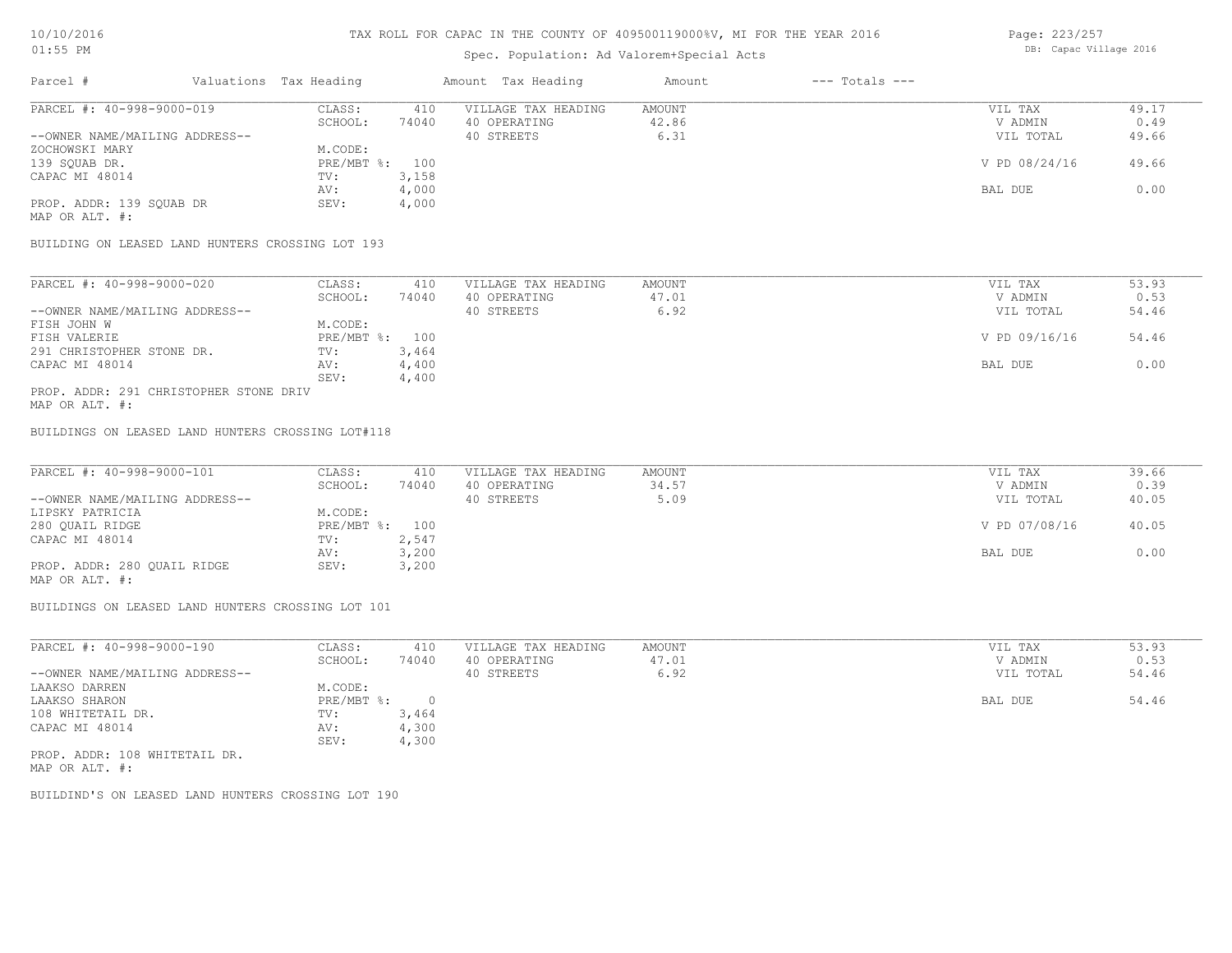# Spec. Population: Ad Valorem+Special Acts

|                                | Opec. Loparacron. ha varolem opecial held |                        |       |                     |        |                    |               |       |  |
|--------------------------------|-------------------------------------------|------------------------|-------|---------------------|--------|--------------------|---------------|-------|--|
| Parcel #                       |                                           | Valuations Tax Heading |       | Amount Tax Heading  | Amount | $---$ Totals $---$ |               |       |  |
| PARCEL #: 40-998-9000-019      |                                           | CLASS:                 | 410   | VILLAGE TAX HEADING | AMOUNT |                    | VIL TAX       | 49.17 |  |
|                                |                                           | SCHOOL:                | 74040 | 40 OPERATING        | 42.86  |                    | V ADMIN       | 0.49  |  |
| --OWNER NAME/MAILING ADDRESS-- |                                           |                        |       | 40 STREETS          | 6.31   |                    | VIL TOTAL     | 49.66 |  |
| ZOCHOWSKI MARY                 |                                           | M.CODE:                |       |                     |        |                    |               |       |  |
| 139 SOUAB DR.                  |                                           | PRE/MBT %: 100         |       |                     |        |                    | V PD 08/24/16 | 49.66 |  |
| CAPAC MI 48014                 |                                           | TV:                    | 3,158 |                     |        |                    |               |       |  |
|                                |                                           | AV:                    | 4,000 |                     |        |                    | BAL DUE       | 0.00  |  |

MAP OR ALT. #:

BUILDING ON LEASED LAND HUNTERS CROSSING LOT 193

PROP. ADDR: 139 SQUAB DR SEV: 4,000

| 74040<br>SCHOOL:<br>40 OPERATING<br>47.01<br>6.92<br>40 STREETS | V ADMIN<br>VIL TOTAL | 0.53<br>54.46 |
|-----------------------------------------------------------------|----------------------|---------------|
| --OWNER NAME/MAILING ADDRESS--                                  |                      |               |
|                                                                 |                      |               |
| M.CODE:<br>FISH JOHN W                                          |                      |               |
| PRE/MBT %: 100<br>FISH VALERIE                                  | V PD 09/16/16        | 54.46         |
| 3,464<br>291 CHRISTOPHER STONE DR.<br>TV:                       |                      |               |
| 4,400<br>CAPAC MI 48014<br>AV:                                  | BAL DUE              | 0.00          |
| SEV:<br>4,400                                                   |                      |               |

AV: 4,000 BAL DUE 0.00

MAP OR ALT. #: PROP. ADDR: 291 CHRISTOPHER STONE DRIV

BUILDINGS ON LEASED LAND HUNTERS CROSSING LOT#118

| PARCEL #: 40-998-9000-101      | CLASS:         | 410   | VILLAGE TAX HEADING | AMOUNT | VIL TAX       | 39.66 |
|--------------------------------|----------------|-------|---------------------|--------|---------------|-------|
|                                | SCHOOL:        | 74040 | 40 OPERATING        | 34.57  | V ADMIN       | 0.39  |
| --OWNER NAME/MAILING ADDRESS-- |                |       | 40 STREETS          | 5.09   | VIL TOTAL     | 40.05 |
| LIPSKY PATRICIA                | M.CODE:        |       |                     |        |               |       |
| 280 QUAIL RIDGE                | PRE/MBT %: 100 |       |                     |        | V PD 07/08/16 | 40.05 |
| CAPAC MI 48014                 | TV:            | 2,547 |                     |        |               |       |
|                                | AV:            | 3,200 |                     |        | BAL DUE       | 0.00  |
| PROP. ADDR: 280 QUAIL RIDGE    | SEV:           | 3,200 |                     |        |               |       |
|                                |                |       |                     |        |               |       |

MAP OR ALT. #:

BUILDINGS ON LEASED LAND HUNTERS CROSSING LOT 101

| PARCEL #: 40-998-9000-190      | CLASS:     | 410   | VILLAGE TAX HEADING | AMOUNT | VIL TAX   | 53.93 |
|--------------------------------|------------|-------|---------------------|--------|-----------|-------|
|                                | SCHOOL:    | 74040 | 40 OPERATING        | 47.01  | V ADMIN   | 0.53  |
| --OWNER NAME/MAILING ADDRESS-- |            |       | 40 STREETS          | 6.92   | VIL TOTAL | 54.46 |
| LAAKSO DARREN                  | M.CODE:    |       |                     |        |           |       |
| LAAKSO SHARON                  | PRE/MBT %: |       |                     |        | BAL DUE   | 54.46 |
| 108 WHITETAIL DR.              | TV:        | 3,464 |                     |        |           |       |
| CAPAC MI 48014                 | AV:        | 4,300 |                     |        |           |       |
|                                | SEV:       | 4,300 |                     |        |           |       |
| PROP. ADDR: 108 WHITETAIL DR.  |            |       |                     |        |           |       |

MAP OR ALT. #:

BUILDIND'S ON LEASED LAND HUNTERS CROSSING LOT 190

Page: 223/257 DB: Capac Village 2016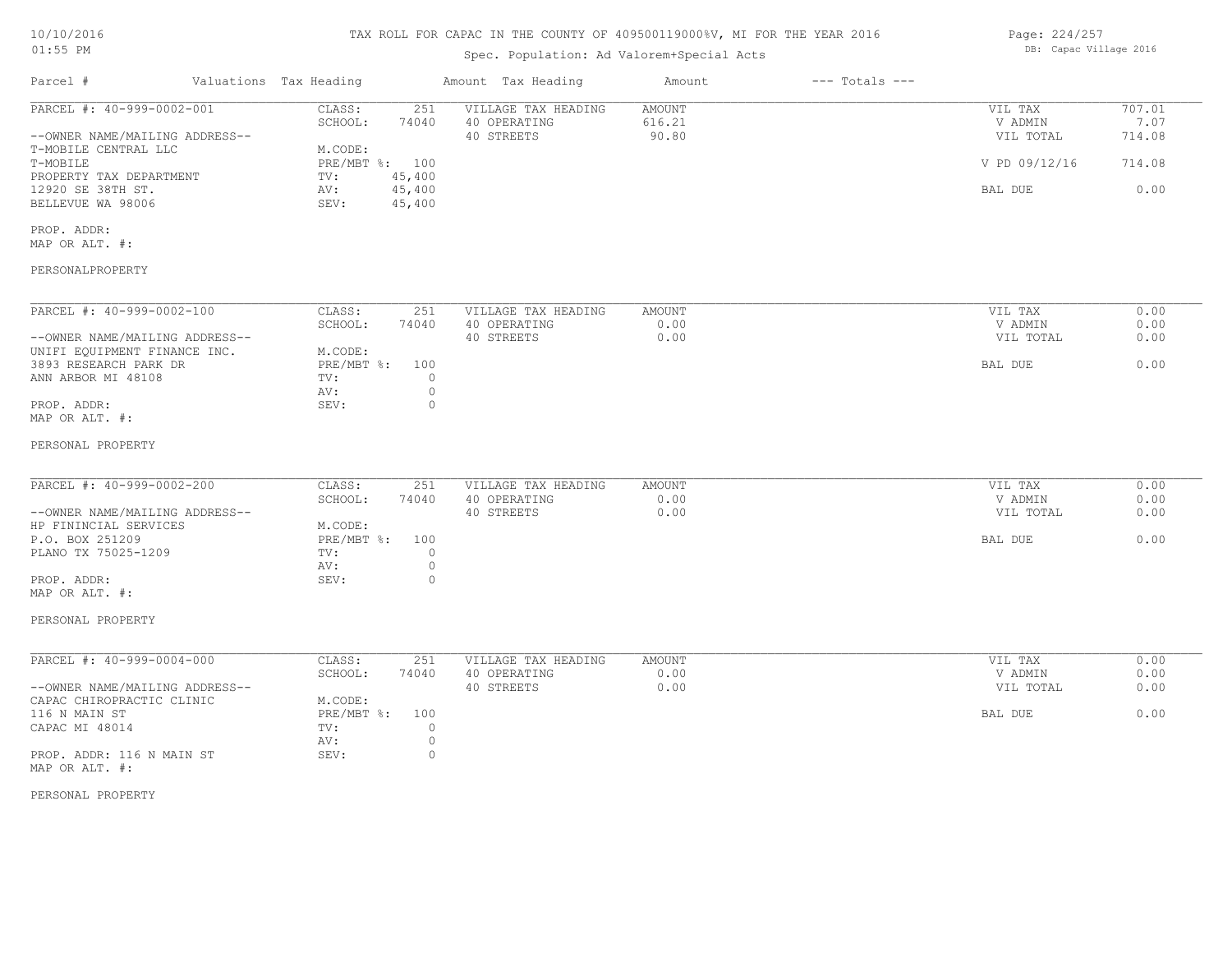#### TAX ROLL FOR CAPAC IN THE COUNTY OF 409500119000%V, MI FOR THE YEAR 2016

# Spec. Population: Ad Valorem+Special Acts

| Page: 224/257 |                        |  |
|---------------|------------------------|--|
|               | DB: Capac Village 2016 |  |

| Parcel #                                                                                                                                                                                                                  | Valuations Tax Heading |                                                                                                                                   | Amount Tax Heading                                | Amount<br>$---$ Totals $---$ |                                                             |                                            |
|---------------------------------------------------------------------------------------------------------------------------------------------------------------------------------------------------------------------------|------------------------|-----------------------------------------------------------------------------------------------------------------------------------|---------------------------------------------------|------------------------------|-------------------------------------------------------------|--------------------------------------------|
| PARCEL #: 40-999-0002-001<br>--OWNER NAME/MAILING ADDRESS--<br>T-MOBILE CENTRAL LLC<br>T-MOBILE<br>PROPERTY TAX DEPARTMENT<br>12920 SE 38TH ST.<br>BELLEVUE WA 98006<br>PROP. ADDR:<br>MAP OR ALT. #:<br>PERSONALPROPERTY |                        | CLASS:<br>251<br>SCHOOL:<br>74040<br>M.CODE:<br>PRE/MBT %: 100<br>45,400<br>TV:<br>45,400<br>AV:<br>SEV:<br>45,400                | VILLAGE TAX HEADING<br>40 OPERATING<br>40 STREETS | AMOUNT<br>616.21<br>90.80    | VIL TAX<br>V ADMIN<br>VIL TOTAL<br>V PD 09/12/16<br>BAL DUE | 707.01<br>7.07<br>714.08<br>714.08<br>0.00 |
| PARCEL #: 40-999-0002-100<br>--OWNER NAME/MAILING ADDRESS--<br>UNIFI EQUIPMENT FINANCE INC.<br>3893 RESEARCH PARK DR<br>ANN ARBOR MI 48108<br>PROP. ADDR:<br>MAP OR ALT. #:<br>PERSONAL PROPERTY                          |                        | CLASS:<br>251<br>SCHOOL:<br>74040<br>M.CODE:<br>$PRE/MBT$ $\div$<br>100<br>$\circ$<br>TV:<br>$\circ$<br>AV:<br>SEV:<br>$\circ$    | VILLAGE TAX HEADING<br>40 OPERATING<br>40 STREETS | AMOUNT<br>0.00<br>0.00       | VIL TAX<br>V ADMIN<br>VIL TOTAL<br>BAL DUE                  | 0.00<br>0.00<br>0.00<br>0.00               |
| PARCEL #: 40-999-0002-200<br>--OWNER NAME/MAILING ADDRESS--<br>HP FININCIAL SERVICES<br>P.O. BOX 251209<br>PLANO TX 75025-1209<br>PROP. ADDR:<br>MAP OR ALT. #:<br>PERSONAL PROPERTY                                      |                        | CLASS:<br>251<br>SCHOOL:<br>74040<br>M.CODE:<br>PRE/MBT %:<br>100<br>$\circ$<br>TV:<br>$\circ$<br>AV:<br>SEV:<br>$\circ$          | VILLAGE TAX HEADING<br>40 OPERATING<br>40 STREETS | AMOUNT<br>0.00<br>0.00       | VIL TAX<br>V ADMIN<br>VIL TOTAL<br>BAL DUE                  | 0.00<br>0.00<br>0.00<br>0.00               |
| PARCEL #: 40-999-0004-000<br>--OWNER NAME/MAILING ADDRESS--<br>CAPAC CHIROPRACTIC CLINIC<br>116 N MAIN ST<br>CAPAC MI 48014<br>PROP. ADDR: 116 N MAIN ST<br>MAP OR ALT. #:<br>PERSONAL PROPERTY                           |                        | CLASS:<br>251<br>SCHOOL:<br>74040<br>M.CODE:<br>$PRE/MBT$ %:<br>100<br>$\circ$<br>TV:<br>$\circ$<br>AV:<br>SEV:<br>$\overline{0}$ | VILLAGE TAX HEADING<br>40 OPERATING<br>40 STREETS | AMOUNT<br>0.00<br>0.00       | VIL TAX<br>V ADMIN<br>VIL TOTAL<br>BAL DUE                  | 0.00<br>0.00<br>0.00<br>0.00               |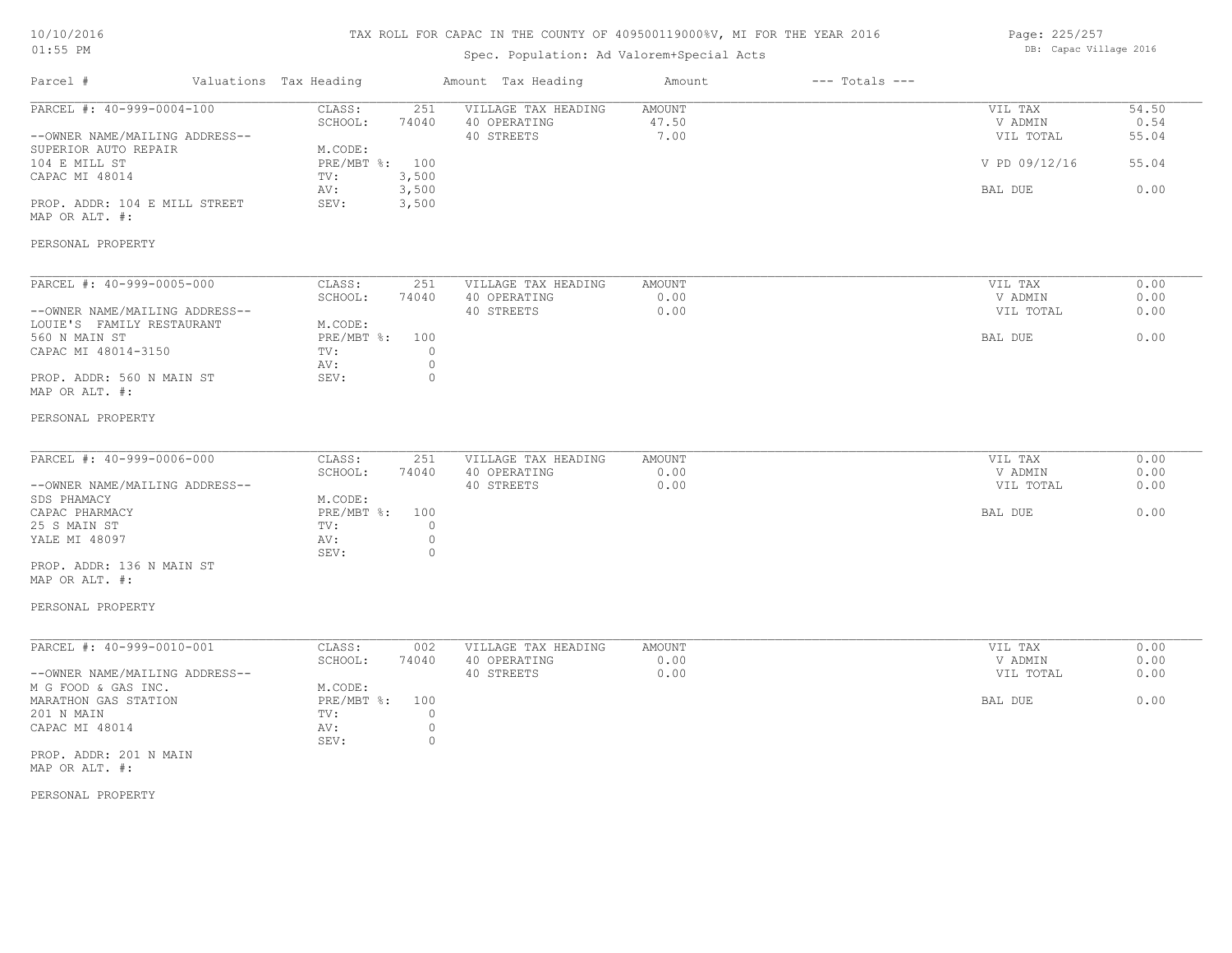# TAX ROLL FOR CAPAC IN THE COUNTY OF 409500119000%V, MI FOR THE YEAR 2016

# Spec. Population: Ad Valorem+Special Acts

Page: 225/257 DB: Capac Village 2016

| Parcel #                                                                                                               | Valuations Tax Heading |                                                              |                                          | Amount Tax Heading                                | Amount                  | $---$ Totals $---$ |                                                             |                                         |
|------------------------------------------------------------------------------------------------------------------------|------------------------|--------------------------------------------------------------|------------------------------------------|---------------------------------------------------|-------------------------|--------------------|-------------------------------------------------------------|-----------------------------------------|
| PARCEL #: 40-999-0004-100<br>--OWNER NAME/MAILING ADDRESS--<br>SUPERIOR AUTO REPAIR<br>104 E MILL ST<br>CAPAC MI 48014 |                        | CLASS:<br>SCHOOL:<br>M.CODE:<br>PRE/MBT %: 100<br>TV:<br>AV: | 251<br>74040<br>3,500<br>3,500           | VILLAGE TAX HEADING<br>40 OPERATING<br>40 STREETS | AMOUNT<br>47.50<br>7.00 |                    | VIL TAX<br>V ADMIN<br>VIL TOTAL<br>V PD 09/12/16<br>BAL DUE | 54.50<br>0.54<br>55.04<br>55.04<br>0.00 |
| PROP. ADDR: 104 E MILL STREET<br>MAP OR ALT. #:<br>PERSONAL PROPERTY                                                   |                        | SEV:                                                         | 3,500                                    |                                                   |                         |                    |                                                             |                                         |
| PARCEL #: 40-999-0005-000                                                                                              |                        | CLASS:                                                       | 251                                      | VILLAGE TAX HEADING                               | AMOUNT                  |                    | VIL TAX                                                     | 0.00                                    |
| --OWNER NAME/MAILING ADDRESS--                                                                                         |                        | SCHOOL:                                                      | 74040                                    | 40 OPERATING<br>40 STREETS                        | 0.00<br>0.00            |                    | V ADMIN<br>VIL TOTAL                                        | 0.00<br>0.00                            |
| LOUIE'S FAMILY RESTAURANT<br>560 N MAIN ST<br>CAPAC MI 48014-3150                                                      |                        | M.CODE:<br>PRE/MBT %:<br>TV:<br>AV:                          | 100<br>$\circ$<br>$\circ$                |                                                   |                         |                    | BAL DUE                                                     | 0.00                                    |
| PROP. ADDR: 560 N MAIN ST<br>MAP OR ALT. #:                                                                            |                        | SEV:                                                         | $\circ$                                  |                                                   |                         |                    |                                                             |                                         |
| PERSONAL PROPERTY                                                                                                      |                        |                                                              |                                          |                                                   |                         |                    |                                                             |                                         |
| PARCEL #: 40-999-0006-000                                                                                              |                        | CLASS:<br>SCHOOL:                                            | 251<br>74040                             | VILLAGE TAX HEADING<br>40 OPERATING               | AMOUNT<br>0.00          |                    | VIL TAX<br>V ADMIN                                          | 0.00<br>0.00                            |
| --OWNER NAME/MAILING ADDRESS--<br>SDS PHAMACY                                                                          |                        | M.CODE:                                                      |                                          | 40 STREETS                                        | 0.00                    |                    | VIL TOTAL                                                   | 0.00                                    |
| CAPAC PHARMACY<br>25 S MAIN ST<br>YALE MI 48097                                                                        |                        | PRE/MBT %:<br>TV:<br>AV:<br>SEV:                             | 100<br>$\circ$<br>$\circ$<br>$\circ$     |                                                   |                         |                    | BAL DUE                                                     | 0.00                                    |
| PROP. ADDR: 136 N MAIN ST<br>MAP OR ALT. #:                                                                            |                        |                                                              |                                          |                                                   |                         |                    |                                                             |                                         |
| PERSONAL PROPERTY                                                                                                      |                        |                                                              |                                          |                                                   |                         |                    |                                                             |                                         |
| PARCEL #: 40-999-0010-001                                                                                              |                        | CLASS:<br>SCHOOL:                                            | 002<br>74040                             | VILLAGE TAX HEADING<br>40 OPERATING               | AMOUNT<br>0.00          |                    | VIL TAX<br>V ADMIN                                          | 0.00<br>0.00                            |
| --OWNER NAME/MAILING ADDRESS--<br>M G FOOD & GAS INC.                                                                  |                        | M.CODE:                                                      |                                          | 40 STREETS                                        | 0.00                    |                    | VIL TOTAL                                                   | 0.00                                    |
| MARATHON GAS STATION<br>201 N MAIN<br>CAPAC MI 48014                                                                   |                        | PRE/MBT %:<br>TV:<br>AV:<br>SEV:                             | 100<br>$\circ$<br>$\circ$<br>$\mathbb O$ |                                                   |                         |                    | BAL DUE                                                     | 0.00                                    |
| PROP. ADDR: 201 N MAIN<br>MAP OR ALT. #:                                                                               |                        |                                                              |                                          |                                                   |                         |                    |                                                             |                                         |

PERSONAL PROPERTY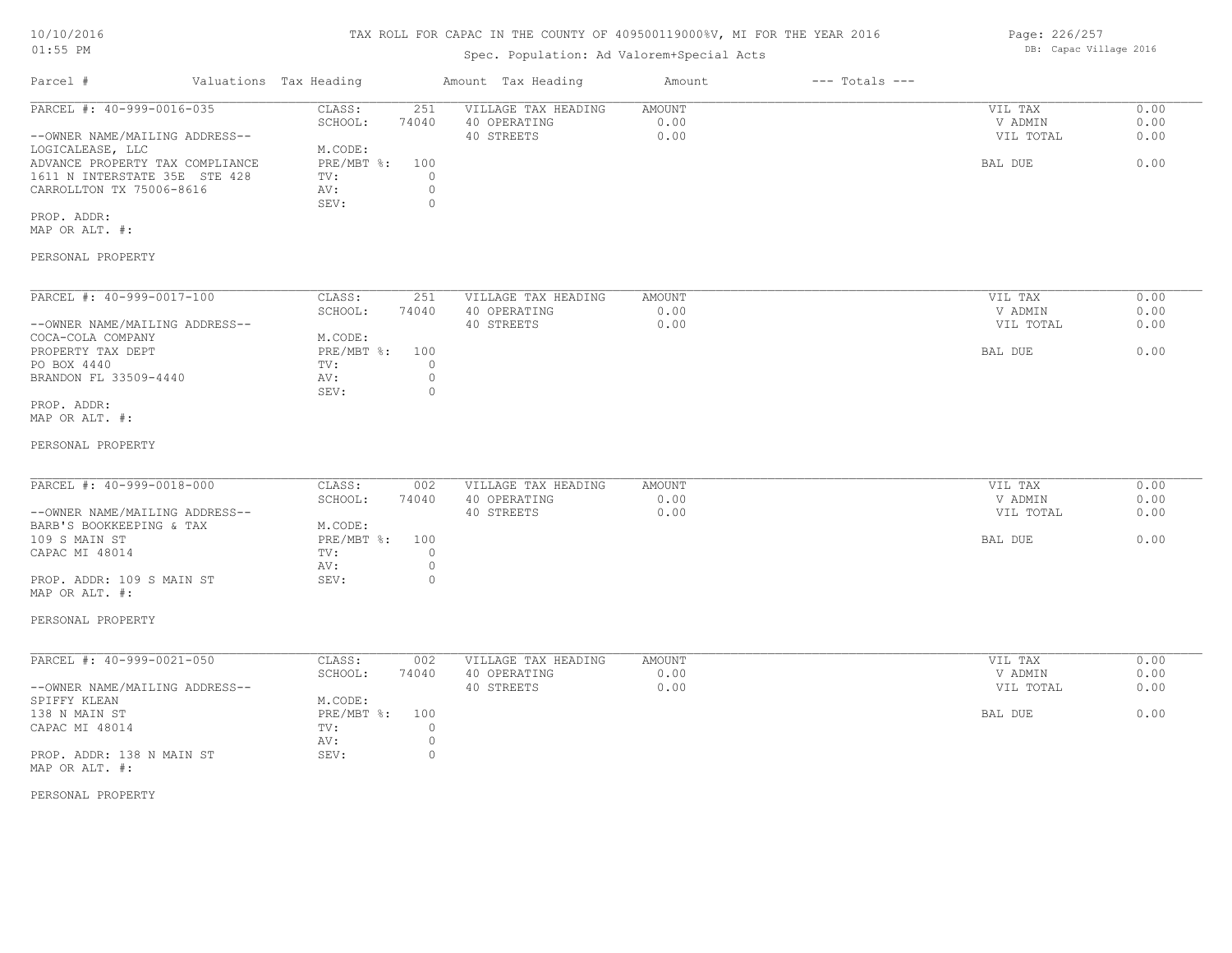# TAX ROLL FOR CAPAC IN THE COUNTY OF 409500119000%V, MI FOR THE YEAR 2016

# Spec. Population: Ad Valorem+Special Acts

| Parcel #<br>PARCEL #: 40-999-0016-035 | Valuations Tax Heading | Amount Tax Heading |       | Amount              | $---$ Totals $---$ |  |           |      |
|---------------------------------------|------------------------|--------------------|-------|---------------------|--------------------|--|-----------|------|
|                                       |                        | CLASS:             | 251   | VILLAGE TAX HEADING | AMOUNT             |  | VIL TAX   | 0.00 |
|                                       |                        | SCHOOL:            | 74040 | 40 OPERATING        | 0.00               |  | V ADMIN   | 0.00 |
| --OWNER NAME/MAILING ADDRESS--        |                        |                    |       | 40 STREETS          | 0.00               |  | VIL TOTAL | 0.00 |
| LOGICALEASE, LLC                      |                        | M.CODE:            |       |                     |                    |  |           |      |
| ADVANCE PROPERTY TAX COMPLIANCE       |                        | PRE/MBT %: 100     |       |                     |                    |  | BAL DUE   | 0.00 |
| 1611 N INTERSTATE 35E STE 428         |                        | TV:                |       |                     |                    |  |           |      |
| CARROLLTON TX 75006-8616              |                        | AV:                |       |                     |                    |  |           |      |
|                                       |                        | SEV:               |       |                     |                    |  |           |      |
|                                       |                        |                    |       |                     |                    |  |           |      |

MAP OR ALT. #: PROP. ADDR:

# PERSONAL PROPERTY

| PARCEL #: 40-999-0017-100      | CLASS:     | 251   | VILLAGE TAX HEADING | AMOUNT | 0.00<br>VIL TAX   |  |
|--------------------------------|------------|-------|---------------------|--------|-------------------|--|
|                                | SCHOOL:    | 74040 | 40 OPERATING        | 0.00   | 0.00<br>V ADMIN   |  |
| --OWNER NAME/MAILING ADDRESS-- |            |       | 40 STREETS          | 0.00   | 0.00<br>VIL TOTAL |  |
| COCA-COLA COMPANY              | M.CODE:    |       |                     |        |                   |  |
| PROPERTY TAX DEPT              | PRE/MBT %: | 100   |                     |        | 0.00<br>BAL DUE   |  |
| PO BOX 4440                    | TV:        |       |                     |        |                   |  |
| BRANDON FL 33509-4440          | AV:        |       |                     |        |                   |  |
|                                | SEV:       |       |                     |        |                   |  |
| PROP. ADDR:                    |            |       |                     |        |                   |  |

MAP OR ALT. #:

#### PERSONAL PROPERTY

| PARCEL #: 40-999-0018-000      | CLASS:     | 002   | VILLAGE TAX HEADING | AMOUNT | VIL TAX   | 0.00 |
|--------------------------------|------------|-------|---------------------|--------|-----------|------|
|                                |            |       |                     |        |           |      |
|                                | SCHOOL:    | 74040 | 40 OPERATING        | 0.00   | V ADMIN   | 0.00 |
| --OWNER NAME/MAILING ADDRESS-- |            |       | 40 STREETS          | 0.00   | VIL TOTAL | 0.00 |
| BARB'S BOOKKEEPING & TAX       | M.CODE:    |       |                     |        |           |      |
| 109 S MAIN ST                  | PRE/MBT %: | 100   |                     |        | BAL DUE   | 0.00 |
| CAPAC MI 48014                 | TV:        |       |                     |        |           |      |
|                                | AV:        |       |                     |        |           |      |
| PROP. ADDR: 109 S MAIN ST      | SEV:       |       |                     |        |           |      |

#### PERSONAL PROPERTY

MAP OR ALT. #:

| PARCEL #: 40-999-0021-050      | CLASS:       | 002   | VILLAGE TAX HEADING | AMOUNT | VIL TAX   | 0.00 |
|--------------------------------|--------------|-------|---------------------|--------|-----------|------|
|                                | SCHOOL:      | 74040 | 40 OPERATING        | 0.00   | V ADMIN   | 0.00 |
| --OWNER NAME/MAILING ADDRESS-- |              |       | 40 STREETS          | 0.00   | VIL TOTAL | 0.00 |
| SPIFFY KLEAN                   | M.CODE:      |       |                     |        |           |      |
| 138 N MAIN ST                  | $PRE/MBT$ %: | 100   |                     |        | BAL DUE   | 0.00 |
| CAPAC MI 48014                 | TV:          |       |                     |        |           |      |
|                                | AV:          |       |                     |        |           |      |
| PROP. ADDR: 138 N MAIN ST      | SEV:         |       |                     |        |           |      |
| MAP OR ALT. #:                 |              |       |                     |        |           |      |

PERSONAL PROPERTY

Page: 226/257 DB: Capac Village 2016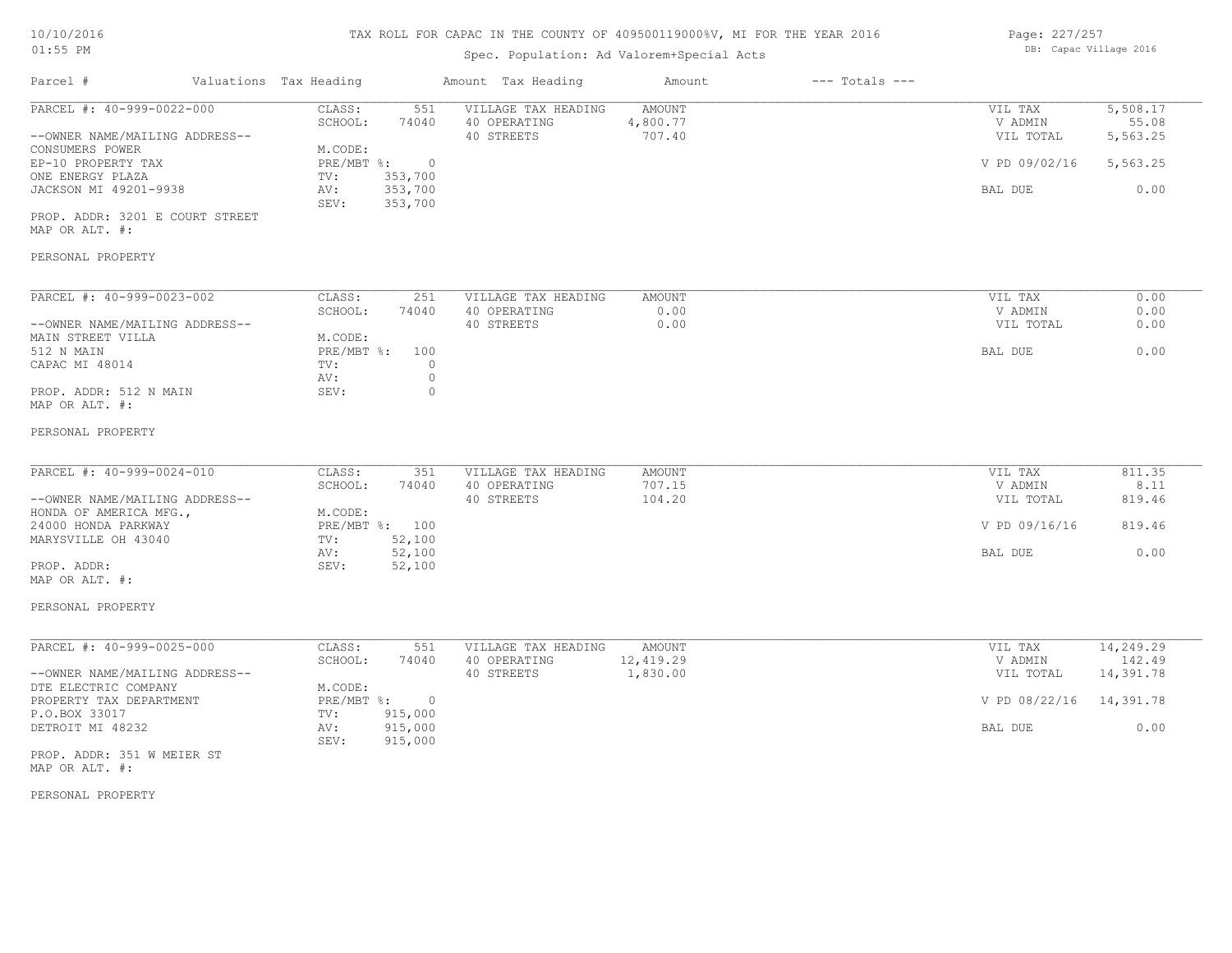# Spec. Population: Ad Valorem+Special Acts

| Page: 227/257 |                        |  |
|---------------|------------------------|--|
|               | DB: Capac Village 2016 |  |

| Parcel #                                                                                                                                                                                                                      | Valuations Tax Heading                                                                                                                    | Amount Tax Heading                                                                 | Amount                                 | $---$ Totals $---$ |                                                             |                                                       |
|-------------------------------------------------------------------------------------------------------------------------------------------------------------------------------------------------------------------------------|-------------------------------------------------------------------------------------------------------------------------------------------|------------------------------------------------------------------------------------|----------------------------------------|--------------------|-------------------------------------------------------------|-------------------------------------------------------|
| PARCEL #: $40-999-0022-000$<br>--OWNER NAME/MAILING ADDRESS--<br>CONSUMERS POWER<br>EP-10 PROPERTY TAX<br>ONE ENERGY PLAZA<br>JACKSON MI 49201-9938<br>PROP. ADDR: 3201 E COURT STREET<br>MAP OR ALT. #:<br>PERSONAL PROPERTY | CLASS:<br>551<br>SCHOOL:<br>74040<br>M.CODE:<br>$\overline{0}$<br>$PRE/MBT$ $\div$<br>TV:<br>353,700<br>353,700<br>AV:<br>SEV:<br>353,700 | VILLAGE TAX HEADING<br>40 OPERATING<br>40 STREETS                                  | <b>AMOUNT</b><br>4,800.77<br>707.40    |                    | VIL TAX<br>V ADMIN<br>VIL TOTAL<br>V PD 09/02/16<br>BAL DUE | 5,508.17<br>55.08<br>5,563.25<br>5,563.25<br>0.00     |
|                                                                                                                                                                                                                               |                                                                                                                                           |                                                                                    |                                        |                    |                                                             | 0.00                                                  |
| PARCEL #: 40-999-0023-002<br>--OWNER NAME/MAILING ADDRESS--<br>MAIN STREET VILLA<br>512 N MAIN<br>CAPAC MI 48014<br>PROP. ADDR: 512 N MAIN<br>MAP OR ALT. #:                                                                  | CLASS:<br>251<br>SCHOOL:<br>74040<br>M.CODE:<br>$PRE/MBT$ $\div$<br>100<br>TV:<br>AV:<br>SEV:                                             | VILLAGE TAX HEADING<br>40 OPERATING<br>40 STREETS<br>$\circ$<br>$\circ$<br>$\circ$ | AMOUNT<br>0.00<br>0.00                 |                    | VIL TAX<br>V ADMIN<br>VIL TOTAL<br>BAL DUE                  | 0.00<br>0.00<br>0.00                                  |
| PERSONAL PROPERTY                                                                                                                                                                                                             |                                                                                                                                           |                                                                                    |                                        |                    |                                                             |                                                       |
| PARCEL #: 40-999-0024-010<br>--OWNER NAME/MAILING ADDRESS--<br>HONDA OF AMERICA MFG.,<br>24000 HONDA PARKWAY<br>MARYSVILLE OH 43040<br>PROP. ADDR:<br>MAP OR ALT. #:<br>PERSONAL PROPERTY                                     | CLASS:<br>351<br>SCHOOL:<br>74040<br>M.CODE:<br>PRE/MBT %: 100<br>52,100<br>TV:<br>52,100<br>AV:<br>52,100<br>SEV:                        | VILLAGE TAX HEADING<br>40 OPERATING<br>40 STREETS                                  | <b>AMOUNT</b><br>707.15<br>104.20      |                    | VIL TAX<br>V ADMIN<br>VIL TOTAL<br>V PD 09/16/16<br>BAL DUE | 811.35<br>8.11<br>819.46<br>819.46<br>0.00            |
| PARCEL #: 40-999-0025-000<br>--OWNER NAME/MAILING ADDRESS--<br>DTE ELECTRIC COMPANY<br>PROPERTY TAX DEPARTMENT<br>P.O.BOX 33017<br>DETROIT MI 48232<br>PROP. ADDR: 351 W MEIER ST<br>MAP OR ALT. #:<br>PERSONAL PROPERTY      | CLASS:<br>551<br>SCHOOL:<br>74040<br>M.CODE:<br>$PRE/MBT$ $\div$<br>$\overline{0}$<br>915,000<br>TV:<br>915,000<br>AV:<br>SEV:<br>915,000 | VILLAGE TAX HEADING<br>40 OPERATING<br>40 STREETS                                  | <b>AMOUNT</b><br>12,419.29<br>1,830.00 |                    | VIL TAX<br>V ADMIN<br>VIL TOTAL<br>V PD 08/22/16<br>BAL DUE | 14,249.29<br>142.49<br>14,391.78<br>14,391.78<br>0.00 |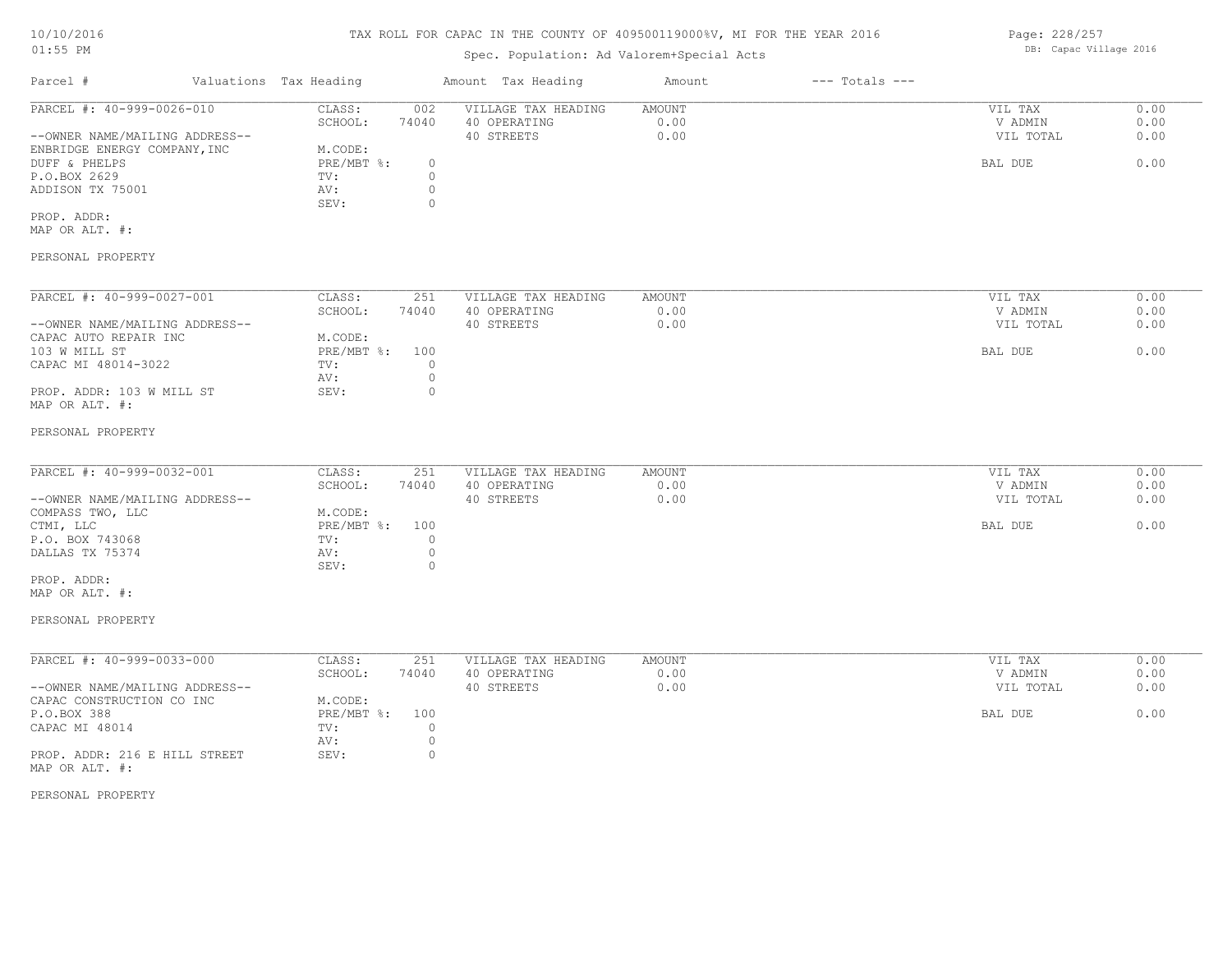# TAX ROLL FOR CAPAC IN THE COUNTY OF 409500119000%V, MI FOR THE YEAR 2016

# Spec. Population: Ad Valorem+Special Acts

| Parcel #<br>PARCEL #: 40-999-0026-010 | Valuations Tax Heading |            | Amount Tax Heading  | Amount       | $---$ Totals $---$ |         |           |      |
|---------------------------------------|------------------------|------------|---------------------|--------------|--------------------|---------|-----------|------|
|                                       | CLASS:                 | 002        | VILLAGE TAX HEADING | AMOUNT       |                    | VIL TAX | 0.00      |      |
|                                       |                        | SCHOOL:    | 74040               | 40 OPERATING | 0.00               |         | V ADMIN   | 0.00 |
| --OWNER NAME/MAILING ADDRESS--        |                        |            |                     | 40 STREETS   | 0.00               |         | VIL TOTAL | 0.00 |
| ENBRIDGE ENERGY COMPANY, INC          |                        | M.CODE:    |                     |              |                    |         |           |      |
| DUFF & PHELPS                         |                        | PRE/MBT %: |                     |              |                    |         | BAL DUE   | 0.00 |
| P.O.BOX 2629                          |                        | TV:        |                     |              |                    |         |           |      |
| ADDISON TX 75001                      |                        | AV:        |                     |              |                    |         |           |      |
|                                       |                        | SEV:       |                     |              |                    |         |           |      |
| PROP. ADDR:                           |                        |            |                     |              |                    |         |           |      |
|                                       |                        |            |                     |              |                    |         |           |      |

MAP OR ALT. #:

## PERSONAL PROPERTY

| PARCEL #: 40-999-0027-001      | CLASS:     | 251   | VILLAGE TAX HEADING | AMOUNT | VIL TAX   | 0.00 |
|--------------------------------|------------|-------|---------------------|--------|-----------|------|
|                                | SCHOOL:    | 74040 | 40 OPERATING        | 0.00   | V ADMIN   | 0.00 |
| --OWNER NAME/MAILING ADDRESS-- |            |       | 40 STREETS          | 0.00   | VIL TOTAL | 0.00 |
| CAPAC AUTO REPAIR INC          | M.CODE:    |       |                     |        |           |      |
| 103 W MILL ST                  | PRE/MBT %: | 100   |                     |        | BAL DUE   | 0.00 |
| CAPAC MI 48014-3022            | TV:        |       |                     |        |           |      |
|                                | AV:        |       |                     |        |           |      |
| PROP. ADDR: 103 W MILL ST      | SEV:       |       |                     |        |           |      |
| MAP OR ALT. #:                 |            |       |                     |        |           |      |

#### PERSONAL PROPERTY

| PARCEL #: 40-999-0032-001      | CLASS:         | 251   | VILLAGE TAX HEADING | AMOUNT | VIL TAX   | 0.00 |
|--------------------------------|----------------|-------|---------------------|--------|-----------|------|
|                                | SCHOOL:        | 74040 | 40 OPERATING        | 0.00   | V ADMIN   | 0.00 |
| --OWNER NAME/MAILING ADDRESS-- |                |       | 40 STREETS          | 0.00   | VIL TOTAL | 0.00 |
| COMPASS TWO, LLC               | M.CODE:        |       |                     |        |           |      |
| CTMI, LLC                      | PRE/MBT %: 100 |       |                     |        | BAL DUE   | 0.00 |
| P.O. BOX 743068                | TV:            |       |                     |        |           |      |
| DALLAS TX 75374                | AV:            |       |                     |        |           |      |
|                                | SEV:           |       |                     |        |           |      |
| PROP. ADDR:                    |                |       |                     |        |           |      |

MAP OR ALT. #:

#### PERSONAL PROPERTY

| PARCEL #: 40-999-0033-000      | CLASS:       | 251   | VILLAGE TAX HEADING | AMOUNT | 0.00<br>VIL TAX   |
|--------------------------------|--------------|-------|---------------------|--------|-------------------|
|                                | SCHOOL:      | 74040 | 40 OPERATING        | 0.00   | 0.00<br>V ADMIN   |
| --OWNER NAME/MAILING ADDRESS-- |              |       | 40 STREETS          | 0.00   | 0.00<br>VIL TOTAL |
| CAPAC CONSTRUCTION CO INC      | M.CODE:      |       |                     |        |                   |
| P.O.BOX 388                    | $PRE/MBT$ %: | 100   |                     |        | 0.00<br>BAL DUE   |
| CAPAC MI 48014                 | TV:          |       |                     |        |                   |
|                                | AV:          |       |                     |        |                   |
| PROP. ADDR: 216 E HILL STREET  | SEV:         |       |                     |        |                   |
| MAP OR ALT. #:                 |              |       |                     |        |                   |

PERSONAL PROPERTY

Page: 228/257 DB: Capac Village 2016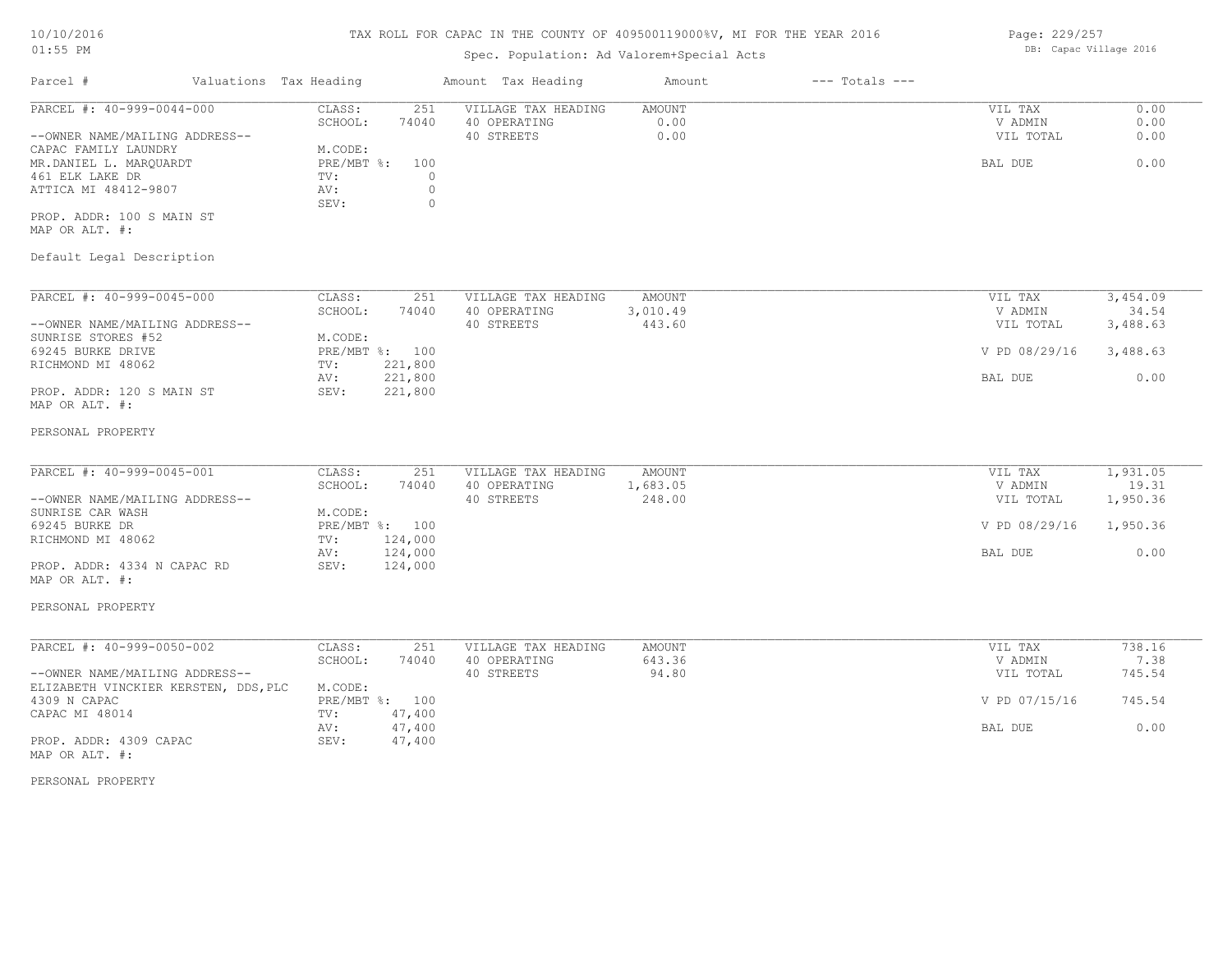# TAX ROLL FOR CAPAC IN THE COUNTY OF 409500119000%V, MI FOR THE YEAR 2016

# Spec. Population: Ad Valorem+Special Acts

| Parcel #                       | Valuations Tax Heading |       | Amount Tax Heading  | Amount | $---$ Totals $---$ |           |      |
|--------------------------------|------------------------|-------|---------------------|--------|--------------------|-----------|------|
| PARCEL #: 40-999-0044-000      | CLASS:                 | 251   | VILLAGE TAX HEADING | AMOUNT |                    | VIL TAX   | 0.00 |
|                                | SCHOOL:                | 74040 | 40 OPERATING        | 0.00   |                    | V ADMIN   | 0.00 |
| --OWNER NAME/MAILING ADDRESS-- |                        |       | 40 STREETS          | 0.00   |                    | VIL TOTAL | 0.00 |
| CAPAC FAMILY LAUNDRY           | M.CODE:                |       |                     |        |                    |           |      |
| MR.DANIEL L. MAROUARDT         | PRE/MBT %:             | 100   |                     |        |                    | BAL DUE   | 0.00 |
| 461 ELK LAKE DR                | TV:                    |       |                     |        |                    |           |      |
| ATTICA MI 48412-9807           | AV:                    |       |                     |        |                    |           |      |
|                                | SEV:                   |       |                     |        |                    |           |      |
| PROP. ADDR: 100 S MAIN ST      |                        |       |                     |        |                    |           |      |

MAP OR ALT. #:

# Default Legal Description

| PARCEL #: 40-999-0045-000      | CLASS:       | 251     | VILLAGE TAX HEADING | AMOUNT   | 3,454.09<br>VIL TAX       |
|--------------------------------|--------------|---------|---------------------|----------|---------------------------|
|                                | SCHOOL:      | 74040   | 40 OPERATING        | 3,010.49 | V ADMIN<br>34.54          |
| --OWNER NAME/MAILING ADDRESS-- |              |         | 40 STREETS          | 443.60   | 3,488.63<br>VIL TOTAL     |
| SUNRISE STORES #52             | M.CODE:      |         |                     |          |                           |
| 69245 BURKE DRIVE              | $PRE/MBT$ %: | 100     |                     |          | V PD 08/29/16<br>3,488.63 |
| RICHMOND MI 48062              | TV:          | 221,800 |                     |          |                           |
|                                | AV:          | 221,800 |                     |          | 0.00<br>BAL DUE           |
| PROP. ADDR: 120 S MAIN ST      | SEV:         | 221,800 |                     |          |                           |
| MAP OR ALT. #:                 |              |         |                     |          |                           |

#### PERSONAL PROPERTY

| PARCEL #: 40-999-0045-001      | CLASS:  | 251            | VILLAGE TAX HEADING | AMOUNT   | VIL TAX       | 1,931.05 |
|--------------------------------|---------|----------------|---------------------|----------|---------------|----------|
|                                | SCHOOL: | 74040          | 40 OPERATING        | 1,683.05 | V ADMIN       | 19.31    |
| --OWNER NAME/MAILING ADDRESS-- |         |                | 40 STREETS          | 248.00   | VIL TOTAL     | 1,950.36 |
| SUNRISE CAR WASH               | M.CODE: |                |                     |          |               |          |
| 69245 BURKE DR                 |         | PRE/MBT %: 100 |                     |          | V PD 08/29/16 | 1,950.36 |
| RICHMOND MI 48062              | TV:     | 124,000        |                     |          |               |          |
|                                | AV:     | 124,000        |                     |          | BAL DUE       | 0.00     |
| PROP. ADDR: 4334 N CAPAC RD    | SEV:    | 124,000        |                     |          |               |          |
| MAP OR ALT. #:                 |         |                |                     |          |               |          |

# PERSONAL PROPERTY

| PARCEL #: 40-999-0050-002            | CLASS:  | 251            | VILLAGE TAX HEADING | AMOUNT | VIL TAX       | 738.16 |
|--------------------------------------|---------|----------------|---------------------|--------|---------------|--------|
|                                      | SCHOOL: | 74040          | 40 OPERATING        | 643.36 | V ADMIN       | 7.38   |
| --OWNER NAME/MAILING ADDRESS--       |         |                | 40 STREETS          | 94.80  | VIL TOTAL     | 745.54 |
| ELIZABETH VINCKIER KERSTEN, DDS, PLC | M.CODE: |                |                     |        |               |        |
| 4309 N CAPAC                         |         | PRE/MBT %: 100 |                     |        | V PD 07/15/16 | 745.54 |
| CAPAC MI 48014                       | TV:     | 47,400         |                     |        |               |        |
|                                      | AV:     | 47,400         |                     |        | BAL DUE       | 0.00   |
| PROP. ADDR: 4309 CAPAC               | SEV:    | 47,400         |                     |        |               |        |
| MAP OR ALT. #:                       |         |                |                     |        |               |        |

PERSONAL PROPERTY

Page: 229/257 DB: Capac Village 2016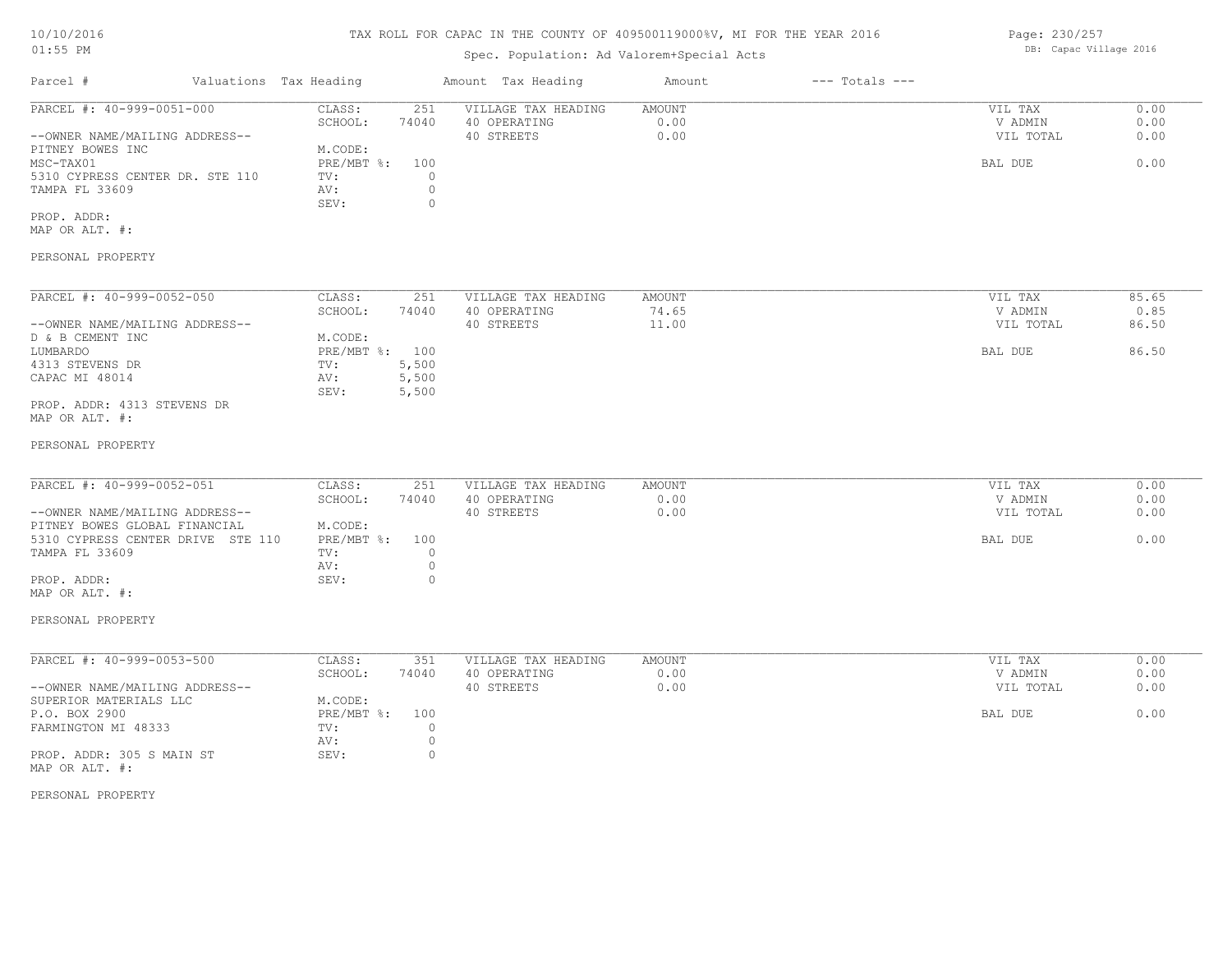# TAX ROLL FOR CAPAC IN THE COUNTY OF 409500119000%V, MI FOR THE YEAR 2016

# Spec. Population: Ad Valorem+Special Acts

| Parcel #                        | Valuations Tax Heading |       | Amount Tax Heading  | Amount | $---$ Totals $---$ |           |      |
|---------------------------------|------------------------|-------|---------------------|--------|--------------------|-----------|------|
| PARCEL #: 40-999-0051-000       | CLASS:                 | 251   | VILLAGE TAX HEADING | AMOUNT |                    | VIL TAX   | 0.00 |
|                                 | SCHOOL:                | 74040 | 40 OPERATING        | 0.00   |                    | V ADMIN   | 0.00 |
| --OWNER NAME/MAILING ADDRESS--  |                        |       | 40 STREETS          | 0.00   |                    | VIL TOTAL | 0.00 |
| PITNEY BOWES INC                | M.CODE:                |       |                     |        |                    |           |      |
| MSC-TAX01                       | PRE/MBT %: 100         |       |                     |        |                    | BAL DUE   | 0.00 |
| 5310 CYPRESS CENTER DR. STE 110 | TV:                    |       |                     |        |                    |           |      |
| TAMPA FL 33609                  | AV:                    |       |                     |        |                    |           |      |
|                                 | SEV:                   |       |                     |        |                    |           |      |
| PROP. ADDR:                     |                        |       |                     |        |                    |           |      |

MAP OR ALT. #:

### PERSONAL PROPERTY

| PARCEL #: 40-999-0052-050      | CLASS:       | 251   | VILLAGE TAX HEADING | AMOUNT | VIL TAX   | 85.65 |
|--------------------------------|--------------|-------|---------------------|--------|-----------|-------|
|                                | SCHOOL:      | 74040 | 40 OPERATING        | 74.65  | V ADMIN   | 0.85  |
| --OWNER NAME/MAILING ADDRESS-- |              |       | 40 STREETS          | 11.00  | VIL TOTAL | 86.50 |
| D & B CEMENT INC               | M.CODE:      |       |                     |        |           |       |
| LUMBARDO                       | $PRE/MBT$ %: | 100   |                     |        | BAL DUE   | 86.50 |
| 4313 STEVENS DR                | TV:          | 5,500 |                     |        |           |       |
| CAPAC MI 48014                 | AV:          | 5,500 |                     |        |           |       |
|                                | SEV:         | 5,500 |                     |        |           |       |
| PROP. ADDR: 4313 STEVENS DR    |              |       |                     |        |           |       |

MAP OR ALT. #:

#### PERSONAL PROPERTY

| PARCEL #: 40-999-0052-051         | CLASS:         | 251   | VILLAGE TAX HEADING | AMOUNT | VIL TAX   | 0.00 |
|-----------------------------------|----------------|-------|---------------------|--------|-----------|------|
|                                   | SCHOOL:        | 74040 | 40 OPERATING        | 0.00   | V ADMIN   | 0.00 |
| --OWNER NAME/MAILING ADDRESS--    |                |       | 40 STREETS          | 0.00   | VIL TOTAL | 0.00 |
| PITNEY BOWES GLOBAL FINANCIAL     | M.CODE:        |       |                     |        |           |      |
| 5310 CYPRESS CENTER DRIVE STE 110 | PRE/MBT %: 100 |       |                     |        | BAL DUE   | 0.00 |
| TAMPA FL 33609                    | TV:            |       |                     |        |           |      |
|                                   | AV:            |       |                     |        |           |      |
| PROP. ADDR:                       | SEV:           |       |                     |        |           |      |

#### PERSONAL PROPERTY

MAP OR ALT. #:

| PARCEL #: 40-999-0053-500      | CLASS:     | 351   | VILLAGE TAX HEADING | AMOUNT | 0.00<br>VIL TAX   |
|--------------------------------|------------|-------|---------------------|--------|-------------------|
|                                | SCHOOL:    | 74040 | 40 OPERATING        | 0.00   | 0.00<br>V ADMIN   |
| --OWNER NAME/MAILING ADDRESS-- |            |       | 40 STREETS          | 0.00   | 0.00<br>VIL TOTAL |
| SUPERIOR MATERIALS LLC         | M.CODE:    |       |                     |        |                   |
| P.O. BOX 2900                  | PRE/MBT %: | 100   |                     |        | 0.00<br>BAL DUE   |
| FARMINGTON MI 48333            | TV:        |       |                     |        |                   |
|                                | AV:        |       |                     |        |                   |
| PROP. ADDR: 305 S MAIN ST      | SEV:       |       |                     |        |                   |
| MAP OR ALT. #:                 |            |       |                     |        |                   |

PERSONAL PROPERTY

Page: 230/257 DB: Capac Village 2016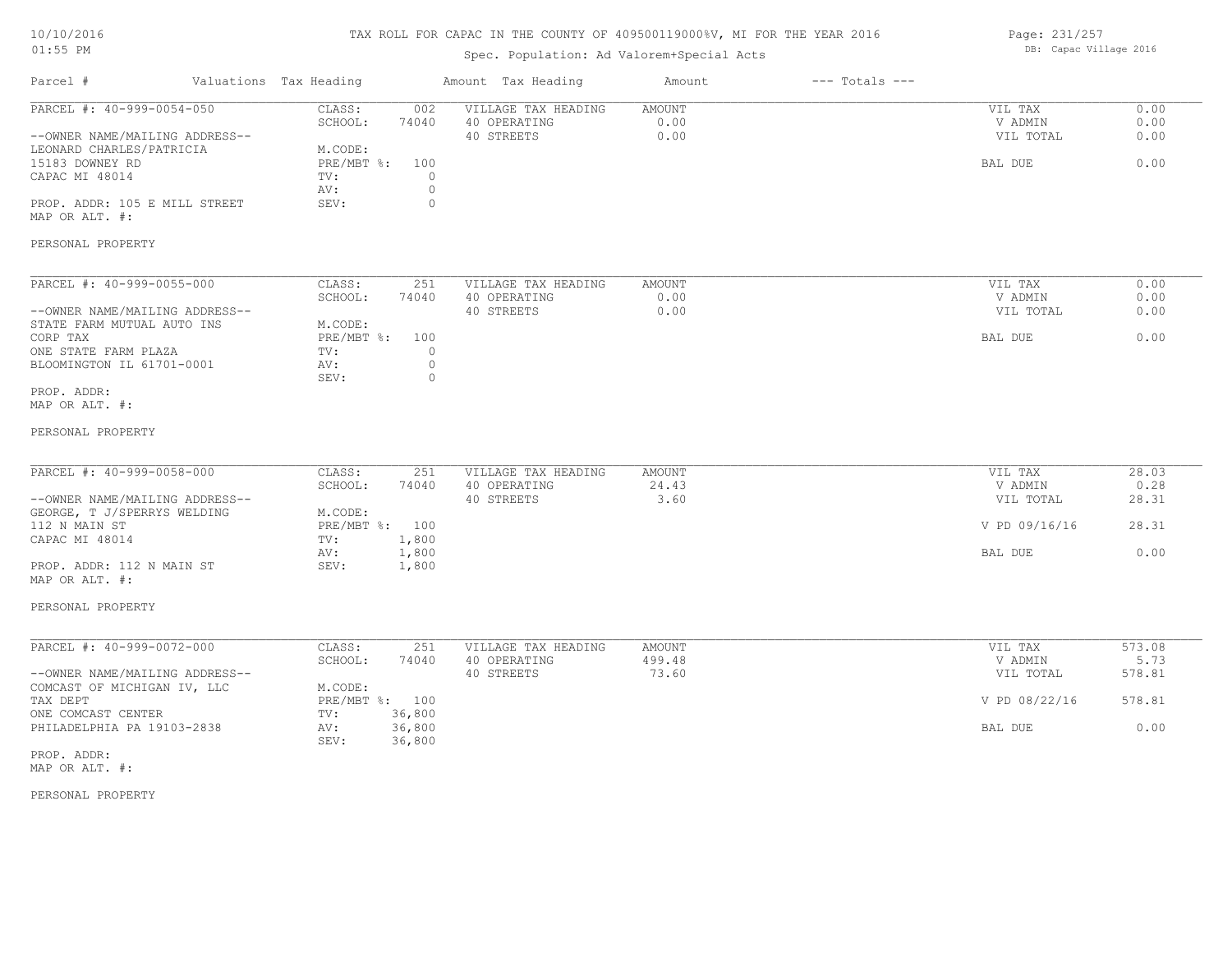# TAX ROLL FOR CAPAC IN THE COUNTY OF 409500119000%V, MI FOR THE YEAR 2016

# Spec. Population: Ad Valorem+Special Acts

Page: 231/257 DB: Capac Village 2016

| Parcel #                                                                                                                                                                                    | Valuations Tax Heading                                                                                                   | Amount Tax Heading                                          | Amount                    | $---$ Totals $---$ |                                                             |                                            |
|---------------------------------------------------------------------------------------------------------------------------------------------------------------------------------------------|--------------------------------------------------------------------------------------------------------------------------|-------------------------------------------------------------|---------------------------|--------------------|-------------------------------------------------------------|--------------------------------------------|
| PARCEL #: 40-999-0054-050<br>--OWNER NAME/MAILING ADDRESS--<br>LEONARD CHARLES/PATRICIA<br>15183 DOWNEY RD<br>CAPAC MI 48014<br>PROP. ADDR: 105 E MILL STREET<br>MAP OR ALT. #:             | CLASS:<br>002<br>74040<br>SCHOOL:<br>M.CODE:<br>PRE/MBT %:<br>100<br>$\circ$<br>TV:<br>$\circ$<br>AV:<br>$\circ$<br>SEV: | VILLAGE TAX HEADING<br>40 OPERATING<br>40 STREETS           | AMOUNT<br>0.00<br>0.00    |                    | VIL TAX<br>V ADMIN<br>VIL TOTAL<br>BAL DUE                  | 0.00<br>0.00<br>0.00<br>0.00               |
| PERSONAL PROPERTY                                                                                                                                                                           |                                                                                                                          |                                                             |                           |                    |                                                             |                                            |
| PARCEL #: 40-999-0055-000<br>--OWNER NAME/MAILING ADDRESS--<br>STATE FARM MUTUAL AUTO INS<br>CORP TAX<br>ONE STATE FARM PLAZA<br>BLOOMINGTON IL 61701-0001<br>PROP. ADDR:<br>MAP OR ALT. #: | CLASS:<br>251<br>SCHOOL:<br>74040<br>M.CODE:<br>PRE/MBT %: 100<br>TV:<br>$\circ$<br>$\circ$<br>AV:<br>$\circ$<br>SEV:    | VILLAGE TAX HEADING<br>40 OPERATING<br>40 STREETS           | AMOUNT<br>0.00<br>0.00    |                    | VIL TAX<br>V ADMIN<br>VIL TOTAL<br>BAL DUE                  | 0.00<br>0.00<br>0.00<br>0.00               |
| PERSONAL PROPERTY                                                                                                                                                                           |                                                                                                                          |                                                             |                           |                    |                                                             |                                            |
| PARCEL #: 40-999-0058-000<br>--OWNER NAME/MAILING ADDRESS--<br>GEORGE, T J/SPERRYS WELDING                                                                                                  | CLASS:<br>251<br>SCHOOL:<br>74040<br>M.CODE:                                                                             | VILLAGE TAX HEADING<br>40 OPERATING<br>40 STREETS           | AMOUNT<br>24.43<br>3.60   |                    | VIL TAX<br>V ADMIN<br>VIL TOTAL                             | 28.03<br>0.28<br>28.31                     |
| 112 N MAIN ST<br>CAPAC MI 48014<br>PROP. ADDR: 112 N MAIN ST<br>MAP OR ALT. #:                                                                                                              | PRE/MBT %: 100<br>1,800<br>TV:<br>1,800<br>AV:<br>1,800<br>SEV:                                                          |                                                             |                           |                    | V PD 09/16/16<br>BAL DUE                                    | 28.31<br>0.00                              |
| PERSONAL PROPERTY                                                                                                                                                                           |                                                                                                                          |                                                             |                           |                    |                                                             |                                            |
| PARCEL #: 40-999-0072-000<br>--OWNER NAME/MAILING ADDRESS--<br>COMCAST OF MICHIGAN IV, LLC<br>TAX DEPT<br>ONE COMCAST CENTER                                                                | CLASS:<br>251<br>SCHOOL:<br>74040<br>M.CODE:<br>PRE/MBT %: 100<br>36,800<br>TV:                                          | VILLAGE TAX HEADING<br>40 OPERATING<br>40 STREETS<br>36,800 | AMOUNT<br>499.48<br>73.60 |                    | VIL TAX<br>V ADMIN<br>VIL TOTAL<br>V PD 08/22/16<br>BAL DUE | 573.08<br>5.73<br>578.81<br>578.81<br>0.00 |

PERSONAL PROPERTY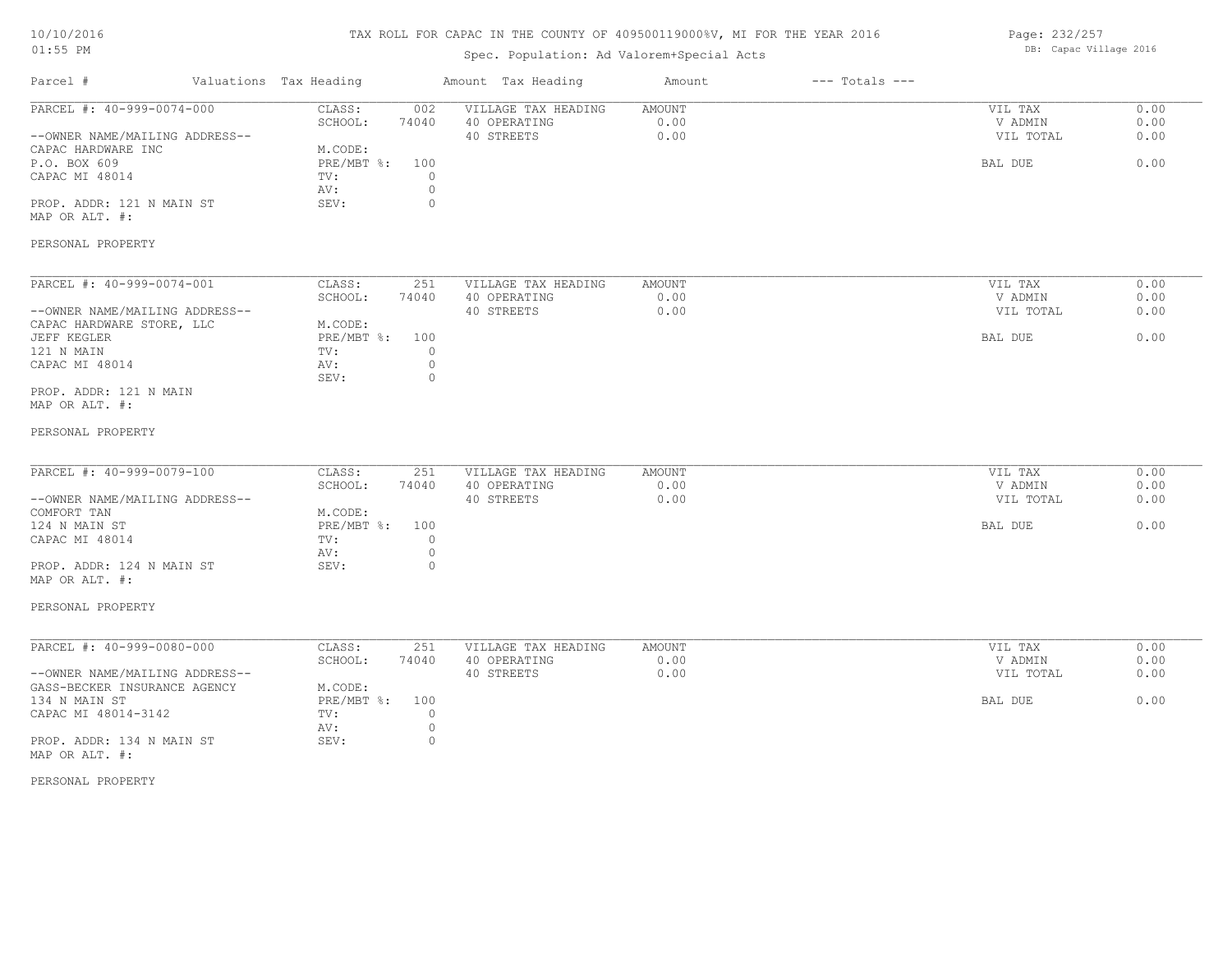# TAX ROLL FOR CAPAC IN THE COUNTY OF 409500119000%V, MI FOR THE YEAR 2016

# Spec. Population: Ad Valorem+Special Acts

Page: 232/257 DB: Capac Village 2016

| Parcel #                                                                                                                                                                                | Valuations Tax Heading |                                                                          |                                                          | Amount Tax Heading                                | Amount                        | $---$ Totals $---$ |                                            |                              |
|-----------------------------------------------------------------------------------------------------------------------------------------------------------------------------------------|------------------------|--------------------------------------------------------------------------|----------------------------------------------------------|---------------------------------------------------|-------------------------------|--------------------|--------------------------------------------|------------------------------|
| PARCEL #: 40-999-0074-000<br>--OWNER NAME/MAILING ADDRESS--<br>CAPAC HARDWARE INC<br>P.O. BOX 609<br>CAPAC MI 48014<br>PROP. ADDR: 121 N MAIN ST<br>MAP OR ALT. #:<br>PERSONAL PROPERTY |                        | CLASS:<br>SCHOOL:<br>M.CODE:<br>$PRE/MBT$ $\div$ :<br>TV:<br>AV:<br>SEV: | 002<br>74040<br>100<br>$\circ$<br>$\mathbb O$<br>$\circ$ | VILLAGE TAX HEADING<br>40 OPERATING<br>40 STREETS | <b>AMOUNT</b><br>0.00<br>0.00 |                    | VIL TAX<br>V ADMIN<br>VIL TOTAL<br>BAL DUE | 0.00<br>0.00<br>0.00<br>0.00 |
|                                                                                                                                                                                         |                        |                                                                          |                                                          |                                                   |                               |                    |                                            |                              |
| PARCEL #: 40-999-0074-001<br>--OWNER NAME/MAILING ADDRESS--                                                                                                                             |                        | CLASS:<br>SCHOOL:                                                        | 251<br>74040                                             | VILLAGE TAX HEADING<br>40 OPERATING<br>40 STREETS | <b>AMOUNT</b><br>0.00<br>0.00 |                    | VIL TAX<br>V ADMIN<br>VIL TOTAL            | 0.00<br>0.00<br>0.00         |
| CAPAC HARDWARE STORE, LLC<br>JEFF KEGLER<br>121 N MAIN<br>CAPAC MI 48014                                                                                                                |                        | M.CODE:<br>$PRE/MBT$ $\div$<br>TV:<br>AV:                                | 100<br>$\Omega$<br>$\mathbb O$                           |                                                   |                               |                    | BAL DUE                                    | 0.00                         |
| PROP. ADDR: 121 N MAIN<br>MAP OR ALT. #:                                                                                                                                                |                        | SEV:                                                                     | $\circ$                                                  |                                                   |                               |                    |                                            |                              |
| PERSONAL PROPERTY                                                                                                                                                                       |                        |                                                                          |                                                          |                                                   |                               |                    |                                            |                              |
| PARCEL #: 40-999-0079-100<br>--OWNER NAME/MAILING ADDRESS--                                                                                                                             |                        | CLASS:<br>SCHOOL:                                                        | 251<br>74040                                             | VILLAGE TAX HEADING<br>40 OPERATING<br>40 STREETS | <b>AMOUNT</b><br>0.00<br>0.00 |                    | VIL TAX<br>V ADMIN<br>VIL TOTAL            | 0.00<br>0.00<br>0.00         |
| COMFORT TAN<br>124 N MAIN ST<br>CAPAC MI 48014                                                                                                                                          |                        | M.CODE:<br>PRE/MBT %:<br>TV:<br>AV:                                      | 100<br>$\circ$<br>$\circ$                                |                                                   |                               |                    | BAL DUE                                    | 0.00                         |
| PROP. ADDR: 124 N MAIN ST<br>MAP OR ALT. #:                                                                                                                                             |                        | SEV:                                                                     | $\circ$                                                  |                                                   |                               |                    |                                            |                              |
| PERSONAL PROPERTY                                                                                                                                                                       |                        |                                                                          |                                                          |                                                   |                               |                    |                                            |                              |
| PARCEL #: 40-999-0080-000<br>--OWNER NAME/MAILING ADDRESS--<br>GASS-BECKER INSURANCE AGENCY                                                                                             |                        | CLASS:<br>SCHOOL:<br>M.CODE:                                             | 251<br>74040                                             | VILLAGE TAX HEADING<br>40 OPERATING<br>40 STREETS | <b>AMOUNT</b><br>0.00<br>0.00 |                    | VIL TAX<br>V ADMIN<br>VIL TOTAL            | 0.00<br>0.00<br>0.00         |
| 134 N MAIN ST<br>CAPAC MI 48014-3142                                                                                                                                                    |                        | $PRE/MBT$ $\div$ :<br>TV:<br>AV:                                         | 100<br>$\circ$<br>$\circ$                                |                                                   |                               |                    | BAL DUE                                    | 0.00                         |
| PROP. ADDR: 134 N MAIN ST<br>MAP OR ALT. #:                                                                                                                                             |                        | SEV:                                                                     | $\circ$                                                  |                                                   |                               |                    |                                            |                              |
| PERSONAL PROPERTY                                                                                                                                                                       |                        |                                                                          |                                                          |                                                   |                               |                    |                                            |                              |
|                                                                                                                                                                                         |                        |                                                                          |                                                          |                                                   |                               |                    |                                            |                              |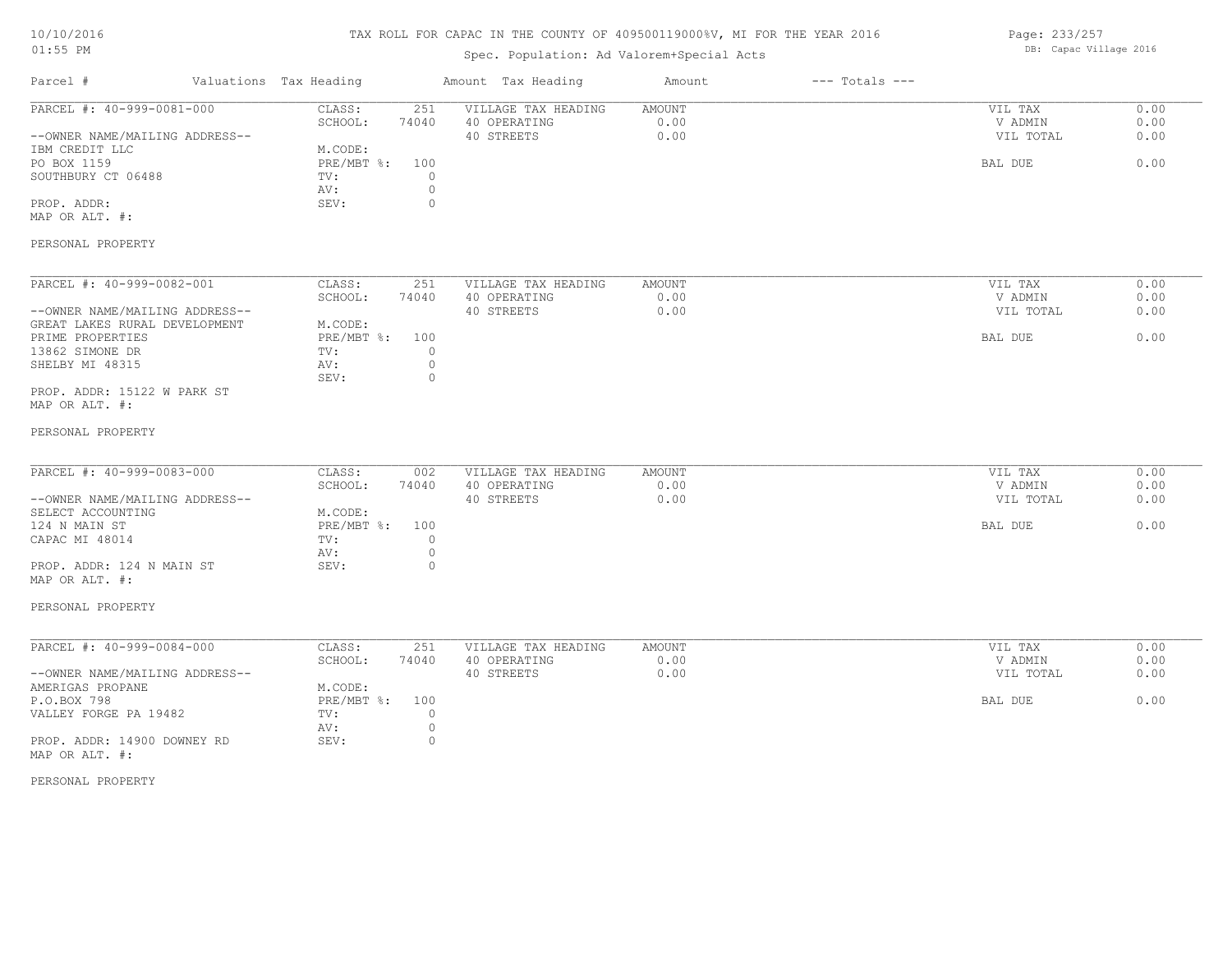# TAX ROLL FOR CAPAC IN THE COUNTY OF 409500119000%V, MI FOR THE YEAR 2016

## Spec. Population: Ad Valorem+Special Acts

Page: 233/257 DB: Capac Village 2016

| CLASS:<br>251           | VILLAGE TAX HEADING                                                                                                                                                                                                   | <b>AMOUNT</b>                                                                                          |                                               |           |                                                                               |
|-------------------------|-----------------------------------------------------------------------------------------------------------------------------------------------------------------------------------------------------------------------|--------------------------------------------------------------------------------------------------------|-----------------------------------------------|-----------|-------------------------------------------------------------------------------|
|                         |                                                                                                                                                                                                                       |                                                                                                        |                                               | VIL TAX   | 0.00<br>0.00                                                                  |
|                         |                                                                                                                                                                                                                       |                                                                                                        |                                               |           | 0.00                                                                          |
|                         |                                                                                                                                                                                                                       |                                                                                                        |                                               |           |                                                                               |
|                         |                                                                                                                                                                                                                       |                                                                                                        |                                               |           | 0.00                                                                          |
| $\circ$<br>TV:          |                                                                                                                                                                                                                       |                                                                                                        |                                               |           |                                                                               |
| $\circ$<br>AV:          |                                                                                                                                                                                                                       |                                                                                                        |                                               |           |                                                                               |
| SEV:<br>$\circ$         |                                                                                                                                                                                                                       |                                                                                                        |                                               |           |                                                                               |
|                         |                                                                                                                                                                                                                       |                                                                                                        |                                               |           |                                                                               |
|                         |                                                                                                                                                                                                                       |                                                                                                        |                                               |           |                                                                               |
|                         |                                                                                                                                                                                                                       |                                                                                                        |                                               |           |                                                                               |
| CLASS:<br>251           | VILLAGE TAX HEADING                                                                                                                                                                                                   | <b>AMOUNT</b>                                                                                          |                                               | VIL TAX   | 0.00                                                                          |
| SCHOOL:<br>74040        | 40 OPERATING                                                                                                                                                                                                          | 0.00                                                                                                   |                                               | V ADMIN   | 0.00                                                                          |
|                         | 40 STREETS                                                                                                                                                                                                            | 0.00                                                                                                   |                                               | VIL TOTAL | 0.00                                                                          |
| M.CODE:                 |                                                                                                                                                                                                                       |                                                                                                        |                                               |           |                                                                               |
| PRE/MBT %:<br>100       |                                                                                                                                                                                                                       |                                                                                                        |                                               | BAL DUE   | 0.00                                                                          |
| TV:                     |                                                                                                                                                                                                                       |                                                                                                        |                                               |           |                                                                               |
|                         |                                                                                                                                                                                                                       |                                                                                                        |                                               |           |                                                                               |
|                         |                                                                                                                                                                                                                       |                                                                                                        |                                               |           |                                                                               |
|                         |                                                                                                                                                                                                                       |                                                                                                        |                                               |           |                                                                               |
|                         |                                                                                                                                                                                                                       |                                                                                                        |                                               |           |                                                                               |
|                         |                                                                                                                                                                                                                       |                                                                                                        |                                               |           |                                                                               |
|                         |                                                                                                                                                                                                                       |                                                                                                        |                                               |           |                                                                               |
|                         |                                                                                                                                                                                                                       |                                                                                                        |                                               |           |                                                                               |
|                         |                                                                                                                                                                                                                       |                                                                                                        |                                               |           | 0.00                                                                          |
|                         |                                                                                                                                                                                                                       |                                                                                                        |                                               |           | 0.00<br>0.00                                                                  |
|                         |                                                                                                                                                                                                                       |                                                                                                        |                                               |           |                                                                               |
|                         |                                                                                                                                                                                                                       |                                                                                                        |                                               |           | 0.00                                                                          |
|                         |                                                                                                                                                                                                                       |                                                                                                        |                                               |           |                                                                               |
| $\circ$                 |                                                                                                                                                                                                                       |                                                                                                        |                                               |           |                                                                               |
| SEV:<br>$\circ$         |                                                                                                                                                                                                                       |                                                                                                        |                                               |           |                                                                               |
|                         |                                                                                                                                                                                                                       |                                                                                                        |                                               |           |                                                                               |
|                         |                                                                                                                                                                                                                       |                                                                                                        |                                               |           |                                                                               |
|                         |                                                                                                                                                                                                                       |                                                                                                        |                                               |           |                                                                               |
| 251                     |                                                                                                                                                                                                                       | <b>AMOUNT</b>                                                                                          |                                               | VIL TAX   | 0.00                                                                          |
| SCHOOL:<br>74040        | 40 OPERATING                                                                                                                                                                                                          | 0.00                                                                                                   |                                               | V ADMIN   | 0.00                                                                          |
|                         | 40 STREETS                                                                                                                                                                                                            | 0.00                                                                                                   |                                               | VIL TOTAL | 0.00                                                                          |
| M.CODE:                 |                                                                                                                                                                                                                       |                                                                                                        |                                               |           |                                                                               |
| $PRE/MBT$ $\div$<br>100 |                                                                                                                                                                                                                       |                                                                                                        |                                               | BAL DUE   | 0.00                                                                          |
| $\overline{0}$<br>TV:   |                                                                                                                                                                                                                       |                                                                                                        |                                               |           |                                                                               |
| $\circ$<br>AV:          |                                                                                                                                                                                                                       |                                                                                                        |                                               |           |                                                                               |
| SEV:<br>$\circ$         |                                                                                                                                                                                                                       |                                                                                                        |                                               |           |                                                                               |
|                         |                                                                                                                                                                                                                       |                                                                                                        |                                               |           |                                                                               |
|                         |                                                                                                                                                                                                                       |                                                                                                        |                                               |           |                                                                               |
|                         |                                                                                                                                                                                                                       |                                                                                                        |                                               |           |                                                                               |
|                         | SCHOOL:<br>74040<br>M.CODE:<br>PRE/MBT %:<br>100<br>$\overline{0}$<br>$\circ$<br>AV:<br>SEV:<br>$\circ$<br>CLASS:<br>002<br>SCHOOL:<br>74040<br>M.CODE:<br>$PRE/MBT$ $\div$<br>100<br>$\circ$<br>TV:<br>AV:<br>CLASS: | 40 OPERATING<br>40 STREETS<br>VILLAGE TAX HEADING<br>40 OPERATING<br>40 STREETS<br>VILLAGE TAX HEADING | 0.00<br>0.00<br><b>AMOUNT</b><br>0.00<br>0.00 |           | V ADMIN<br>VIL TOTAL<br>BAL DUE<br>VIL TAX<br>V ADMIN<br>VIL TOTAL<br>BAL DUE |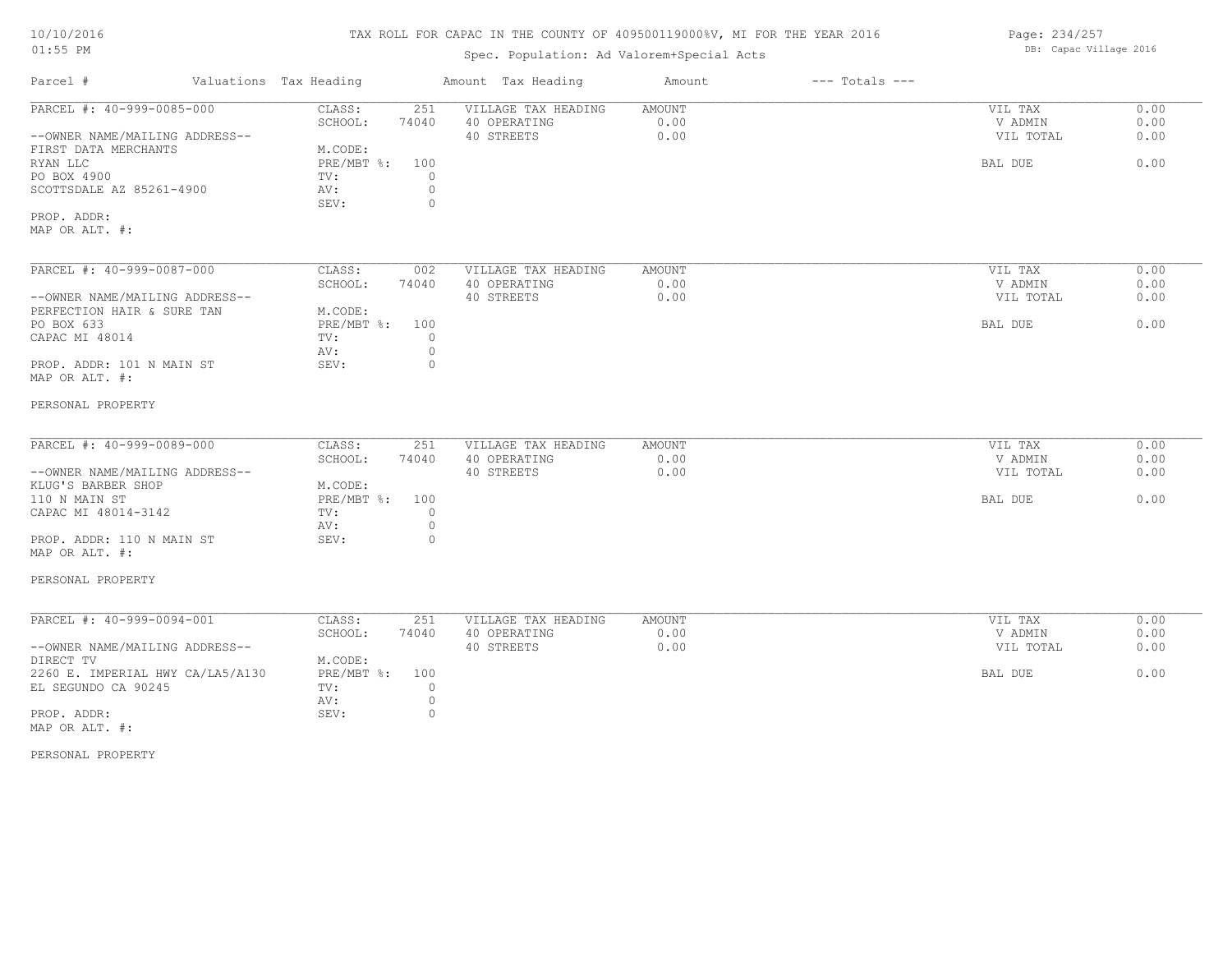# TAX ROLL FOR CAPAC IN THE COUNTY OF 409500119000%V, MI FOR THE YEAR 2016

# Spec. Population: Ad Valorem+Special Acts

| Page: 234/257 |                        |  |
|---------------|------------------------|--|
|               | DB: Capac Village 2016 |  |

| Parcel #                                                                                                                                                                                                           | Valuations Tax Heading                                                                                                         | Amount Tax Heading                                | Amount                        | $---$ Totals $---$ |                                            |                              |
|--------------------------------------------------------------------------------------------------------------------------------------------------------------------------------------------------------------------|--------------------------------------------------------------------------------------------------------------------------------|---------------------------------------------------|-------------------------------|--------------------|--------------------------------------------|------------------------------|
| PARCEL #: 40-999-0085-000<br>--OWNER NAME/MAILING ADDRESS--<br>FIRST DATA MERCHANTS<br>RYAN LLC<br>PO BOX 4900<br>SCOTTSDALE AZ 85261-4900<br>PROP. ADDR:<br>MAP OR ALT. #:                                        | CLASS:<br>251<br>SCHOOL:<br>74040<br>M.CODE:<br>$PRE/MBT$ $\div$<br>100<br>$\circ$<br>TV:<br>$\circ$<br>AV:<br>$\circ$<br>SEV: | VILLAGE TAX HEADING<br>40 OPERATING<br>40 STREETS | <b>AMOUNT</b><br>0.00<br>0.00 |                    | VIL TAX<br>V ADMIN<br>VIL TOTAL<br>BAL DUE | 0.00<br>0.00<br>0.00<br>0.00 |
| PARCEL #: 40-999-0087-000<br>--OWNER NAME/MAILING ADDRESS--<br>PERFECTION HAIR & SURE TAN<br>PO BOX 633<br>CAPAC MI 48014<br>PROP. ADDR: 101 N MAIN ST<br>MAP OR ALT. #:                                           | CLASS:<br>002<br>SCHOOL:<br>74040<br>M.CODE:<br>PRE/MBT %:<br>100<br>$\circ$<br>TV:<br>$\circ$<br>AV:<br>SEV:<br>$\circ$       | VILLAGE TAX HEADING<br>40 OPERATING<br>40 STREETS | AMOUNT<br>0.00<br>0.00        |                    | VIL TAX<br>V ADMIN<br>VIL TOTAL<br>BAL DUE | 0.00<br>0.00<br>0.00<br>0.00 |
| PERSONAL PROPERTY<br>PARCEL #: 40-999-0089-000<br>--OWNER NAME/MAILING ADDRESS--<br>KLUG'S BARBER SHOP<br>110 N MAIN ST<br>CAPAC MI 48014-3142<br>PROP. ADDR: 110 N MAIN ST<br>MAP OR ALT. #:<br>PERSONAL PROPERTY | CLASS:<br>251<br>SCHOOL:<br>74040<br>M.CODE:<br>PRE/MBT %: 100<br>$\circ$<br>TV:<br>$\circ$<br>AV:<br>SEV:<br>0                | VILLAGE TAX HEADING<br>40 OPERATING<br>40 STREETS | AMOUNT<br>0.00<br>0.00        |                    | VIL TAX<br>V ADMIN<br>VIL TOTAL<br>BAL DUE | 0.00<br>0.00<br>0.00<br>0.00 |
| PARCEL #: 40-999-0094-001<br>--OWNER NAME/MAILING ADDRESS--<br>DIRECT TV<br>2260 E. IMPERIAL HWY CA/LA5/A130<br>EL SEGUNDO CA 90245<br>PROP. ADDR:<br>MAP OR ALT. #:<br>PERSONAL PROPERTY                          | CLASS:<br>251<br>SCHOOL:<br>74040<br>M.CODE:<br>PRE/MBT %:<br>100<br>TV:<br>$\circ$<br>$\circ$<br>AV:<br>SEV:<br>$\circ$       | VILLAGE TAX HEADING<br>40 OPERATING<br>40 STREETS | <b>AMOUNT</b><br>0.00<br>0.00 |                    | VIL TAX<br>V ADMIN<br>VIL TOTAL<br>BAL DUE | 0.00<br>0.00<br>0.00<br>0.00 |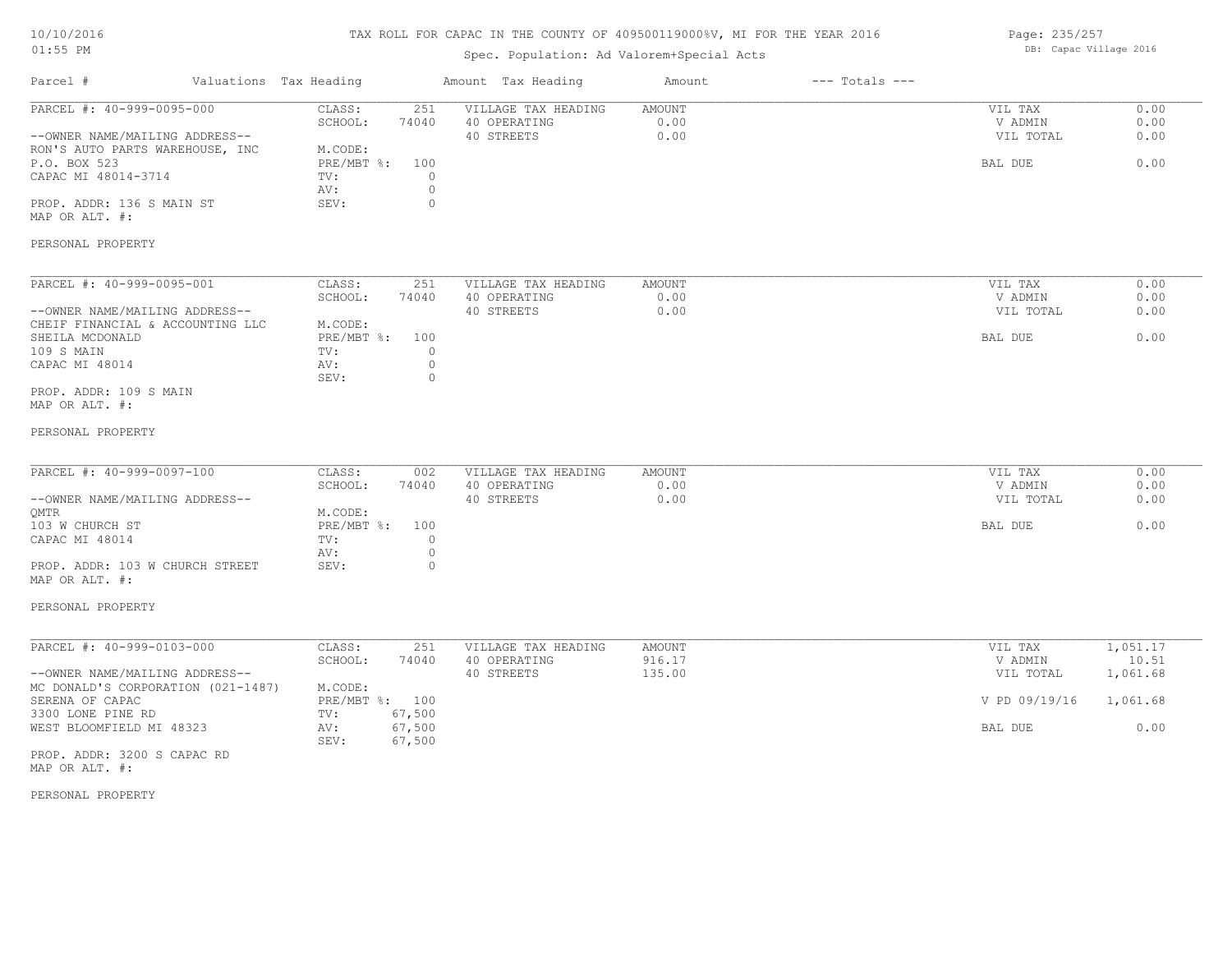# TAX ROLL FOR CAPAC IN THE COUNTY OF 409500119000%V, MI FOR THE YEAR 2016

# Spec. Population: Ad Valorem+Special Acts

Page: 235/257 DB: Capac Village 2016

| Parcel #                                                                                                                                                                                                               | Valuations Tax Heading |                                                                      |                                                               | Amount Tax Heading                                | Amount                     | $---$ Totals $---$ |                                                             |                                                   |
|------------------------------------------------------------------------------------------------------------------------------------------------------------------------------------------------------------------------|------------------------|----------------------------------------------------------------------|---------------------------------------------------------------|---------------------------------------------------|----------------------------|--------------------|-------------------------------------------------------------|---------------------------------------------------|
| PARCEL #: 40-999-0095-000<br>--OWNER NAME/MAILING ADDRESS--<br>RON'S AUTO PARTS WAREHOUSE, INC<br>P.O. BOX 523<br>CAPAC MI 48014-3714<br>PROP. ADDR: 136 S MAIN ST<br>MAP OR ALT. #:                                   |                        | CLASS:<br>SCHOOL:<br>M.CODE:<br>$PRE/MBT$ %:<br>TV:<br>AV:<br>SEV:   | 251<br>74040<br>100<br>$\circ$<br>$\mathbb O$<br>$\mathbf{0}$ | VILLAGE TAX HEADING<br>40 OPERATING<br>40 STREETS | AMOUNT<br>0.00<br>0.00     |                    | VIL TAX<br>V ADMIN<br>VIL TOTAL<br>BAL DUE                  | 0.00<br>0.00<br>0.00<br>0.00                      |
| PERSONAL PROPERTY                                                                                                                                                                                                      |                        |                                                                      |                                                               |                                                   |                            |                    |                                                             |                                                   |
| PARCEL #: 40-999-0095-001<br>--OWNER NAME/MAILING ADDRESS--<br>CHEIF FINANCIAL & ACCOUNTING LLC<br>SHEILA MCDONALD<br>109 S MAIN<br>CAPAC MI 48014<br>PROP. ADDR: 109 S MAIN<br>MAP OR ALT. #:<br>PERSONAL PROPERTY    |                        | CLASS:<br>SCHOOL:<br>M.CODE:<br>PRE/MBT %: 100<br>TV:<br>AV:<br>SEV: | 251<br>74040<br>$\circ$<br>$\circ$<br>$\circ$                 | VILLAGE TAX HEADING<br>40 OPERATING<br>40 STREETS | AMOUNT<br>0.00<br>0.00     |                    | VIL TAX<br>V ADMIN<br>VIL TOTAL<br>BAL DUE                  | 0.00<br>0.00<br>0.00<br>0.00                      |
| PARCEL #: 40-999-0097-100<br>--OWNER NAME/MAILING ADDRESS--<br>OMTR<br>103 W CHURCH ST<br>CAPAC MI 48014<br>PROP. ADDR: 103 W CHURCH STREET<br>MAP OR ALT. #:<br>PERSONAL PROPERTY                                     |                        | CLASS:<br>SCHOOL:<br>M.CODE:<br>PRE/MBT %:<br>TV:<br>AV:<br>SEV:     | 002<br>74040<br>100<br>$\circ$<br>$\circ$<br>$\circ$          | VILLAGE TAX HEADING<br>40 OPERATING<br>40 STREETS | AMOUNT<br>0.00<br>0.00     |                    | VIL TAX<br>V ADMIN<br>VIL TOTAL<br>BAL DUE                  | 0.00<br>0.00<br>0.00<br>0.00                      |
| PARCEL #: 40-999-0103-000<br>--OWNER NAME/MAILING ADDRESS--<br>MC DONALD'S CORPORATION (021-1487)<br>SERENA OF CAPAC<br>3300 LONE PINE RD<br>WEST BLOOMFIELD MI 48323<br>PROP. ADDR: 3200 S CAPAC RD<br>MAP OR ALT. #: |                        | CLASS:<br>SCHOOL:<br>M.CODE:<br>PRE/MBT %: 100<br>TV:<br>AV:<br>SEV: | 251<br>74040<br>67,500<br>67,500<br>67,500                    | VILLAGE TAX HEADING<br>40 OPERATING<br>40 STREETS | AMOUNT<br>916.17<br>135.00 |                    | VIL TAX<br>V ADMIN<br>VIL TOTAL<br>V PD 09/19/16<br>BAL DUE | 1,051.17<br>10.51<br>1,061.68<br>1,061.68<br>0.00 |

PERSONAL PROPERTY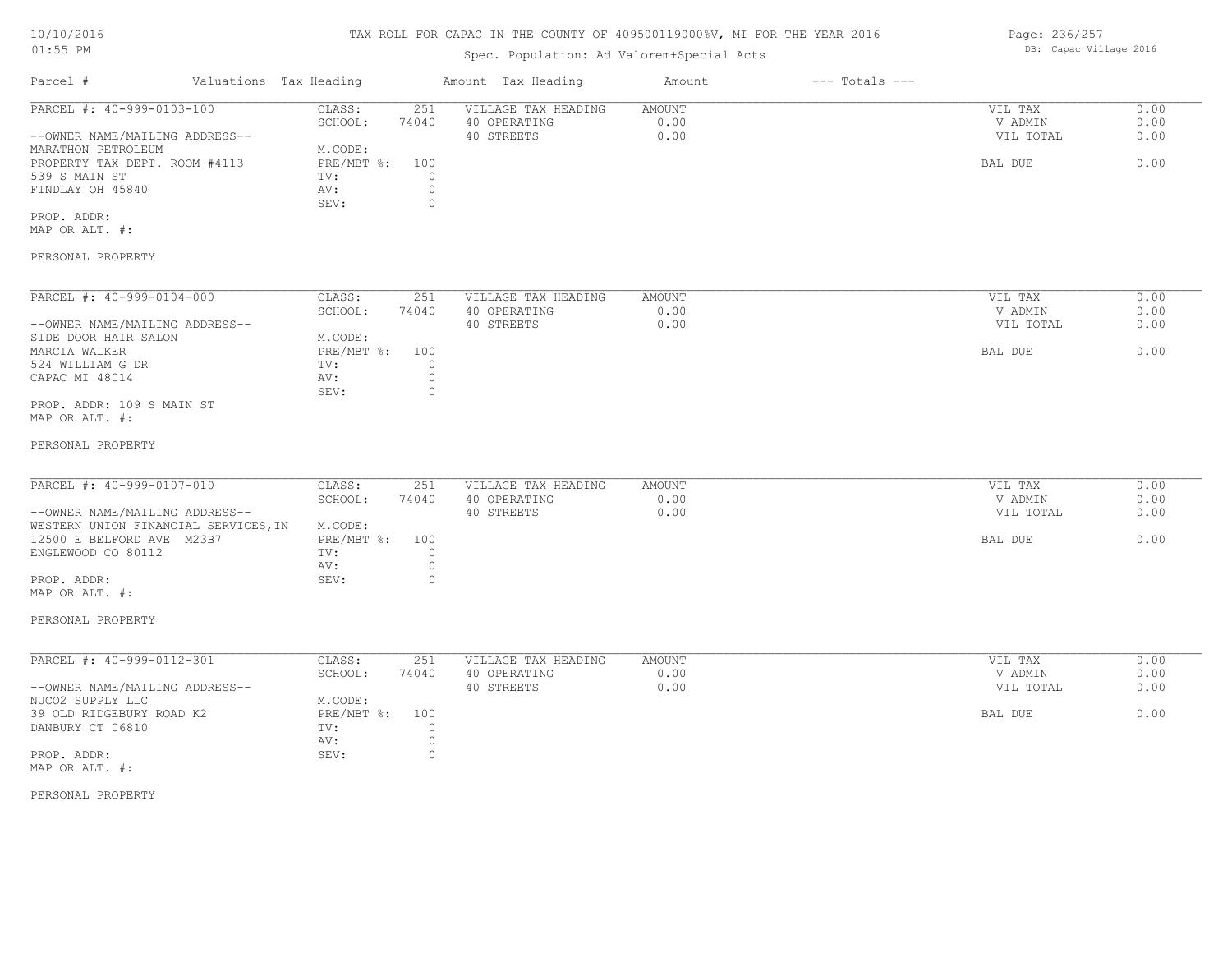# TAX ROLL FOR CAPAC IN THE COUNTY OF 409500119000%V, MI FOR THE YEAR 2016

# Spec. Population: Ad Valorem+Special Acts

| Parcel #                       | Valuations Tax Heading |       | Amount Tax Heading  | Amount | $---$ Totals $---$ |           |      |
|--------------------------------|------------------------|-------|---------------------|--------|--------------------|-----------|------|
| PARCEL #: 40-999-0103-100      | CLASS:                 | 251   | VILLAGE TAX HEADING | AMOUNT |                    | VIL TAX   | 0.00 |
|                                | SCHOOL:                | 74040 | 40 OPERATING        | 0.00   |                    | V ADMIN   | 0.00 |
| --OWNER NAME/MAILING ADDRESS-- |                        |       | 40 STREETS          | 0.00   |                    | VIL TOTAL | 0.00 |
| MARATHON PETROLEUM             | M.CODE:                |       |                     |        |                    |           |      |
| PROPERTY TAX DEPT. ROOM #4113  | PRE/MBT %:             | 100   |                     |        |                    | BAL DUE   | 0.00 |
| 539 S MAIN ST                  | TV:                    |       |                     |        |                    |           |      |
| FINDLAY OH 45840               | AV:                    |       |                     |        |                    |           |      |
|                                | SEV:                   |       |                     |        |                    |           |      |
| PROP. ADDR:                    |                        |       |                     |        |                    |           |      |

MAP OR ALT. #:

PERSONAL PROPERTY

| PARCEL #: 40-999-0104-000      | CLASS:       | 251   | VILLAGE TAX HEADING | AMOUNT | VIL TAX<br>0.00   |
|--------------------------------|--------------|-------|---------------------|--------|-------------------|
|                                | SCHOOL:      | 74040 | 40 OPERATING        | 0.00   | 0.00<br>V ADMIN   |
| --OWNER NAME/MAILING ADDRESS-- |              |       | 40 STREETS          | 0.00   | 0.00<br>VIL TOTAL |
| SIDE DOOR HAIR SALON           | M.CODE:      |       |                     |        |                   |
| MARCIA WALKER                  | $PRE/MBT$ %: | 100   |                     |        | 0.00<br>BAL DUE   |
| 524 WILLIAM G DR               | TV:          |       |                     |        |                   |
| CAPAC MI 48014                 | AV:          |       |                     |        |                   |
|                                | SEV:         |       |                     |        |                   |
| PROP. ADDR: 109 S MAIN ST      |              |       |                     |        |                   |

MAP OR ALT. #:

#### PERSONAL PROPERTY

| PARCEL #: 40-999-0107-010            | CLASS:         | 251   | VILLAGE TAX HEADING | AMOUNT | VIL TAX   | 0.00 |
|--------------------------------------|----------------|-------|---------------------|--------|-----------|------|
|                                      | SCHOOL:        | 74040 | 40 OPERATING        | 0.00   | V ADMIN   | 0.00 |
| --OWNER NAME/MAILING ADDRESS--       |                |       | 40 STREETS          | 0.00   | VIL TOTAL | 0.00 |
| WESTERN UNION FINANCIAL SERVICES, IN | M.CODE:        |       |                     |        |           |      |
| 12500 E BELFORD AVE M23B7            | PRE/MBT %: 100 |       |                     |        | BAL DUE   | 0.00 |
| ENGLEWOOD CO 80112                   | TV:            |       |                     |        |           |      |
|                                      | AV:            |       |                     |        |           |      |
| PROP. ADDR:                          | SEV:           |       |                     |        |           |      |
| MAP OR ALT. #:                       |                |       |                     |        |           |      |

PERSONAL PROPERTY

| PARCEL #: 40-999-0112-301      | CLASS:     | 251   | VILLAGE TAX HEADING | AMOUNT | VIL TAX   | 0.00 |
|--------------------------------|------------|-------|---------------------|--------|-----------|------|
|                                | SCHOOL:    | 74040 | 40 OPERATING        | 0.00   | V ADMIN   | 0.00 |
| --OWNER NAME/MAILING ADDRESS-- |            |       | 40 STREETS          | 0.00   | VIL TOTAL | 0.00 |
| NUCO2 SUPPLY LLC               | M.CODE:    |       |                     |        |           |      |
| 39 OLD RIDGEBURY ROAD K2       | PRE/MBT %: | 100   |                     |        | BAL DUE   | 0.00 |
| DANBURY CT 06810               | TV:        |       |                     |        |           |      |
|                                | AV:        |       |                     |        |           |      |
| PROP. ADDR:                    | SEV:       |       |                     |        |           |      |
| MAP OR ALT. #:                 |            |       |                     |        |           |      |

PERSONAL PROPERTY

Page: 236/257 DB: Capac Village 2016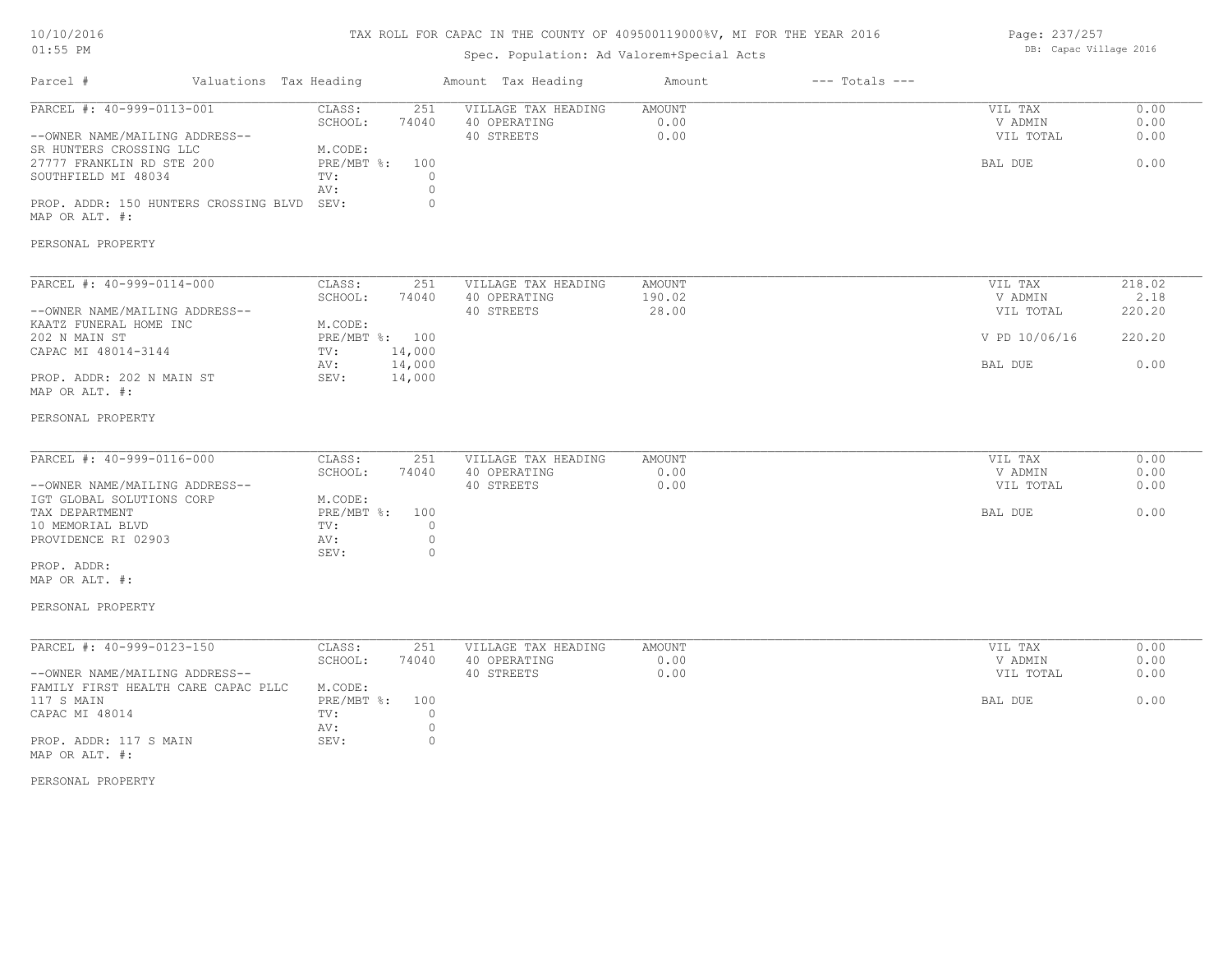# TAX ROLL FOR CAPAC IN THE COUNTY OF 409500119000%V, MI FOR THE YEAR 2016

# Spec. Population: Ad Valorem+Special Acts

Page: 237/257 DB: Capac Village 2016

| Parcel #                                                                                                                                                                                                   | Valuations Tax Heading |                                                                        |                                                      | Amount Tax Heading                                | Amount                           | $---$ Totals $---$ |                                                  |                                    |
|------------------------------------------------------------------------------------------------------------------------------------------------------------------------------------------------------------|------------------------|------------------------------------------------------------------------|------------------------------------------------------|---------------------------------------------------|----------------------------------|--------------------|--------------------------------------------------|------------------------------------|
| PARCEL #: 40-999-0113-001<br>--OWNER NAME/MAILING ADDRESS--<br>SR HUNTERS CROSSING LLC<br>27777 FRANKLIN RD STE 200<br>SOUTHFIELD MI 48034<br>PROP. ADDR: 150 HUNTERS CROSSING BLVD SEV:<br>MAP OR ALT. #: |                        | CLASS:<br>SCHOOL:<br>M.CODE:<br>$PRE/MBT$ %:<br>TV:<br>AV:             | 251<br>74040<br>100<br>$\circ$<br>$\circ$<br>$\circ$ | VILLAGE TAX HEADING<br>40 OPERATING<br>40 STREETS | AMOUNT<br>0.00<br>0.00           |                    | VIL TAX<br>V ADMIN<br>VIL TOTAL<br>BAL DUE       | 0.00<br>0.00<br>0.00<br>0.00       |
| PERSONAL PROPERTY                                                                                                                                                                                          |                        |                                                                        |                                                      |                                                   |                                  |                    |                                                  |                                    |
| PARCEL #: 40-999-0114-000<br>--OWNER NAME/MAILING ADDRESS--<br>KAATZ FUNERAL HOME INC<br>202 N MAIN ST<br>CAPAC MI 48014-3144                                                                              |                        | CLASS:<br>SCHOOL:<br>M.CODE:<br>PRE/MBT %: 100<br>TV:                  | 251<br>74040<br>14,000                               | VILLAGE TAX HEADING<br>40 OPERATING<br>40 STREETS | <b>AMOUNT</b><br>190.02<br>28.00 |                    | VIL TAX<br>V ADMIN<br>VIL TOTAL<br>V PD 10/06/16 | 218.02<br>2.18<br>220.20<br>220.20 |
| PROP. ADDR: 202 N MAIN ST<br>MAP OR ALT. #:                                                                                                                                                                |                        | AV:<br>SEV:                                                            | 14,000<br>14,000                                     |                                                   |                                  |                    | BAL DUE                                          | 0.00                               |
| PERSONAL PROPERTY                                                                                                                                                                                          |                        |                                                                        |                                                      |                                                   |                                  |                    |                                                  |                                    |
| PARCEL #: 40-999-0116-000<br>--OWNER NAME/MAILING ADDRESS--<br>IGT GLOBAL SOLUTIONS CORP<br>TAX DEPARTMENT<br>10 MEMORIAL BLVD<br>PROVIDENCE RI 02903<br>PROP. ADDR:                                       |                        | CLASS:<br>SCHOOL:<br>M.CODE:<br>$PRE/MBT$ $\div$<br>TV:<br>AV:<br>SEV: | 251<br>74040<br>100<br>$\circ$<br>$\circ$<br>$\circ$ | VILLAGE TAX HEADING<br>40 OPERATING<br>40 STREETS | AMOUNT<br>0.00<br>0.00           |                    | VIL TAX<br>V ADMIN<br>VIL TOTAL<br>BAL DUE       | 0.00<br>0.00<br>0.00<br>0.00       |
| MAP OR ALT. #:<br>PERSONAL PROPERTY                                                                                                                                                                        |                        |                                                                        |                                                      |                                                   |                                  |                    |                                                  |                                    |
| PARCEL #: 40-999-0123-150<br>--OWNER NAME/MAILING ADDRESS--<br>FAMILY FIRST HEALTH CARE CAPAC PLLC<br>117 S MAIN<br>CAPAC MI 48014                                                                         |                        | CLASS:<br>SCHOOL:<br>M.CODE:<br>$PRE/MBT$ $\div$<br>TV:<br>AV:         | 251<br>74040<br>100<br>$\circ$<br>$\circ$            | VILLAGE TAX HEADING<br>40 OPERATING<br>40 STREETS | AMOUNT<br>0.00<br>0.00           |                    | VIL TAX<br>V ADMIN<br>VIL TOTAL<br>BAL DUE       | 0.00<br>0.00<br>0.00<br>0.00       |
| PROP. ADDR: 117 S MAIN<br>MAP OR ALT. #:<br>PERSONAL PROPERTY                                                                                                                                              |                        | SEV:                                                                   | $\circ$                                              |                                                   |                                  |                    |                                                  |                                    |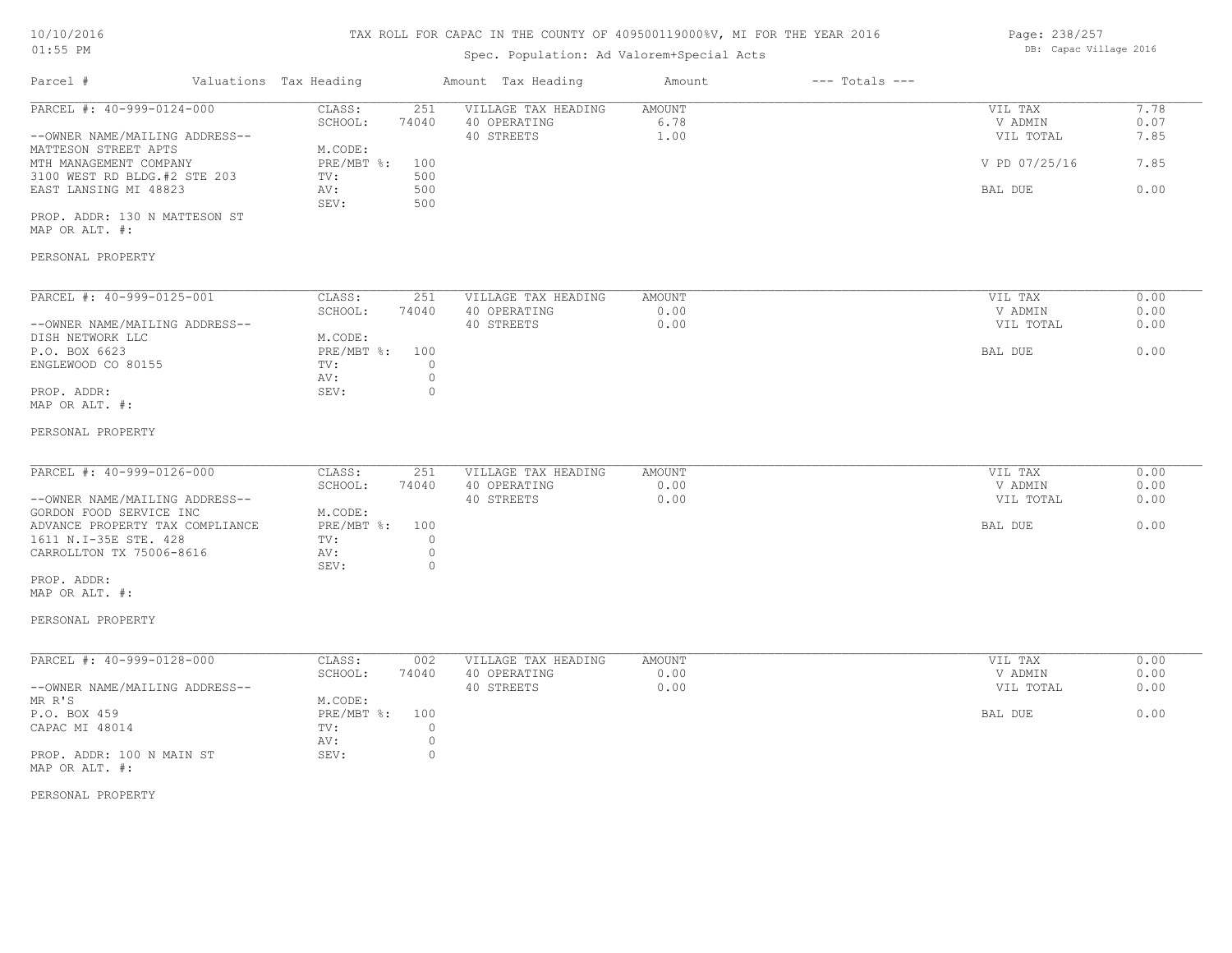# TAX ROLL FOR CAPAC IN THE COUNTY OF 409500119000%V, MI FOR THE YEAR 2016

# Spec. Population: Ad Valorem+Special Acts

Page: 238/257 DB: Capac Village 2016

| Parcel #                                                                                                                                                | Valuations Tax Heading |                                                                                         | Amount Tax Heading                                                                 | Amount                 | $---$ Totals $---$ |                                            |                              |
|---------------------------------------------------------------------------------------------------------------------------------------------------------|------------------------|-----------------------------------------------------------------------------------------|------------------------------------------------------------------------------------|------------------------|--------------------|--------------------------------------------|------------------------------|
| PARCEL #: 40-999-0124-000<br>--OWNER NAME/MAILING ADDRESS--<br>MATTESON STREET APTS                                                                     |                        | CLASS:<br>251<br>SCHOOL:<br>74040<br>M.CODE:                                            | VILLAGE TAX HEADING<br>40 OPERATING<br>40 STREETS                                  | AMOUNT<br>6.78<br>1.00 |                    | VIL TAX<br>V ADMIN<br>VIL TOTAL            | 7.78<br>0.07<br>7.85         |
| MTH MANAGEMENT COMPANY<br>3100 WEST RD BLDG.#2 STE 203<br>EAST LANSING MI 48823                                                                         |                        | PRE/MBT %:<br>100<br>500<br>TV:<br>500<br>AV:<br>SEV:<br>500                            |                                                                                    |                        |                    | V PD 07/25/16<br>BAL DUE                   | 7.85<br>0.00                 |
| PROP. ADDR: 130 N MATTESON ST<br>MAP OR ALT. #:                                                                                                         |                        |                                                                                         |                                                                                    |                        |                    |                                            |                              |
| PERSONAL PROPERTY                                                                                                                                       |                        |                                                                                         |                                                                                    |                        |                    |                                            |                              |
| PARCEL #: 40-999-0125-001<br>--OWNER NAME/MAILING ADDRESS--<br>DISH NETWORK LLC<br>P.O. BOX 6623<br>ENGLEWOOD CO 80155<br>PROP. ADDR:<br>MAP OR ALT. #: |                        | CLASS:<br>251<br>SCHOOL:<br>74040<br>M.CODE:<br>PRE/MBT %:<br>100<br>TV:<br>AV:<br>SEV: | VILLAGE TAX HEADING<br>40 OPERATING<br>40 STREETS<br>$\circ$<br>$\circ$<br>$\circ$ | AMOUNT<br>0.00<br>0.00 |                    | VIL TAX<br>V ADMIN<br>VIL TOTAL<br>BAL DUE | 0.00<br>0.00<br>0.00<br>0.00 |
| PERSONAL PROPERTY                                                                                                                                       |                        |                                                                                         |                                                                                    |                        |                    |                                            |                              |
| PARCEL #: 40-999-0126-000<br>--OWNER NAME/MAILING ADDRESS--<br>GORDON FOOD SERVICE INC                                                                  |                        | CLASS:<br>251<br>SCHOOL:<br>74040                                                       | VILLAGE TAX HEADING<br>40 OPERATING<br>40 STREETS                                  | AMOUNT<br>0.00<br>0.00 |                    | VIL TAX<br>V ADMIN<br>VIL TOTAL            | 0.00<br>0.00<br>0.00         |
| ADVANCE PROPERTY TAX COMPLIANCE<br>1611 N.I-35E STE. 428<br>CARROLLTON TX 75006-8616<br>PROP. ADDR:<br>MAP OR ALT. #:                                   |                        | M.CODE:<br>PRE/MBT %:<br>100<br>TV:<br>AV:<br>SEV:                                      | $\circ$<br>$\circ$<br>$\circ$                                                      |                        |                    | BAL DUE                                    | 0.00                         |
| PERSONAL PROPERTY                                                                                                                                       |                        |                                                                                         |                                                                                    |                        |                    |                                            |                              |
| PARCEL #: 40-999-0128-000<br>--OWNER NAME/MAILING ADDRESS--                                                                                             |                        | CLASS:<br>002<br>SCHOOL:<br>74040                                                       | VILLAGE TAX HEADING<br>40 OPERATING<br>40 STREETS                                  | AMOUNT<br>0.00<br>0.00 |                    | VIL TAX<br>V ADMIN<br>VIL TOTAL            | 0.00<br>0.00<br>0.00         |
| MR R'S<br>P.O. BOX 459<br>CAPAC MI 48014                                                                                                                |                        | M.CODE:<br>PRE/MBT %:<br>100<br>TV:<br>AV:                                              | $\circ$<br>$\circ$                                                                 |                        |                    | BAL DUE                                    | 0.00                         |
| PROP. ADDR: 100 N MAIN ST<br>MAP OR ALT. #:                                                                                                             |                        | SEV:                                                                                    | $\circ$                                                                            |                        |                    |                                            |                              |
| PERSONAL PROPERTY                                                                                                                                       |                        |                                                                                         |                                                                                    |                        |                    |                                            |                              |
|                                                                                                                                                         |                        |                                                                                         |                                                                                    |                        |                    |                                            |                              |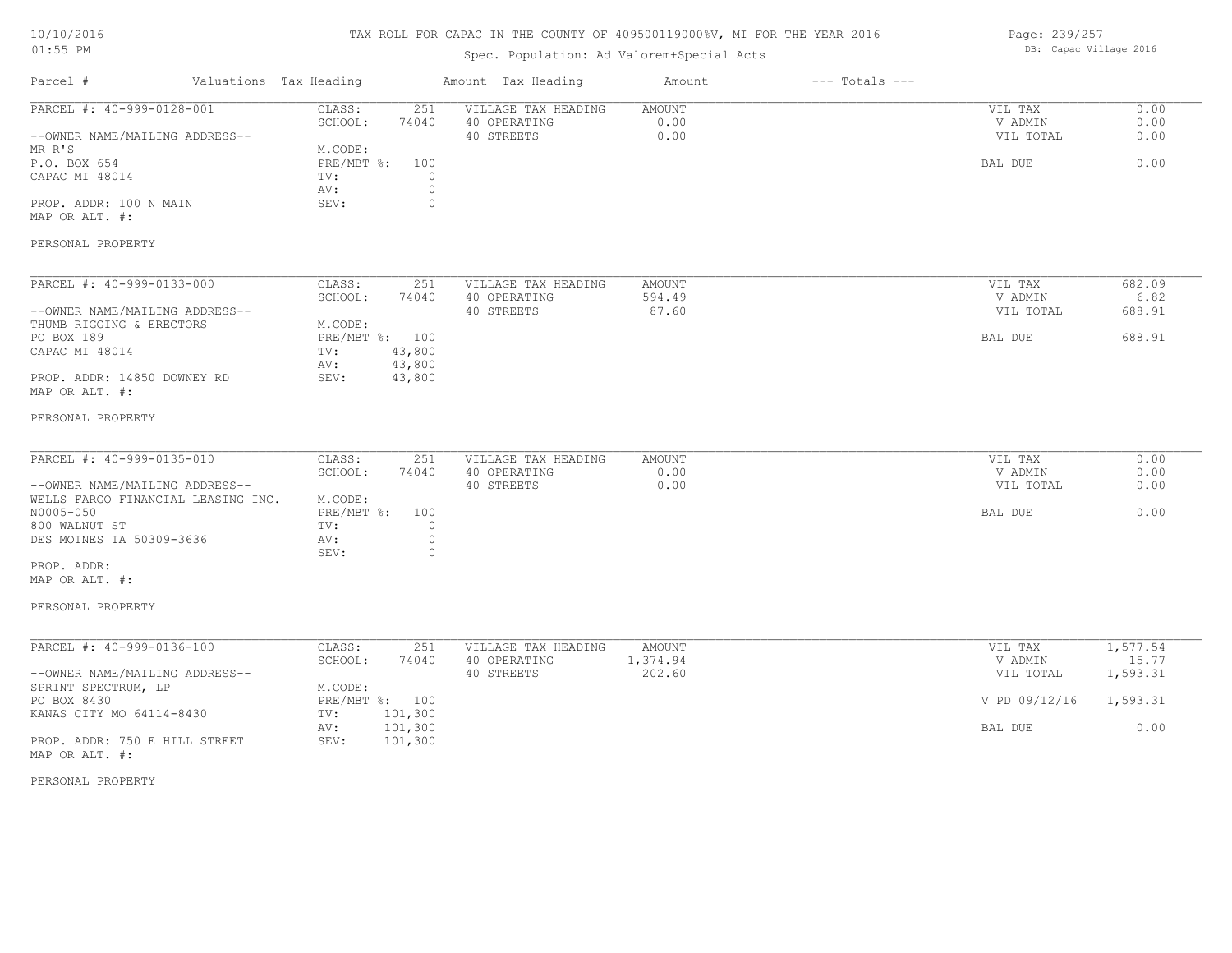# TAX ROLL FOR CAPAC IN THE COUNTY OF 409500119000%V, MI FOR THE YEAR 2016

# Spec. Population: Ad Valorem+Special Acts

Page: 239/257 DB: Capac Village 2016

| Parcel #<br>Valuations Tax Heading                    |                                      | Amount Tax Heading                  | Amount          | $---$ Totals $---$ |                      |                |
|-------------------------------------------------------|--------------------------------------|-------------------------------------|-----------------|--------------------|----------------------|----------------|
| PARCEL #: 40-999-0128-001                             | CLASS:<br>251<br>SCHOOL:<br>74040    | VILLAGE TAX HEADING<br>40 OPERATING | AMOUNT<br>0.00  |                    | VIL TAX<br>V ADMIN   | 0.00<br>0.00   |
| --OWNER NAME/MAILING ADDRESS--<br>MR R'S              | M.CODE:                              | 40 STREETS                          | 0.00            |                    | VIL TOTAL            | 0.00           |
| P.O. BOX 654                                          | PRE/MBT %:<br>100                    |                                     |                 |                    | BAL DUE              | 0.00           |
| CAPAC MI 48014                                        | TV:<br>$\circ$<br>$\circ$<br>AV:     |                                     |                 |                    |                      |                |
| PROP. ADDR: 100 N MAIN<br>MAP OR ALT. #:              | SEV:<br>$\circ$                      |                                     |                 |                    |                      |                |
| PERSONAL PROPERTY                                     |                                      |                                     |                 |                    |                      |                |
| PARCEL #: 40-999-0133-000                             | CLASS:<br>251                        | VILLAGE TAX HEADING                 | AMOUNT          |                    | VIL TAX              | 682.09         |
| --OWNER NAME/MAILING ADDRESS--                        | SCHOOL:<br>74040                     | 40 OPERATING<br>40 STREETS          | 594.49<br>87.60 |                    | V ADMIN<br>VIL TOTAL | 6.82<br>688.91 |
| THUMB RIGGING & ERECTORS<br>PO BOX 189                | M.CODE:<br>PRE/MBT %: 100            |                                     |                 |                    | BAL DUE              | 688.91         |
| CAPAC MI 48014                                        | 43,800<br>TV:<br>43,800<br>AV:       |                                     |                 |                    |                      |                |
| PROP. ADDR: 14850 DOWNEY RD<br>MAP OR ALT. #:         | 43,800<br>SEV:                       |                                     |                 |                    |                      |                |
| PERSONAL PROPERTY                                     |                                      |                                     |                 |                    |                      |                |
| PARCEL #: 40-999-0135-010                             | CLASS:<br>251                        | VILLAGE TAX HEADING                 | AMOUNT          |                    | VIL TAX              | 0.00           |
| --OWNER NAME/MAILING ADDRESS--                        | SCHOOL:<br>74040                     | 40 OPERATING<br>40 STREETS          | 0.00<br>0.00    |                    | V ADMIN<br>VIL TOTAL | 0.00<br>0.00   |
| WELLS FARGO FINANCIAL LEASING INC.<br>N0005-050       | M.CODE:<br>$PRE/MBT$ $\div$ :<br>100 |                                     |                 |                    | BAL DUE              | 0.00           |
| 800 WALNUT ST                                         | $\circ$<br>TV:                       |                                     |                 |                    |                      |                |
| DES MOINES IA 50309-3636                              | $\circ$<br>AV:<br>$\circ$<br>SEV:    |                                     |                 |                    |                      |                |
| PROP. ADDR:<br>MAP OR ALT. #:                         |                                      |                                     |                 |                    |                      |                |
| PERSONAL PROPERTY                                     |                                      |                                     |                 |                    |                      |                |
| PARCEL #: 40-999-0136-100                             | CLASS:<br>251                        | VILLAGE TAX HEADING                 | AMOUNT          |                    | VIL TAX              | 1,577.54       |
|                                                       | SCHOOL:<br>74040                     | 40 OPERATING                        | 1,374.94        |                    | V ADMIN              | 15.77          |
| --OWNER NAME/MAILING ADDRESS--<br>SPRINT SPECTRUM, LP | M.CODE:                              | 40 STREETS                          | 202.60          |                    | VIL TOTAL            | 1,593.31       |
| PO BOX 8430                                           | PRE/MBT %: 100                       |                                     |                 |                    | V PD 09/12/16        | 1,593.31       |
| KANAS CITY MO 64114-8430                              | 101,300<br>TV:<br>AV:<br>101,300     |                                     |                 |                    | BAL DUE              | 0.00           |
| PROP. ADDR: 750 E HILL STREET                         | 101,300<br>SEV:                      |                                     |                 |                    |                      |                |

PERSONAL PROPERTY

MAP OR ALT. #: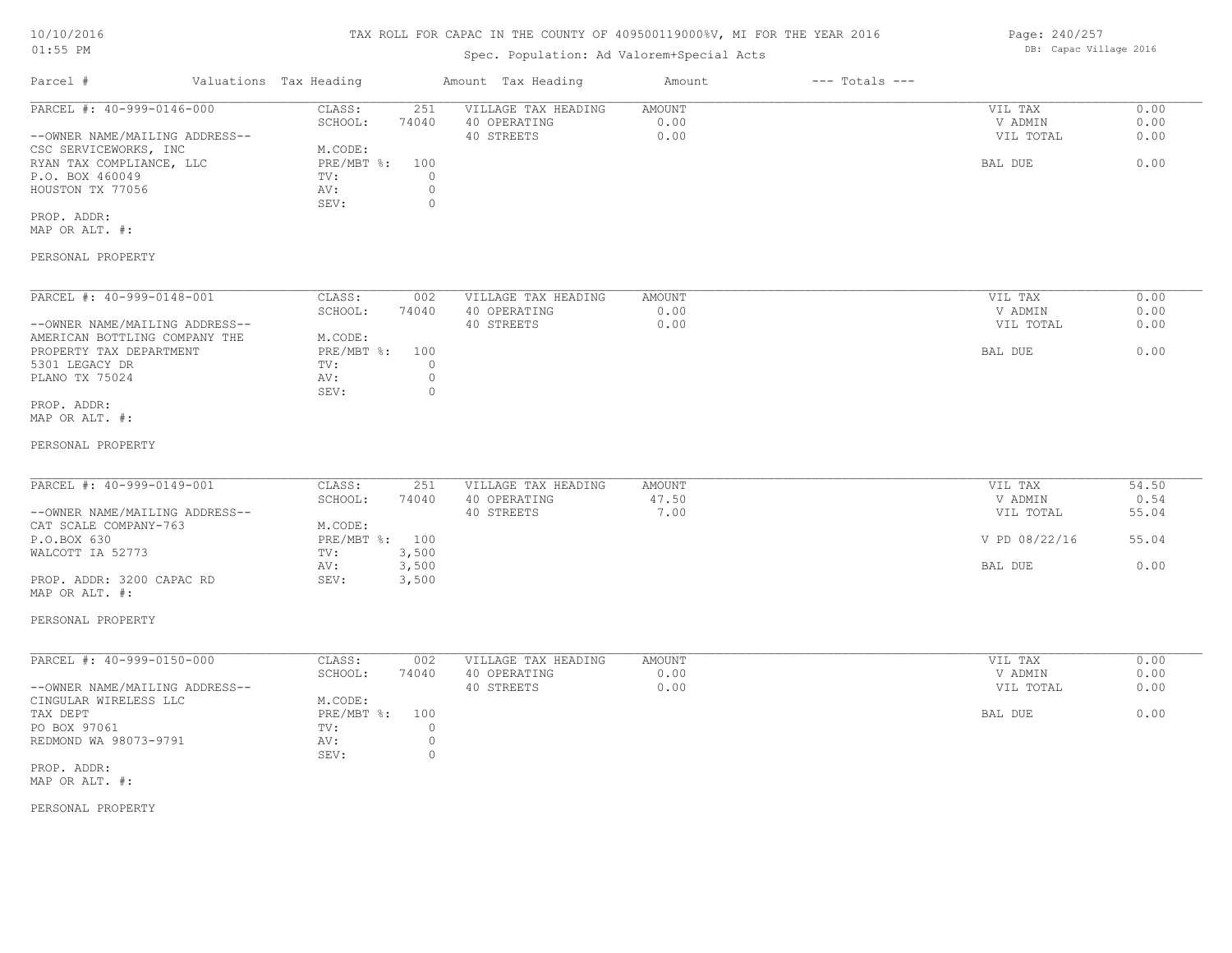# TAX ROLL FOR CAPAC IN THE COUNTY OF 409500119000%V, MI FOR THE YEAR 2016

# Spec. Population: Ad Valorem+Special Acts

| Parcel #                       | Valuations Tax Heading |       | Amount Tax Heading  | Amount | $---$ Totals $---$ |           |      |
|--------------------------------|------------------------|-------|---------------------|--------|--------------------|-----------|------|
| PARCEL #: 40-999-0146-000      | CLASS:                 | 251   | VILLAGE TAX HEADING | AMOUNT |                    | VIL TAX   | 0.00 |
|                                | SCHOOL:                | 74040 | 40 OPERATING        | 0.00   |                    | V ADMIN   | 0.00 |
| --OWNER NAME/MAILING ADDRESS-- |                        |       | 40 STREETS          | 0.00   |                    | VIL TOTAL | 0.00 |
| CSC SERVICEWORKS, INC          | M.CODE:                |       |                     |        |                    |           |      |
| RYAN TAX COMPLIANCE, LLC       | $PRE/MBT$ %:           | 100   |                     |        |                    | BAL DUE   | 0.00 |
| P.O. BOX 460049                | TV:                    |       |                     |        |                    |           |      |
| HOUSTON TX 77056               | AV:                    |       |                     |        |                    |           |      |
|                                | SEV:                   |       |                     |        |                    |           |      |
| PROP. ADDR:                    |                        |       |                     |        |                    |           |      |

MAP OR ALT. #:

#### PERSONAL PROPERTY

| PARCEL #: 40-999-0148-001      | CLASS:     | 002   | VILLAGE TAX HEADING | AMOUNT | 0.00<br>VIL TAX   |
|--------------------------------|------------|-------|---------------------|--------|-------------------|
|                                | SCHOOL:    | 74040 | 40 OPERATING        | 0.00   | 0.00<br>V ADMIN   |
| --OWNER NAME/MAILING ADDRESS-- |            |       | 40 STREETS          | 0.00   | 0.00<br>VIL TOTAL |
| AMERICAN BOTTLING COMPANY THE  | M.CODE:    |       |                     |        |                   |
| PROPERTY TAX DEPARTMENT        | PRE/MBT %: | 100   |                     |        | 0.00<br>BAL DUE   |
| 5301 LEGACY DR                 | TV:        |       |                     |        |                   |
| PLANO TX 75024                 | AV:        |       |                     |        |                   |
|                                | SEV:       |       |                     |        |                   |
| PROP. ADDR:                    |            |       |                     |        |                   |

MAP OR ALT. #:

#### PERSONAL PROPERTY

| PARCEL #: 40-999-0149-001      | CLASS:         | 251   | VILLAGE TAX HEADING | AMOUNT | VIL TAX       | 54.50 |
|--------------------------------|----------------|-------|---------------------|--------|---------------|-------|
|                                | SCHOOL:        | 74040 | 40 OPERATING        | 47.50  | V ADMIN       | 0.54  |
| --OWNER NAME/MAILING ADDRESS-- |                |       | 40 STREETS          | 7.00   | VIL TOTAL     | 55.04 |
| CAT SCALE COMPANY-763          | M.CODE:        |       |                     |        |               |       |
| P.O.BOX 630                    | PRE/MBT %: 100 |       |                     |        | V PD 08/22/16 | 55.04 |
| WALCOTT IA 52773               | TV:            | 3,500 |                     |        |               |       |
|                                | AV:            | 3,500 |                     |        | BAL DUE       | 0.00  |
| PROP. ADDR: 3200 CAPAC RD      | SEV:           | 3,500 |                     |        |               |       |

#### PERSONAL PROPERTY

MAP OR ALT. #:

| PARCEL #: 40-999-0150-000      | CLASS:     | 002   | VILLAGE TAX HEADING | AMOUNT | VIL TAX   | 0.00 |
|--------------------------------|------------|-------|---------------------|--------|-----------|------|
|                                | SCHOOL:    | 74040 | 40 OPERATING        | 0.00   | V ADMIN   | 0.00 |
| --OWNER NAME/MAILING ADDRESS-- |            |       | 40 STREETS          | 0.00   | VIL TOTAL | 0.00 |
| CINGULAR WIRELESS LLC          | M.CODE:    |       |                     |        |           |      |
| TAX DEPT                       | PRE/MBT %: | 100   |                     |        | BAL DUE   | 0.00 |
| PO BOX 97061                   | TV:        |       |                     |        |           |      |
| REDMOND WA 98073-9791          | AV:        |       |                     |        |           |      |
|                                | SEV:       |       |                     |        |           |      |
| PROP. ADDR:                    |            |       |                     |        |           |      |

MAP OR ALT. #:

PERSONAL PROPERTY

Page: 240/257 DB: Capac Village 2016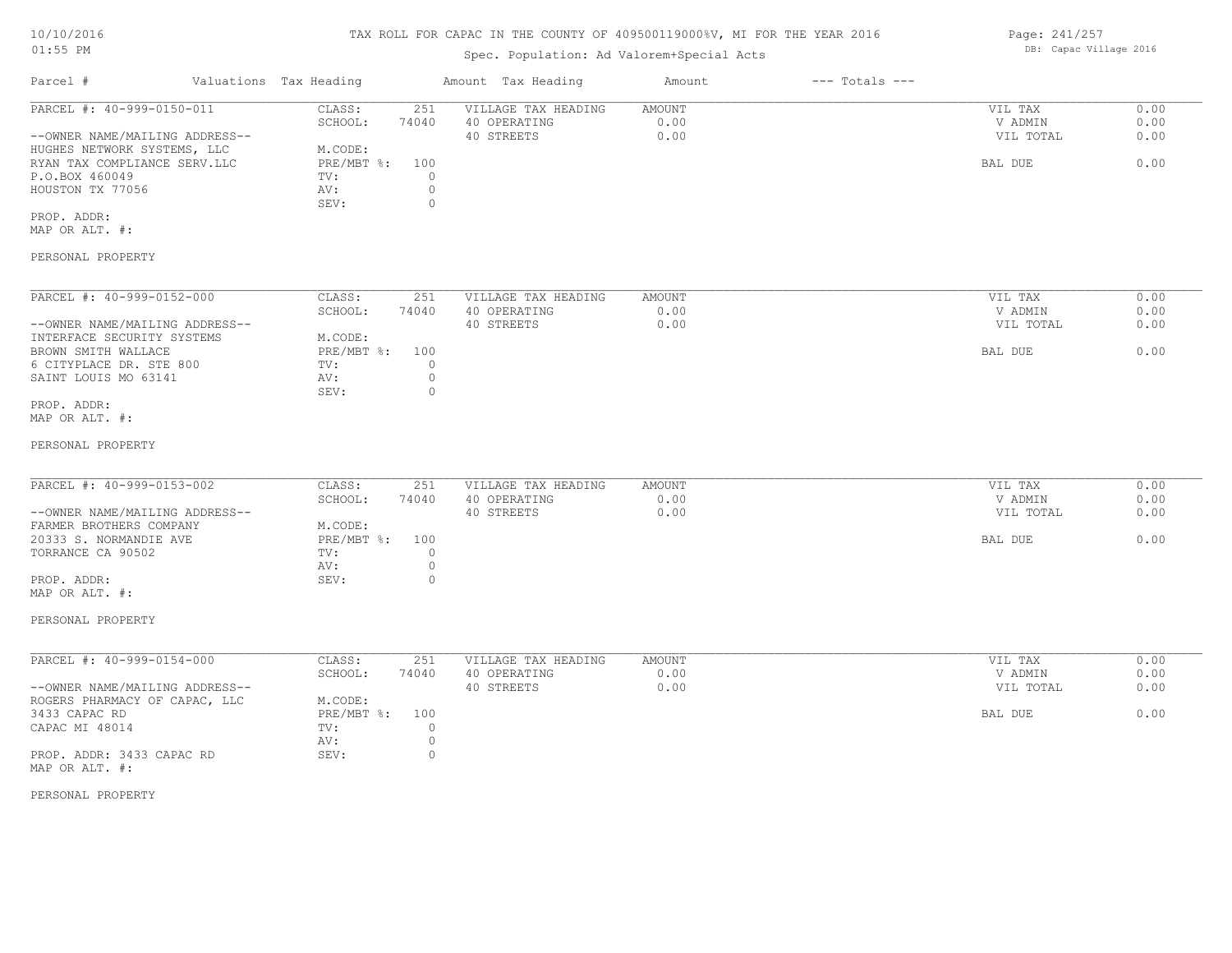# TAX ROLL FOR CAPAC IN THE COUNTY OF 409500119000%V, MI FOR THE YEAR 2016

# Spec. Population: Ad Valorem+Special Acts

| Parcel #                       | Valuations Tax Heading |       | Amount Tax Heading  | Amount | $---$ Totals $---$ |           |      |
|--------------------------------|------------------------|-------|---------------------|--------|--------------------|-----------|------|
| PARCEL #: 40-999-0150-011      | CLASS:                 | 251   | VILLAGE TAX HEADING | AMOUNT |                    | VIL TAX   | 0.00 |
|                                | SCHOOL:                | 74040 | 40 OPERATING        | 0.00   |                    | V ADMIN   | 0.00 |
| --OWNER NAME/MAILING ADDRESS-- |                        |       | 40 STREETS          | 0.00   |                    | VIL TOTAL | 0.00 |
| HUGHES NETWORK SYSTEMS, LLC    | M.CODE:                |       |                     |        |                    |           |      |
| RYAN TAX COMPLIANCE SERV.LLC   | $PRE/MBT$ %:           | 100   |                     |        |                    | BAL DUE   | 0.00 |
| P.O.BOX 460049                 | TV:                    |       |                     |        |                    |           |      |
| HOUSTON TX 77056               | AV:                    |       |                     |        |                    |           |      |
|                                | SEV:                   |       |                     |        |                    |           |      |
| PROP. ADDR:                    |                        |       |                     |        |                    |           |      |

MAP OR ALT. #:

#### PERSONAL PROPERTY

| PARCEL #: 40-999-0152-000      | CLASS:     | 251   | VILLAGE TAX HEADING | AMOUNT | 0.00<br>VIL TAX   |
|--------------------------------|------------|-------|---------------------|--------|-------------------|
|                                | SCHOOL:    | 74040 | 40 OPERATING        | 0.00   | 0.00<br>V ADMIN   |
| --OWNER NAME/MAILING ADDRESS-- |            |       | 40 STREETS          | 0.00   | 0.00<br>VIL TOTAL |
| INTERFACE SECURITY SYSTEMS     | M.CODE:    |       |                     |        |                   |
| BROWN SMITH WALLACE            | PRE/MBT %: | 100   |                     |        | 0.00<br>BAL DUE   |
| 6 CITYPLACE DR. STE 800        | TV:        |       |                     |        |                   |
| SAINT LOUIS MO 63141           | AV:        |       |                     |        |                   |
|                                | SEV:       |       |                     |        |                   |
| PROP. ADDR:                    |            |       |                     |        |                   |

#### MAP OR ALT. #:

#### PERSONAL PROPERTY

| PARCEL #: 40-999-0153-002      | CLASS:       | 251   | VILLAGE TAX HEADING | AMOUNT | VIL TAX   | 0.00 |
|--------------------------------|--------------|-------|---------------------|--------|-----------|------|
|                                |              |       |                     |        |           |      |
|                                | SCHOOL:      | 74040 | 40 OPERATING        | 0.00   | V ADMIN   | 0.00 |
| --OWNER NAME/MAILING ADDRESS-- |              |       | 40 STREETS          | 0.00   | VIL TOTAL | 0.00 |
| FARMER BROTHERS COMPANY        | M.CODE:      |       |                     |        |           |      |
| 20333 S. NORMANDIE AVE         | $PRE/MBT$ %: | 100   |                     |        | BAL DUE   | 0.00 |
| TORRANCE CA 90502              | TV:          |       |                     |        |           |      |
|                                | AV:          |       |                     |        |           |      |
| PROP. ADDR:                    | SEV:         |       |                     |        |           |      |

#### PERSONAL PROPERTY

MAP OR ALT. #:

| PARCEL #: 40-999-0154-000      | CLASS:     | 251   | VILLAGE TAX HEADING | AMOUNT | VIL TAX   | 0.00 |
|--------------------------------|------------|-------|---------------------|--------|-----------|------|
|                                | SCHOOL:    | 74040 | 40 OPERATING        | 0.00   | V ADMIN   | 0.00 |
| --OWNER NAME/MAILING ADDRESS-- |            |       | 40 STREETS          | 0.00   | VIL TOTAL | 0.00 |
| ROGERS PHARMACY OF CAPAC, LLC  | M.CODE:    |       |                     |        |           |      |
| 3433 CAPAC RD                  | PRE/MBT %: | 100   |                     |        | BAL DUE   | 0.00 |
| CAPAC MI 48014                 | TV:        |       |                     |        |           |      |
|                                | AV:        |       |                     |        |           |      |
| PROP. ADDR: 3433 CAPAC RD      | SEV:       |       |                     |        |           |      |
| MAP OR ALT. #:                 |            |       |                     |        |           |      |

PERSONAL PROPERTY

Page: 241/257 DB: Capac Village 2016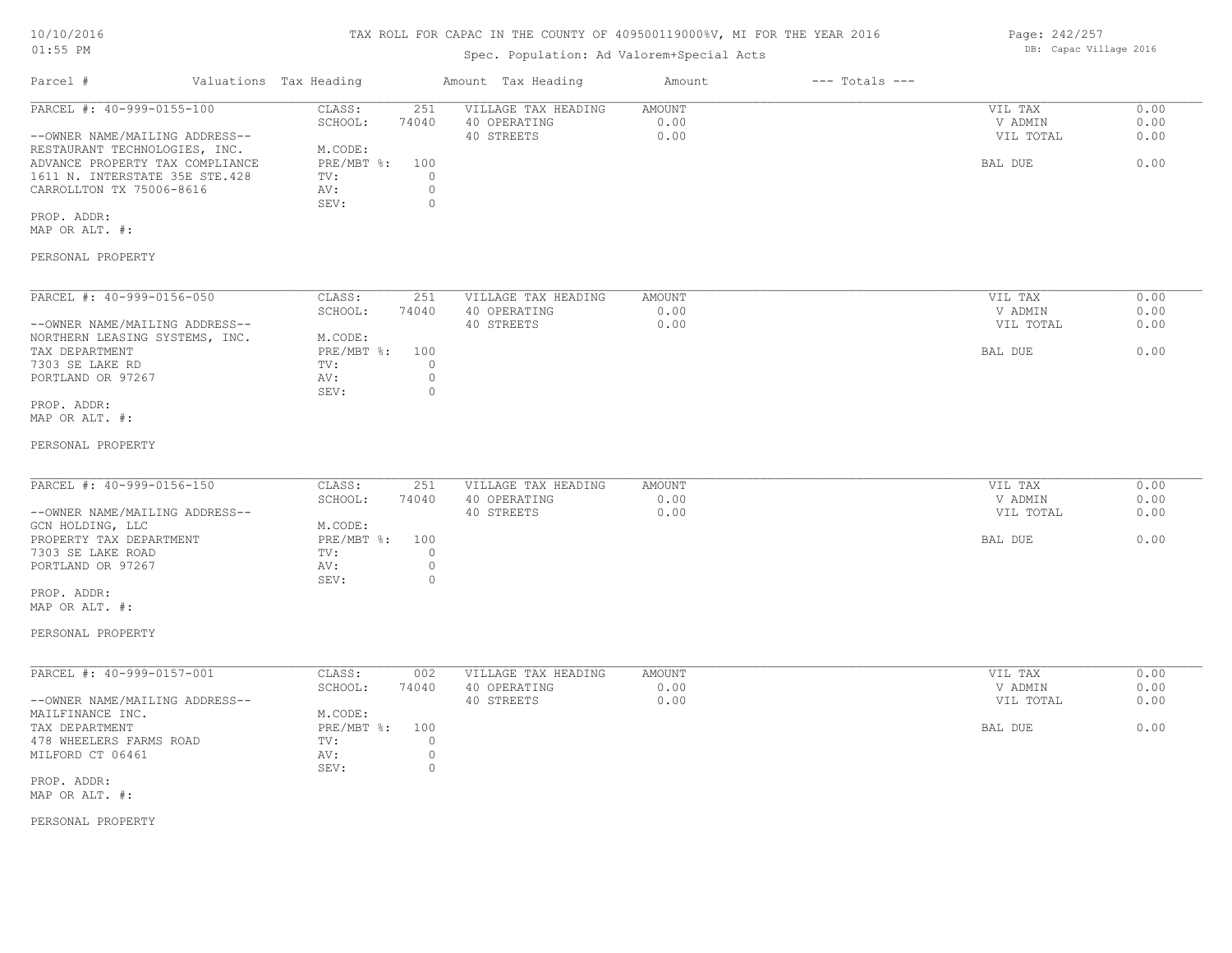### TAX ROLL FOR CAPAC IN THE COUNTY OF 409500119000%V, MI FOR THE YEAR 2016

# Spec. Population: Ad Valorem+Special Acts

| Parcel #                        | Valuations Tax Heading |       | Amount Tax Heading  | Amount | $---$ Totals $---$ |           |      |
|---------------------------------|------------------------|-------|---------------------|--------|--------------------|-----------|------|
| PARCEL #: 40-999-0155-100       | CLASS:                 | 251   | VILLAGE TAX HEADING | AMOUNT |                    | VIL TAX   | 0.00 |
|                                 | SCHOOL:                | 74040 | 40 OPERATING        | 0.00   |                    | V ADMIN   | 0.00 |
| --OWNER NAME/MAILING ADDRESS--  |                        |       | 40 STREETS          | 0.00   |                    | VIL TOTAL | 0.00 |
| RESTAURANT TECHNOLOGIES, INC.   | M.CODE:                |       |                     |        |                    |           |      |
| ADVANCE PROPERTY TAX COMPLIANCE | $PRE/MBT$ %:           | 100   |                     |        |                    | BAL DUE   | 0.00 |
| 1611 N. INTERSTATE 35E STE.428  | TV:                    |       |                     |        |                    |           |      |
| CARROLLTON TX 75006-8616        | AV:                    |       |                     |        |                    |           |      |
|                                 | SEV:                   |       |                     |        |                    |           |      |
|                                 |                        |       |                     |        |                    |           |      |

PROP. ADDR:

MAP OR ALT. #:

## PERSONAL PROPERTY

| PARCEL #: 40-999-0156-050      | CLASS:       | 251   | VILLAGE TAX HEADING | AMOUNT | 0.00<br>VIL TAX   |
|--------------------------------|--------------|-------|---------------------|--------|-------------------|
|                                | SCHOOL:      | 74040 | 40 OPERATING        | 0.00   | 0.00<br>V ADMIN   |
| --OWNER NAME/MAILING ADDRESS-- |              |       | 40 STREETS          | 0.00   | 0.00<br>VIL TOTAL |
| NORTHERN LEASING SYSTEMS, INC. | M.CODE:      |       |                     |        |                   |
| TAX DEPARTMENT                 | $PRE/MBT$ %: | 100   |                     |        | 0.00<br>BAL DUE   |
| 7303 SE LAKE RD                | TV:          |       |                     |        |                   |
| PORTLAND OR 97267              | AV:          |       |                     |        |                   |
|                                | SEV:         |       |                     |        |                   |
| PROP. ADDR:                    |              |       |                     |        |                   |

MAP OR ALT. #:

#### PERSONAL PROPERTY

| PARCEL #: 40-999-0156-150      | CLASS:       | 251   | VILLAGE TAX HEADING | AMOUNT | VIL TAX   | 0.00 |
|--------------------------------|--------------|-------|---------------------|--------|-----------|------|
|                                | SCHOOL:      | 74040 | 40 OPERATING        | 0.00   | V ADMIN   | 0.00 |
| --OWNER NAME/MAILING ADDRESS-- |              |       | 40 STREETS          | 0.00   | VIL TOTAL | 0.00 |
| GCN HOLDING, LLC               | M.CODE:      |       |                     |        |           |      |
| PROPERTY TAX DEPARTMENT        | $PRE/MBT$ %: | 100   |                     |        | BAL DUE   | 0.00 |
| 7303 SE LAKE ROAD              | TV:          |       |                     |        |           |      |
| PORTLAND OR 97267              | AV:          |       |                     |        |           |      |
|                                | SEV:         |       |                     |        |           |      |

MAP OR ALT. #: PROP. ADDR:

#### PERSONAL PROPERTY

| PARCEL #: 40-999-0157-001      | CLASS:     | 002   | VILLAGE TAX HEADING | AMOUNT | VIL TAX   | 0.00 |
|--------------------------------|------------|-------|---------------------|--------|-----------|------|
|                                | SCHOOL:    | 74040 | 40 OPERATING        | 0.00   | V ADMIN   | 0.00 |
| --OWNER NAME/MAILING ADDRESS-- |            |       | 40 STREETS          | 0.00   | VIL TOTAL | 0.00 |
| MAILFINANCE INC.               | M.CODE:    |       |                     |        |           |      |
| TAX DEPARTMENT                 | PRE/MBT %: | 100   |                     |        | BAL DUE   | 0.00 |
| 478 WHEELERS FARMS ROAD        | TV:        |       |                     |        |           |      |
| MILFORD CT 06461               | AV:        |       |                     |        |           |      |
|                                | SEV:       |       |                     |        |           |      |
| PROP, ADDR:                    |            |       |                     |        |           |      |

MAP OR ALT. #:

PERSONAL PROPERTY

Page: 242/257 DB: Capac Village 2016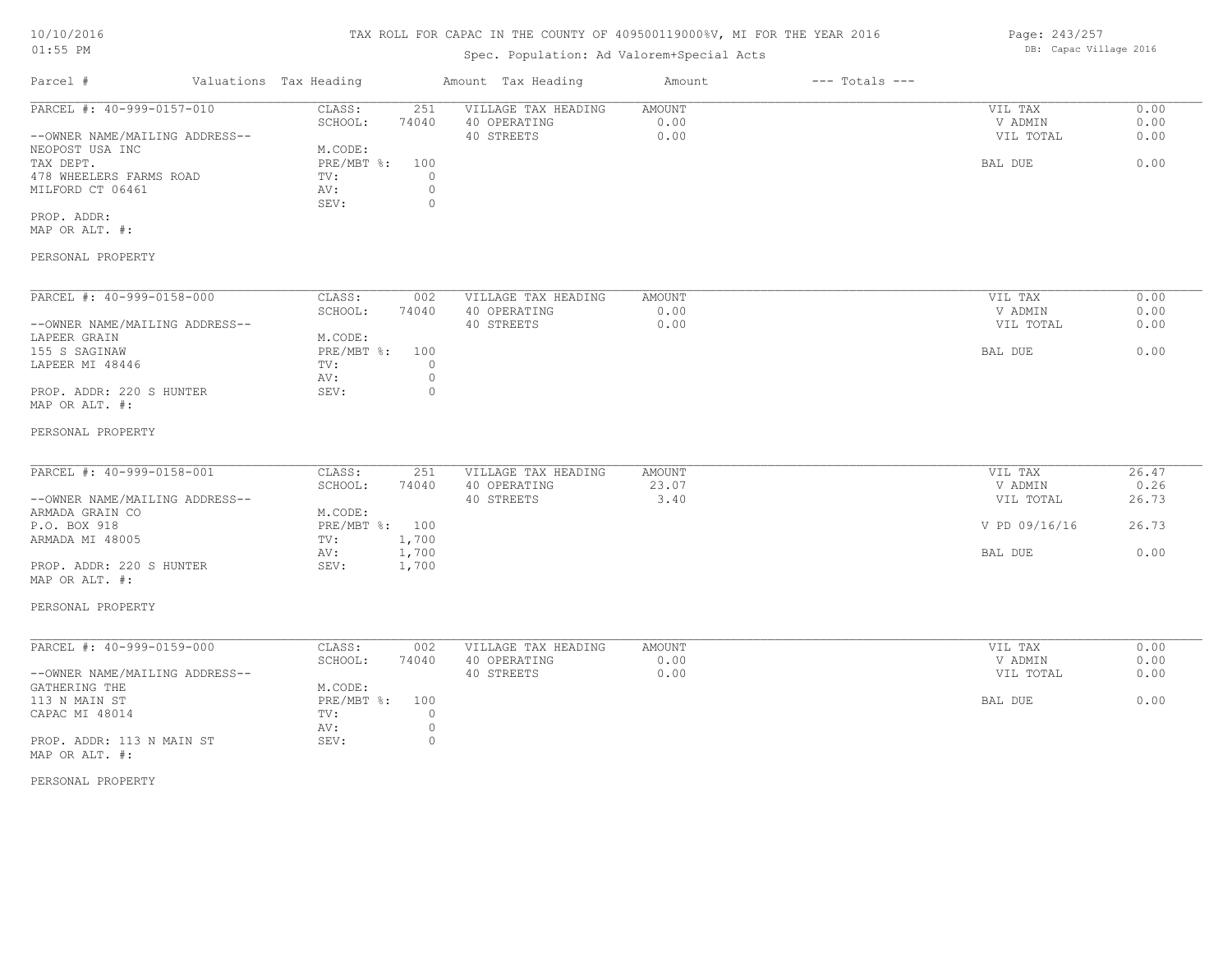# TAX ROLL FOR CAPAC IN THE COUNTY OF 409500119000%V, MI FOR THE YEAR 2016

# Spec. Population: Ad Valorem+Special Acts

| Parcel #                       | Valuations Tax Heading |       | Amount Tax Heading  | Amount | $---$ Totals $---$ |           |      |
|--------------------------------|------------------------|-------|---------------------|--------|--------------------|-----------|------|
| PARCEL #: 40-999-0157-010      | CLASS:                 | 251   | VILLAGE TAX HEADING | AMOUNT |                    | VIL TAX   | 0.00 |
|                                | SCHOOL:                | 74040 | 40 OPERATING        | 0.00   |                    | V ADMIN   | 0.00 |
| --OWNER NAME/MAILING ADDRESS-- |                        |       | 40 STREETS          | 0.00   |                    | VIL TOTAL | 0.00 |
| NEOPOST USA INC                | M.CODE:                |       |                     |        |                    |           |      |
| TAX DEPT.                      | PRE/MBT %: 100         |       |                     |        |                    | BAL DUE   | 0.00 |
| 478 WHEELERS FARMS ROAD        | TV:                    |       |                     |        |                    |           |      |
| MILFORD CT 06461               | AV:                    |       |                     |        |                    |           |      |
|                                | SEV:                   |       |                     |        |                    |           |      |
| PROP. ADDR:                    |                        |       |                     |        |                    |           |      |

MAP OR ALT. #:

#### PERSONAL PROPERTY

| PARCEL #: 40-999-0158-000      | CLASS:       | 002   | VILLAGE TAX HEADING | AMOUNT | 0.00<br>VIL TAX   |
|--------------------------------|--------------|-------|---------------------|--------|-------------------|
|                                | SCHOOL:      | 74040 | 40 OPERATING        | 0.00   | 0.00<br>V ADMIN   |
| --OWNER NAME/MAILING ADDRESS-- |              |       | 40 STREETS          | 0.00   | 0.00<br>VIL TOTAL |
| LAPEER GRAIN                   | M.CODE:      |       |                     |        |                   |
| 155 S SAGINAW                  | $PRE/MBT$ %: | 100   |                     |        | 0.00<br>BAL DUE   |
| LAPEER MI 48446                | TV:          |       |                     |        |                   |
|                                | AV:          |       |                     |        |                   |
| PROP. ADDR: 220 S HUNTER       | SEV:         |       |                     |        |                   |
| MAP OR ALT. #:                 |              |       |                     |        |                   |

#### PERSONAL PROPERTY

| PARCEL #: 40-999-0158-001      | CLASS:         | 251   | VILLAGE TAX HEADING | AMOUNT | VIL TAX       | 26.47 |
|--------------------------------|----------------|-------|---------------------|--------|---------------|-------|
|                                | SCHOOL:        | 74040 | 40 OPERATING        | 23.07  | V ADMIN       | 0.26  |
| --OWNER NAME/MAILING ADDRESS-- |                |       | 40 STREETS          | 3.40   | VIL TOTAL     | 26.73 |
| ARMADA GRAIN CO                | M.CODE:        |       |                     |        |               |       |
| P.O. BOX 918                   | PRE/MBT %: 100 |       |                     |        | V PD 09/16/16 | 26.73 |
| ARMADA MI 48005                | TV:            | 1,700 |                     |        |               |       |
|                                | AV:            | 1,700 |                     |        | BAL DUE       | 0.00  |
| PROP. ADDR: 220 S HUNTER       | SEV:           | 1,700 |                     |        |               |       |
| MAP OR ALT. #:                 |                |       |                     |        |               |       |

#### PERSONAL PROPERTY

| PARCEL #: 40-999-0159-000      | CLASS:         | 002   | VILLAGE TAX HEADING | AMOUNT | VIL TAX   | 0.00 |
|--------------------------------|----------------|-------|---------------------|--------|-----------|------|
|                                | SCHOOL:        | 74040 | 40 OPERATING        | 0.00   | V ADMIN   | 0.00 |
| --OWNER NAME/MAILING ADDRESS-- |                |       | 40 STREETS          | 0.00   | VIL TOTAL | 0.00 |
| GATHERING THE                  | M.CODE:        |       |                     |        |           |      |
| 113 N MAIN ST                  | PRE/MBT %: 100 |       |                     |        | BAL DUE   | 0.00 |
| CAPAC MI 48014                 | TV:            |       |                     |        |           |      |
|                                | AV:            |       |                     |        |           |      |
| PROP. ADDR: 113 N MAIN ST      | SEV:           |       |                     |        |           |      |
| MAP OR ALT. #:                 |                |       |                     |        |           |      |

#### PERSONAL PROPERTY

Page: 243/257 DB: Capac Village 2016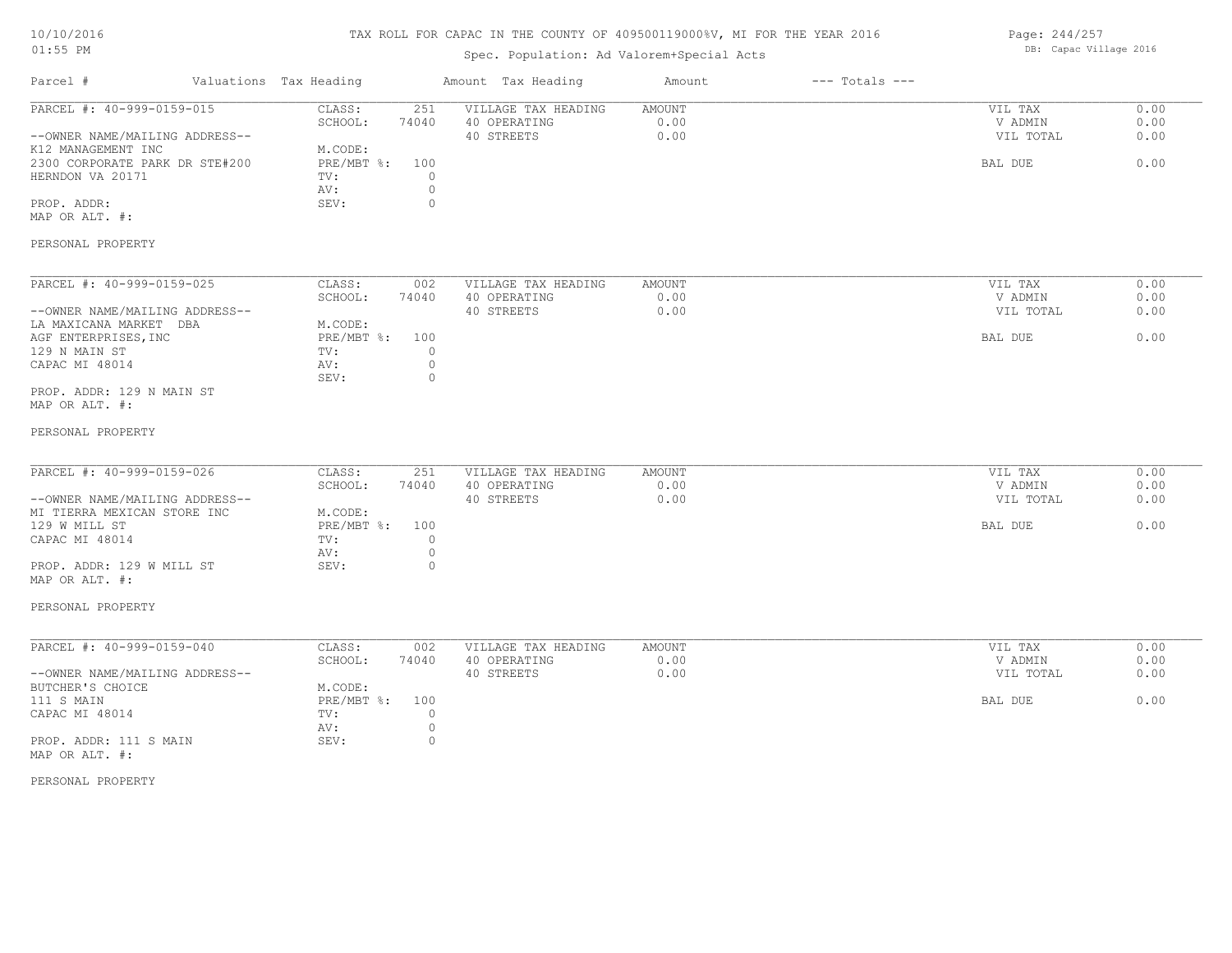# TAX ROLL FOR CAPAC IN THE COUNTY OF 409500119000%V, MI FOR THE YEAR 2016

# Spec. Population: Ad Valorem+Special Acts

| Page: 244/257 |                        |  |
|---------------|------------------------|--|
|               | DB: Capac Village 2016 |  |

| Parcel #                                                                 | Valuations Tax Heading                     | Amount Tax Heading                                | Amount                 | $---$ Totals $---$ |                                 |                      |
|--------------------------------------------------------------------------|--------------------------------------------|---------------------------------------------------|------------------------|--------------------|---------------------------------|----------------------|
| PARCEL #: 40-999-0159-015<br>--OWNER NAME/MAILING ADDRESS--              | CLASS:<br>251<br>SCHOOL:<br>74040          | VILLAGE TAX HEADING<br>40 OPERATING<br>40 STREETS | AMOUNT<br>0.00<br>0.00 |                    | VIL TAX<br>V ADMIN<br>VIL TOTAL | 0.00<br>0.00<br>0.00 |
| K12 MANAGEMENT INC<br>2300 CORPORATE PARK DR STE#200<br>HERNDON VA 20171 | M.CODE:<br>PRE/MBT %:<br>100<br>TV:<br>AV: | $\circ$<br>$\circledcirc$                         |                        |                    | BAL DUE                         | 0.00                 |
| PROP. ADDR:<br>MAP OR ALT. #:                                            | SEV:                                       | $\circ$                                           |                        |                    |                                 |                      |
| PERSONAL PROPERTY                                                        |                                            |                                                   |                        |                    |                                 |                      |
| PARCEL #: 40-999-0159-025                                                | CLASS:<br>002<br>SCHOOL:<br>74040          | VILLAGE TAX HEADING<br>40 OPERATING               | AMOUNT<br>0.00         |                    | VIL TAX<br>V ADMIN              | 0.00<br>0.00         |
| --OWNER NAME/MAILING ADDRESS--<br>LA MAXICANA MARKET DBA                 | M.CODE:                                    | 40 STREETS                                        | 0.00                   |                    | VIL TOTAL                       | 0.00                 |
| AGF ENTERPRISES, INC<br>129 N MAIN ST<br>CAPAC MI 48014                  | $PRE/MBT$ $\div$<br>100<br>TV:<br>AV:      | $\circ$<br>$\circ$                                |                        |                    | BAL DUE                         | 0.00                 |
| PROP. ADDR: 129 N MAIN ST<br>MAP OR ALT. #:                              | SEV:                                       | $\circ$                                           |                        |                    |                                 |                      |
| PERSONAL PROPERTY                                                        |                                            |                                                   |                        |                    |                                 |                      |
| PARCEL #: 40-999-0159-026                                                | CLASS:<br>251                              | VILLAGE TAX HEADING                               | AMOUNT                 |                    | VIL TAX                         | 0.00                 |
|                                                                          | SCHOOL:<br>74040                           | 40 OPERATING                                      | 0.00                   |                    | V ADMIN                         | 0.00                 |
| --OWNER NAME/MAILING ADDRESS--<br>MI TIERRA MEXICAN STORE INC            | M.CODE:                                    | 40 STREETS                                        | 0.00                   |                    | VIL TOTAL                       | 0.00                 |
| 129 W MILL ST<br>CAPAC MI 48014                                          | PRE/MBT %:<br>100<br>TV:                   | $\circ$                                           |                        |                    | BAL DUE                         | 0.00                 |
|                                                                          | AV:                                        | $\circ$                                           |                        |                    |                                 |                      |
| PROP. ADDR: 129 W MILL ST<br>MAP OR ALT. #:                              | SEV:                                       | $\circ$                                           |                        |                    |                                 |                      |
| PERSONAL PROPERTY                                                        |                                            |                                                   |                        |                    |                                 |                      |
| PARCEL #: 40-999-0159-040                                                | CLASS:<br>002<br>SCHOOL:<br>74040          | VILLAGE TAX HEADING<br>40 OPERATING               | AMOUNT<br>0.00         |                    | VIL TAX<br>V ADMIN              | 0.00<br>0.00         |
| --OWNER NAME/MAILING ADDRESS--<br>BUTCHER'S CHOICE                       | M.CODE:                                    | 40 STREETS                                        | 0.00                   |                    | VIL TOTAL                       | 0.00                 |
| 111 S MAIN<br>CAPAC MI 48014                                             | PRE/MBT %:<br>100<br>TV:<br>AV:            | $\circ$<br>$\circ$                                |                        |                    | BAL DUE                         | 0.00                 |
| PROP. ADDR: 111 S MAIN<br>MAP OR ALT. #:                                 | SEV:                                       | $\circ$                                           |                        |                    |                                 |                      |
| PERSONAL PROPERTY                                                        |                                            |                                                   |                        |                    |                                 |                      |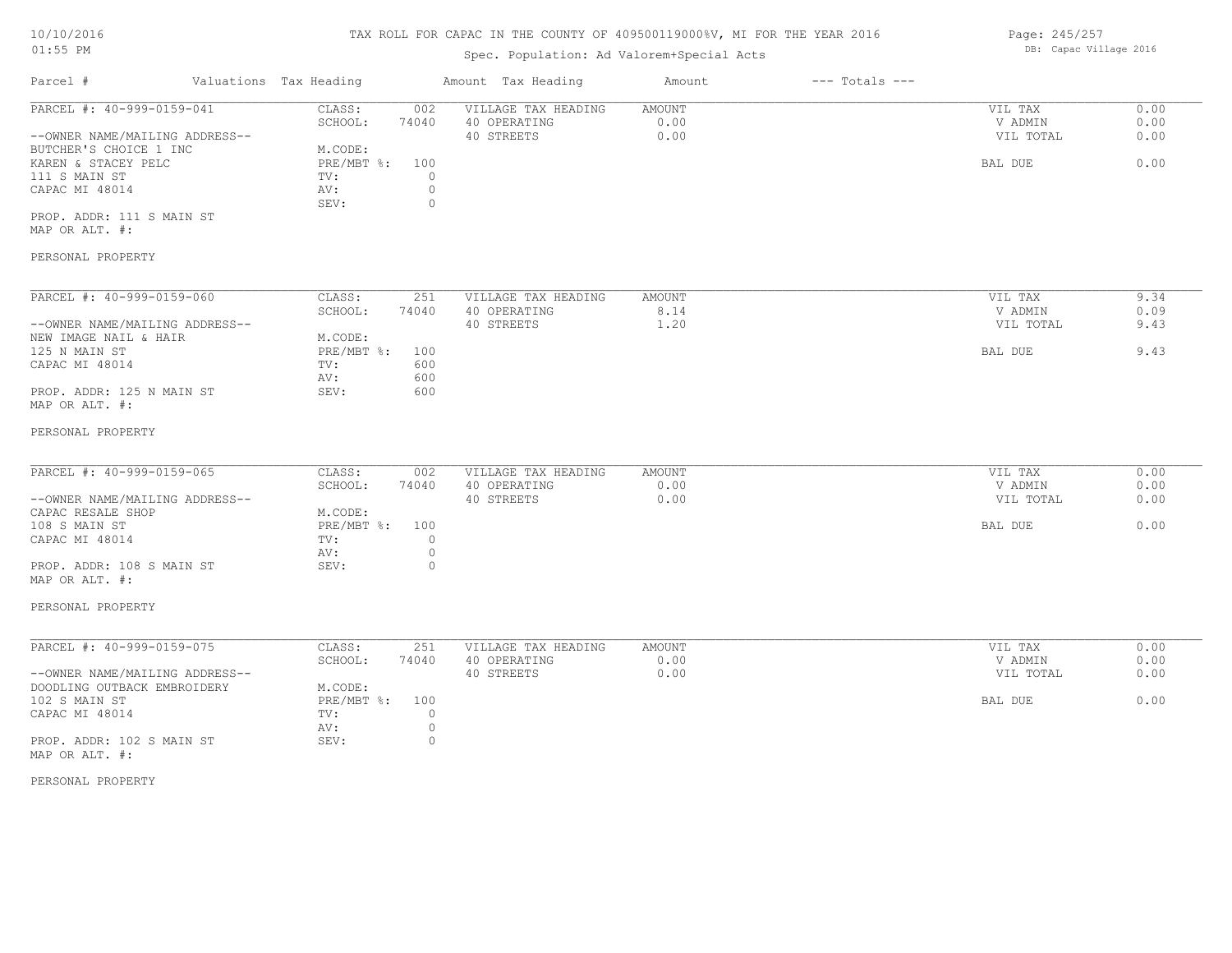### TAX ROLL FOR CAPAC IN THE COUNTY OF 409500119000%V, MI FOR THE YEAR 2016

# Spec. Population: Ad Valorem+Special Acts

| Parcel #                       | Valuations Tax Heading |       | Amount Tax Heading  | Amount | $---$ Totals $---$ |           |      |
|--------------------------------|------------------------|-------|---------------------|--------|--------------------|-----------|------|
| PARCEL #: 40-999-0159-041      | CLASS:                 | 002   | VILLAGE TAX HEADING | AMOUNT |                    | VIL TAX   | 0.00 |
|                                | SCHOOL:                | 74040 | 40 OPERATING        | 0.00   |                    | V ADMIN   | 0.00 |
| --OWNER NAME/MAILING ADDRESS-- |                        |       | 40 STREETS          | 0.00   |                    | VIL TOTAL | 0.00 |
| BUTCHER'S CHOICE 1 INC         | M.CODE:                |       |                     |        |                    |           |      |
| KAREN & STACEY PELC            | $PRE/MBT$ %:           | 100   |                     |        |                    | BAL DUE   | 0.00 |
| 111 S MAIN ST                  | TV:                    |       |                     |        |                    |           |      |
| CAPAC MI 48014                 | AV:                    |       |                     |        |                    |           |      |
|                                | SEV:                   |       |                     |        |                    |           |      |
| PROP. ADDR: 111 S MAIN ST      |                        |       |                     |        |                    |           |      |

MAP OR ALT. #:

## PERSONAL PROPERTY

| PARCEL #: 40-999-0159-060      | CLASS:     | 251   | VILLAGE TAX HEADING | AMOUNT | VIL TAX   | 9.34 |
|--------------------------------|------------|-------|---------------------|--------|-----------|------|
|                                | SCHOOL:    | 74040 | 40 OPERATING        | 8.14   | V ADMIN   | 0.09 |
| --OWNER NAME/MAILING ADDRESS-- |            |       | 40 STREETS          | 1.20   | VIL TOTAL | 9.43 |
| NEW IMAGE NAIL & HAIR          | M.CODE:    |       |                     |        |           |      |
| 125 N MAIN ST                  | PRE/MBT %: | 100   |                     |        | BAL DUE   | 9.43 |
| CAPAC MI 48014                 | TV:        | 600   |                     |        |           |      |
|                                | AV:        | 600   |                     |        |           |      |
| PROP. ADDR: 125 N MAIN ST      | SEV:       | 600   |                     |        |           |      |
| MAP OR ALT. #:                 |            |       |                     |        |           |      |

#### PERSONAL PROPERTY

| PARCEL #: 40-999-0159-065      | CLASS:       | 002   | VILLAGE TAX HEADING | AMOUNT | VIL TAX   | 0.00 |
|--------------------------------|--------------|-------|---------------------|--------|-----------|------|
|                                | SCHOOL:      | 74040 | 40 OPERATING        | 0.00   | V ADMIN   | 0.00 |
| --OWNER NAME/MAILING ADDRESS-- |              |       | 40 STREETS          | 0.00   | VIL TOTAL | 0.00 |
| CAPAC RESALE SHOP              | M.CODE:      |       |                     |        |           |      |
| 108 S MAIN ST                  | $PRE/MBT$ %: | 100   |                     |        | BAL DUE   | 0.00 |
| CAPAC MI 48014                 | TV:          |       |                     |        |           |      |
|                                | AV:          |       |                     |        |           |      |
| PROP. ADDR: 108 S MAIN ST      | SEV:         |       |                     |        |           |      |
|                                |              |       |                     |        |           |      |

MAP OR ALT. #:

#### PERSONAL PROPERTY

| PARCEL #: 40-999-0159-075      | CLASS:         | 251   | VILLAGE TAX HEADING | AMOUNT | VIL TAX   | 0.00 |
|--------------------------------|----------------|-------|---------------------|--------|-----------|------|
|                                | SCHOOL:        | 74040 | 40 OPERATING        | 0.00   | V ADMIN   | 0.00 |
| --OWNER NAME/MAILING ADDRESS-- |                |       | 40 STREETS          | 0.00   | VIL TOTAL | 0.00 |
| DOODLING OUTBACK EMBROIDERY    | M.CODE:        |       |                     |        |           |      |
| 102 S MAIN ST                  | PRE/MBT %: 100 |       |                     |        | BAL DUE   | 0.00 |
| CAPAC MI 48014                 | TV:            |       |                     |        |           |      |
|                                | AV:            |       |                     |        |           |      |
| PROP. ADDR: 102 S MAIN ST      | SEV:           |       |                     |        |           |      |
| MAP OR ALT. #:                 |                |       |                     |        |           |      |

#### PERSONAL PROPERTY

Page: 245/257 DB: Capac Village 2016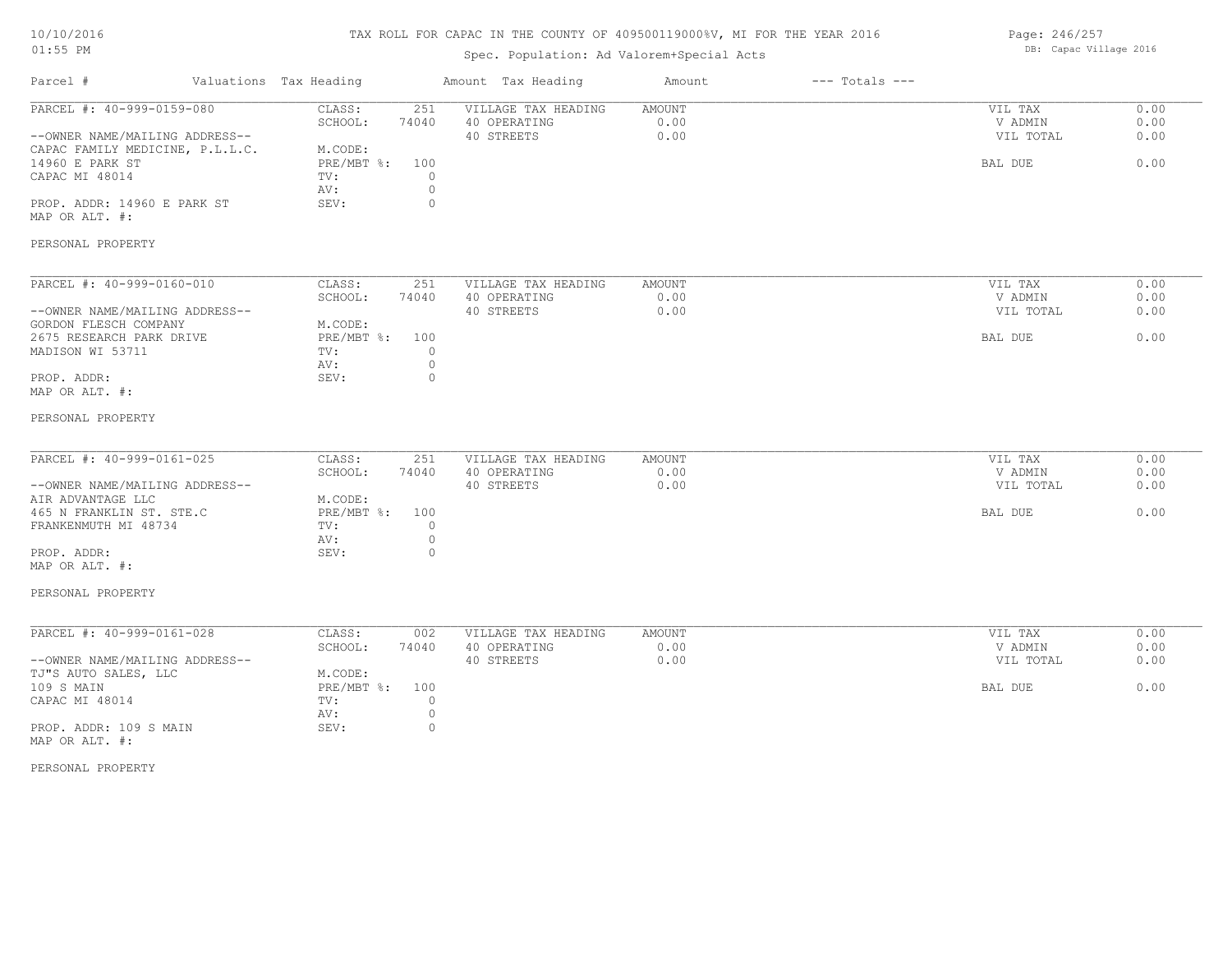# TAX ROLL FOR CAPAC IN THE COUNTY OF 409500119000%V, MI FOR THE YEAR 2016

# Spec. Population: Ad Valorem+Special Acts

Page: 246/257 DB: Capac Village 2016

| Parcel #                                 | Valuations Tax Heading    |         | Amount Tax Heading  | Amount        | $---$ Totals $---$ |           |      |
|------------------------------------------|---------------------------|---------|---------------------|---------------|--------------------|-----------|------|
| PARCEL #: 40-999-0159-080                | CLASS:                    | 251     | VILLAGE TAX HEADING | AMOUNT        |                    | VIL TAX   | 0.00 |
|                                          | SCHOOL:                   | 74040   | 40 OPERATING        | 0.00          |                    | V ADMIN   | 0.00 |
| --OWNER NAME/MAILING ADDRESS--           |                           |         | 40 STREETS          | 0.00          |                    | VIL TOTAL | 0.00 |
| CAPAC FAMILY MEDICINE, P.L.L.C.          | M.CODE:                   |         |                     |               |                    |           |      |
| 14960 E PARK ST                          | $PRE/MBT$ $\div$          | 100     |                     |               |                    | BAL DUE   | 0.00 |
| CAPAC MI 48014                           | TV:                       | $\circ$ |                     |               |                    |           |      |
|                                          | AV:                       | $\circ$ |                     |               |                    |           |      |
| PROP. ADDR: 14960 E PARK ST              | SEV:                      | $\circ$ |                     |               |                    |           |      |
| MAP OR ALT. #:                           |                           |         |                     |               |                    |           |      |
| PERSONAL PROPERTY                        |                           |         |                     |               |                    |           |      |
| PARCEL #: 40-999-0160-010                | CLASS:                    | 251     | VILLAGE TAX HEADING | AMOUNT        |                    | VIL TAX   | 0.00 |
|                                          | SCHOOL:                   | 74040   | 40 OPERATING        | 0.00          |                    | V ADMIN   | 0.00 |
| --OWNER NAME/MAILING ADDRESS--           |                           |         | 40 STREETS          | 0.00          |                    | VIL TOTAL | 0.00 |
| GORDON FLESCH COMPANY                    | M.CODE:                   |         |                     |               |                    |           |      |
| 2675 RESEARCH PARK DRIVE                 | $PRE/MBT$ %:              | 100     |                     |               |                    | BAL DUE   | 0.00 |
|                                          |                           |         |                     |               |                    |           |      |
| MADISON WI 53711                         | TV:                       | $\circ$ |                     |               |                    |           |      |
|                                          | AV:                       | $\circ$ |                     |               |                    |           |      |
| PROP. ADDR:                              | SEV:                      | $\circ$ |                     |               |                    |           |      |
| MAP OR ALT. #:                           |                           |         |                     |               |                    |           |      |
| PERSONAL PROPERTY                        |                           |         |                     |               |                    |           |      |
| PARCEL #: 40-999-0161-025                | CLASS:                    | 251     | VILLAGE TAX HEADING | <b>AMOUNT</b> |                    | VIL TAX   | 0.00 |
|                                          | SCHOOL:                   | 74040   | 40 OPERATING        | 0.00          |                    | V ADMIN   | 0.00 |
| --OWNER NAME/MAILING ADDRESS--           |                           |         | 40 STREETS          | 0.00          |                    | VIL TOTAL | 0.00 |
| AIR ADVANTAGE LLC                        | M.CODE:                   |         |                     |               |                    |           |      |
| 465 N FRANKLIN ST. STE.C                 | PRE/MBT %:                | 100     |                     |               |                    | BAL DUE   | 0.00 |
|                                          |                           |         |                     |               |                    |           |      |
| FRANKENMUTH MI 48734                     | TV:                       | $\circ$ |                     |               |                    |           |      |
|                                          | AV:                       | $\circ$ |                     |               |                    |           |      |
| PROP. ADDR:                              | SEV:                      | $\circ$ |                     |               |                    |           |      |
| MAP OR ALT. #:                           |                           |         |                     |               |                    |           |      |
| PERSONAL PROPERTY                        |                           |         |                     |               |                    |           |      |
| PARCEL #: 40-999-0161-028                | CLASS:                    | 002     | VILLAGE TAX HEADING | AMOUNT        |                    | VIL TAX   | 0.00 |
|                                          | SCHOOL:                   | 74040   | 40 OPERATING        | 0.00          |                    | V ADMIN   | 0.00 |
| --OWNER NAME/MAILING ADDRESS--           |                           |         | 40 STREETS          | 0.00          |                    | VIL TOTAL | 0.00 |
|                                          |                           |         |                     |               |                    |           |      |
| TJ"S AUTO SALES, LLC                     | M.CODE:                   |         |                     |               |                    |           |      |
| 109 S MAIN                               | $PRE/MBT$ $\frac{6}{3}$ : | 100     |                     |               |                    | BAL DUE   | 0.00 |
| CAPAC MI 48014                           | TV:                       | $\circ$ |                     |               |                    |           |      |
|                                          | AV:                       | $\circ$ |                     |               |                    |           |      |
| PROP. ADDR: 109 S MAIN<br>MAP OR ALT. #: | SEV:                      | $\circ$ |                     |               |                    |           |      |
|                                          |                           |         |                     |               |                    |           |      |

PERSONAL PROPERTY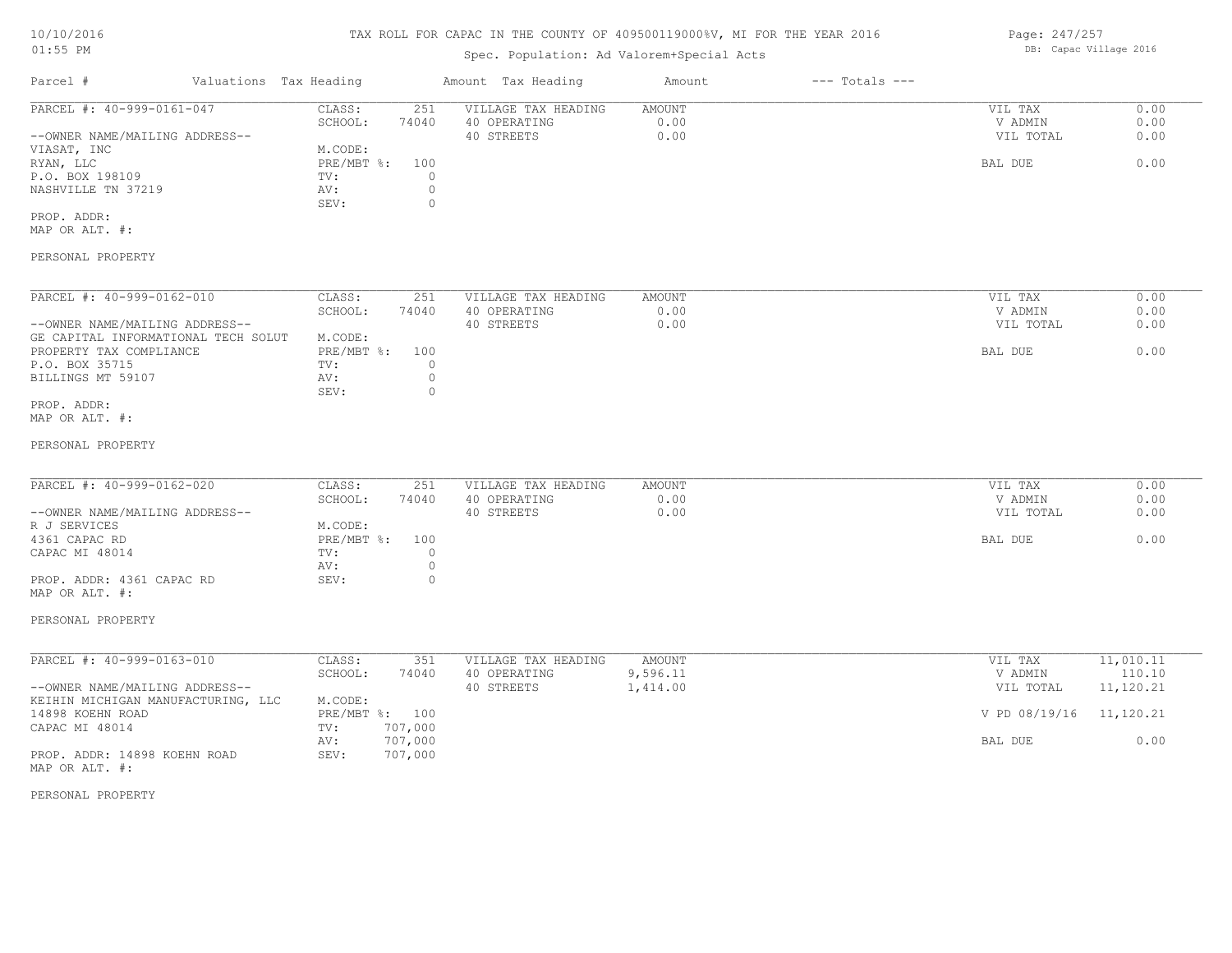# TAX ROLL FOR CAPAC IN THE COUNTY OF 409500119000%V, MI FOR THE YEAR 2016

# Spec. Population: Ad Valorem+Special Acts

| Parcel #                       |  | Valuations Tax Heading |       | Amount Tax Heading  | Amount | $---$ Totals $---$ |           |      |
|--------------------------------|--|------------------------|-------|---------------------|--------|--------------------|-----------|------|
| PARCEL #: 40-999-0161-047      |  | CLASS:                 | 251   | VILLAGE TAX HEADING | AMOUNT |                    | VIL TAX   | 0.00 |
|                                |  | SCHOOL:                | 74040 | 40 OPERATING        | 0.00   |                    | V ADMIN   | 0.00 |
| --OWNER NAME/MAILING ADDRESS-- |  |                        |       | 40 STREETS          | 0.00   |                    | VIL TOTAL | 0.00 |
| VIASAT, INC                    |  | M.CODE:                |       |                     |        |                    |           |      |
| RYAN, LLC                      |  | PRE/MBT %: 100         |       |                     |        |                    | BAL DUE   | 0.00 |
| P.O. BOX 198109                |  | TV:                    |       |                     |        |                    |           |      |
| NASHVILLE TN 37219             |  | AV:                    |       |                     |        |                    |           |      |
|                                |  | SEV:                   |       |                     |        |                    |           |      |
| PROP. ADDR:                    |  |                        |       |                     |        |                    |           |      |

MAP OR ALT. #:

#### PERSONAL PROPERTY

| PARCEL #: 40-999-0162-010           | CLASS:     | 251   | VILLAGE TAX HEADING | AMOUNT | 0.00<br>VIL TAX   |
|-------------------------------------|------------|-------|---------------------|--------|-------------------|
|                                     | SCHOOL:    | 74040 | 40 OPERATING        | 0.00   | 0.00<br>V ADMIN   |
| --OWNER NAME/MAILING ADDRESS--      |            |       | 40 STREETS          | 0.00   | 0.00<br>VIL TOTAL |
| GE CAPITAL INFORMATIONAL TECH SOLUT | M.CODE:    |       |                     |        |                   |
| PROPERTY TAX COMPLIANCE             | PRE/MBT %: | 100   |                     |        | 0.00<br>BAL DUE   |
| P.O. BOX 35715                      | TV:        |       |                     |        |                   |
| BILLINGS MT 59107                   | AV:        |       |                     |        |                   |
|                                     | SEV:       |       |                     |        |                   |
| PROP. ADDR:                         |            |       |                     |        |                   |

MAP OR ALT. #:

#### PERSONAL PROPERTY

| PARCEL #: 40-999-0162-020      | CLASS:         | 251   | VILLAGE TAX HEADING | AMOUNT | VIL TAX   | 0.00 |
|--------------------------------|----------------|-------|---------------------|--------|-----------|------|
|                                | SCHOOL:        | 74040 | 40 OPERATING        | 0.00   | V ADMIN   | 0.00 |
| --OWNER NAME/MAILING ADDRESS-- |                |       | 40 STREETS          | 0.00   | VIL TOTAL | 0.00 |
| R J SERVICES                   | M.CODE:        |       |                     |        |           |      |
| 4361 CAPAC RD                  | PRE/MBT %: 100 |       |                     |        | BAL DUE   | 0.00 |
| CAPAC MI 48014                 | TV:            |       |                     |        |           |      |
|                                | AV:            |       |                     |        |           |      |
| PROP. ADDR: 4361 CAPAC RD      | SEV:           |       |                     |        |           |      |

#### PERSONAL PROPERTY

MAP OR ALT. #:

| PARCEL #: 40-999-0163-010          | CLASS:       | 351     | VILLAGE TAX HEADING | AMOUNT   | 11,010.11<br>VIL TAX    |
|------------------------------------|--------------|---------|---------------------|----------|-------------------------|
|                                    | SCHOOL:      | 74040   | 40 OPERATING        | 9,596.11 | 110.10<br>V ADMIN       |
| --OWNER NAME/MAILING ADDRESS--     |              |         | 40 STREETS          | 1,414.00 | 11,120.21<br>VIL TOTAL  |
| KEIHIN MICHIGAN MANUFACTURING, LLC | M.CODE:      |         |                     |          |                         |
| 14898 KOEHN ROAD                   | $PRE/MBT$ %: | 100     |                     |          | V PD 08/19/16 11,120.21 |
| CAPAC MI 48014                     | TV:          | 707,000 |                     |          |                         |
|                                    | AV:          | 707,000 |                     |          | BAL DUE<br>0.00         |
| PROP. ADDR: 14898 KOEHN ROAD       | SEV:         | 707,000 |                     |          |                         |
| MAP OR ALT. #:                     |              |         |                     |          |                         |

PERSONAL PROPERTY

Page: 247/257 DB: Capac Village 2016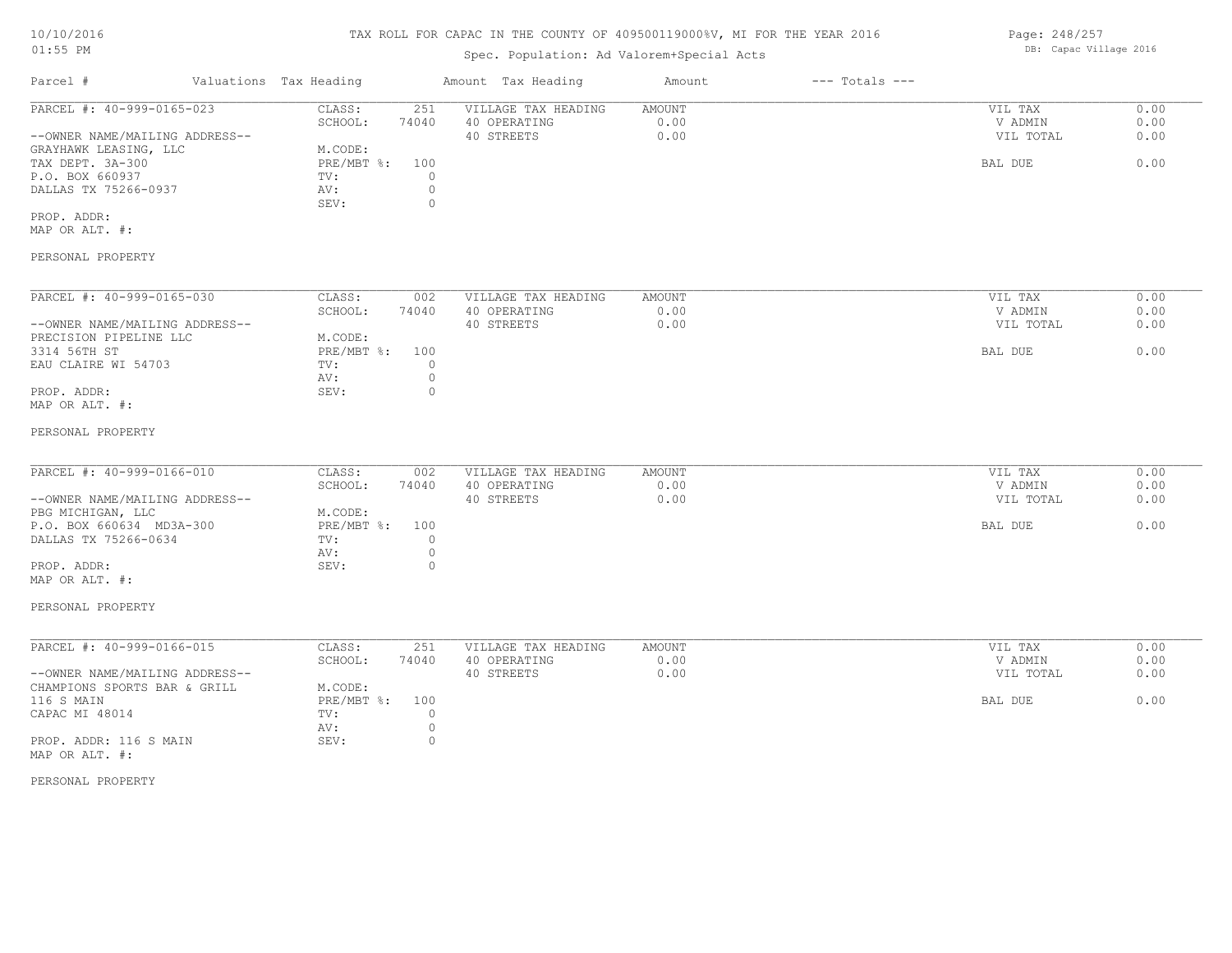# TAX ROLL FOR CAPAC IN THE COUNTY OF 409500119000%V, MI FOR THE YEAR 2016

# Spec. Population: Ad Valorem+Special Acts

| Parcel #                       | Valuations Tax Heading |       | Amount Tax Heading  | Amount | $---$ Totals $---$ |           |      |
|--------------------------------|------------------------|-------|---------------------|--------|--------------------|-----------|------|
| PARCEL #: 40-999-0165-023      | CLASS:                 | 251   | VILLAGE TAX HEADING | AMOUNT |                    | VIL TAX   | 0.00 |
|                                | SCHOOL:                | 74040 | 40 OPERATING        | 0.00   |                    | V ADMIN   | 0.00 |
| --OWNER NAME/MAILING ADDRESS-- |                        |       | 40 STREETS          | 0.00   |                    | VIL TOTAL | 0.00 |
| GRAYHAWK LEASING, LLC          | M.CODE:                |       |                     |        |                    |           |      |
| TAX DEPT. 3A-300               | PRE/MBT %: 100         |       |                     |        |                    | BAL DUE   | 0.00 |
| P.O. BOX 660937                | TV:                    |       |                     |        |                    |           |      |
| DALLAS TX 75266-0937           | AV:                    |       |                     |        |                    |           |      |
|                                | SEV:                   |       |                     |        |                    |           |      |
| PROP. ADDR:                    |                        |       |                     |        |                    |           |      |

MAP OR ALT. #:

### PERSONAL PROPERTY

| PARCEL #: 40-999-0165-030      | CLASS:     | 002   | VILLAGE TAX HEADING | AMOUNT | VIL TAX   | 0.00 |
|--------------------------------|------------|-------|---------------------|--------|-----------|------|
|                                | SCHOOL:    | 74040 | 40 OPERATING        | 0.00   | V ADMIN   | 0.00 |
| --OWNER NAME/MAILING ADDRESS-- |            |       | 40 STREETS          | 0.00   | VIL TOTAL | 0.00 |
| PRECISION PIPELINE LLC         | M.CODE:    |       |                     |        |           |      |
| 3314 56TH ST                   | PRE/MBT %: | 100   |                     |        | BAL DUE   | 0.00 |
| EAU CLAIRE WI 54703            | TV:        |       |                     |        |           |      |
|                                | AV:        |       |                     |        |           |      |
| PROP. ADDR:                    | SEV:       |       |                     |        |           |      |
| MAP OR ALT. #:                 |            |       |                     |        |           |      |

#### PERSONAL PROPERTY

| PARCEL #: 40-999-0166-010      | CLASS:         | 002   | VILLAGE TAX HEADING | AMOUNT | VIL TAX   | 0.00 |
|--------------------------------|----------------|-------|---------------------|--------|-----------|------|
|                                | SCHOOL:        | 74040 | 40 OPERATING        | 0.00   | V ADMIN   | 0.00 |
| --OWNER NAME/MAILING ADDRESS-- |                |       | 40 STREETS          | 0.00   | VIL TOTAL | 0.00 |
| PBG MICHIGAN, LLC              | M.CODE:        |       |                     |        |           |      |
| P.O. BOX 660634 MD3A-300       | PRE/MBT %: 100 |       |                     |        | BAL DUE   | 0.00 |
| DALLAS TX 75266-0634           | TV:            |       |                     |        |           |      |
|                                | AV:            |       |                     |        |           |      |
| PROP. ADDR:                    | SEV:           |       |                     |        |           |      |
| MAP OR ALT. #:                 |                |       |                     |        |           |      |

#### PERSONAL PROPERTY

| PARCEL #: 40-999-0166-015      | CLASS:         | 251   | VILLAGE TAX HEADING | AMOUNT | VIL TAX   | 0.00 |
|--------------------------------|----------------|-------|---------------------|--------|-----------|------|
|                                | SCHOOL:        | 74040 | 40 OPERATING        | 0.00   | V ADMIN   | 0.00 |
| --OWNER NAME/MAILING ADDRESS-- |                |       | 40 STREETS          | 0.00   | VIL TOTAL | 0.00 |
| CHAMPIONS SPORTS BAR & GRILL   | M.CODE:        |       |                     |        |           |      |
| 116 S MAIN                     | PRE/MBT %: 100 |       |                     |        | BAL DUE   | 0.00 |
| CAPAC MI 48014                 | TV:            |       |                     |        |           |      |
|                                | AV:            |       |                     |        |           |      |
| PROP. ADDR: 116 S MAIN         | SEV:           |       |                     |        |           |      |
| MAP OR ALT. #:                 |                |       |                     |        |           |      |

#### PERSONAL PROPERTY

Page: 248/257 DB: Capac Village 2016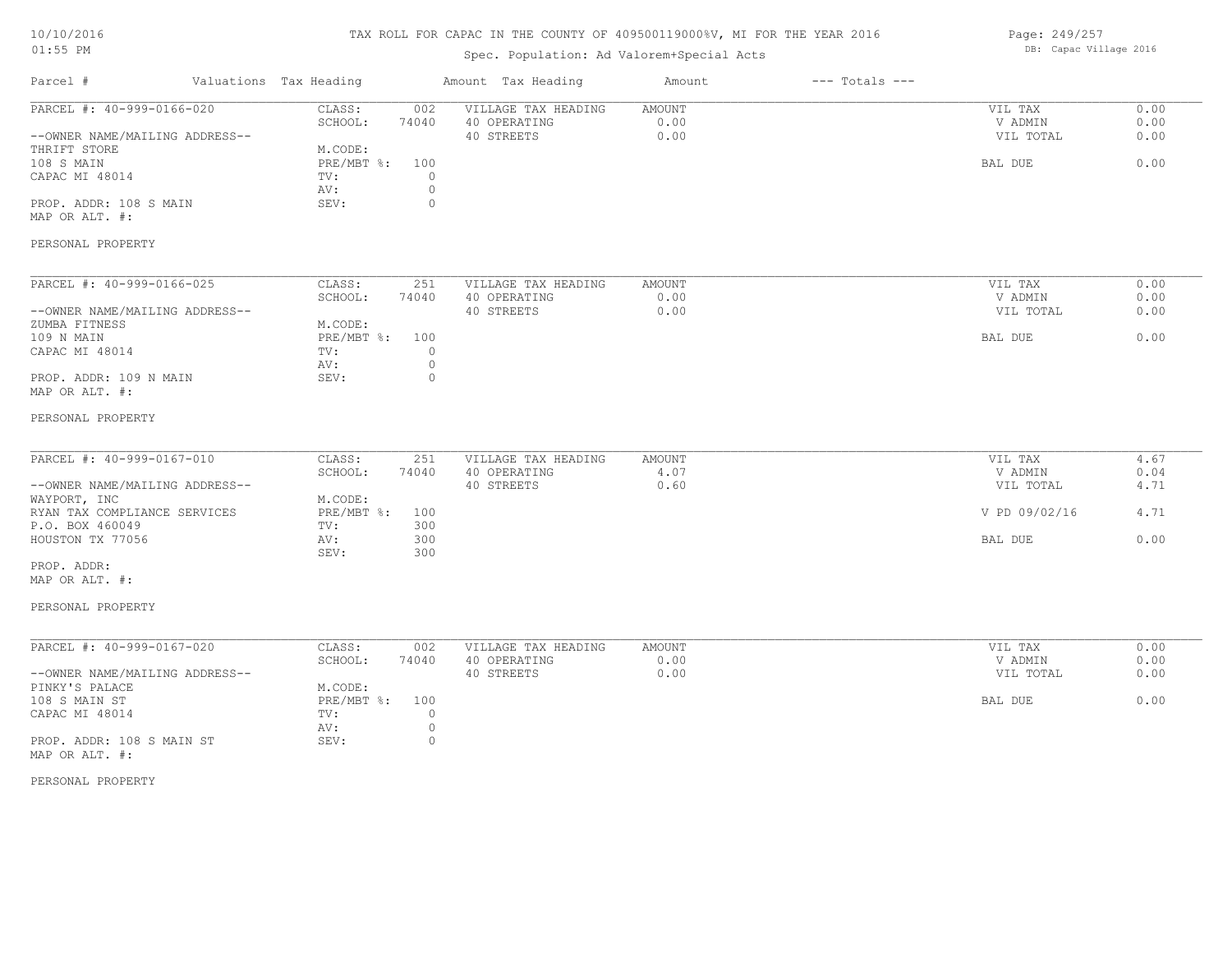# TAX ROLL FOR CAPAC IN THE COUNTY OF 409500119000%V, MI FOR THE YEAR 2016

# Spec. Population: Ad Valorem+Special Acts

Page: 249/257 DB: Capac Village 2016

| Parcel #                                                                                                                                                                                                 | Valuations Tax Heading                                                                                         | Amount Tax Heading                                                                 | Amount                        | $---$ Totals $---$ |                                                             |                                      |
|----------------------------------------------------------------------------------------------------------------------------------------------------------------------------------------------------------|----------------------------------------------------------------------------------------------------------------|------------------------------------------------------------------------------------|-------------------------------|--------------------|-------------------------------------------------------------|--------------------------------------|
| PARCEL #: 40-999-0166-020<br>--OWNER NAME/MAILING ADDRESS--<br>THRIFT STORE<br>108 S MAIN<br>CAPAC MI 48014<br>PROP. ADDR: 108 S MAIN<br>MAP OR ALT. #:<br>PERSONAL PROPERTY                             | CLASS:<br>002<br>SCHOOL:<br>74040<br>M.CODE:<br>$PRE/MBT$ $\div$<br>100<br>TV:<br>AV:<br>SEV:                  | VILLAGE TAX HEADING<br>40 OPERATING<br>40 STREETS<br>$\circ$<br>$\circ$<br>$\circ$ | <b>AMOUNT</b><br>0.00<br>0.00 |                    | VIL TAX<br>V ADMIN<br>VIL TOTAL<br>BAL DUE                  | 0.00<br>0.00<br>0.00<br>0.00         |
| PARCEL #: 40-999-0166-025<br>--OWNER NAME/MAILING ADDRESS--<br>ZUMBA FITNESS<br>109 N MAIN<br>CAPAC MI 48014<br>PROP. ADDR: 109 N MAIN<br>MAP OR ALT. #:<br>PERSONAL PROPERTY                            | CLASS:<br>251<br>SCHOOL:<br>74040<br>M.CODE:<br>PRE/MBT %:<br>100<br>TV:<br>AV:<br>SEV:                        | VILLAGE TAX HEADING<br>40 OPERATING<br>40 STREETS<br>$\circ$<br>$\circ$<br>$\circ$ | <b>AMOUNT</b><br>0.00<br>0.00 |                    | VIL TAX<br>V ADMIN<br>VIL TOTAL<br>BAL DUE                  | 0.00<br>0.00<br>0.00<br>0.00         |
| PARCEL #: 40-999-0167-010<br>--OWNER NAME/MAILING ADDRESS--<br>WAYPORT, INC<br>RYAN TAX COMPLIANCE SERVICES<br>P.O. BOX 460049<br>HOUSTON TX 77056<br>PROP. ADDR:<br>MAP OR ALT. #:<br>PERSONAL PROPERTY | CLASS:<br>251<br>SCHOOL:<br>74040<br>M.CODE:<br>$PRE/MBT$ %:<br>100<br>TV:<br>300<br>300<br>AV:<br>300<br>SEV: | VILLAGE TAX HEADING<br>40 OPERATING<br>40 STREETS                                  | <b>AMOUNT</b><br>4.07<br>0.60 |                    | VIL TAX<br>V ADMIN<br>VIL TOTAL<br>V PD 09/02/16<br>BAL DUE | 4.67<br>0.04<br>4.71<br>4.71<br>0.00 |
| PARCEL #: 40-999-0167-020<br>--OWNER NAME/MAILING ADDRESS--<br>PINKY'S PALACE<br>108 S MAIN ST<br>CAPAC MI 48014<br>PROP. ADDR: 108 S MAIN ST<br>MAP OR ALT. #:<br>PERSONAL PROPERTY                     | CLASS:<br>002<br>SCHOOL:<br>74040<br>M.CODE:<br>PRE/MBT %:<br>100<br>TV:<br>AV:<br>SEV:                        | VILLAGE TAX HEADING<br>40 OPERATING<br>40 STREETS<br>$\circ$<br>$\circ$<br>$\circ$ | <b>AMOUNT</b><br>0.00<br>0.00 |                    | VIL TAX<br>V ADMIN<br>VIL TOTAL<br>BAL DUE                  | 0.00<br>0.00<br>0.00<br>0.00         |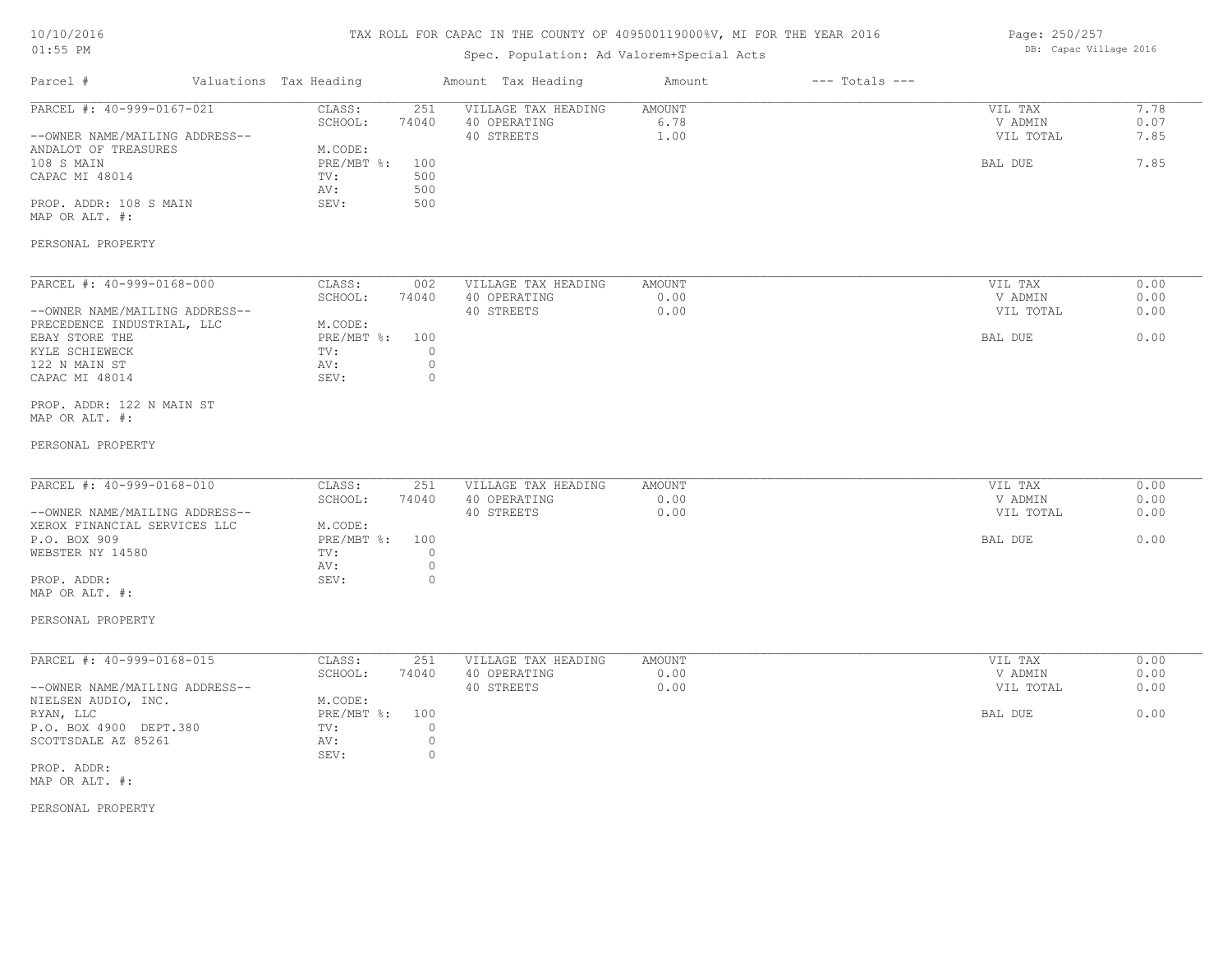# TAX ROLL FOR CAPAC IN THE COUNTY OF 409500119000%V, MI FOR THE YEAR 2016

# Spec. Population: Ad Valorem+Special Acts

Page: 250/257 DB: Capac Village 2016

| 7.78<br>PARCEL #: 40-999-0167-021<br>251<br>VILLAGE TAX HEADING<br><b>AMOUNT</b><br>CLASS:<br>VIL TAX<br>SCHOOL:<br>40 OPERATING<br>6.78<br>V ADMIN<br>0.07<br>74040<br>7.85<br>--OWNER NAME/MAILING ADDRESS--<br>40 STREETS<br>1.00<br>VIL TOTAL<br>M.CODE:<br>7.85<br>$PRE/MBT$ $\frac{1}{6}$ :<br>100<br>BAL DUE<br>500<br>TV:<br>500<br>AV:<br>500<br>PROP. ADDR: 108 S MAIN<br>SEV:<br>PERSONAL PROPERTY<br>PARCEL #: 40-999-0168-000<br>CLASS:<br>VILLAGE TAX HEADING<br><b>AMOUNT</b><br>VIL TAX<br>0.00<br>002<br>SCHOOL:<br>74040<br>40 OPERATING<br>0.00<br>0.00<br>V ADMIN<br>--OWNER NAME/MAILING ADDRESS--<br>40 STREETS<br>0.00<br>VIL TOTAL<br>0.00<br>PRECEDENCE INDUSTRIAL, LLC<br>M.CODE:<br>0.00<br>$PRE/MBT$ $\div$<br>100<br>BAL DUE<br>$\circ$<br>TV:<br>$\circ$<br>AV:<br>$\circ$<br>SEV:<br>PROP. ADDR: 122 N MAIN ST<br>PARCEL #: 40-999-0168-010<br>CLASS:<br>251<br>VILLAGE TAX HEADING<br><b>AMOUNT</b><br>VIL TAX<br>0.00<br>SCHOOL:<br>74040<br>40 OPERATING<br>0.00<br>0.00<br>V ADMIN<br>0.00<br>0.00<br>--OWNER NAME/MAILING ADDRESS--<br>40 STREETS<br>VIL TOTAL<br>XEROX FINANCIAL SERVICES LLC<br>M.CODE:<br>PRE/MBT %:<br>100<br>0.00<br>BAL DUE<br>$\circ$<br>TV:<br>$\circ$<br>AV:<br>$\circ$<br>PROP. ADDR:<br>SEV:<br>PARCEL #: 40-999-0168-015<br><b>AMOUNT</b><br>CLASS:<br>251<br>VILLAGE TAX HEADING<br>VIL TAX<br>0.00<br>SCHOOL:<br>40 OPERATING<br>0.00<br>V ADMIN<br>0.00<br>74040<br>40 STREETS<br>0.00<br>0.00<br>--OWNER NAME/MAILING ADDRESS--<br>VIL TOTAL<br>NIELSEN AUDIO, INC.<br>M.CODE:<br>0.00<br>BAL DUE<br>$PRE/MBT$ $\div$<br>100<br>P.O. BOX 4900 DEPT.380<br>$\circ$<br>TV:<br>$\circ$<br>AV:<br>$\circ$<br>SEV: | Parcel #                                                               | Valuations Tax Heading | Amount Tax Heading | Amount | $---$ Totals $---$ |  |
|-----------------------------------------------------------------------------------------------------------------------------------------------------------------------------------------------------------------------------------------------------------------------------------------------------------------------------------------------------------------------------------------------------------------------------------------------------------------------------------------------------------------------------------------------------------------------------------------------------------------------------------------------------------------------------------------------------------------------------------------------------------------------------------------------------------------------------------------------------------------------------------------------------------------------------------------------------------------------------------------------------------------------------------------------------------------------------------------------------------------------------------------------------------------------------------------------------------------------------------------------------------------------------------------------------------------------------------------------------------------------------------------------------------------------------------------------------------------------------------------------------------------------------------------------------------------------------------------------------------------------------------------------------------------------------------|------------------------------------------------------------------------|------------------------|--------------------|--------|--------------------|--|
|                                                                                                                                                                                                                                                                                                                                                                                                                                                                                                                                                                                                                                                                                                                                                                                                                                                                                                                                                                                                                                                                                                                                                                                                                                                                                                                                                                                                                                                                                                                                                                                                                                                                                   | ANDALOT OF TREASURES<br>108 S MAIN<br>CAPAC MI 48014<br>MAP OR ALT. #: |                        |                    |        |                    |  |
|                                                                                                                                                                                                                                                                                                                                                                                                                                                                                                                                                                                                                                                                                                                                                                                                                                                                                                                                                                                                                                                                                                                                                                                                                                                                                                                                                                                                                                                                                                                                                                                                                                                                                   |                                                                        |                        |                    |        |                    |  |
|                                                                                                                                                                                                                                                                                                                                                                                                                                                                                                                                                                                                                                                                                                                                                                                                                                                                                                                                                                                                                                                                                                                                                                                                                                                                                                                                                                                                                                                                                                                                                                                                                                                                                   |                                                                        |                        |                    |        |                    |  |
|                                                                                                                                                                                                                                                                                                                                                                                                                                                                                                                                                                                                                                                                                                                                                                                                                                                                                                                                                                                                                                                                                                                                                                                                                                                                                                                                                                                                                                                                                                                                                                                                                                                                                   | EBAY STORE THE<br>KYLE SCHIEWECK<br>122 N MAIN ST<br>CAPAC MI 48014    |                        |                    |        |                    |  |
|                                                                                                                                                                                                                                                                                                                                                                                                                                                                                                                                                                                                                                                                                                                                                                                                                                                                                                                                                                                                                                                                                                                                                                                                                                                                                                                                                                                                                                                                                                                                                                                                                                                                                   | MAP OR ALT. #:                                                         |                        |                    |        |                    |  |
|                                                                                                                                                                                                                                                                                                                                                                                                                                                                                                                                                                                                                                                                                                                                                                                                                                                                                                                                                                                                                                                                                                                                                                                                                                                                                                                                                                                                                                                                                                                                                                                                                                                                                   | PERSONAL PROPERTY                                                      |                        |                    |        |                    |  |
|                                                                                                                                                                                                                                                                                                                                                                                                                                                                                                                                                                                                                                                                                                                                                                                                                                                                                                                                                                                                                                                                                                                                                                                                                                                                                                                                                                                                                                                                                                                                                                                                                                                                                   |                                                                        |                        |                    |        |                    |  |
|                                                                                                                                                                                                                                                                                                                                                                                                                                                                                                                                                                                                                                                                                                                                                                                                                                                                                                                                                                                                                                                                                                                                                                                                                                                                                                                                                                                                                                                                                                                                                                                                                                                                                   | P.O. BOX 909<br>WEBSTER NY 14580                                       |                        |                    |        |                    |  |
|                                                                                                                                                                                                                                                                                                                                                                                                                                                                                                                                                                                                                                                                                                                                                                                                                                                                                                                                                                                                                                                                                                                                                                                                                                                                                                                                                                                                                                                                                                                                                                                                                                                                                   | MAP OR ALT. #:                                                         |                        |                    |        |                    |  |
|                                                                                                                                                                                                                                                                                                                                                                                                                                                                                                                                                                                                                                                                                                                                                                                                                                                                                                                                                                                                                                                                                                                                                                                                                                                                                                                                                                                                                                                                                                                                                                                                                                                                                   | PERSONAL PROPERTY                                                      |                        |                    |        |                    |  |
|                                                                                                                                                                                                                                                                                                                                                                                                                                                                                                                                                                                                                                                                                                                                                                                                                                                                                                                                                                                                                                                                                                                                                                                                                                                                                                                                                                                                                                                                                                                                                                                                                                                                                   |                                                                        |                        |                    |        |                    |  |
|                                                                                                                                                                                                                                                                                                                                                                                                                                                                                                                                                                                                                                                                                                                                                                                                                                                                                                                                                                                                                                                                                                                                                                                                                                                                                                                                                                                                                                                                                                                                                                                                                                                                                   | RYAN, LLC<br>SCOTTSDALE AZ 85261                                       |                        |                    |        |                    |  |
|                                                                                                                                                                                                                                                                                                                                                                                                                                                                                                                                                                                                                                                                                                                                                                                                                                                                                                                                                                                                                                                                                                                                                                                                                                                                                                                                                                                                                                                                                                                                                                                                                                                                                   | PROP. ADDR:<br>MAP OR ALT. #:                                          |                        |                    |        |                    |  |
|                                                                                                                                                                                                                                                                                                                                                                                                                                                                                                                                                                                                                                                                                                                                                                                                                                                                                                                                                                                                                                                                                                                                                                                                                                                                                                                                                                                                                                                                                                                                                                                                                                                                                   | PERSONAL PROPERTY                                                      |                        |                    |        |                    |  |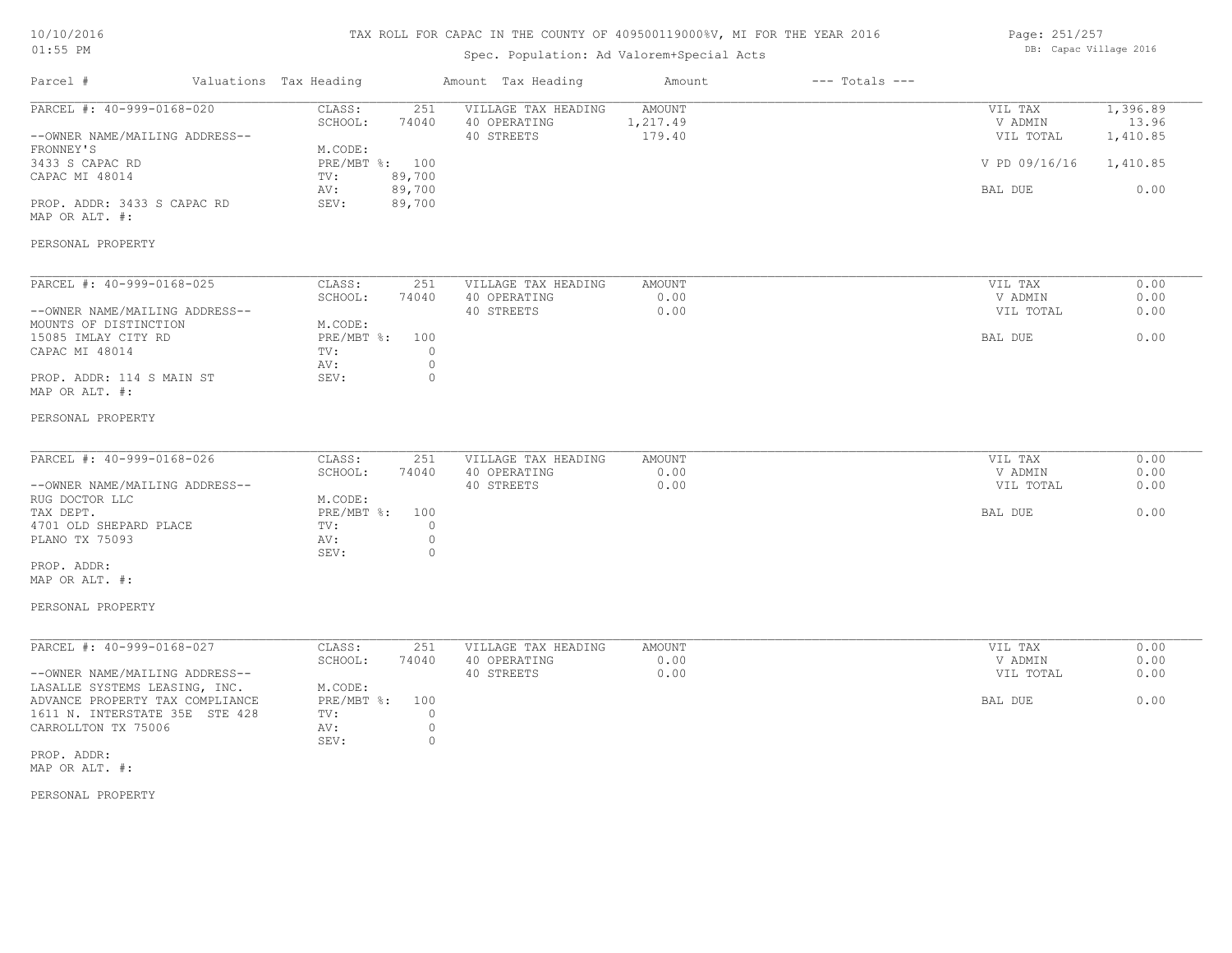# TAX ROLL FOR CAPAC IN THE COUNTY OF 409500119000%V, MI FOR THE YEAR 2016

# Spec. Population: Ad Valorem+Special Acts

| Page: 251/257 |                        |  |
|---------------|------------------------|--|
|               | DB: Capac Village 2016 |  |

| Parcel #                                                    | Valuations Tax Heading            | Amount Tax Heading                                | Amount                              | $---$ Totals $---$ |                                 |                               |
|-------------------------------------------------------------|-----------------------------------|---------------------------------------------------|-------------------------------------|--------------------|---------------------------------|-------------------------------|
| PARCEL #: 40-999-0168-020<br>--OWNER NAME/MAILING ADDRESS-- | CLASS:<br>251<br>SCHOOL:<br>74040 | VILLAGE TAX HEADING<br>40 OPERATING<br>40 STREETS | <b>AMOUNT</b><br>1,217.49<br>179.40 |                    | VIL TAX<br>V ADMIN<br>VIL TOTAL | 1,396.89<br>13.96<br>1,410.85 |
| FRONNEY'S<br>3433 S CAPAC RD                                | M.CODE:<br>PRE/MBT %: 100         |                                                   |                                     |                    | V PD 09/16/16                   | 1,410.85                      |
| CAPAC MI 48014                                              | 89,700<br>TV:<br>AV:<br>89,700    |                                                   |                                     |                    | BAL DUE                         | 0.00                          |
| PROP. ADDR: 3433 S CAPAC RD<br>MAP OR ALT. #:               | 89,700<br>SEV:                    |                                                   |                                     |                    |                                 |                               |
| PERSONAL PROPERTY                                           |                                   |                                                   |                                     |                    |                                 |                               |
| PARCEL #: 40-999-0168-025                                   | CLASS:<br>251                     | VILLAGE TAX HEADING                               | AMOUNT                              |                    | VIL TAX                         | 0.00                          |
|                                                             | SCHOOL:<br>74040                  | 40 OPERATING                                      | 0.00                                |                    | V ADMIN                         | 0.00                          |
| --OWNER NAME/MAILING ADDRESS--<br>MOUNTS OF DISTINCTION     | M.CODE:                           | 40 STREETS                                        | 0.00                                |                    | VIL TOTAL                       | 0.00                          |
| 15085 IMLAY CITY RD                                         | PRE/MBT %: 100                    |                                                   |                                     |                    | BAL DUE                         | 0.00                          |
| CAPAC MI 48014                                              | TV:<br>$\circ$<br>$\circ$<br>AV:  |                                                   |                                     |                    |                                 |                               |
| PROP. ADDR: 114 S MAIN ST                                   | $\circ$<br>SEV:                   |                                                   |                                     |                    |                                 |                               |
| MAP OR ALT. #:                                              |                                   |                                                   |                                     |                    |                                 |                               |
| PERSONAL PROPERTY                                           |                                   |                                                   |                                     |                    |                                 |                               |
|                                                             |                                   |                                                   |                                     |                    |                                 |                               |
| PARCEL #: 40-999-0168-026                                   | CLASS:<br>251<br>SCHOOL:<br>74040 | VILLAGE TAX HEADING<br>40 OPERATING               | <b>AMOUNT</b><br>0.00               |                    | VIL TAX<br>V ADMIN              | 0.00<br>0.00                  |
| --OWNER NAME/MAILING ADDRESS--                              |                                   | 40 STREETS                                        | 0.00                                |                    | VIL TOTAL                       | 0.00                          |
| RUG DOCTOR LLC                                              | M.CODE:                           |                                                   |                                     |                    |                                 |                               |
| TAX DEPT.                                                   | PRE/MBT %: 100                    |                                                   |                                     |                    | BAL DUE                         | 0.00                          |
| 4701 OLD SHEPARD PLACE                                      | $\circ$<br>TV:                    |                                                   |                                     |                    |                                 |                               |
| PLANO TX 75093                                              | $\circ$<br>AV:                    |                                                   |                                     |                    |                                 |                               |
| PROP. ADDR:                                                 | SEV:<br>$\circ$                   |                                                   |                                     |                    |                                 |                               |
| MAP OR ALT. #:                                              |                                   |                                                   |                                     |                    |                                 |                               |
| PERSONAL PROPERTY                                           |                                   |                                                   |                                     |                    |                                 |                               |
| PARCEL #: 40-999-0168-027                                   | CLASS:<br>251                     | VILLAGE TAX HEADING                               | <b>AMOUNT</b>                       |                    | VIL TAX                         | 0.00                          |
|                                                             | SCHOOL:<br>74040                  | 40 OPERATING                                      | 0.00                                |                    | V ADMIN                         | 0.00                          |
| --OWNER NAME/MAILING ADDRESS--                              |                                   | 40 STREETS                                        | 0.00                                |                    | VIL TOTAL                       | 0.00                          |
| LASALLE SYSTEMS LEASING, INC.                               | M.CODE:                           |                                                   |                                     |                    |                                 |                               |
| ADVANCE PROPERTY TAX COMPLIANCE                             | PRE/MBT %:<br>100                 |                                                   |                                     |                    | BAL DUE                         | 0.00                          |
| 1611 N. INTERSTATE 35E STE 428                              | TV:<br>$\circ$                    |                                                   |                                     |                    |                                 |                               |
| CARROLLTON TX 75006                                         | $\circ$<br>AV:                    |                                                   |                                     |                    |                                 |                               |
| PROP. ADDR:                                                 | $\circ$<br>SEV:                   |                                                   |                                     |                    |                                 |                               |
|                                                             |                                   |                                                   |                                     |                    |                                 |                               |

MAP OR ALT. #:

PERSONAL PROPERTY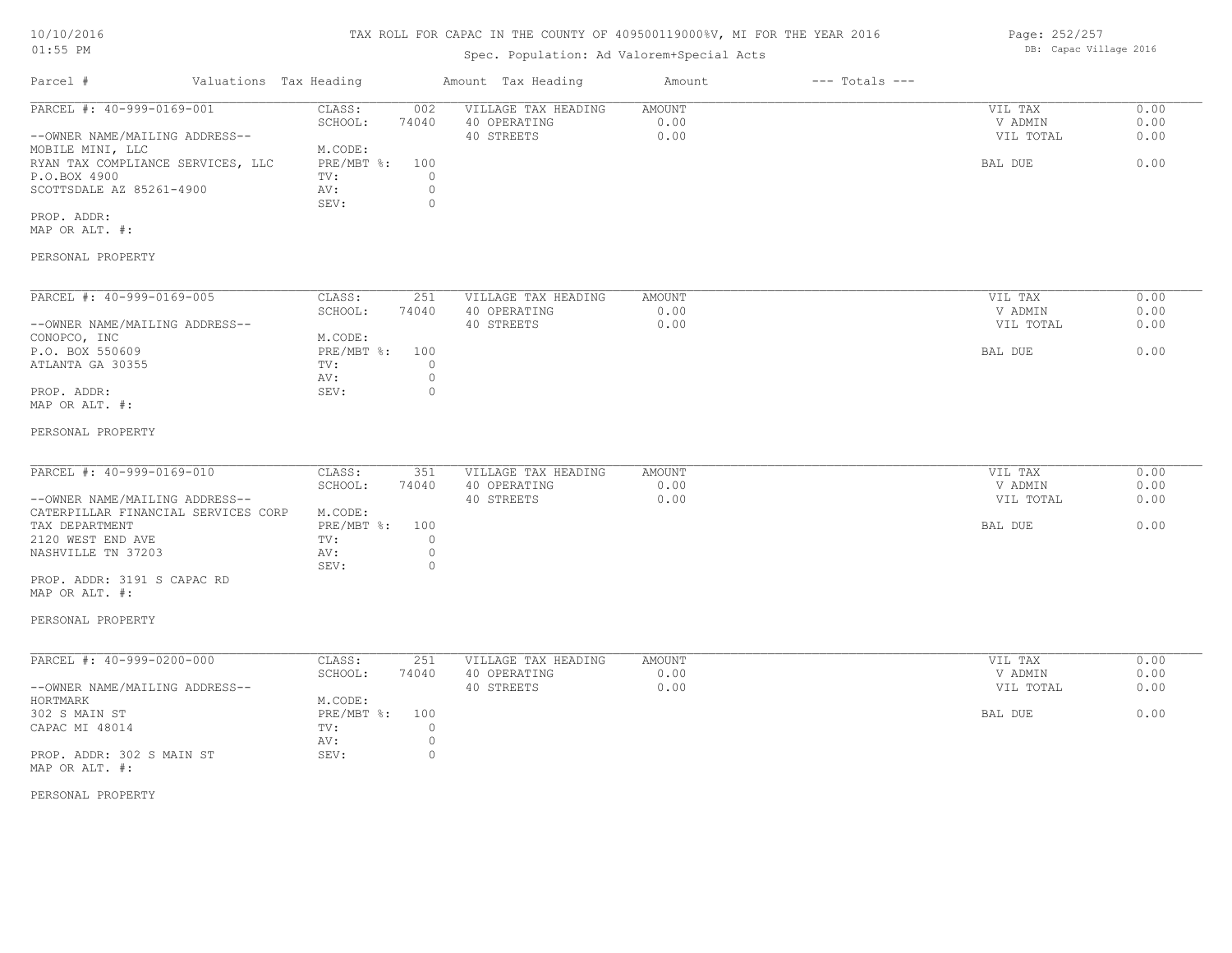### TAX ROLL FOR CAPAC IN THE COUNTY OF 409500119000%V, MI FOR THE YEAR 2016

# Spec. Population: Ad Valorem+Special Acts

| Parcel #                          | Valuations Tax Heading |       | Amount Tax Heading  | Amount | $---$ Totals $---$ |           |      |
|-----------------------------------|------------------------|-------|---------------------|--------|--------------------|-----------|------|
| PARCEL #: 40-999-0169-001         | CLASS:                 | 002   | VILLAGE TAX HEADING | AMOUNT |                    | VIL TAX   | 0.00 |
|                                   | SCHOOL:                | 74040 | 40 OPERATING        | 0.00   |                    | V ADMIN   | 0.00 |
| --OWNER NAME/MAILING ADDRESS--    |                        |       | 40 STREETS          | 0.00   |                    | VIL TOTAL | 0.00 |
| MOBILE MINI, LLC                  | M.CODE:                |       |                     |        |                    |           |      |
| RYAN TAX COMPLIANCE SERVICES, LLC | PRE/MBT %:             | 100   |                     |        |                    | BAL DUE   | 0.00 |
| P.O.BOX 4900                      | TV:                    |       |                     |        |                    |           |      |
| SCOTTSDALE AZ 85261-4900          | AV:                    |       |                     |        |                    |           |      |
|                                   | SEV:                   |       |                     |        |                    |           |      |
| PROP. ADDR:                       |                        |       |                     |        |                    |           |      |

MAP OR ALT. #:

## PERSONAL PROPERTY

| PARCEL #: 40-999-0169-005      | CLASS:     | 251   | VILLAGE TAX HEADING | AMOUNT | VIL TAX   | 0.00 |
|--------------------------------|------------|-------|---------------------|--------|-----------|------|
|                                | SCHOOL:    | 74040 | 40 OPERATING        | 0.00   | V ADMIN   | 0.00 |
| --OWNER NAME/MAILING ADDRESS-- |            |       | 40 STREETS          | 0.00   | VIL TOTAL | 0.00 |
| CONOPCO, INC                   | M.CODE:    |       |                     |        |           |      |
| P.O. BOX 550609                | PRE/MBT %: | 100   |                     |        | BAL DUE   | 0.00 |
| ATLANTA GA 30355               | TV:        |       |                     |        |           |      |
|                                | AV:        |       |                     |        |           |      |
| PROP. ADDR:                    | SEV:       |       |                     |        |           |      |
| MAP OR ALT. #:                 |            |       |                     |        |           |      |

#### PERSONAL PROPERTY

| PARCEL #: 40-999-0169-010           | CLASS:         | 351   | VILLAGE TAX HEADING | AMOUNT | VIL TAX   | 0.00 |
|-------------------------------------|----------------|-------|---------------------|--------|-----------|------|
|                                     | SCHOOL:        | 74040 | 40 OPERATING        | 0.00   | V ADMIN   | 0.00 |
| --OWNER NAME/MAILING ADDRESS--      |                |       | 40 STREETS          | 0.00   | VIL TOTAL | 0.00 |
| CATERPILLAR FINANCIAL SERVICES CORP | M.CODE:        |       |                     |        |           |      |
| TAX DEPARTMENT                      | PRE/MBT %: 100 |       |                     |        | BAL DUE   | 0.00 |
| 2120 WEST END AVE                   | TV:            |       |                     |        |           |      |
| NASHVILLE TN 37203                  | AV:            |       |                     |        |           |      |
|                                     | SEV:           |       |                     |        |           |      |

MAP OR ALT. #: PROP. ADDR: 3191 S CAPAC RD

#### PERSONAL PROPERTY

| PARCEL #: 40-999-0200-000      | CLASS:     | 251   | VILLAGE TAX HEADING | AMOUNT | VIL TAX   | 0.00 |
|--------------------------------|------------|-------|---------------------|--------|-----------|------|
|                                | SCHOOL:    | 74040 | 40 OPERATING        | 0.00   | V ADMIN   | 0.00 |
| --OWNER NAME/MAILING ADDRESS-- |            |       | 40 STREETS          | 0.00   | VIL TOTAL | 0.00 |
| HORTMARK                       | M.CODE:    |       |                     |        |           |      |
| 302 S MAIN ST                  | PRE/MBT %: | 100   |                     |        | BAL DUE   | 0.00 |
| CAPAC MI 48014                 | TV:        |       |                     |        |           |      |
|                                | AV:        |       |                     |        |           |      |
| PROP. ADDR: 302 S MAIN ST      | SEV:       |       |                     |        |           |      |
| MAP OR ALT. #:                 |            |       |                     |        |           |      |

PERSONAL PROPERTY

Page: 252/257 DB: Capac Village 2016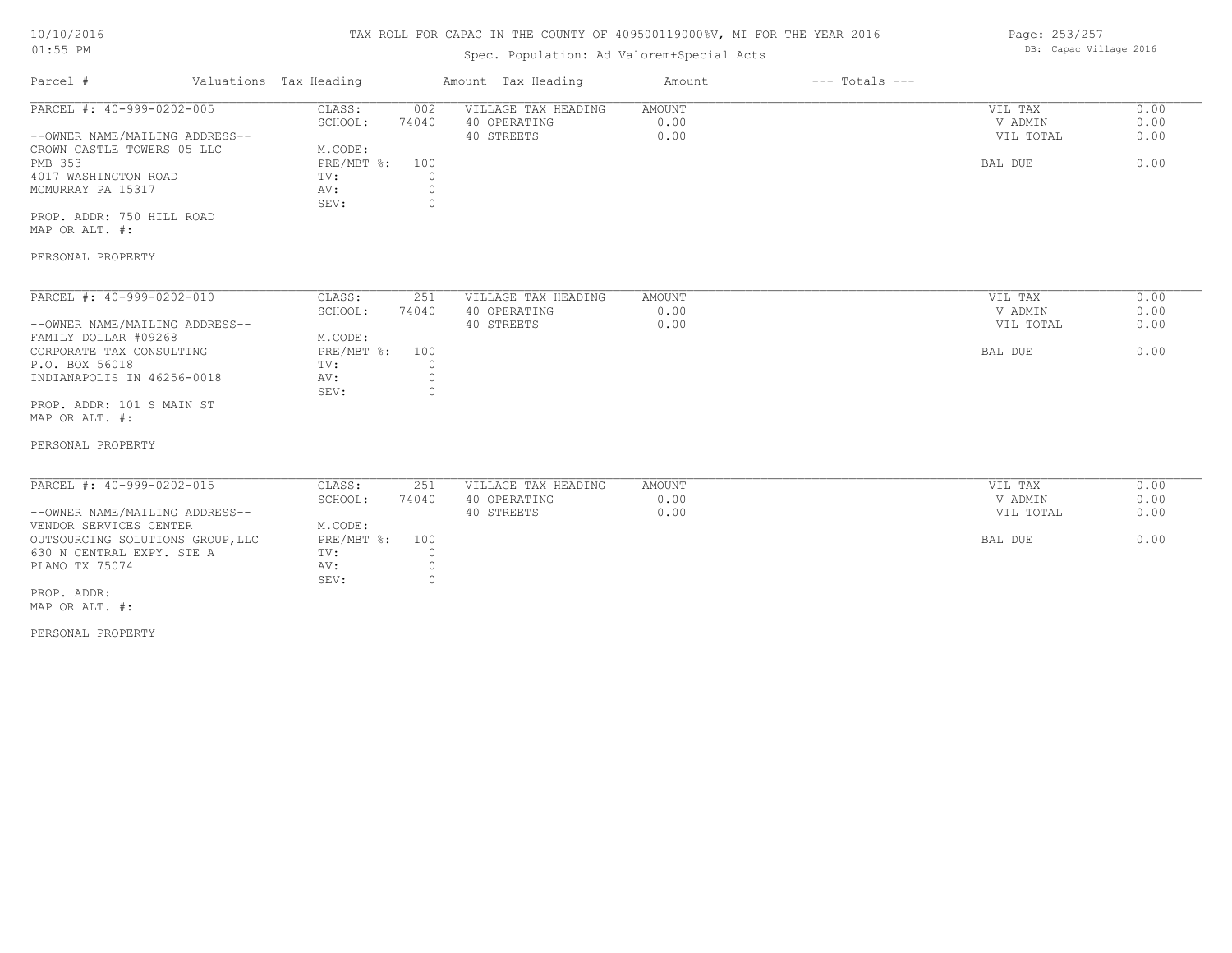#### 10/10/2016 01:55 PM

# TAX ROLL FOR CAPAC IN THE COUNTY OF 409500119000%V, MI FOR THE YEAR 2016

# Spec. Population: Ad Valorem+Special Acts

| Parcel #                       | Valuations Tax Heading |       | Amount Tax Heading  | Amount | $---$ Totals $---$ |           |      |
|--------------------------------|------------------------|-------|---------------------|--------|--------------------|-----------|------|
| PARCEL #: 40-999-0202-005      | CLASS:                 | 002   | VILLAGE TAX HEADING | AMOUNT |                    | VIL TAX   | 0.00 |
|                                | SCHOOL:                | 74040 | 40 OPERATING        | 0.00   |                    | V ADMIN   | 0.00 |
| --OWNER NAME/MAILING ADDRESS-- |                        |       | 40 STREETS          | 0.00   |                    | VIL TOTAL | 0.00 |
| CROWN CASTLE TOWERS 05 LLC     | M.CODE:                |       |                     |        |                    |           |      |
| PMB 353                        | PRE/MBT %: 100         |       |                     |        |                    | BAL DUE   | 0.00 |
| 4017 WASHINGTON ROAD           | TV:                    |       |                     |        |                    |           |      |
| MCMURRAY PA 15317              | AV:                    |       |                     |        |                    |           |      |
|                                | SEV:                   |       |                     |        |                    |           |      |
|                                |                        |       |                     |        |                    |           |      |

MAP OR ALT. #: PROP. ADDR: 750 HILL ROAD

#### PERSONAL PROPERTY

| PARCEL #: 40-999-0202-010      | CLASS:     | 251   | VILLAGE TAX HEADING | AMOUNT | VIL TAX<br>0.00   |
|--------------------------------|------------|-------|---------------------|--------|-------------------|
|                                | SCHOOL:    | 74040 | 40 OPERATING        | 0.00   | 0.00<br>V ADMIN   |
| --OWNER NAME/MAILING ADDRESS-- |            |       | 40 STREETS          | 0.00   | 0.00<br>VIL TOTAL |
| FAMILY DOLLAR #09268           | M.CODE:    |       |                     |        |                   |
| CORPORATE TAX CONSULTING       | PRE/MBT %: | 100   |                     |        | 0.00<br>BAL DUE   |
| P.O. BOX 56018                 | TV:        |       |                     |        |                   |
| INDIANAPOLIS IN 46256-0018     | AV:        |       |                     |        |                   |
|                                | SEV:       |       |                     |        |                   |
| PROP. ADDR: 101 S MAIN ST      |            |       |                     |        |                   |
|                                |            |       |                     |        |                   |

MAP OR ALT. #:

#### PERSONAL PROPERTY

| PARCEL #: 40-999-0202-015        | CLASS:         | 251   | VILLAGE TAX HEADING | AMOUNT | VIL TAX   | 0.00 |
|----------------------------------|----------------|-------|---------------------|--------|-----------|------|
|                                  | SCHOOL:        | 74040 | 40 OPERATING        | 0.00   | V ADMIN   | 0.00 |
| --OWNER NAME/MAILING ADDRESS--   |                |       | 40 STREETS          | 0.00   | VIL TOTAL | 0.00 |
| VENDOR SERVICES CENTER           | M.CODE:        |       |                     |        |           |      |
| OUTSOURCING SOLUTIONS GROUP, LLC | PRE/MBT %: 100 |       |                     |        | BAL DUE   | 0.00 |
| 630 N CENTRAL EXPY. STE A        | TV:            |       |                     |        |           |      |
| PLANO TX 75074                   | AV:            |       |                     |        |           |      |
|                                  | SEV:           |       |                     |        |           |      |
| PROP. ADDR:                      |                |       |                     |        |           |      |

MAP OR ALT. #:

PERSONAL PROPERTY

Page: 253/257 DB: Capac Village 2016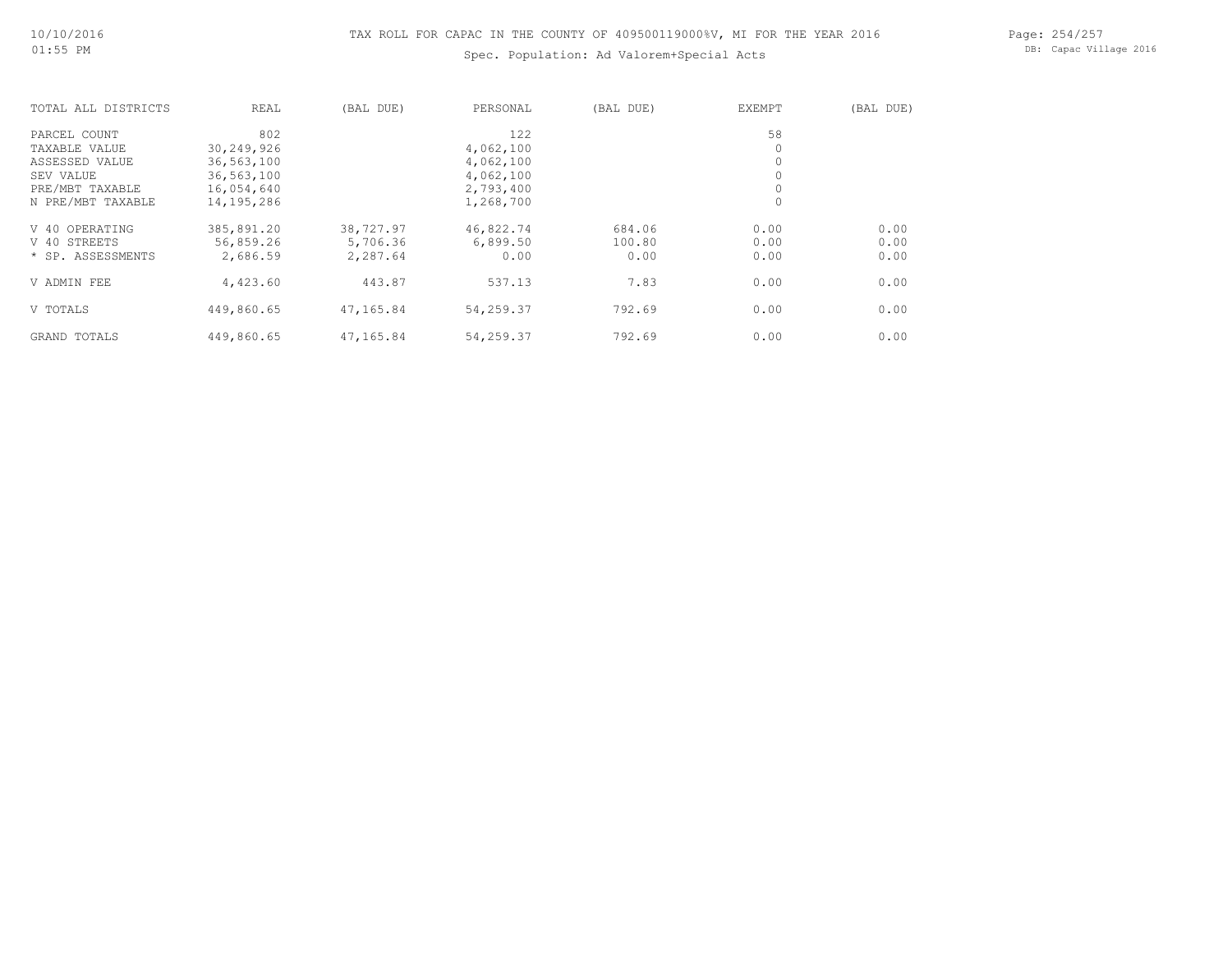# Spec. Population: Ad Valorem+Special Acts

Page: 254/257 DB: Capac Village 2016

| TOTAL ALL DISTRICTS | REAL         | (BAL DUE) | PERSONAL  | (BAL DUE) | EXEMPT       | (BAL DUE) |
|---------------------|--------------|-----------|-----------|-----------|--------------|-----------|
| PARCEL COUNT        | 802          |           | 122       |           | 58           |           |
| TAXABLE VALUE       | 30,249,926   |           | 4,062,100 |           | $\circ$      |           |
| ASSESSED VALUE      | 36,563,100   |           | 4,062,100 |           | 0            |           |
| SEV VALUE           | 36,563,100   |           | 4,062,100 |           | 0            |           |
| PRE/MBT TAXABLE     | 16,054,640   |           | 2,793,400 |           | 0            |           |
| N PRE/MBT TAXABLE   | 14, 195, 286 |           | 1,268,700 |           | $\mathbf{0}$ |           |
| V 40 OPERATING      | 385,891.20   | 38,727.97 | 46,822.74 | 684.06    | 0.00         | 0.00      |
| V 40 STREETS        | 56,859.26    | 5,706.36  | 6,899.50  | 100.80    | 0.00         | 0.00      |
| * SP. ASSESSMENTS   | 2,686.59     | 2,287.64  | 0.00      | 0.00      | 0.00         | 0.00      |
| V ADMIN FEE         | 4,423.60     | 443.87    | 537.13    | 7.83      | 0.00         | 0.00      |
| V TOTALS            | 449,860.65   | 47,165.84 | 54,259.37 | 792.69    | 0.00         | 0.00      |
| GRAND TOTALS        | 449,860.65   | 47,165.84 | 54,259.37 | 792.69    | 0.00         | 0.00      |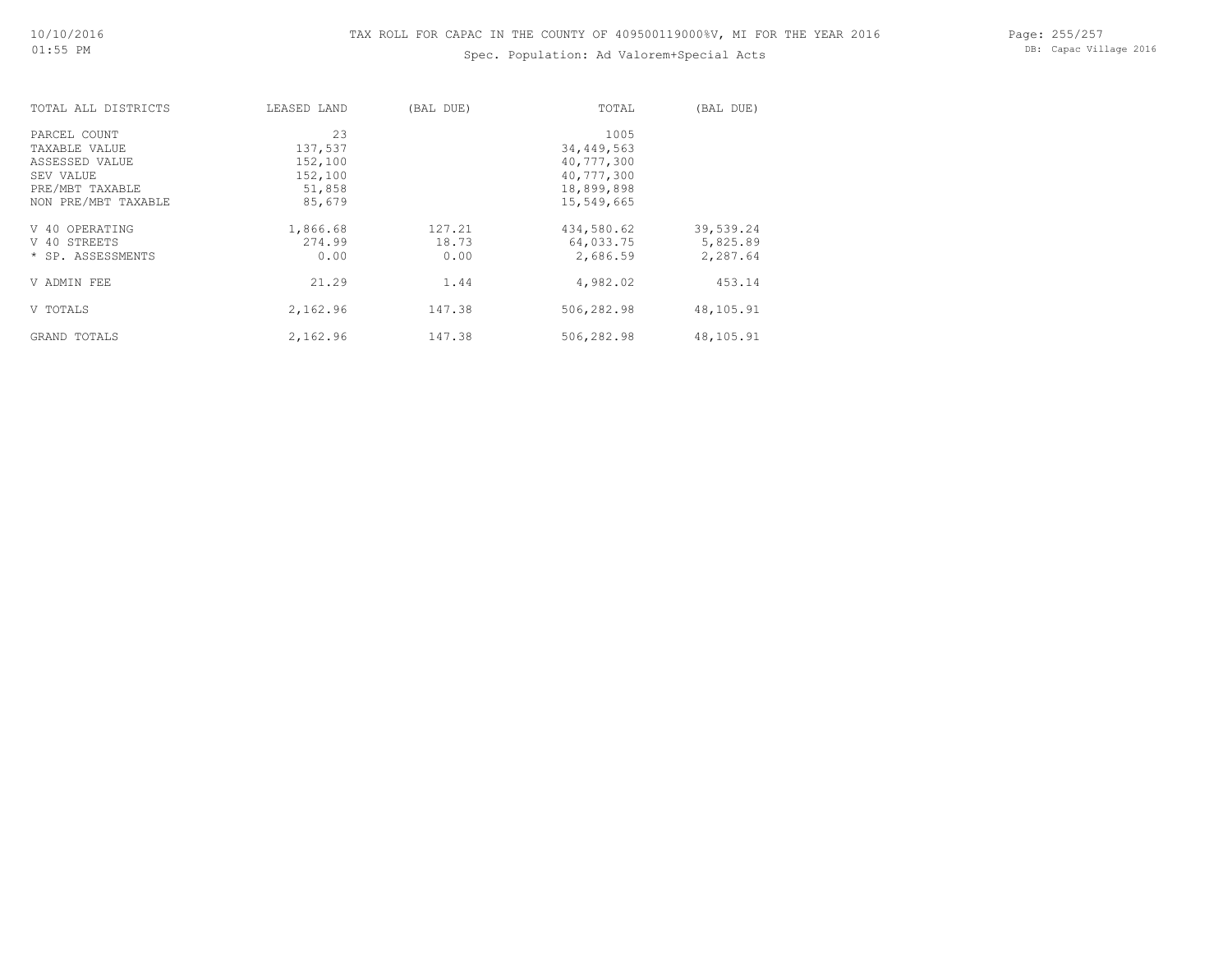# Spec. Population: Ad Valorem+Special Acts

Page: 255/257 DB: Capac Village 2016

| TOTAL ALL DISTRICTS | LEASED LAND | (BAL DUE) | TOTAL      | (BAL DUE) |
|---------------------|-------------|-----------|------------|-----------|
| PARCEL COUNT        | 23          |           | 1005       |           |
| TAXABLE VALUE       | 137,537     |           | 34,449,563 |           |
| ASSESSED VALUE      | 152,100     |           | 40,777,300 |           |
| SEV VALUE           | 152,100     |           | 40,777,300 |           |
| PRE/MBT TAXABLE     | 51,858      |           | 18,899,898 |           |
| NON PRE/MBT TAXABLE | 85,679      |           | 15,549,665 |           |
| V 40 OPERATING      | 1,866.68    | 127.21    | 434,580.62 | 39,539.24 |
| V 40 STREETS        | 274.99      | 18.73     | 64,033.75  | 5,825.89  |
| * SP. ASSESSMENTS   | 0.00        | 0.00      | 2,686.59   | 2,287.64  |
| V ADMIN FEE         | 21.29       | 1.44      | 4,982.02   | 453.14    |
| V TOTALS            | 2,162.96    | 147.38    | 506,282.98 | 48,105.91 |
| GRAND TOTALS        | 2,162.96    | 147.38    | 506,282.98 | 48,105.91 |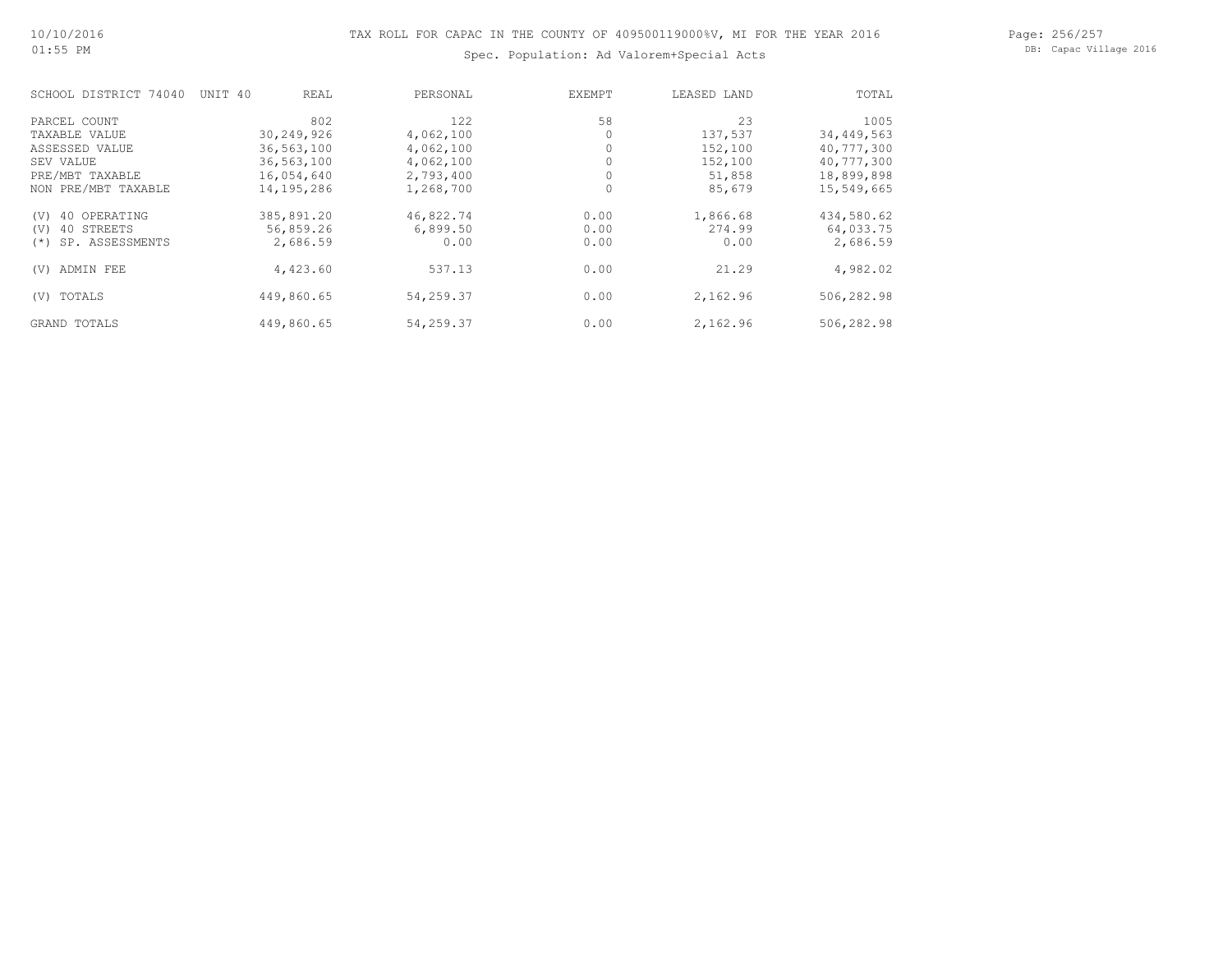#### Page: 256/257 DB: Capac Village 2016

# Spec. Population: Ad Valorem+Special Acts

| SCHOOL DISTRICT 74040     | UNIT 40<br>REAL | PERSONAL  | EXEMPT | LEASED LAND | TOTAL      |
|---------------------------|-----------------|-----------|--------|-------------|------------|
| PARCEL COUNT              | 802             | 122       | 58     | 23          | 1005       |
| TAXABLE VALUE             | 30,249,926      | 4,062,100 |        | 137,537     | 34,449,563 |
| ASSESSED VALUE            | 36,563,100      | 4,062,100 |        | 152,100     | 40,777,300 |
| SEV VALUE                 | 36,563,100      | 4,062,100 |        | 152,100     | 40,777,300 |
| PRE/MBT TAXABLE           | 16,054,640      | 2,793,400 |        | 51,858      | 18,899,898 |
| NON PRE/MBT TAXABLE       | 14,195,286      | 1,268,700 | 0      | 85,679      | 15,549,665 |
| 40 OPERATING<br>(V)       | 385,891.20      | 46,822.74 | 0.00   | 1,866.68    | 434,580.62 |
| 40 STREETS<br>(V)         | 56,859.26       | 6,899.50  | 0.00   | 274.99      | 64,033.75  |
| SP. ASSESSMENTS<br>$(* )$ | 2,686.59        | 0.00      | 0.00   | 0.00        | 2,686.59   |
| ADMIN FEE<br>(V)          | 4,423.60        | 537.13    | 0.00   | 21.29       | 4,982.02   |
| TOTALS<br>(V)             | 449,860.65      | 54,259.37 | 0.00   | 2,162.96    | 506,282.98 |
| GRAND TOTALS              | 449,860.65      | 54,259.37 | 0.00   | 2,162.96    | 506,282.98 |